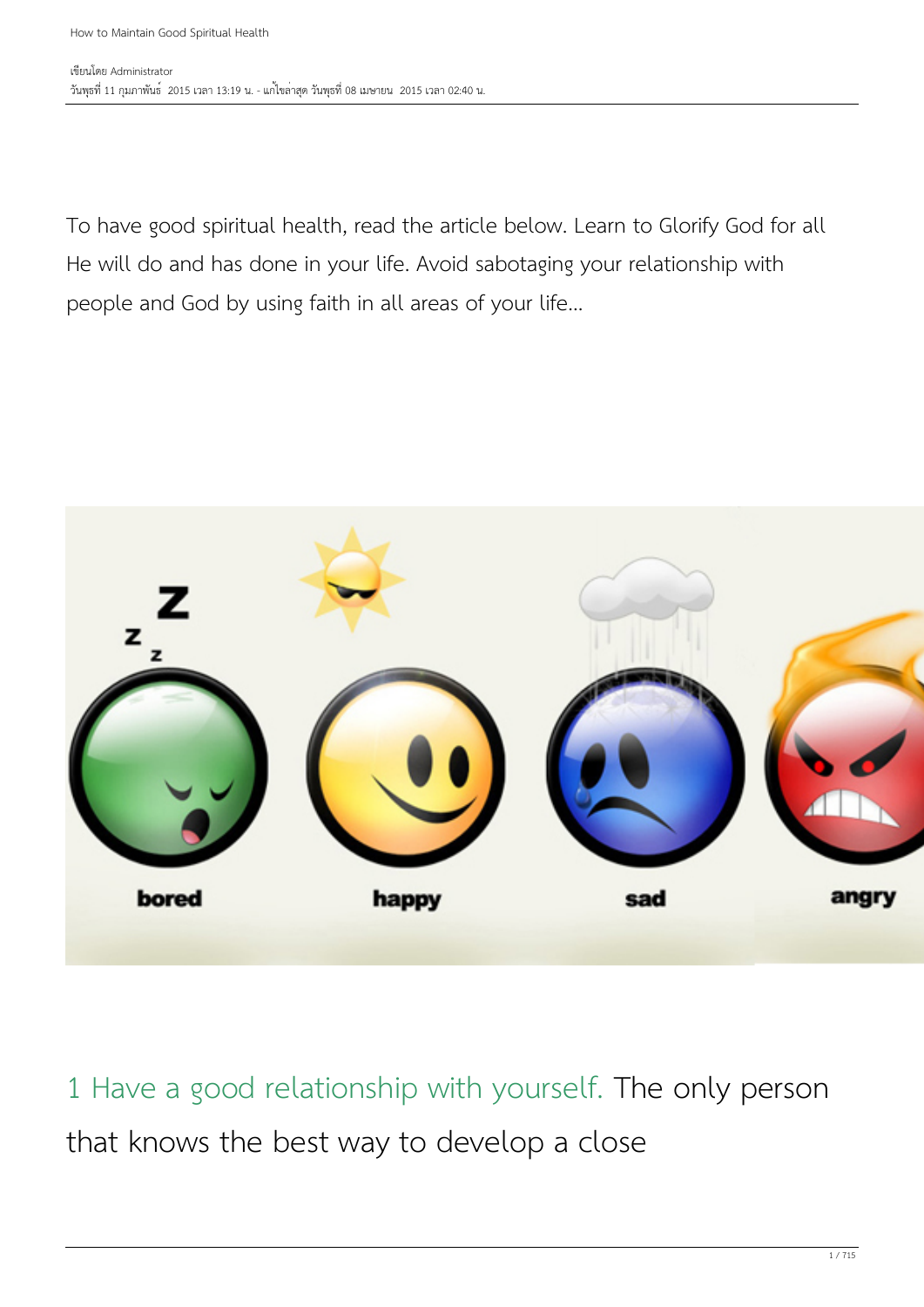To have good spiritual health, read the article below. Learn to Glorify God for all He will do and has done in your life. Avoid sabotaging your relationship with people and God by using faith in all areas of your life...



1 Have a good relationship with yourself. The only person that knows the best way to develop a close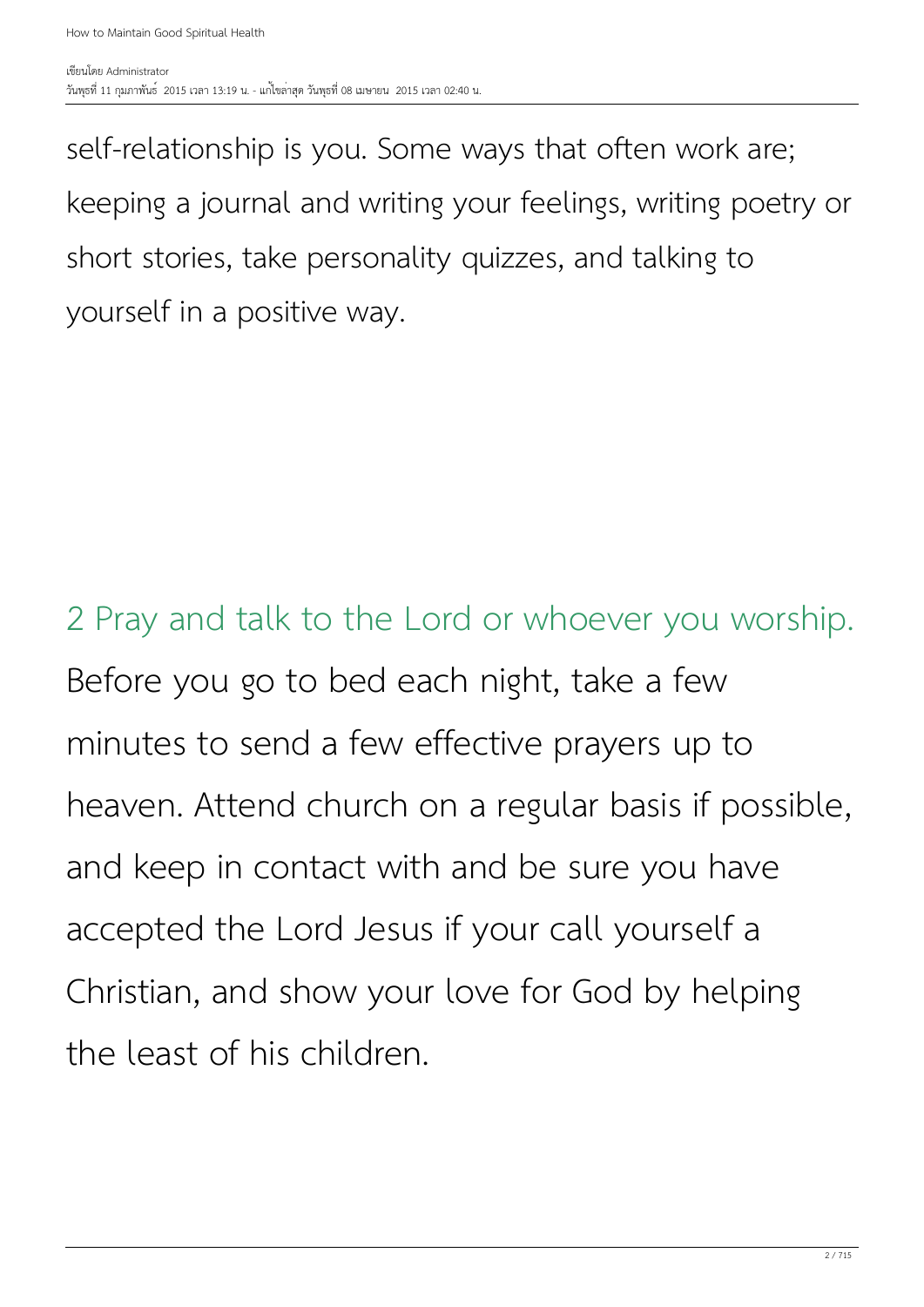self-relationship is you. Some ways that often work are; keeping a journal and writing your feelings, writing poetry or short stories, take personality quizzes, and talking to yourself in a positive way.

2 Pray and talk to the Lord or whoever you worship. Before you go to bed each night, take a few minutes to send a few effective prayers up to heaven. Attend church on a regular basis if possible, and keep in contact with and be sure you have accepted the Lord Jesus if your call yourself a Christian, and show your love for God by helping the least of his children.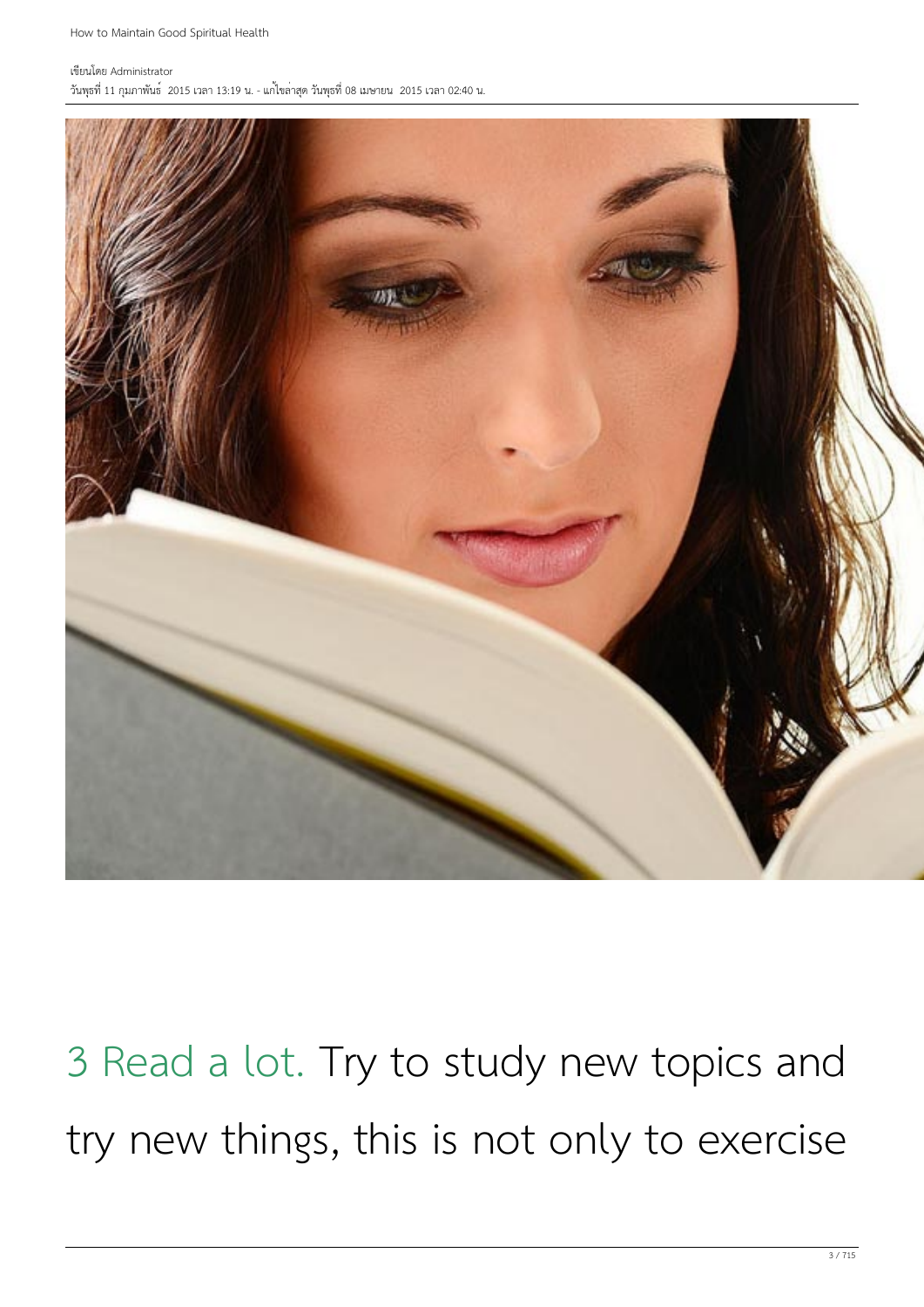#### เขียนโดย Administrator

วันพุธที่ 11 กุมภาพันธ์ 2015 เวลา 13:19 น. - แก้ไขล่าสุด วันพุธที่ 08 เมษายน 2015 เวลา 02:40 น.



3 Read a lot. Try to study new topics and try new things, this is not only to exercise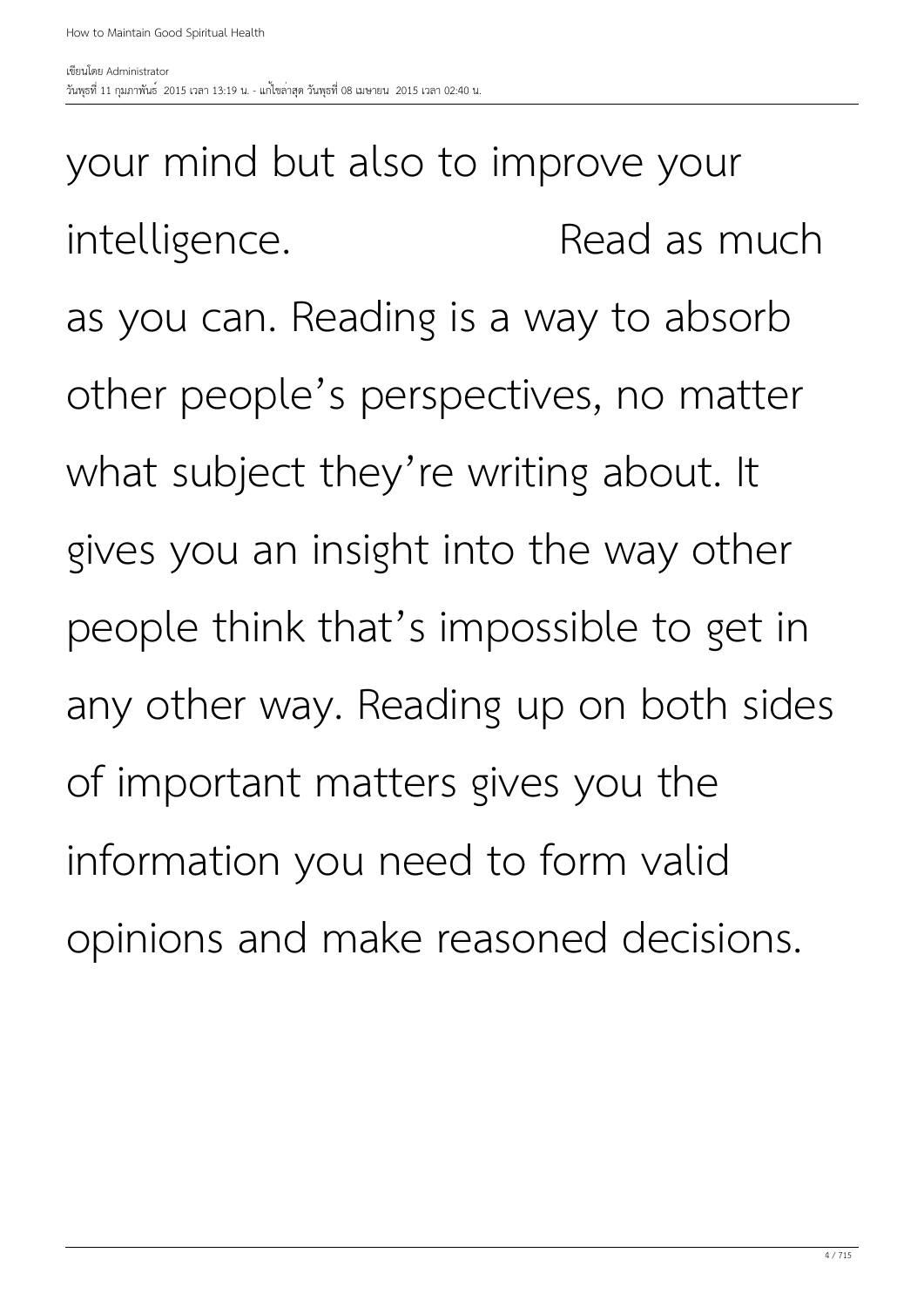your mind but also to improve your intelligence. Read as much as you can. Reading is a way to absorb other people's perspectives, no matter what subject they're writing about. It gives you an insight into the way other people think that's impossible to get in any other way. Reading up on both sides of important matters gives you the information you need to form valid opinions and make reasoned decisions.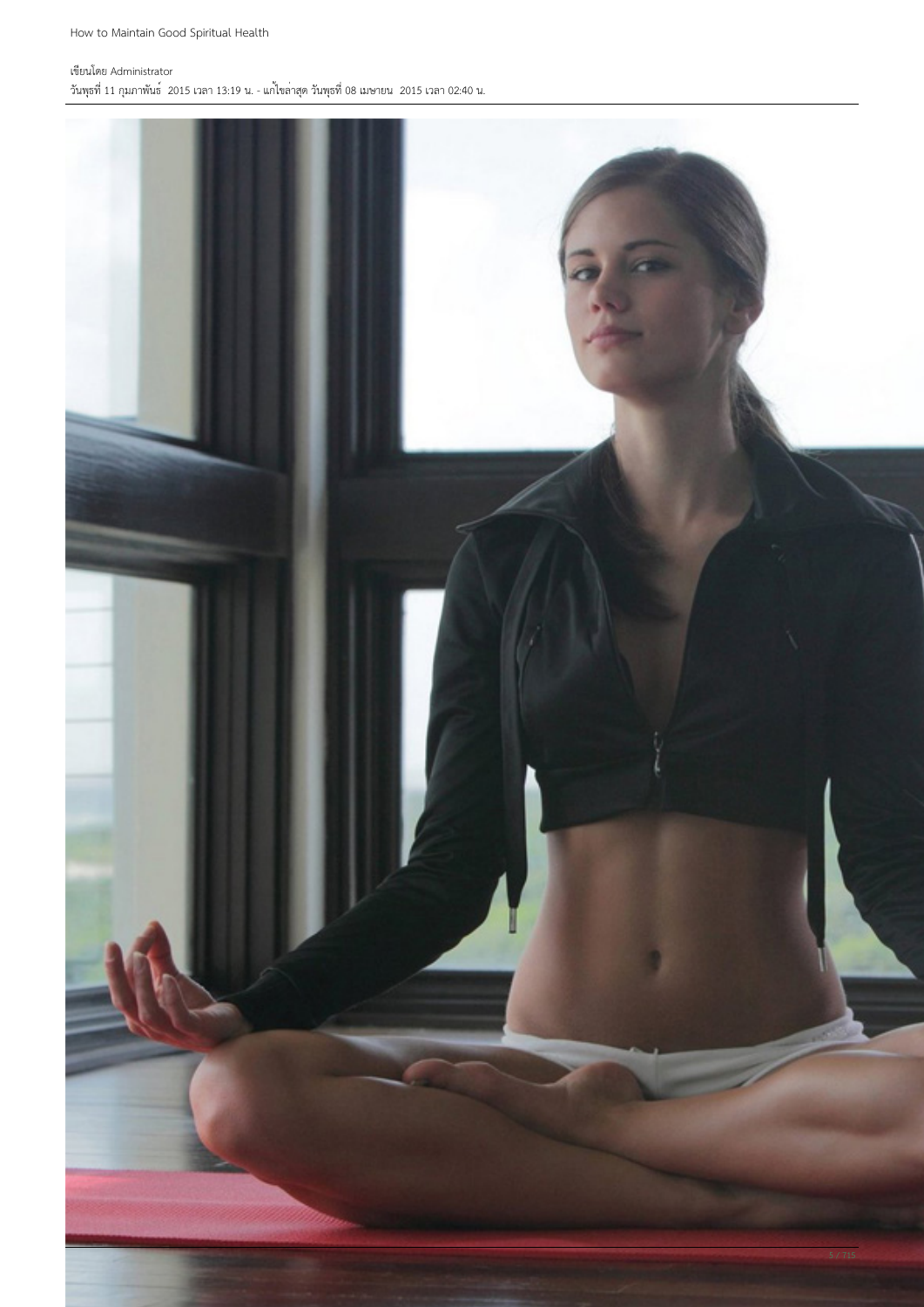How to Maintain Good Spiritual Health

#### เขียนโดย Administrator

วันพุธที่ 11 กุมภาพันธ์ 2015 เวลา 13:19 น. - แก้ไขล่าสุด วันพุธที่ 08 เมษายน 2015 เวลา 02:40 น.

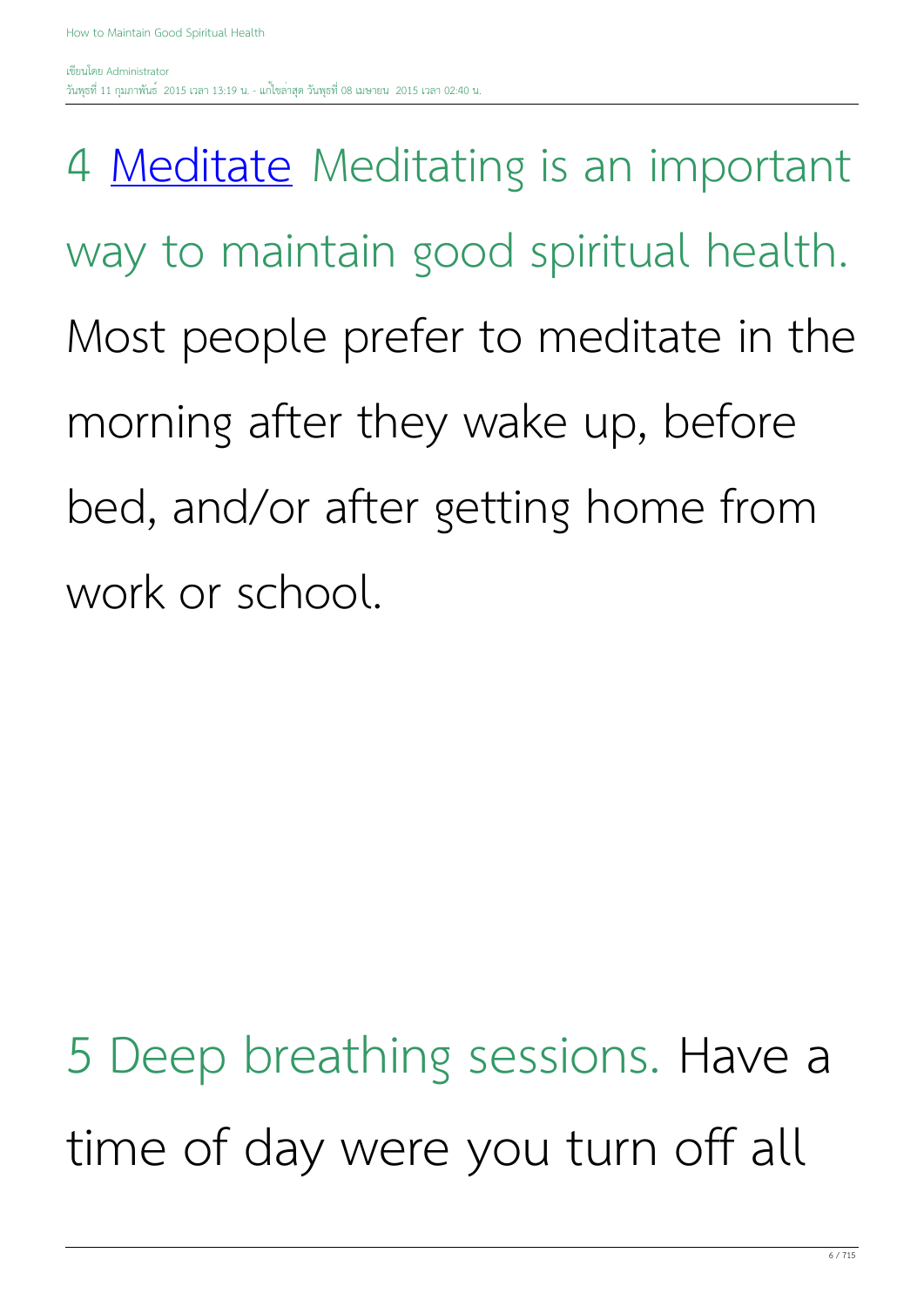4 **Meditate** Meditating is an important w[ay to mai](index.php?option=com_content&view=article&id=230:thaniya5736&catid=9:thaniyapucha2557&Itemid=13)ntain good spiritual health. Most people prefer to meditate in the morning after they wake up, before bed, and/or after getting home from work or school.

5 Deep breathing sessions. Have a time of day were you turn off all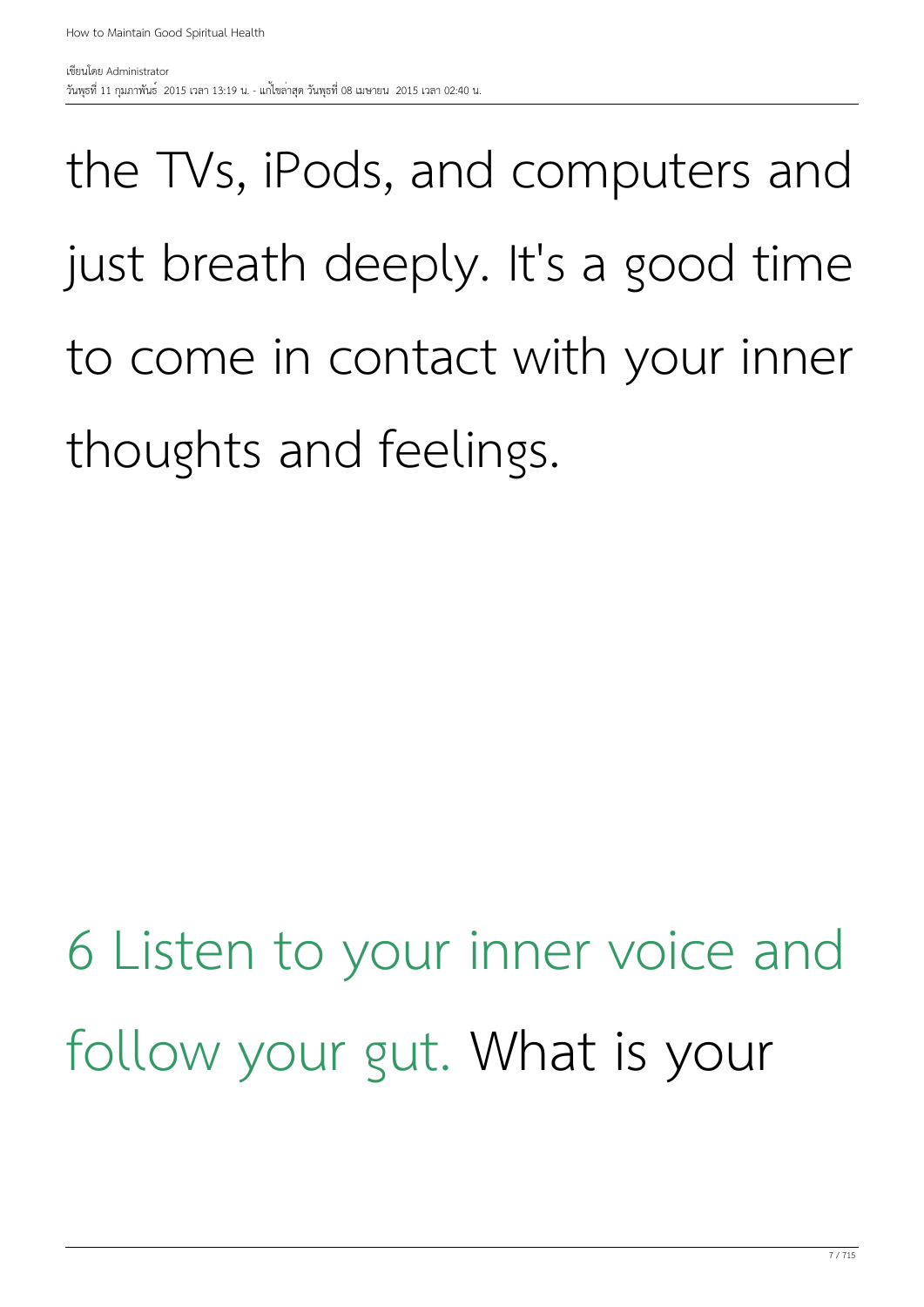#### the TVs, iPods, and computers and just breath deeply. It's a good time to come in contact with your inner thoughts and feelings.

#### 6 Listen to your inner voice and follow your gut. What is your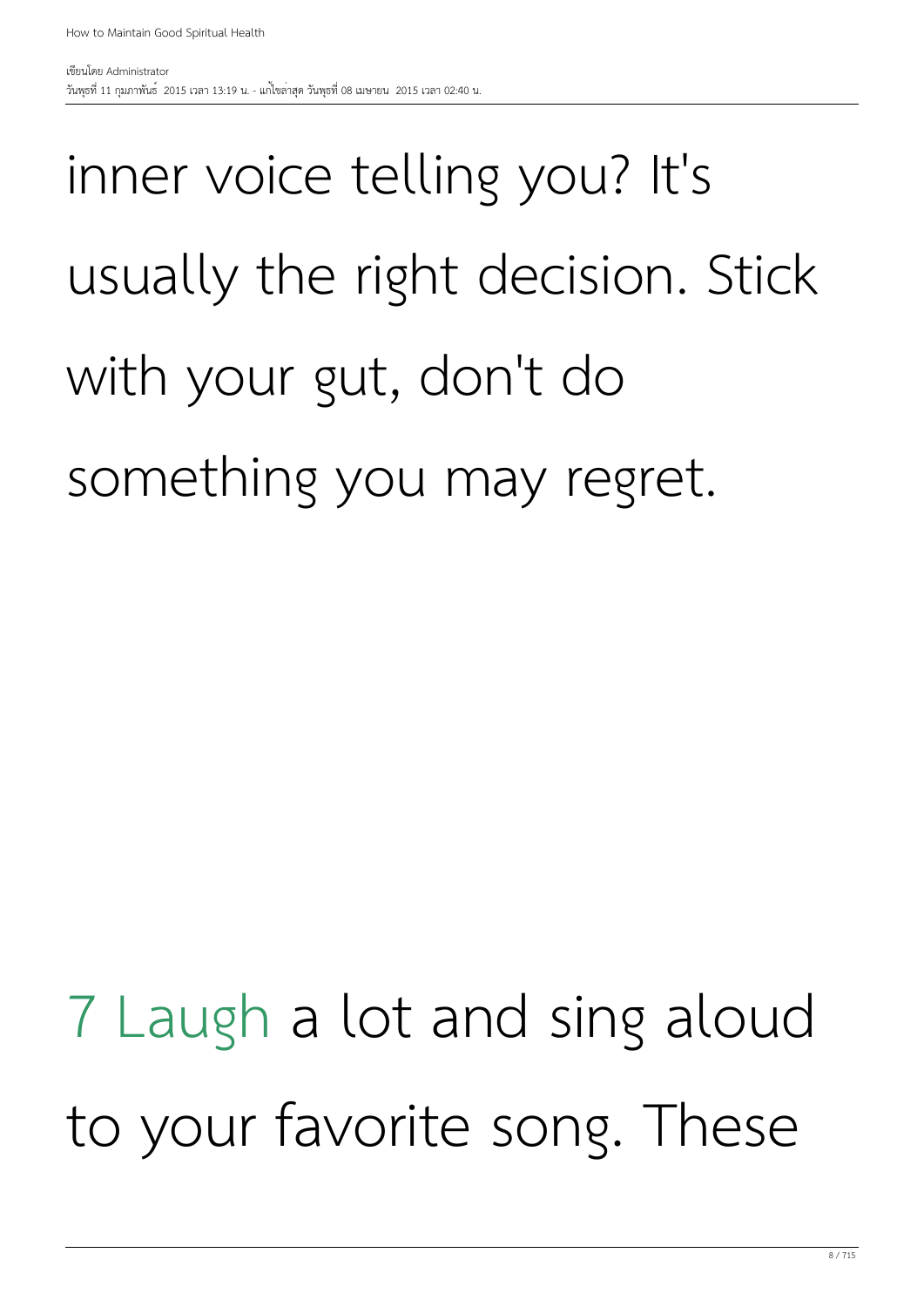#### inner voice telling you? It's usually the right decision. Stick with your gut, don't do something you may regret.

#### 7 Laugh a lot and sing aloud to your favorite song. These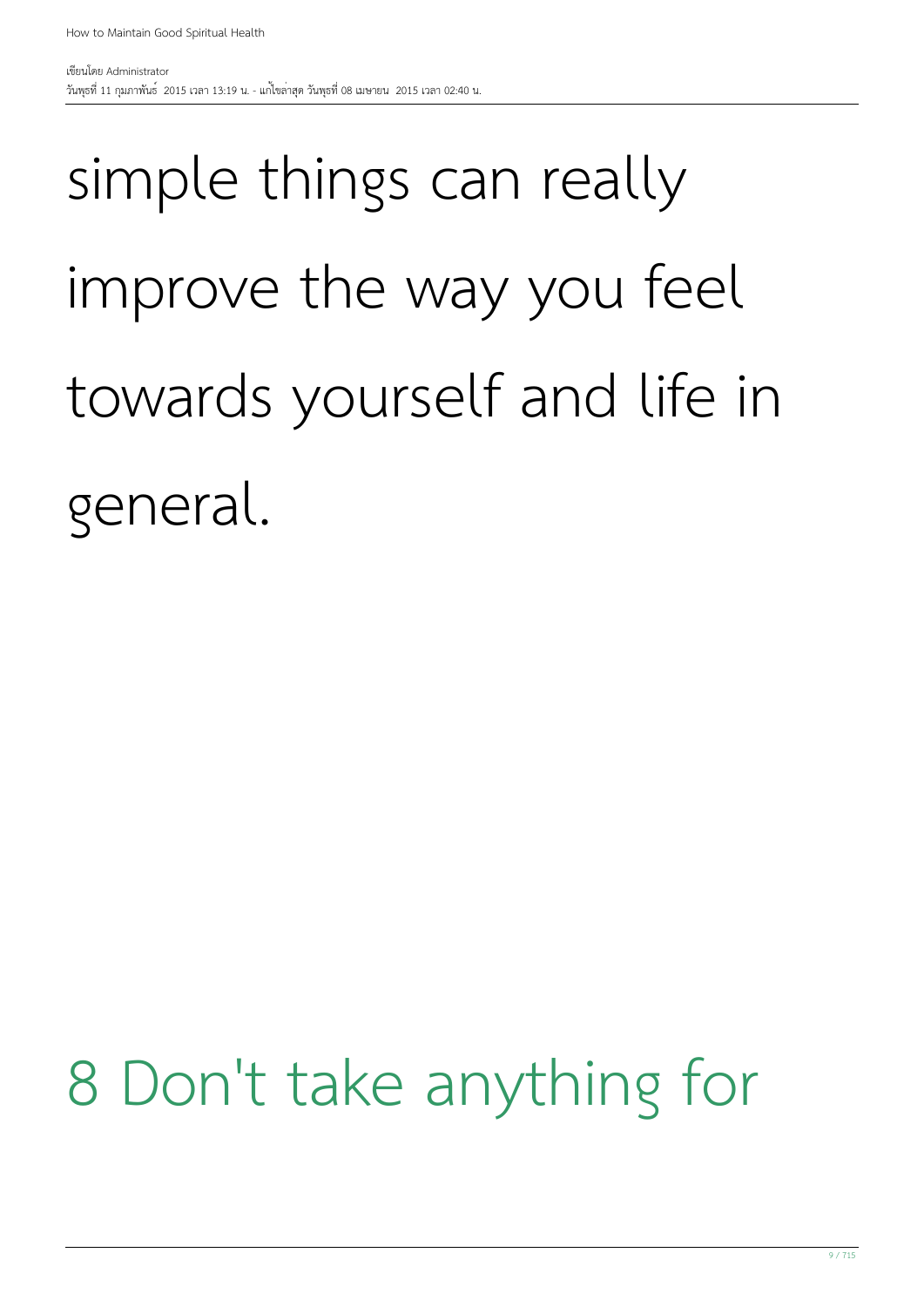#### simple things can really improve the way you feel towards yourself and life in general.

#### 8 Don't take anything for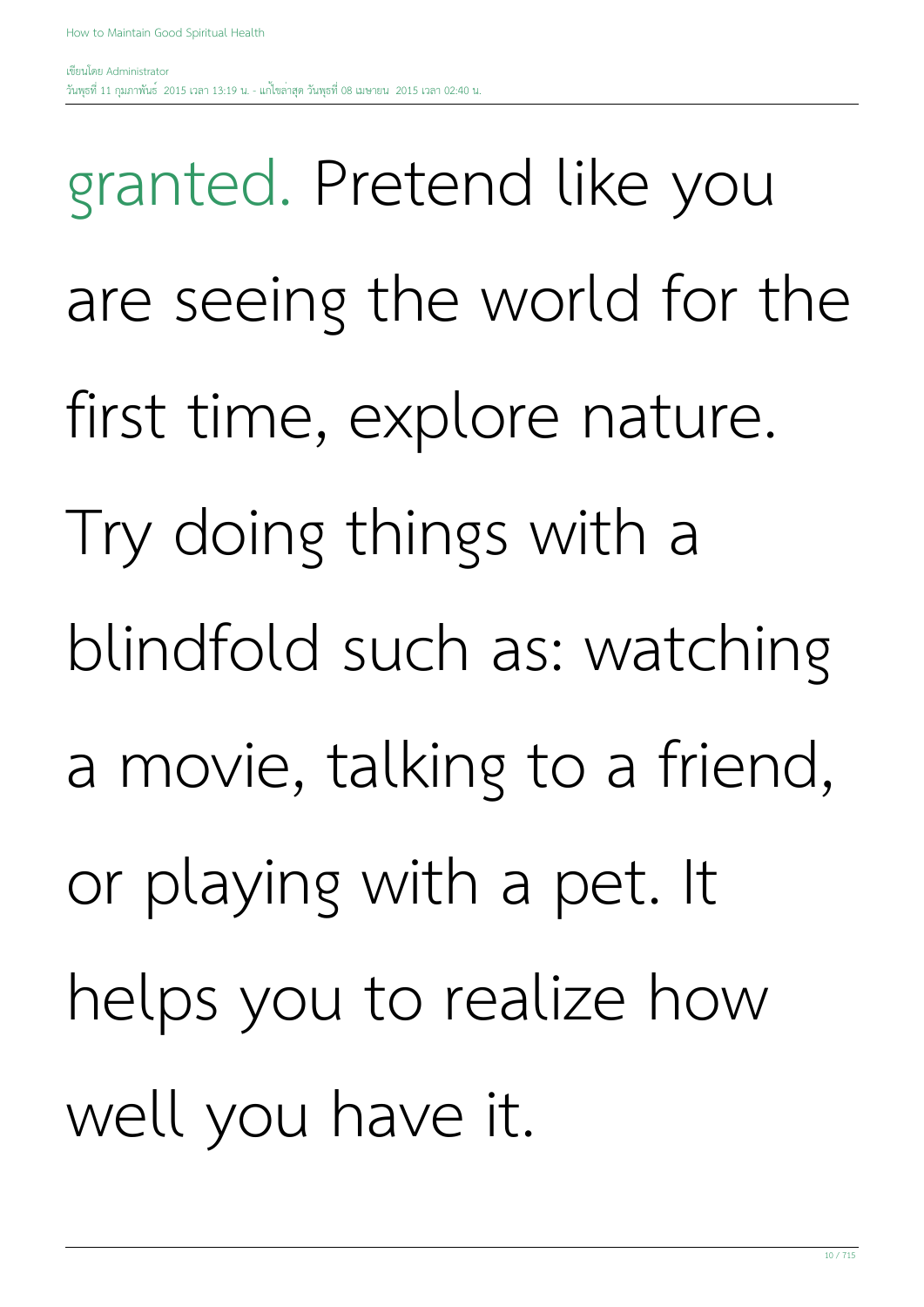granted. Pretend like you are seeing the world for the first time, explore nature. Try doing things with a blindfold such as: watching a movie, talking to a friend, or playing with a pet. It helps you to realize how well you have it.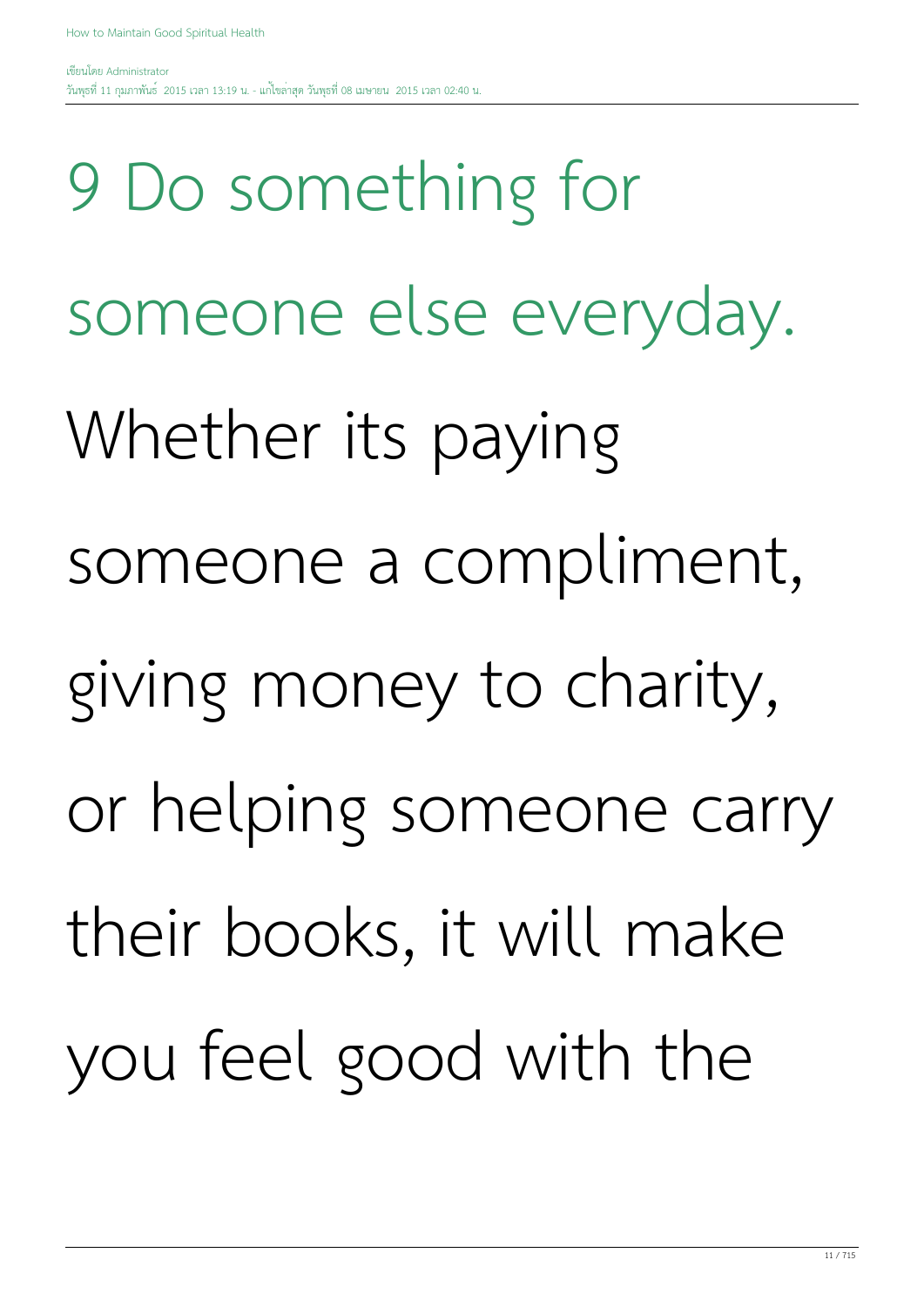9 Do something for someone else everyday. Whether its paying someone a compliment, giving money to charity, or helping someone carry their books, it will make you feel good with the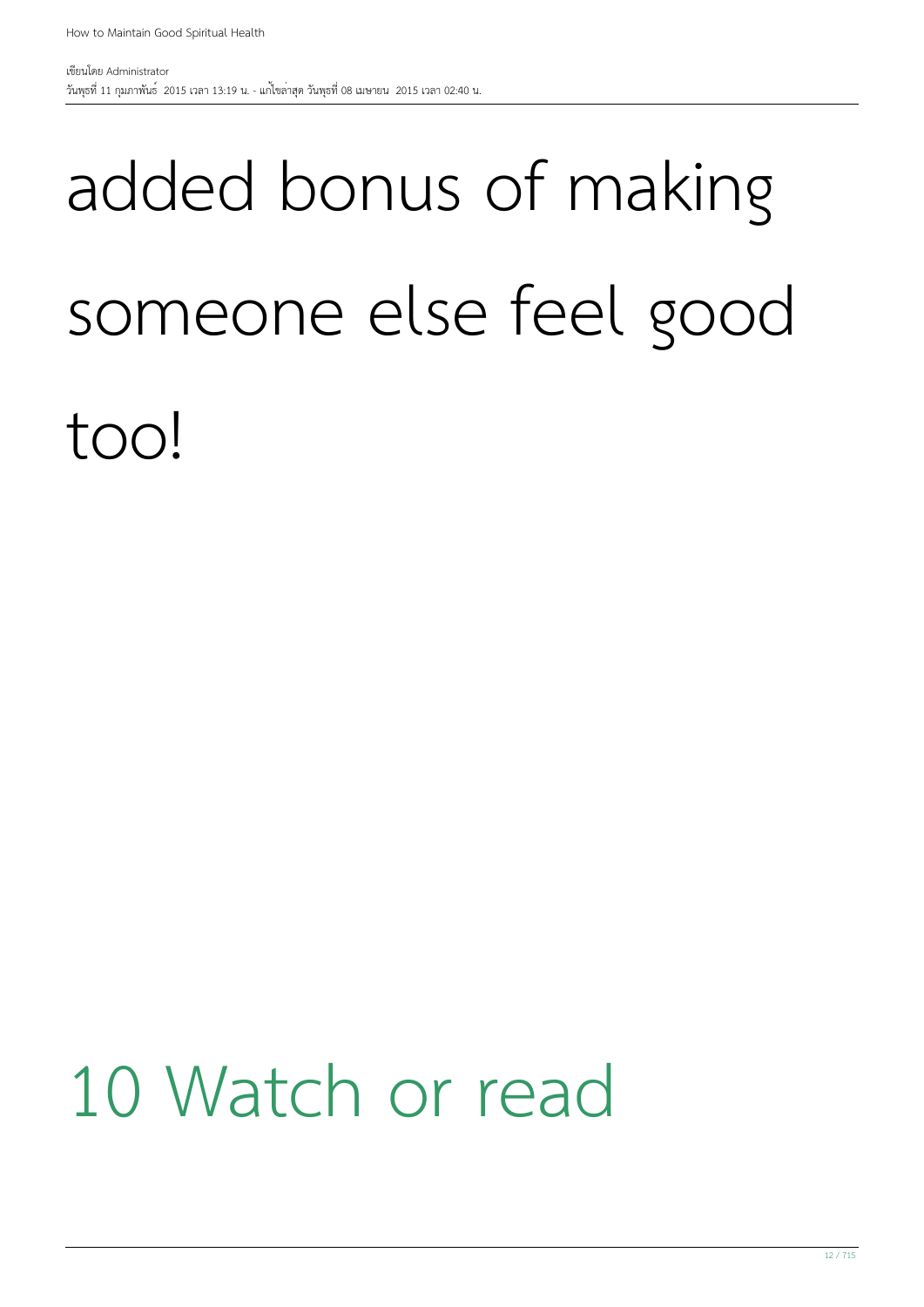#### added bonus of making someone else feel good too!

#### 10 Watch or read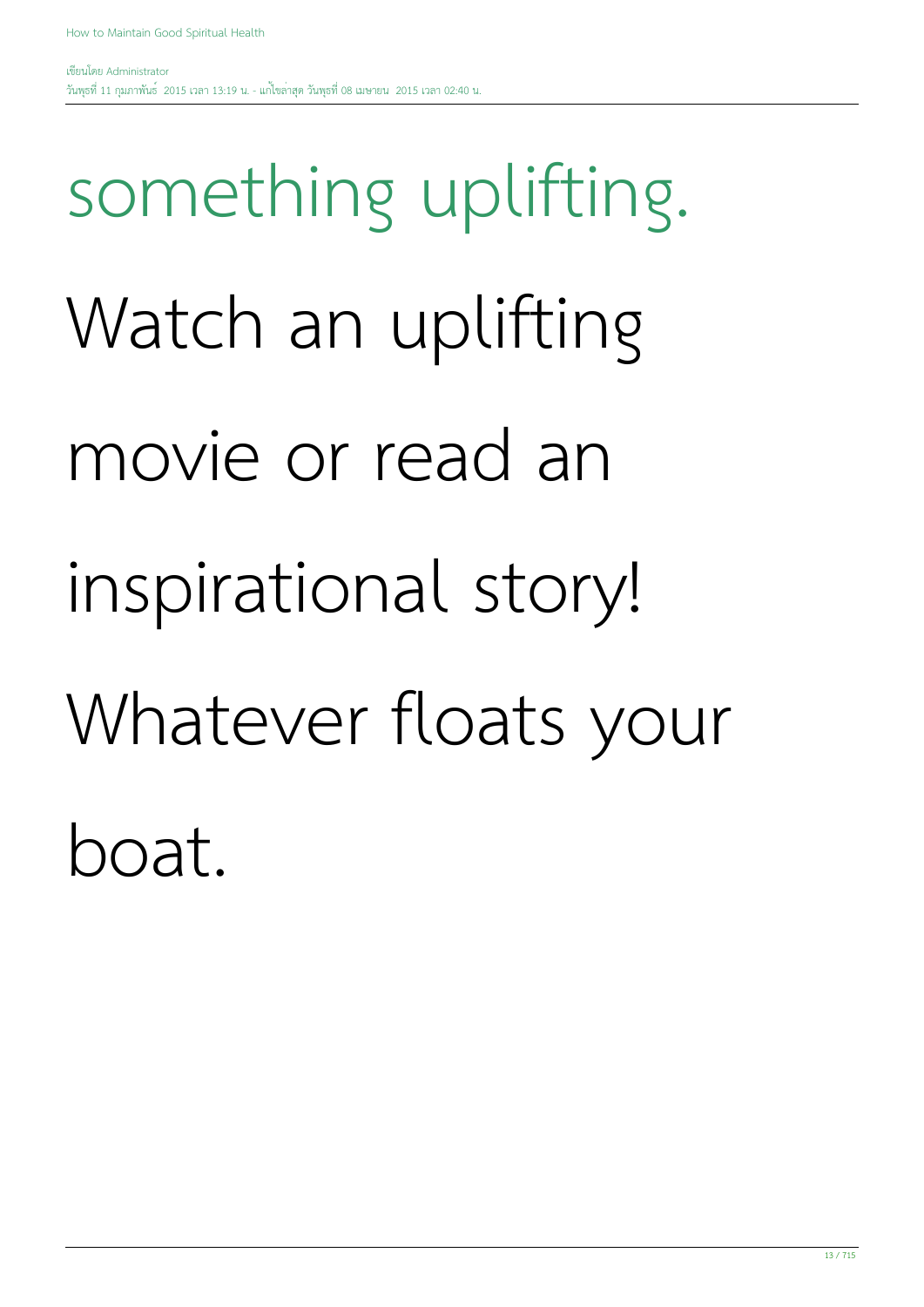something uplifting. Watch an uplifting movie or read an inspirational story! Whatever floats your boat.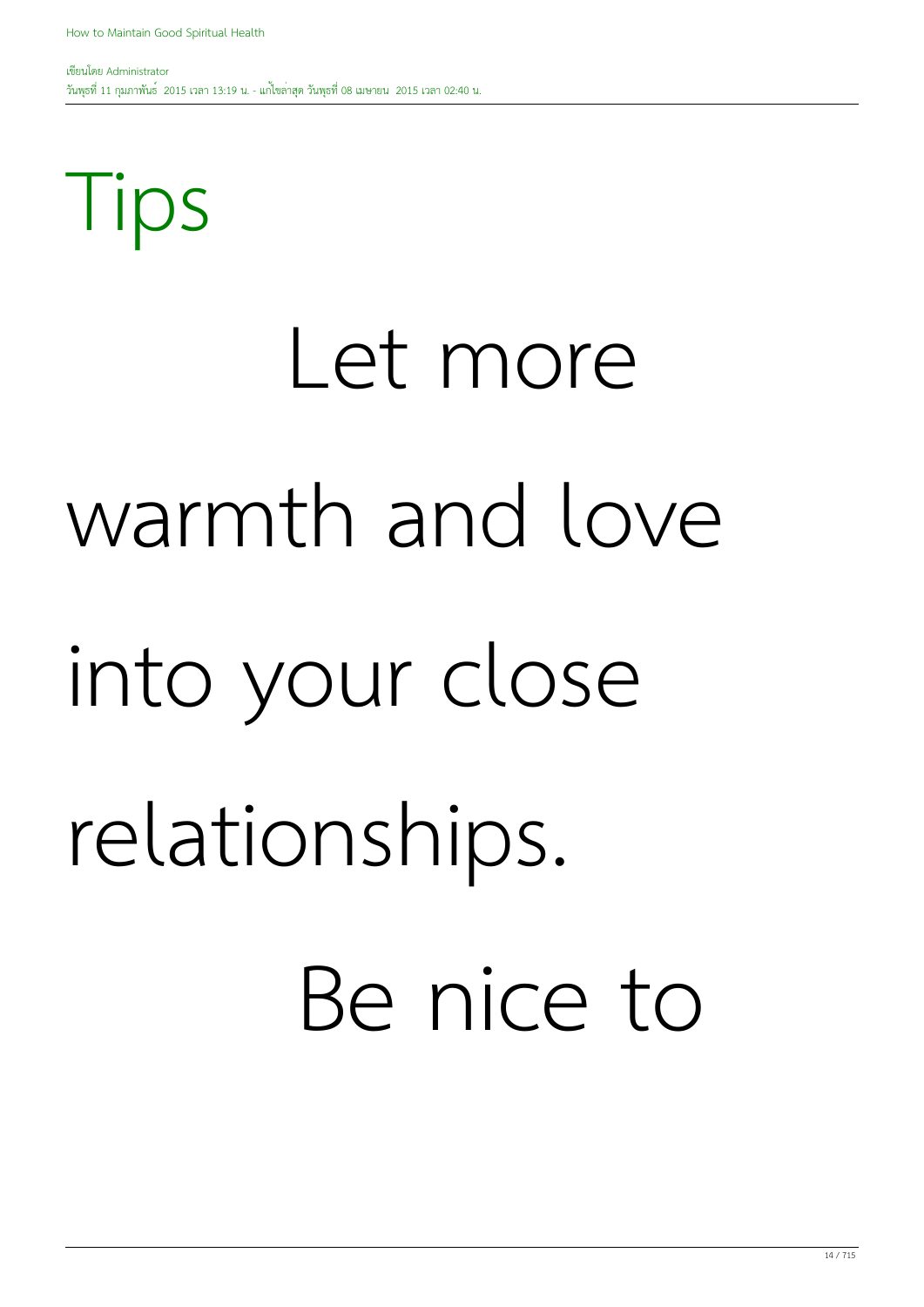Tips

### Let more warmth and love into your close relationships. Be nice to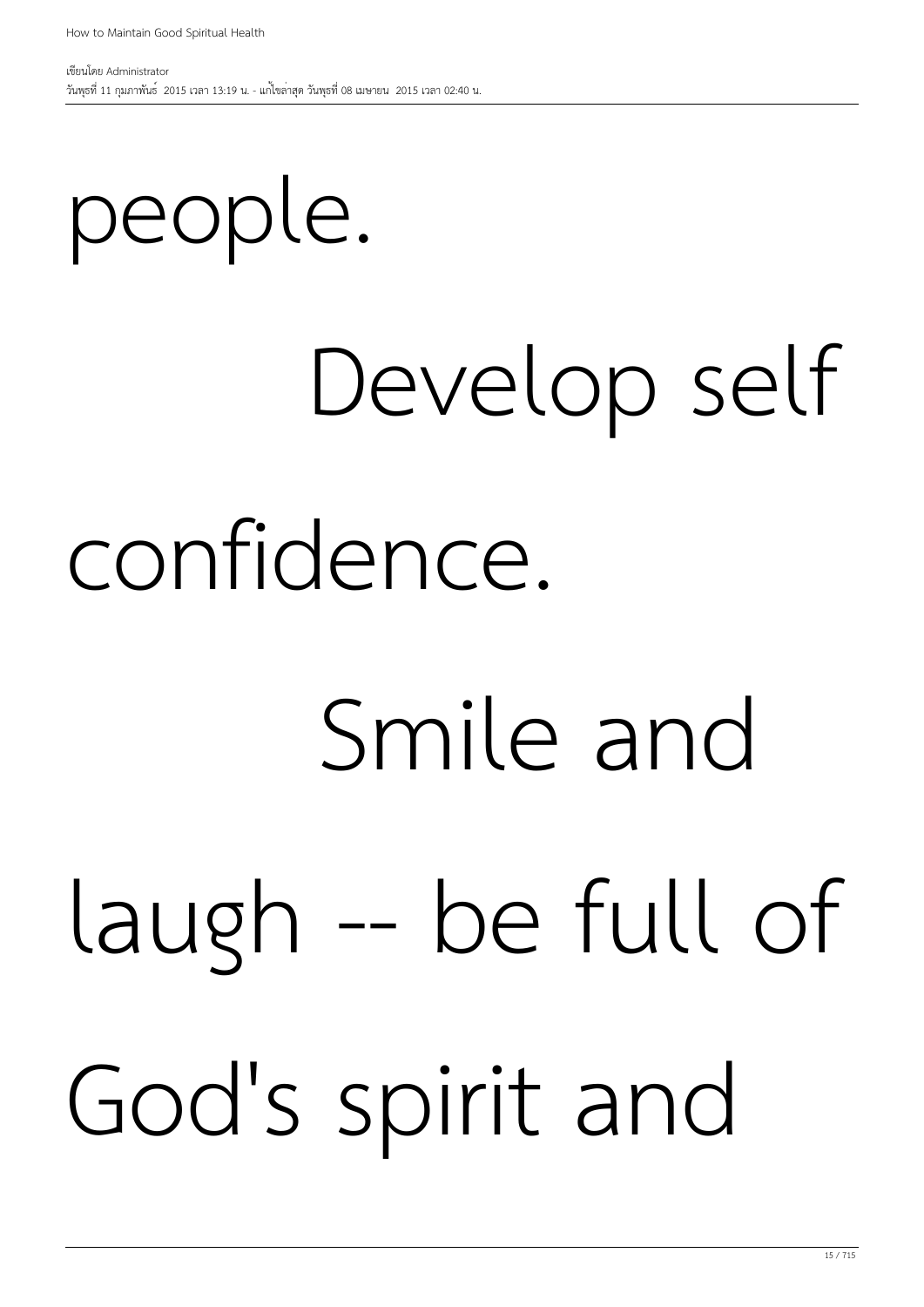people.

#### เขียนโดย Administrator วันพุธที่ 11 กุมภาพันธ์ 2015 เวลา 13:19 น. - แก้ไขล่าสุด วันพุธที่ 08 เมษายน 2015 เวลา 02:40 น.

confidence.

## Smile and laugh -- be full of God's spirit and

Develop self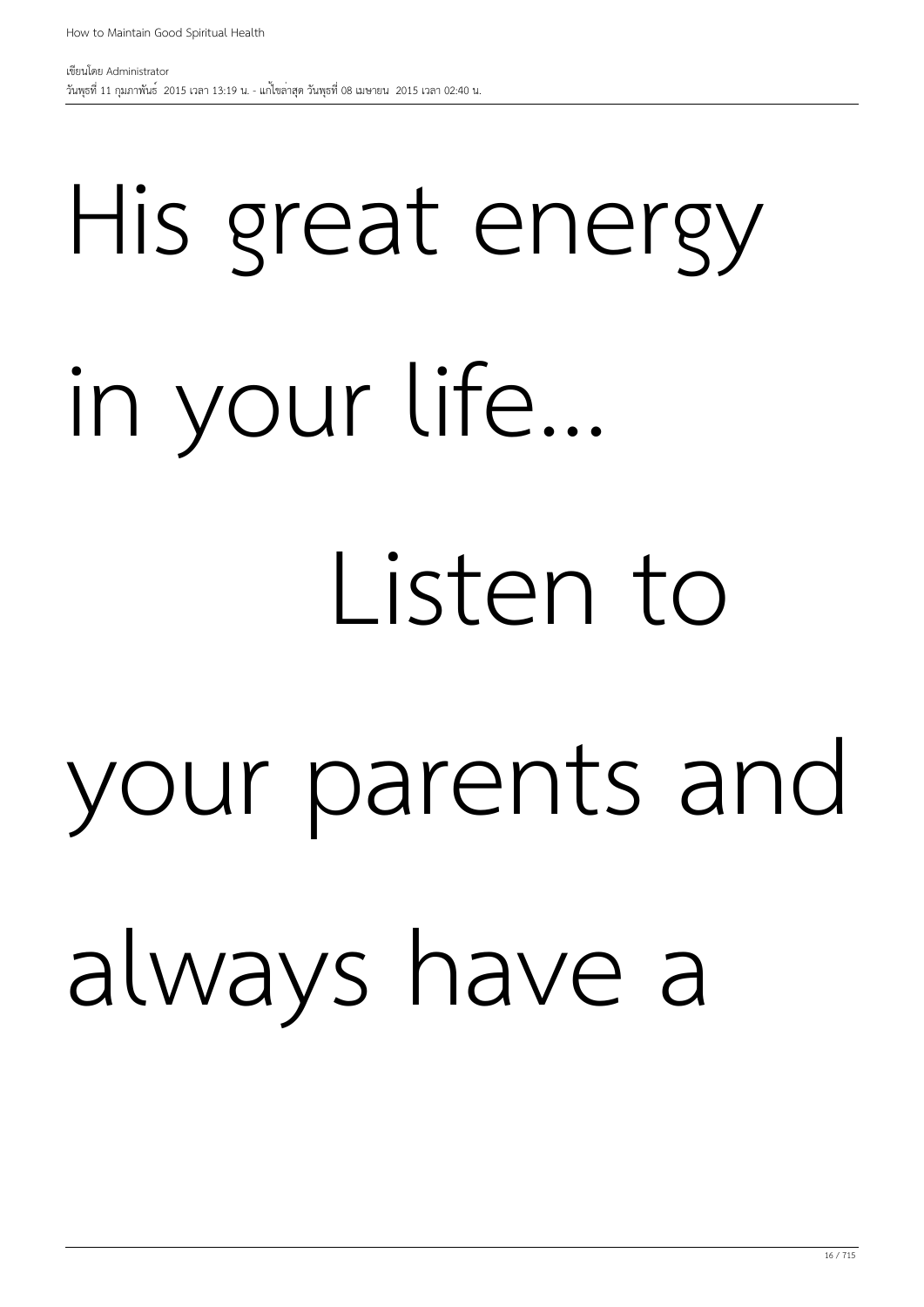## His great energy in your life... Listen to your parents and always have a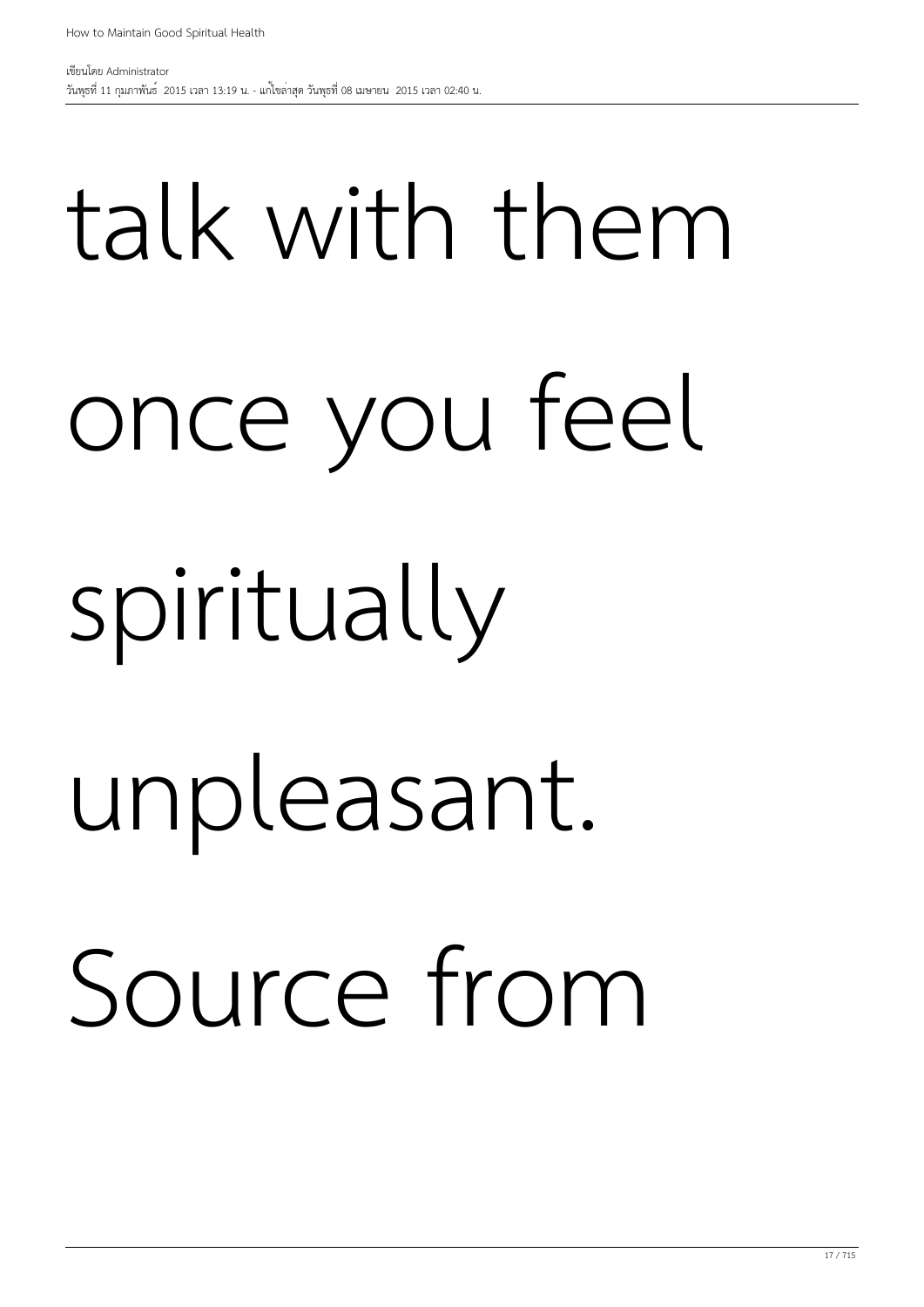## talk with them once you feel spiritually unpleasant. Source from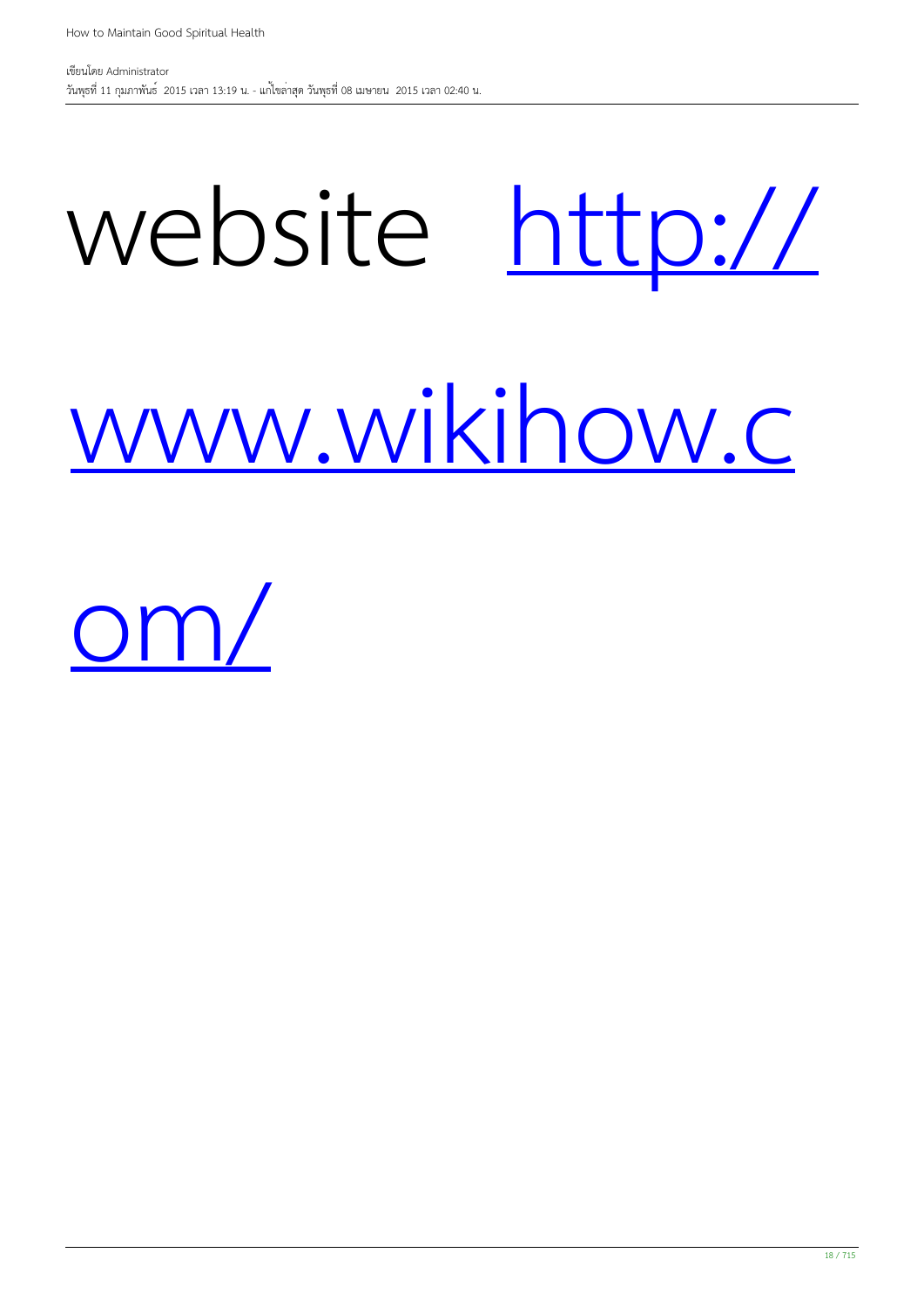#### website [http://](http://www.wikihow.com/)

#### [www.wikihow.c](http://www.wikihow.com/)

[om/](http://www.wikihow.com/)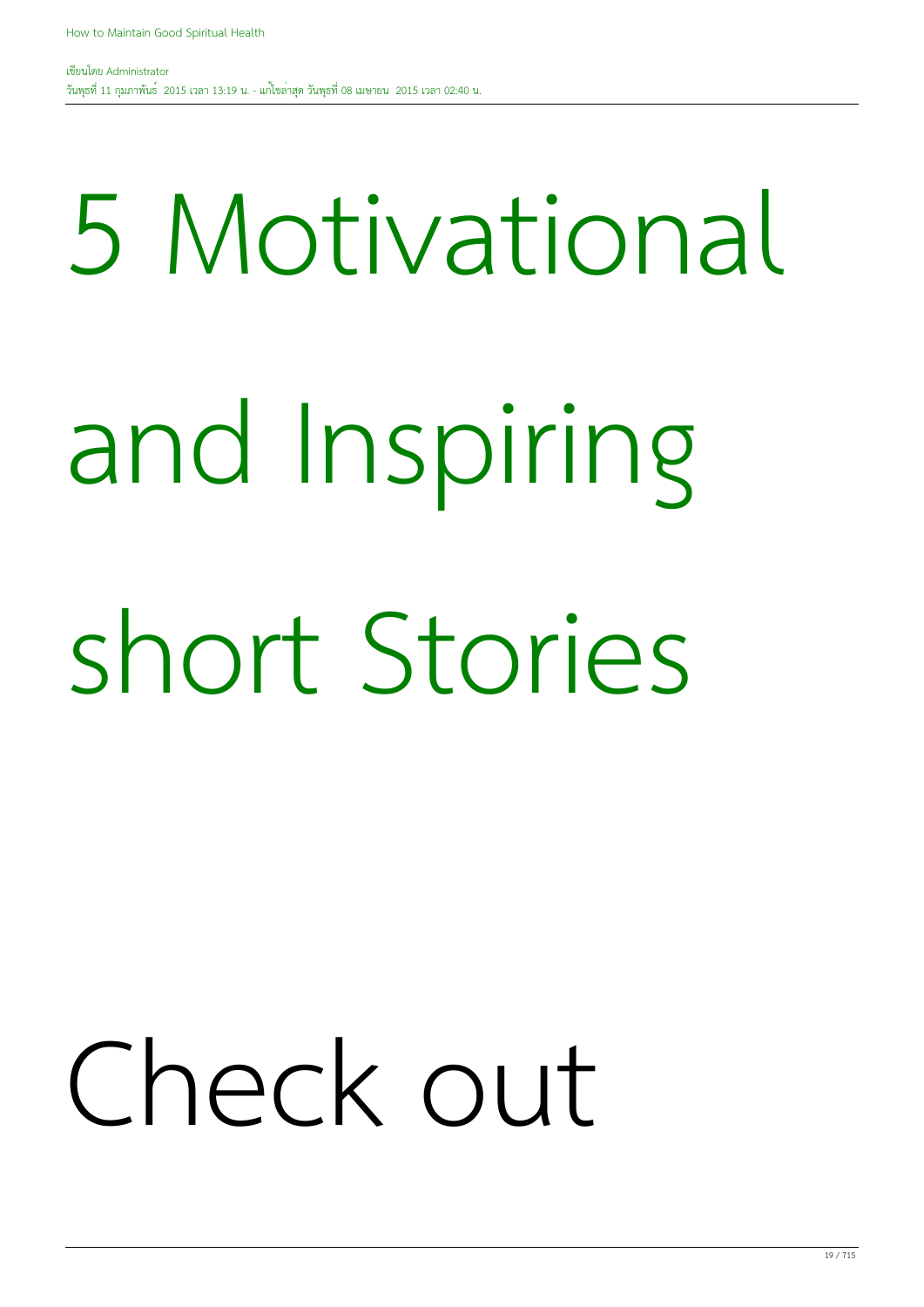## 5 Motivational and Inspiring short Stories

#### Check out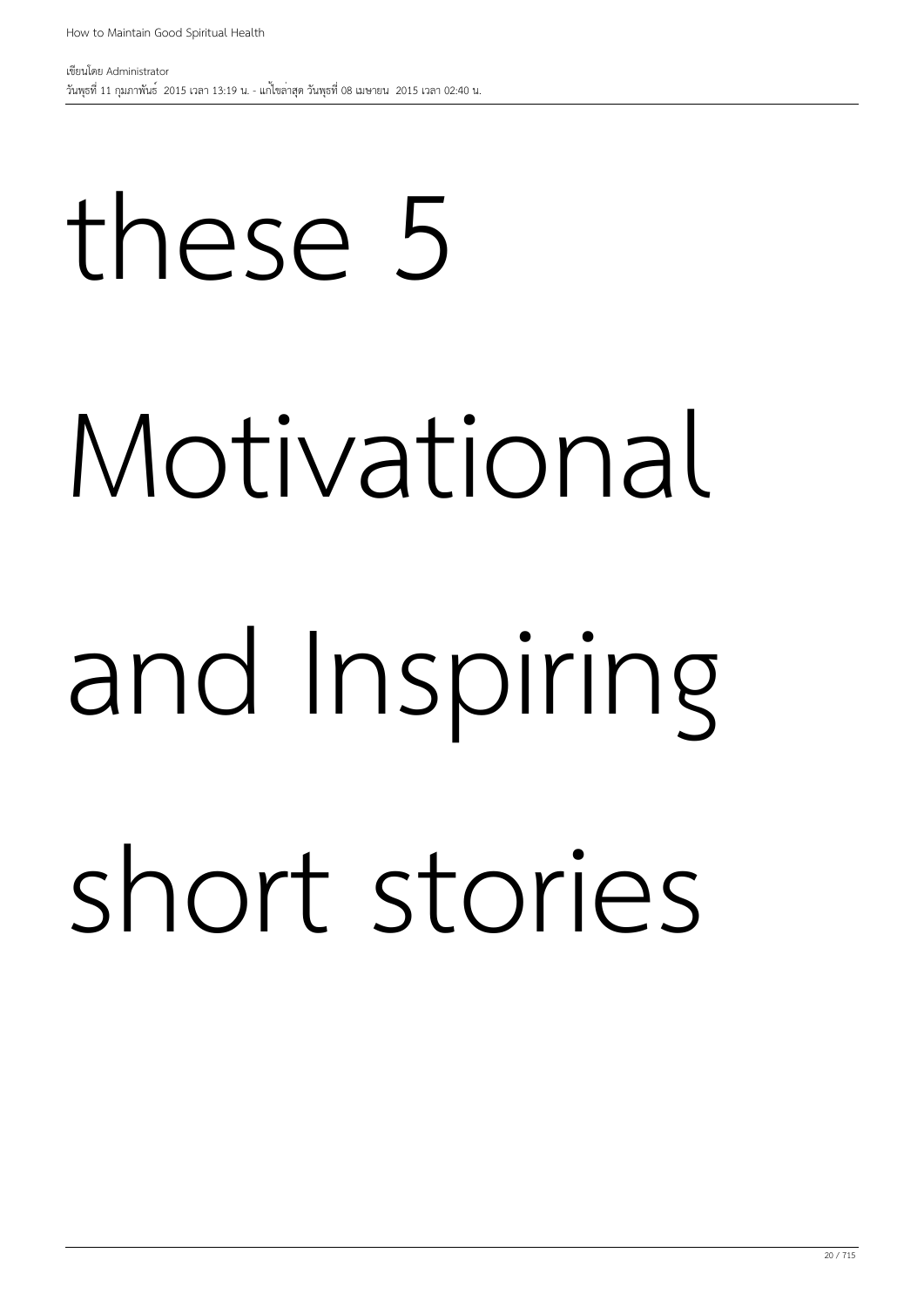## these 5 Motivational and Inspiring short stories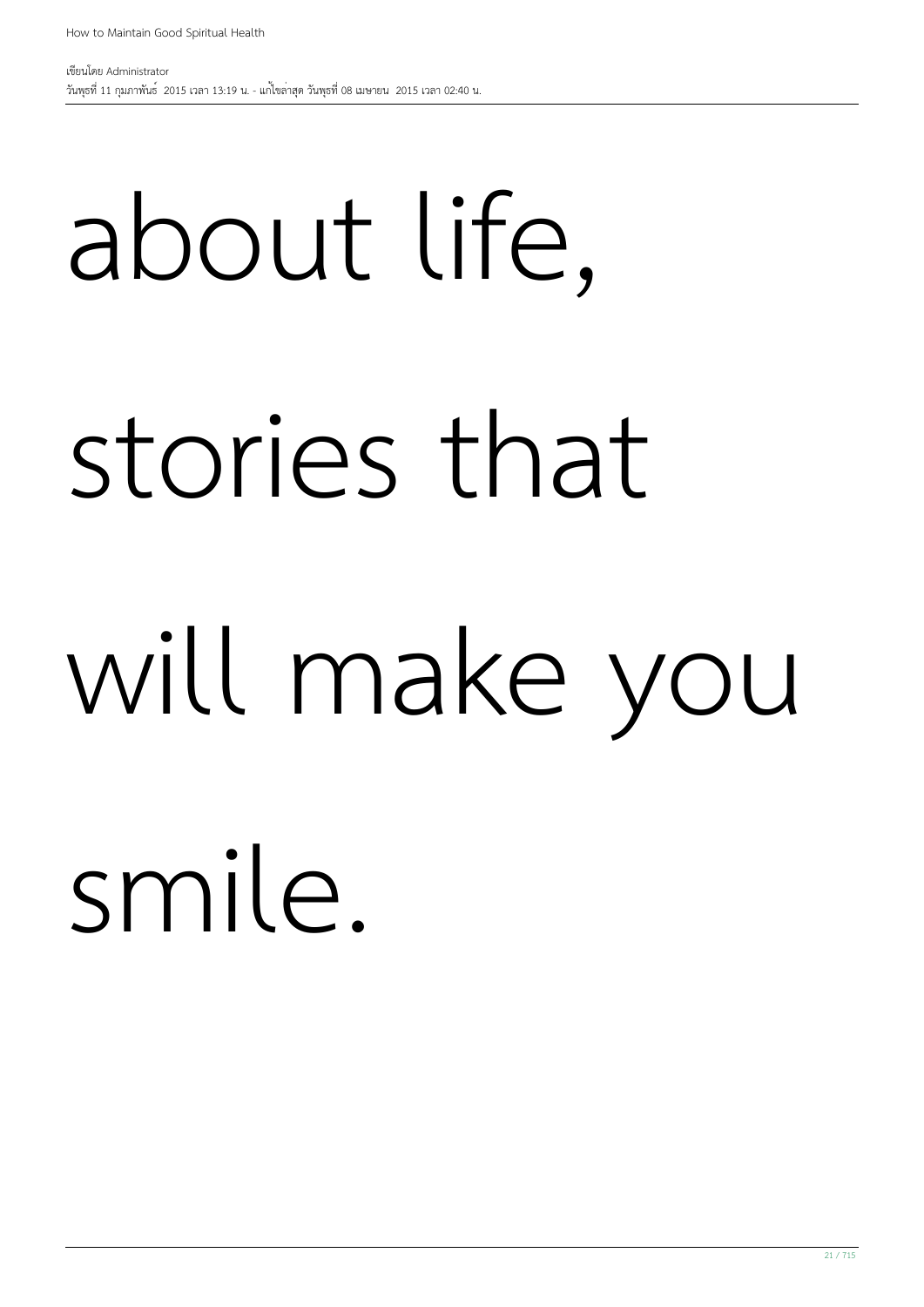## about life, stories that will make you smile.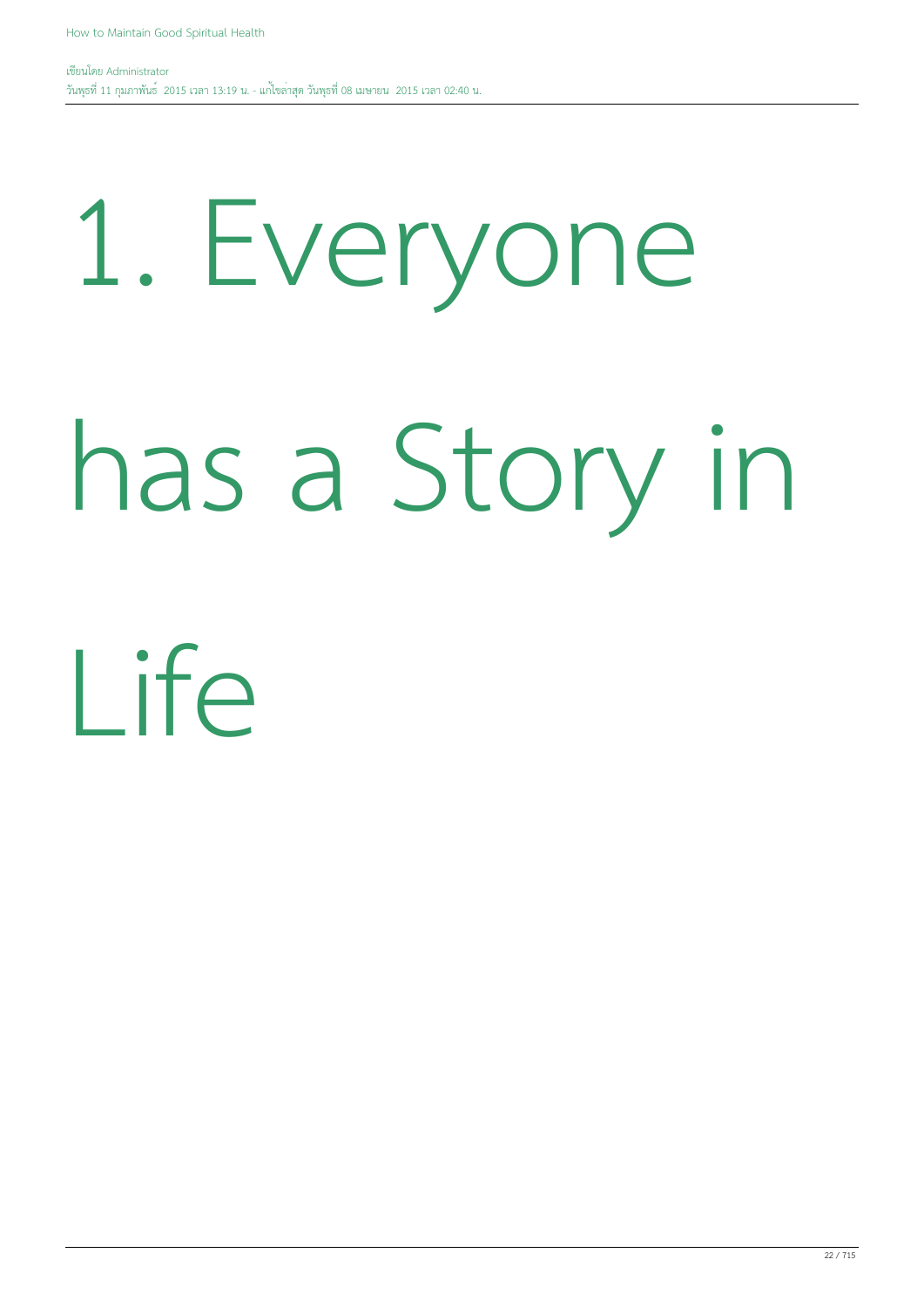## 1. Everyone has a Story in

Life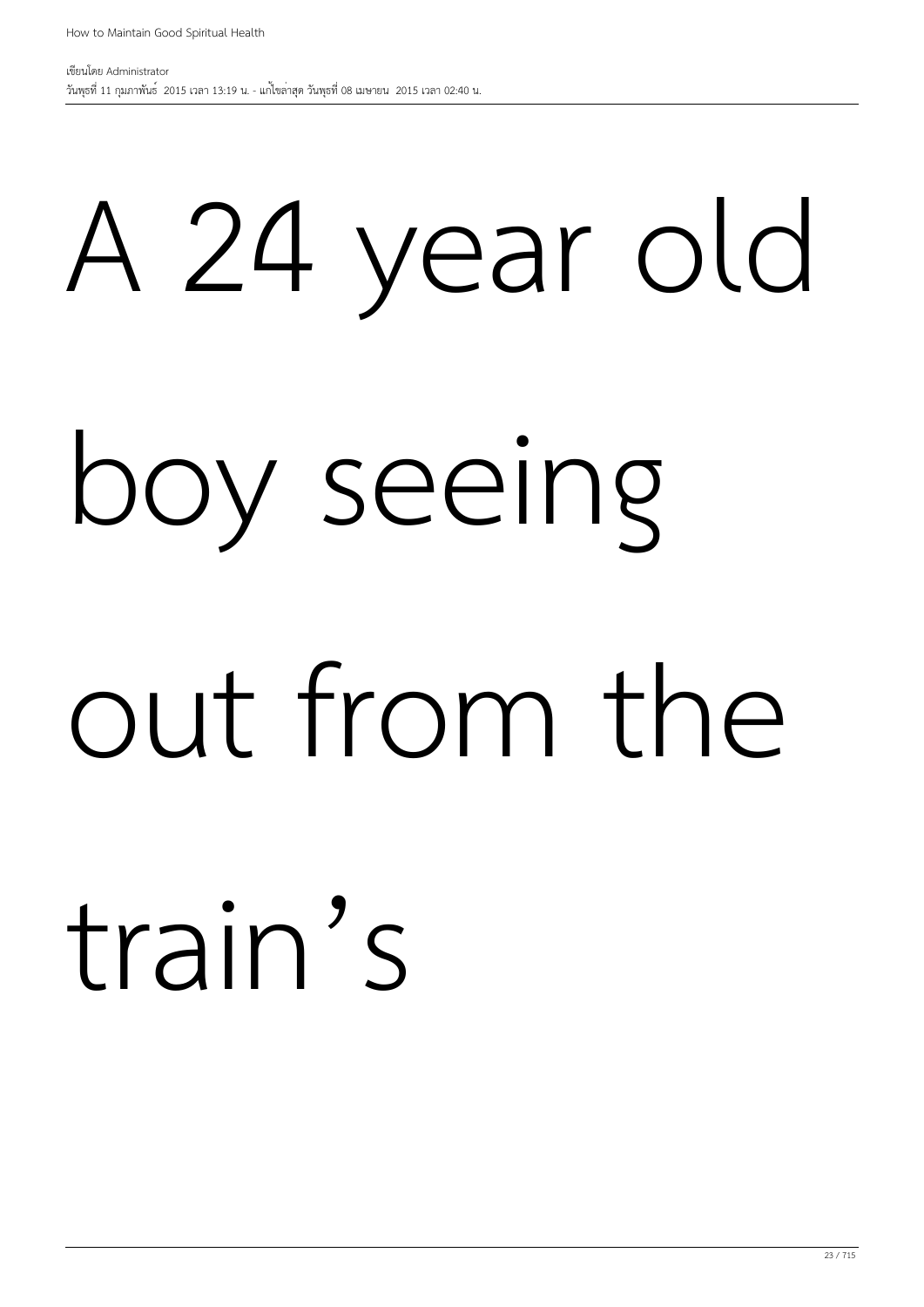## A 24 year old

#### boy seeing

#### out from the

#### train's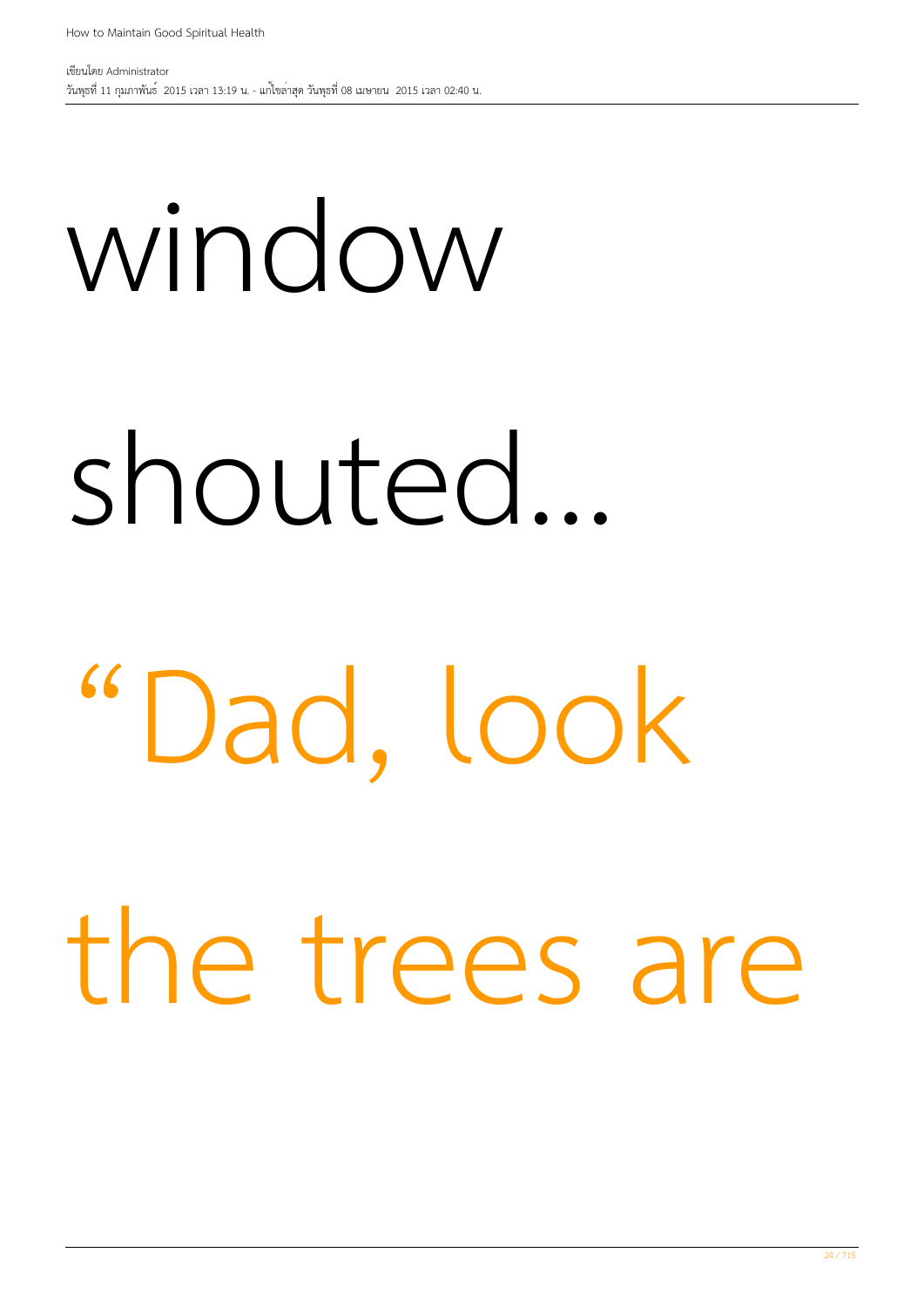# window shouted… "Dad, look the trees are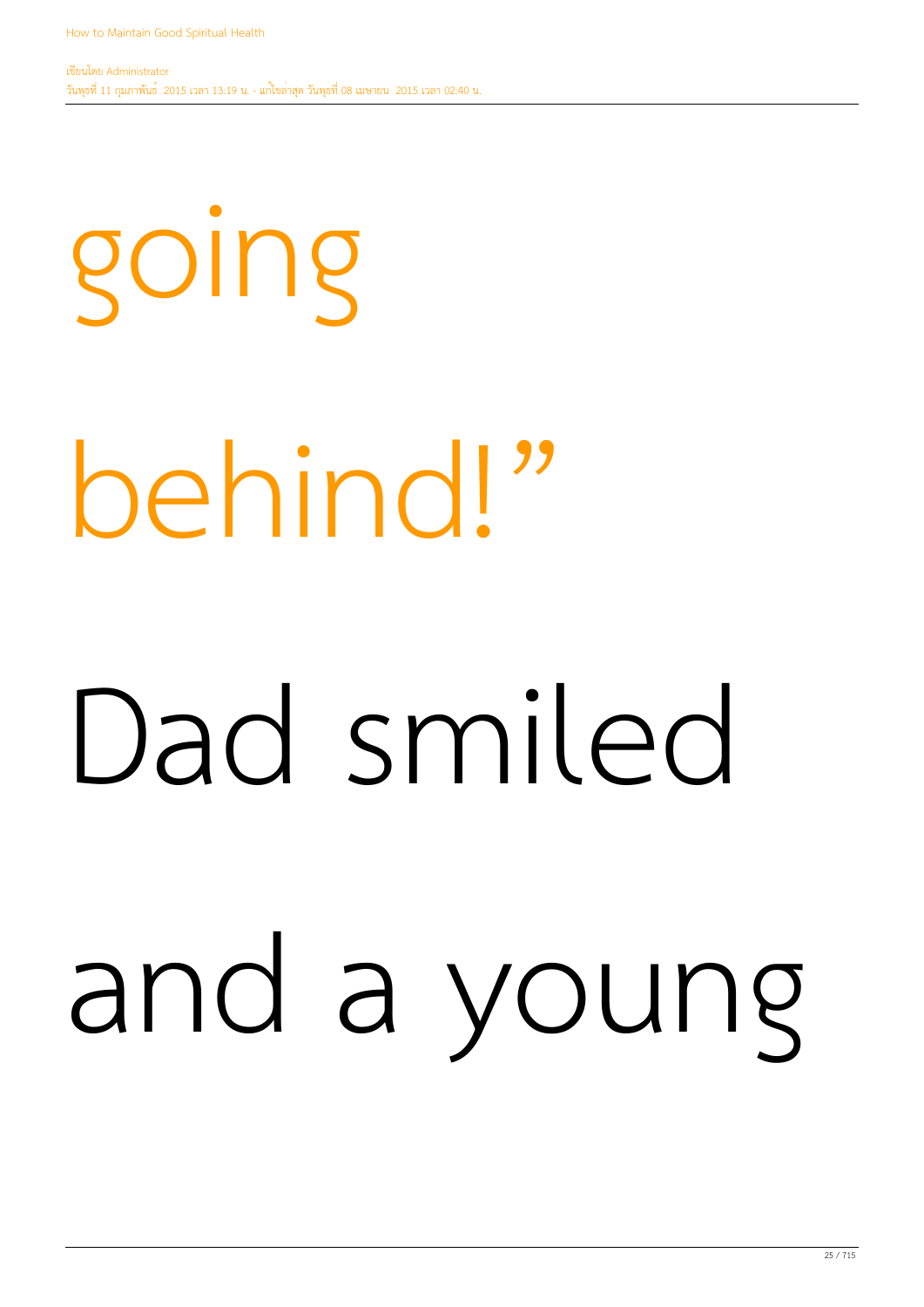# going behind!" Dad smiled and a young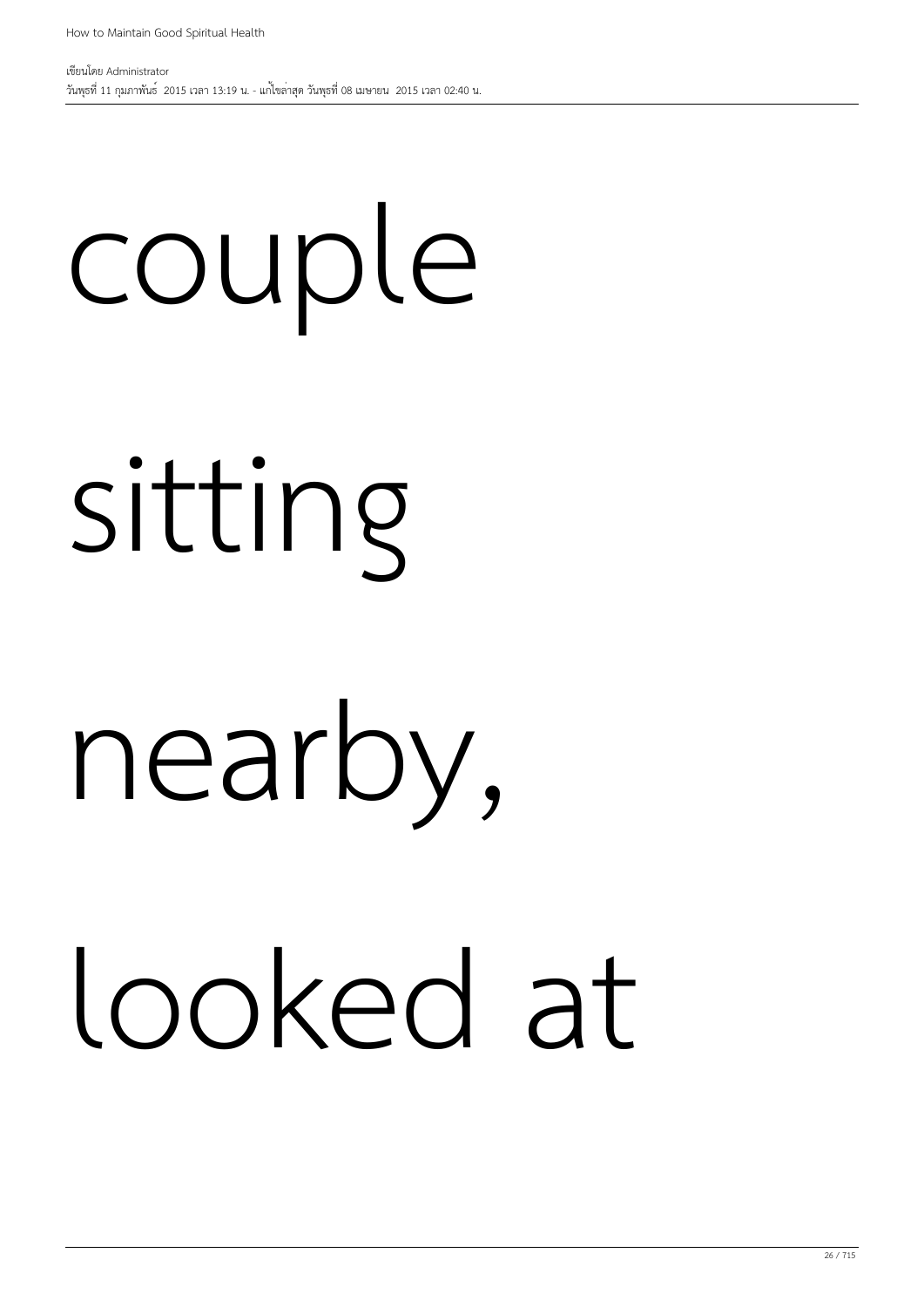## couple

### sitting

### nearby,

### looked at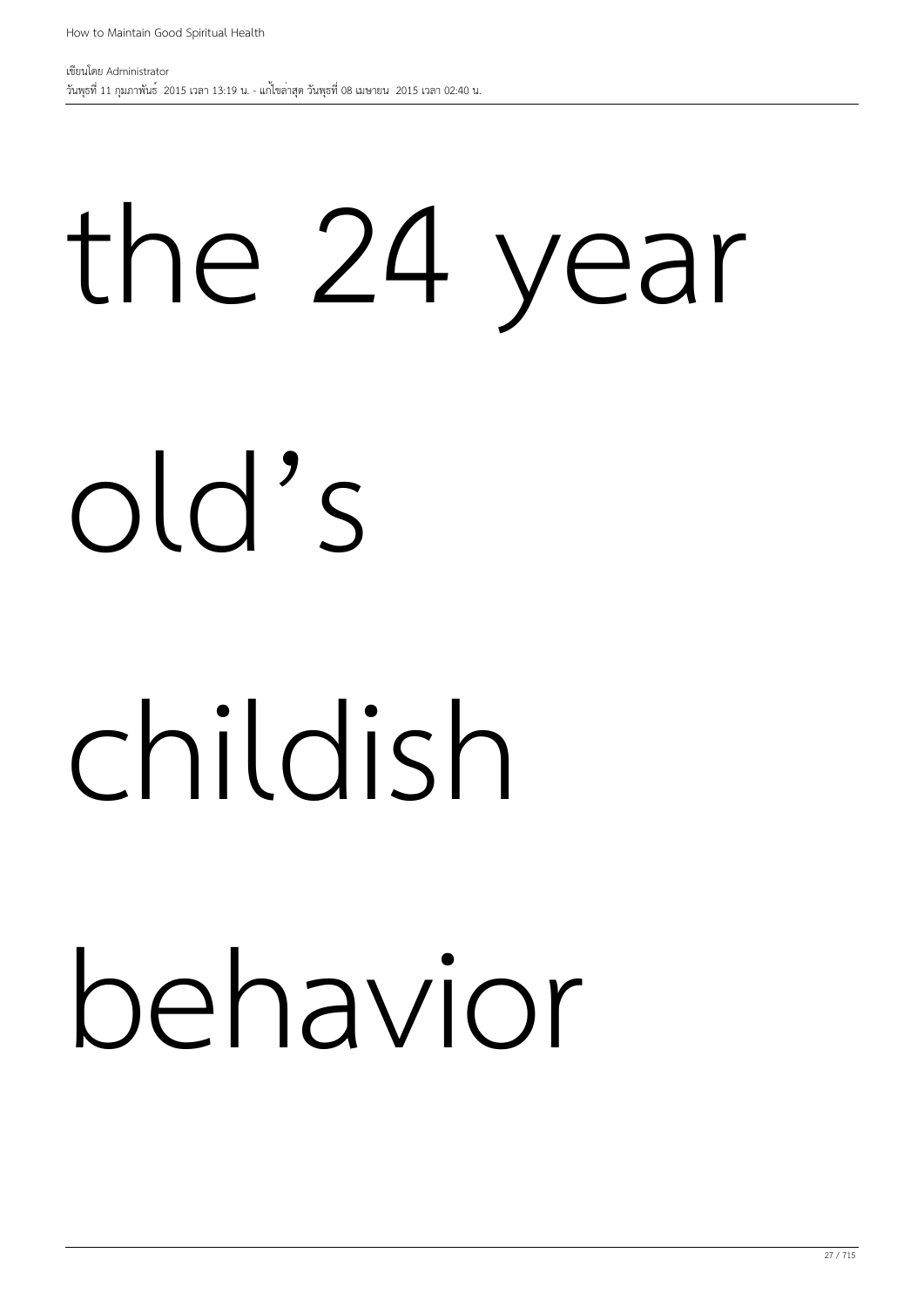### the 24 year

### old's

### childish

### behavior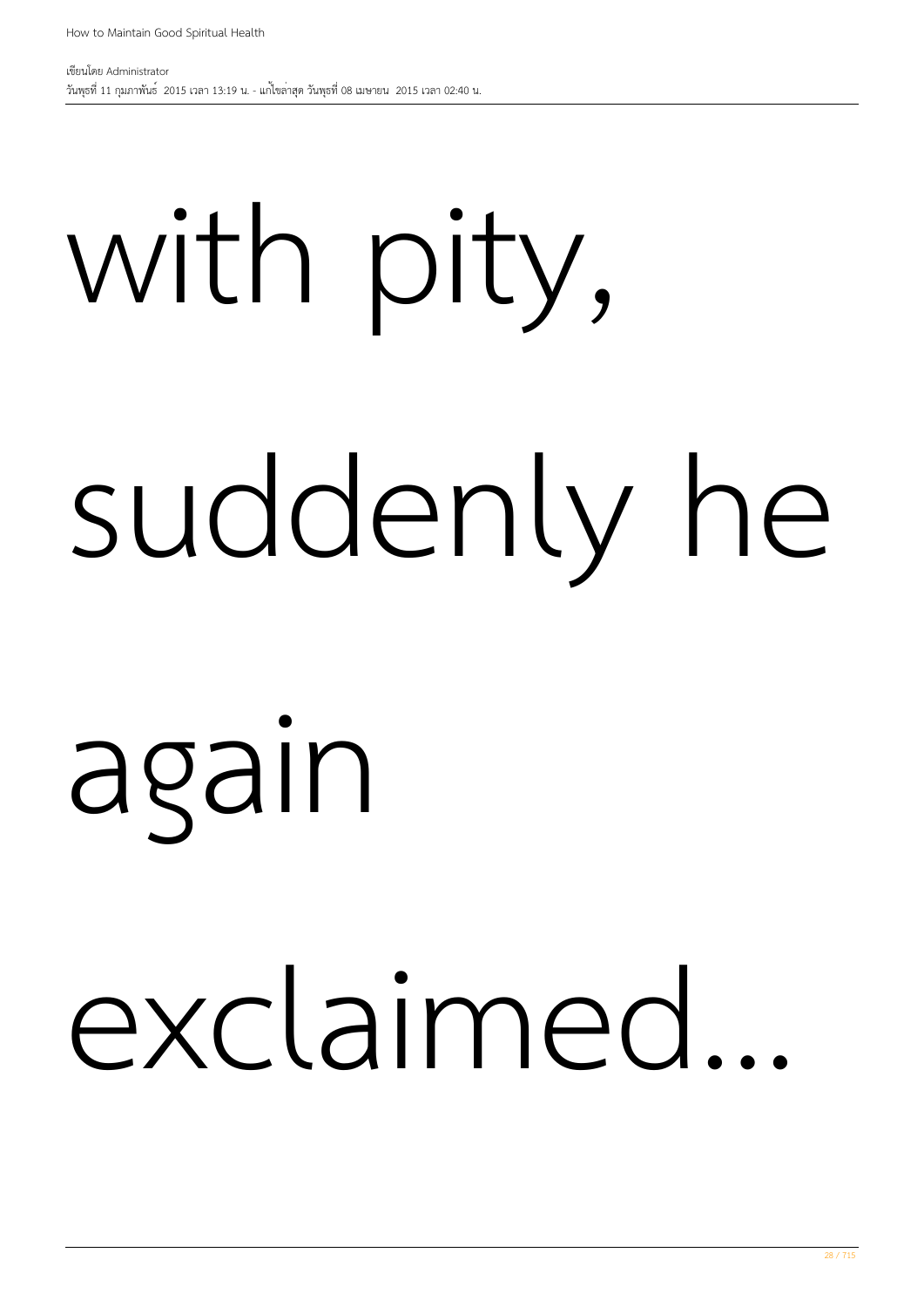## with pity, suddenly he

### again

### exclaimed…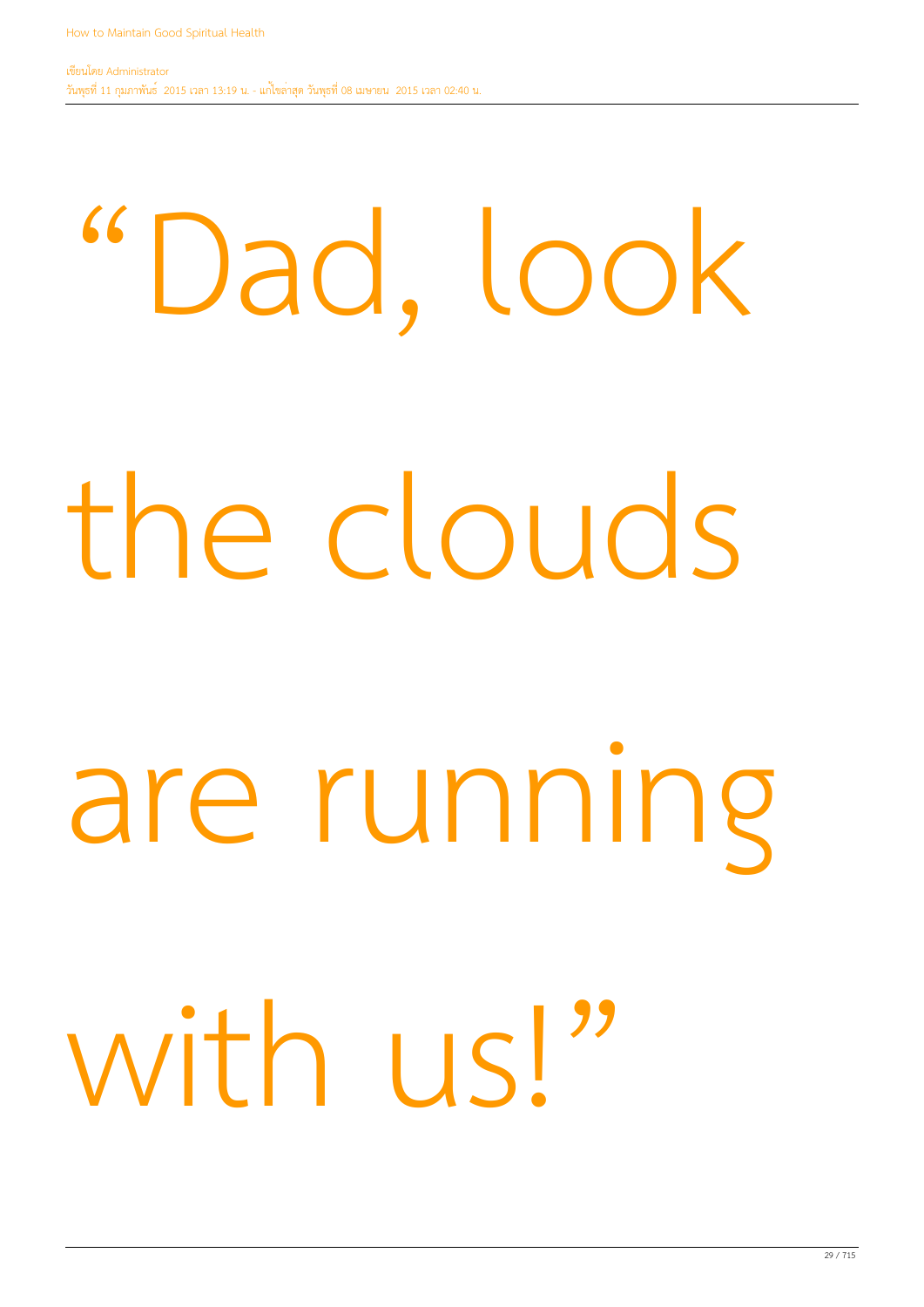# "Dad, look the clouds are running with us!"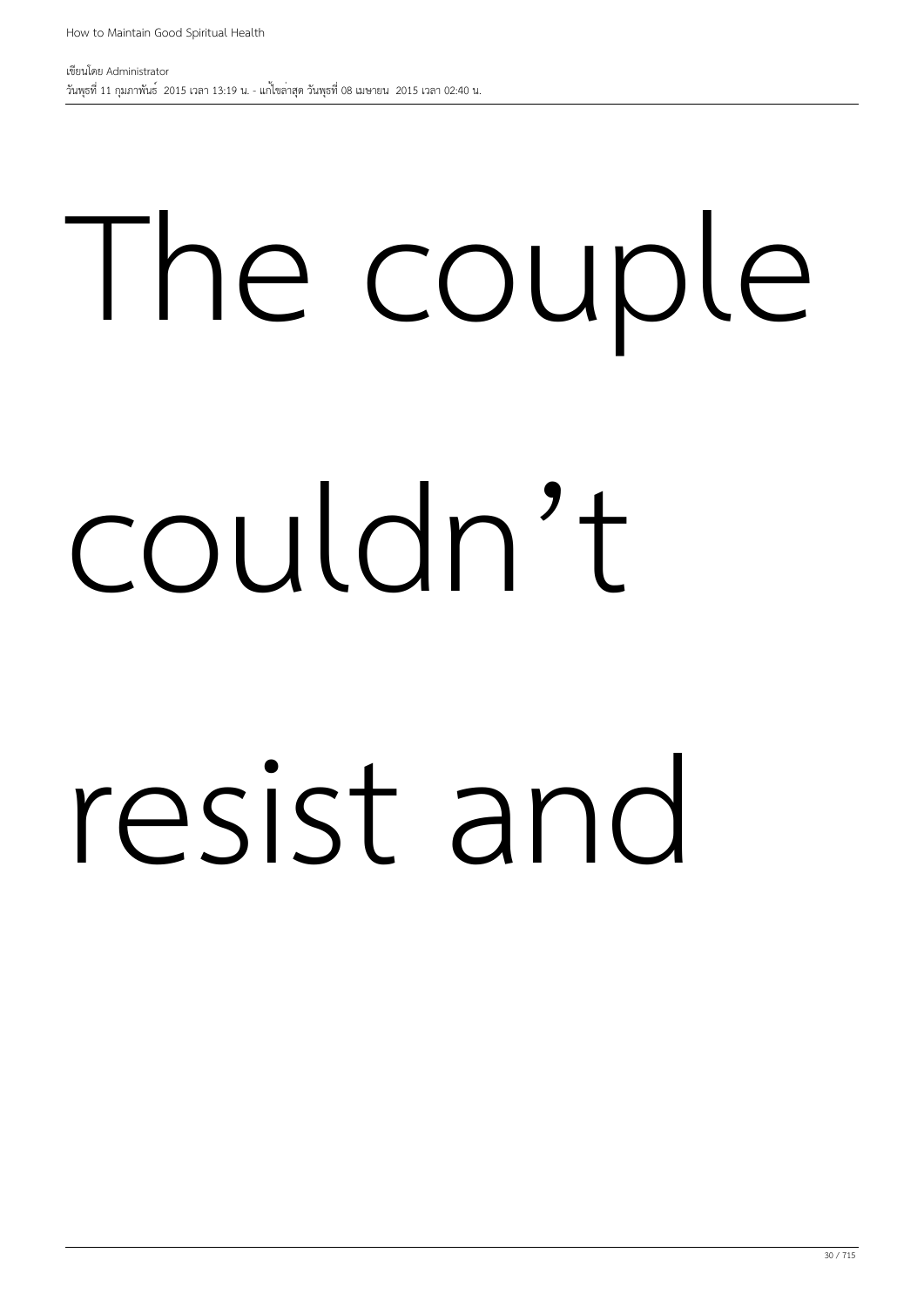# The couple couldn't resist and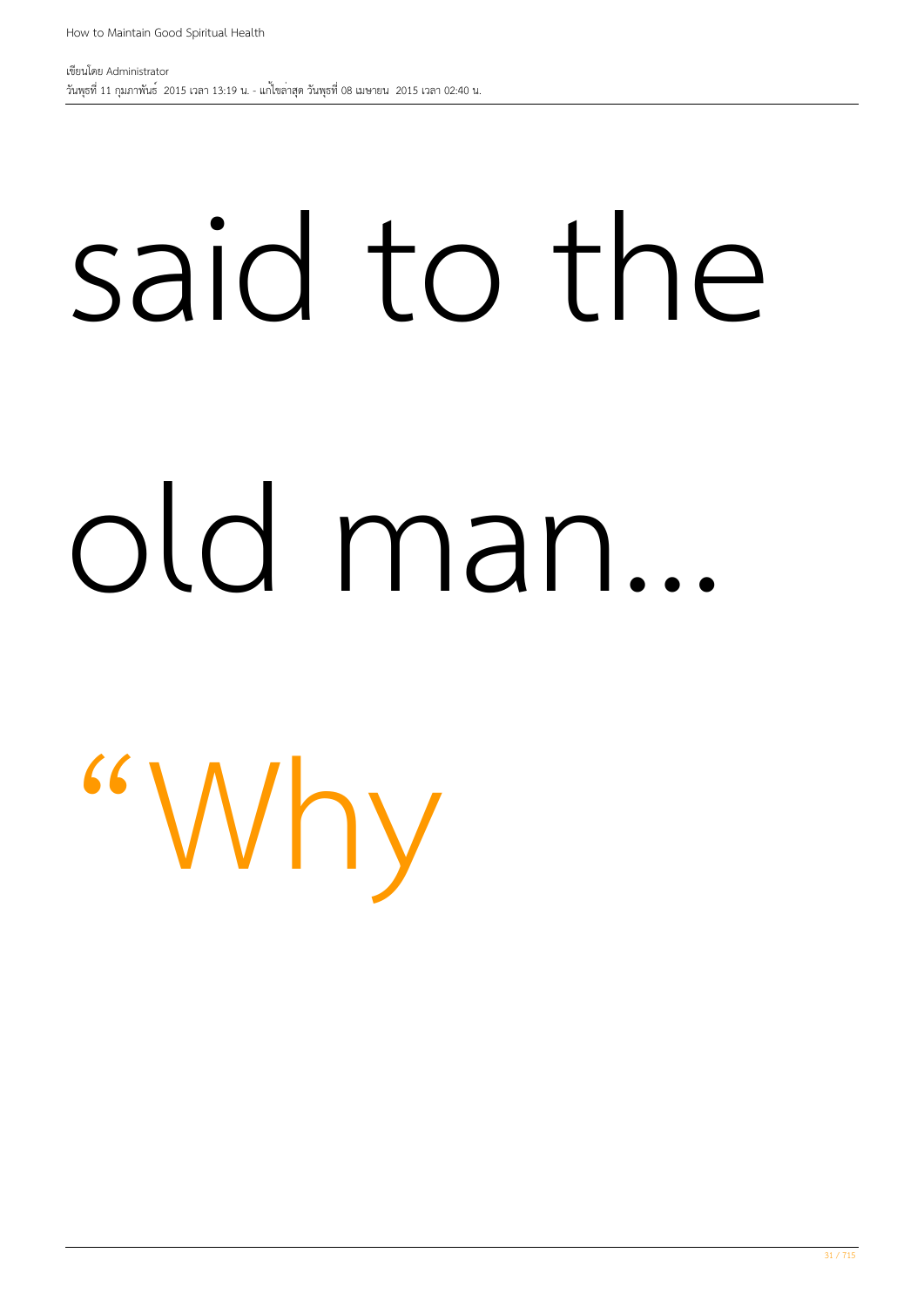# said to the old man… "Why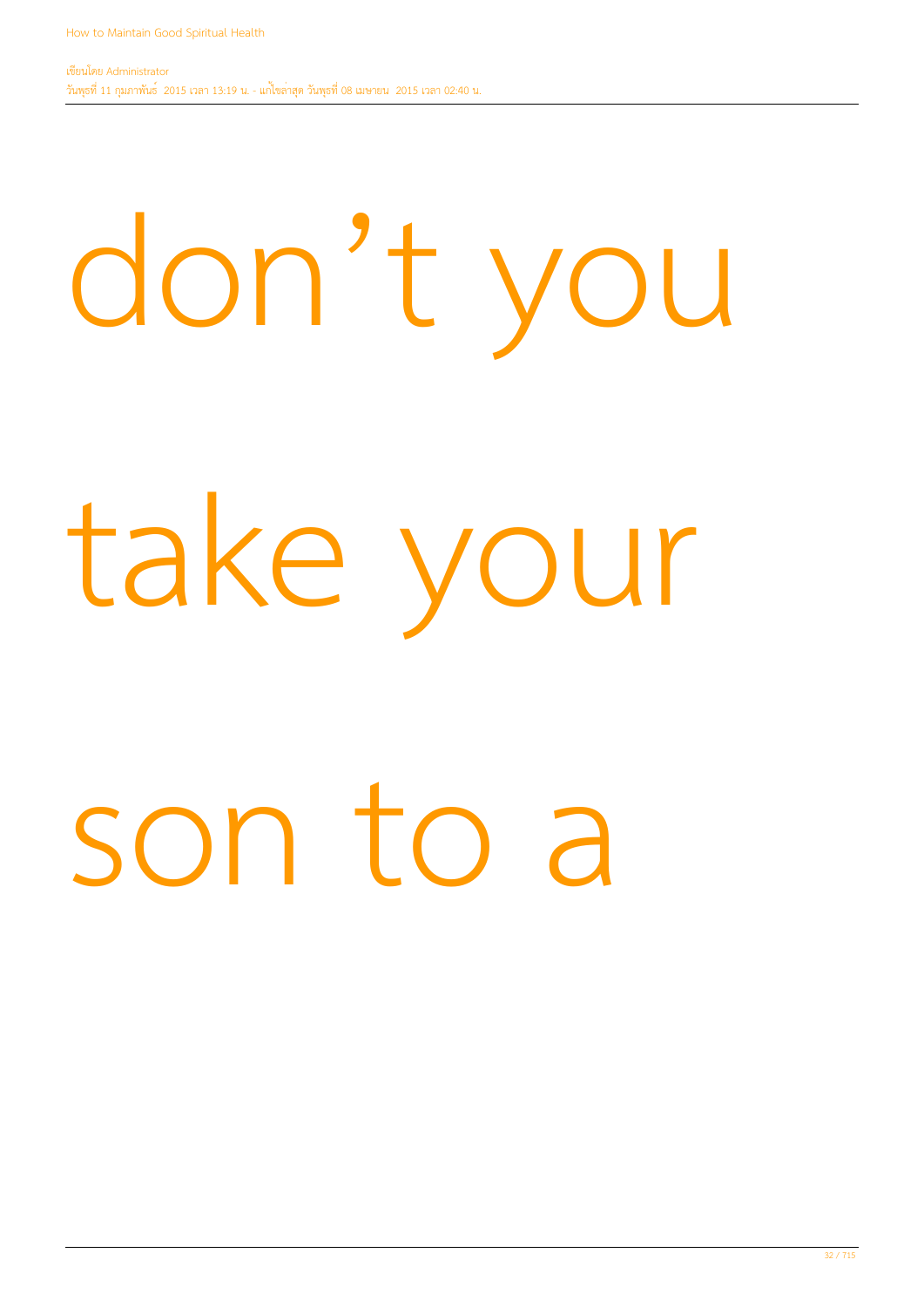# don't you take your son to a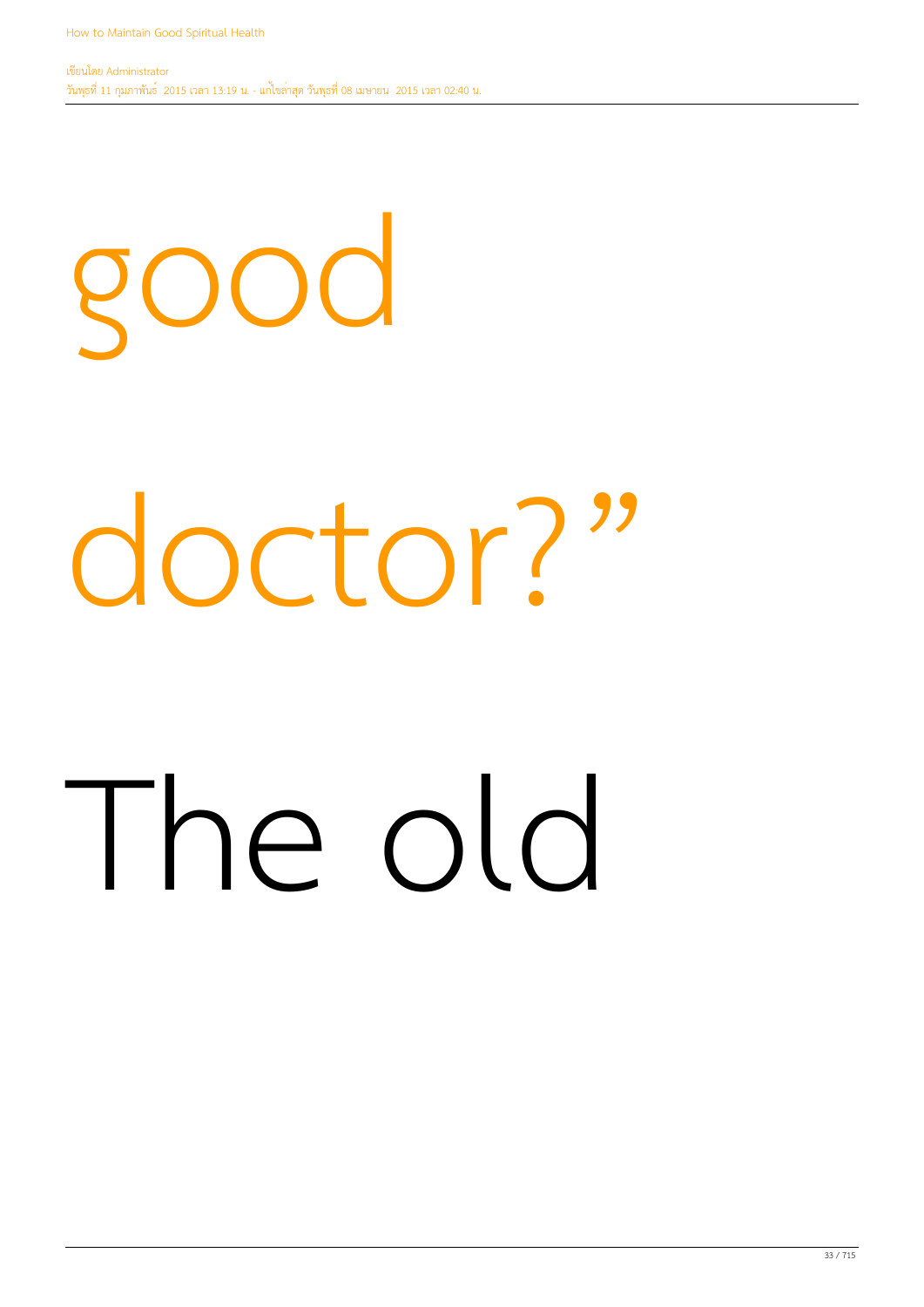# good doctor?" The old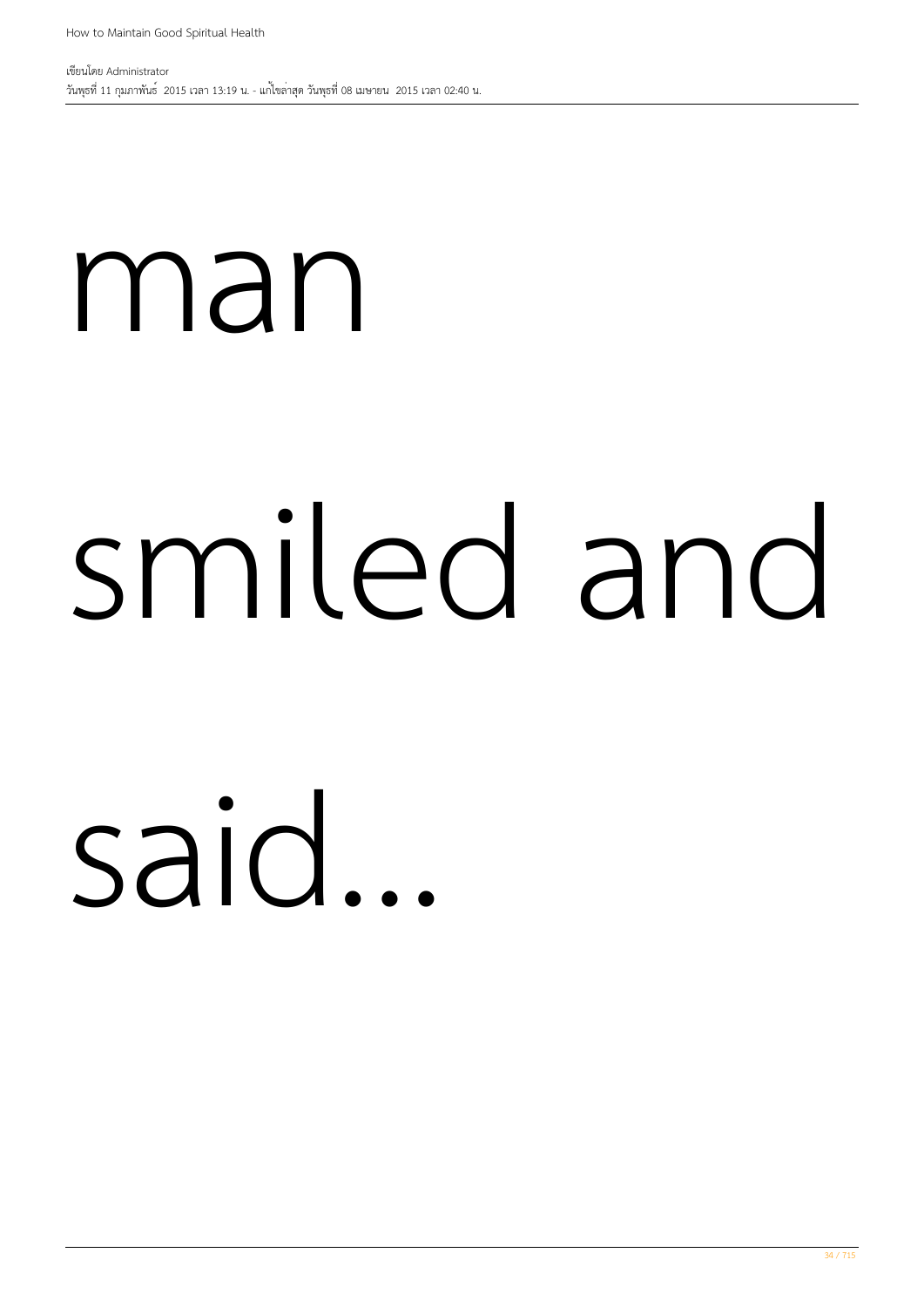# man smiled and said…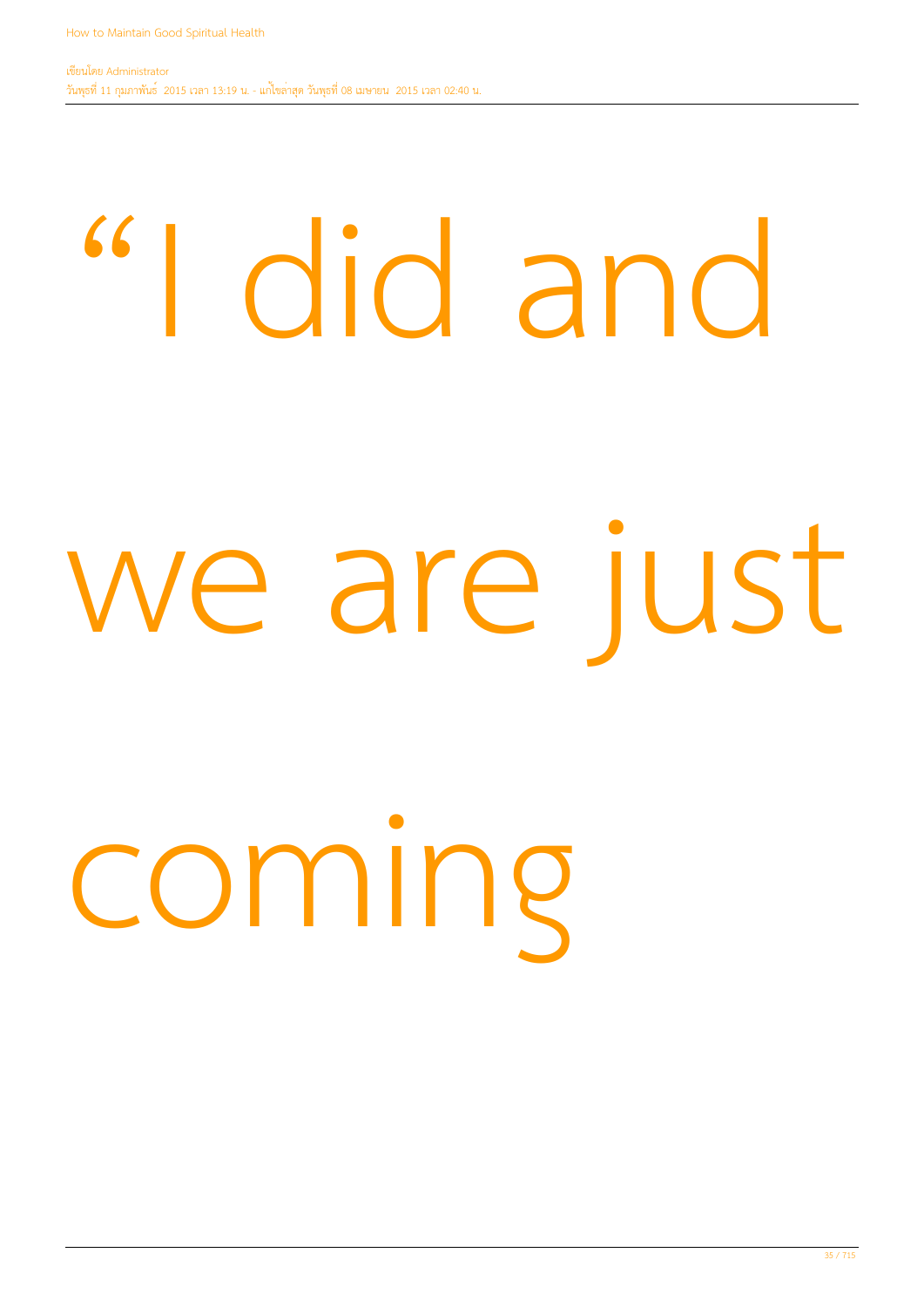# "I did and we are just coming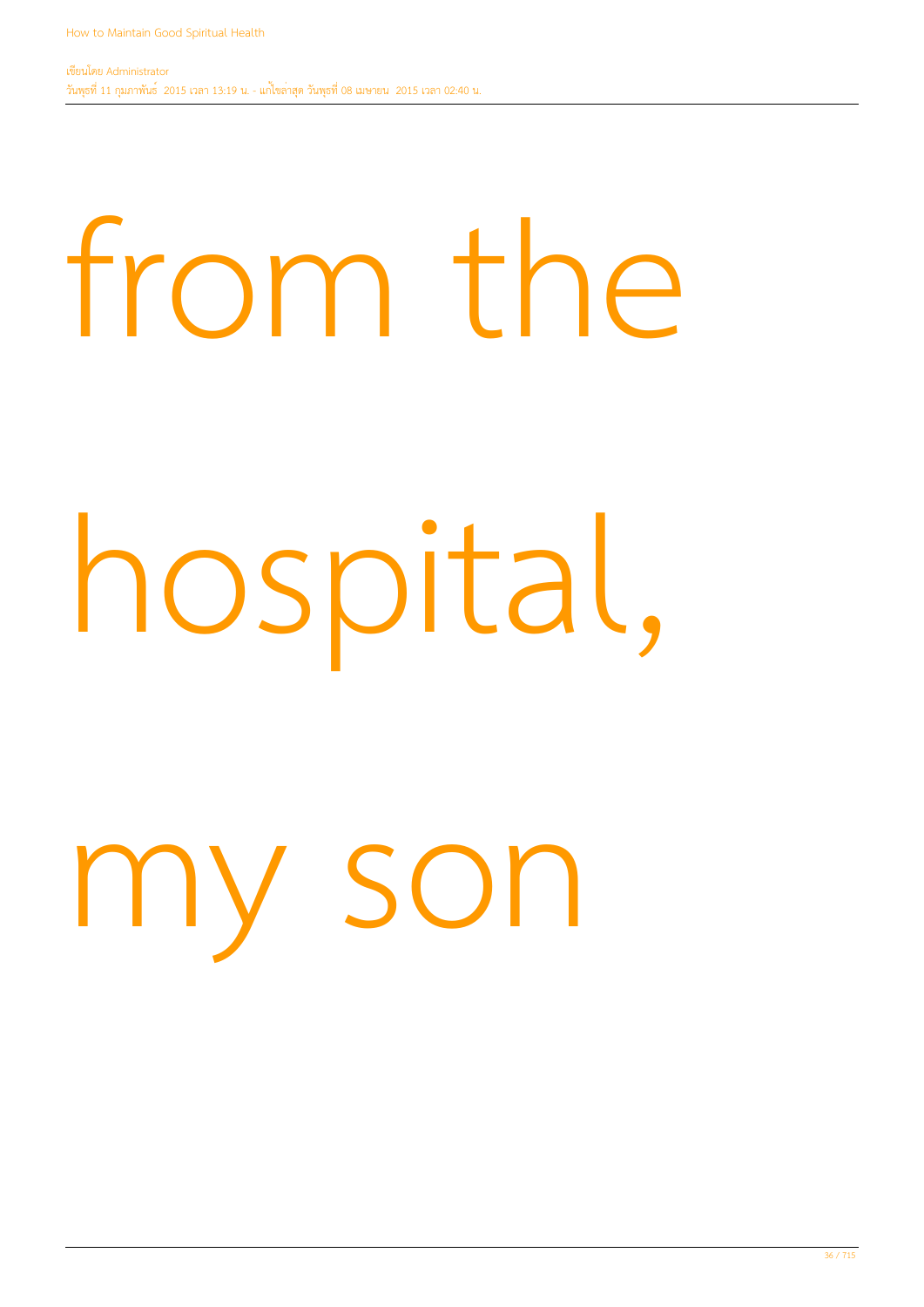# from the hospital,

my son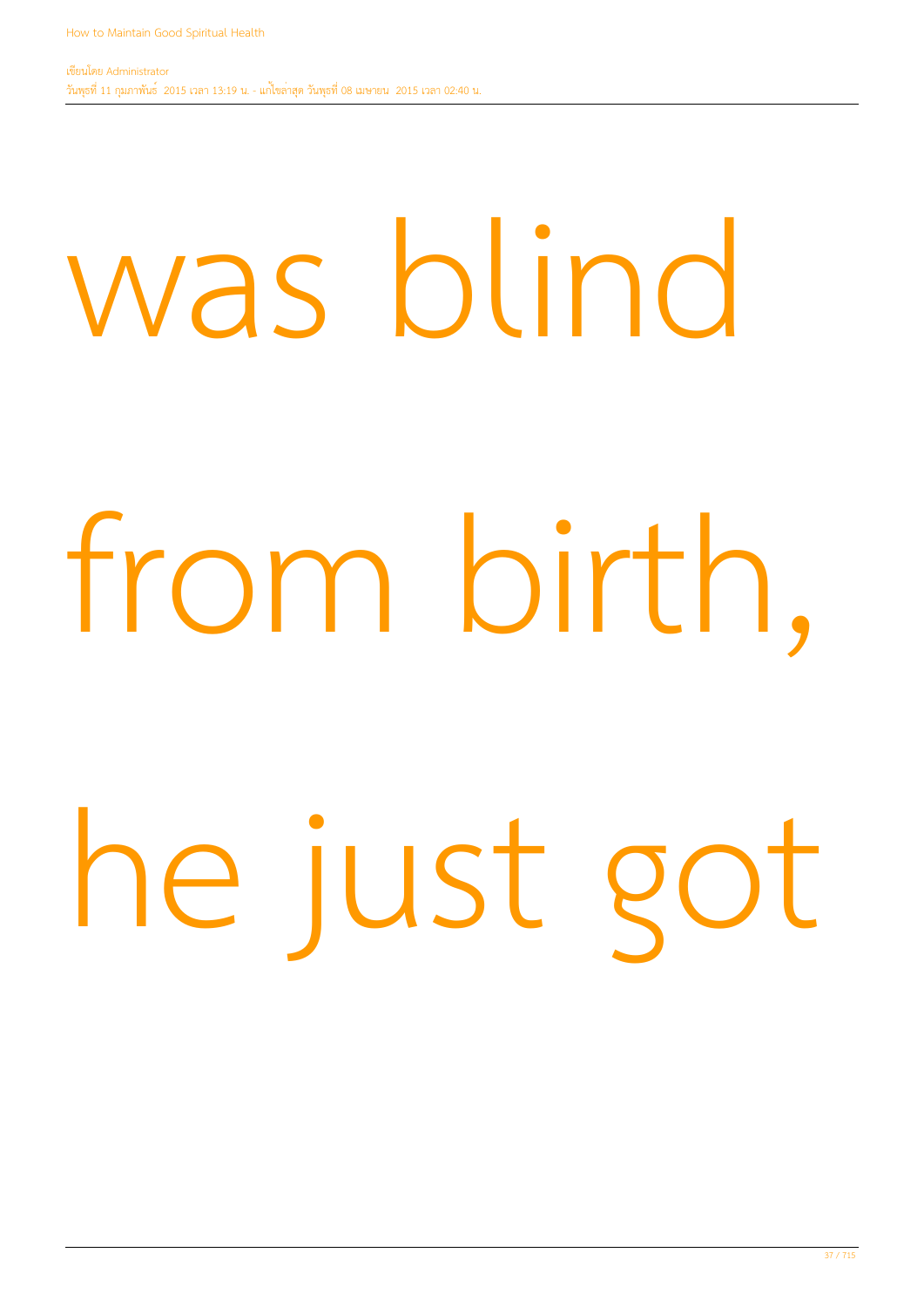# was blind from birth, he just got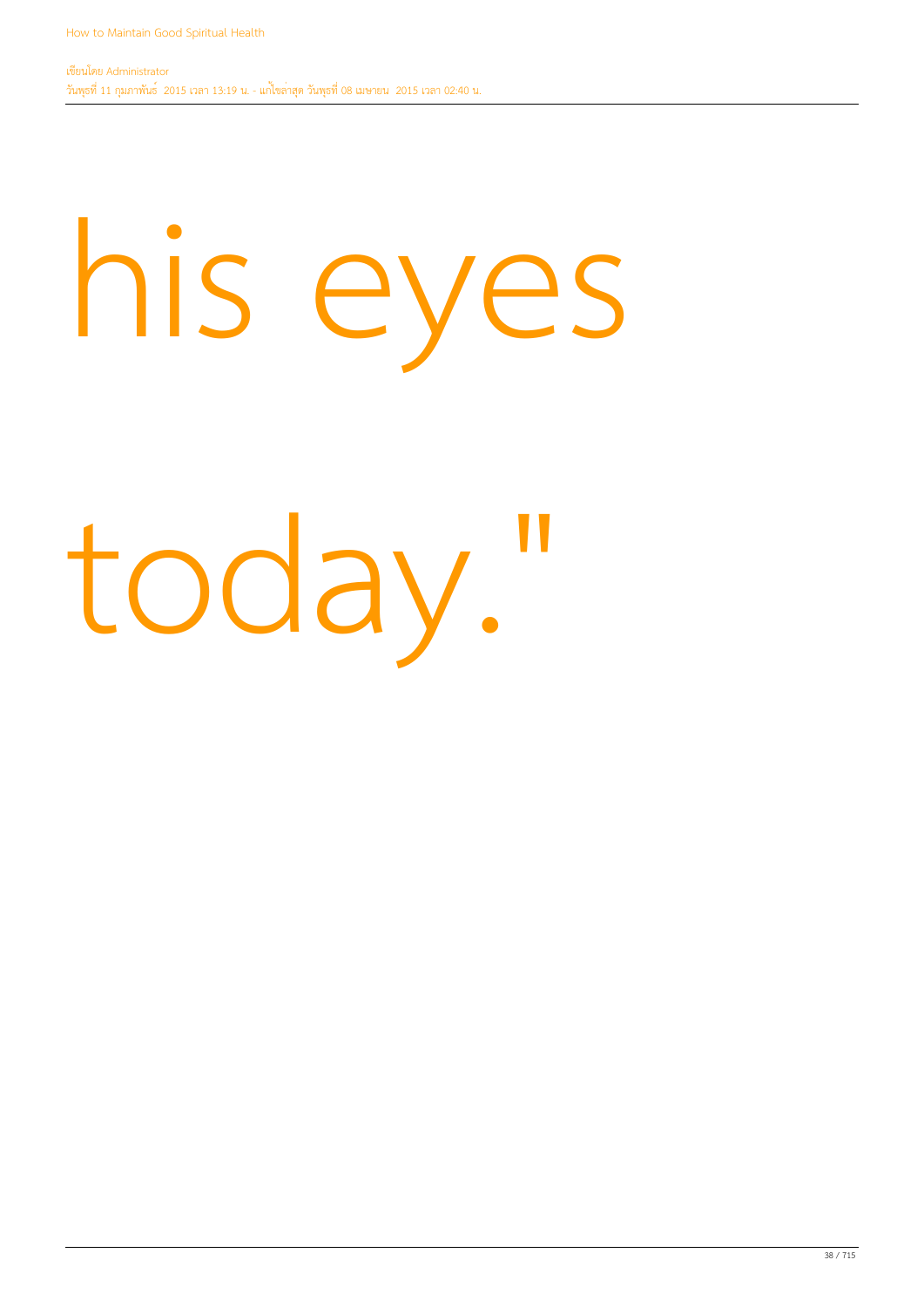เขียนโดย Administrator วันพุธที่ 11 กุมภาพันธ์ 2015 เวลา 13:19 น. - แก้ไขล่าสุด วันพุธที่ 08 เมษายน 2015 เวลา 02:40 น.

#### his eyes

today.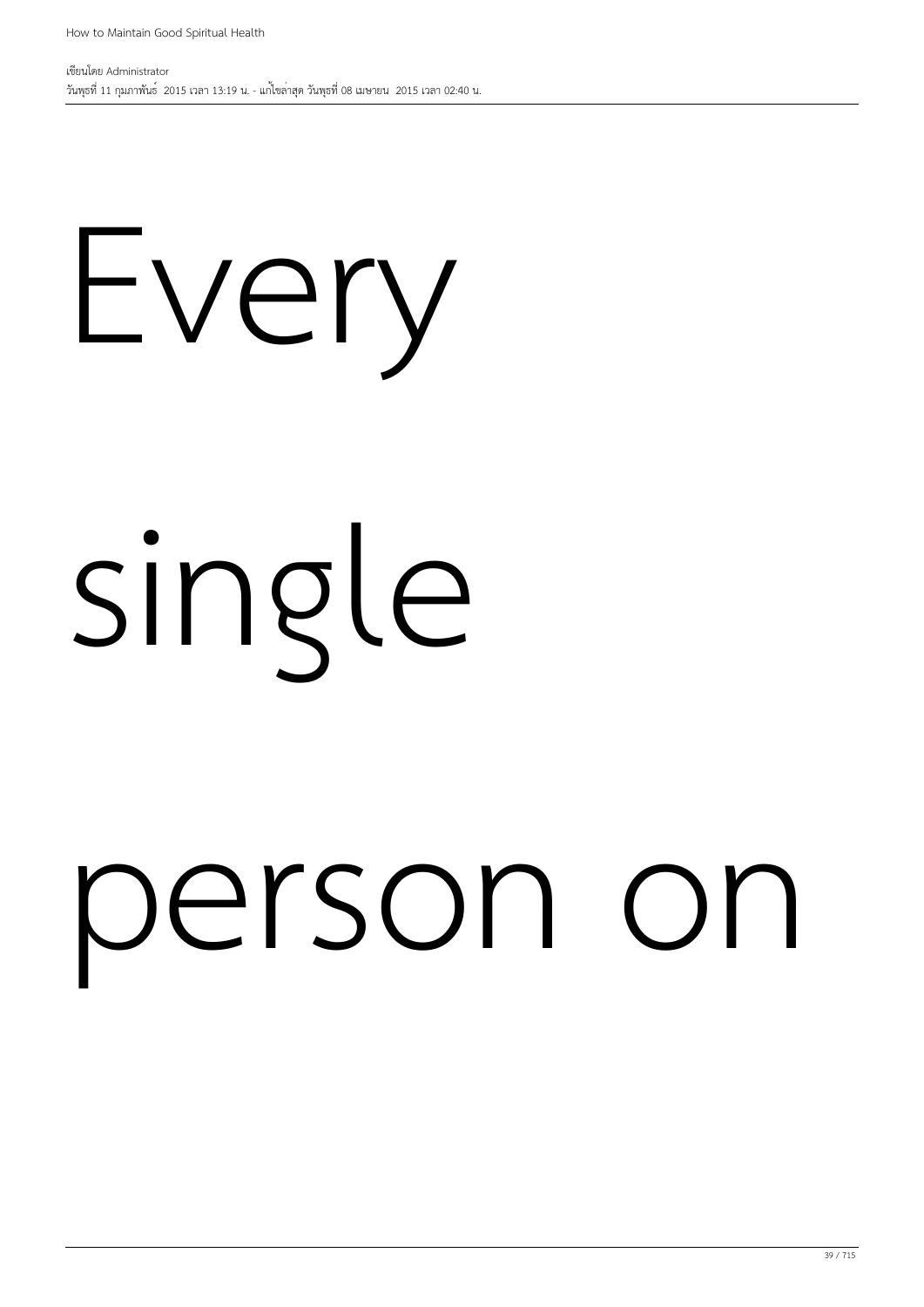# Every single person on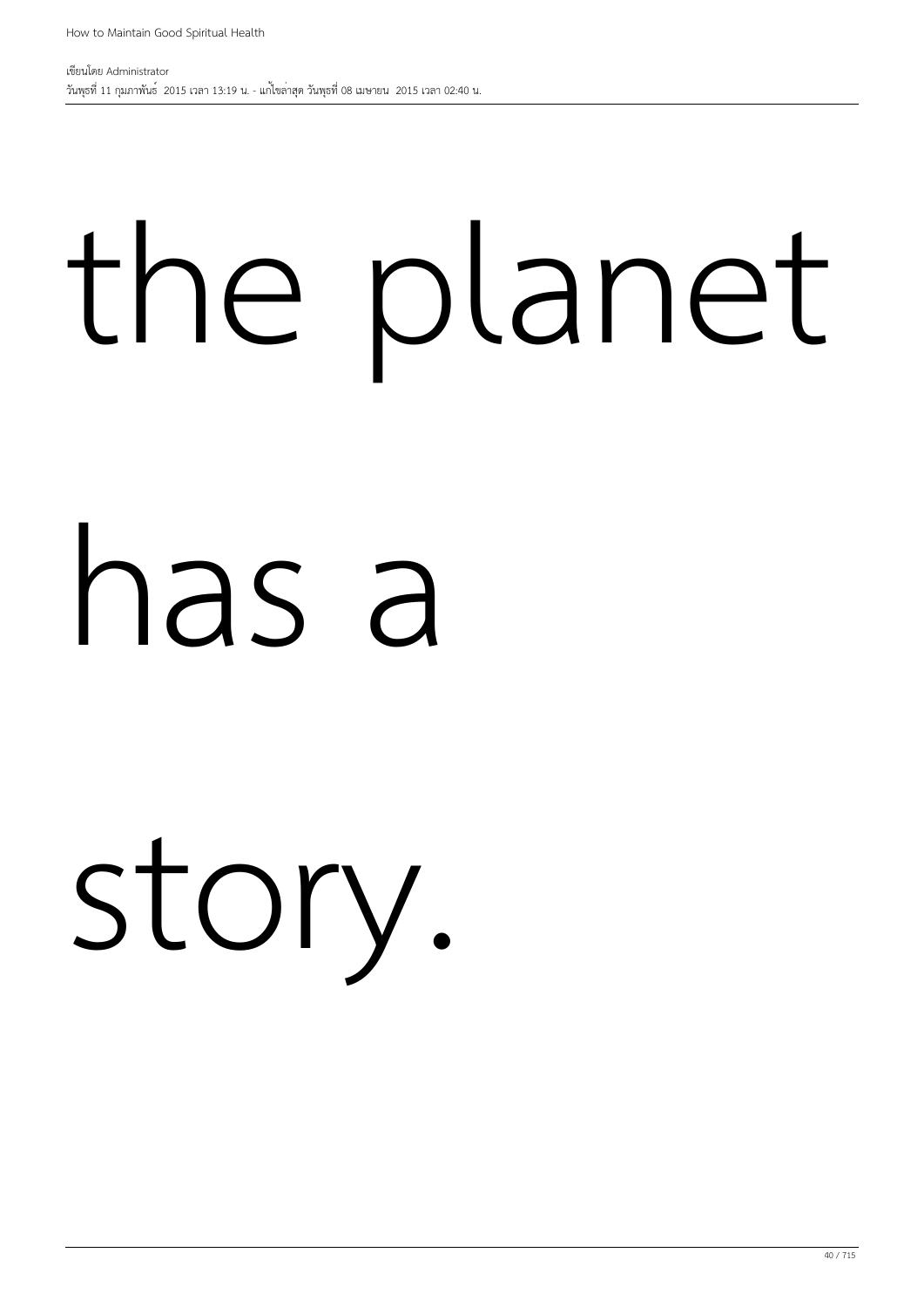## the planet has a

#### story.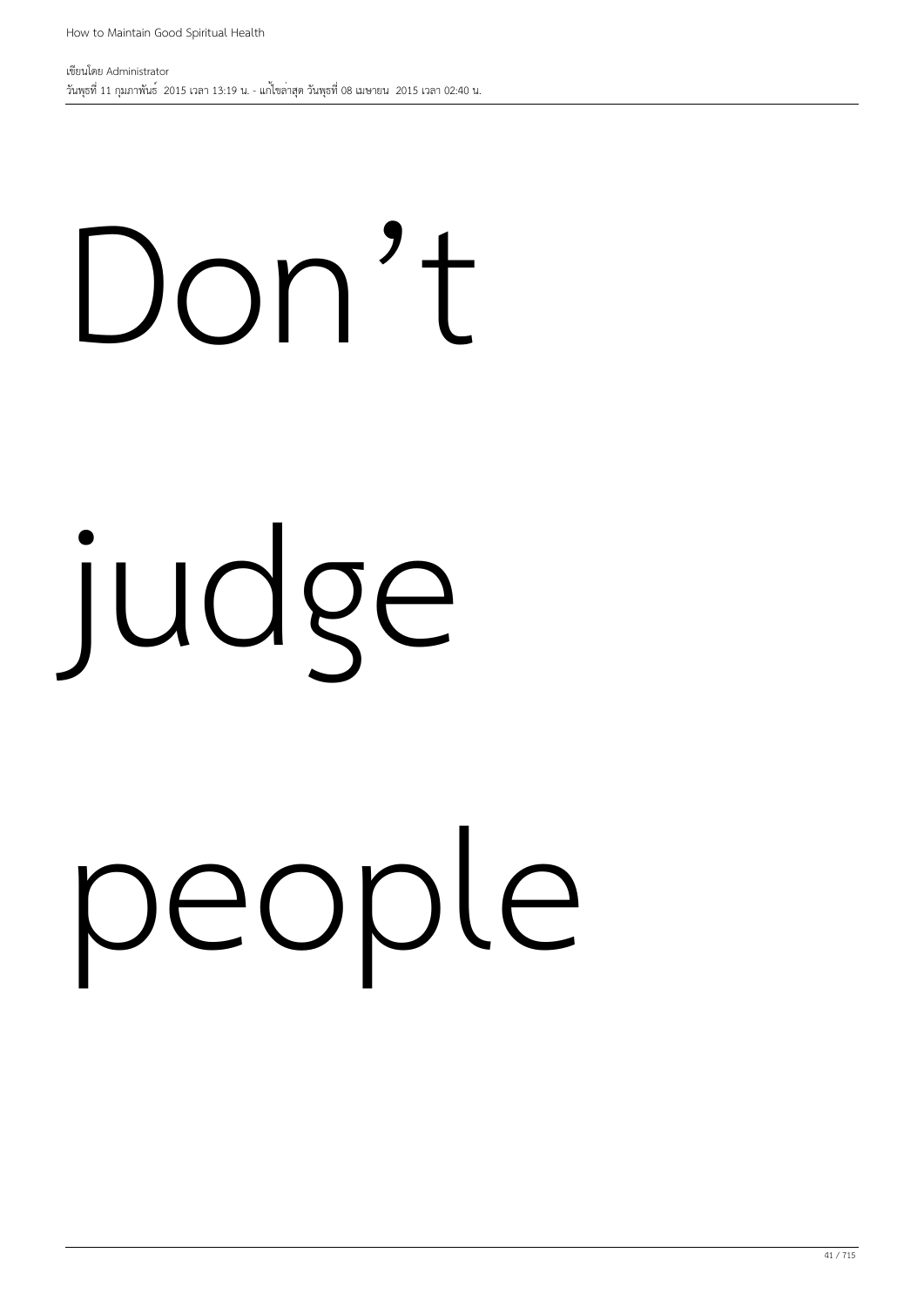# Don't judge people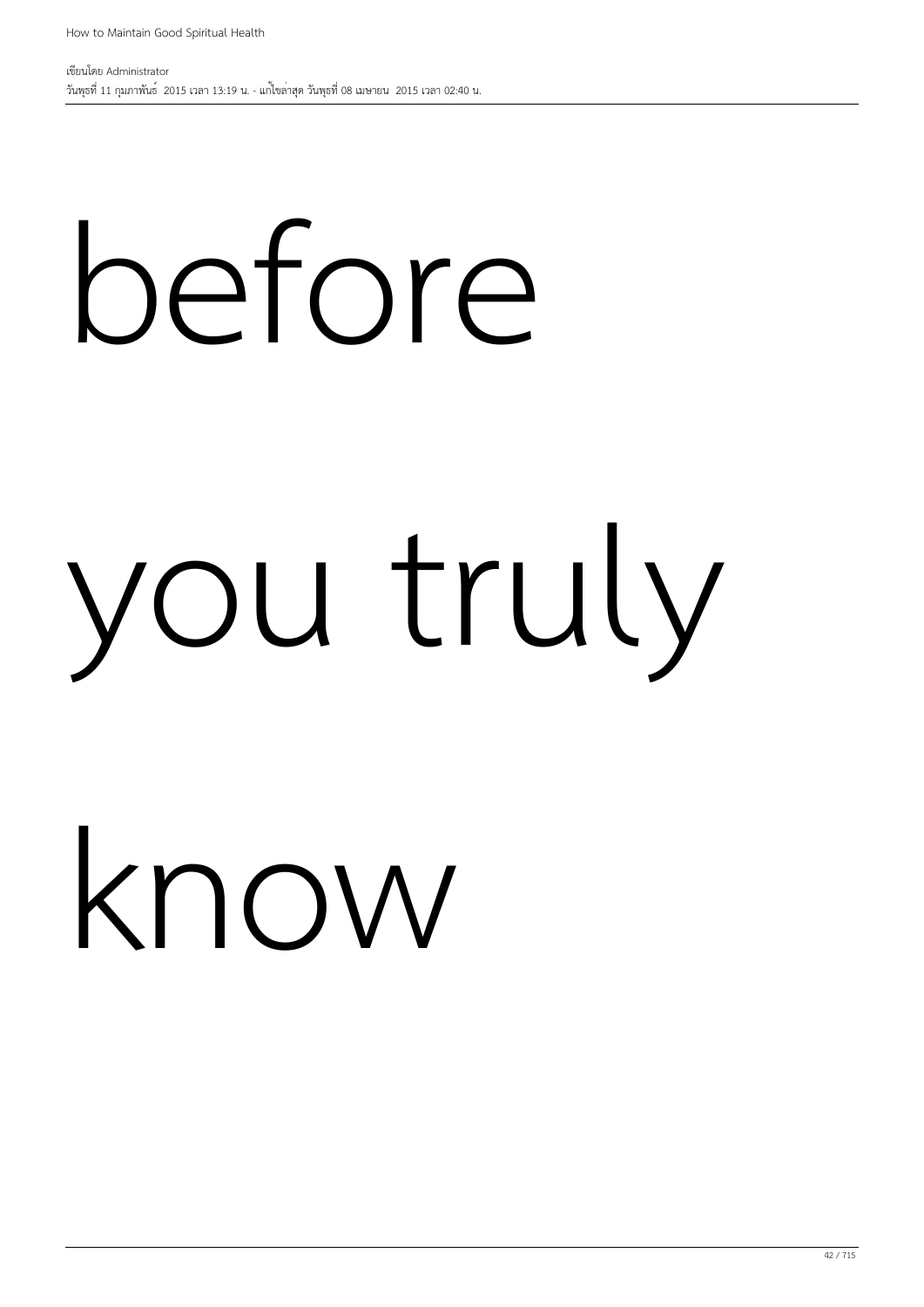# before you truly

#### know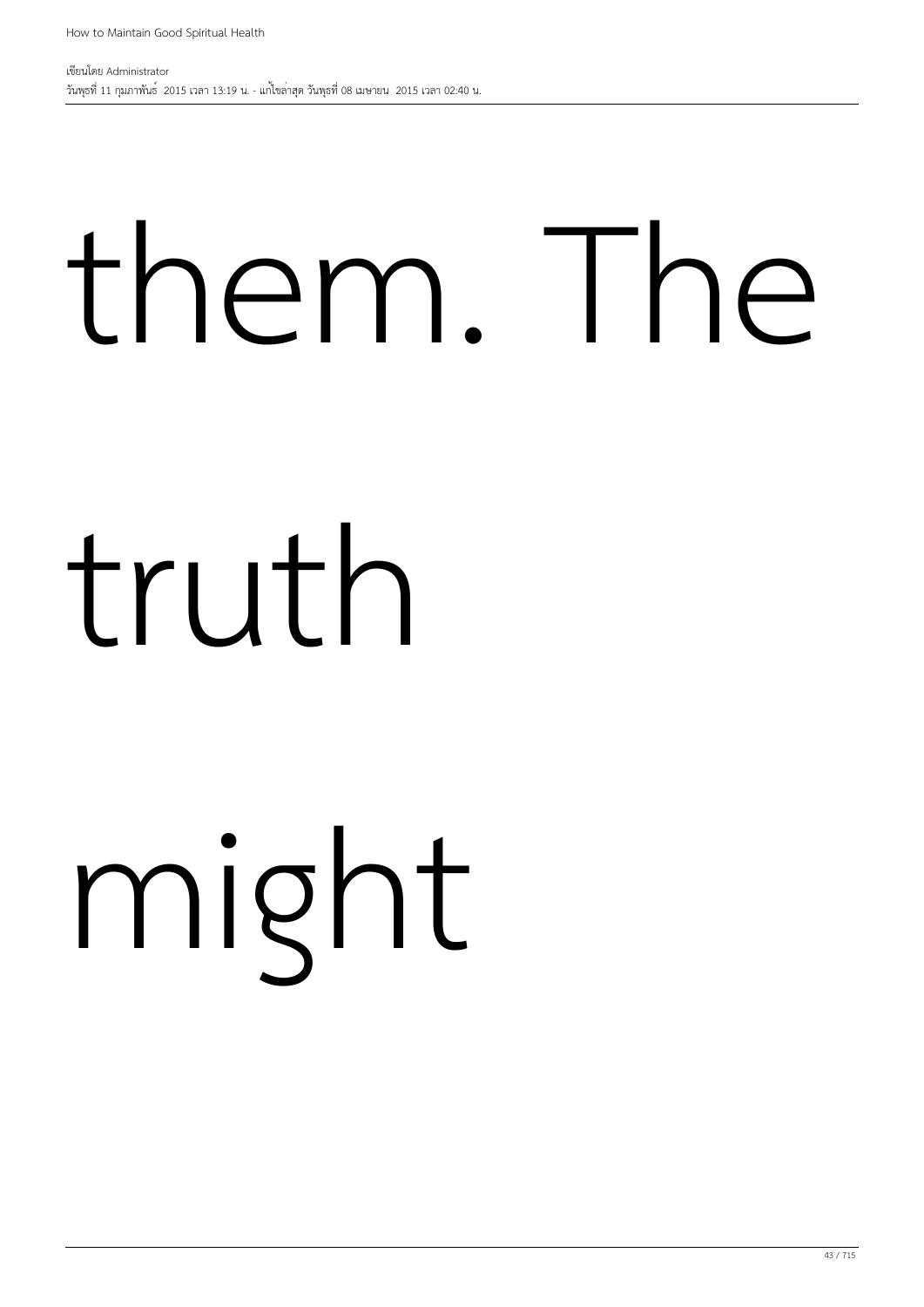## them. The truth

### might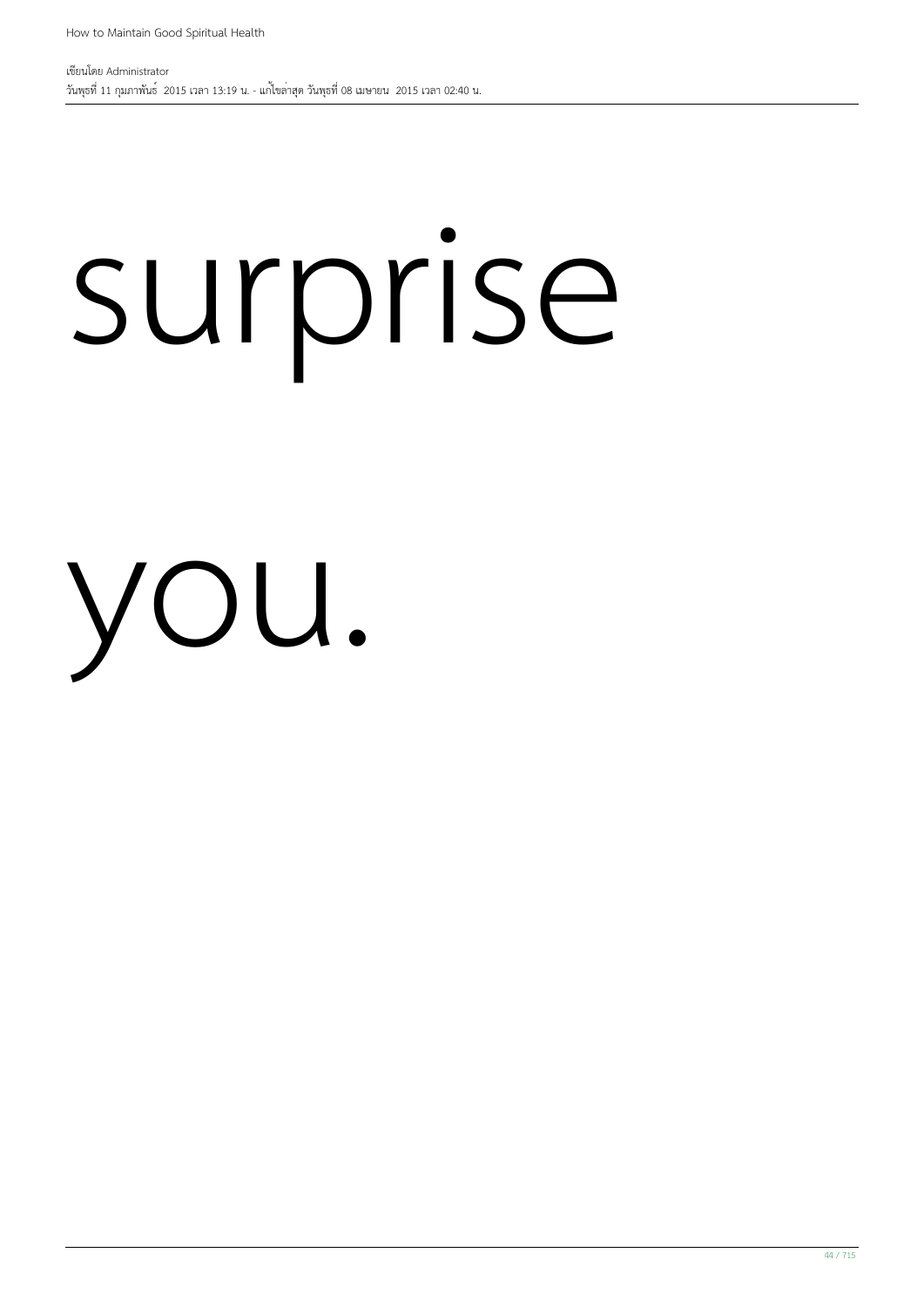# surprise

#### you.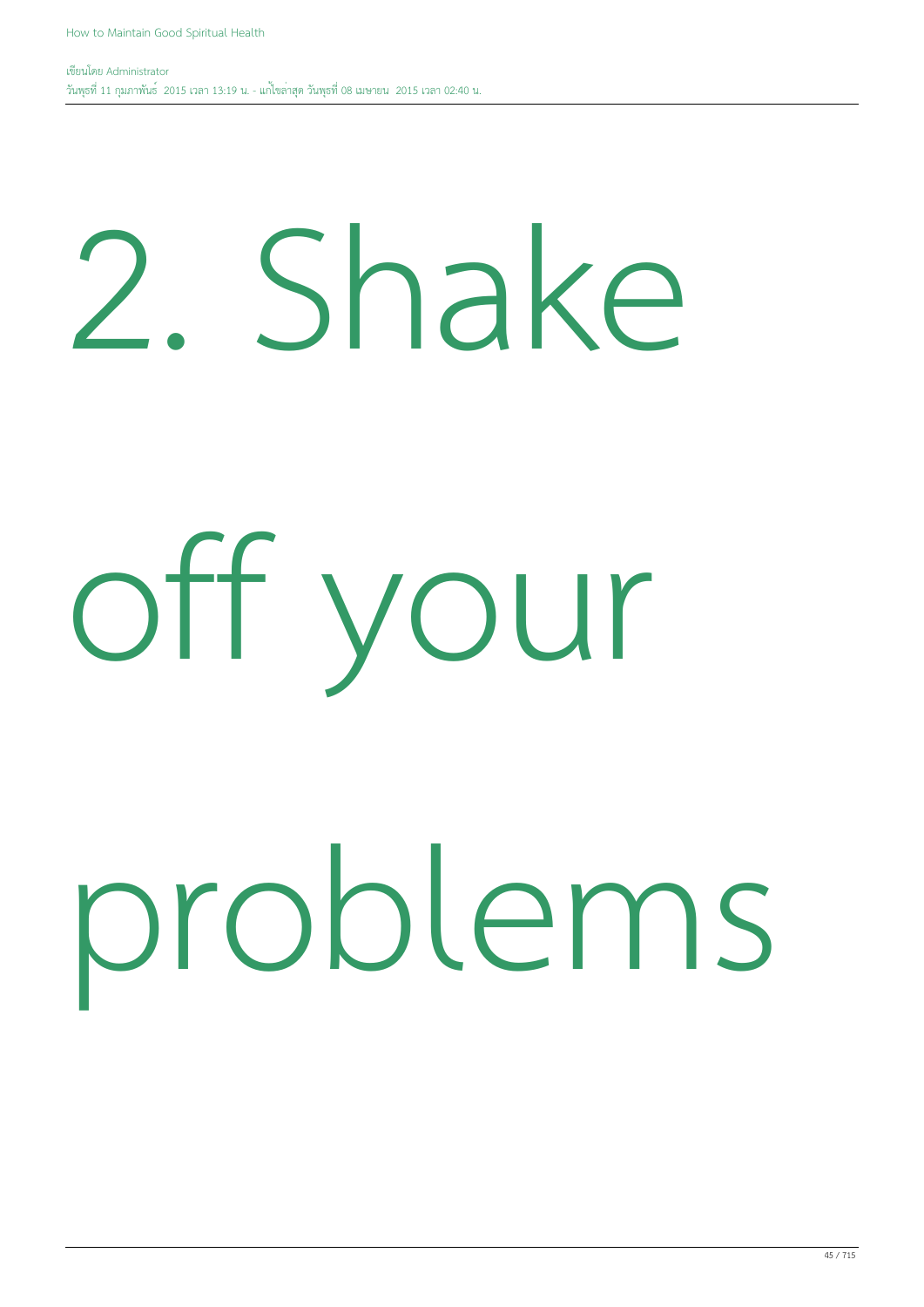เขียนโดย Administrator วันพุธที่ 11 กุมภาพันธ์ 2015 เวลา 13:19 น. - แก้ไขล่าสุด วันพุธที่ 08 เมษายน 2015 เวลา 02:40 น.

#### 2. Shake

#### off your

#### problems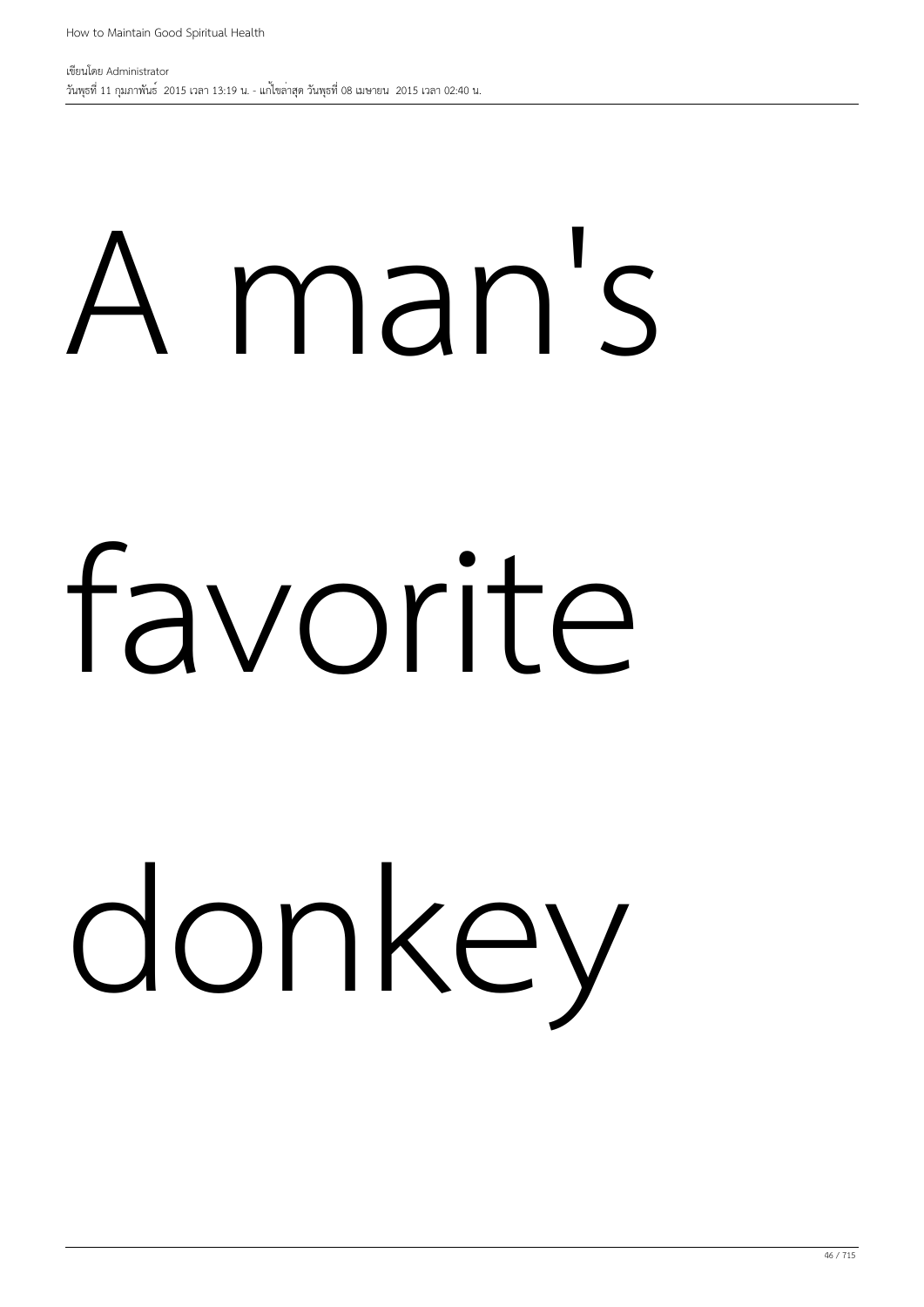# A man's favorite donkey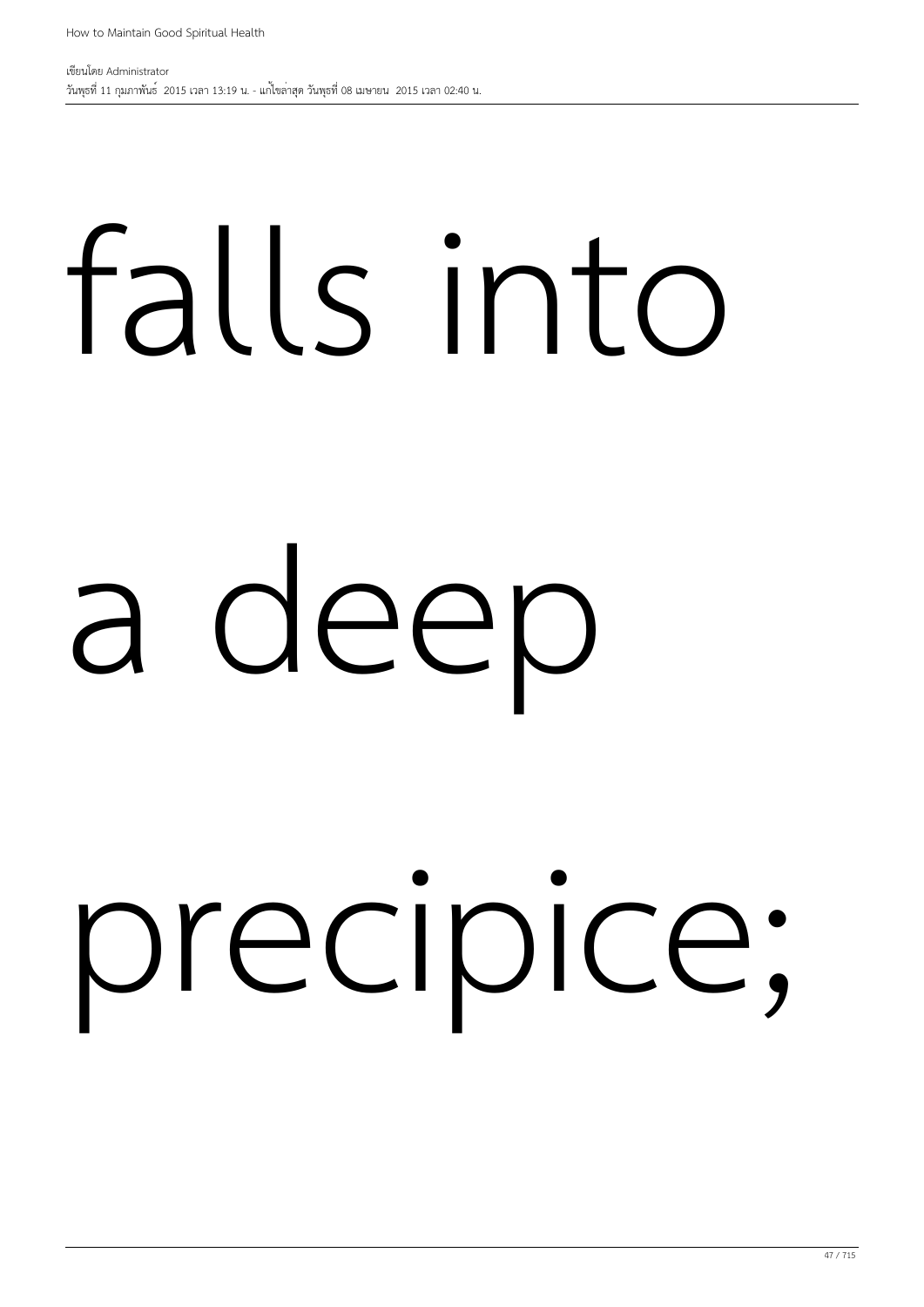# falls into a deep precipice;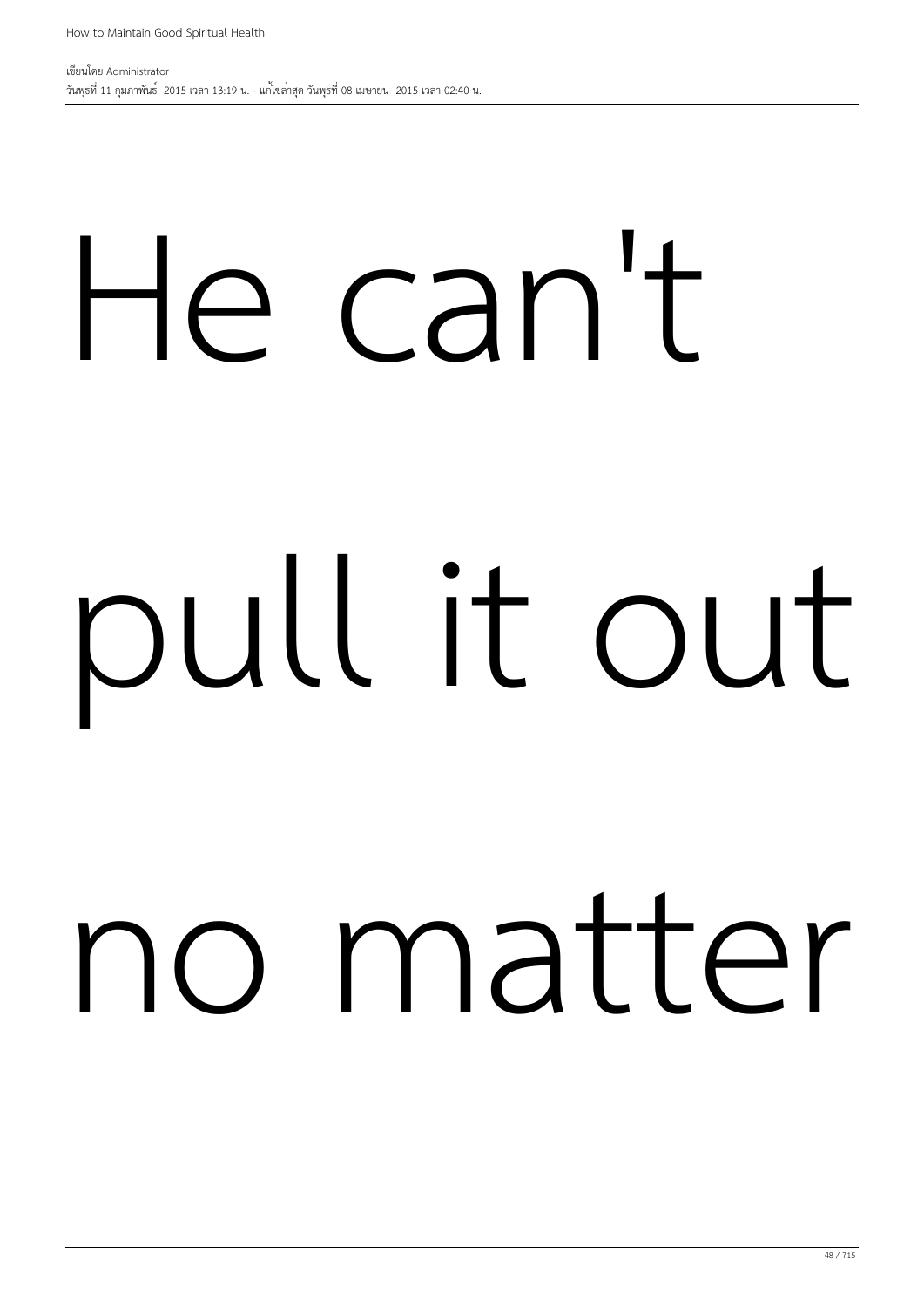# He can't pull it out no matter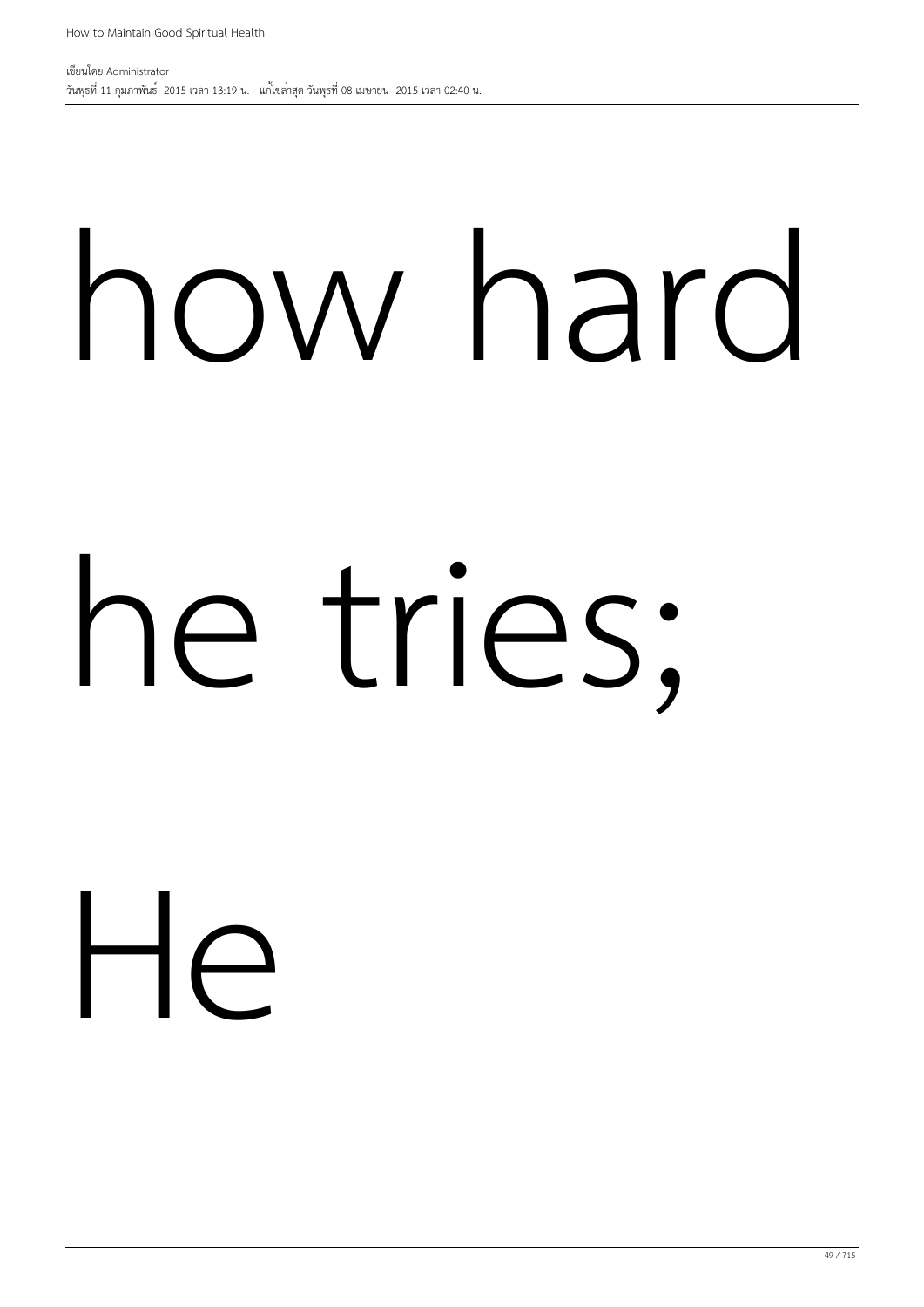# how hard he tries;

He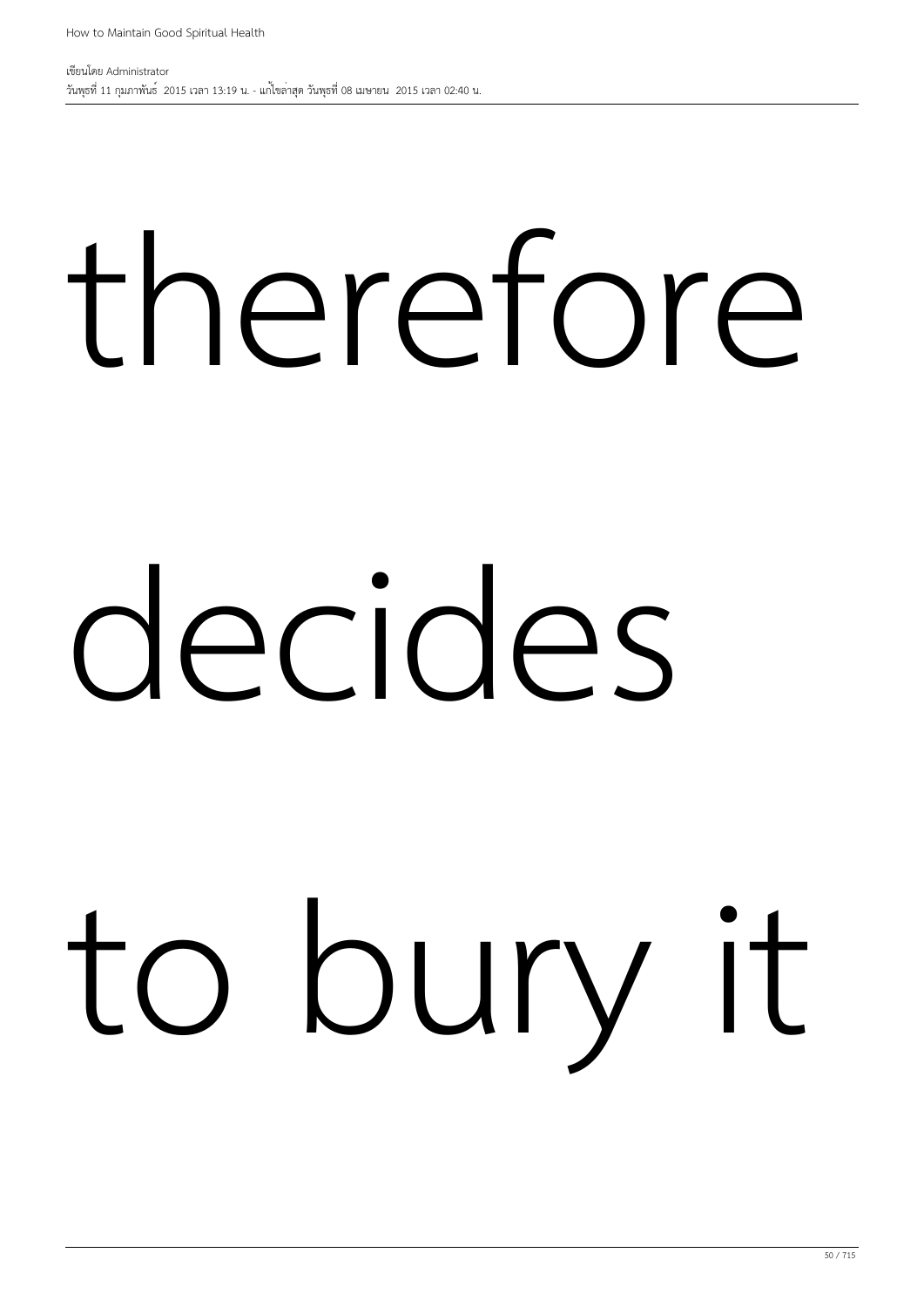# therefore

#### decides

### to bury it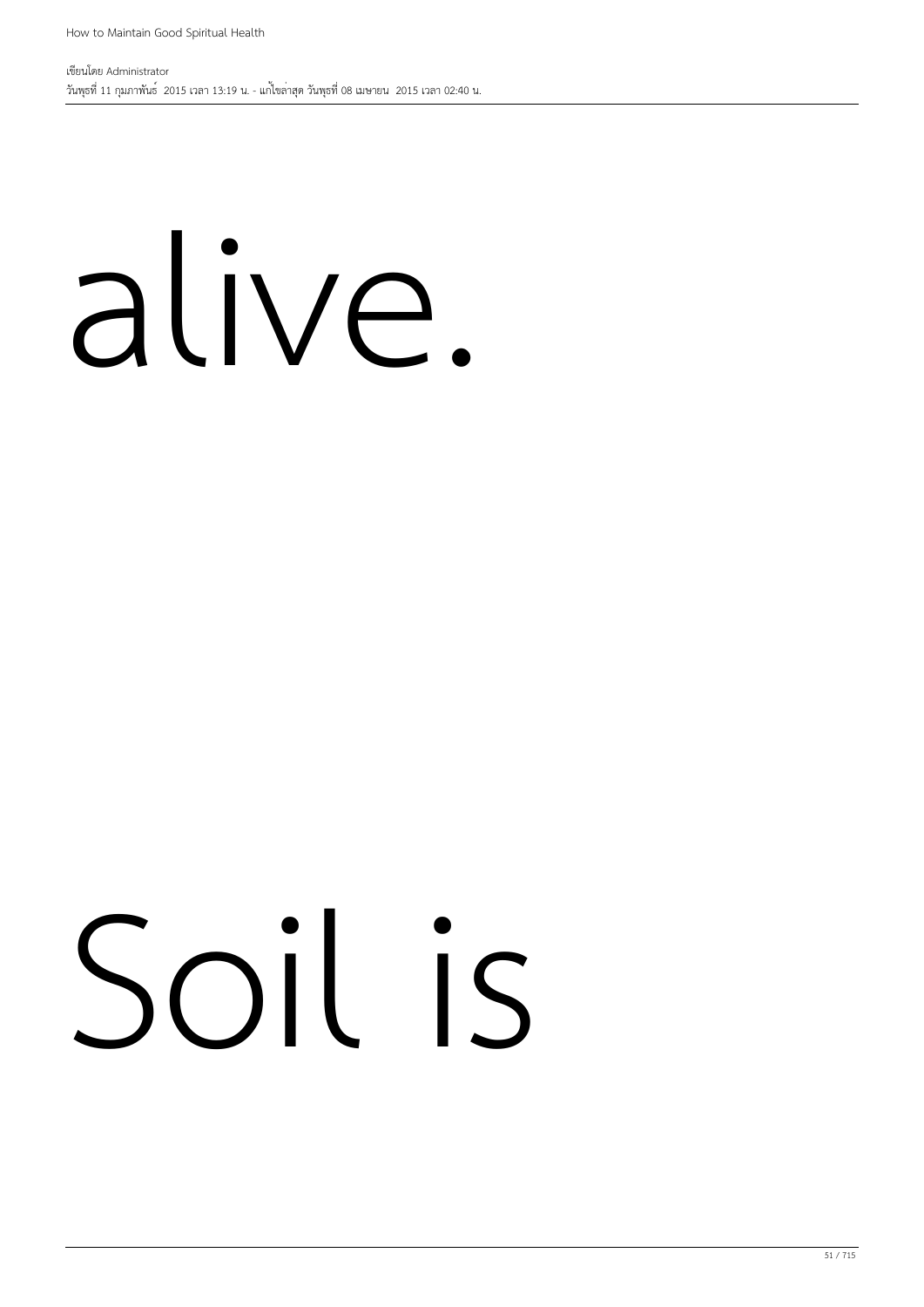#### alive.

#### Soil is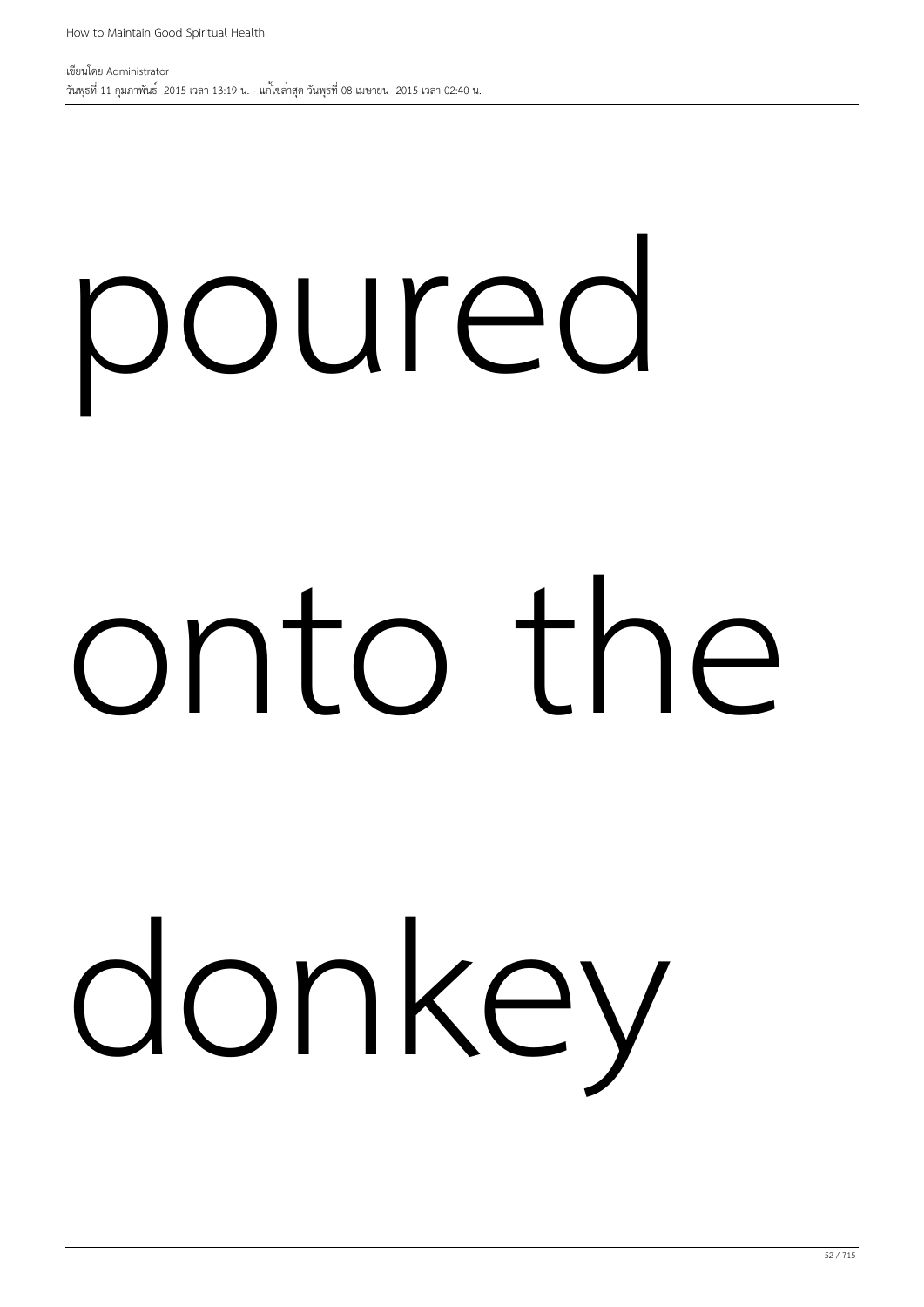# poured onto the

### donkey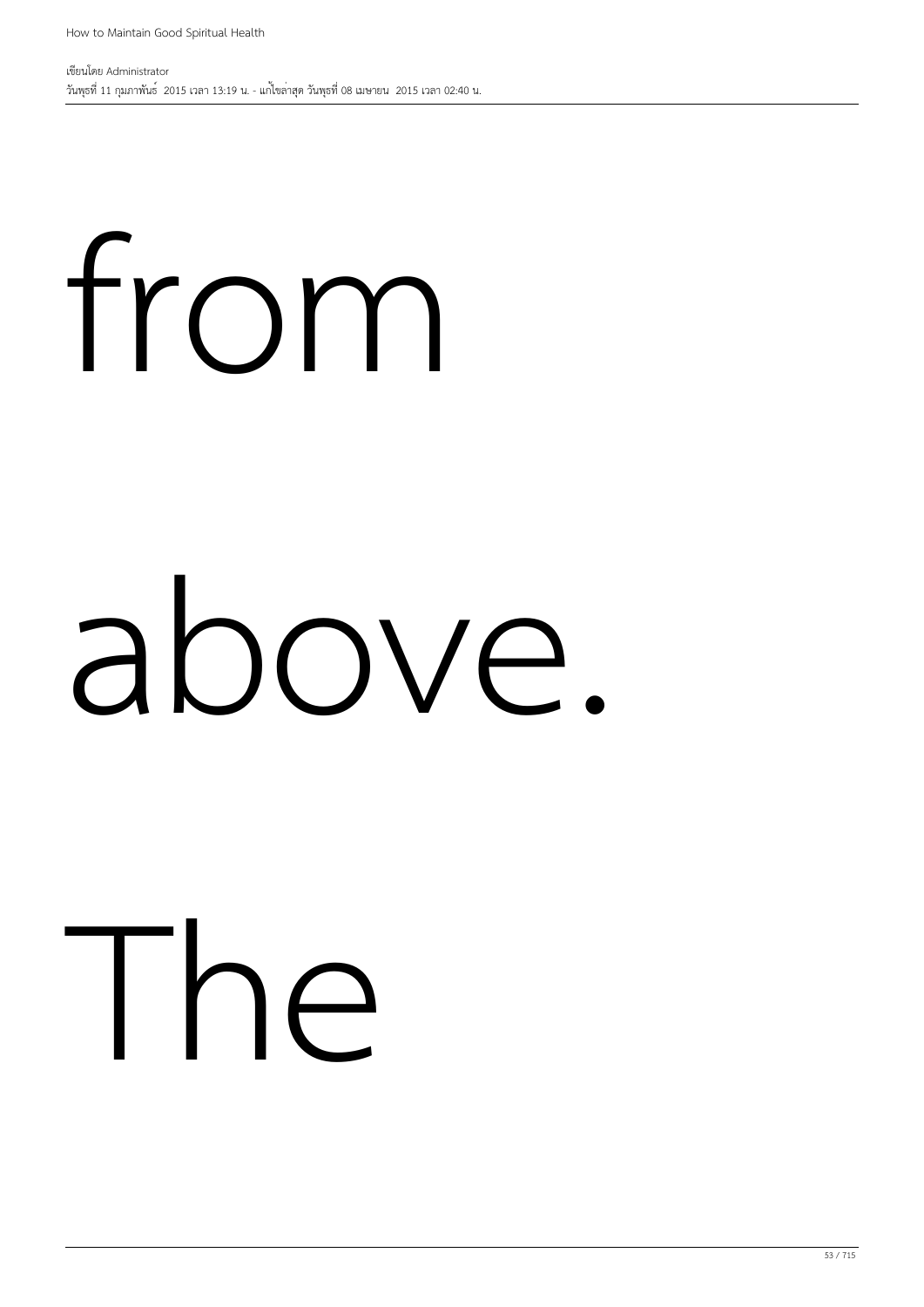# from above.

#### The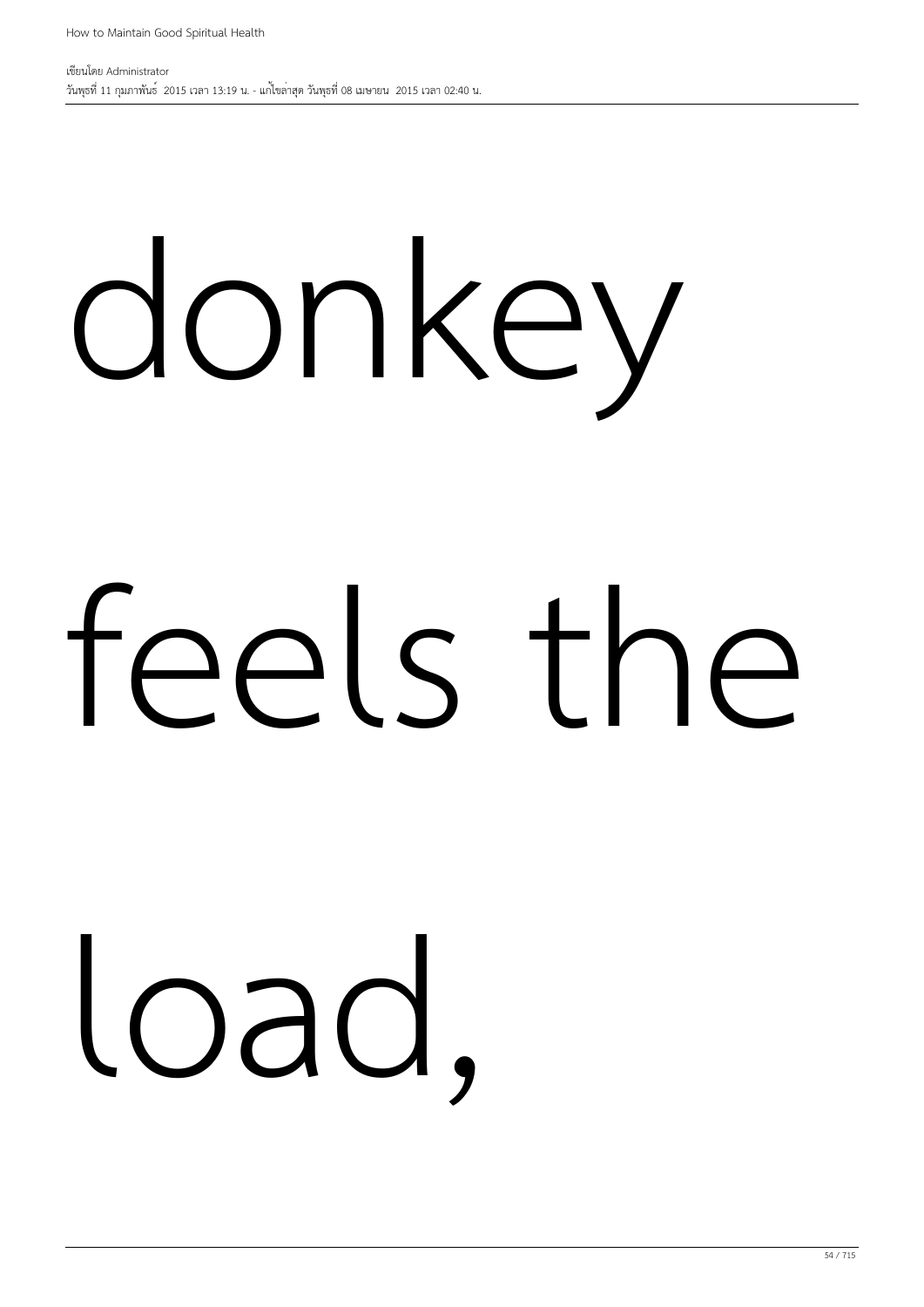# donkey

### feels the

### load,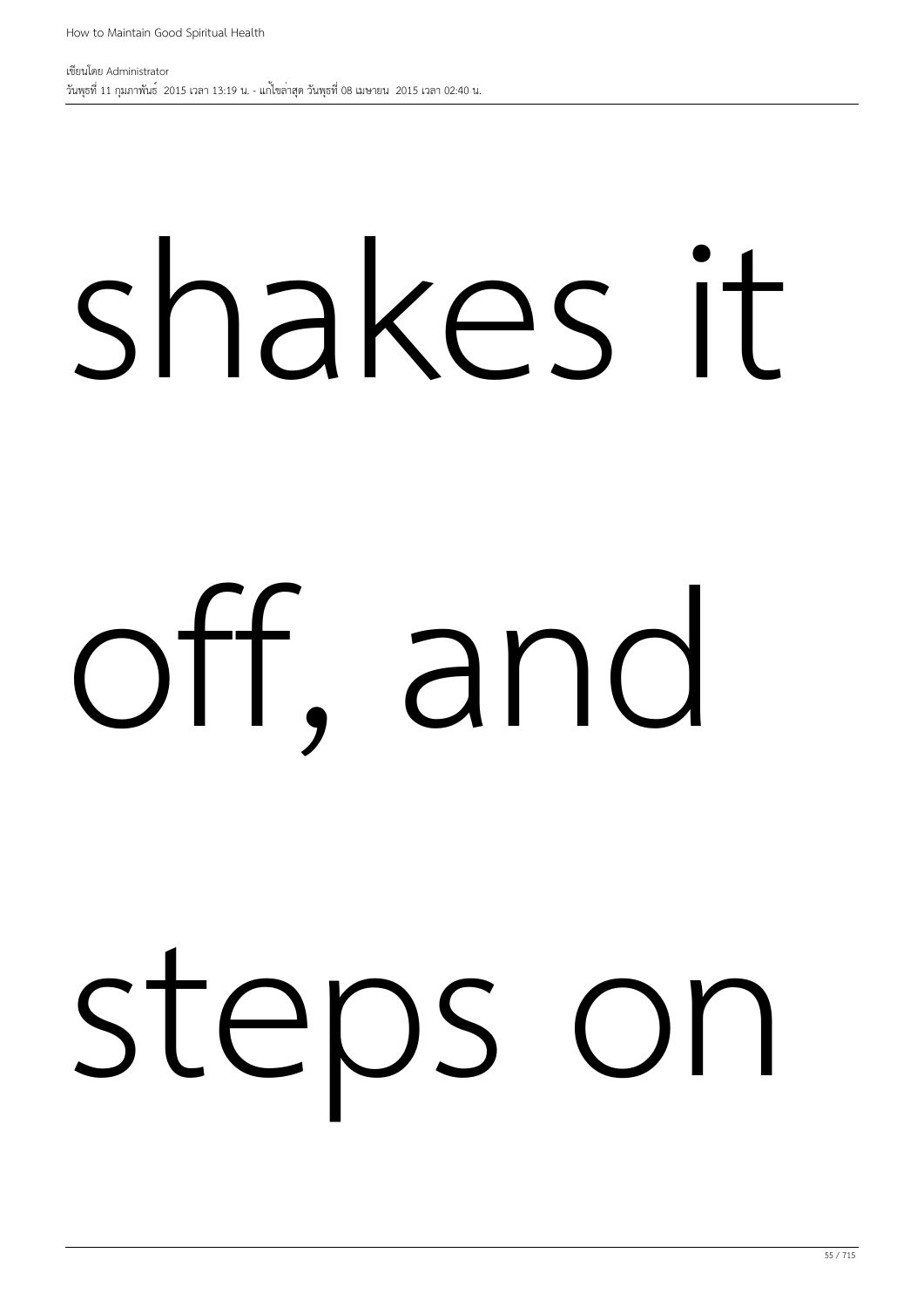### shakes it

### off, and

### steps on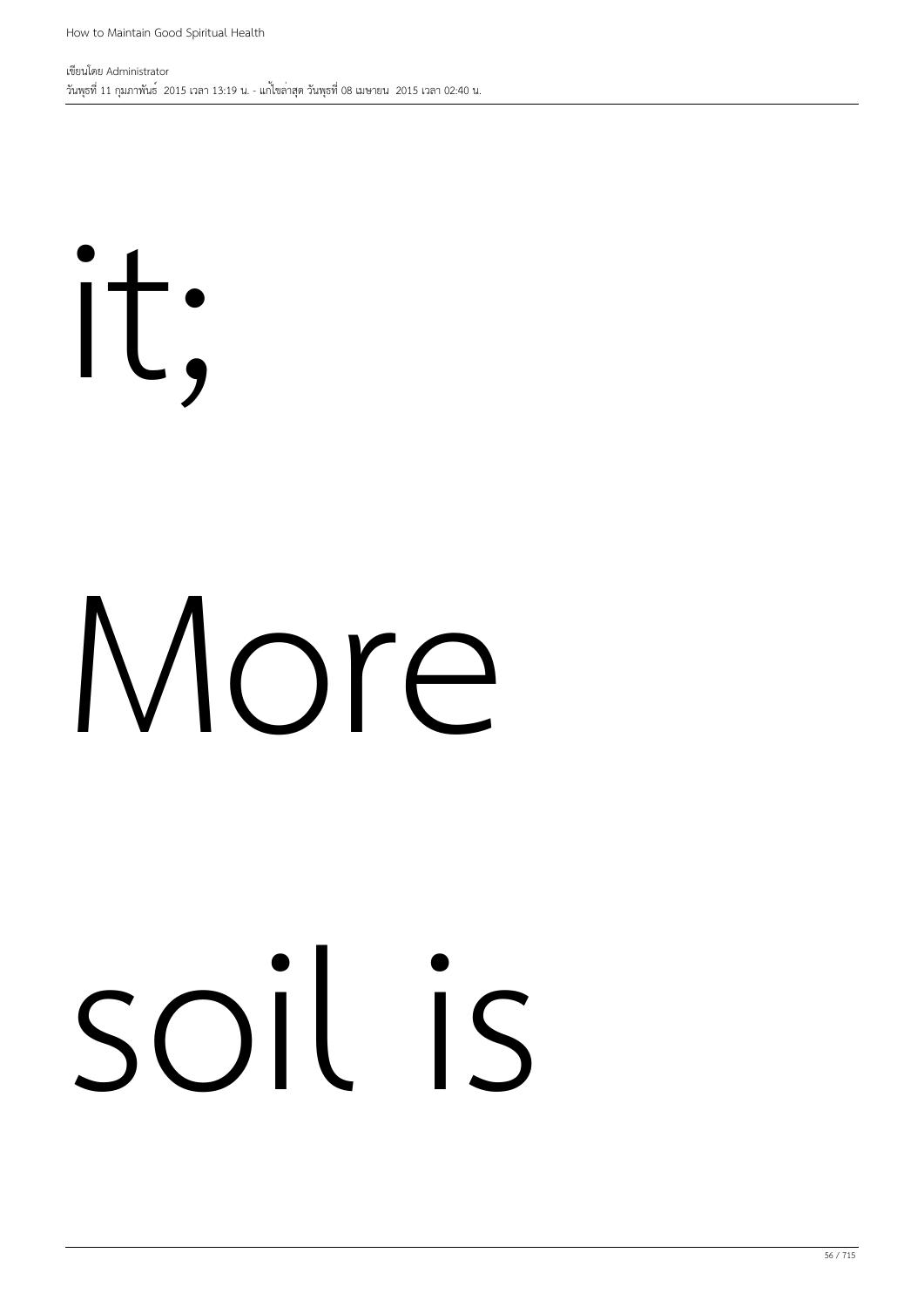How to Maintain Good Spiritual Health

it;

เขียนโดย Administrator วันพุธที่ 11 กุมภาพันธ์ 2015 เวลา 13:19 น. - แก้ไขล่าสุด วันพุธที่ 08 เมษายน 2015 เวลา 02:40 น.

More soil is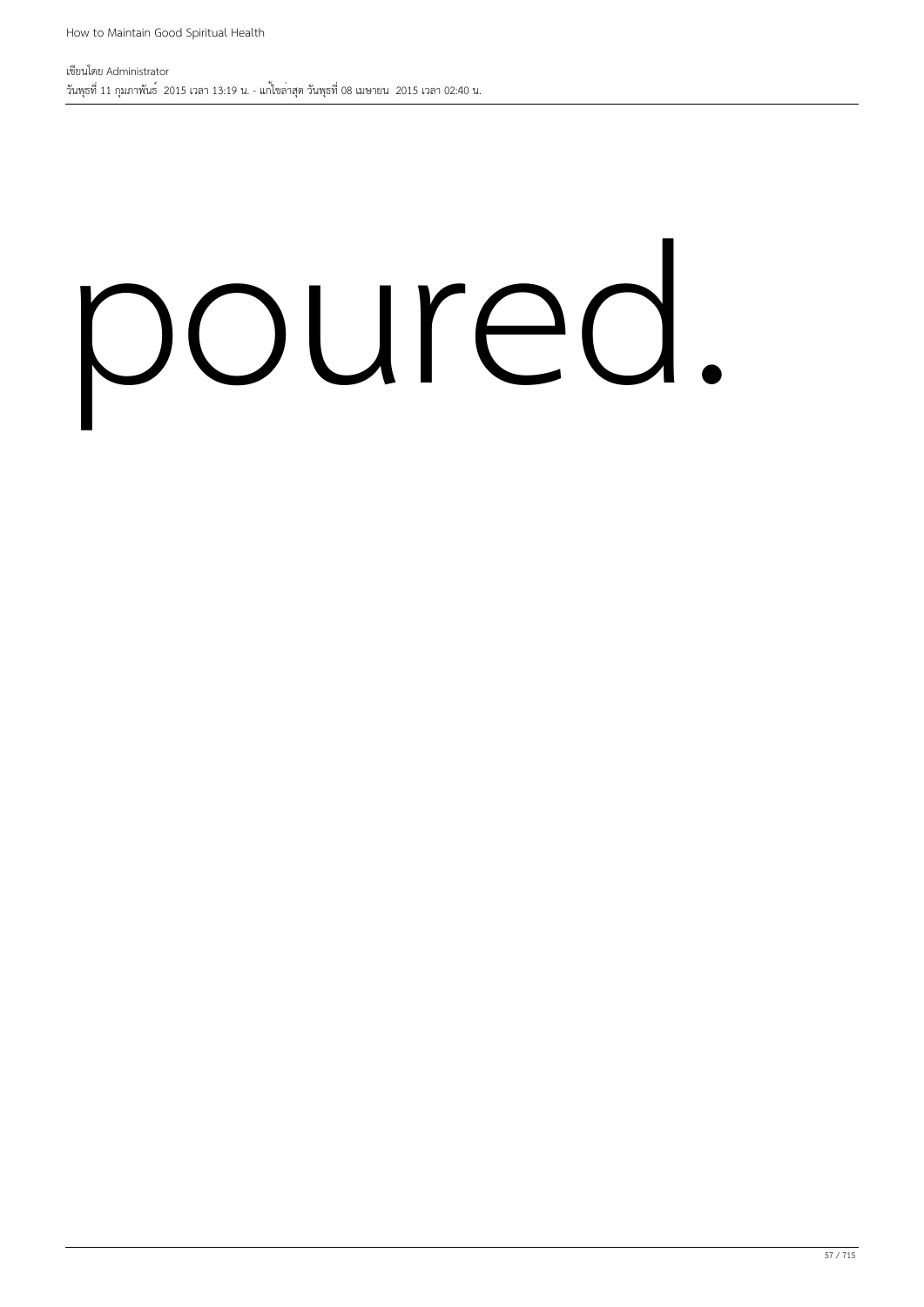## poured.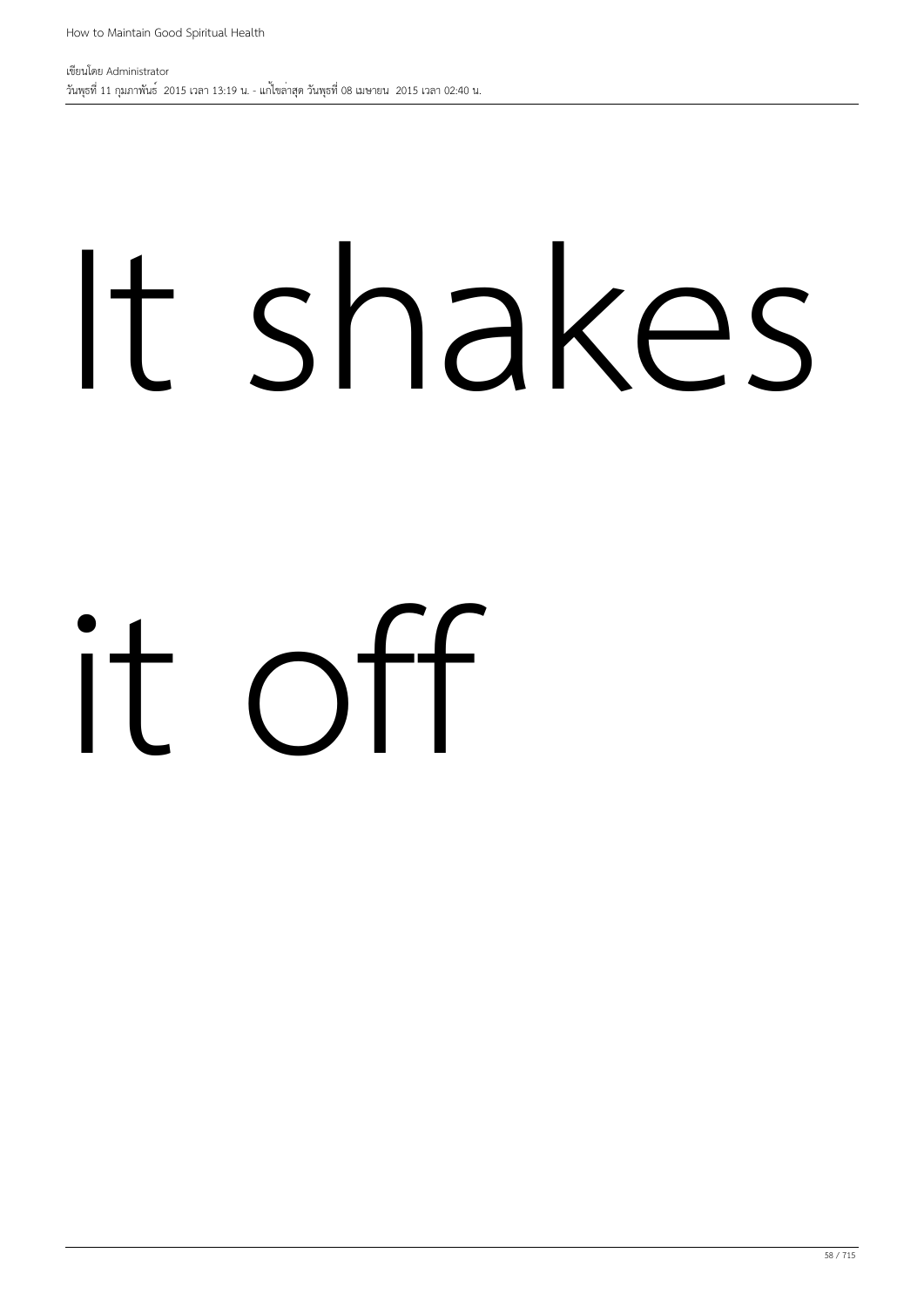# It shakes

#### it off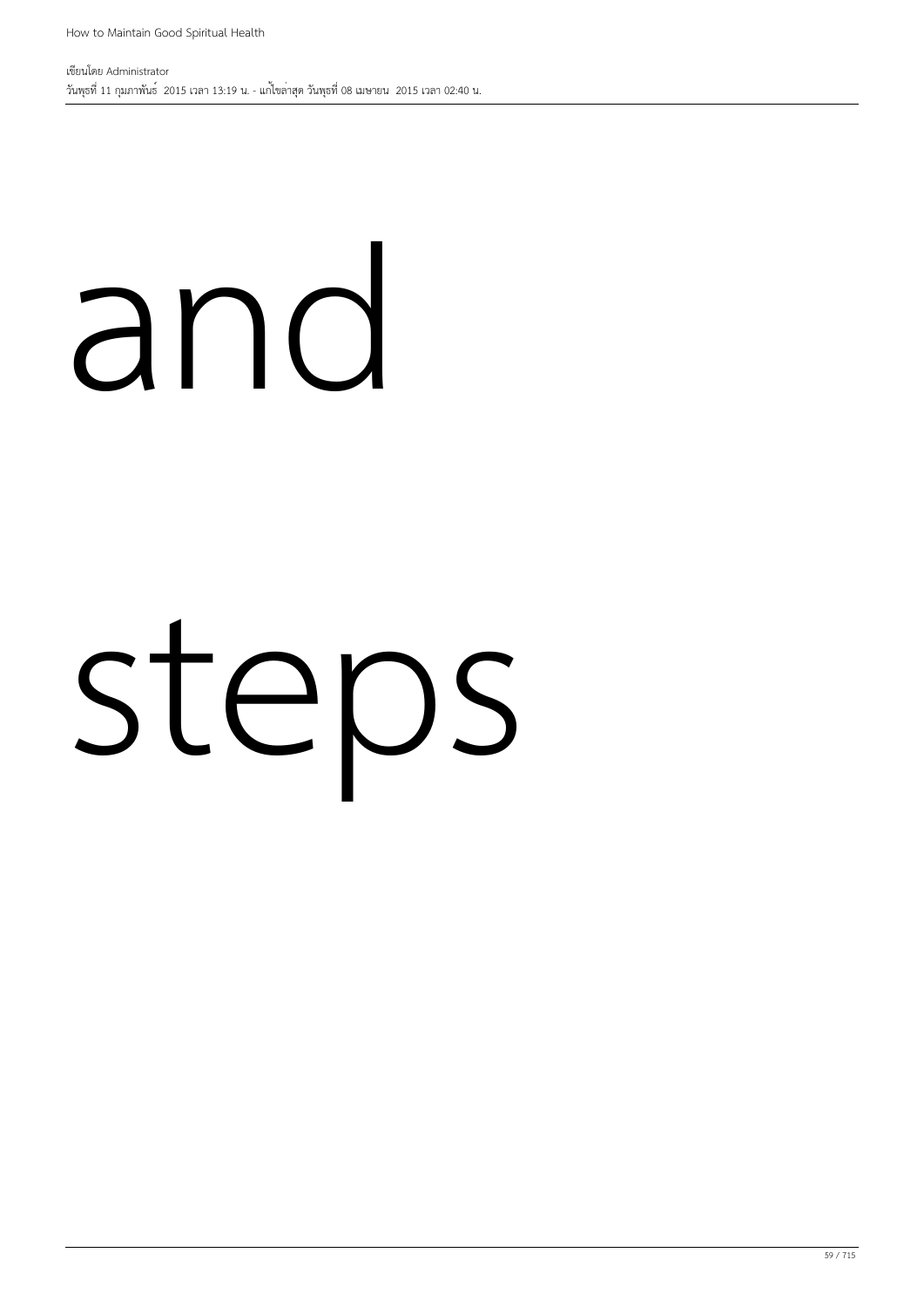## and

### steps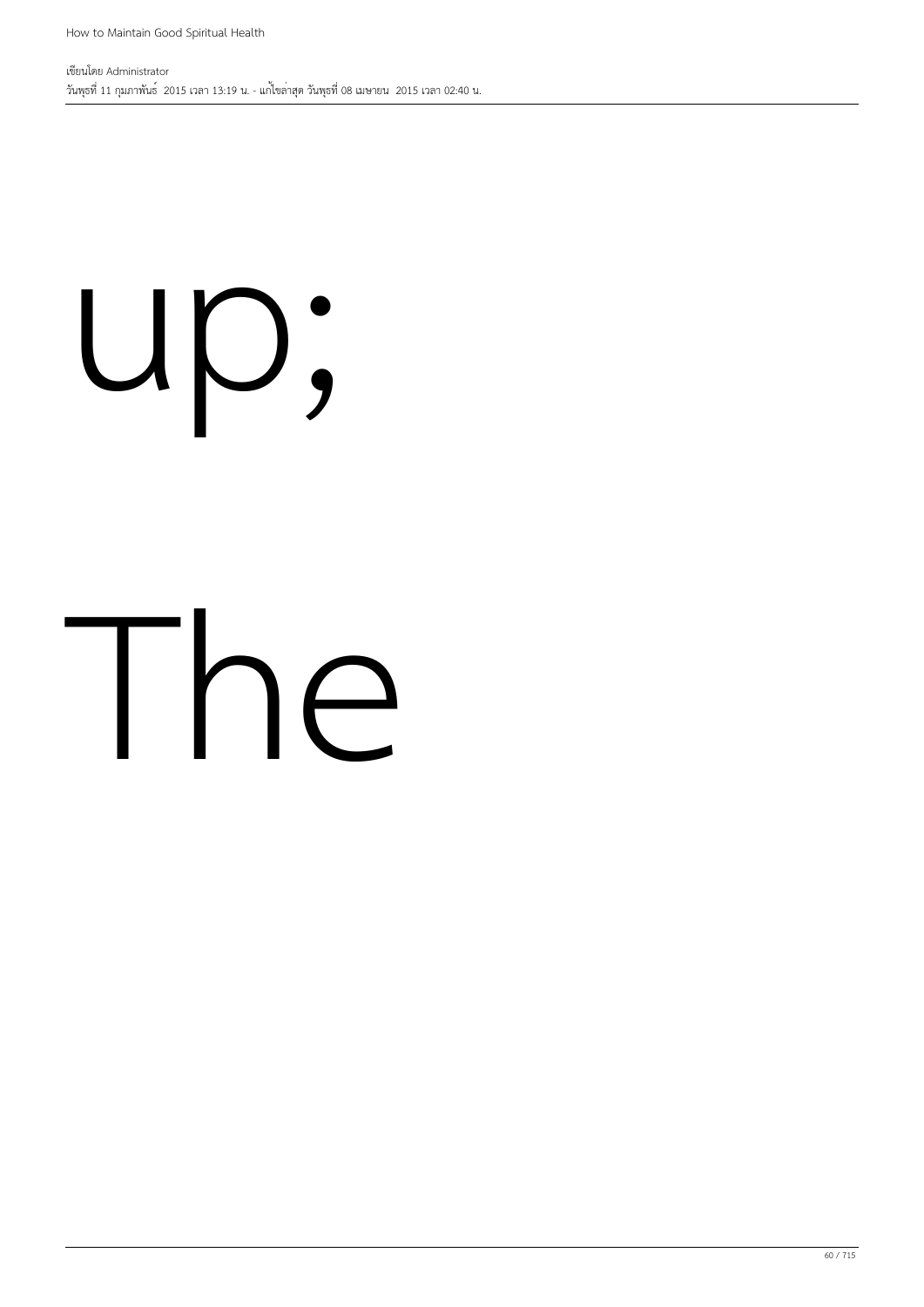# up; The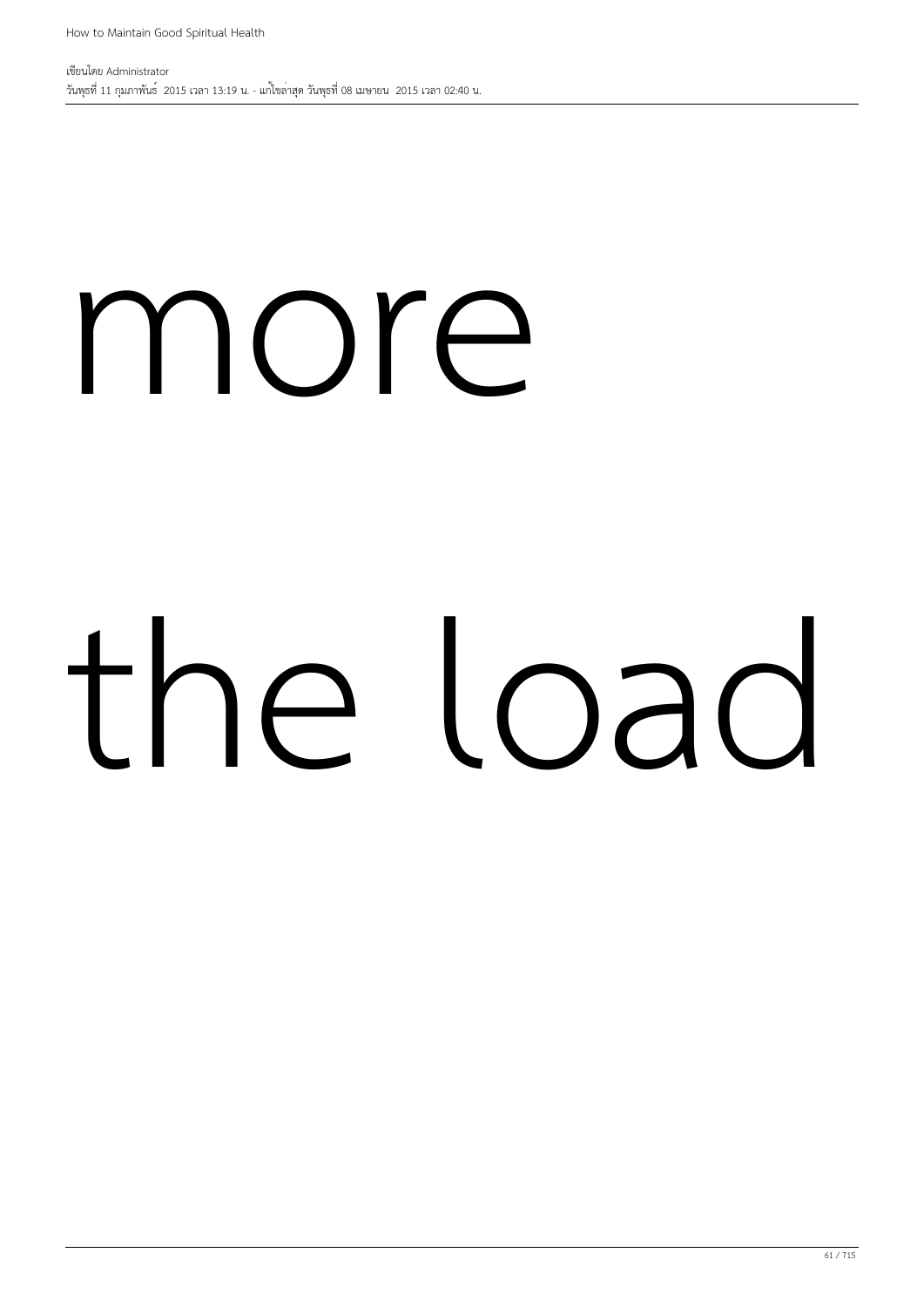# more the load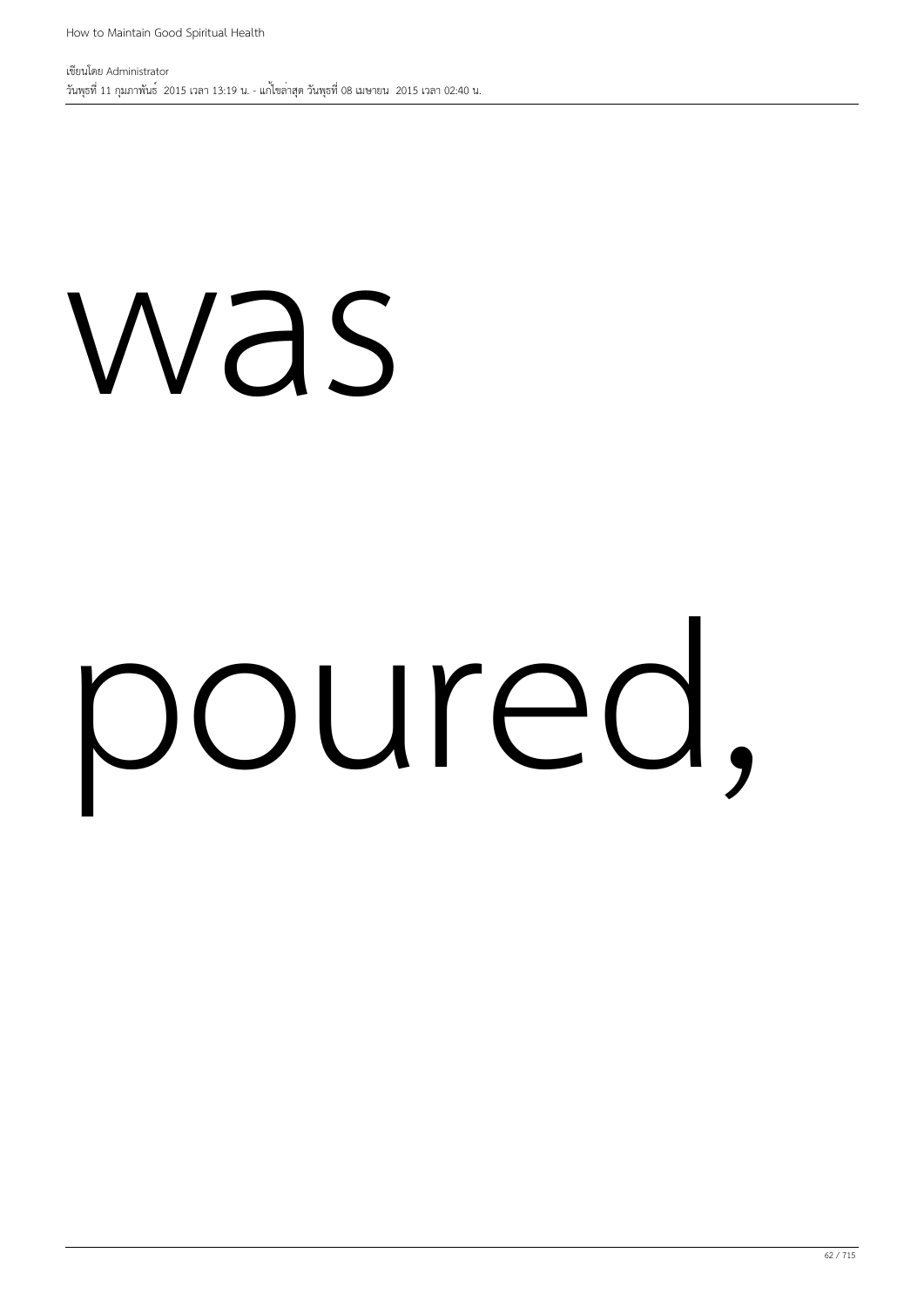#### was

### poured,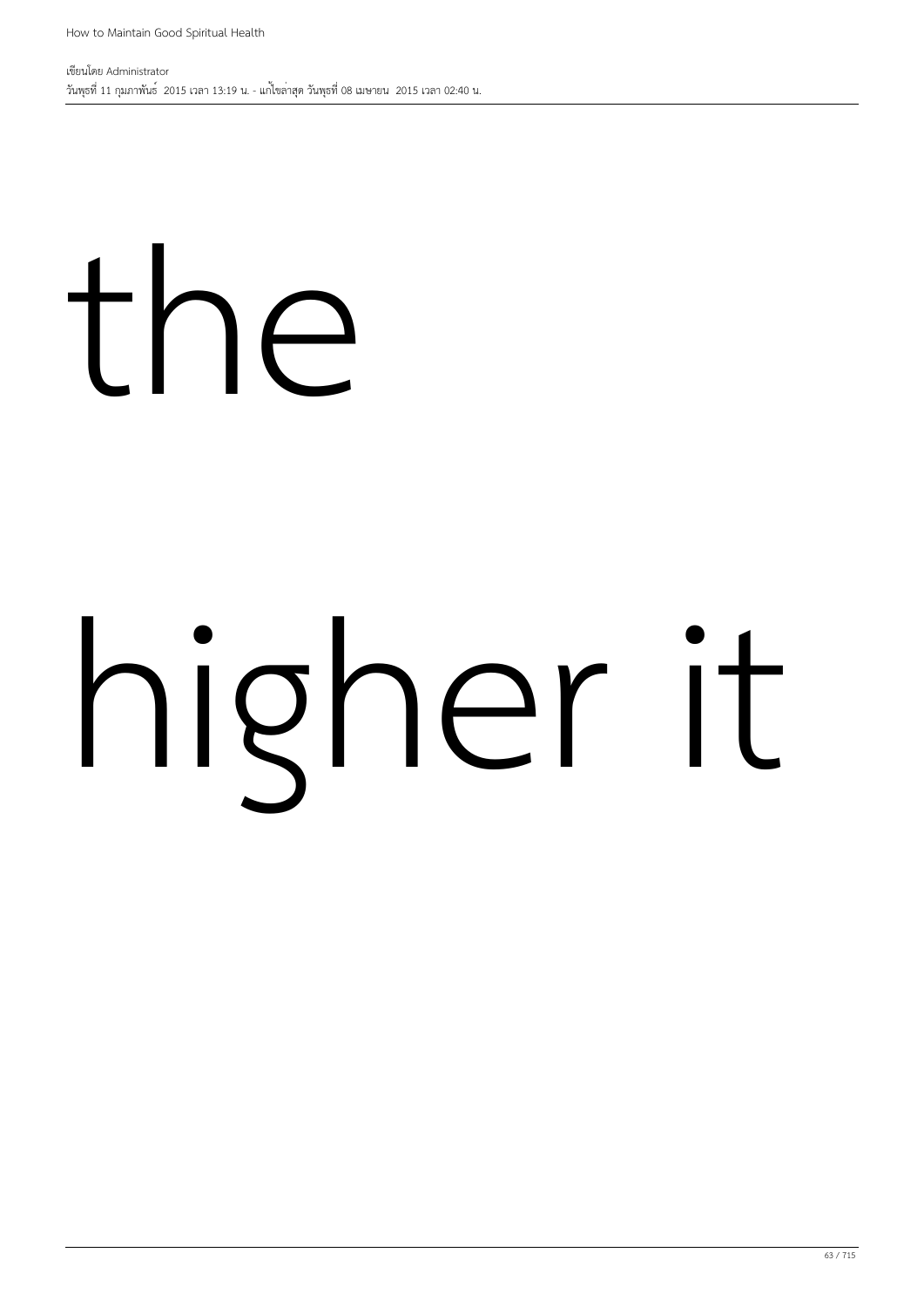## the

# higher it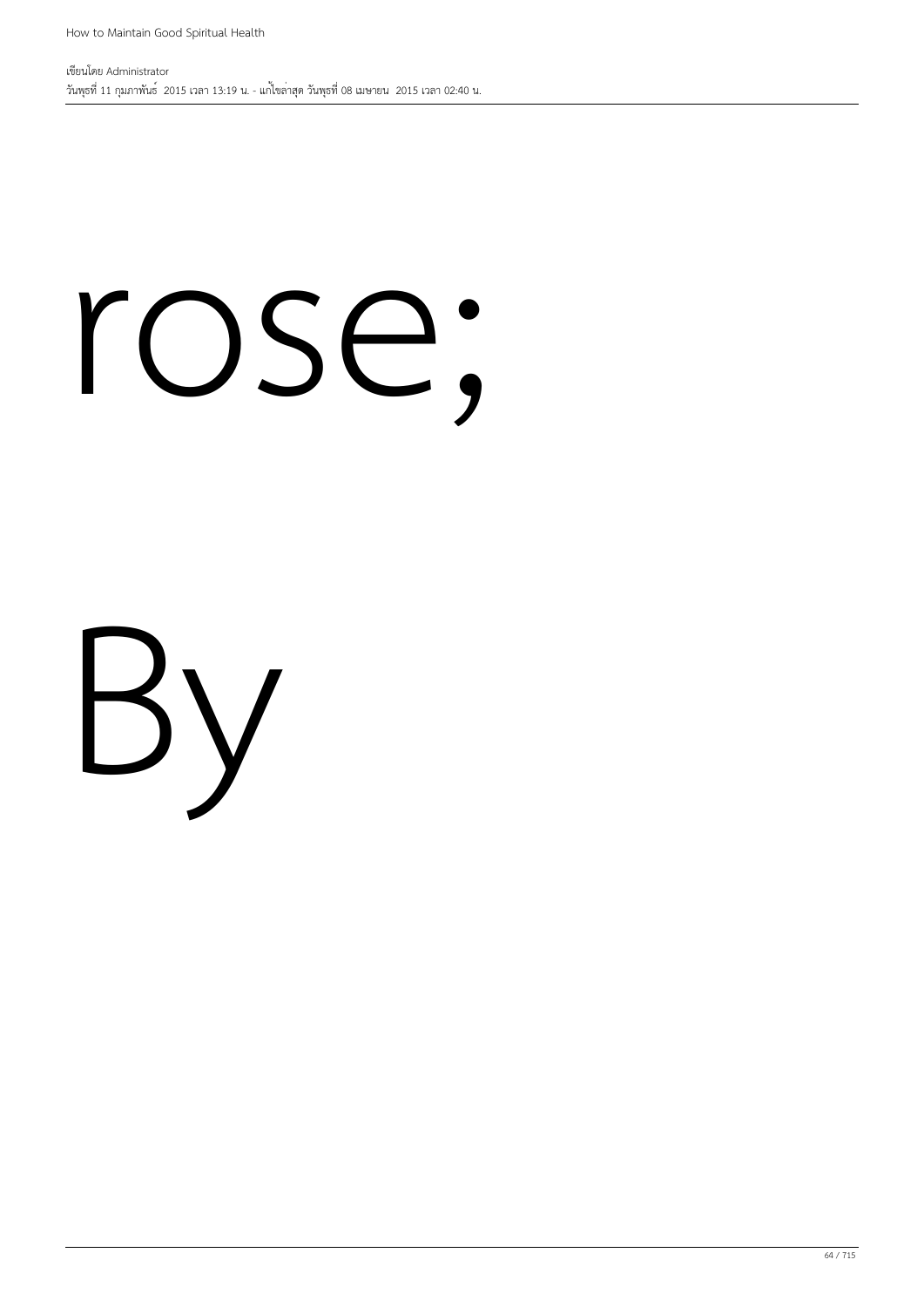#### rose;

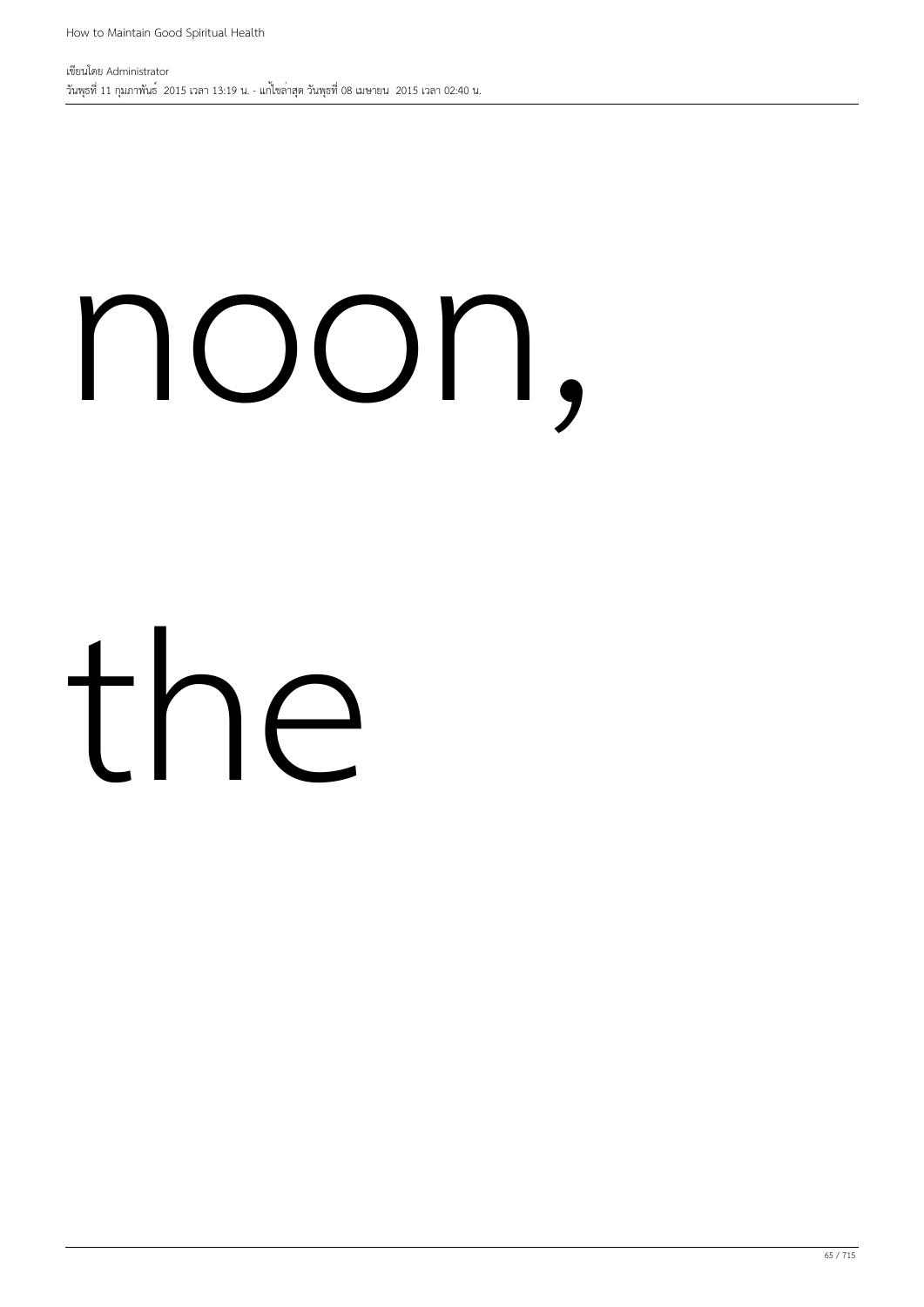### noon,

### the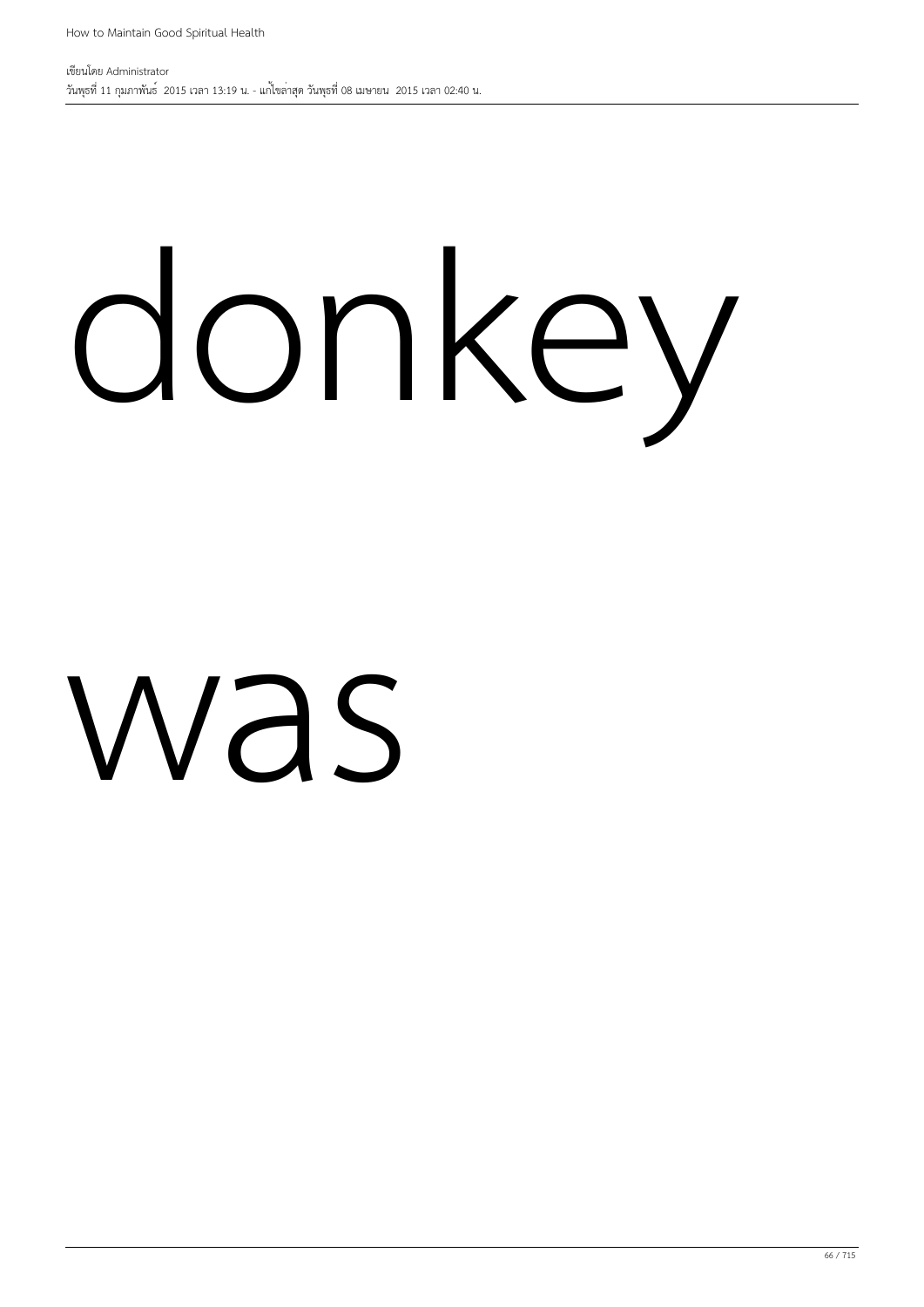# donkey

#### was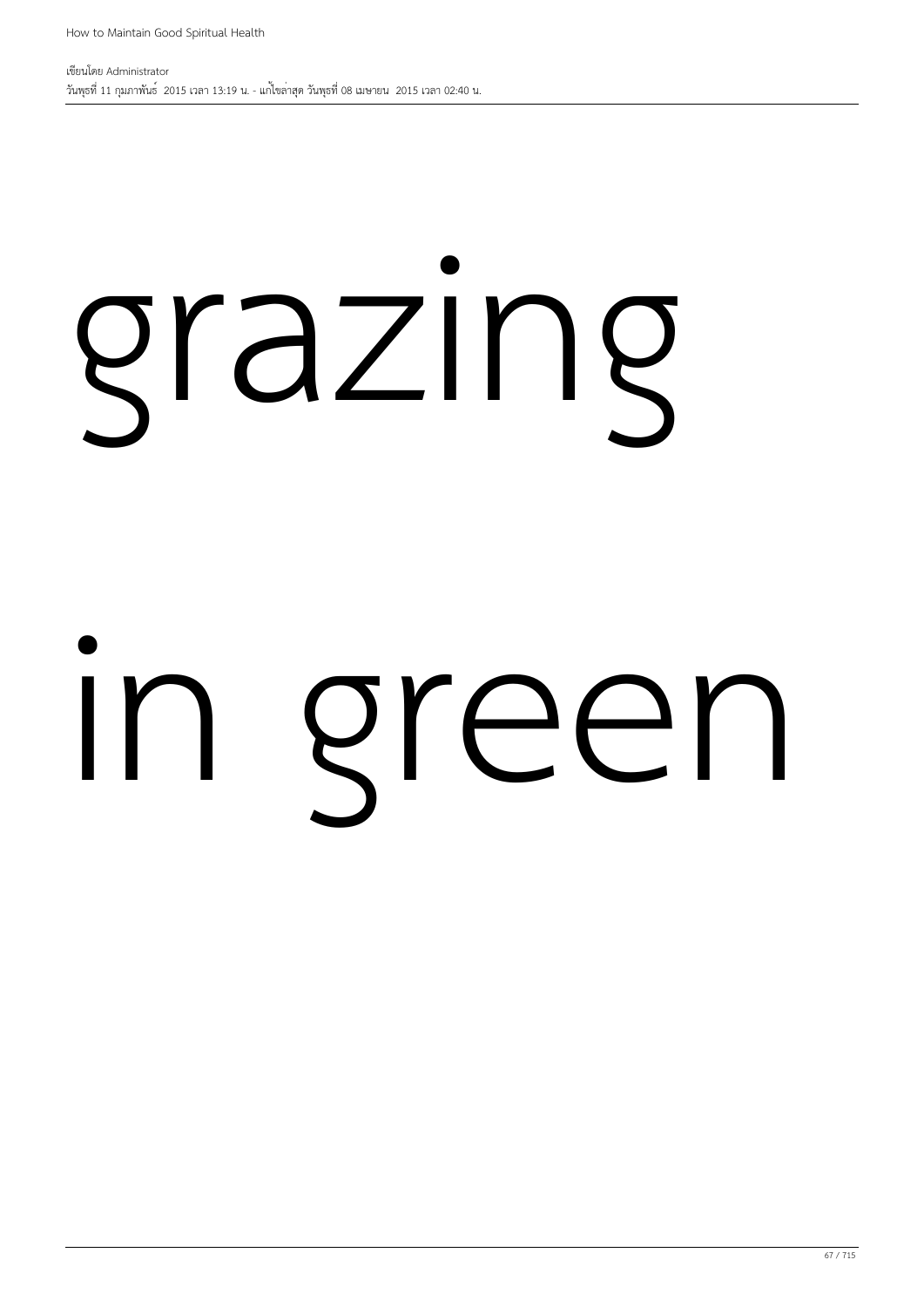# grazing

### in green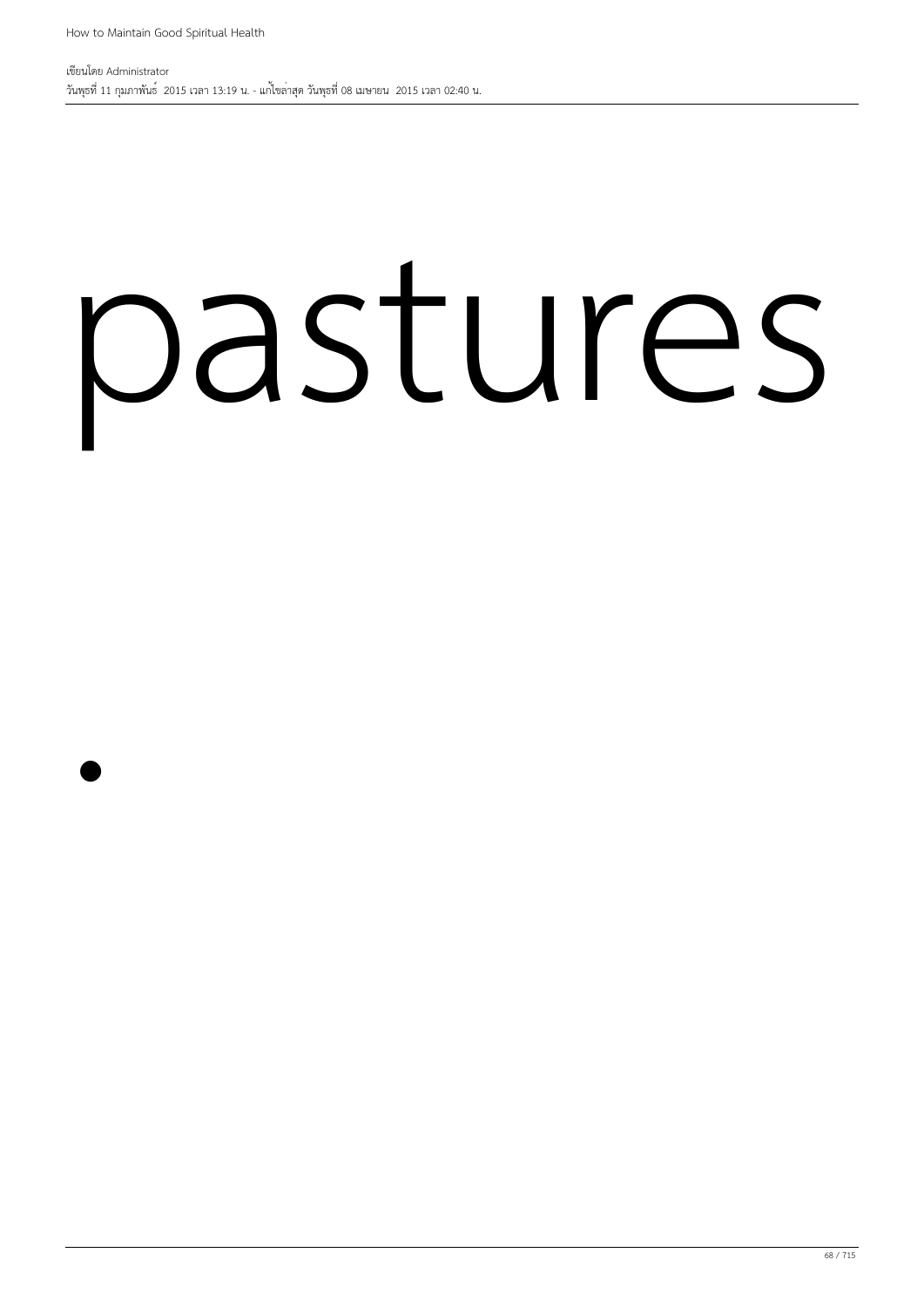.

### pastures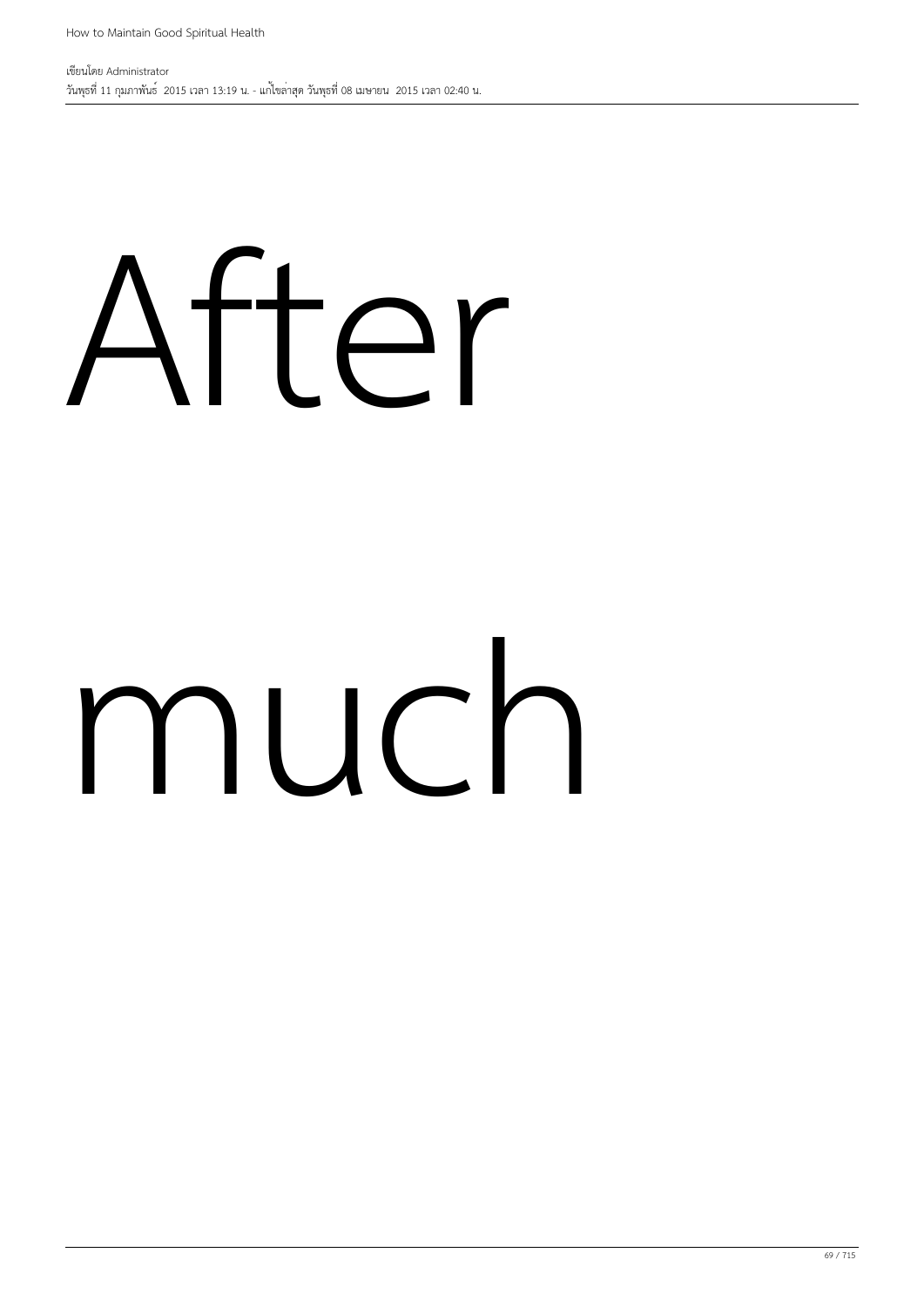## After

### much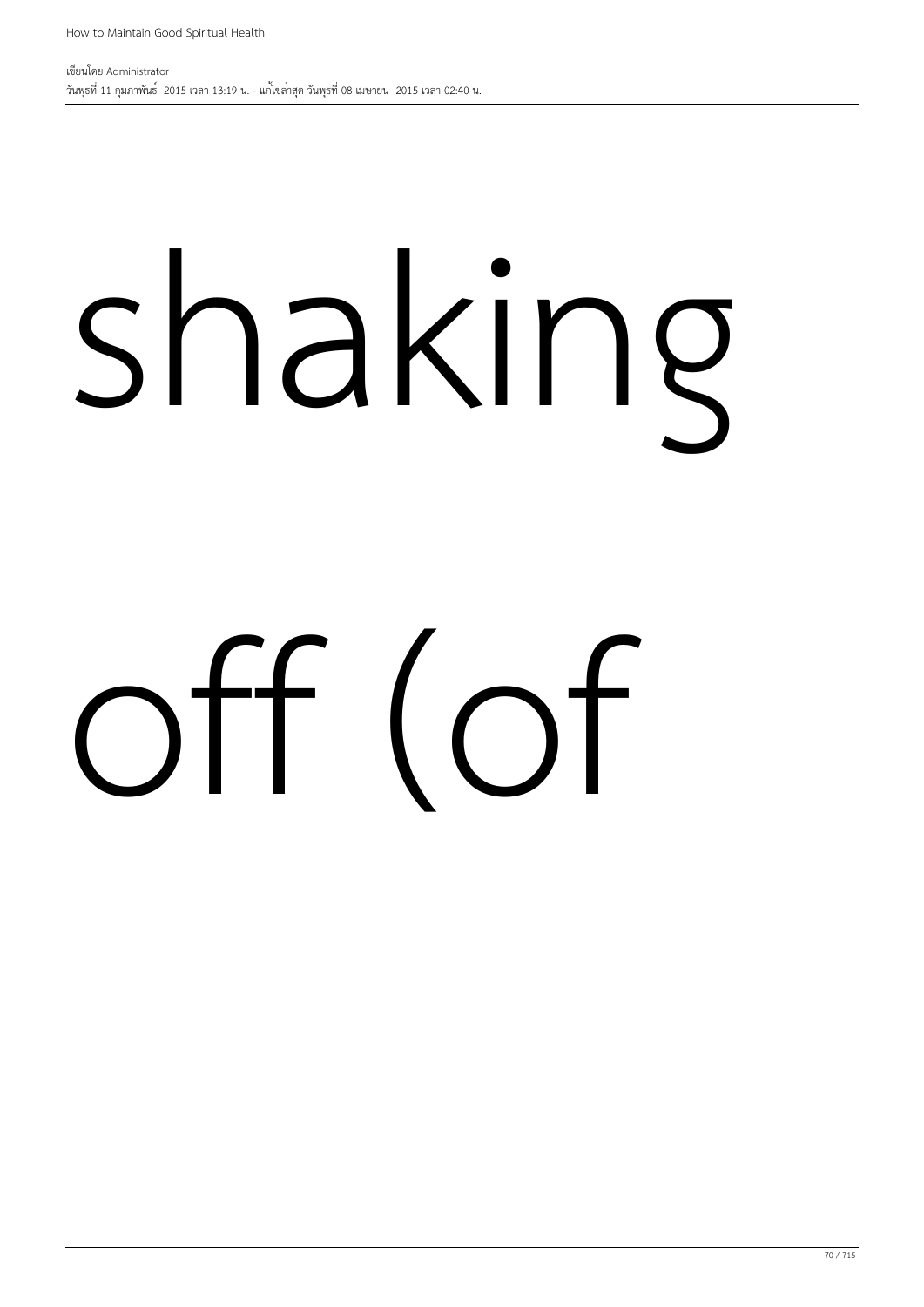# shaking

### off (of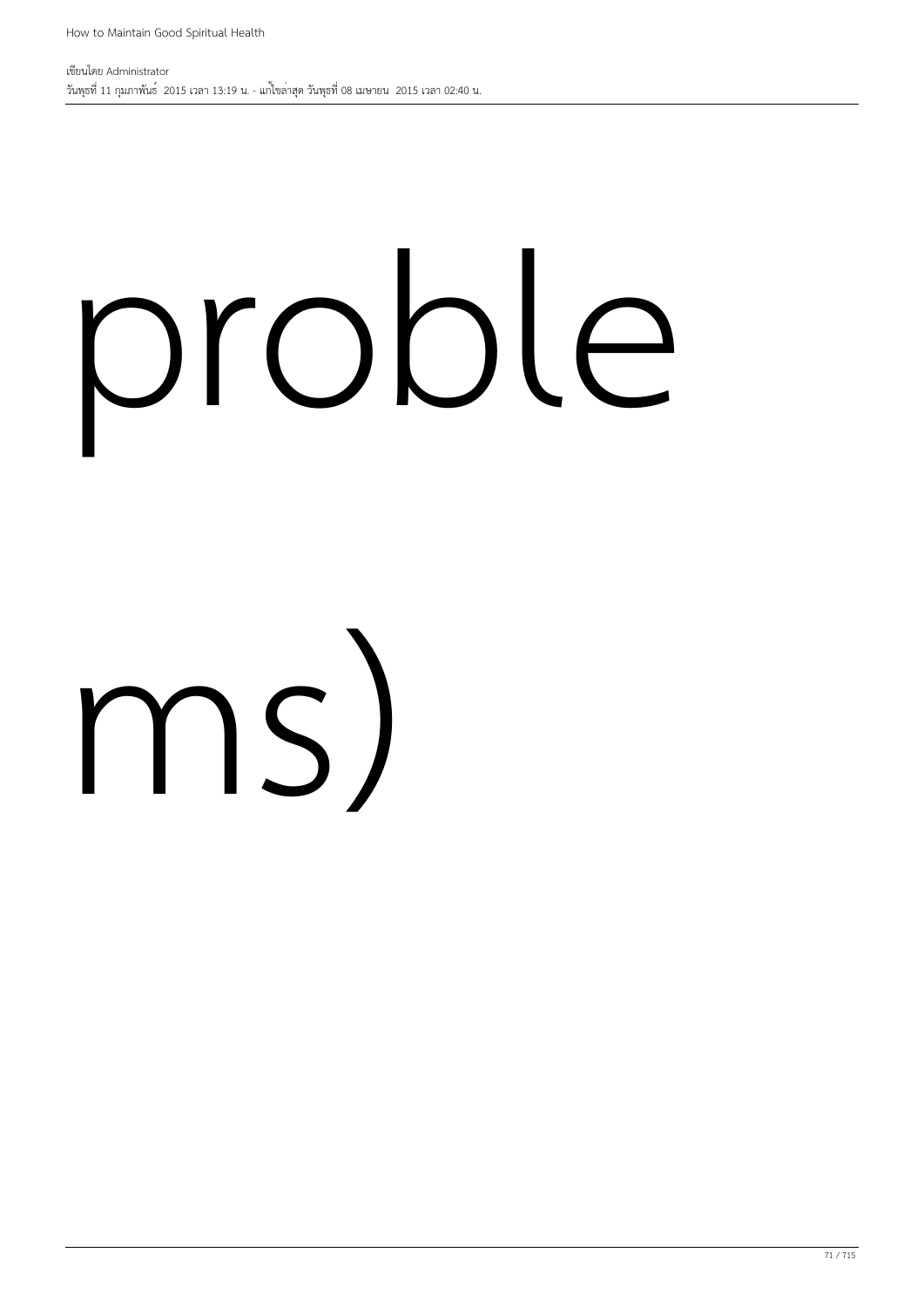# proble

### ms)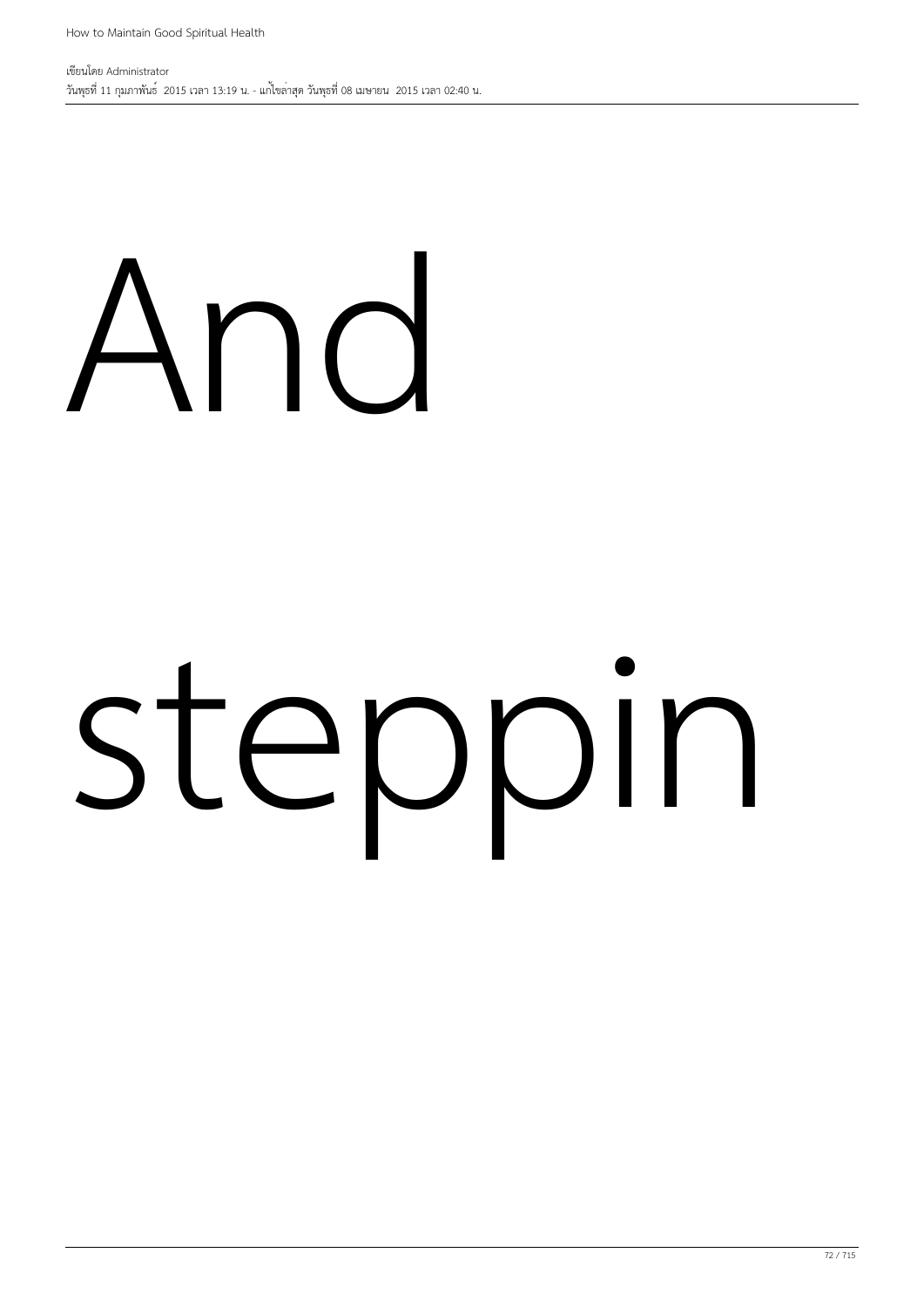## And

# steppin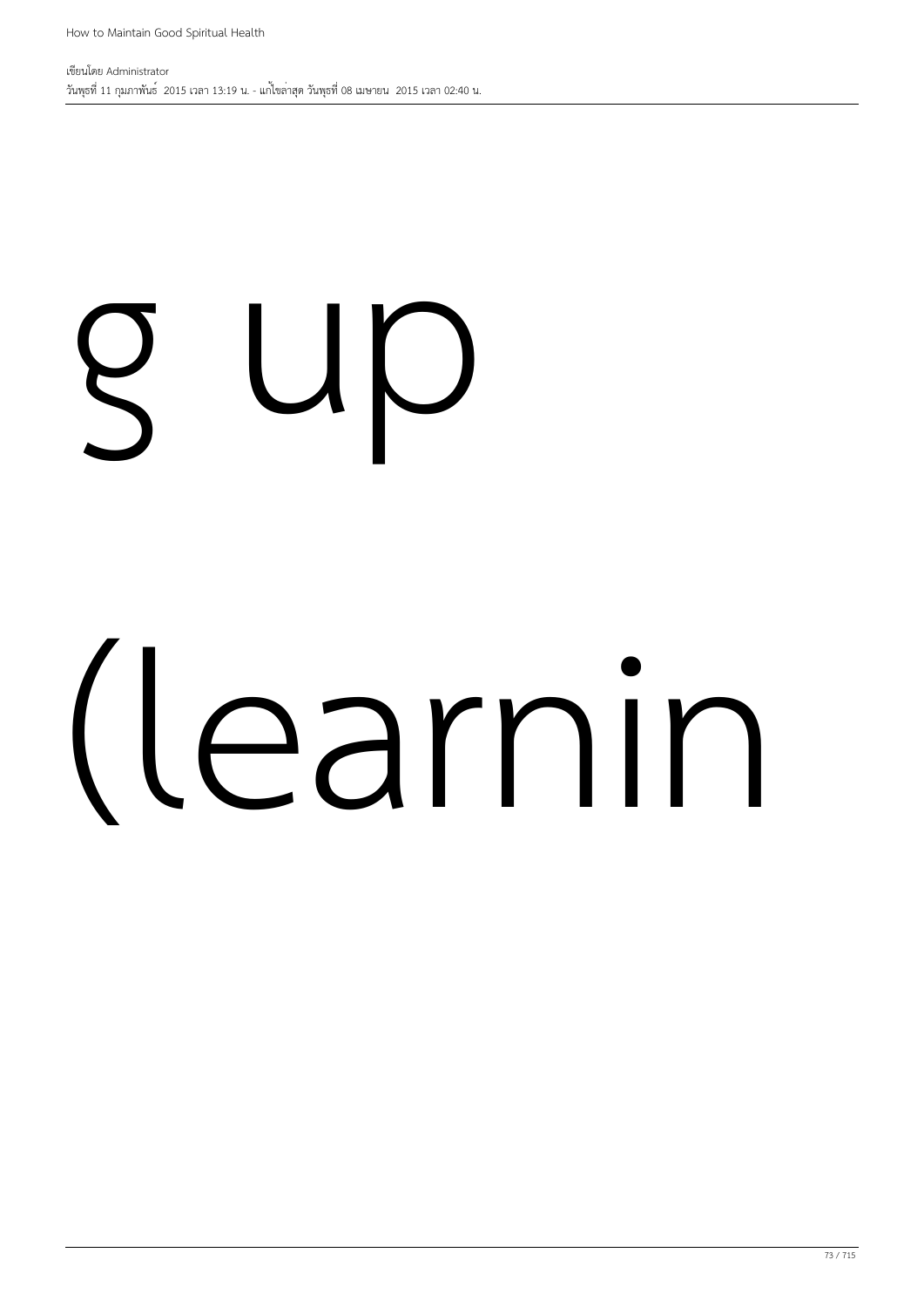### g up

#### (learnin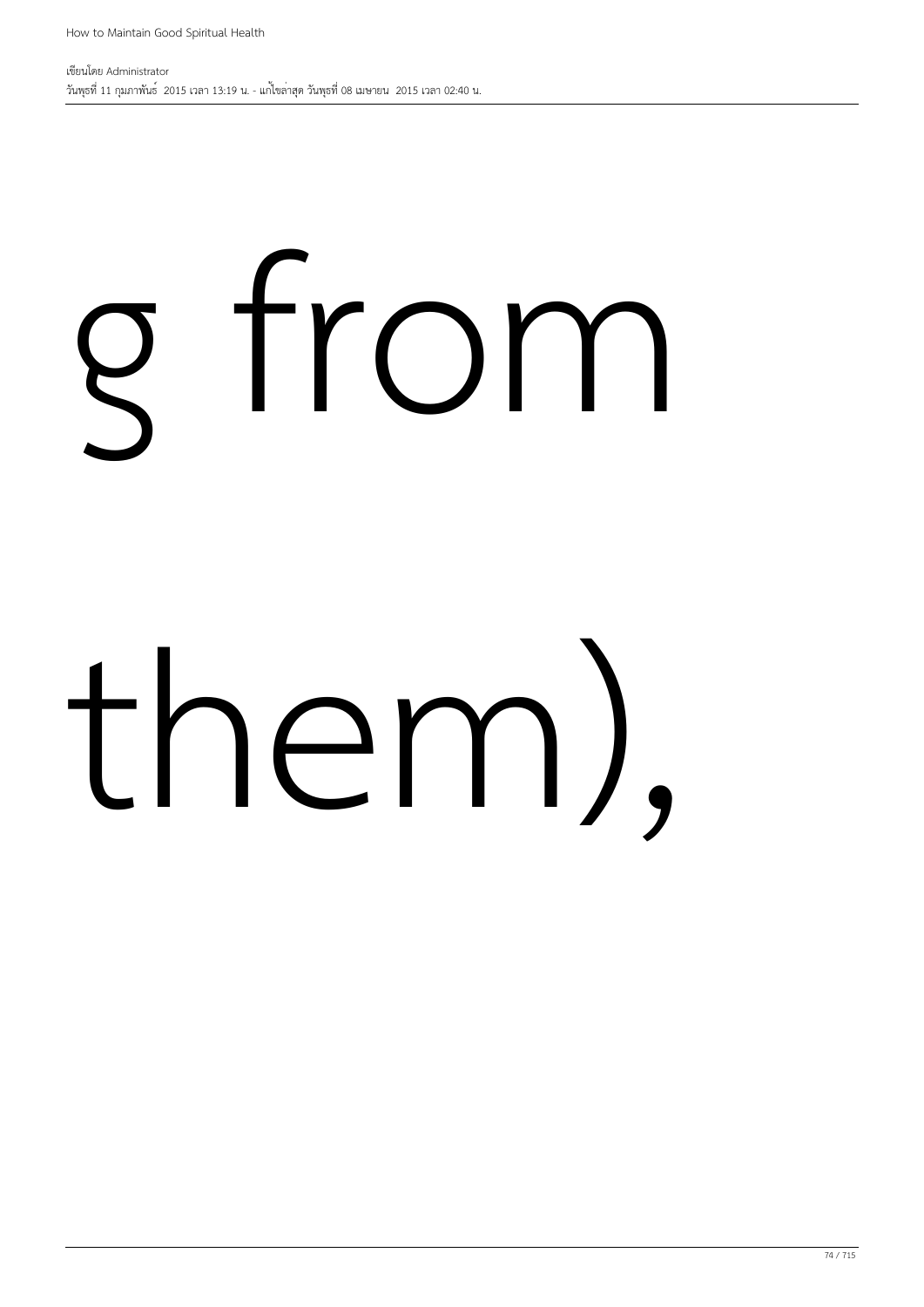# g from them),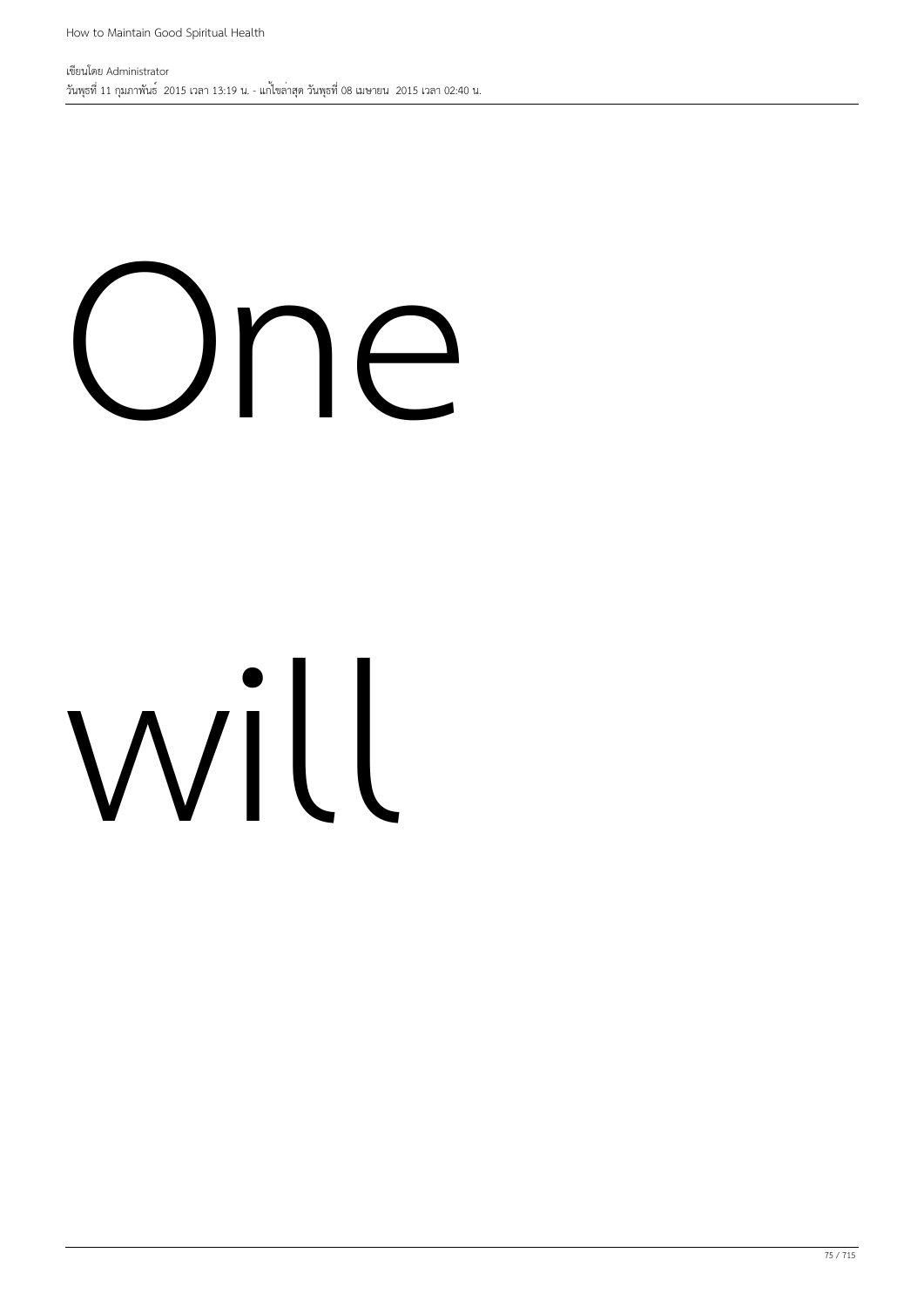#### One

#### will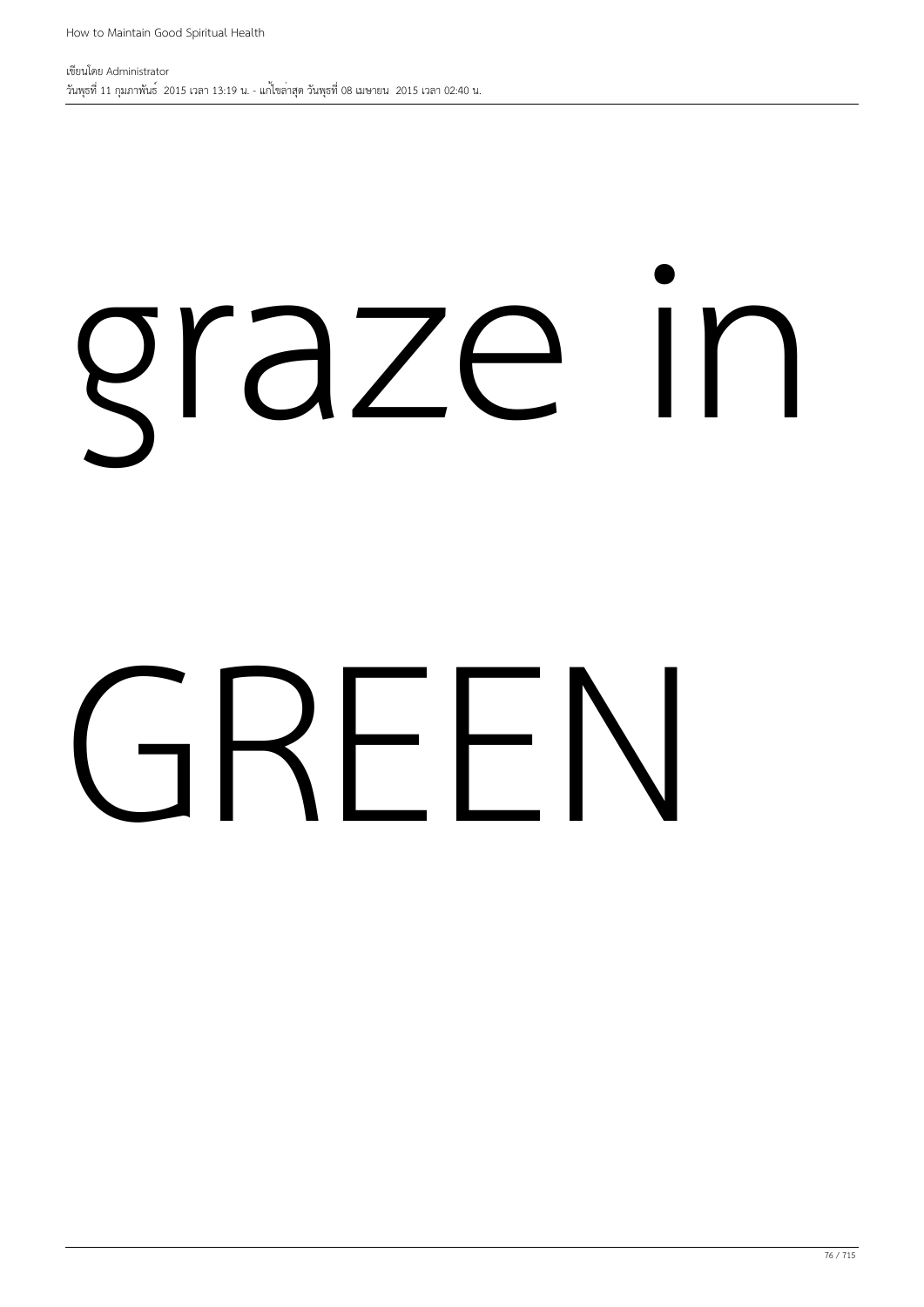### graze in

#### GREEN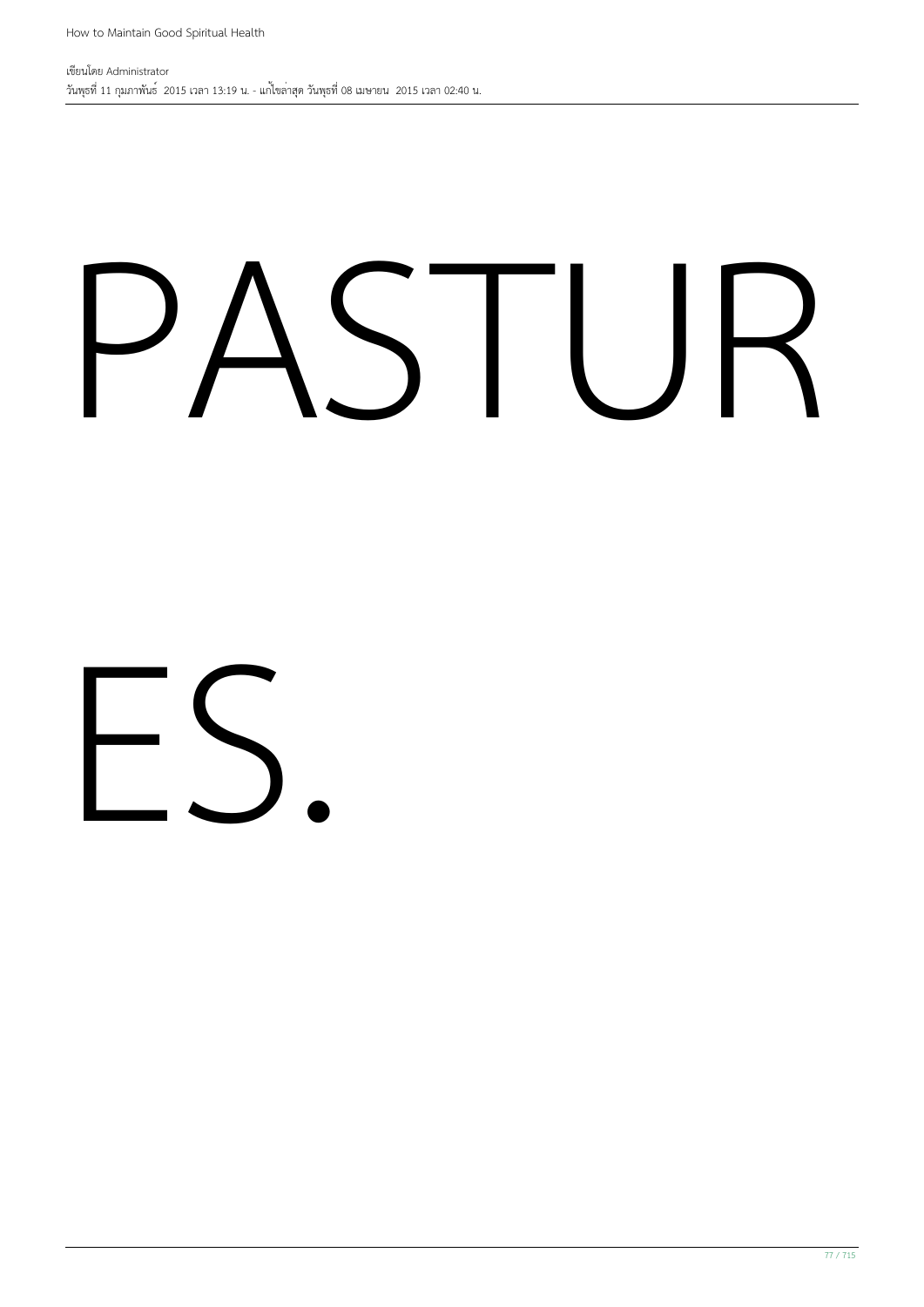#### PASTUR

#### $\overline{\phantom{a}}$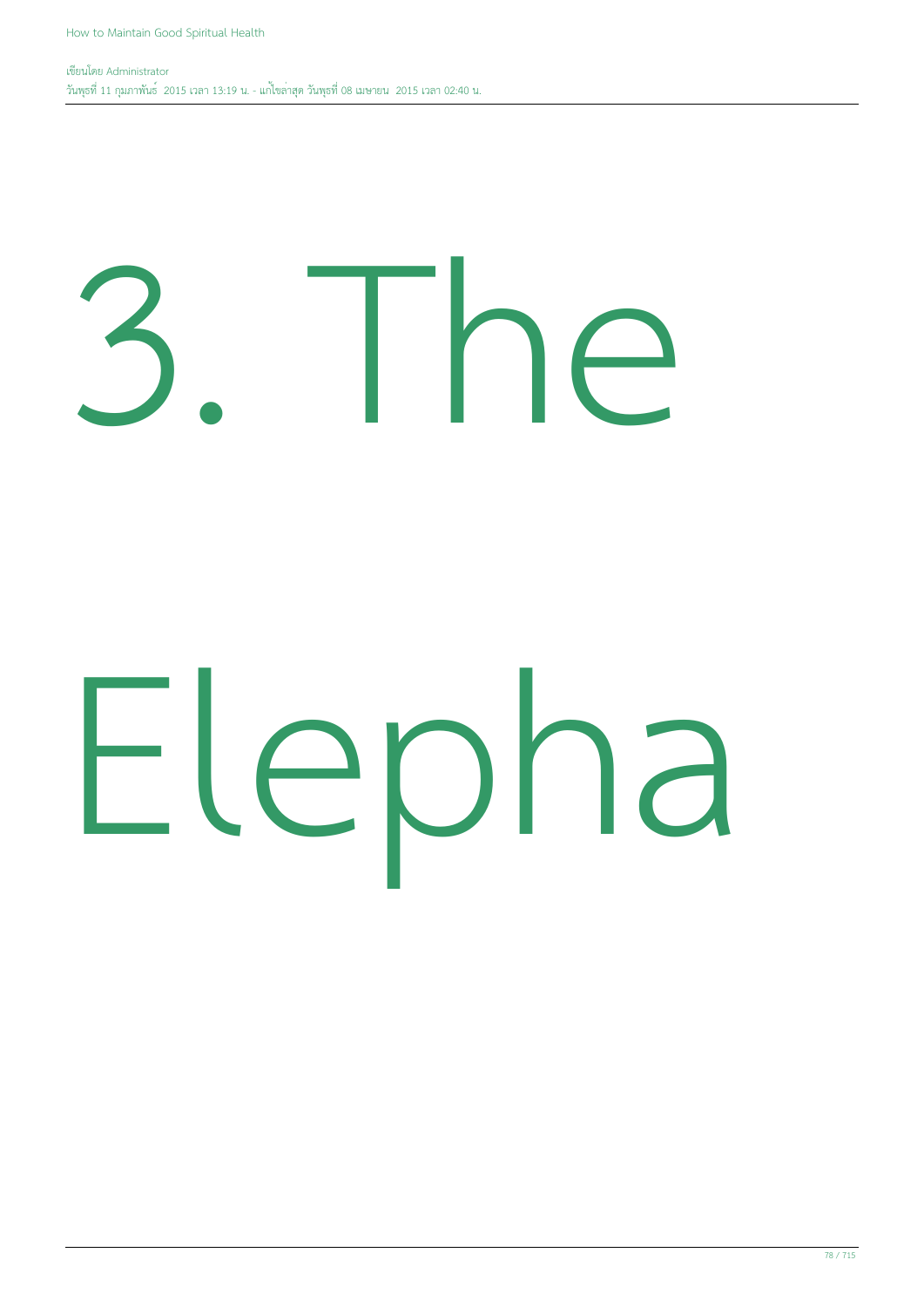#### $\overline{\phantom{a}}$

### Elepha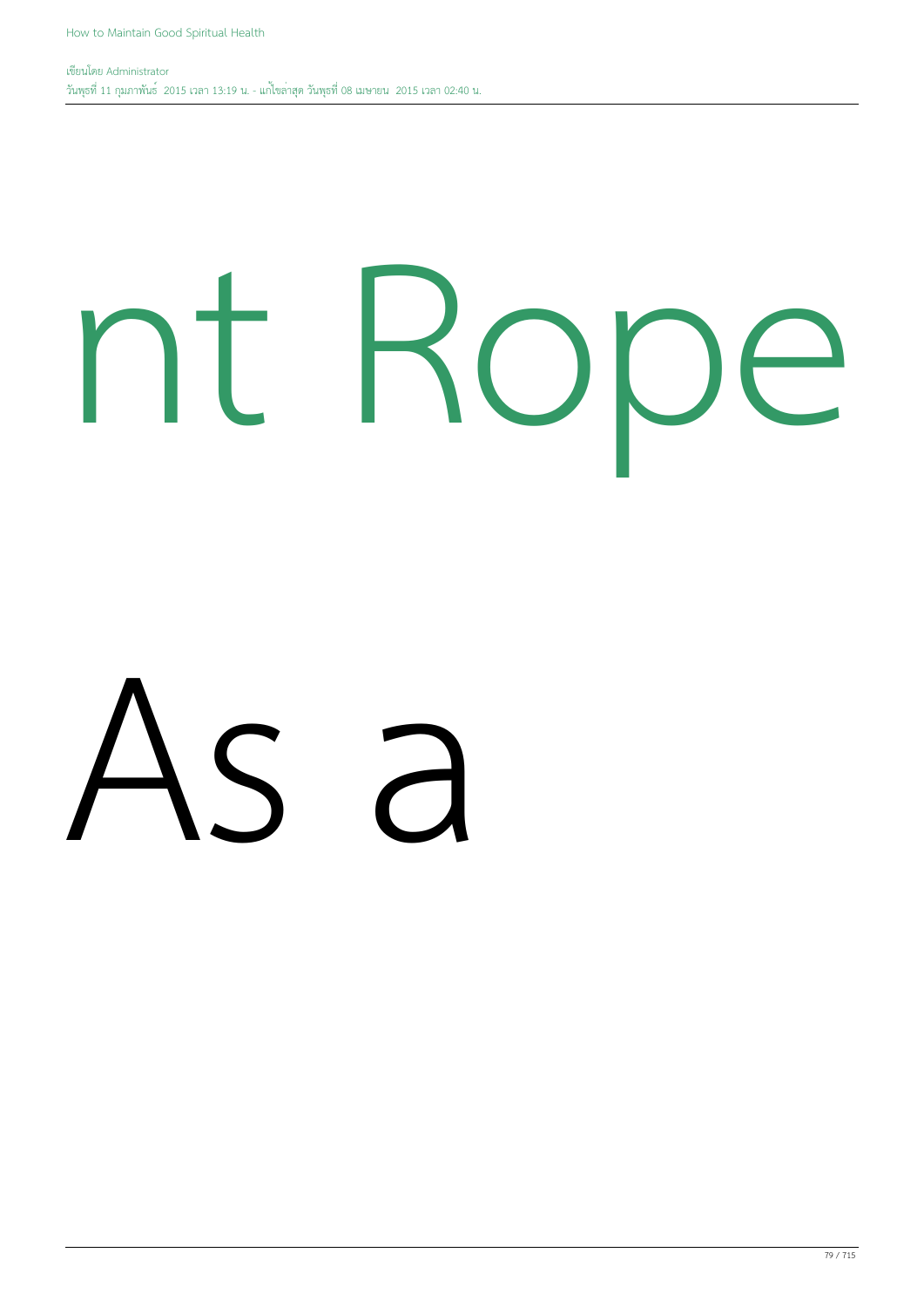### nt Rope

#### $S<sub>a</sub>$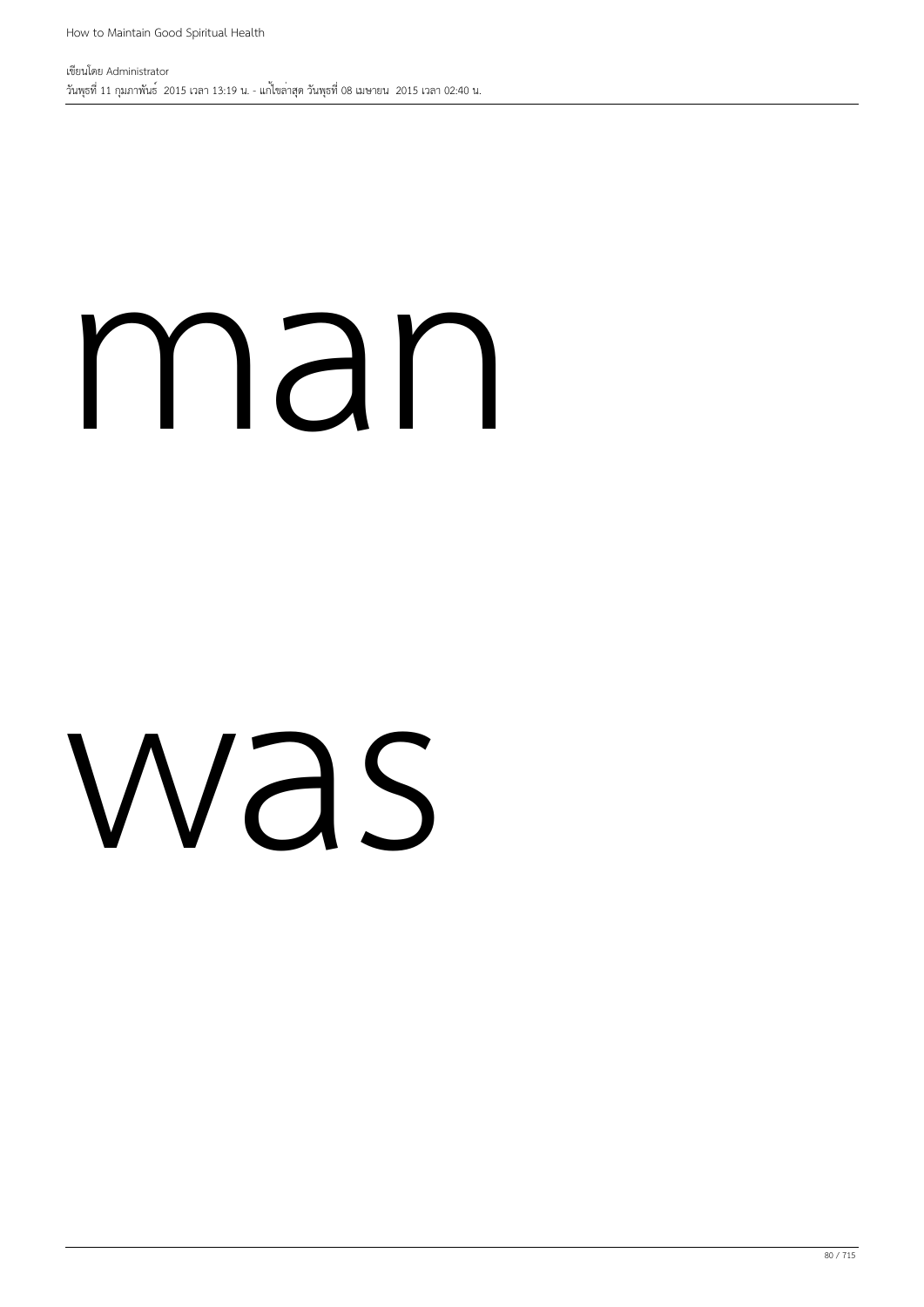#### man

#### was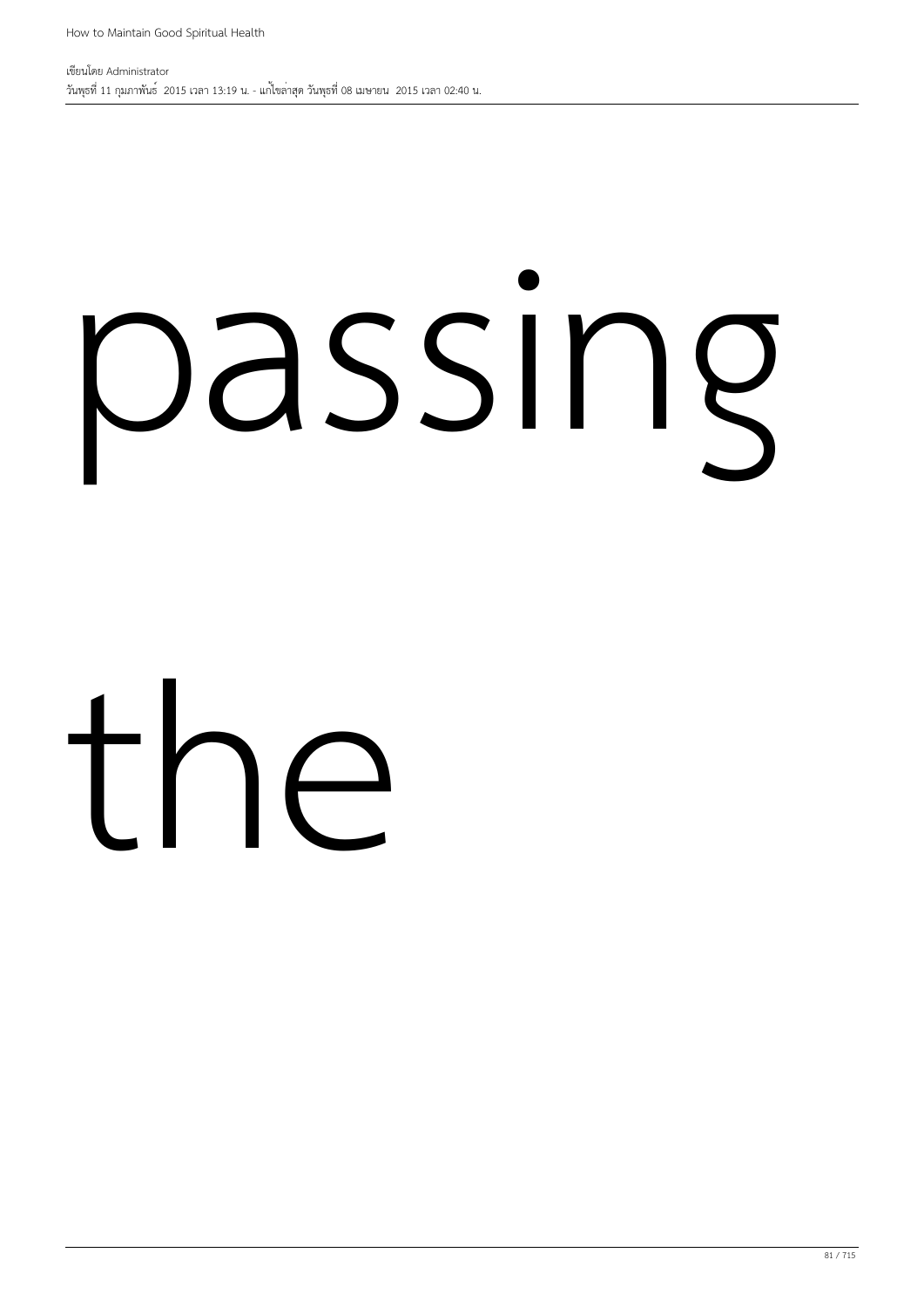# passing

#### the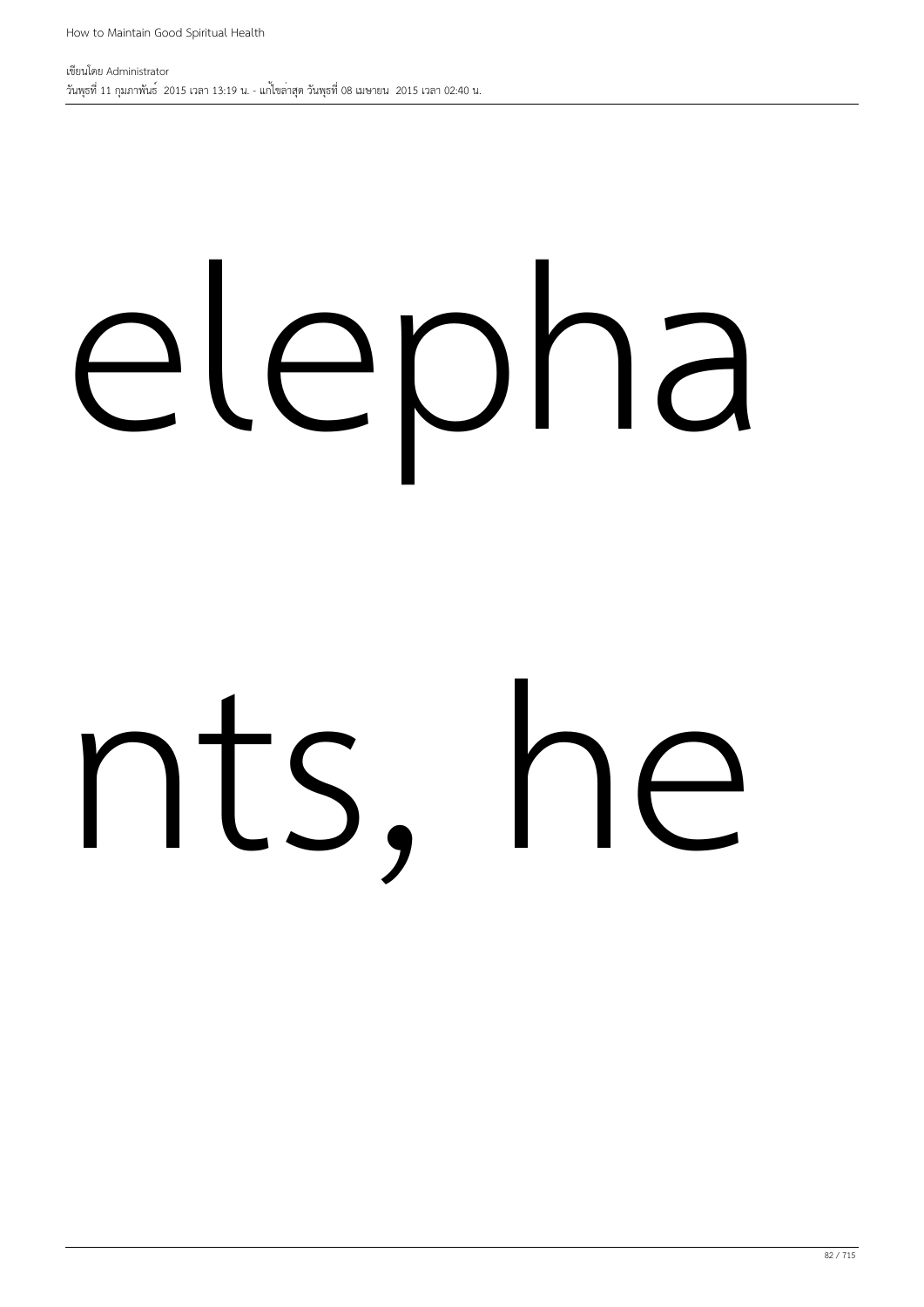# elepha

### nts, he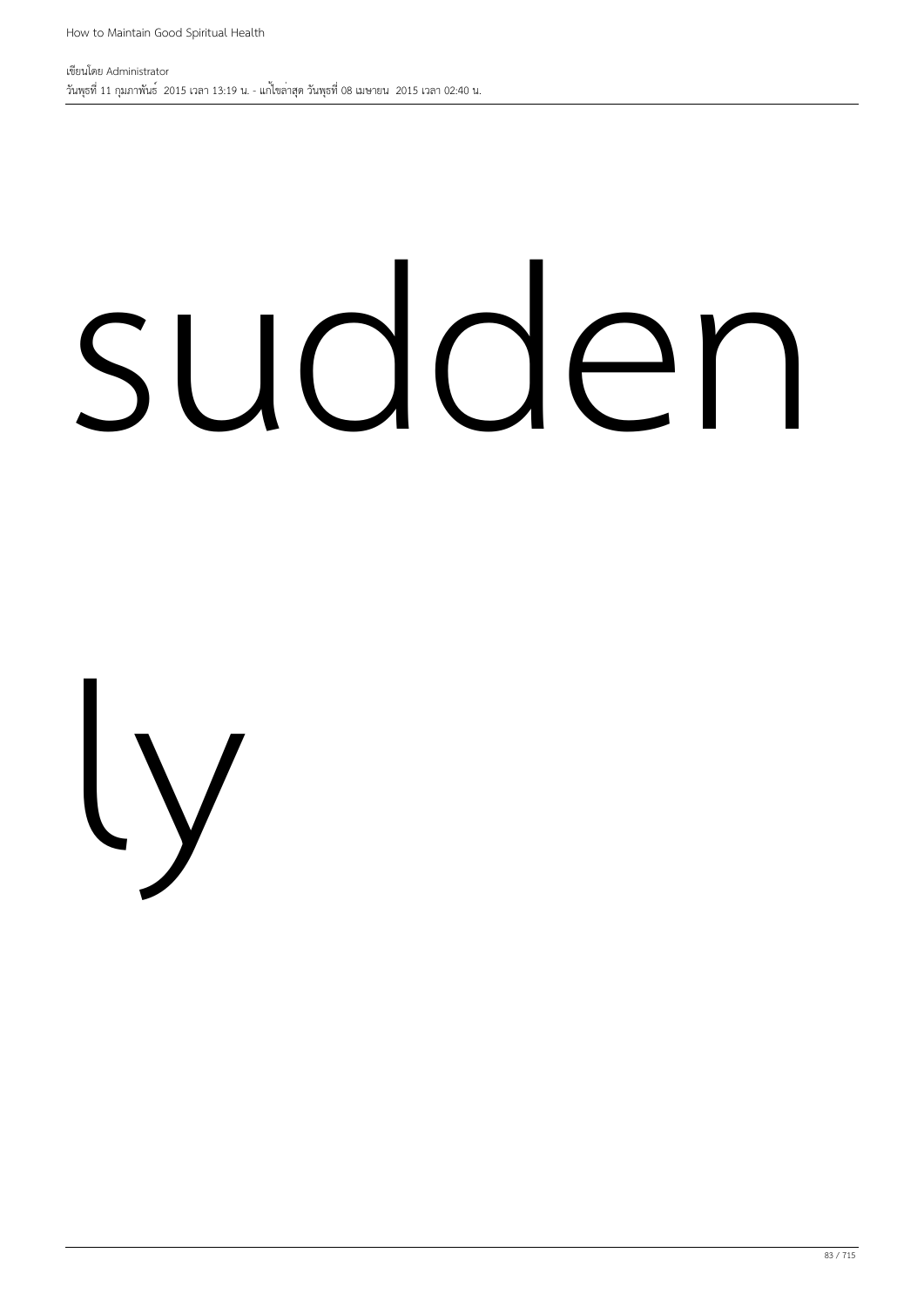### sudden

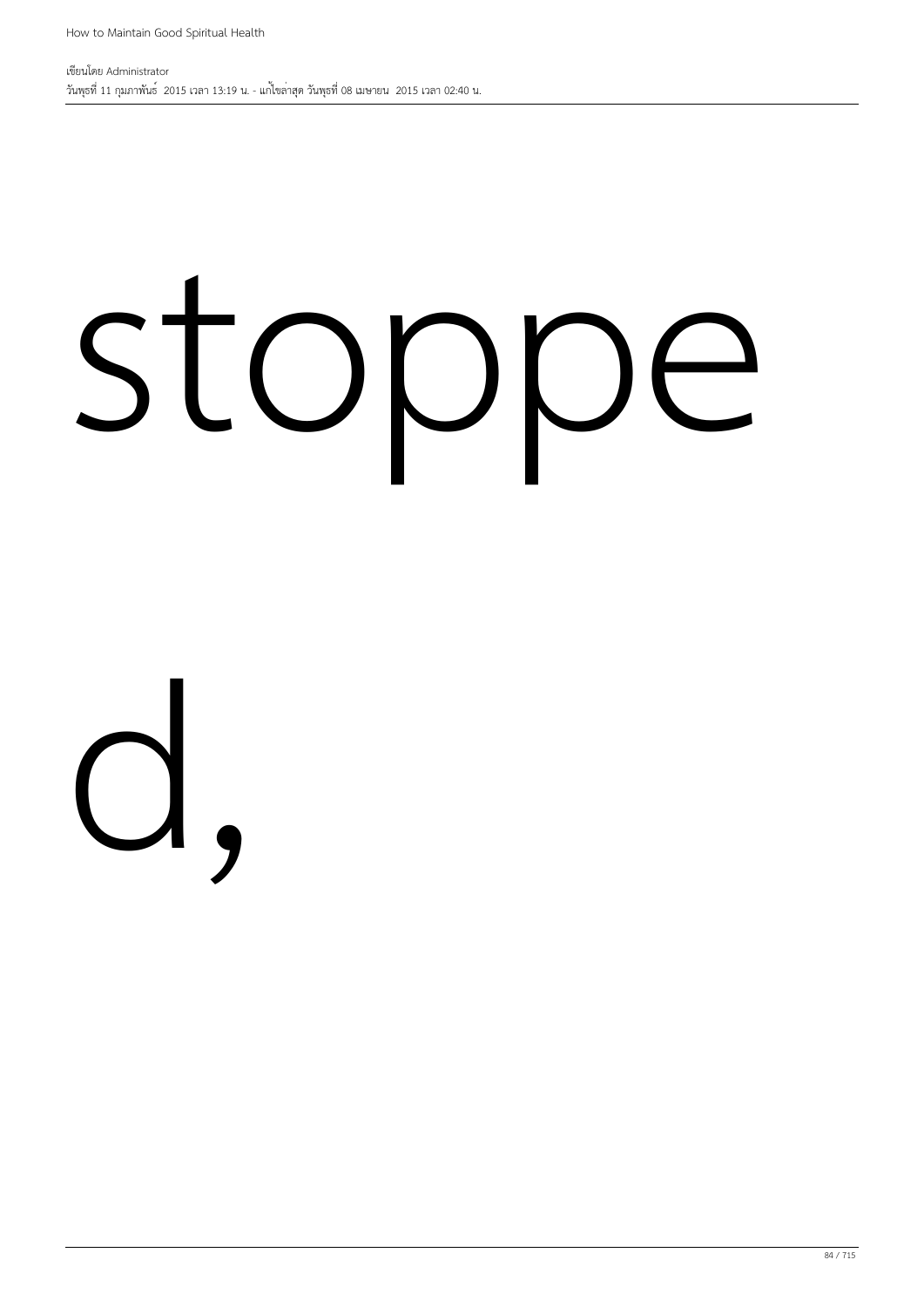## stoppe

### $\begin{pmatrix} 1 \\ 1 \end{pmatrix}$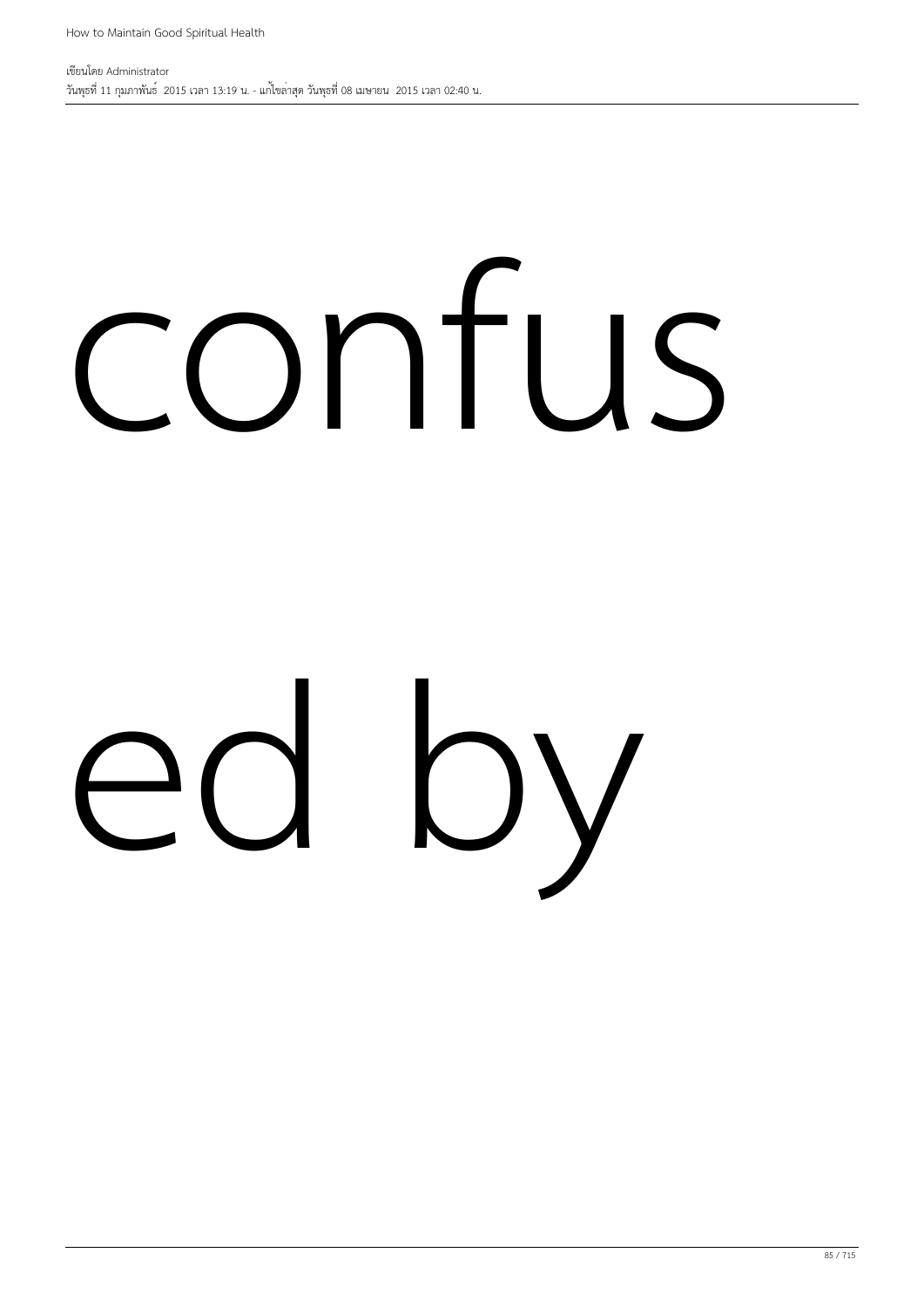### confus

### ed by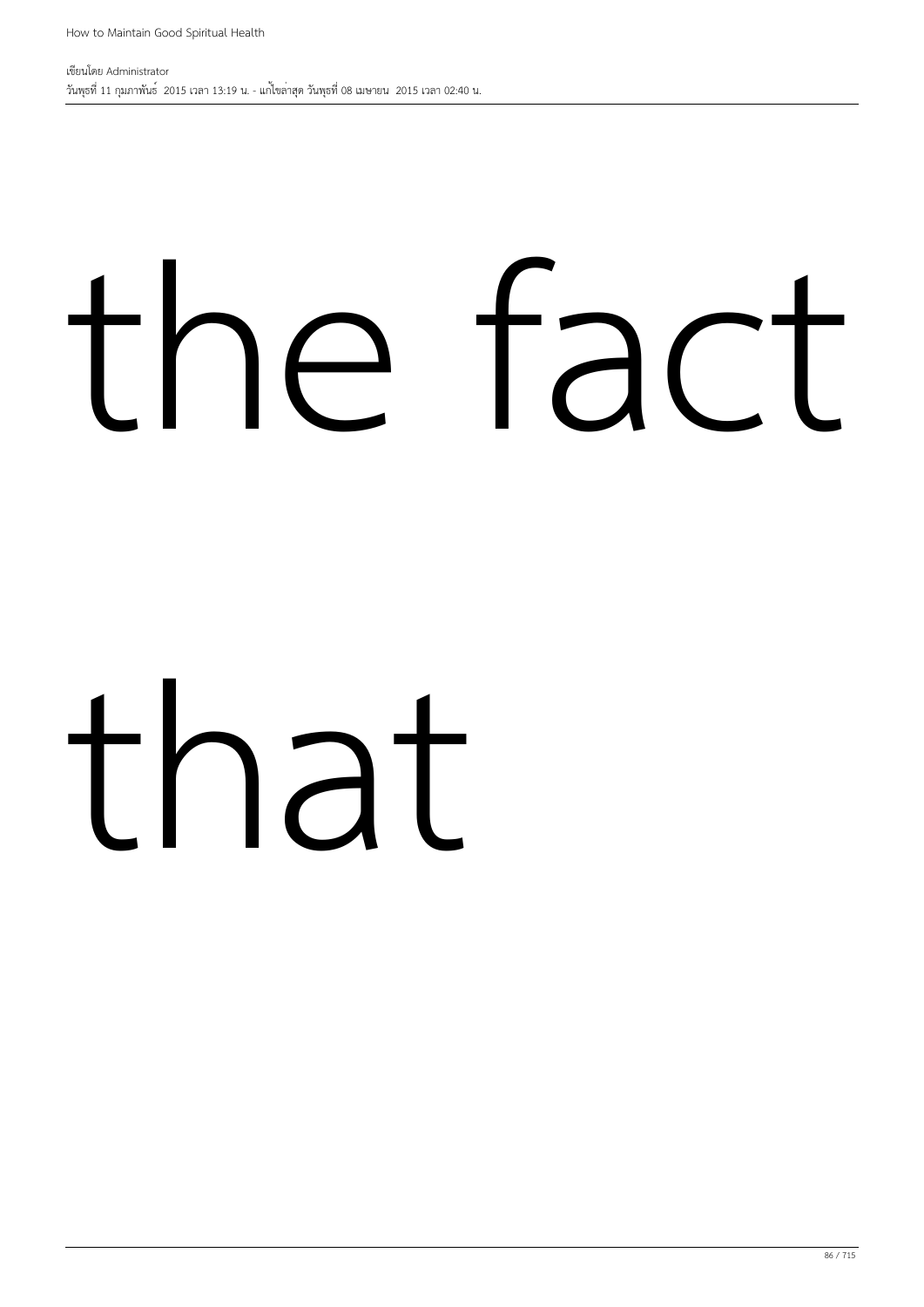### the fact

#### that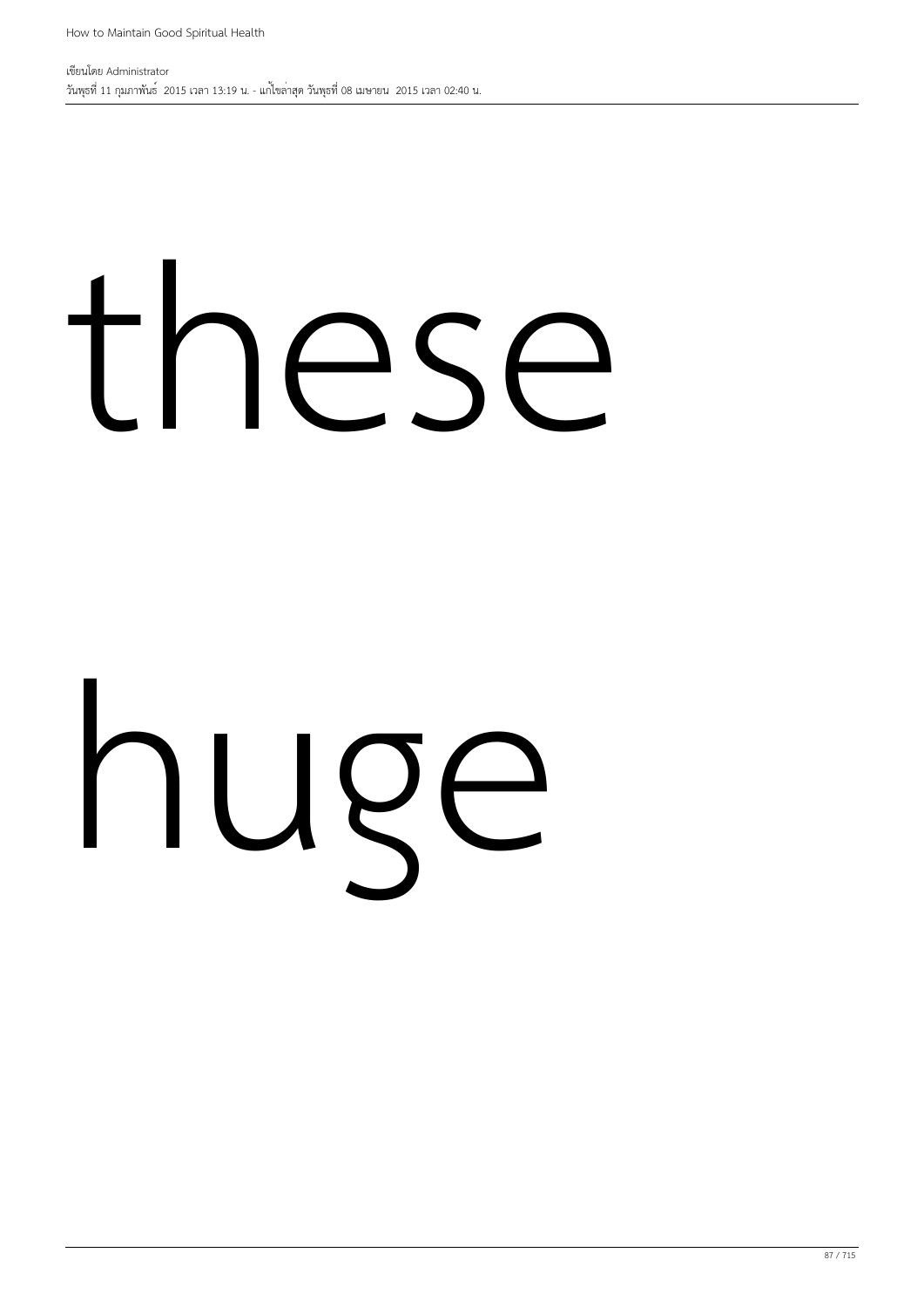#### these

### huge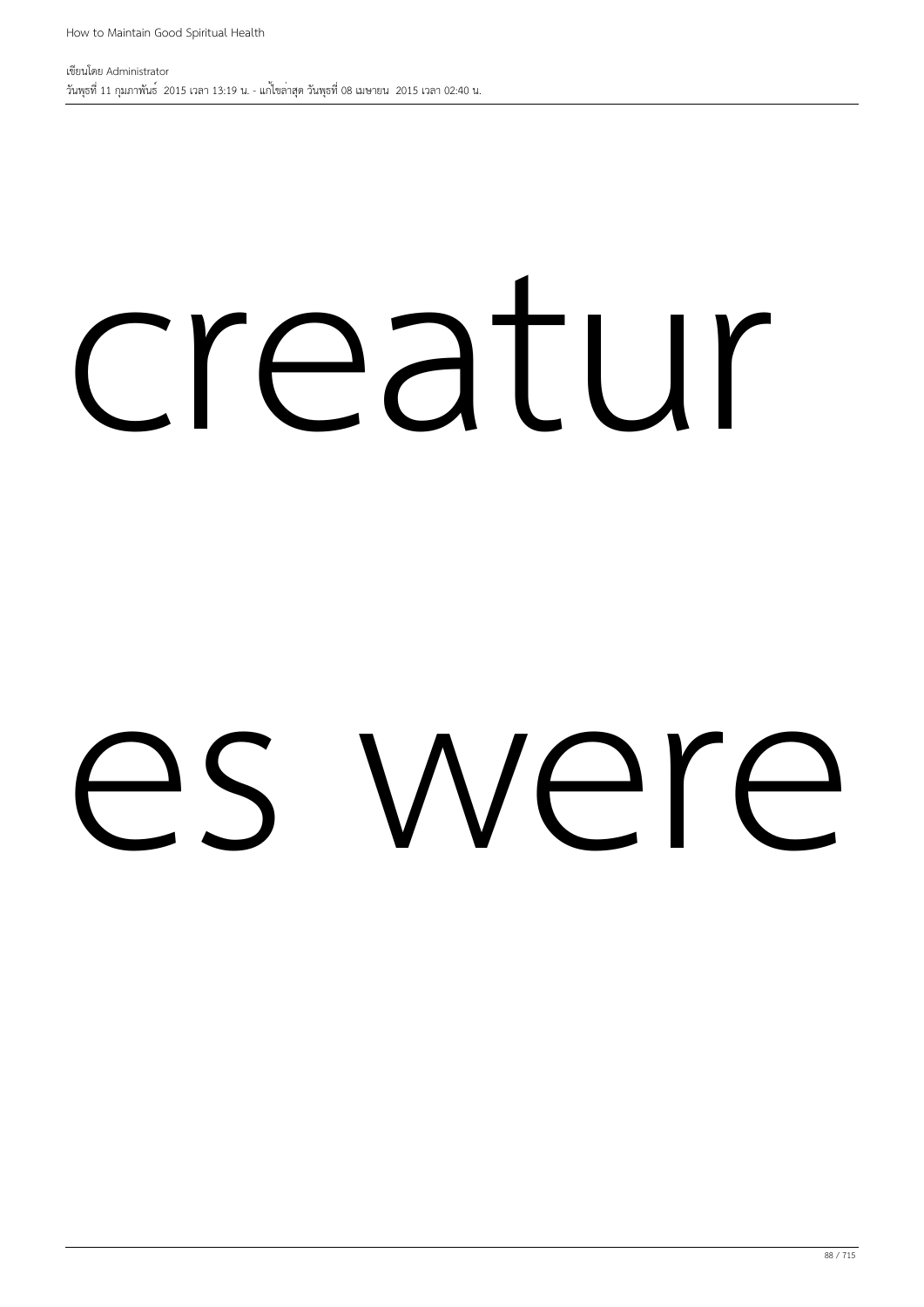#### creatur

#### es were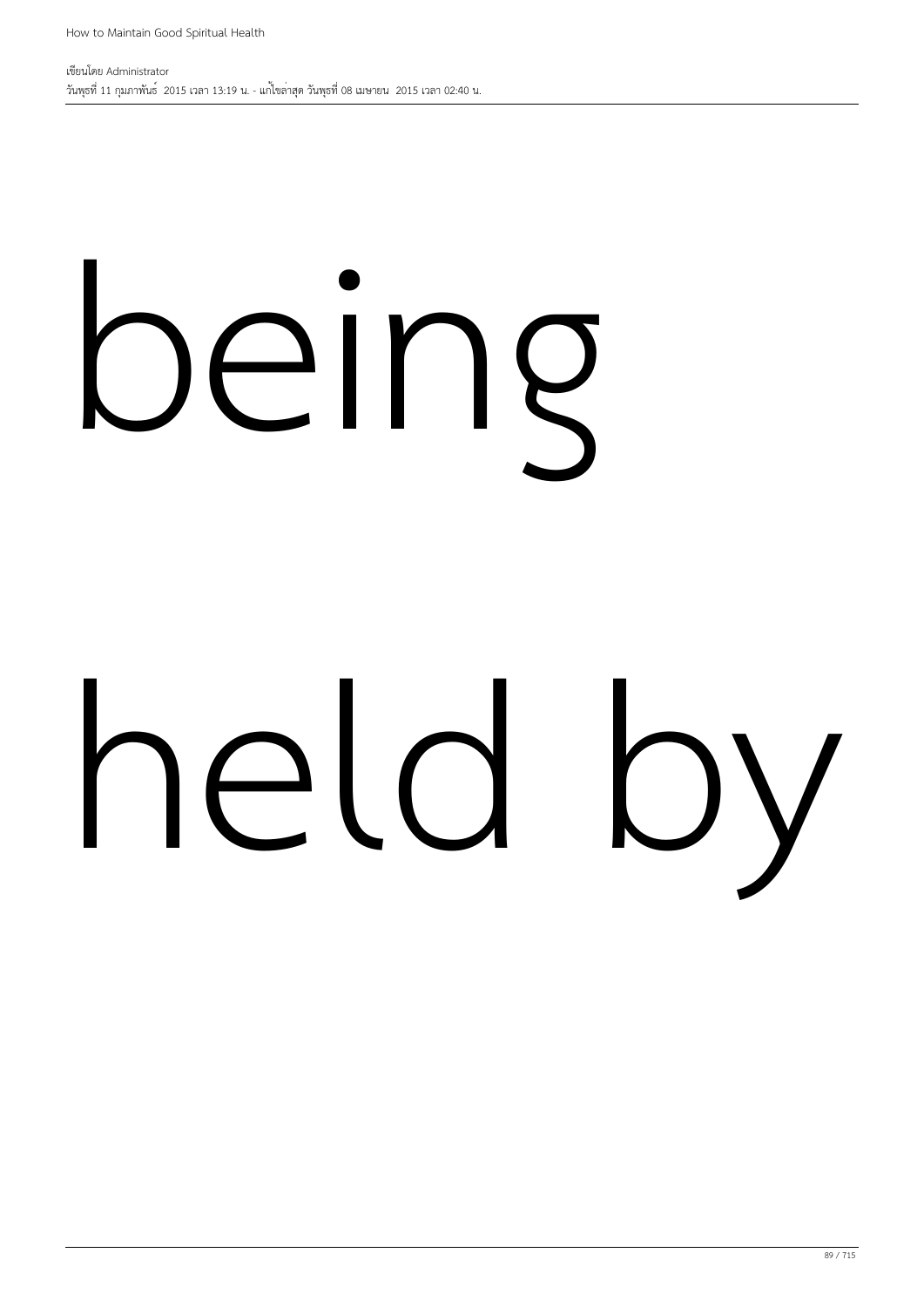# being held by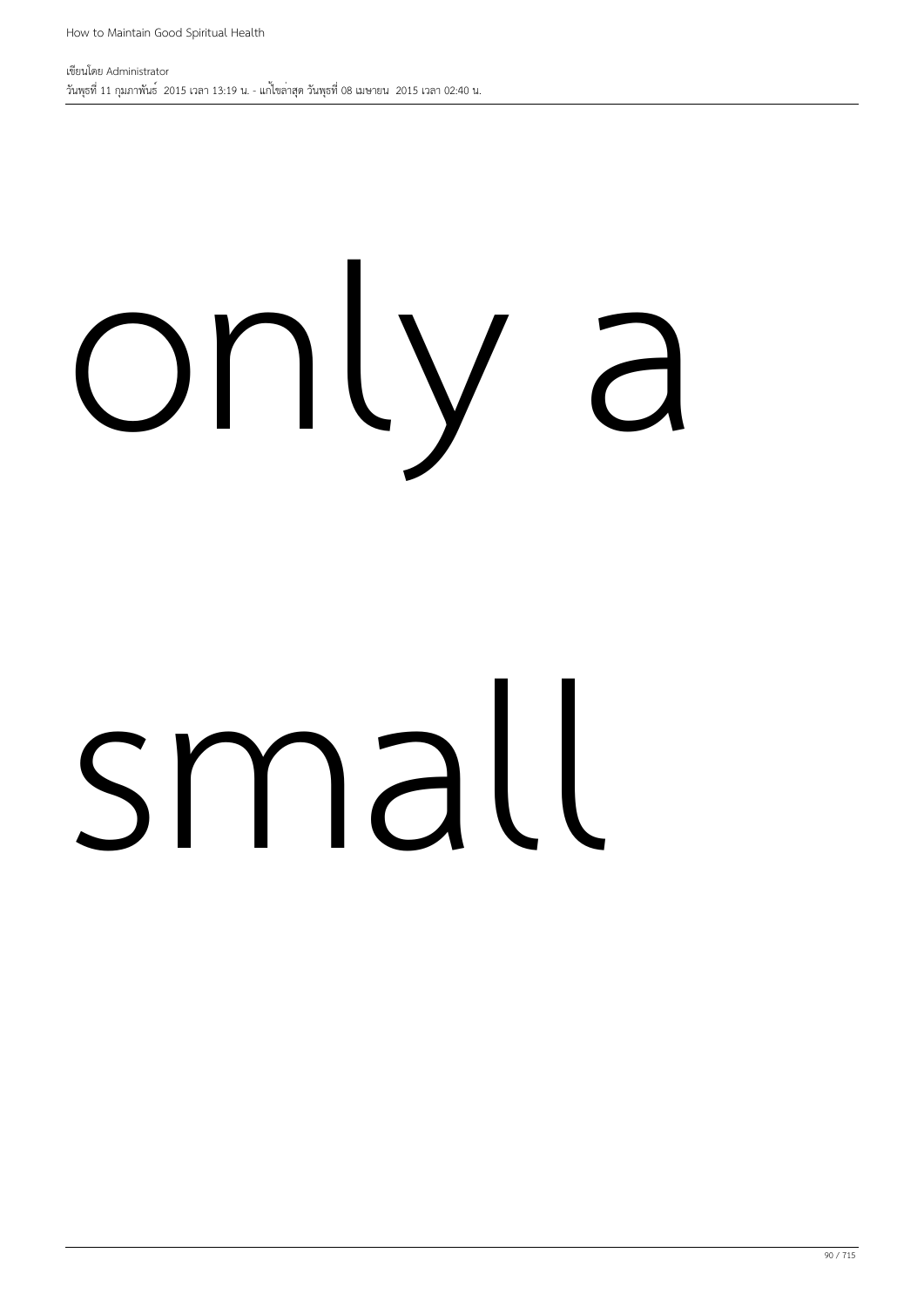## only a

#### small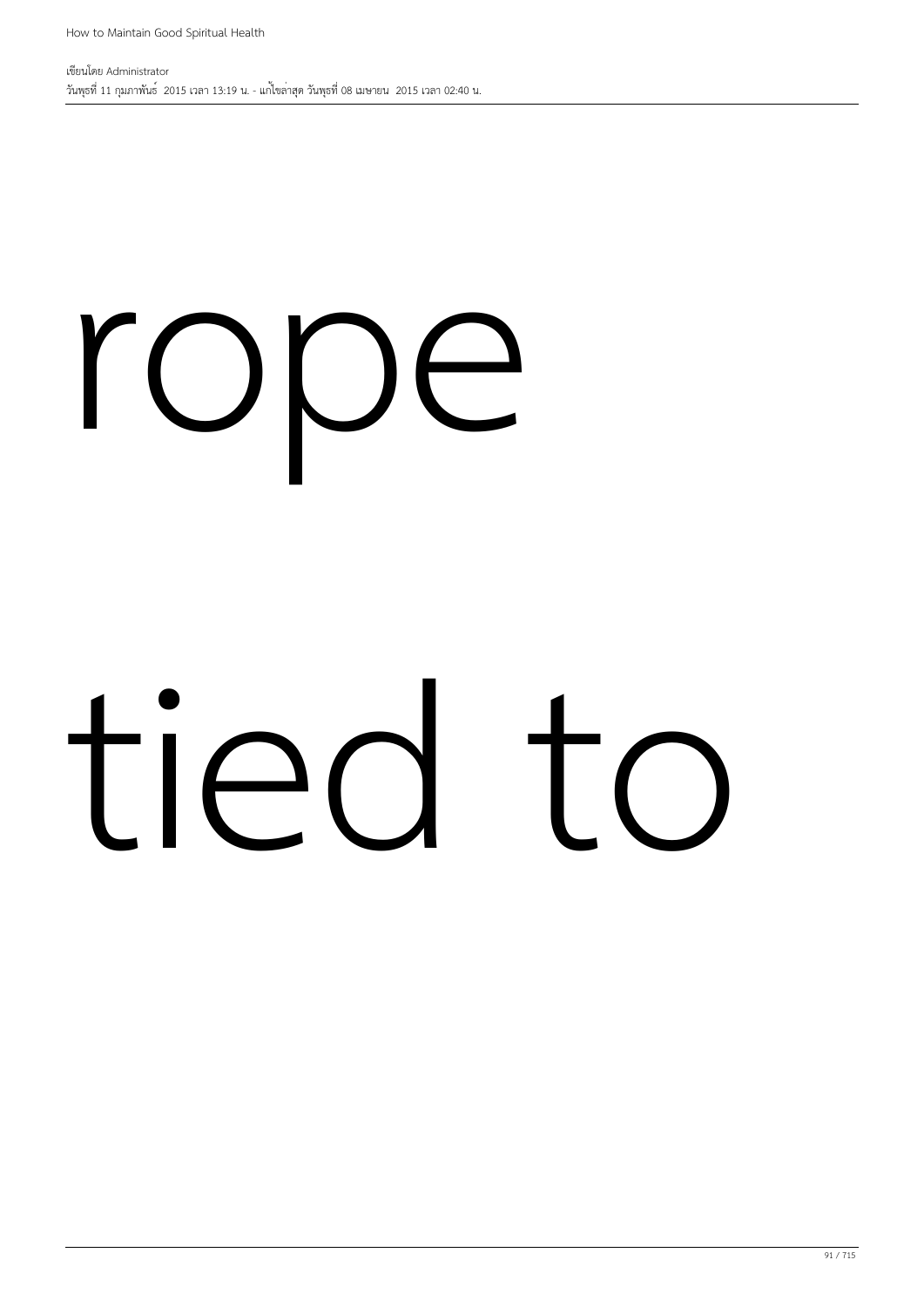### rope

#### tied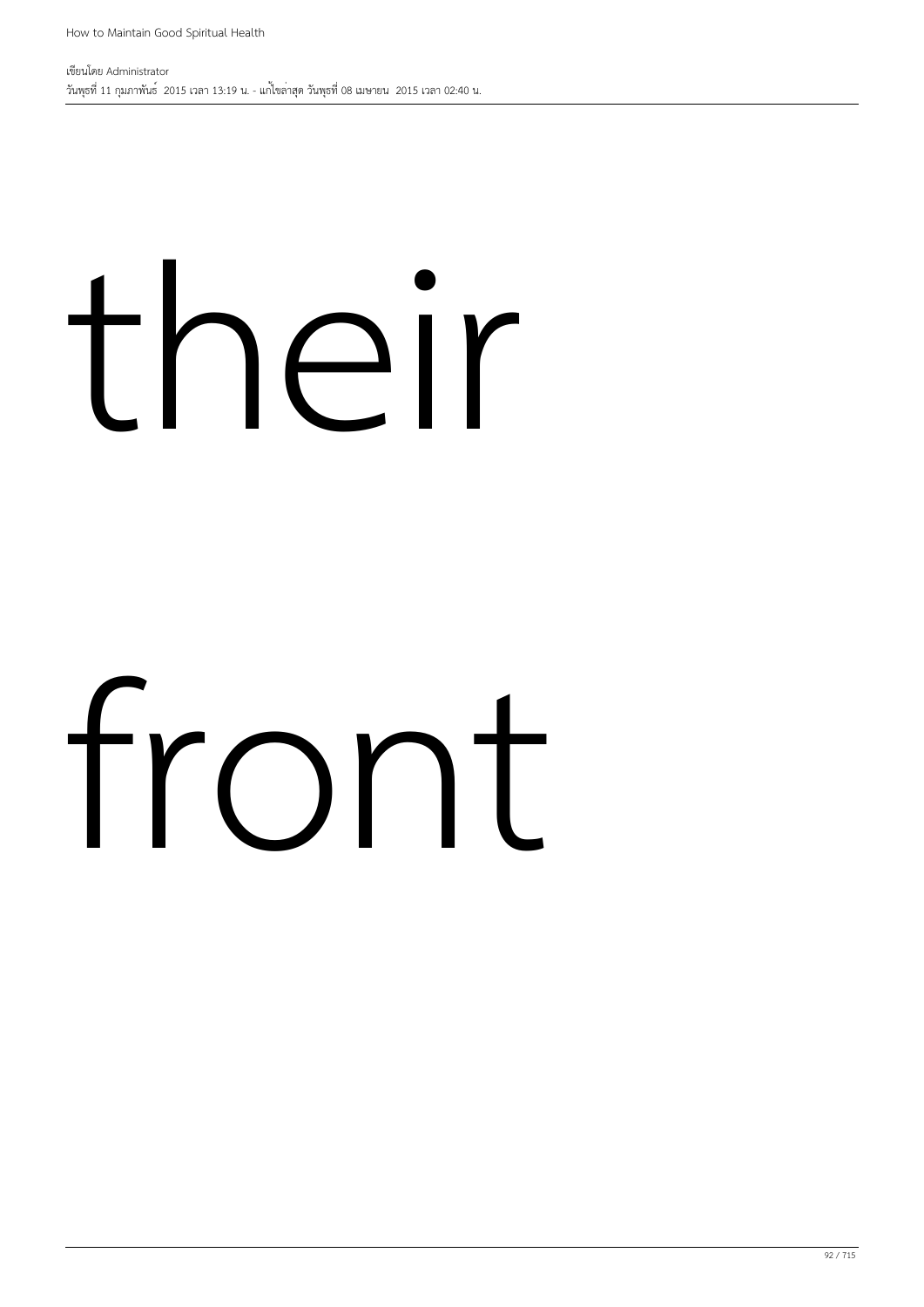### their

#### front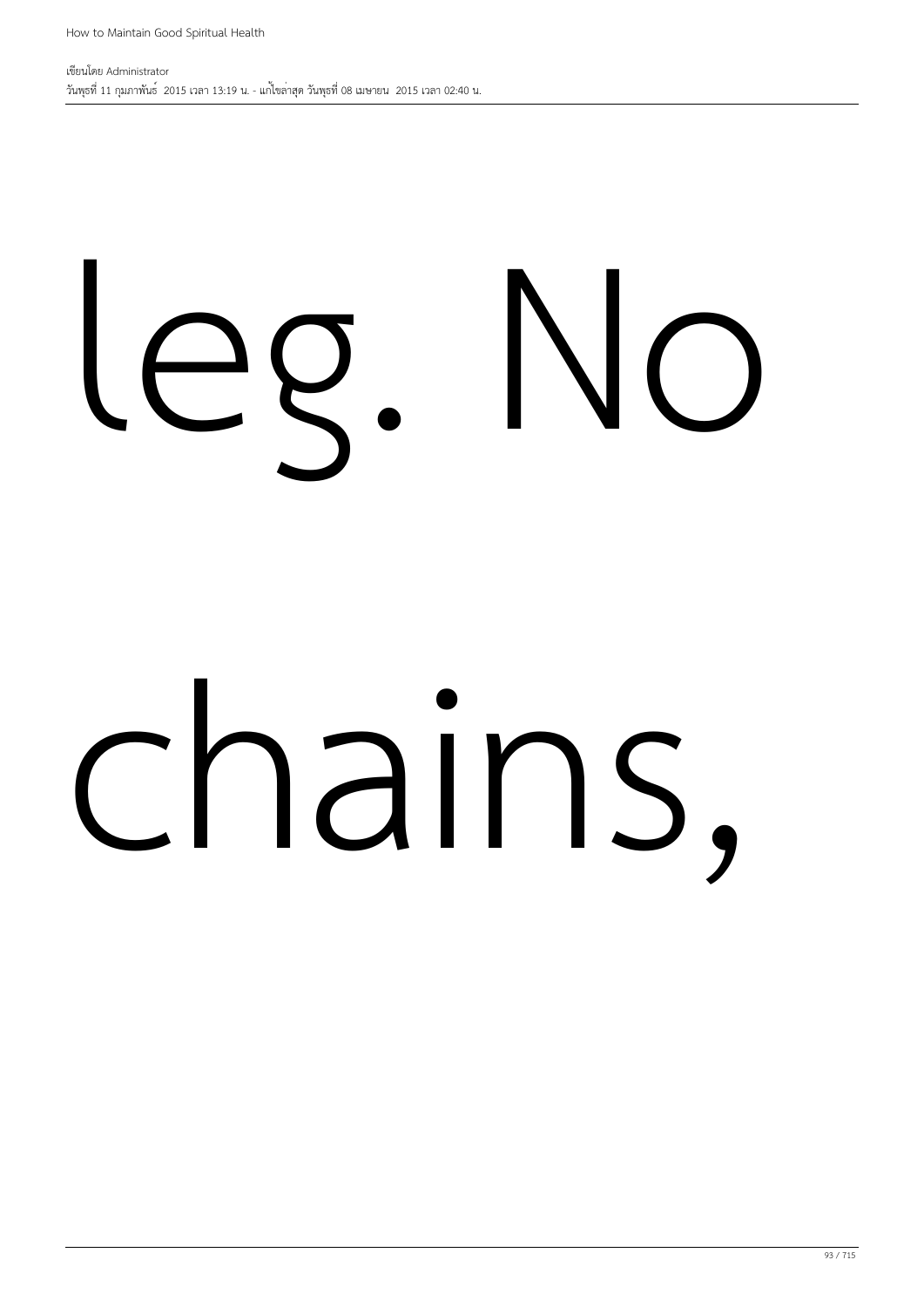## leg. No

### chains,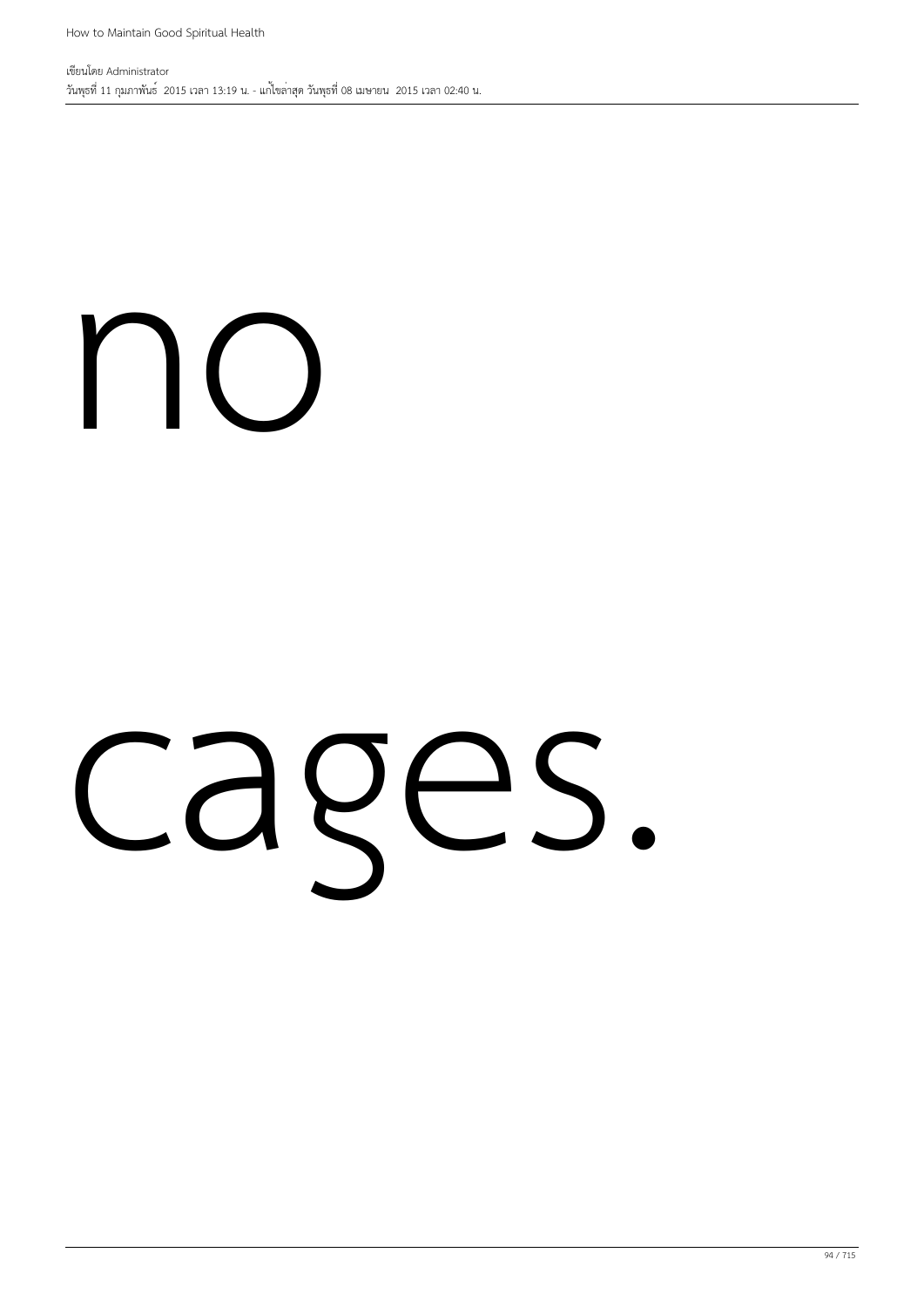#### $\bigcap$

#### cages.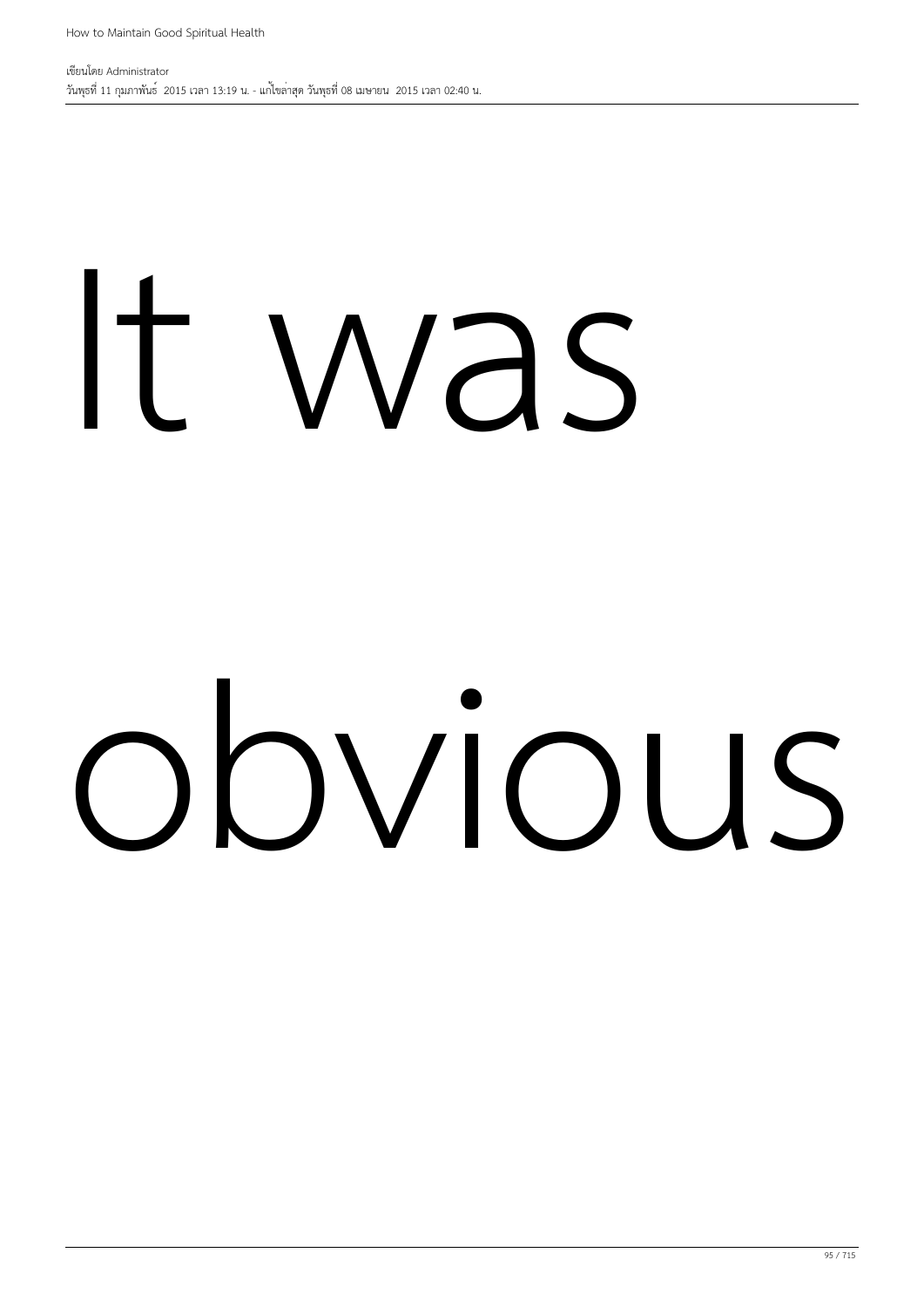#### Was

#### obvious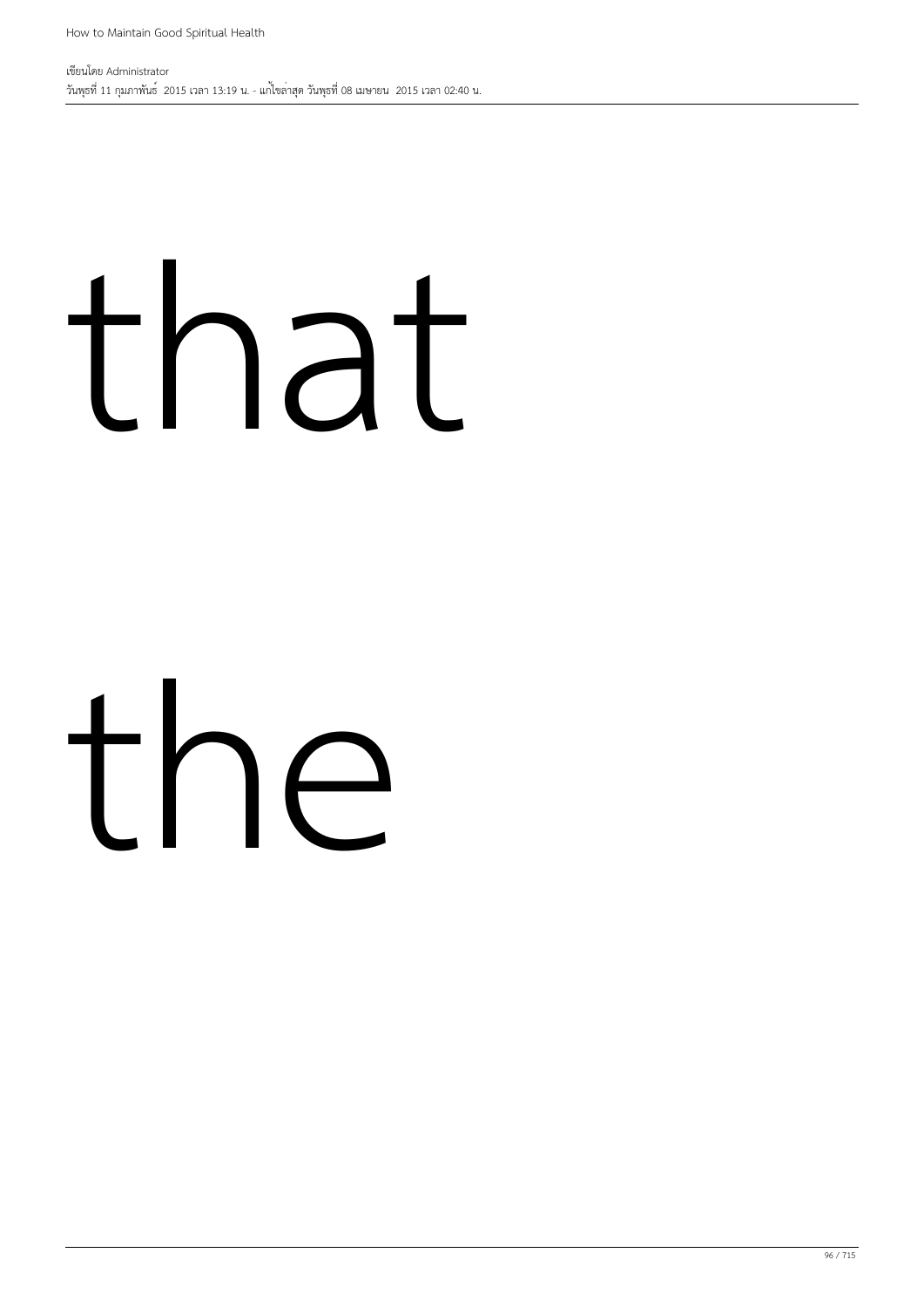### that

#### the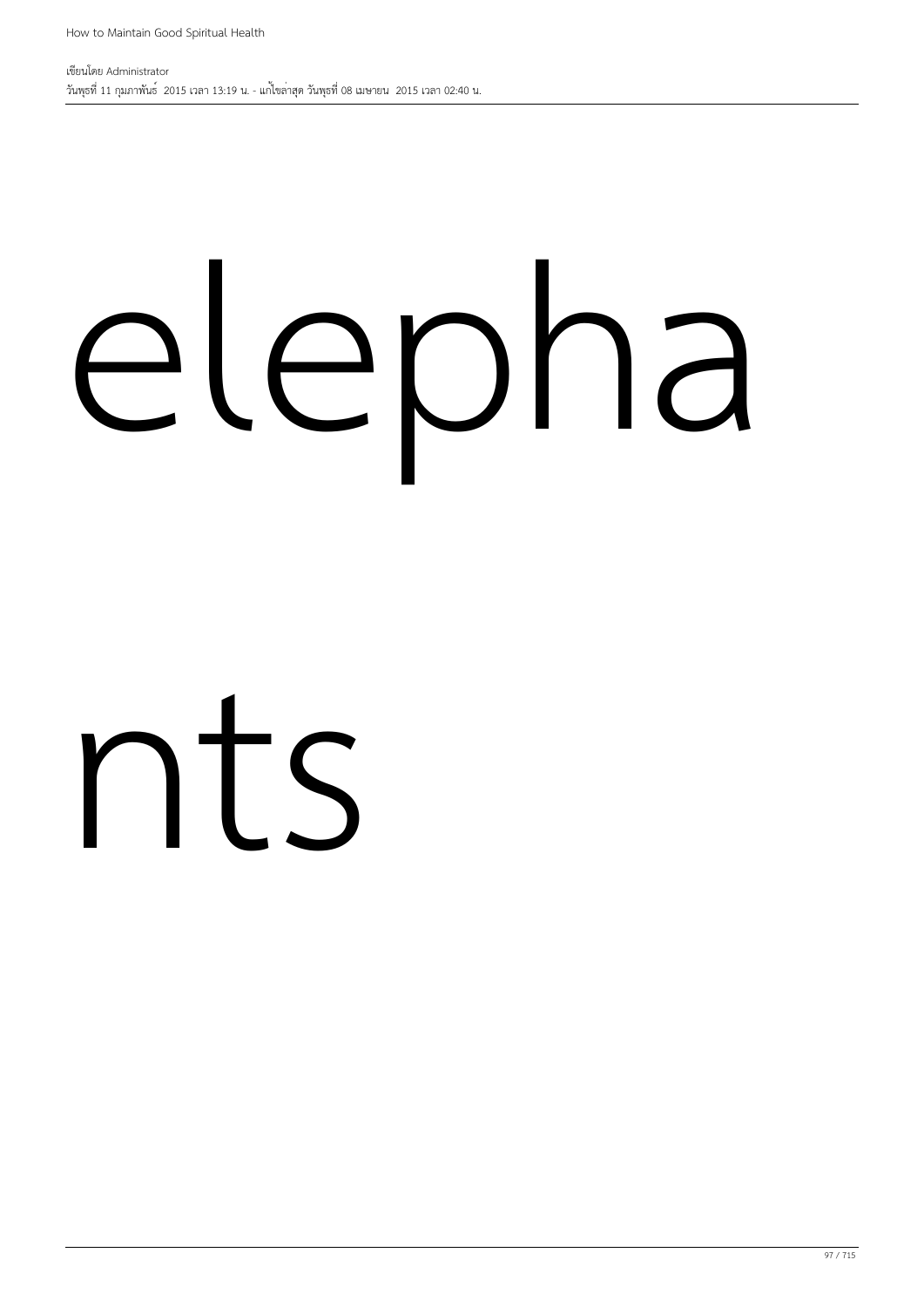# elepha

#### nts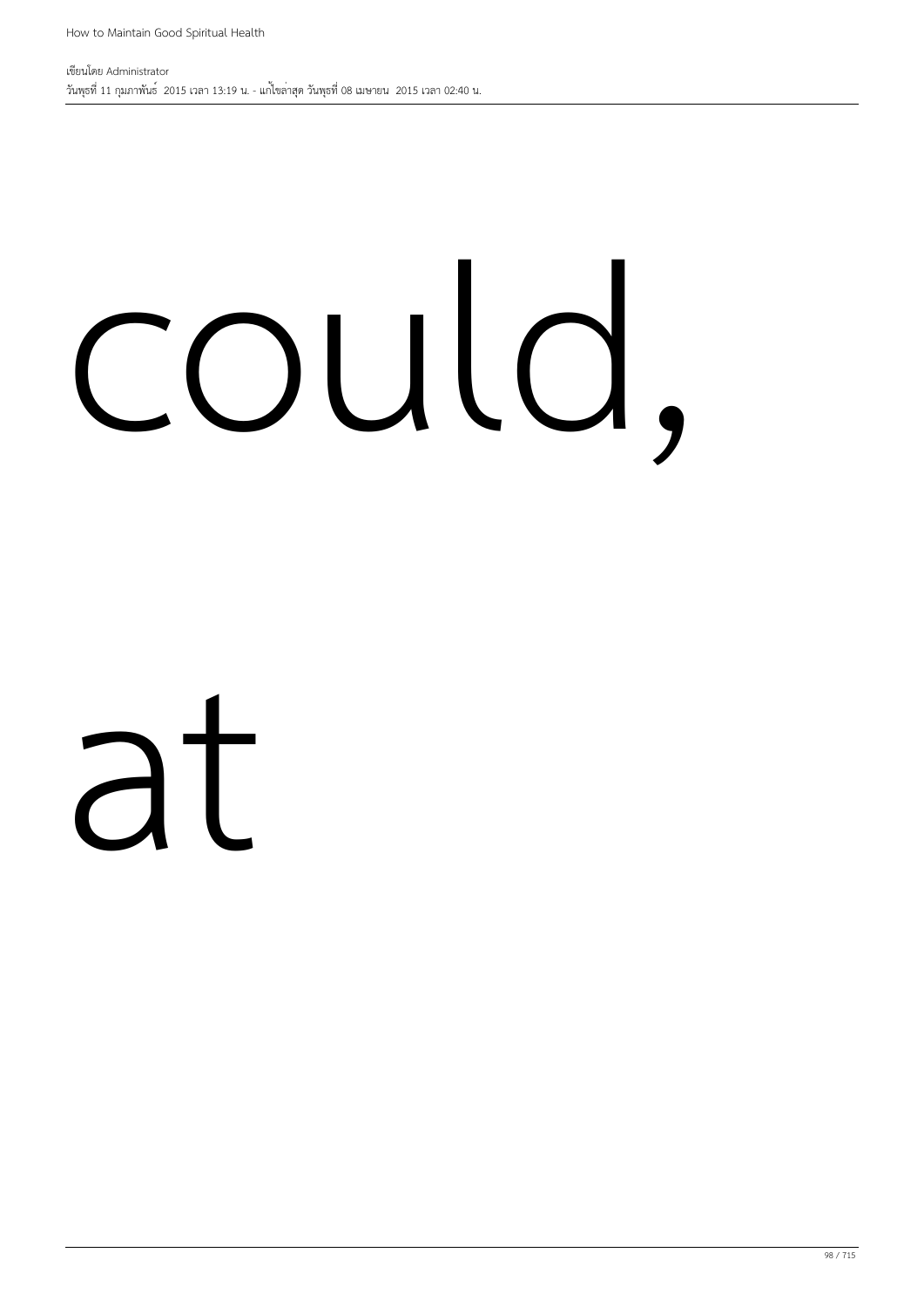## could,

#### at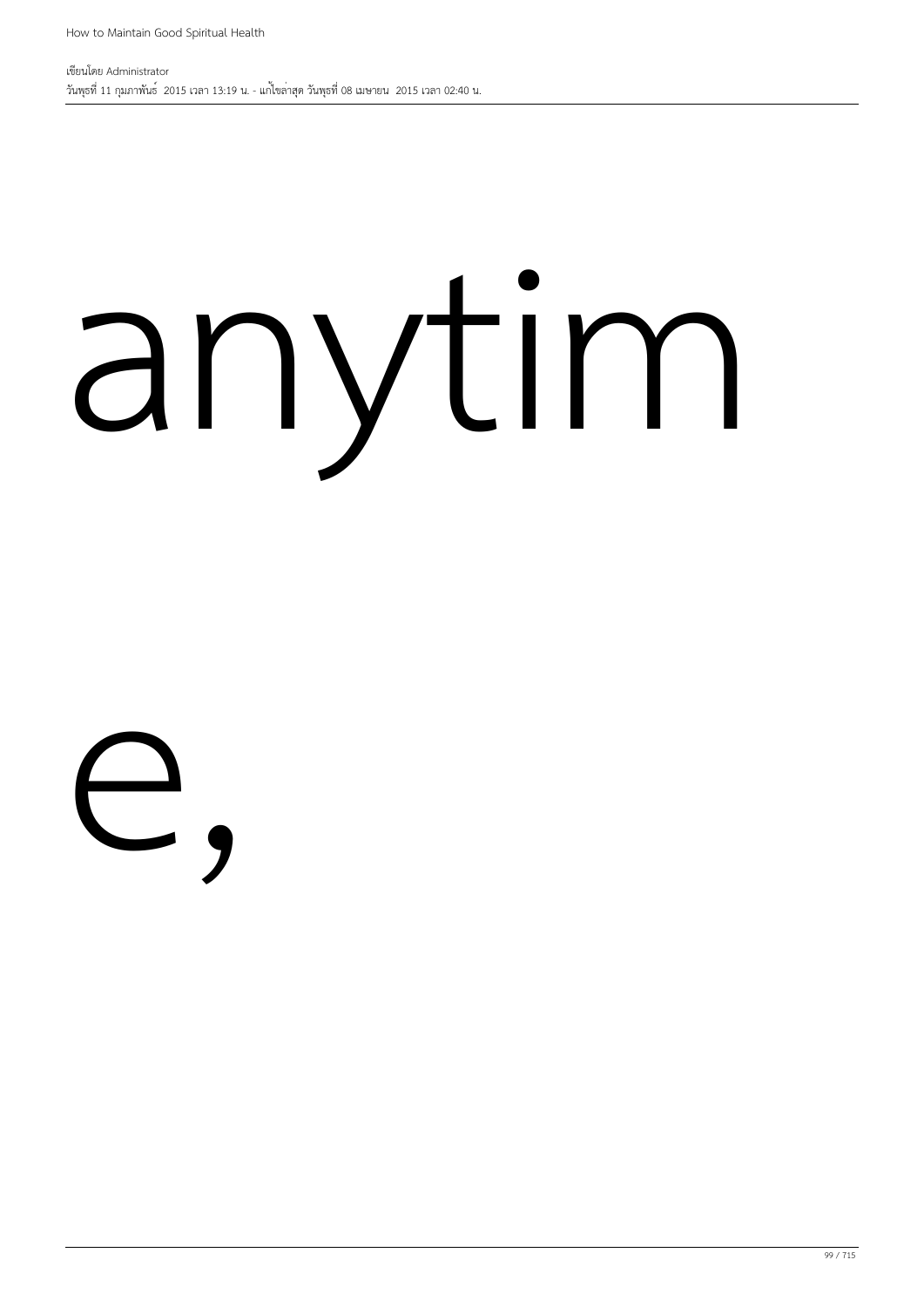## anytim

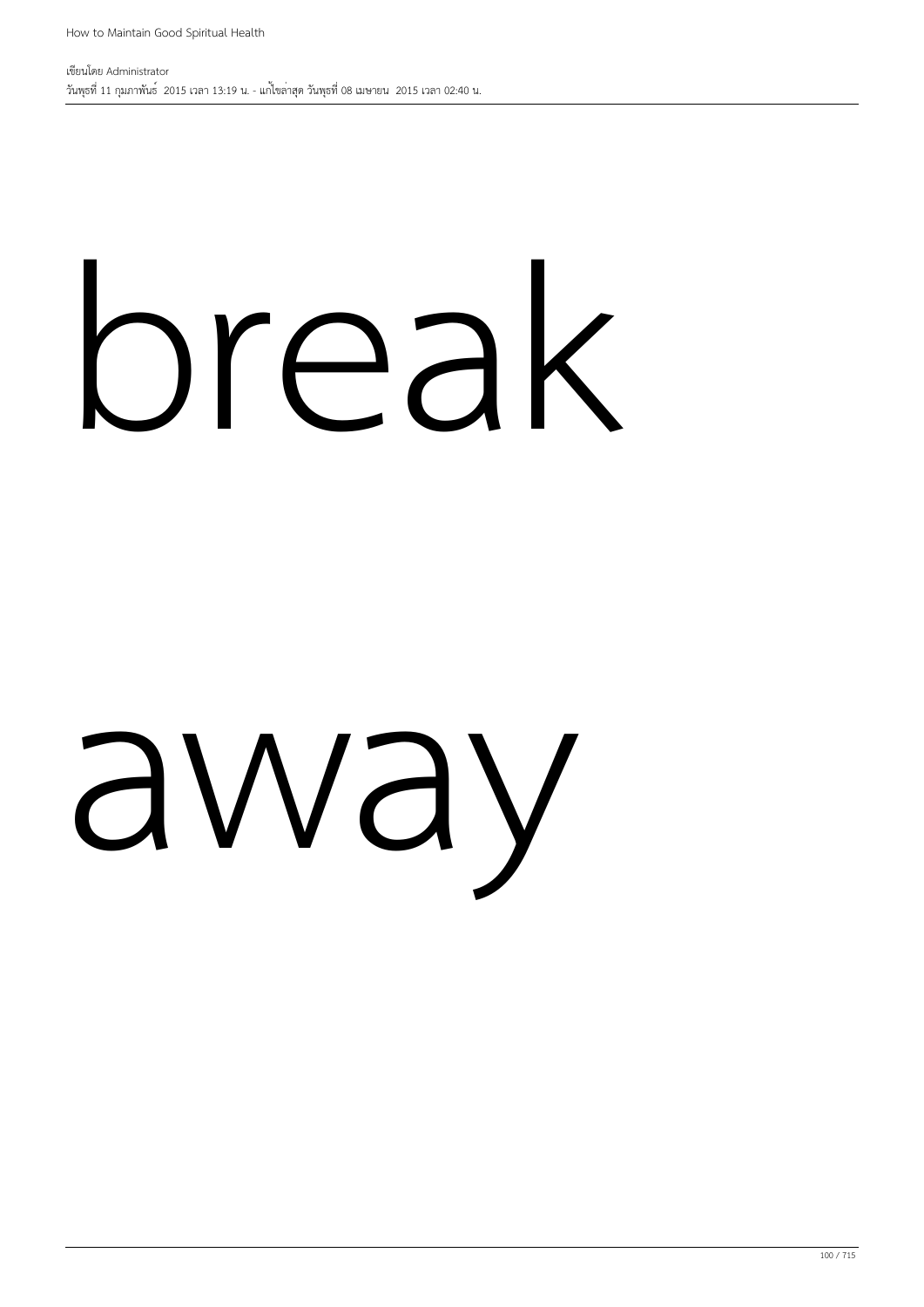### break

#### away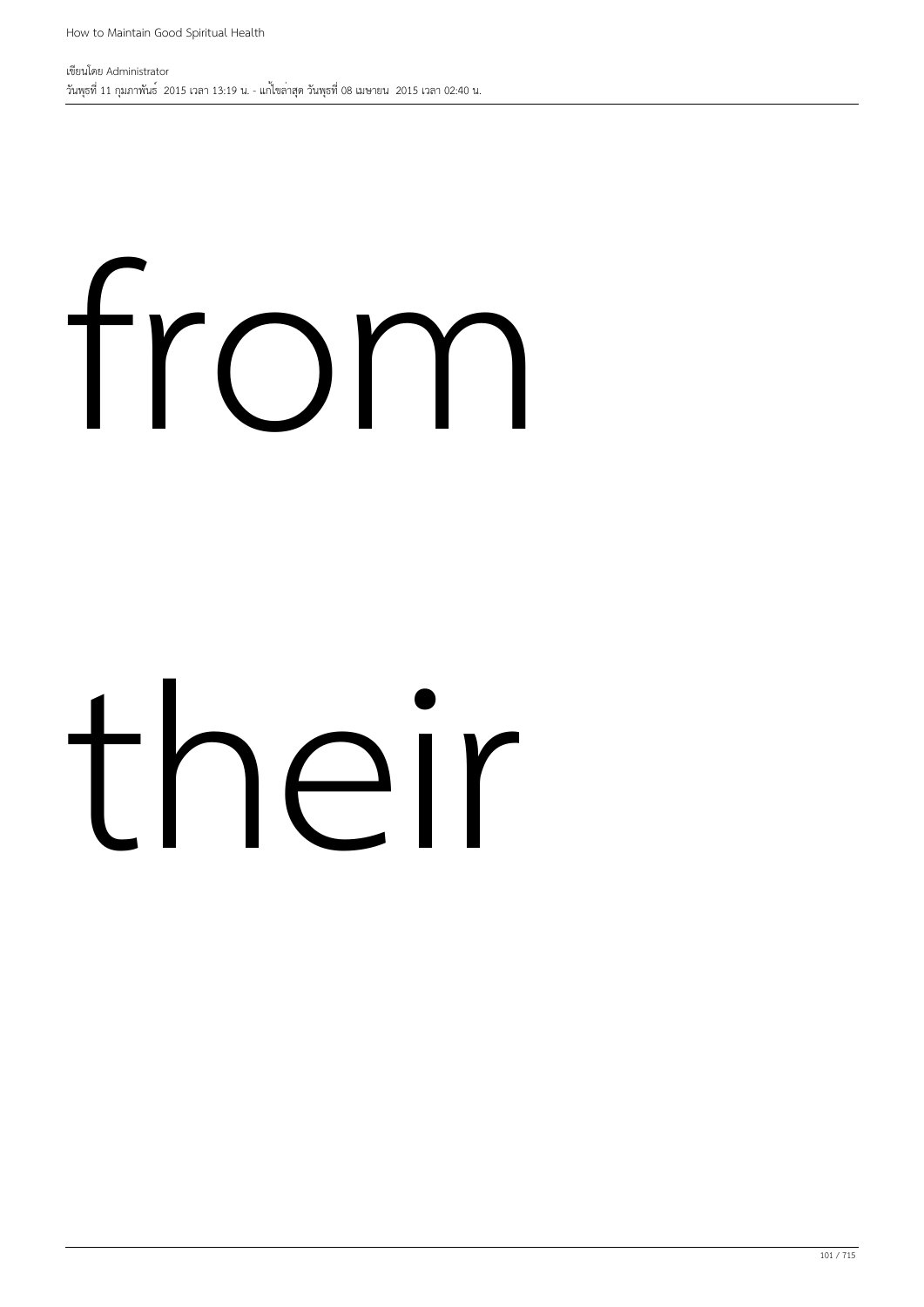### from

#### their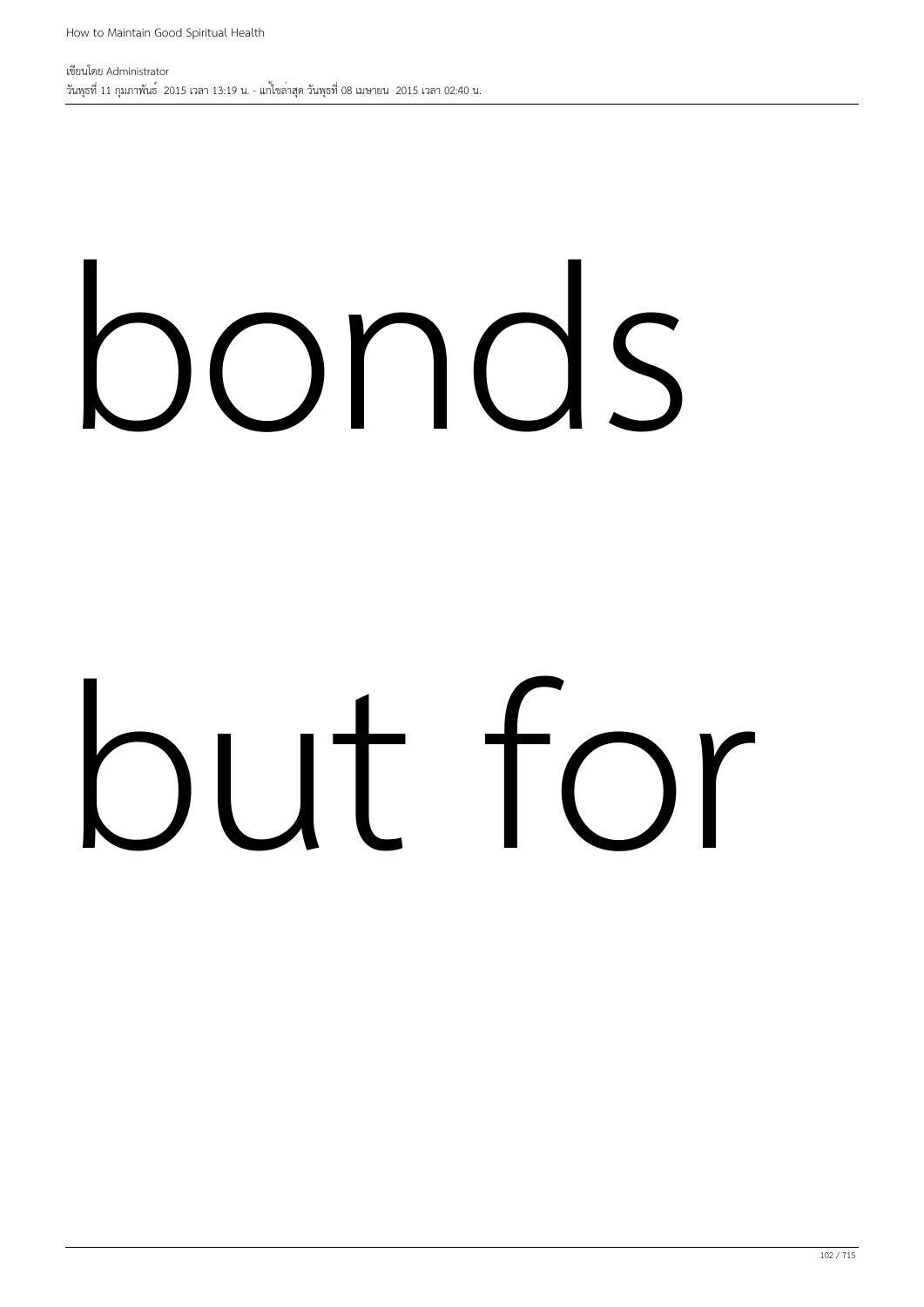### bonds

#### but for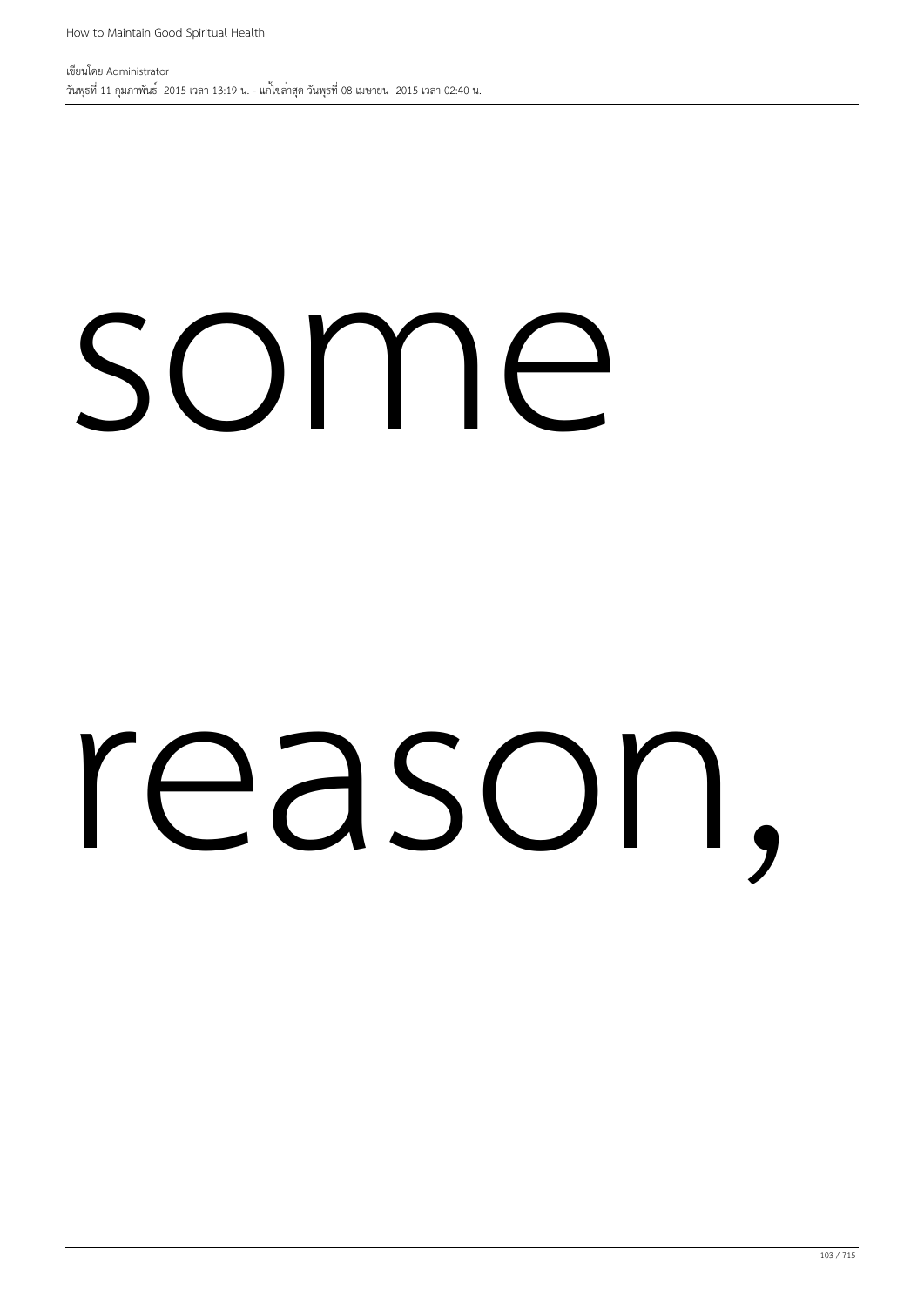#### some

#### reason,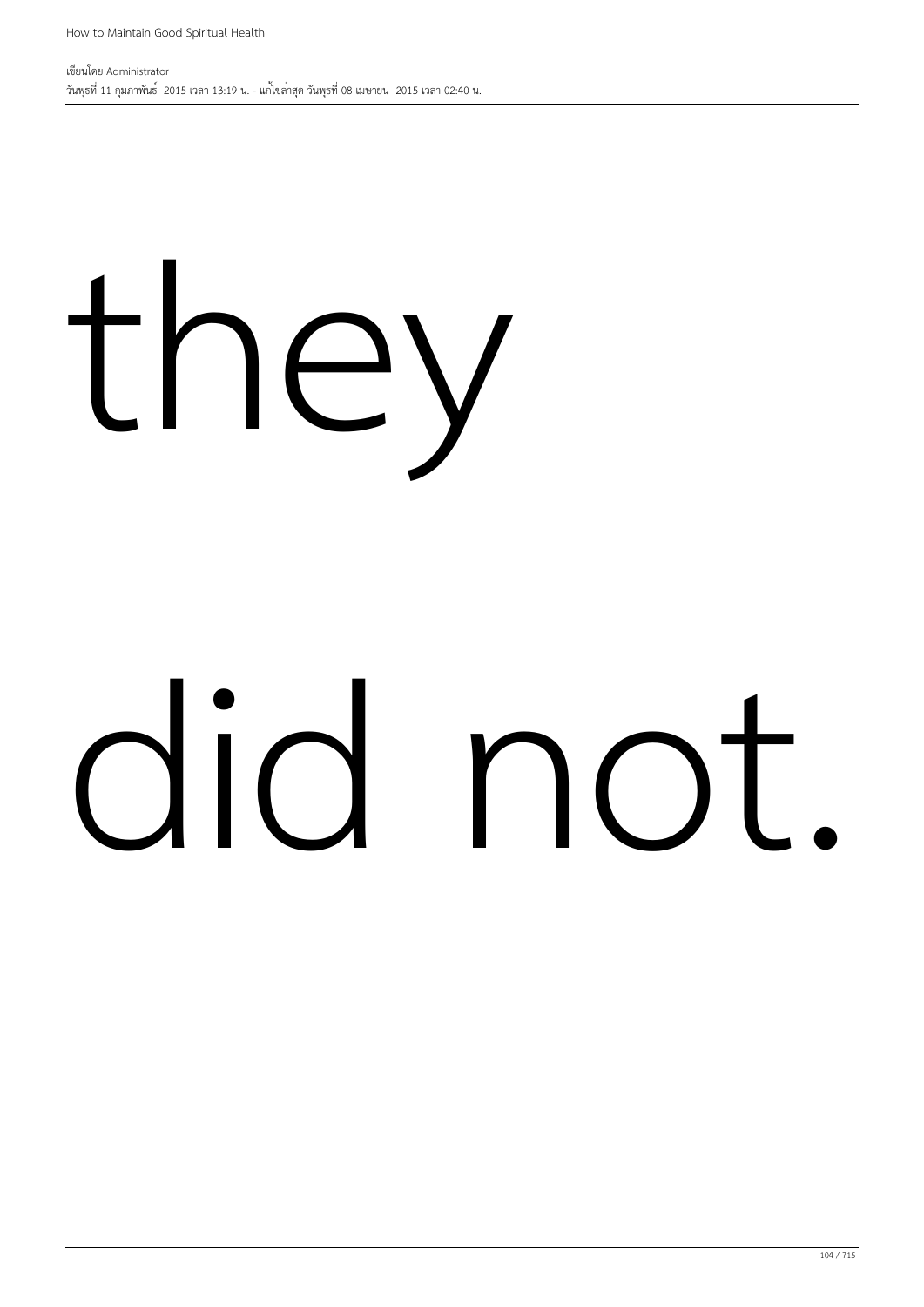## they

#### did not.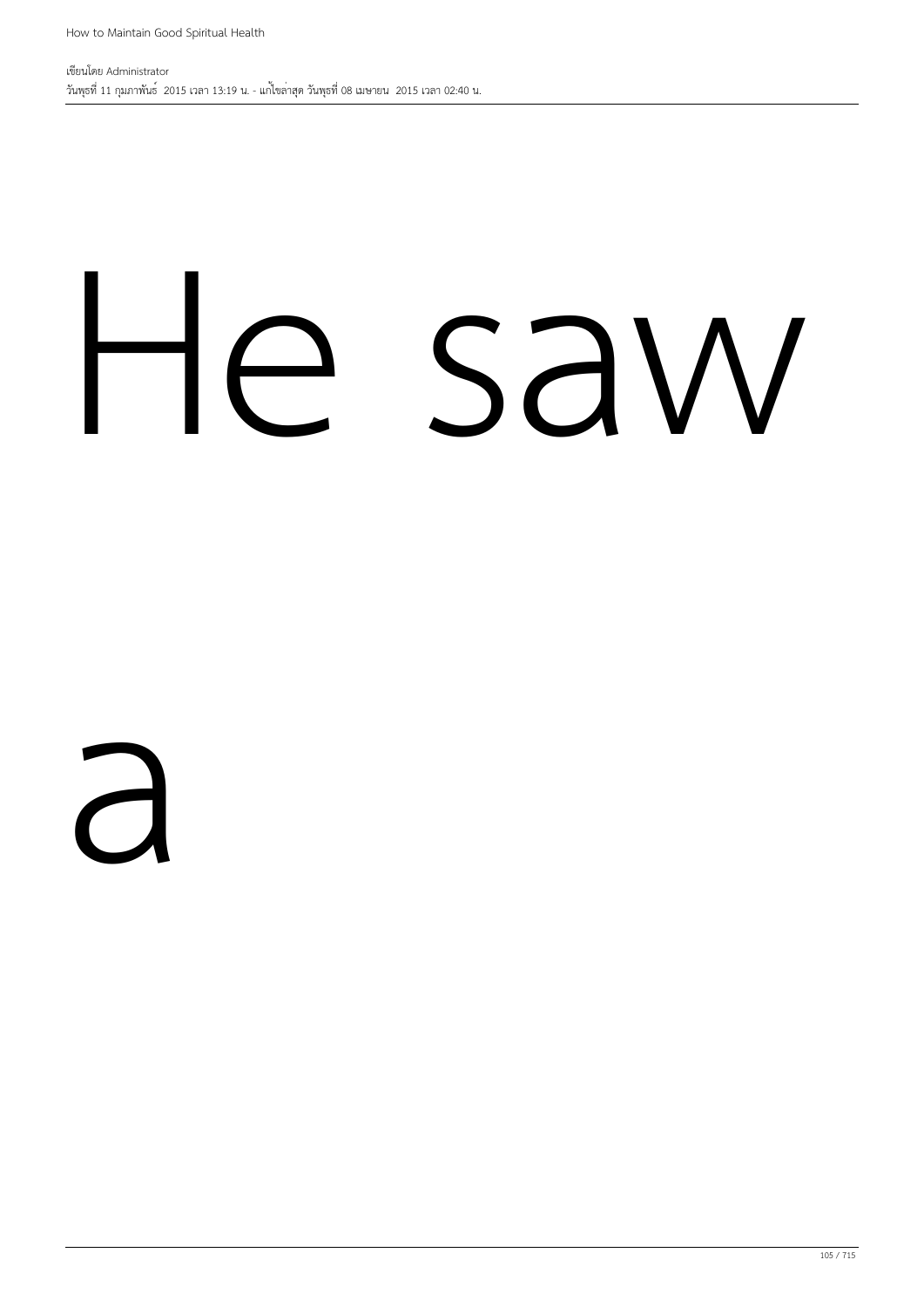#### He saw

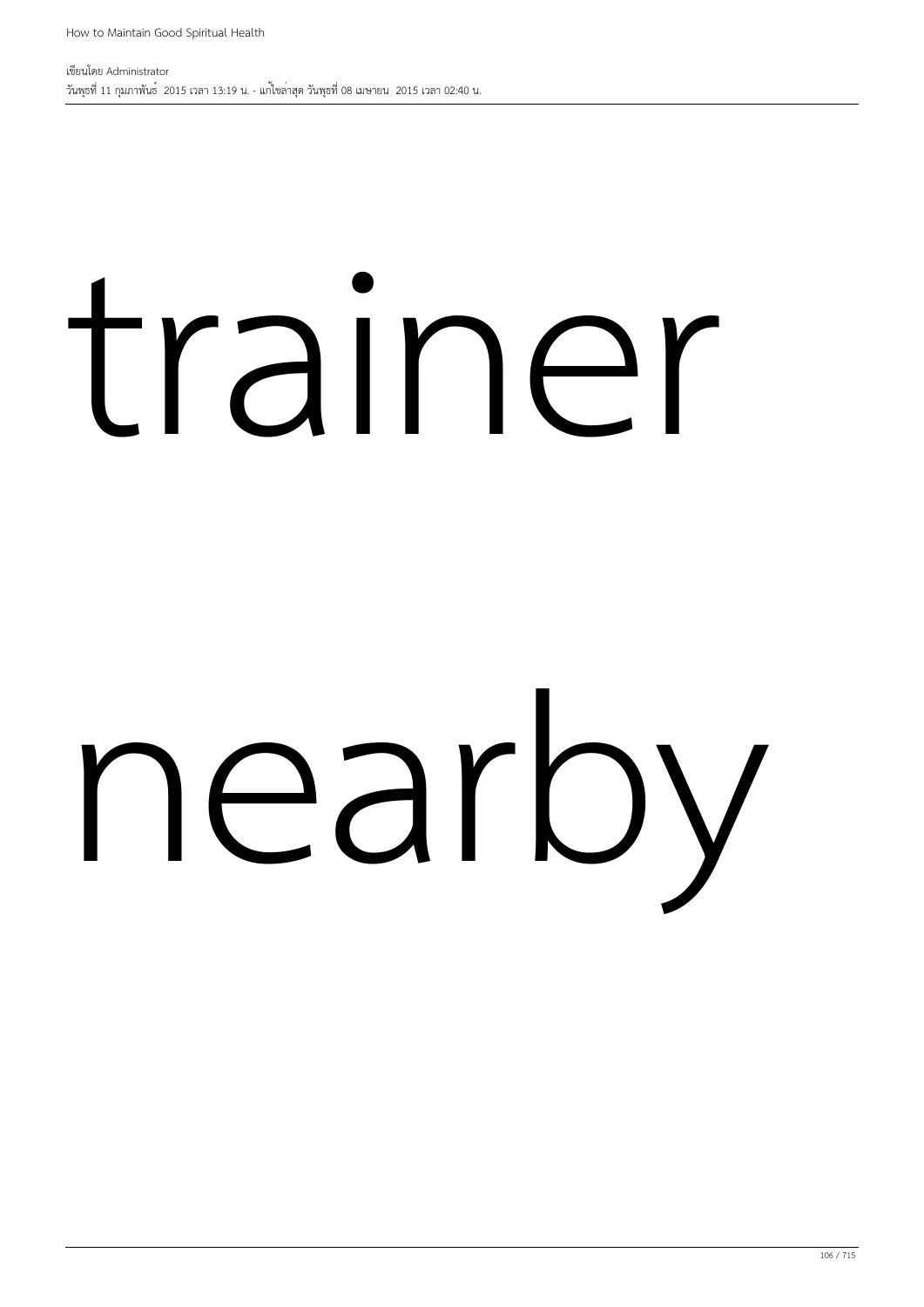## trainer

### nearby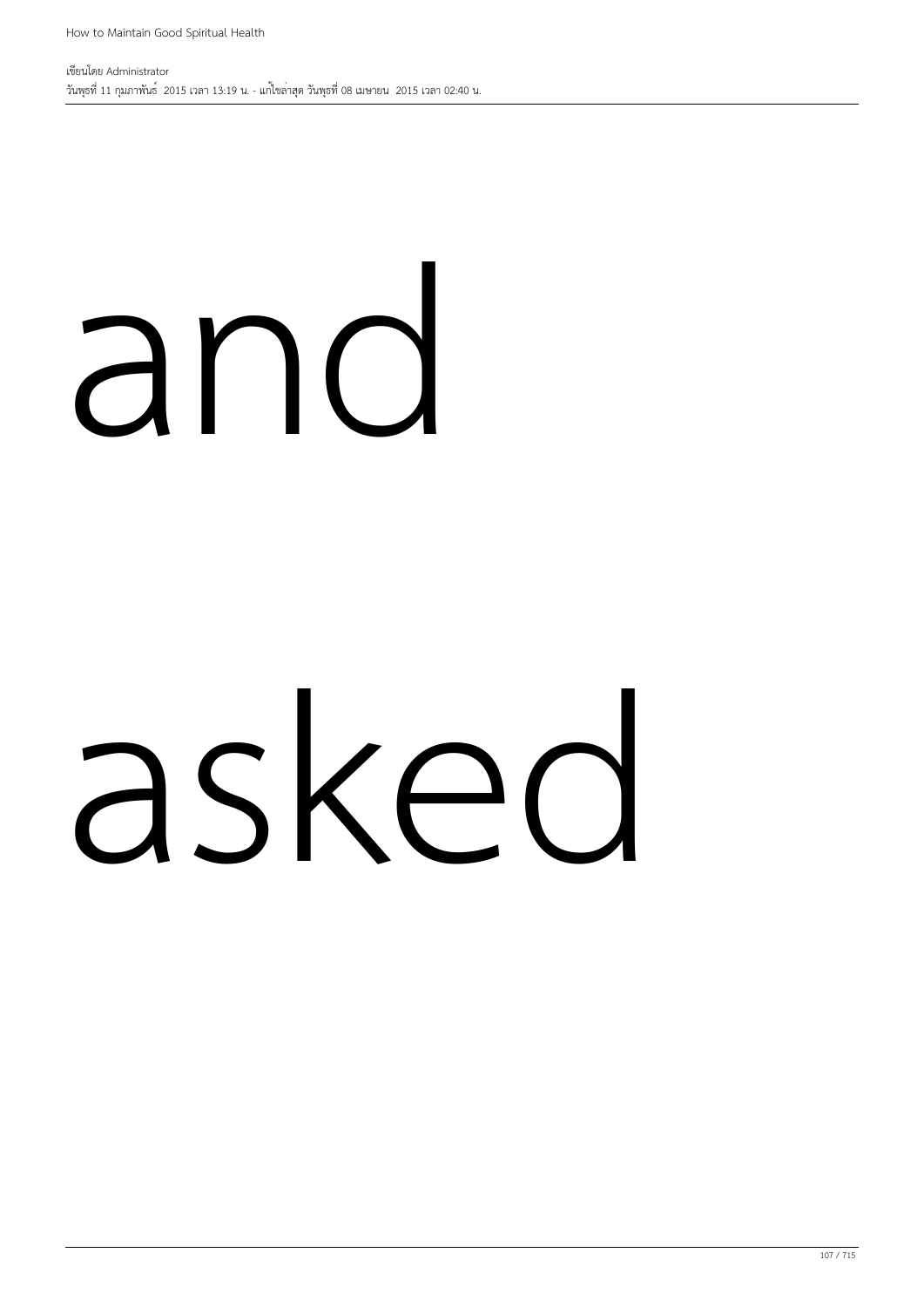### and

#### asked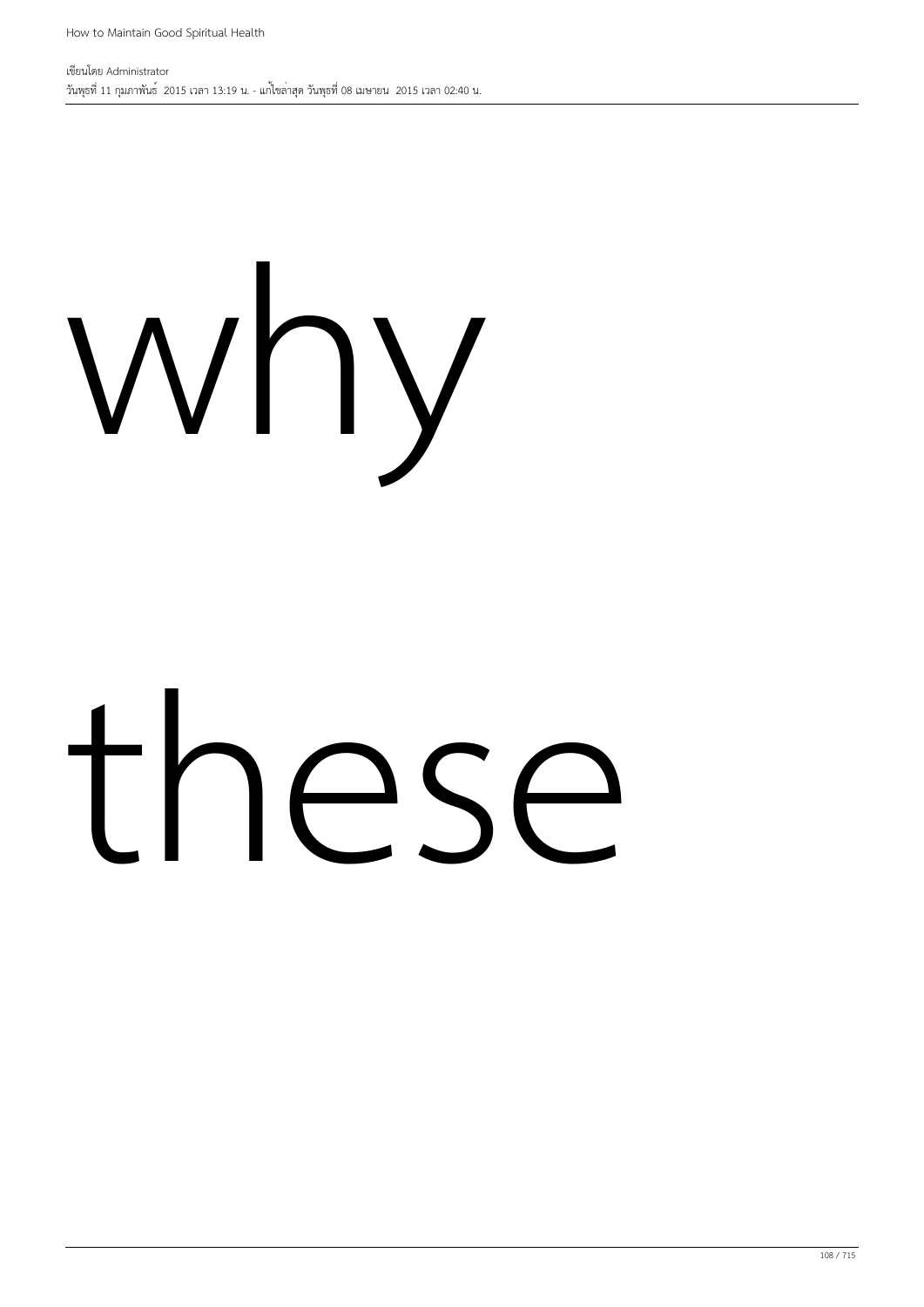# why

#### these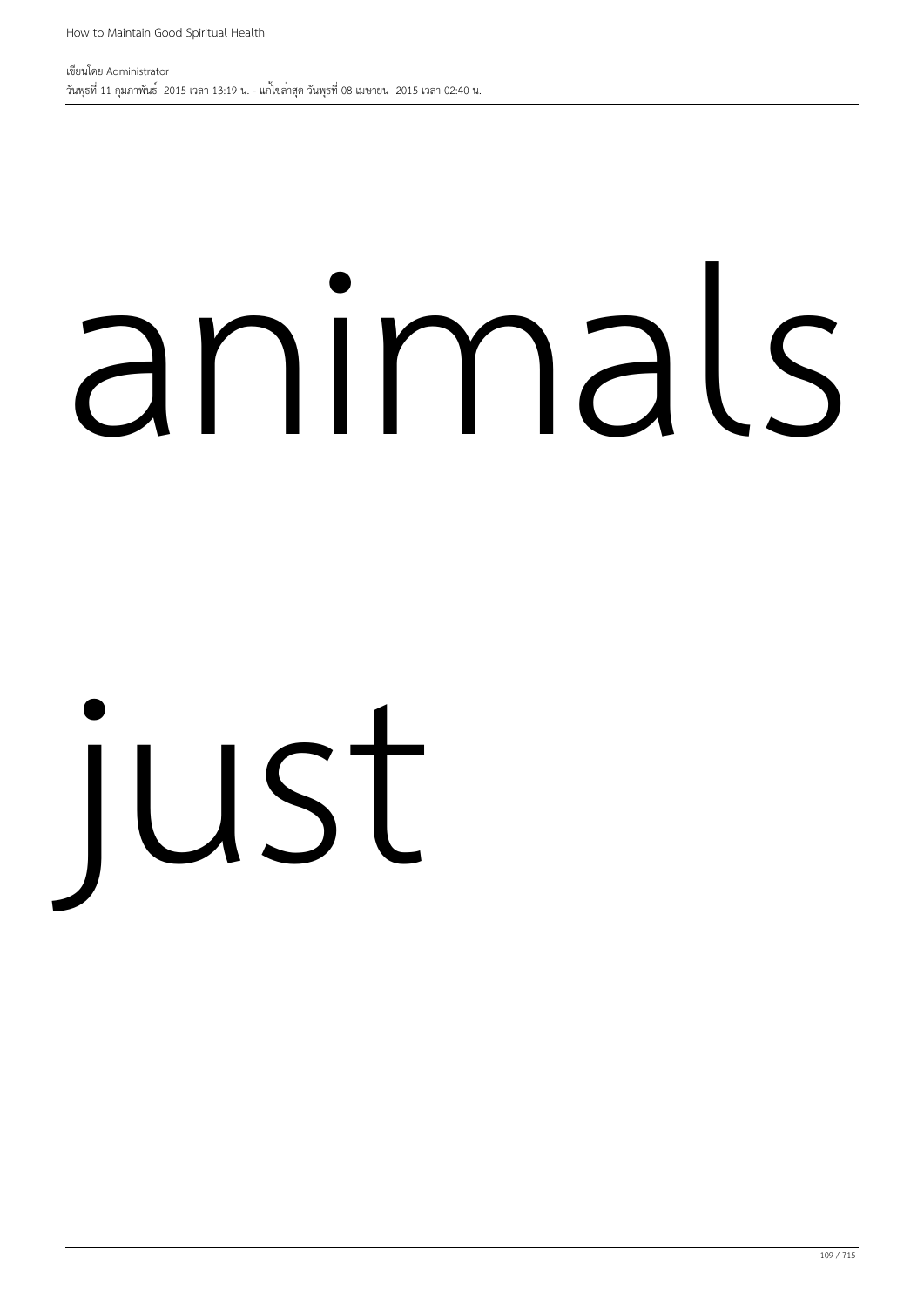### animals

### just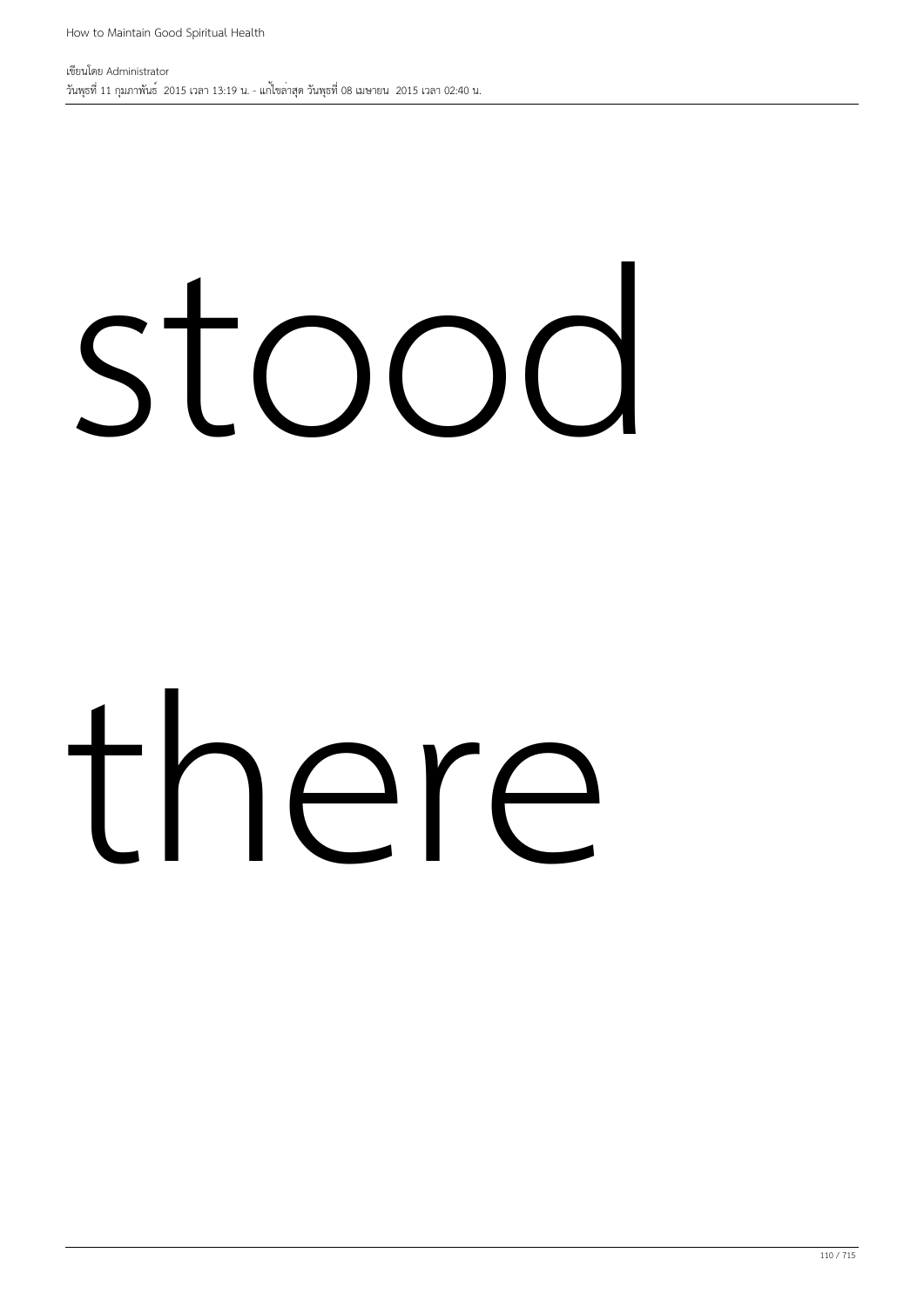### stood

### there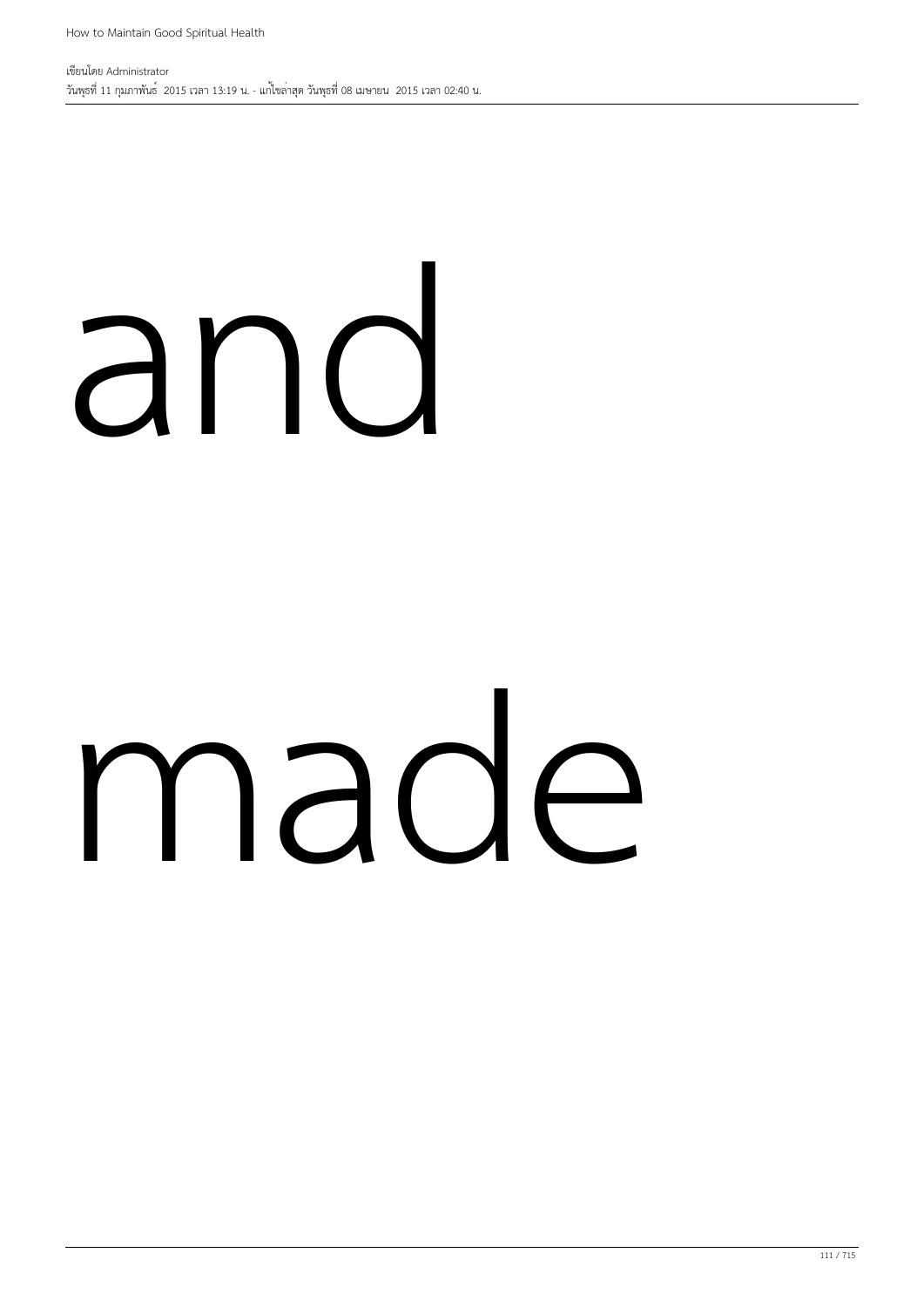## and

### made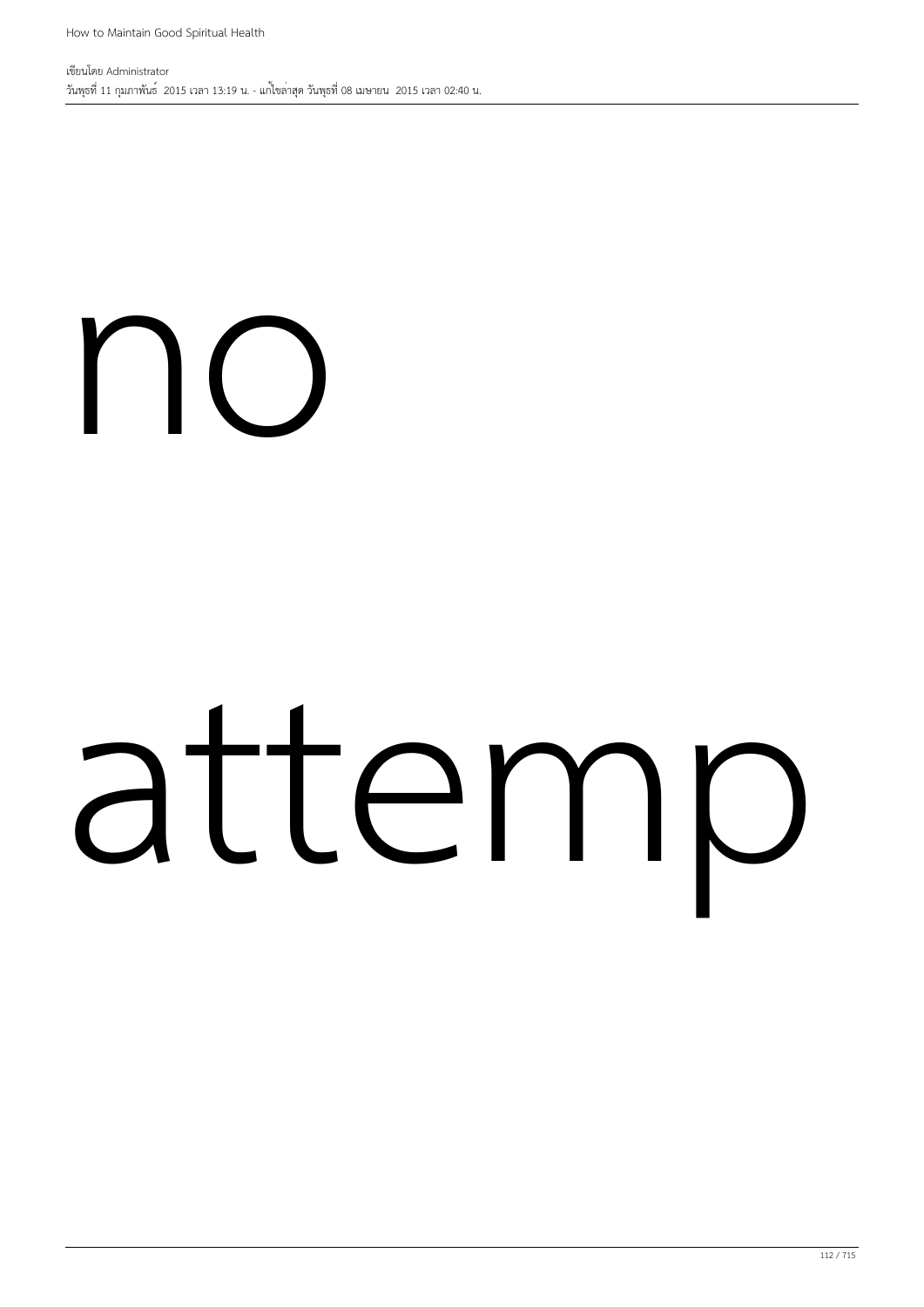#### $\left( \begin{array}{c} 1 \end{array} \right)$

### attemp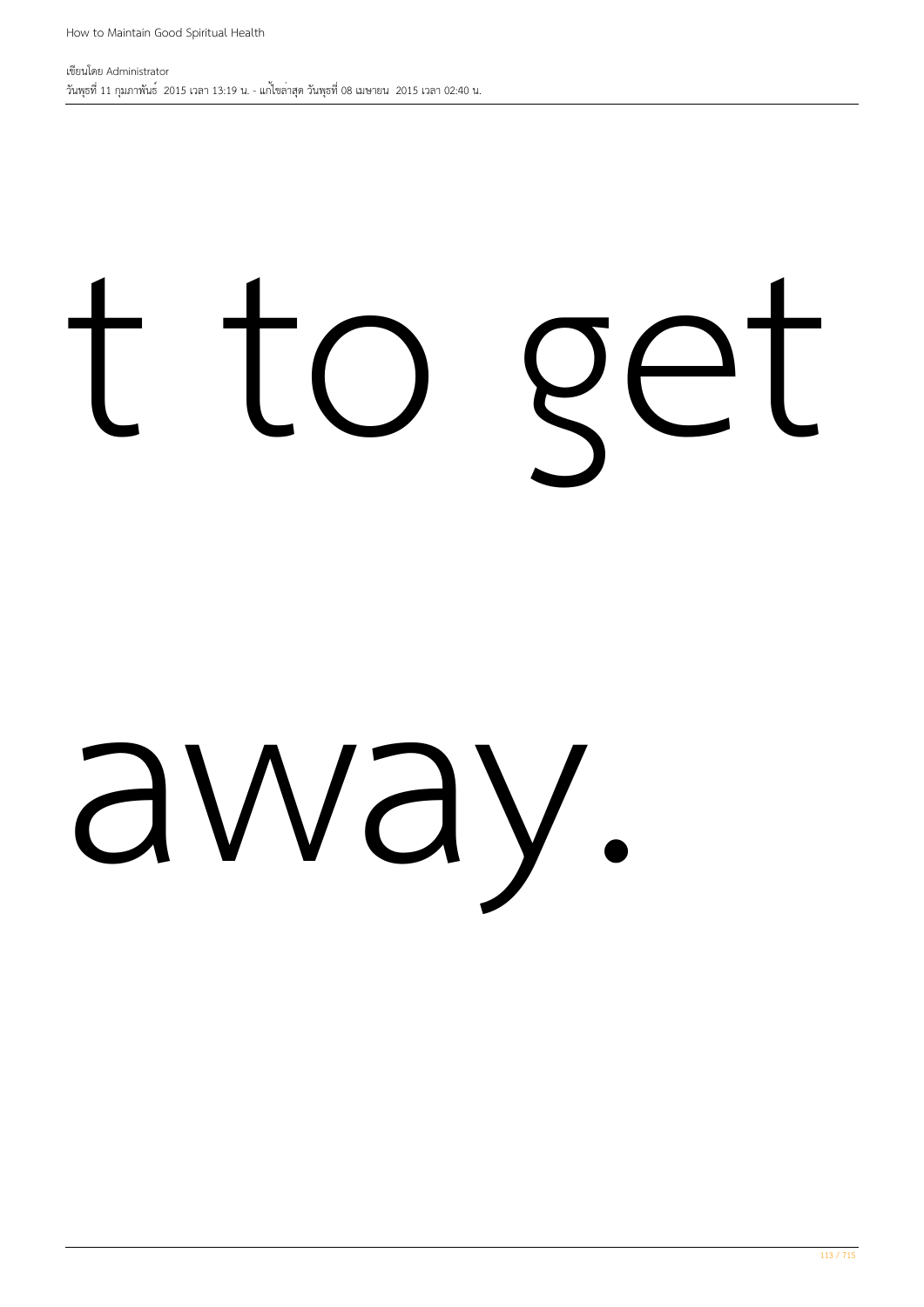# to ge

#### away.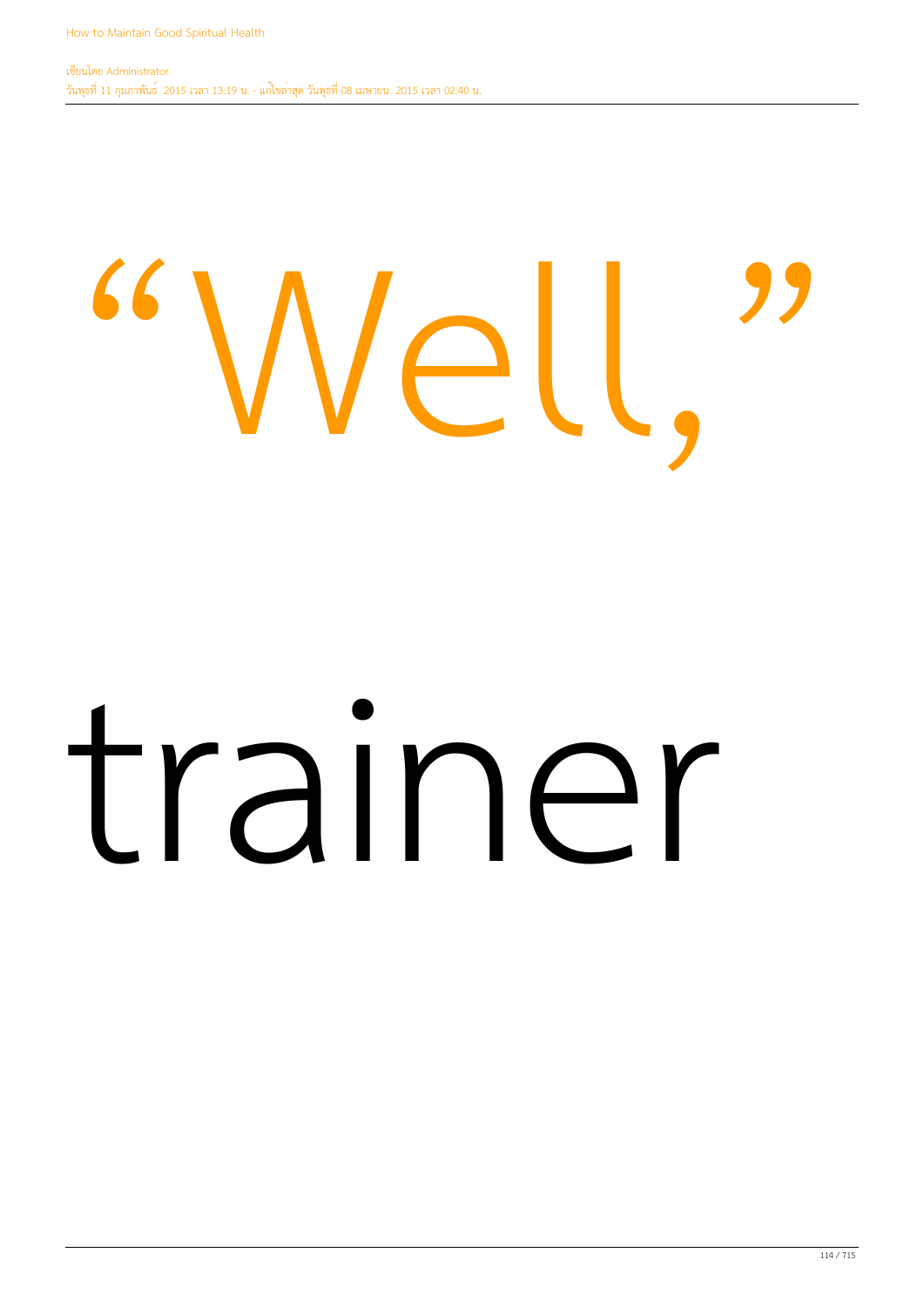# "Well,"

### trainer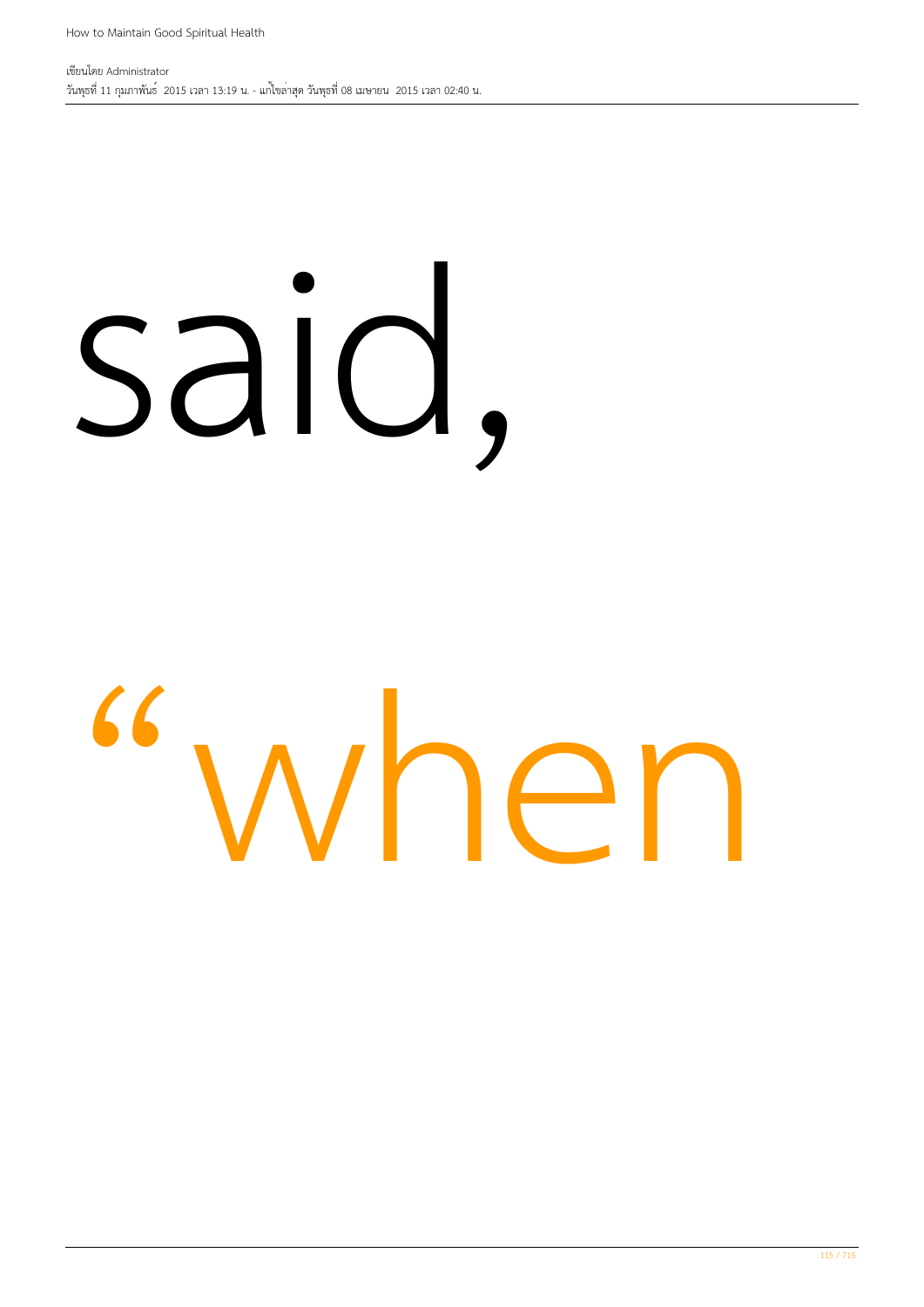## said,

### "when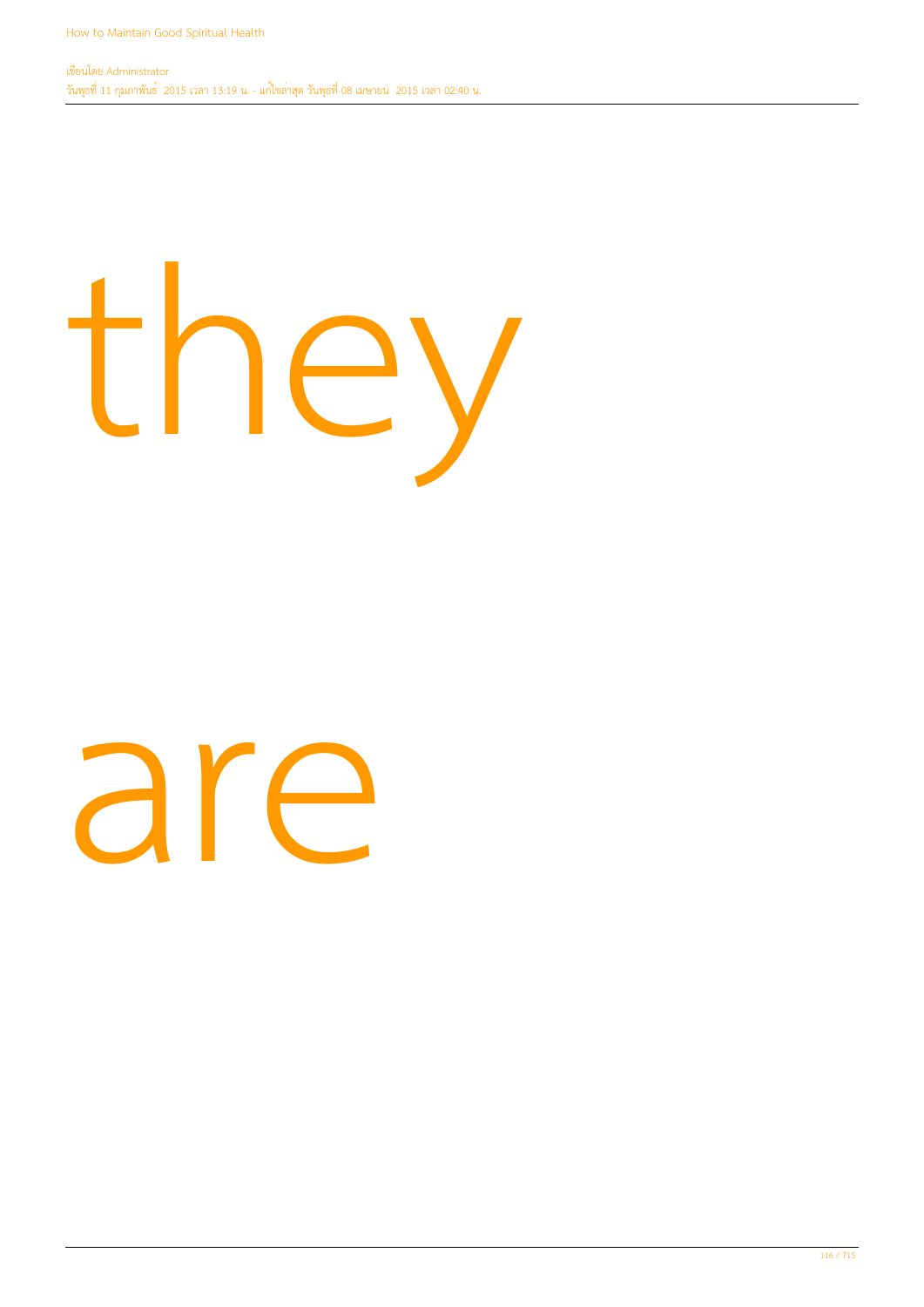# they

#### are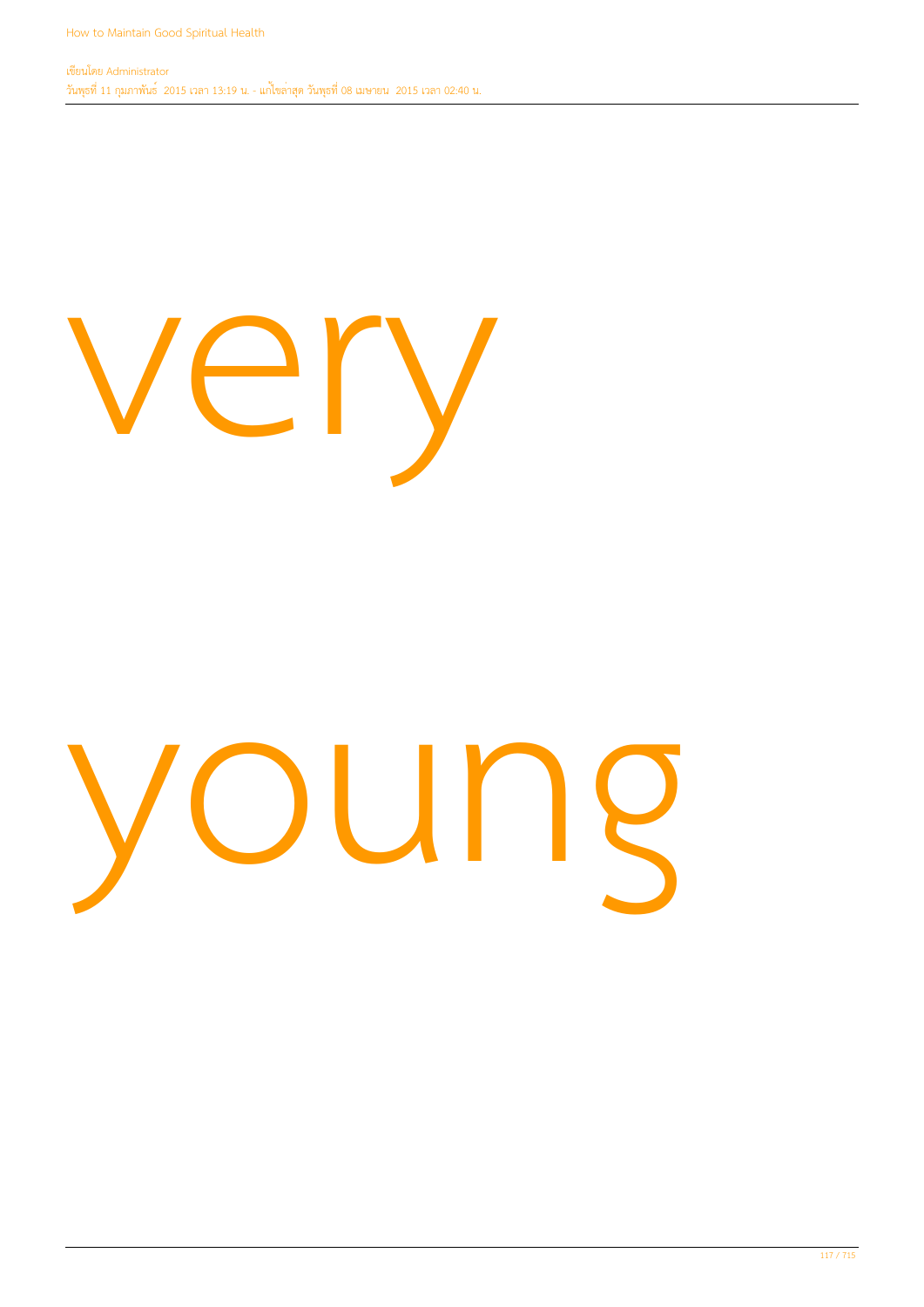### very

### young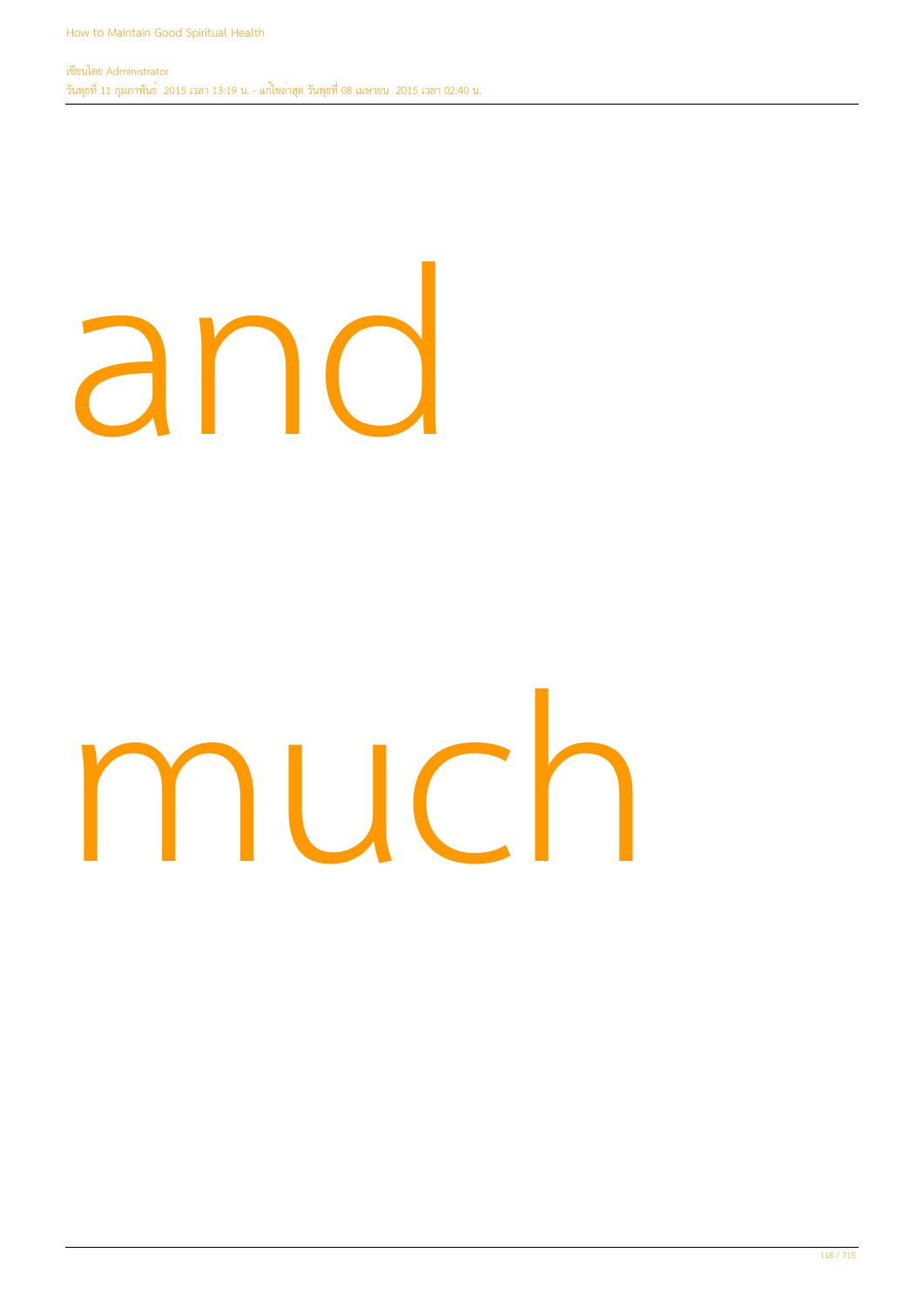### and

### much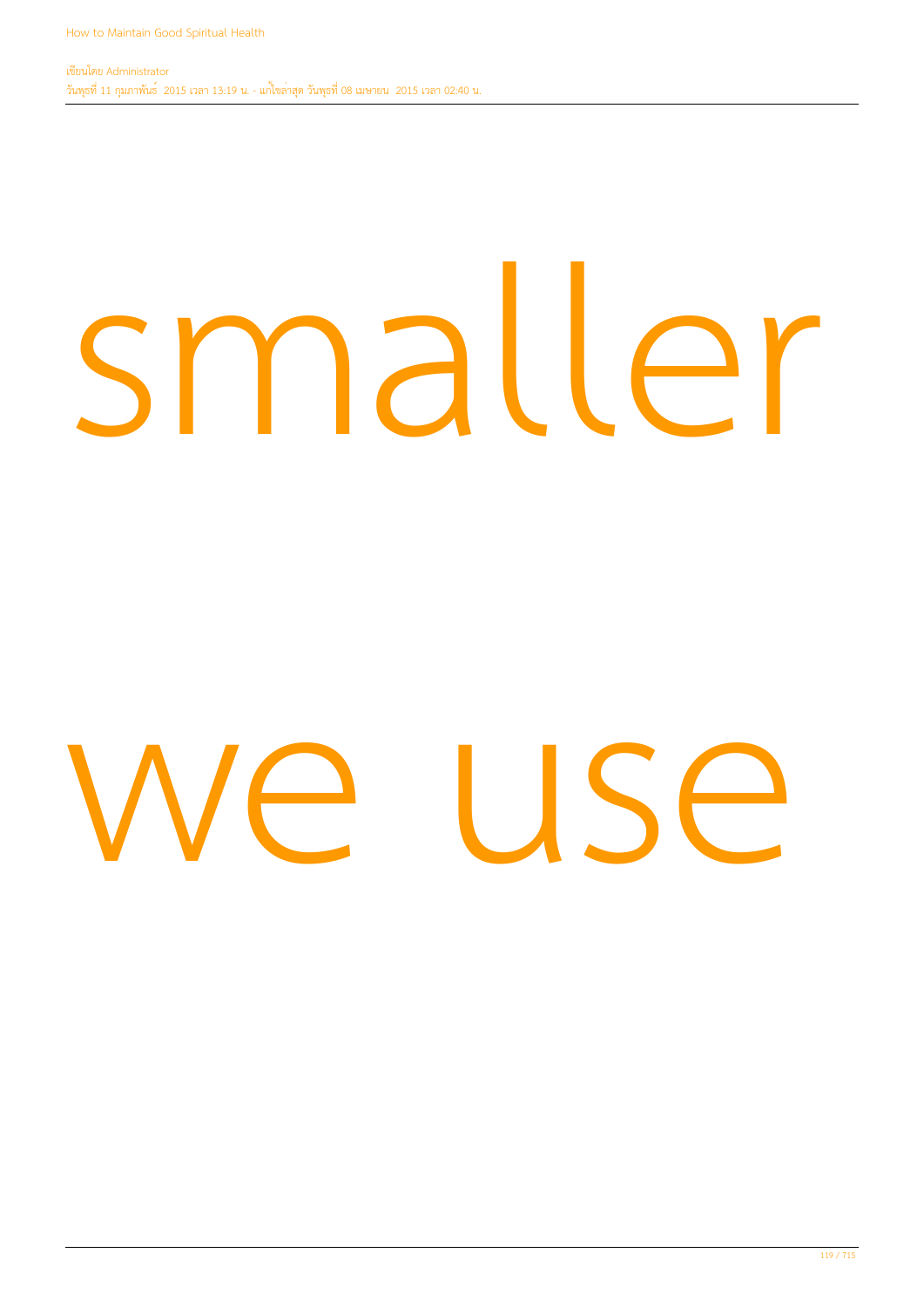### smaller

#### we use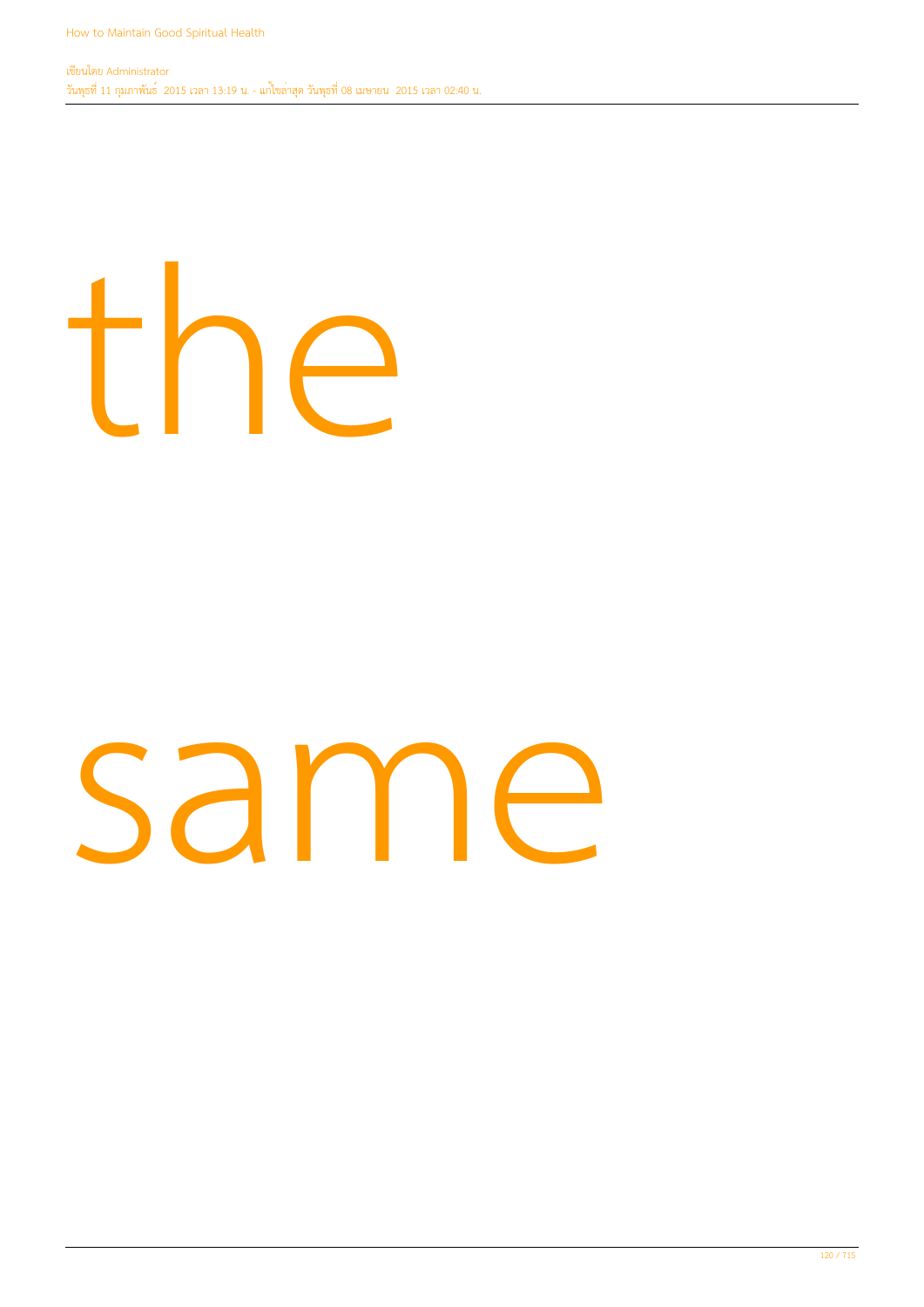### the

#### same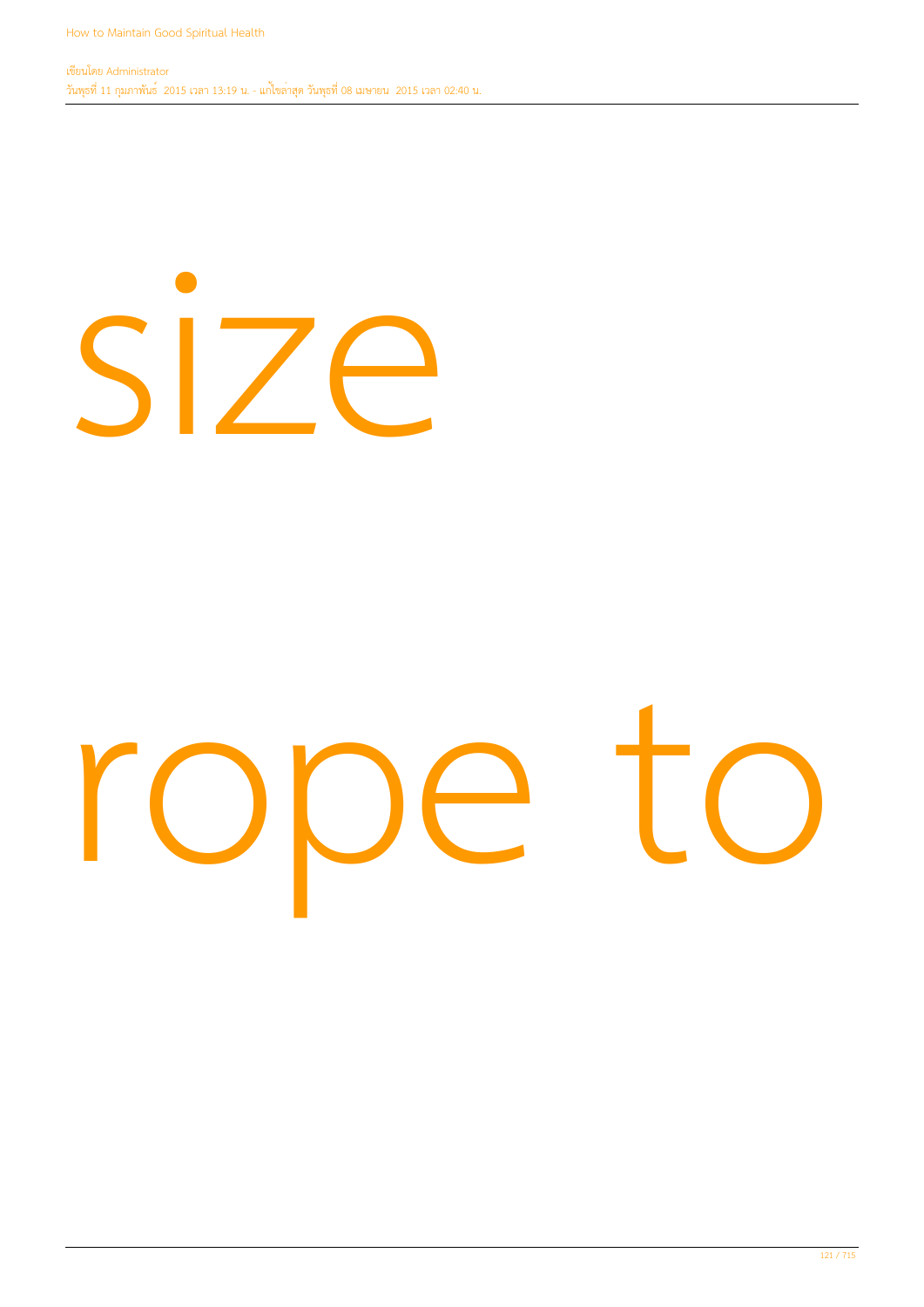### size

# rope to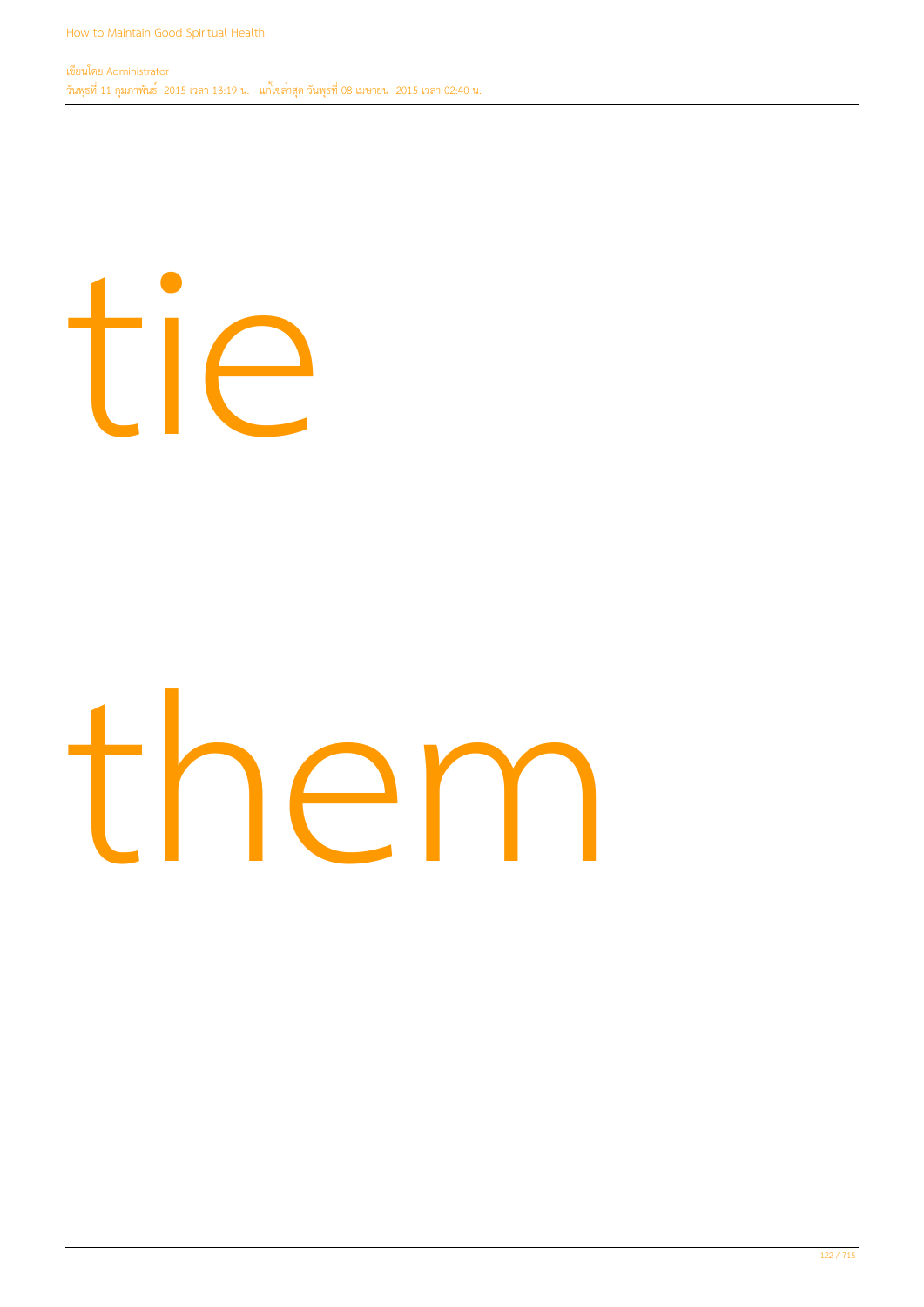### tie

#### them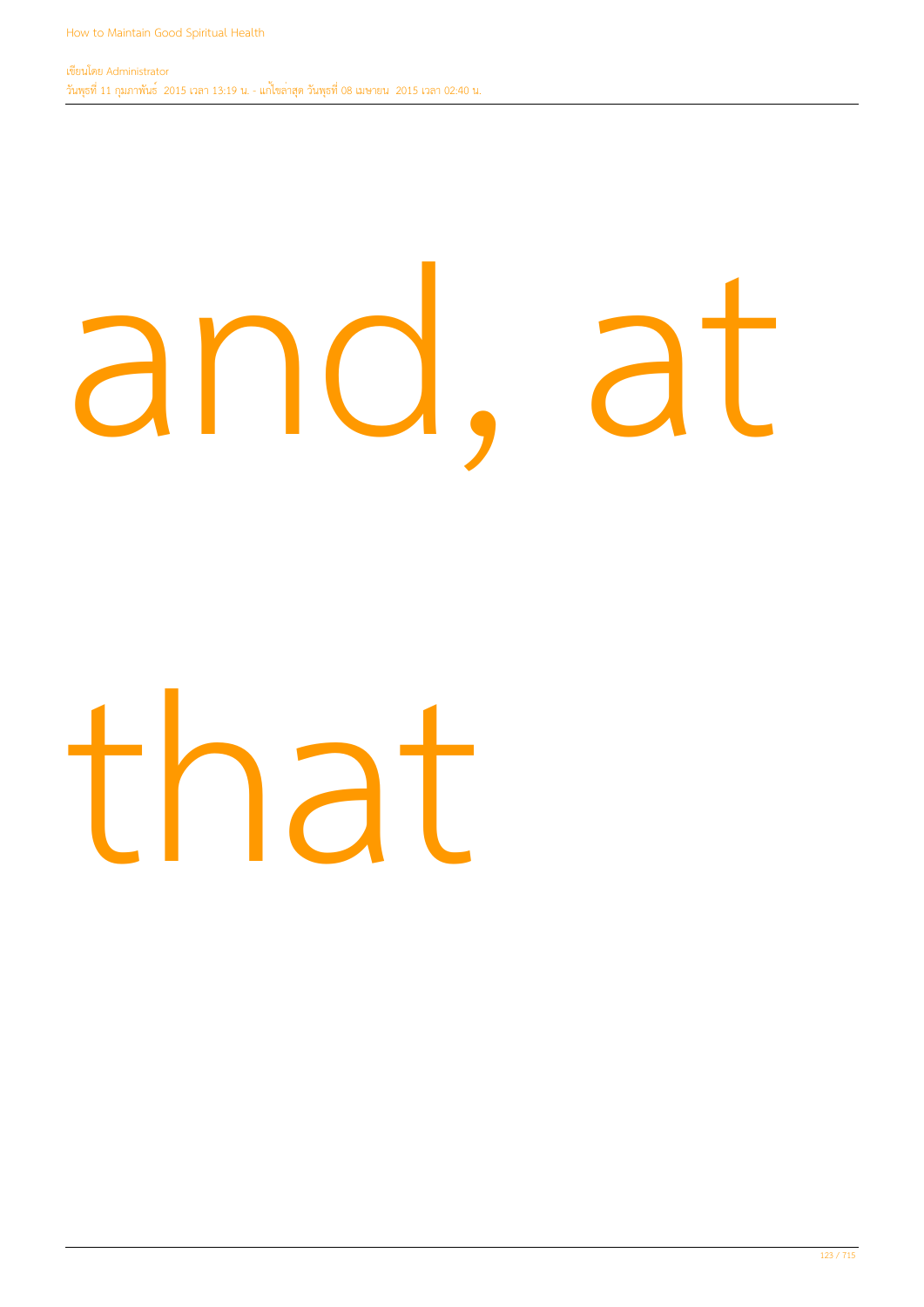# and,

### that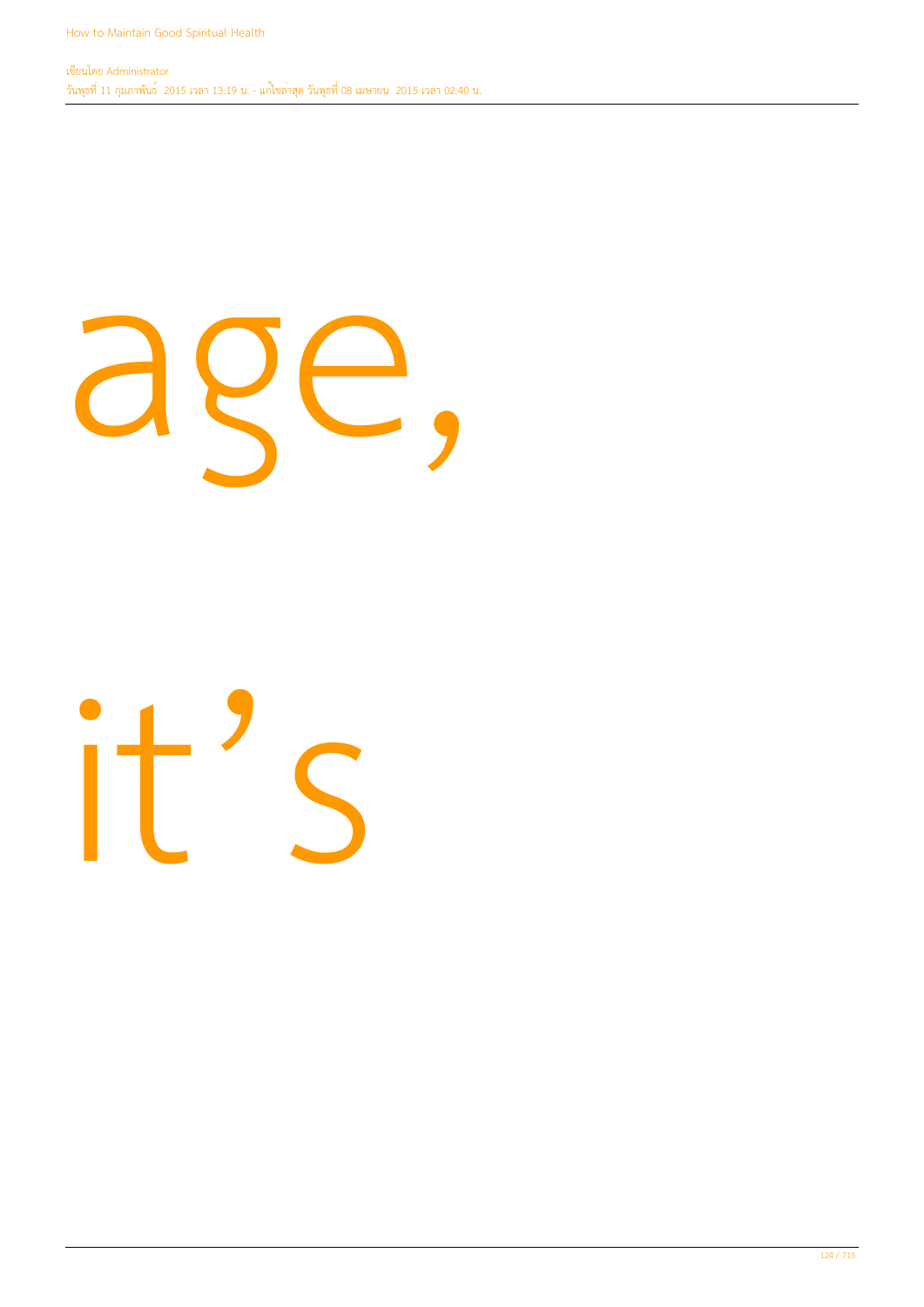### age,

# it's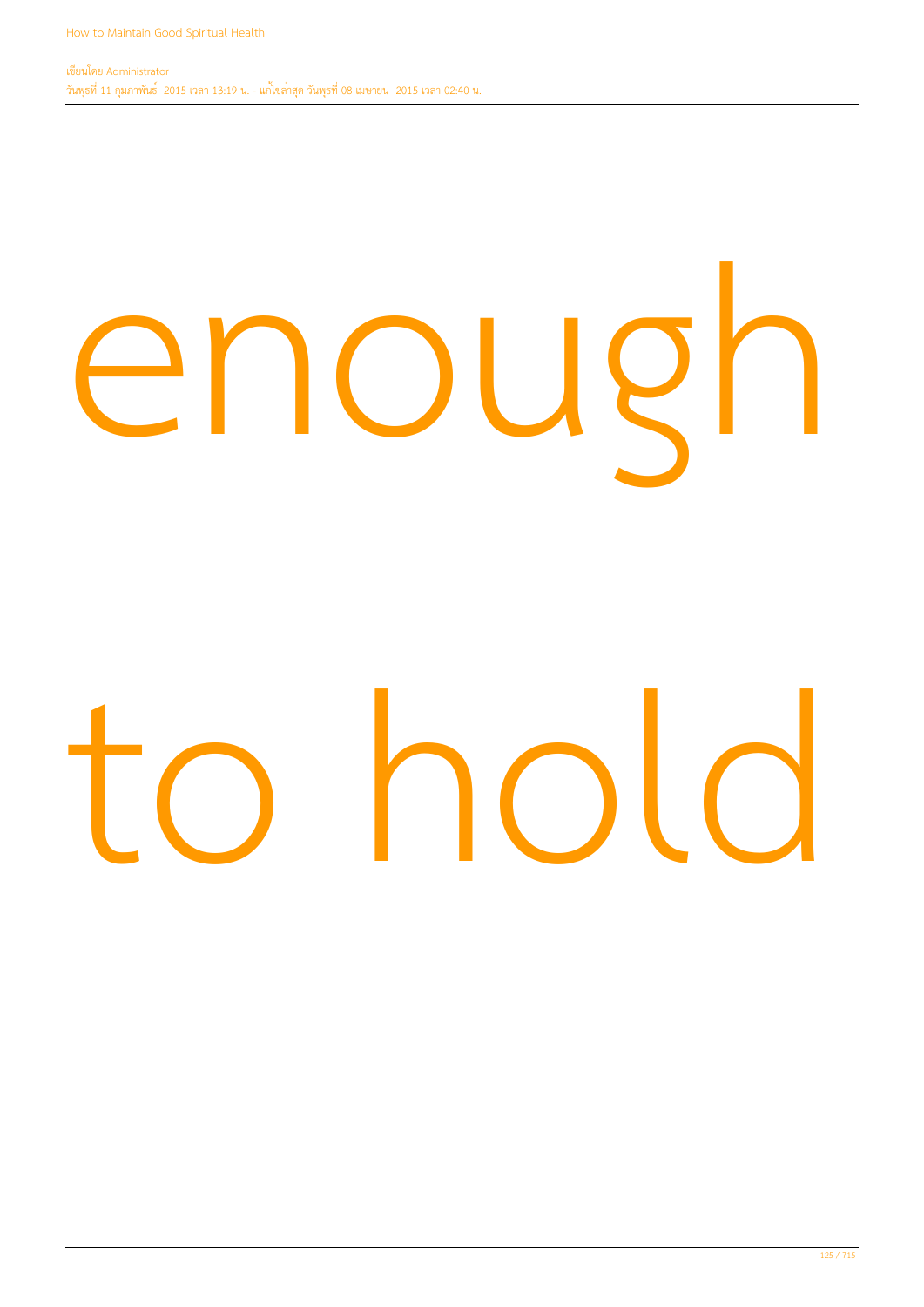# enough

### to hold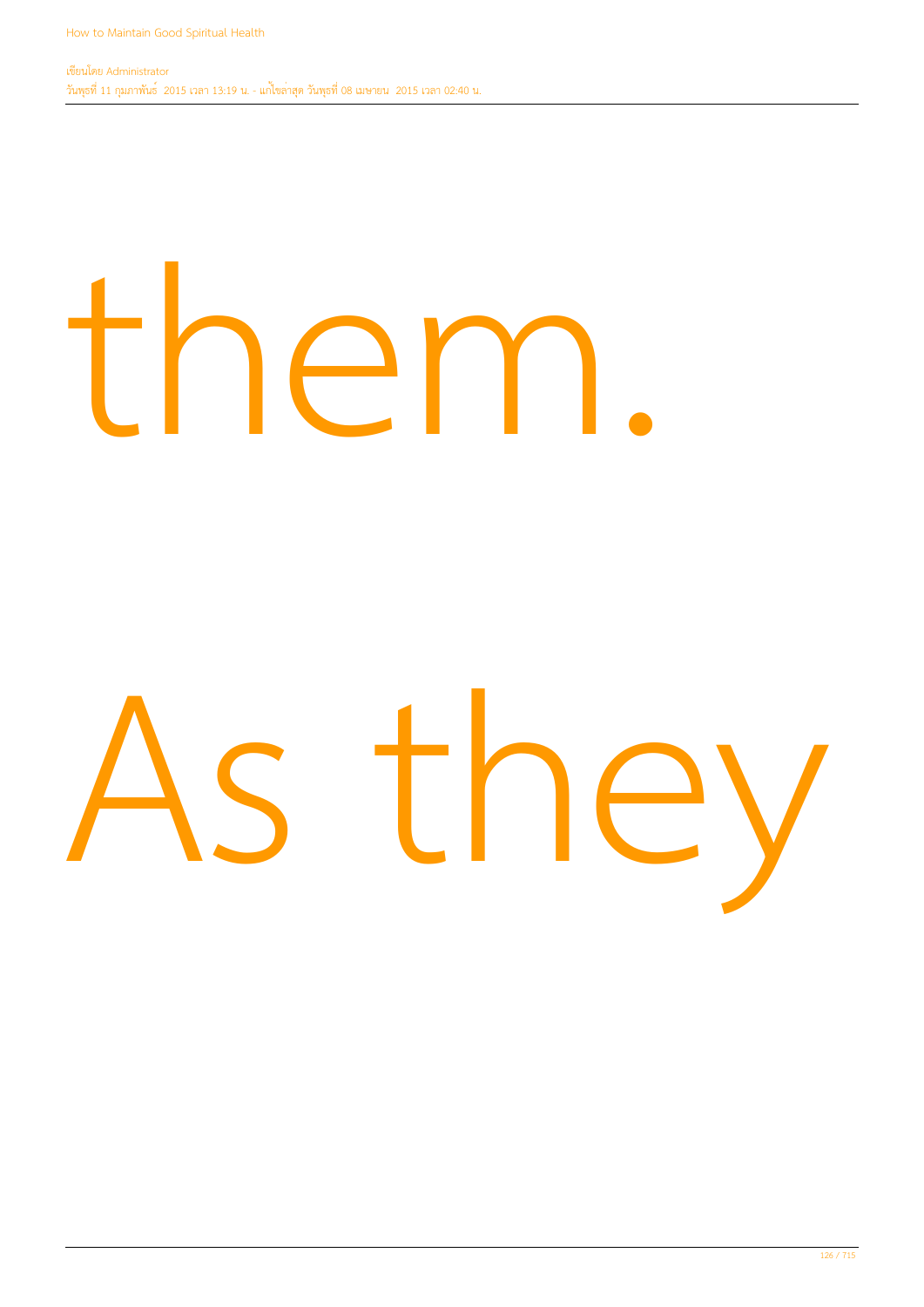### them.

### As they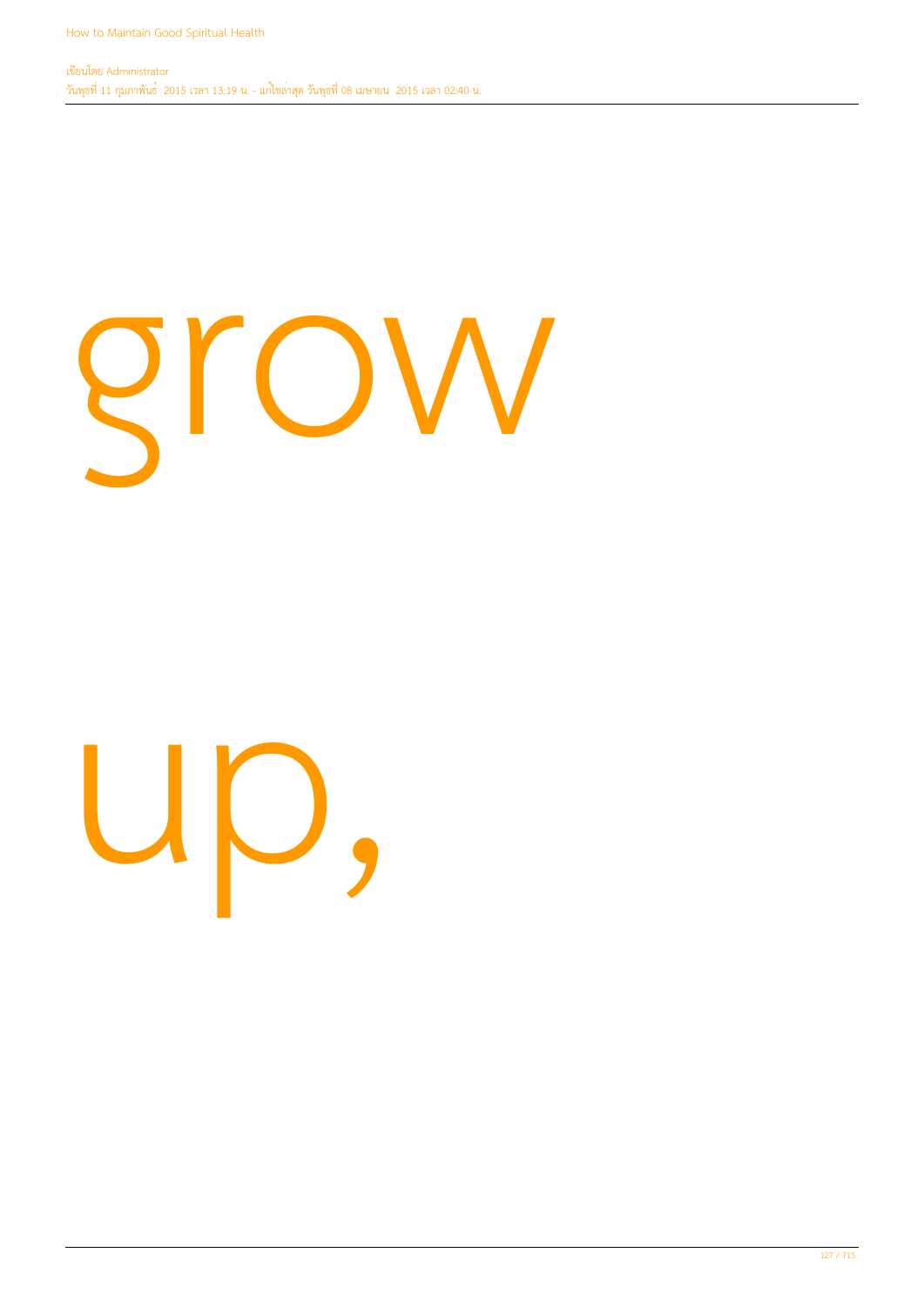เขียนโดย Administrator วันพุธที่ 11 กุมภาพันธ์ 2015 เวลา 13:19 น. - แก้ไขล่าสุด วันพุธที่ 08 เมษายน 2015 เวลา 02:40 น.

### grow

#### up,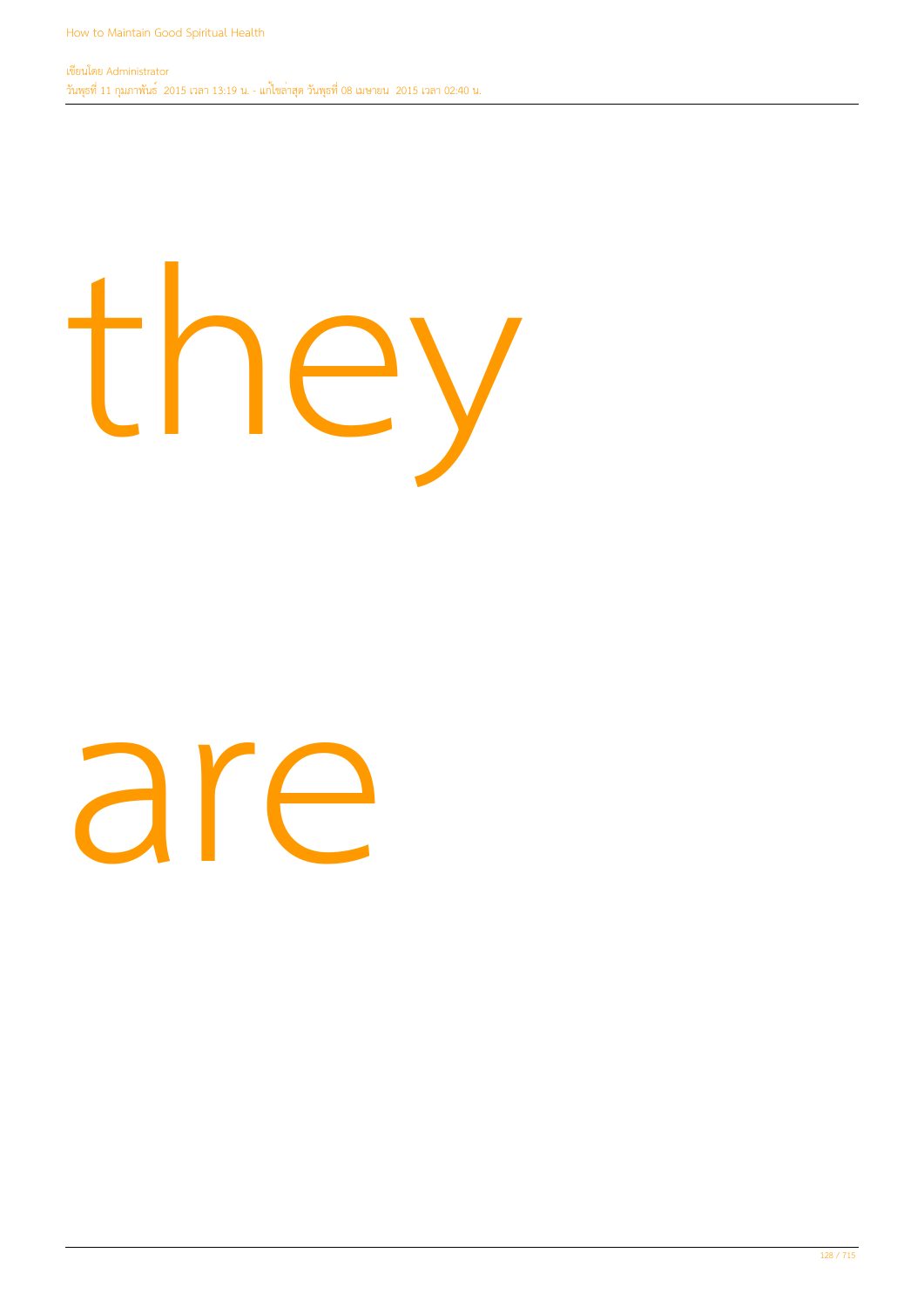# they

#### are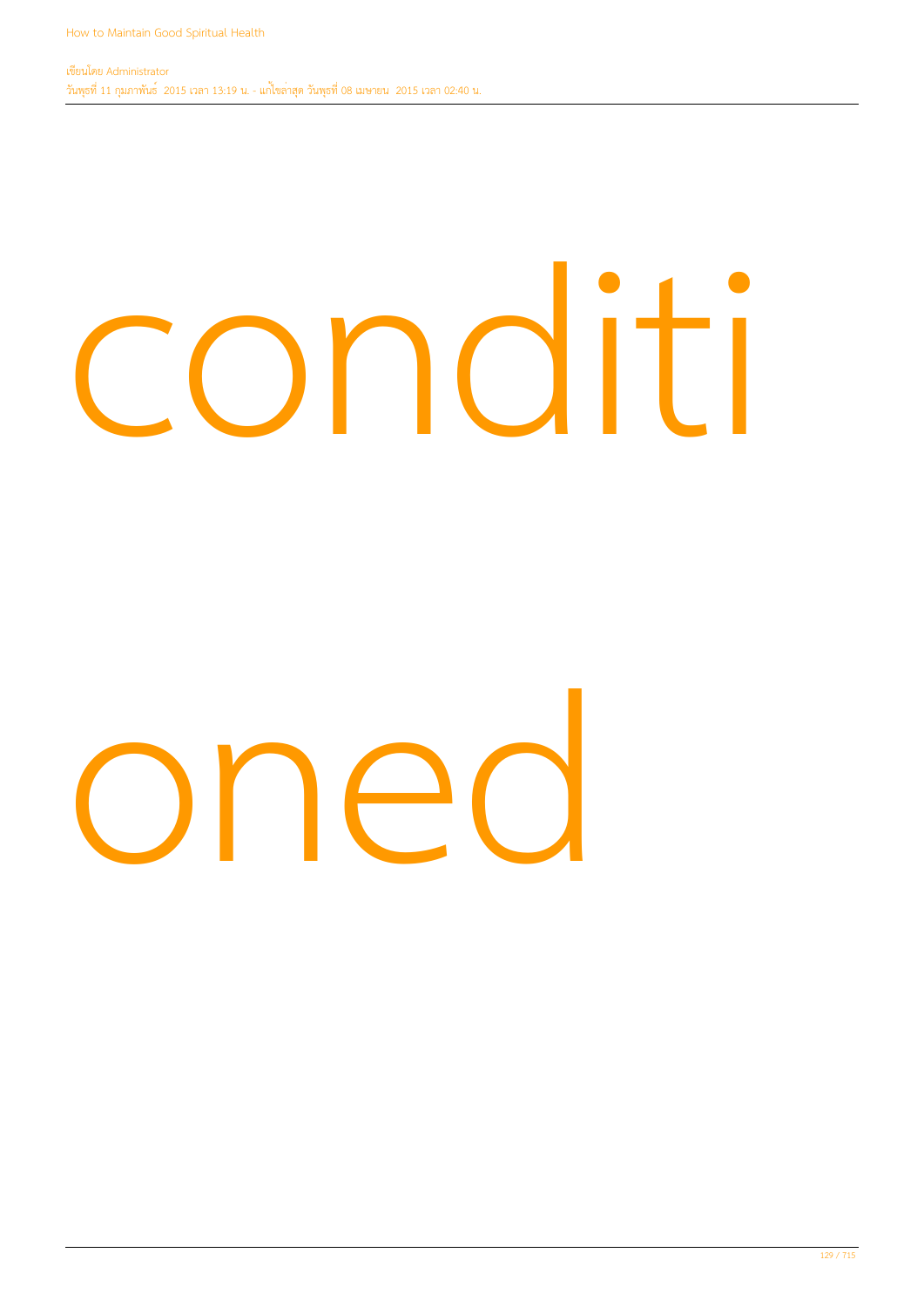### conditi

#### oned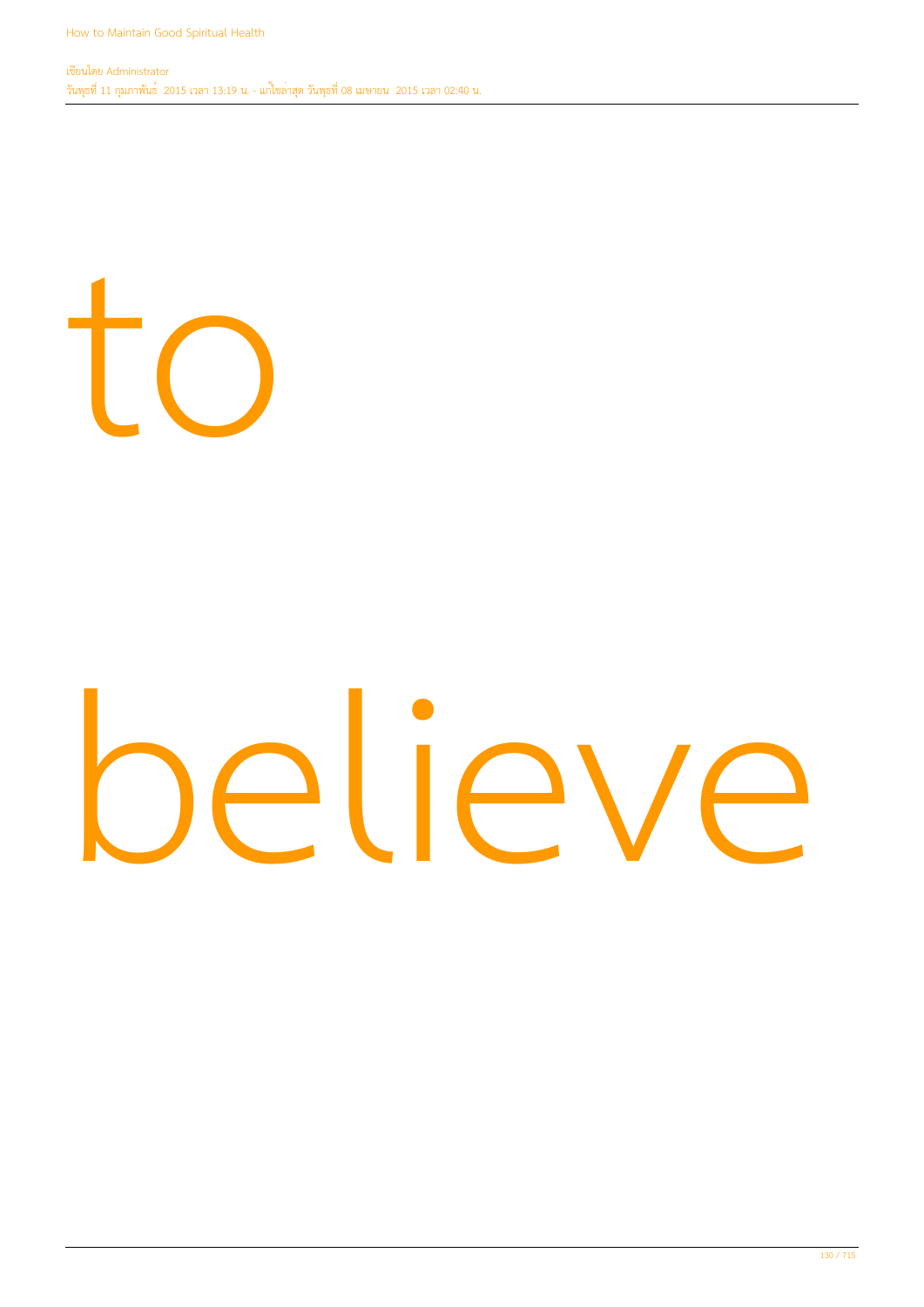# to

### believe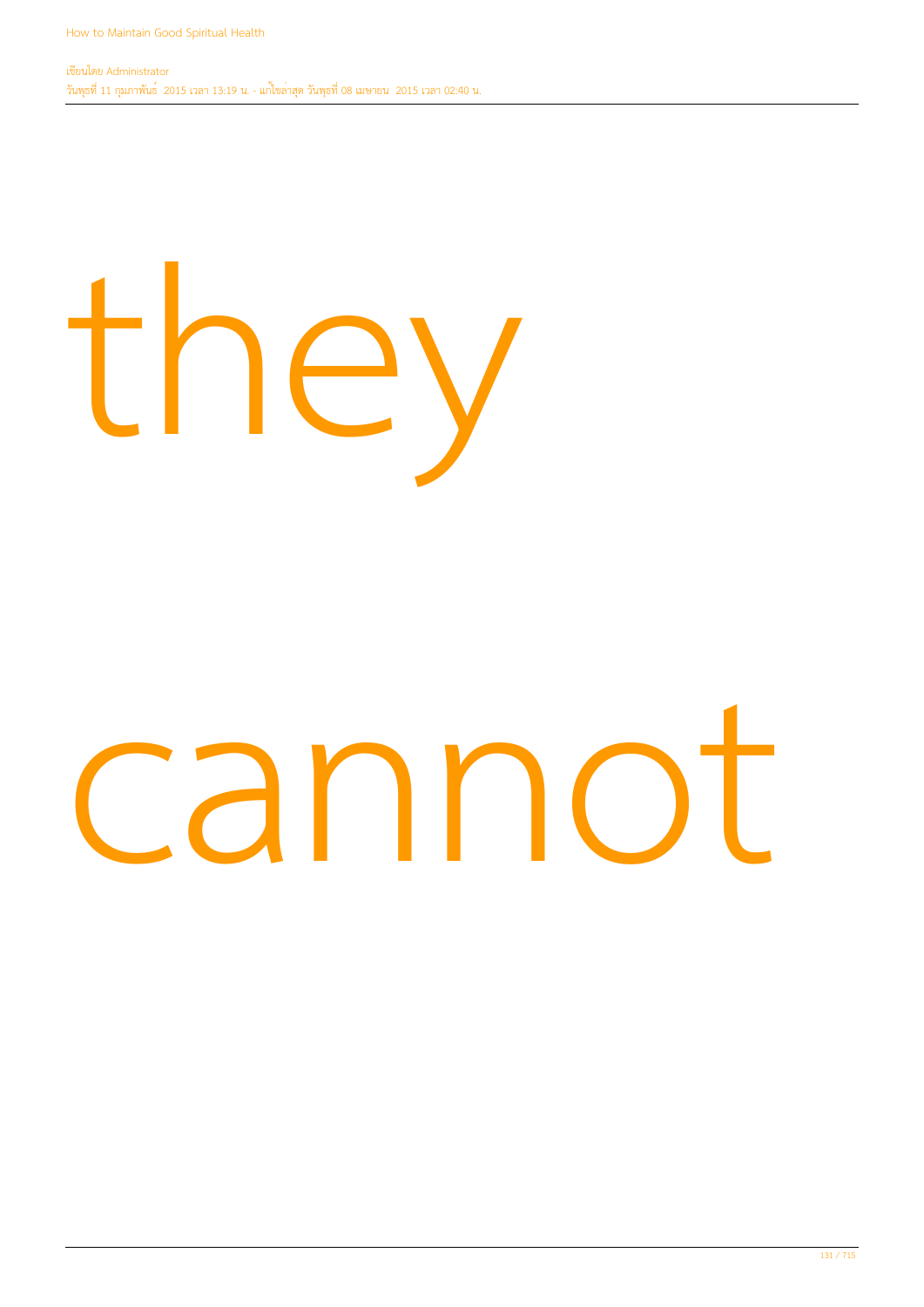## they

#### cannot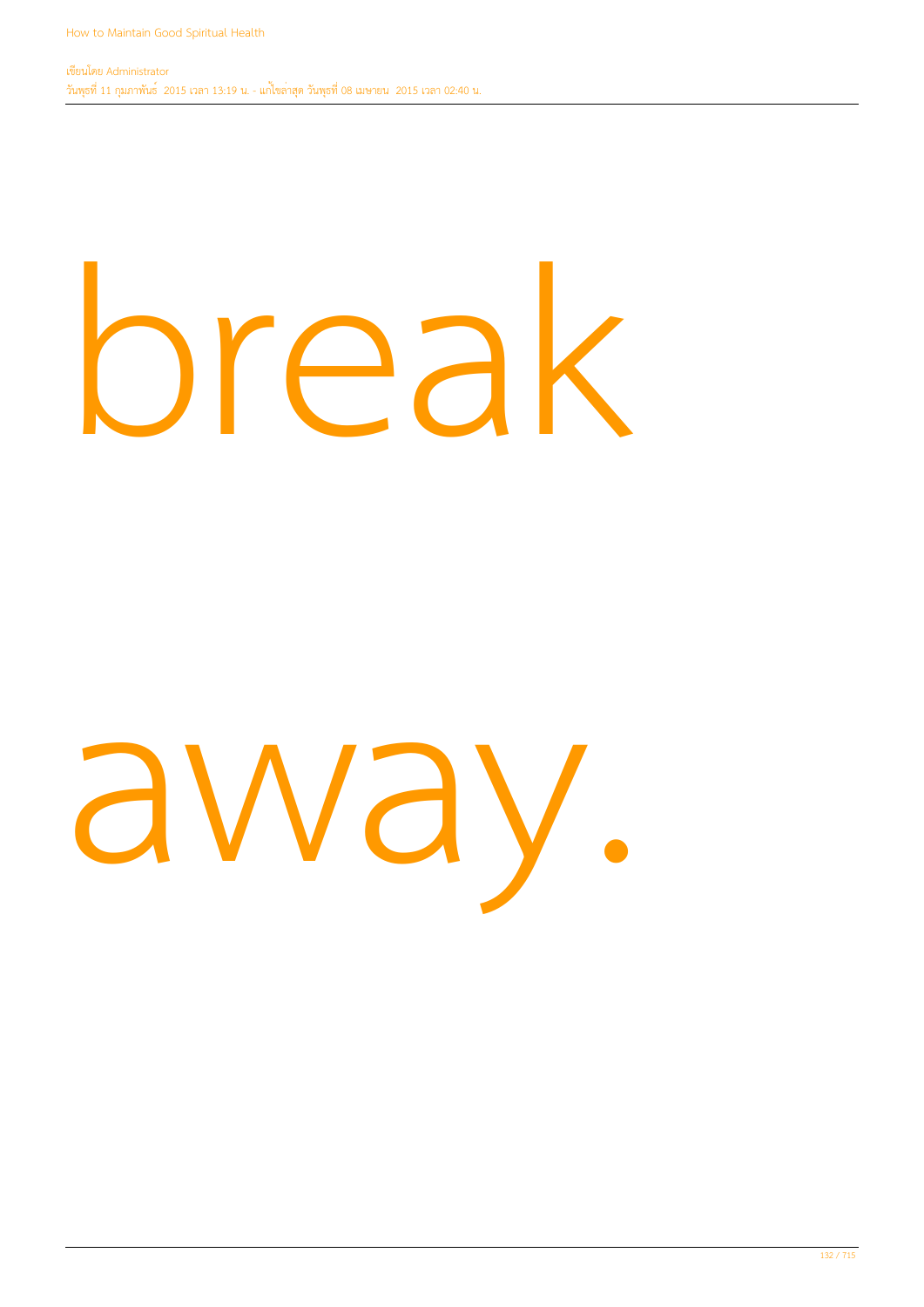### break

#### away.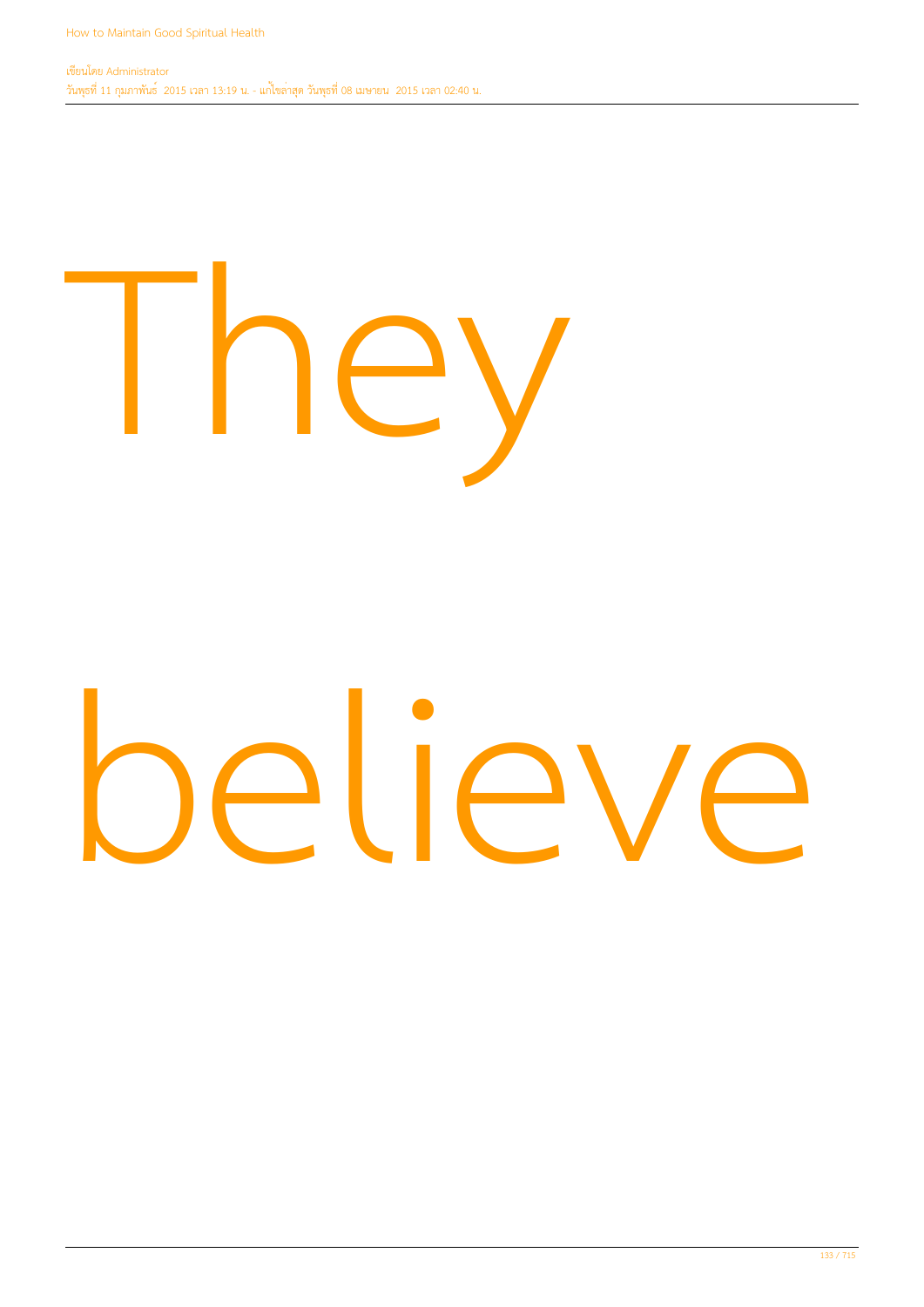## They

### believe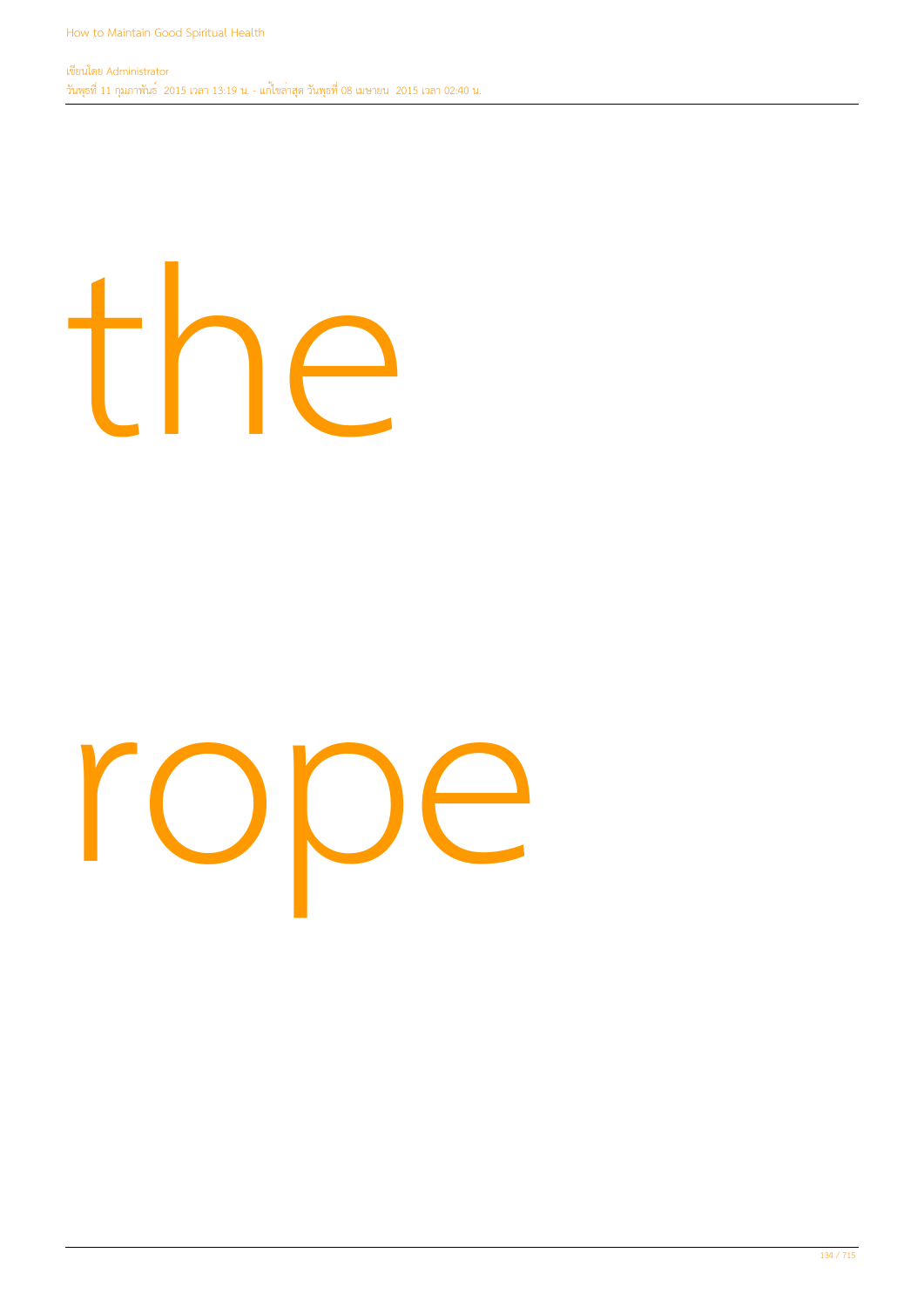### the

#### rope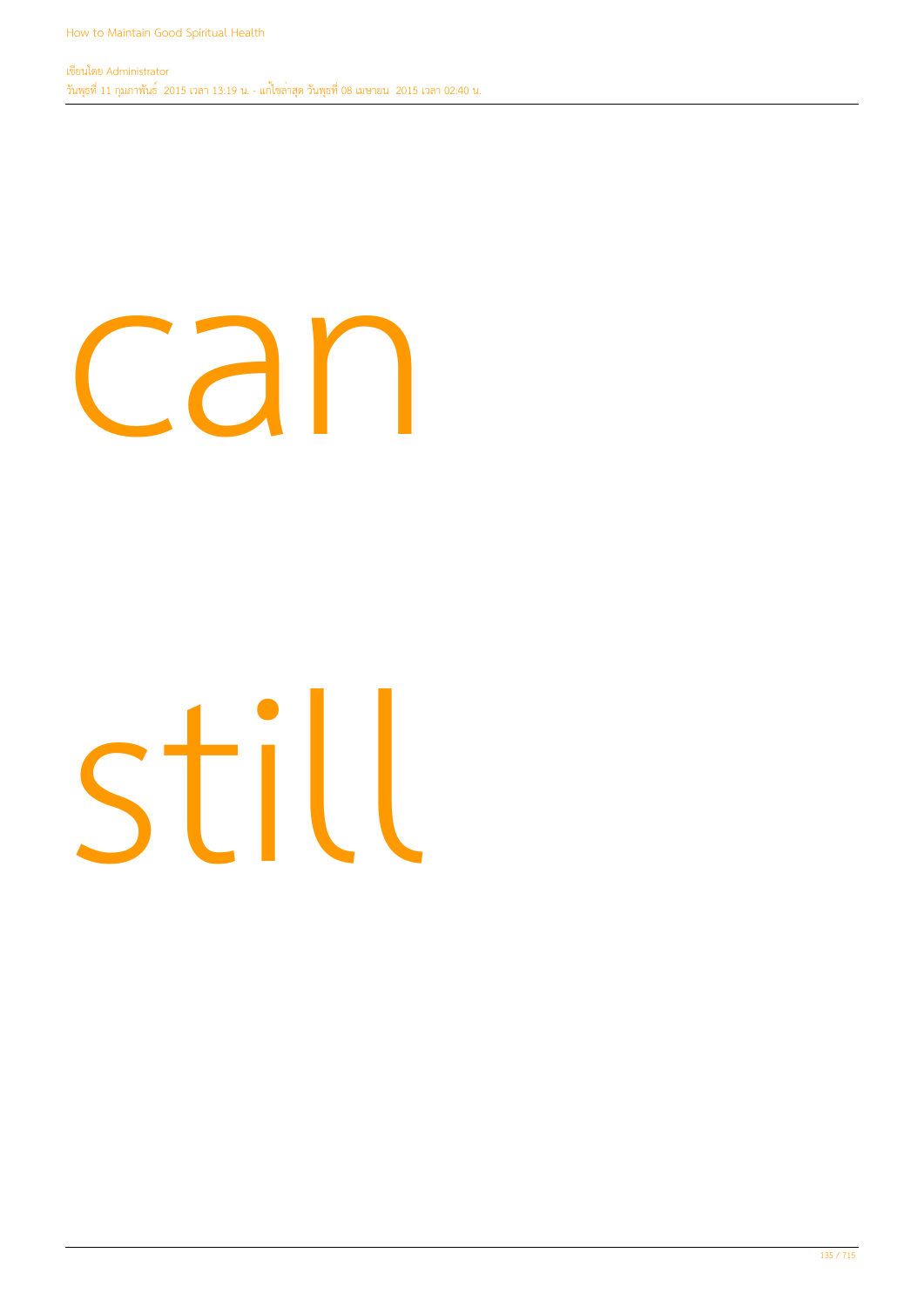#### can

### still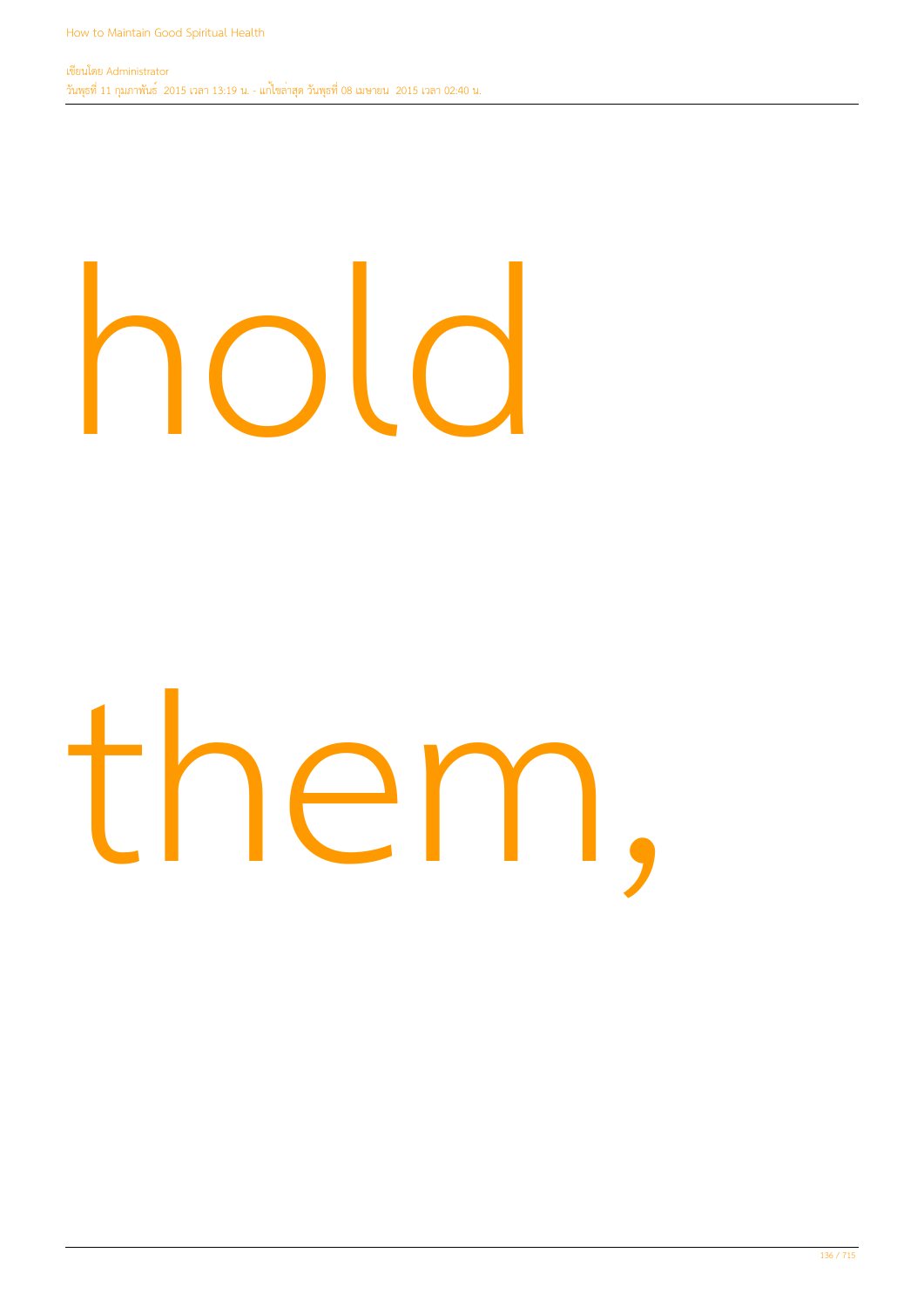### hold

### them,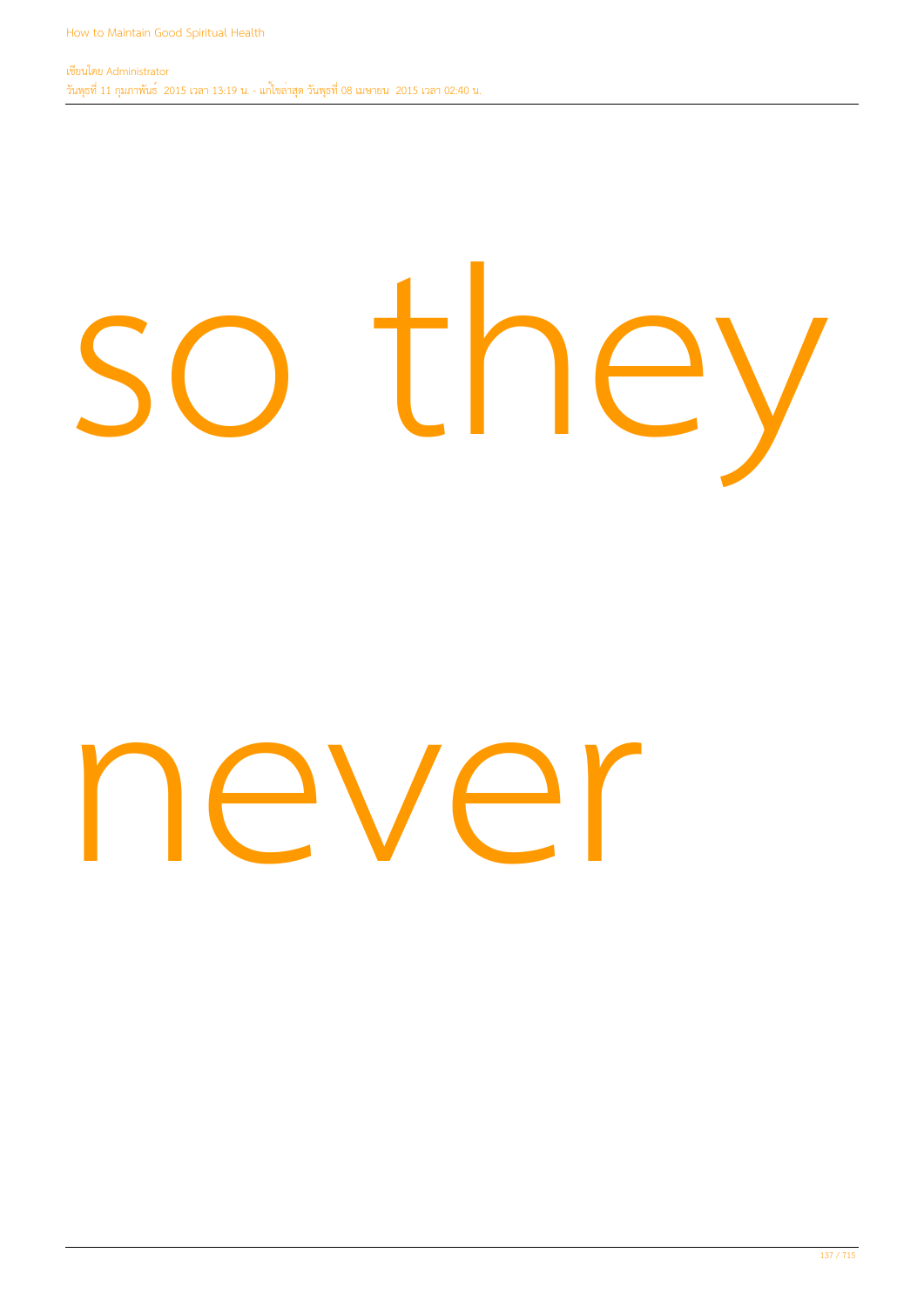# so they

#### never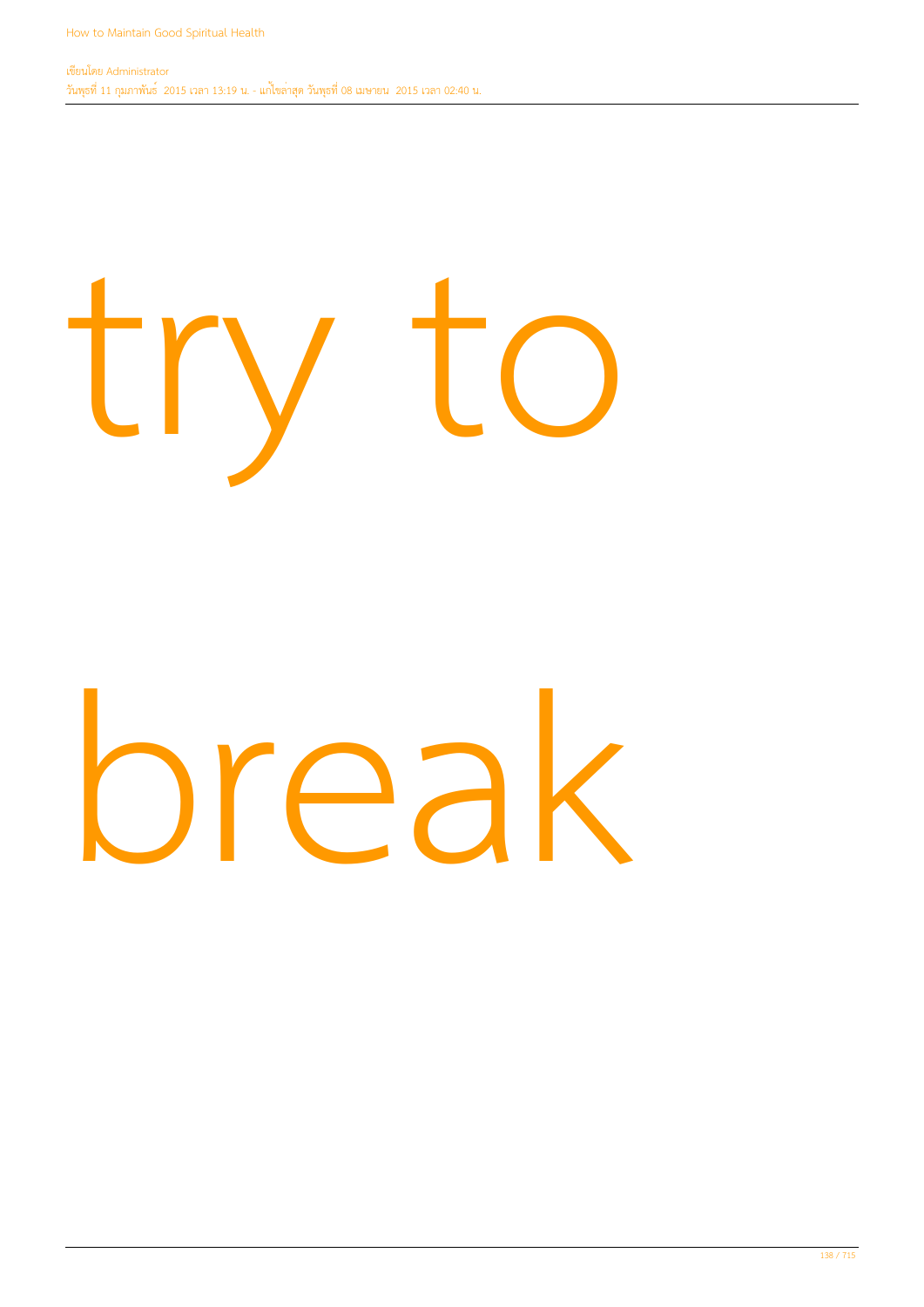## try to

### break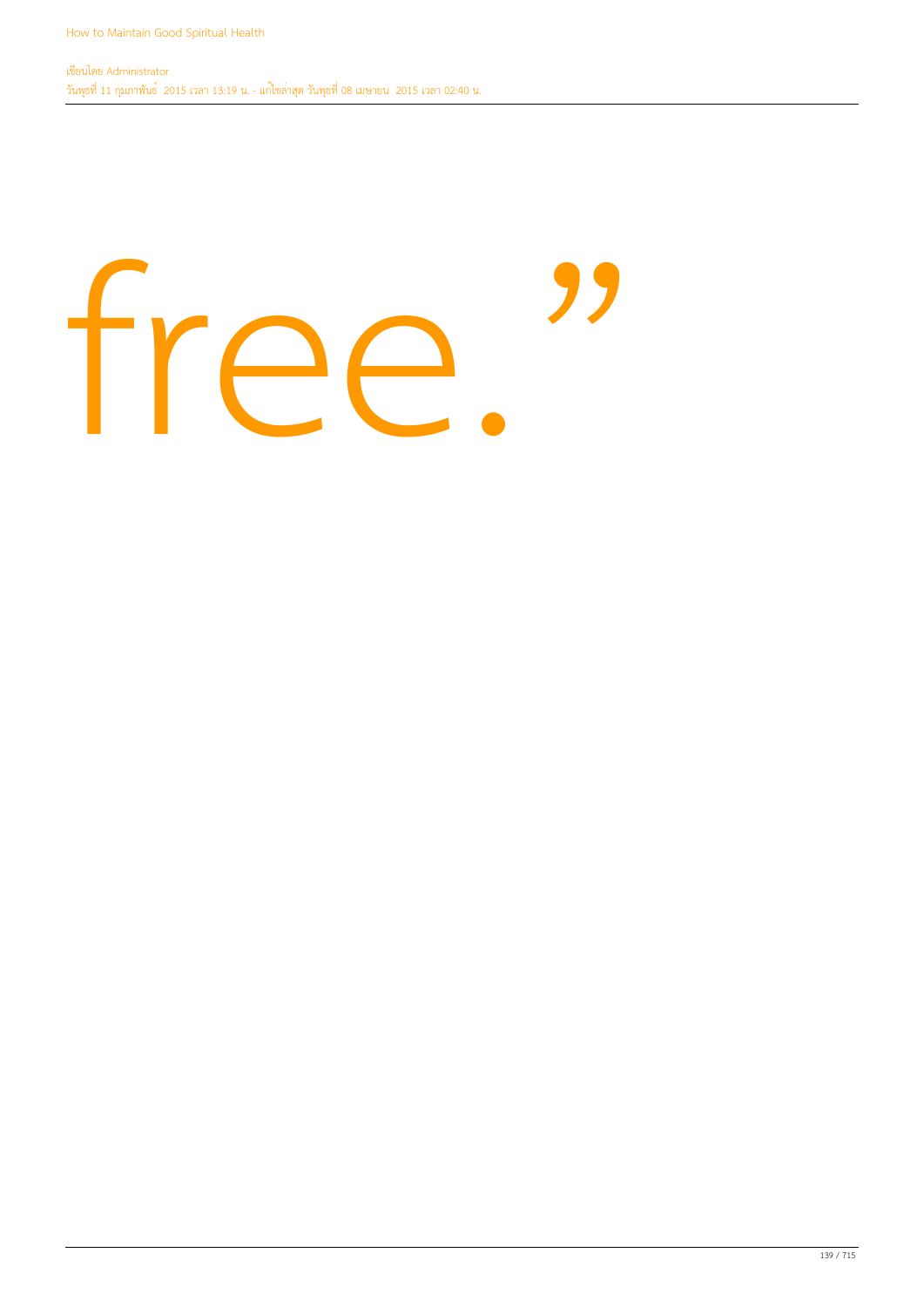### free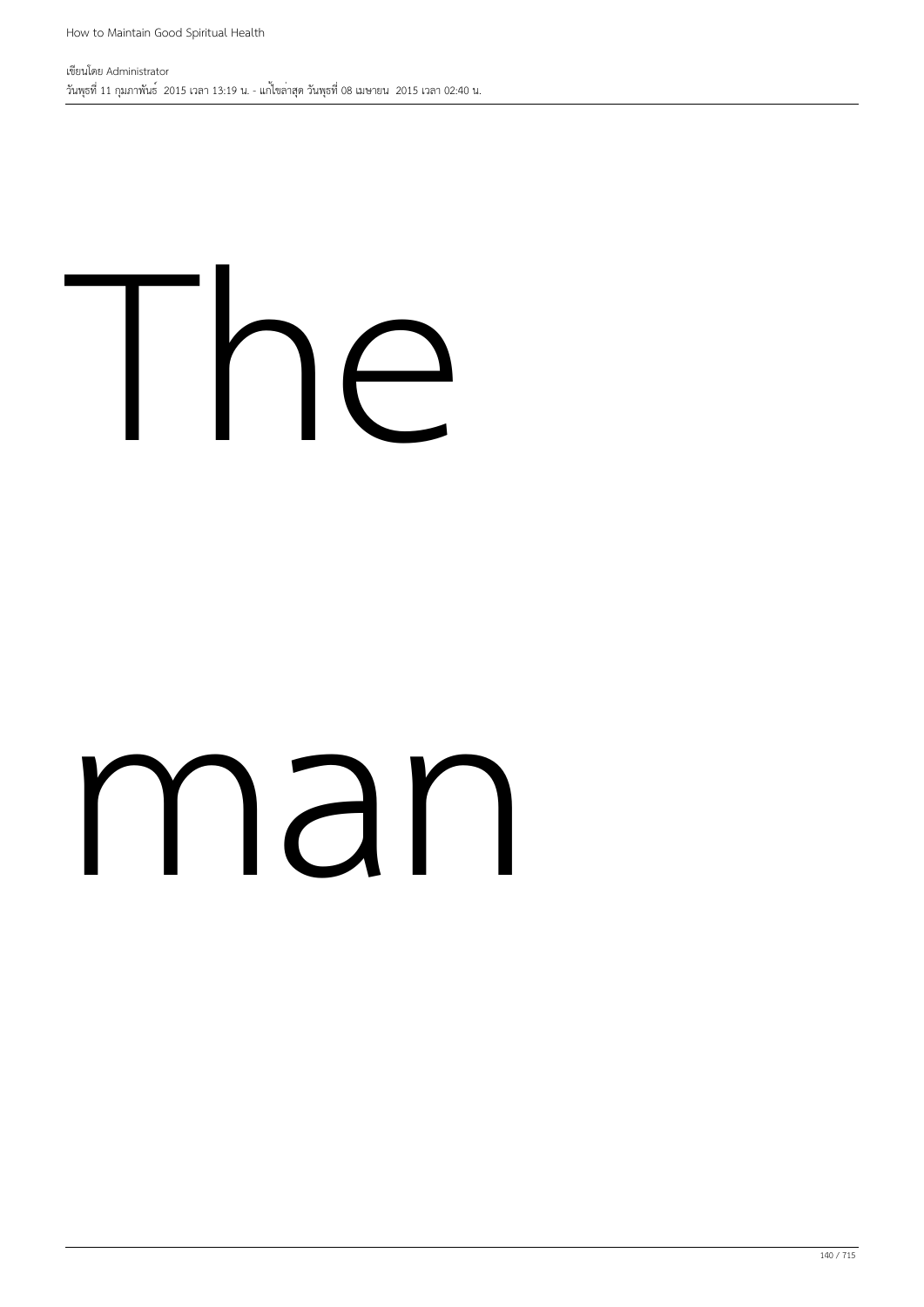### The

#### man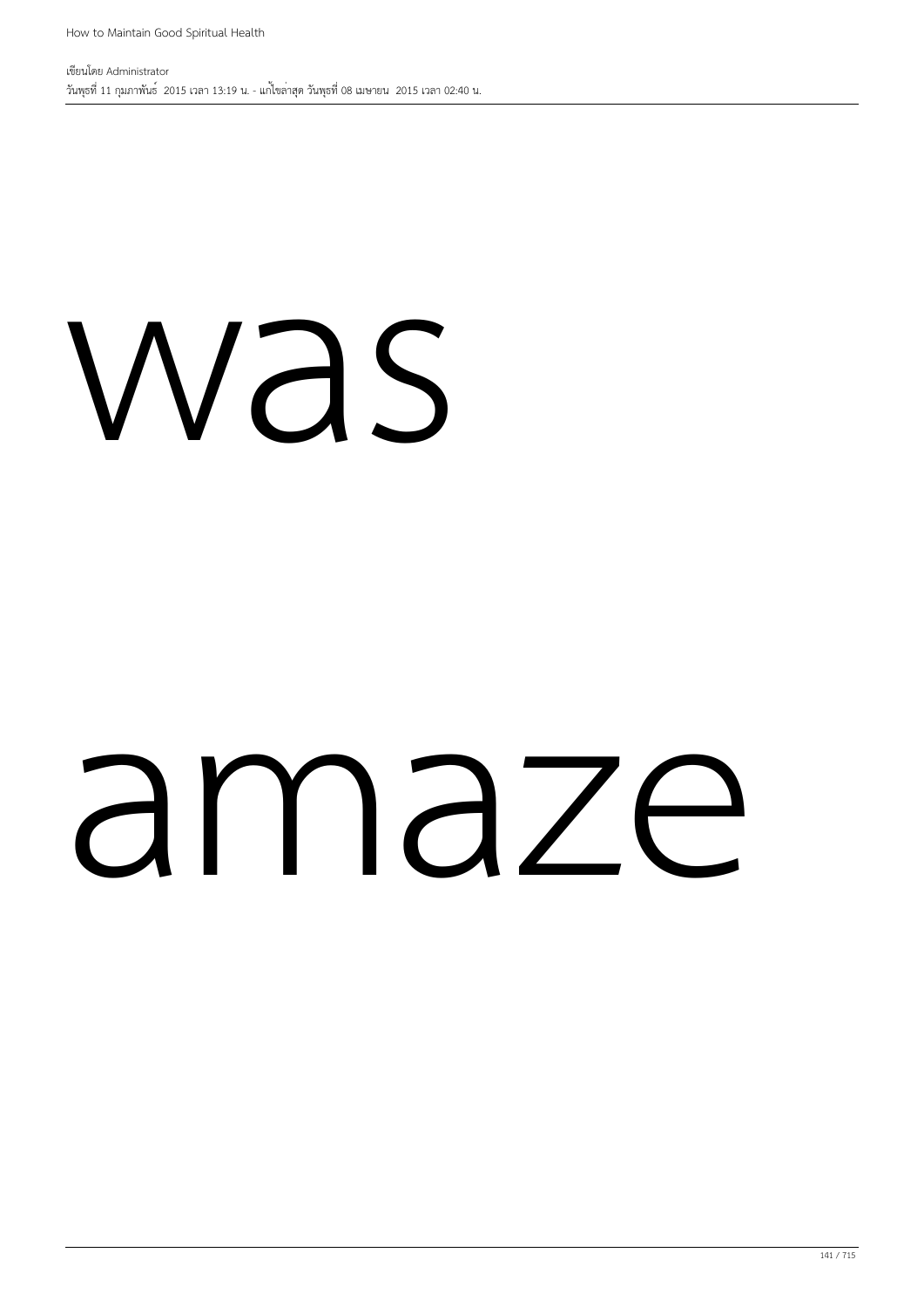#### was

#### amaze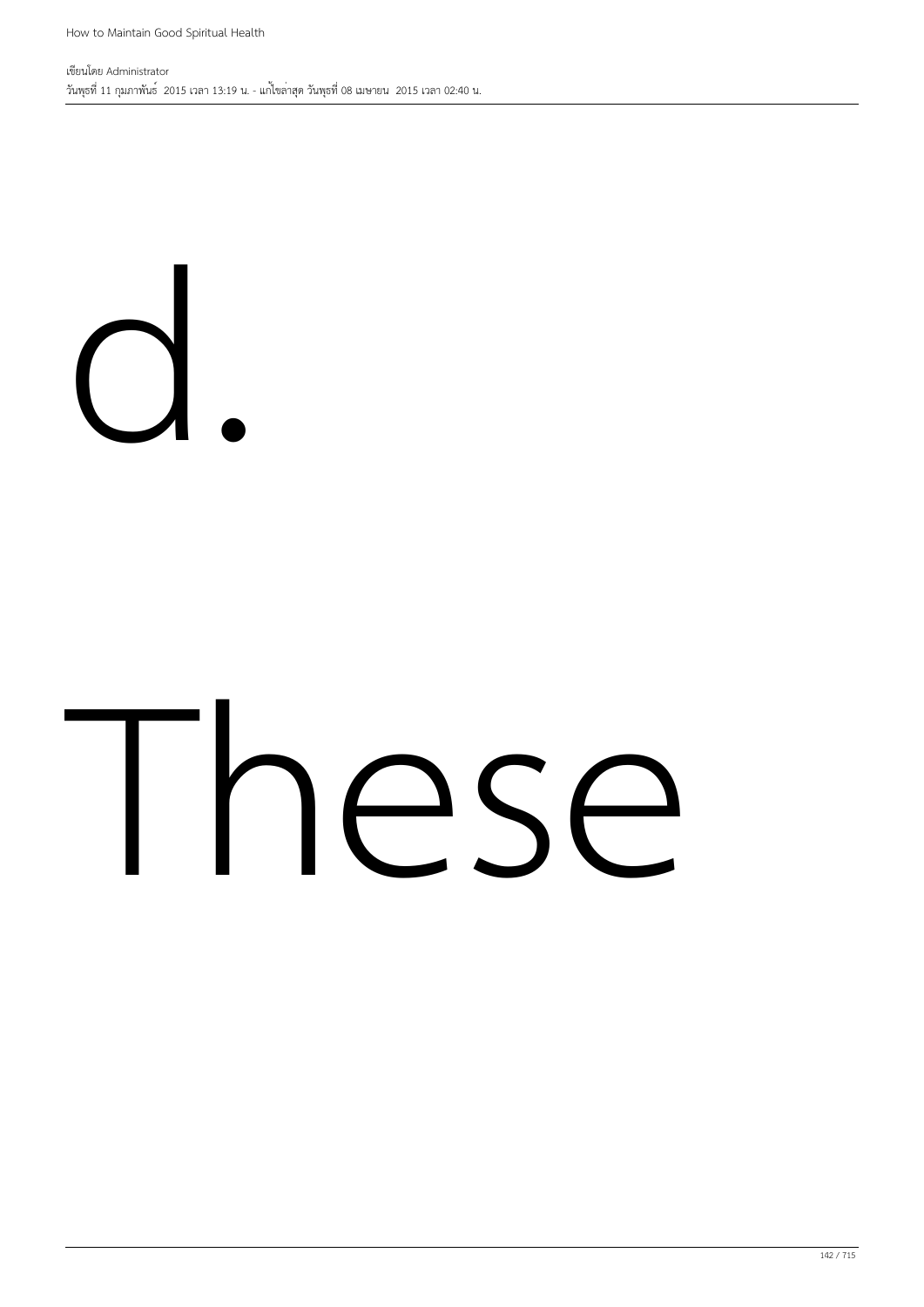### d.

### These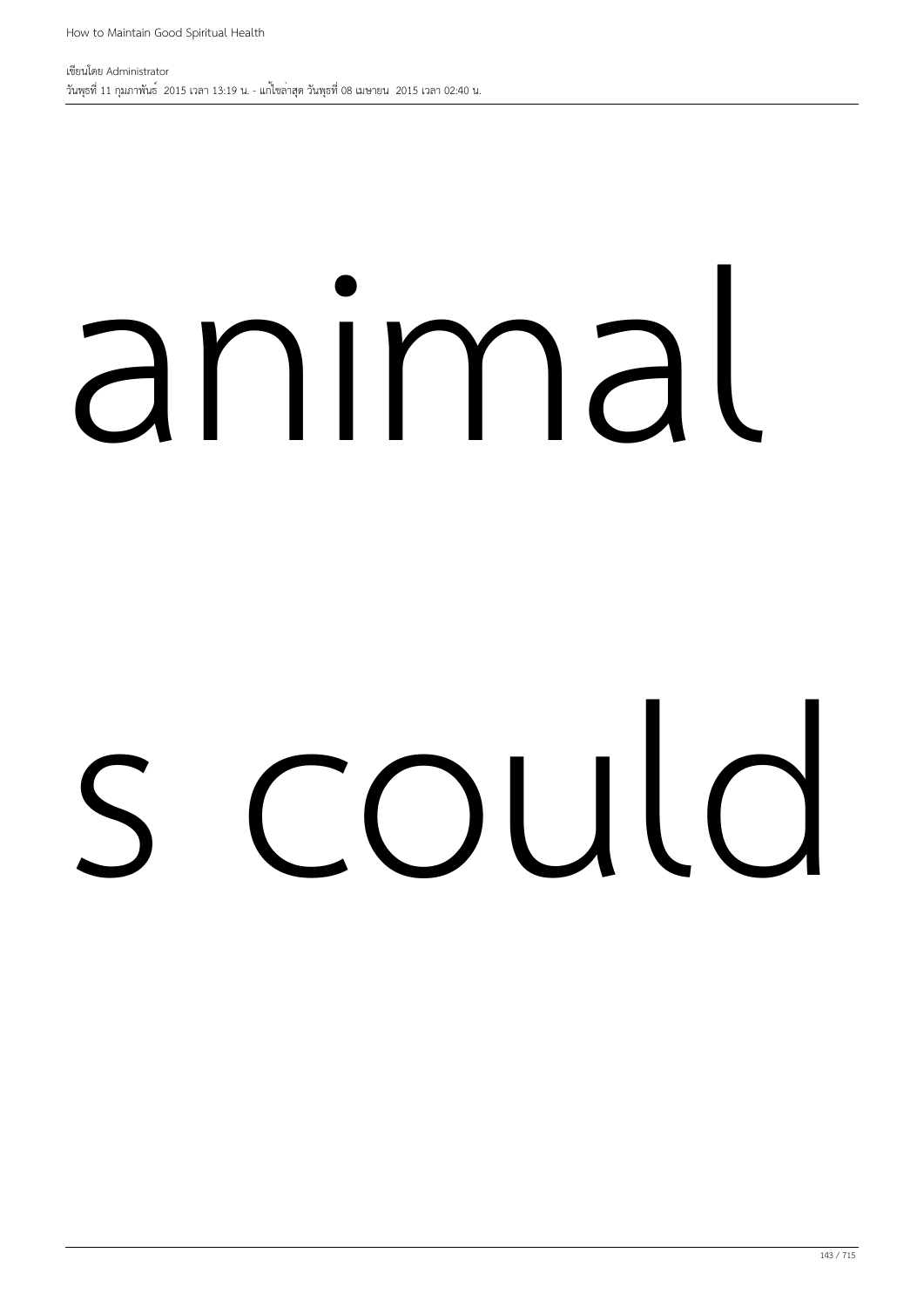# animal s could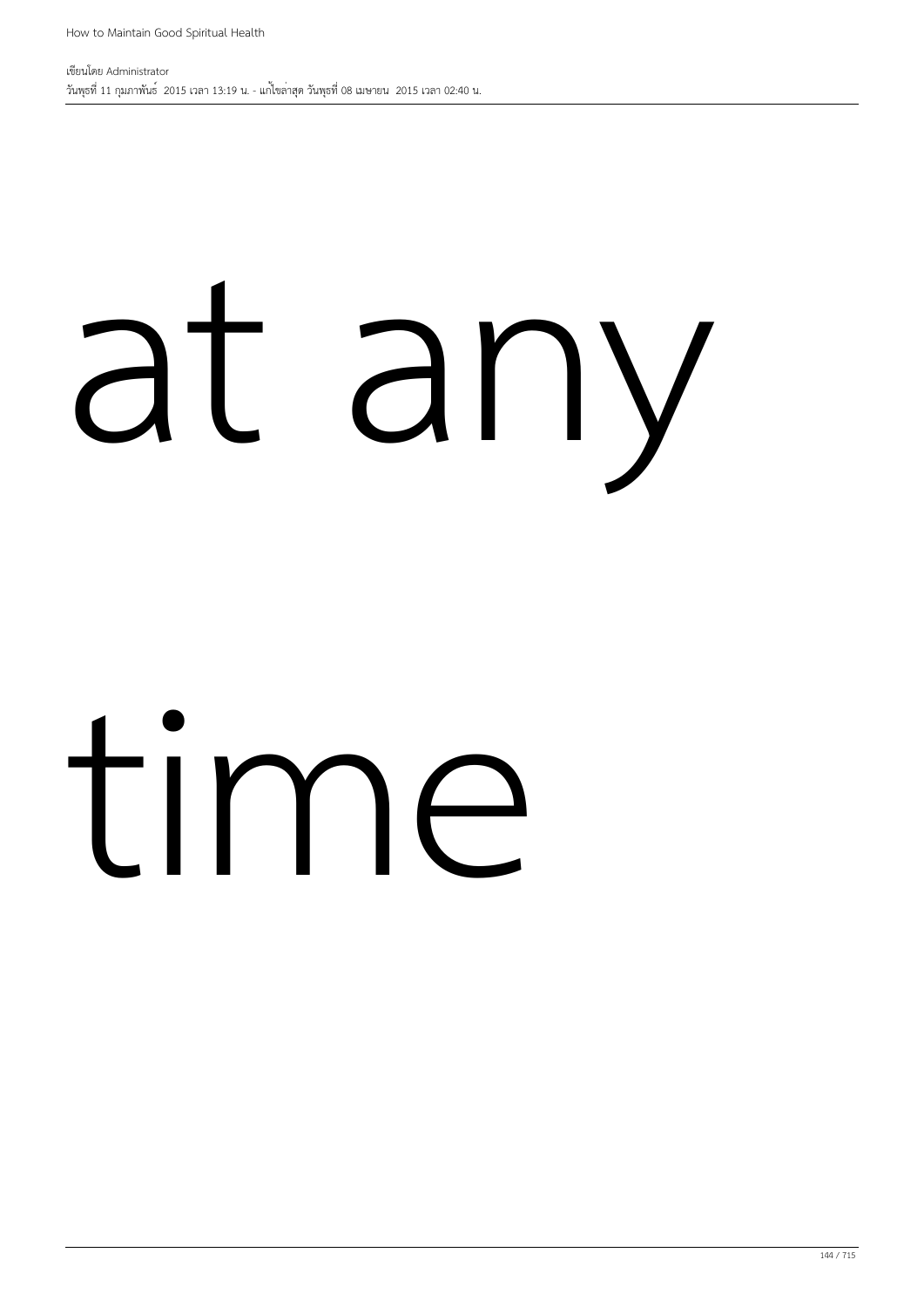### at any

### time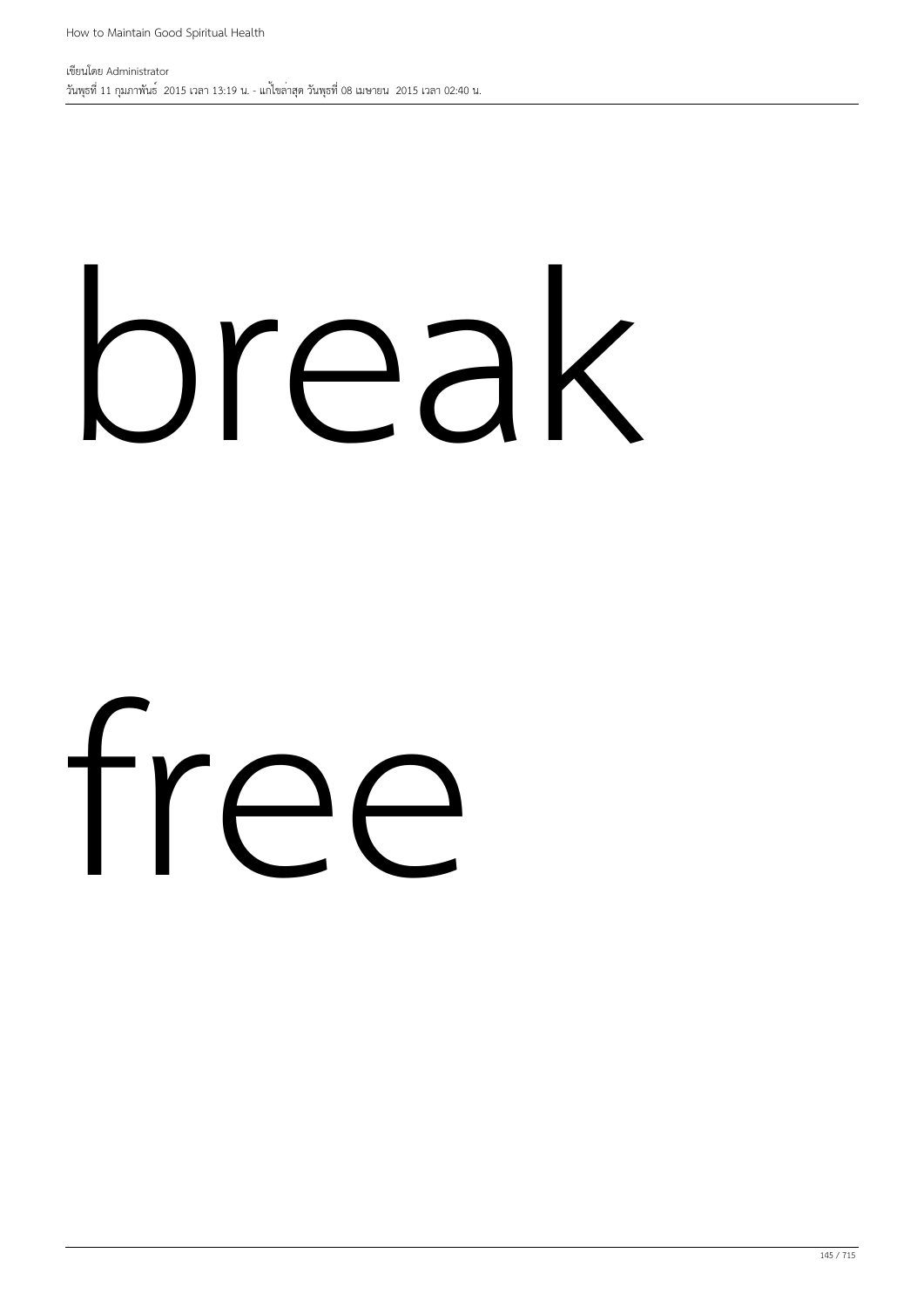## break

### free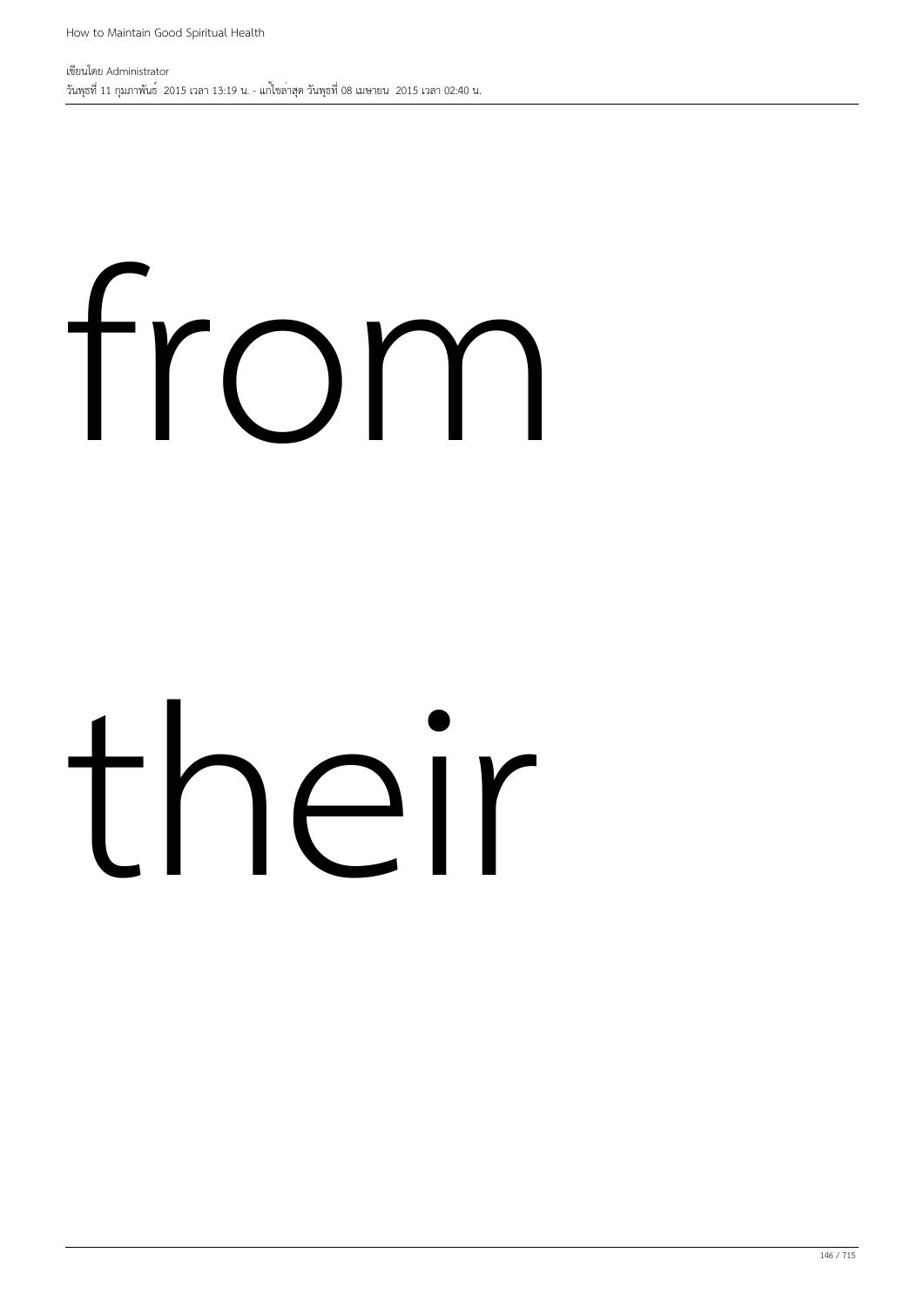## from

### their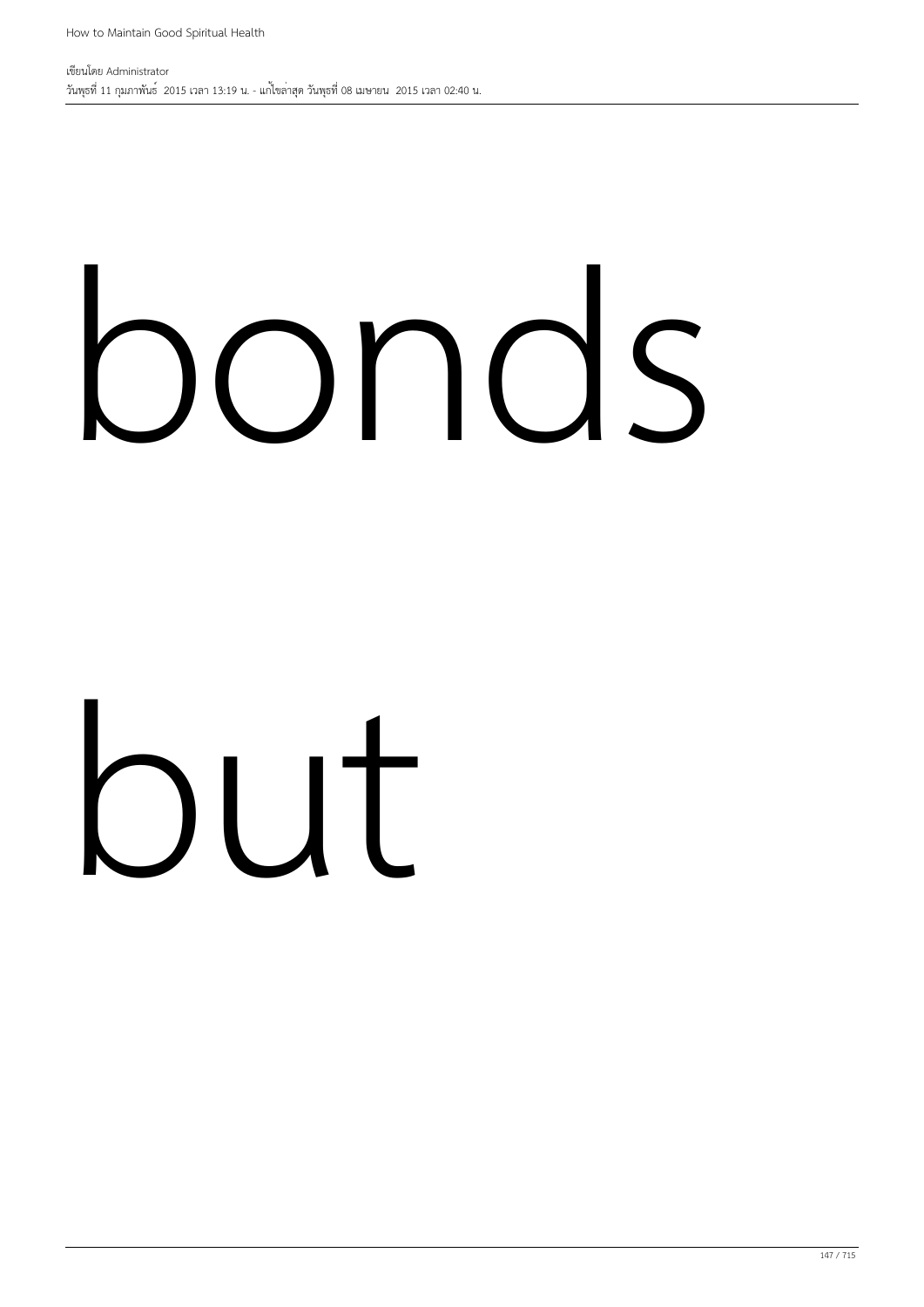## bonds

### $\bigcirc$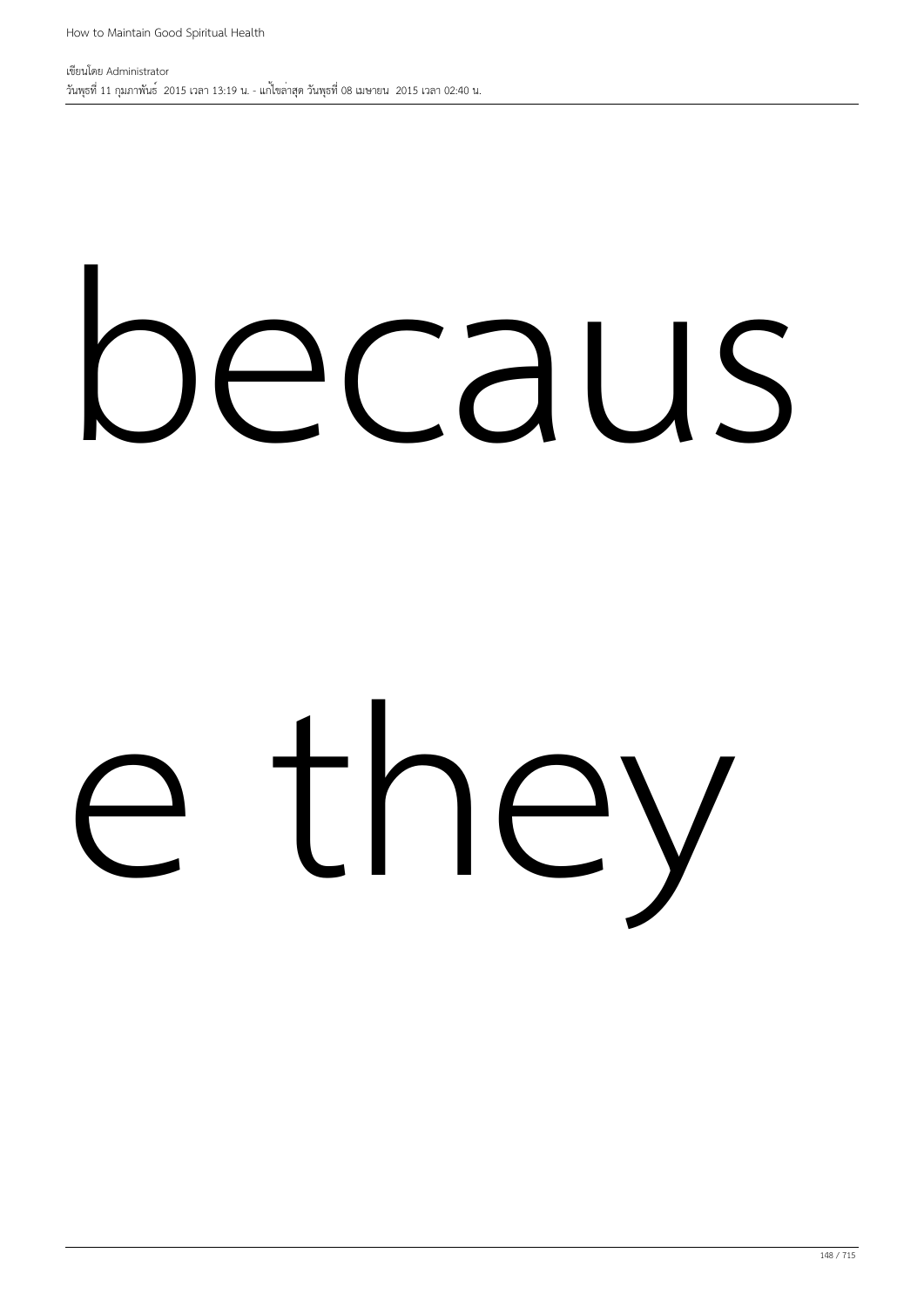### becaus

## e they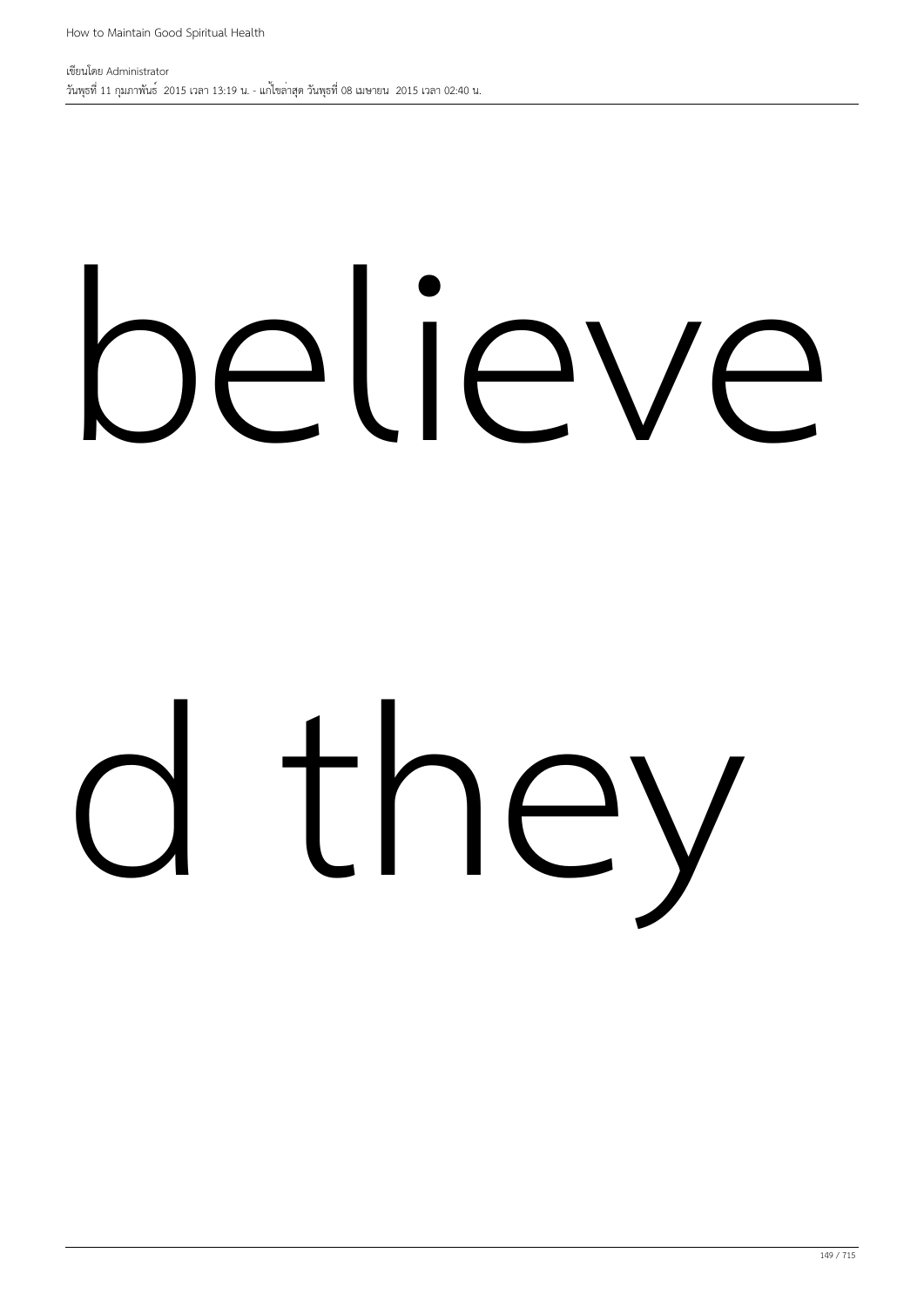## believe

## d they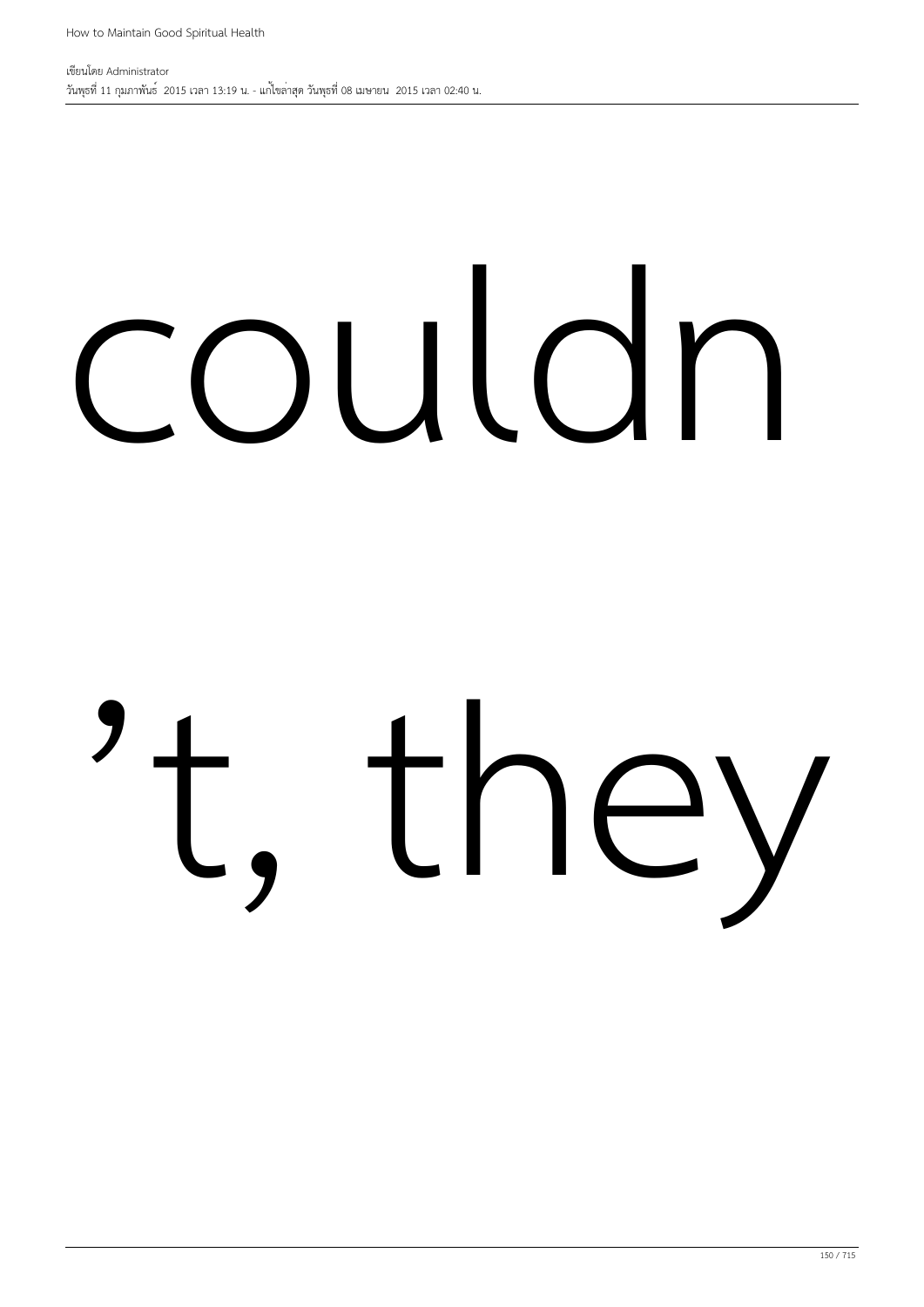## couldn

## 't, they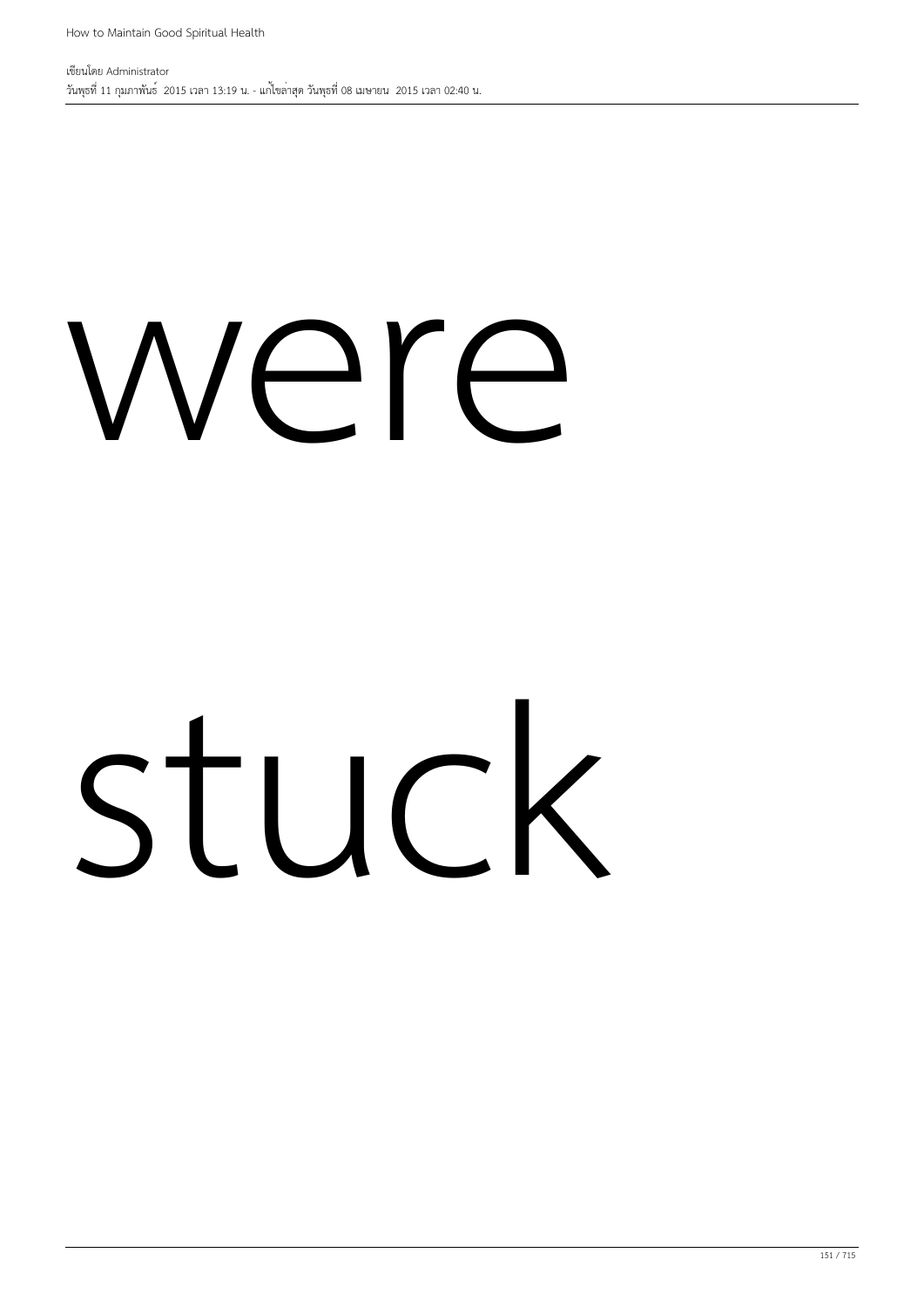## were

### stuck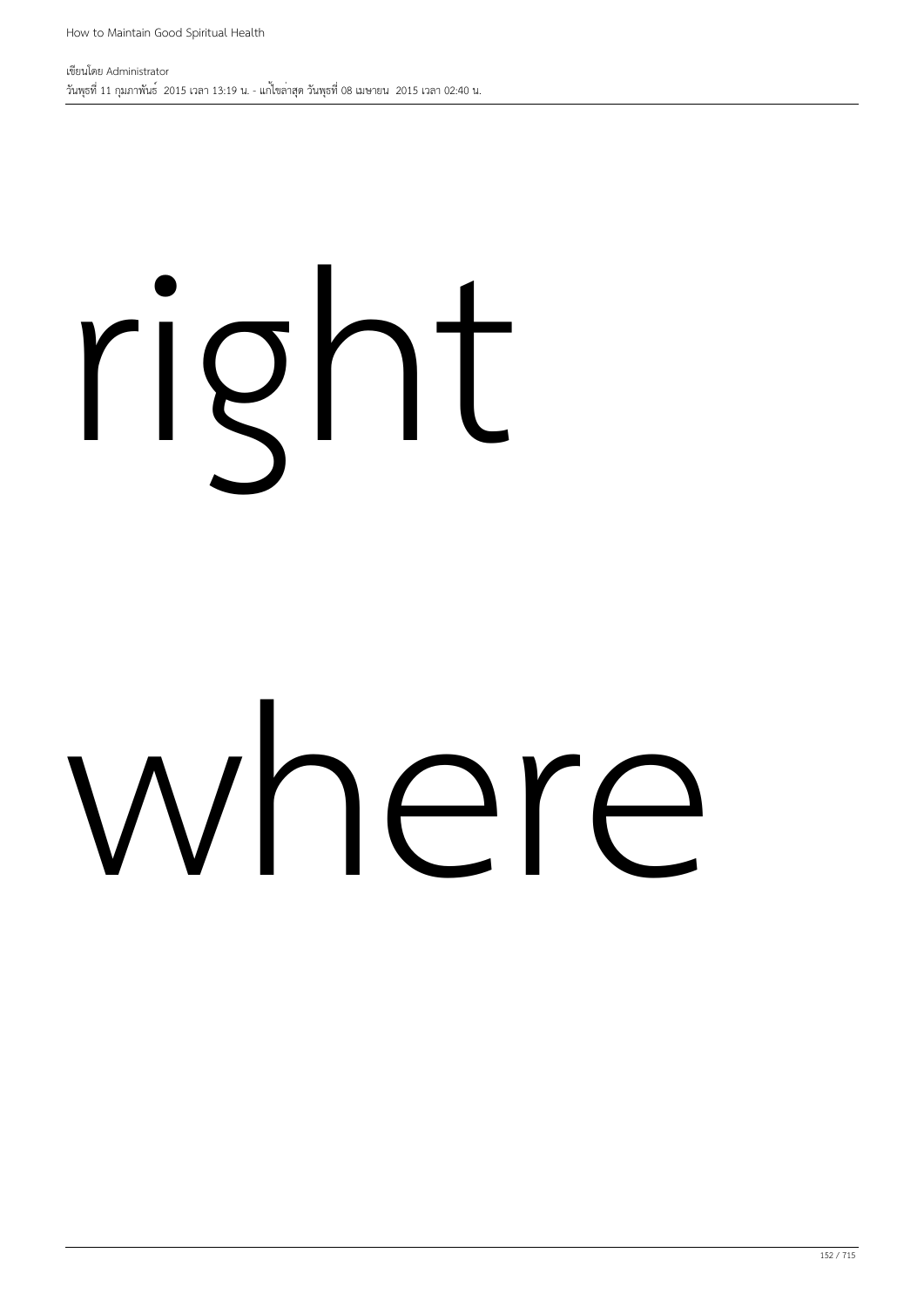# right

### where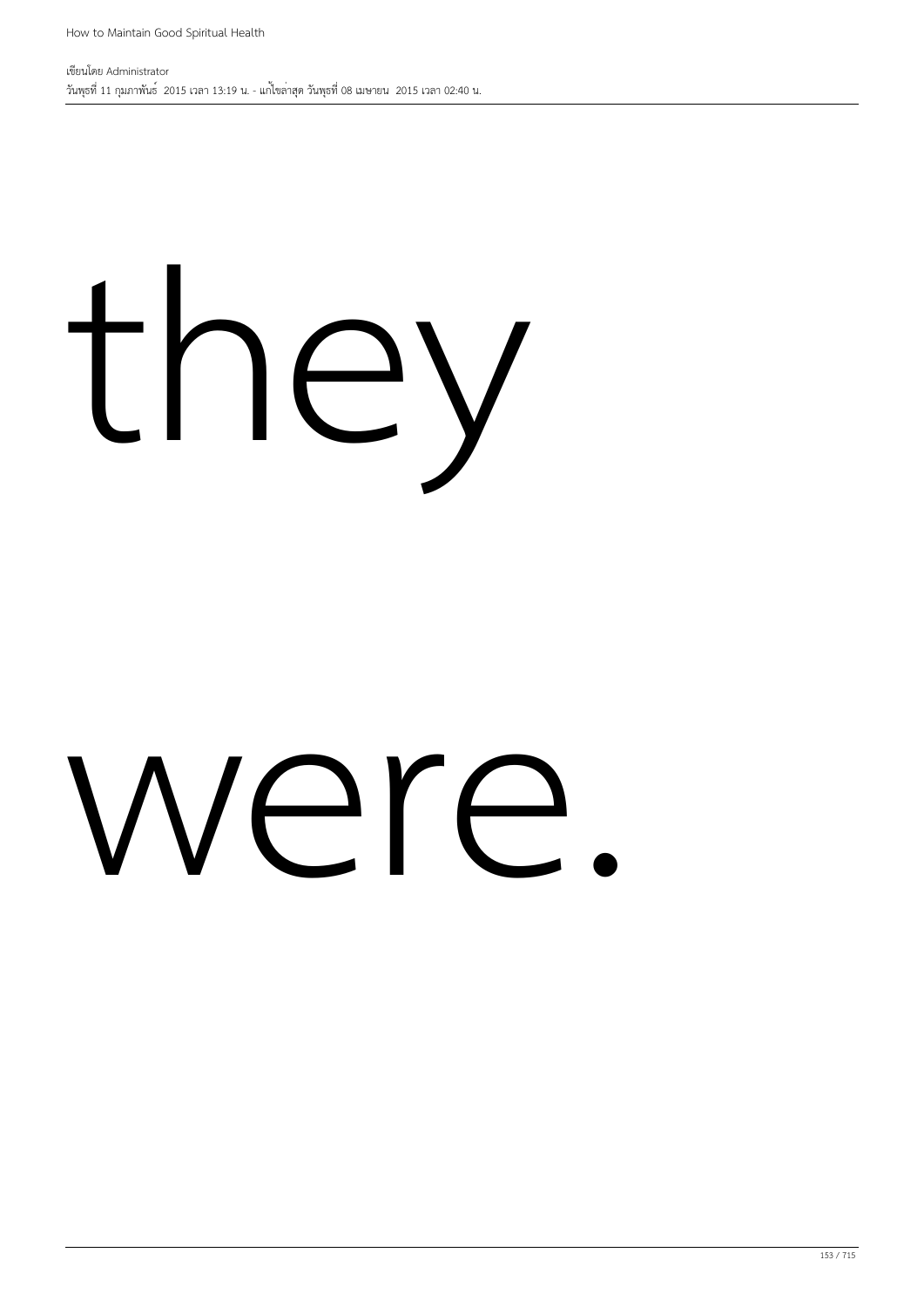## they

#### were.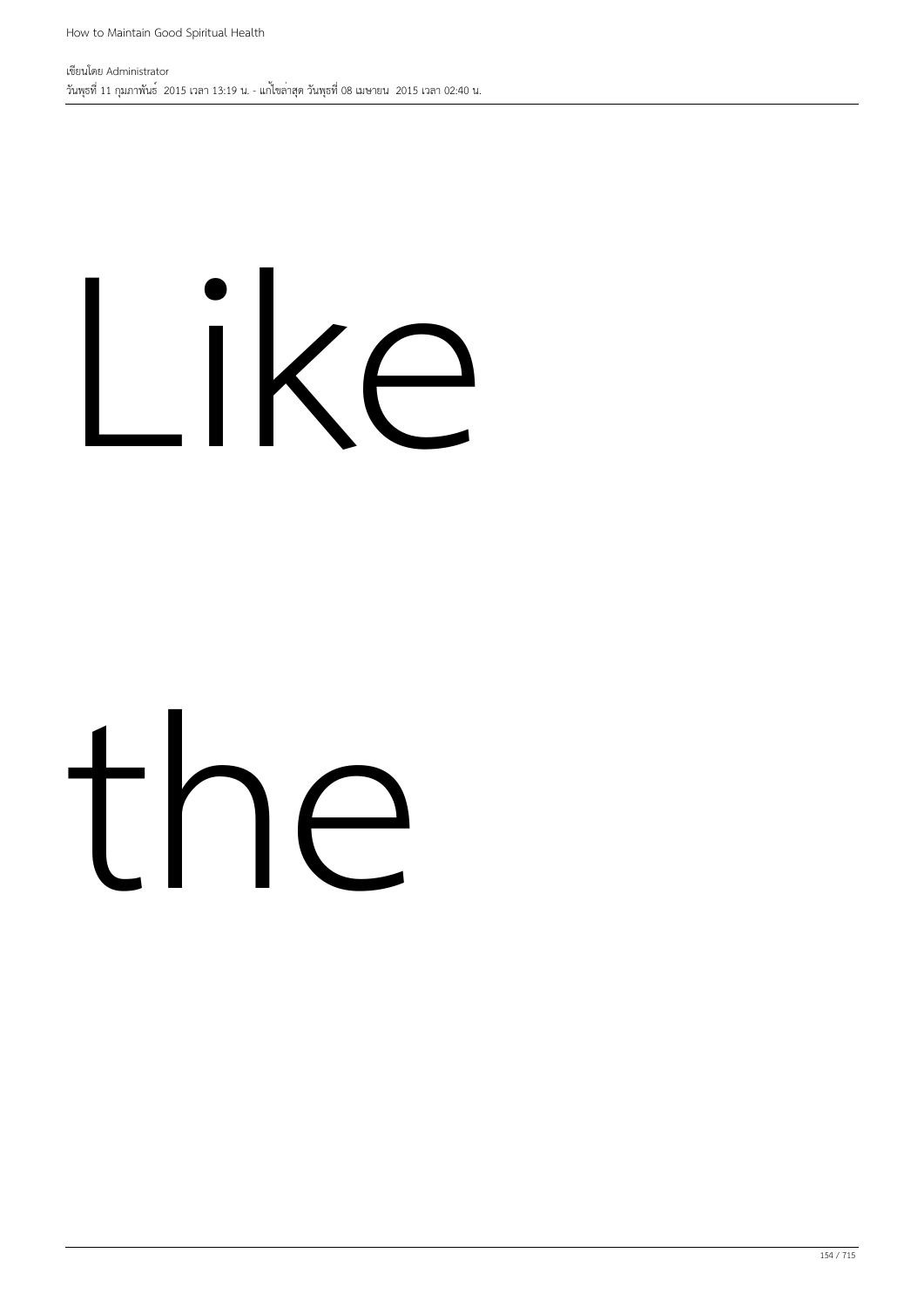### Like

### the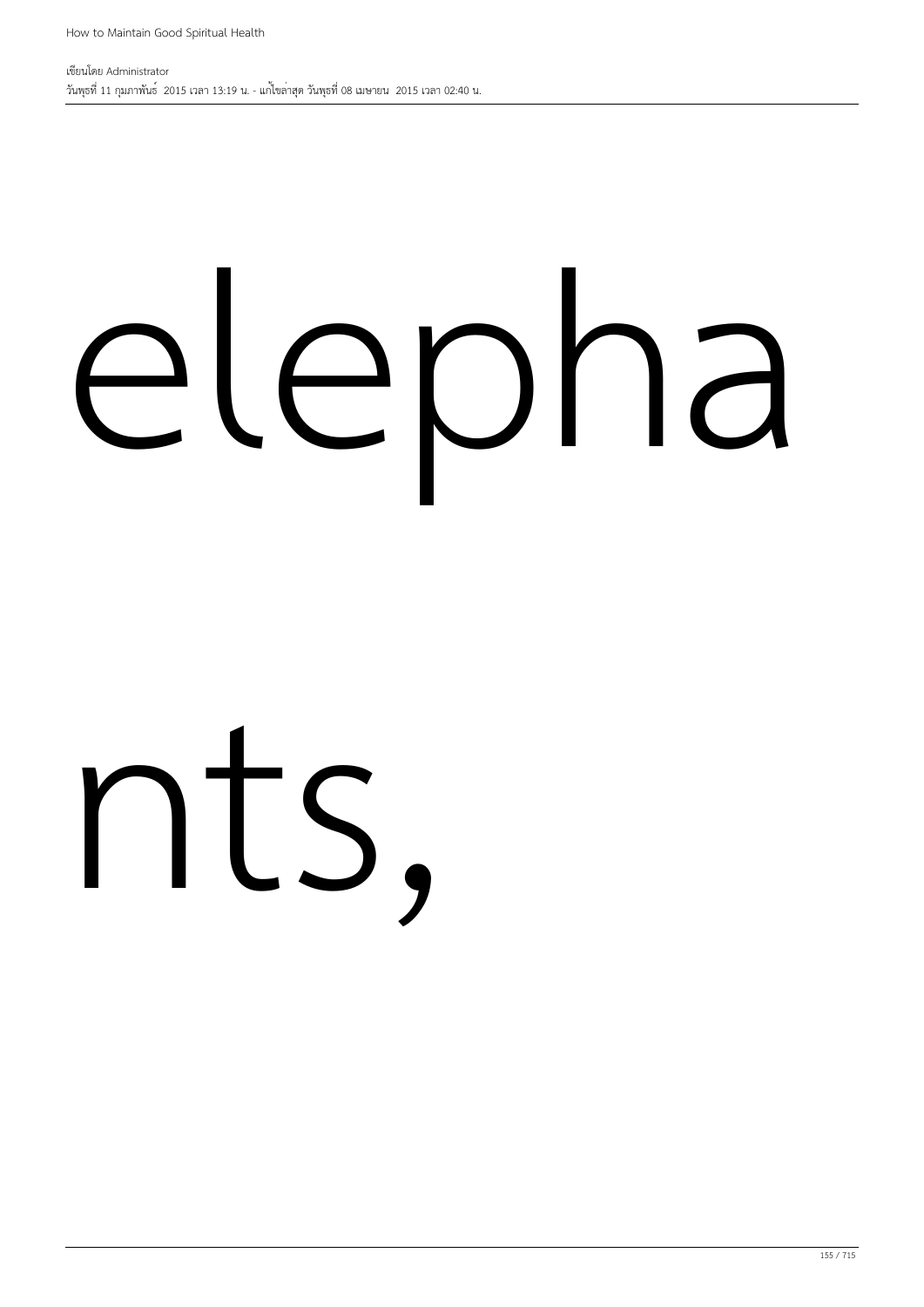# elepha

### nts,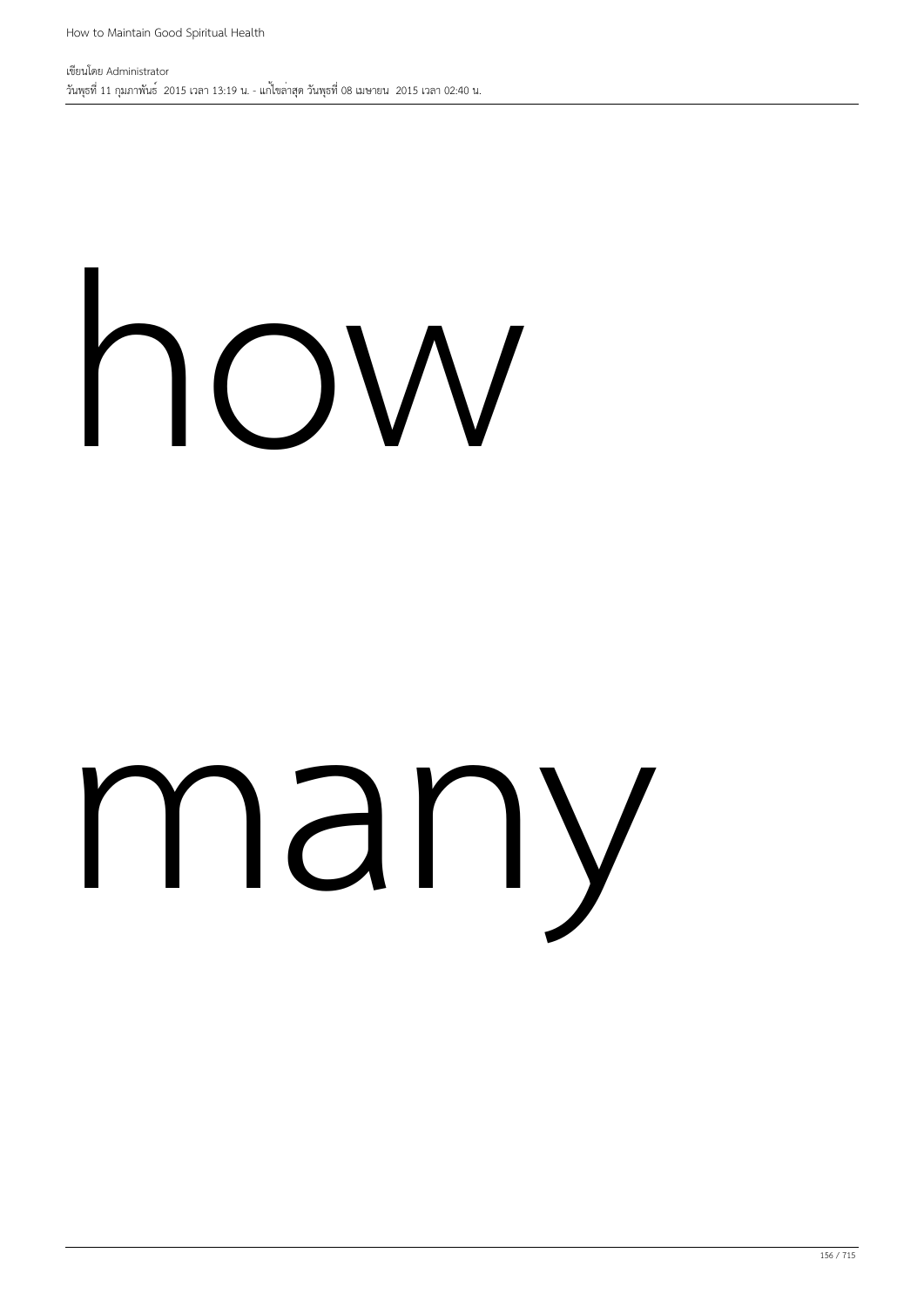### how

### many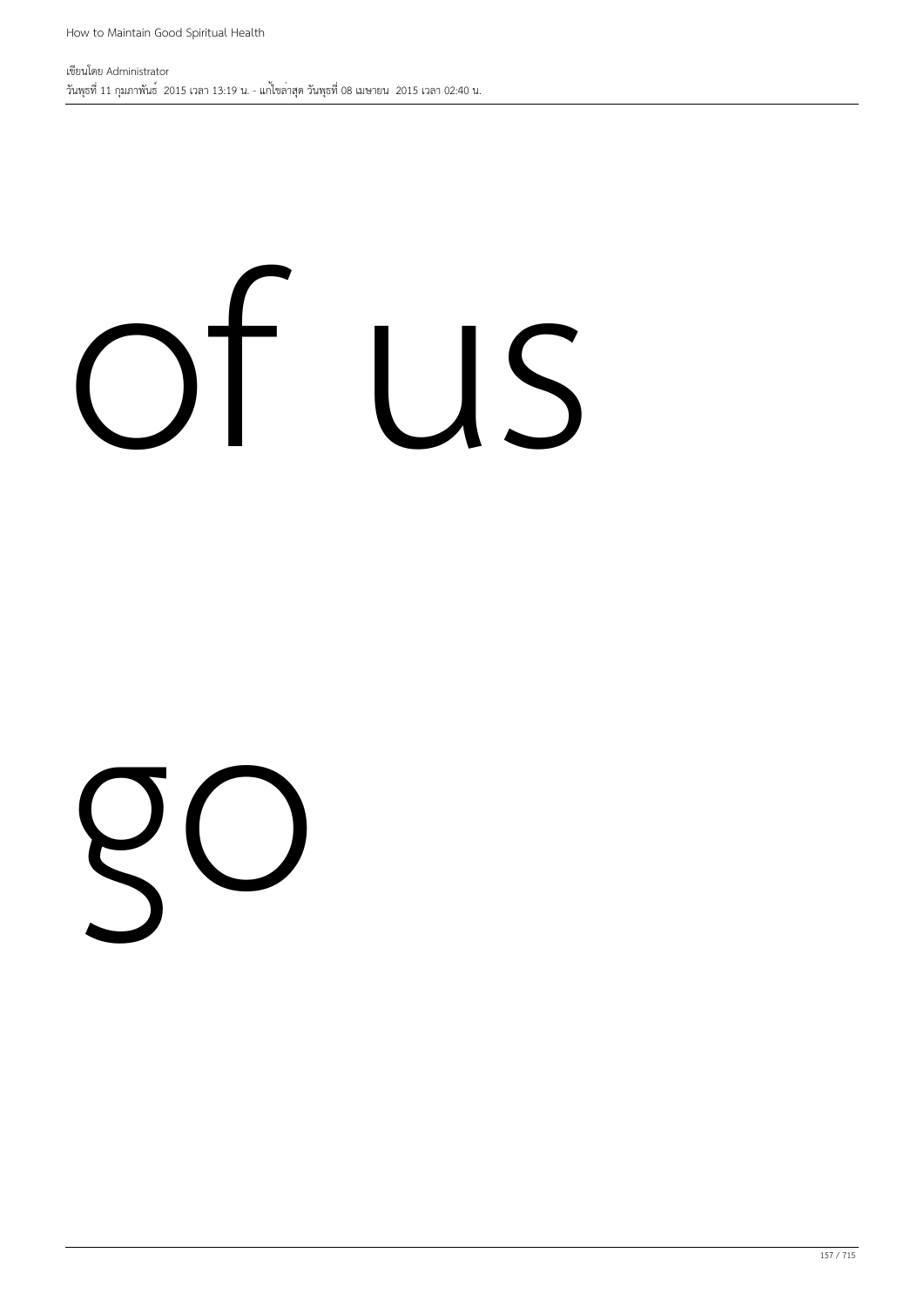## of us

#### go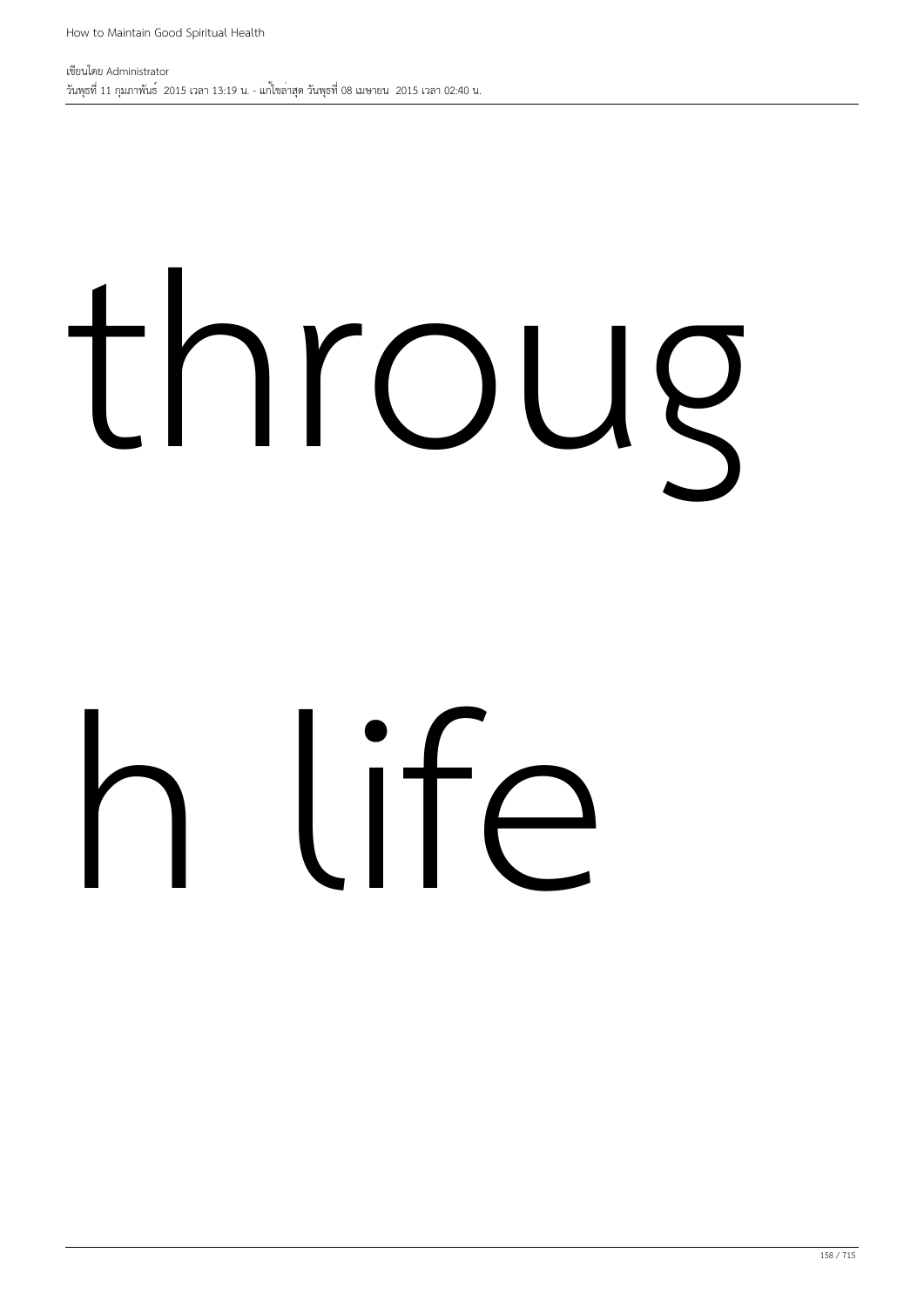# throug

### $l$ ife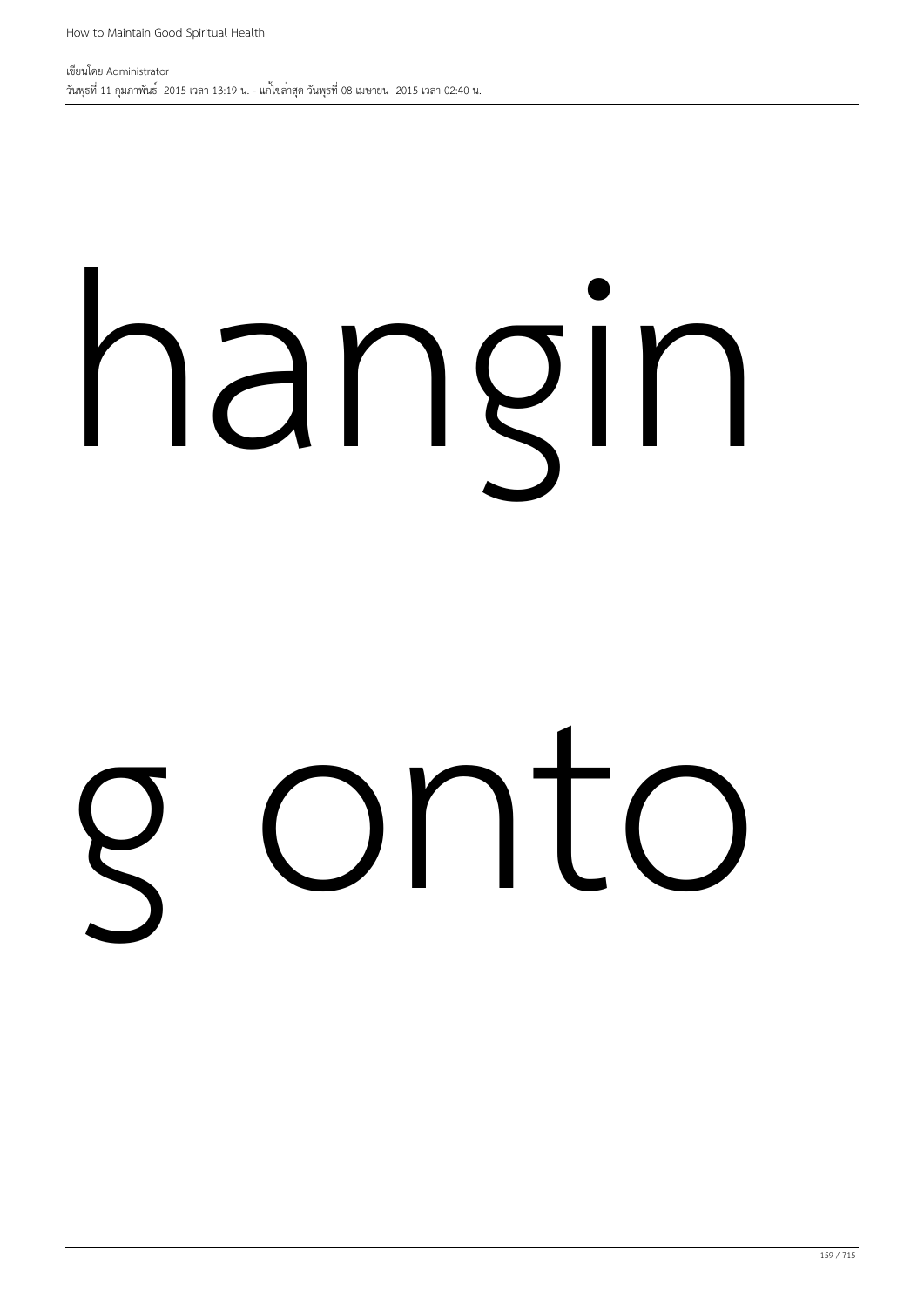# hangin

## onto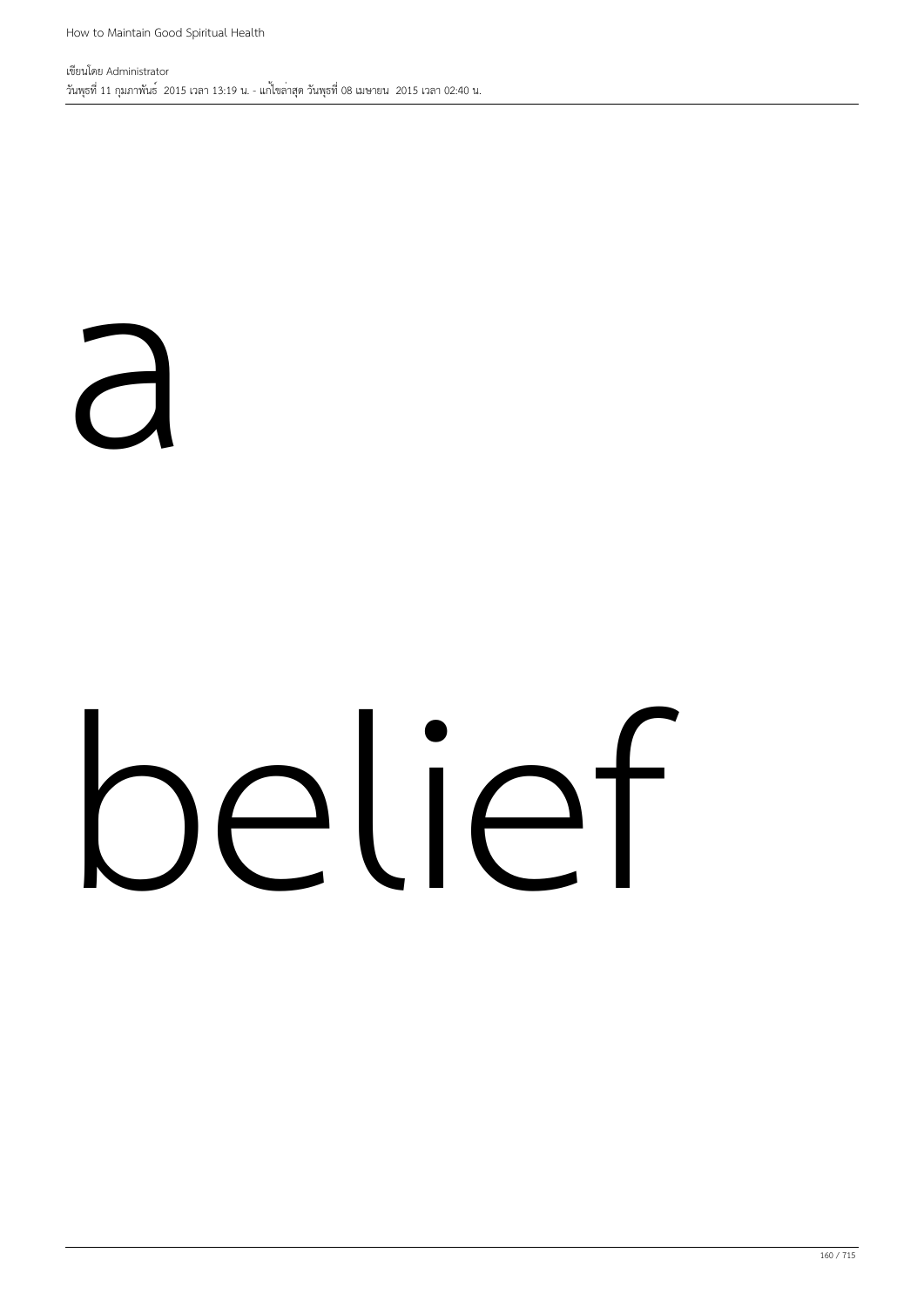#### a

## belief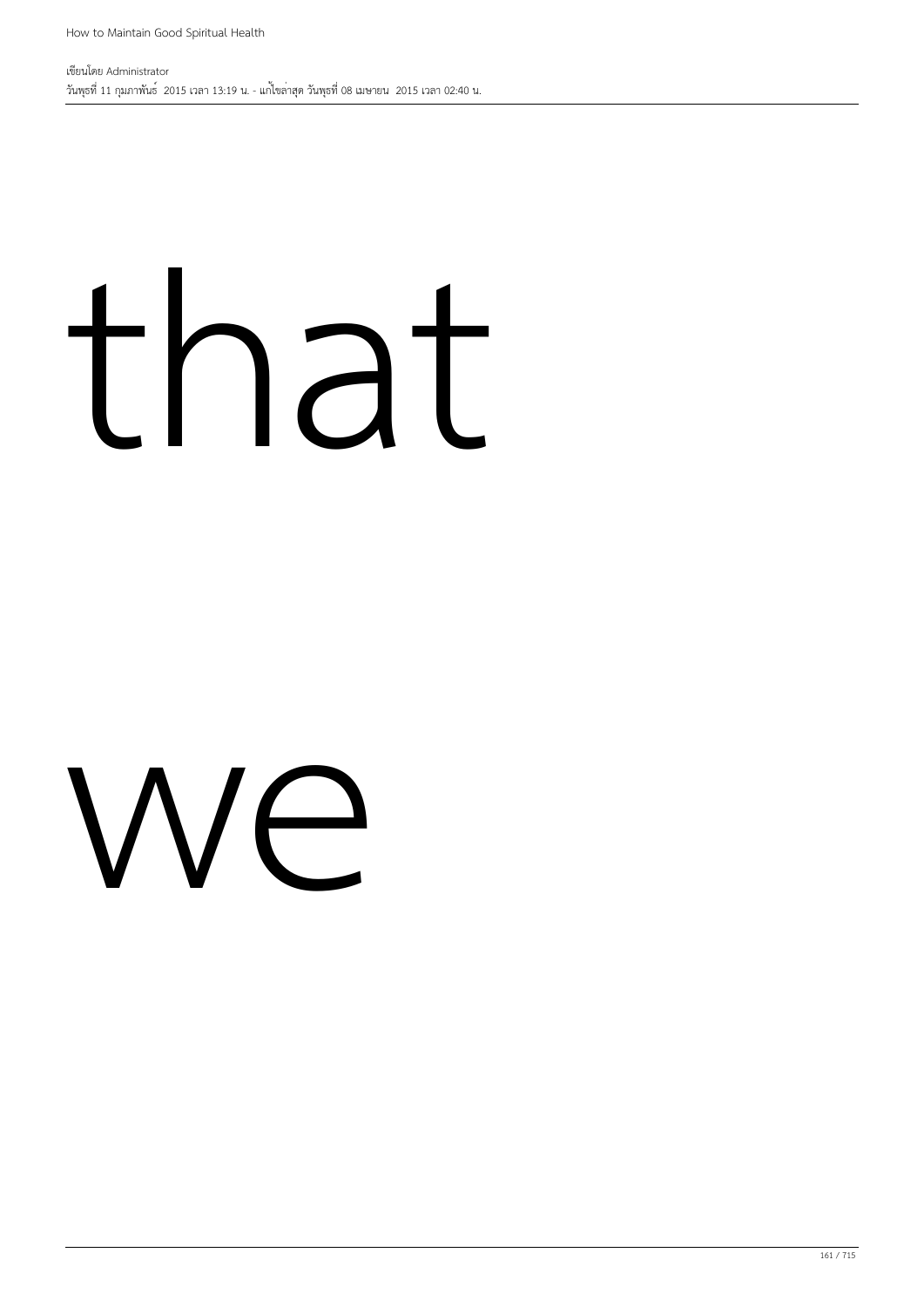## that

#### We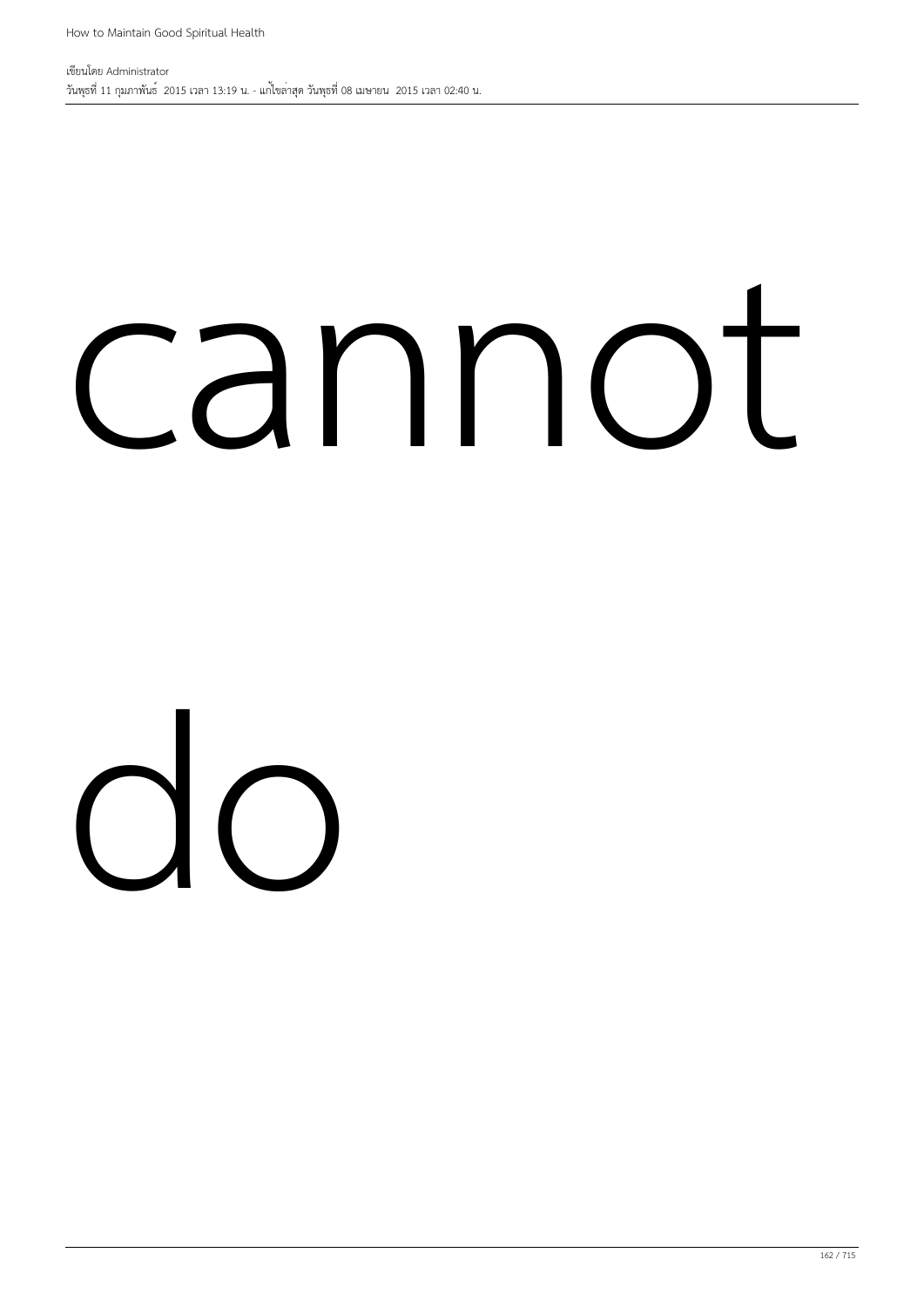### cannot

### do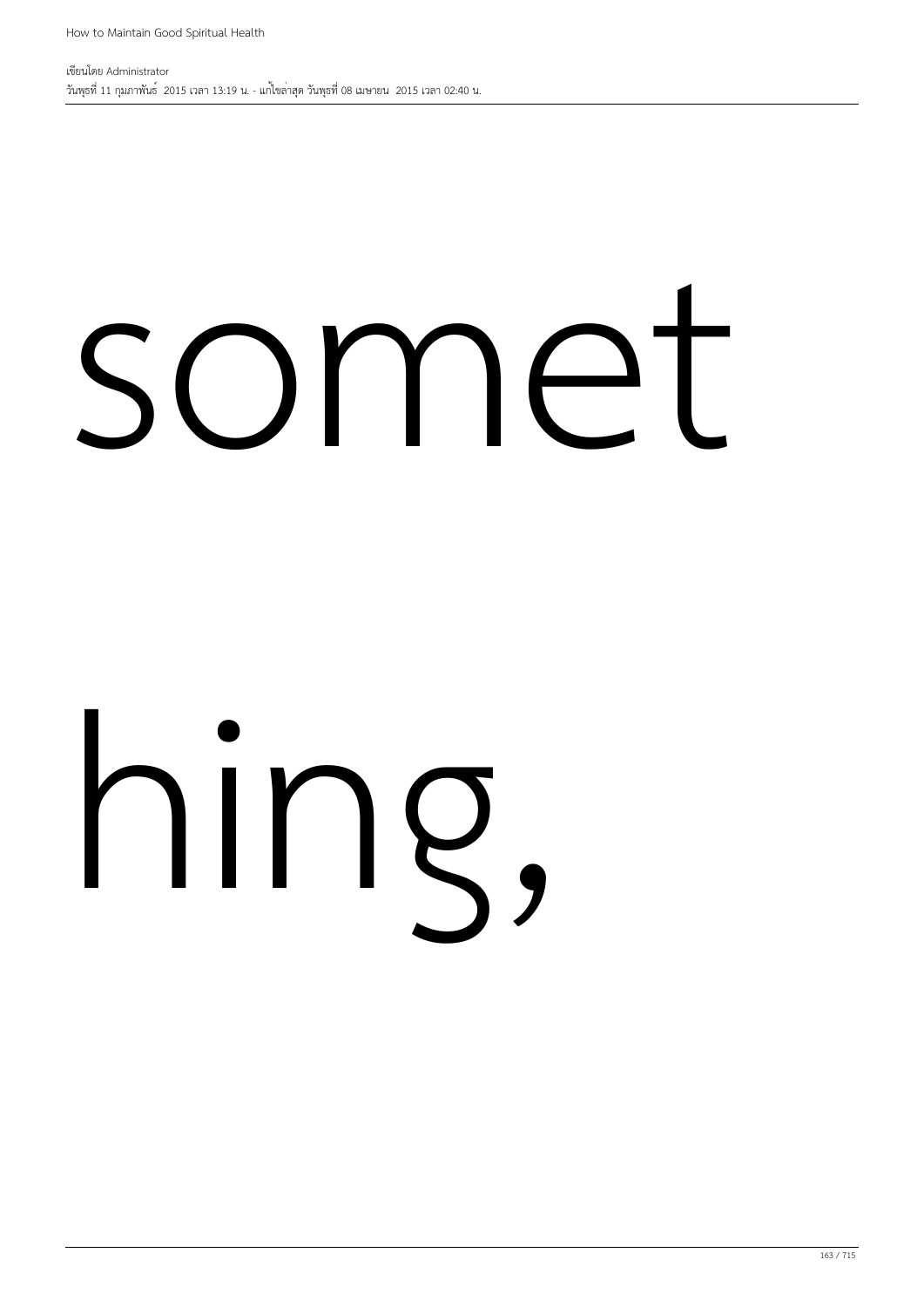### somet

# hing,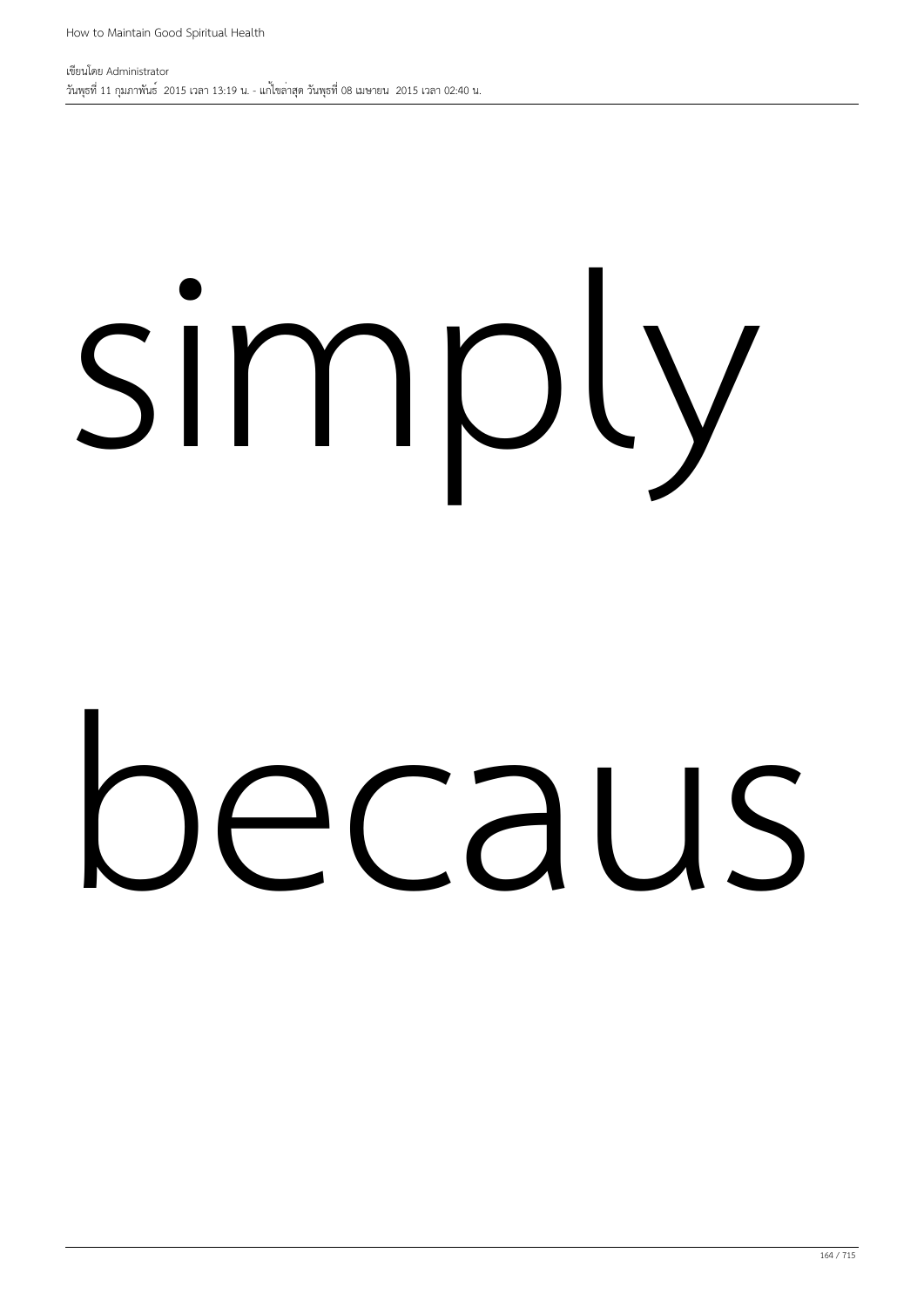# simply

### becaus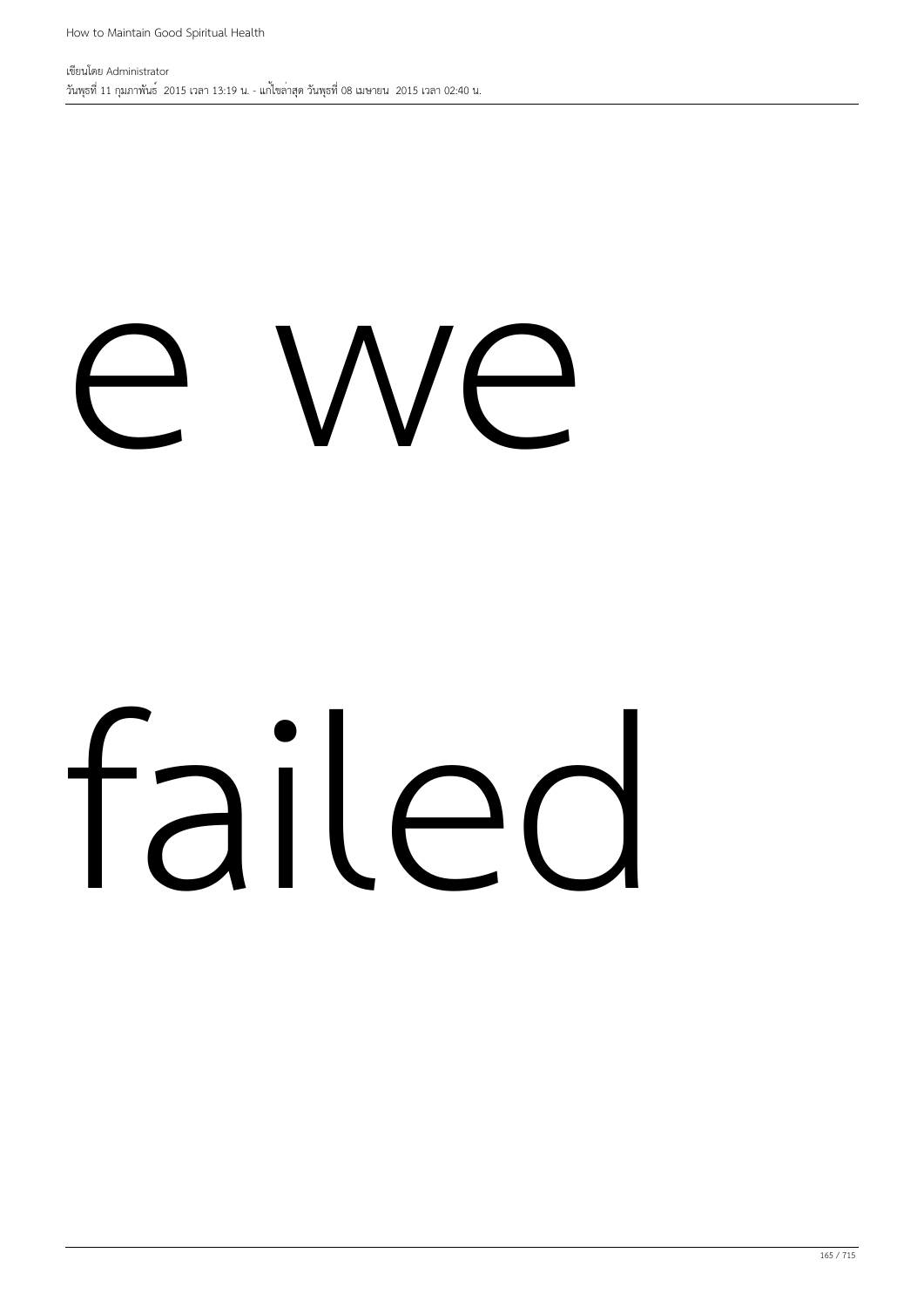#### e we

### failed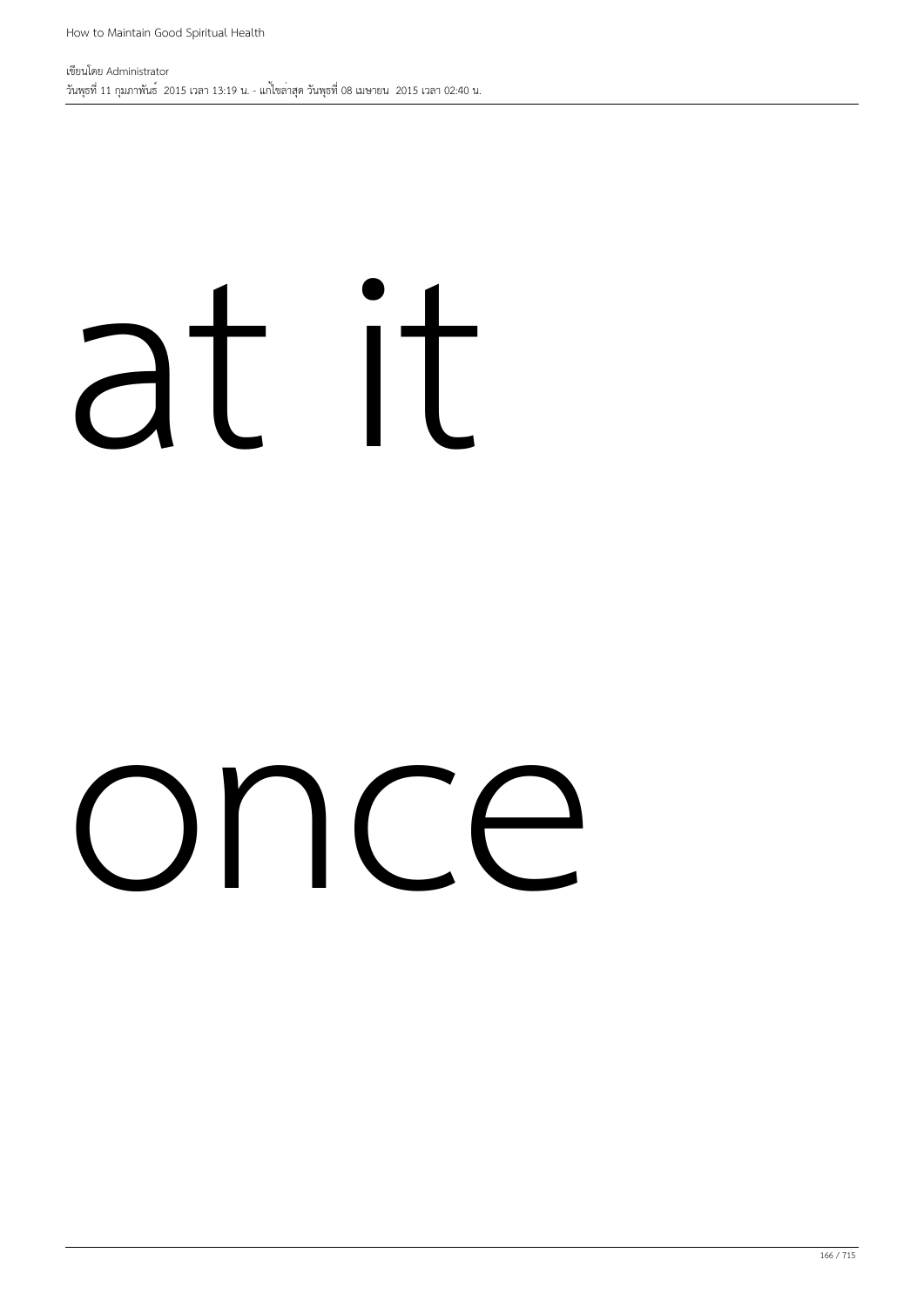## at it

#### once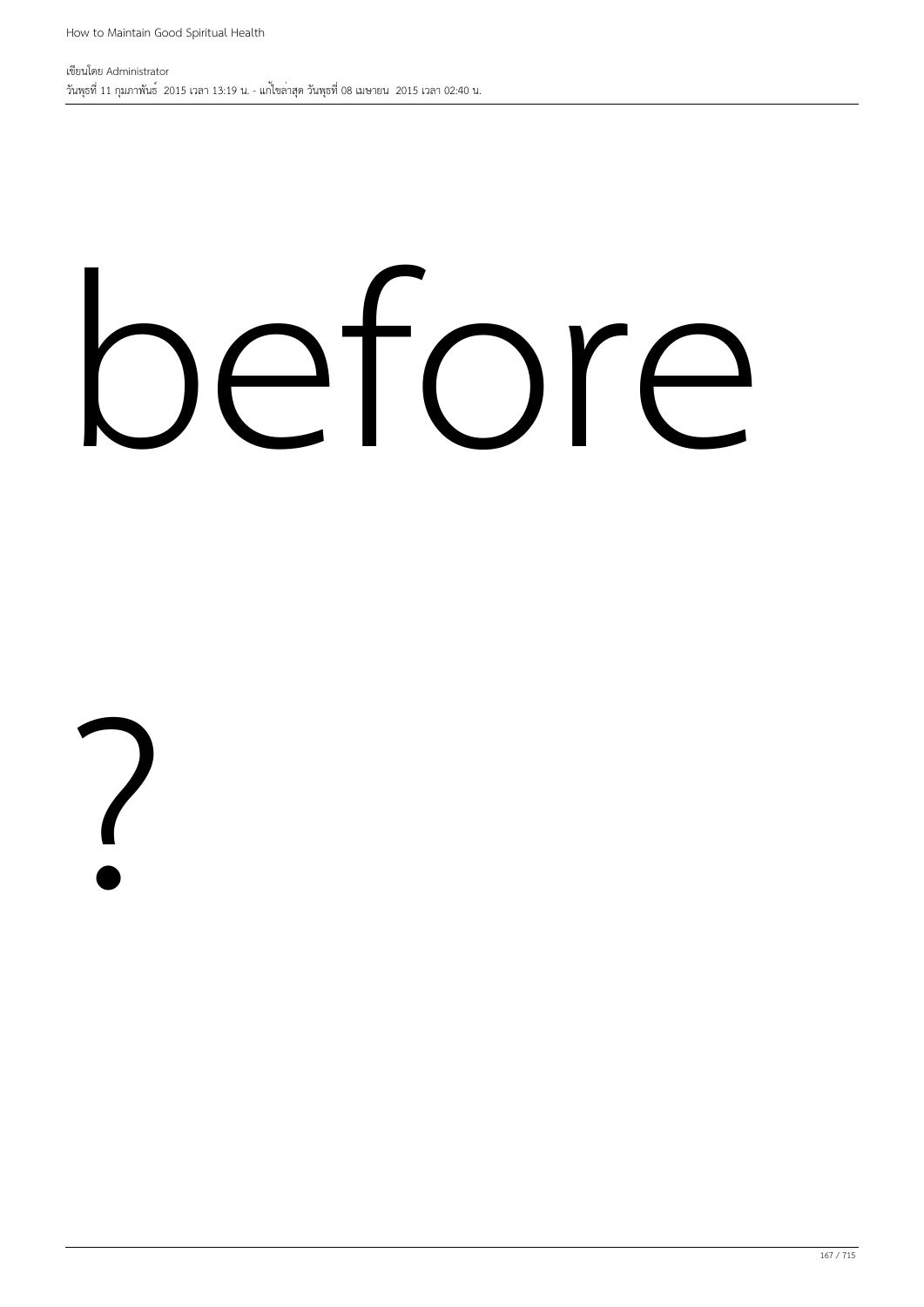## before

?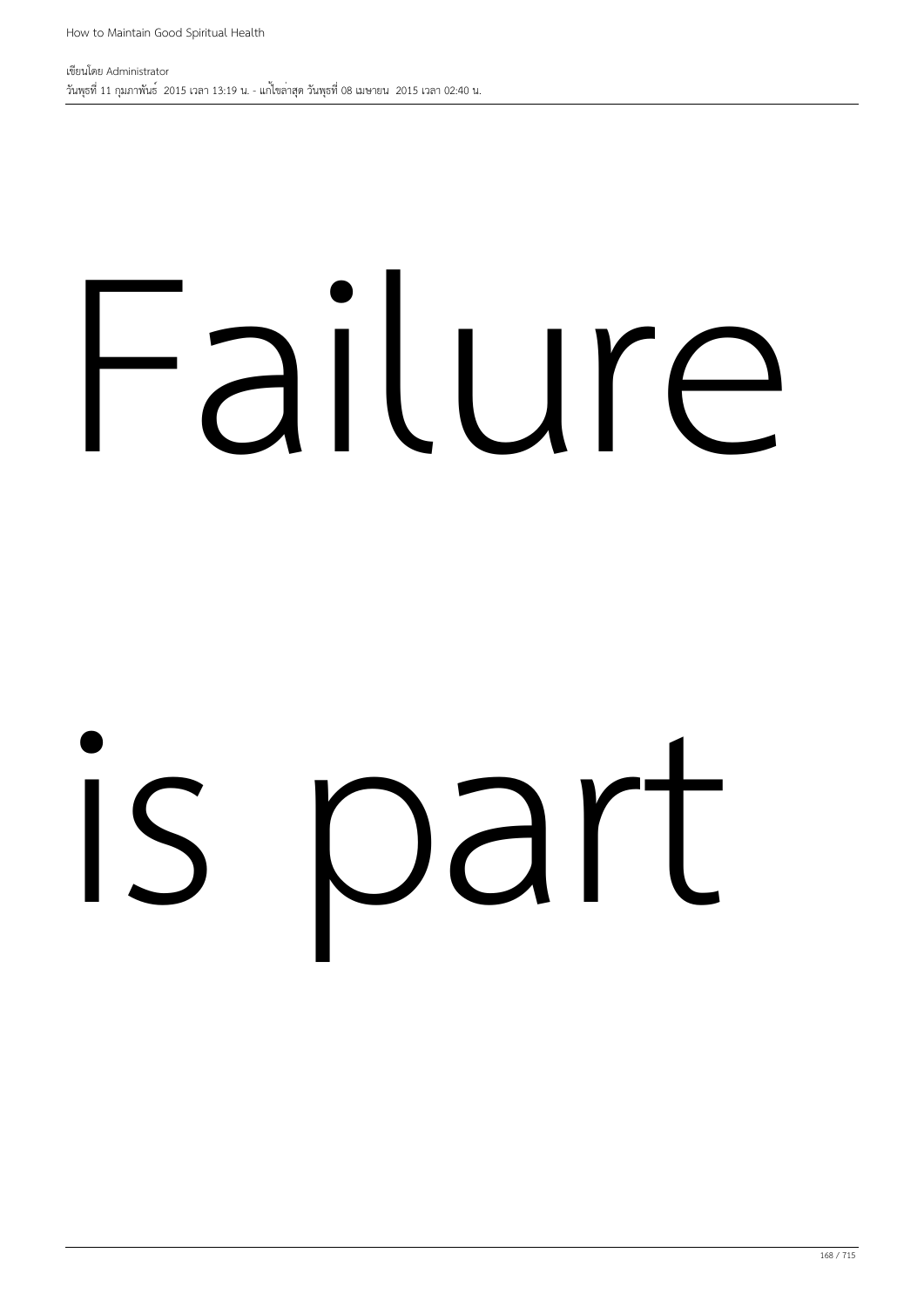# Failure

## part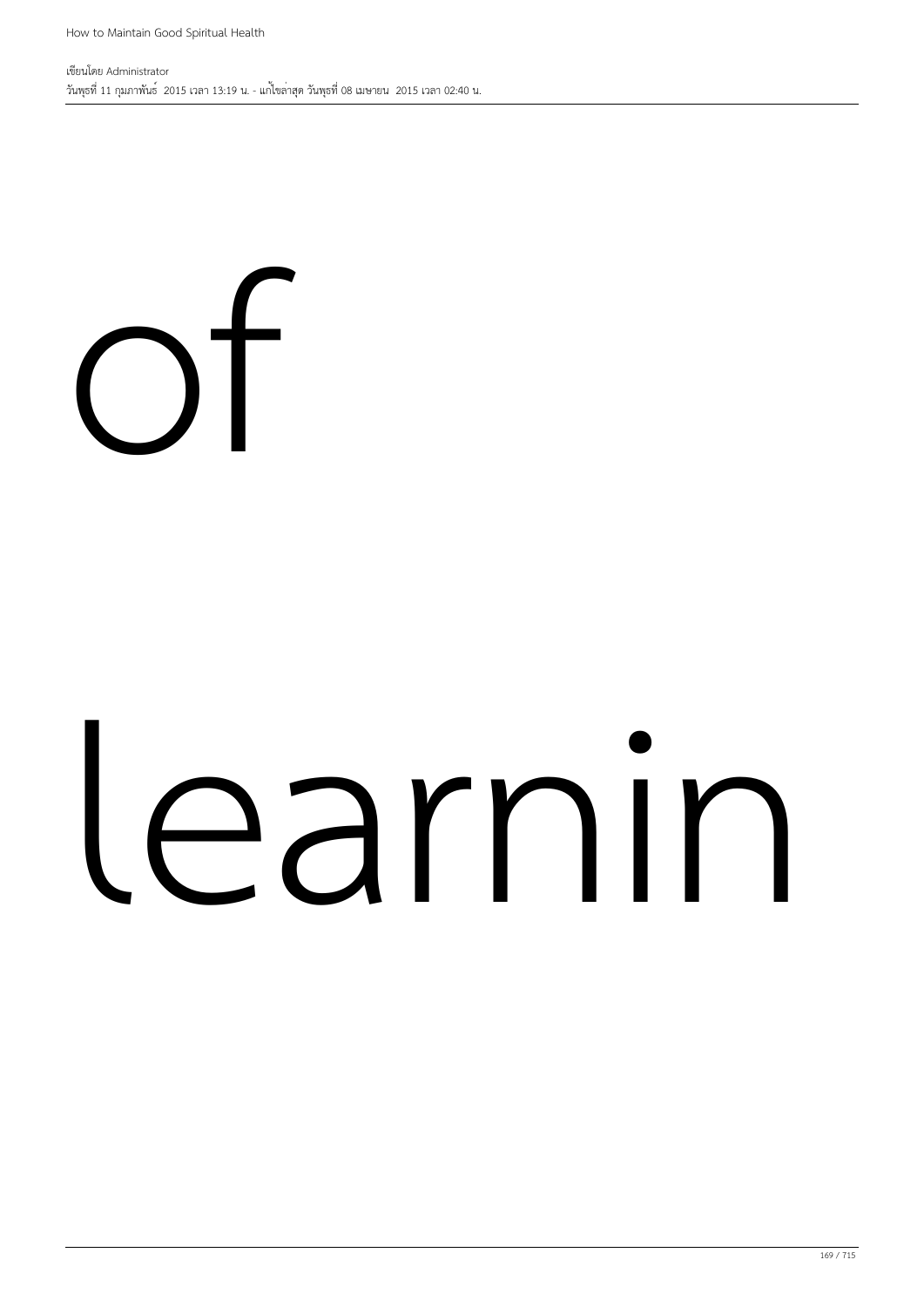### of

### learnin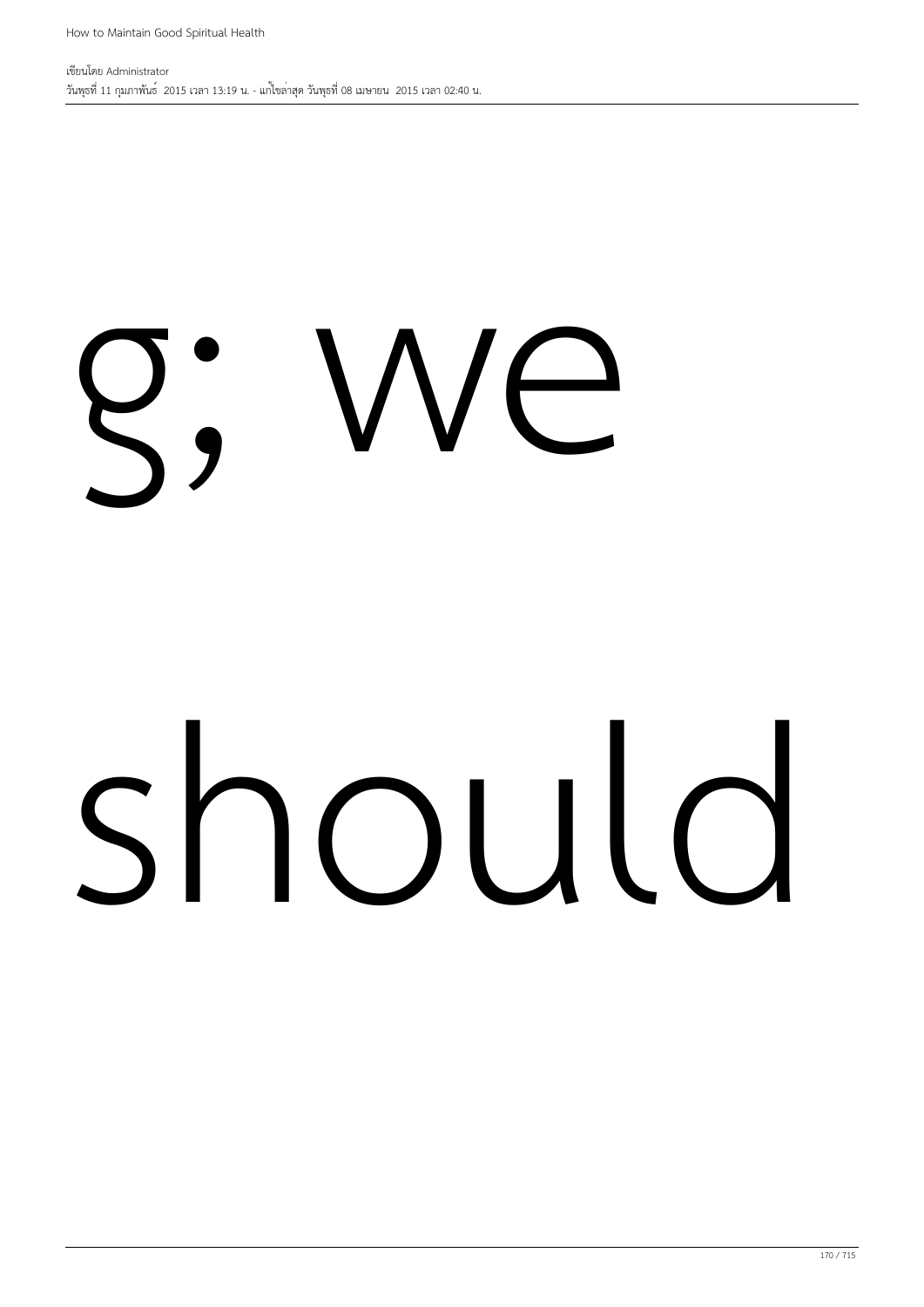### g; we

## should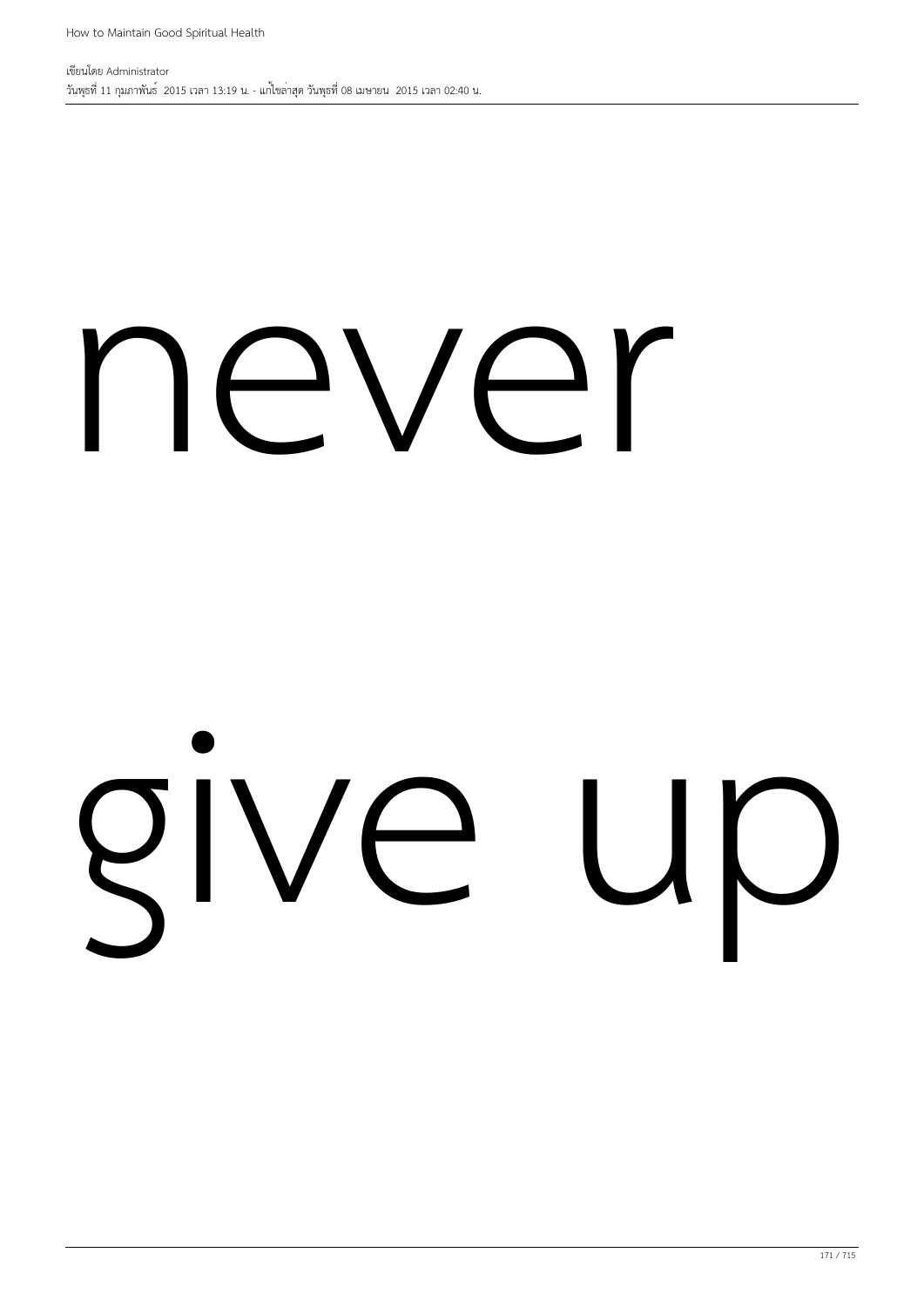#### never

## give up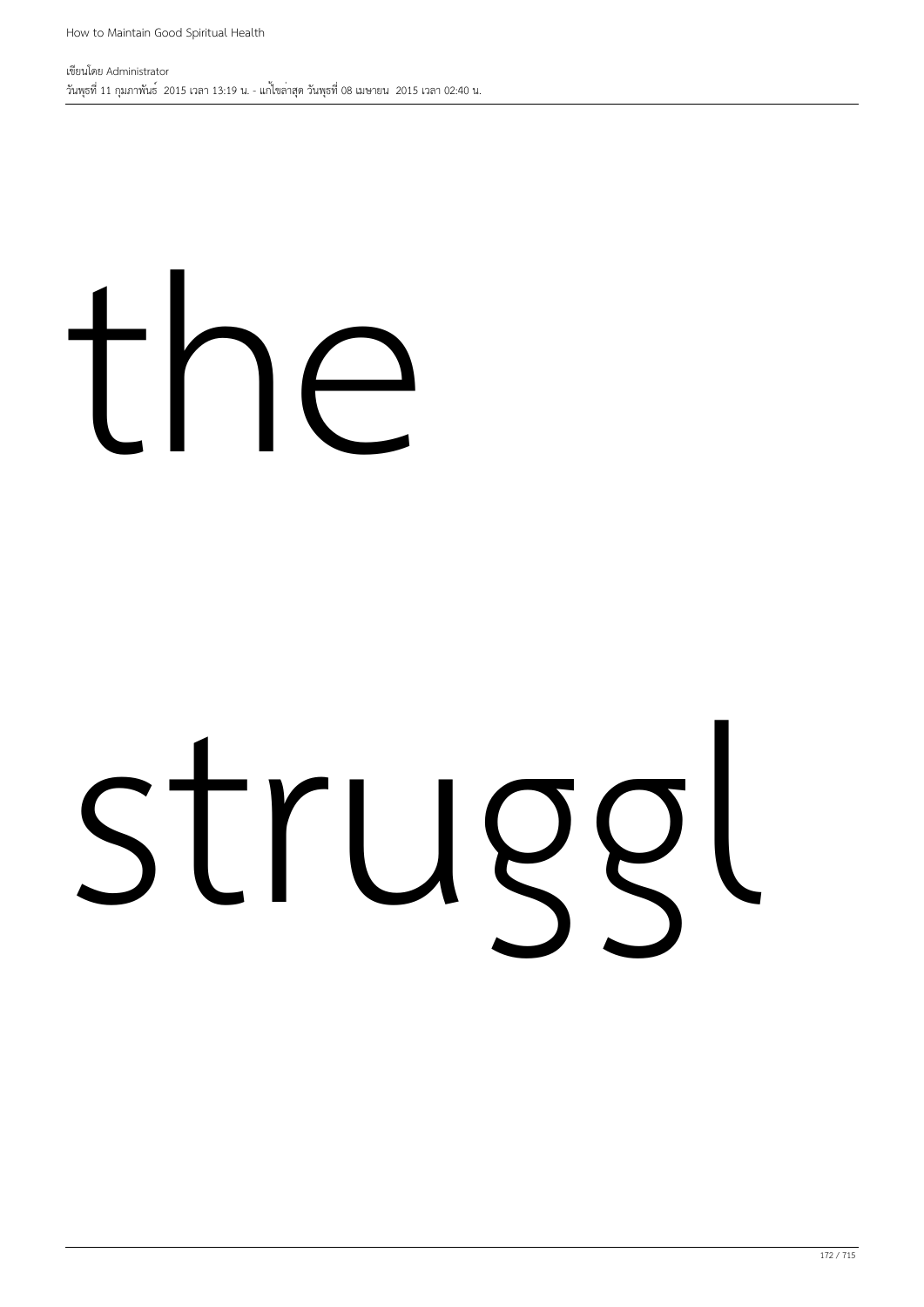## the

# struggl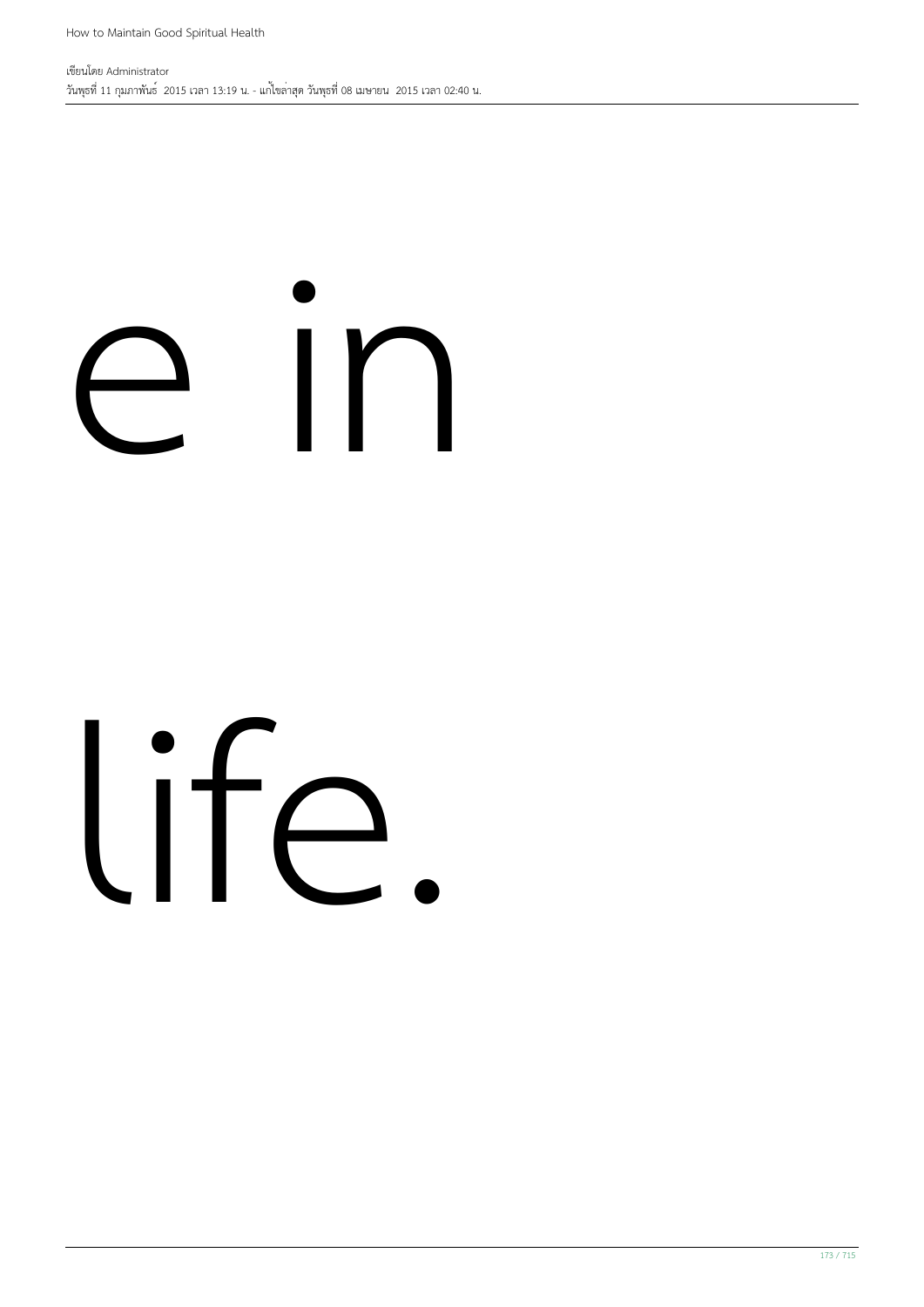#### e in

## life.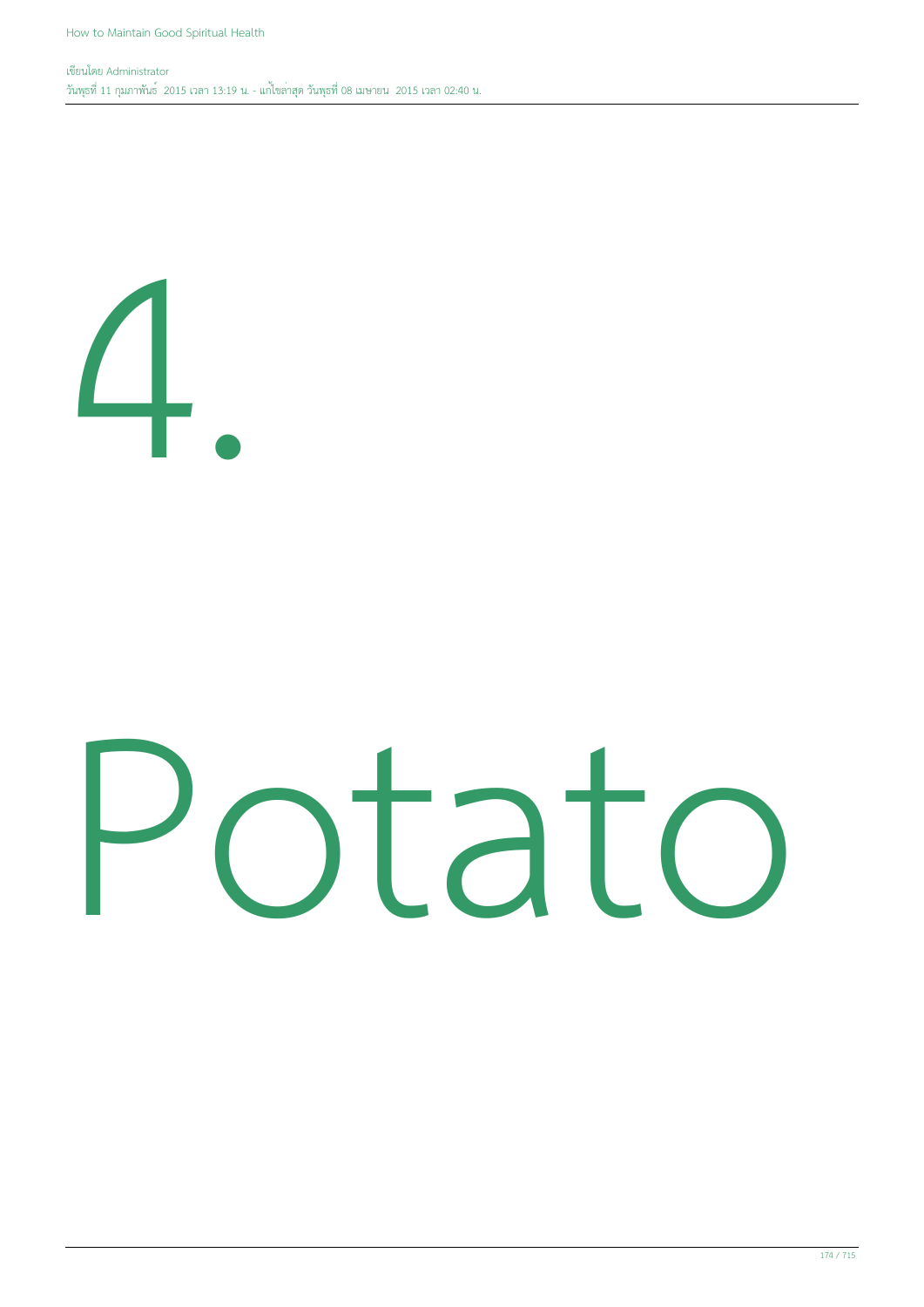

### Potato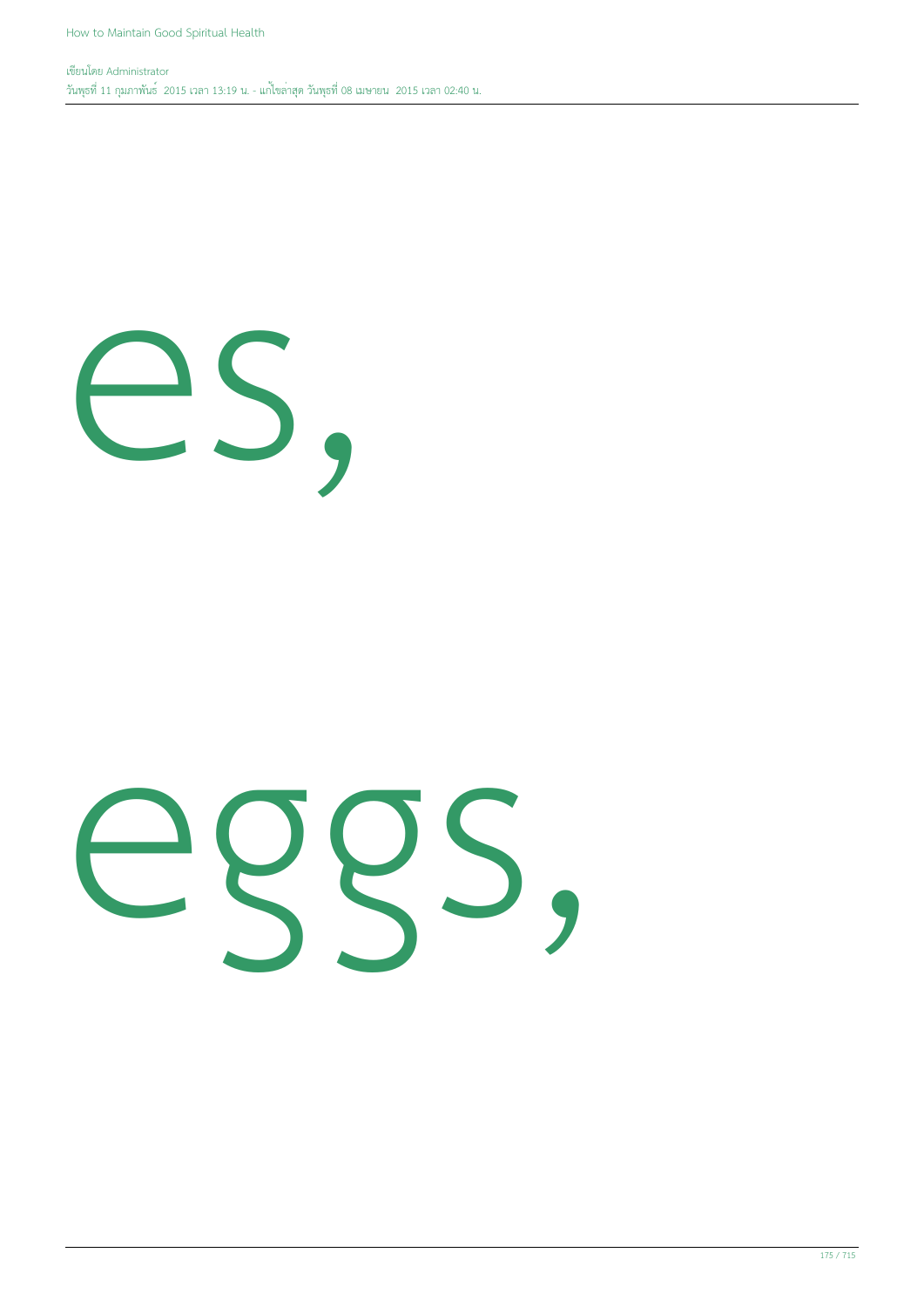

### eggs,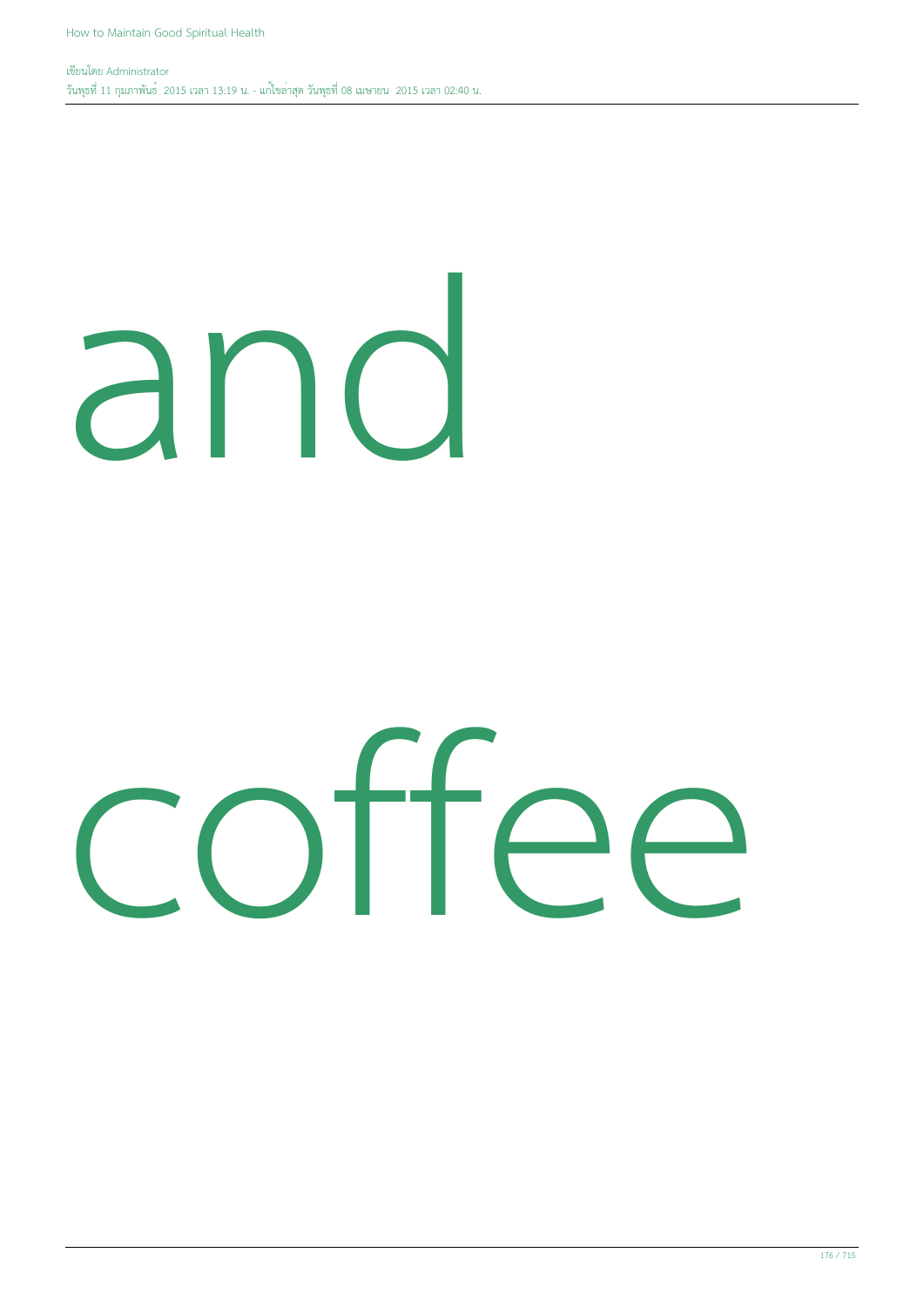### and

### coffee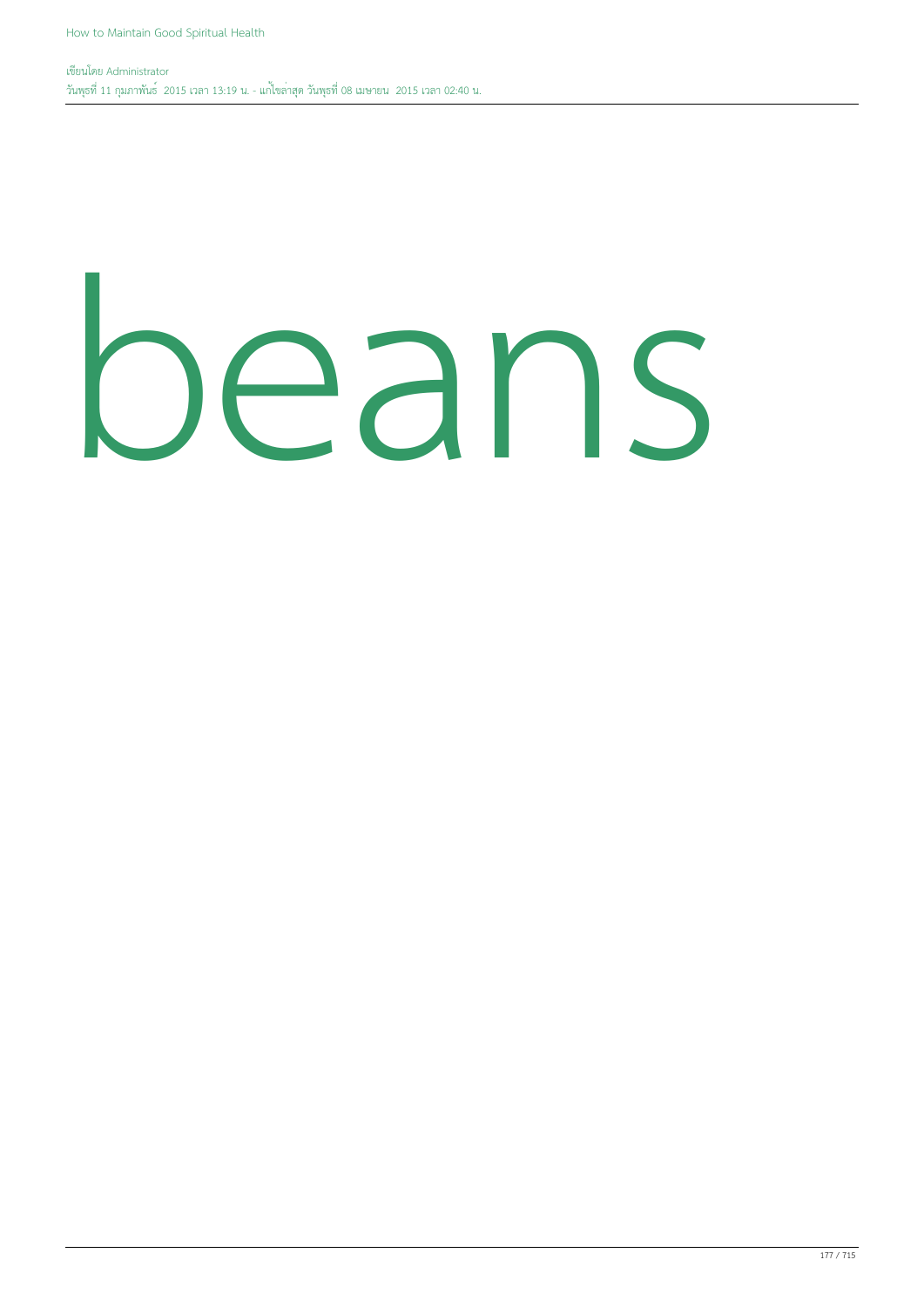### beans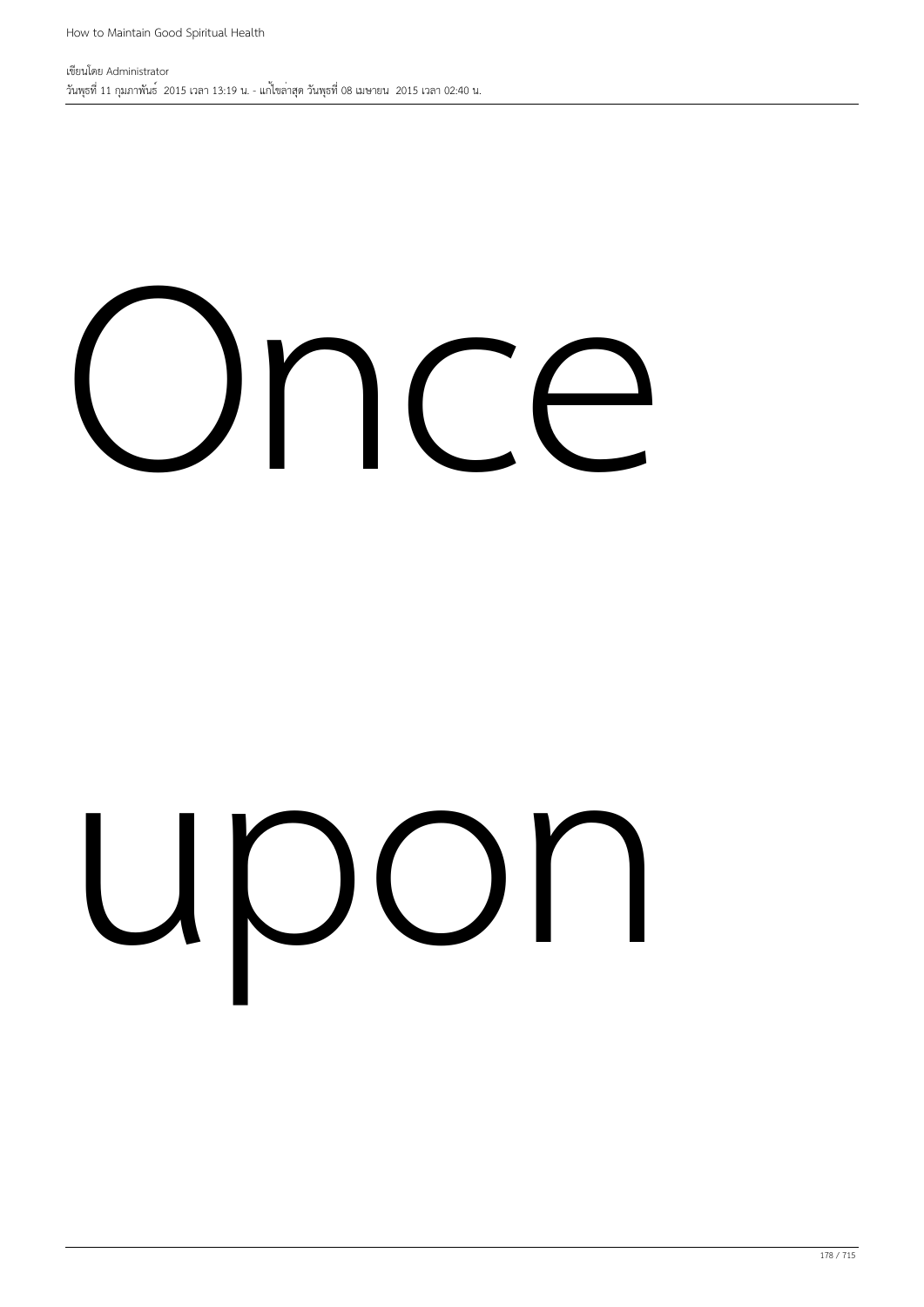## Once

## upon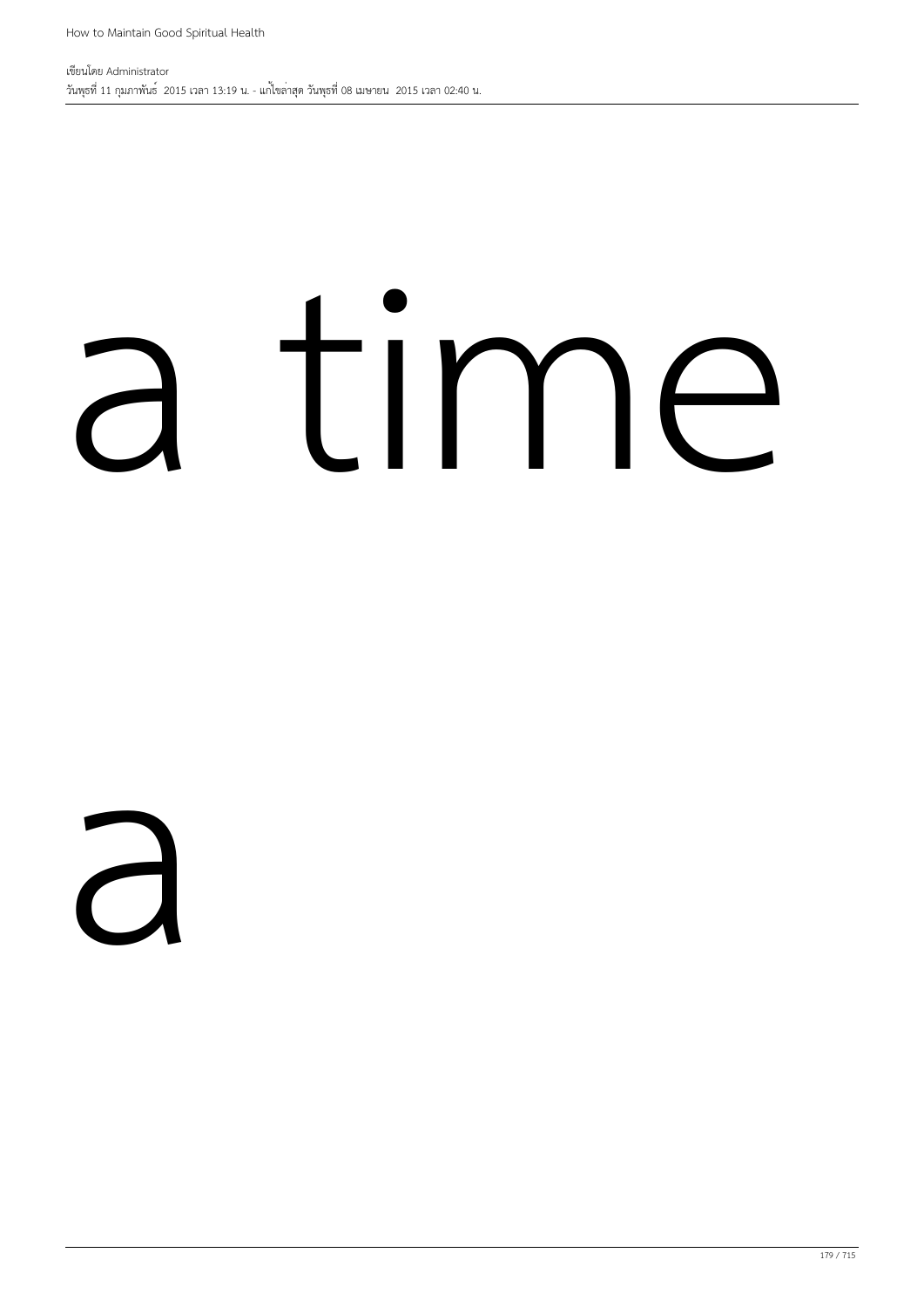## a time

#### a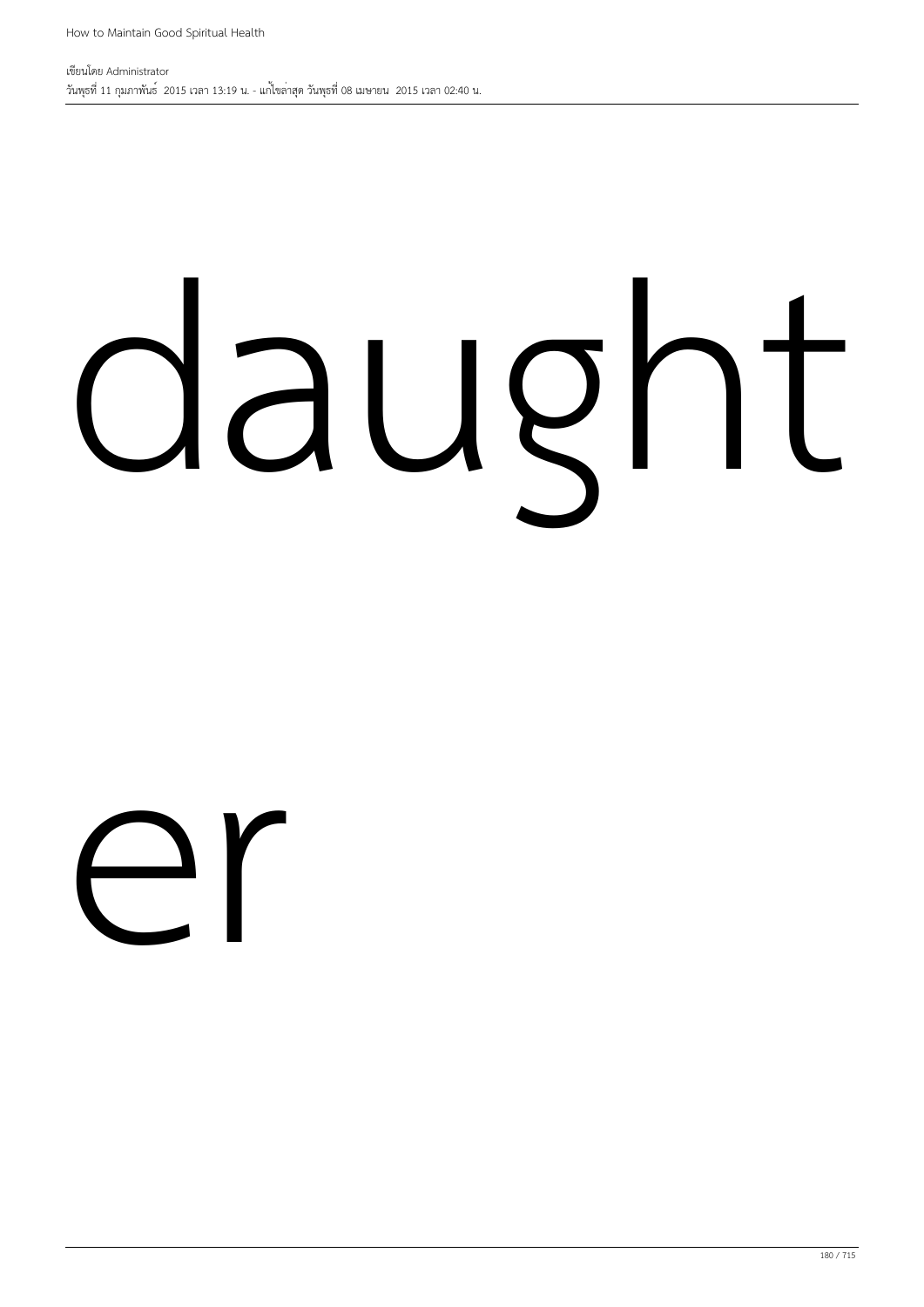# daught

#### $\bigcap$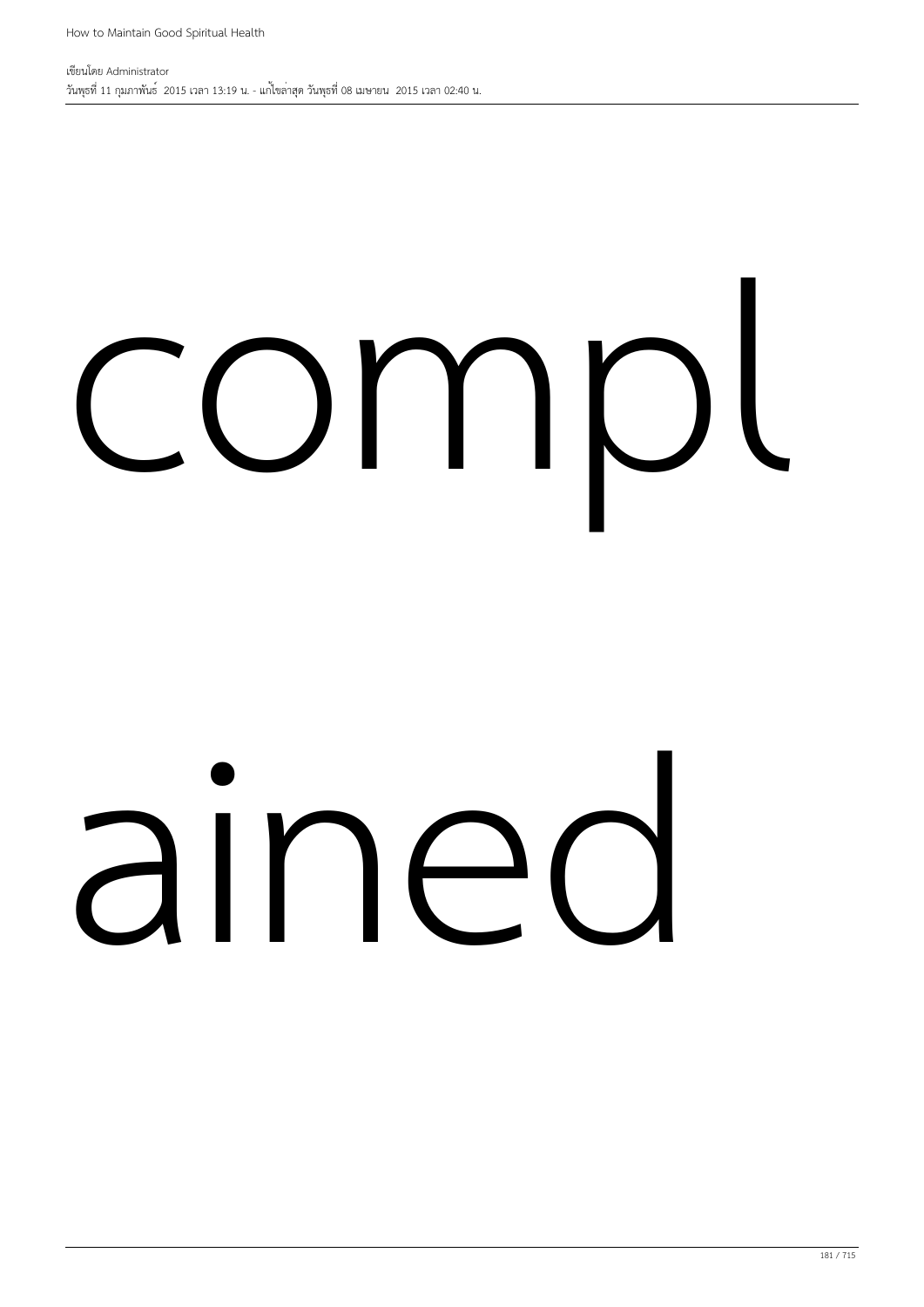## compl

## ained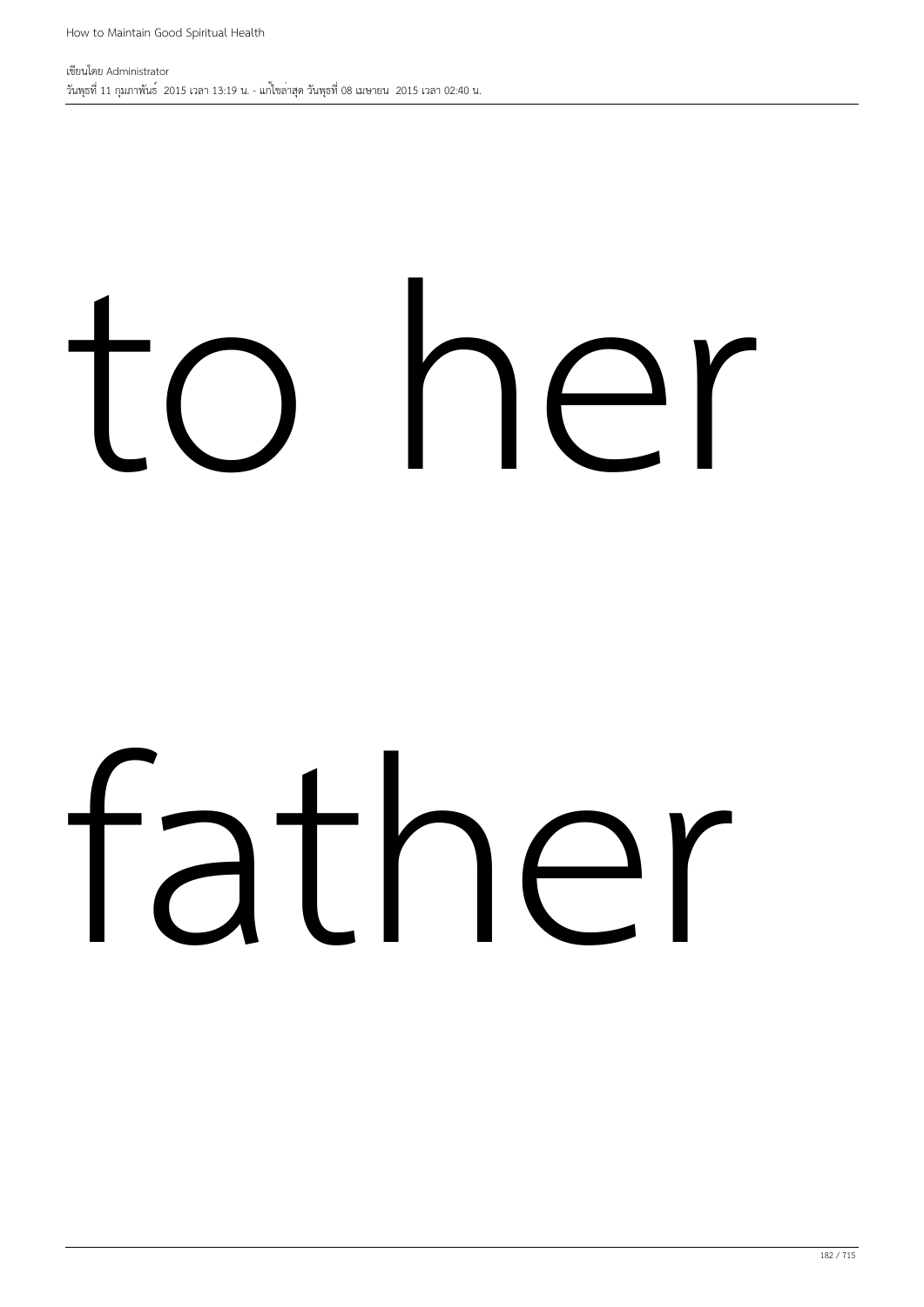## to her

## father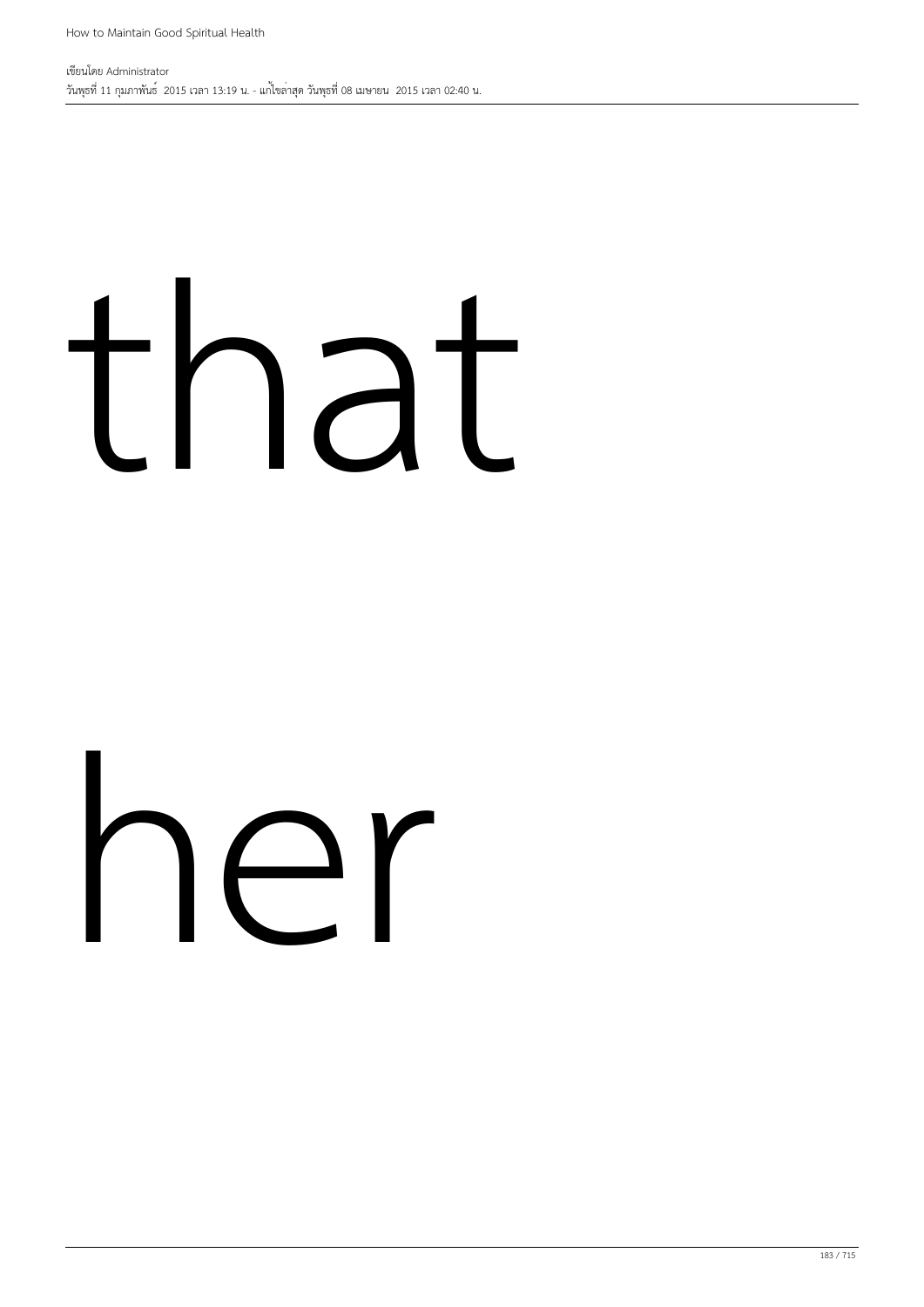## that

## her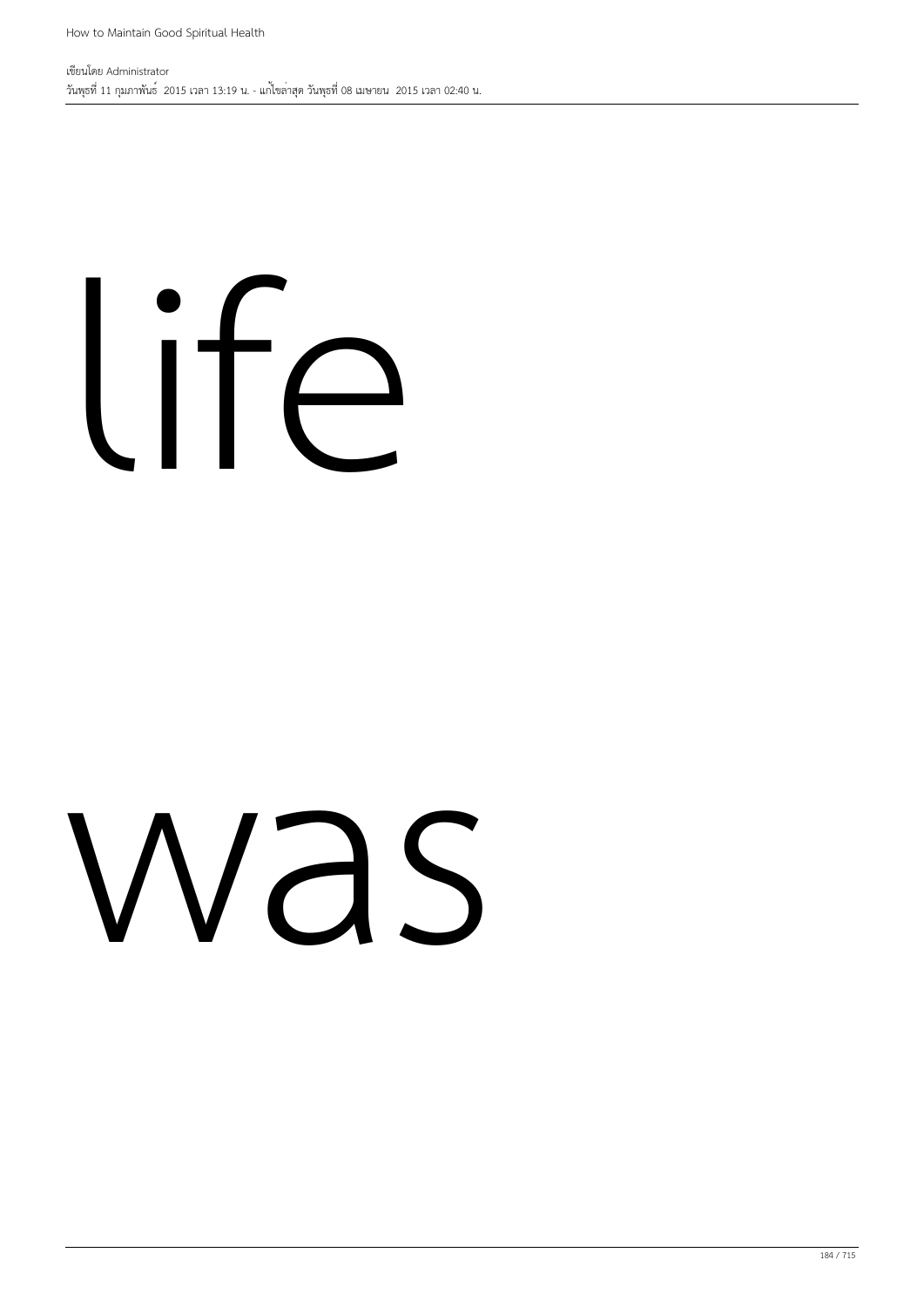## life

#### was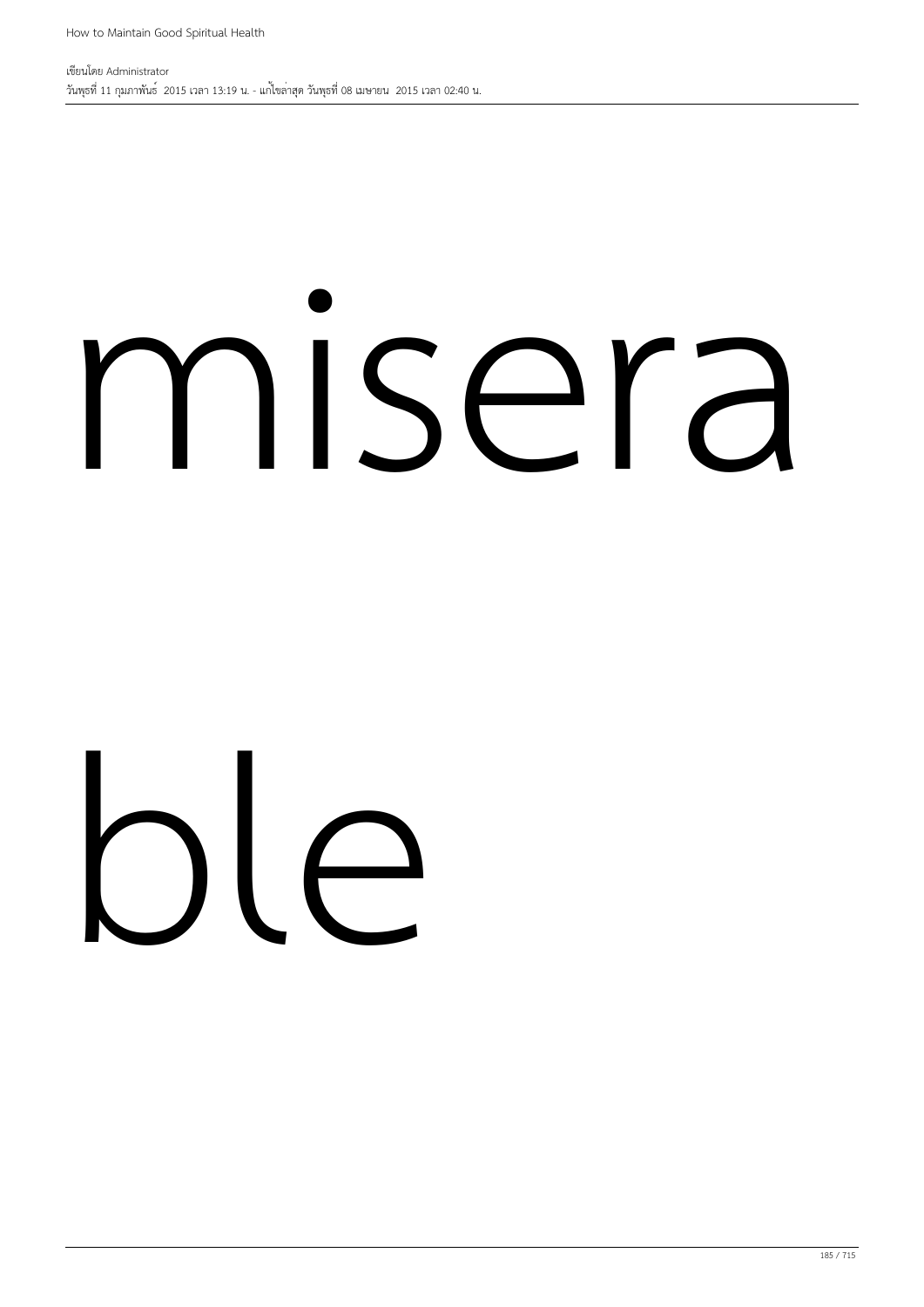## misera

## ble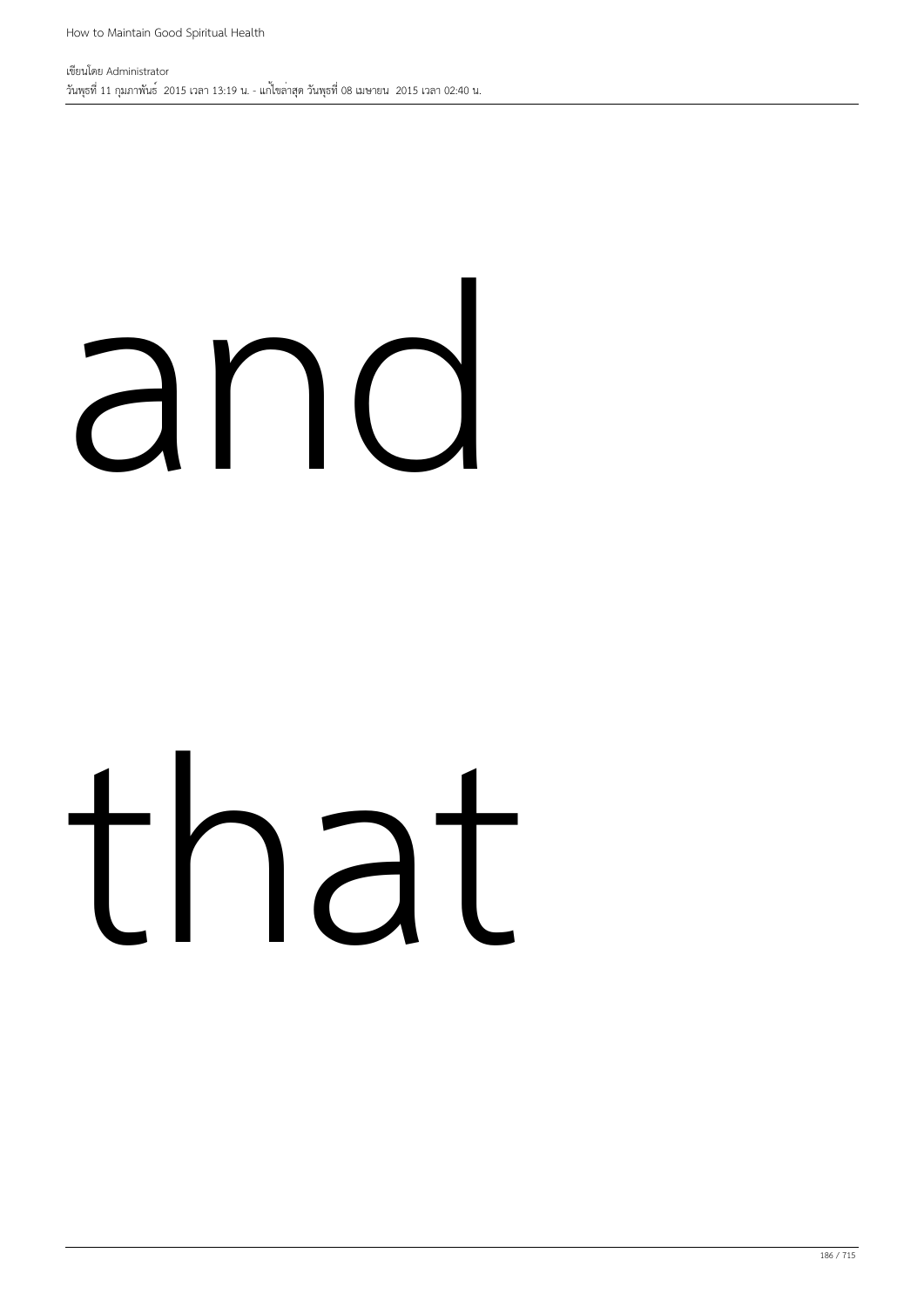### and

## that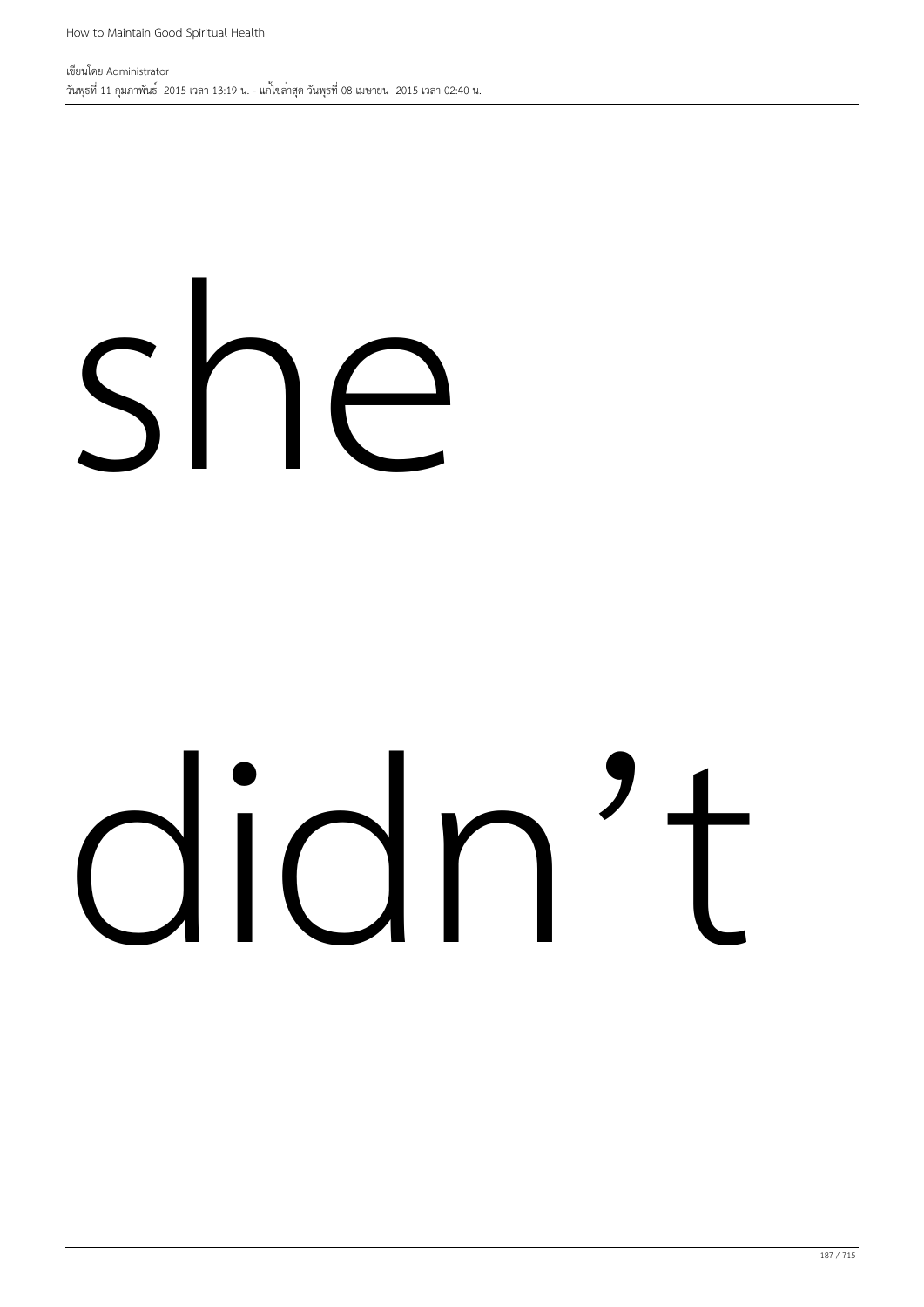## she

## didn't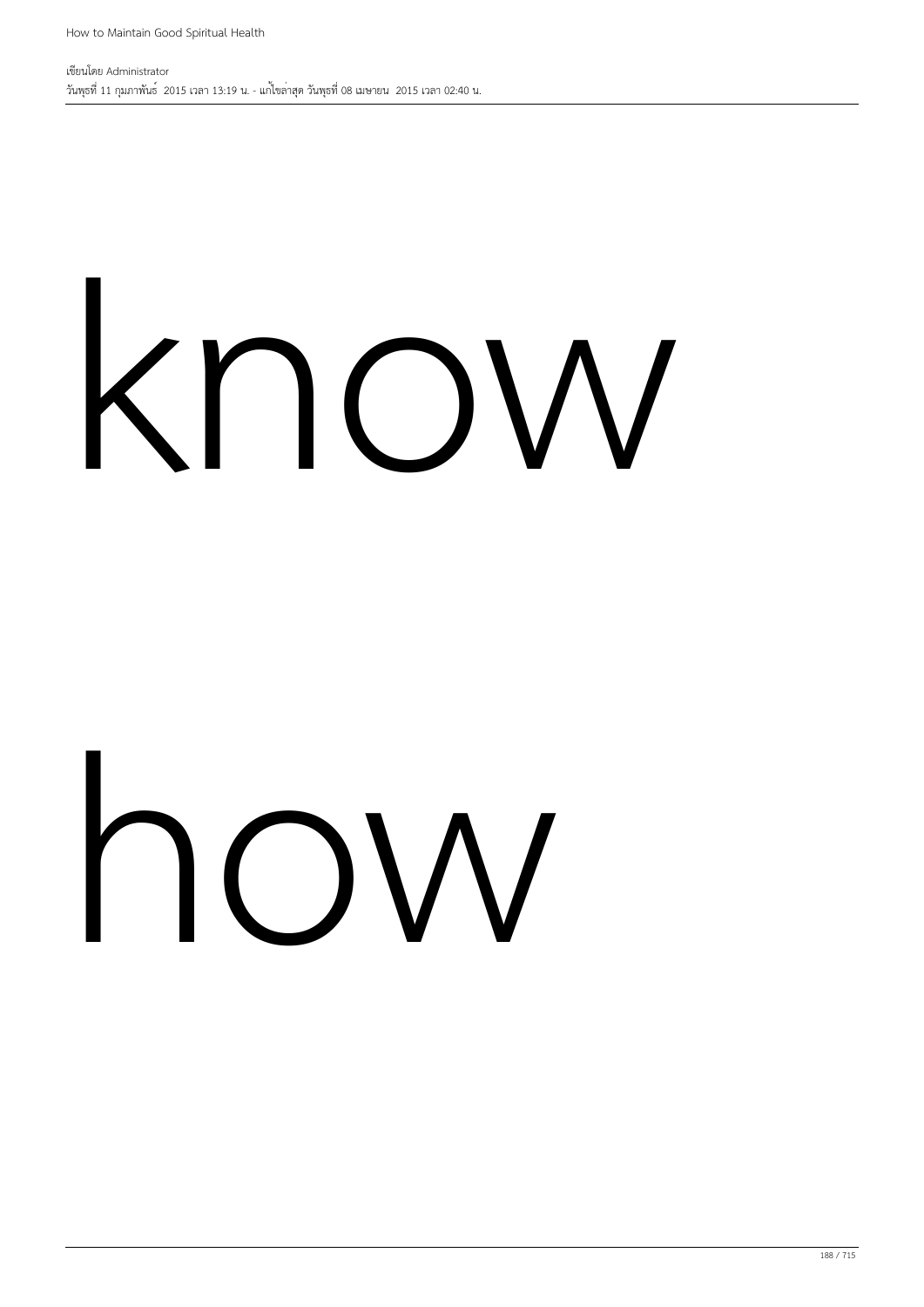#### know

## how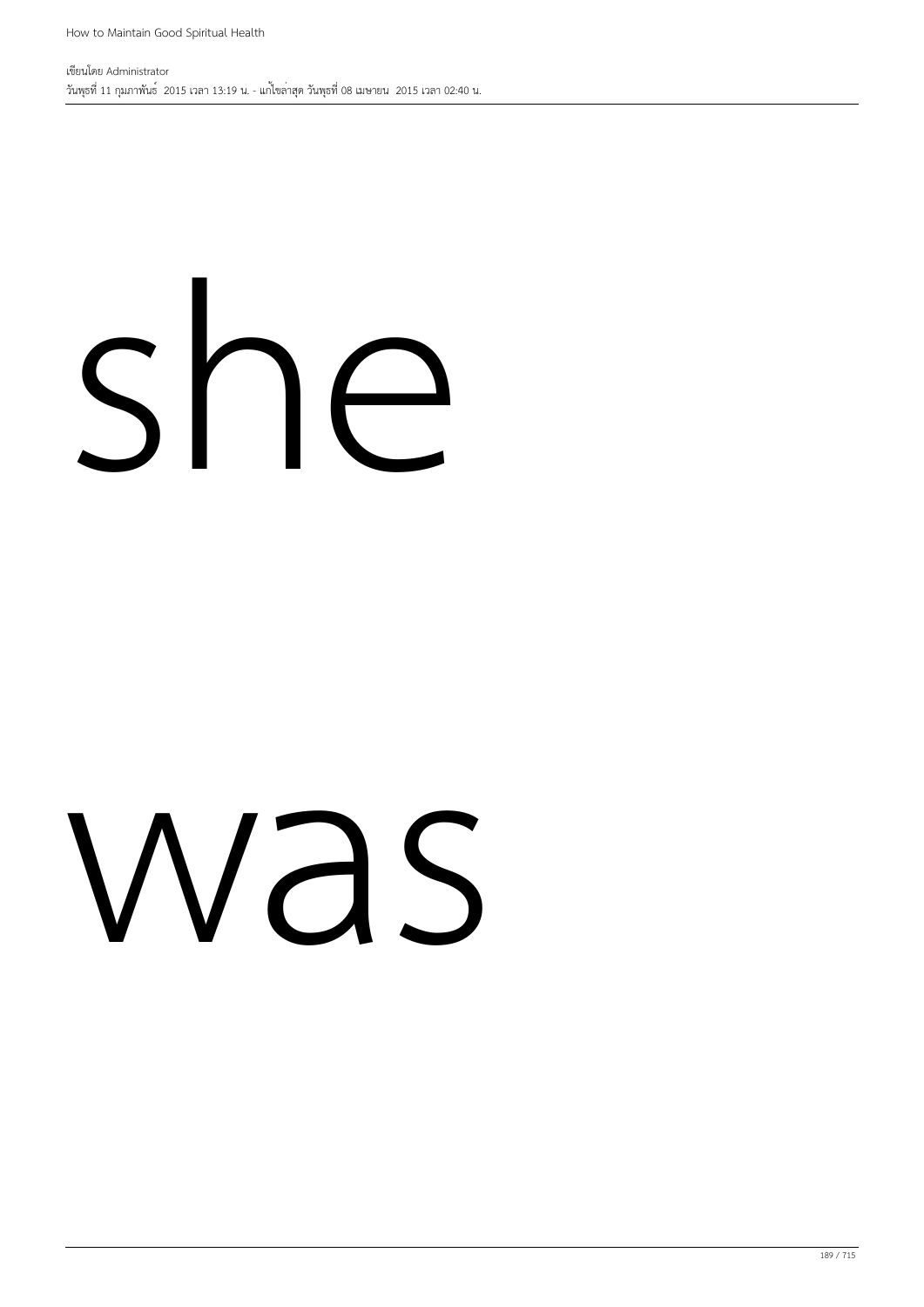## she

#### was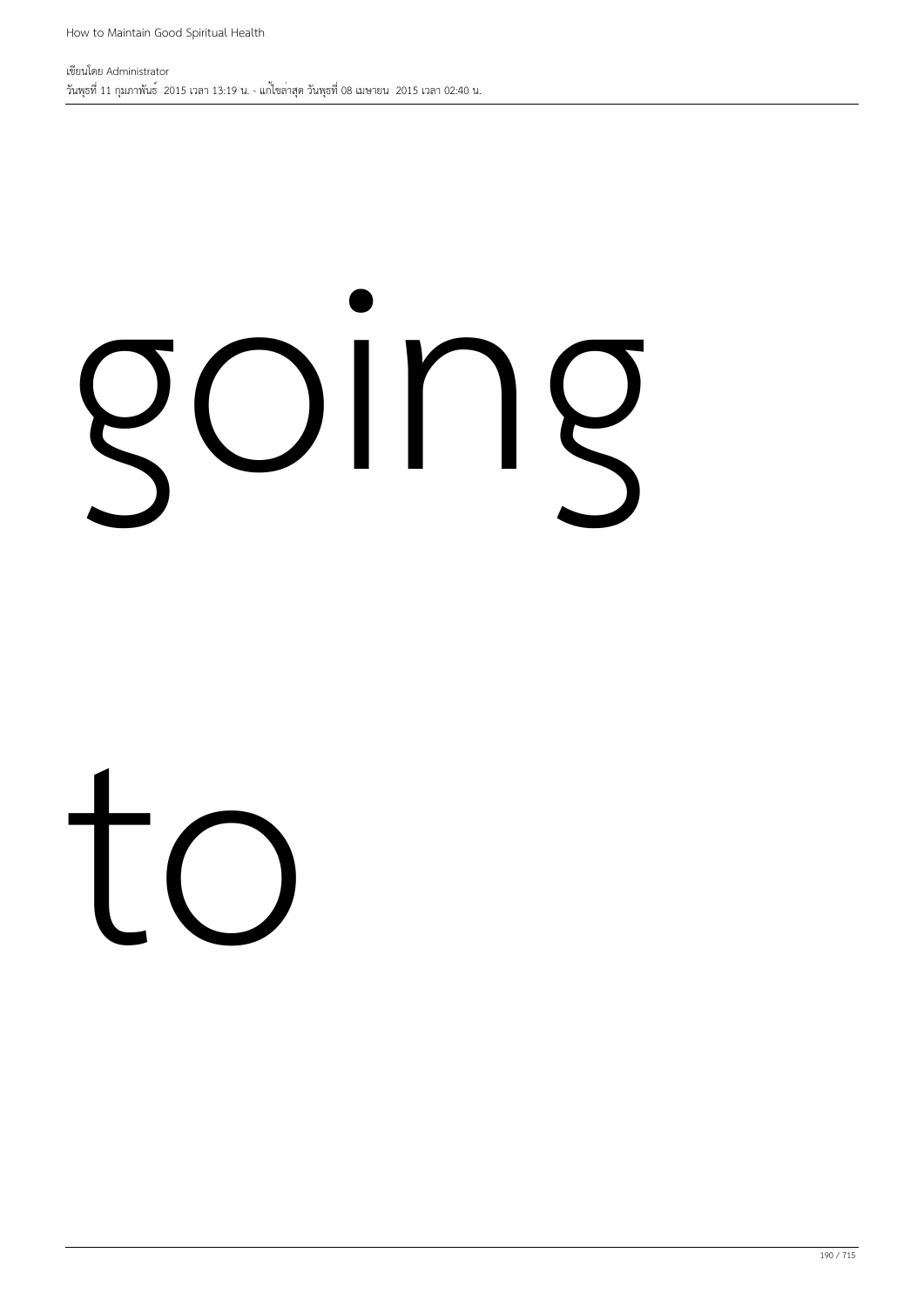## going

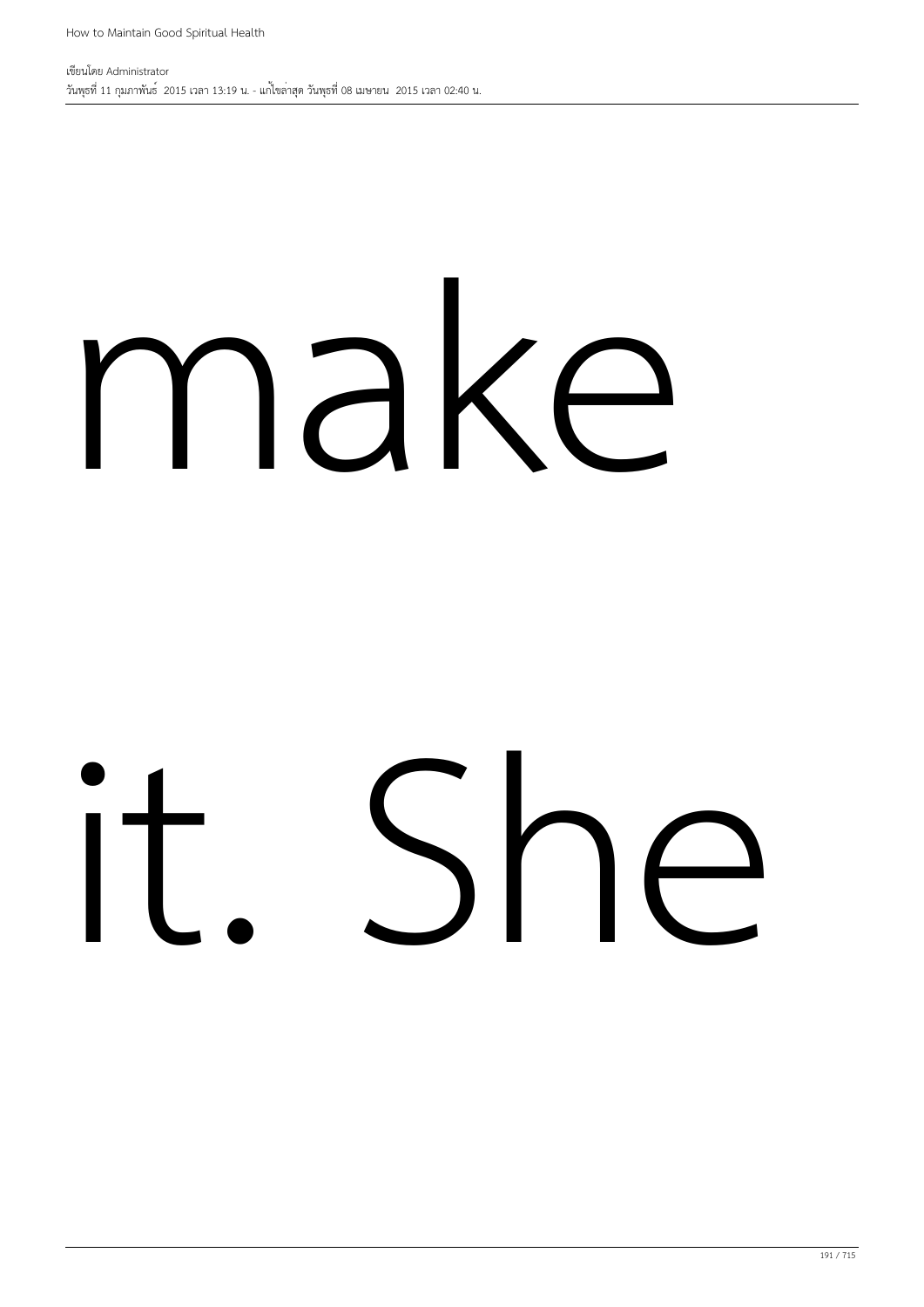## make

### it. She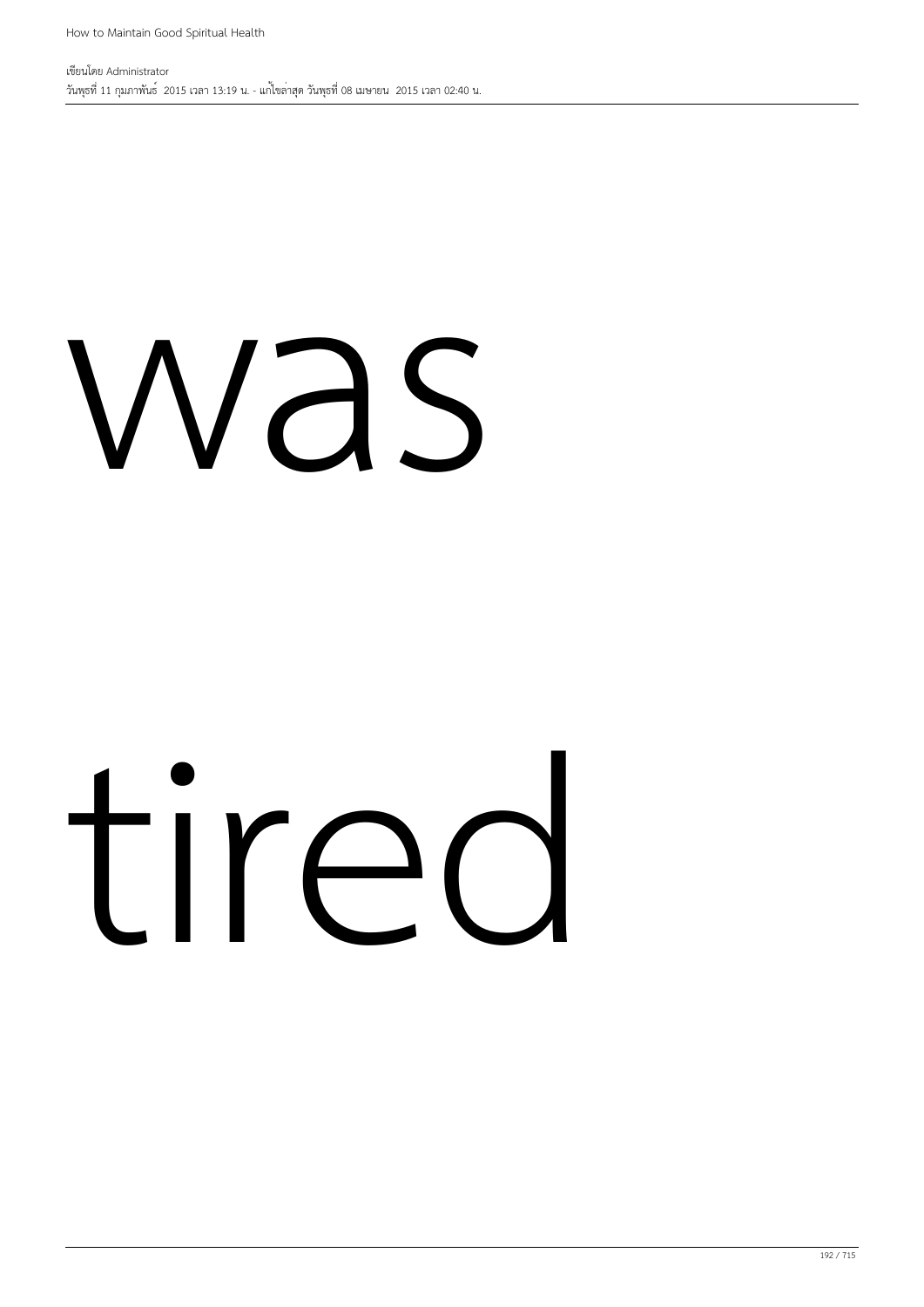#### was

## tired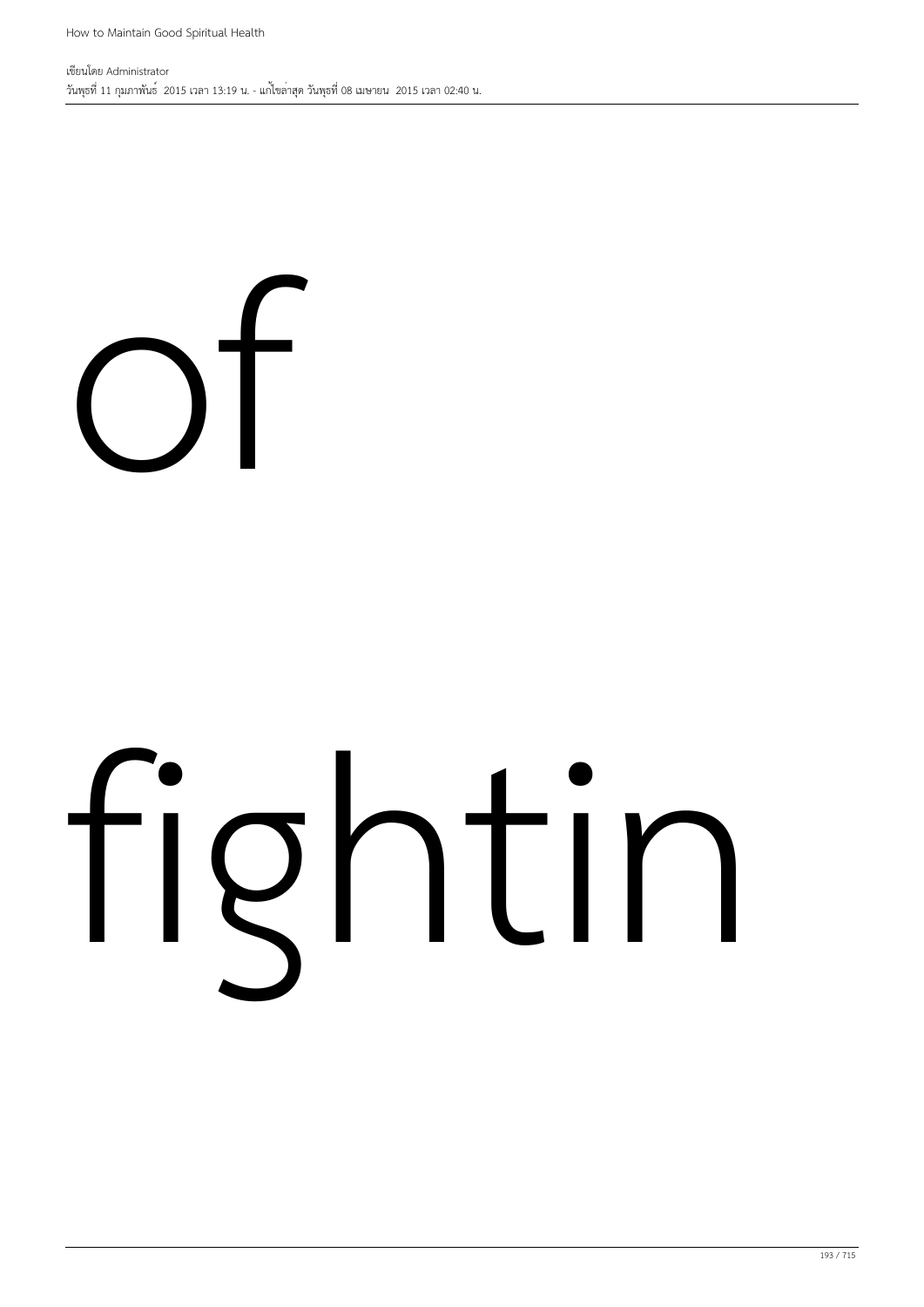### of

## fightin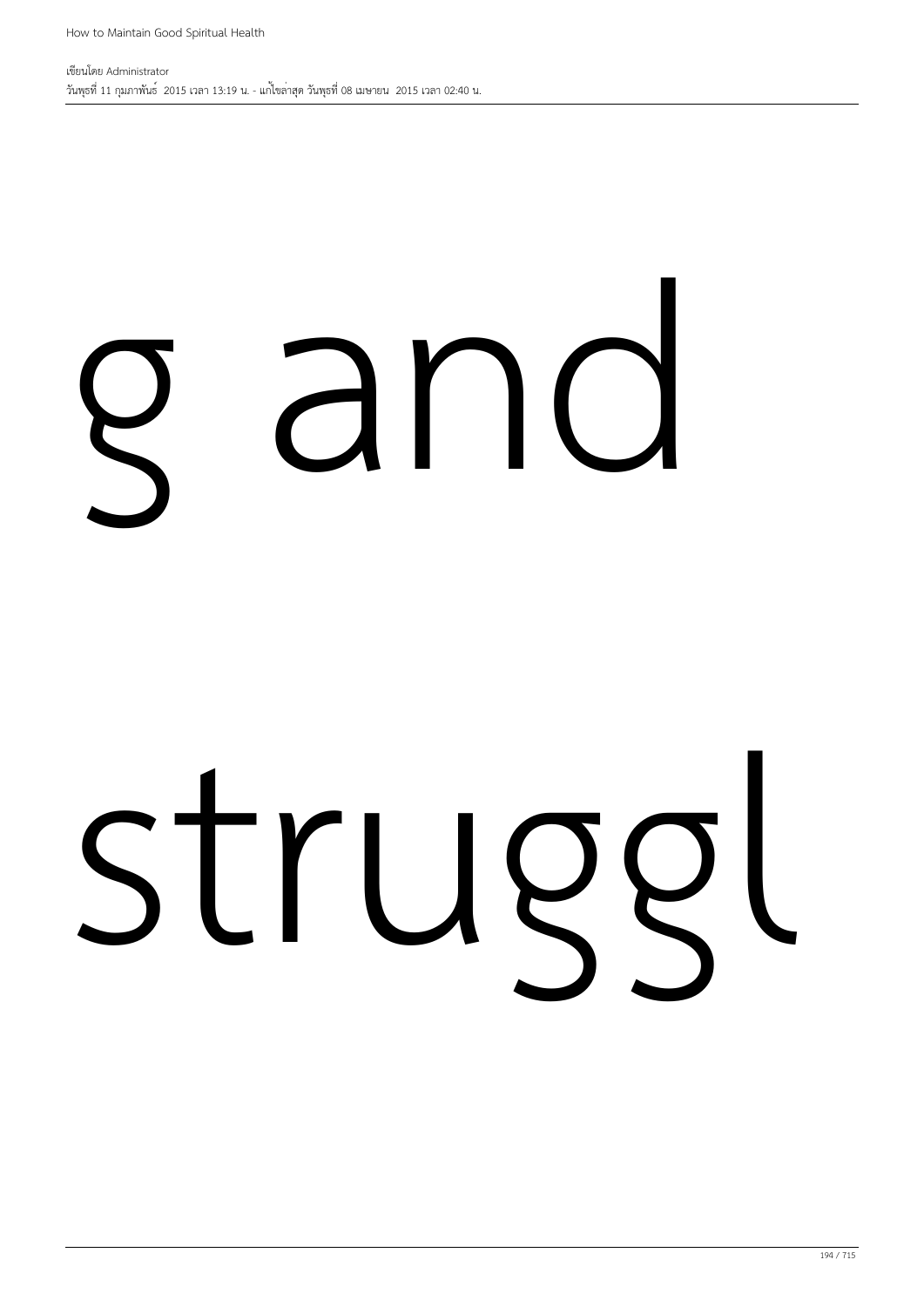## and

## struggl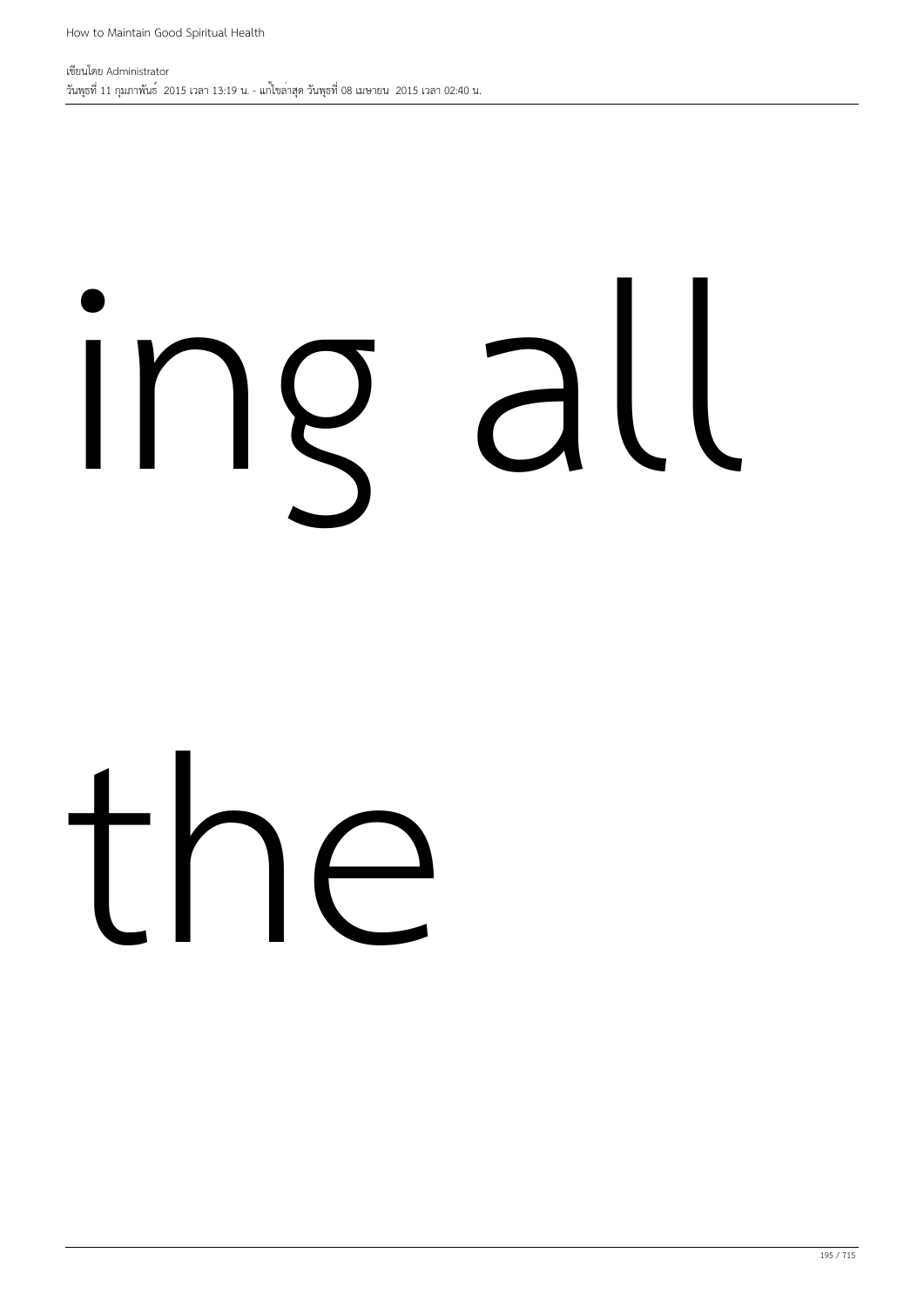## ing all

## the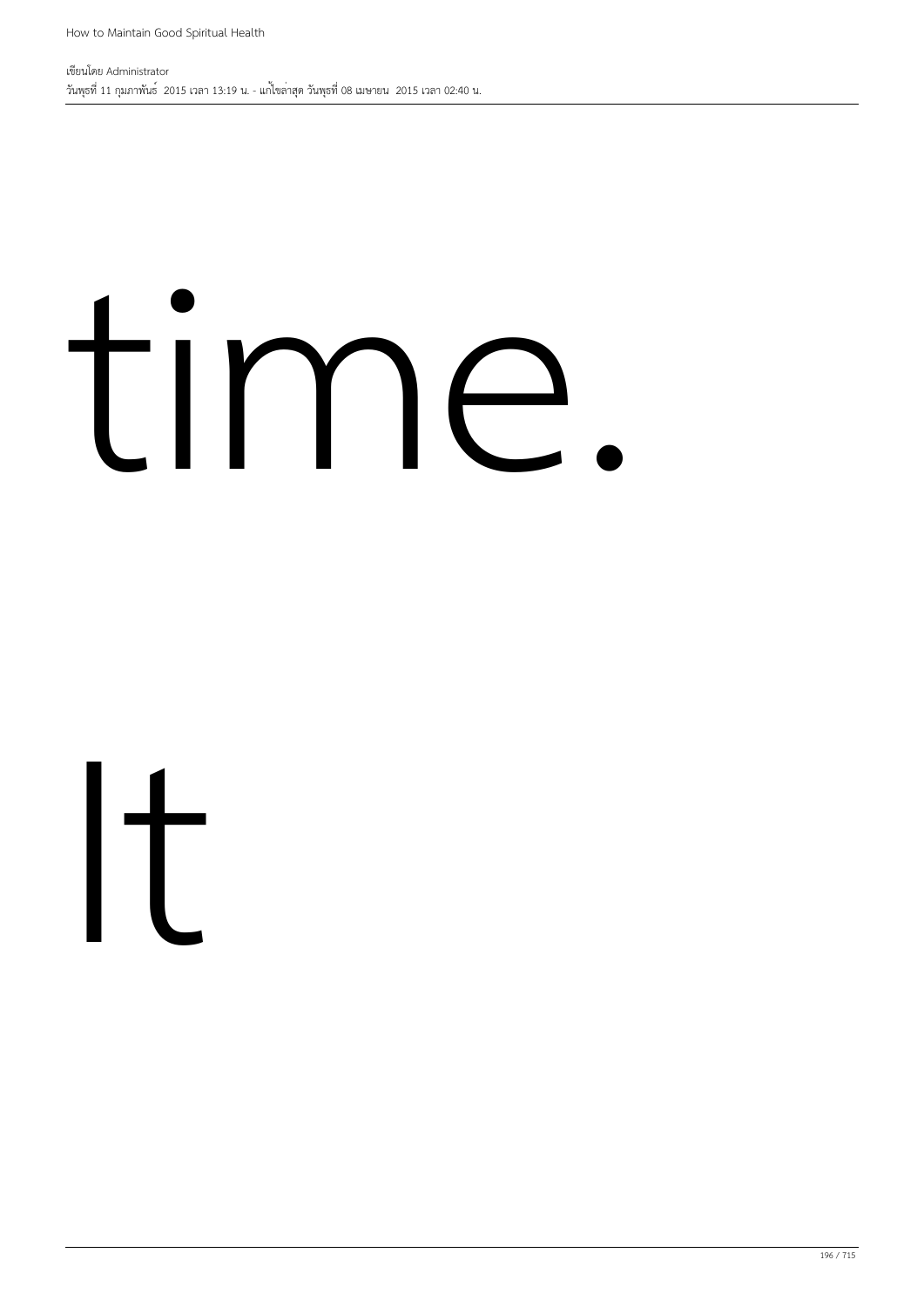## time.

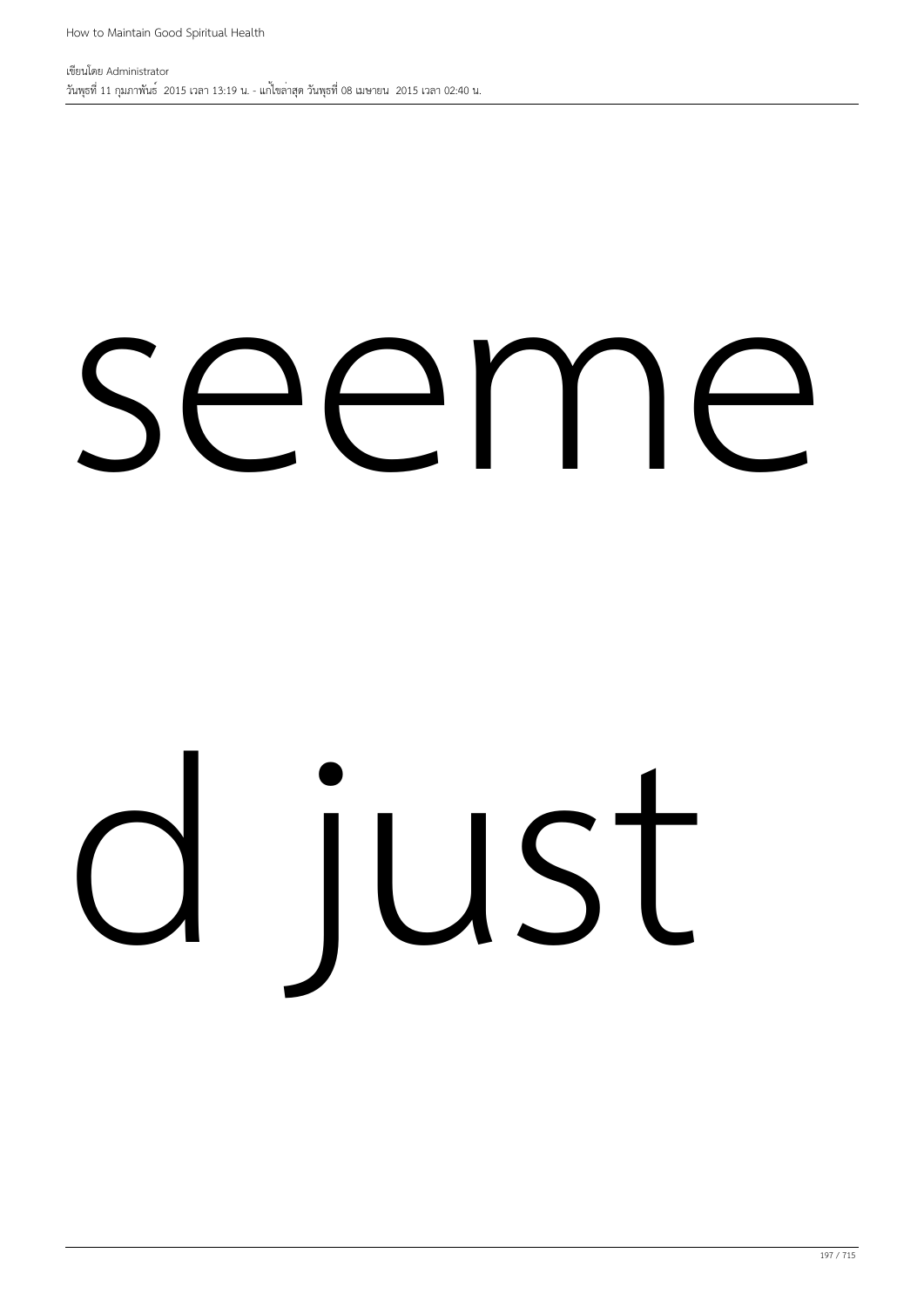#### seeme

## d just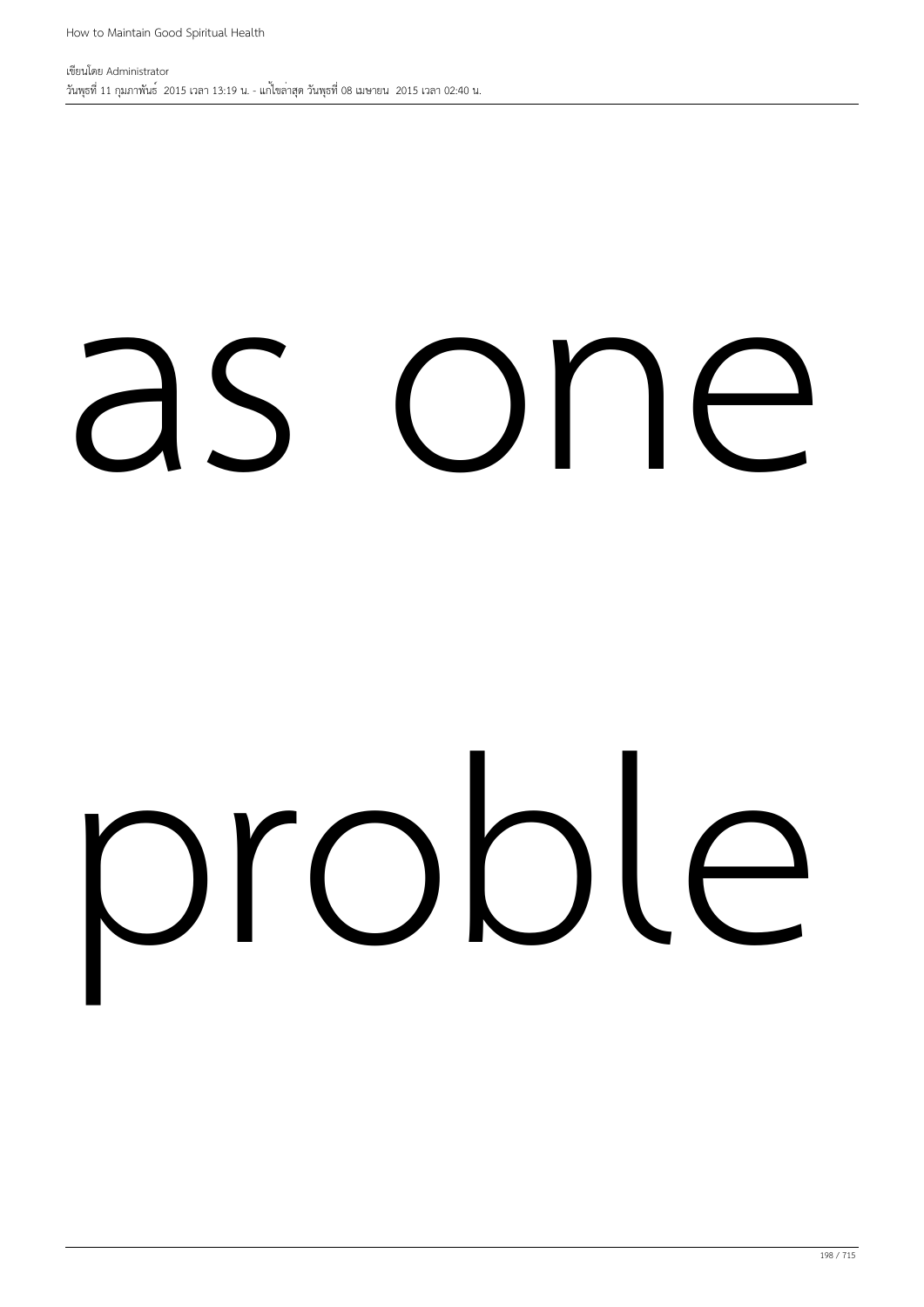#### as one

## proble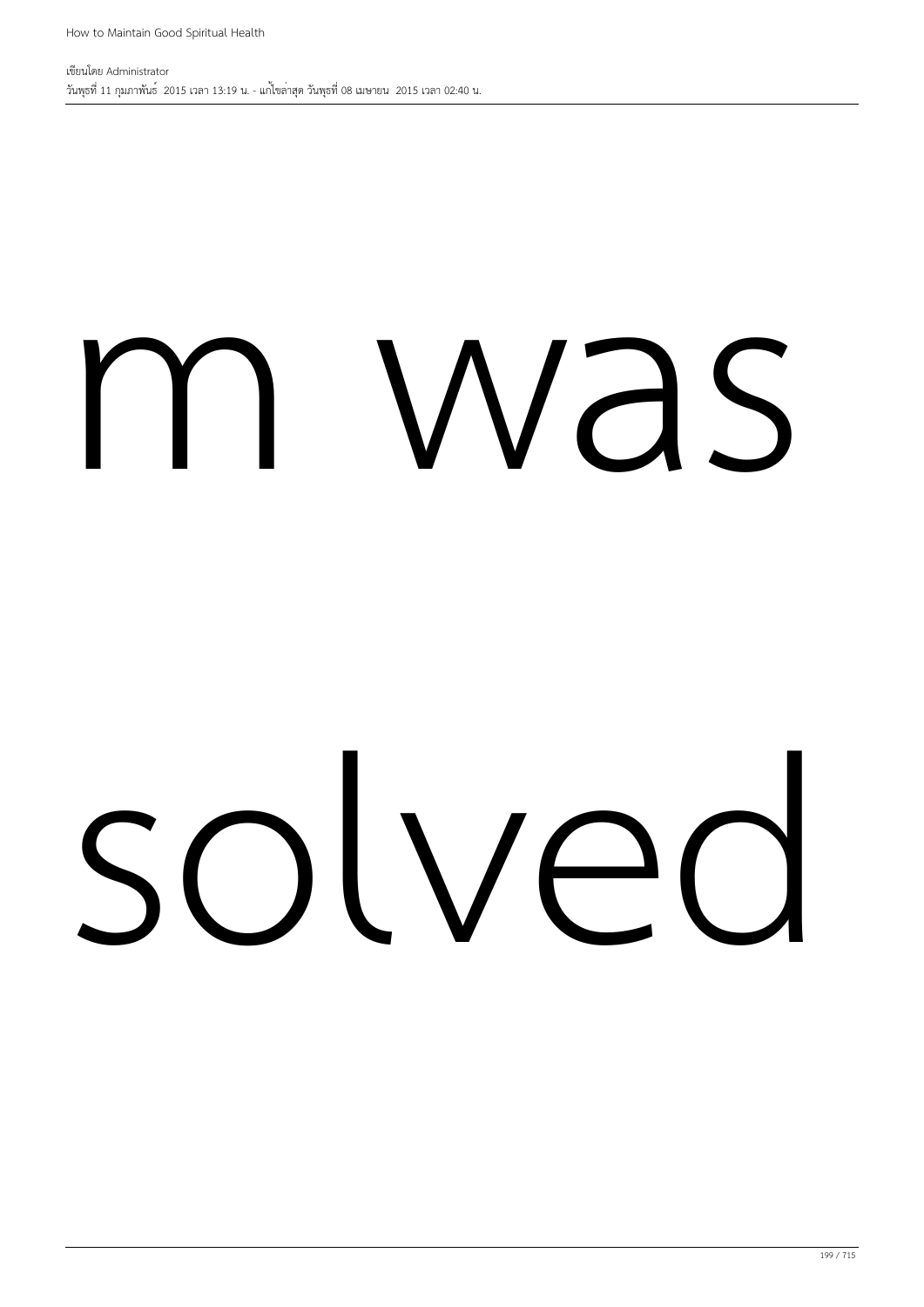#### m was

## solver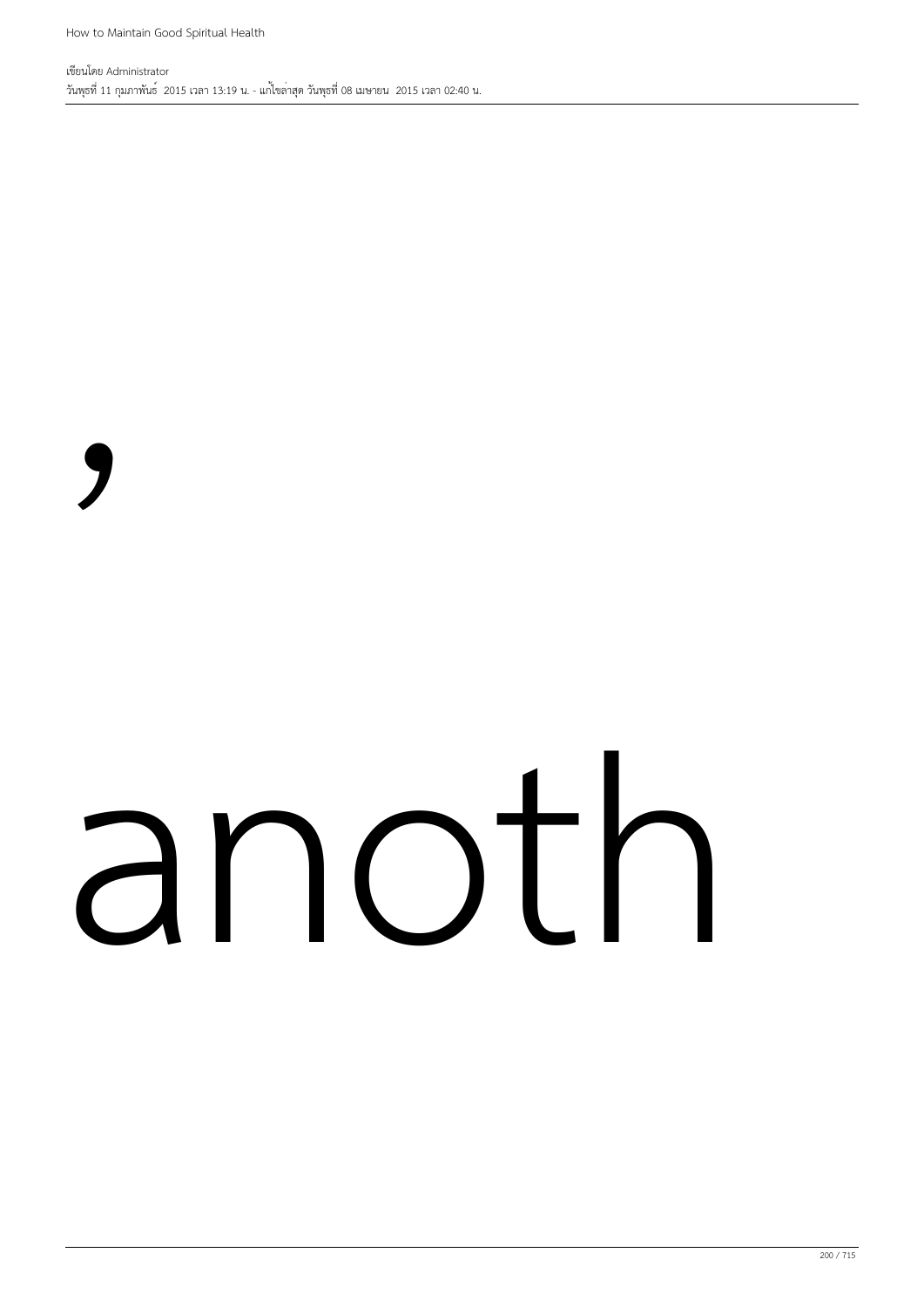,

## anoth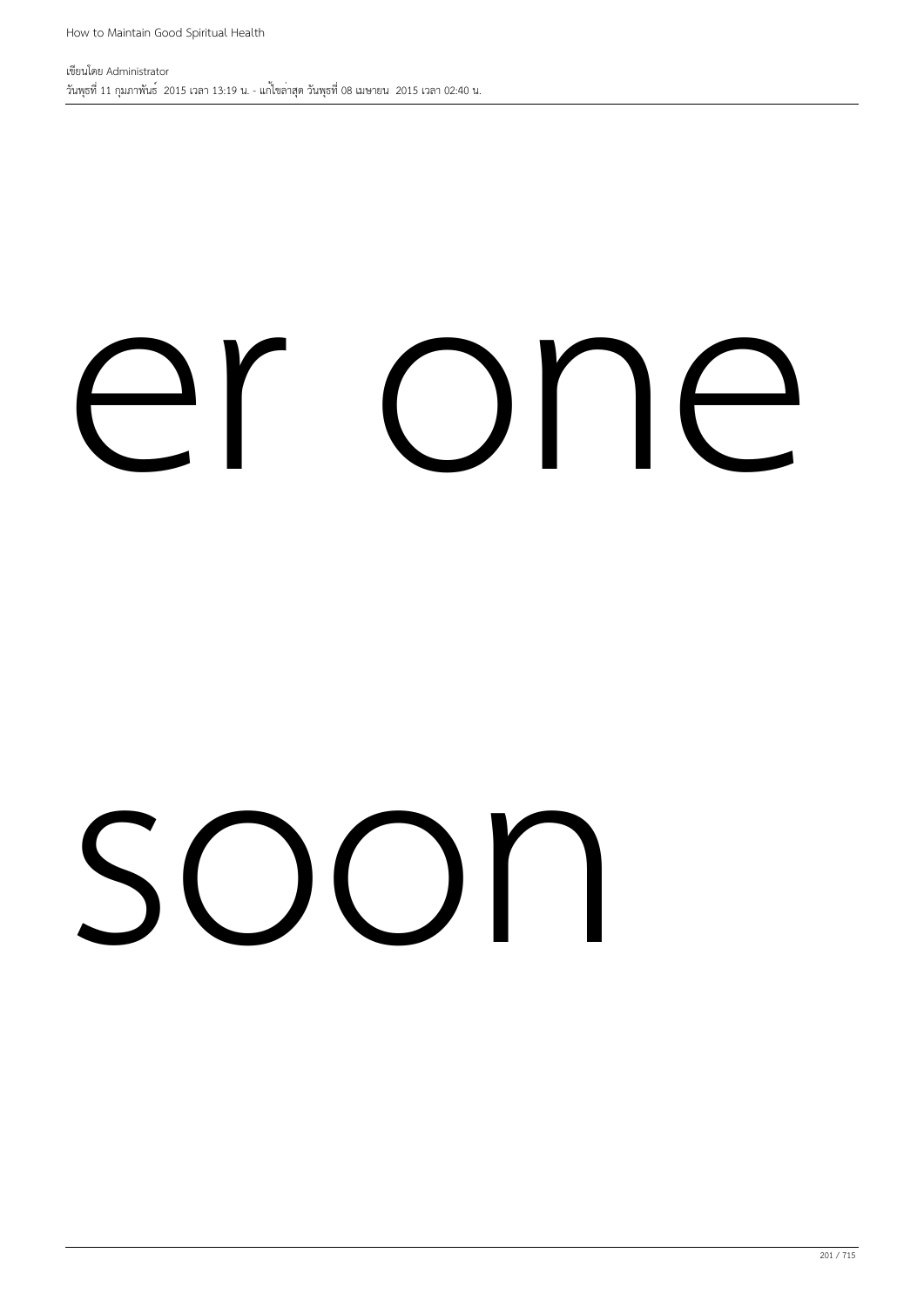#### er one

#### soon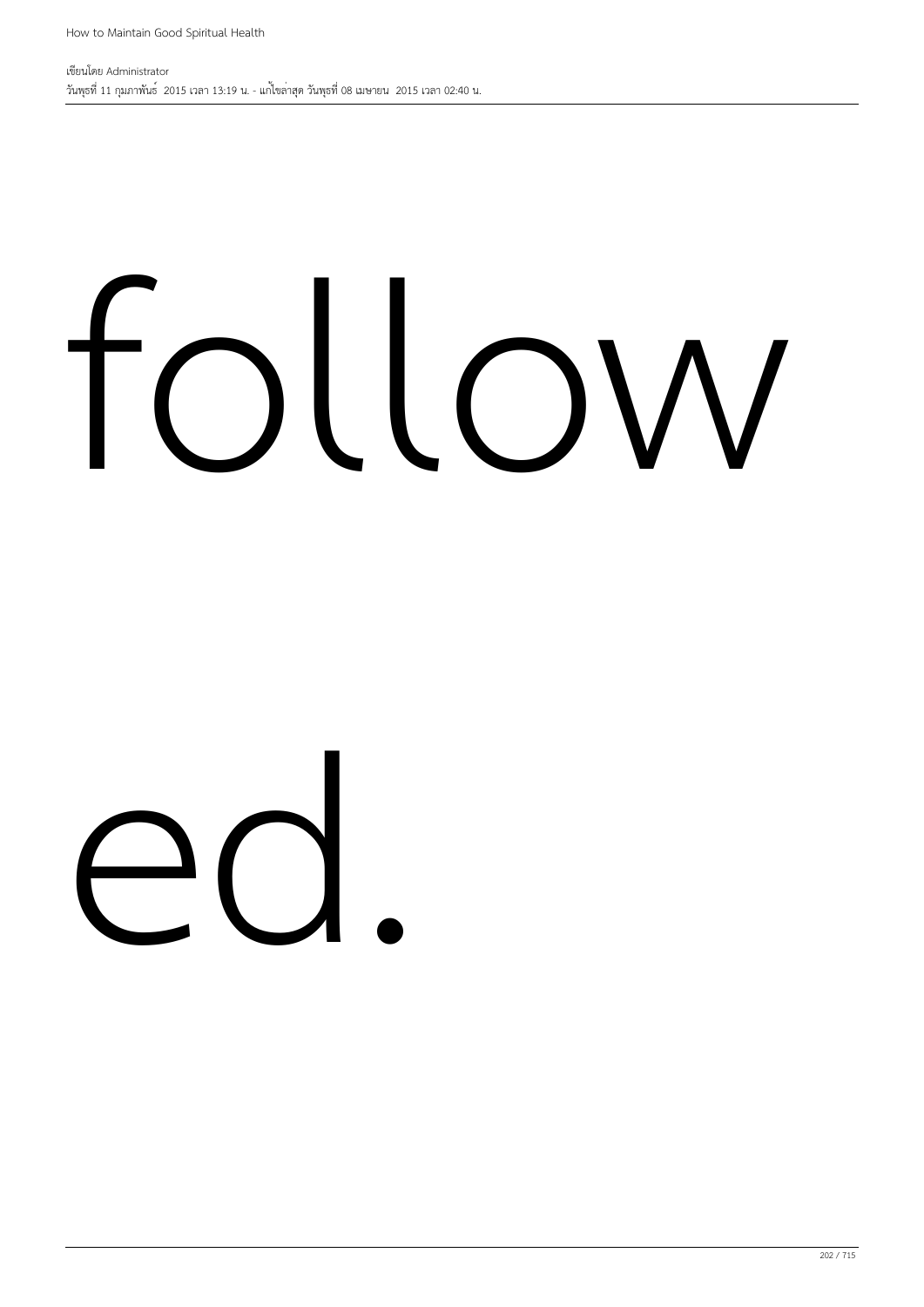## follow

# ed.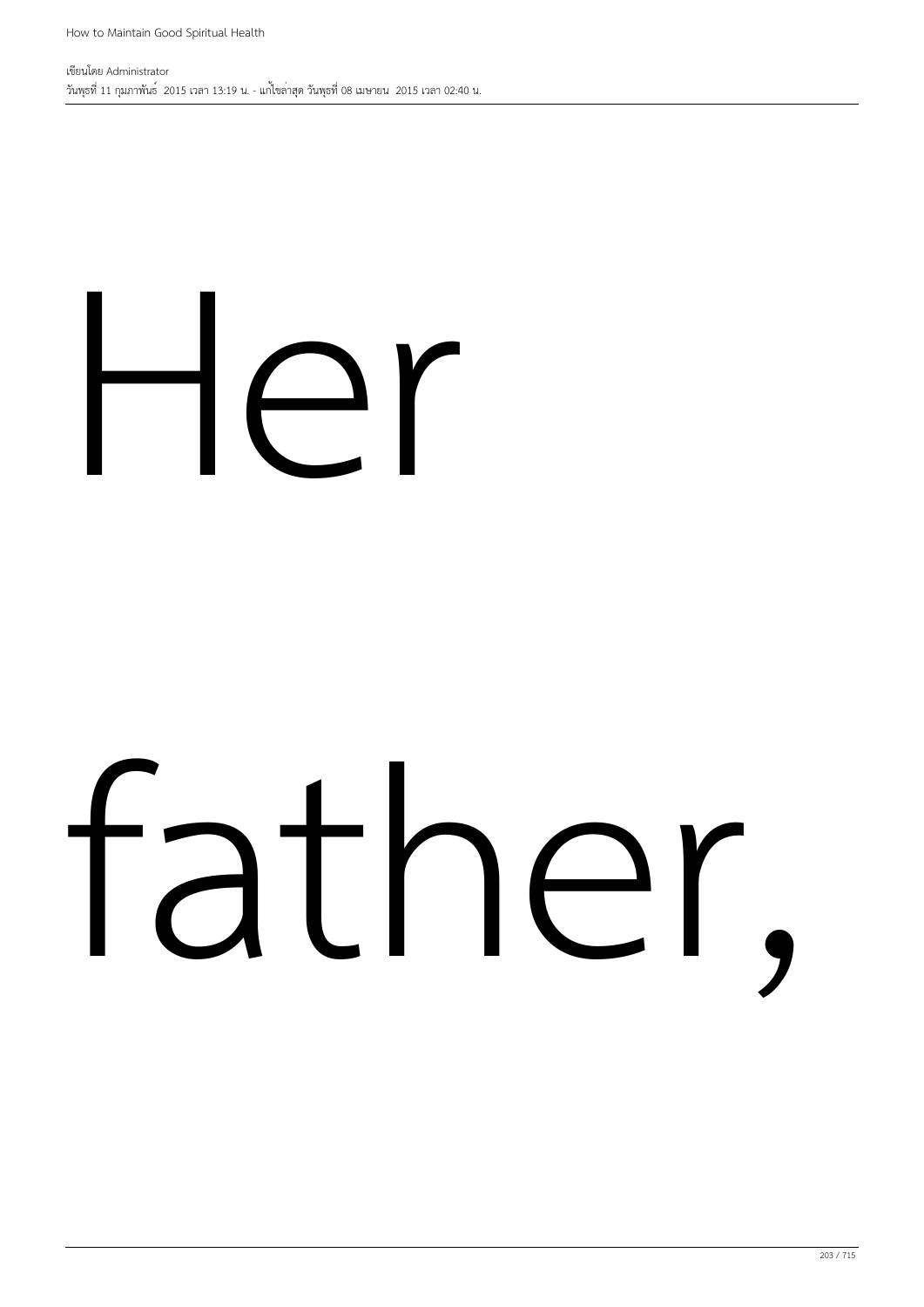### Her

## father,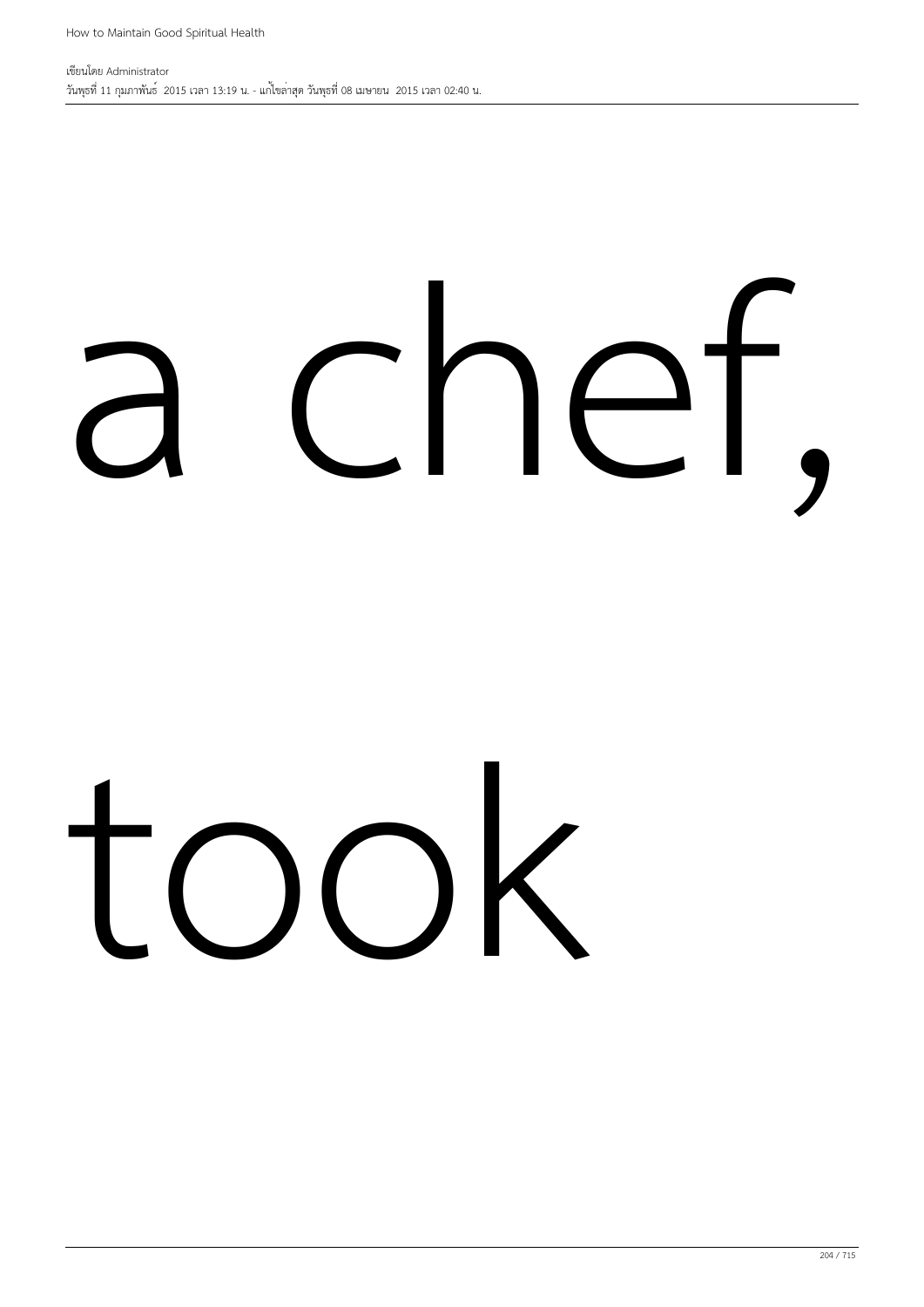## a chef,

### took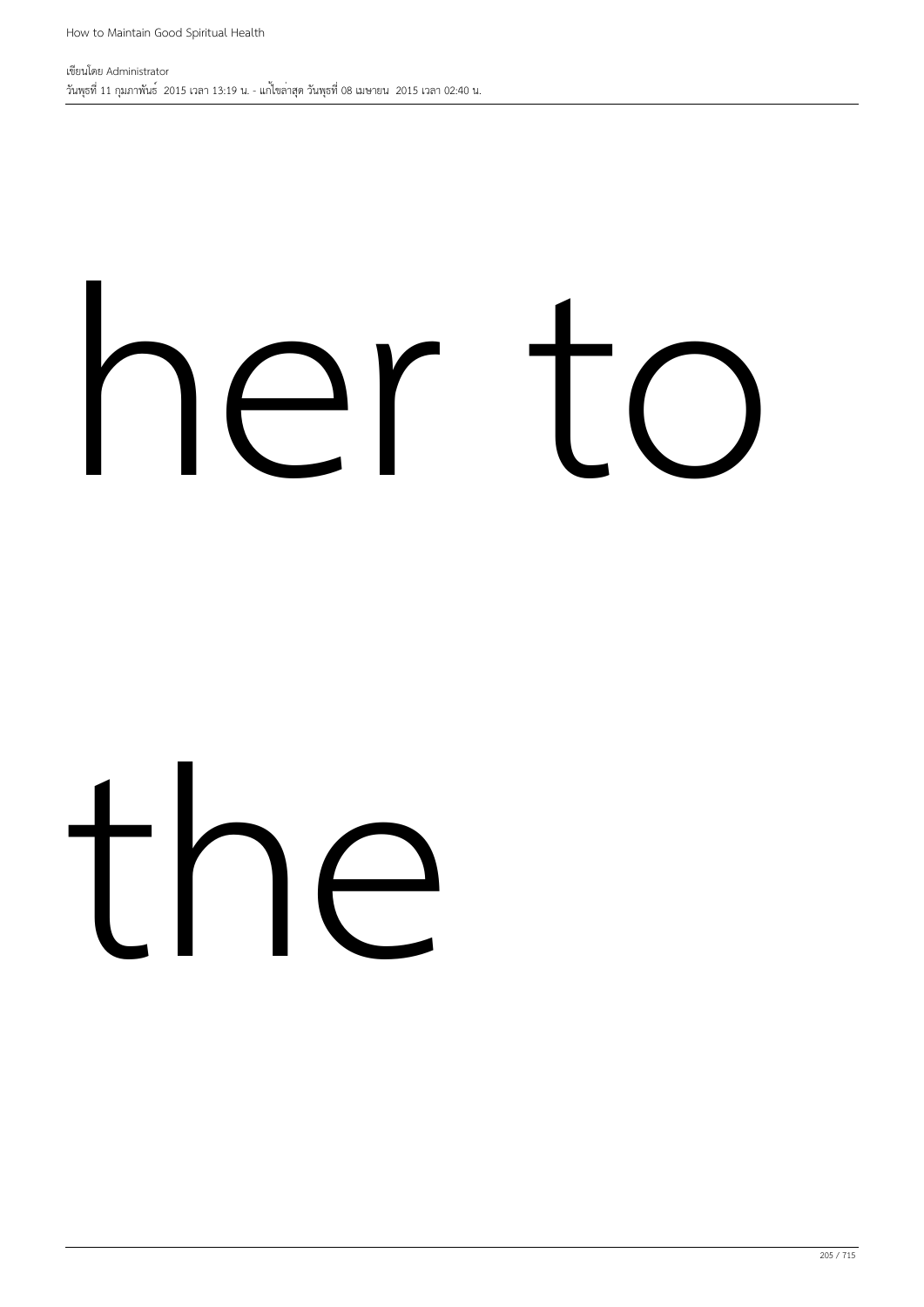### her to

## the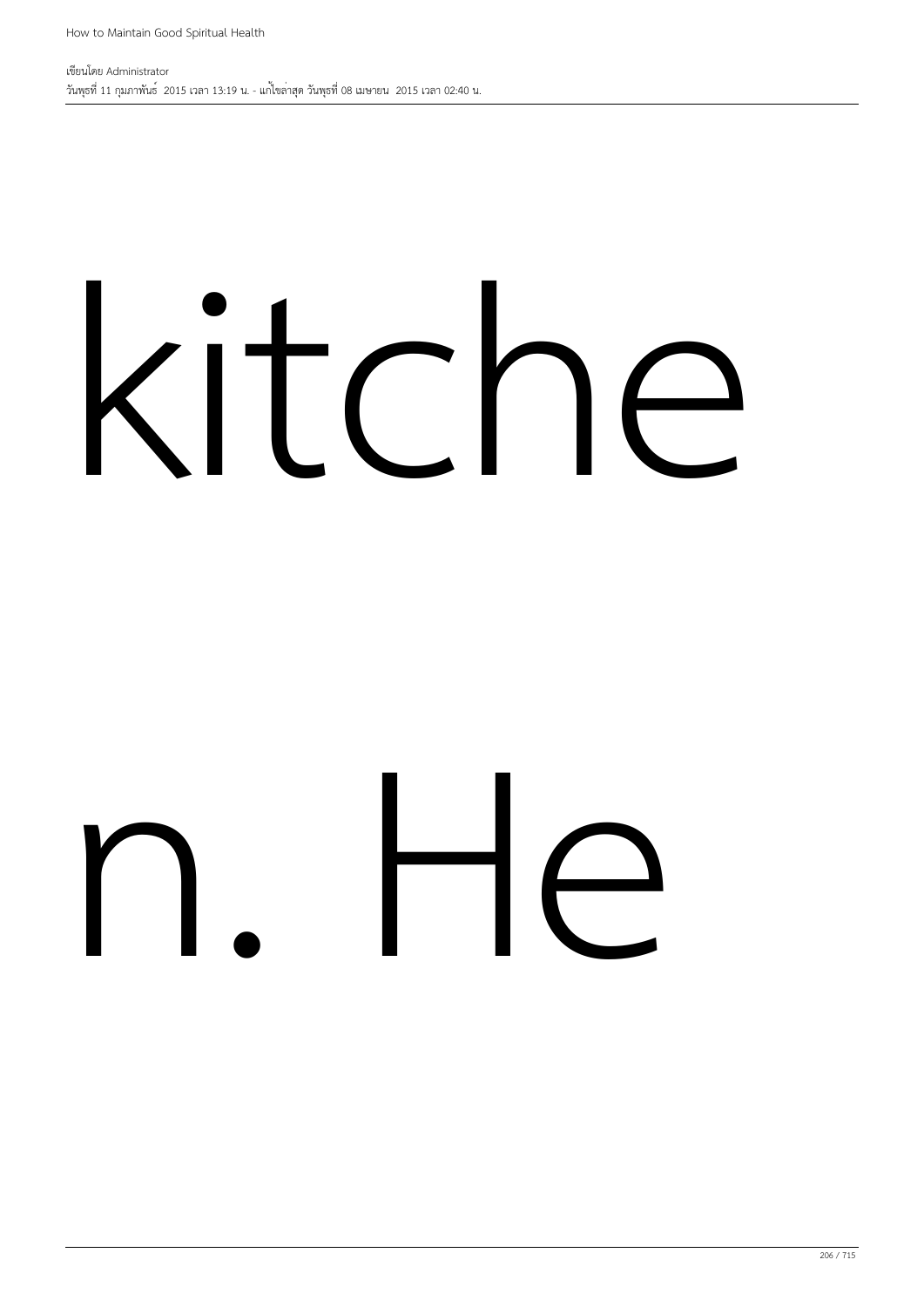## kitche

### $H$  $\Omega$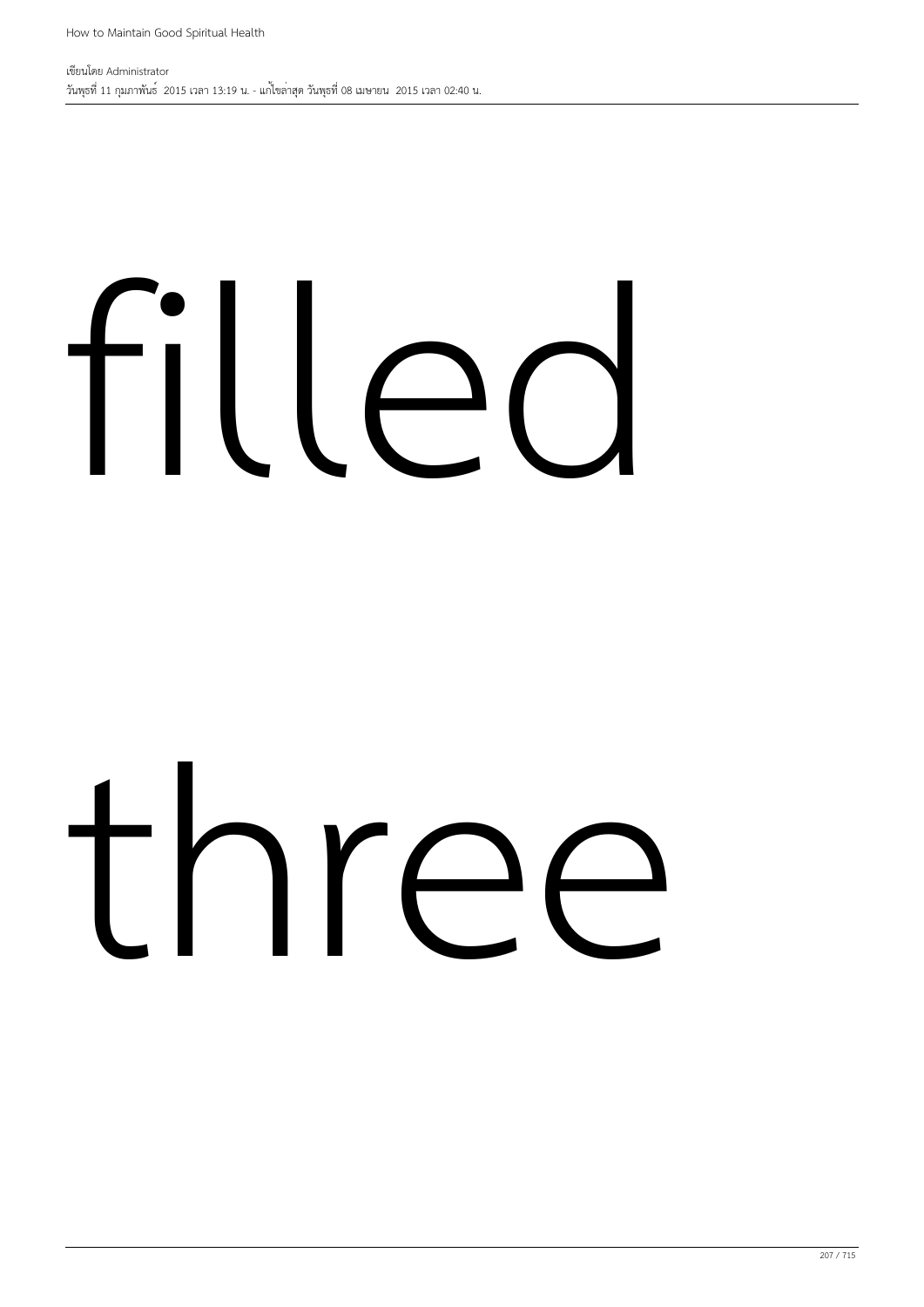## filled

## three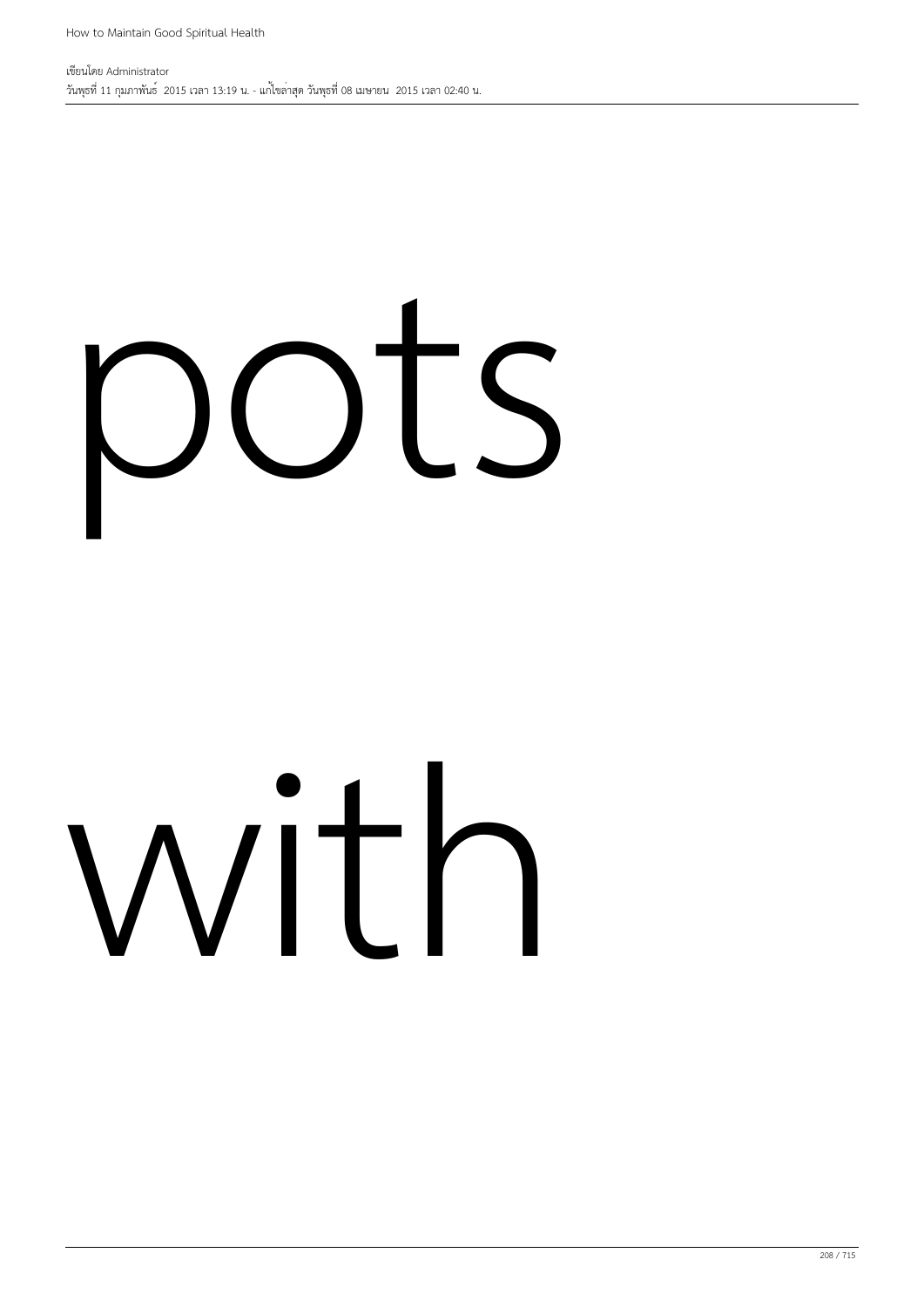## pots

## with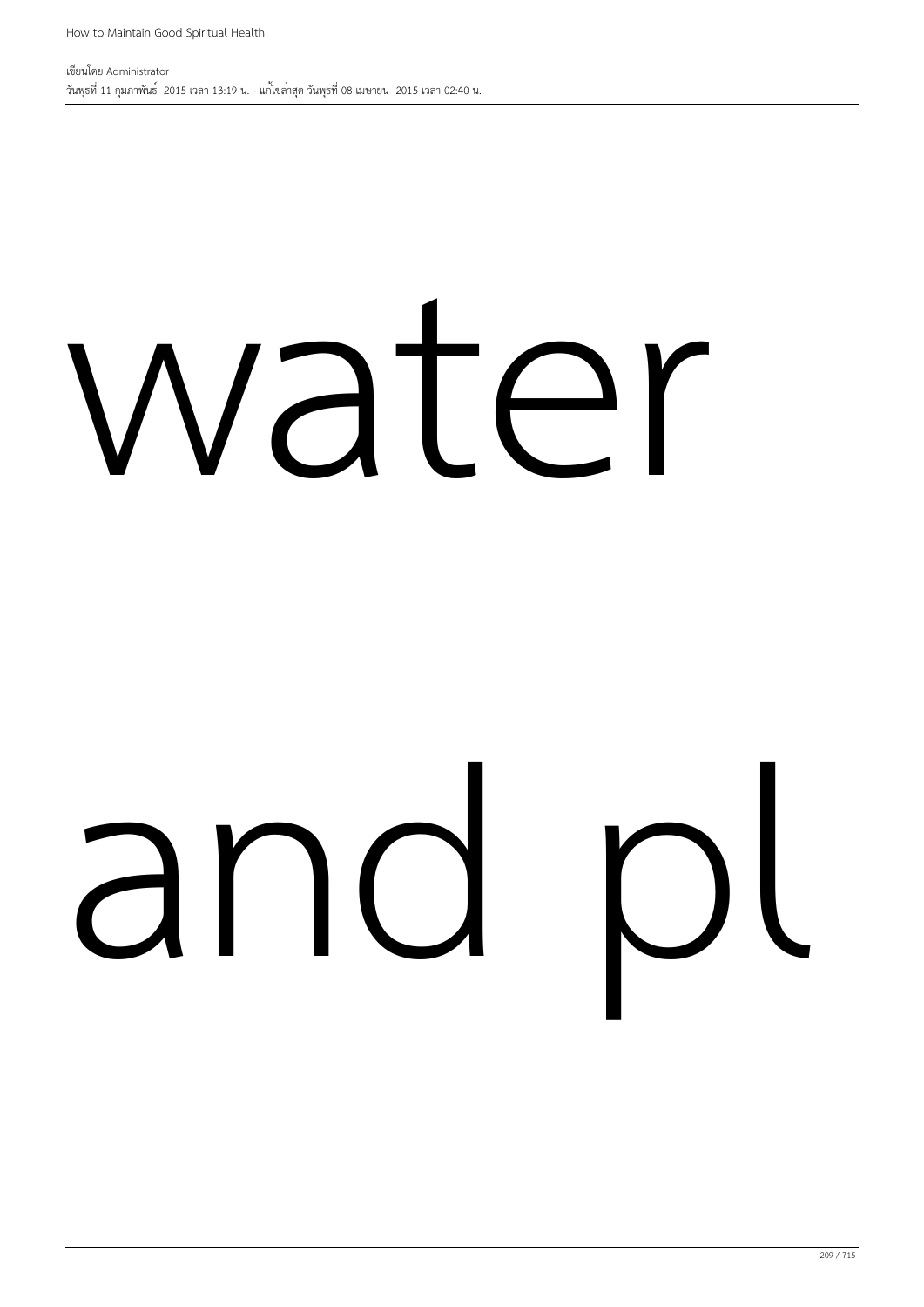### water

## and pl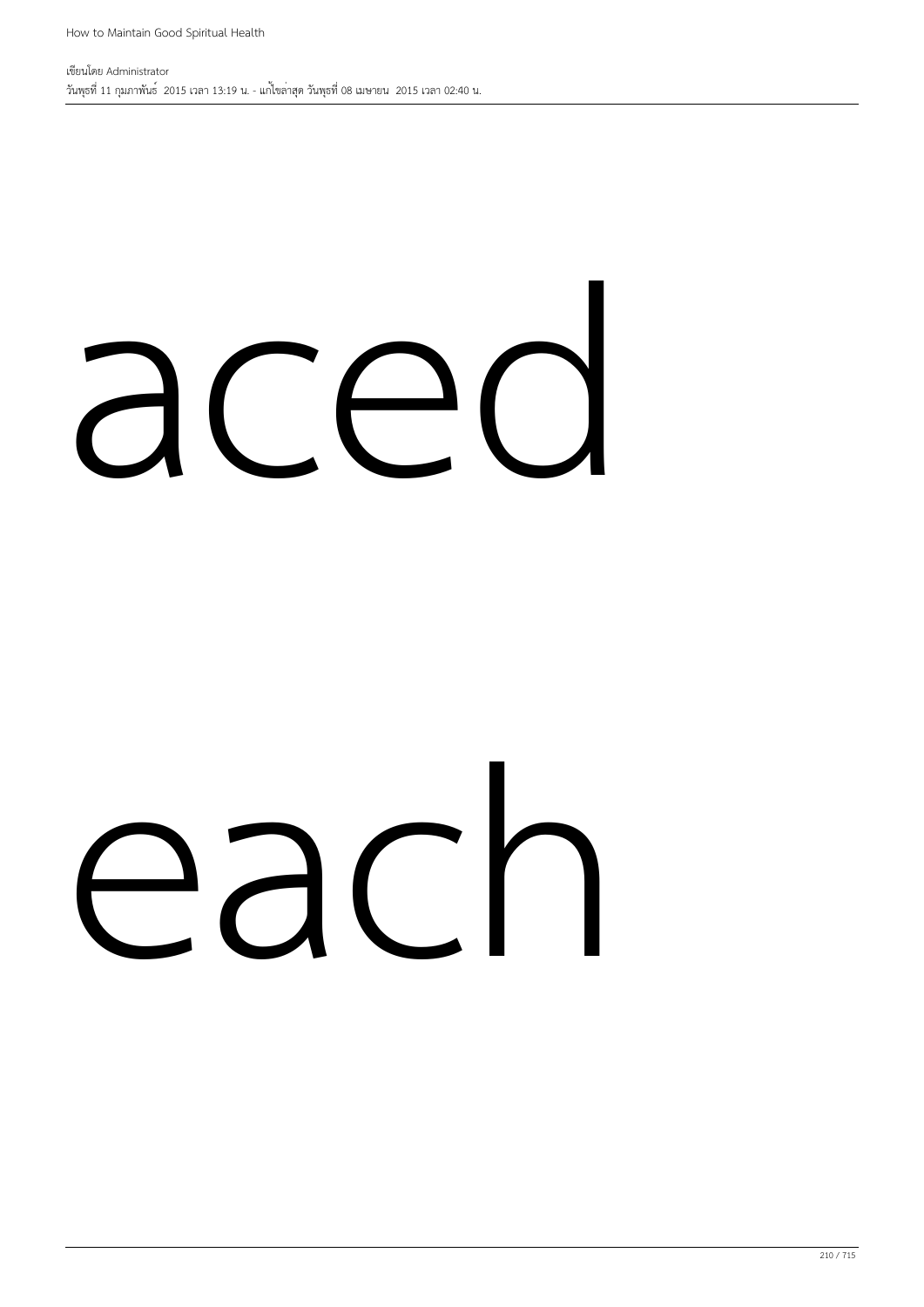### aced

## each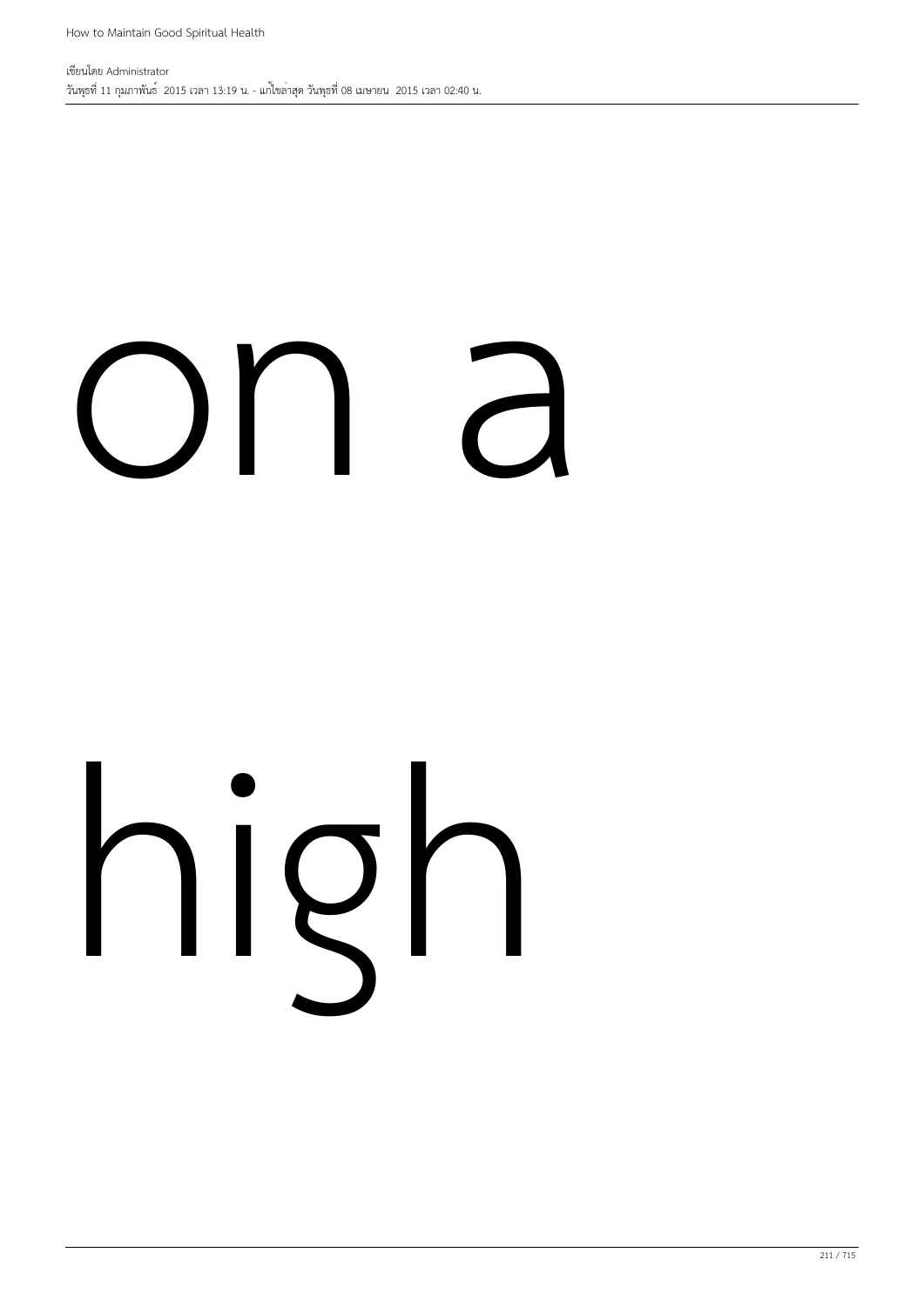# on a

## high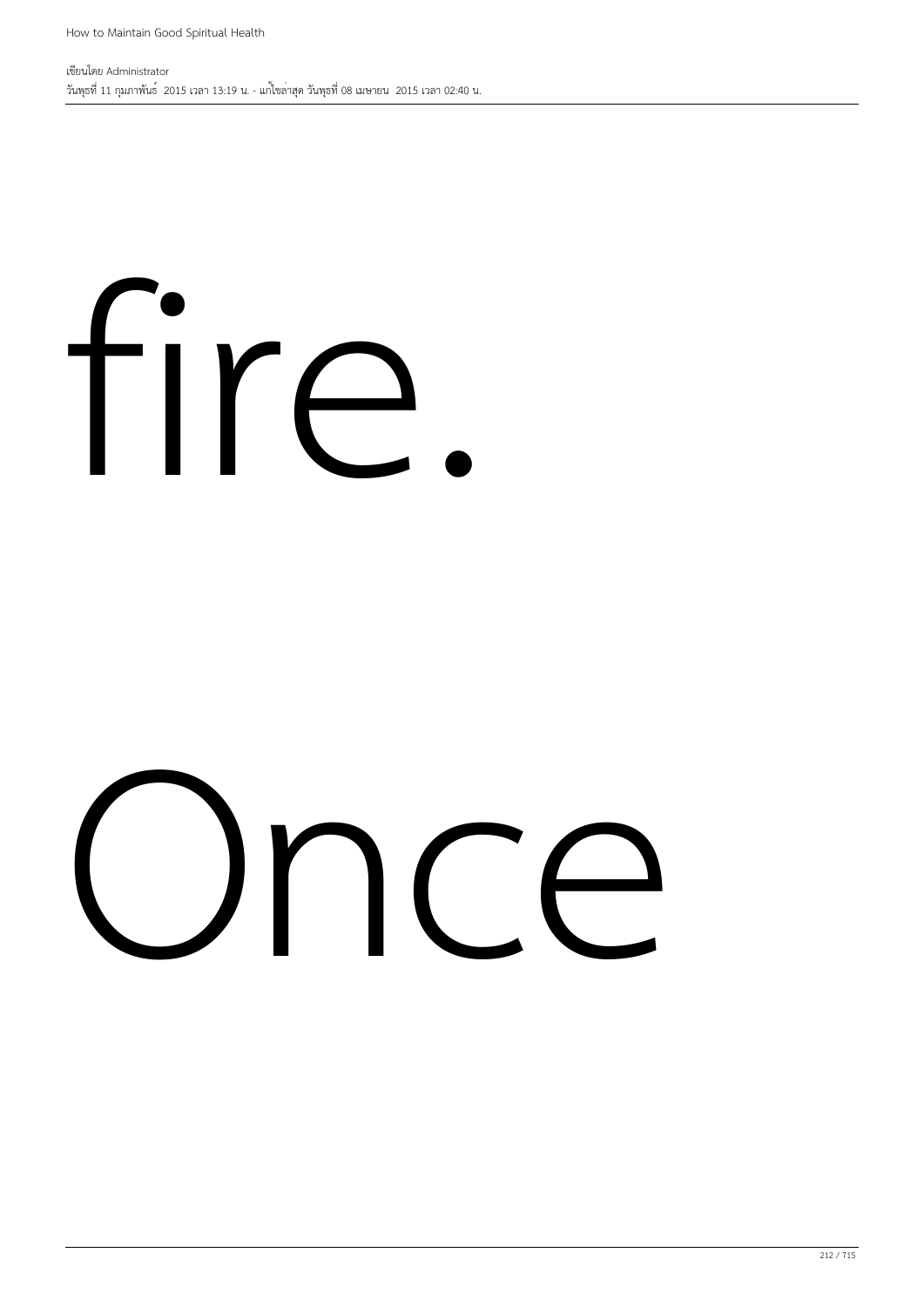## fire.

### Once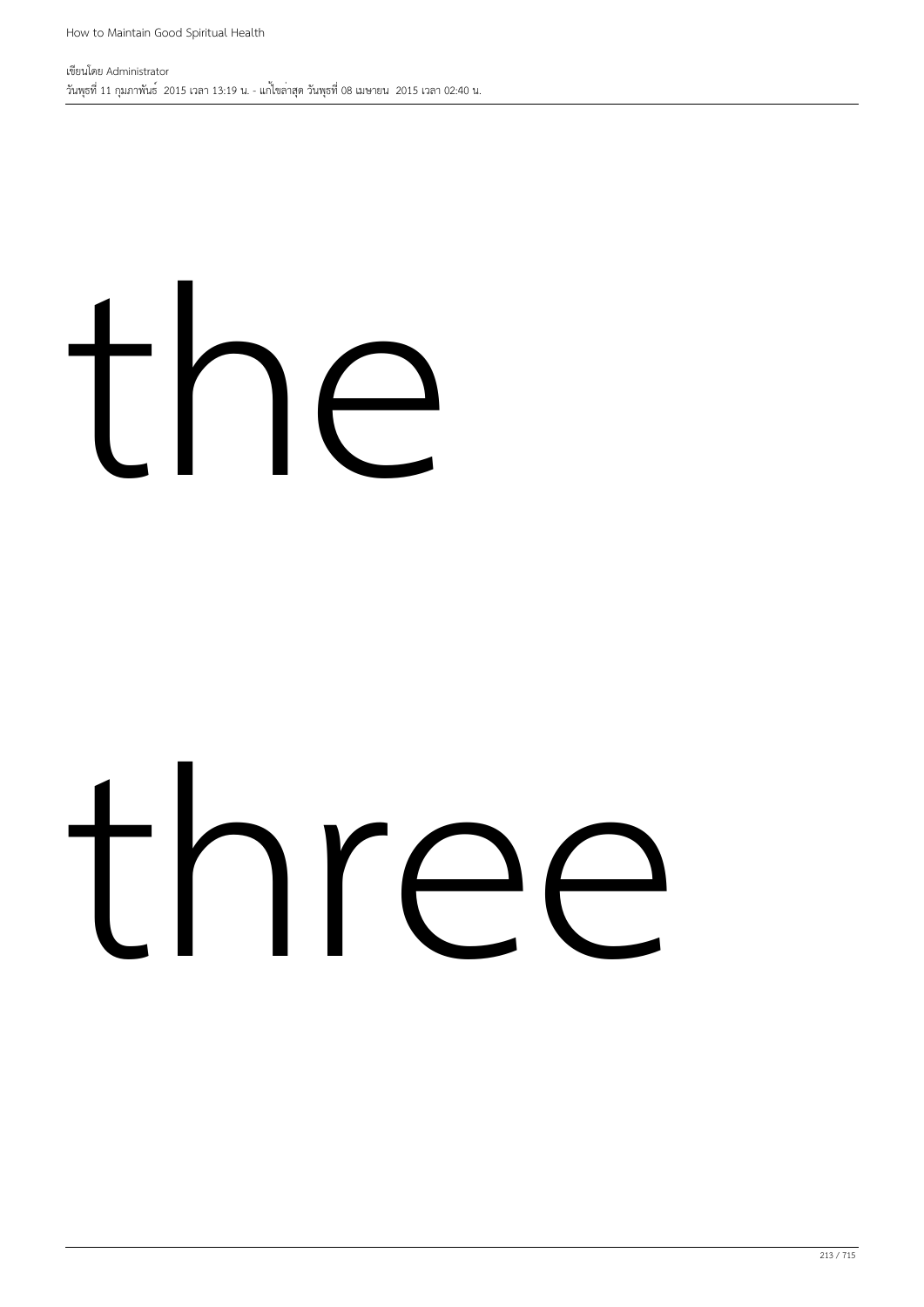## the

## three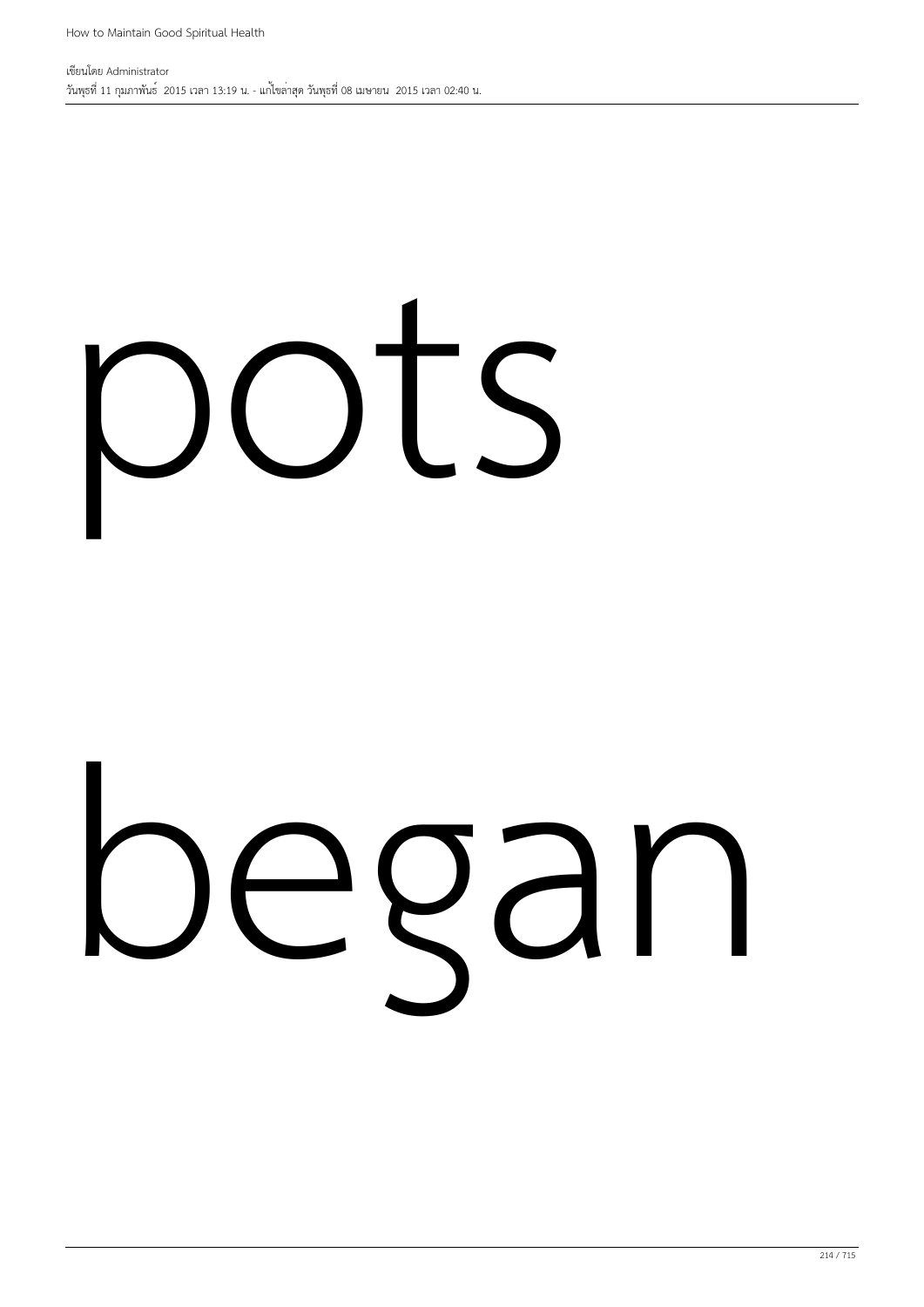## OTS

## began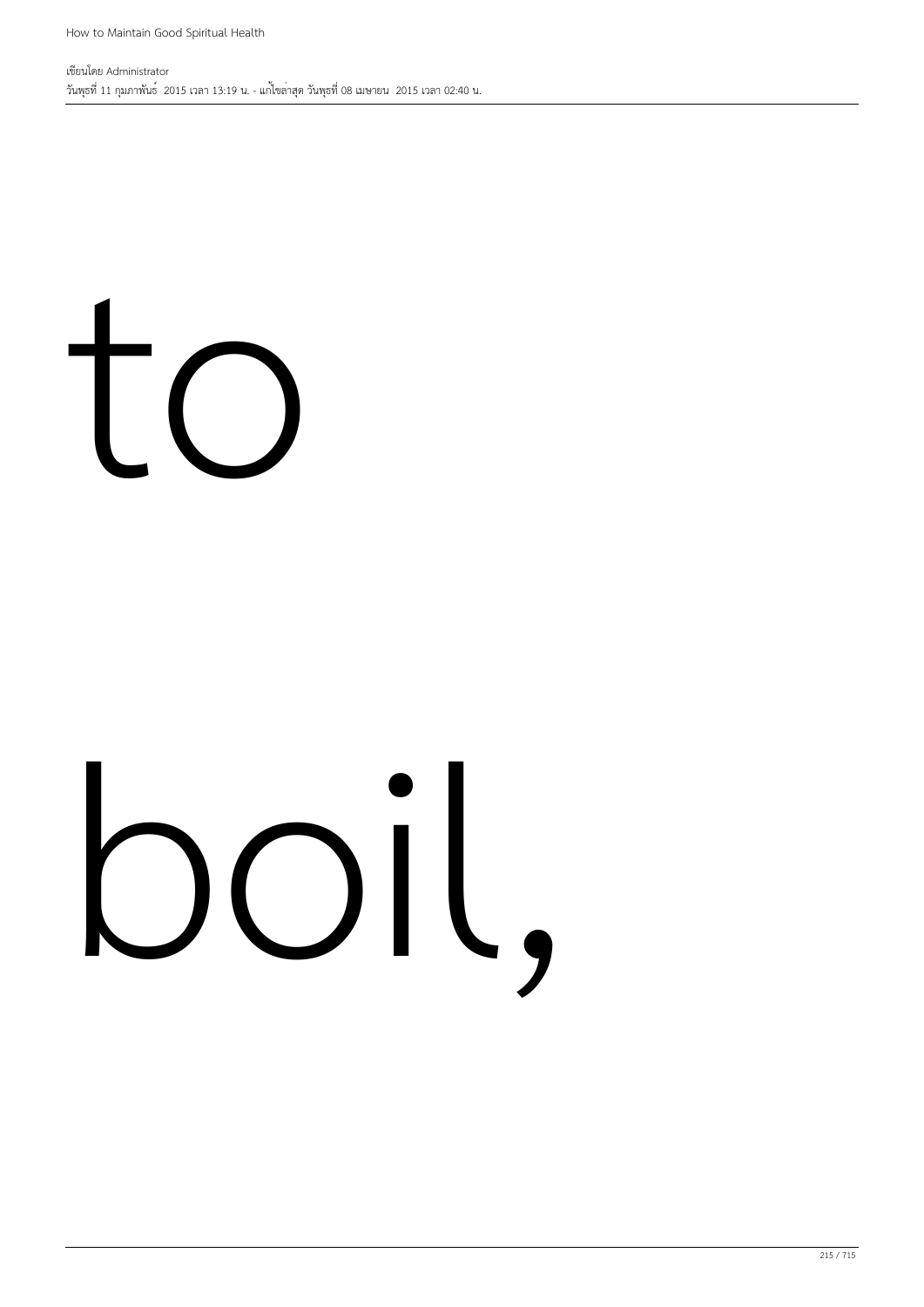### to

## boil,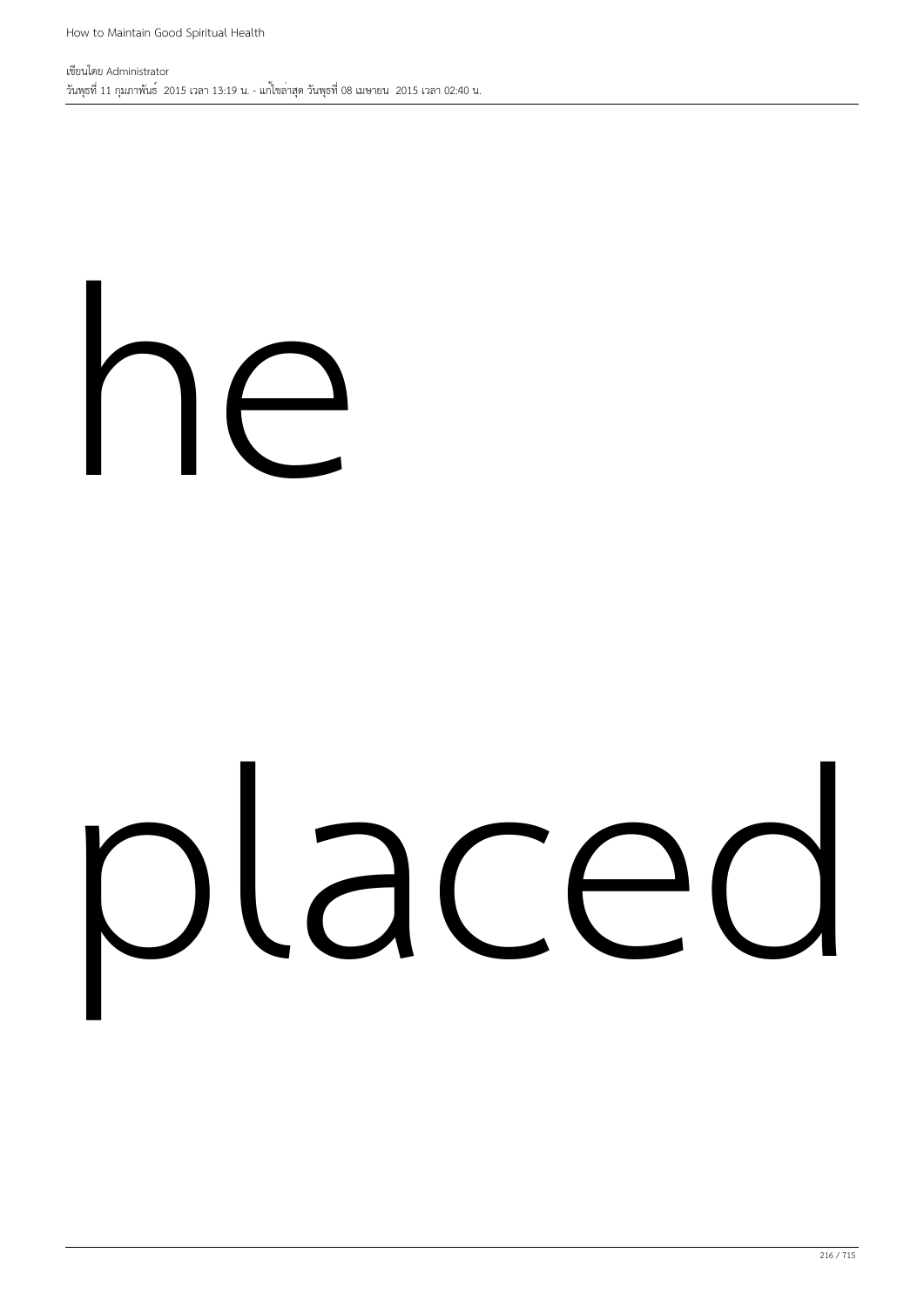### he

## olace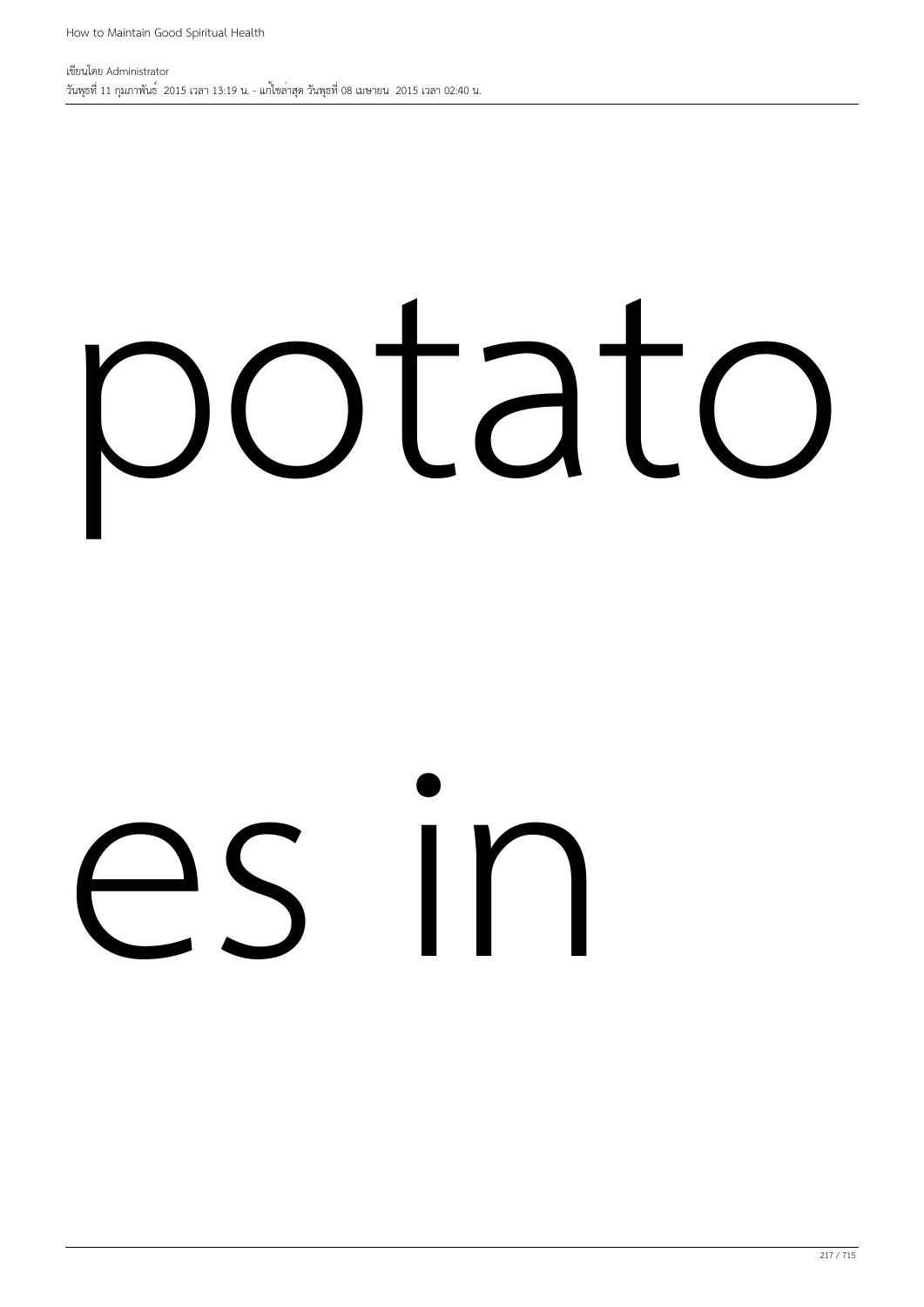## potato

# es in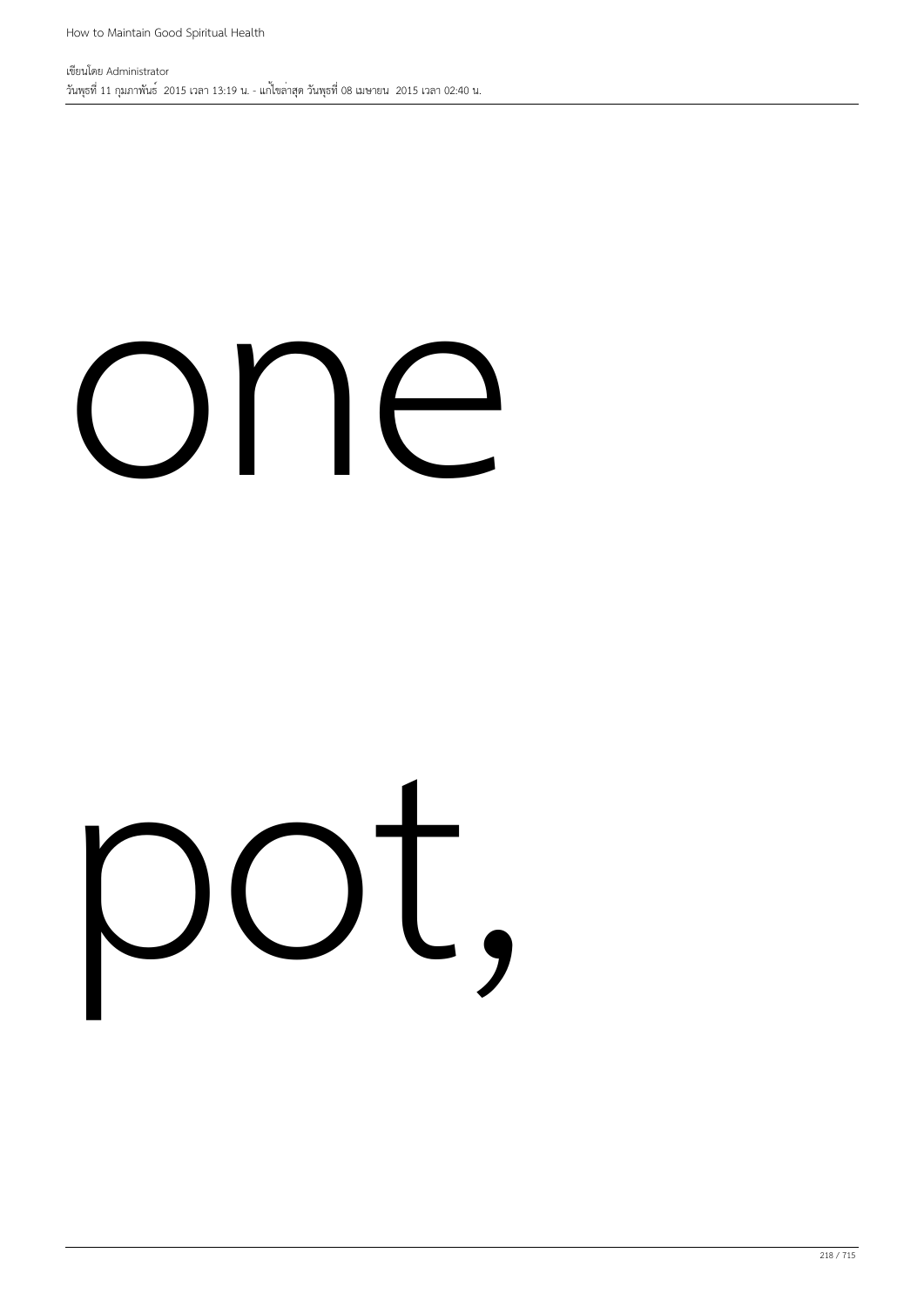#### one

### pot,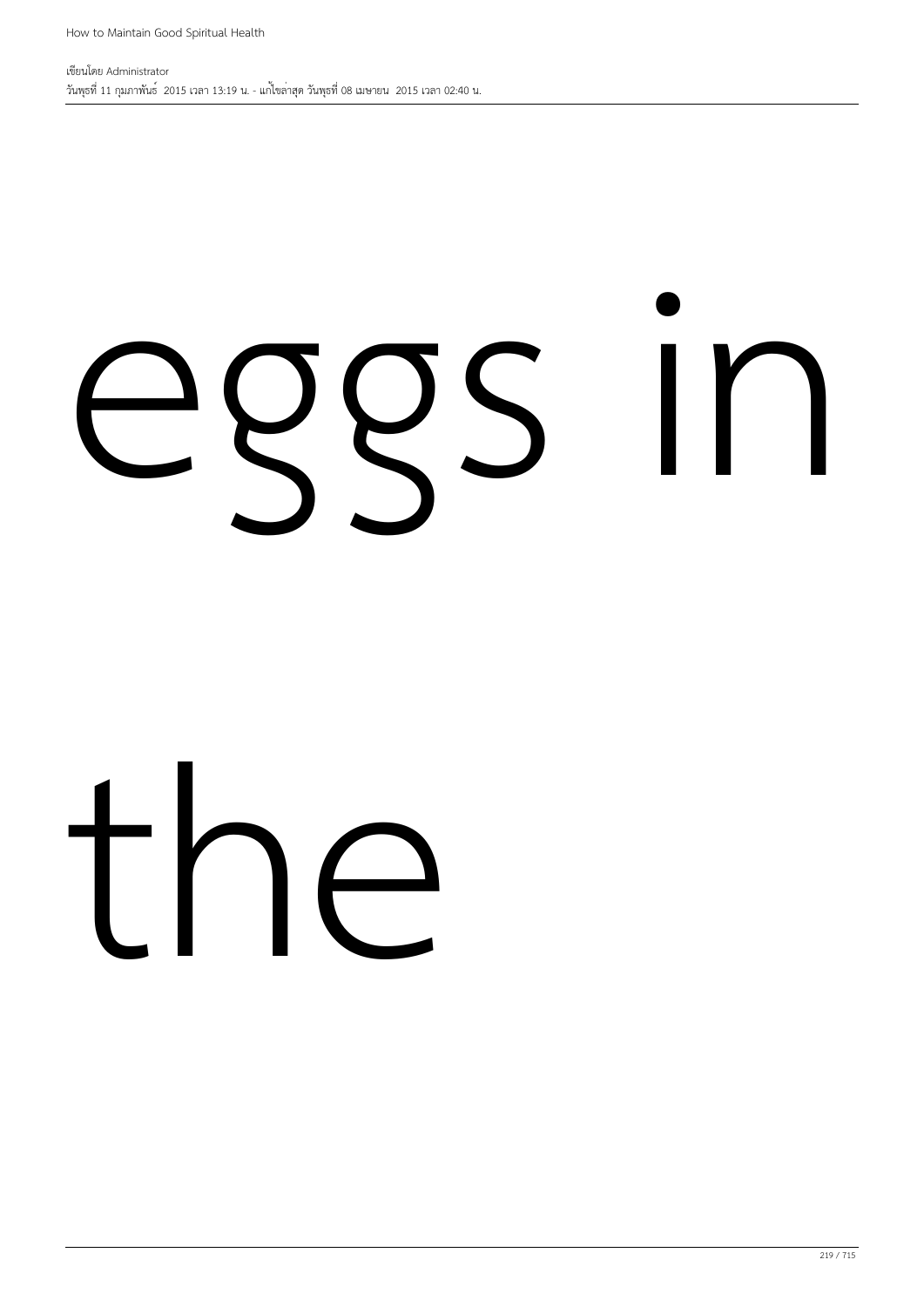# eggs in

#### the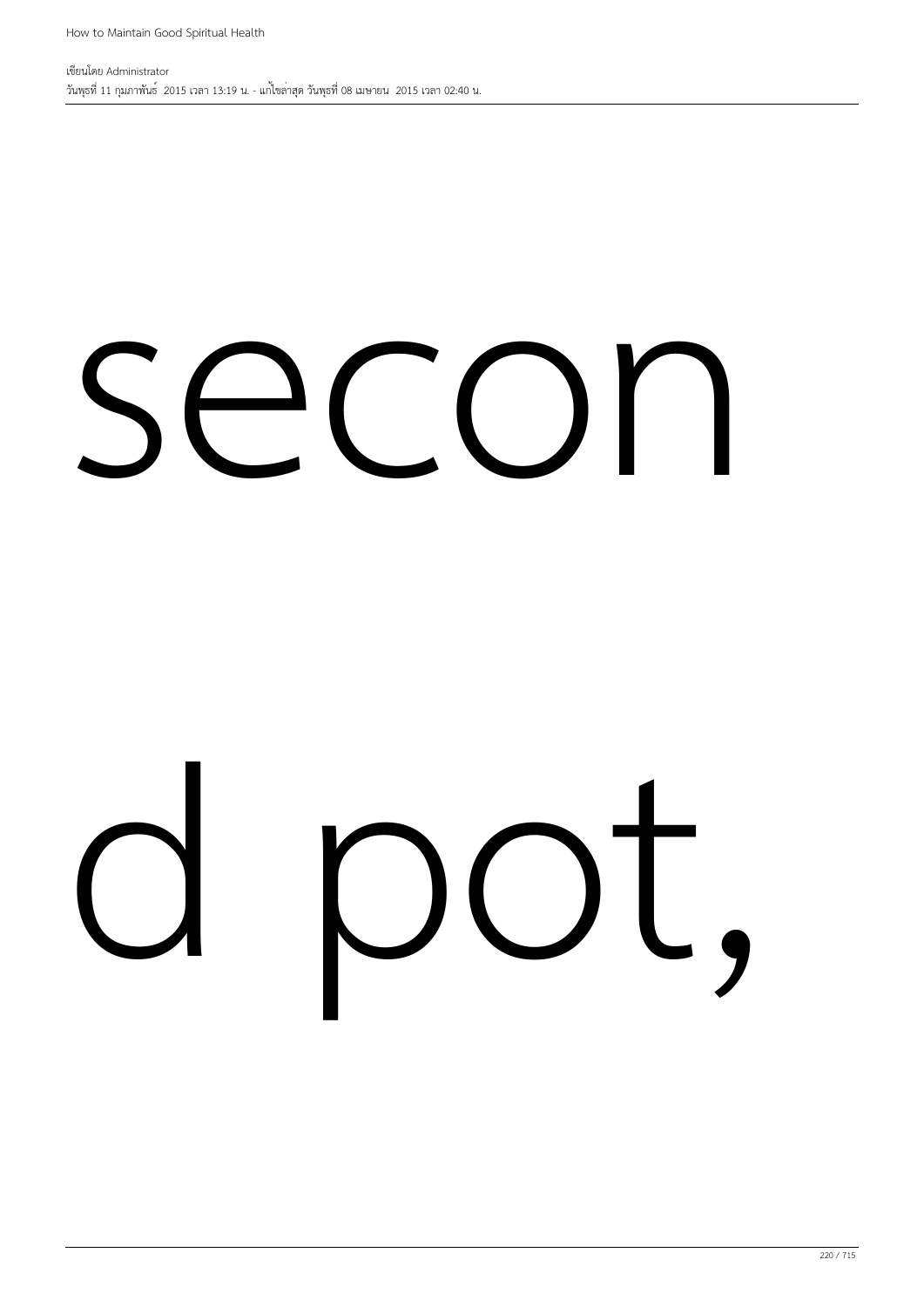#### secon

# d pot,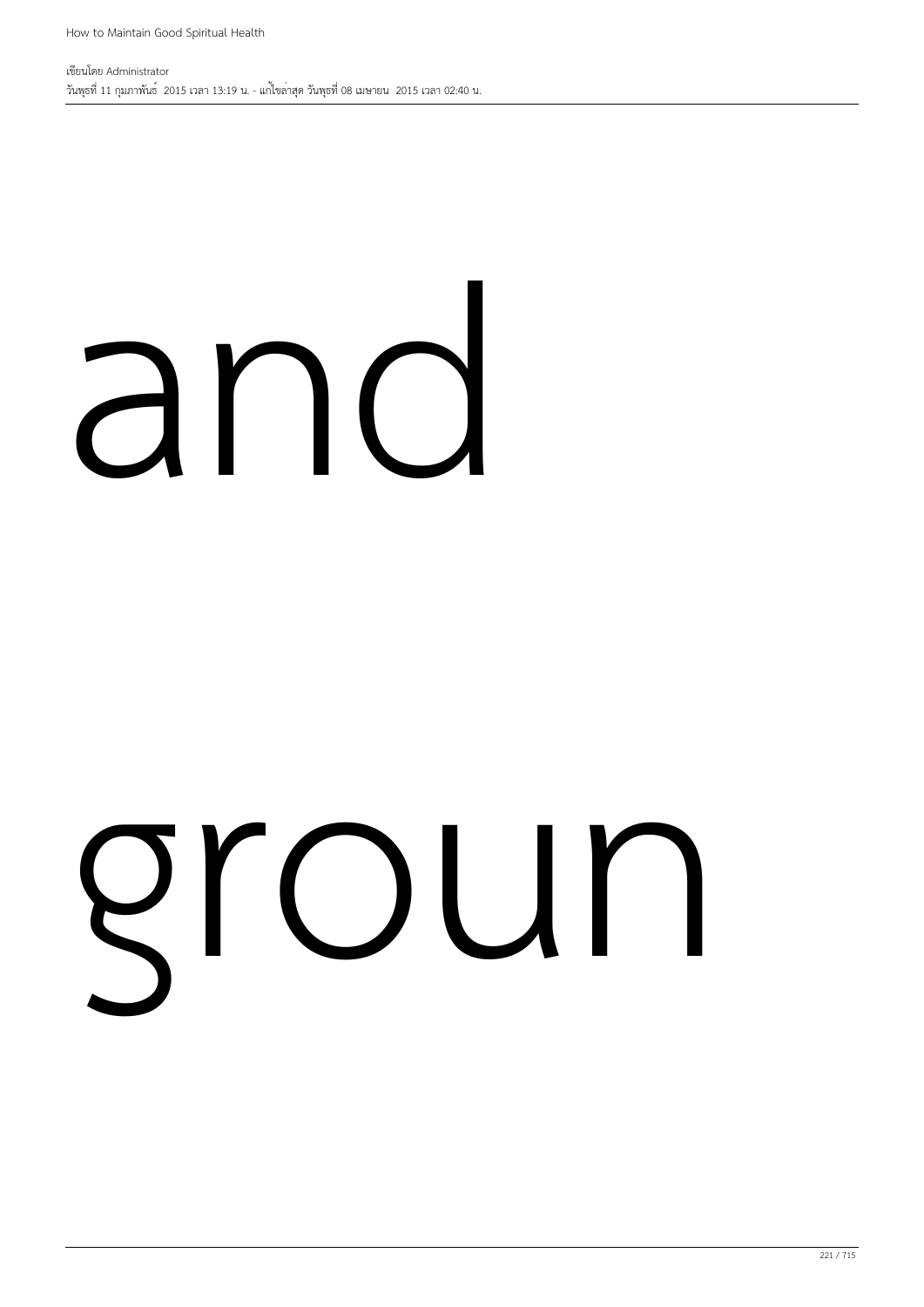#### and

#### groun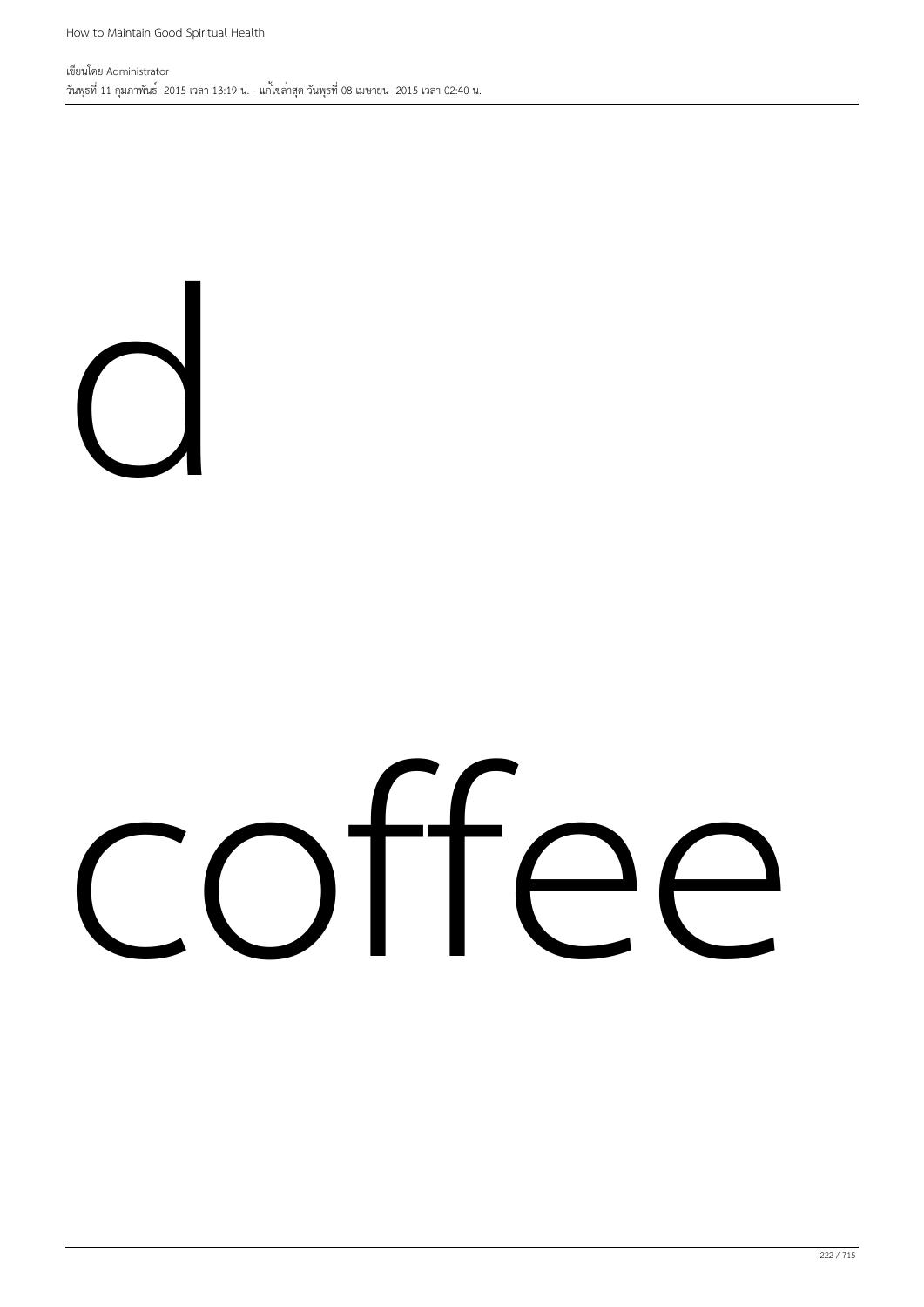# d

#### coffee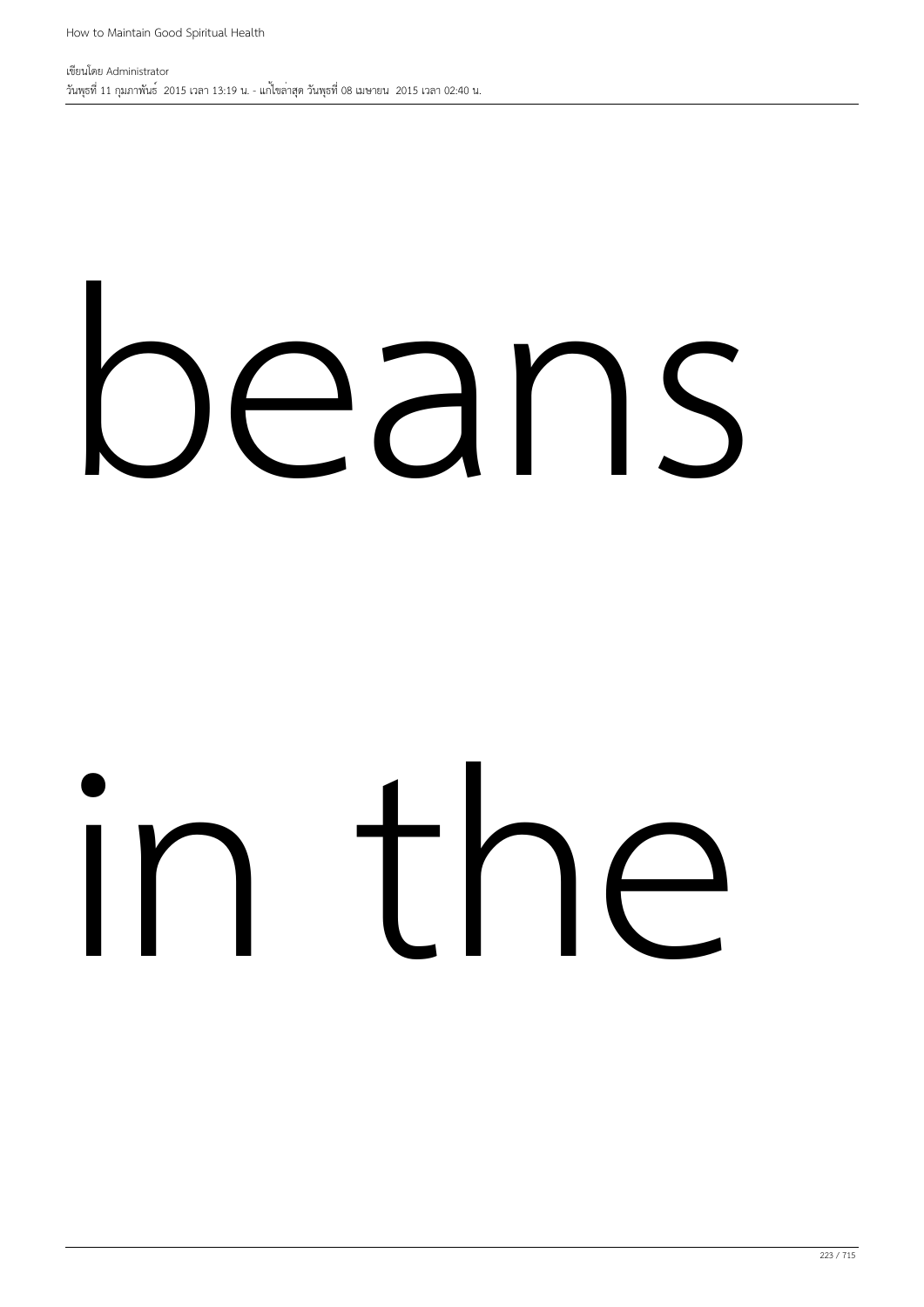#### beans

#### in the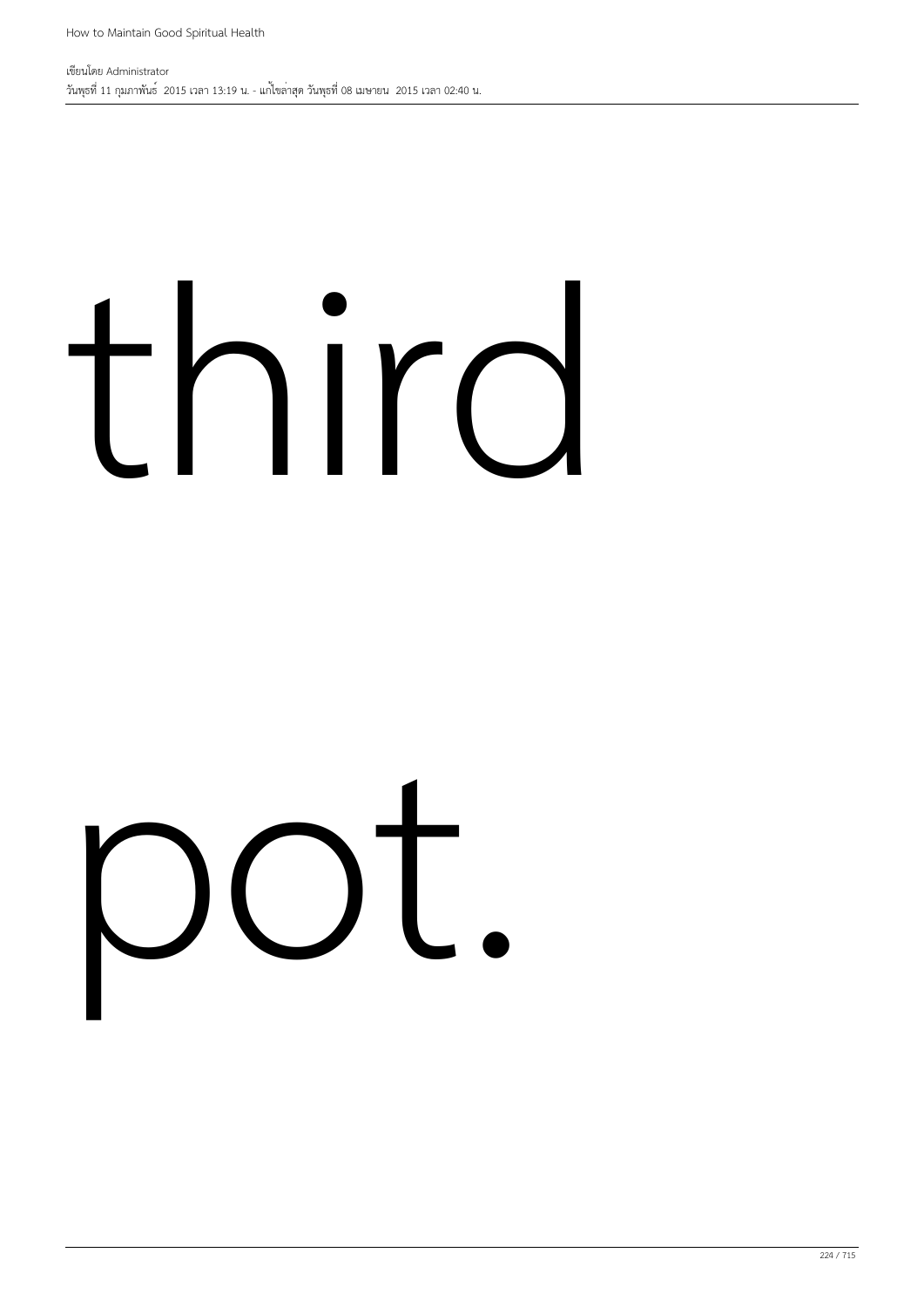### third

### pot.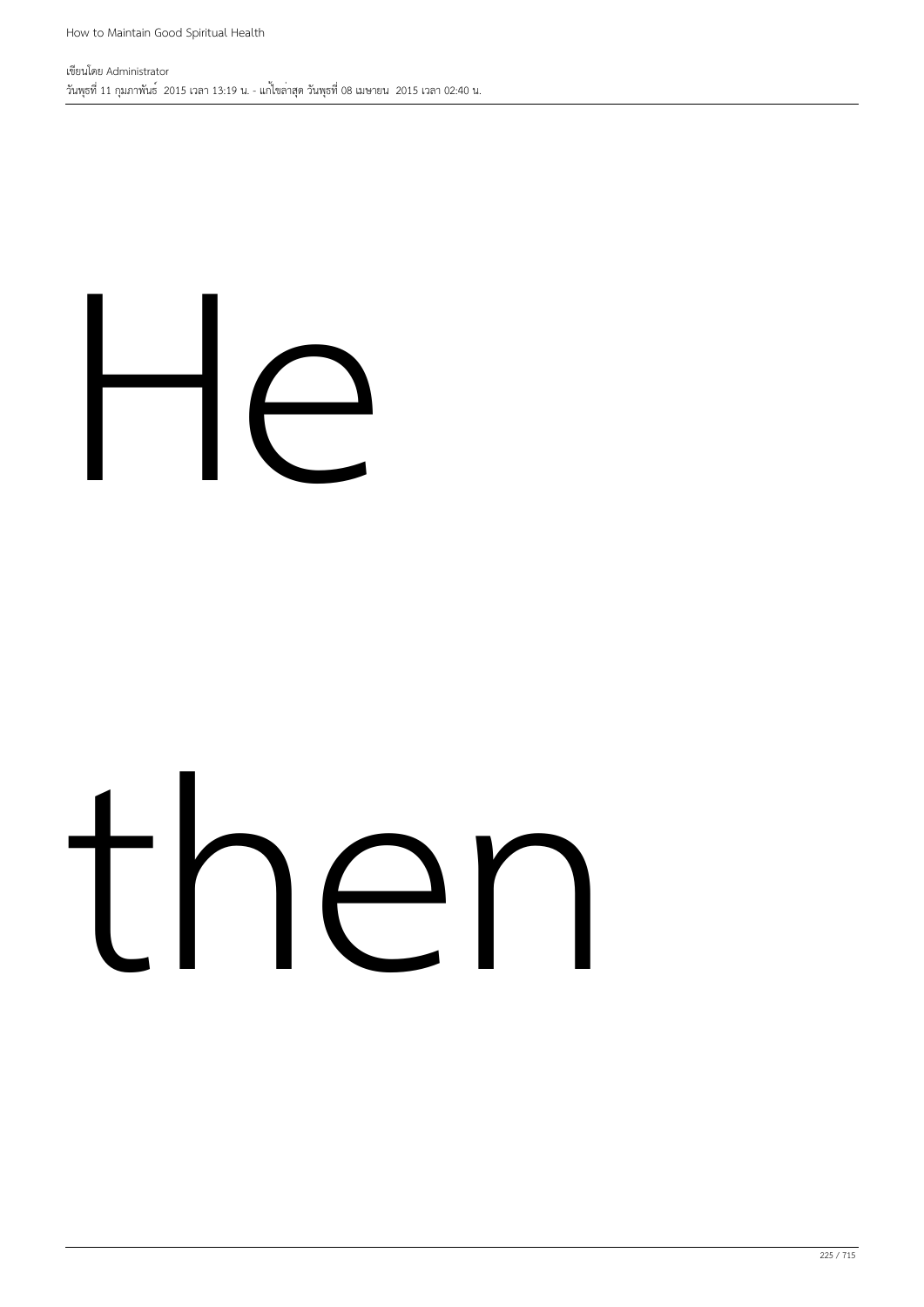#### He

#### then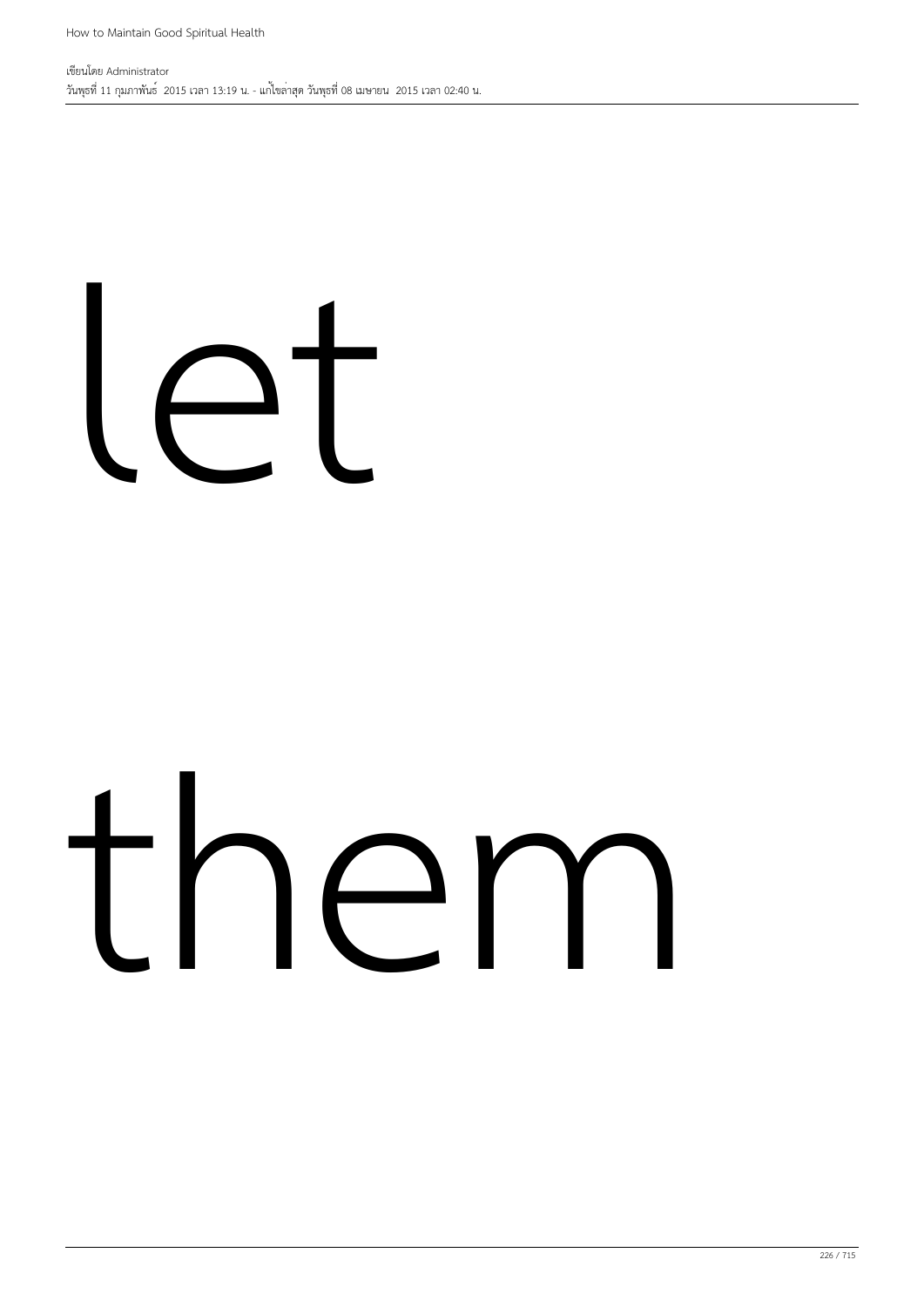#### let

#### them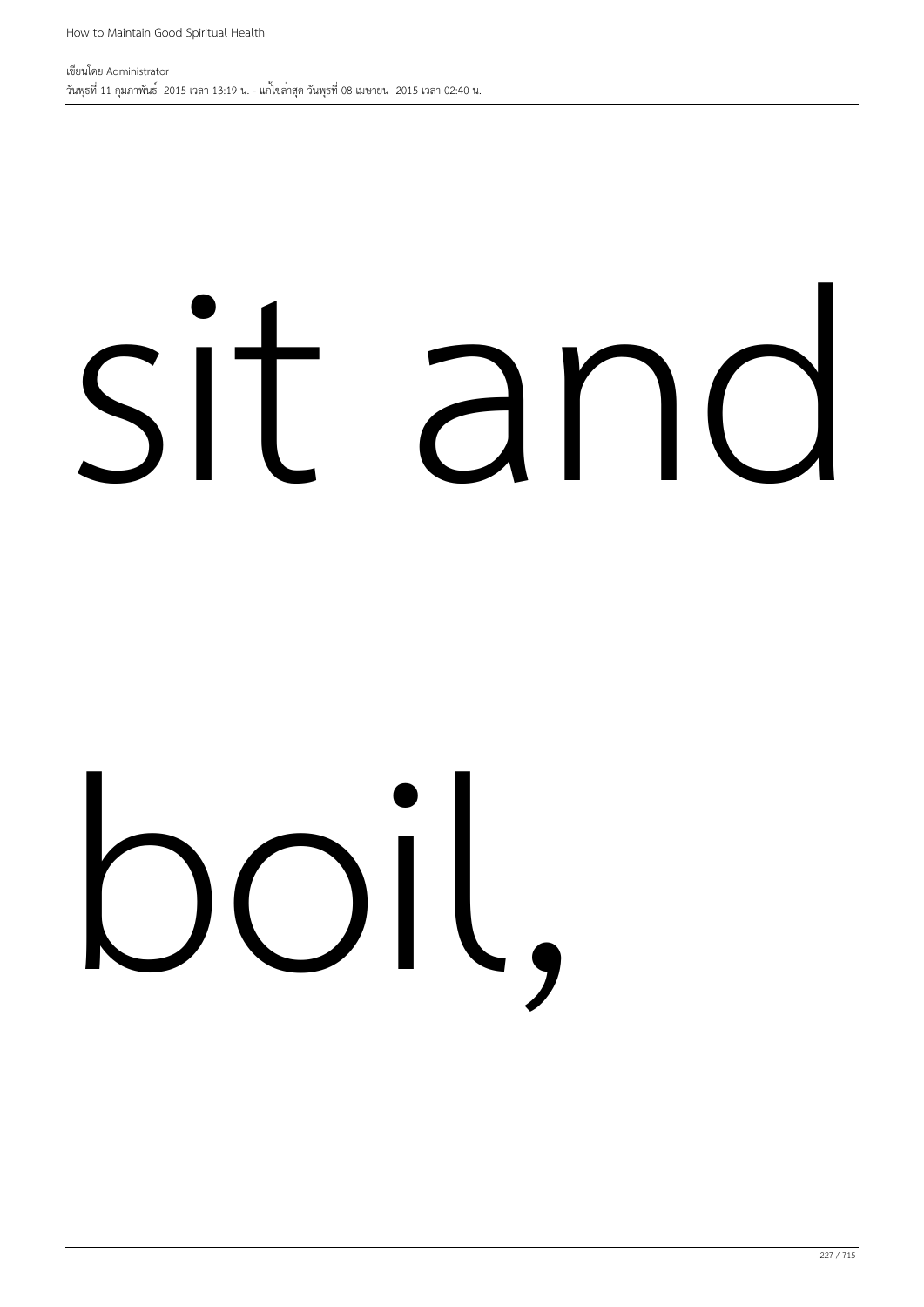### sit and

# boil,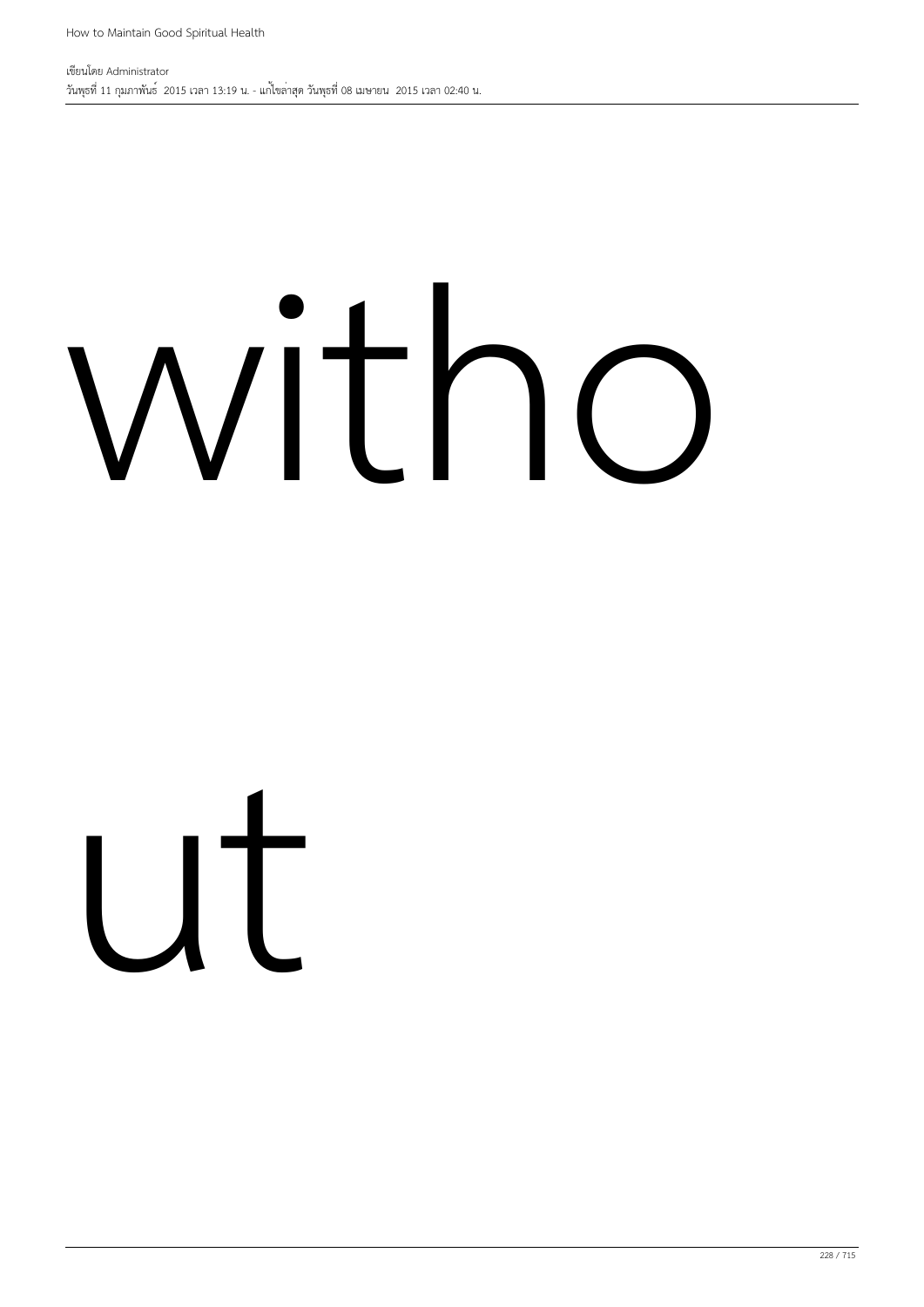### witho

#### ut 1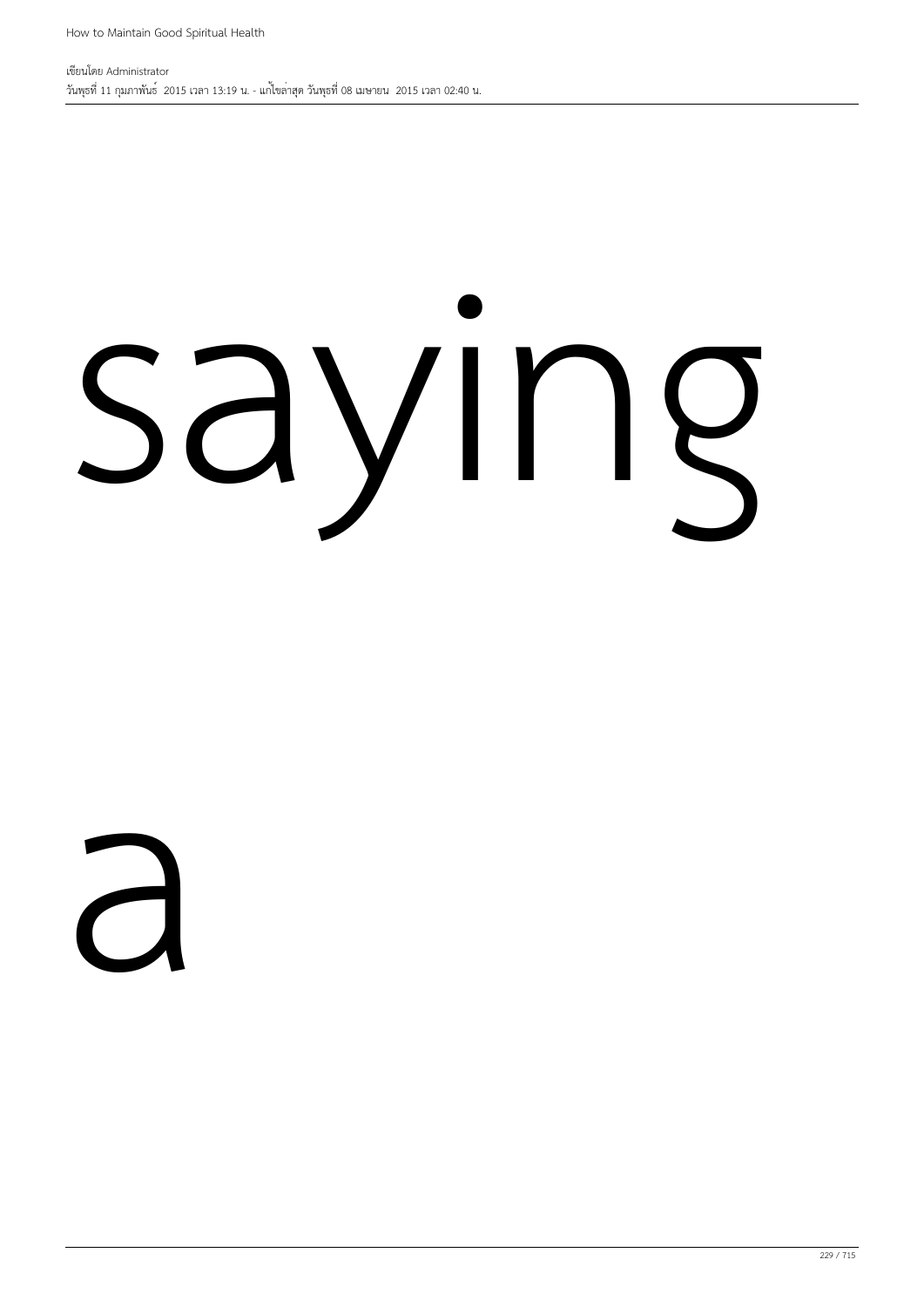# saying

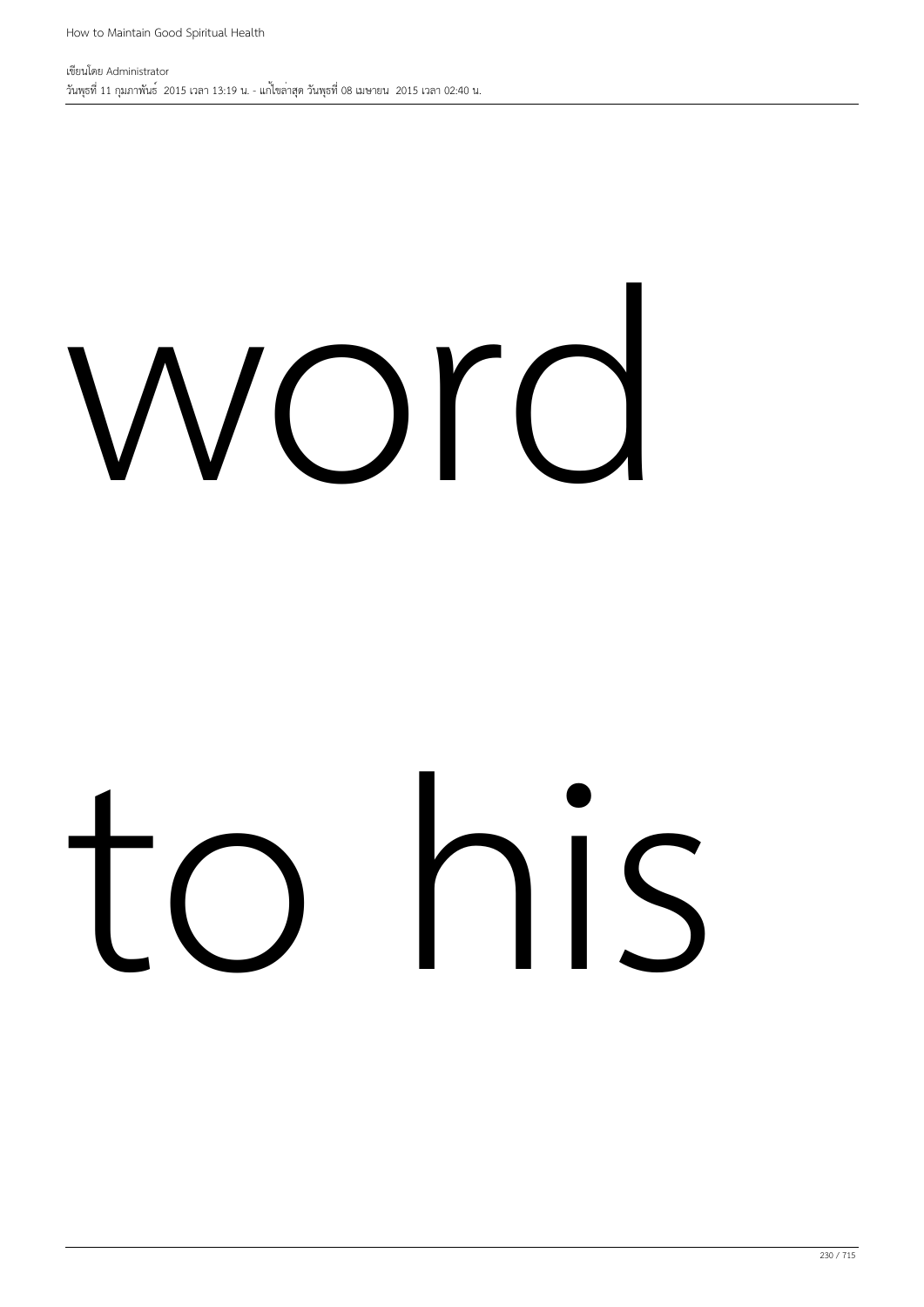#### word

#### to his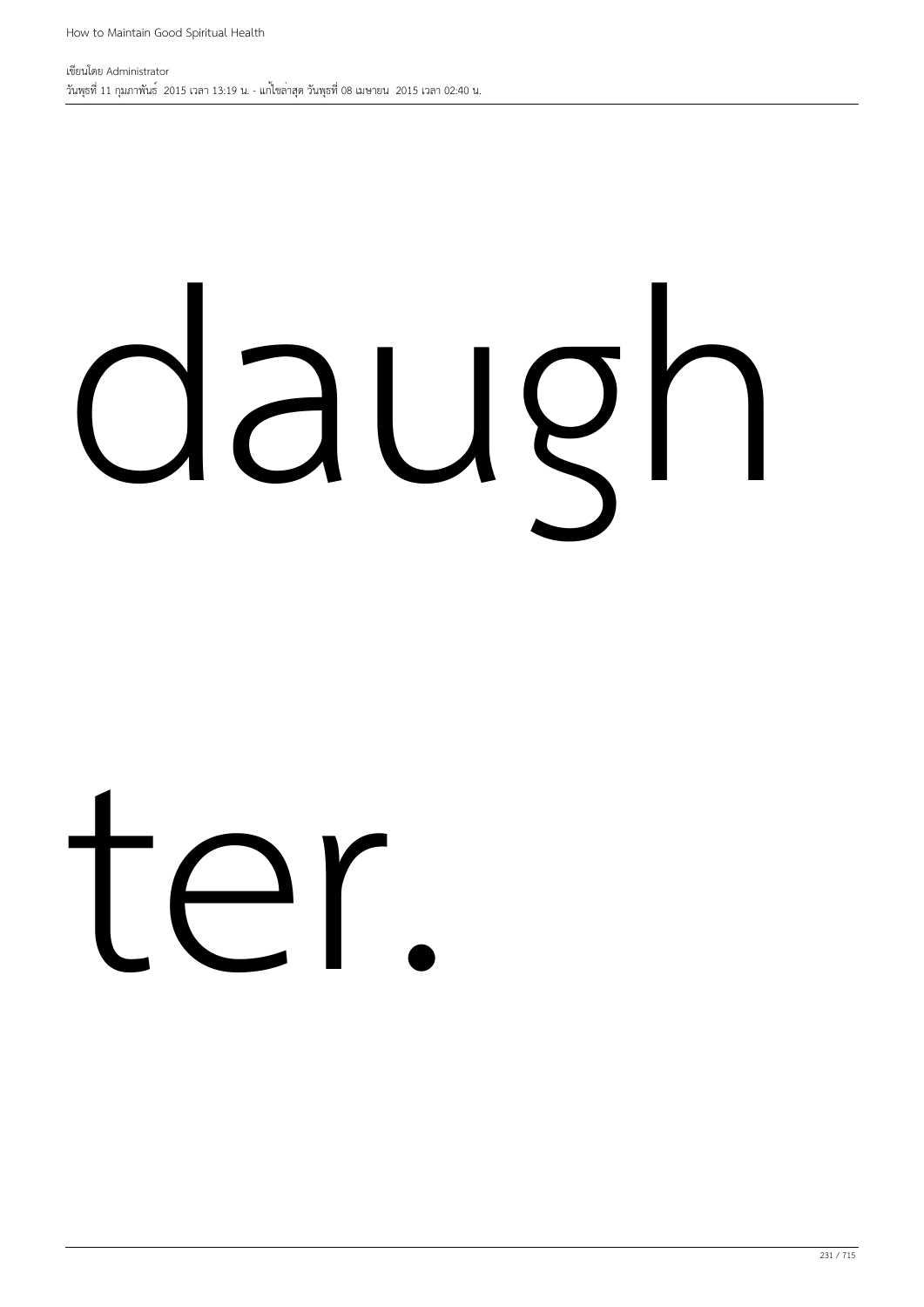# daugh

#### ter.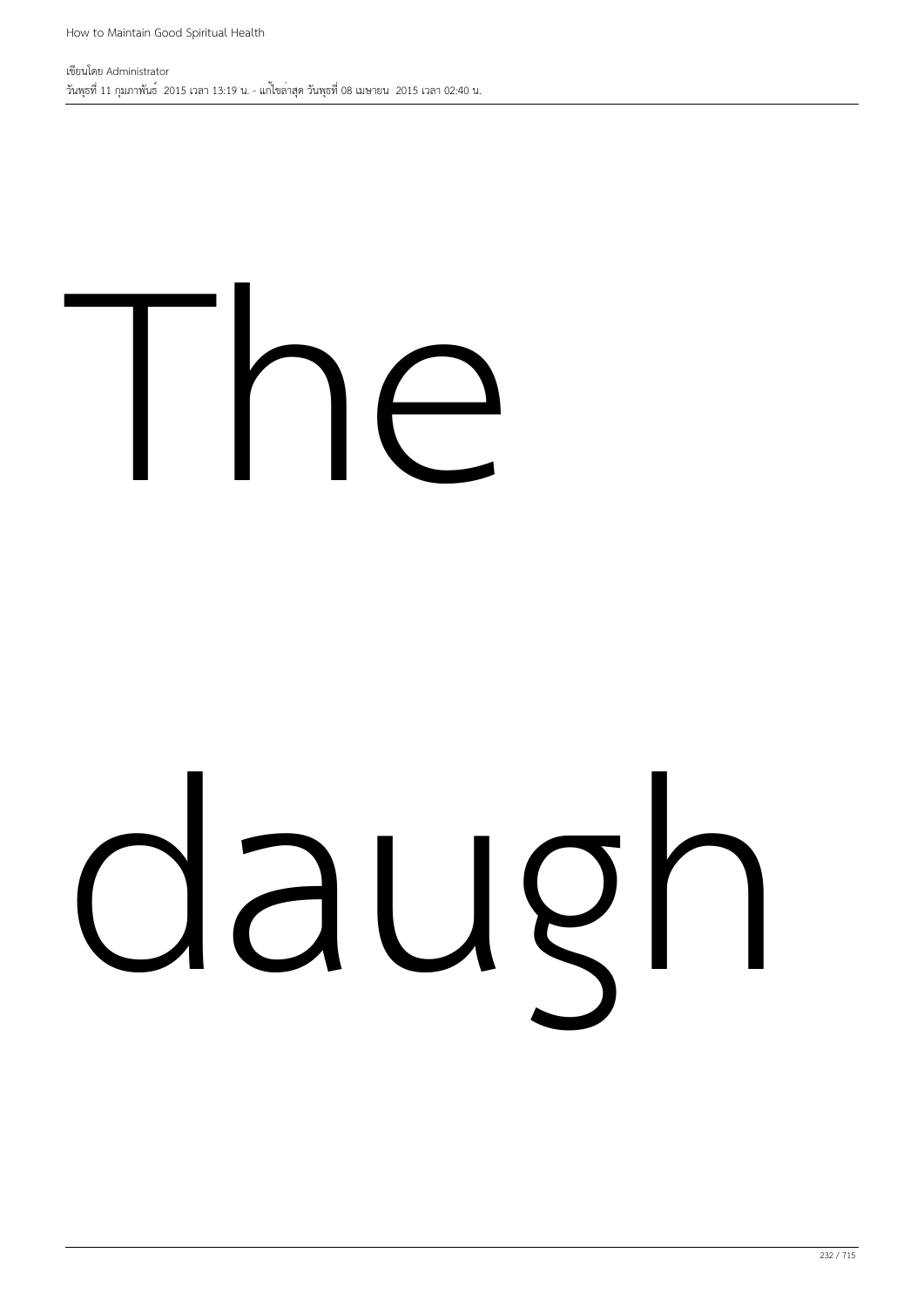#### The

# daugh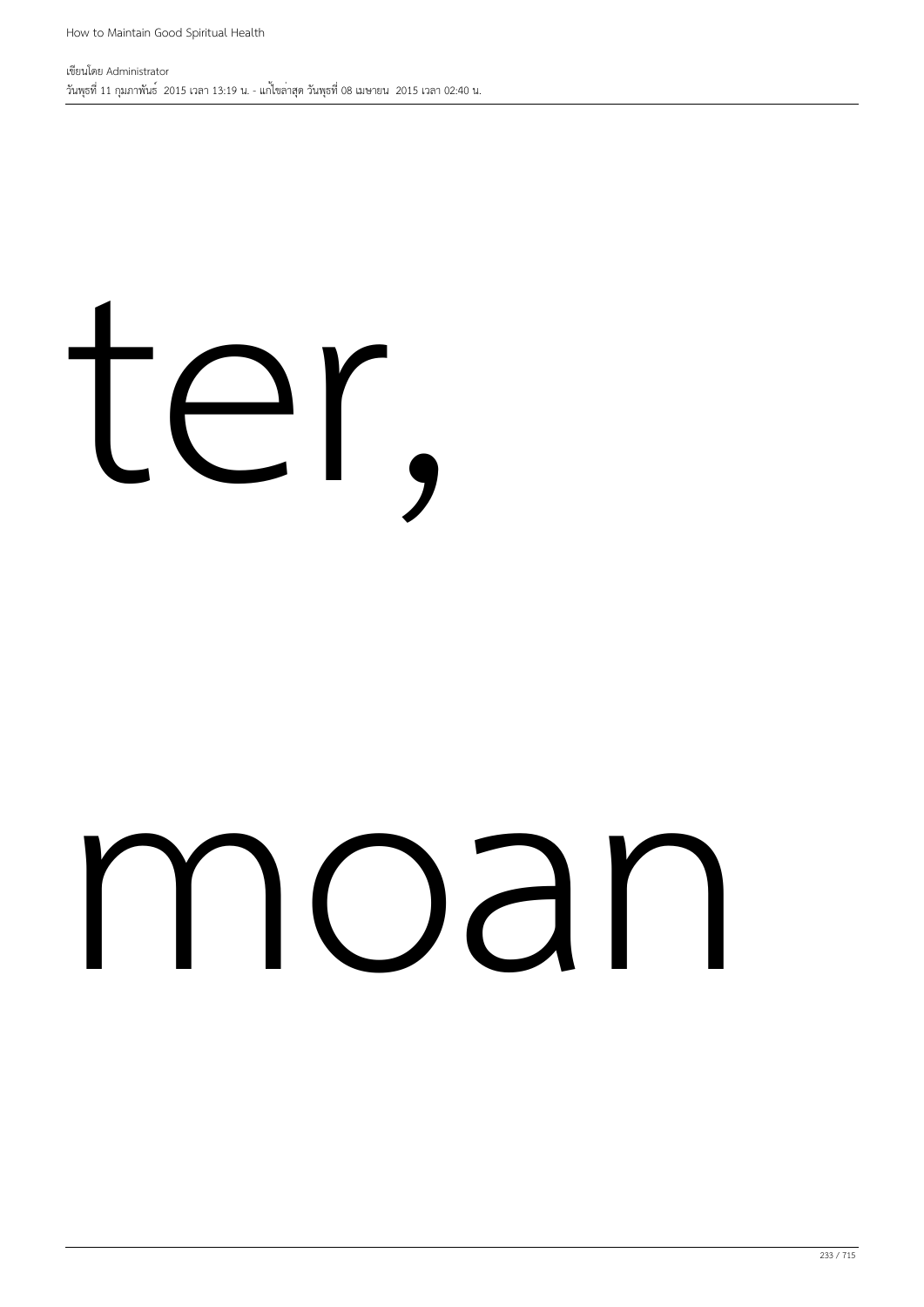### ter,

#### moan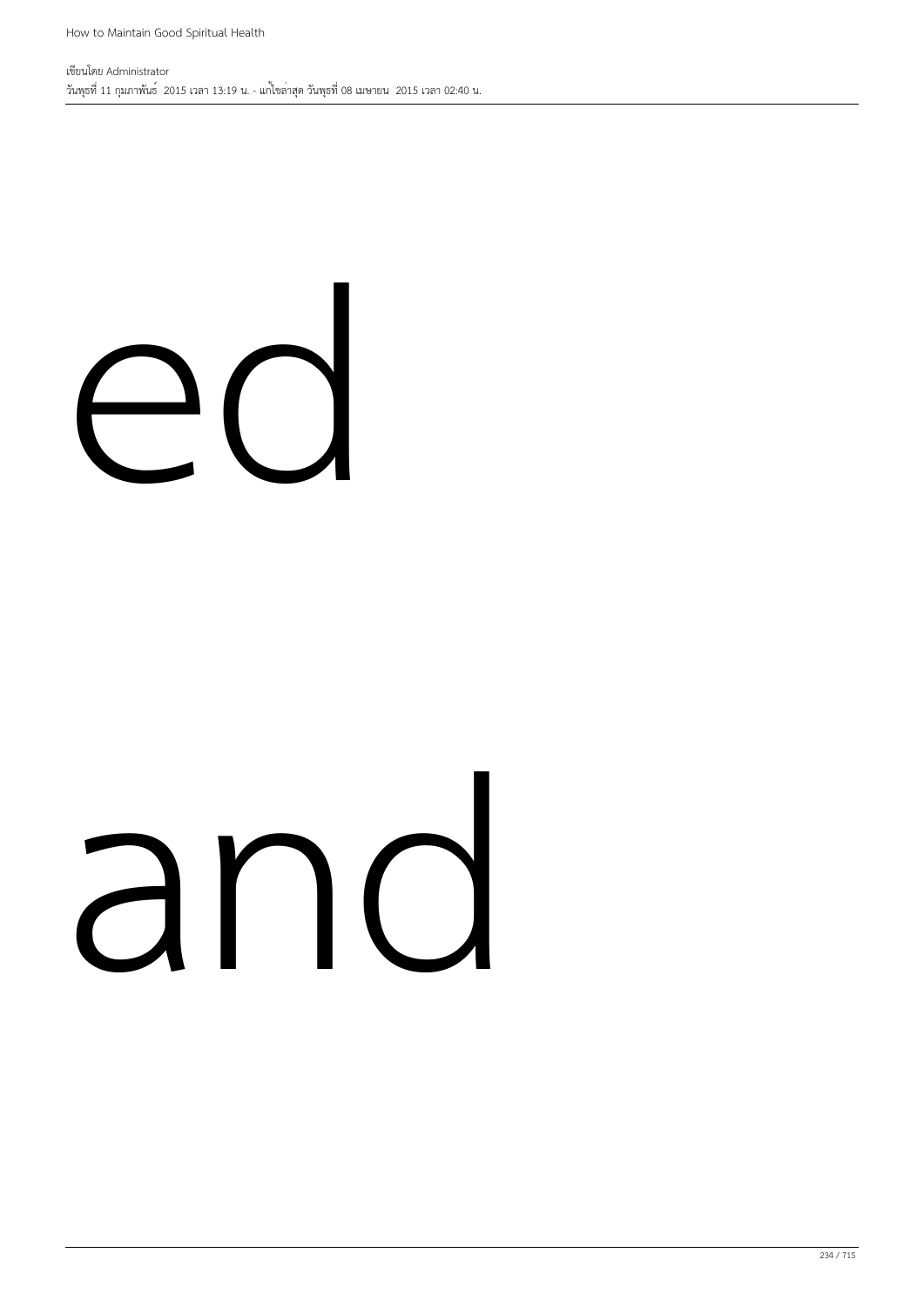#### ed

#### and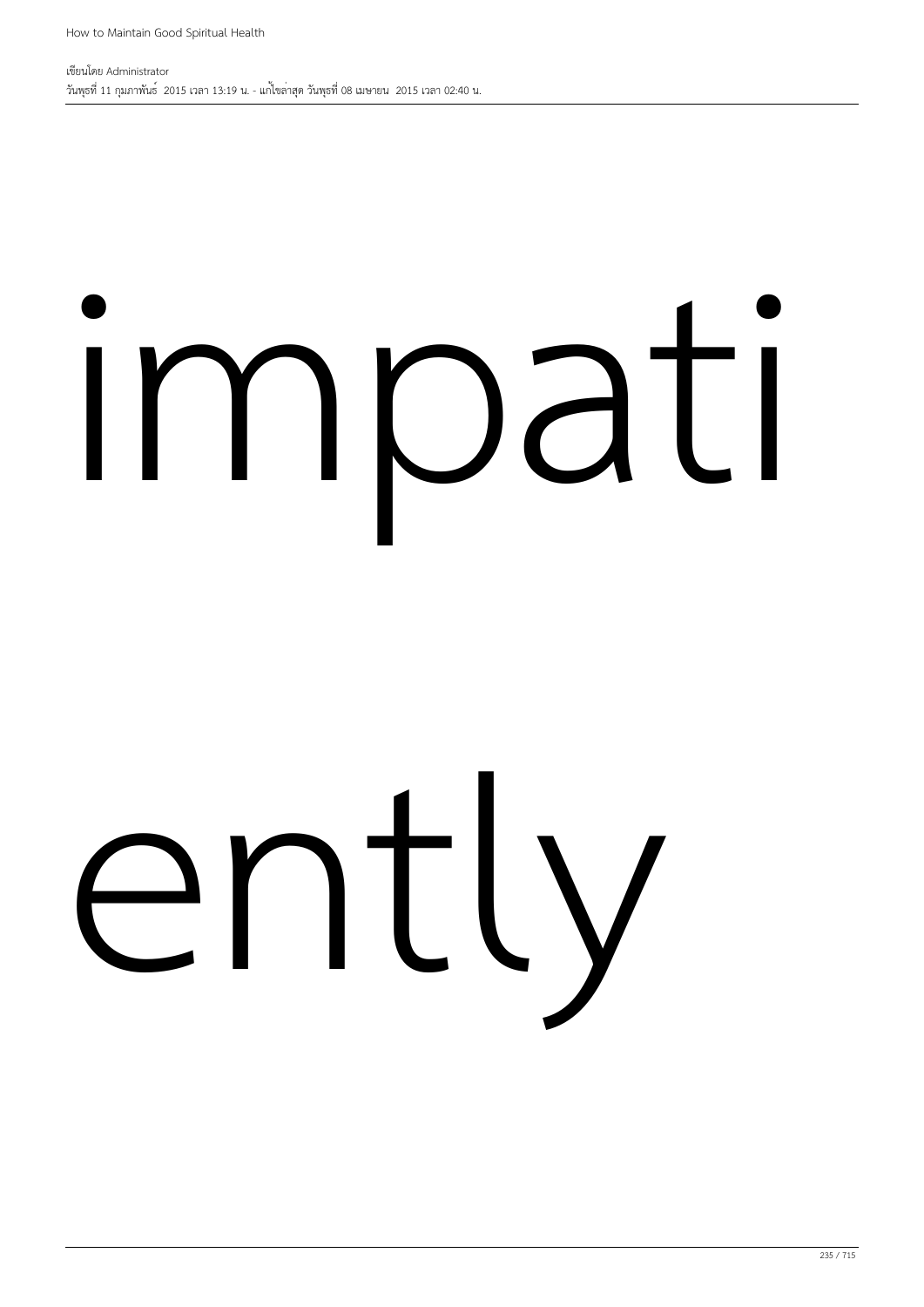# impati

# ently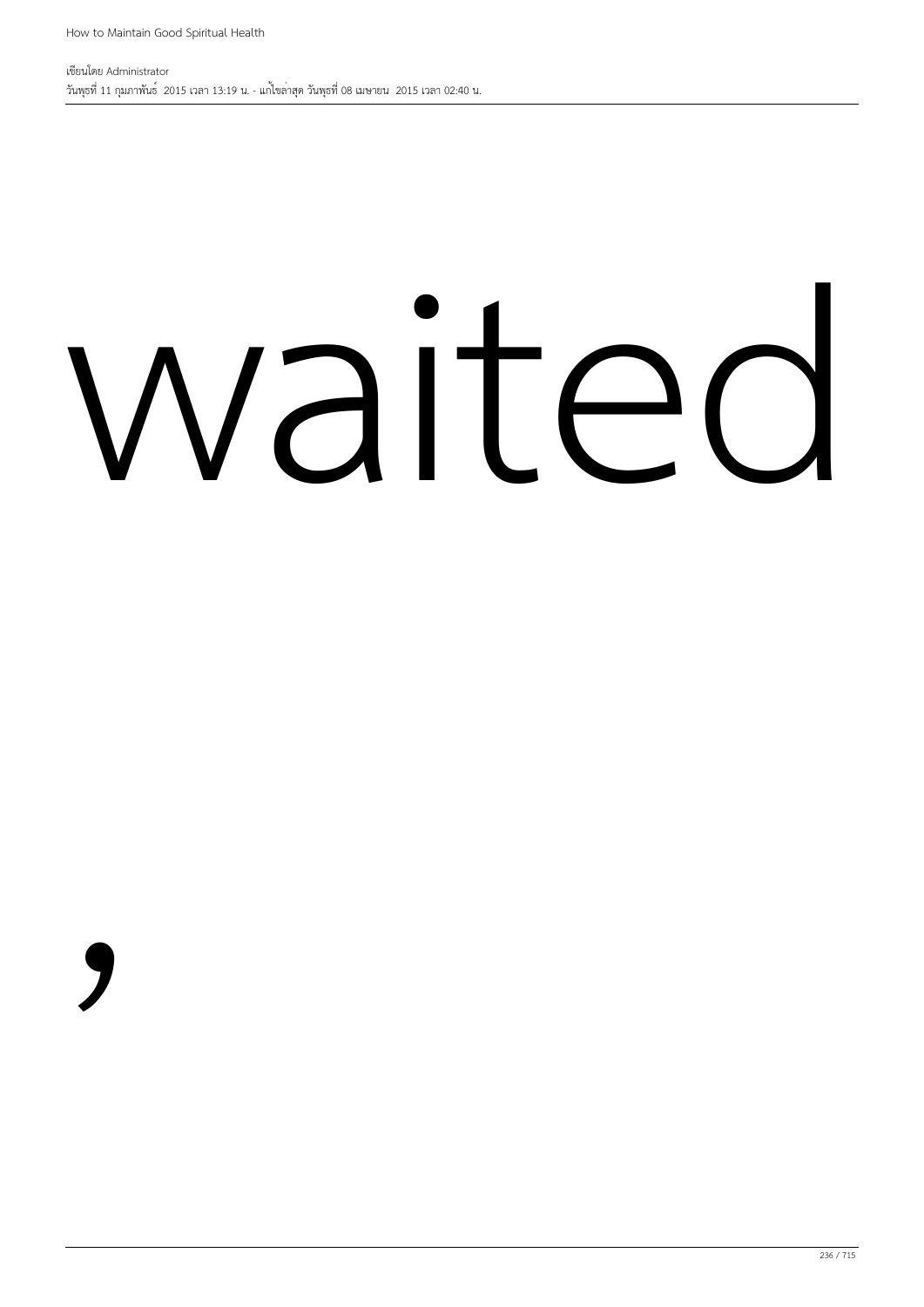### waited



236 / 715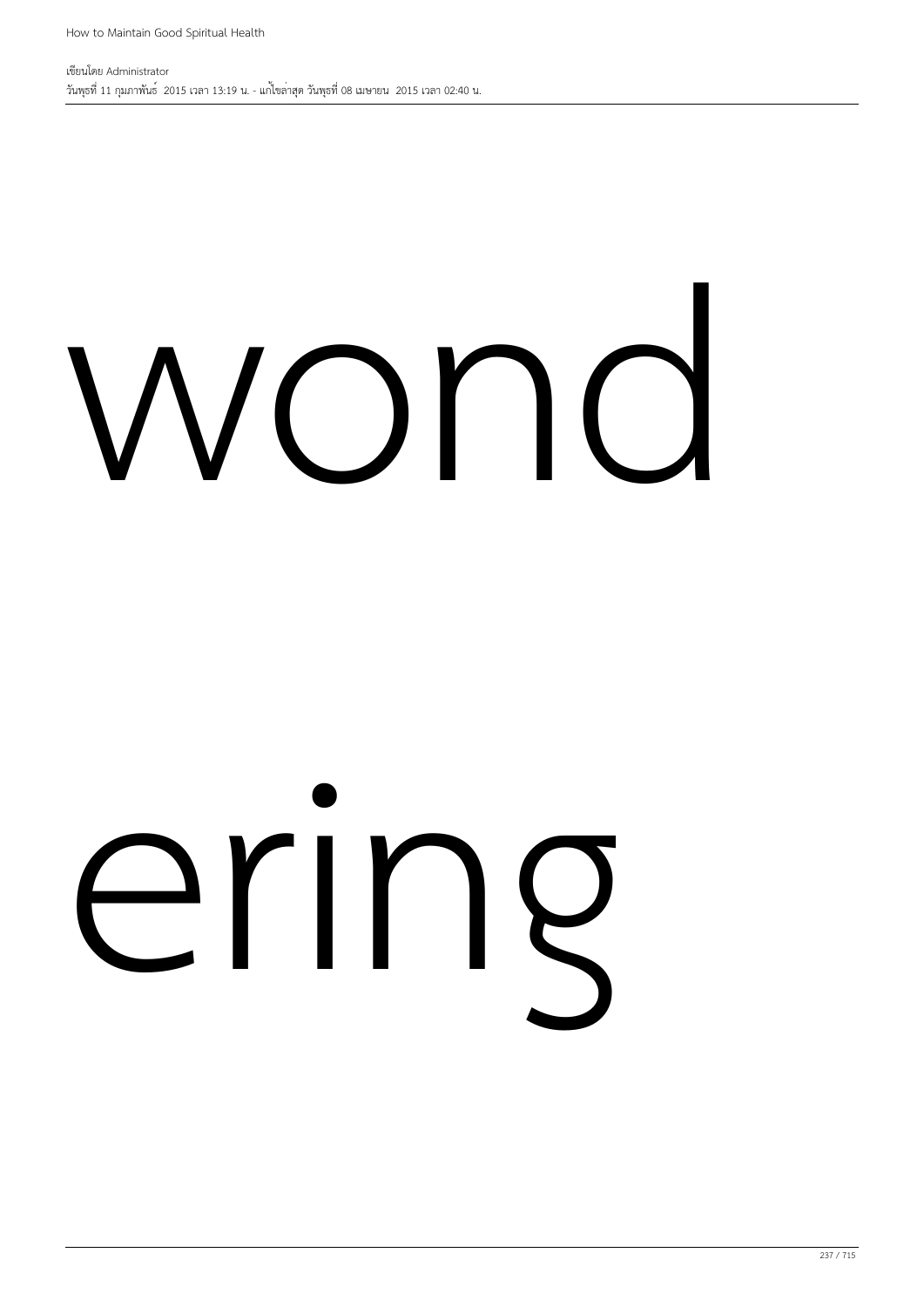#### wond

# ering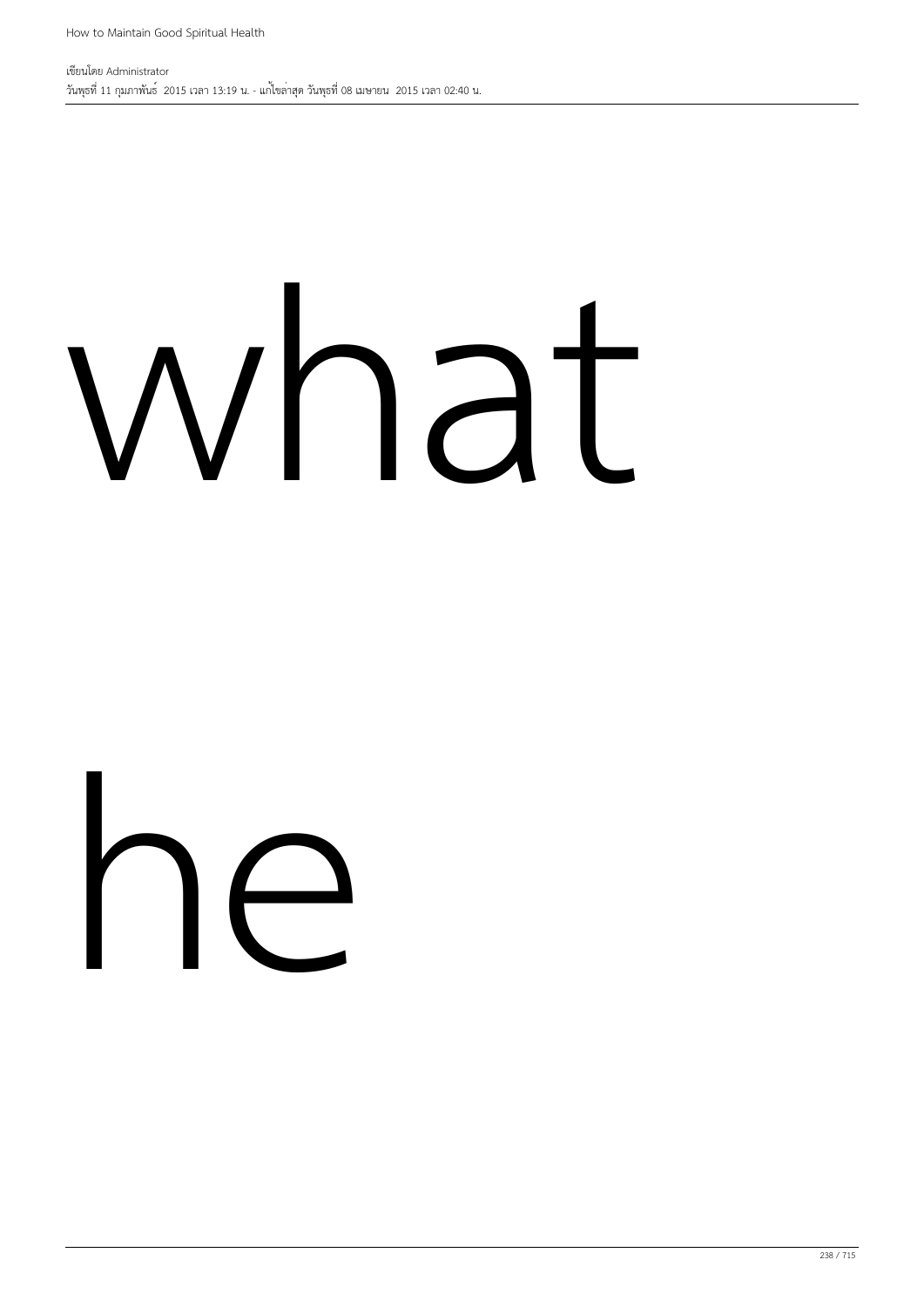### what

#### he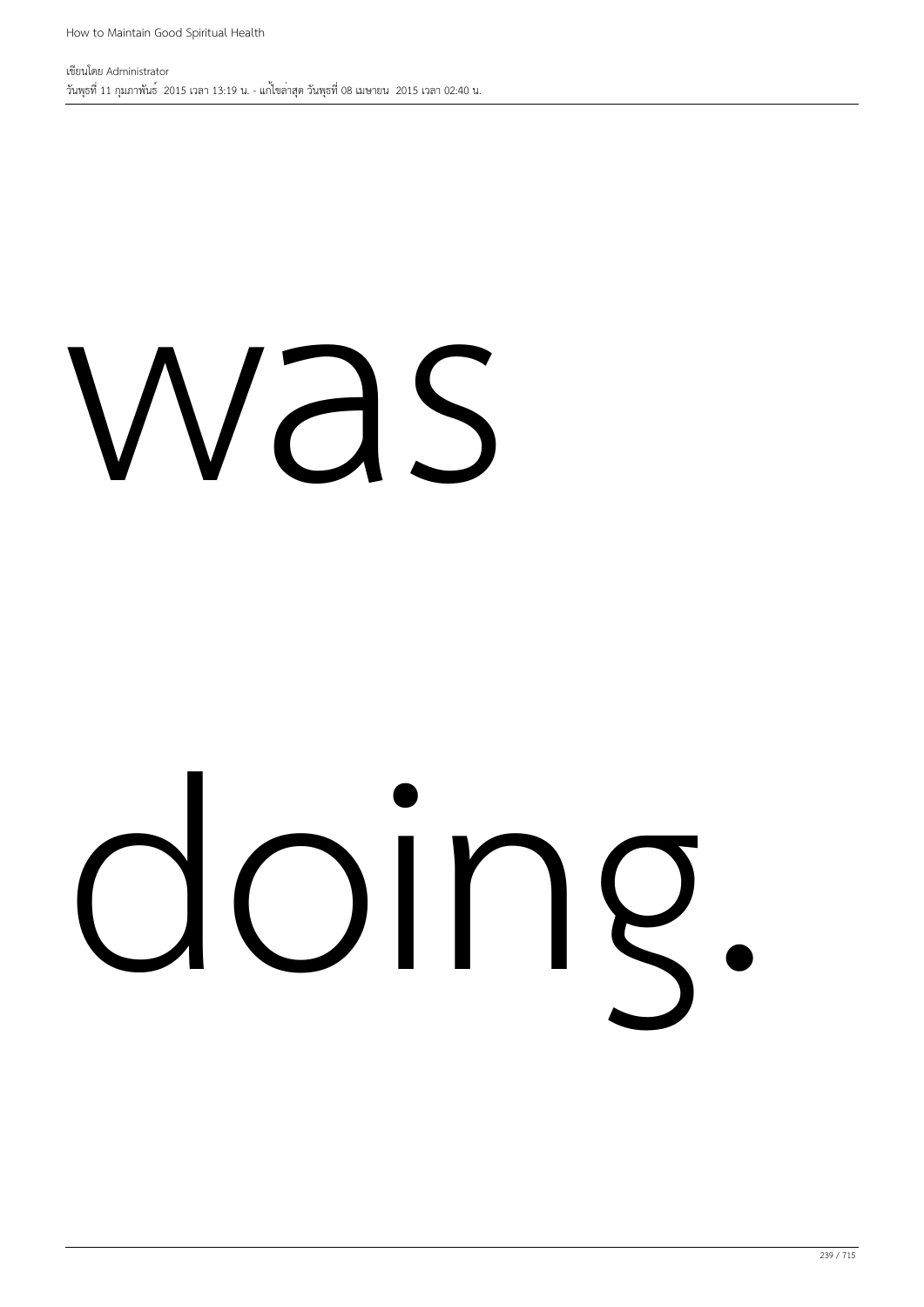#### was

# doing.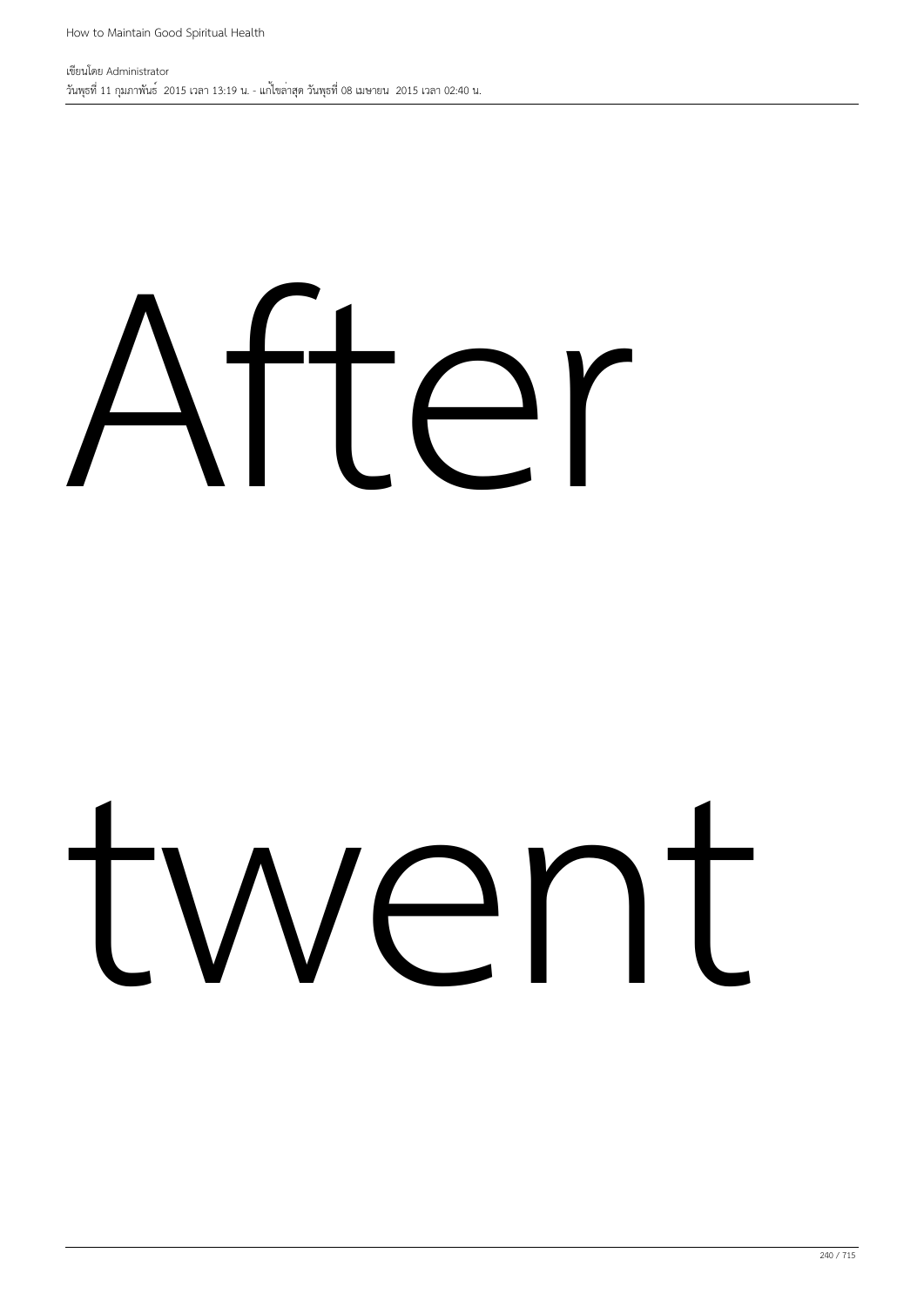### Atter

#### twent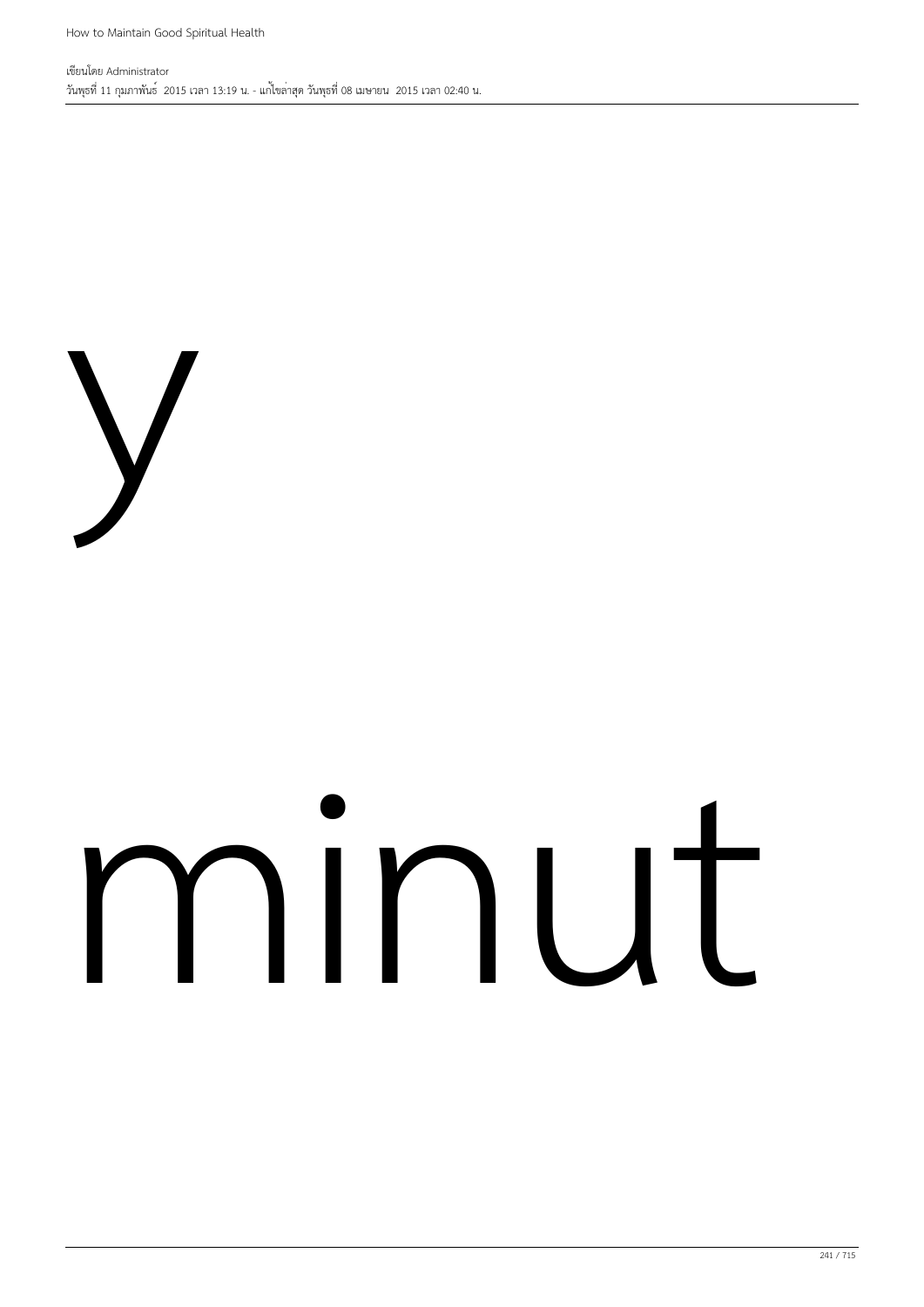

#### minut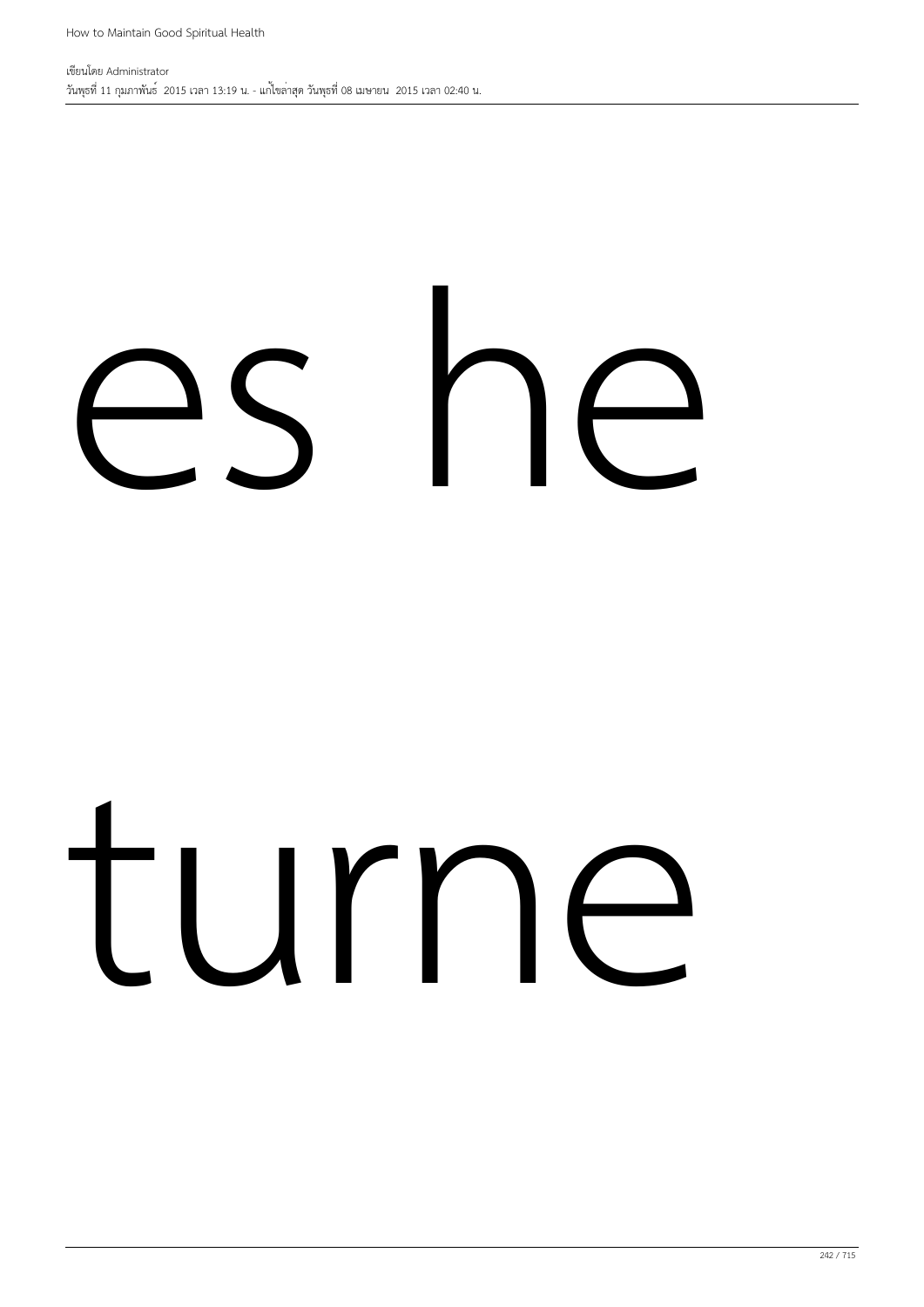#### es he

#### turne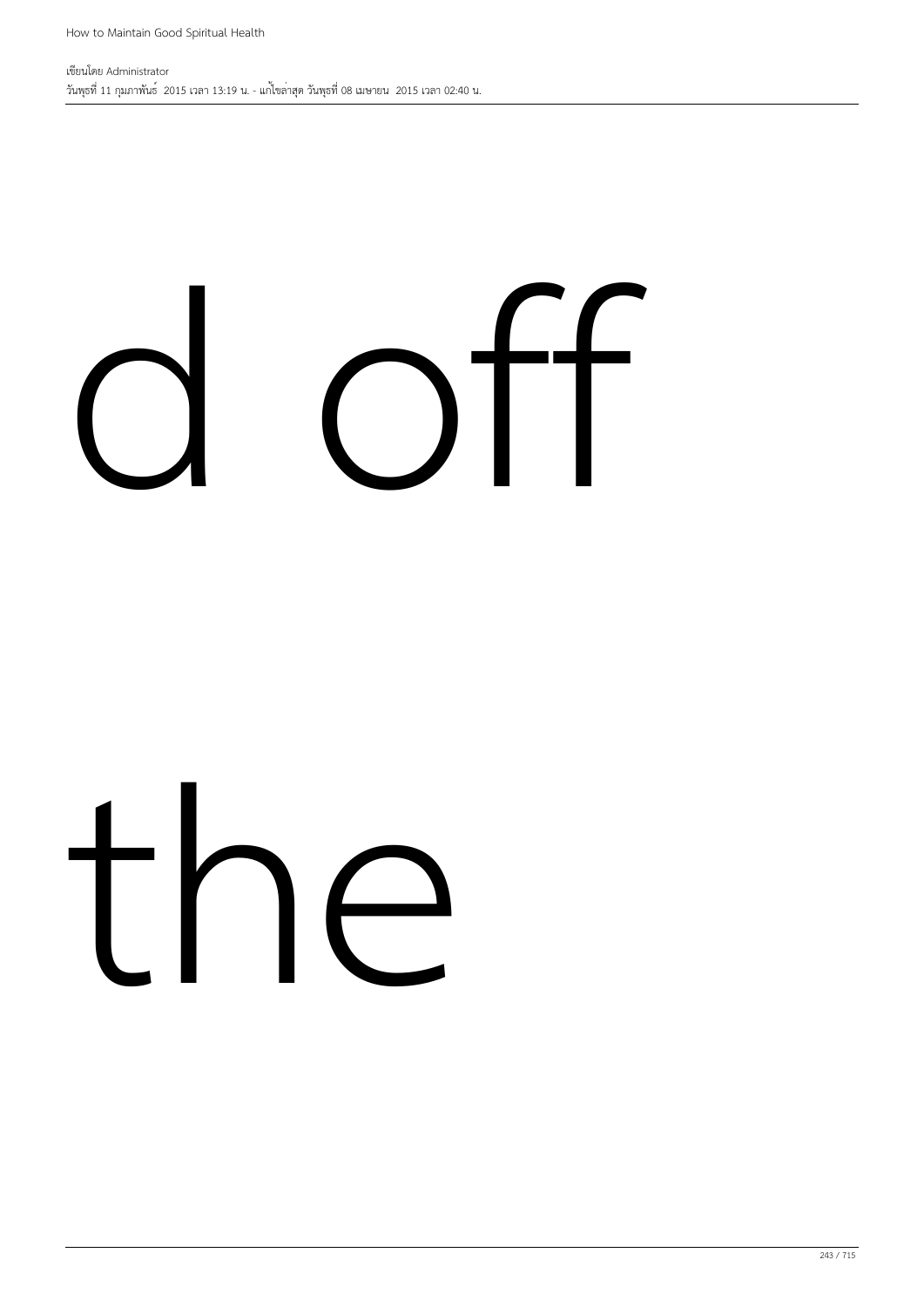### $Off$

#### the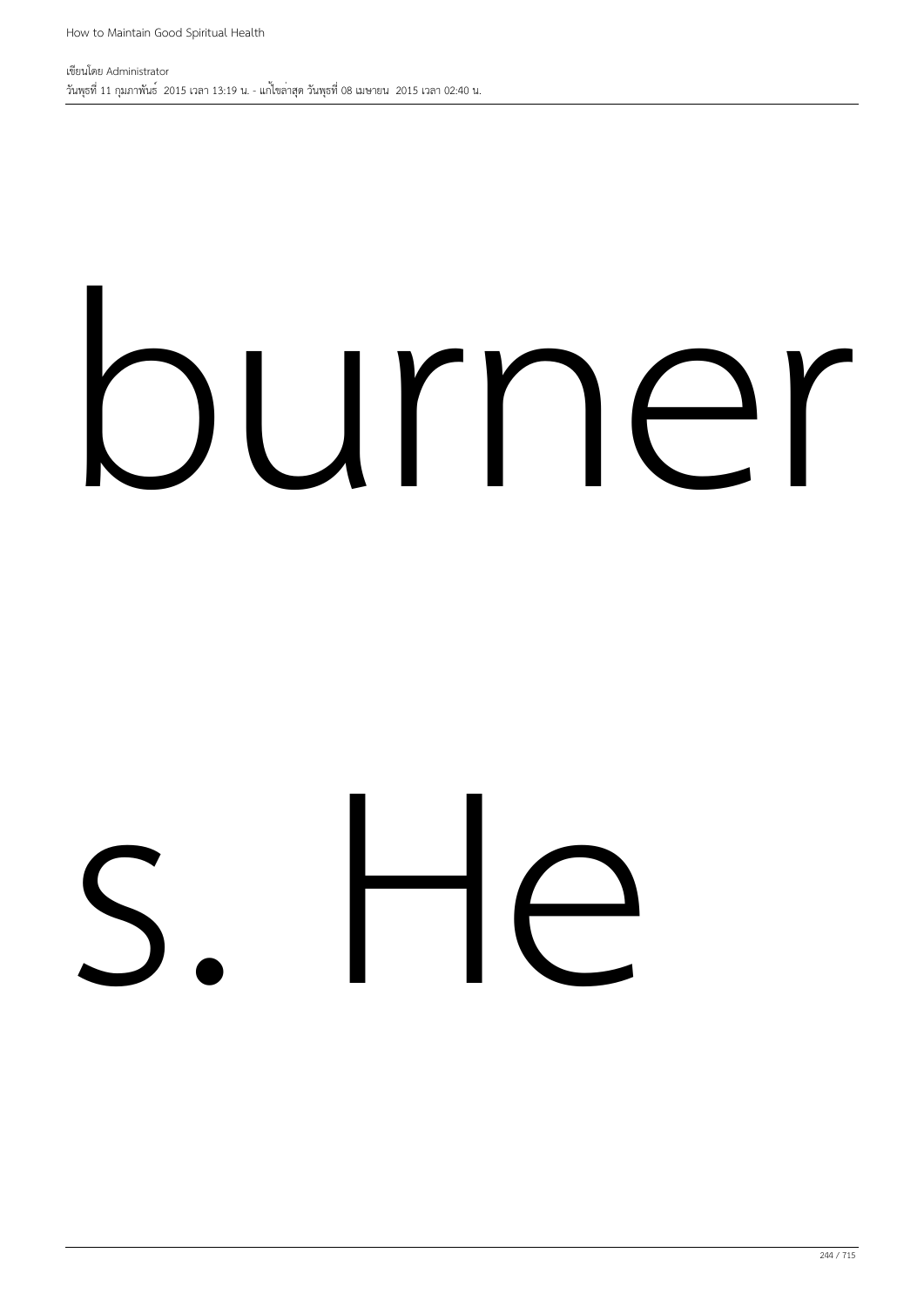#### burner

#### s. He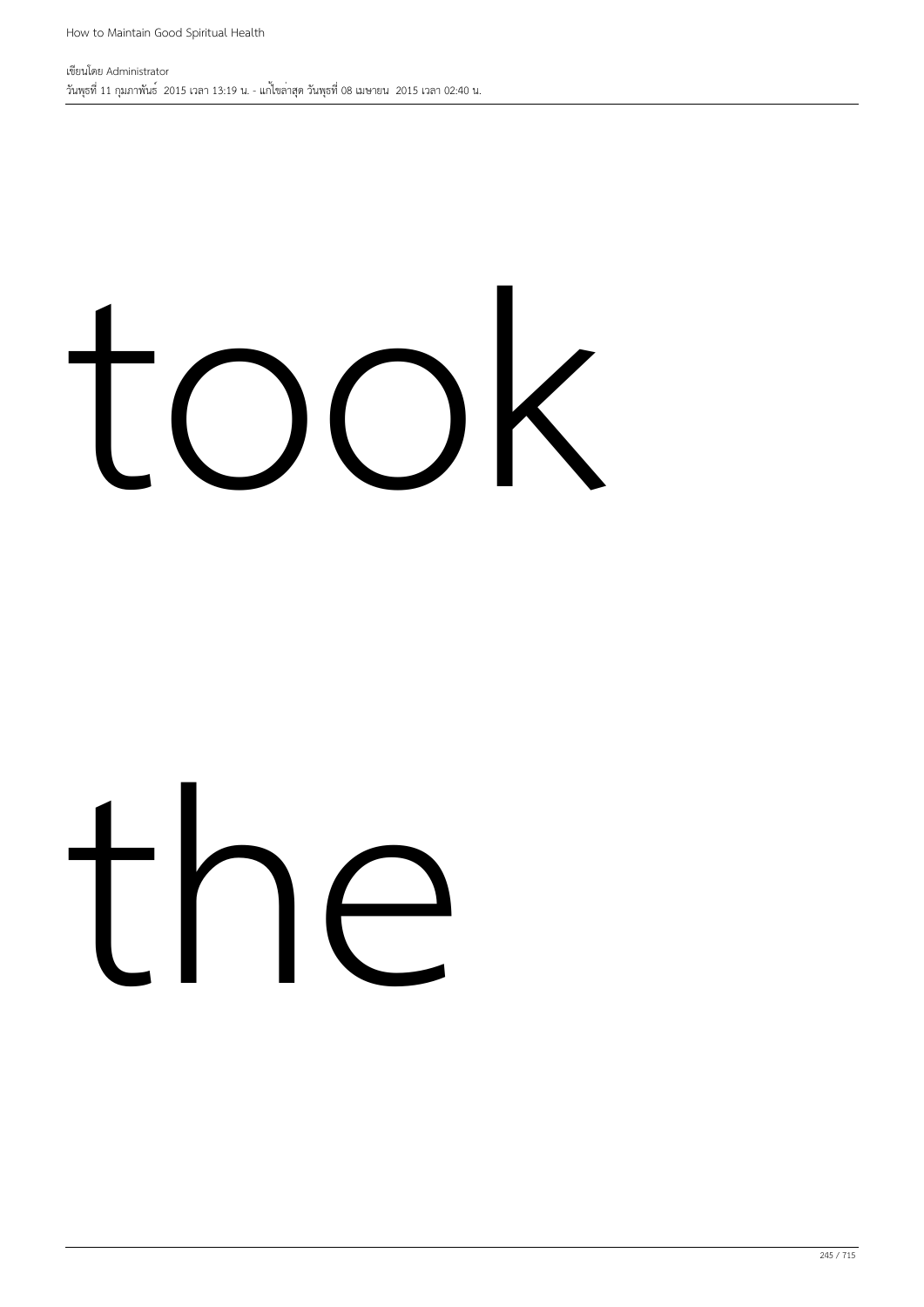### took

#### the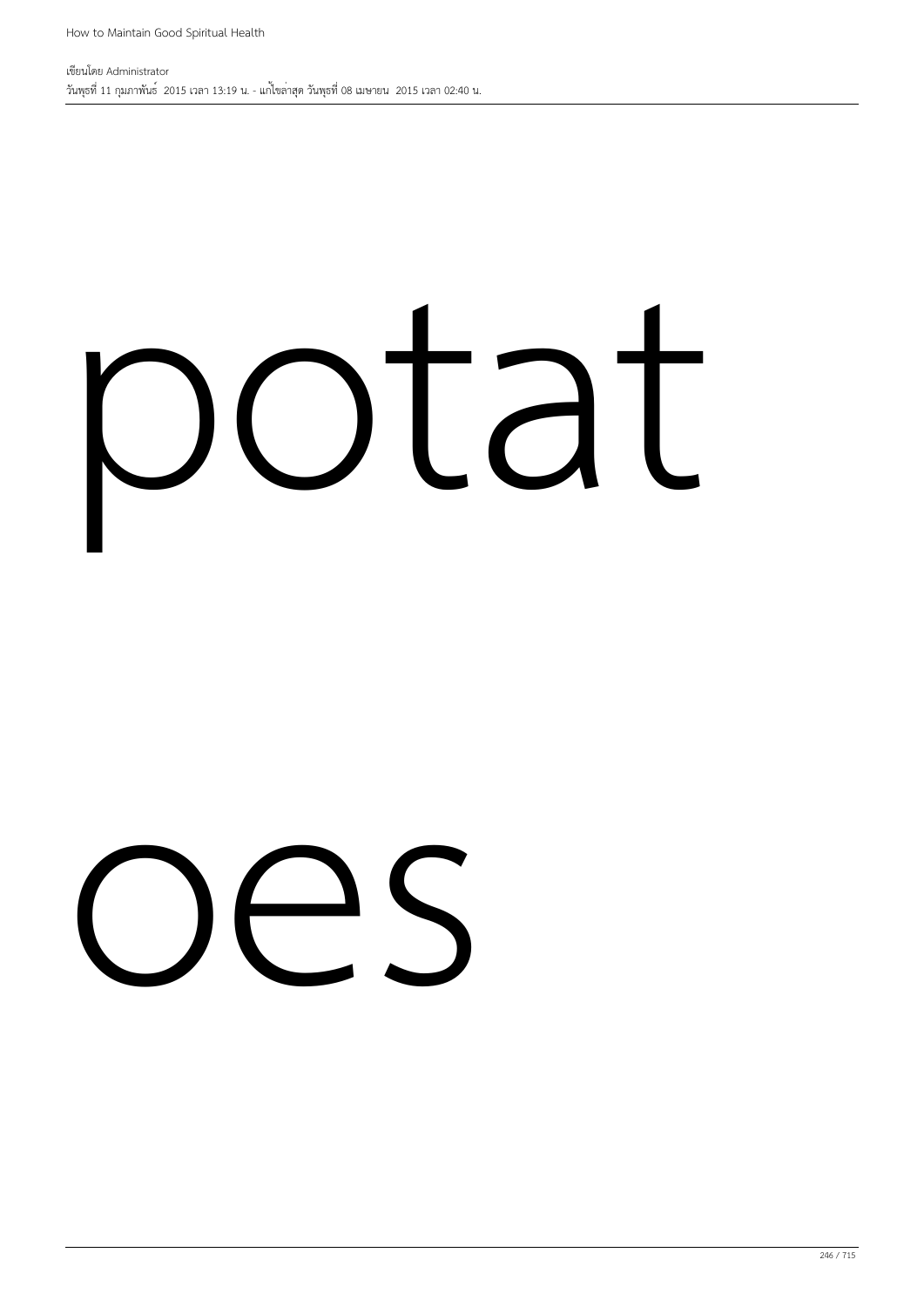# potat

#### $\bigcirc$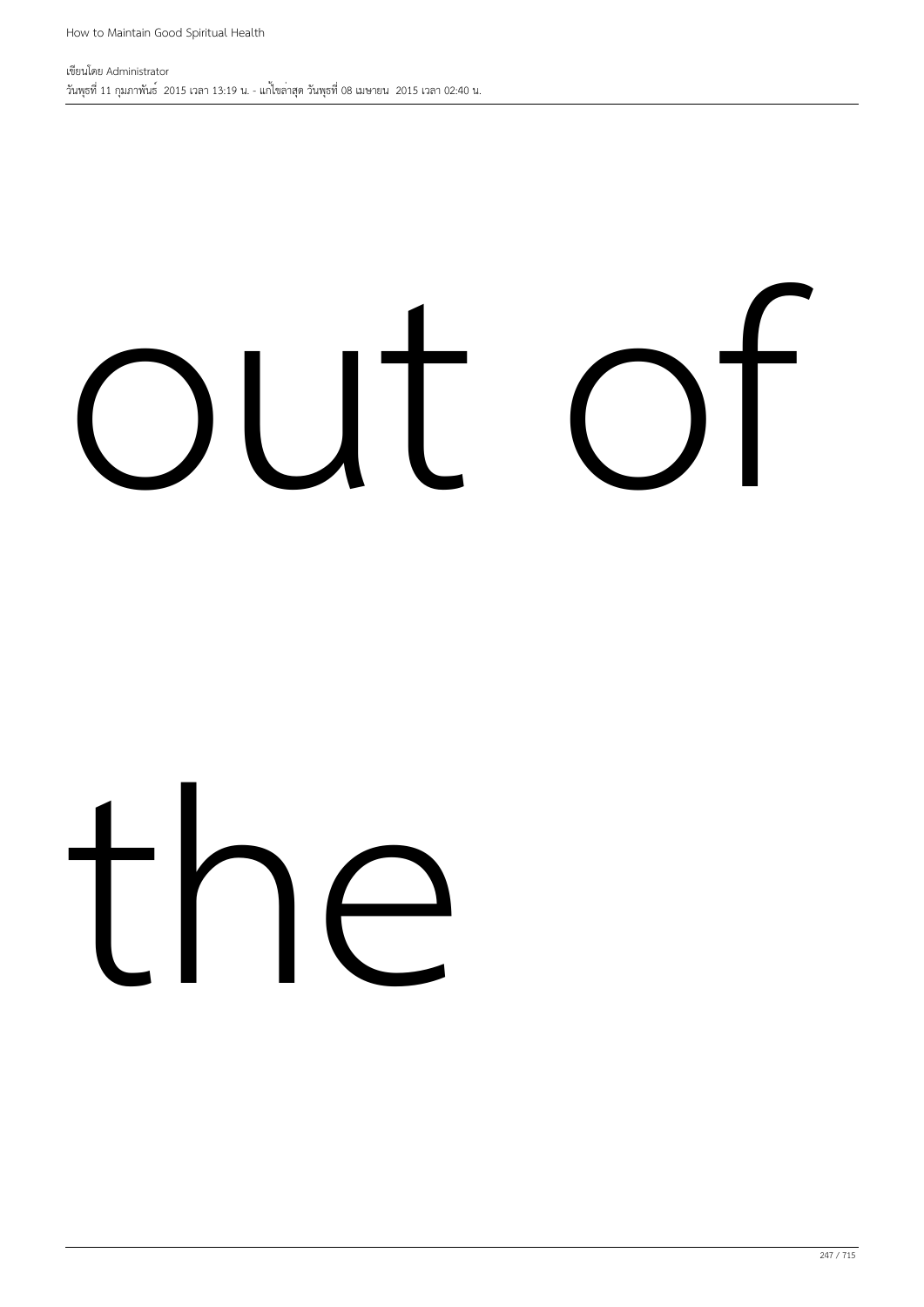### out of

#### the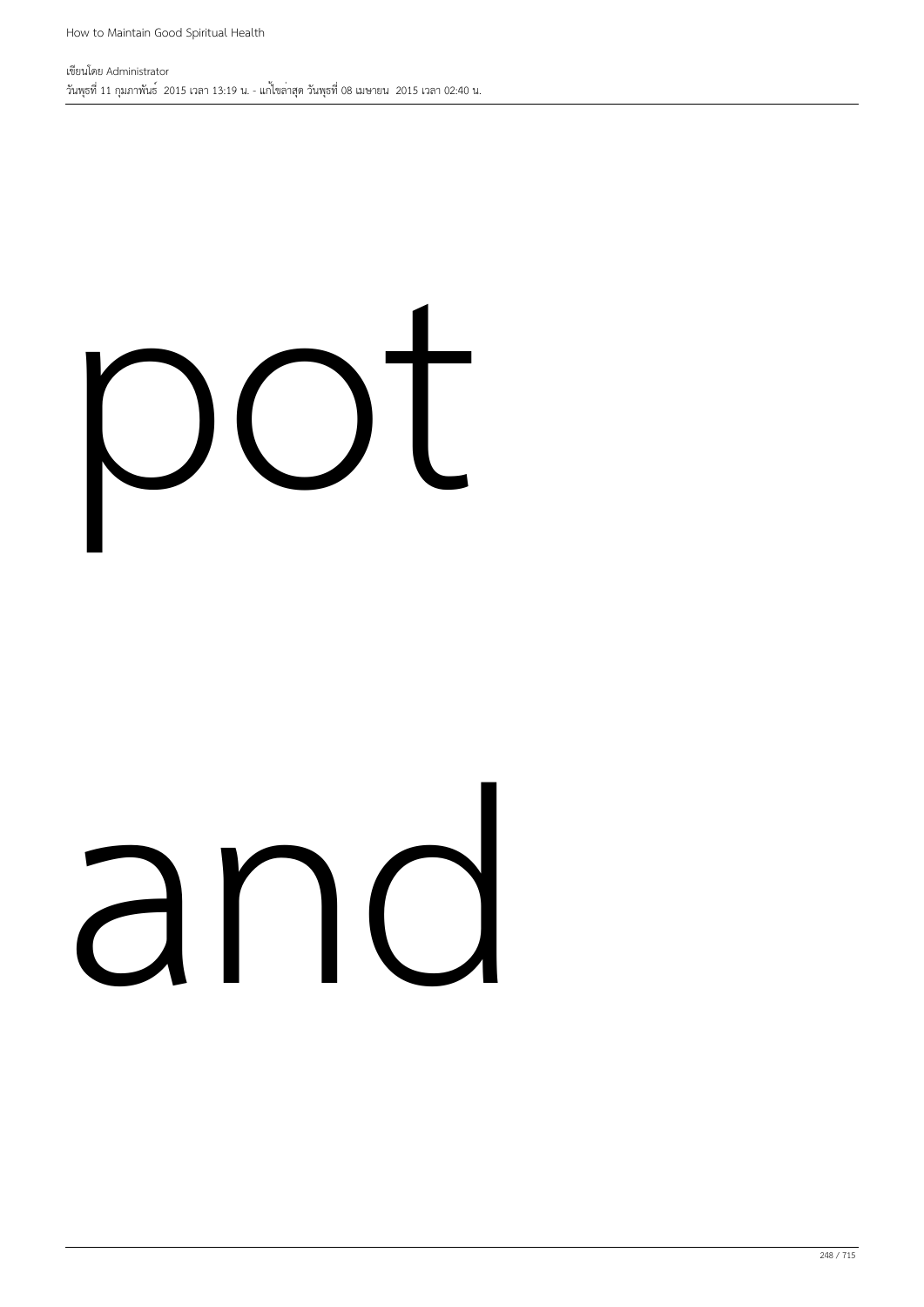# pot

#### and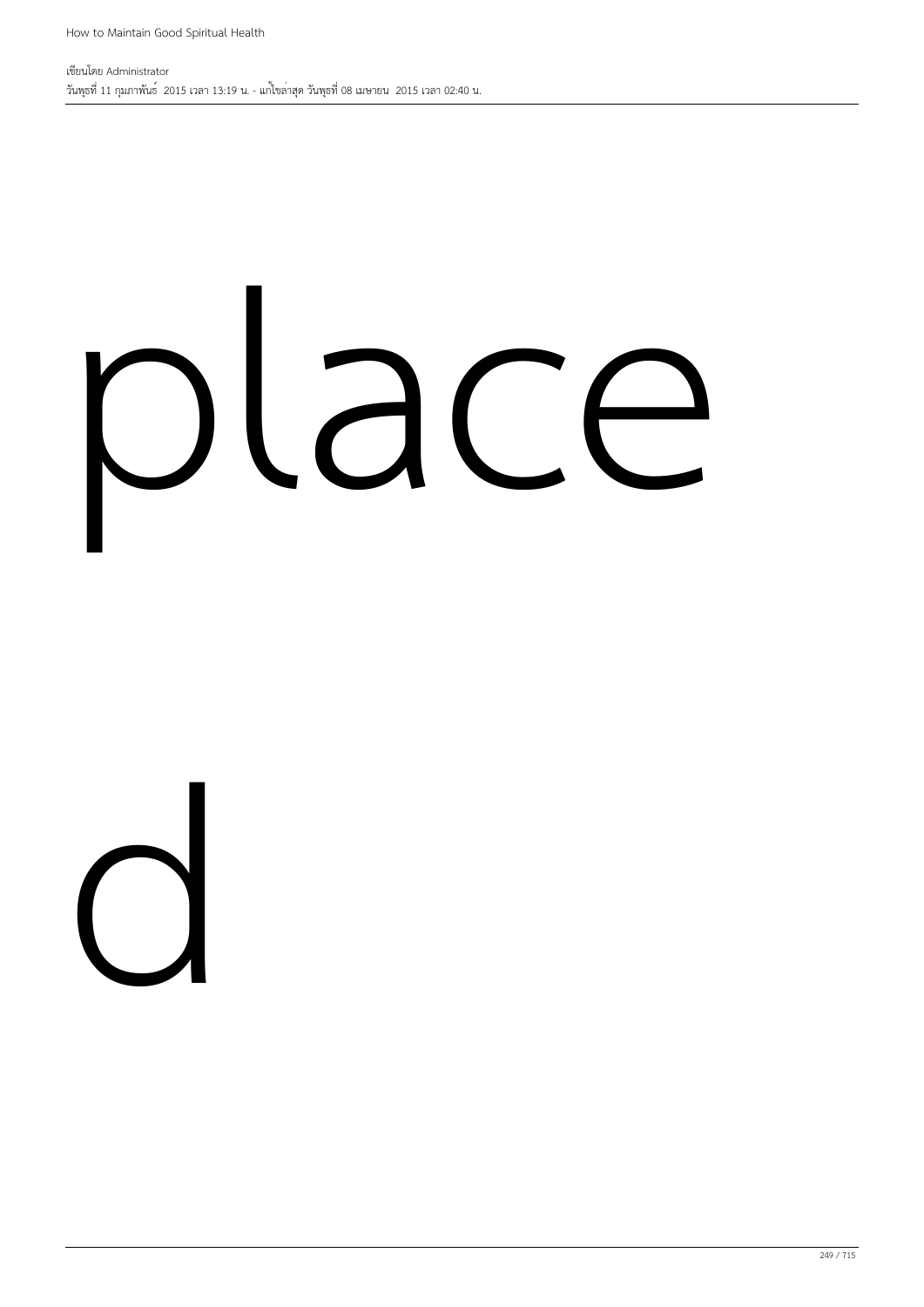# place

# d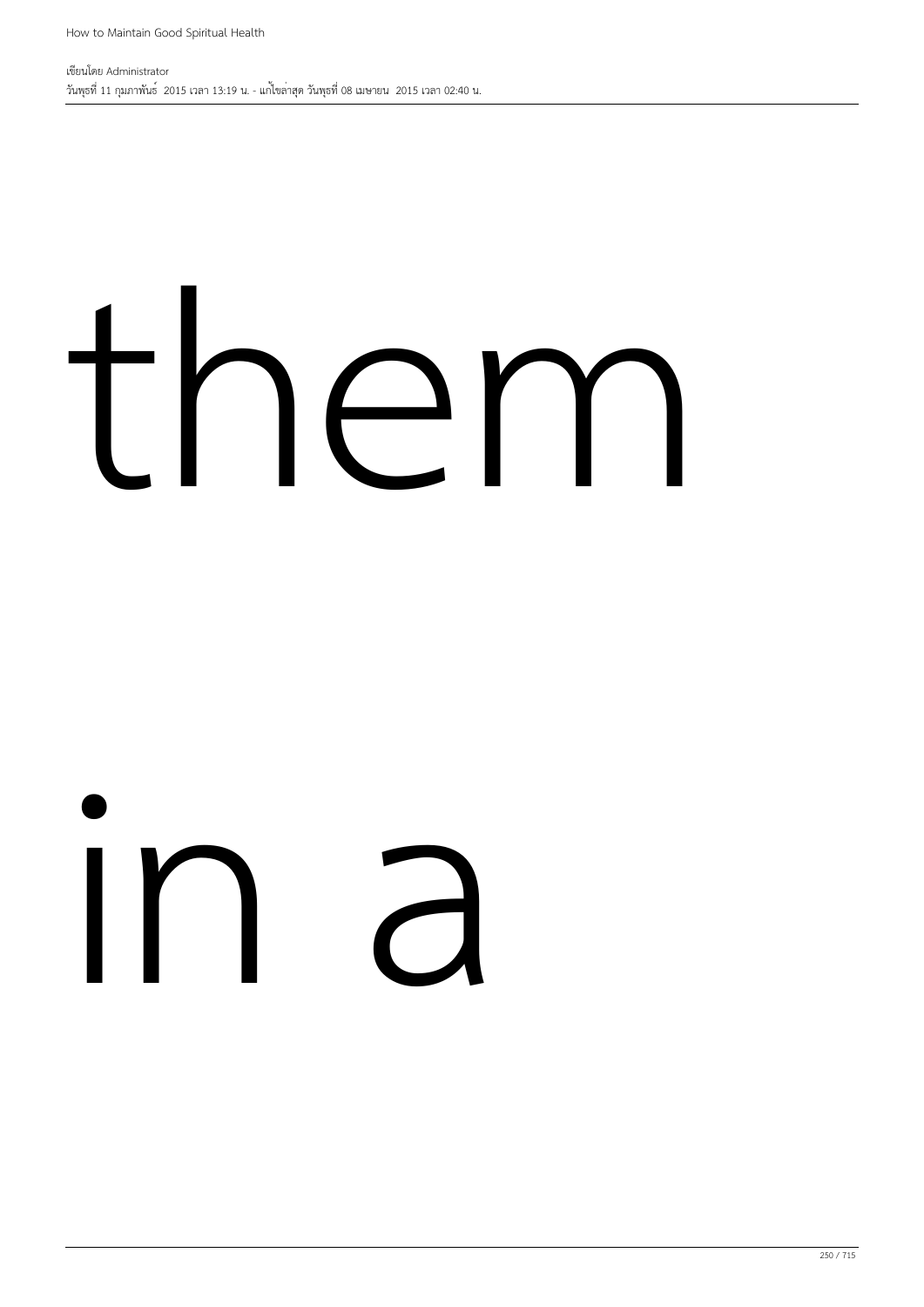#### them

#### in a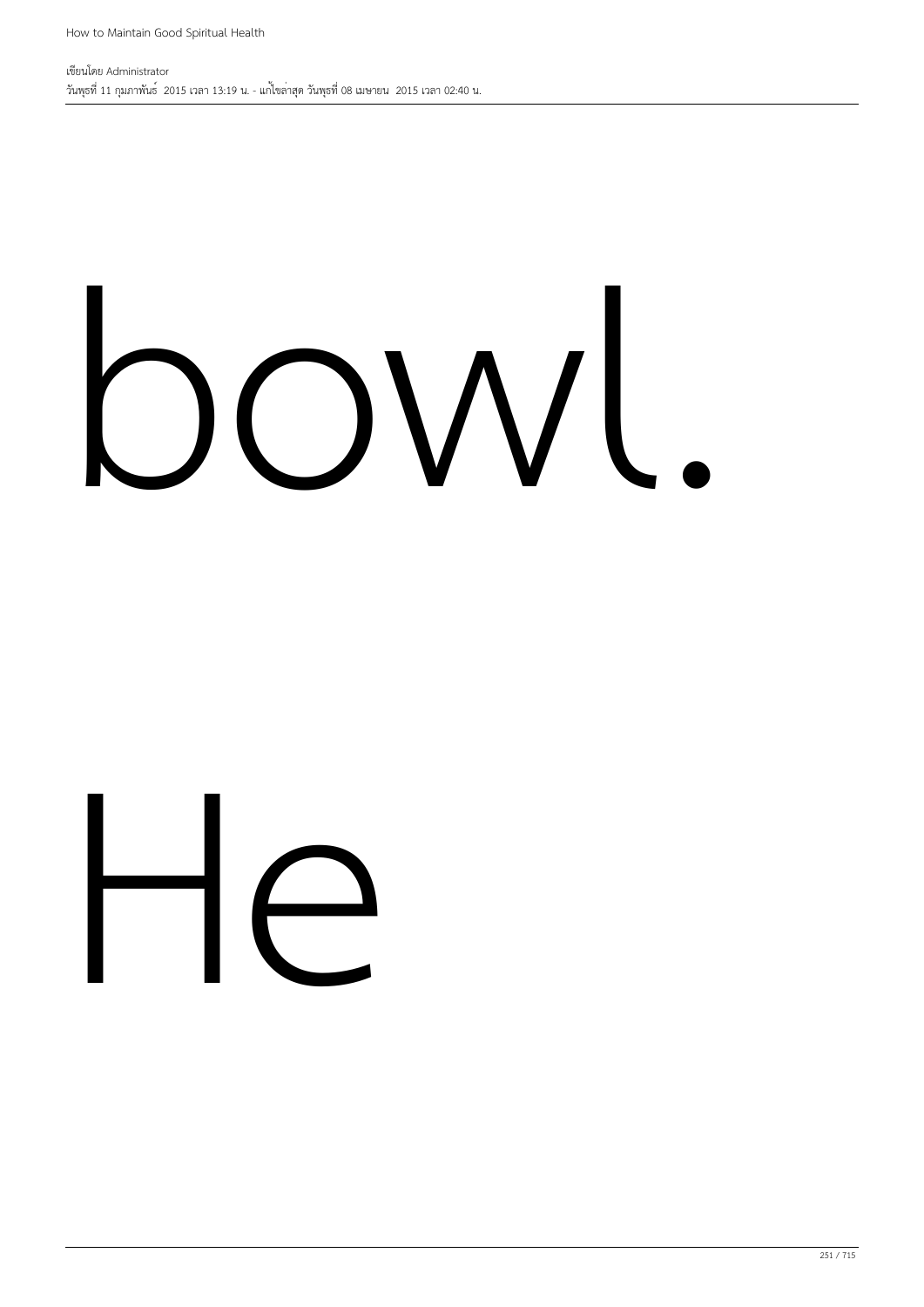#### bowl.

#### He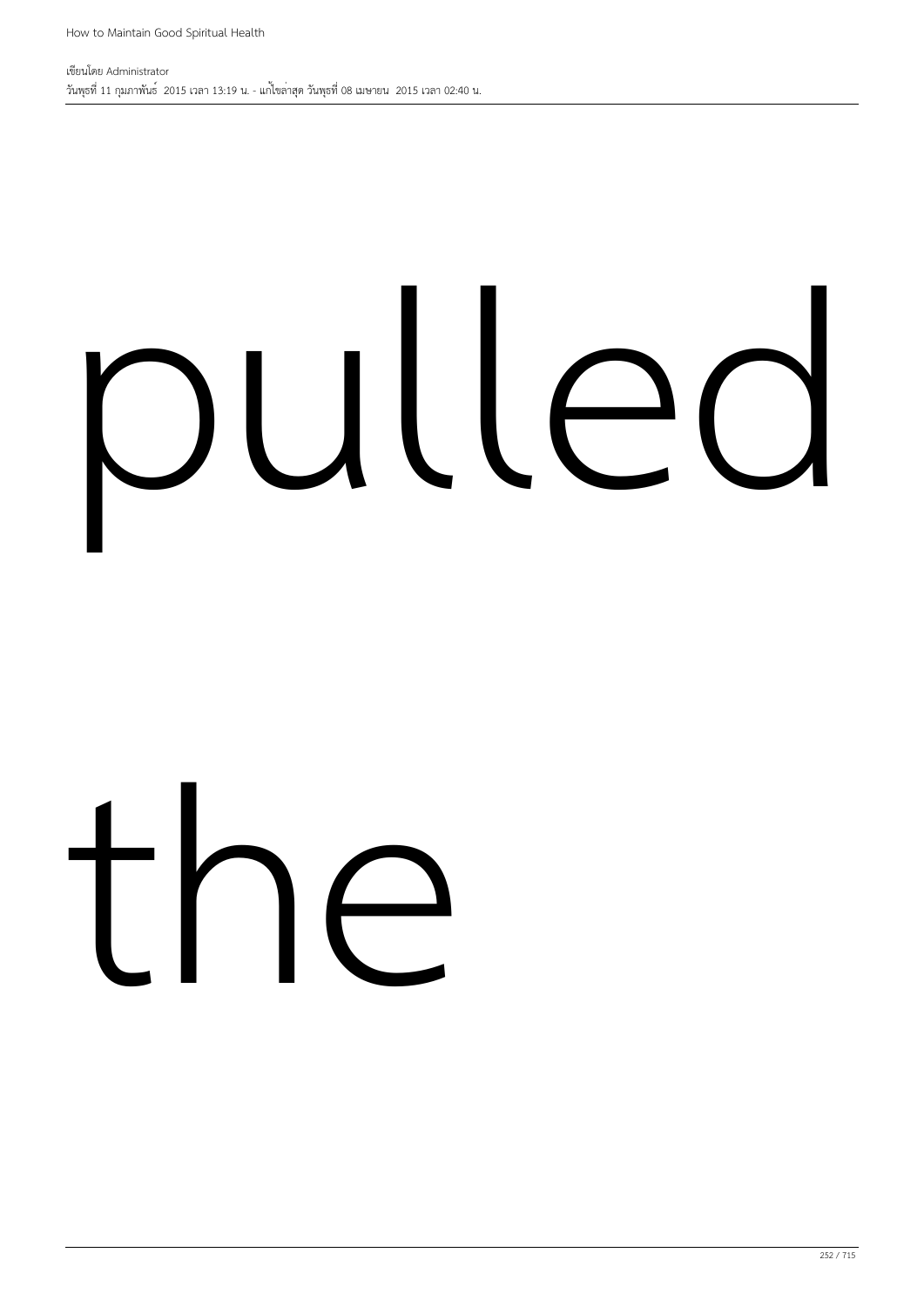# pulled

#### the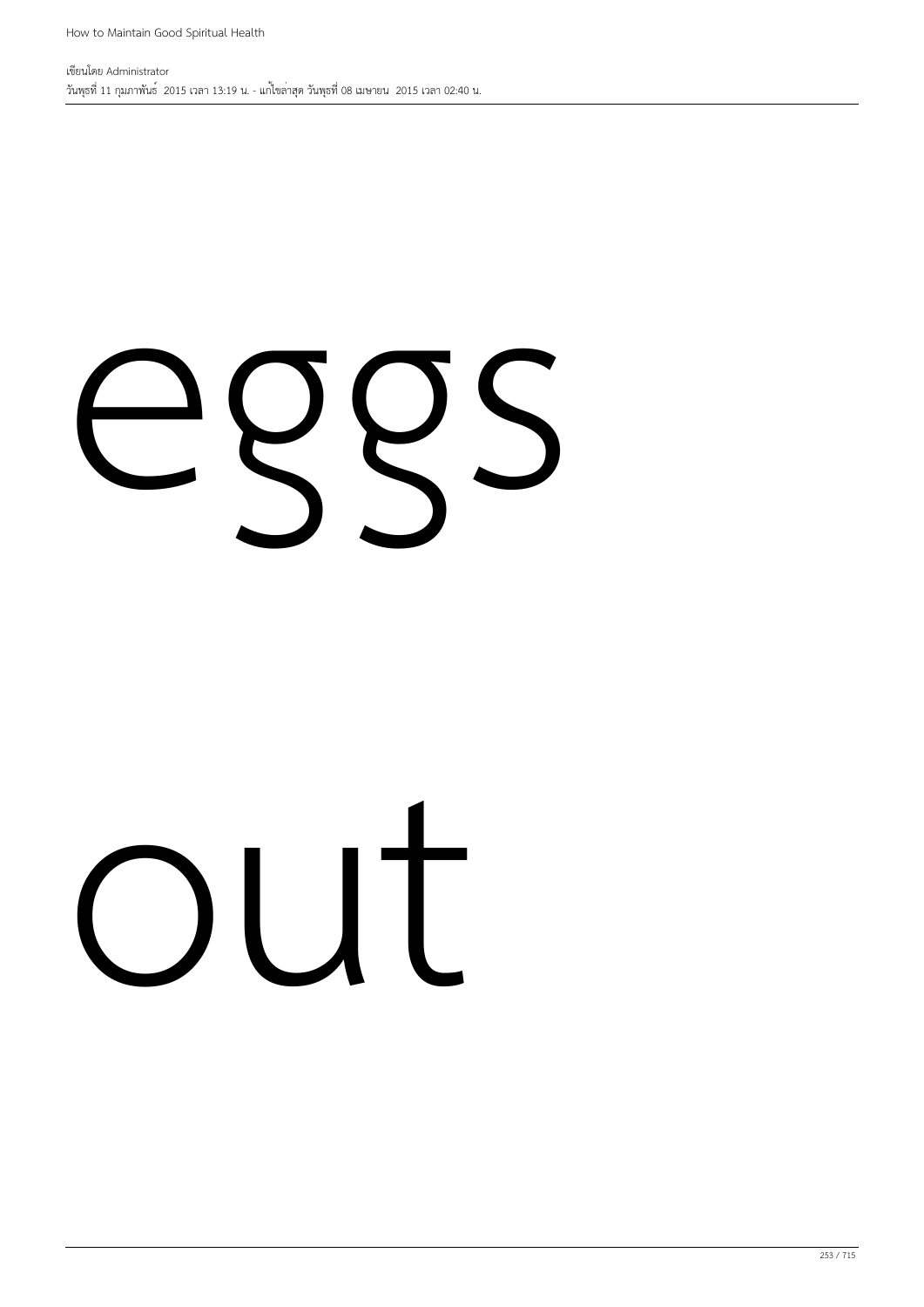### eggs

#### OUT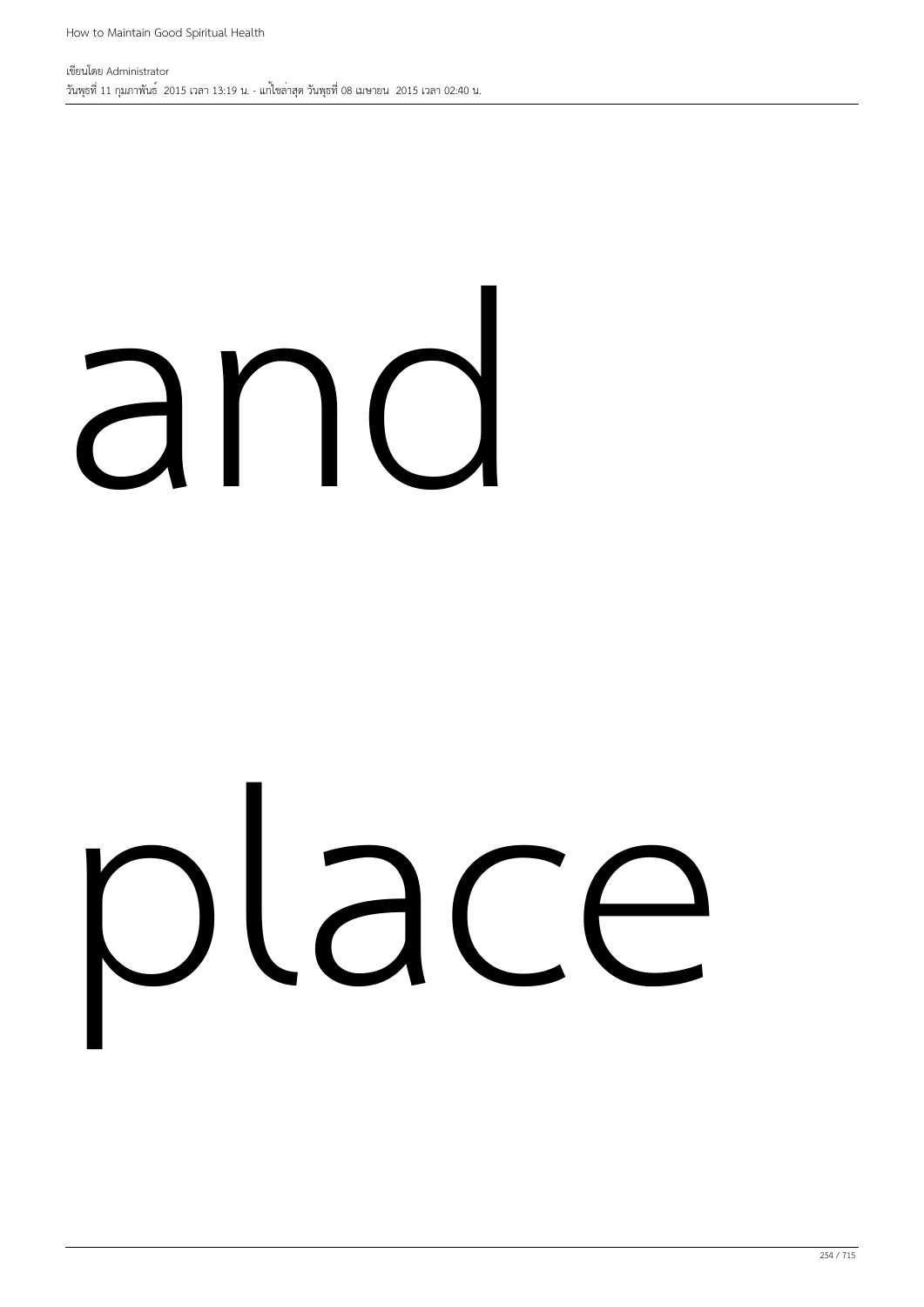#### and

# place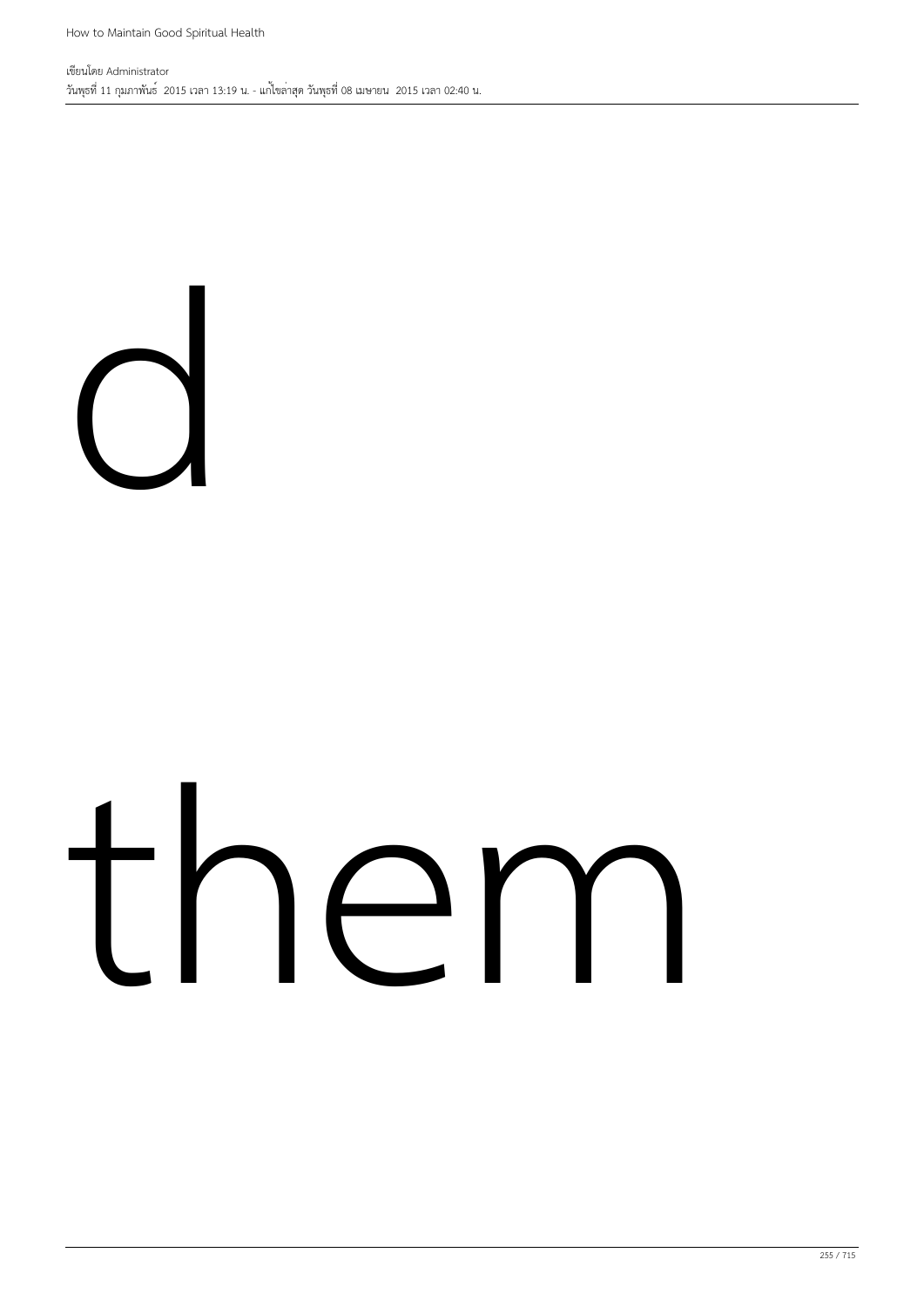#### $\begin{pmatrix} \phantom{-} \end{pmatrix}$

### them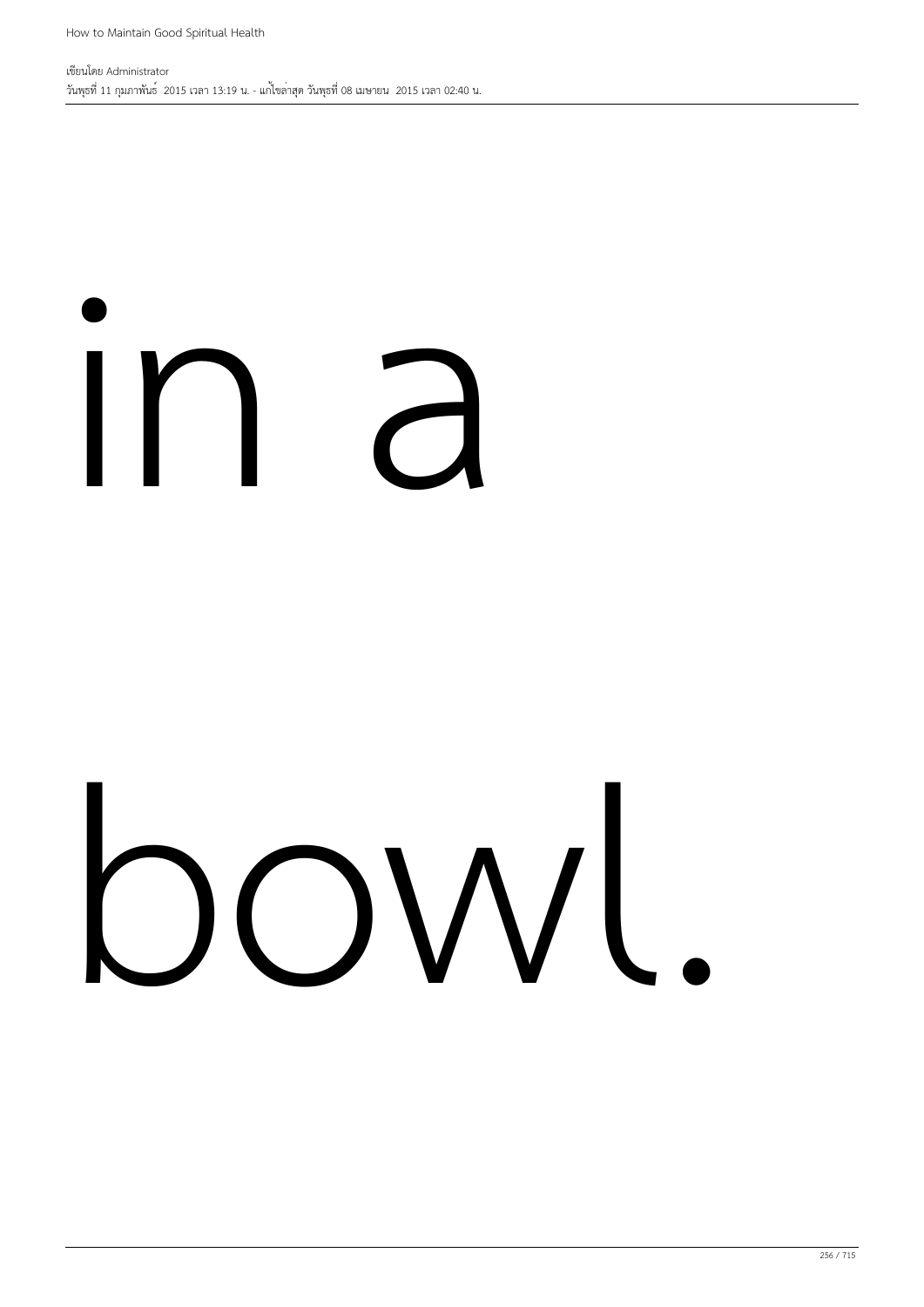#### in a

#### bowl.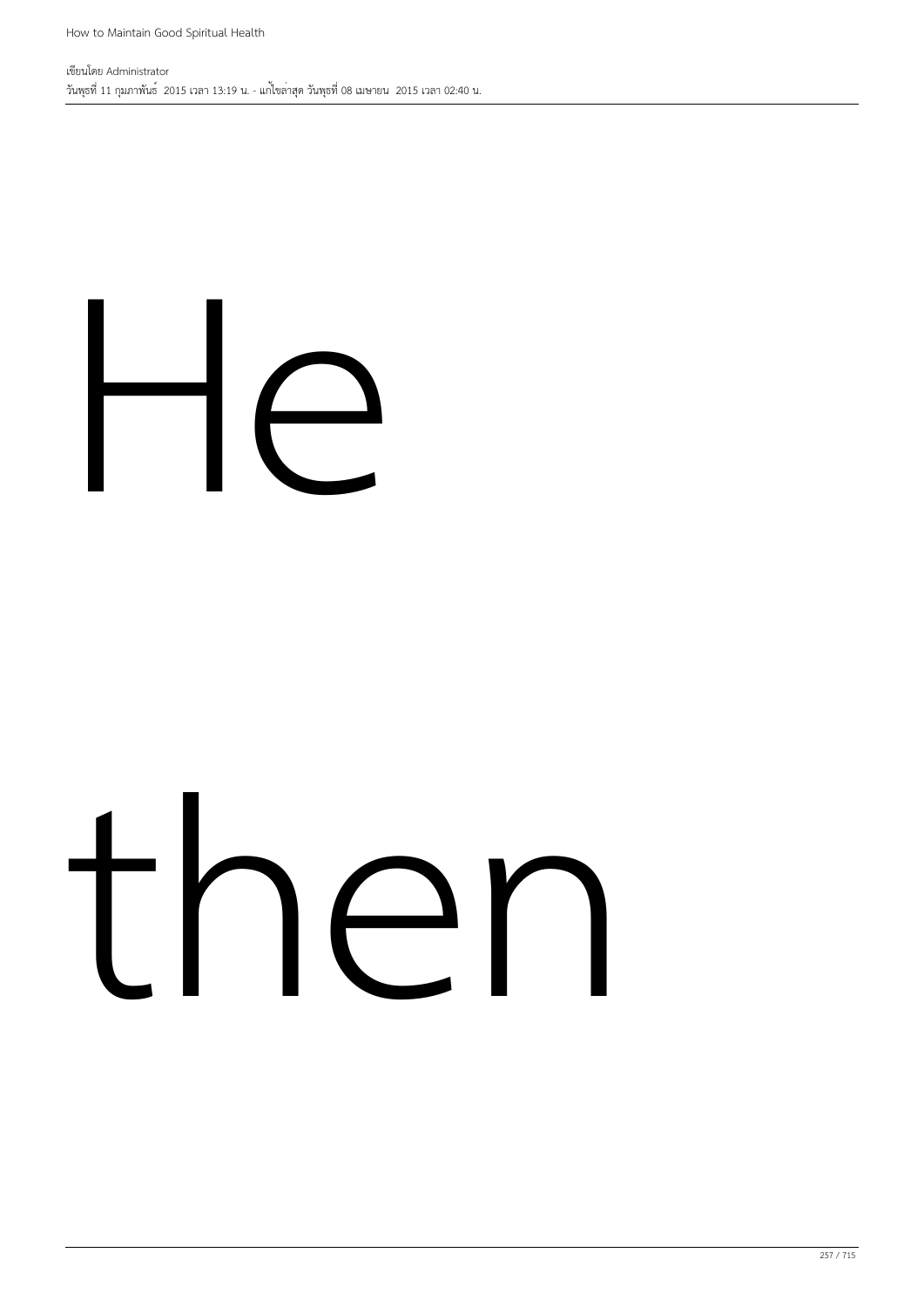#### He

### then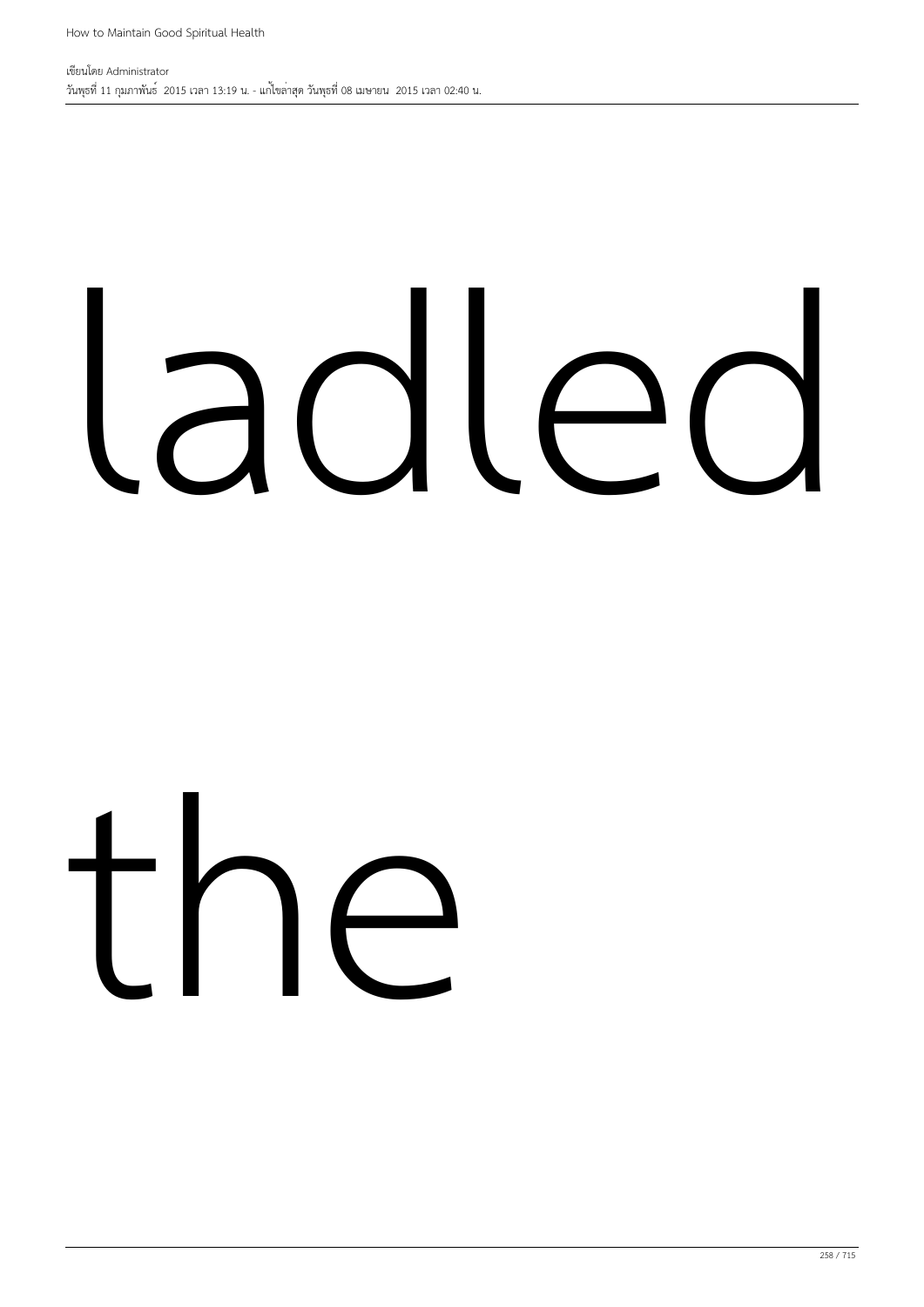# ladled

### the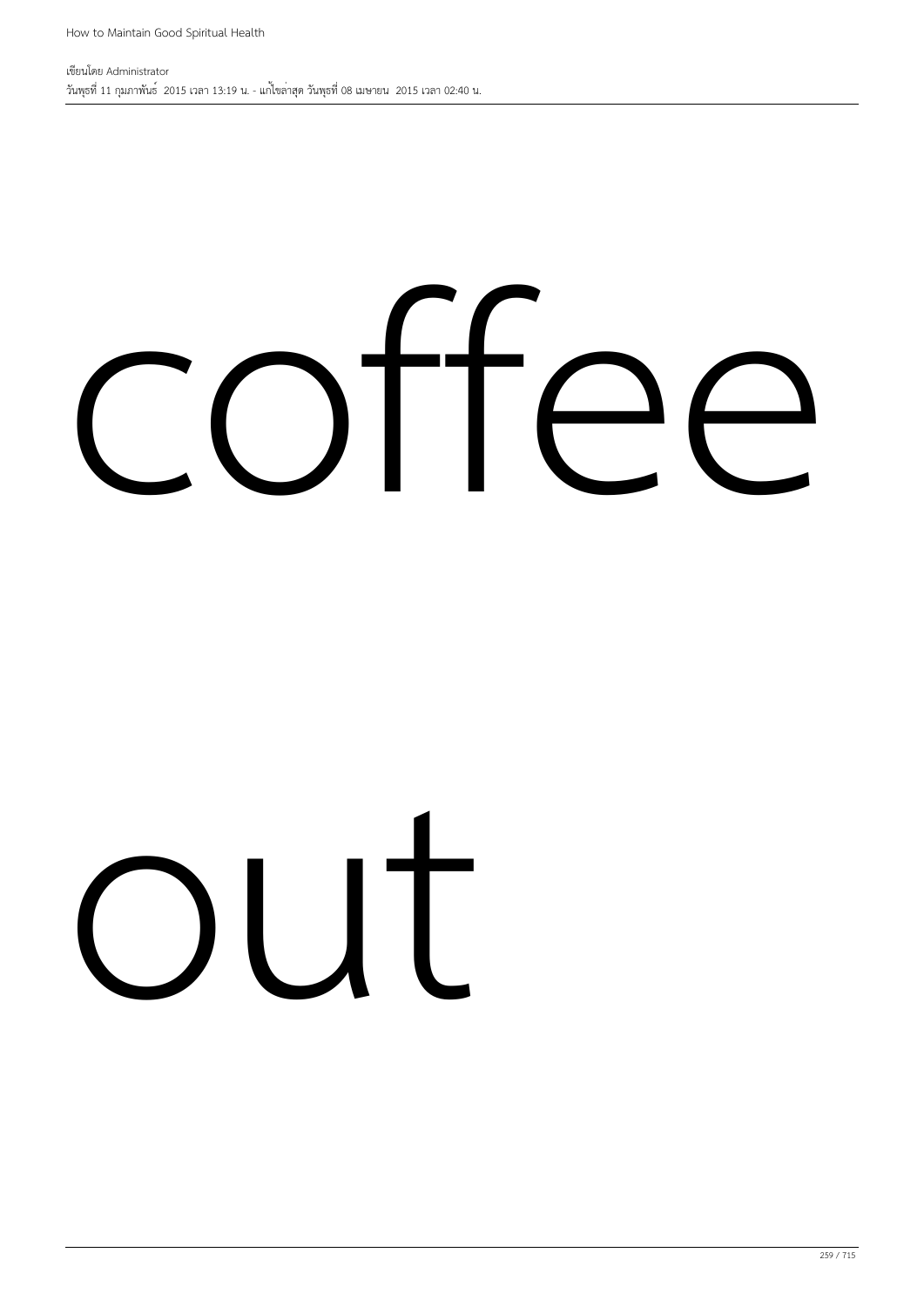## coffee

#### OUT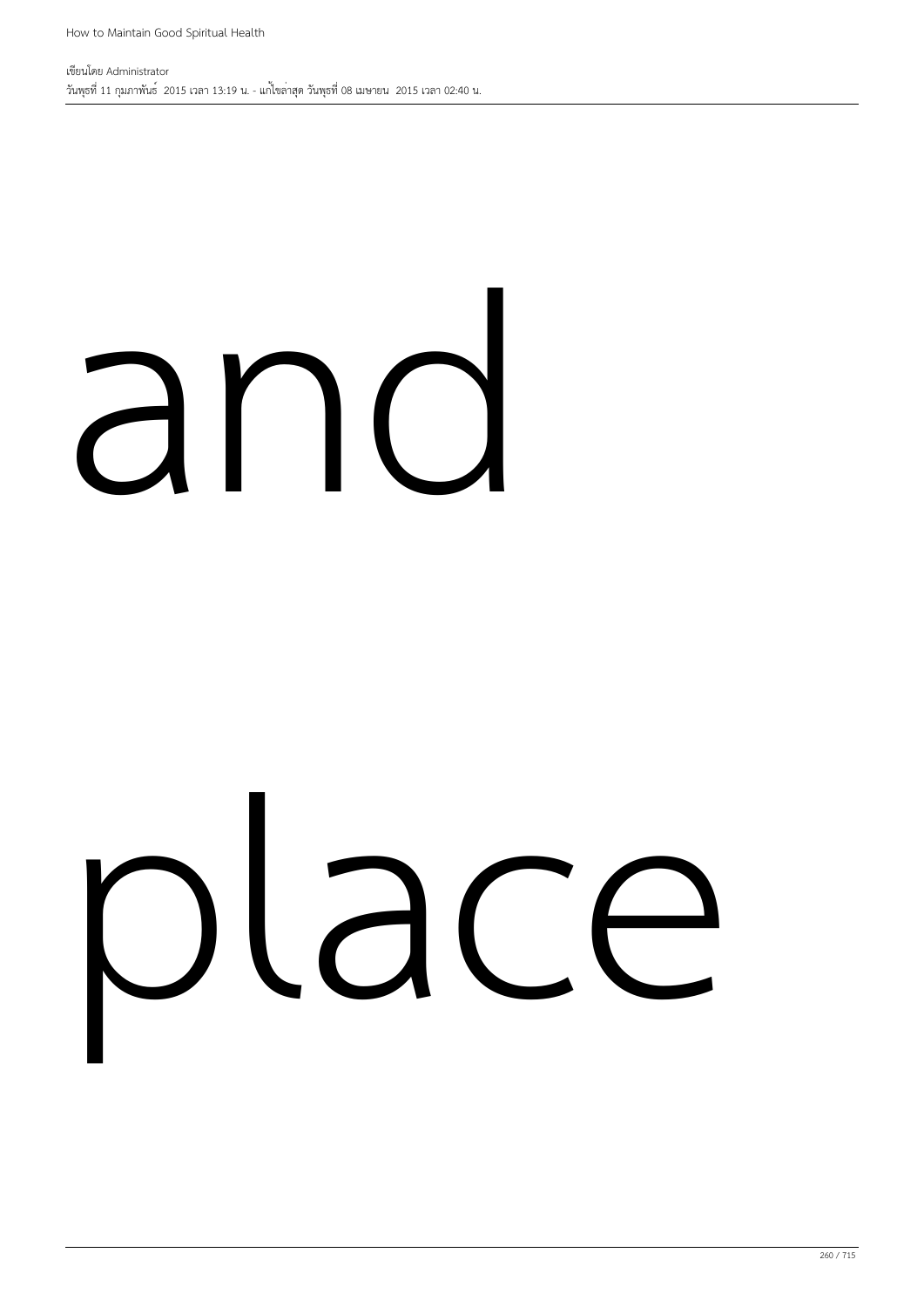### and

# place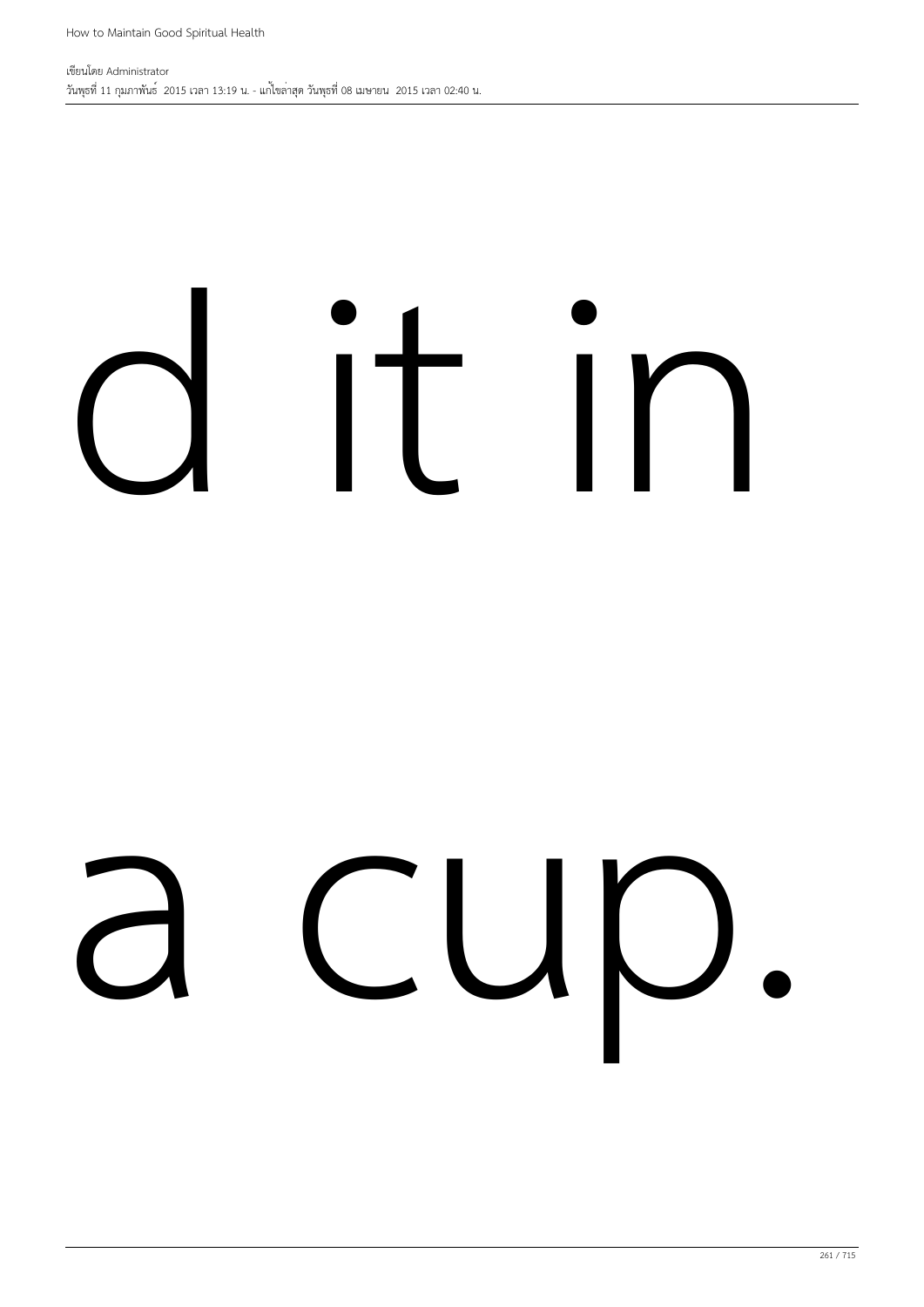### d it in

#### a cup.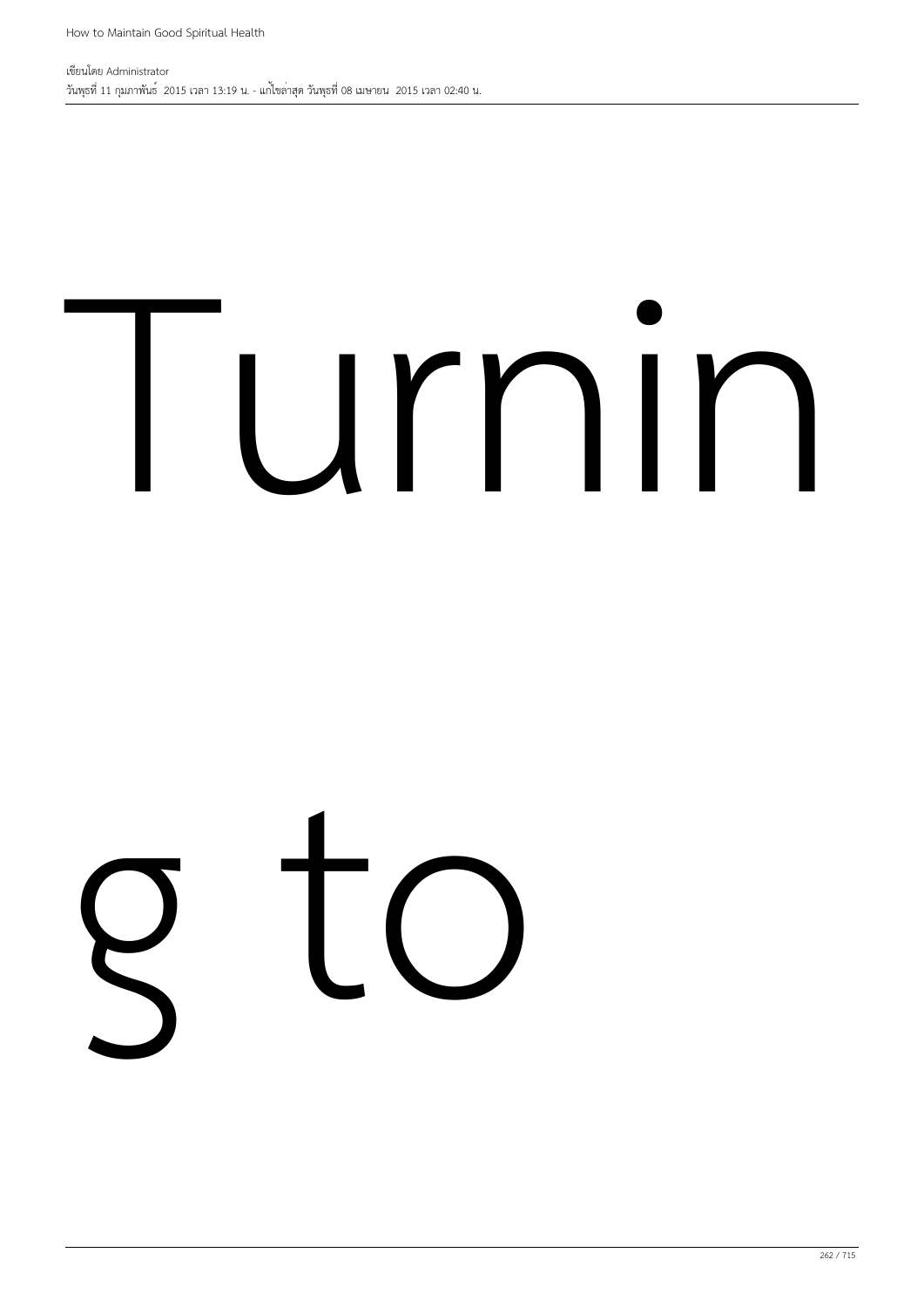## Turnin

# $\Gamma$   $\cap$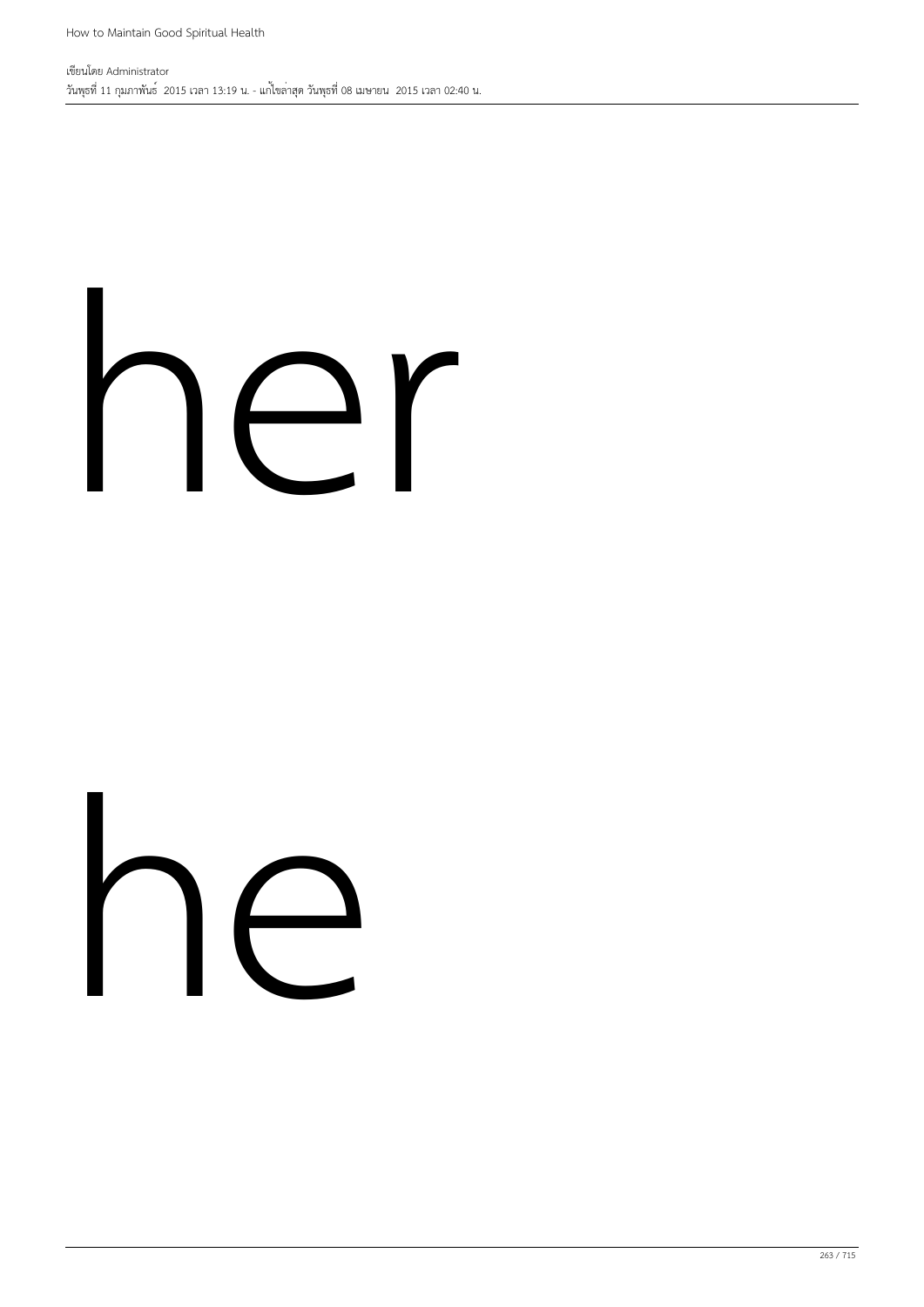### her

#### he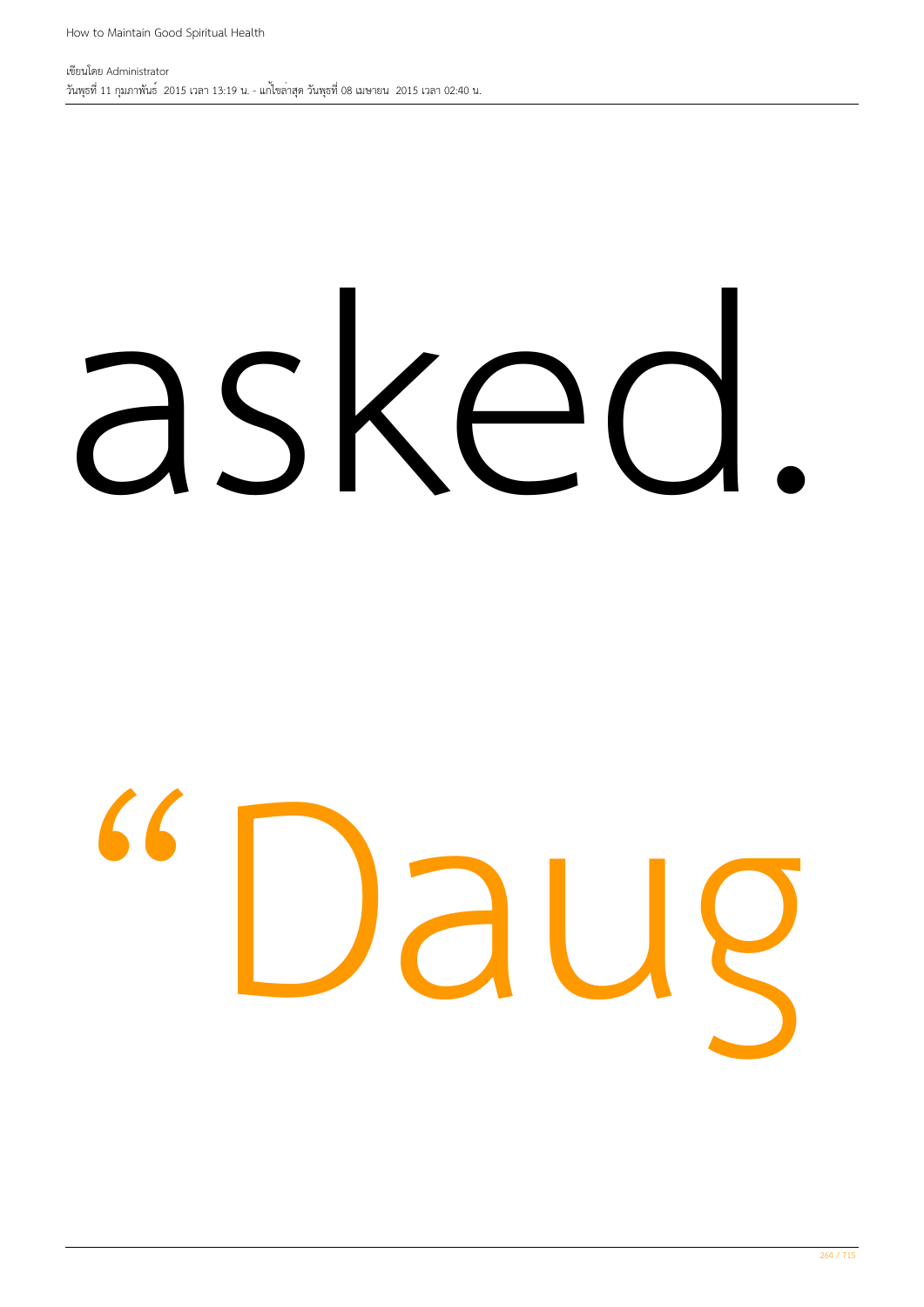## asked.

# la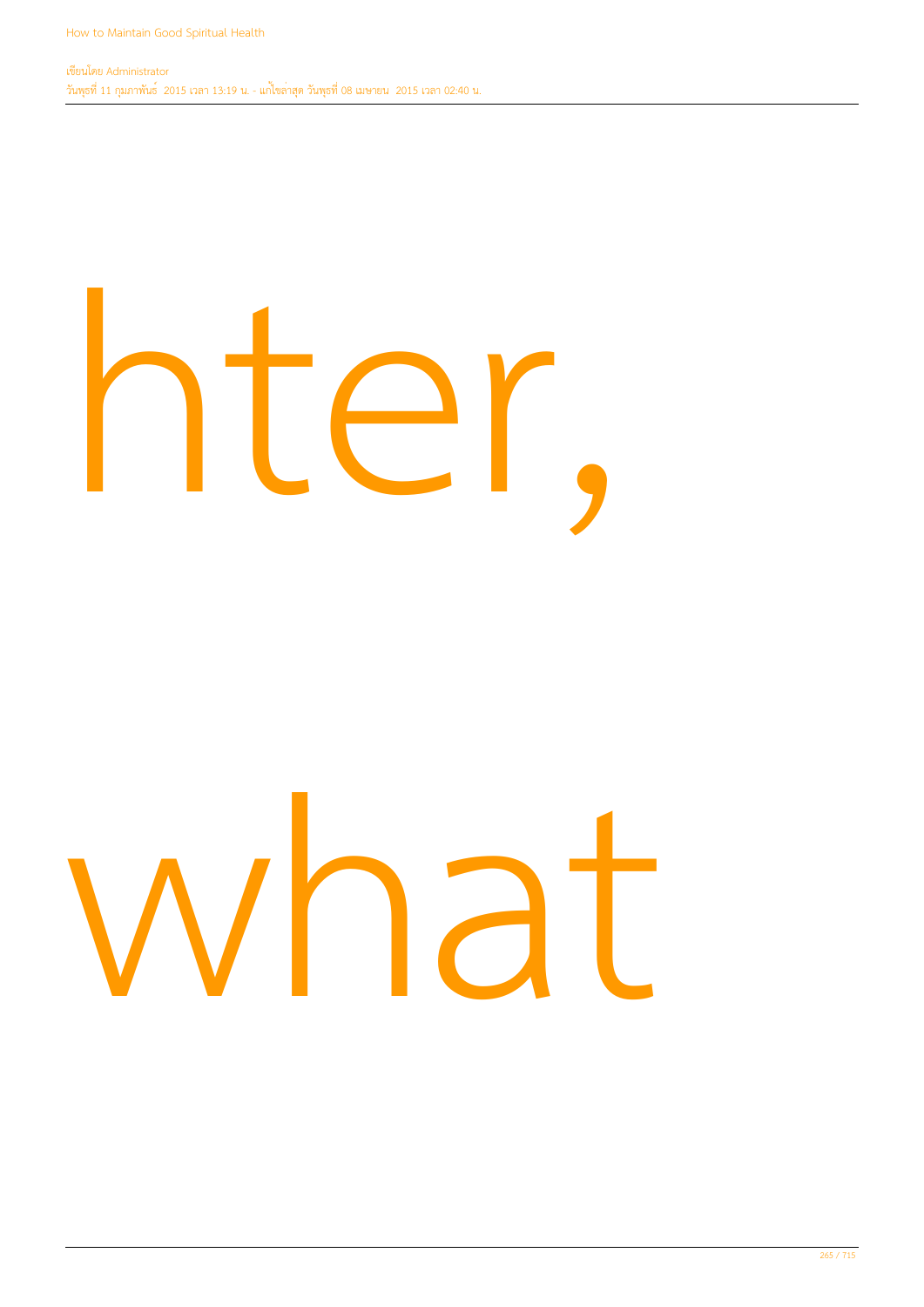# hter,

#### what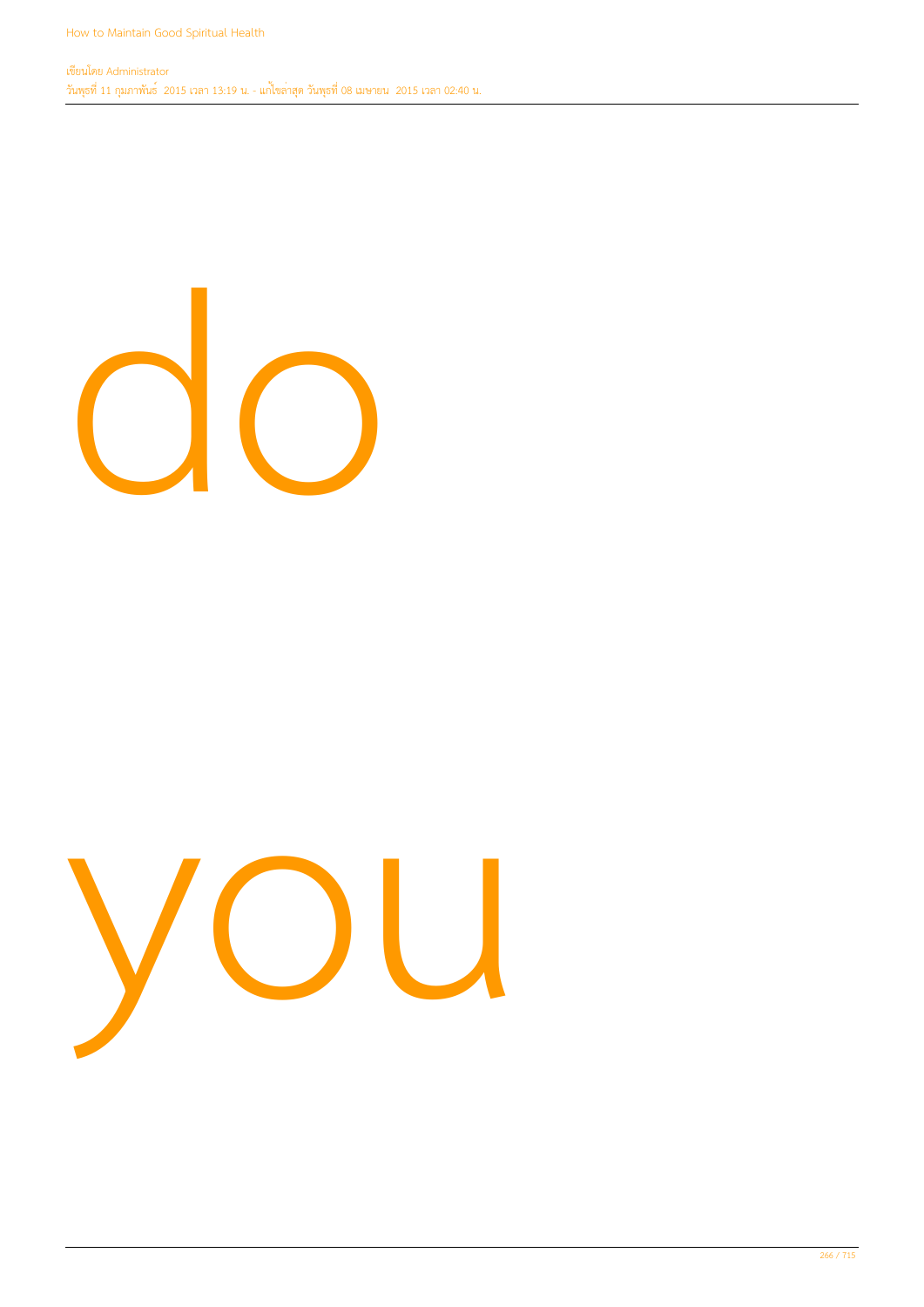# do

# you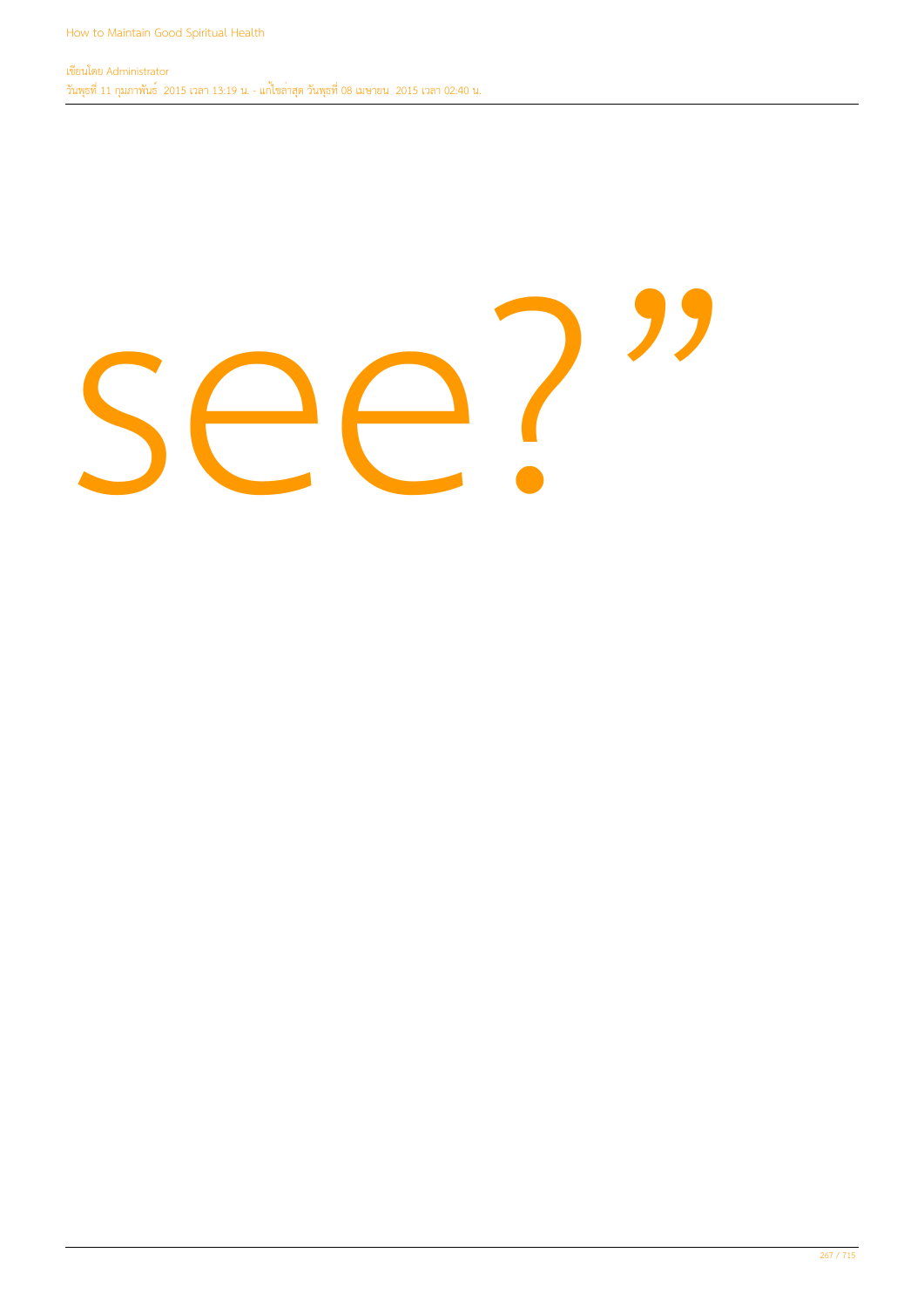# see?"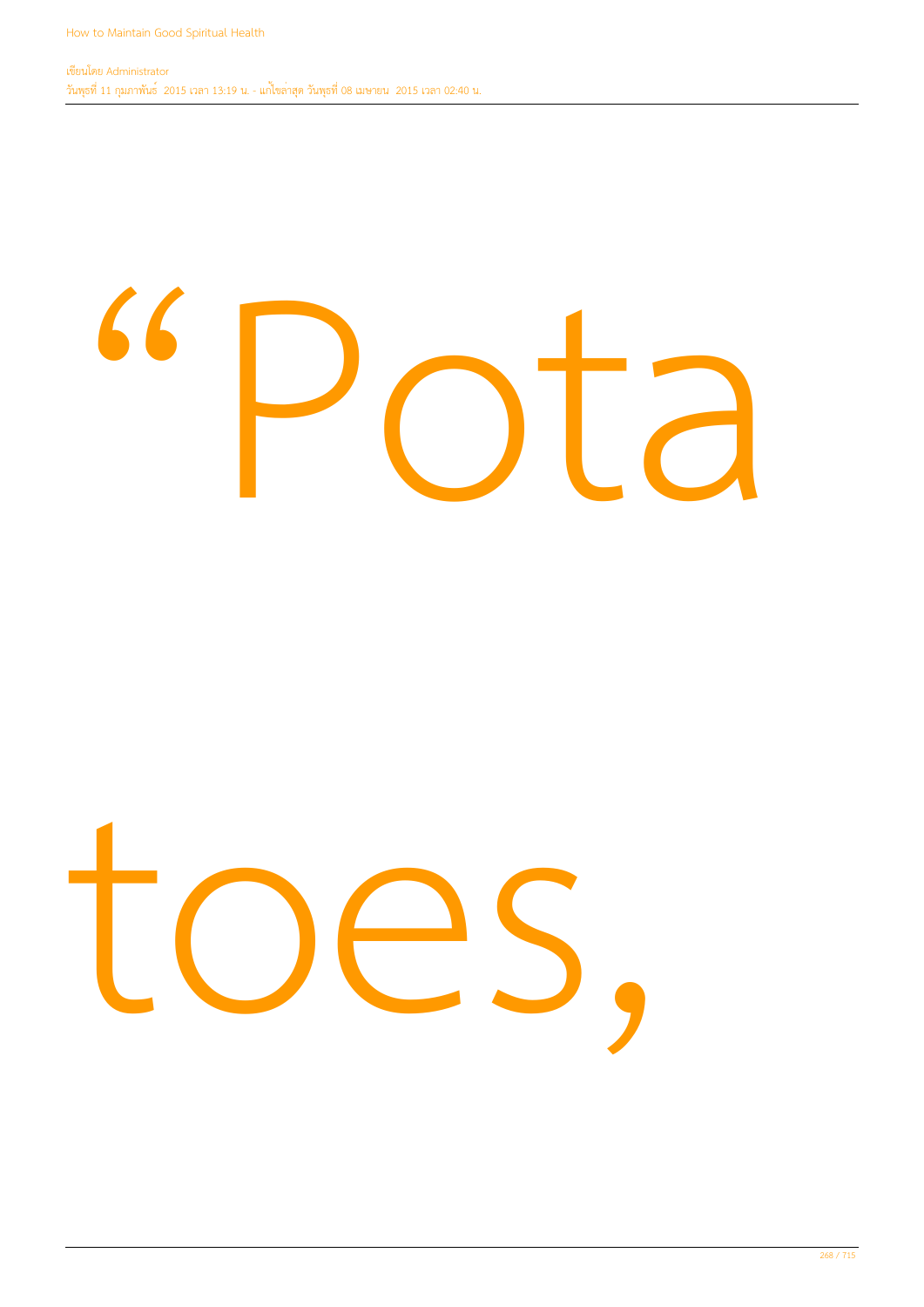# "Pota

# toes,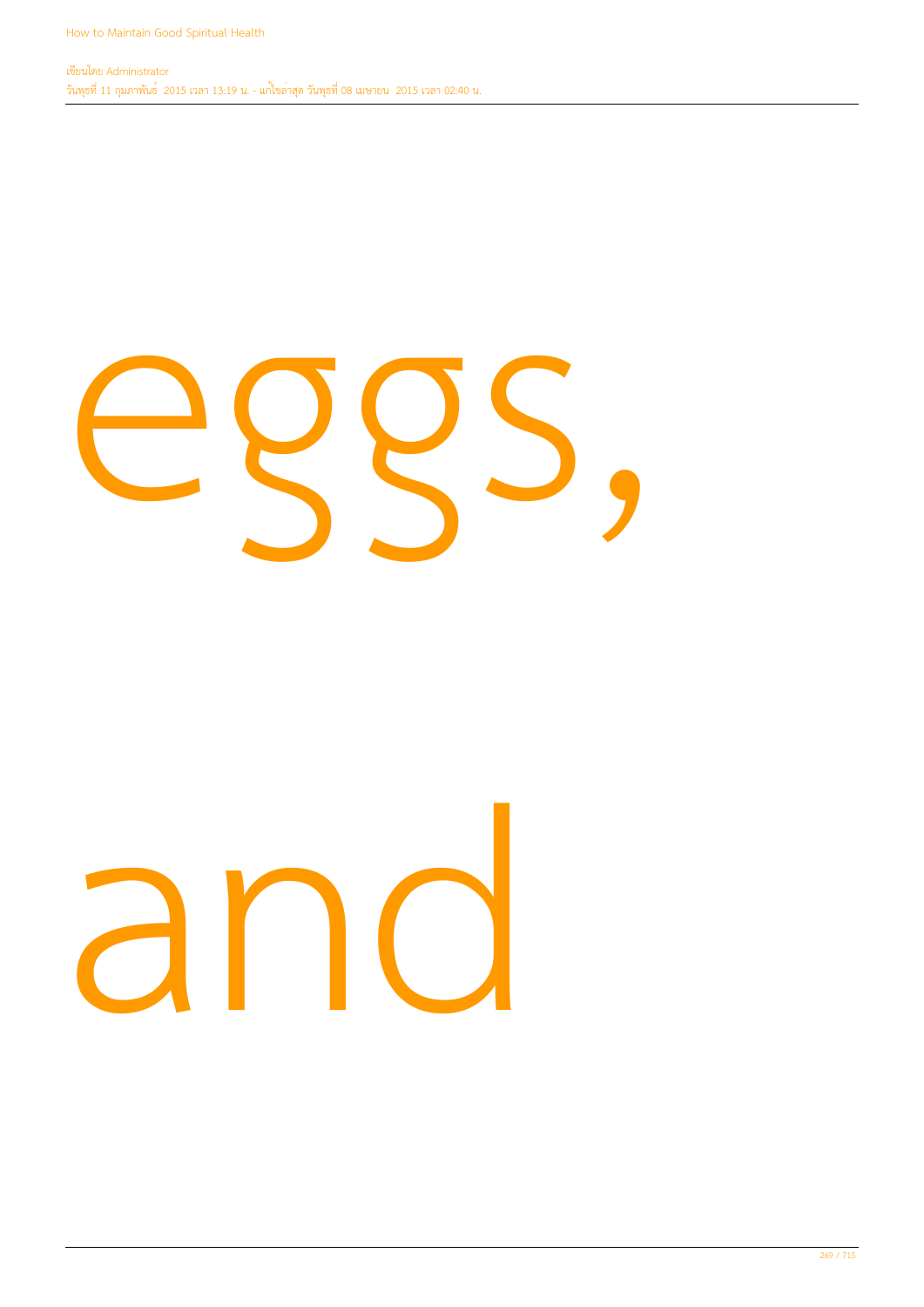# eggs,

# and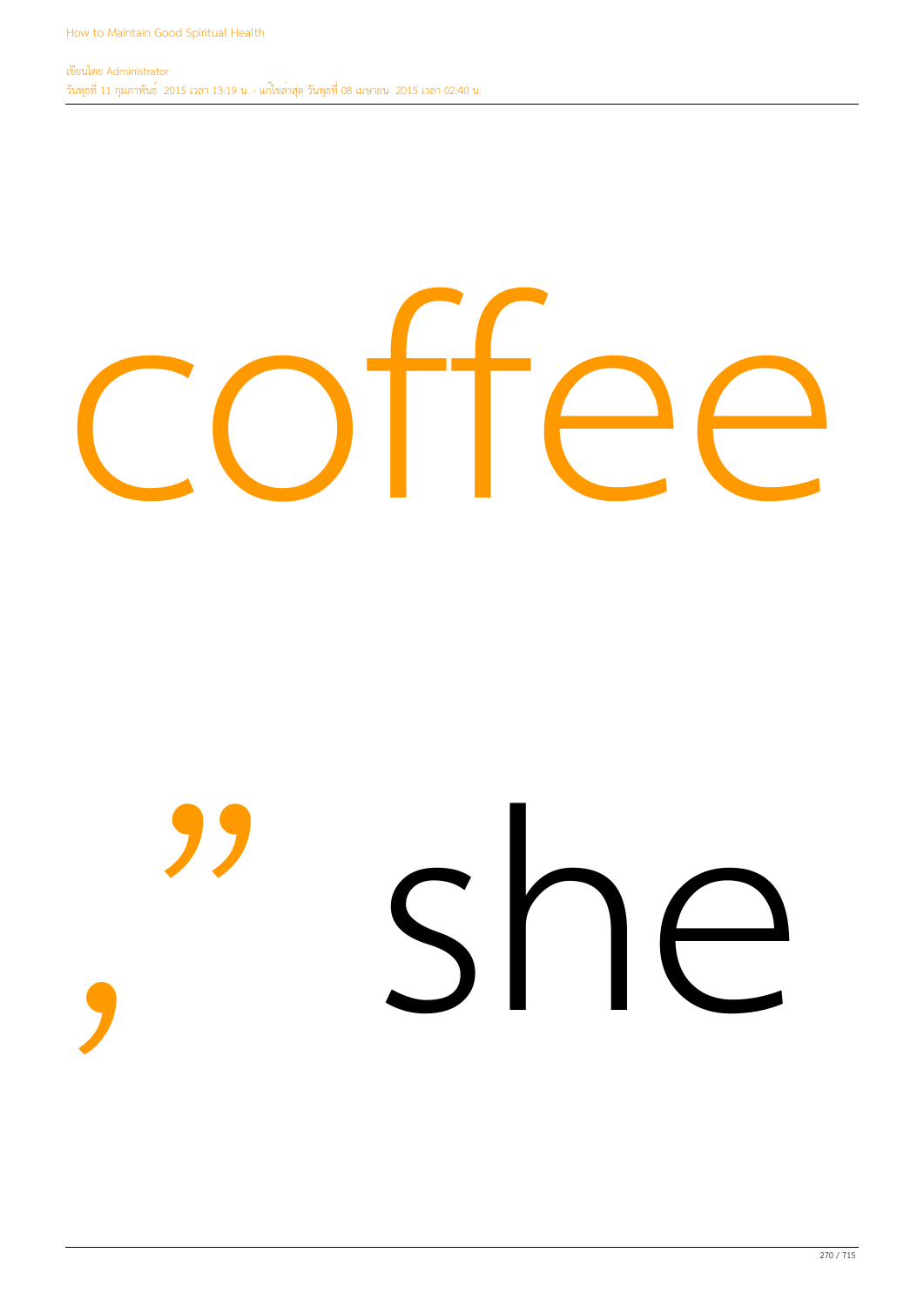# coffee

# ," she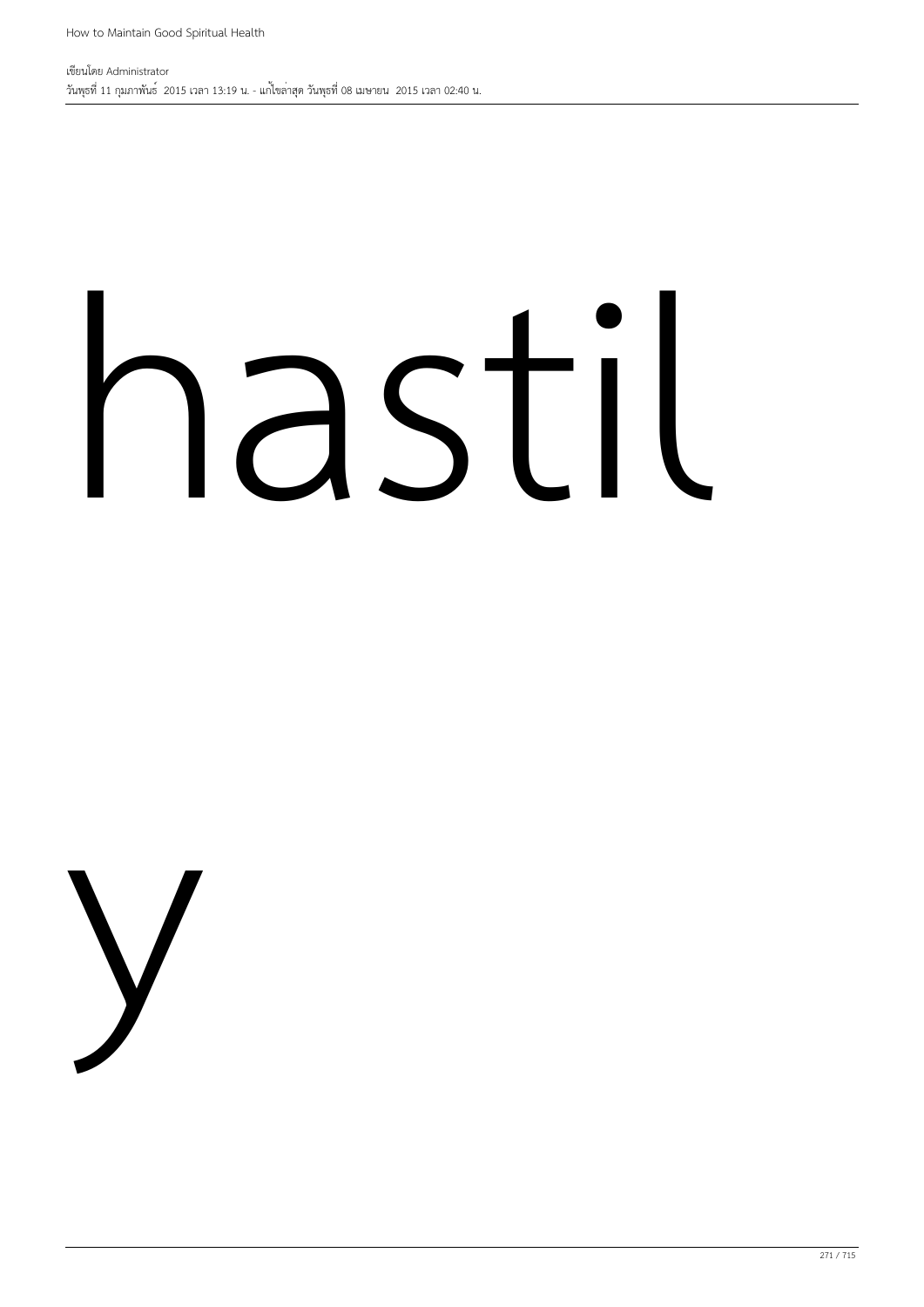# hastil

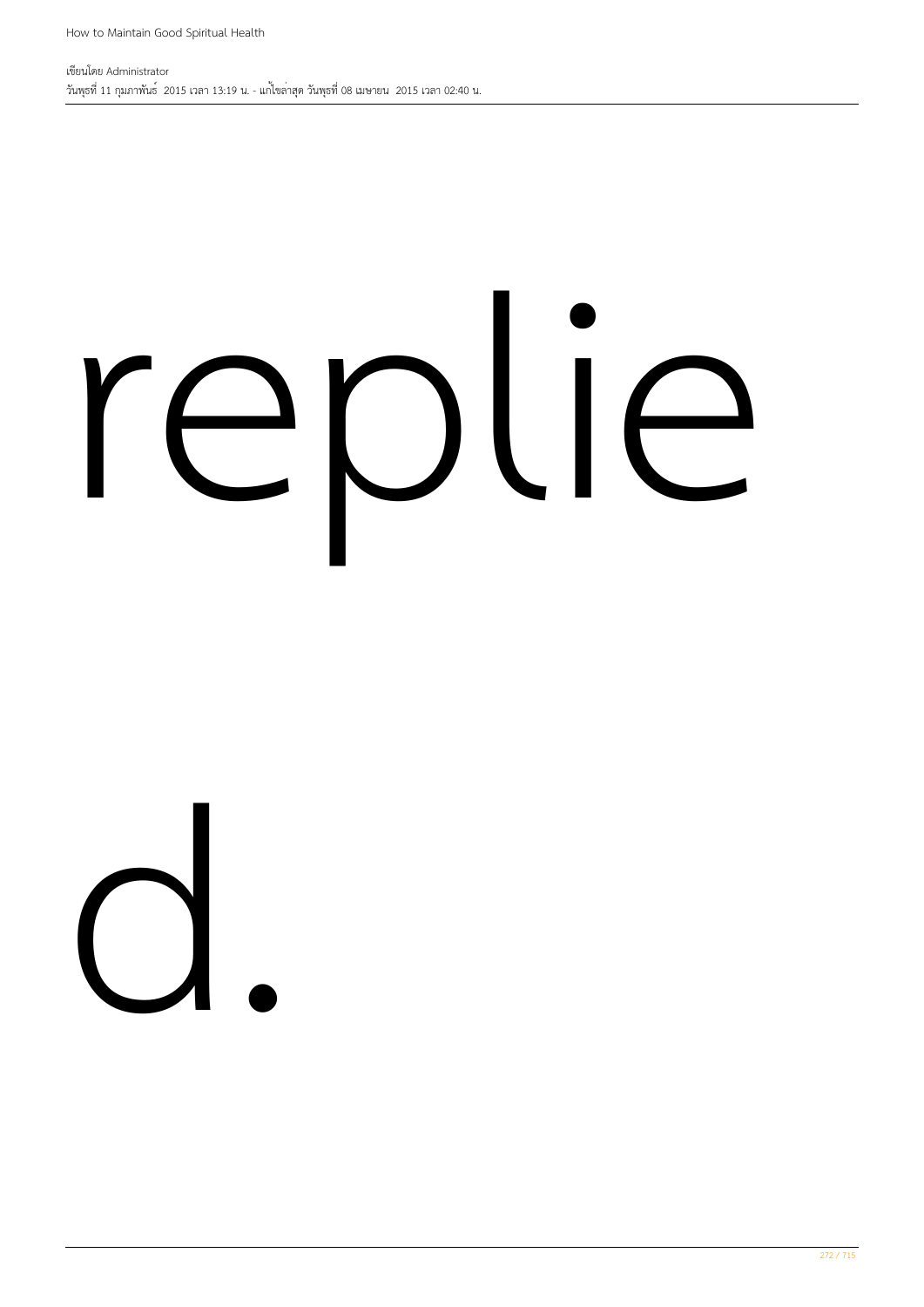# replie

# d.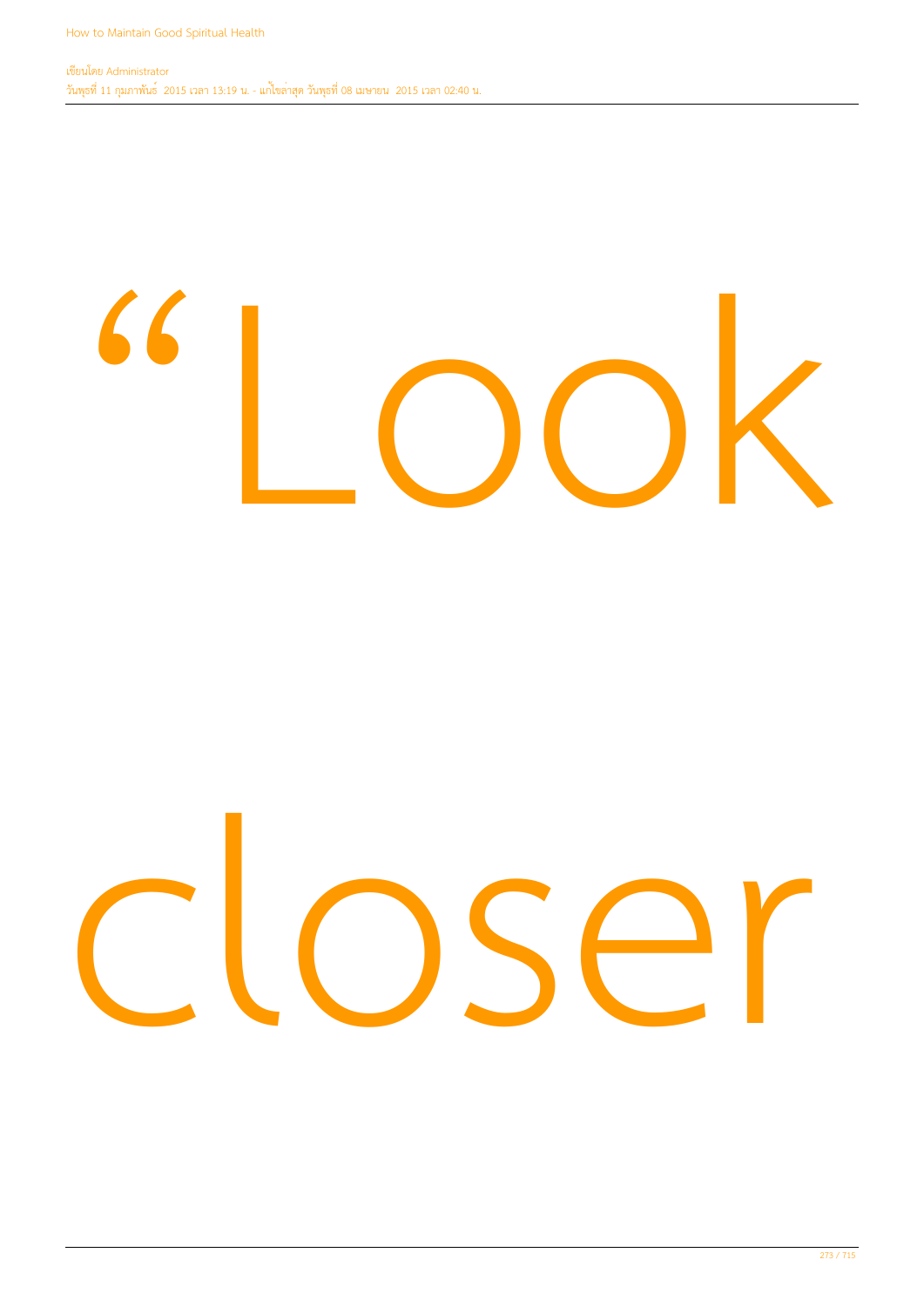# "Look

# closer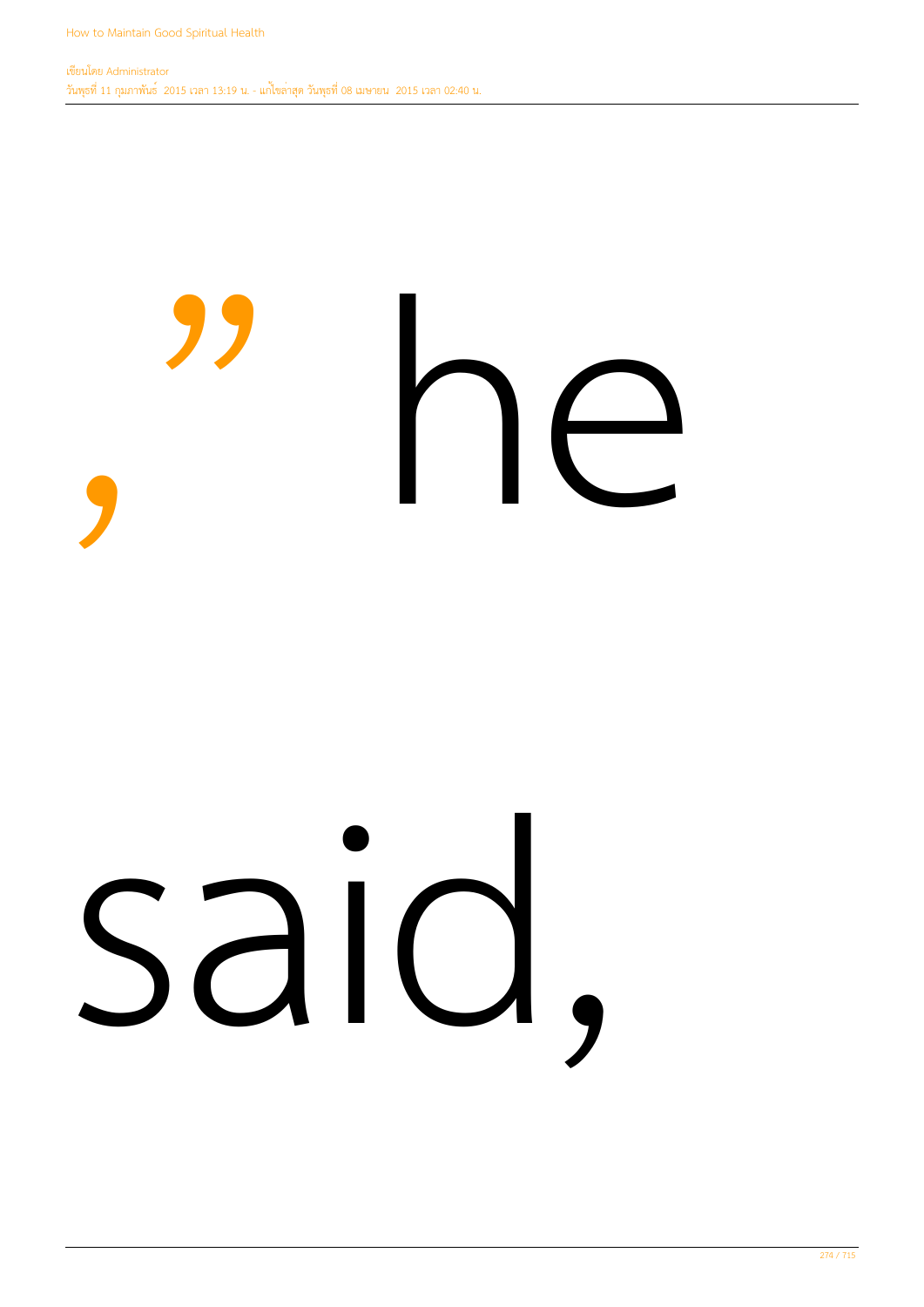# ," he

# said,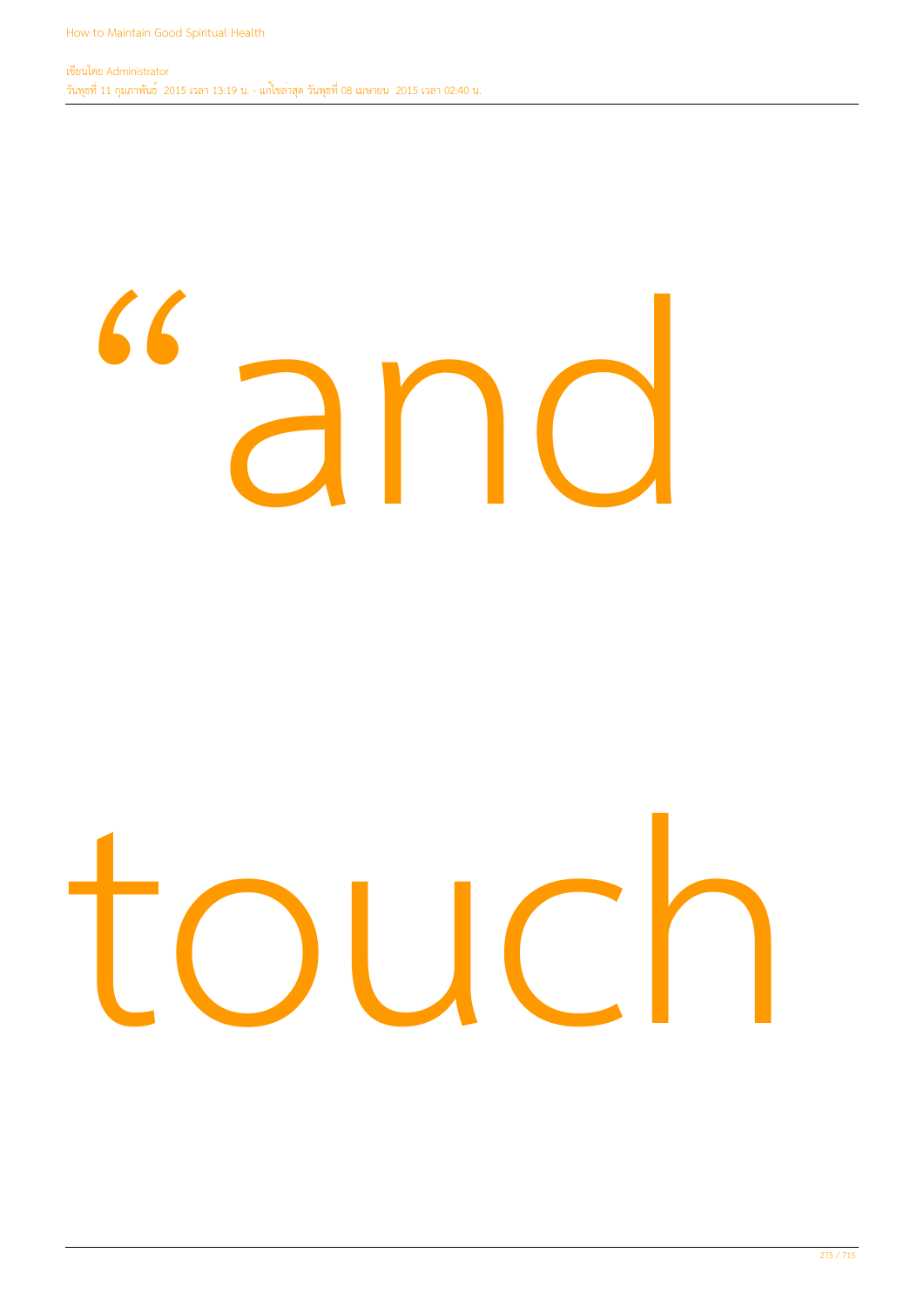# "and

# touch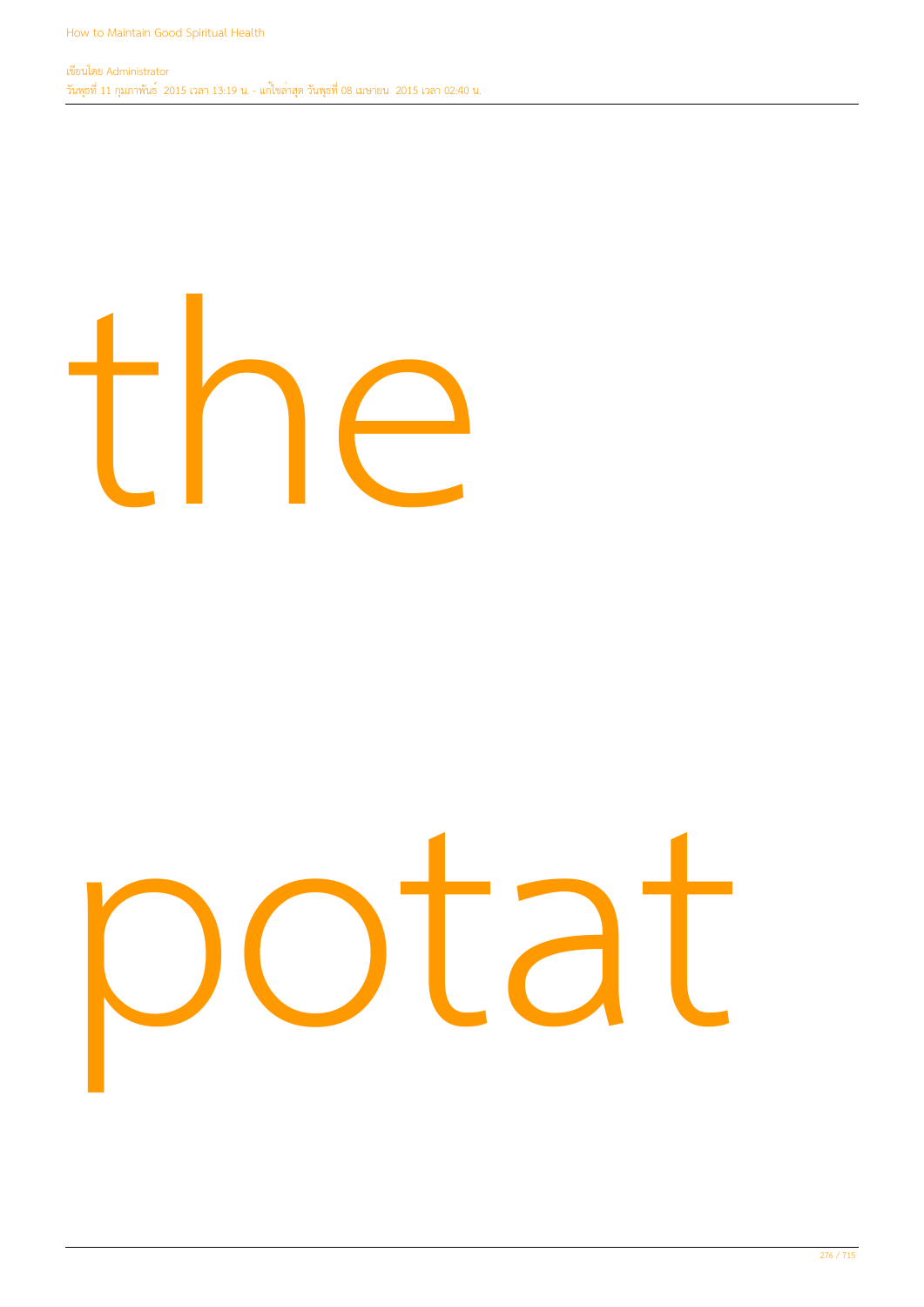# the

# potat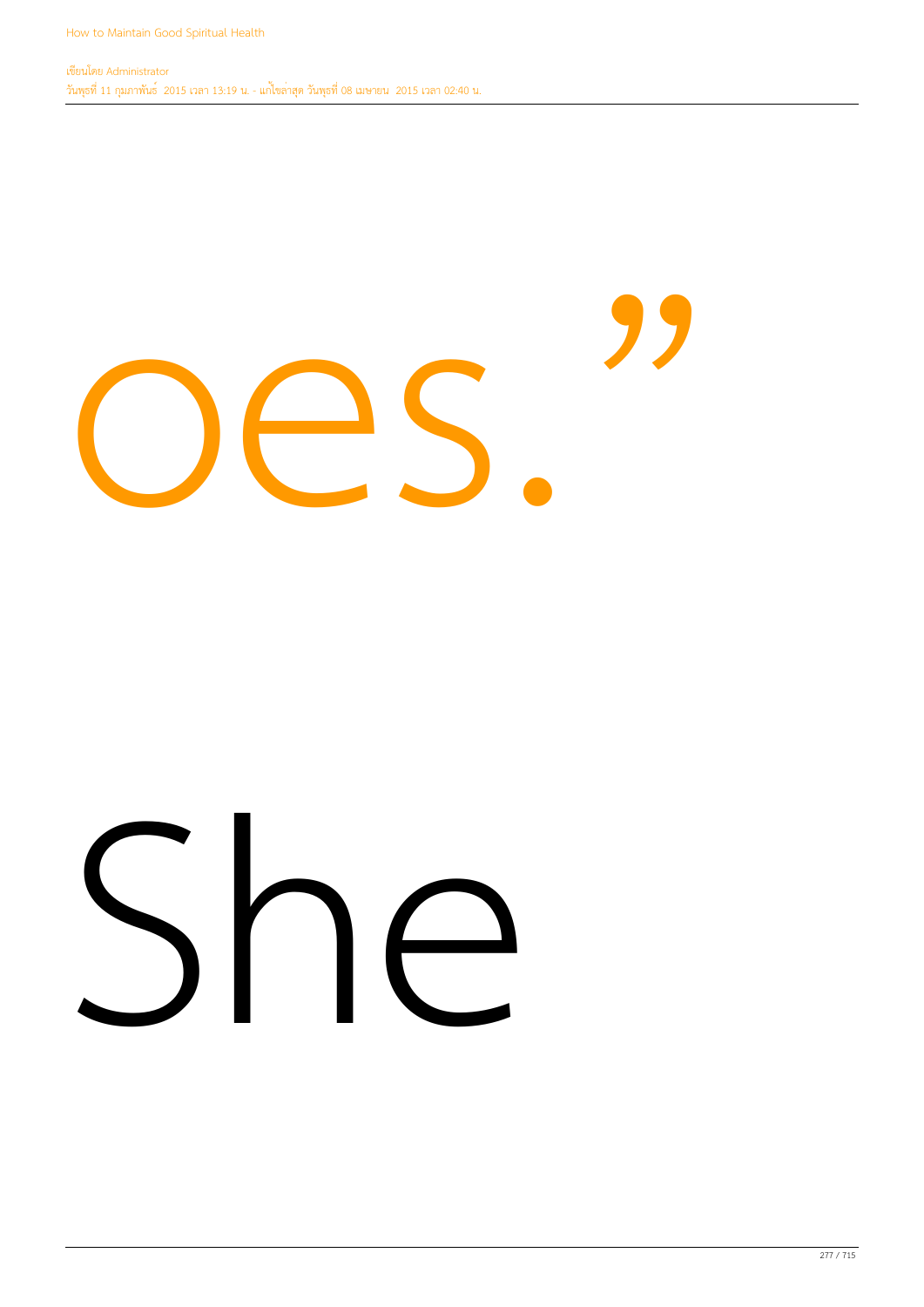# oes."

### She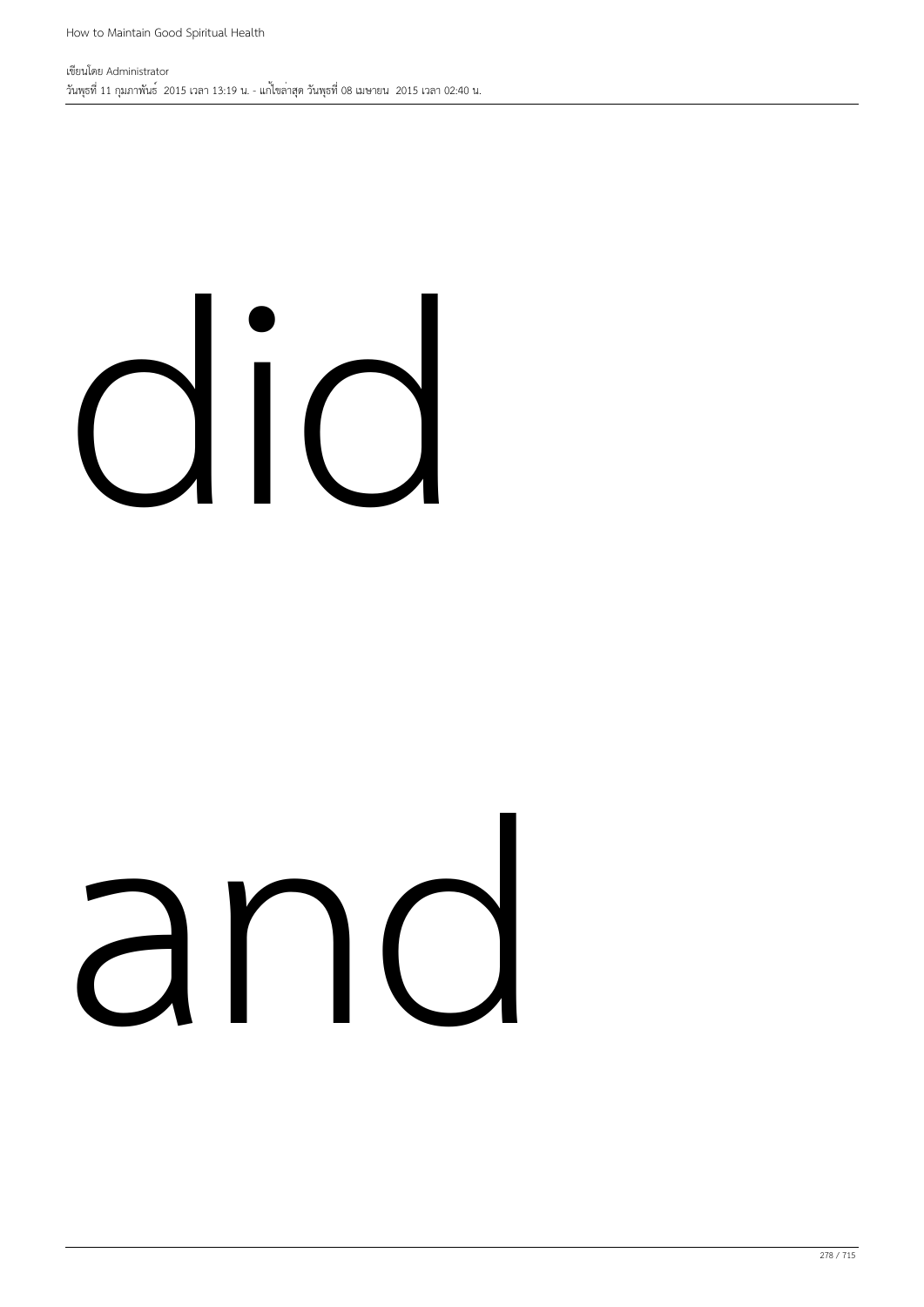# did

#### and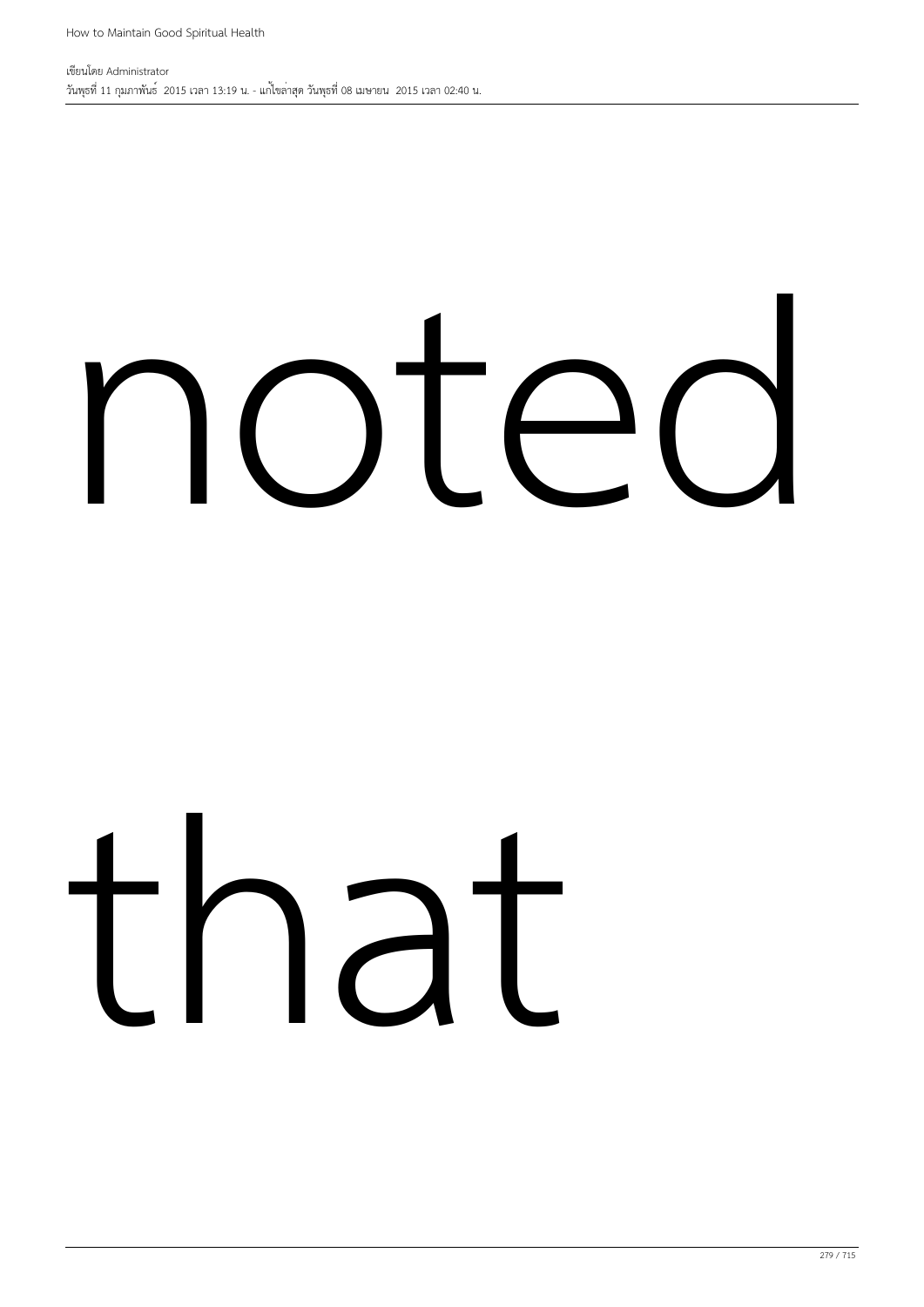## noted

### that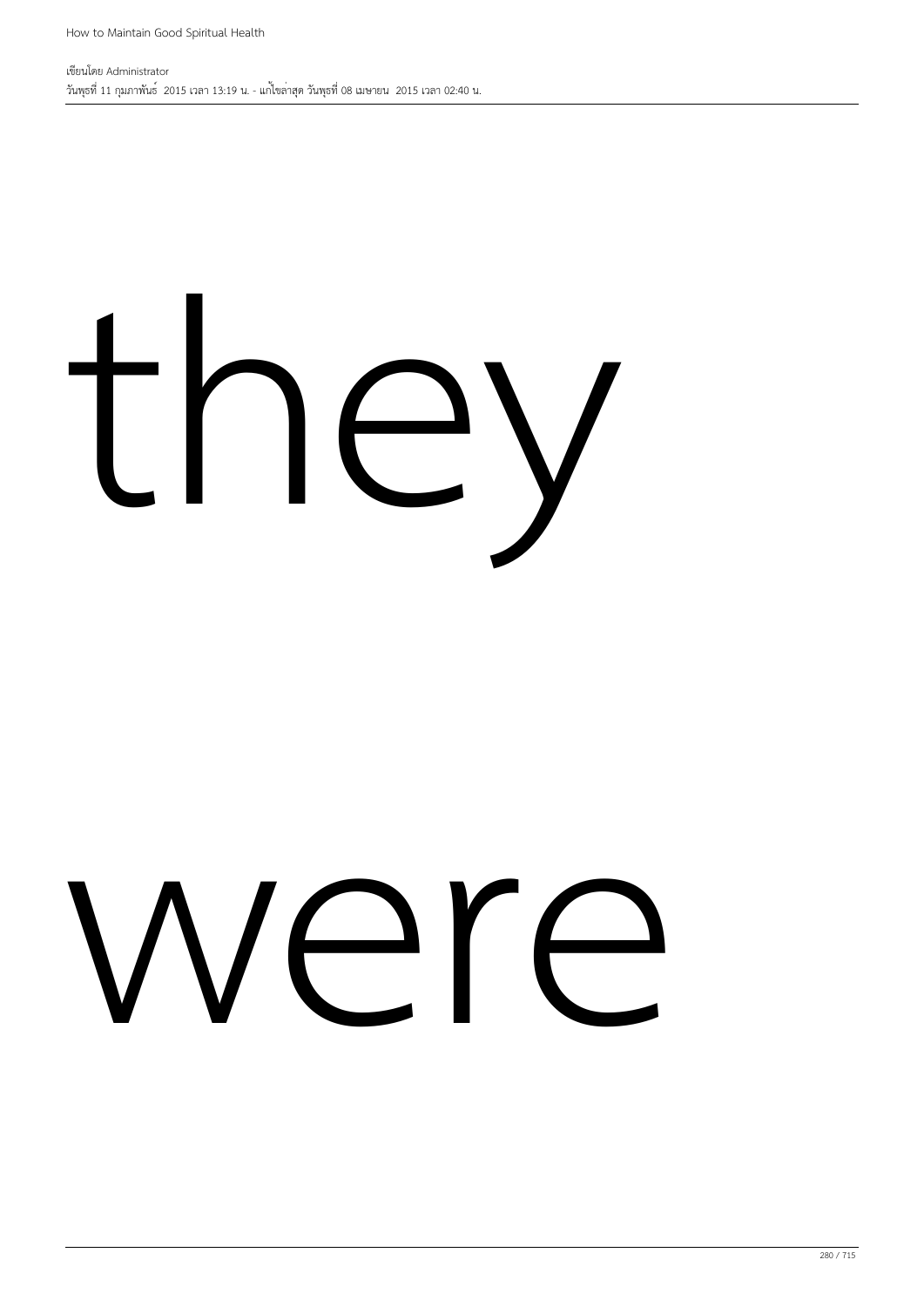# they

#### were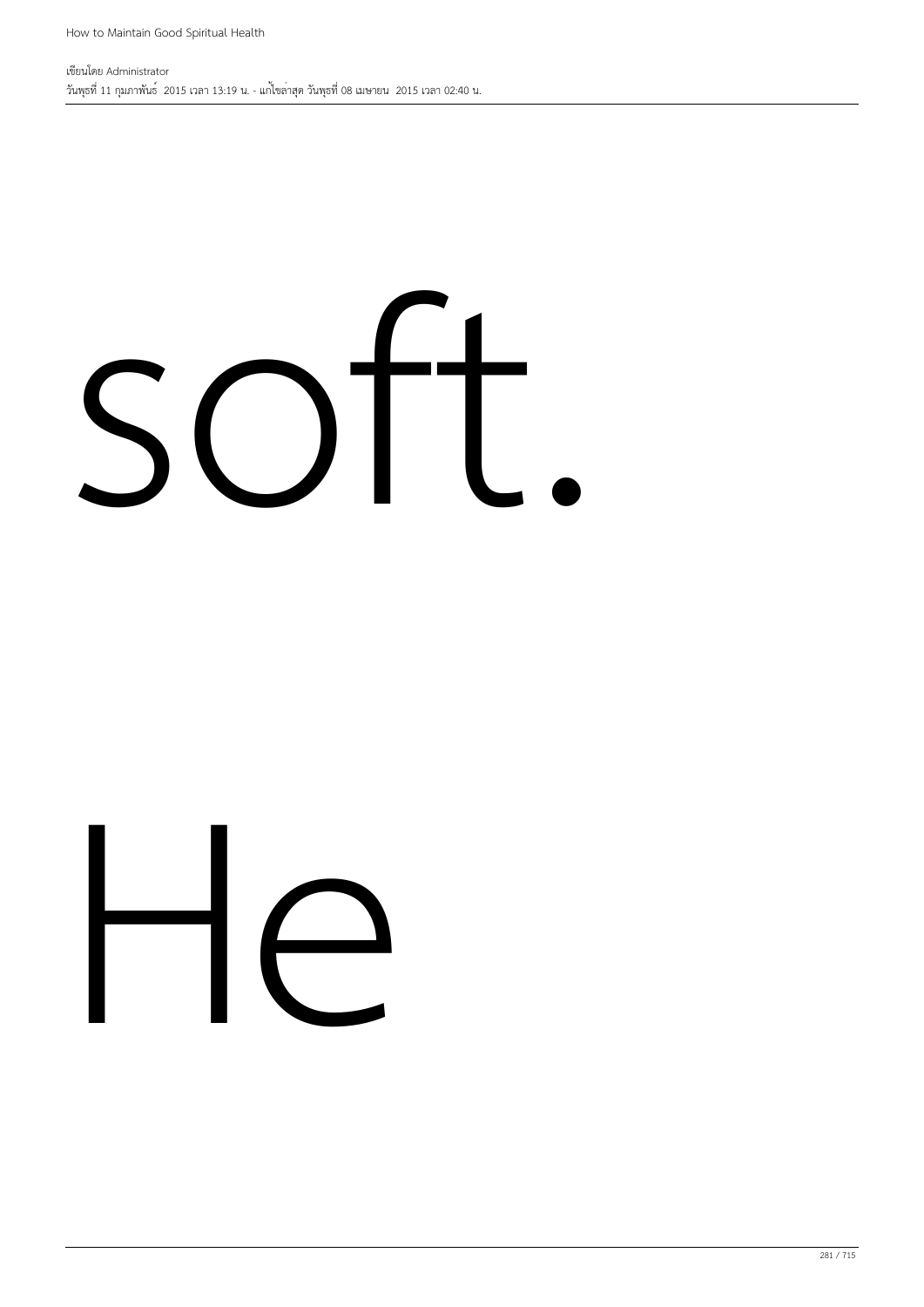# soft.

#### He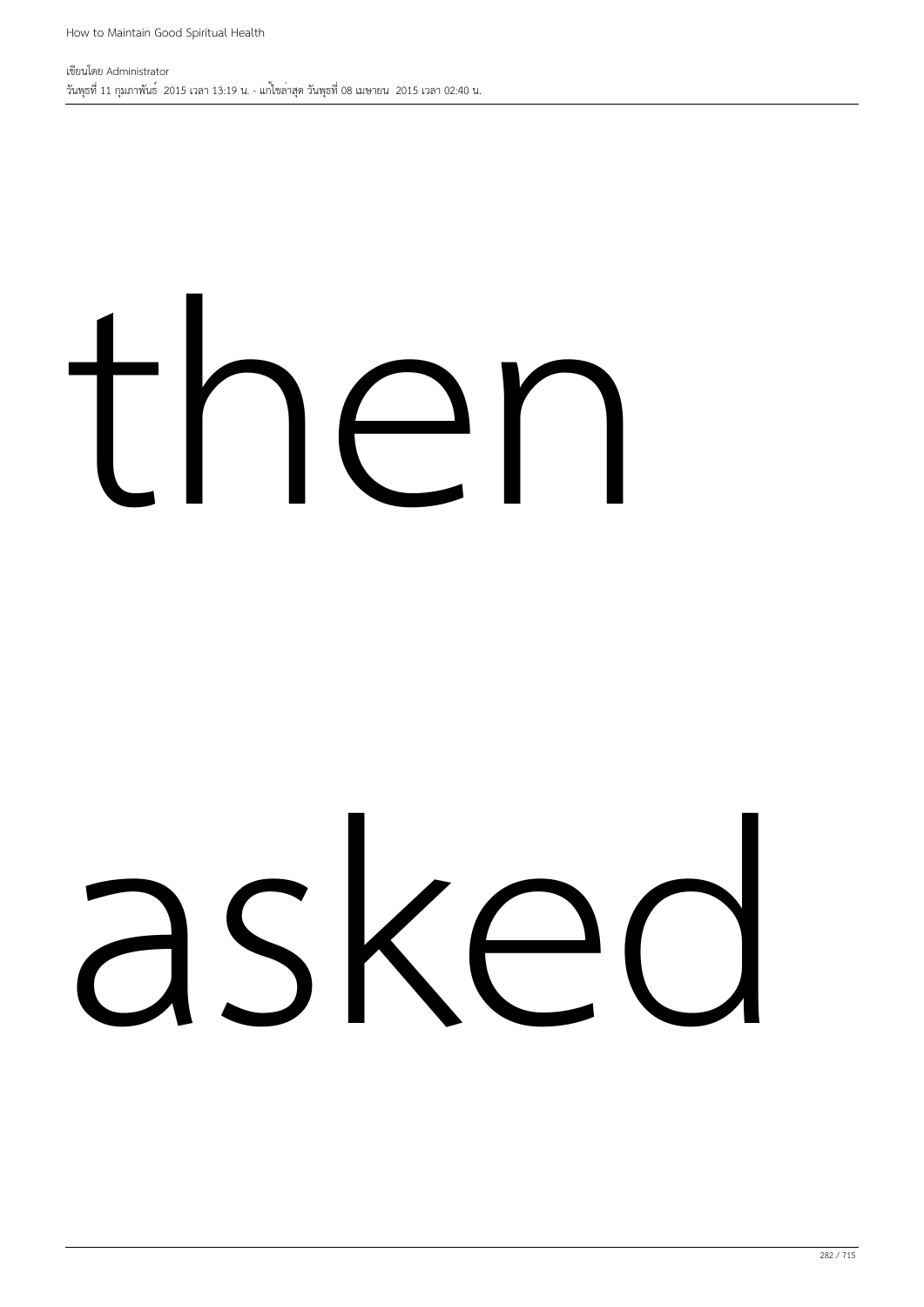## then

### asked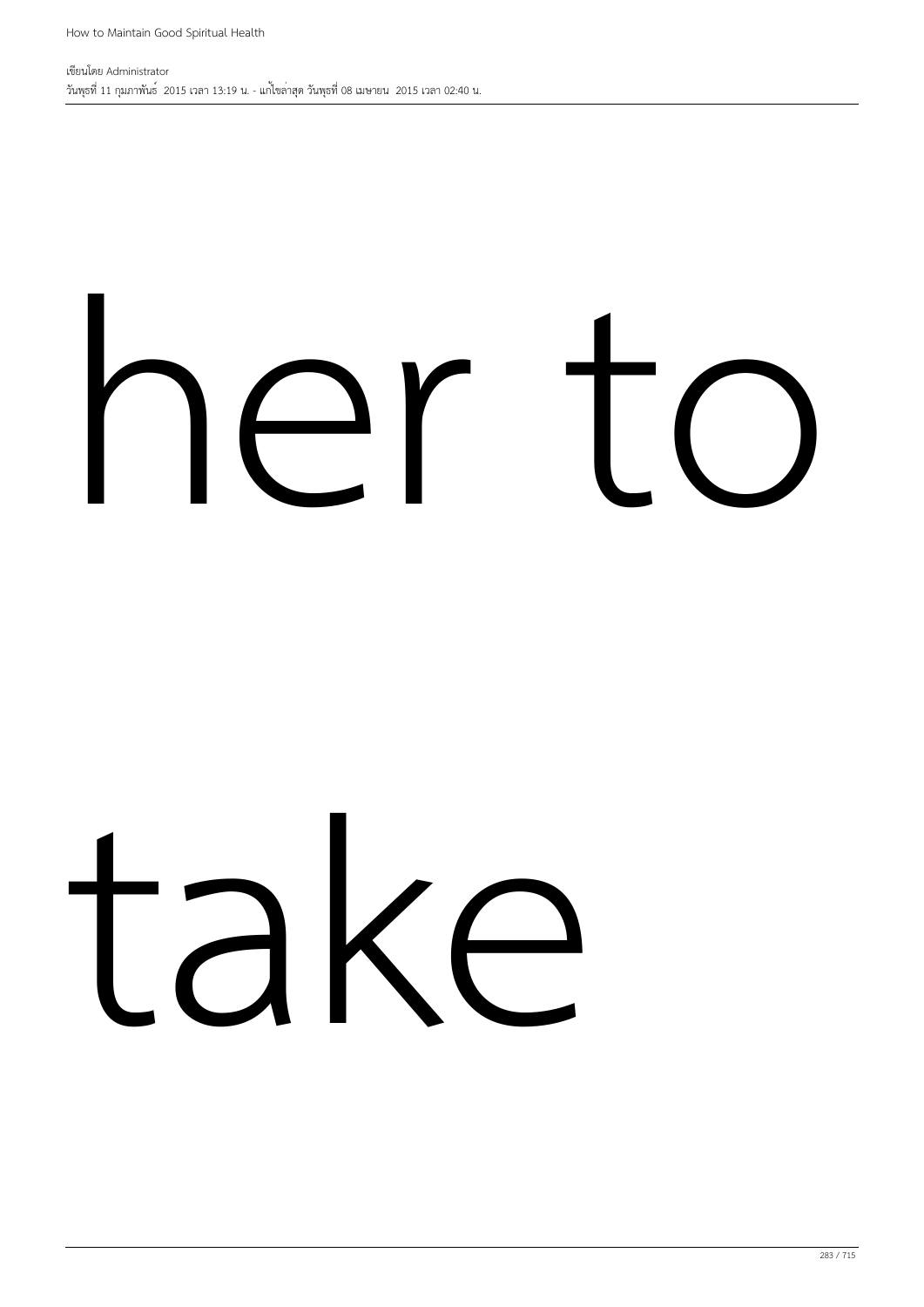### her to

### take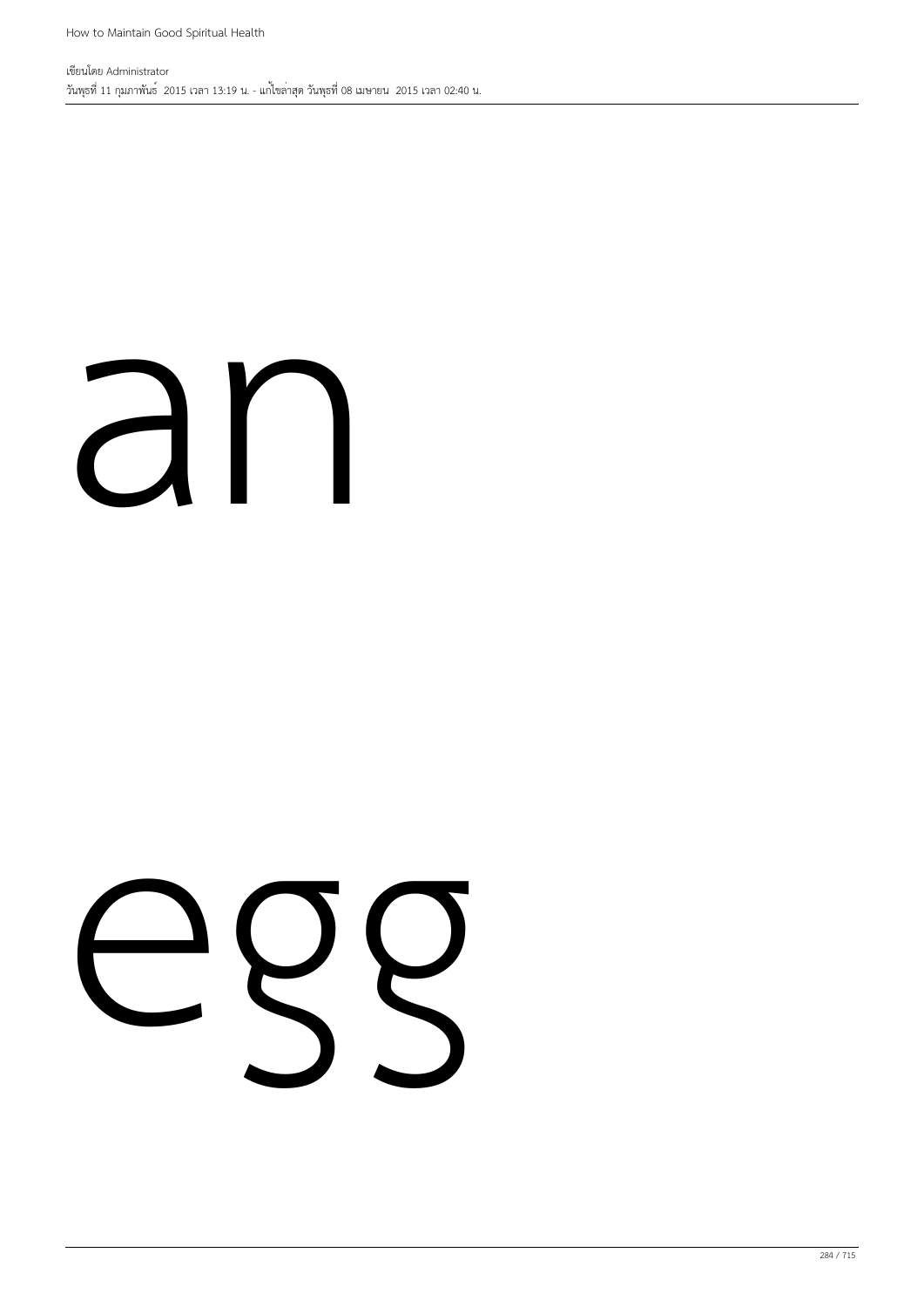#### an

### egg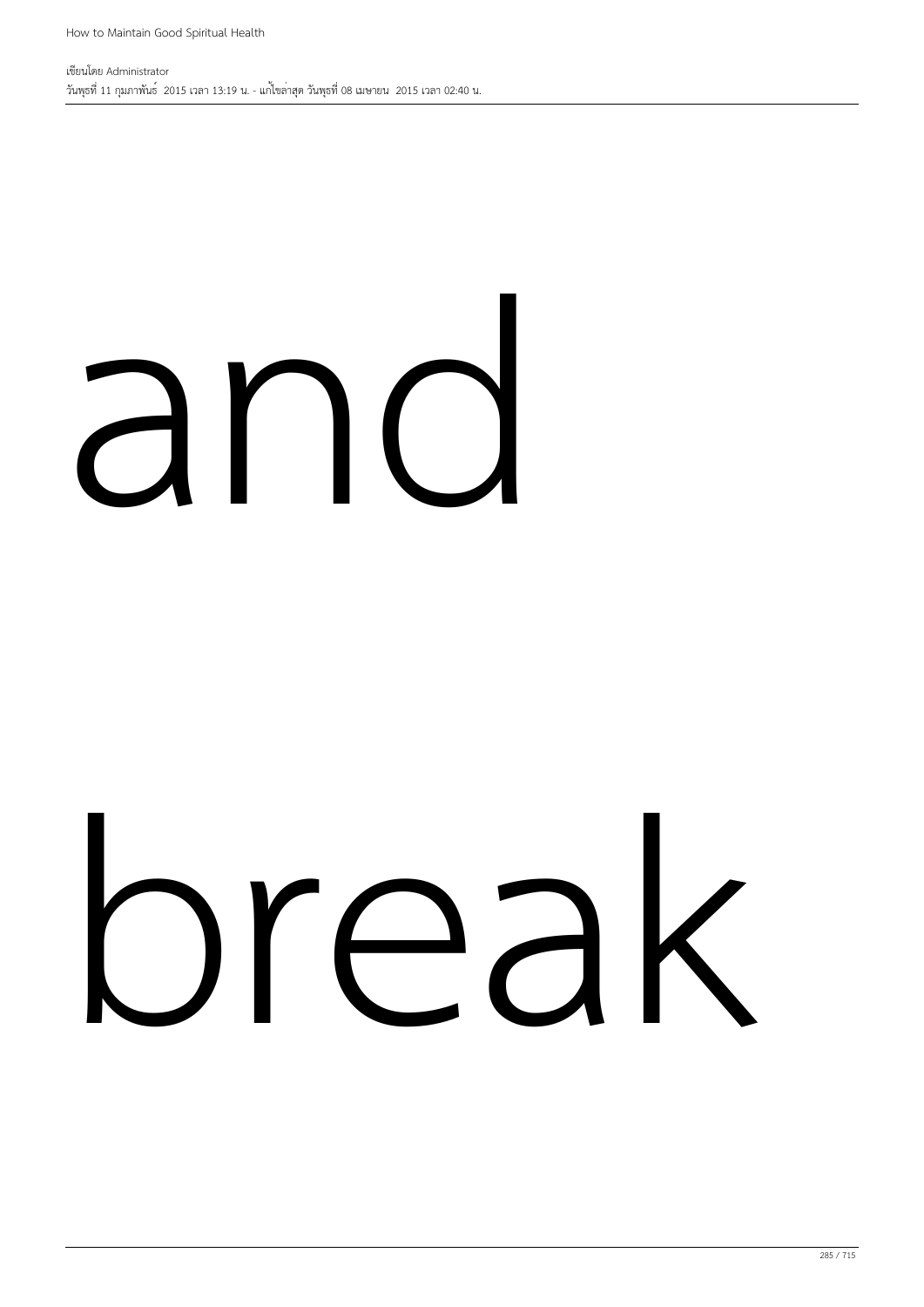### and

### break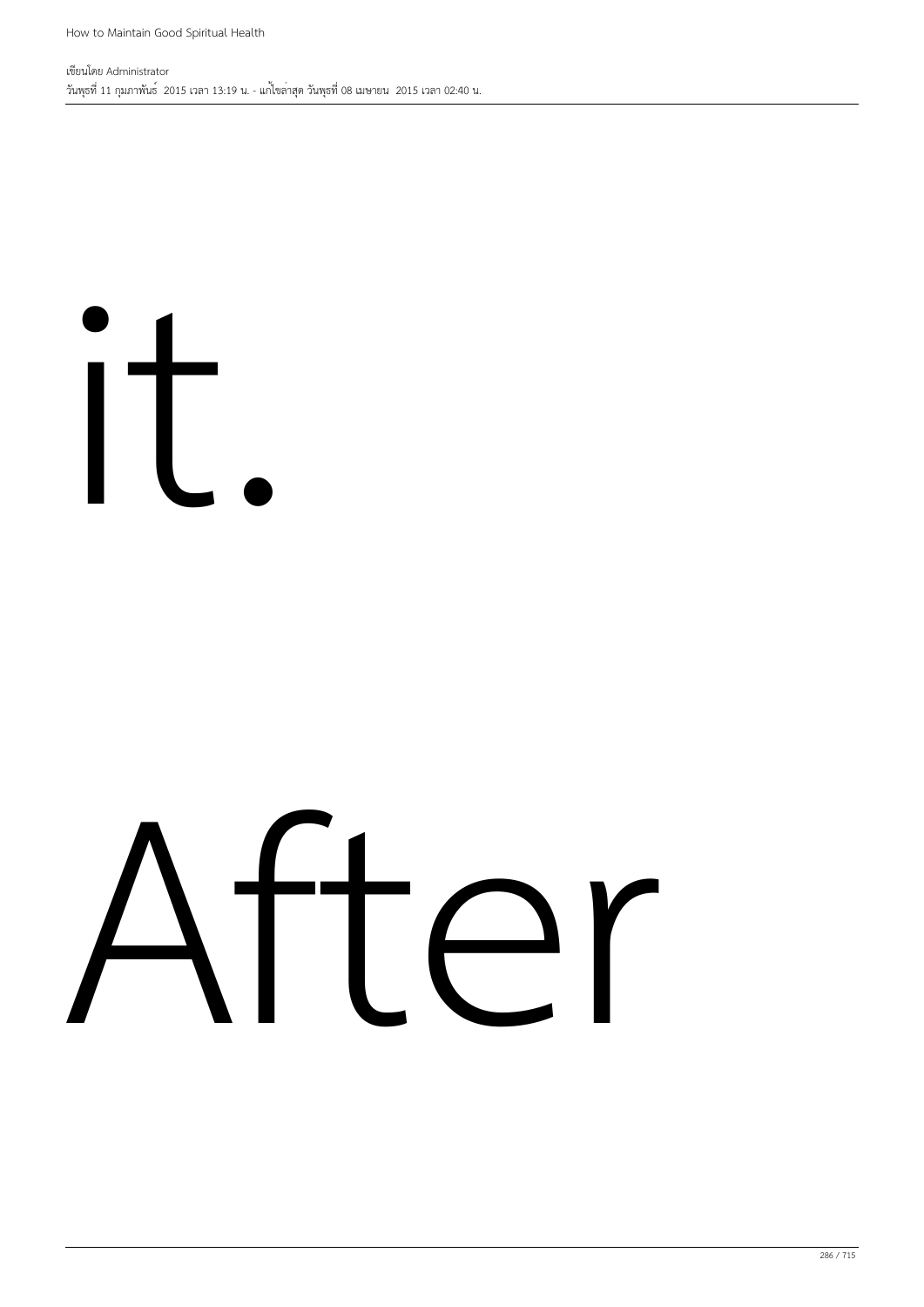## it.

## After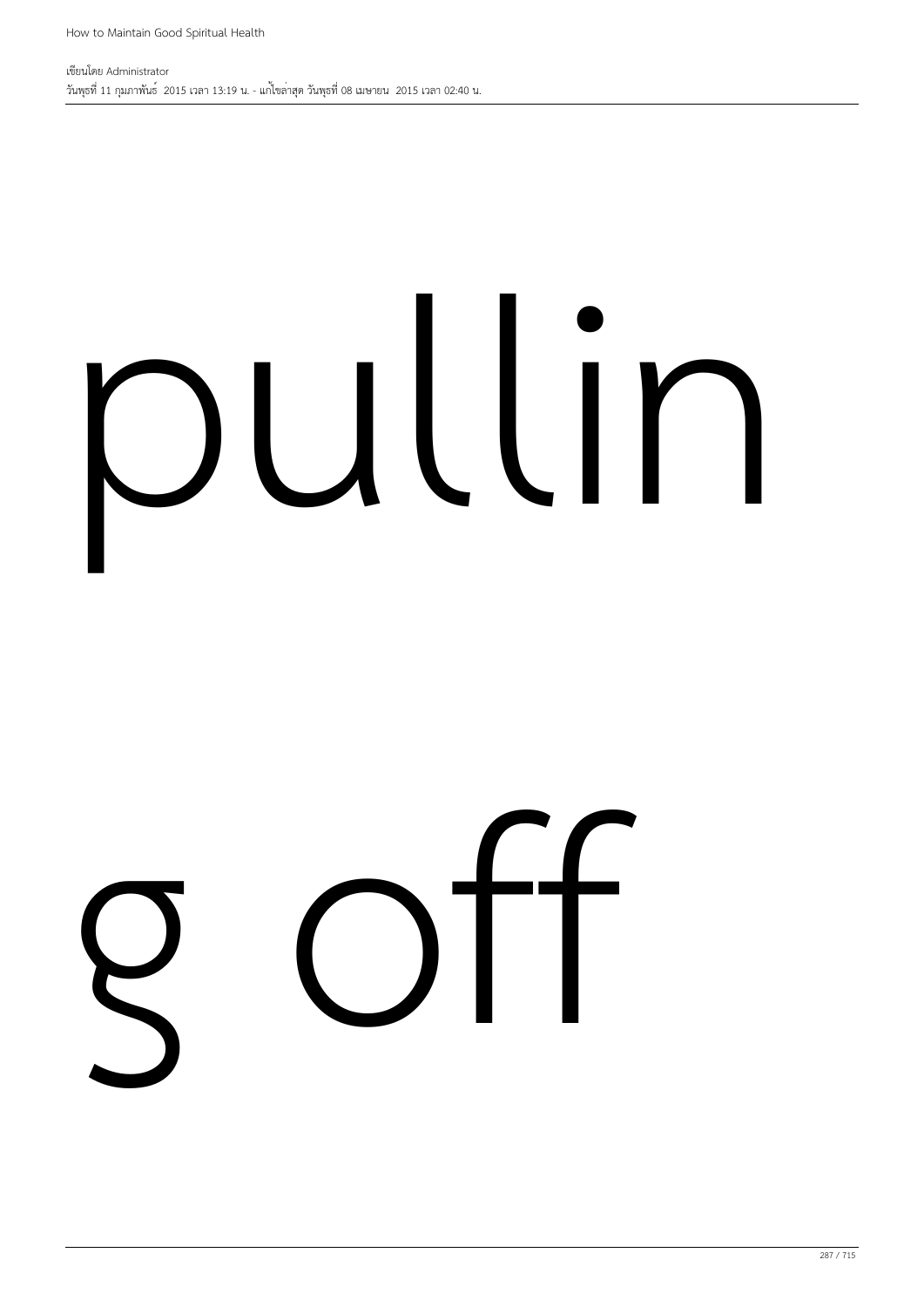# pullin

# Off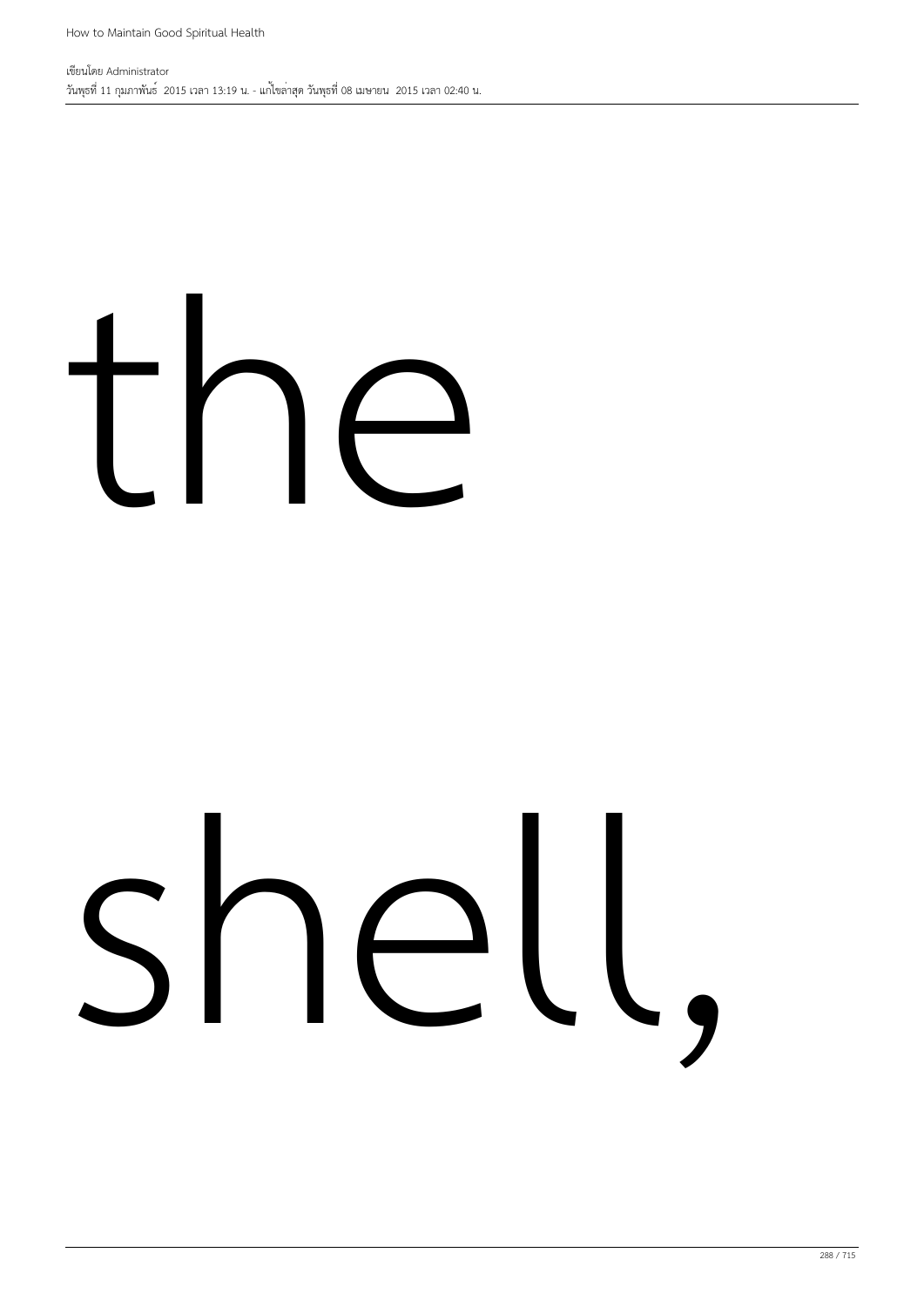## the

# shell,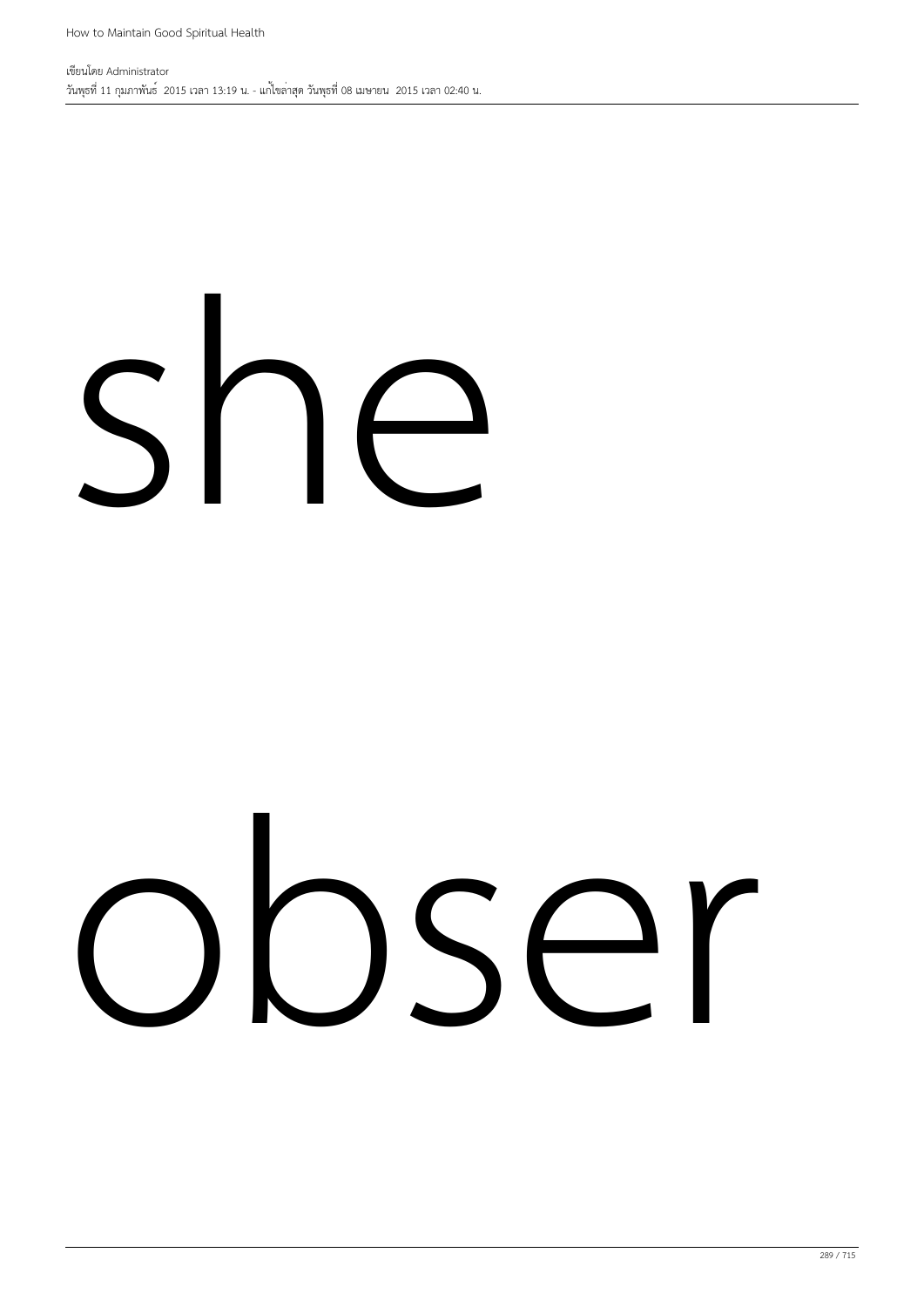## she

### obser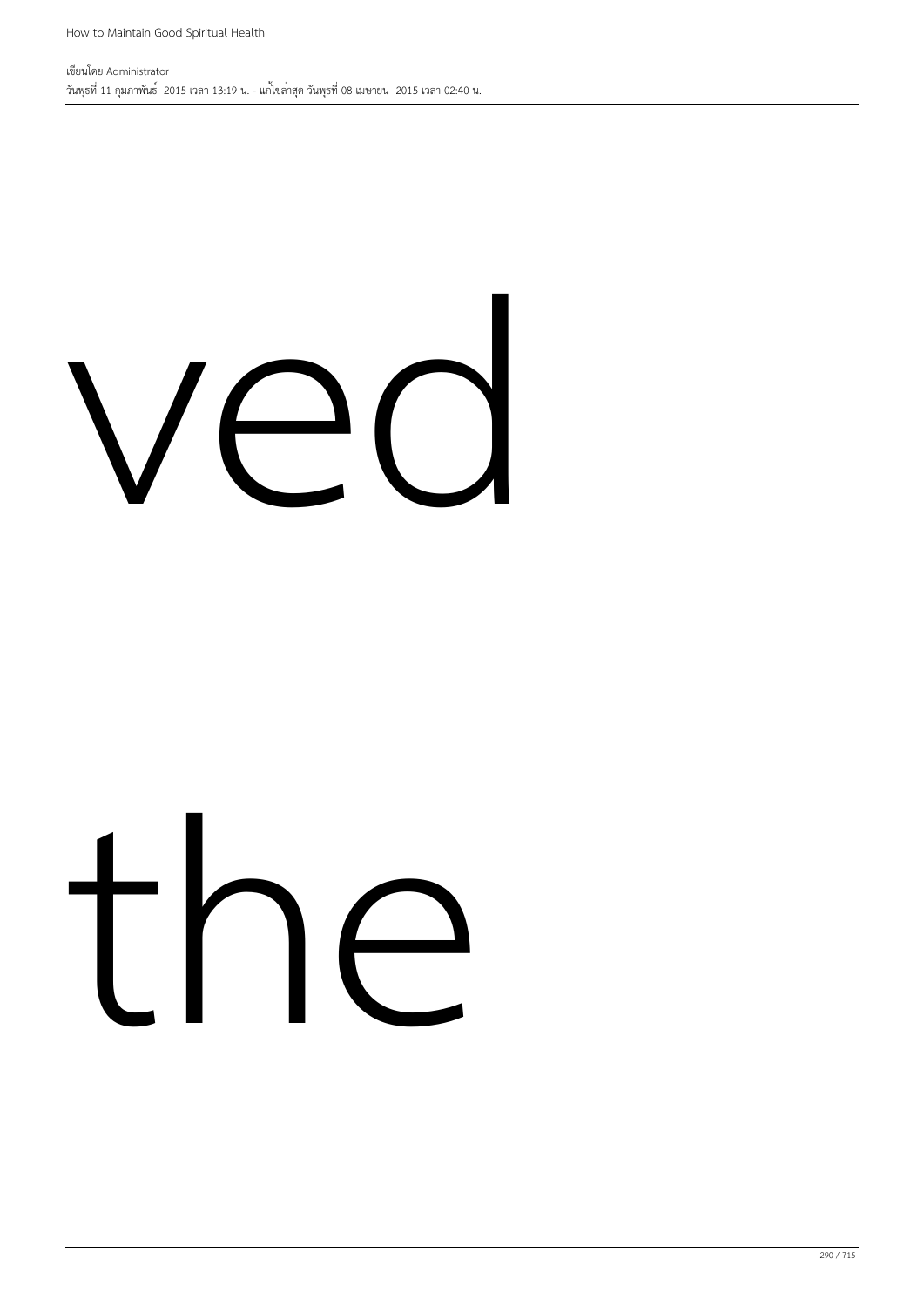## ved

## the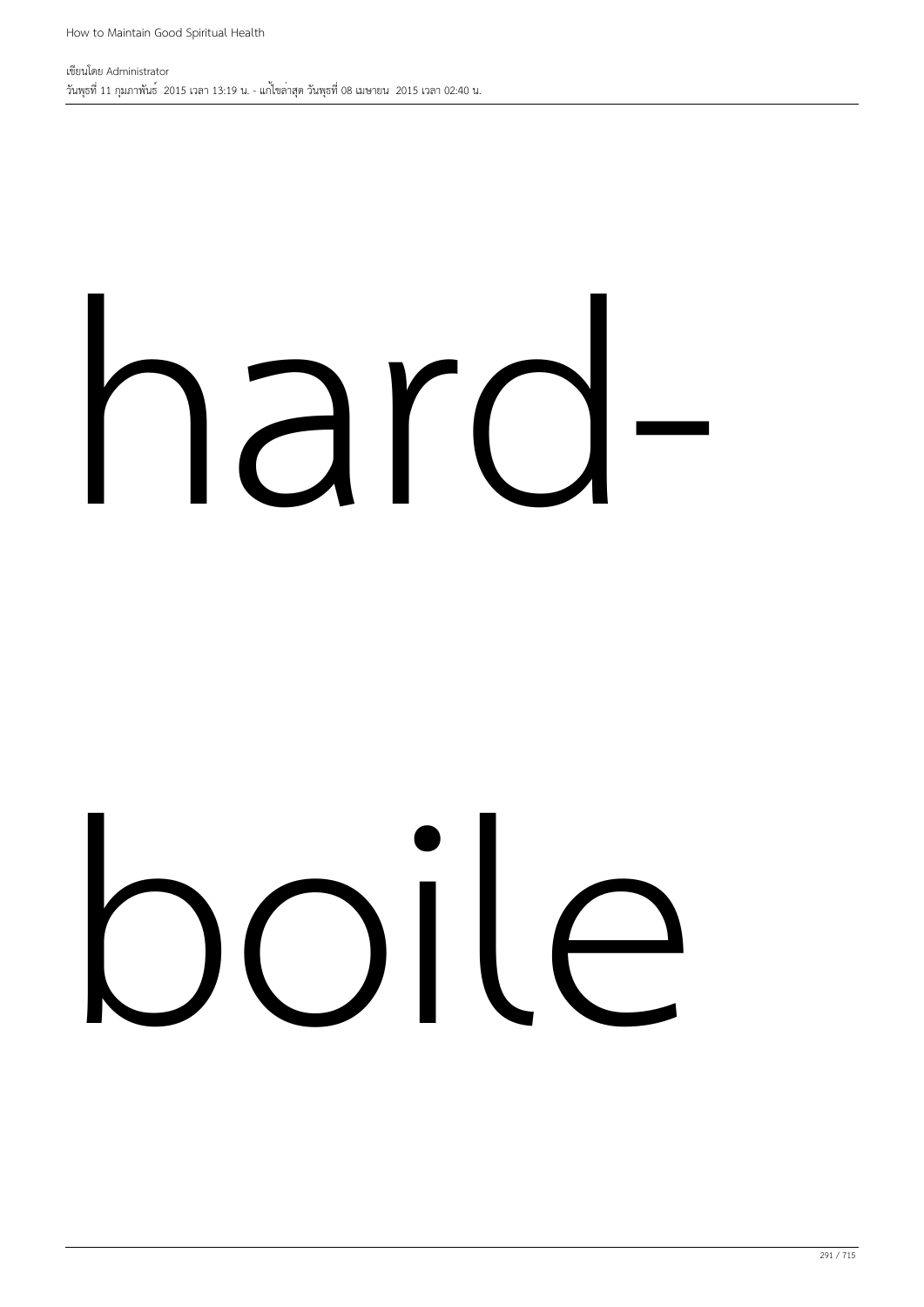## hard-

## boile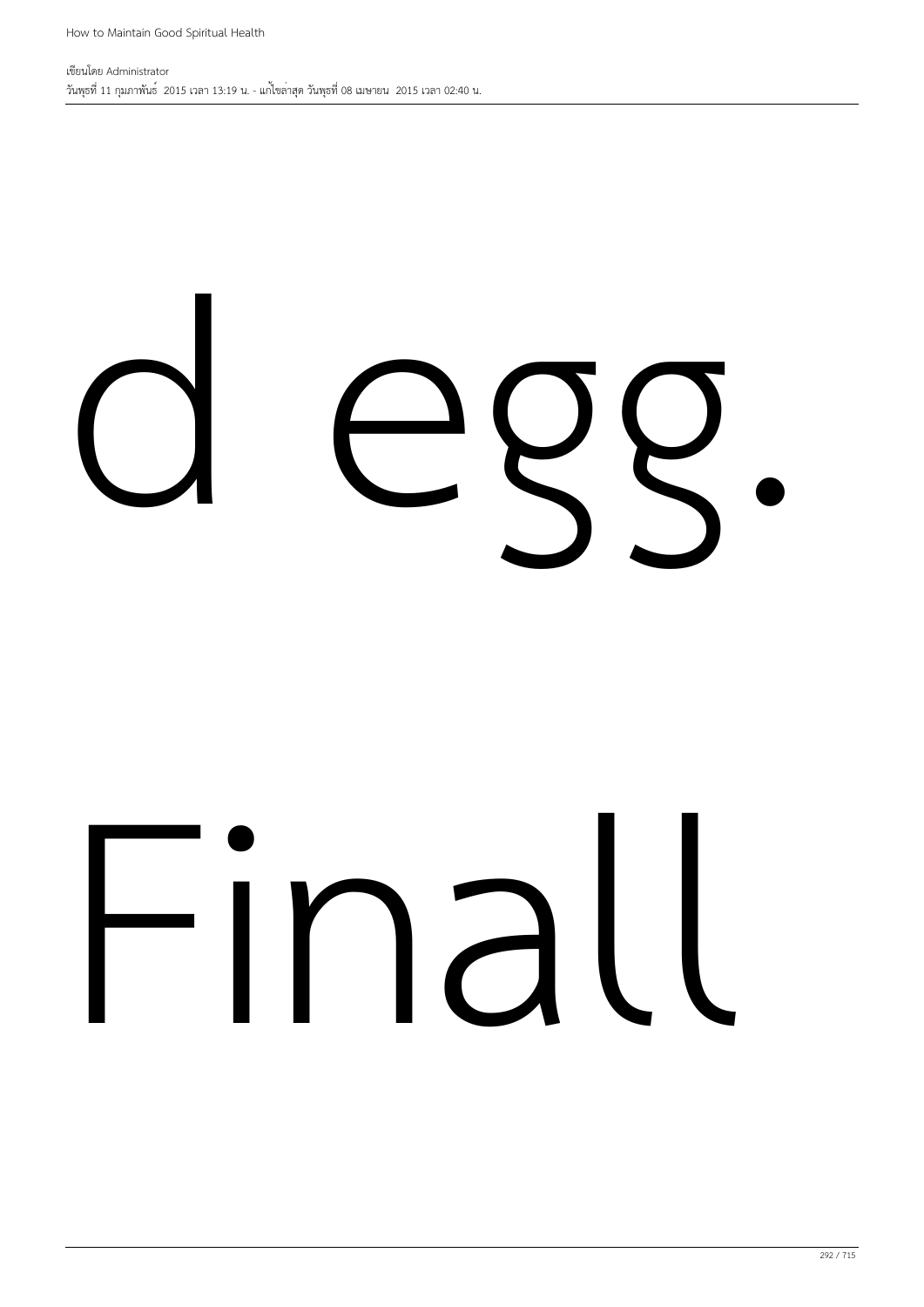## $S$

#### Finall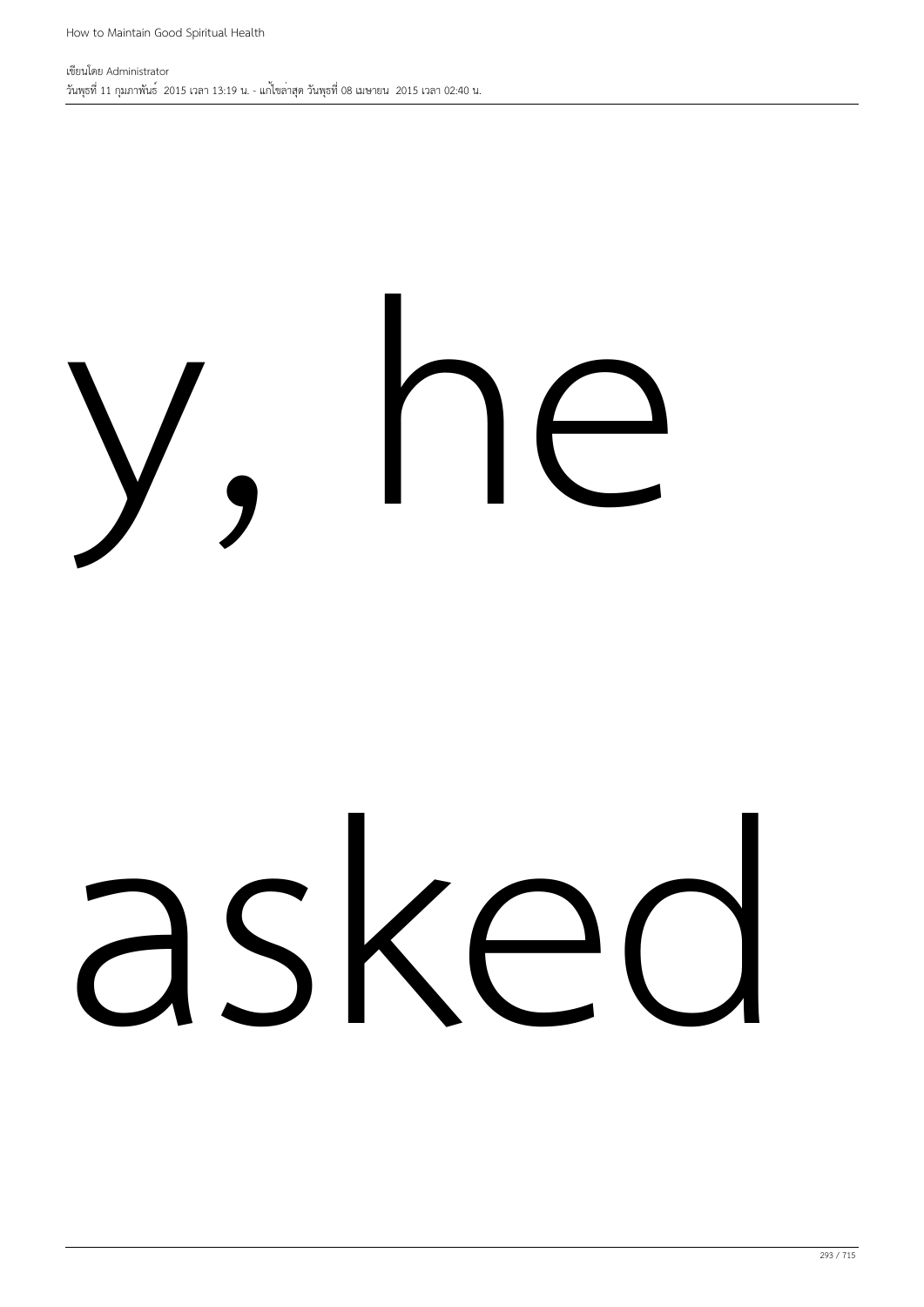# y, he

## aske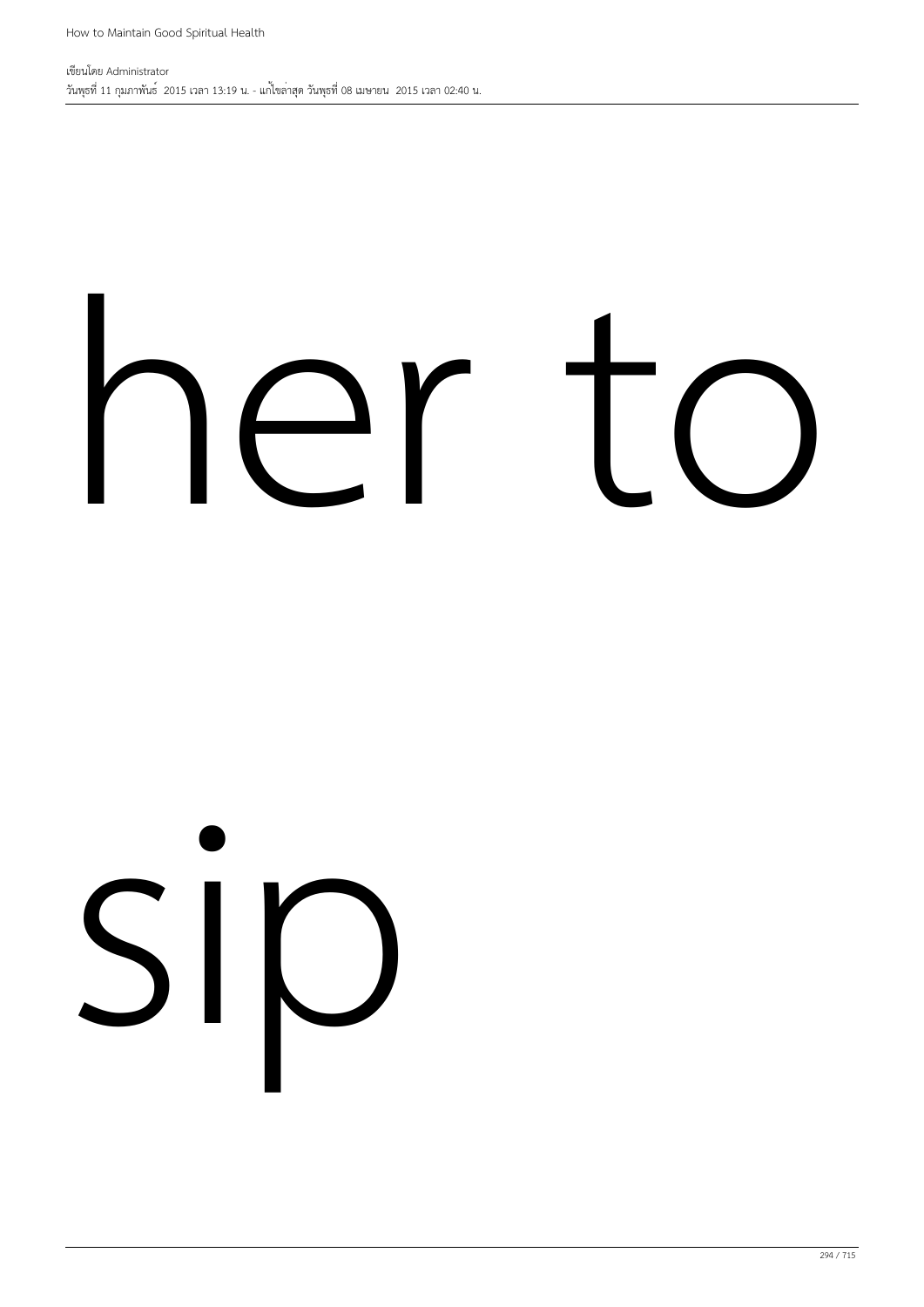## her to

## sip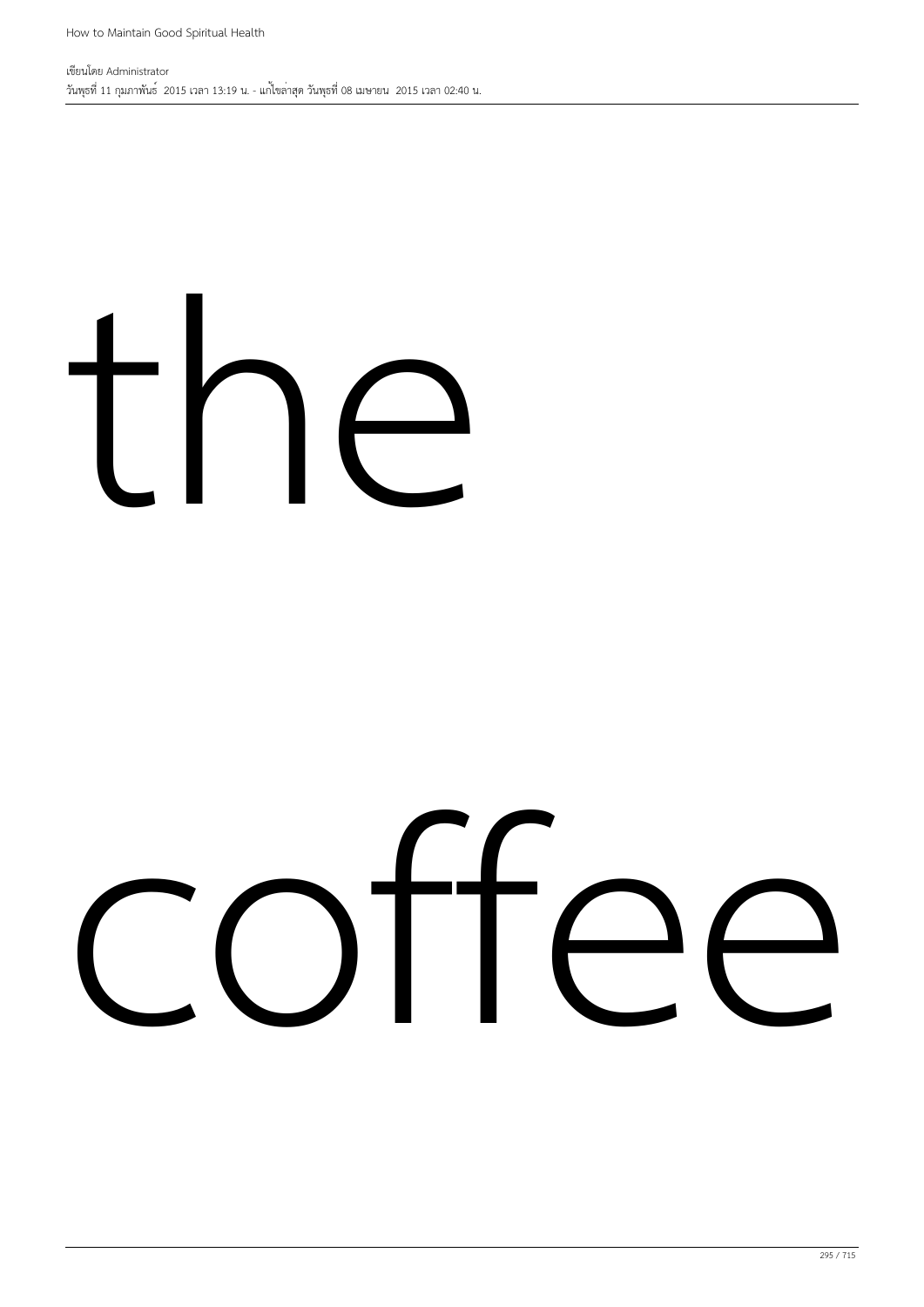## the

## roffee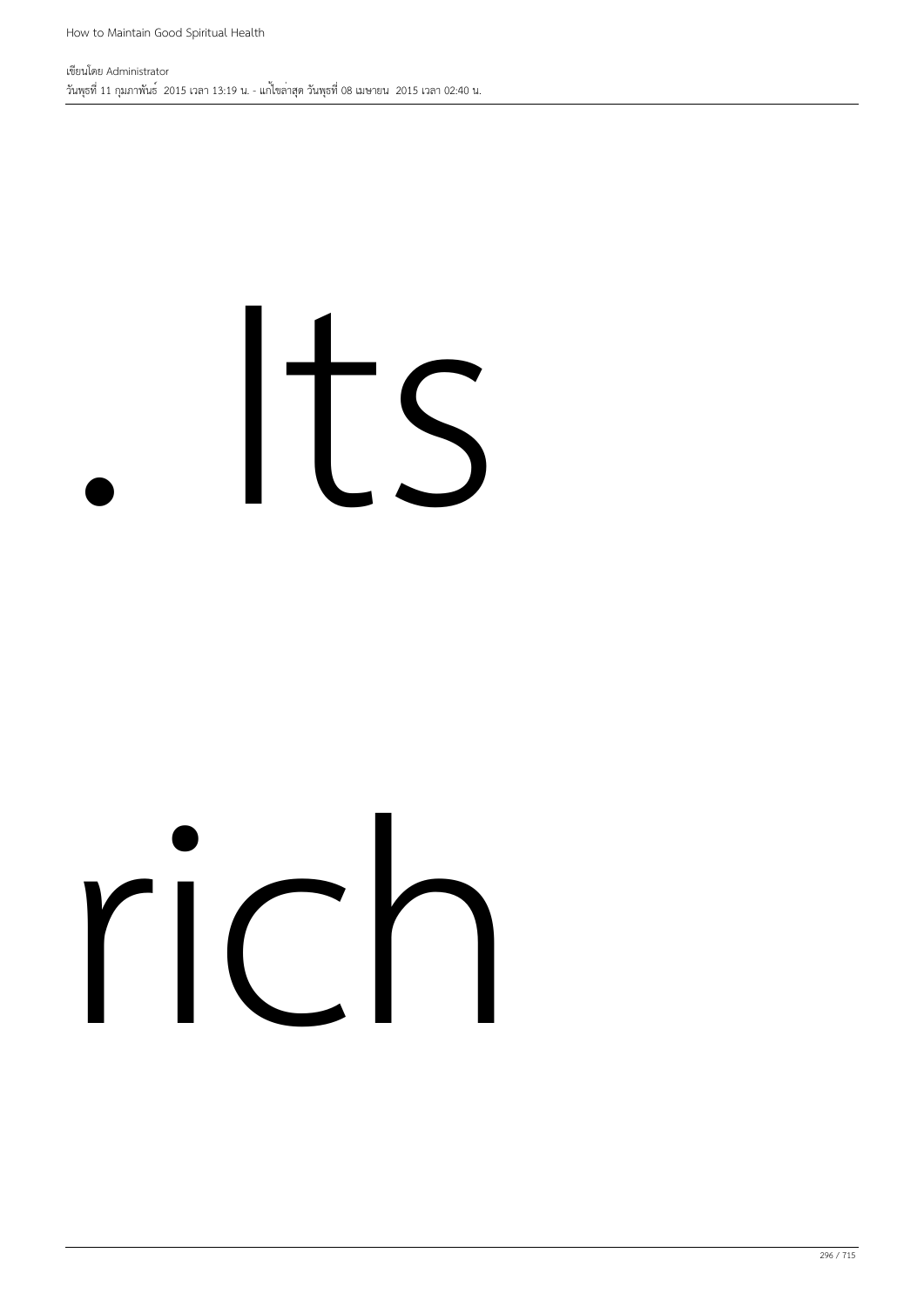#### Its

## rich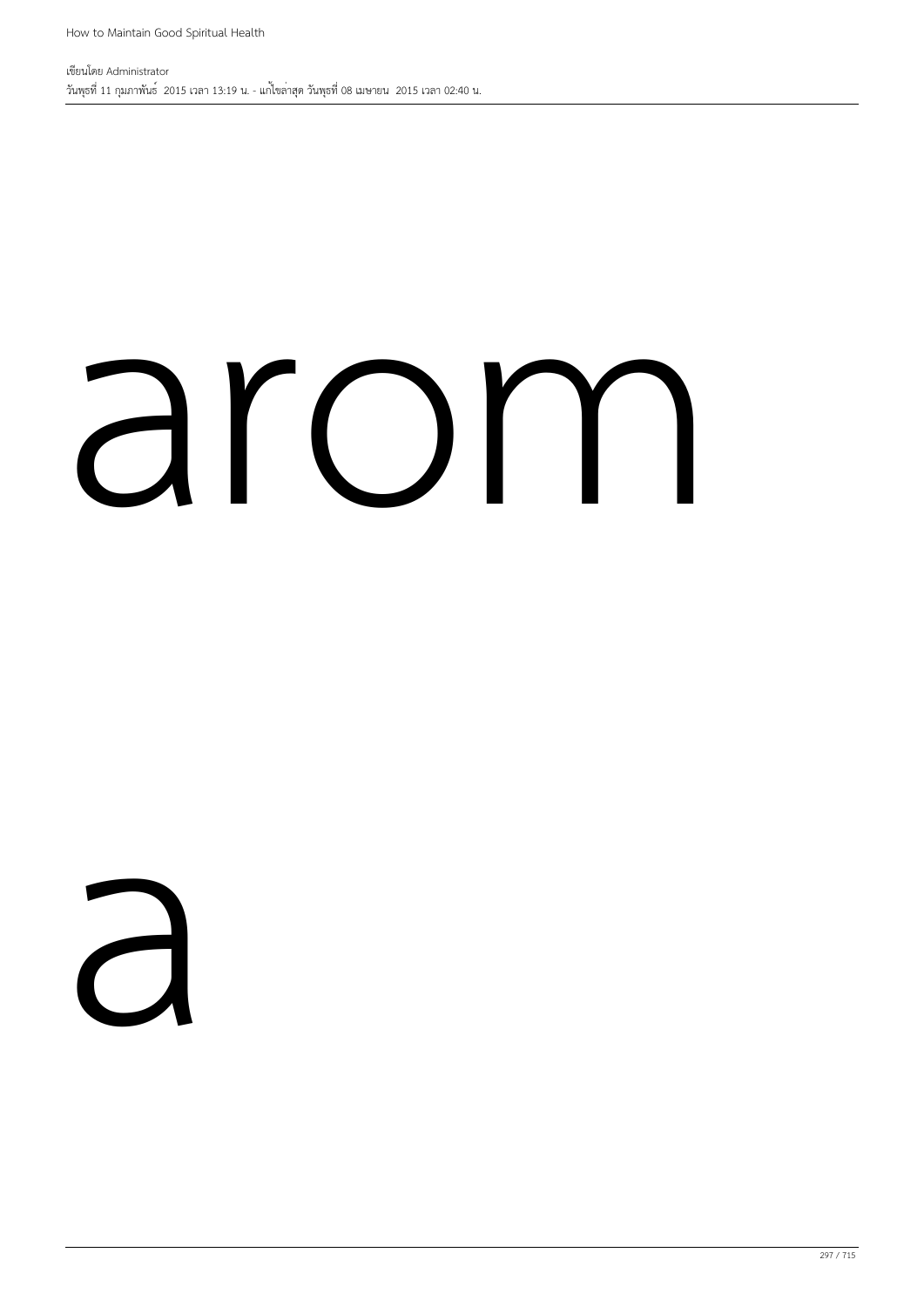#### arom



297 / 715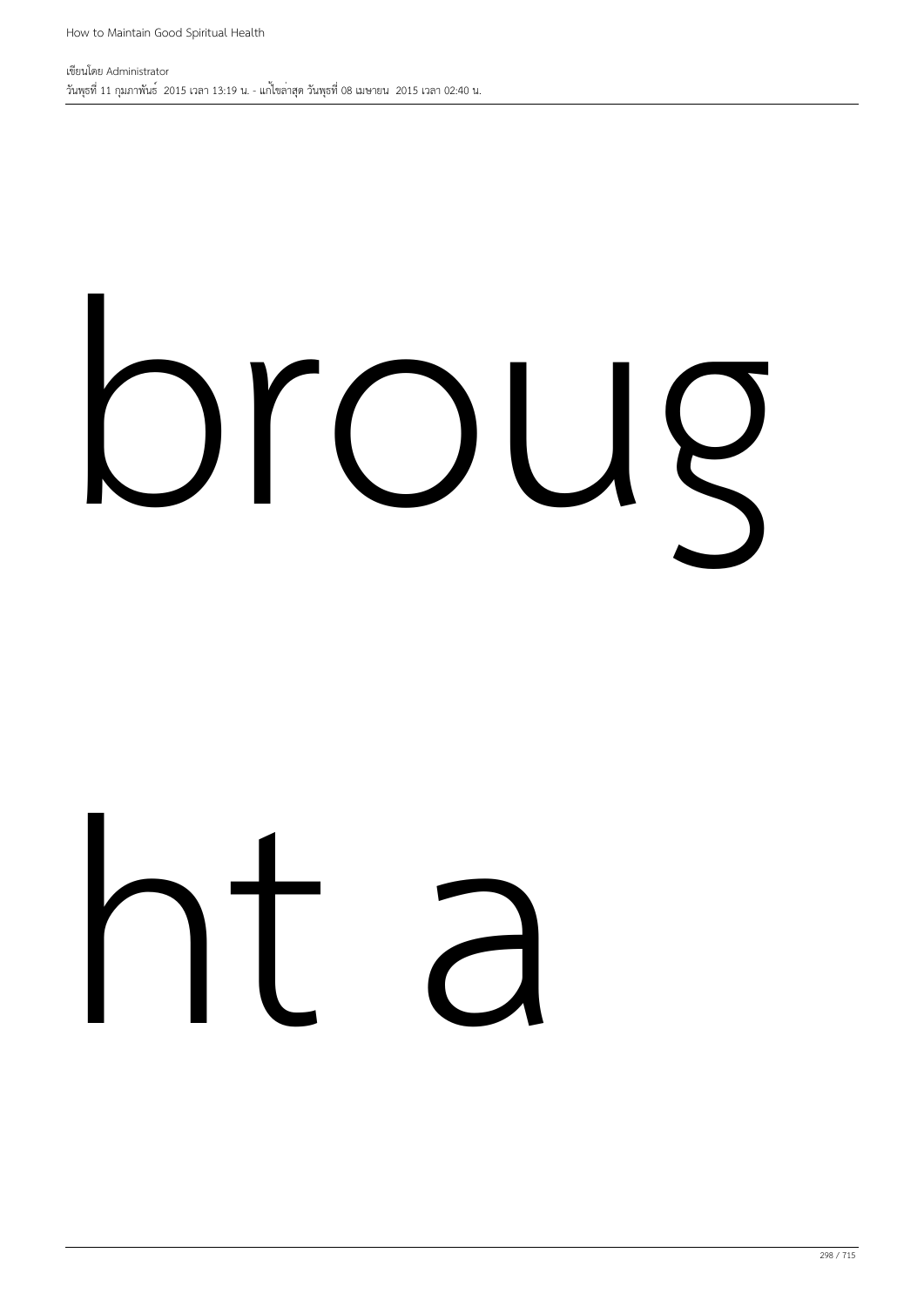## broug

# ht a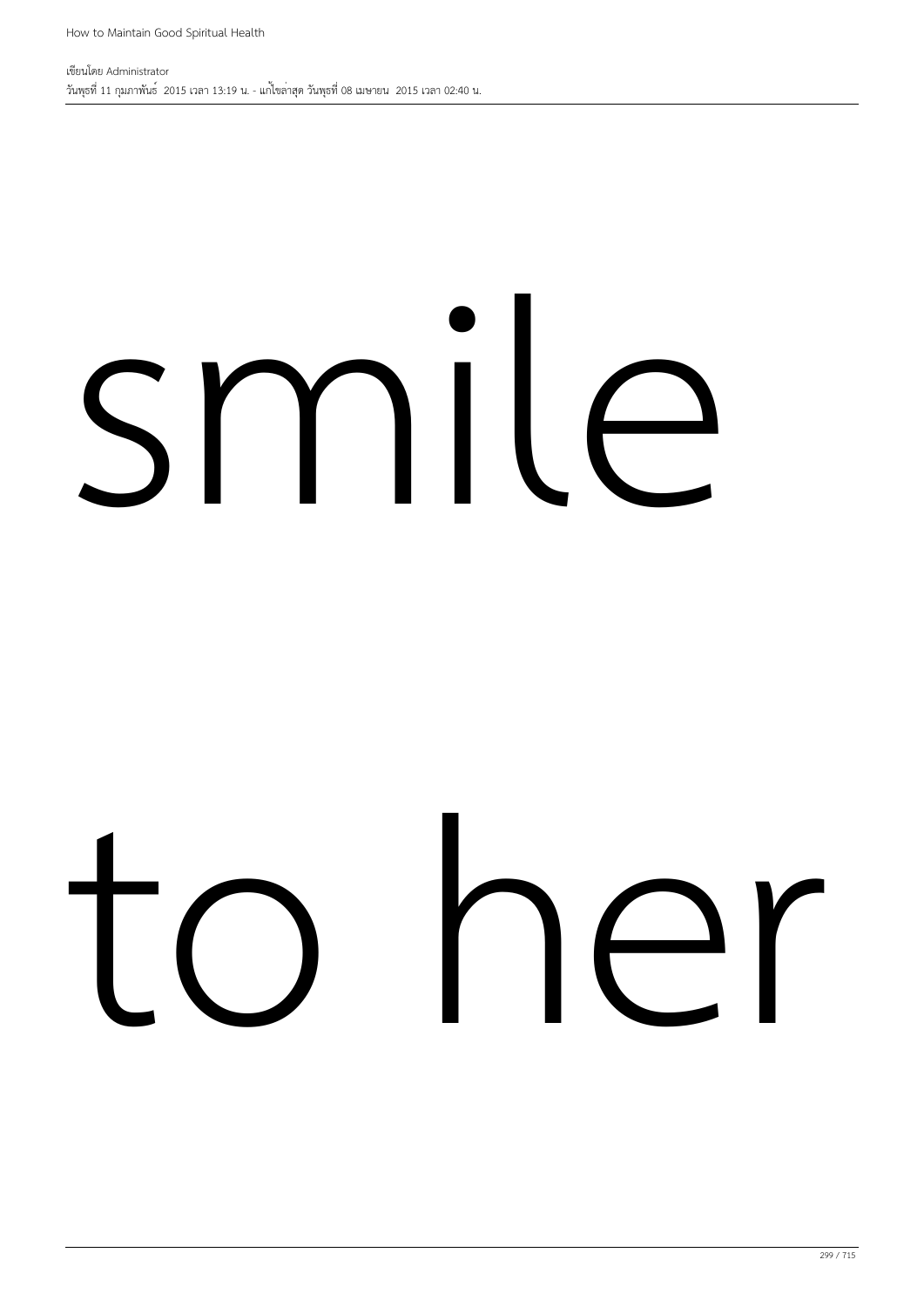## smile

## her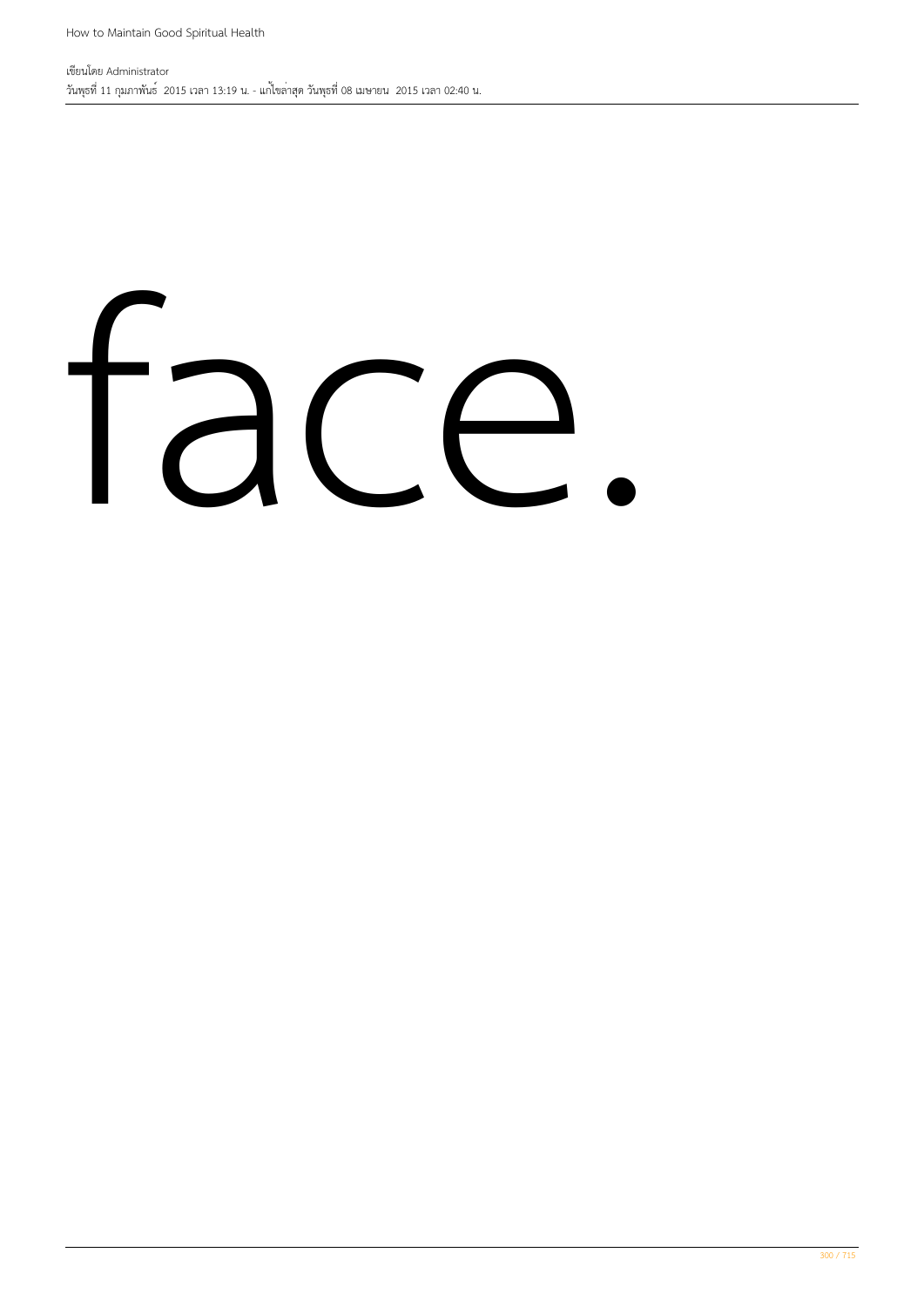## face.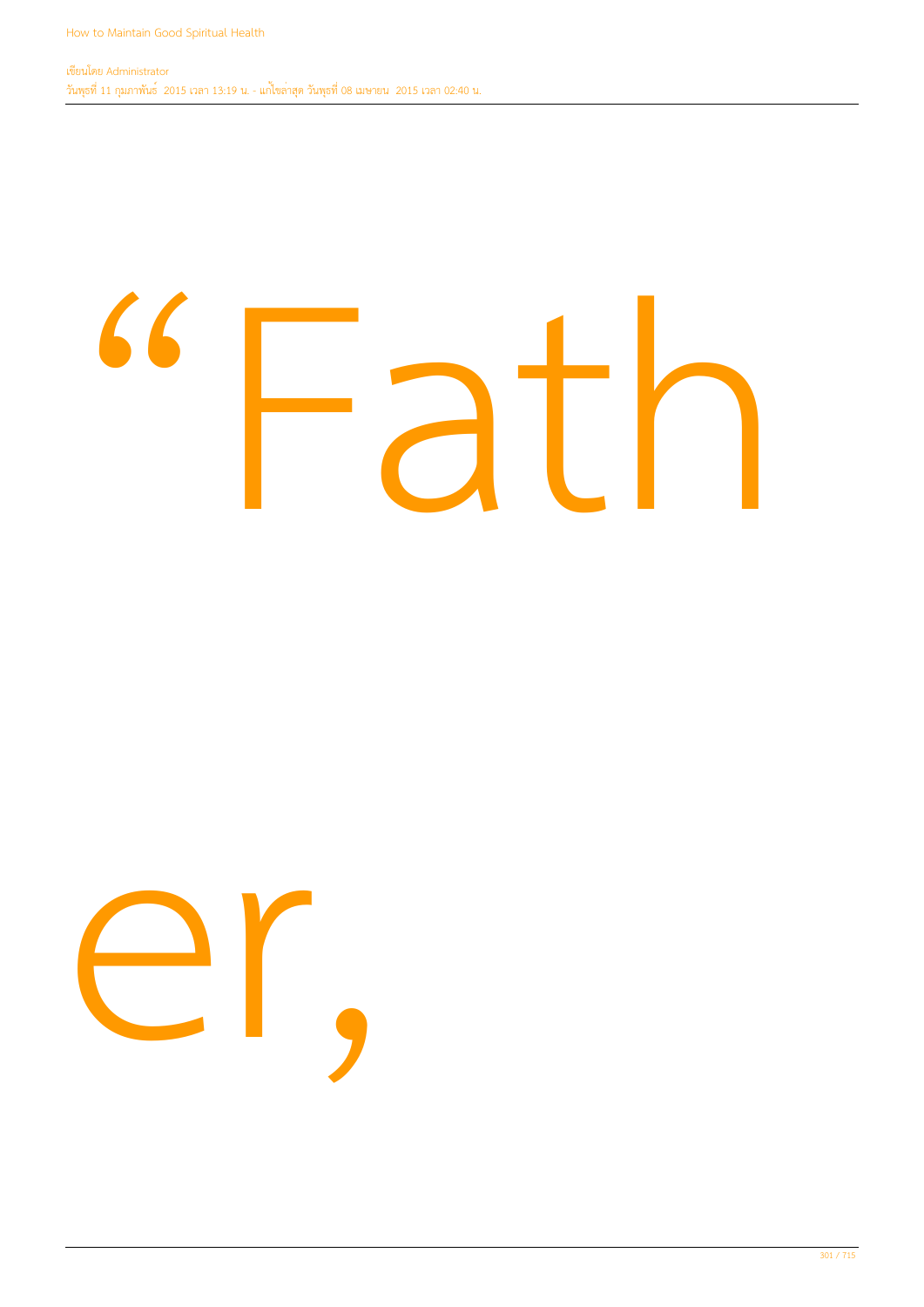# "Fath

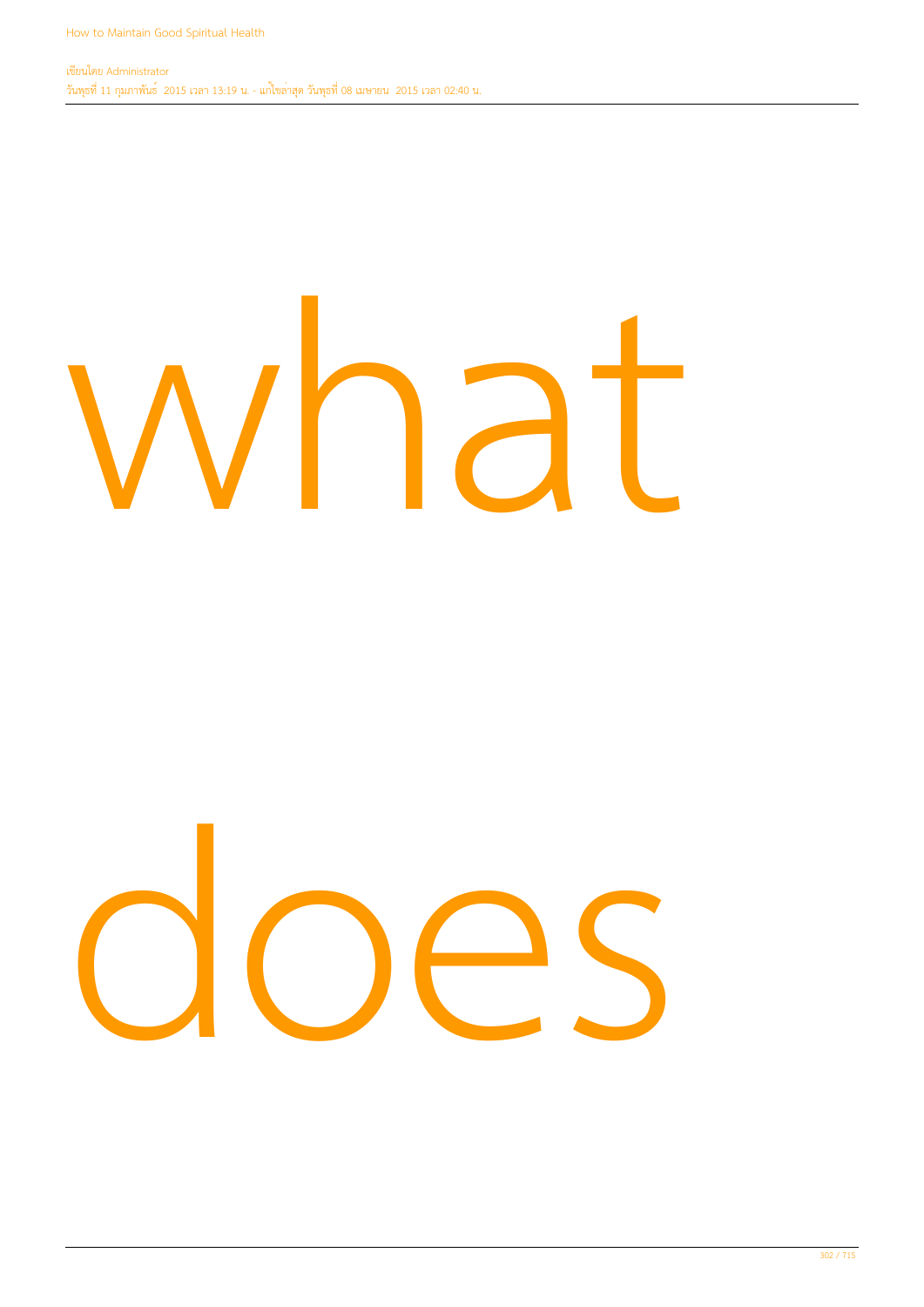# what

# does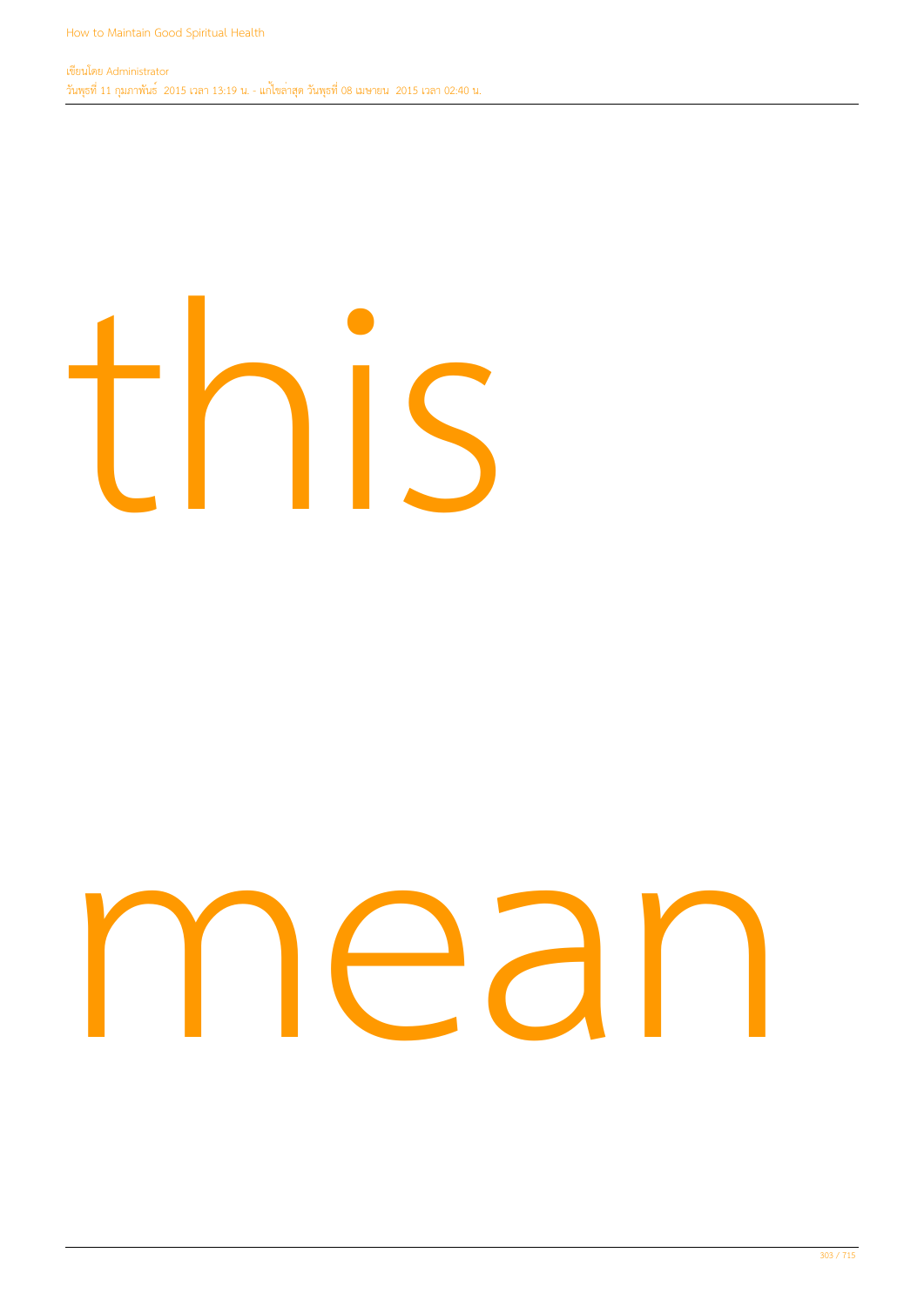## this

#### mean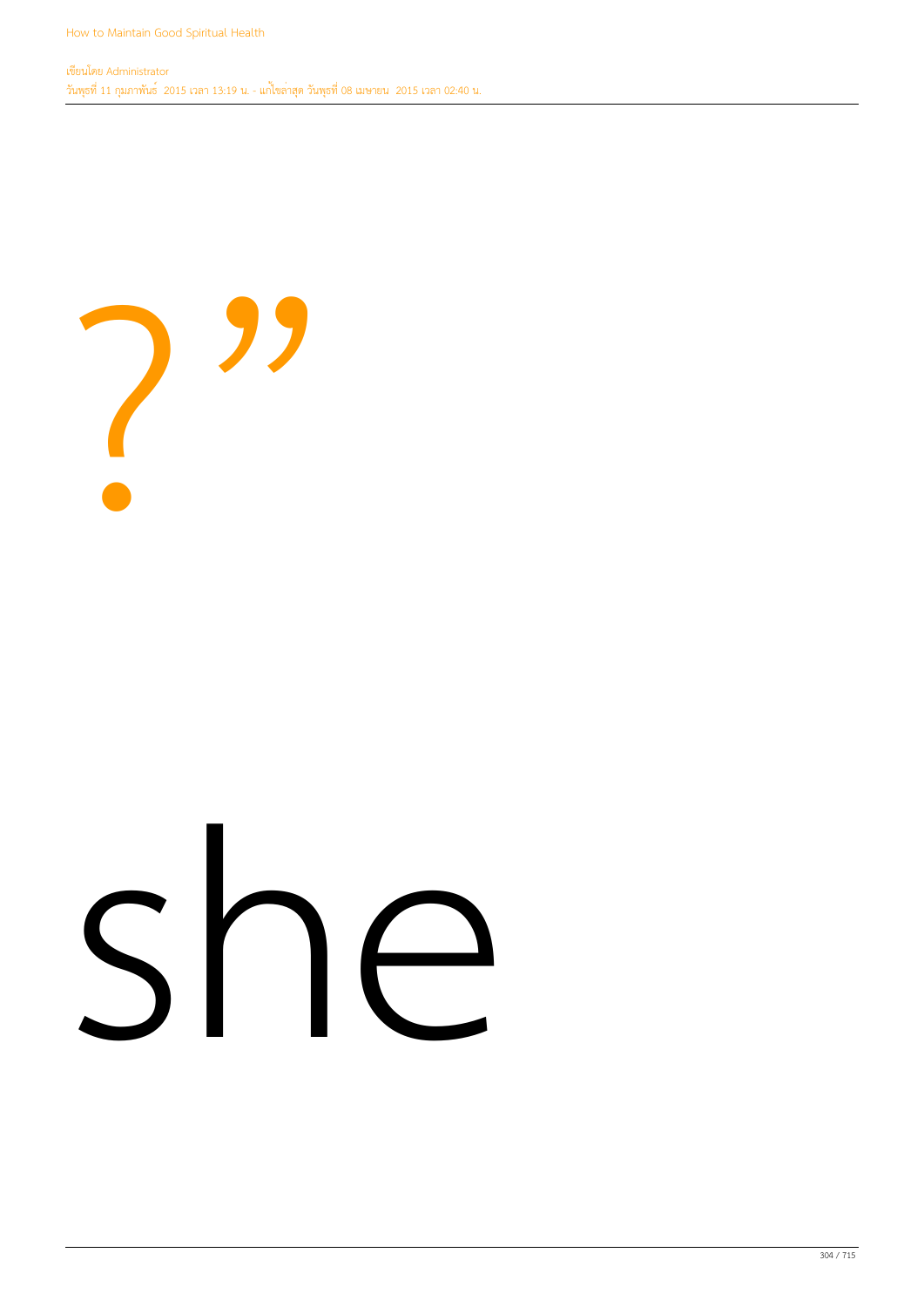?"

## she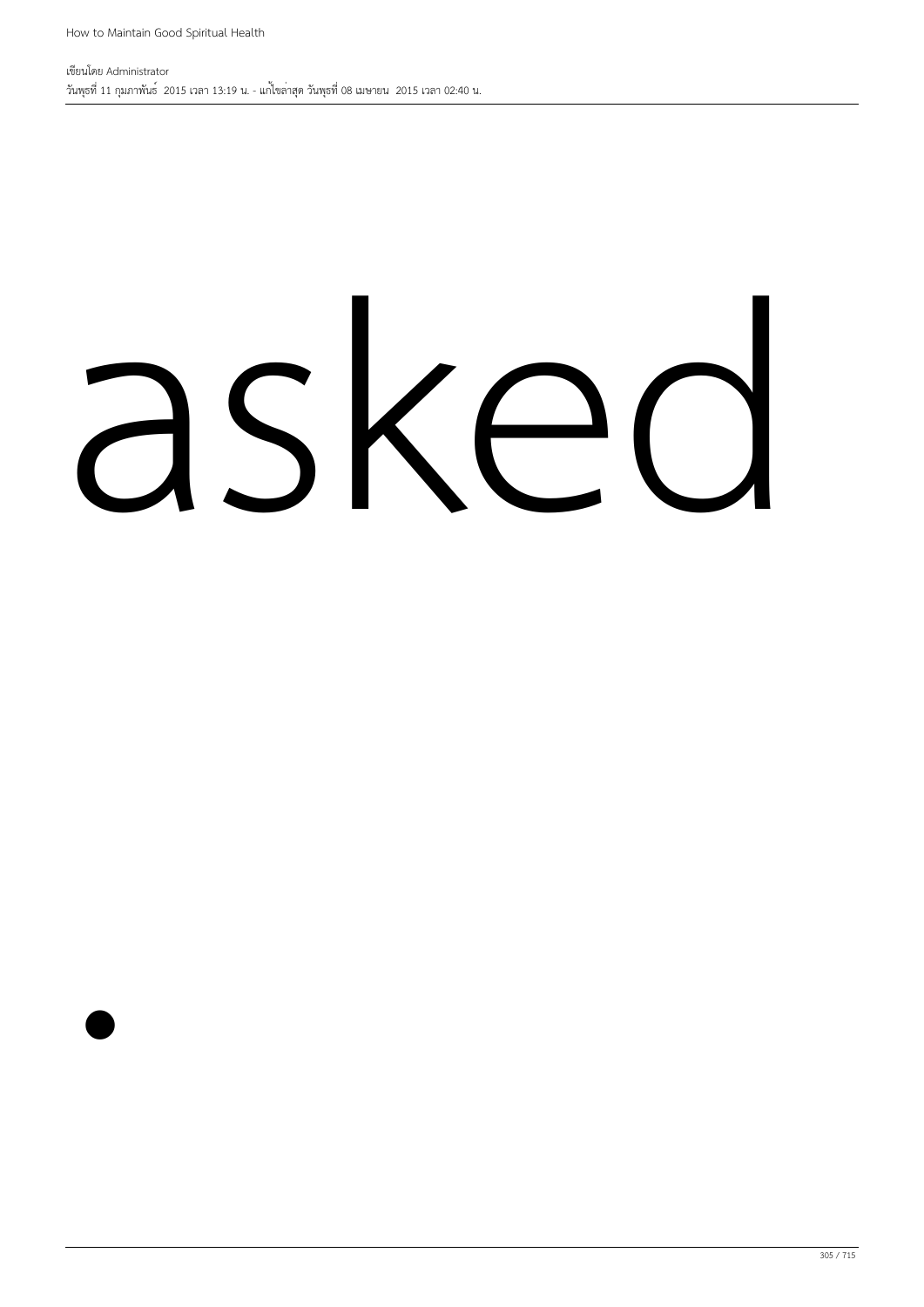.

## asked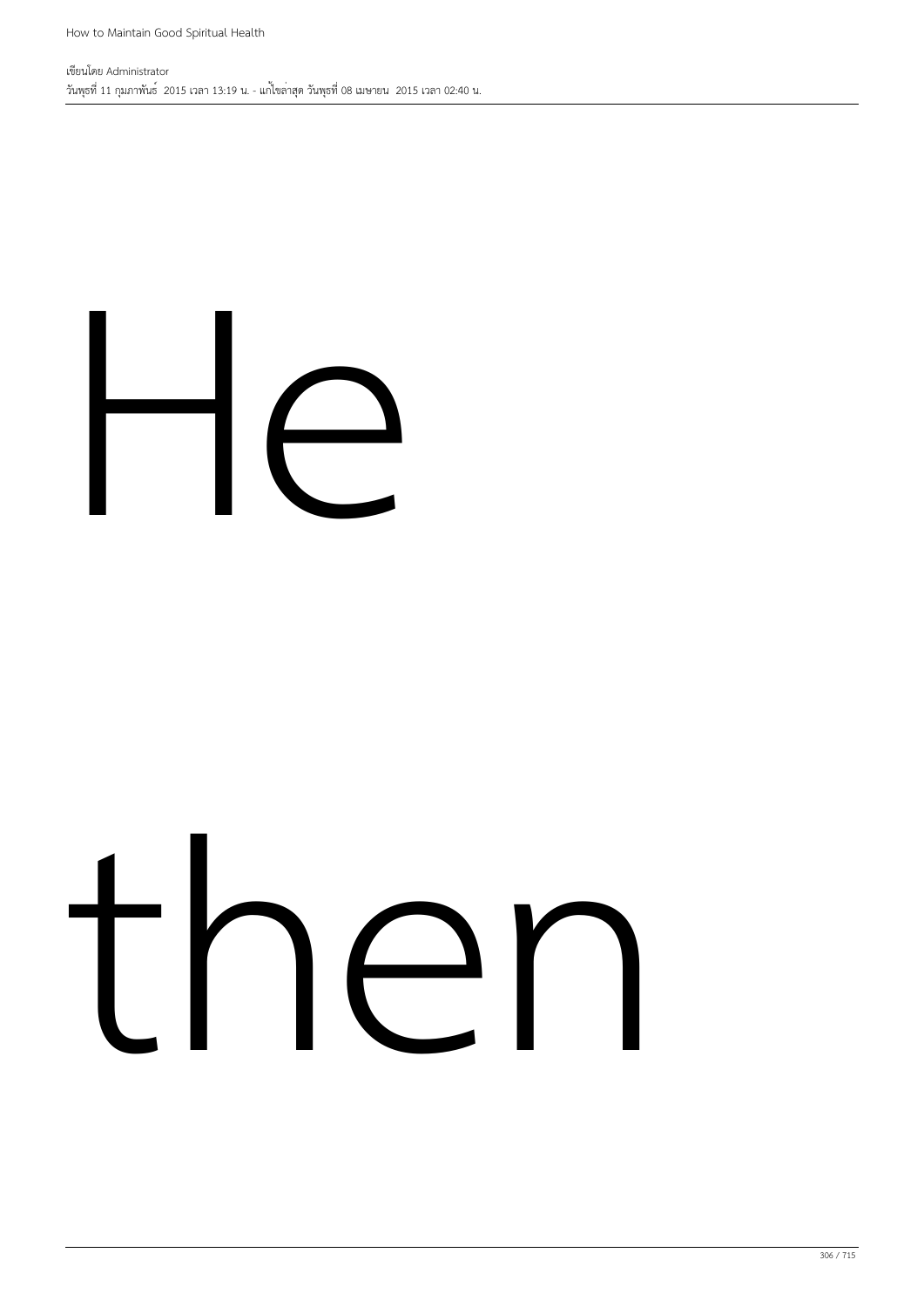#### He

### then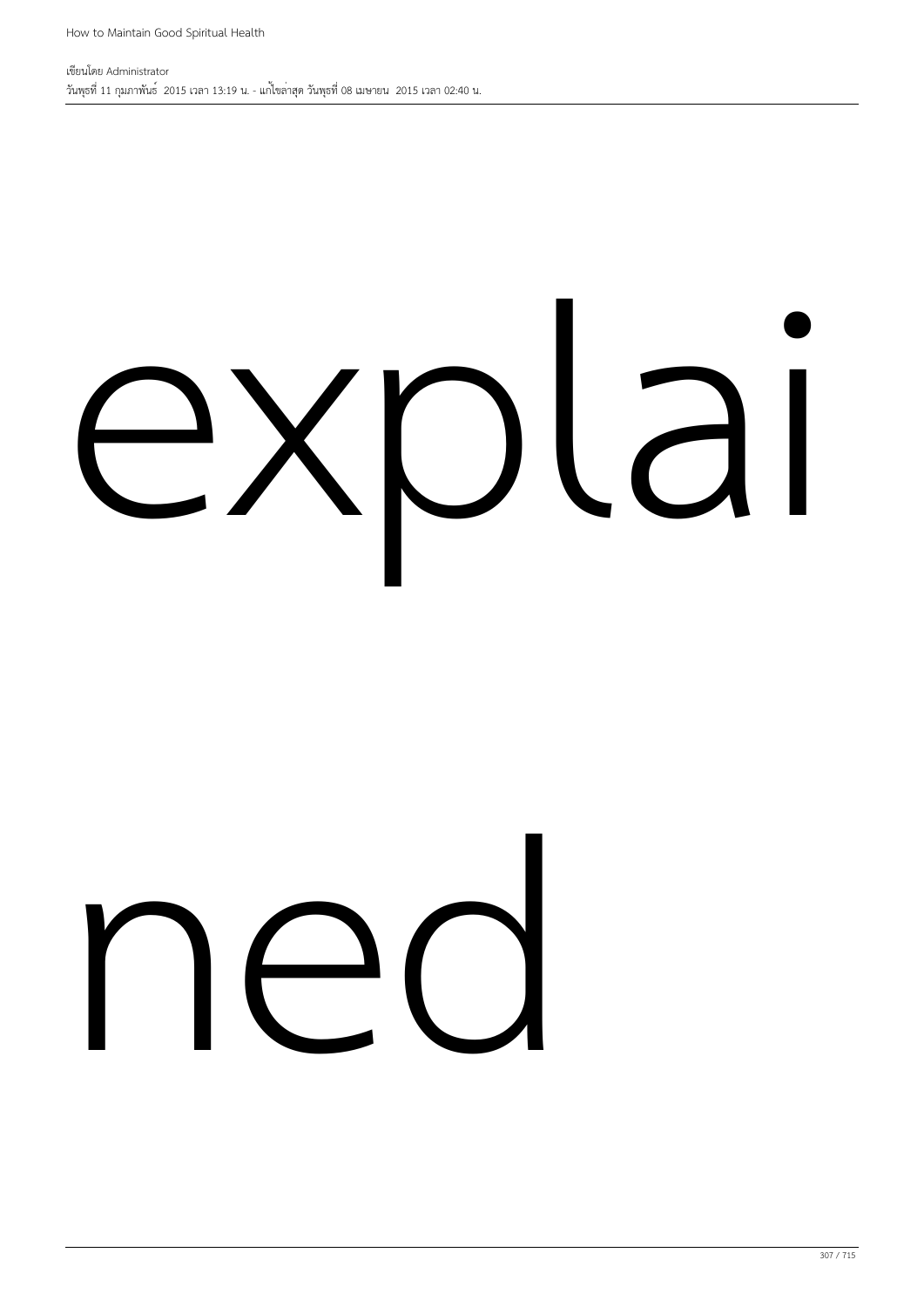# explai

#### ned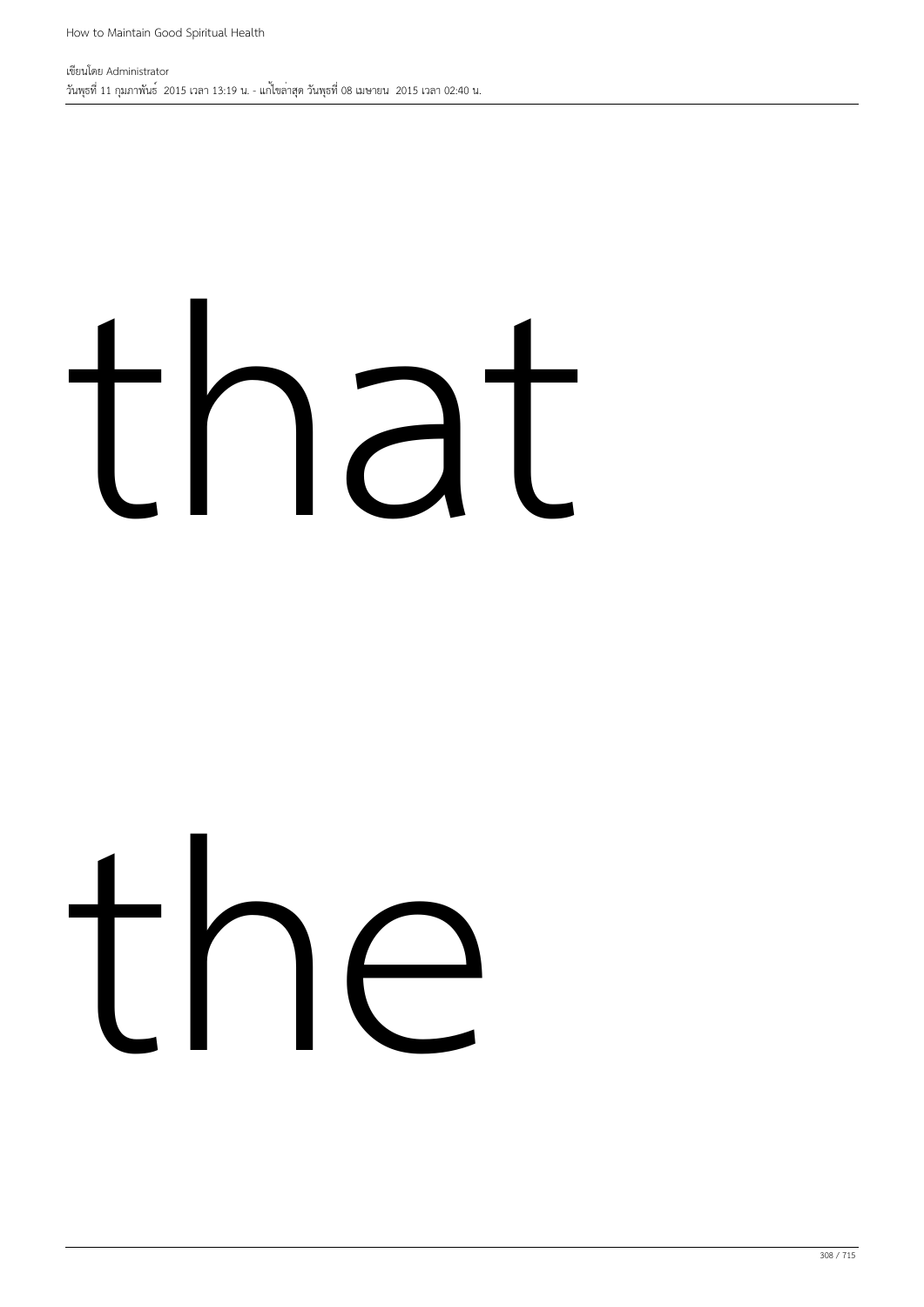## that

## the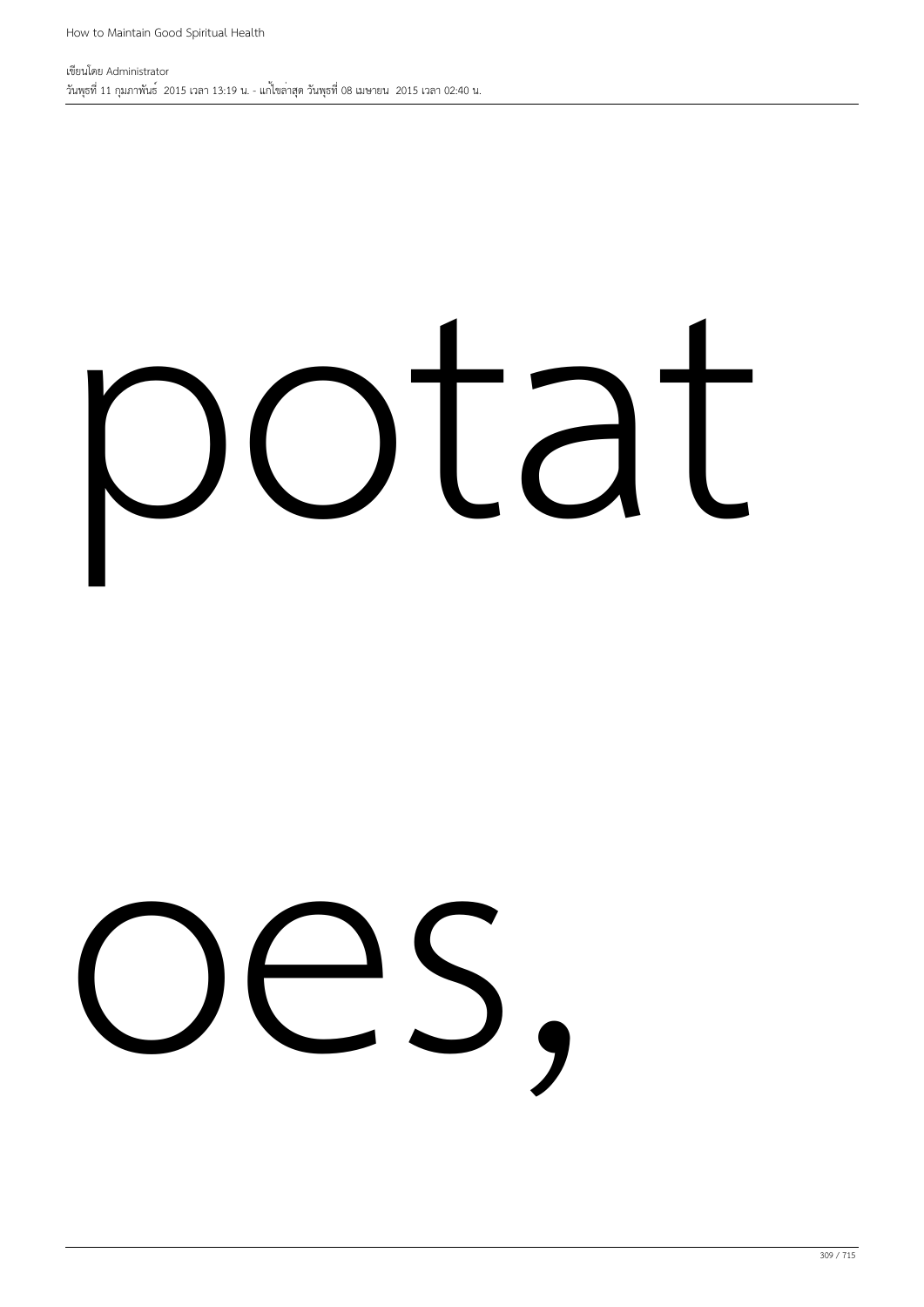## potat

#### oes,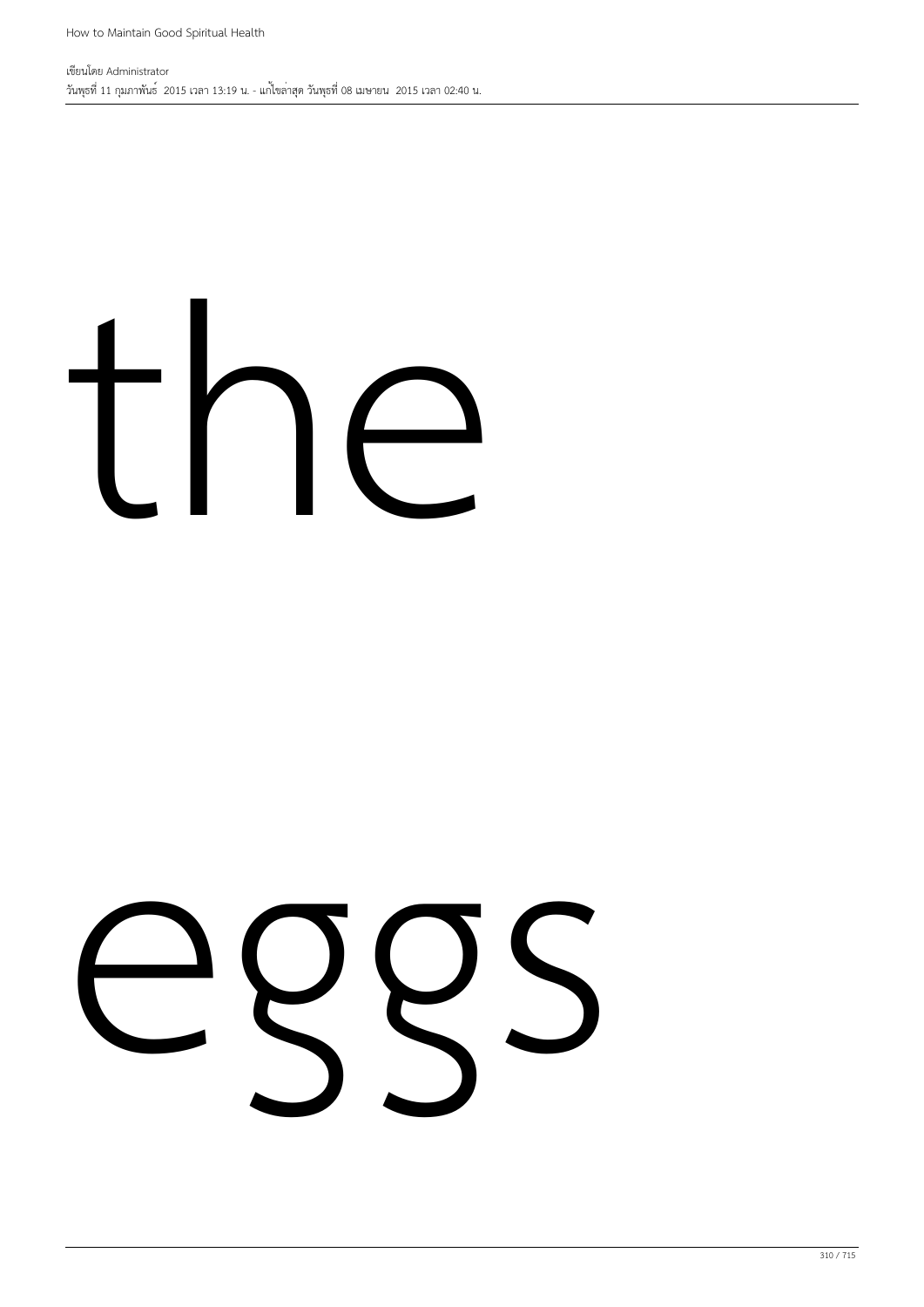## the

## eggs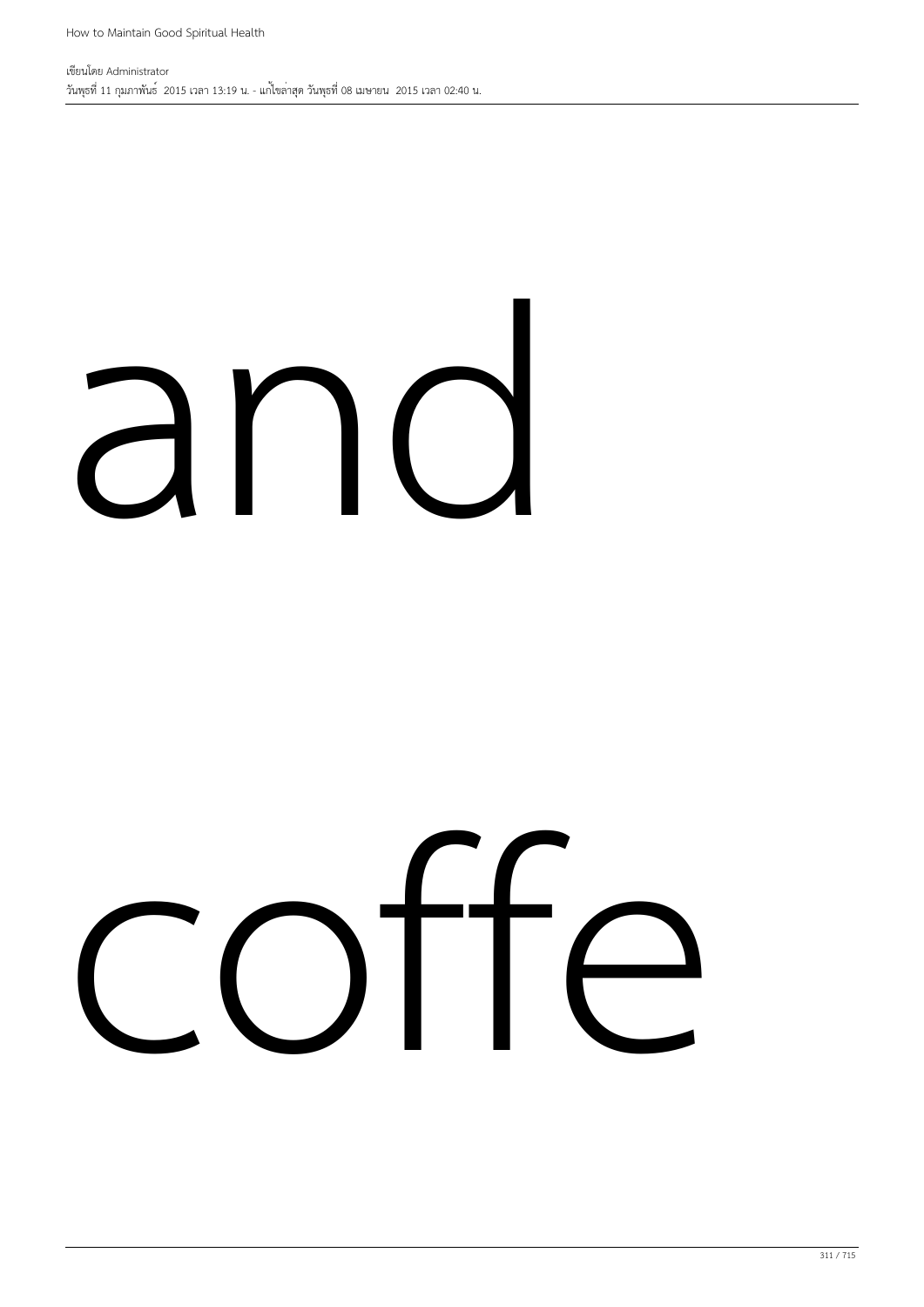## and

## coffe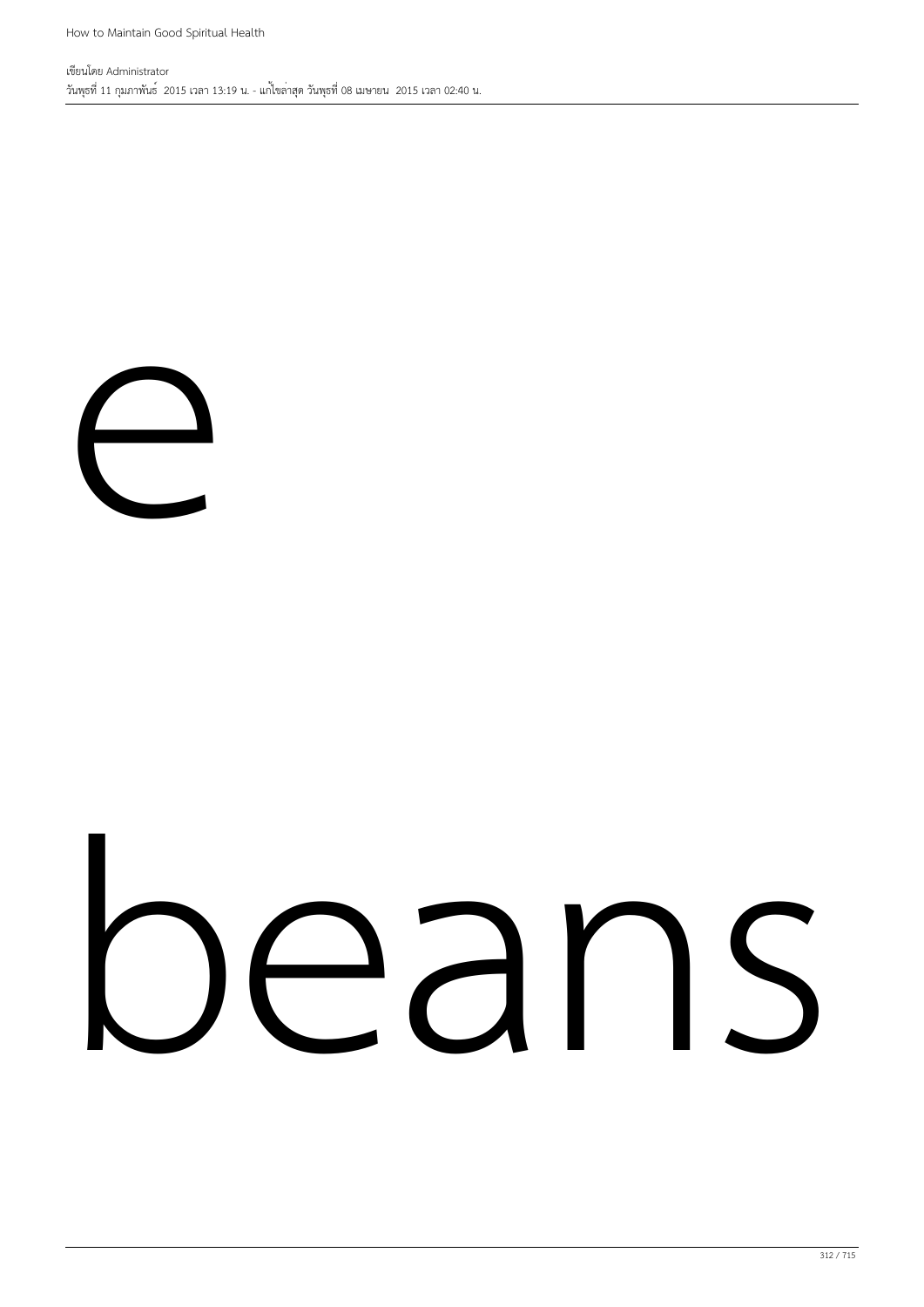

#### beans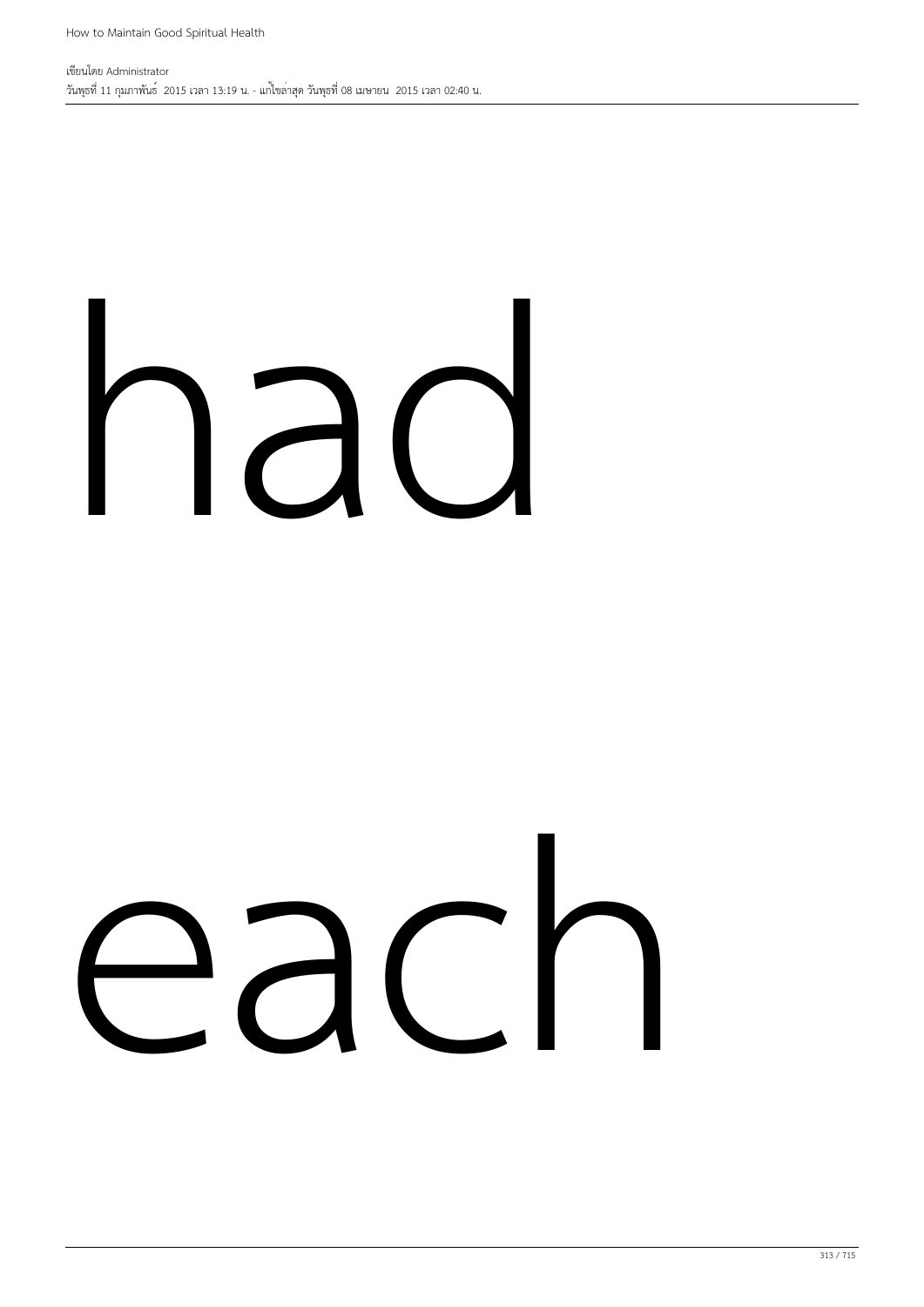## had

#### each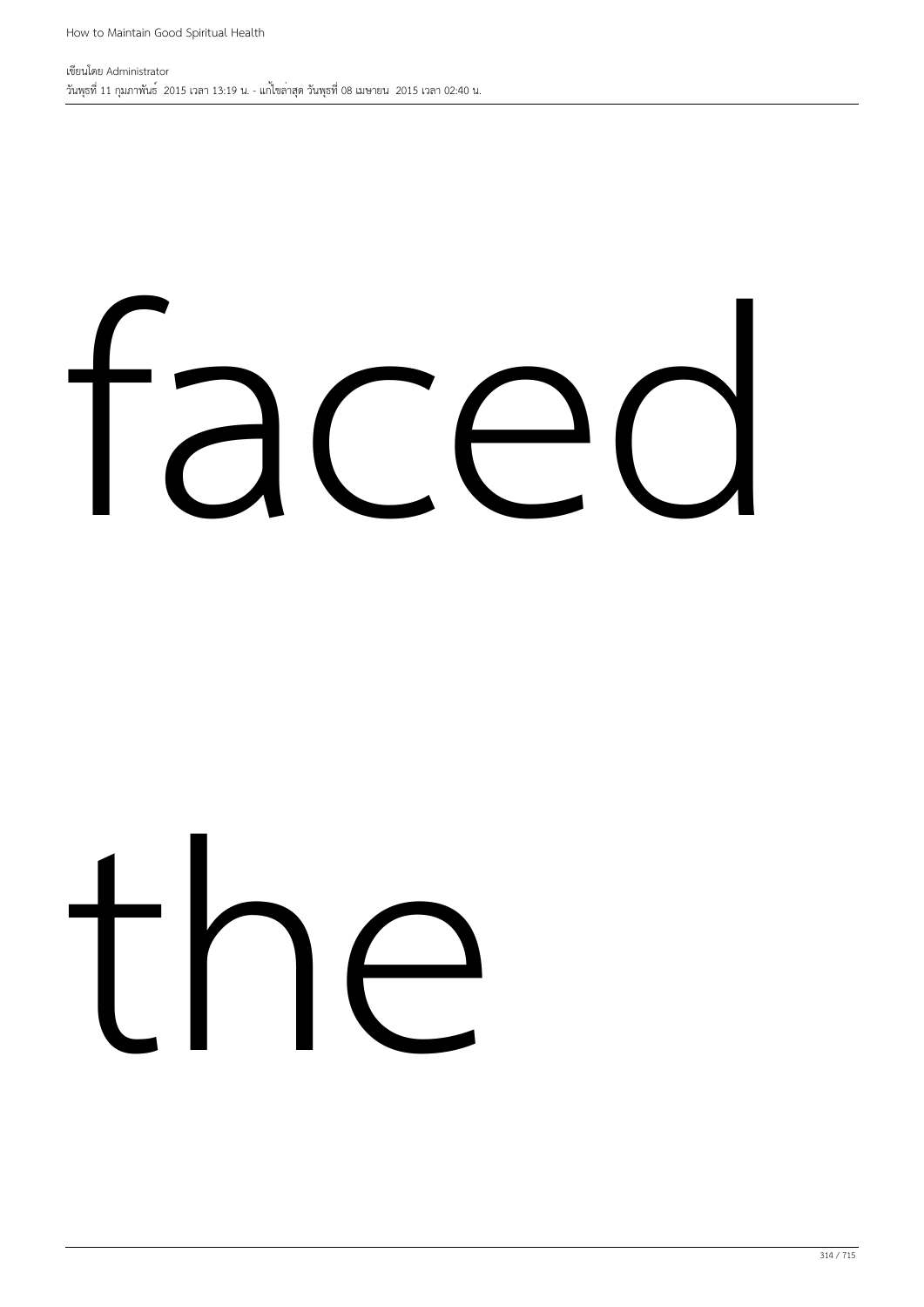## tace

## the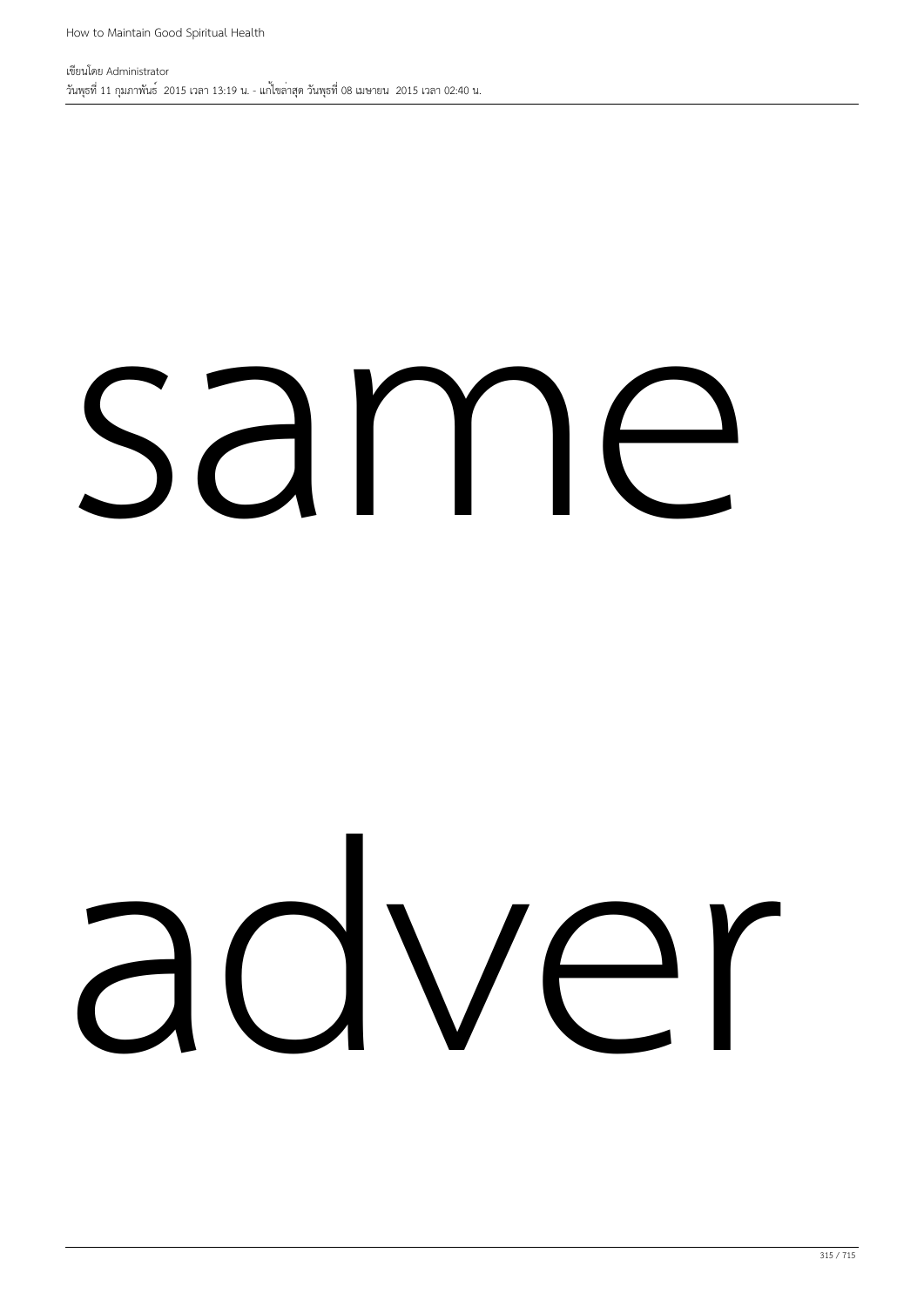#### same

## adver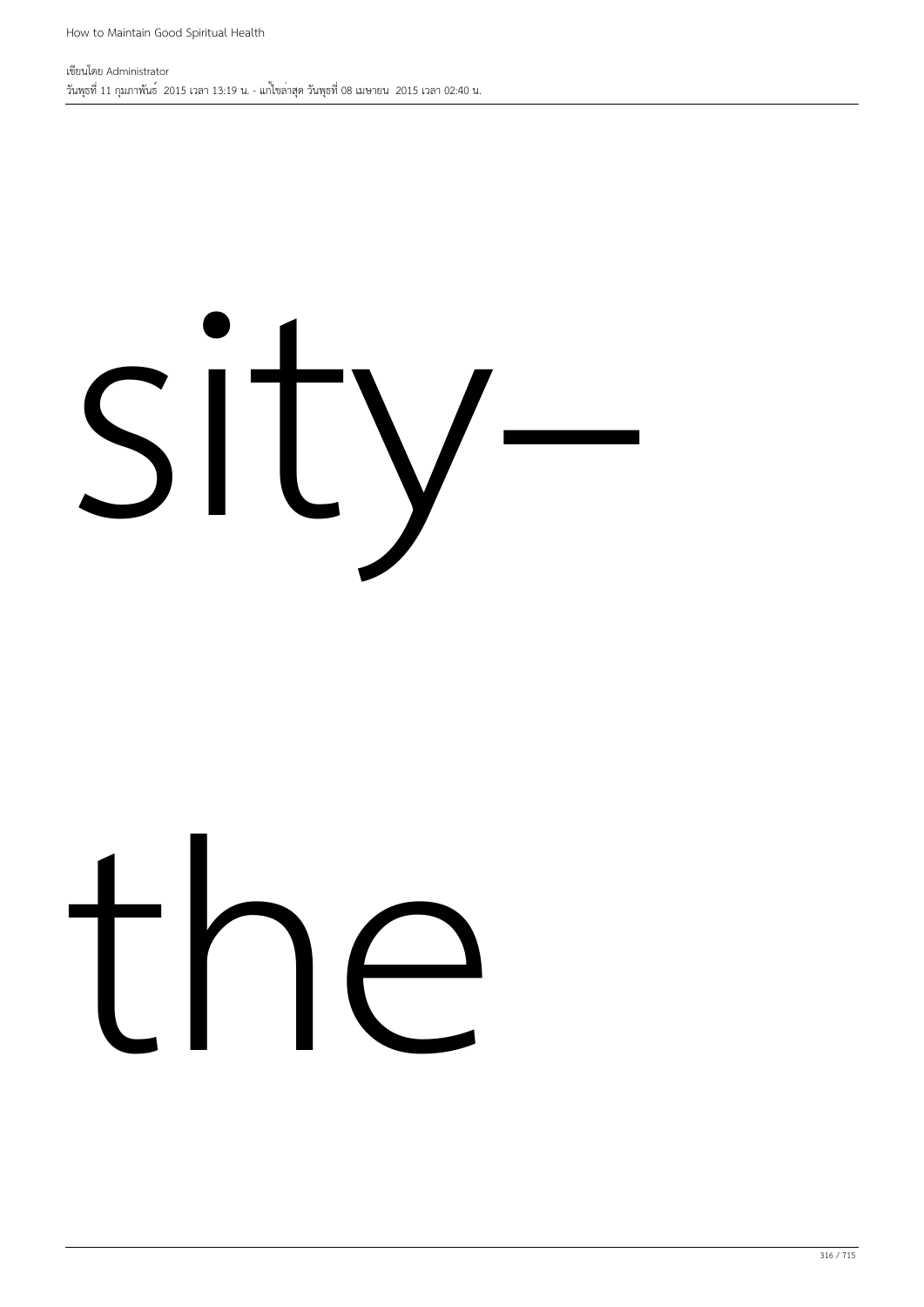# sity–

## the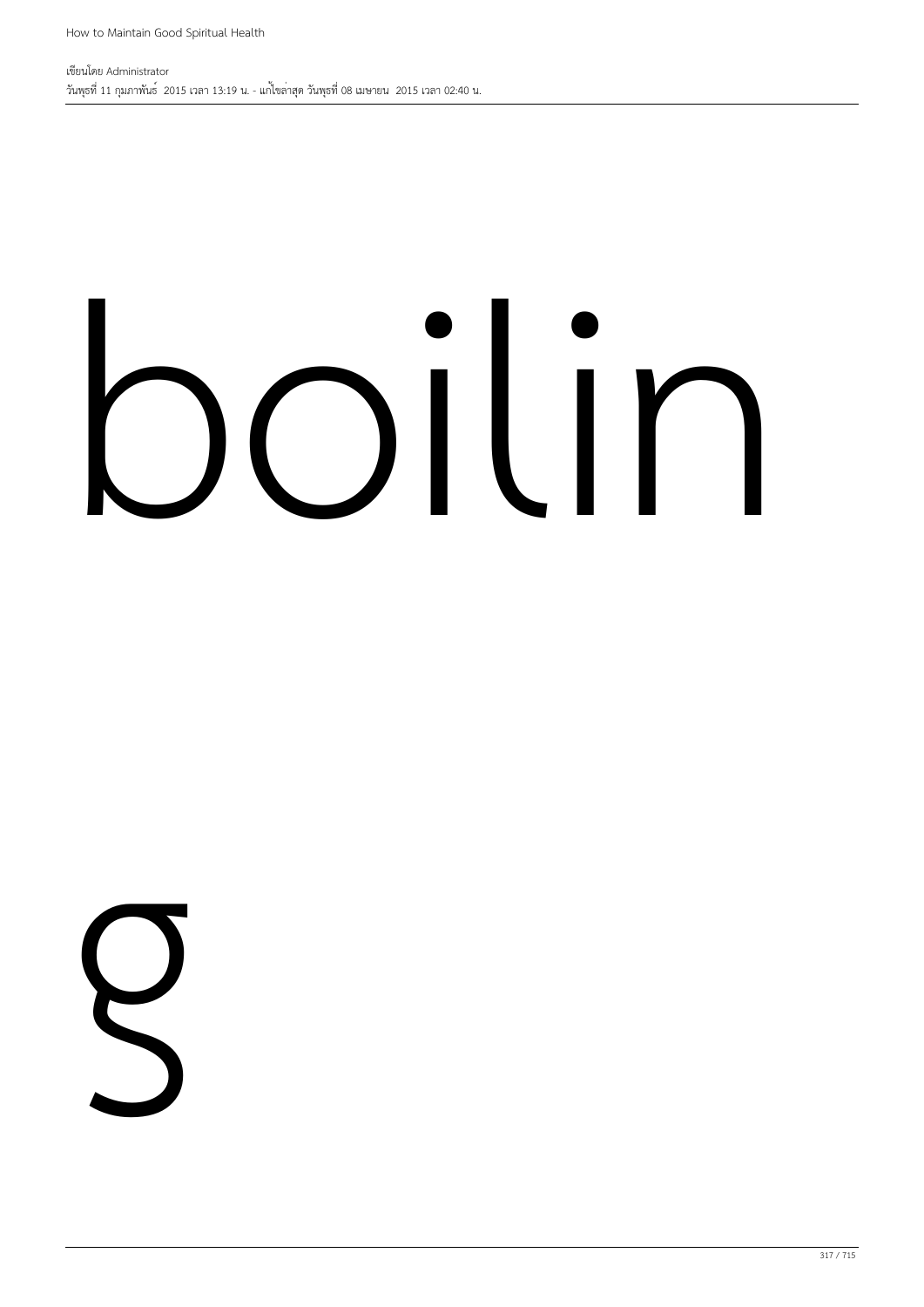## boilin

# S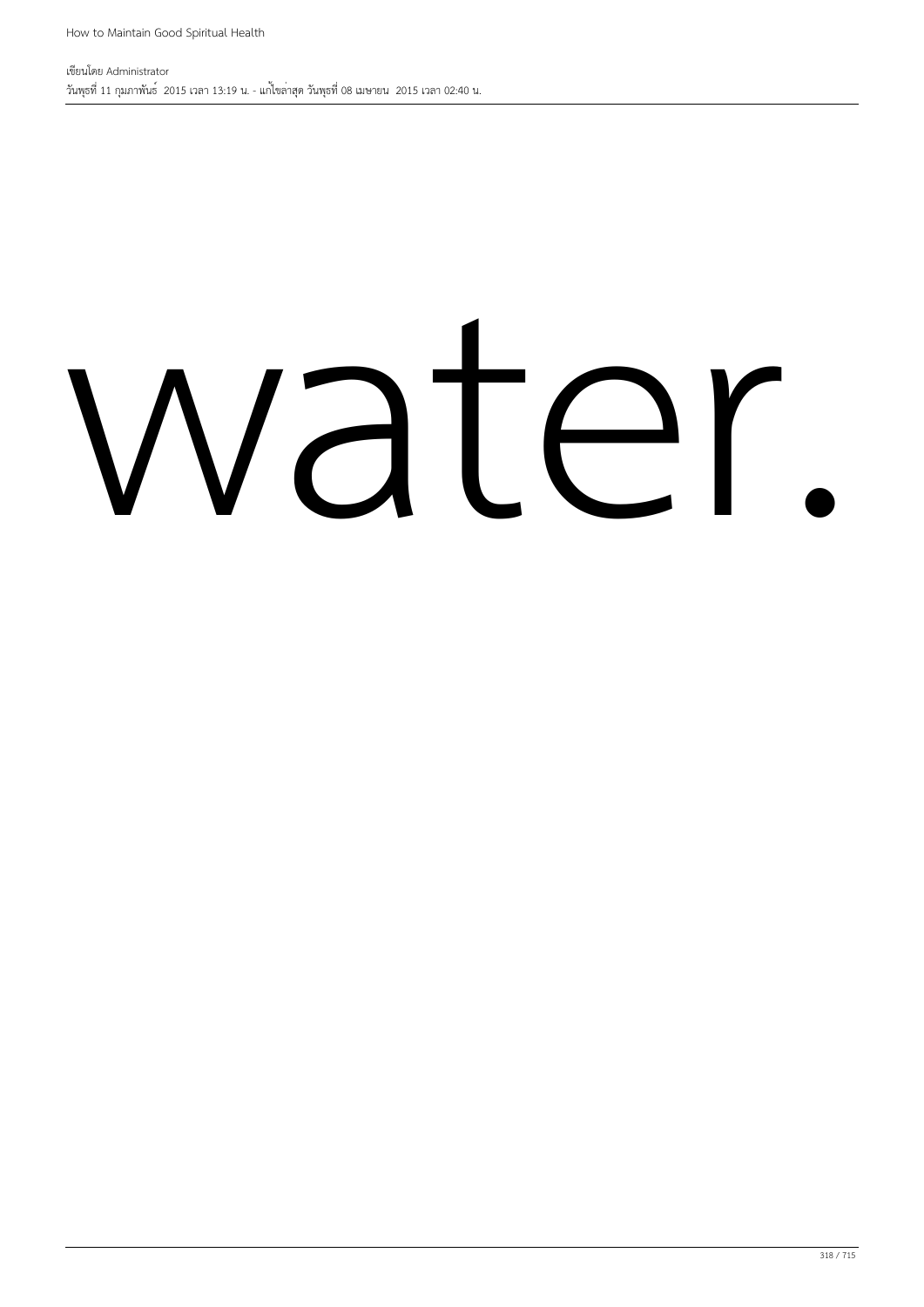## water.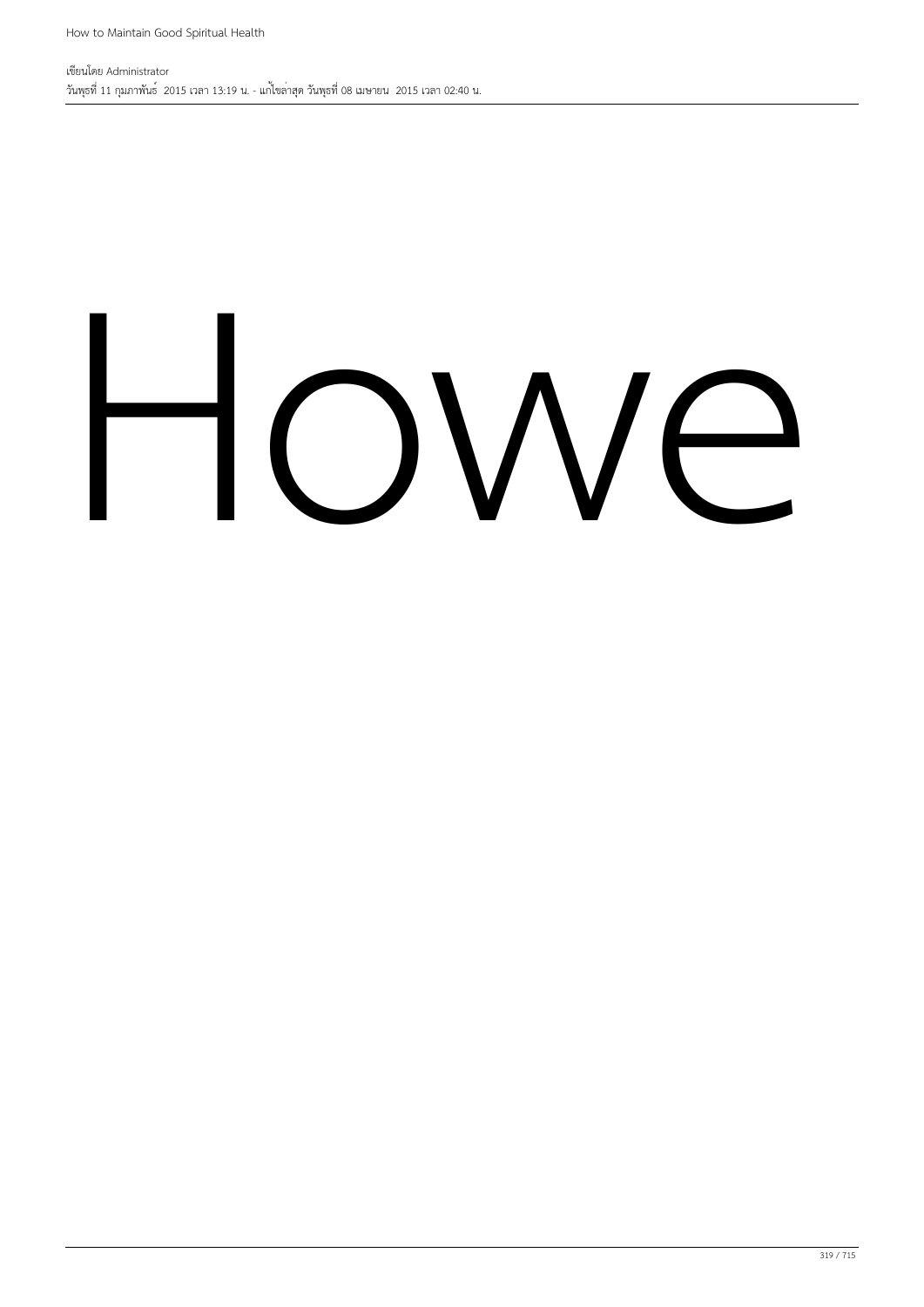## Howe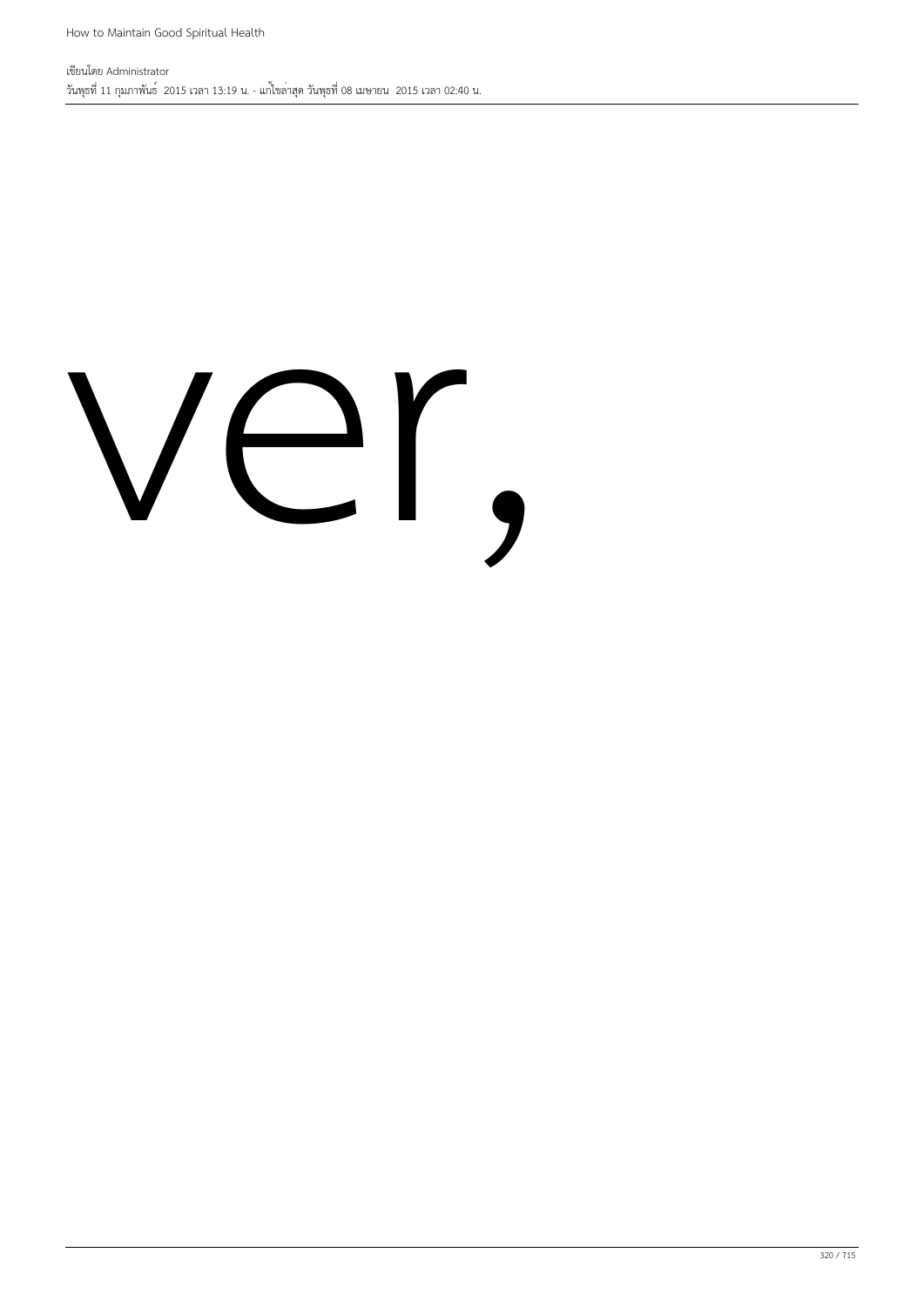#### ver,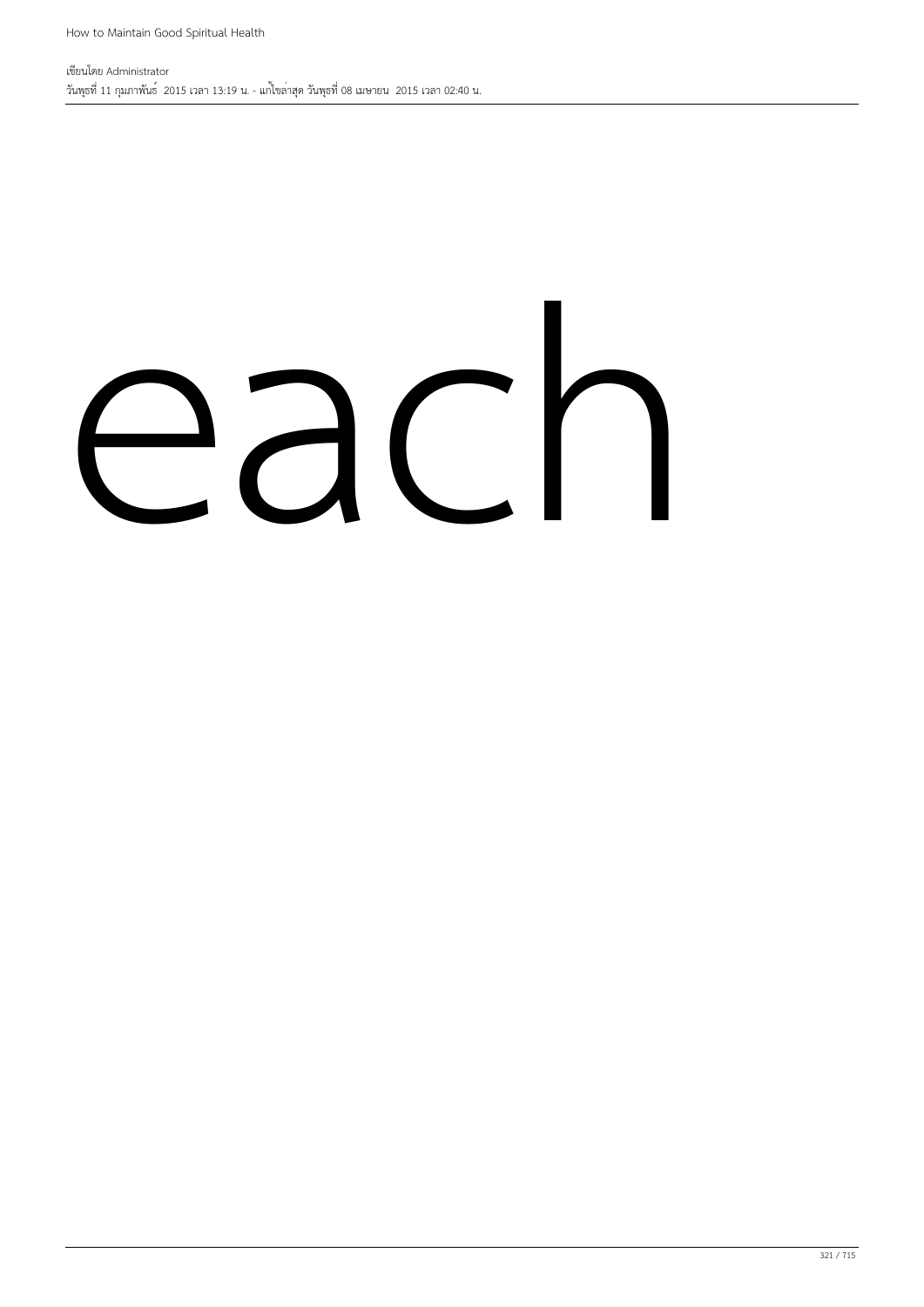## each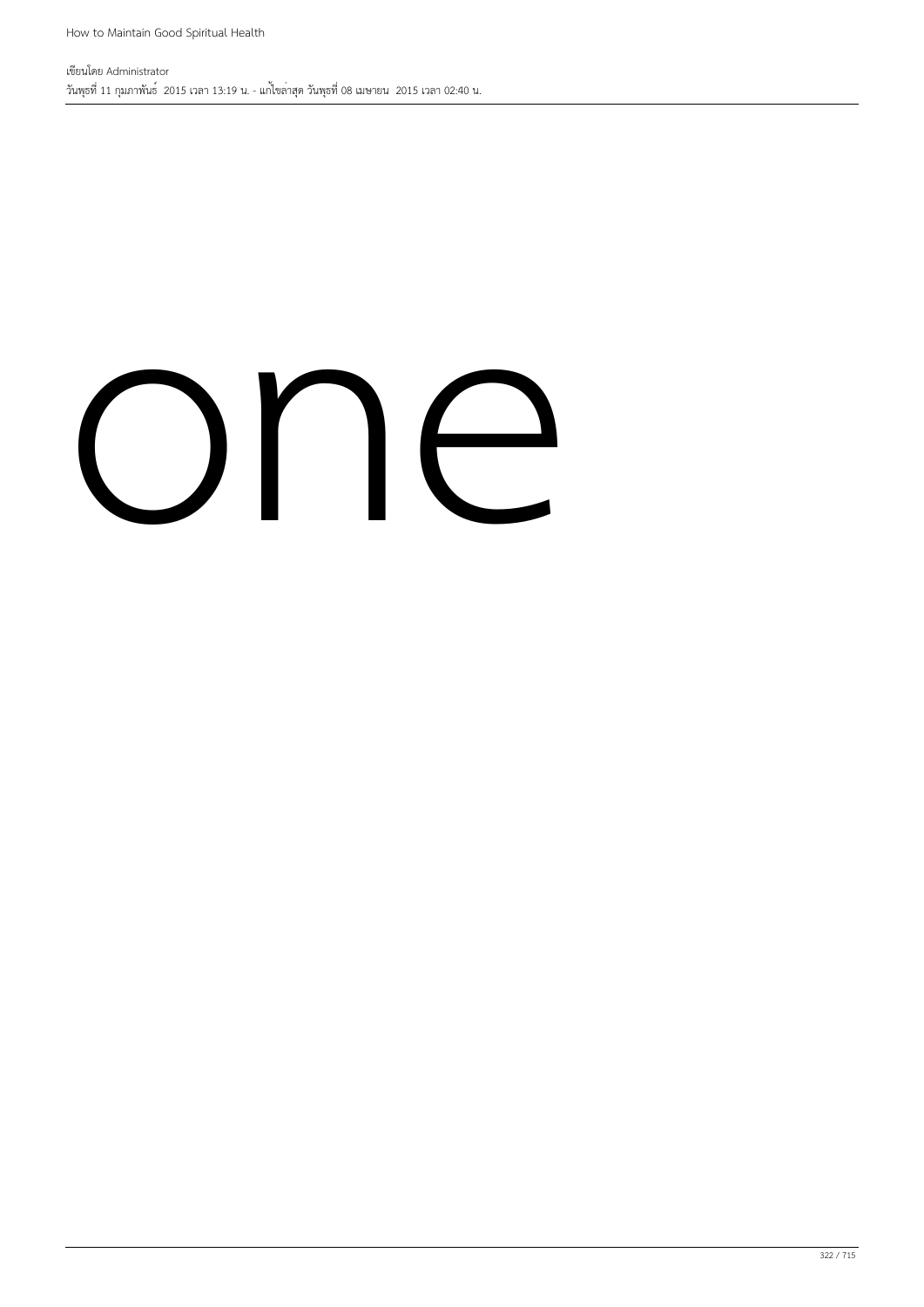#### one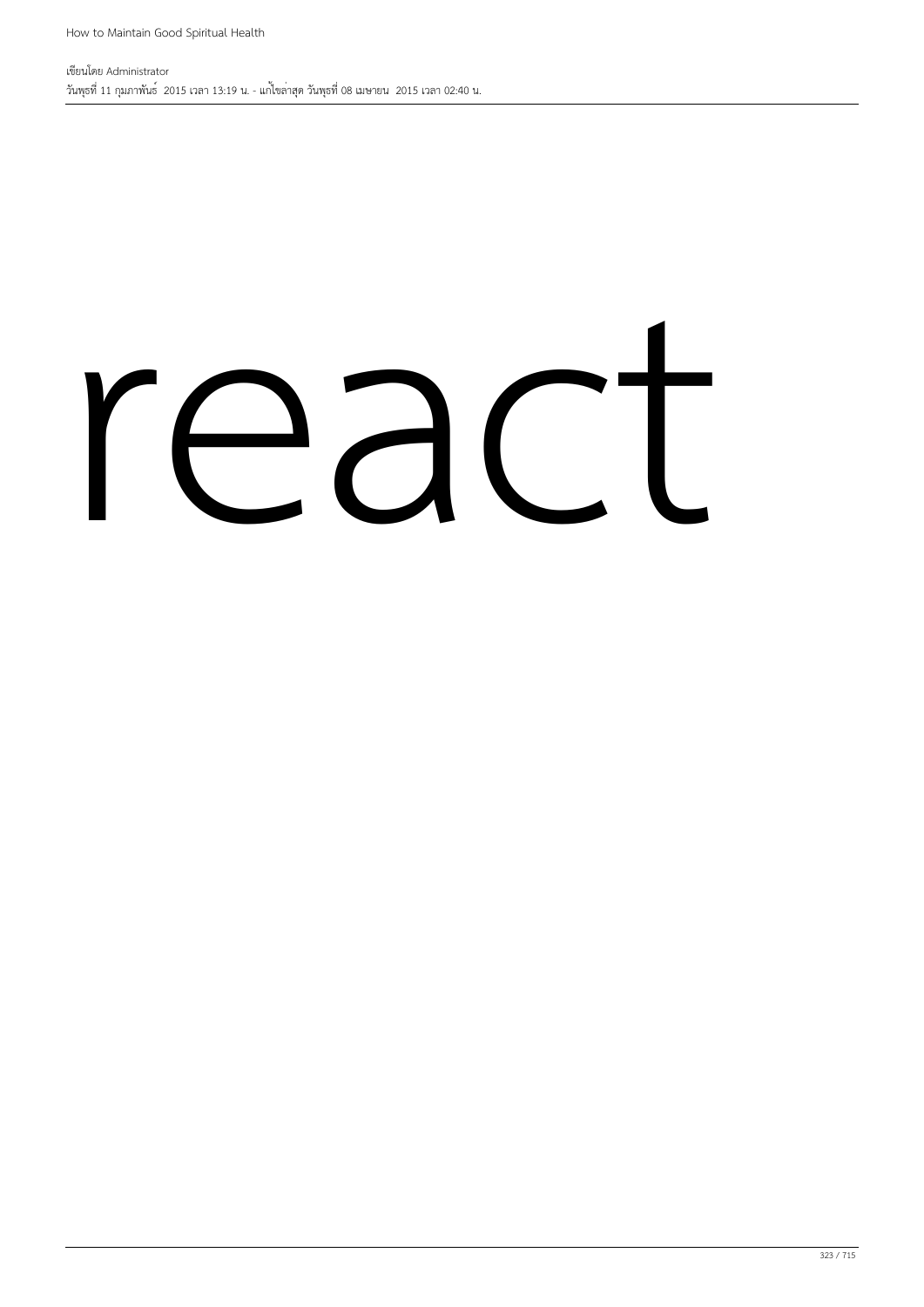## react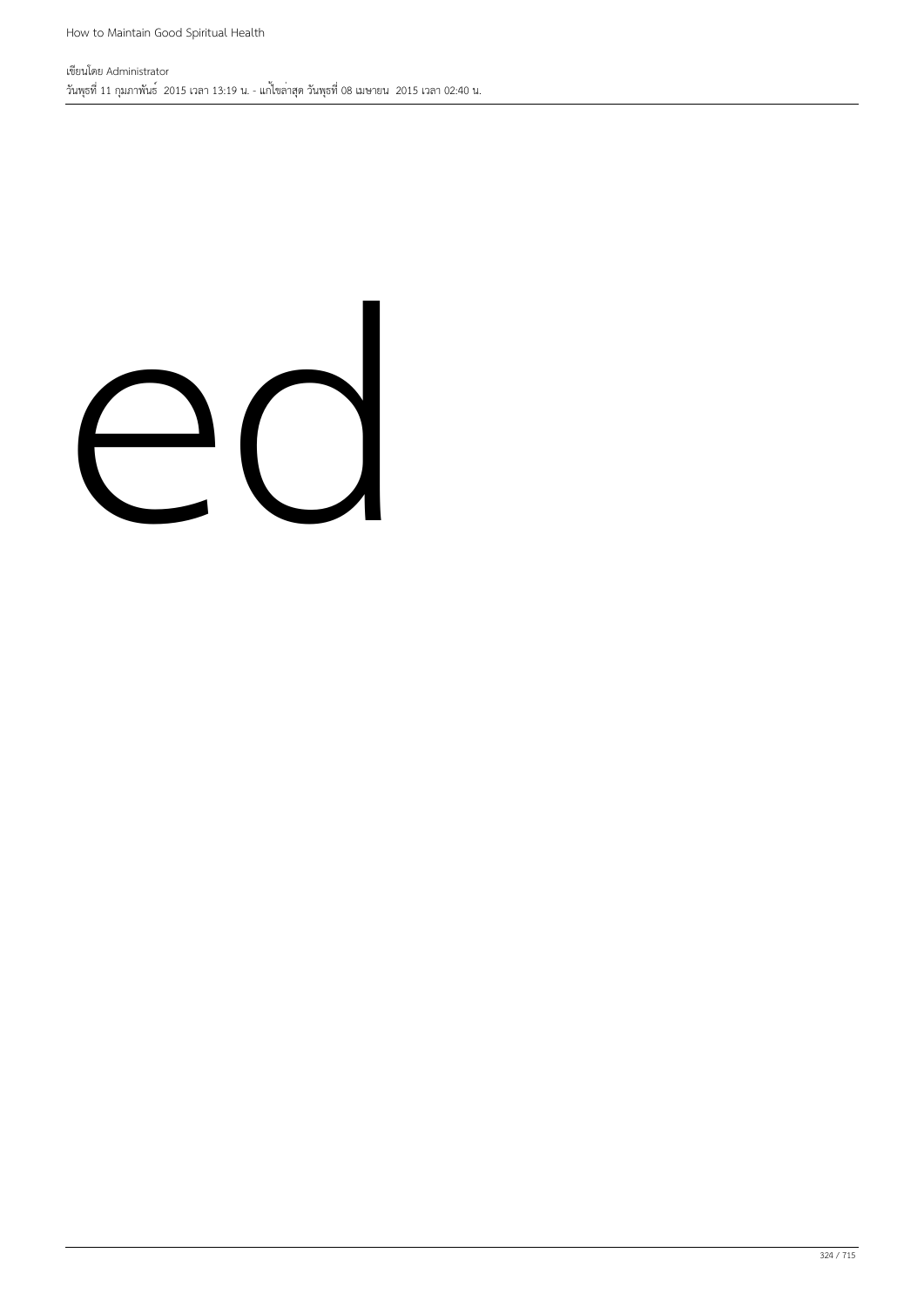### ed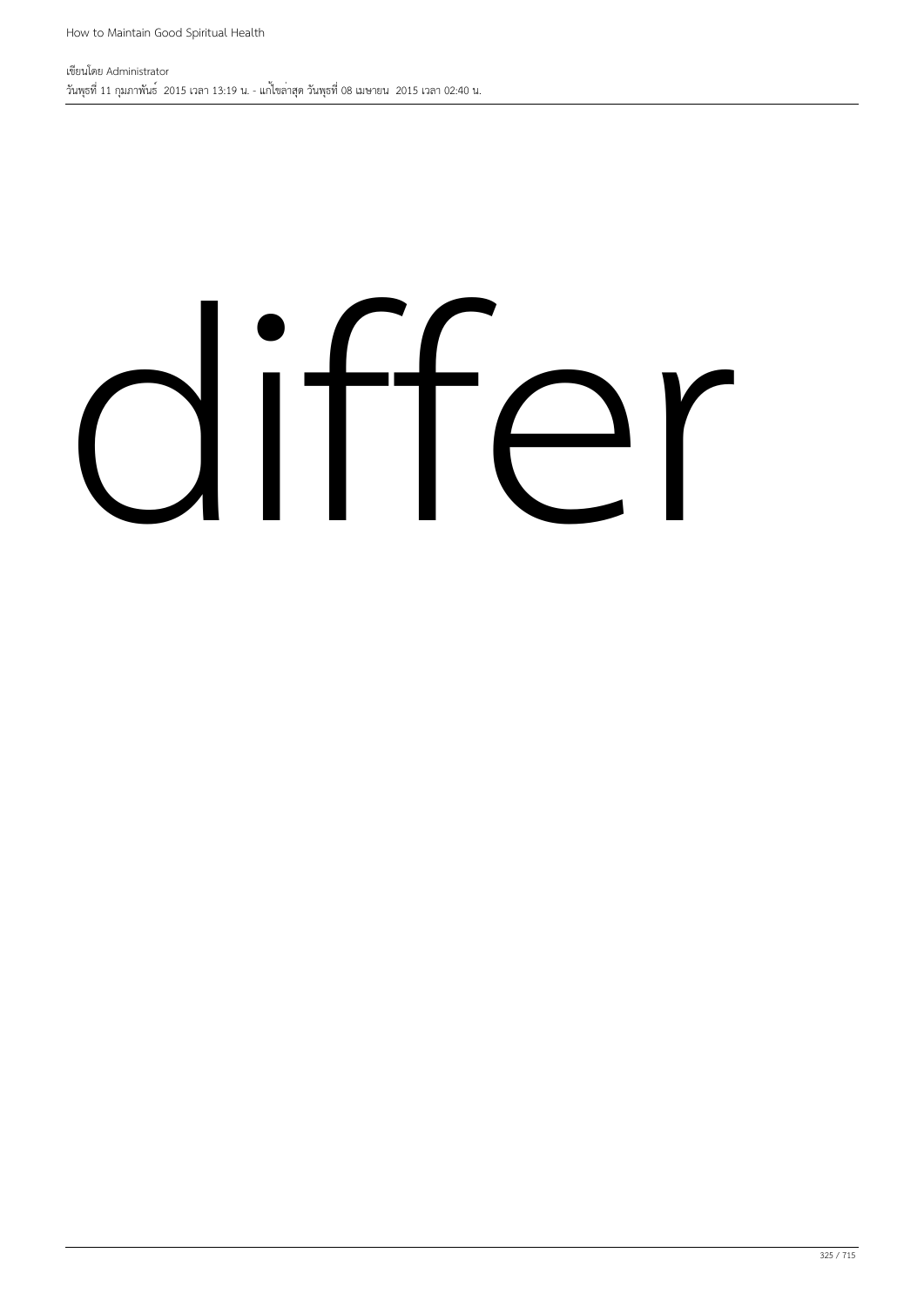# differ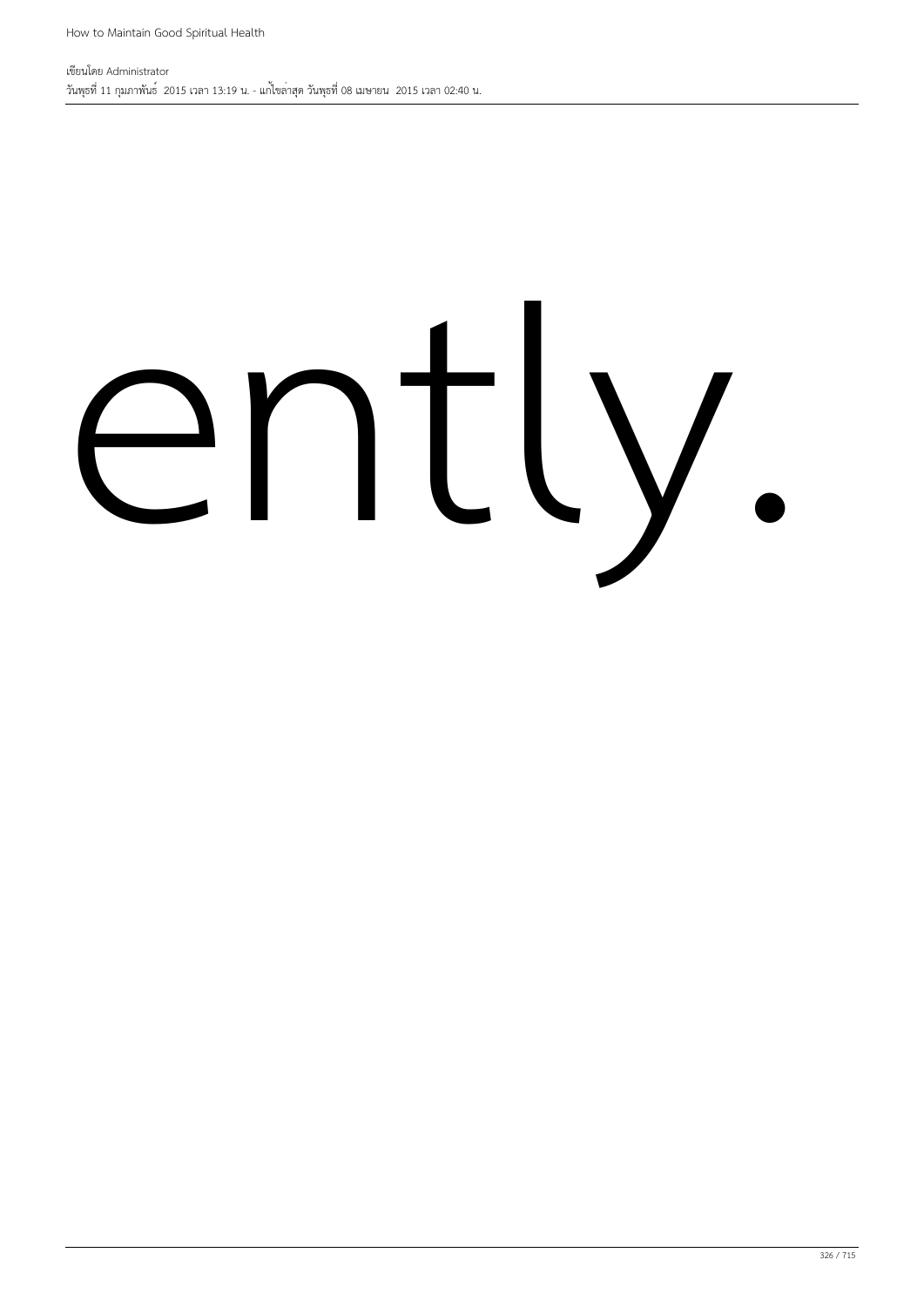# ently.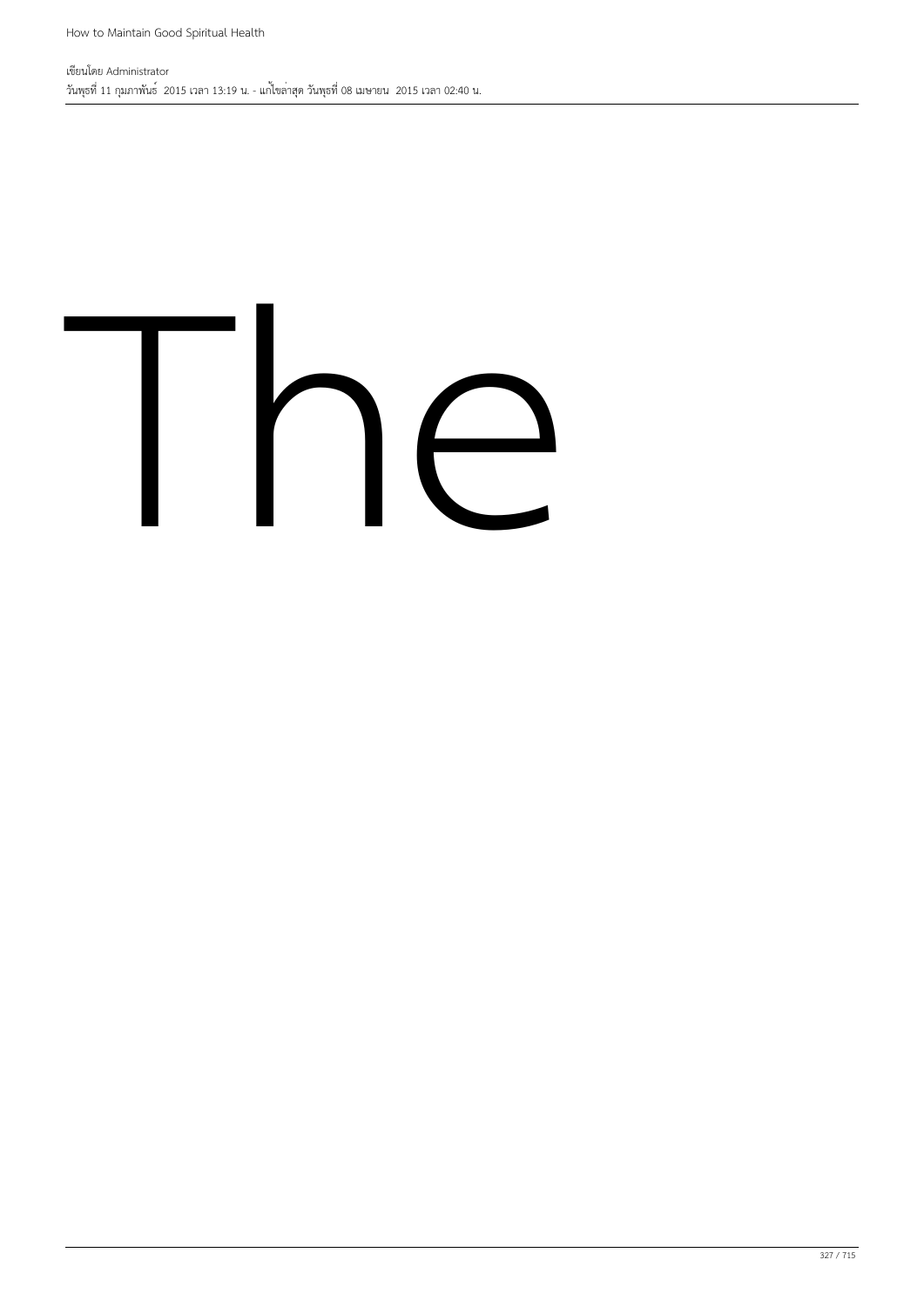## The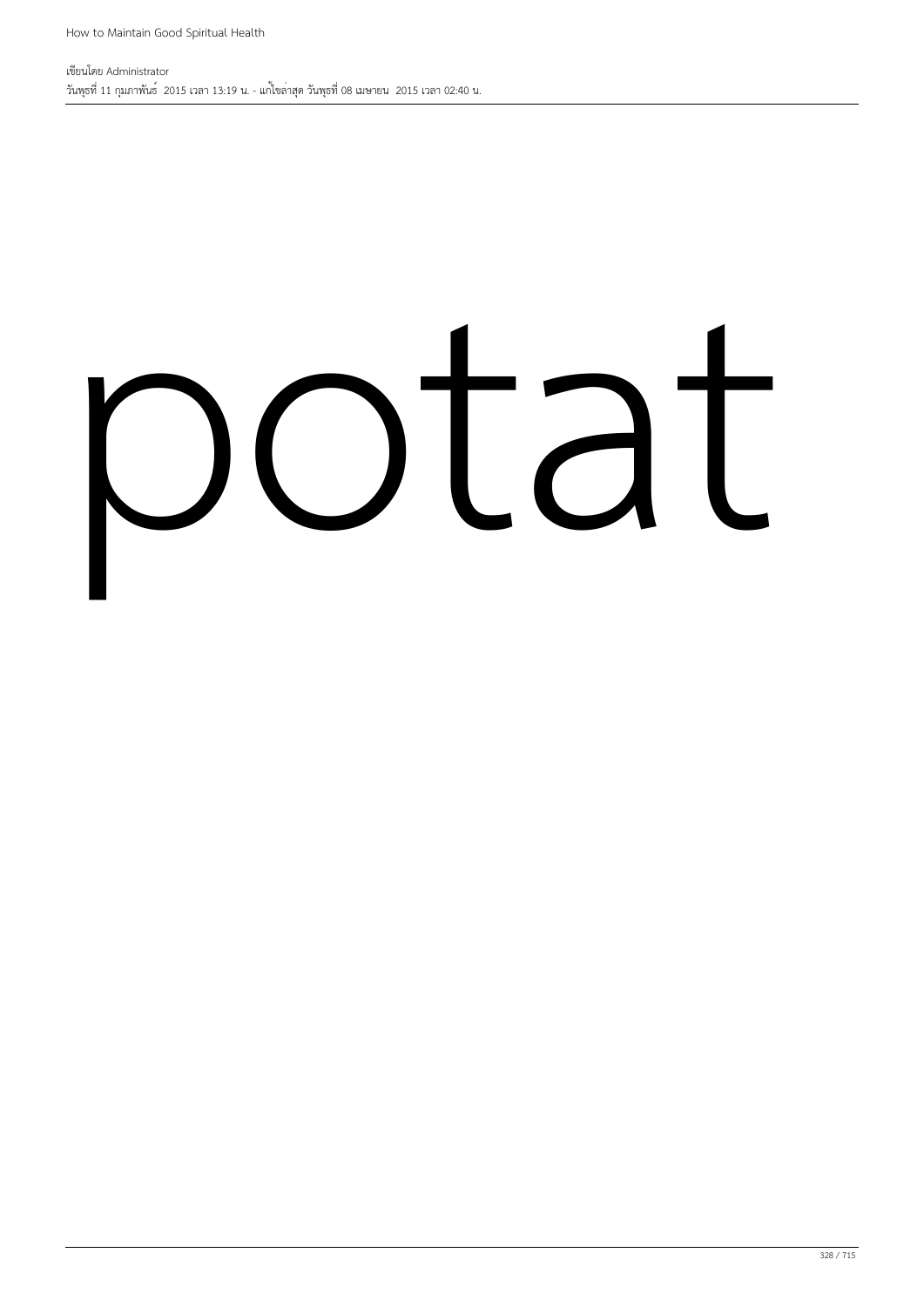# potat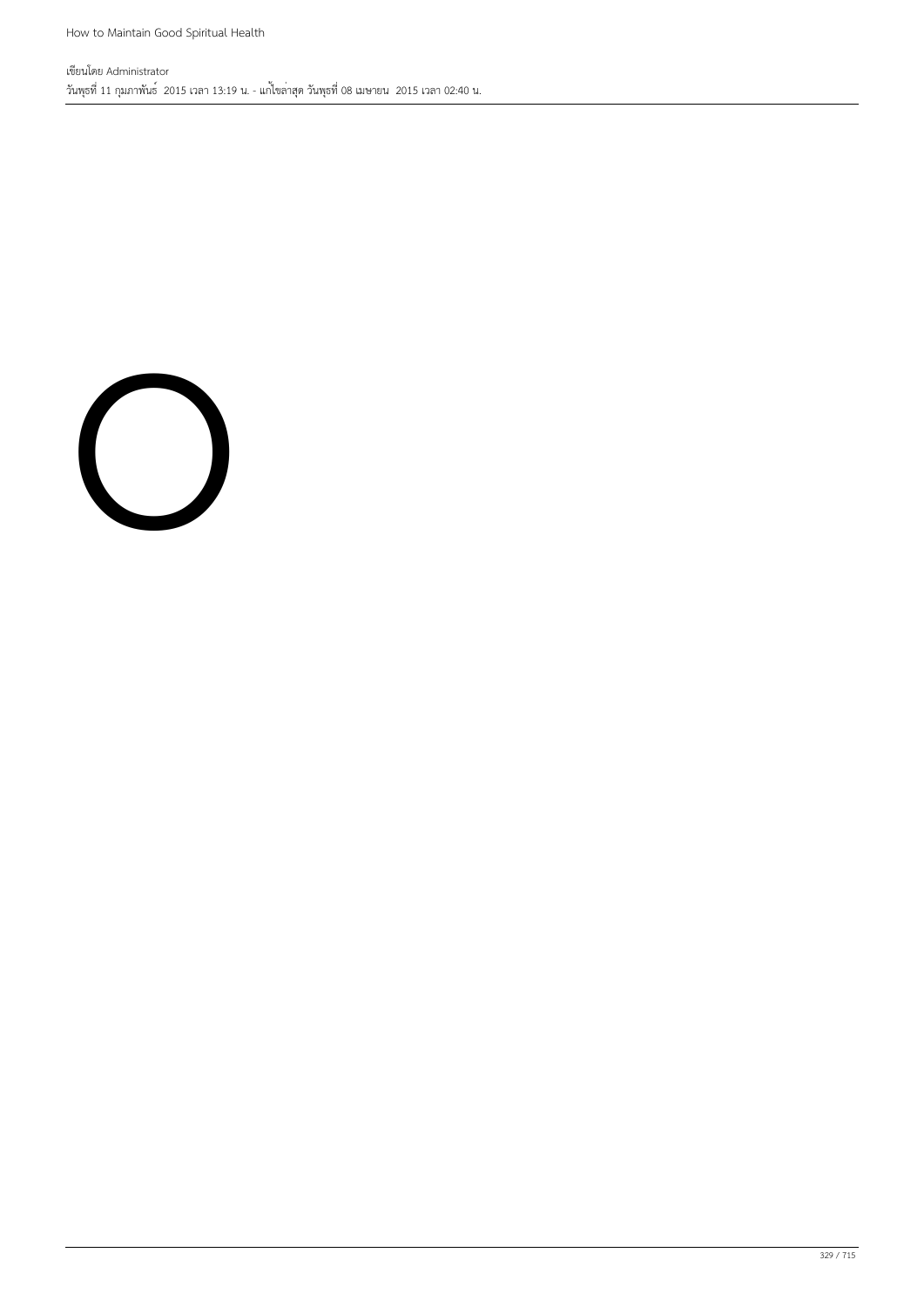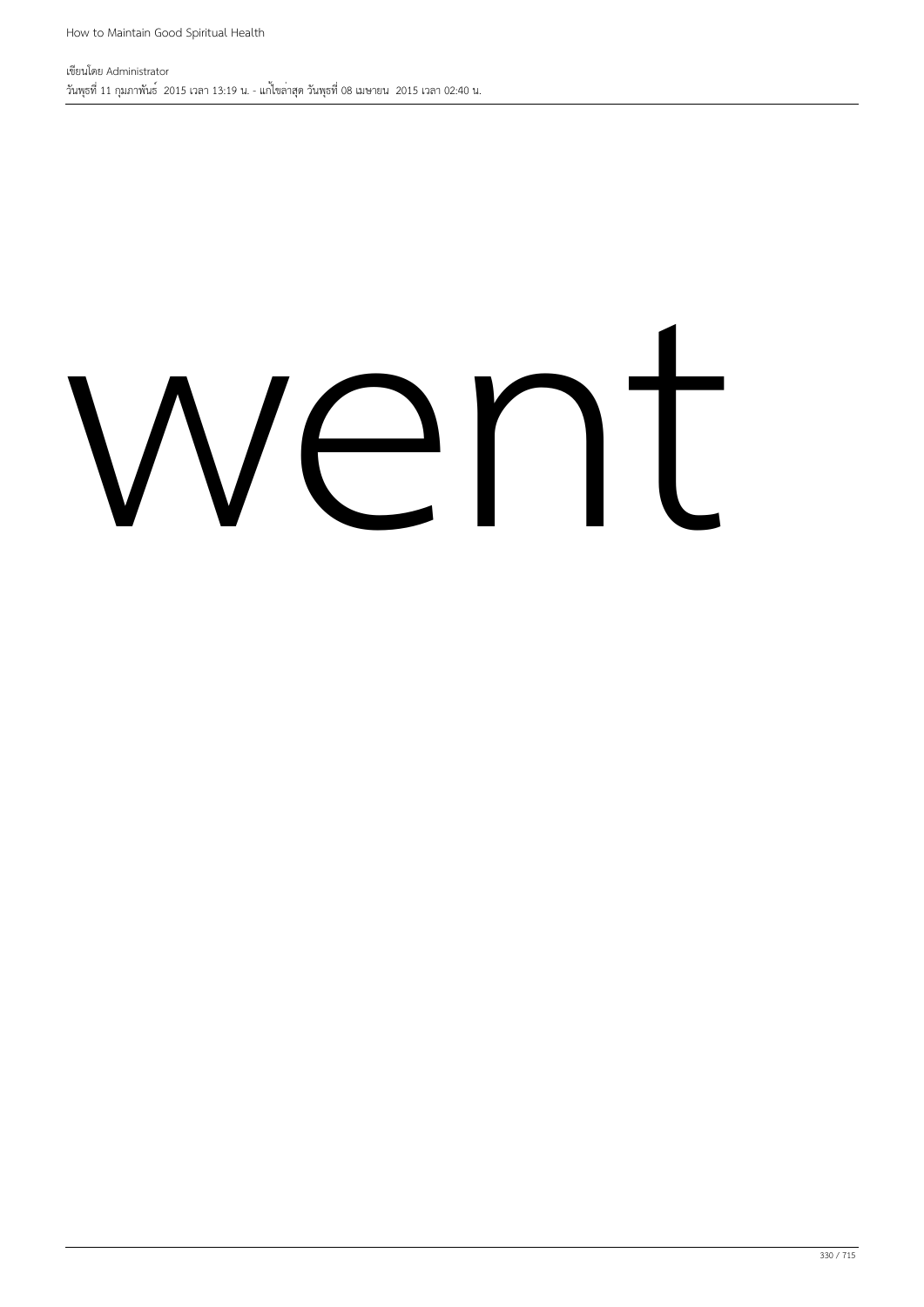### went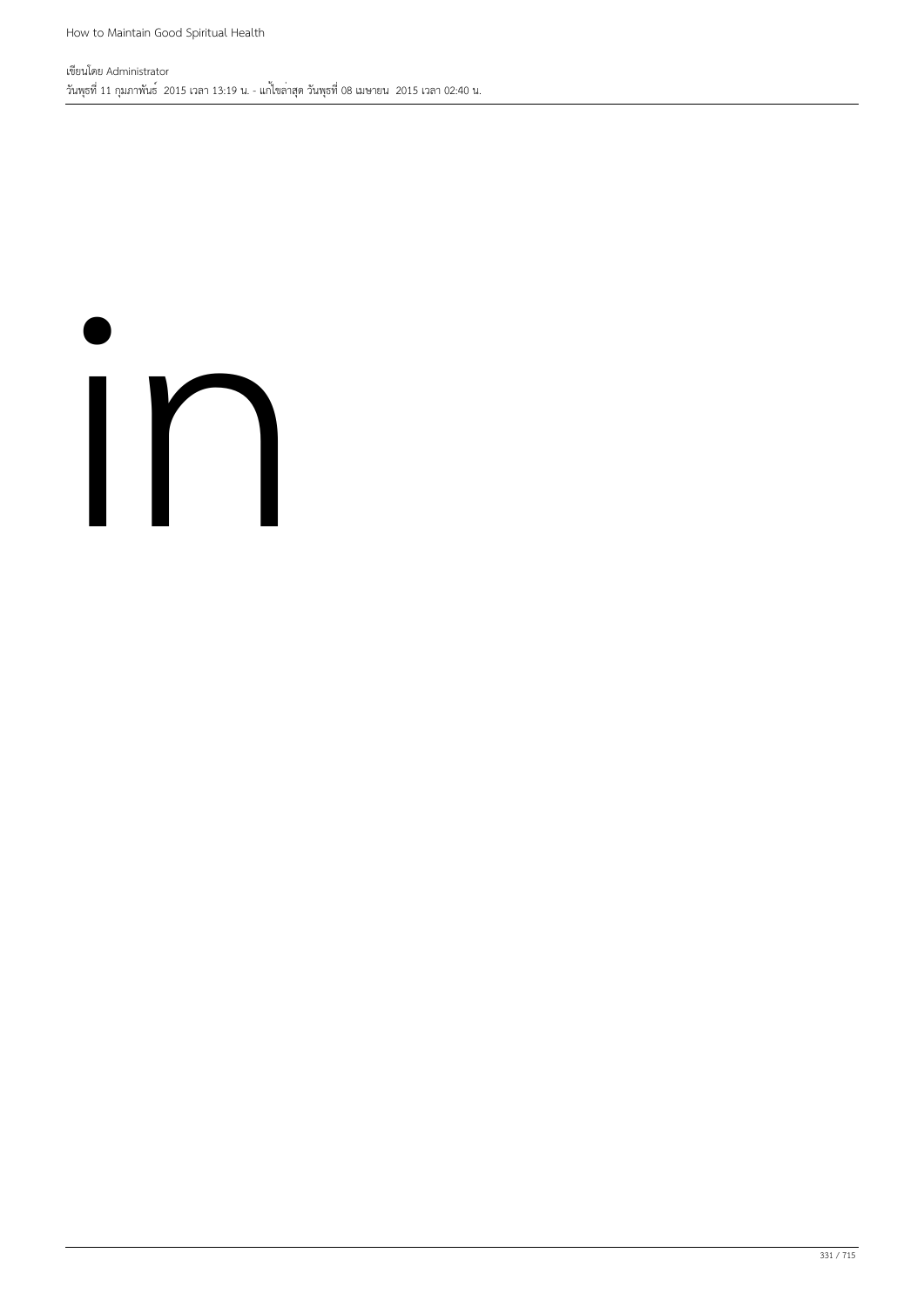## in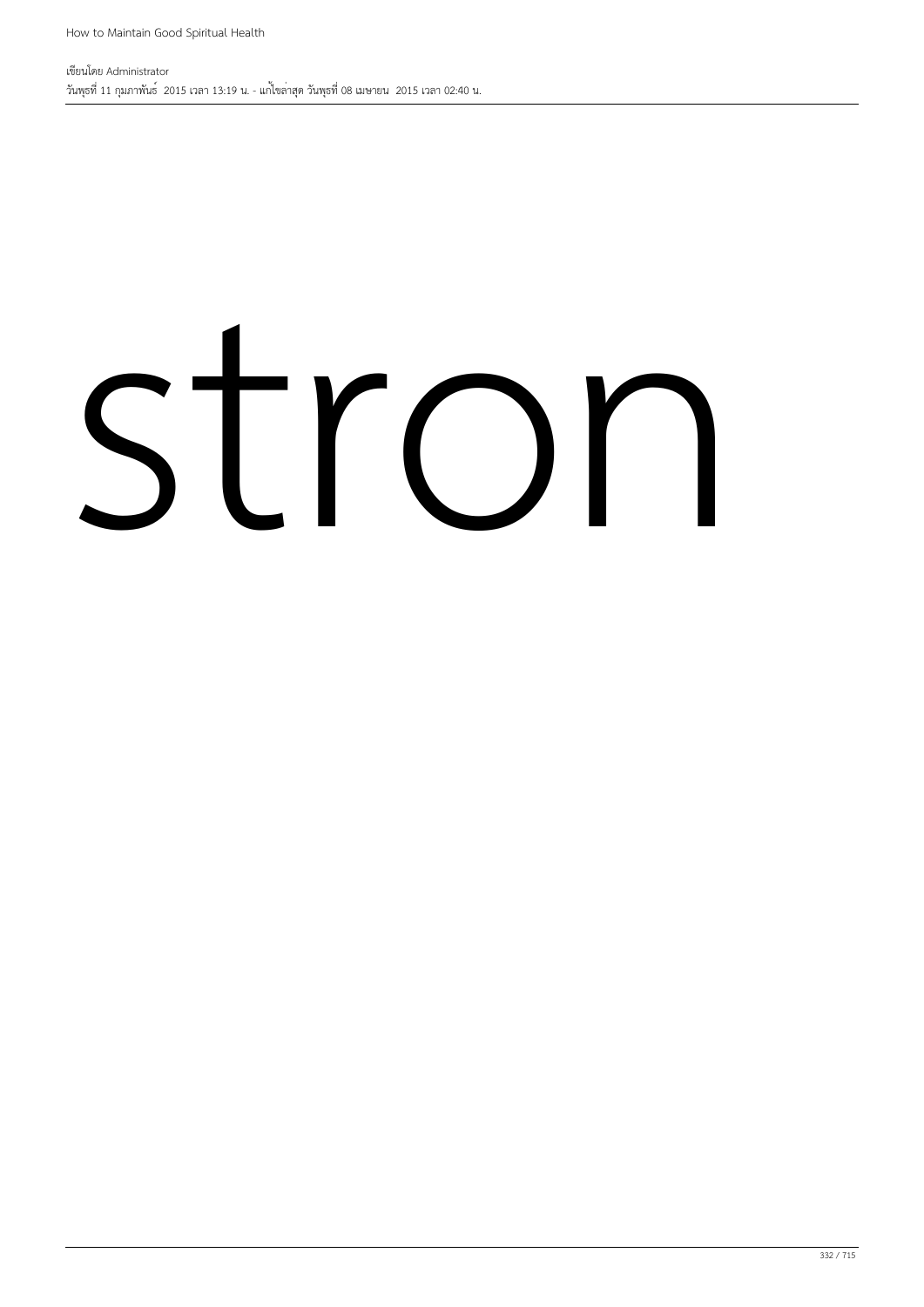## stron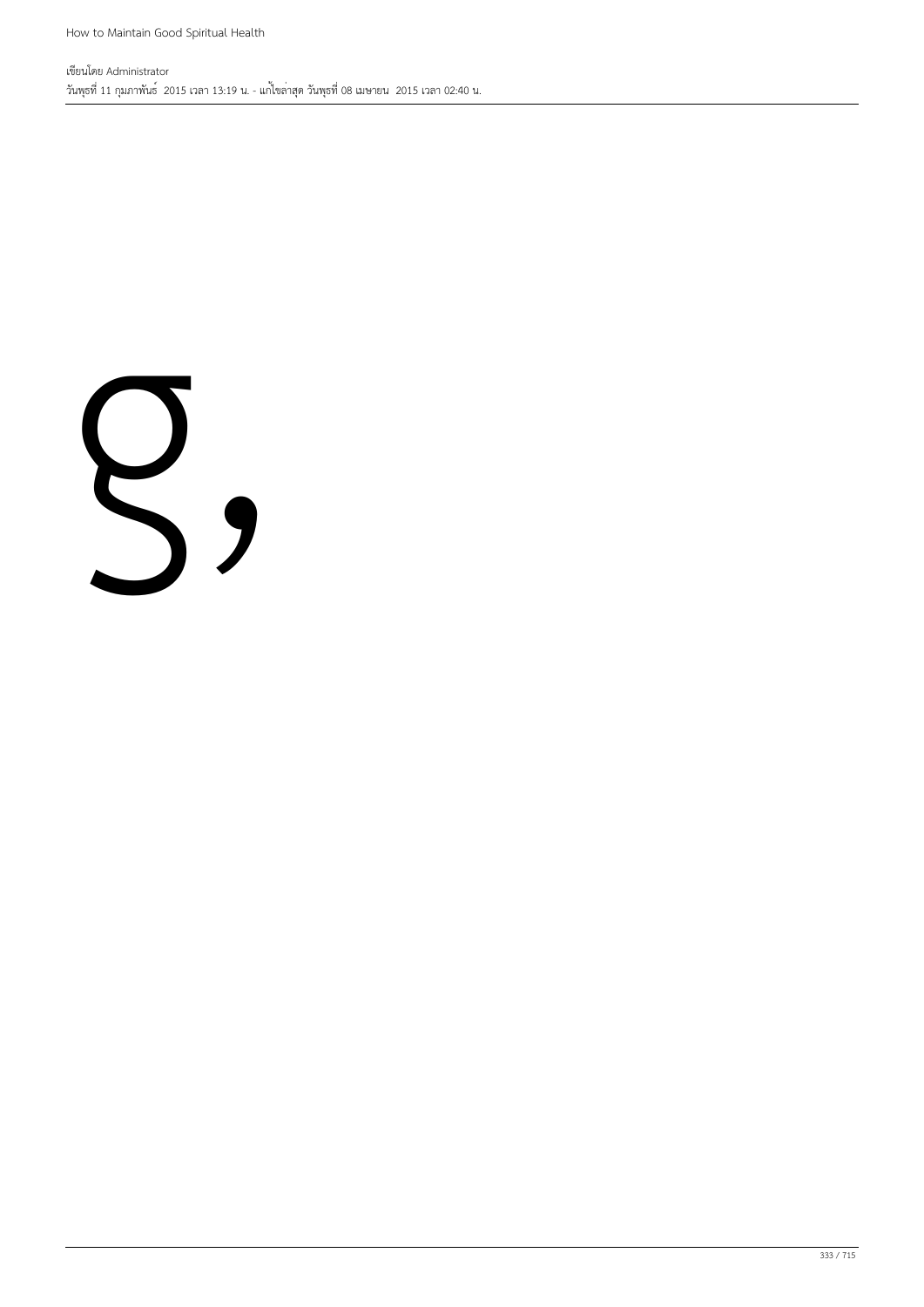## g,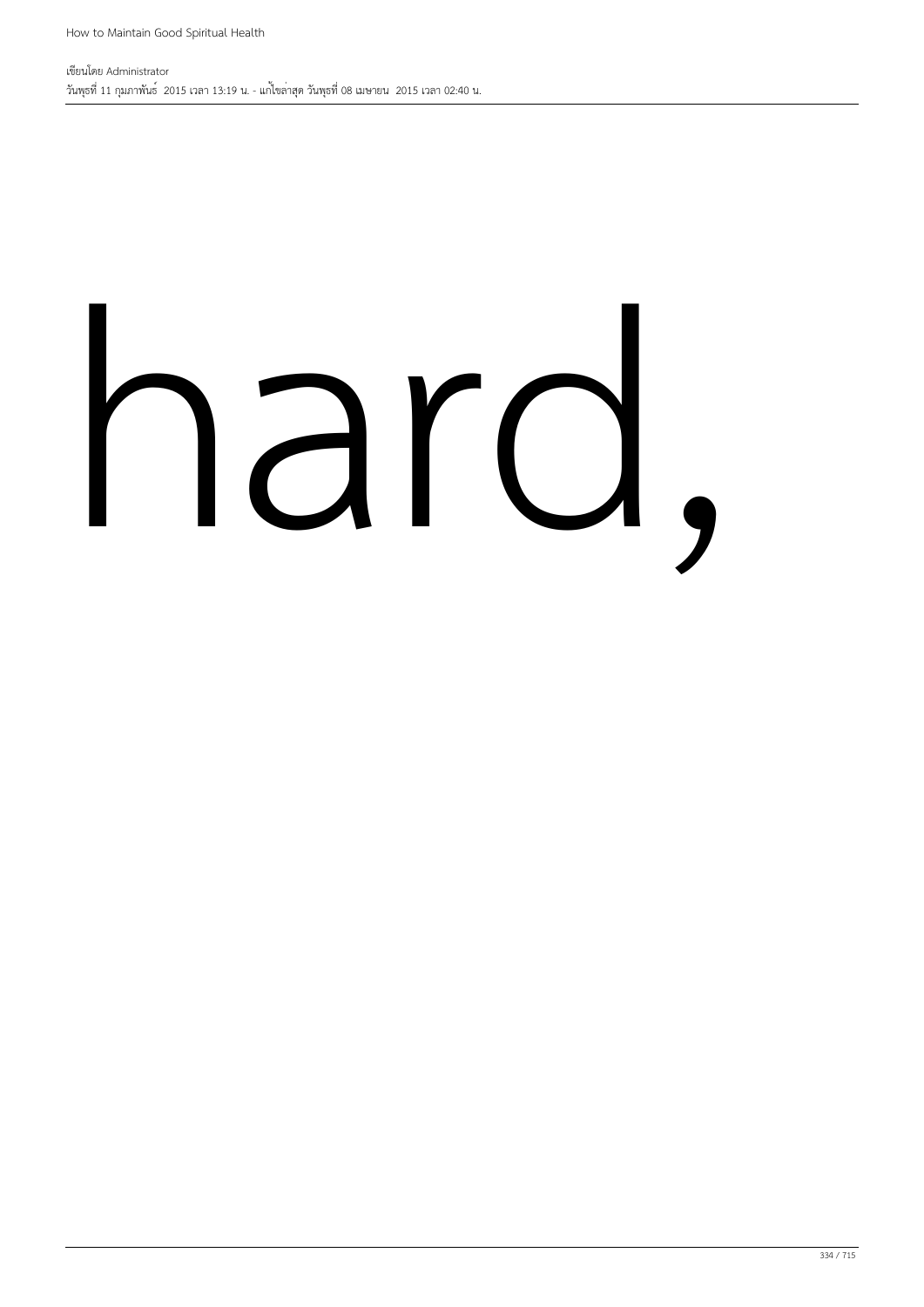# hard,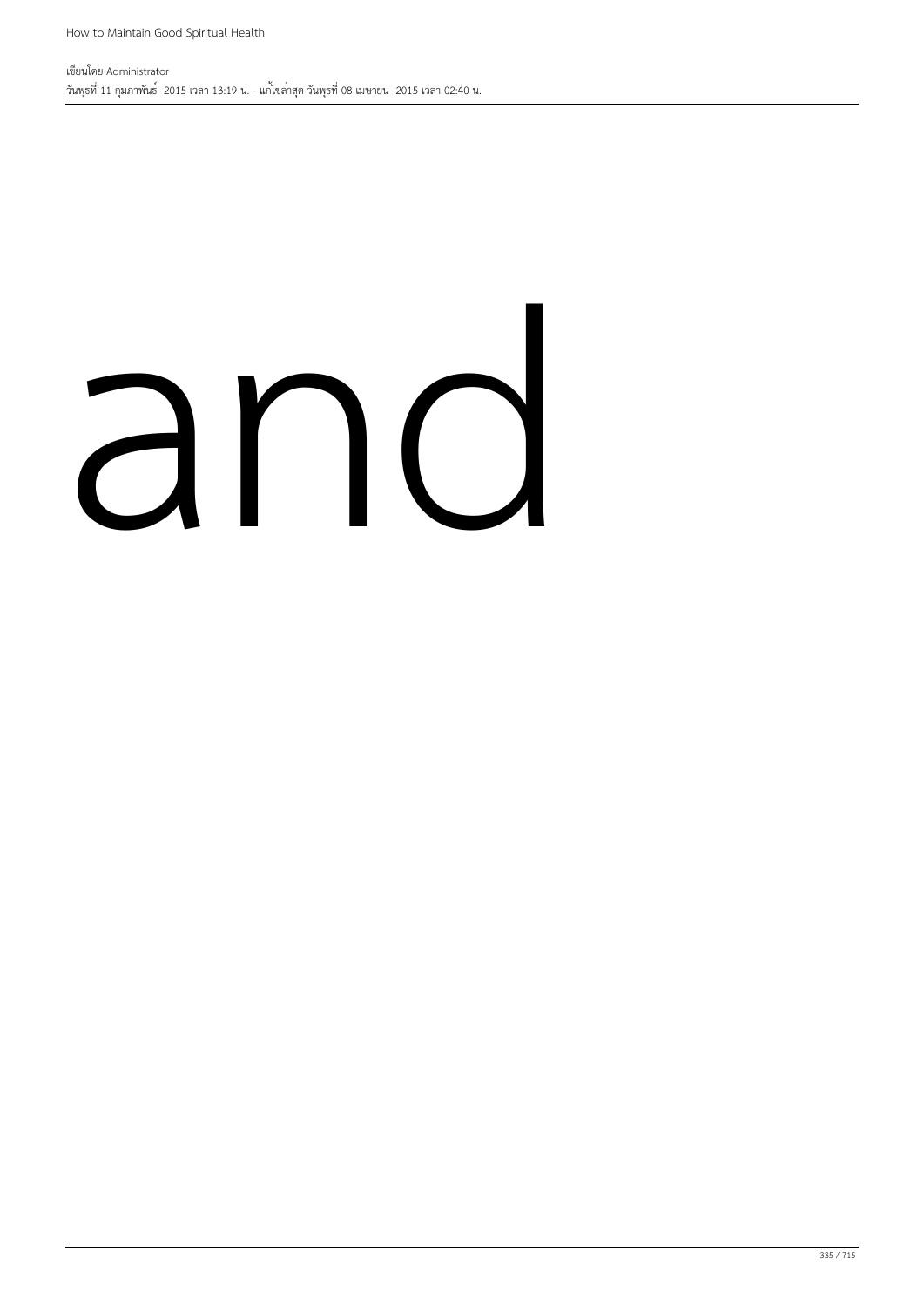## and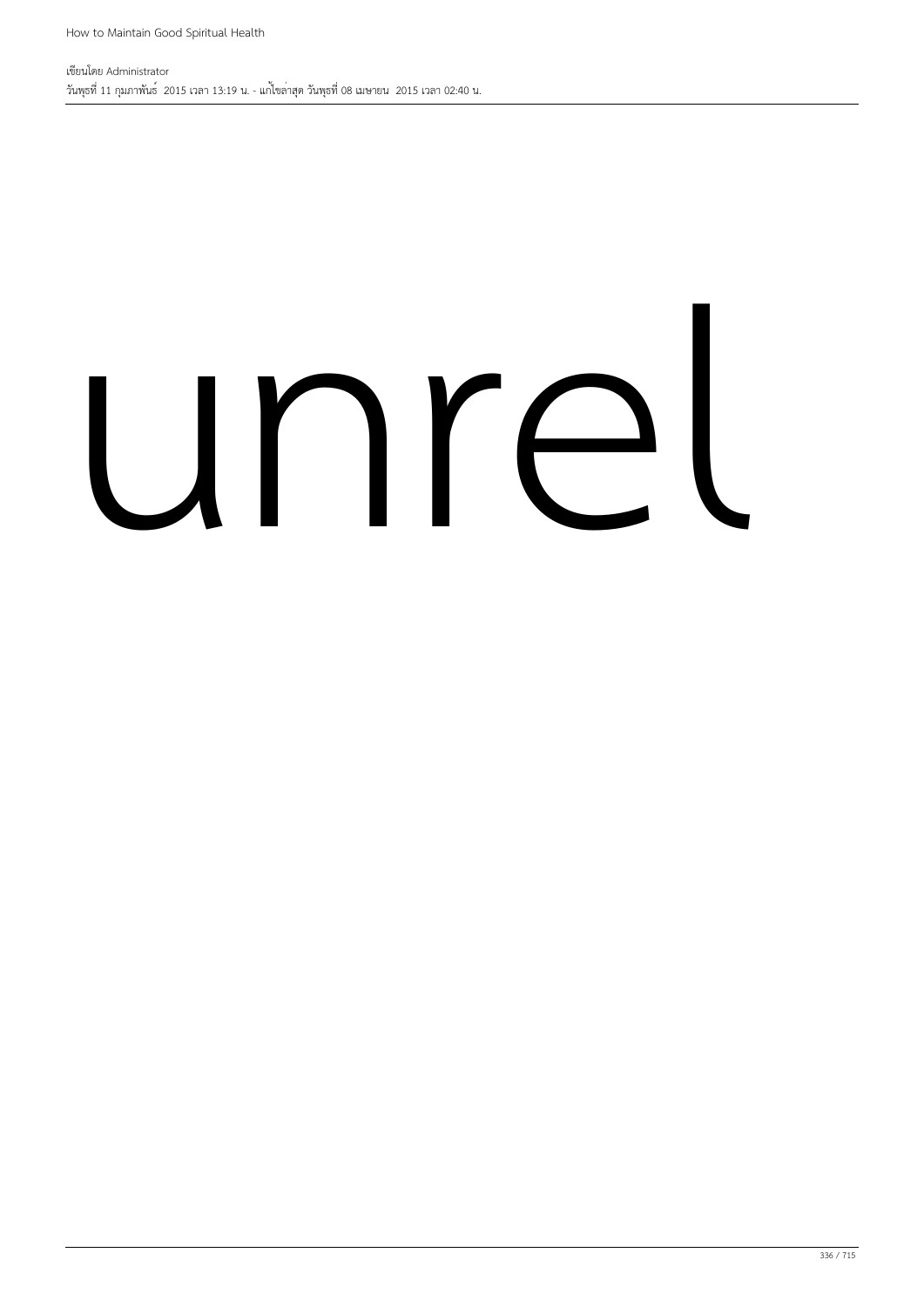### unrel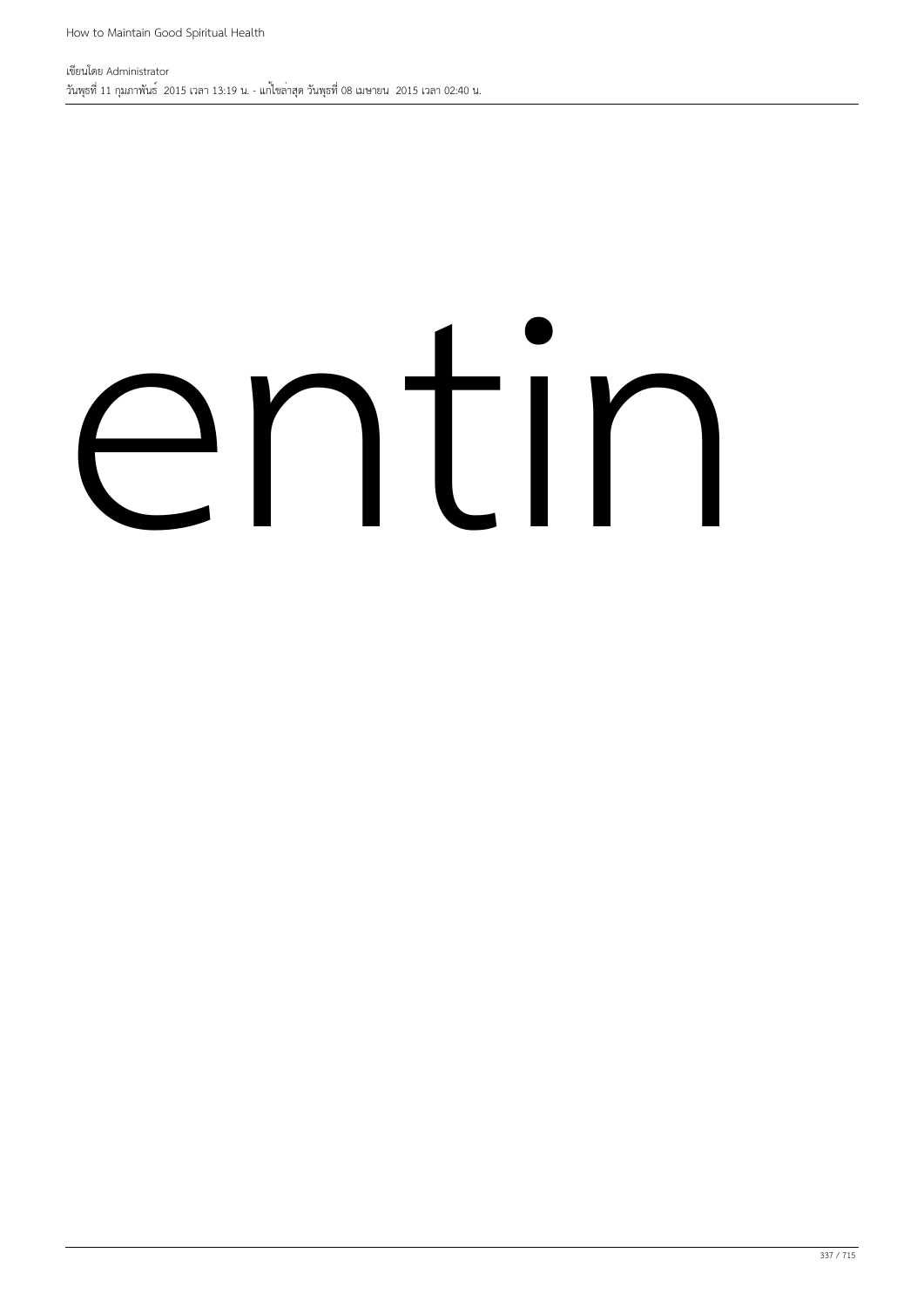## entin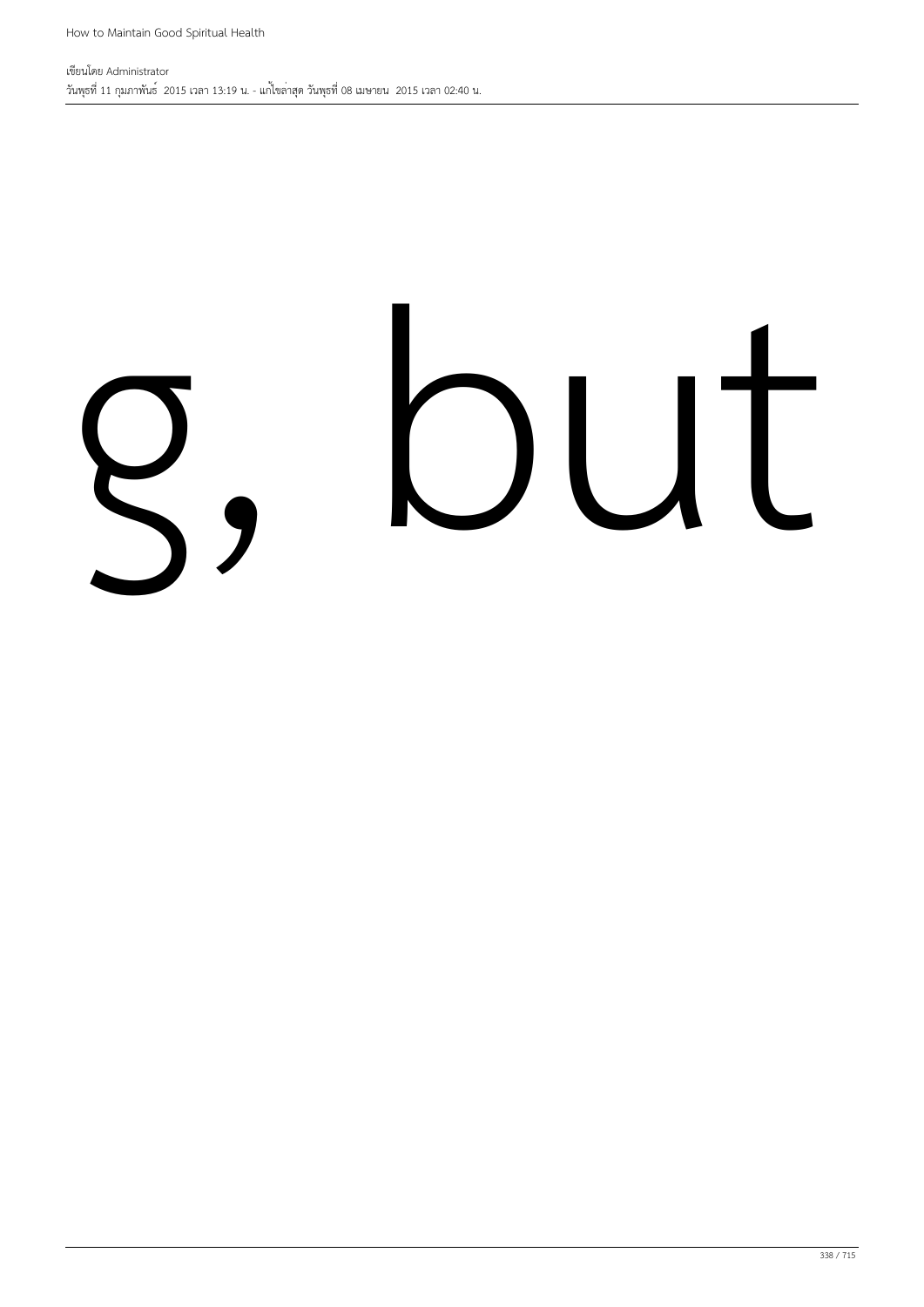# g, but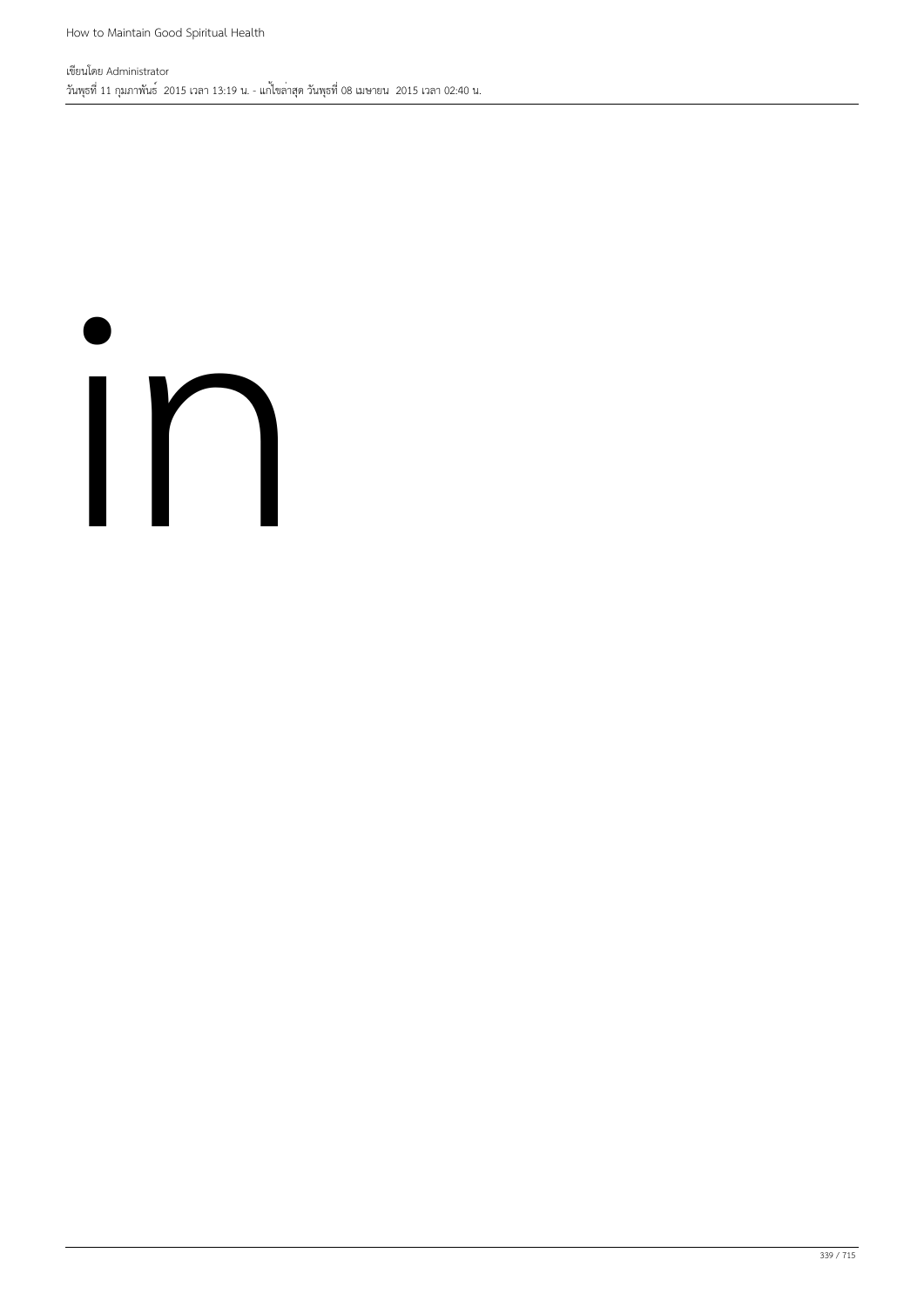## in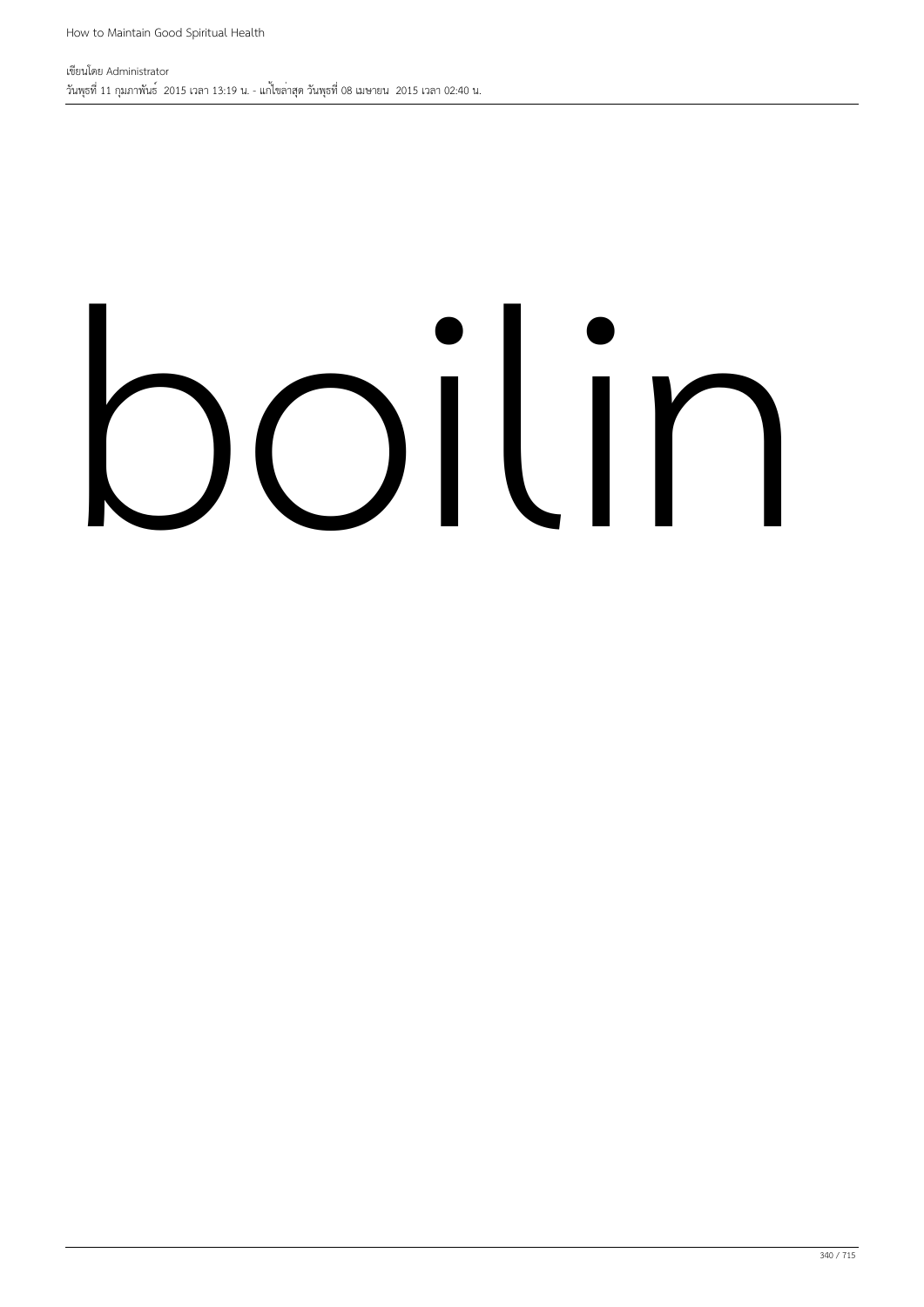# boilin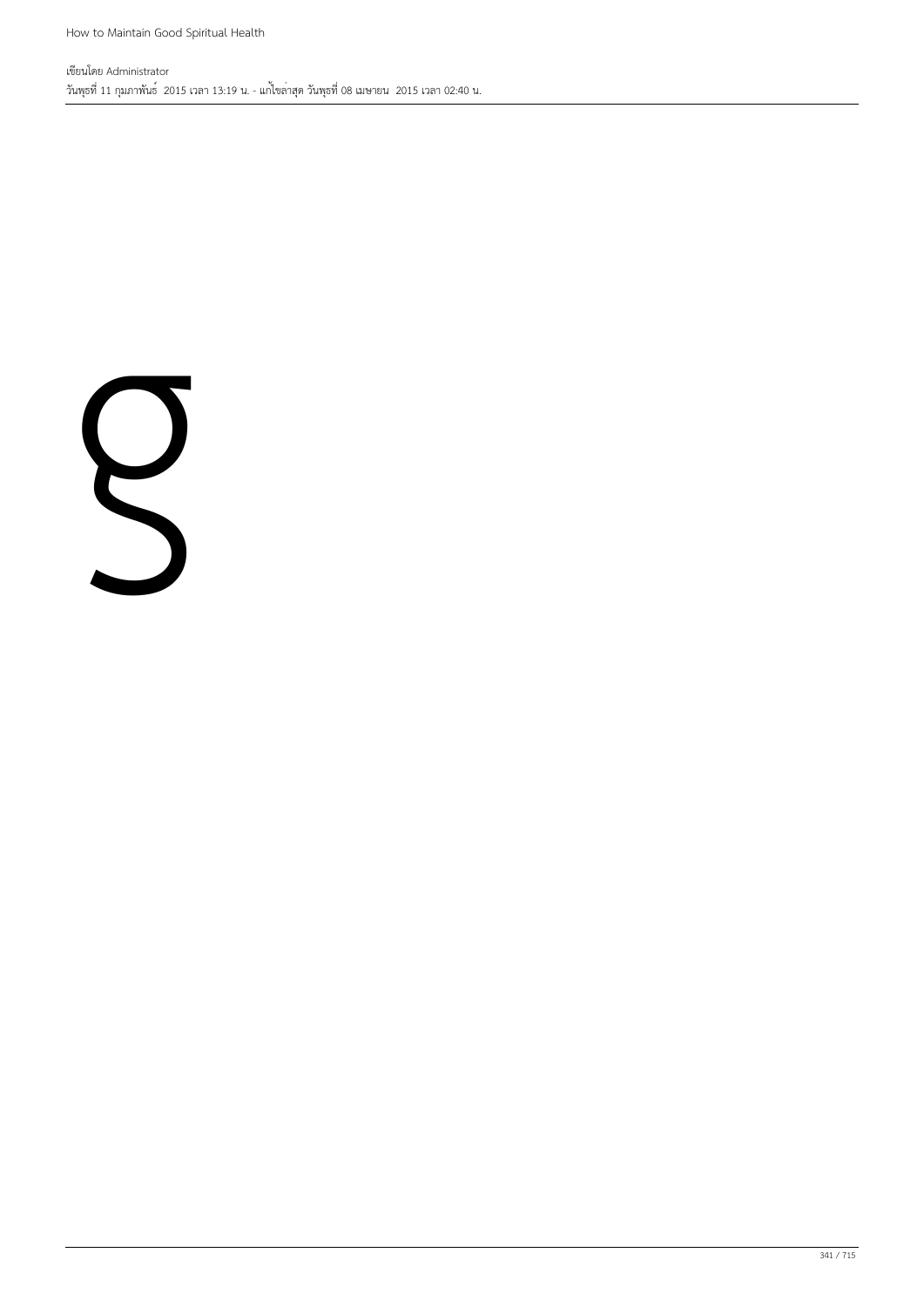### g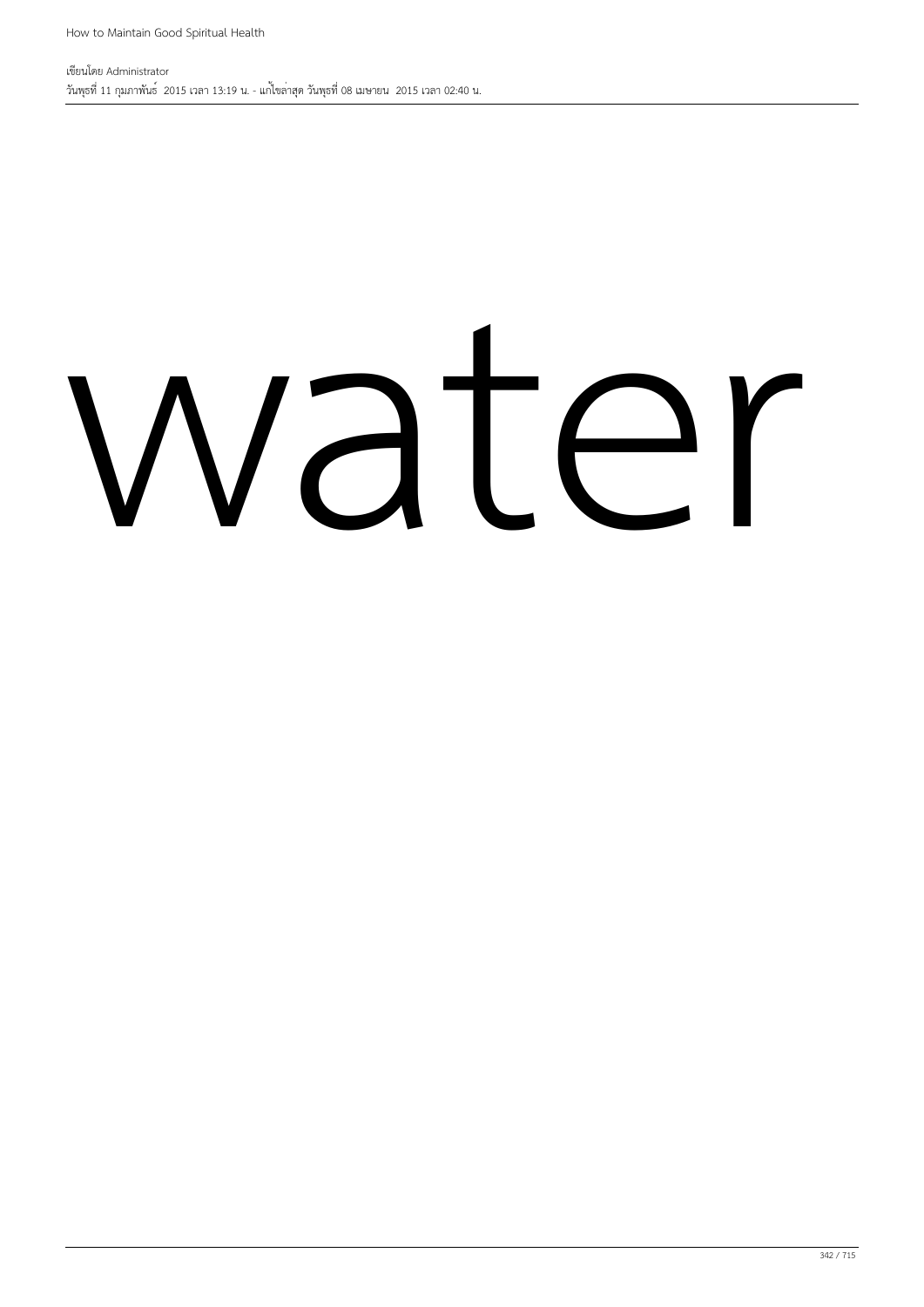### water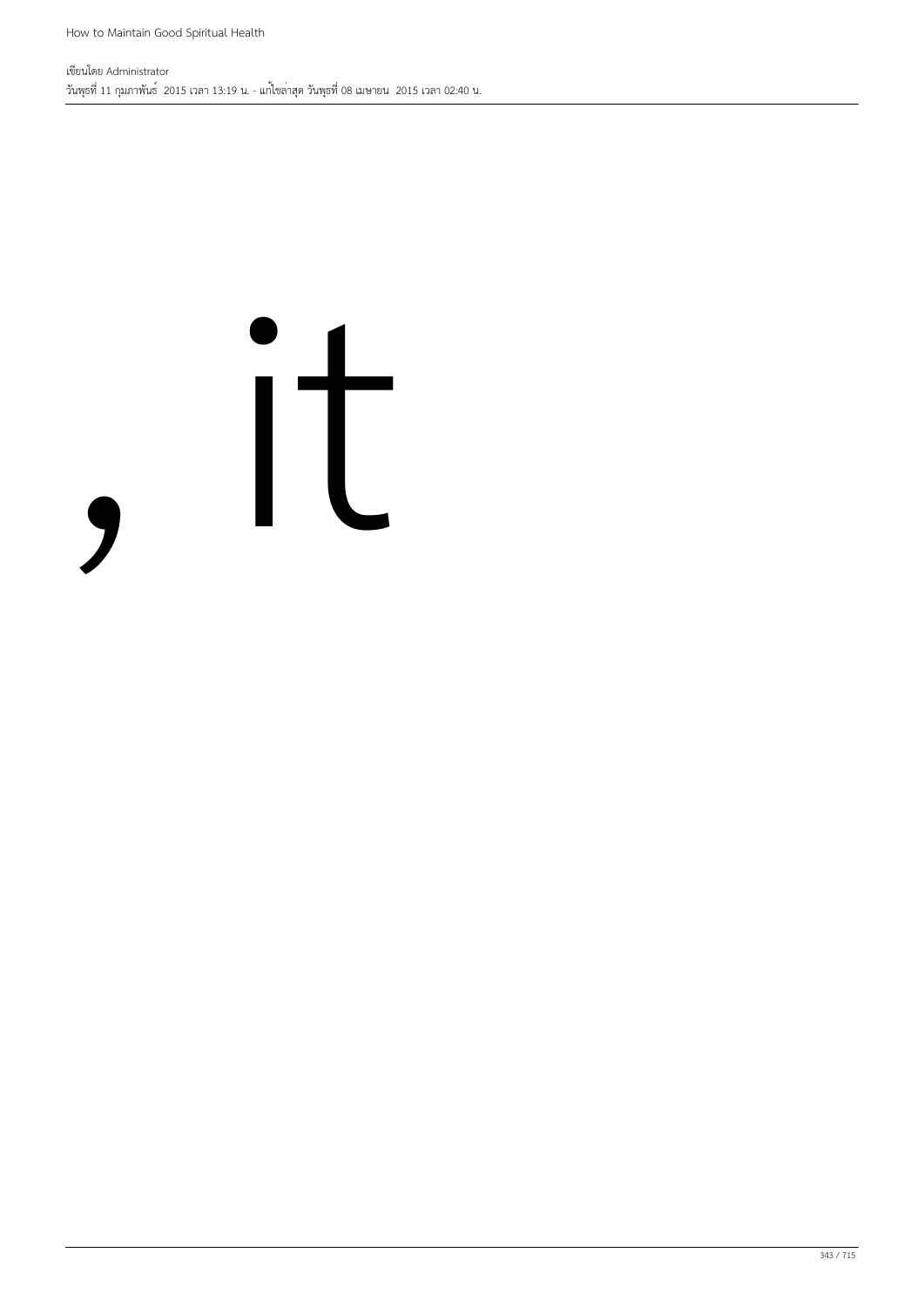# it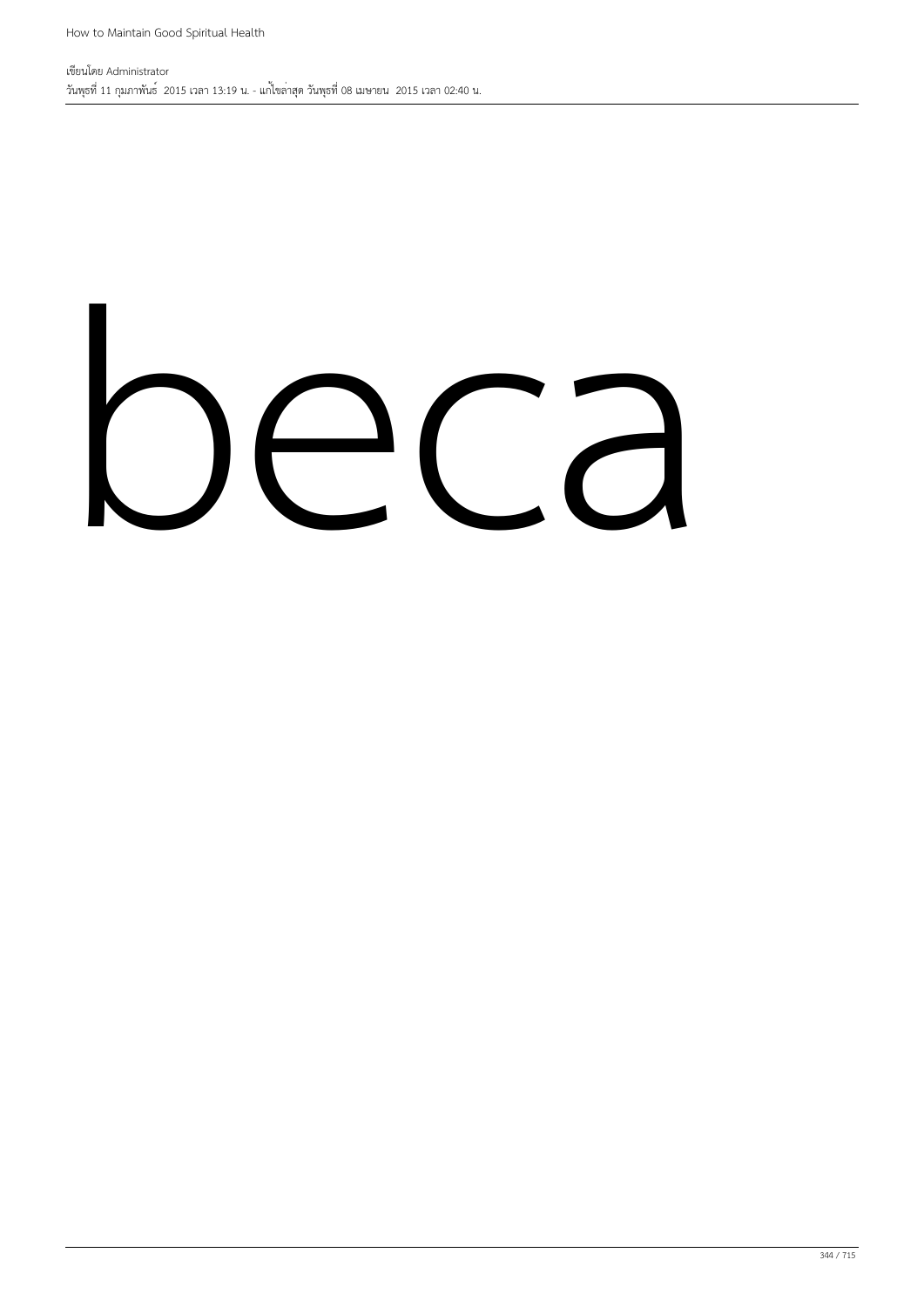### beca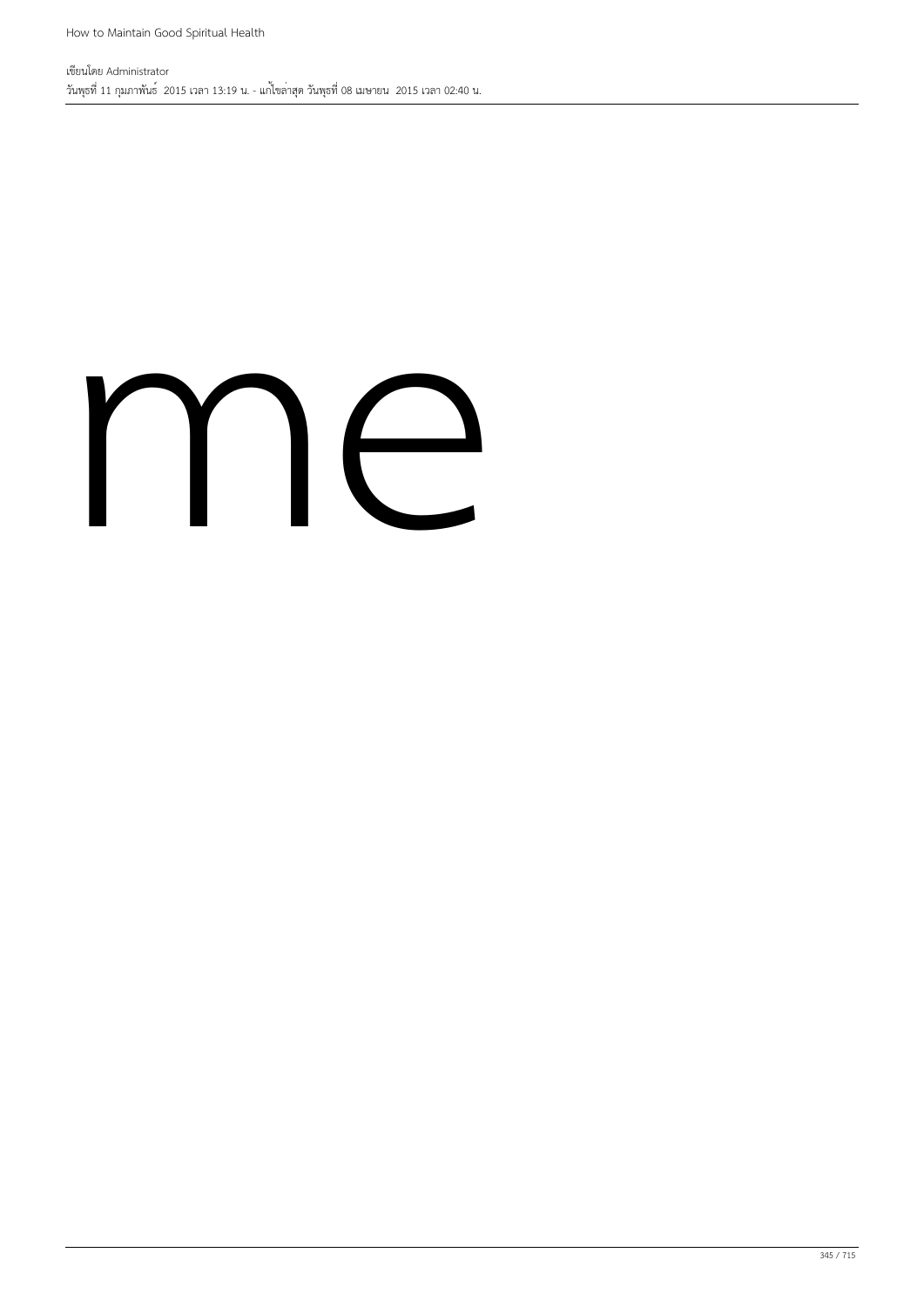#### me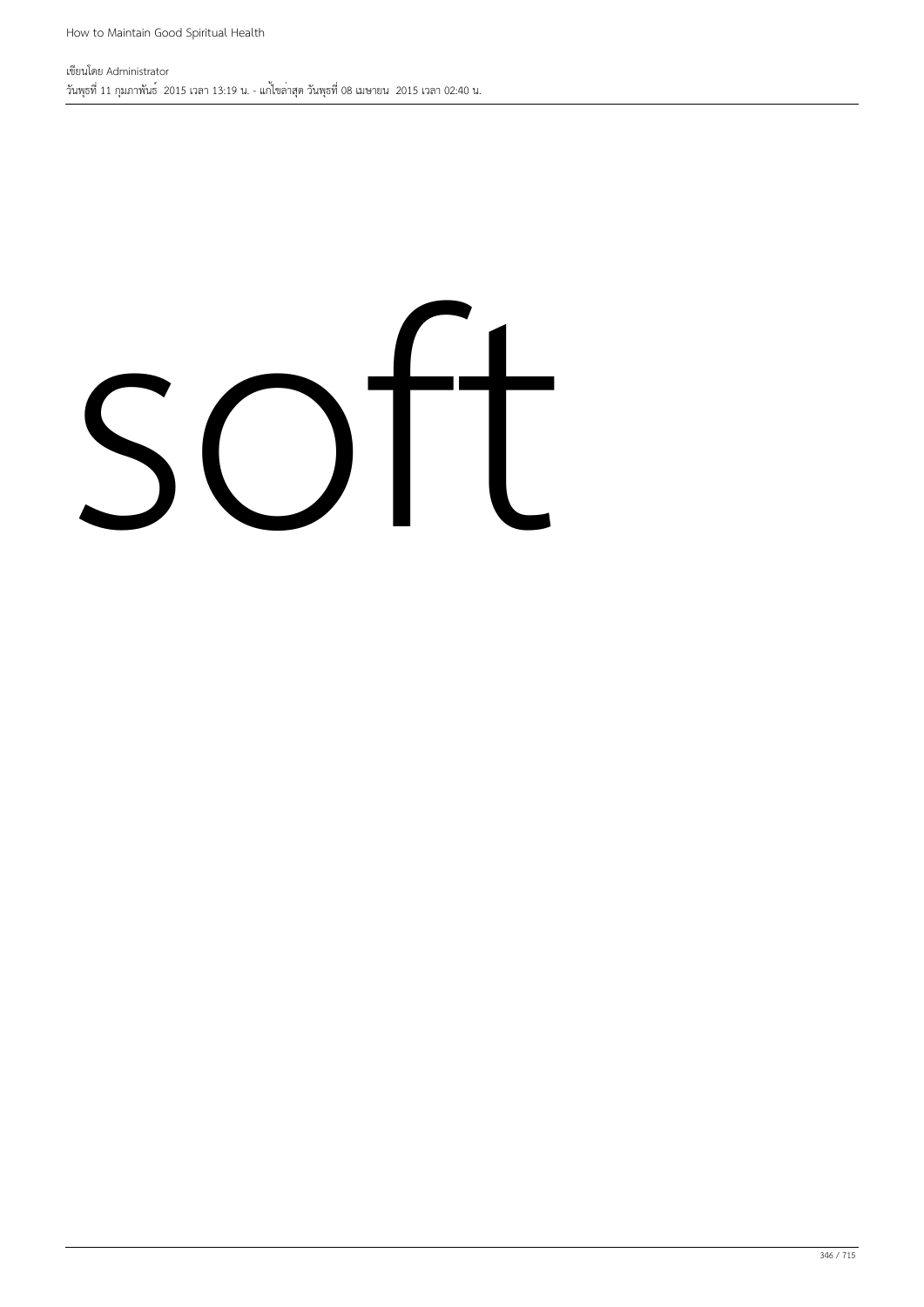# soft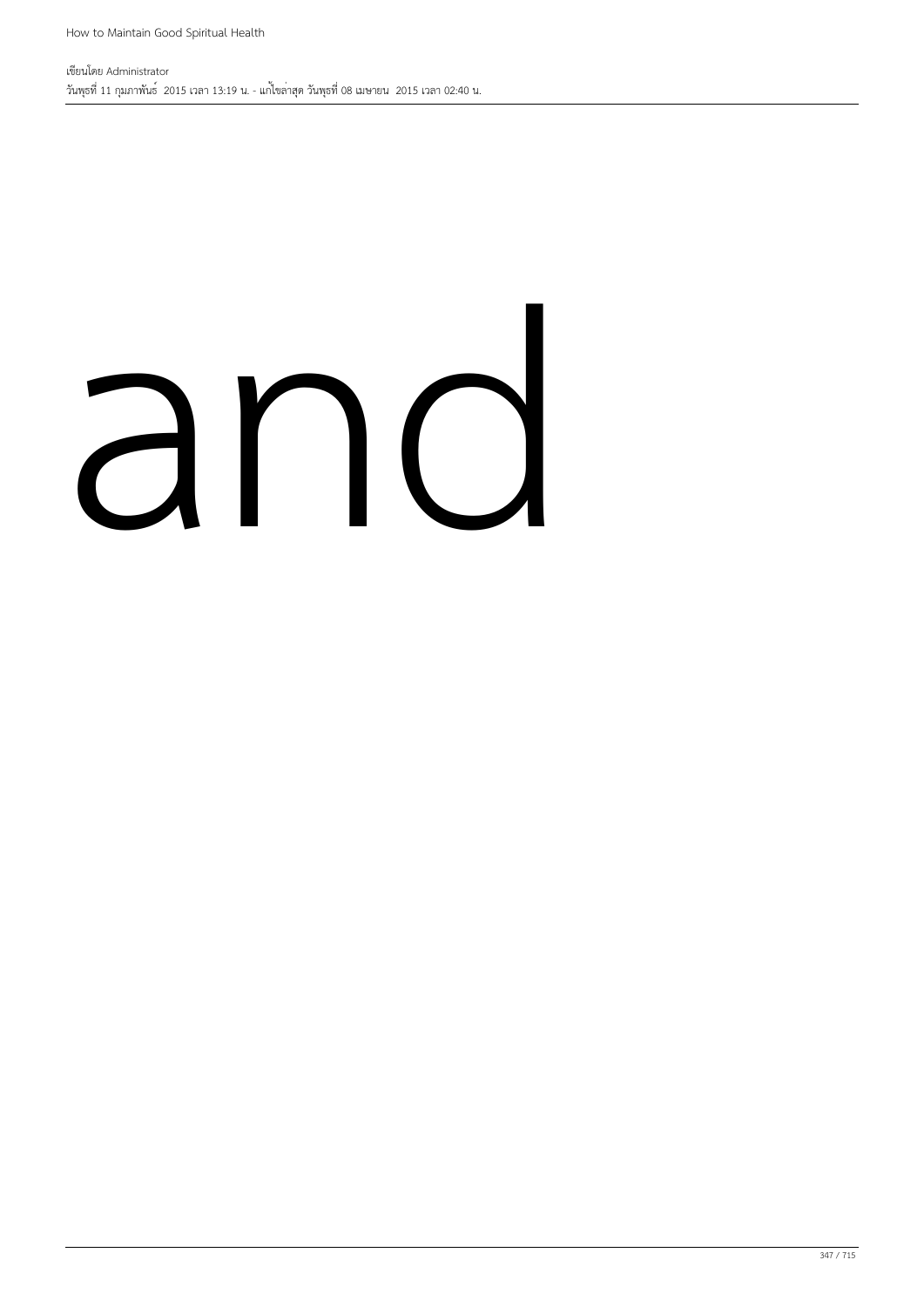## and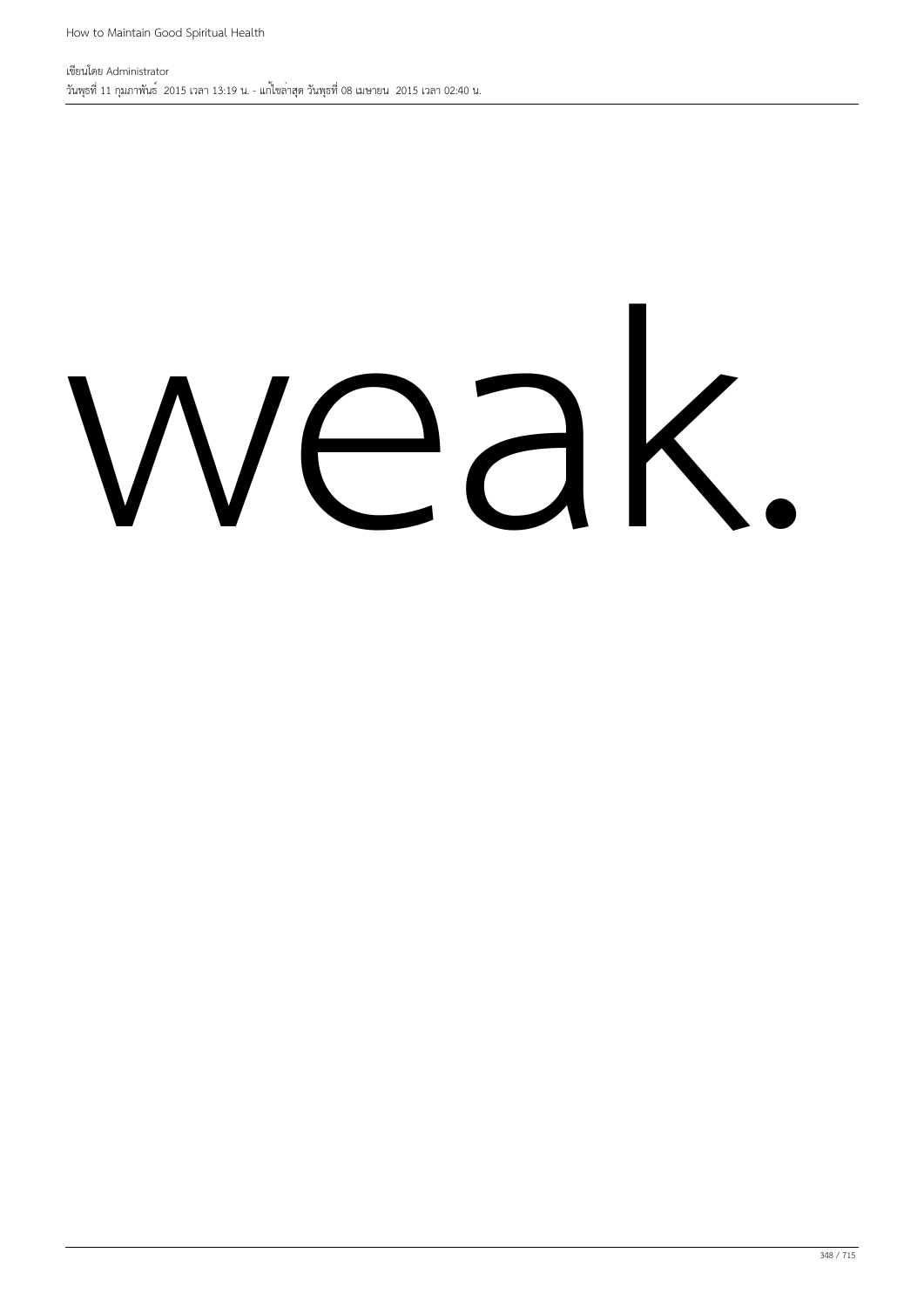# weak.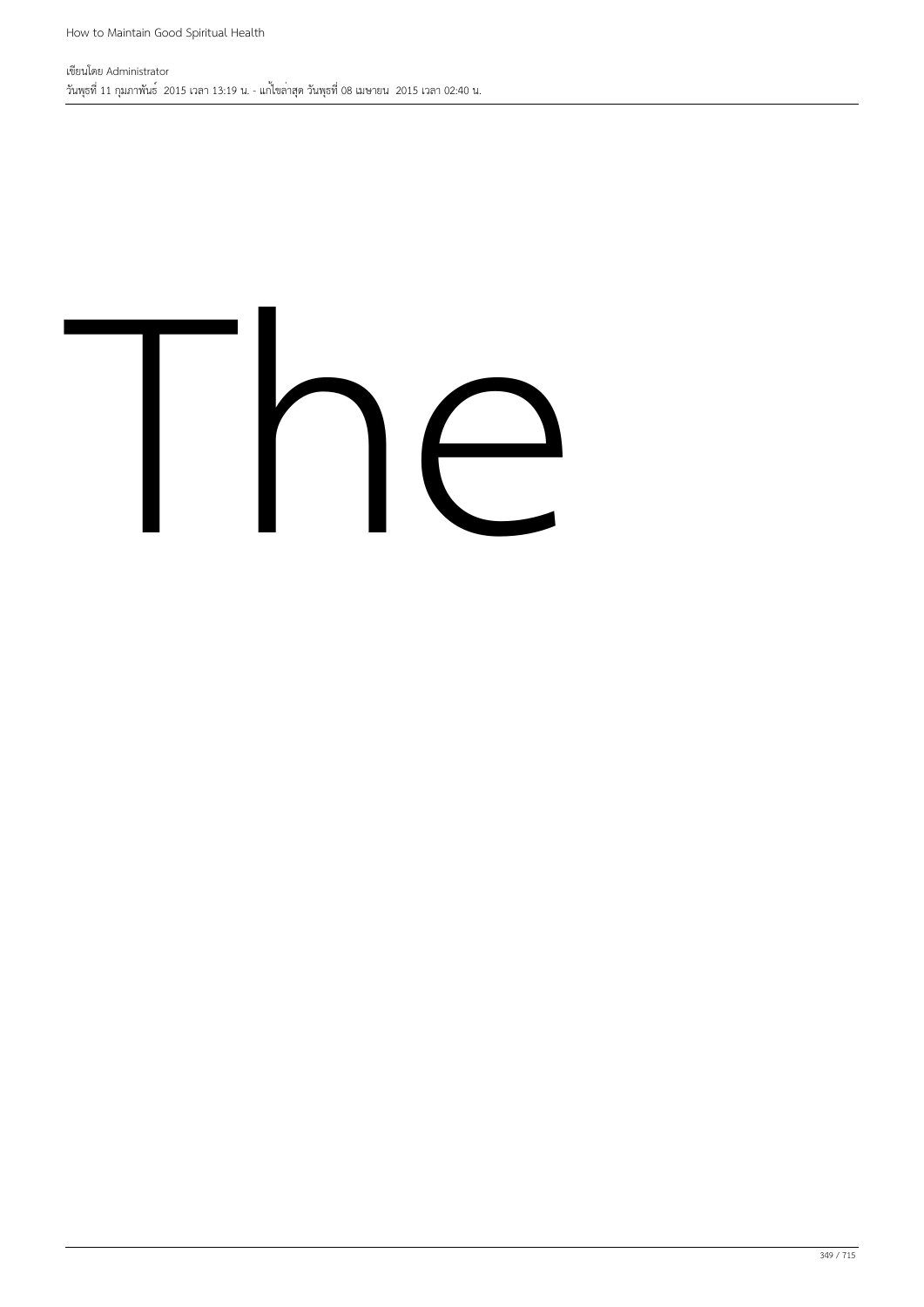## The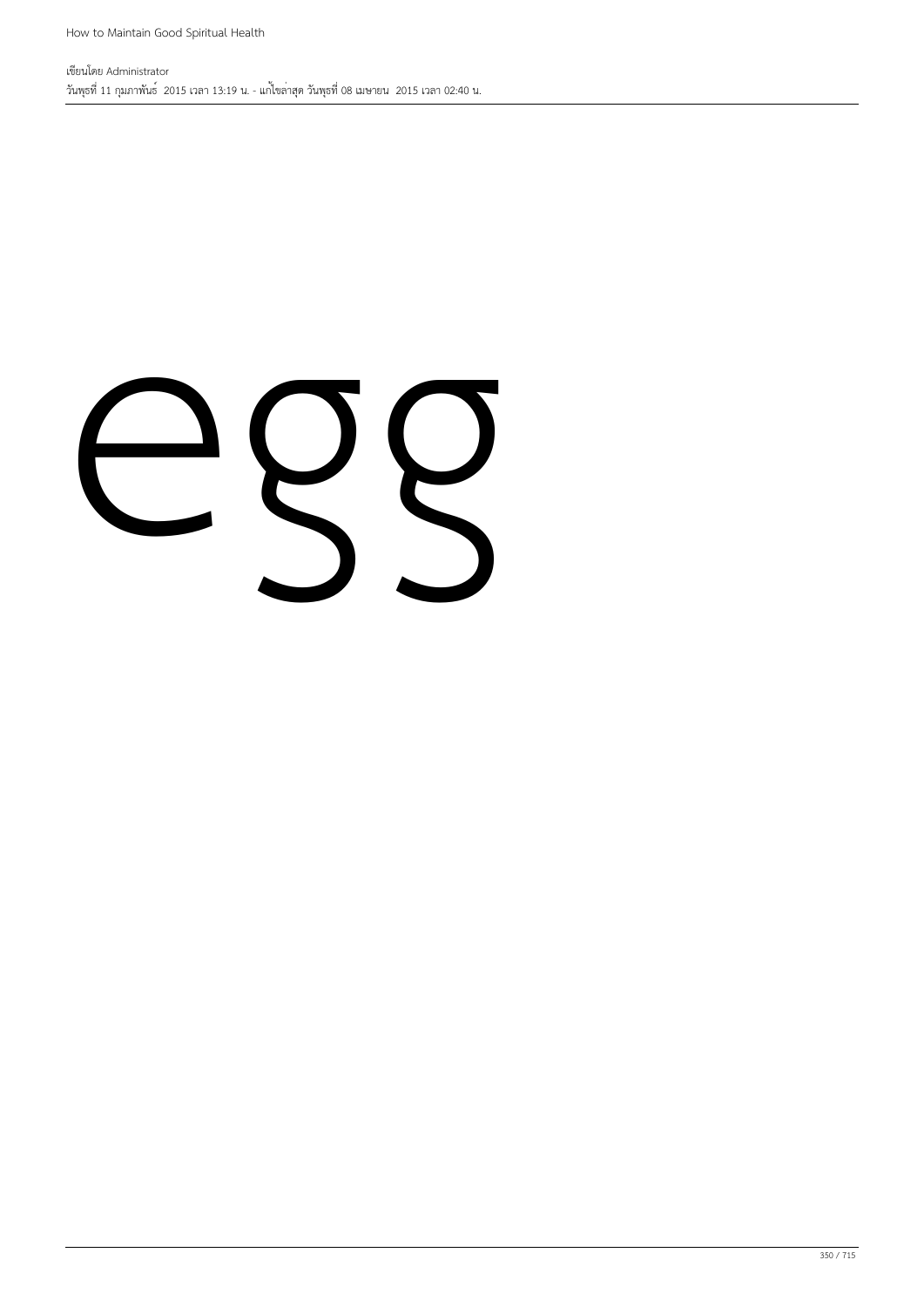# egg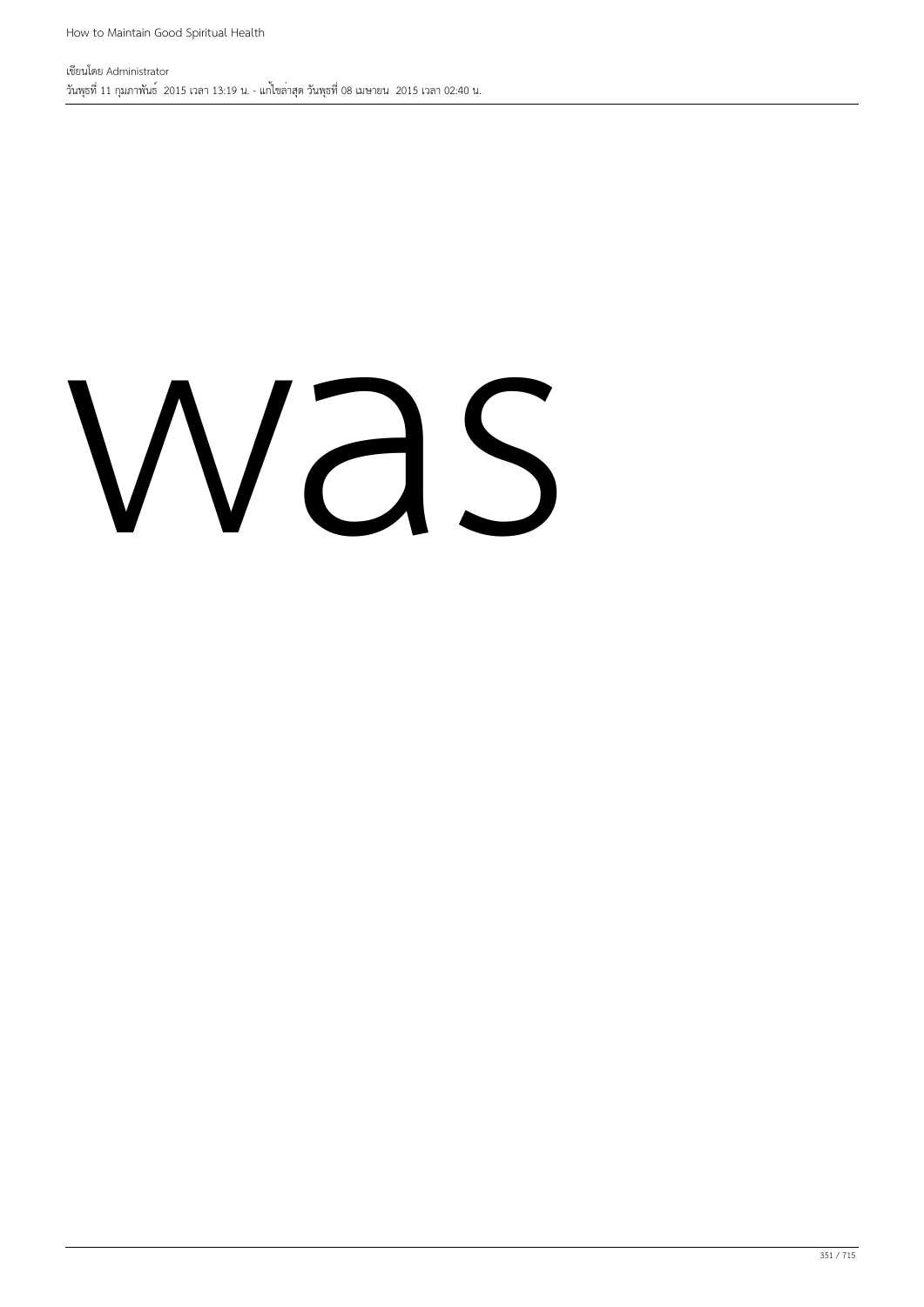#### was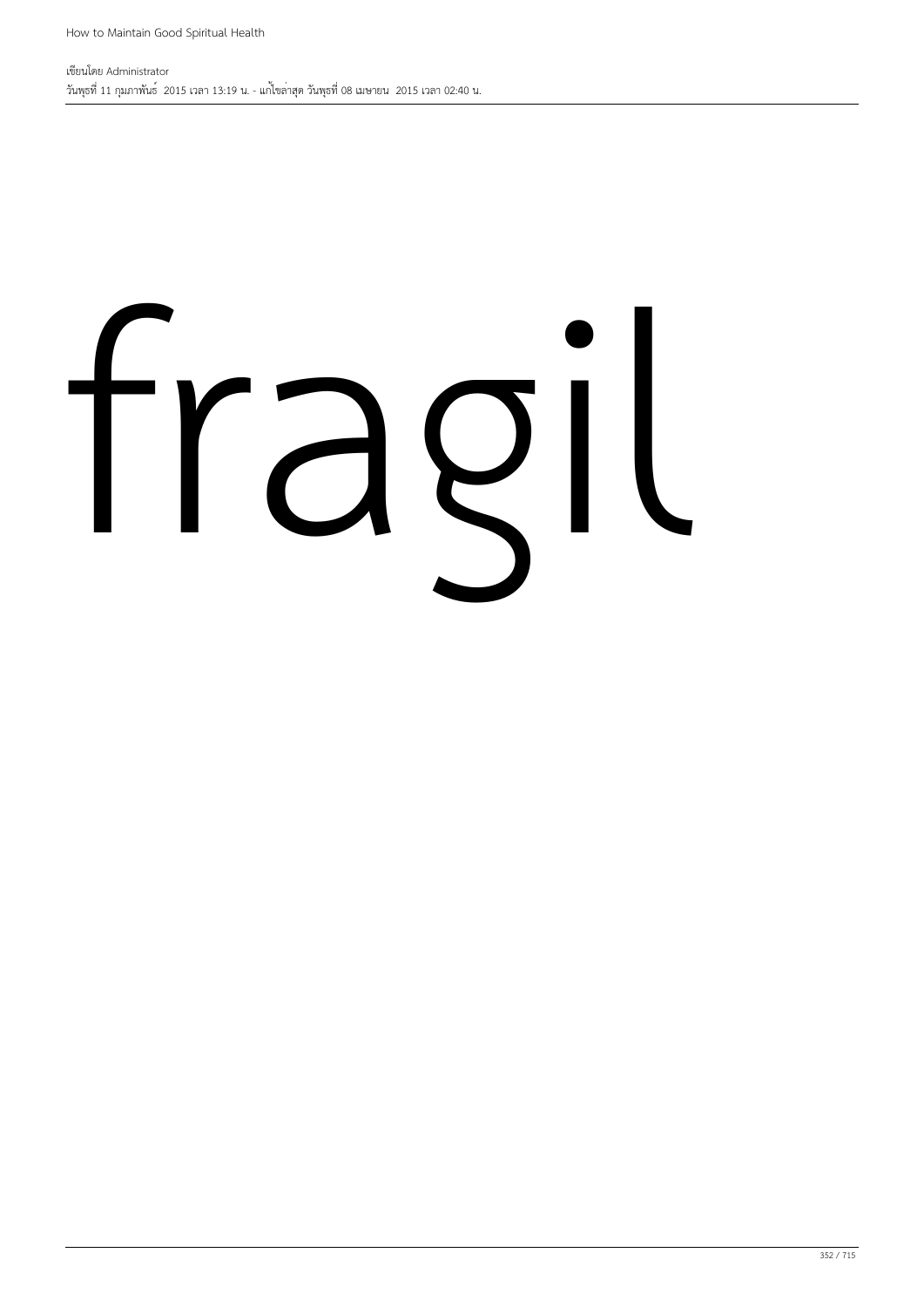# fragil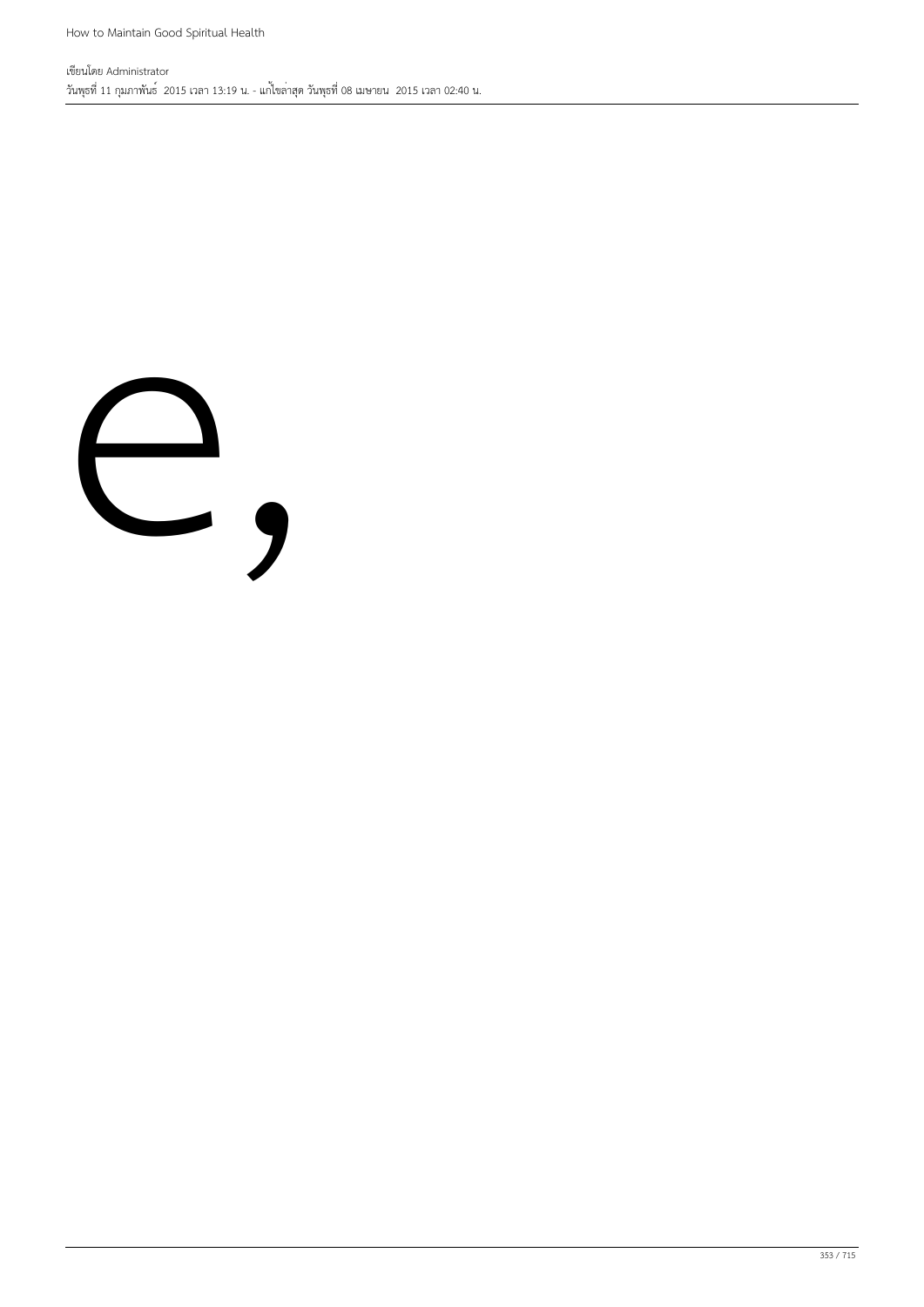### e,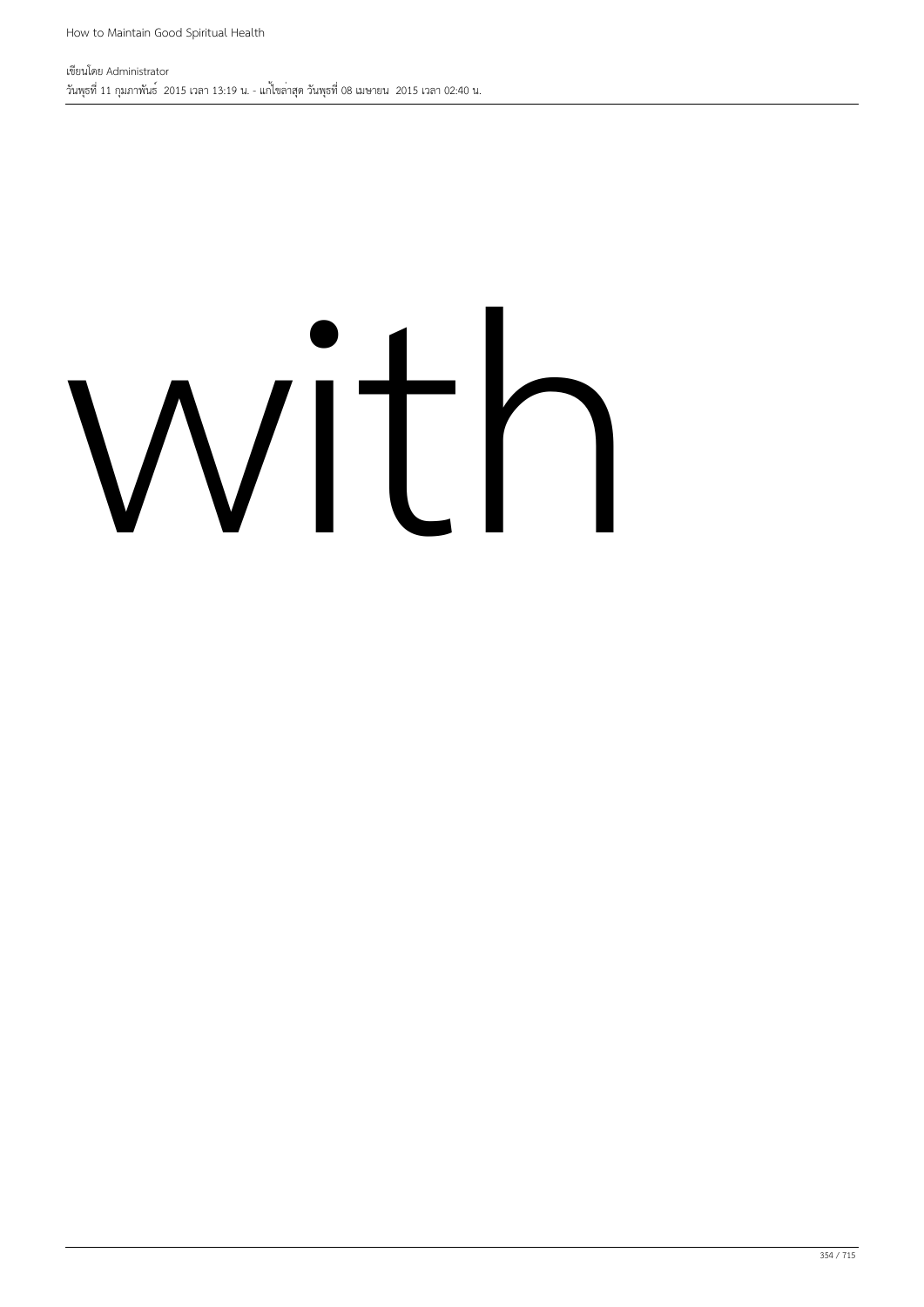# with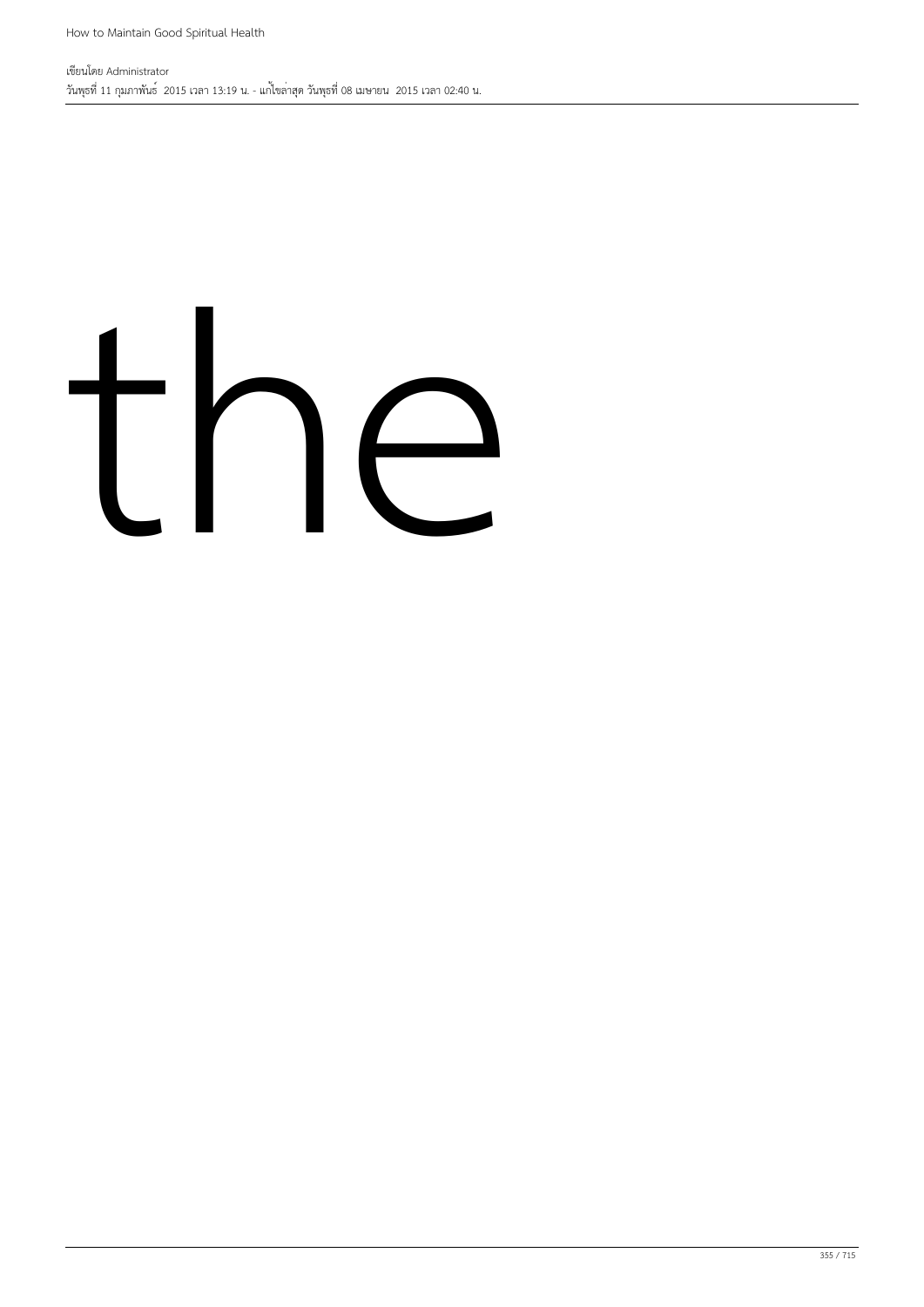# the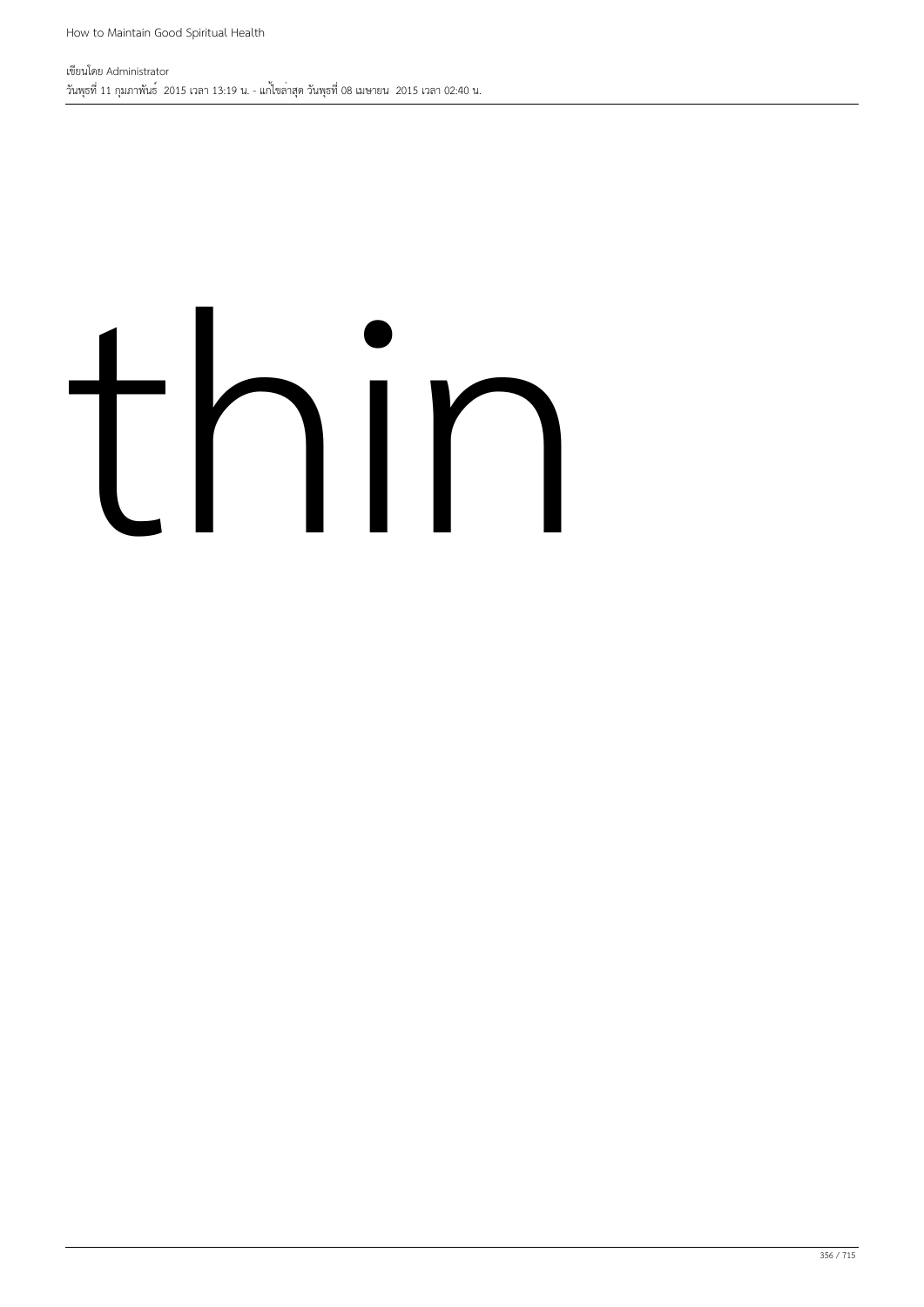# thin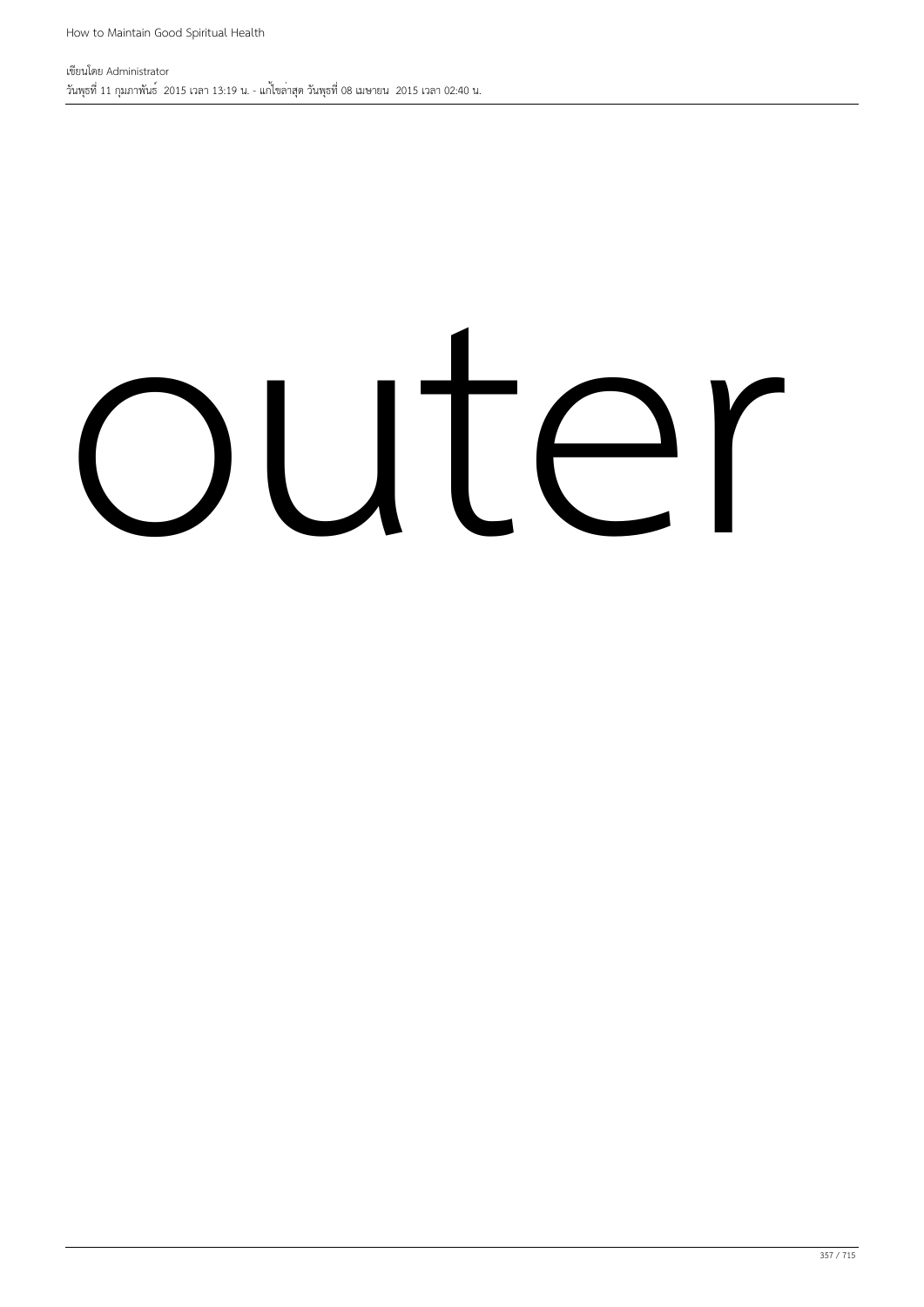### outer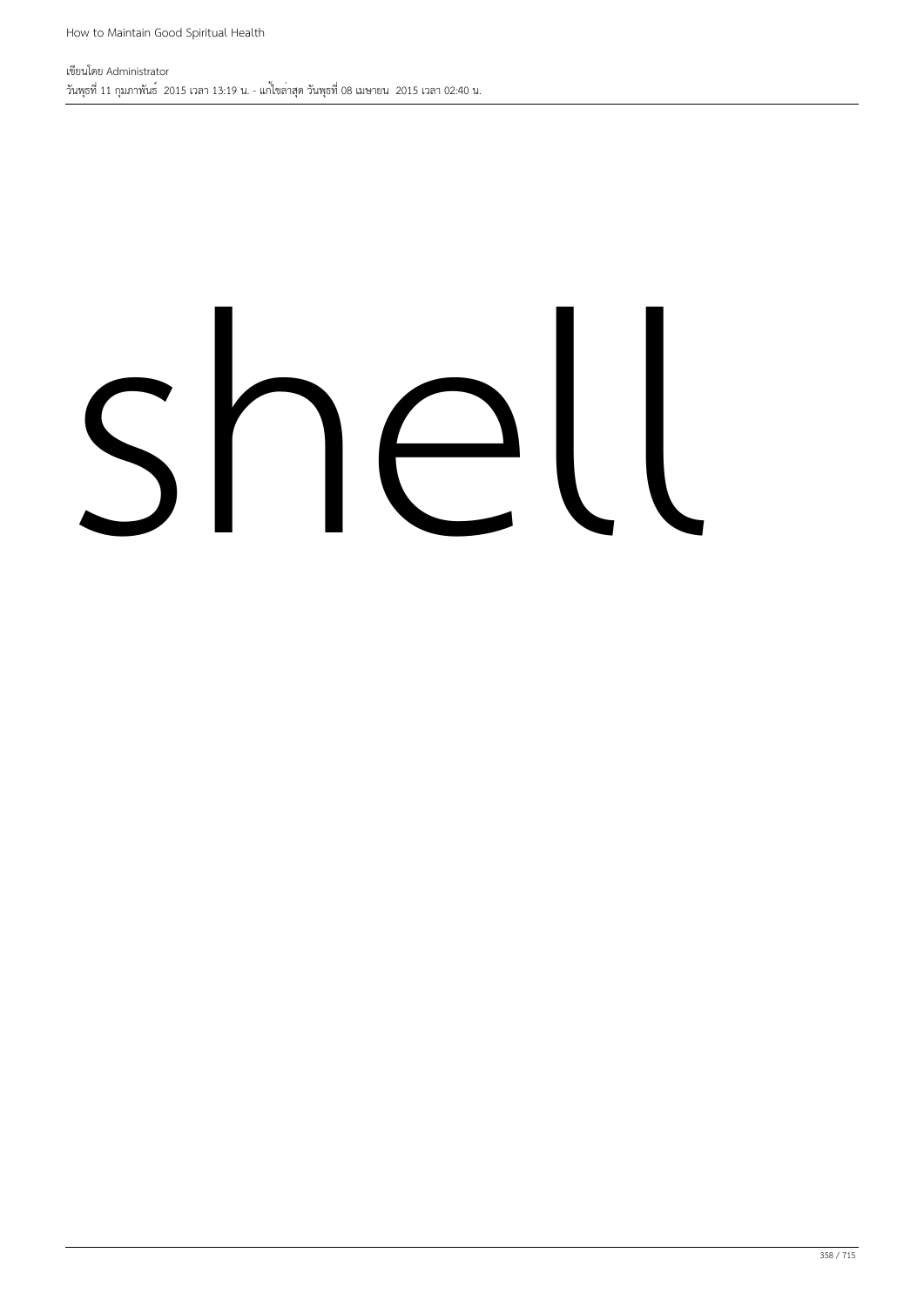# shell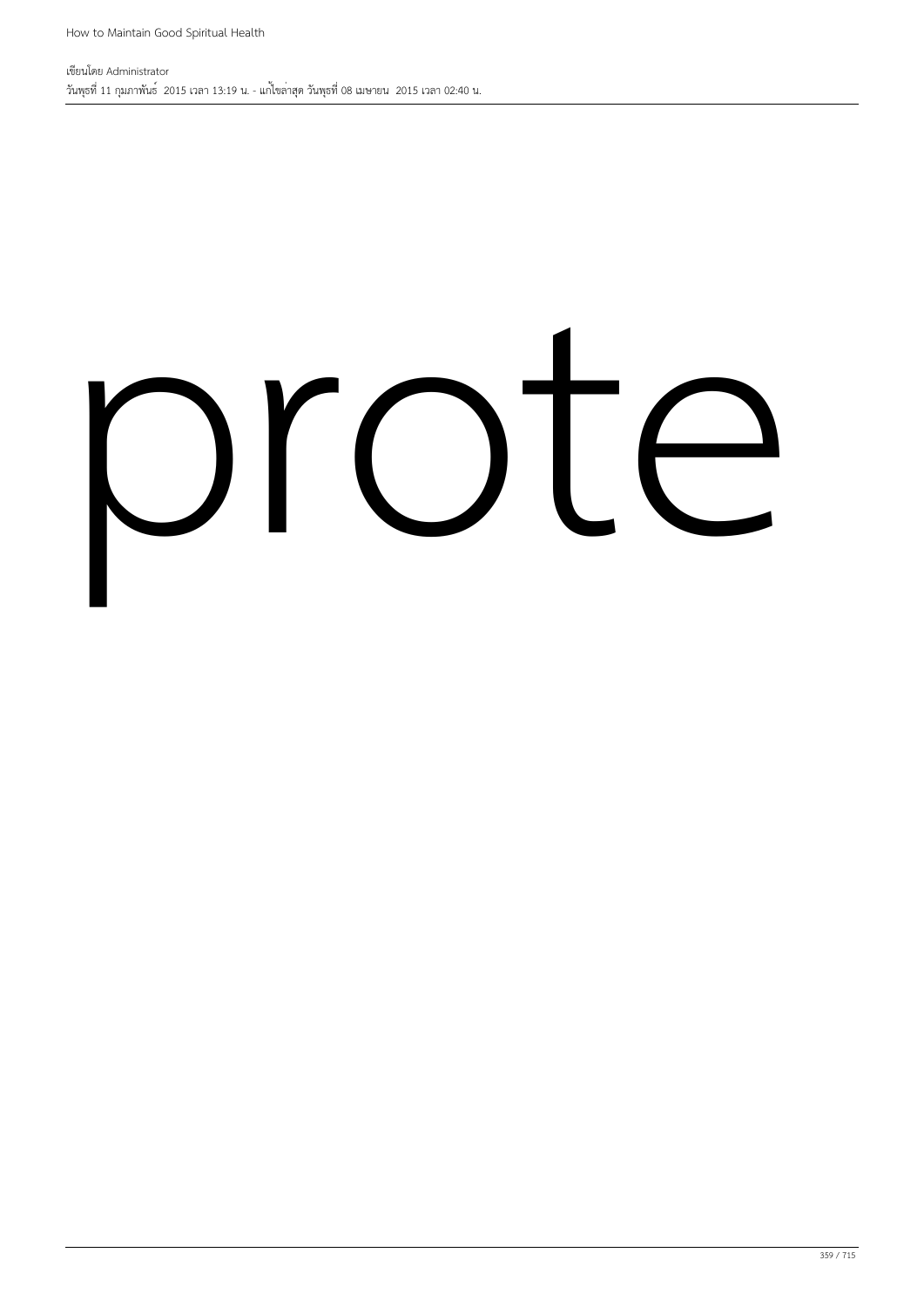# prote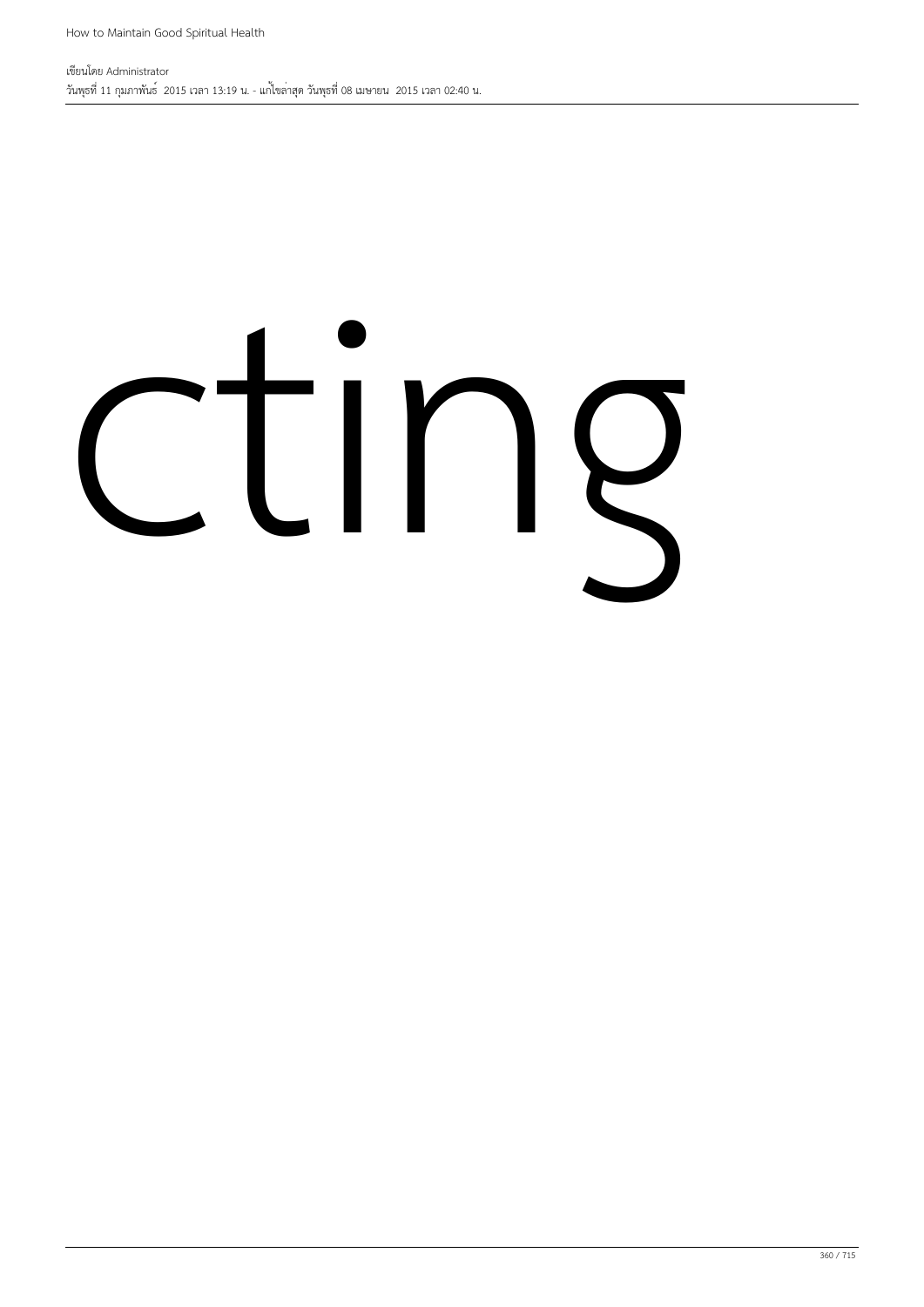# cting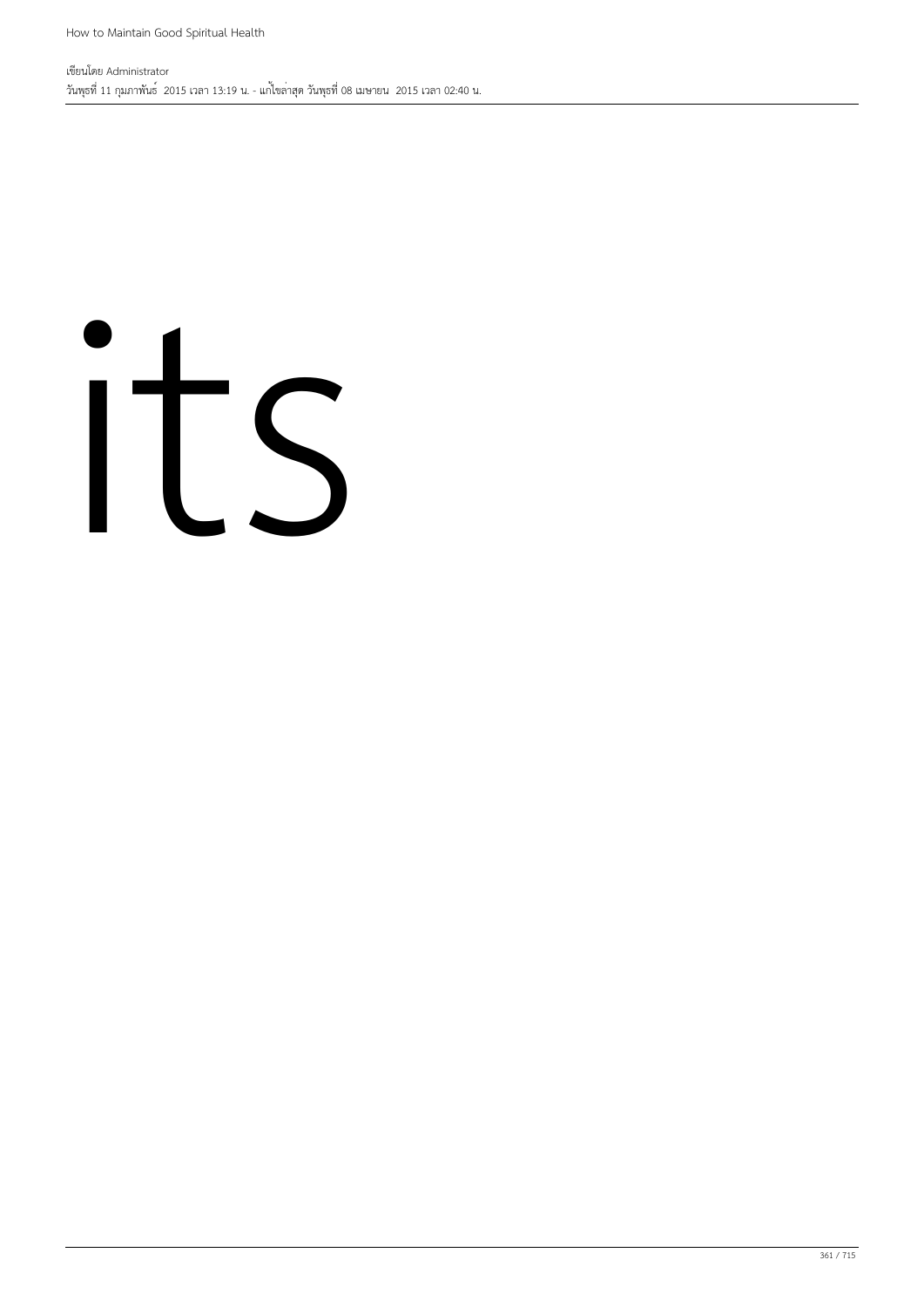# its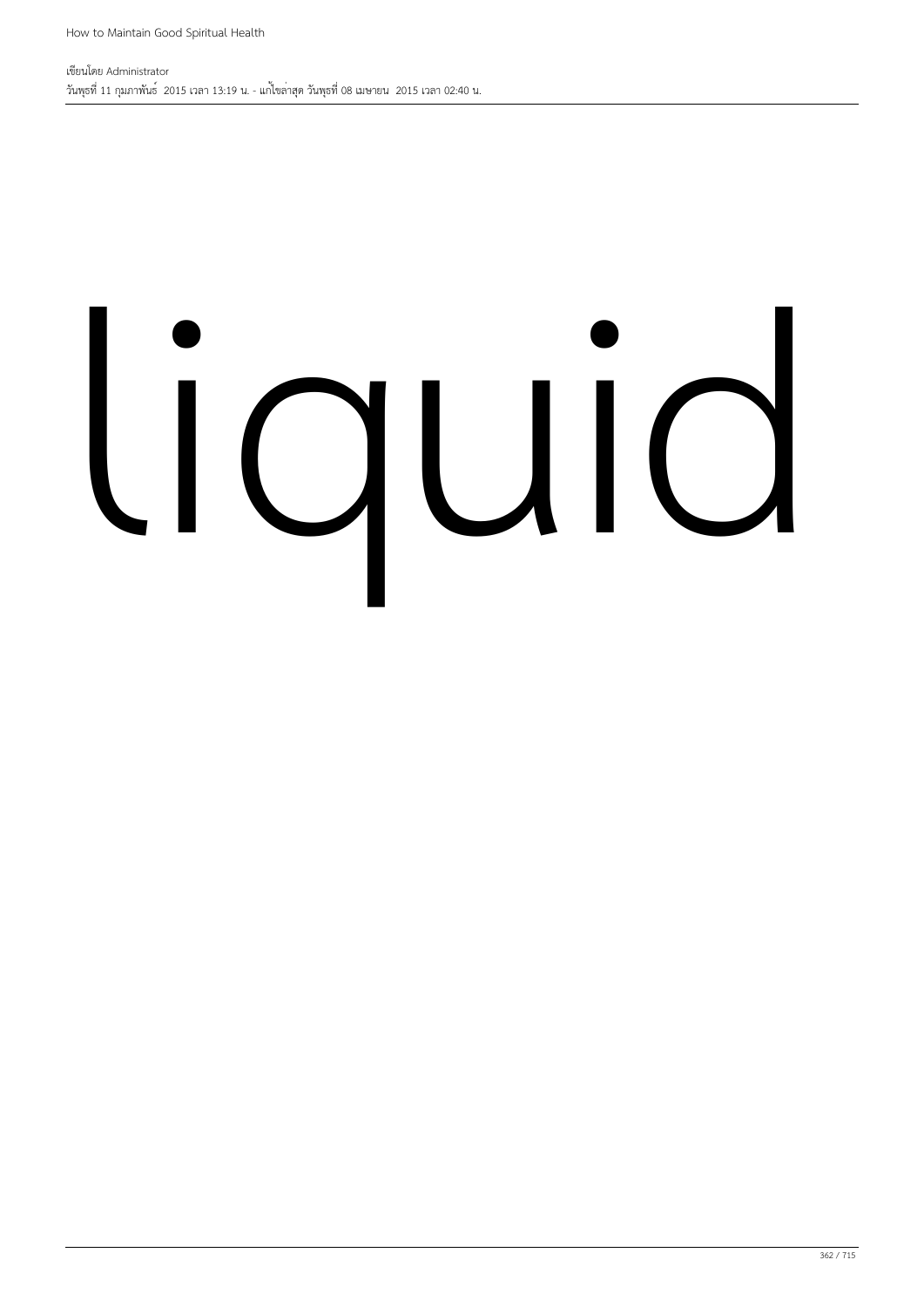# liquid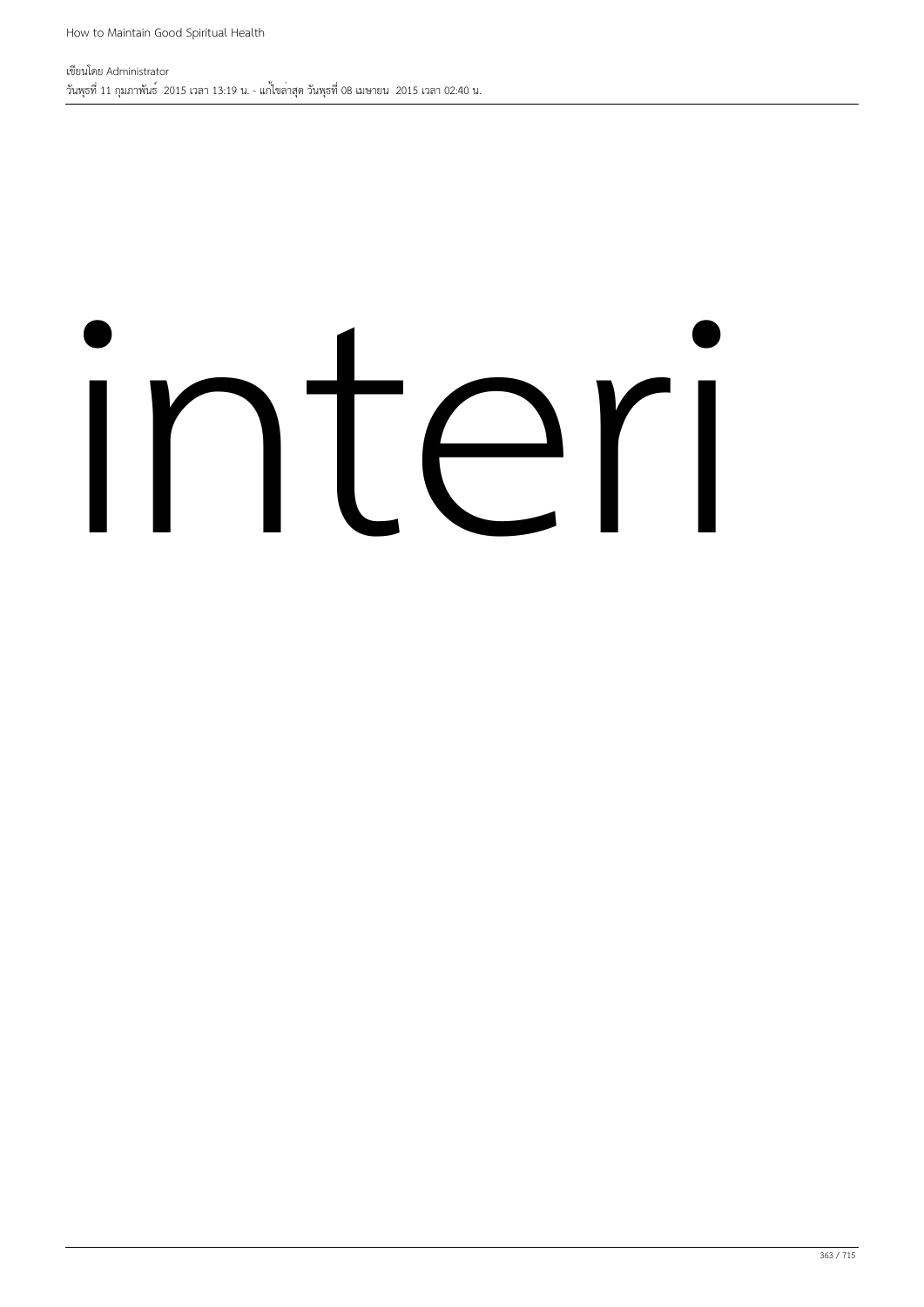### interi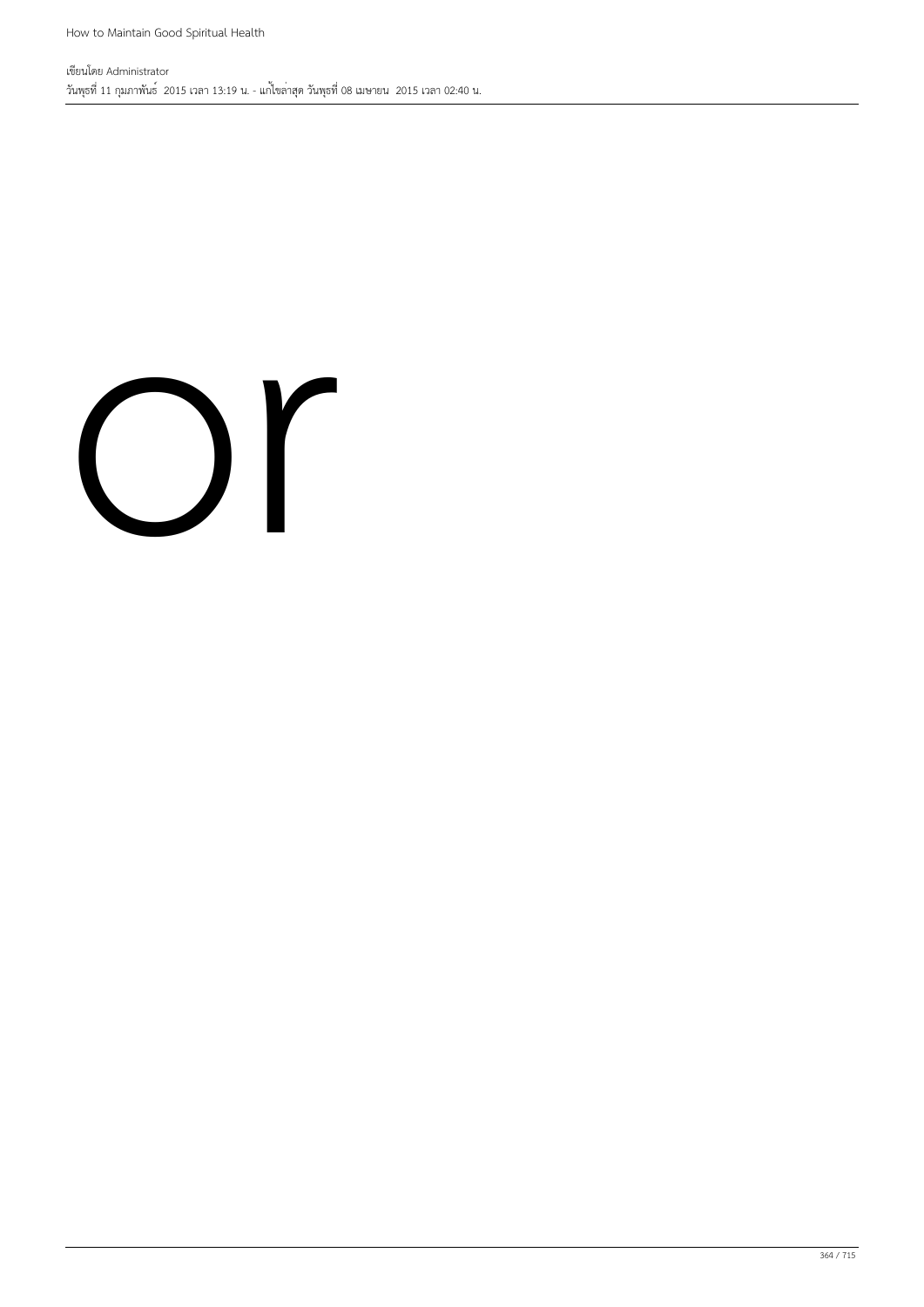#### or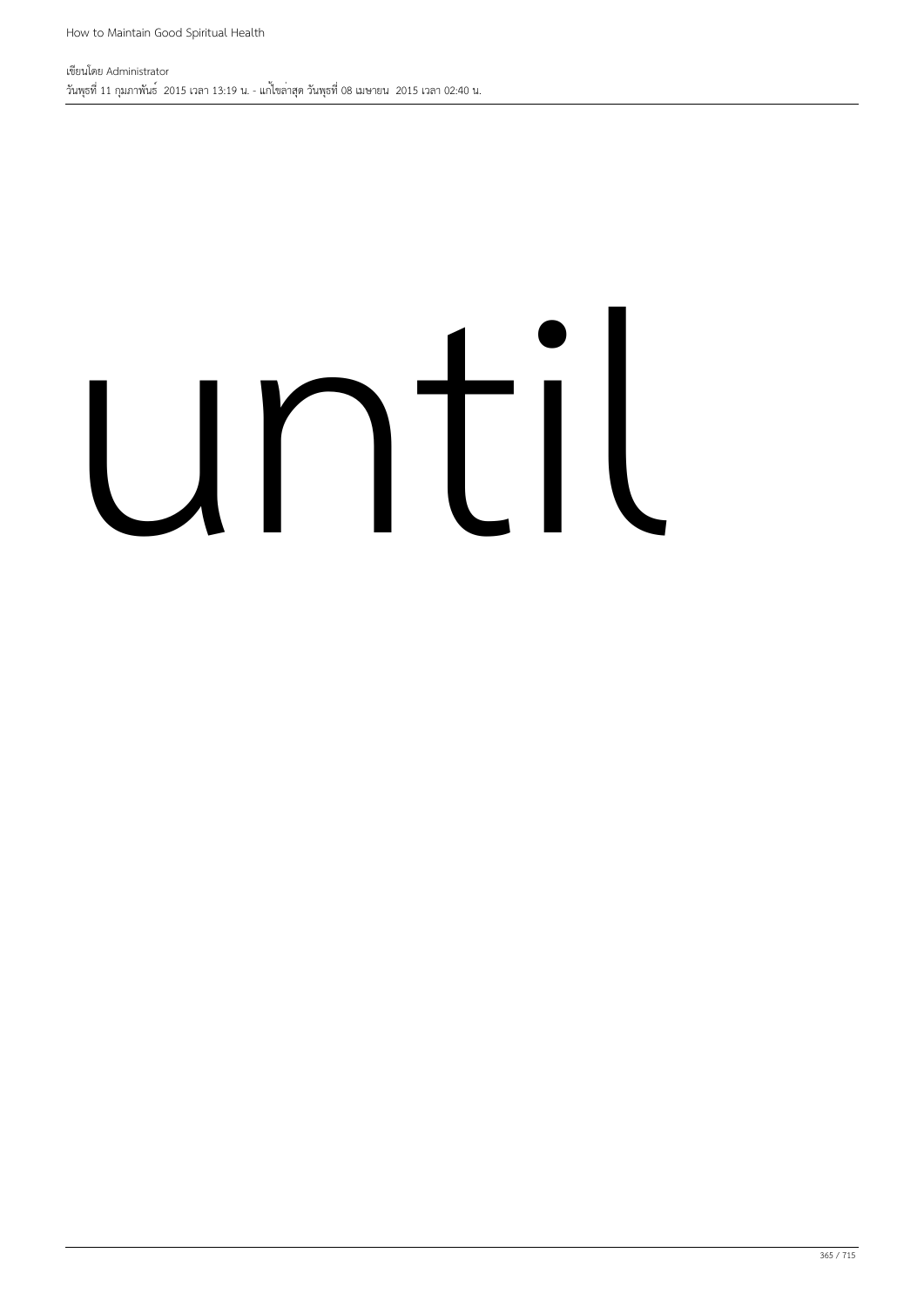# until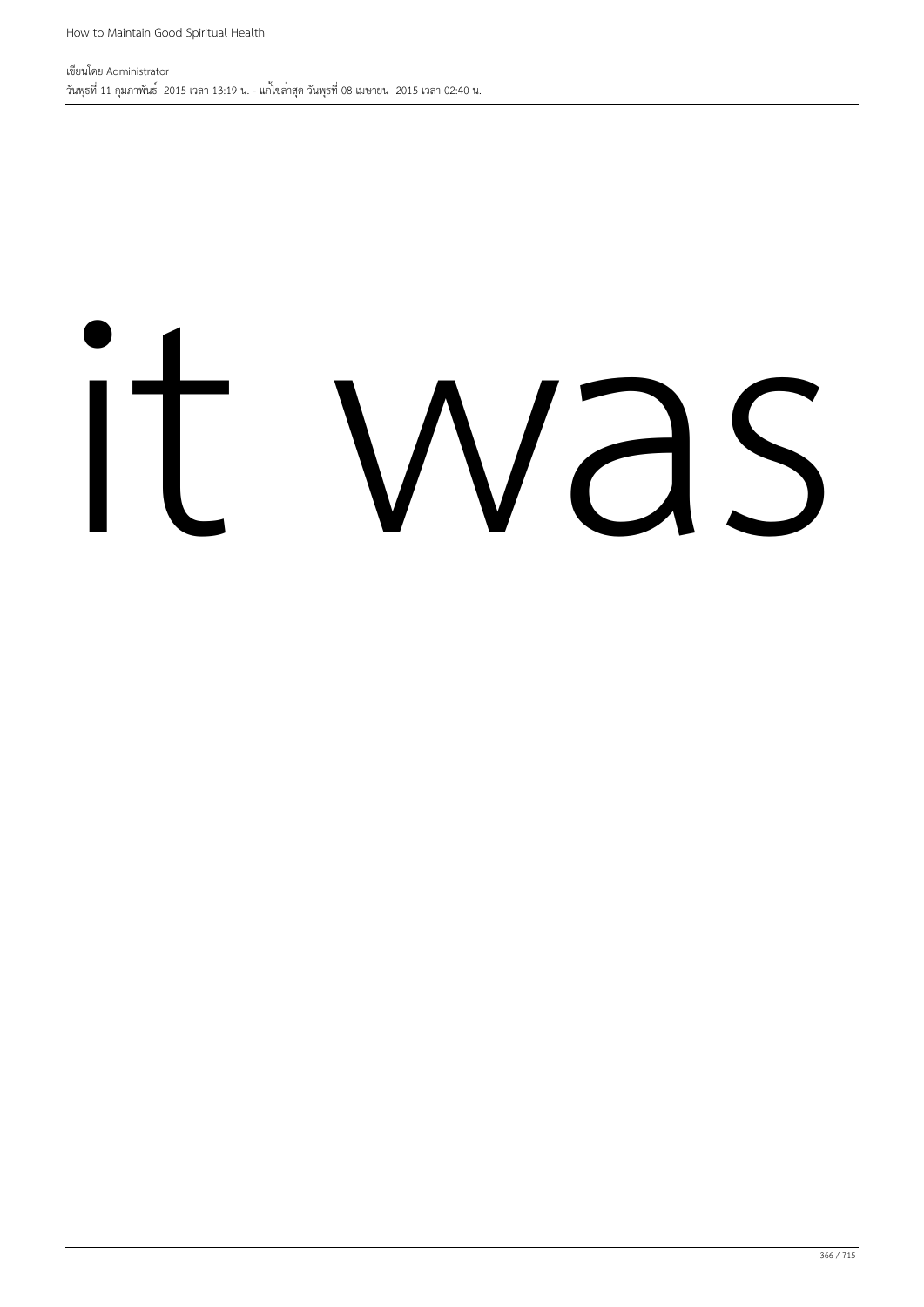### it was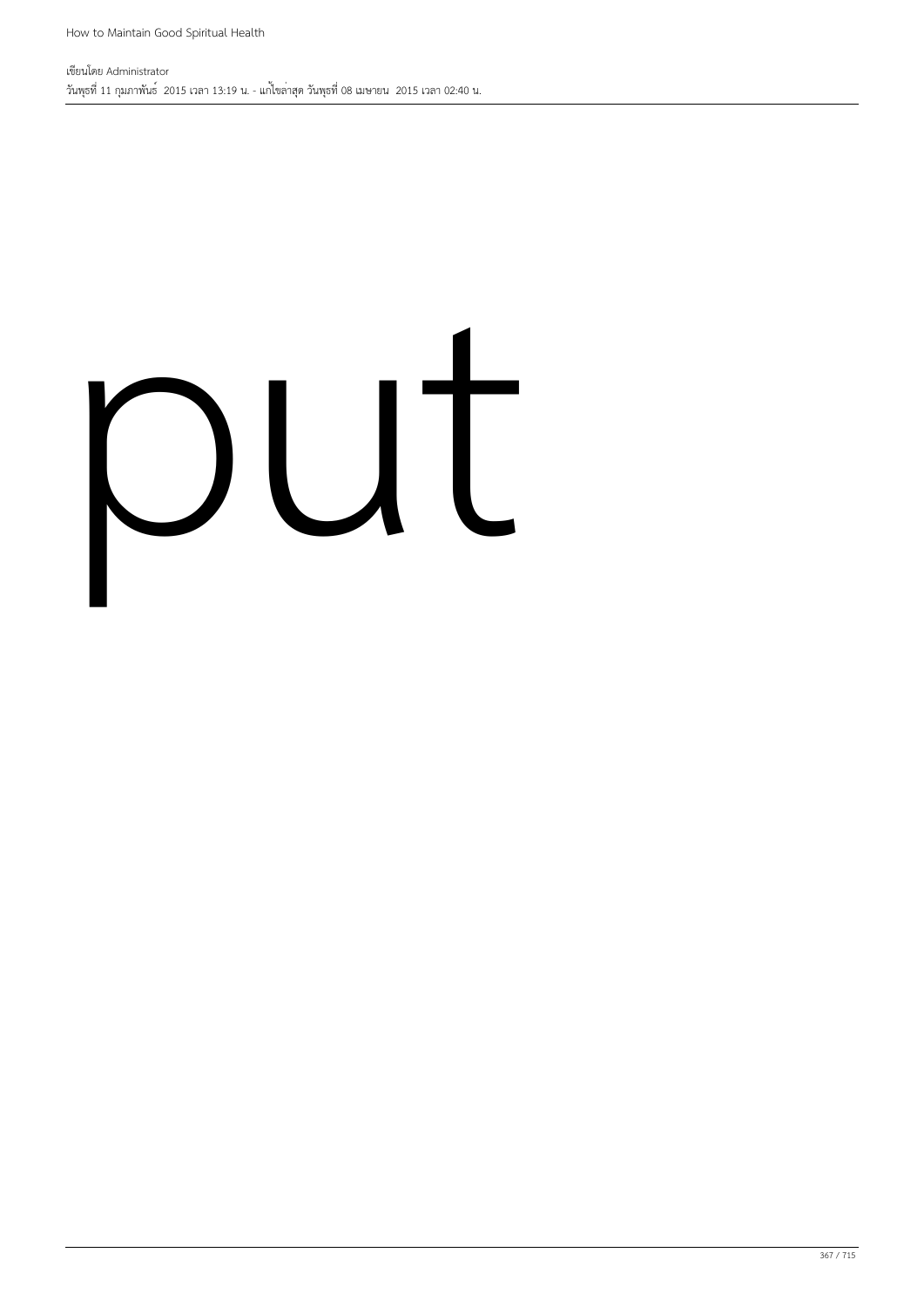# put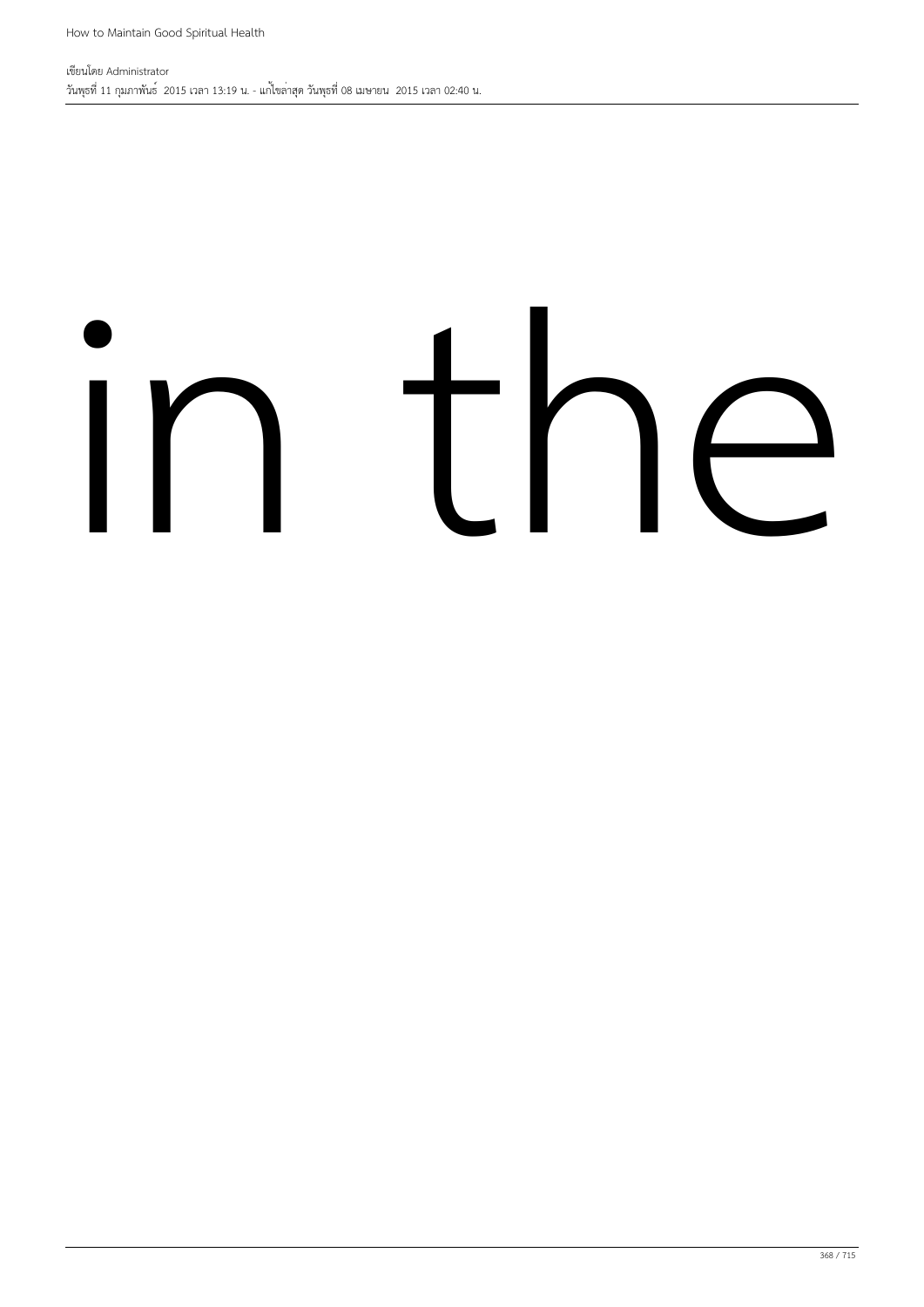### in the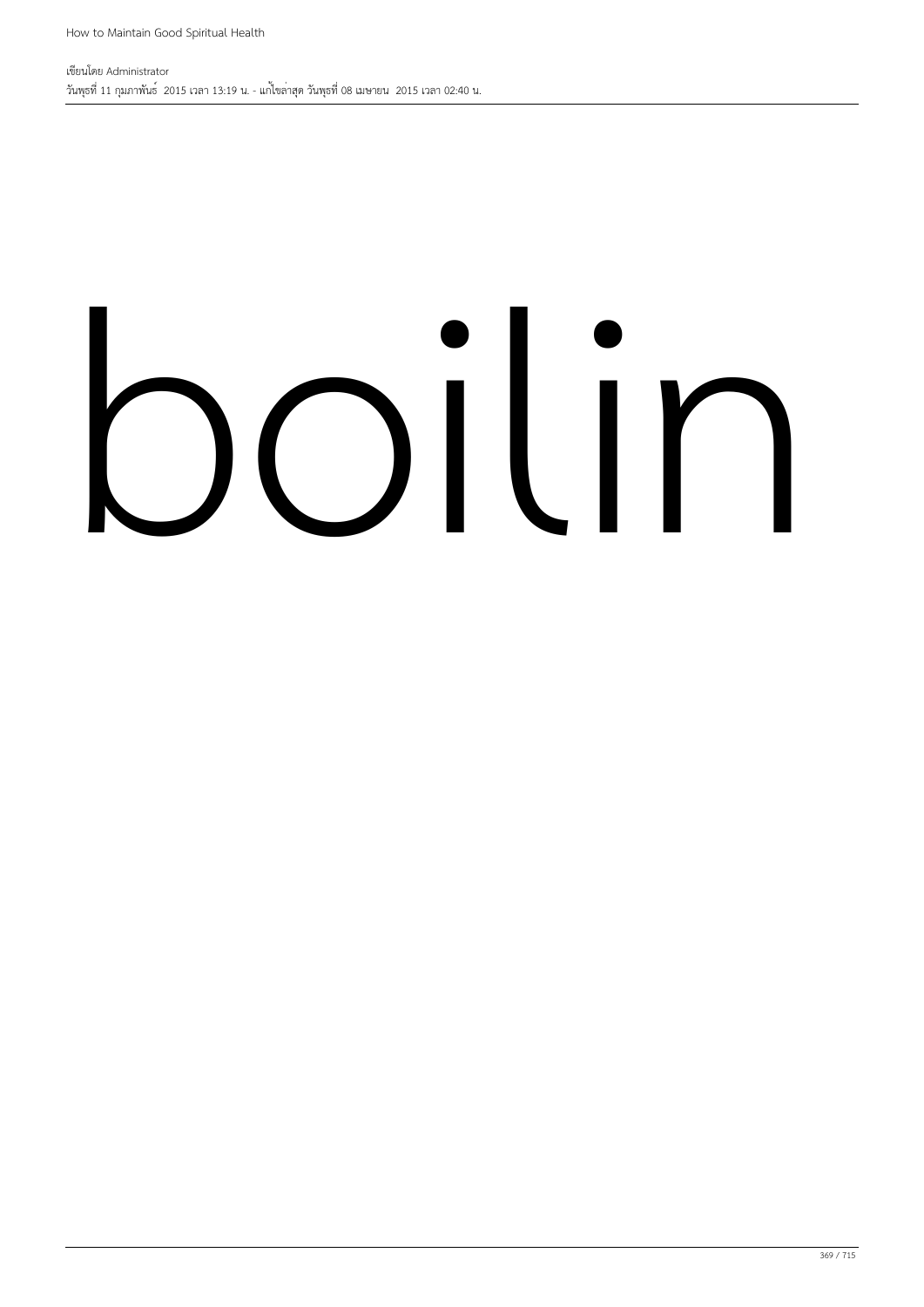# boilin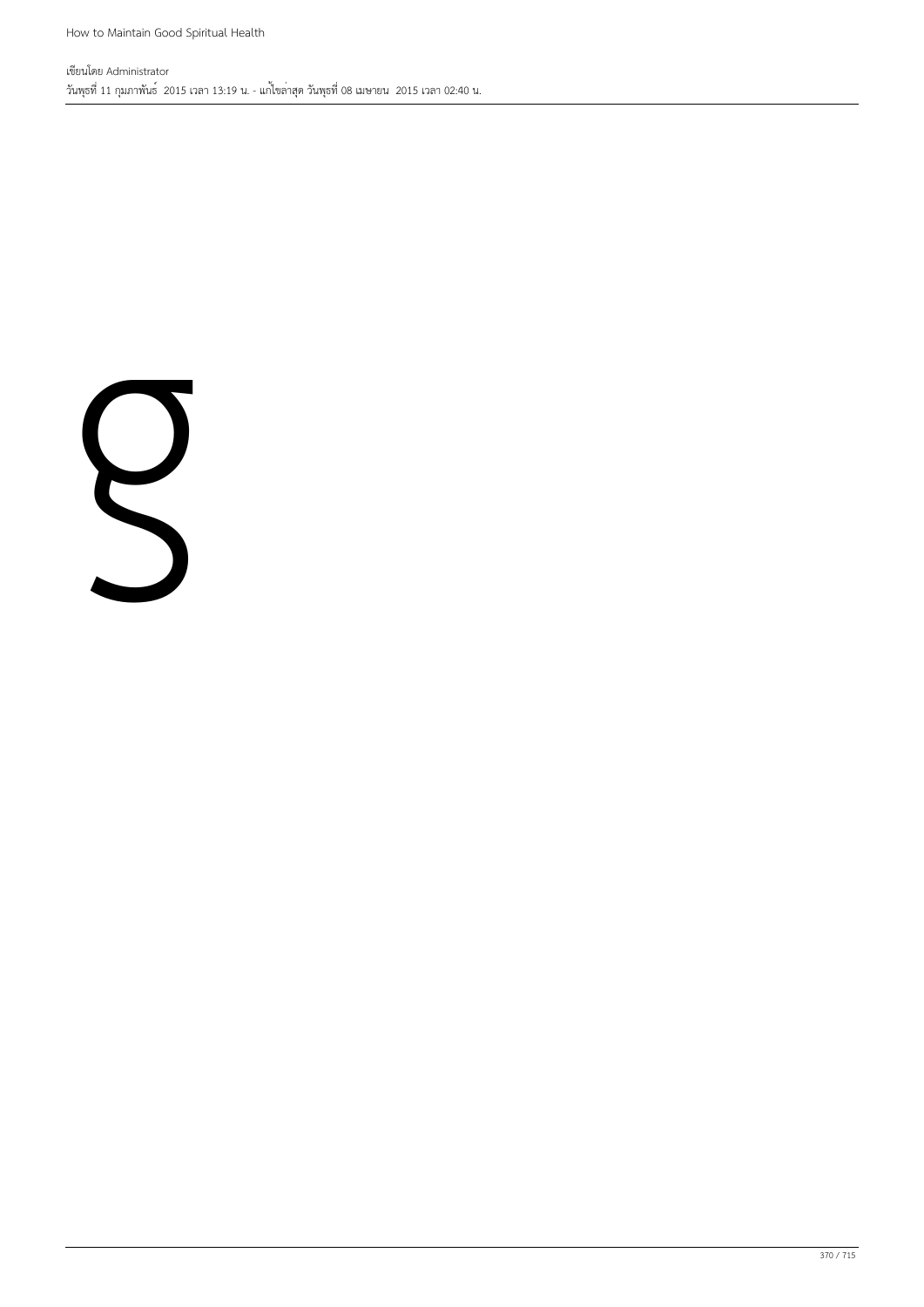### S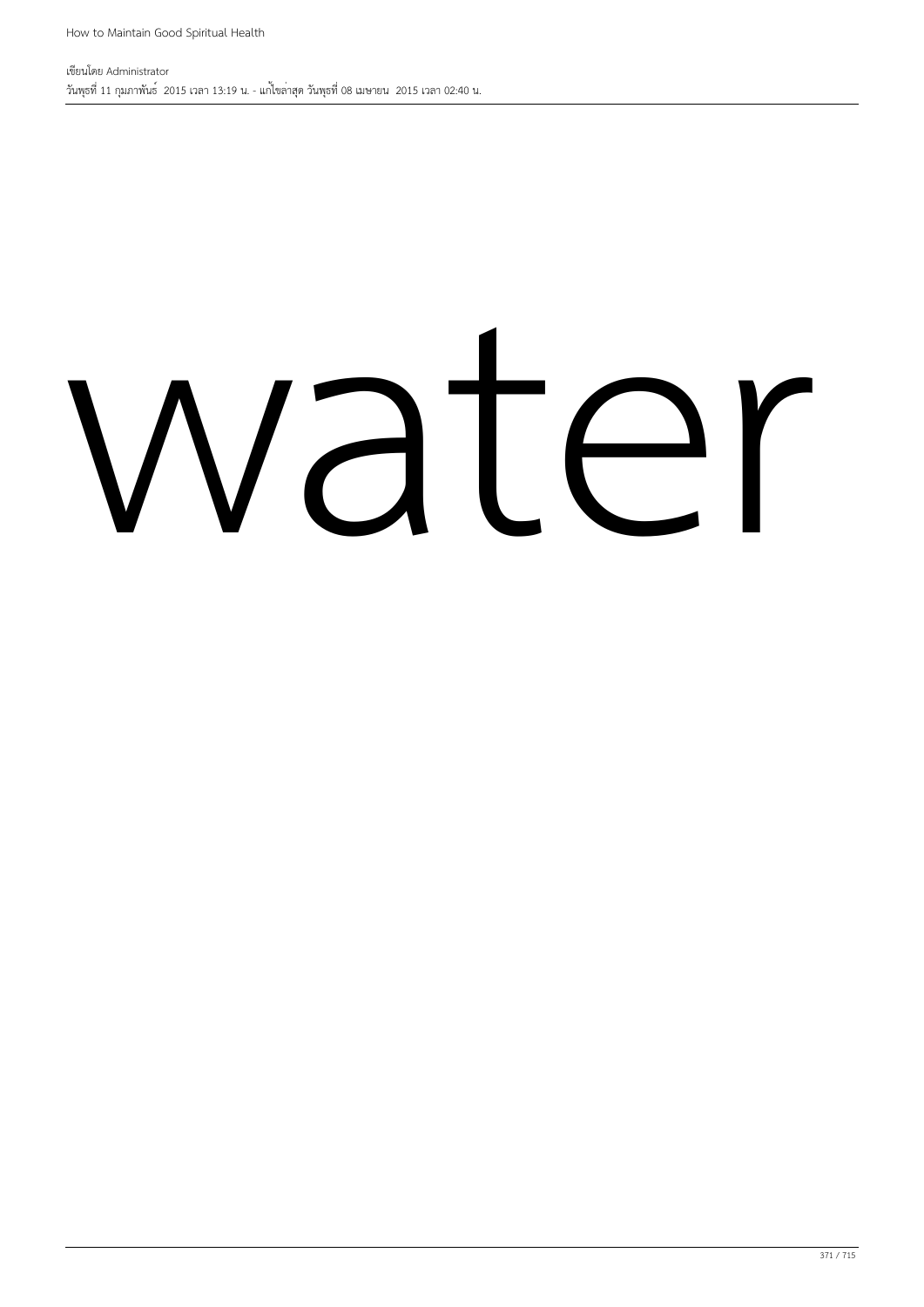### water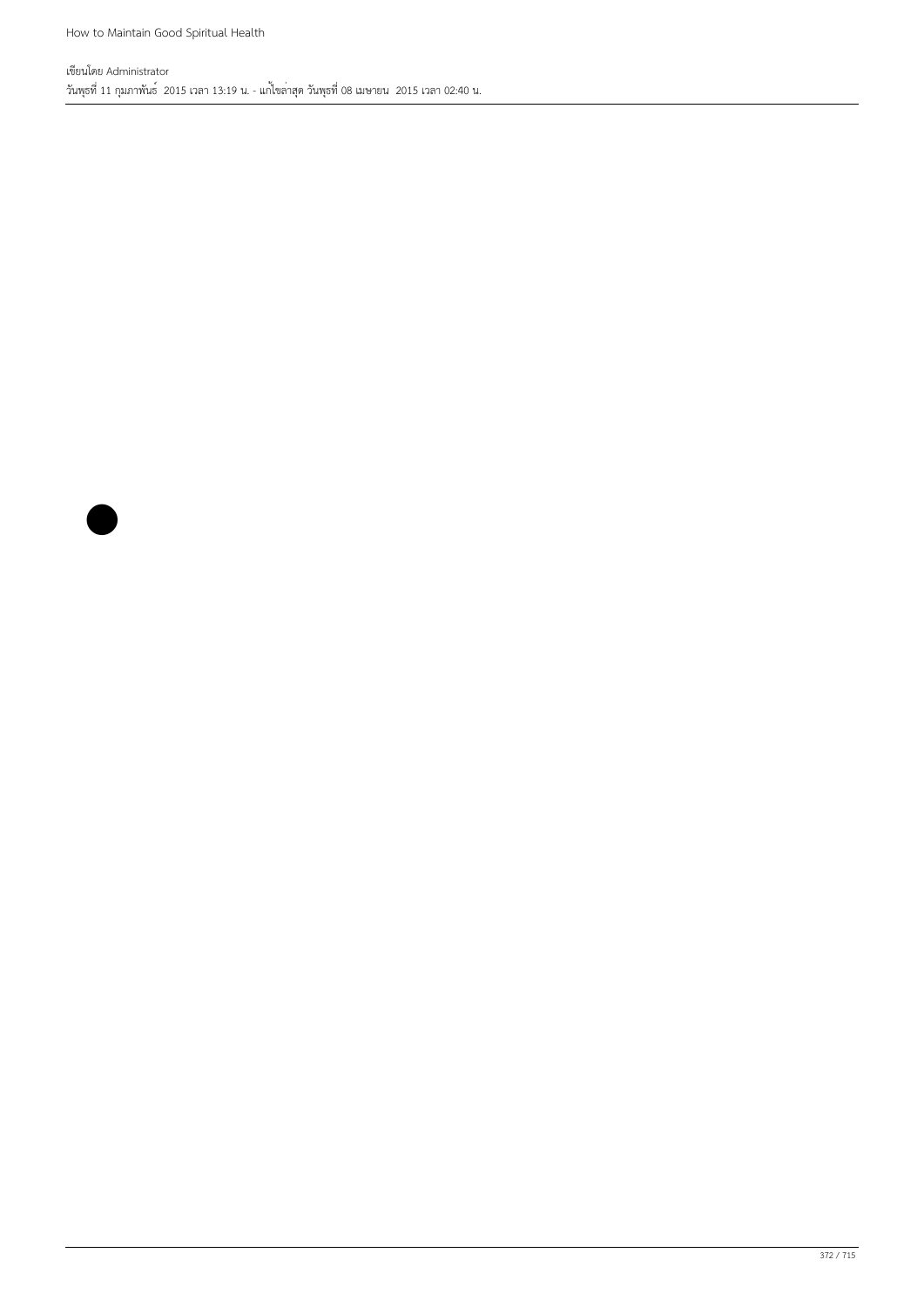.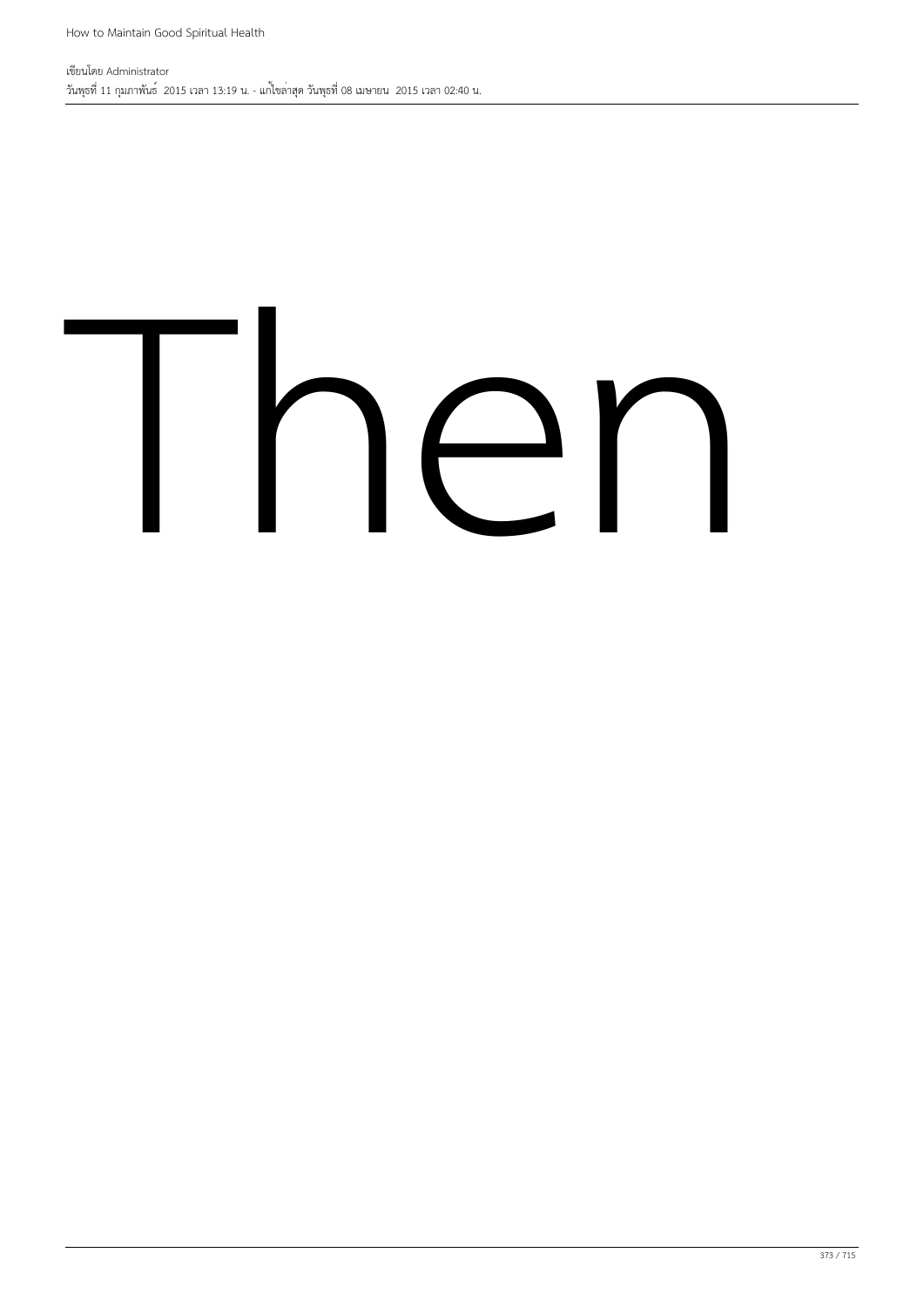# Then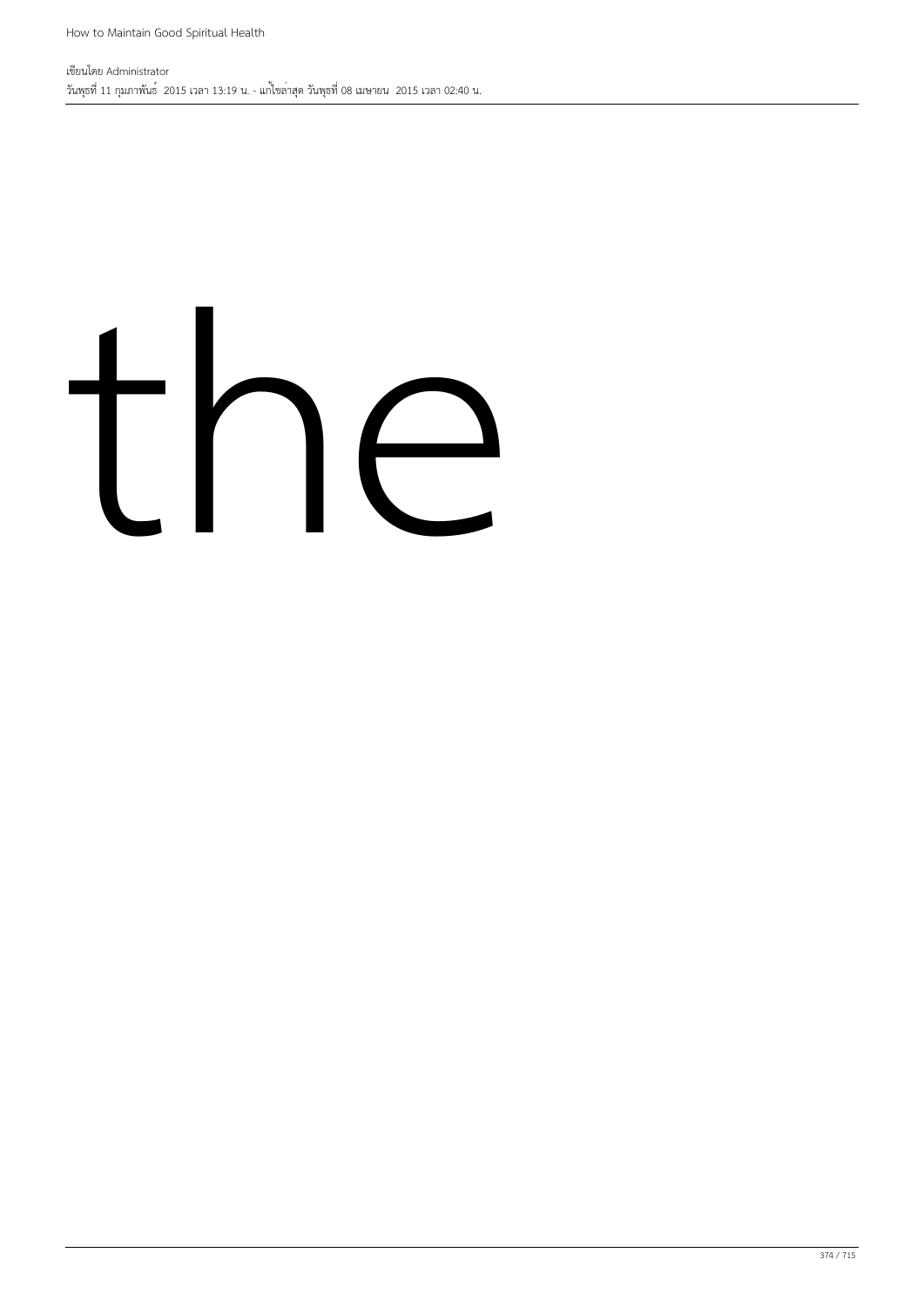### the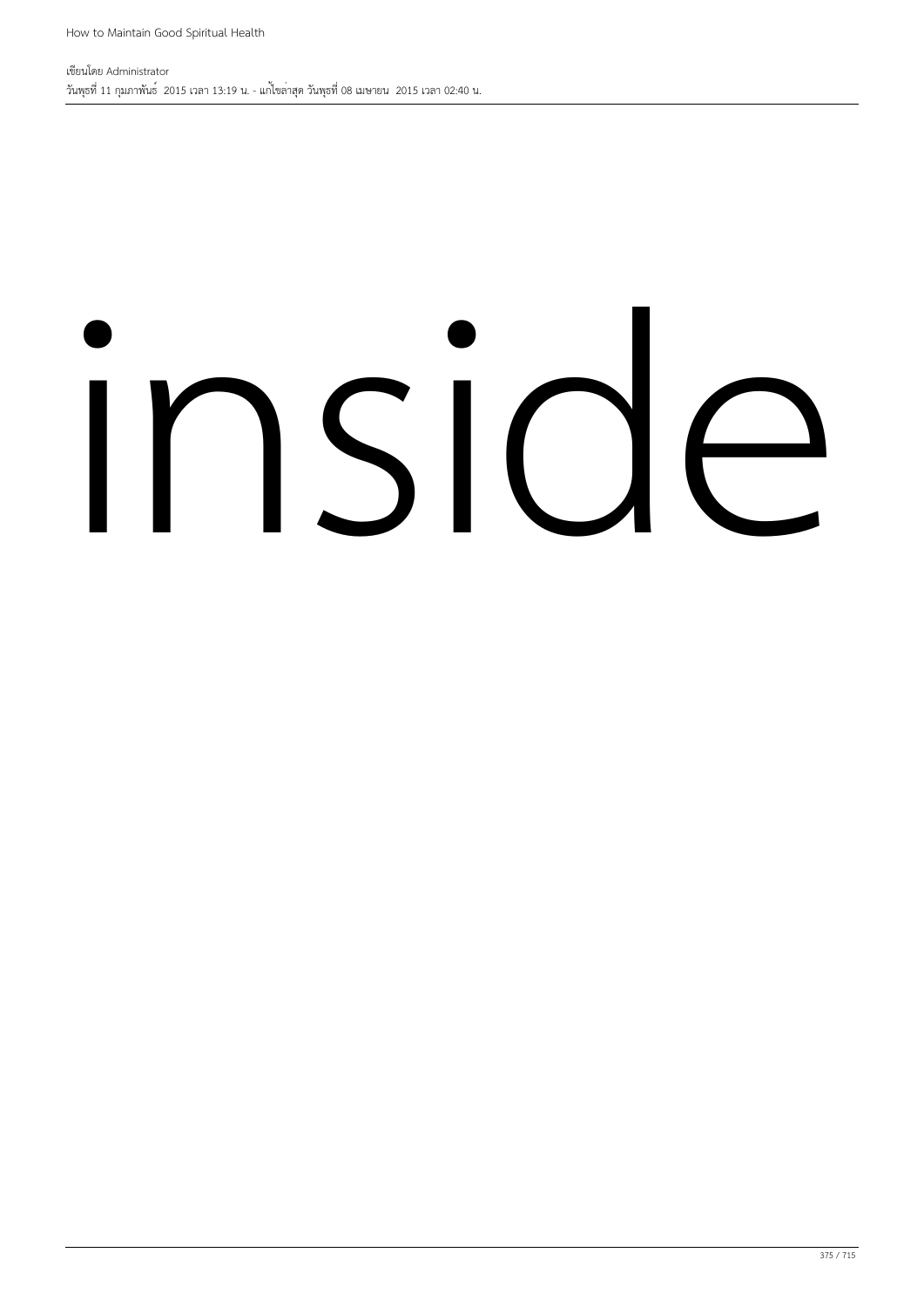# inside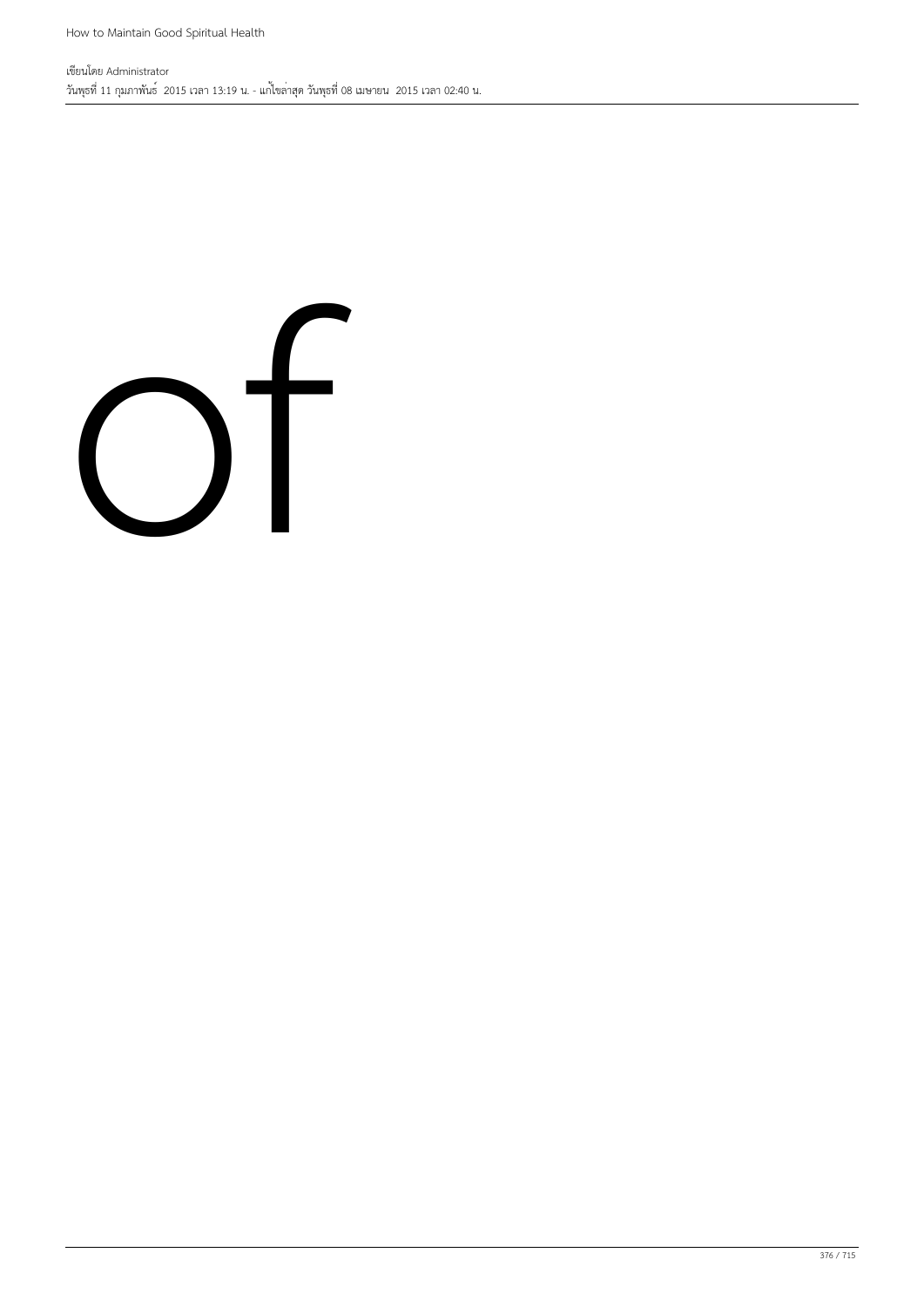# of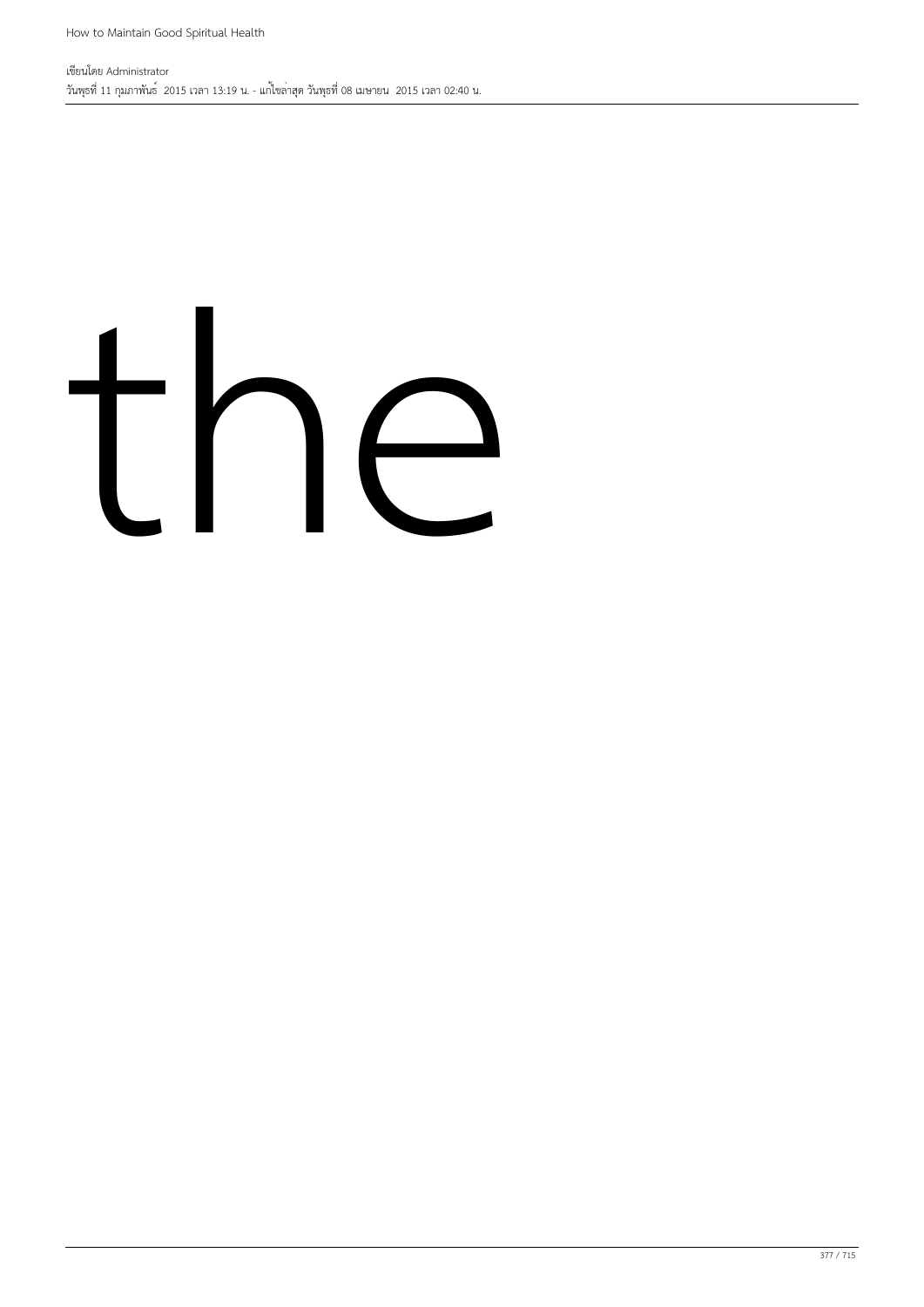### the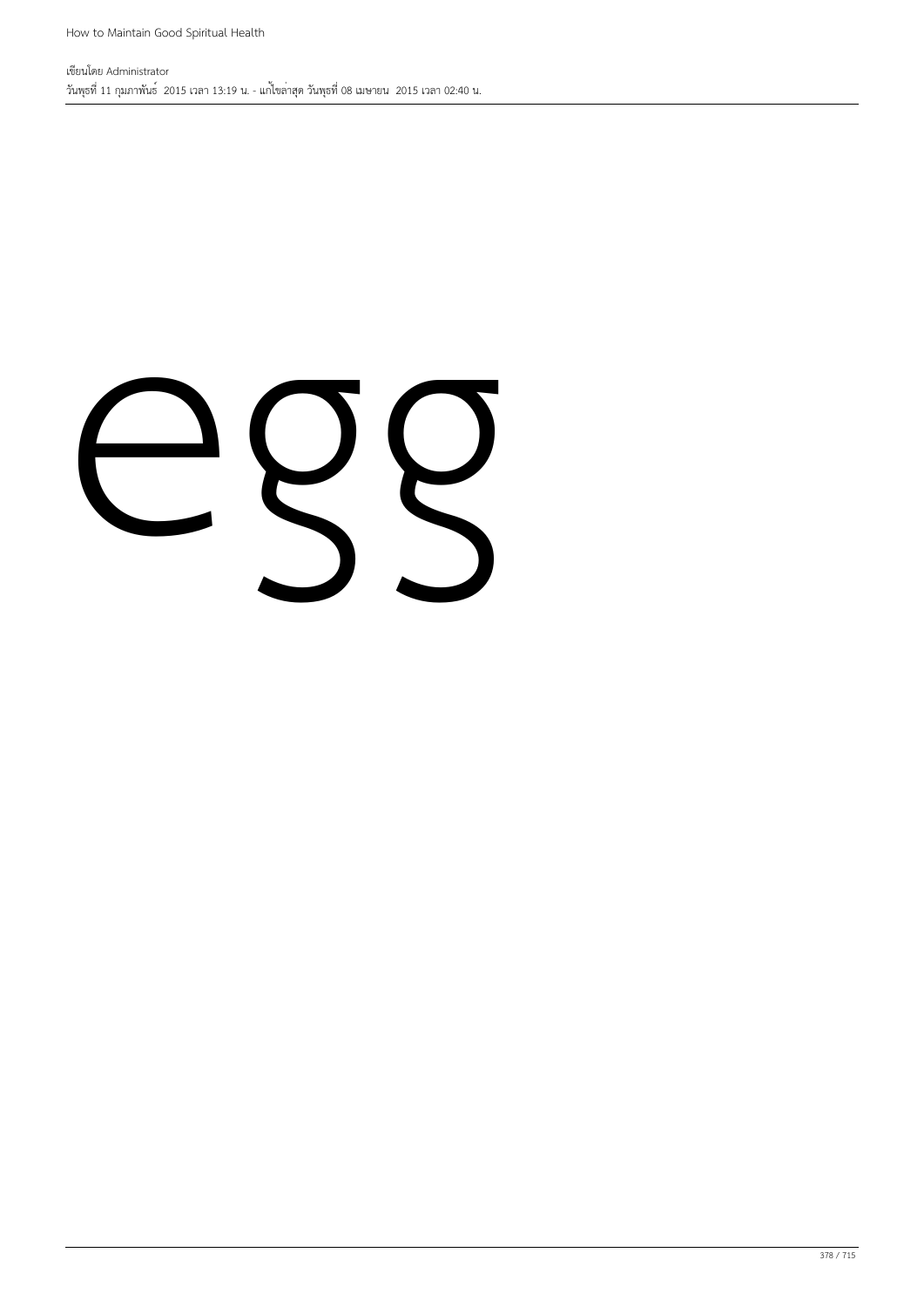### egg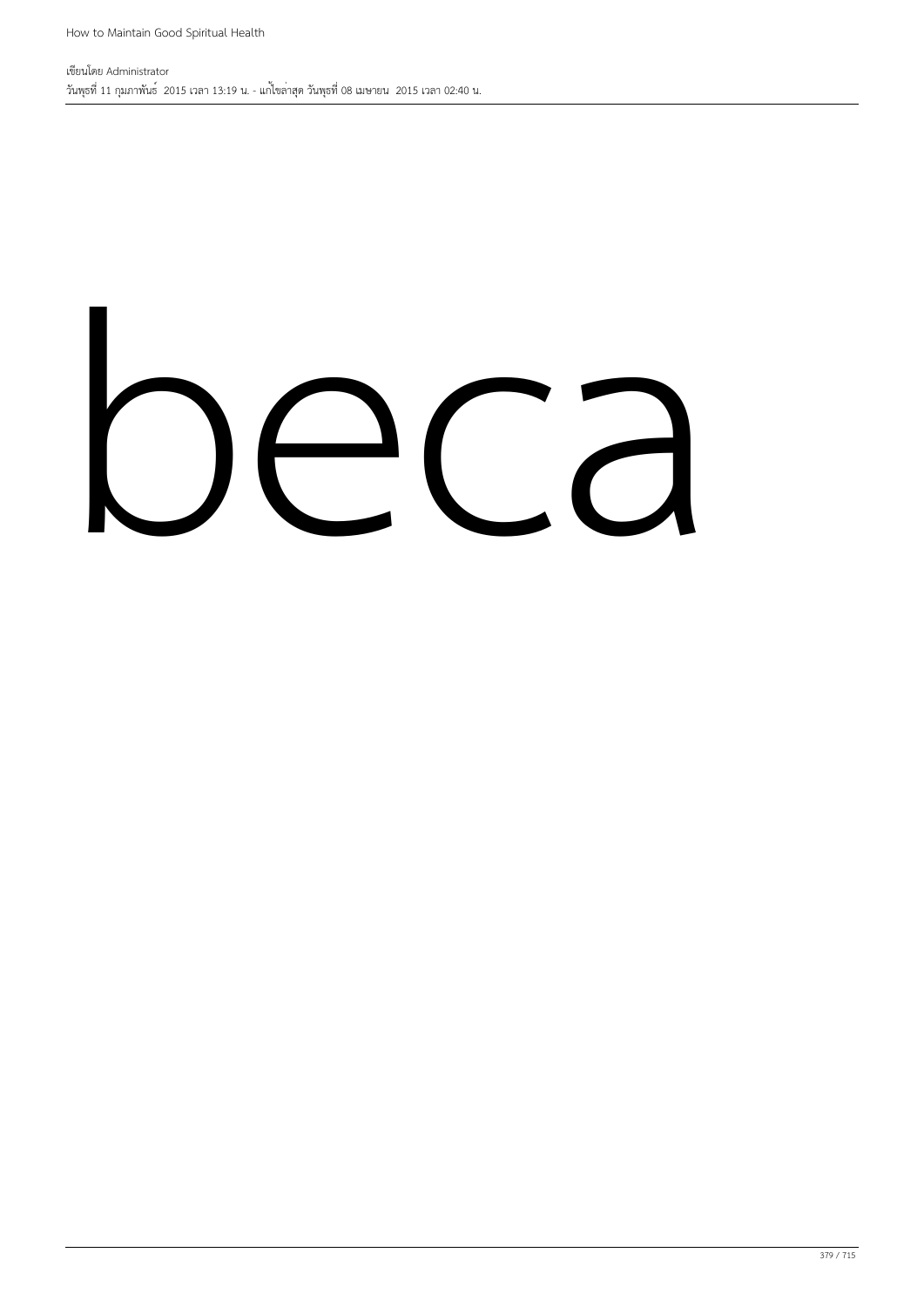### beca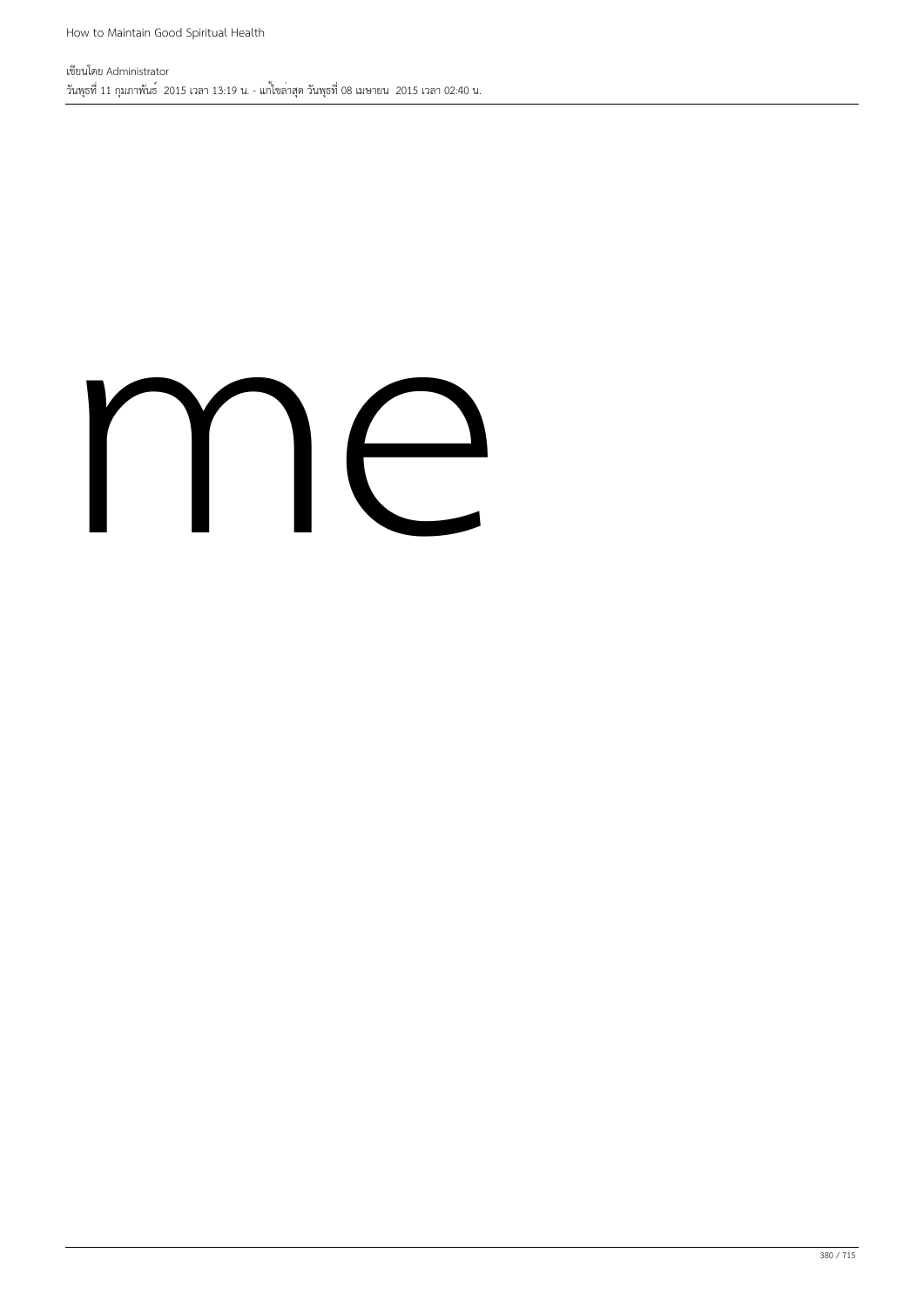#### me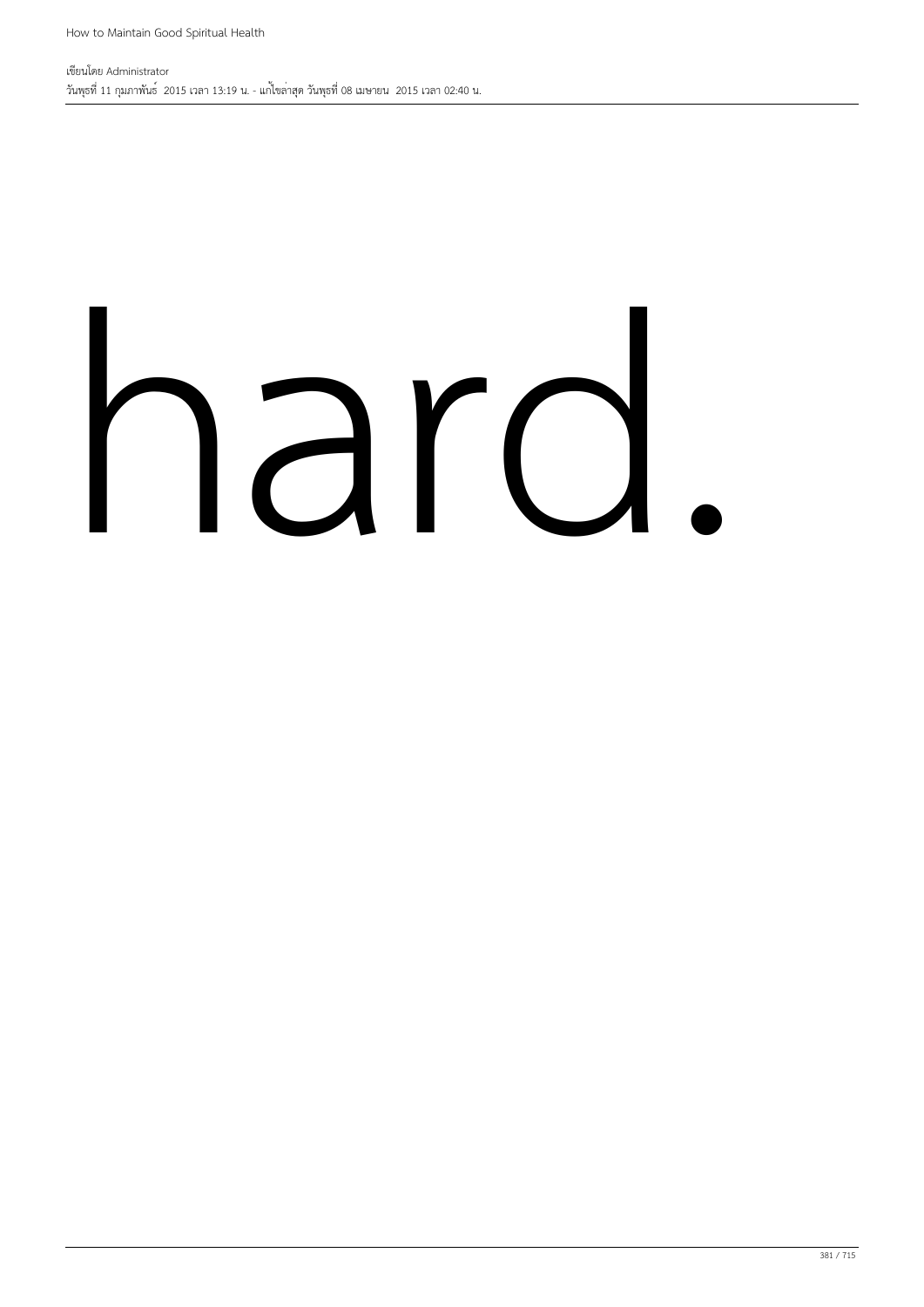# hard.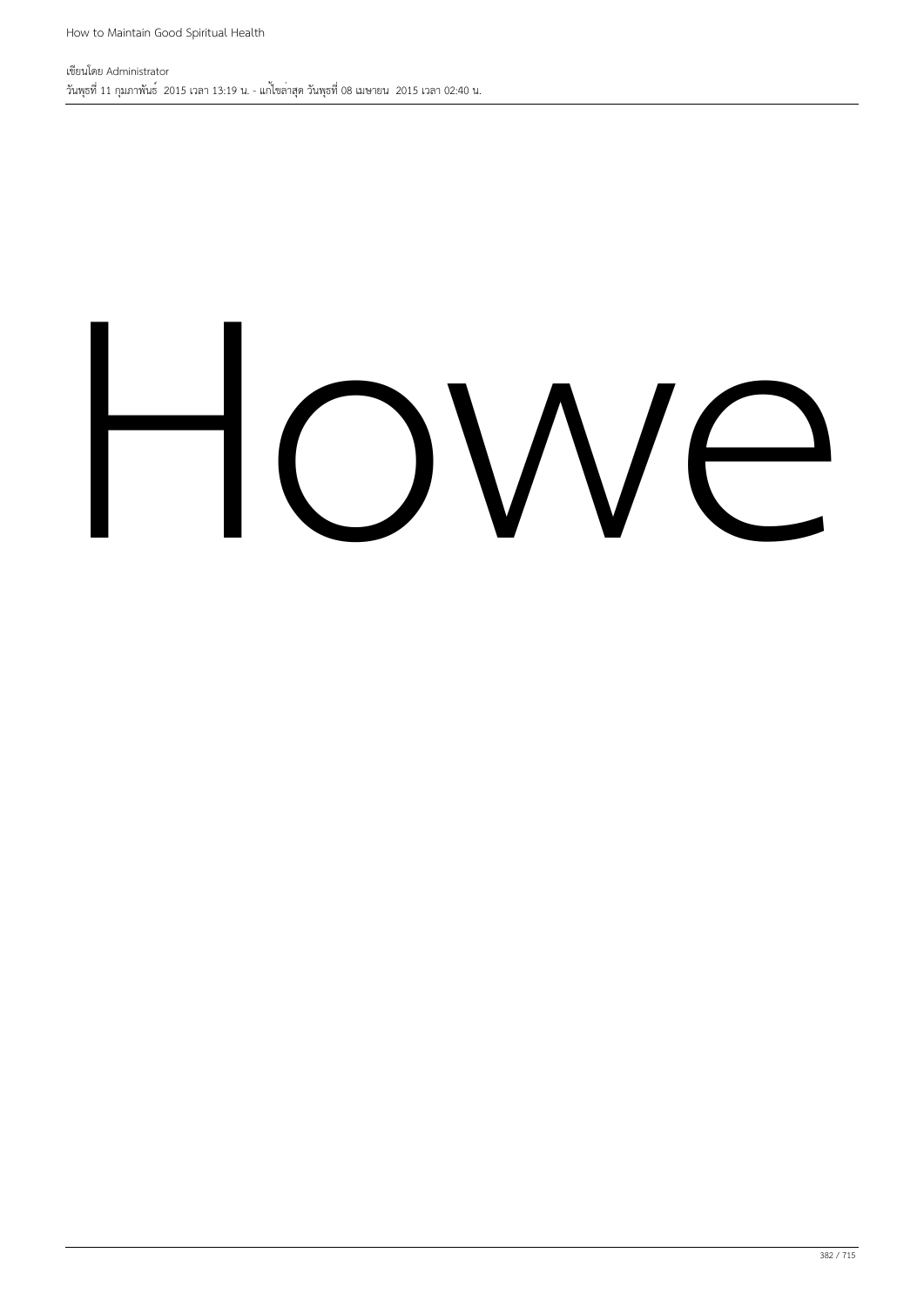### Howe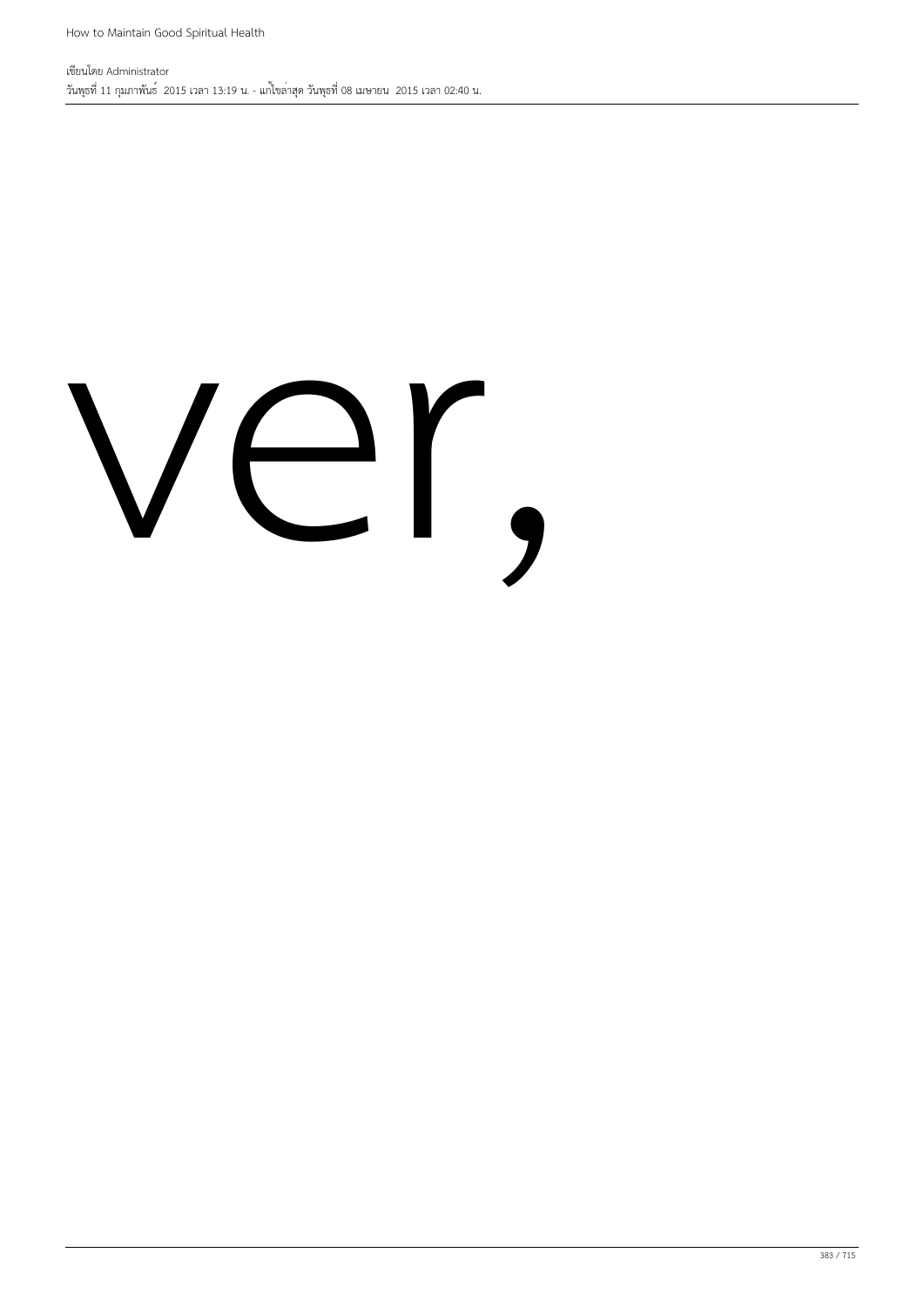### ver,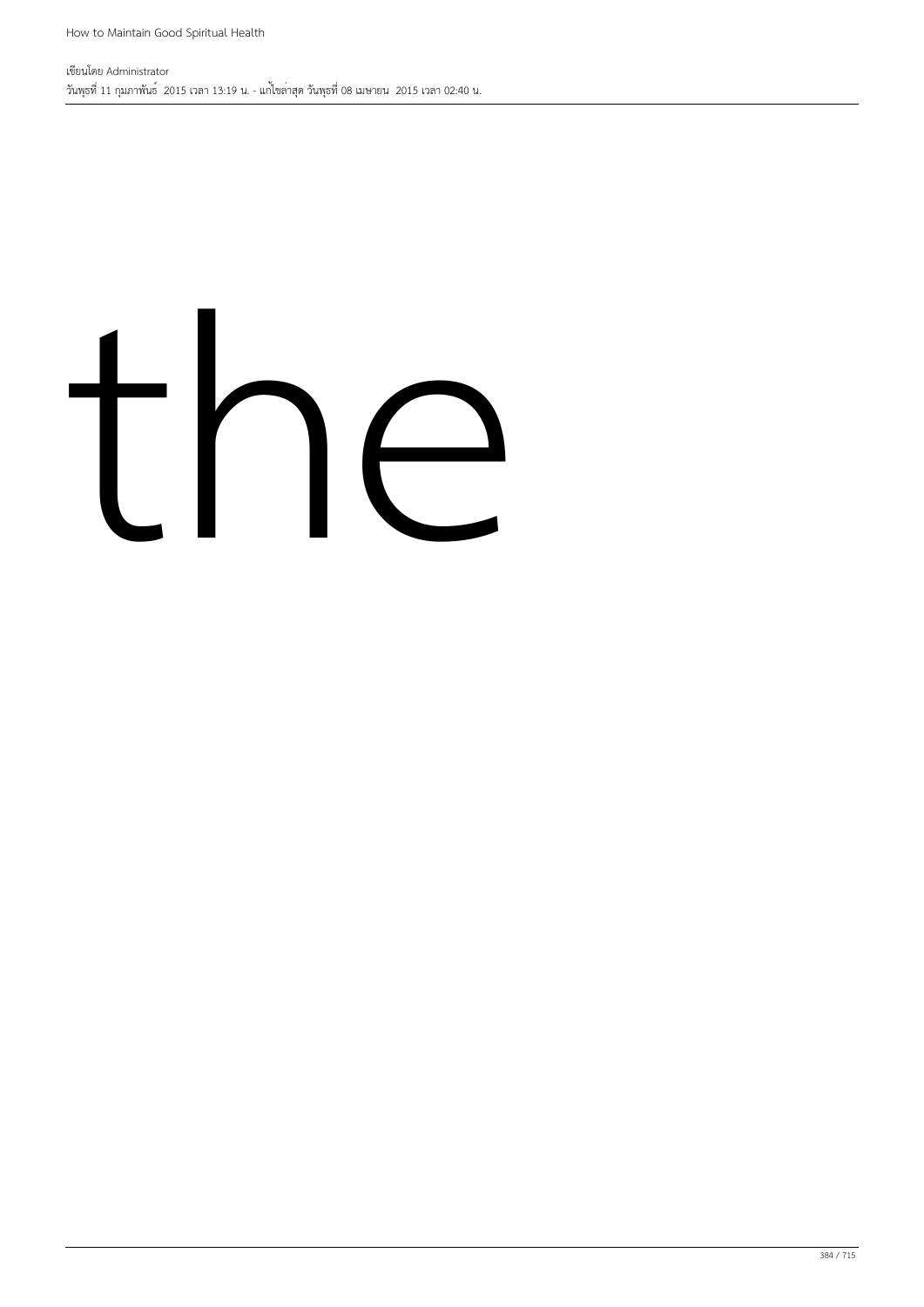## the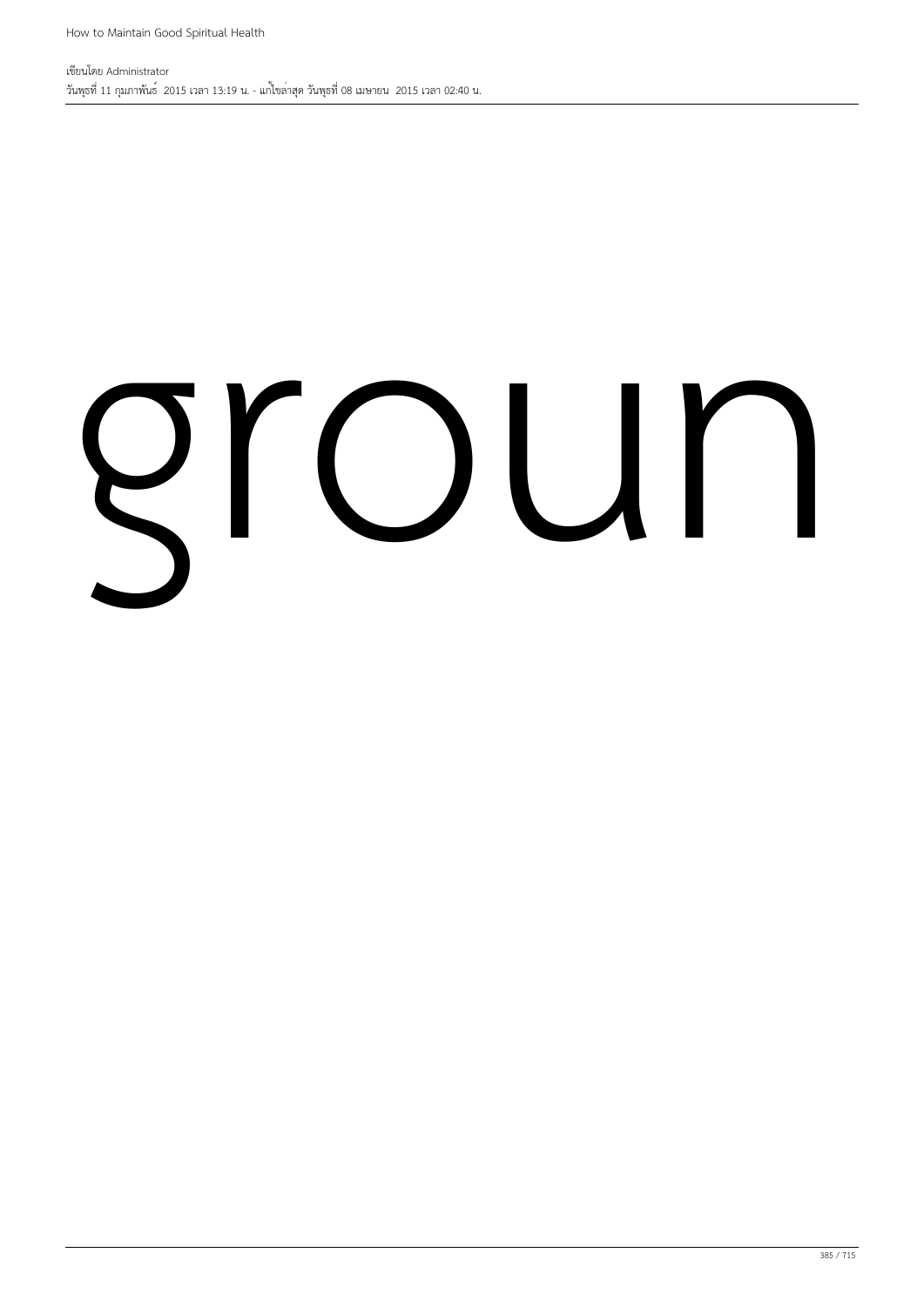# groun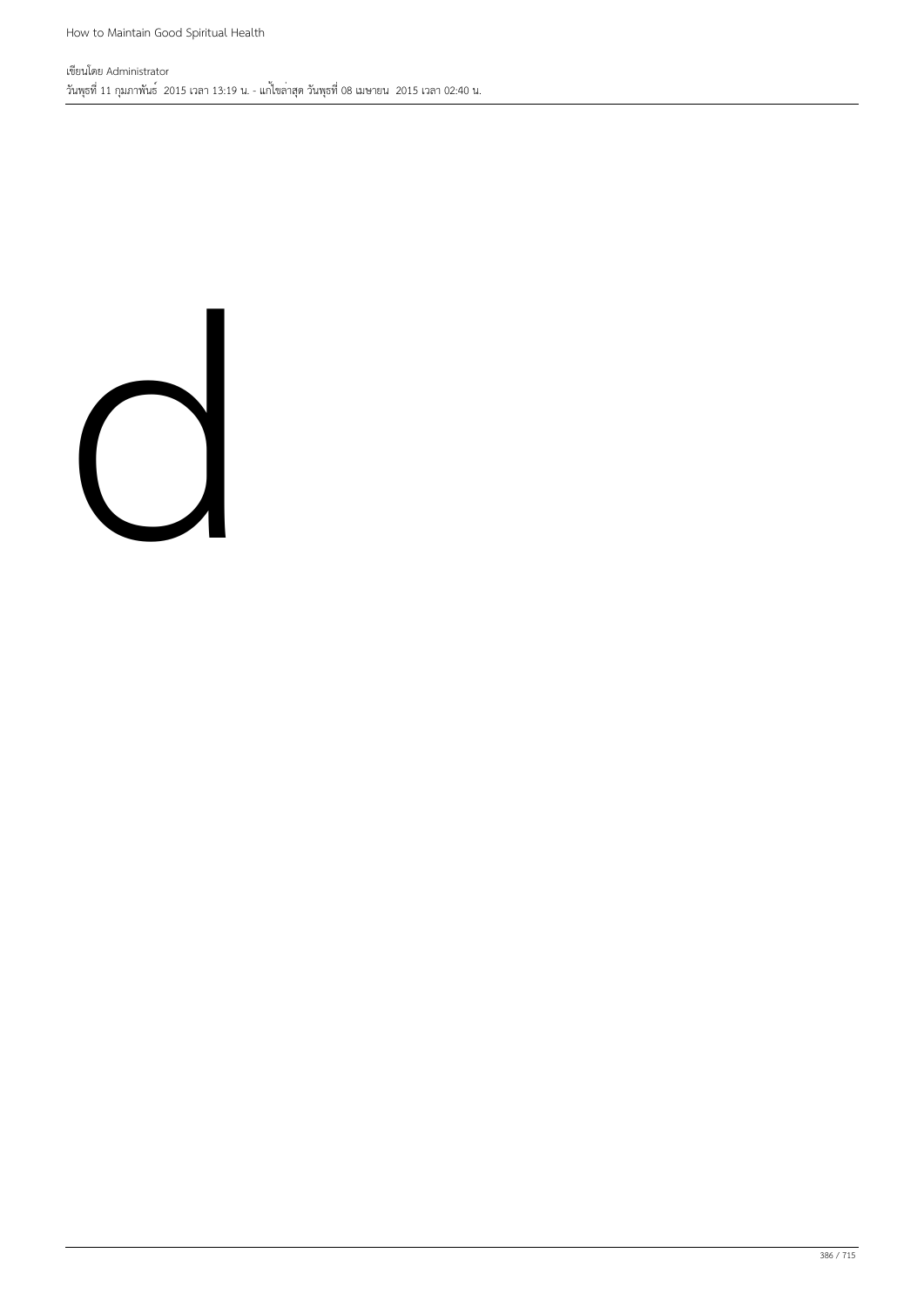### $\bigcap$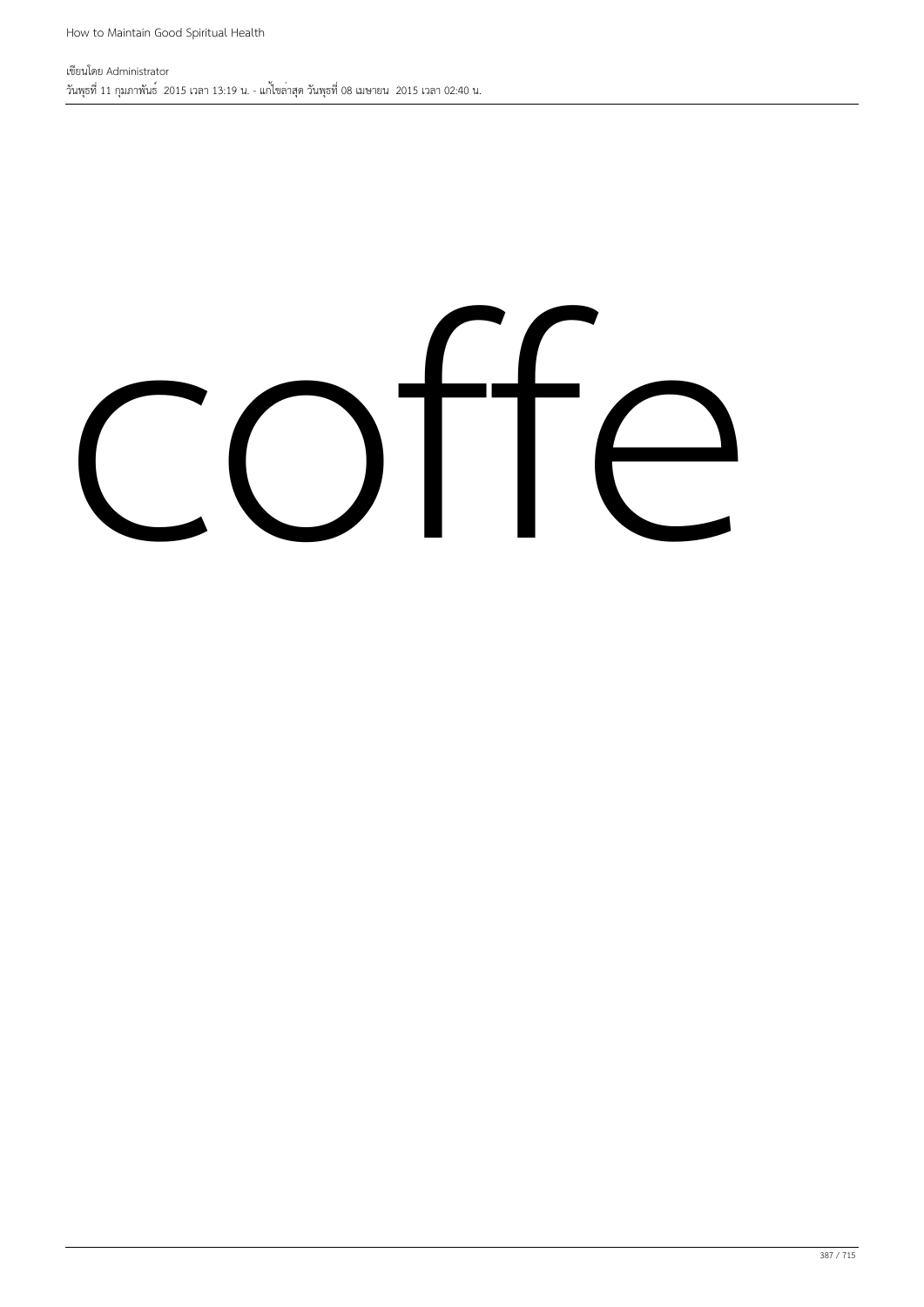# coffe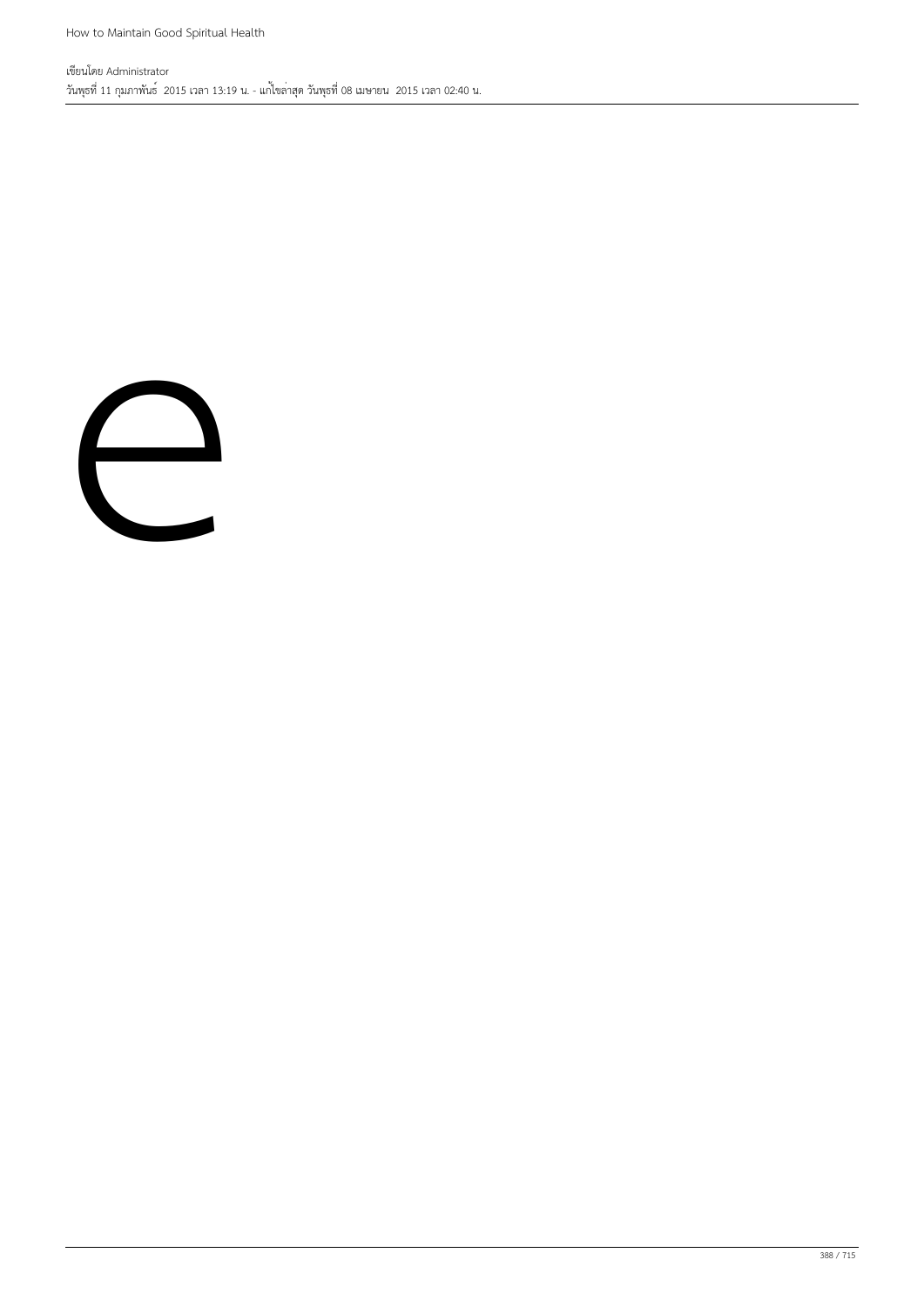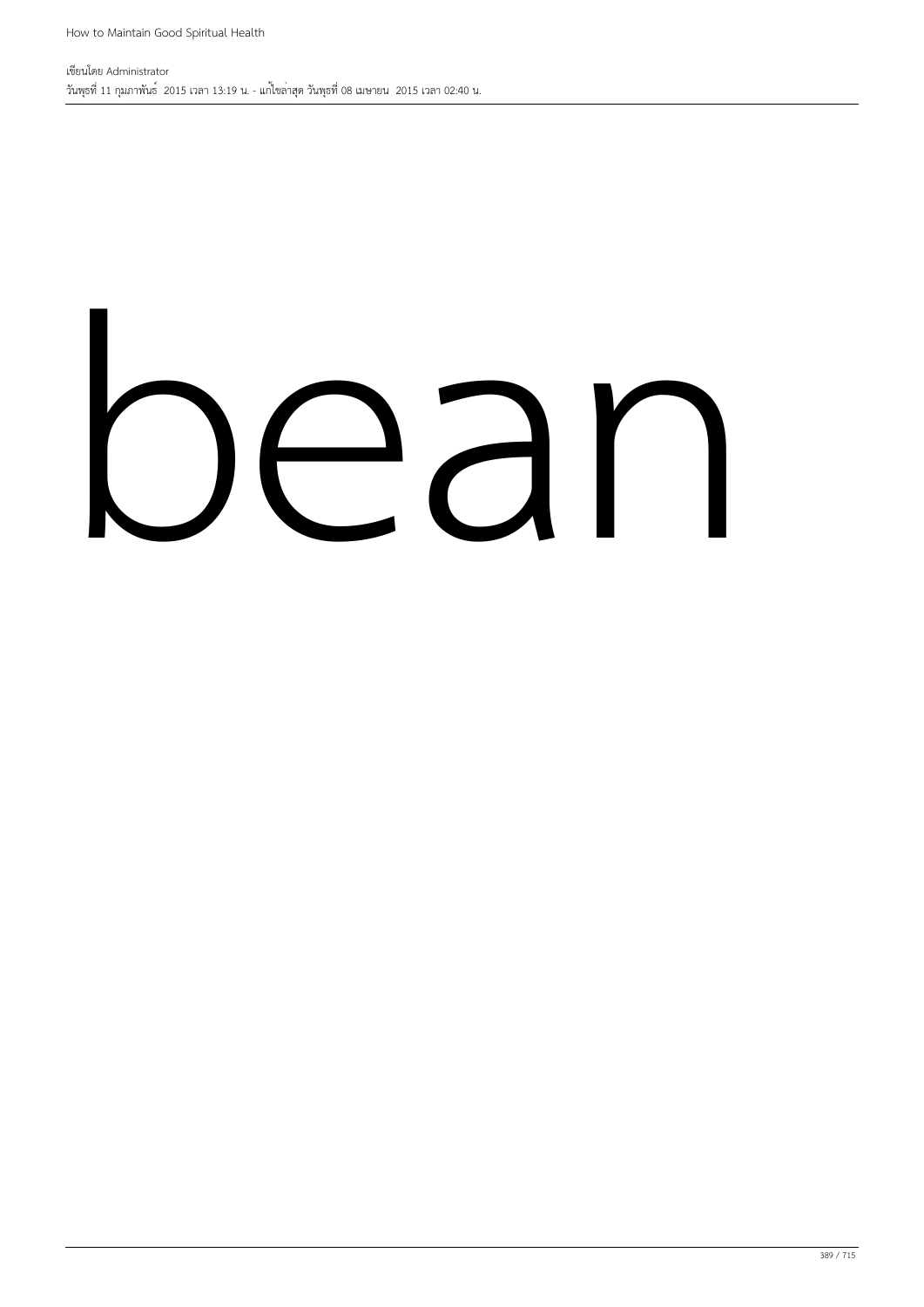### bean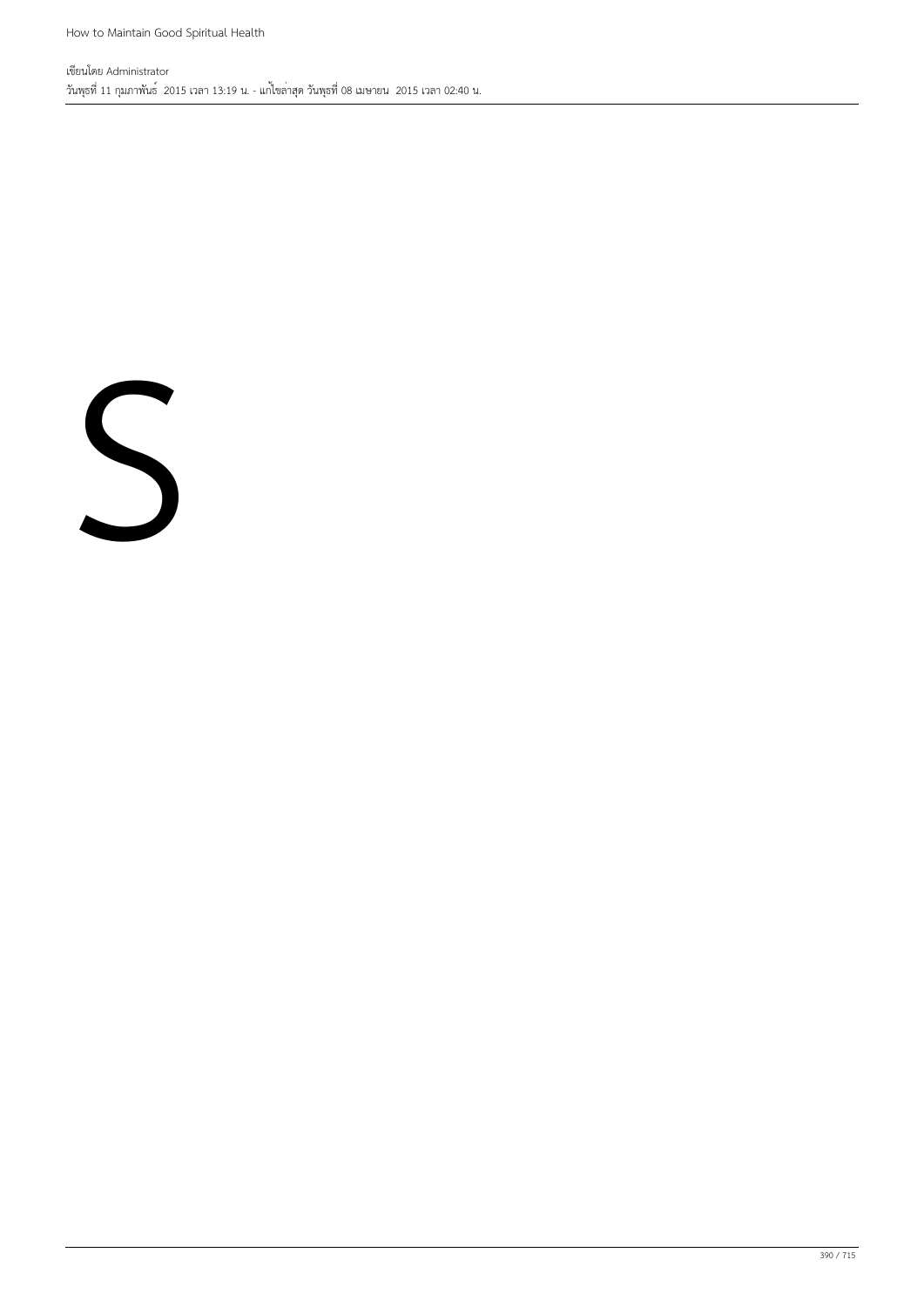#### S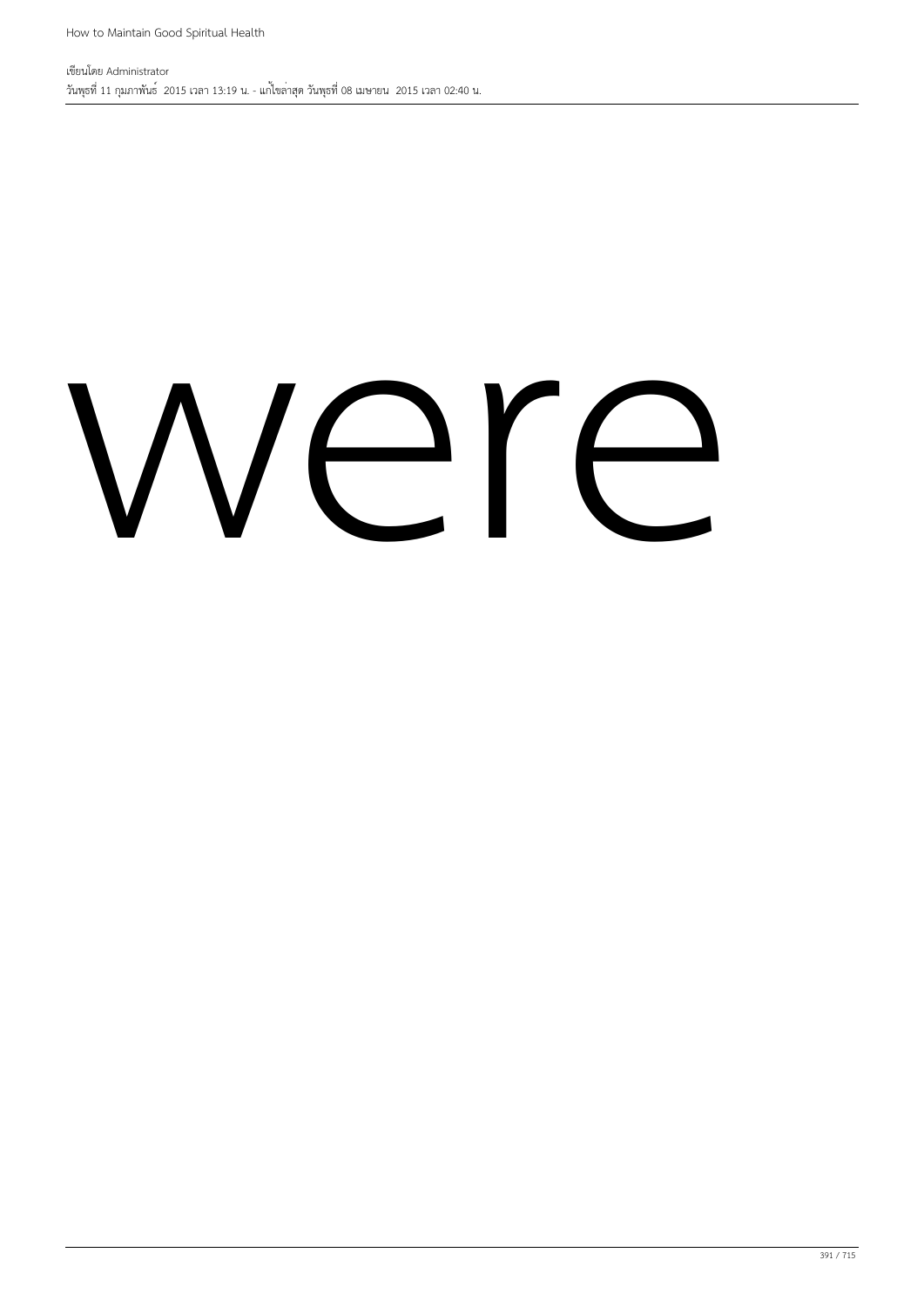#### were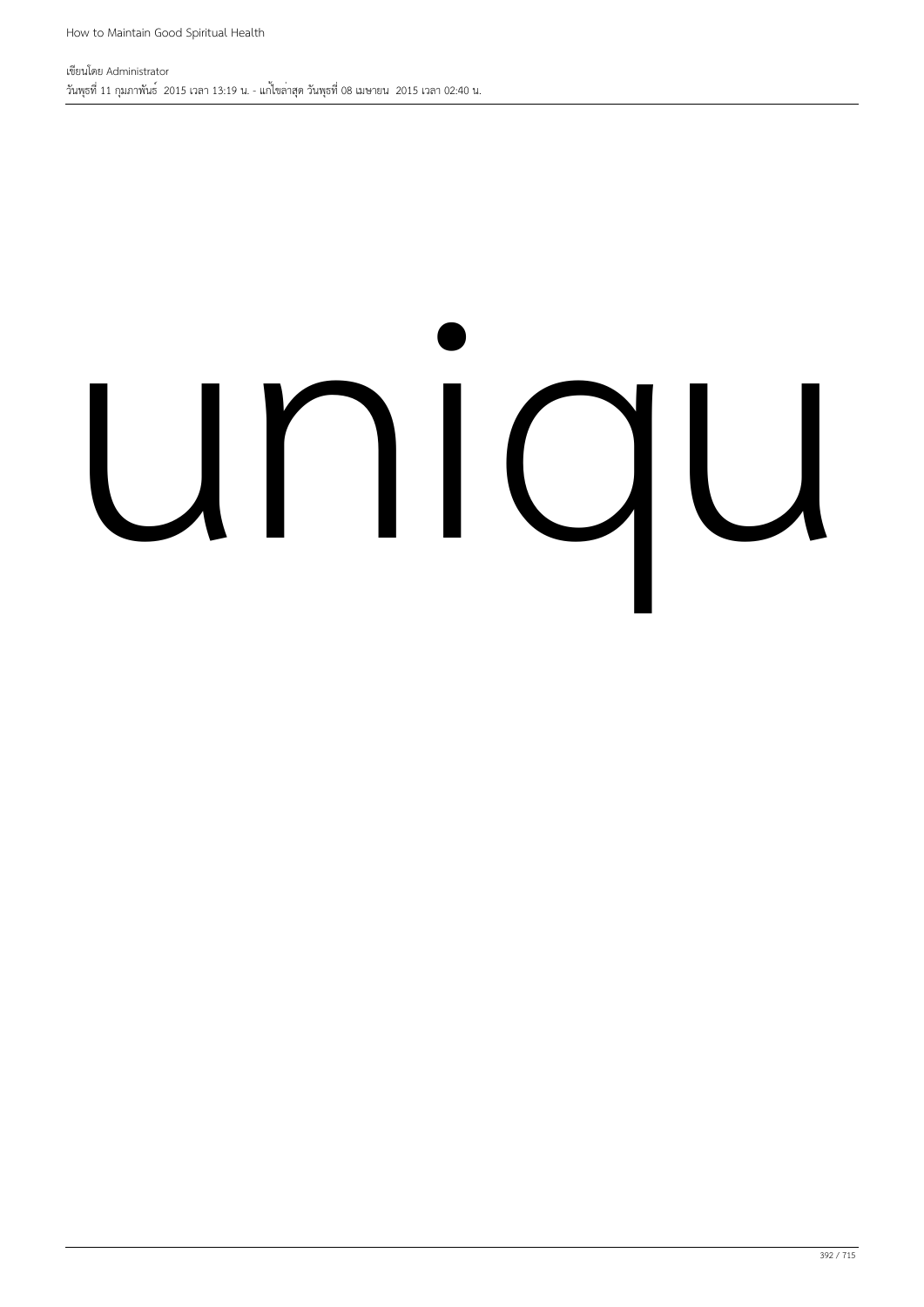# uniqu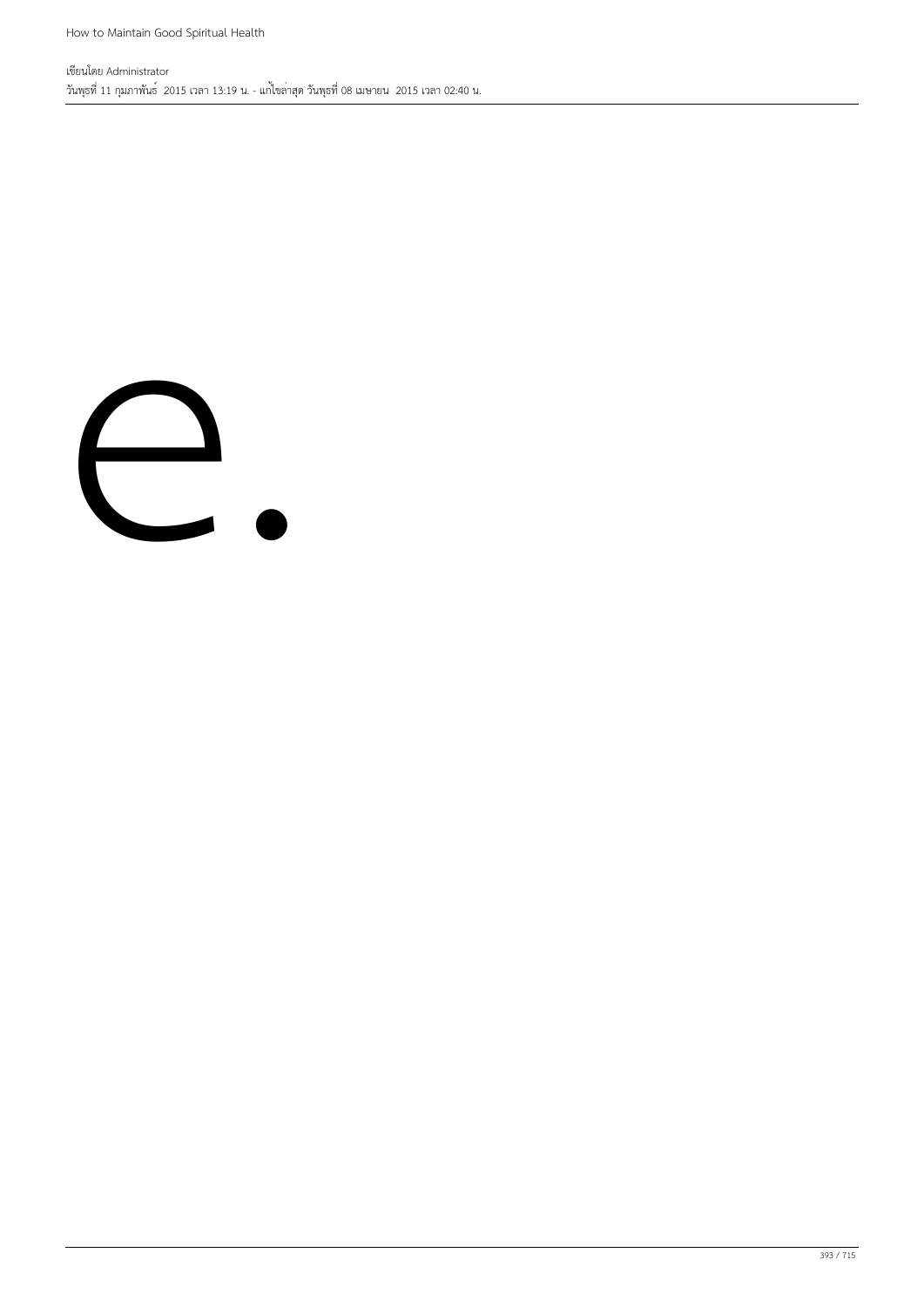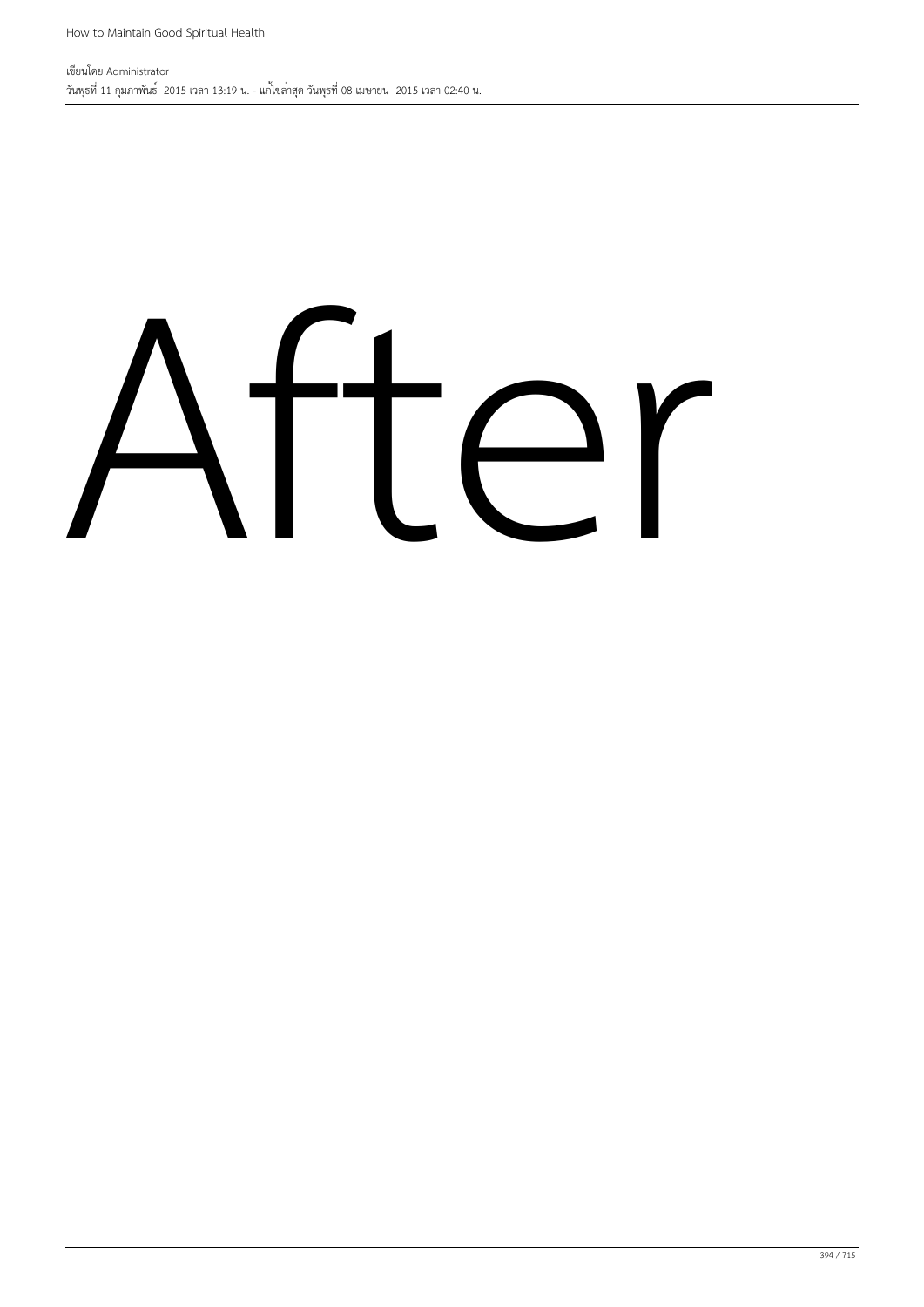# After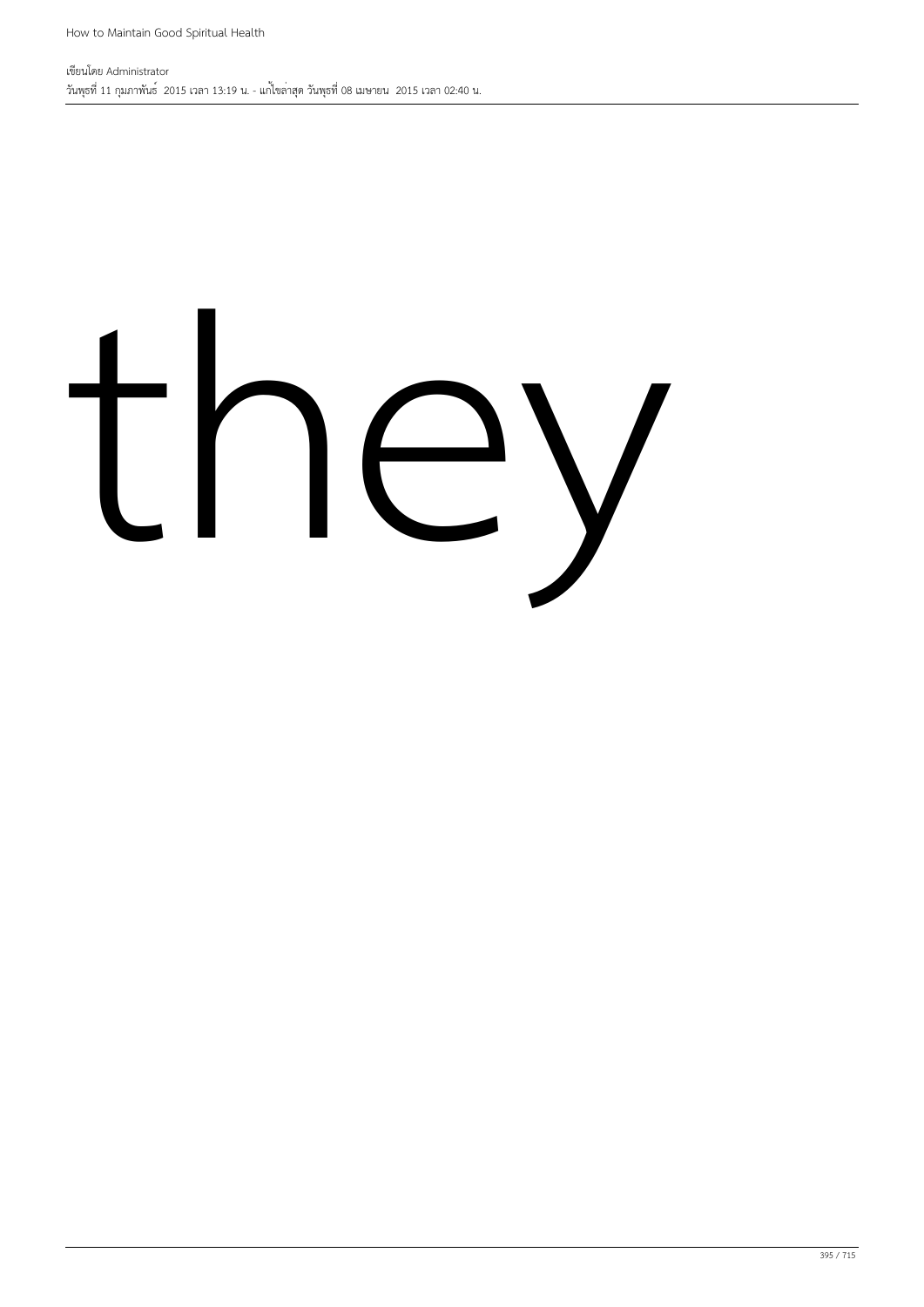# they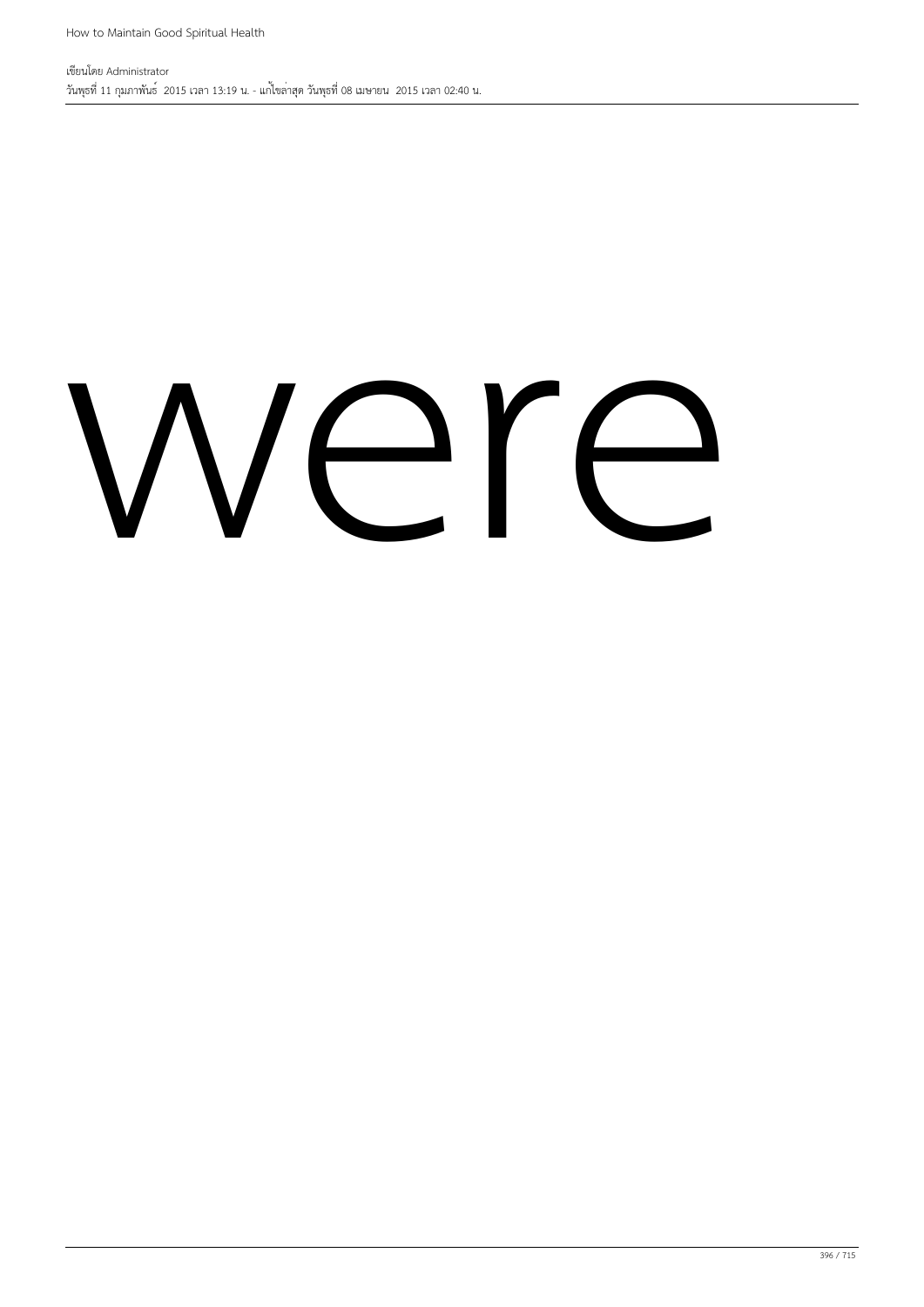#### were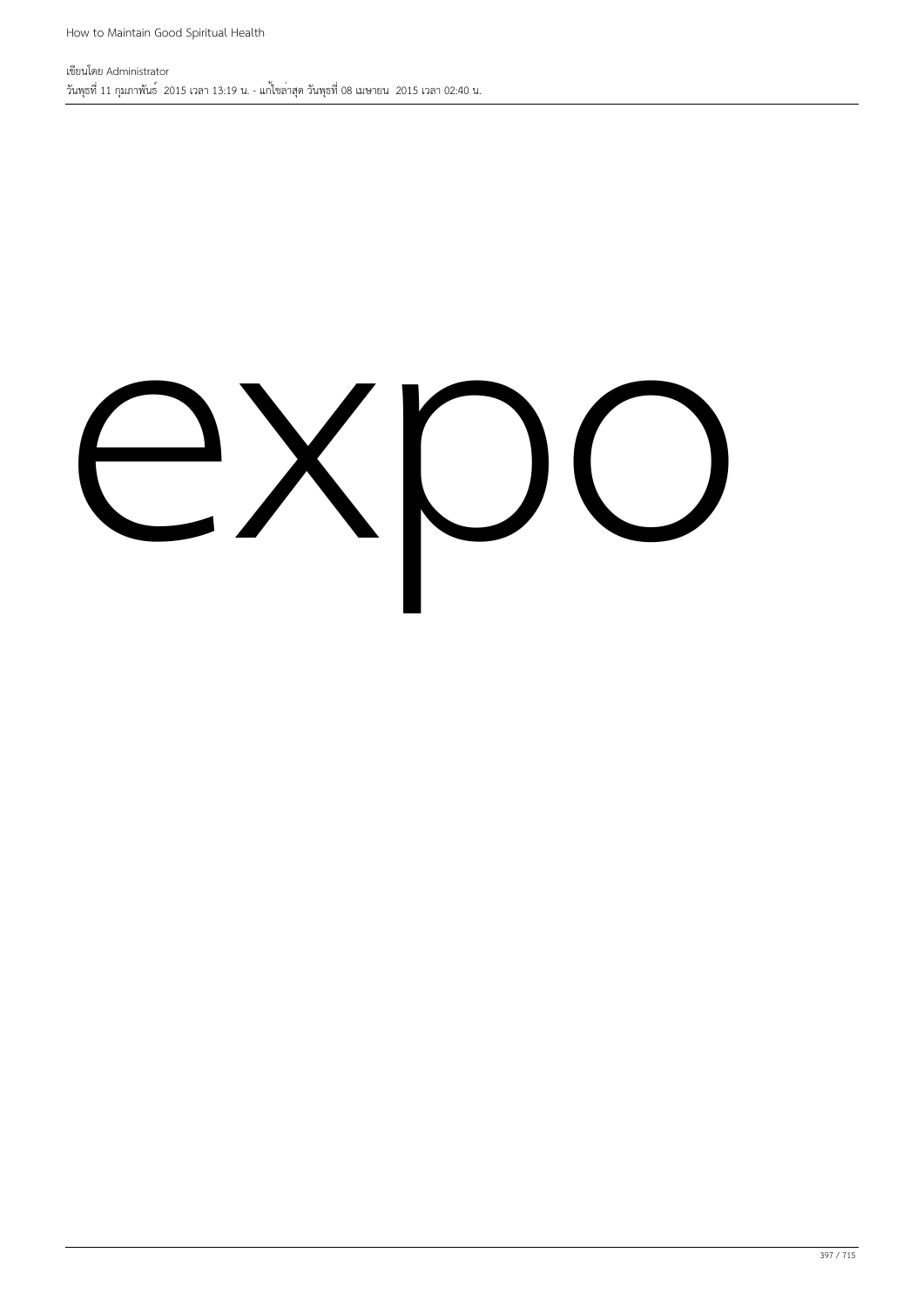# expo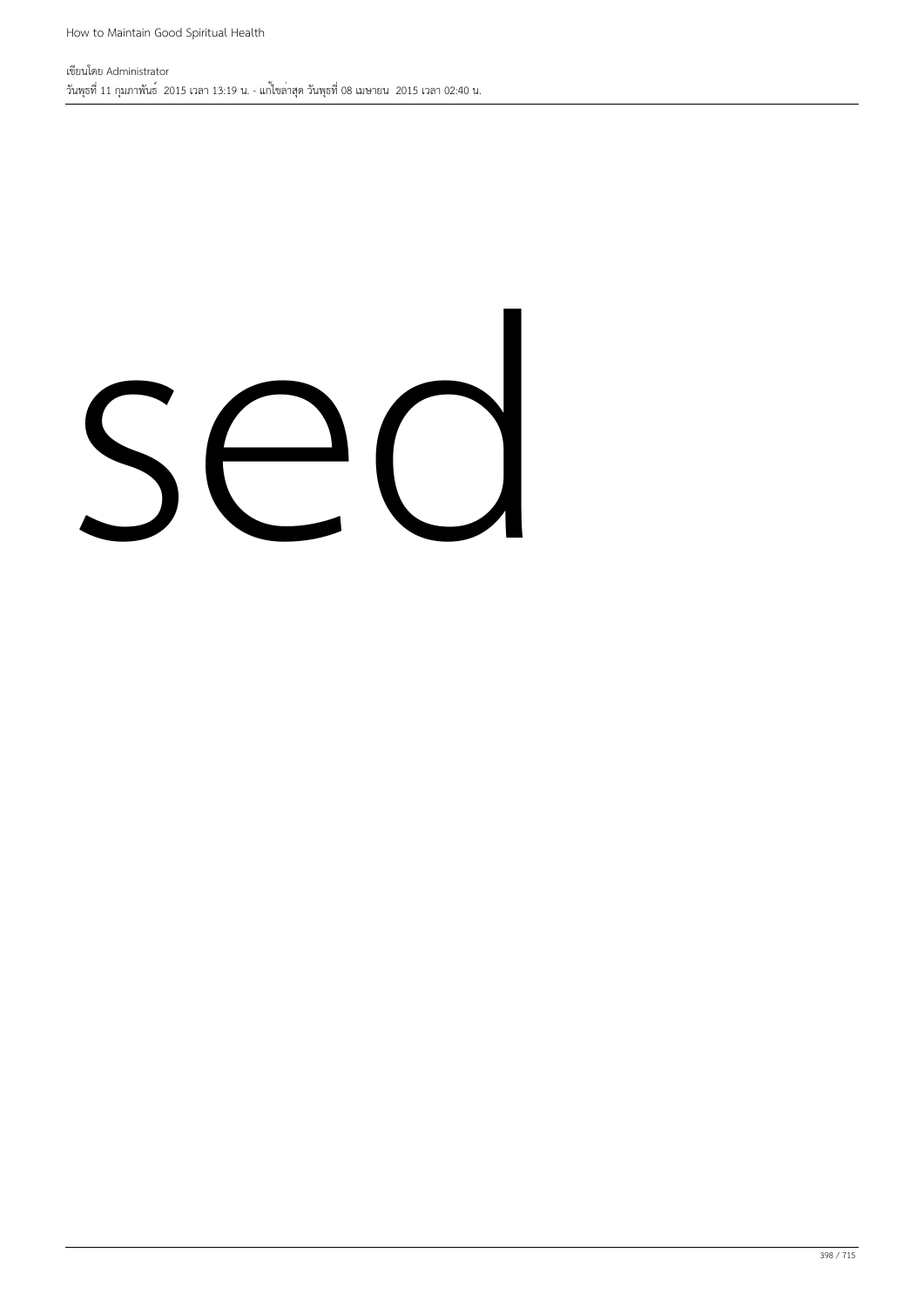### sed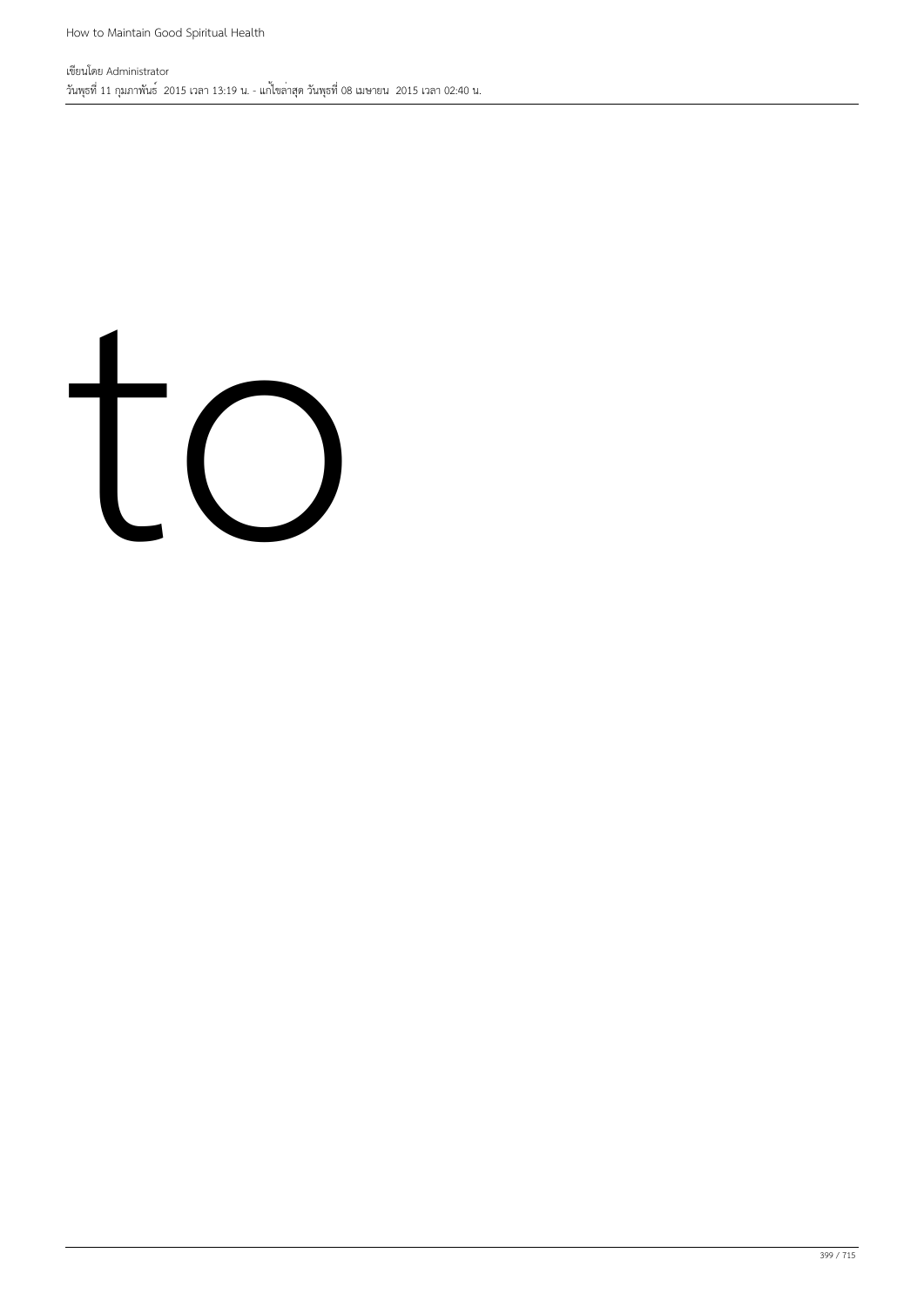### to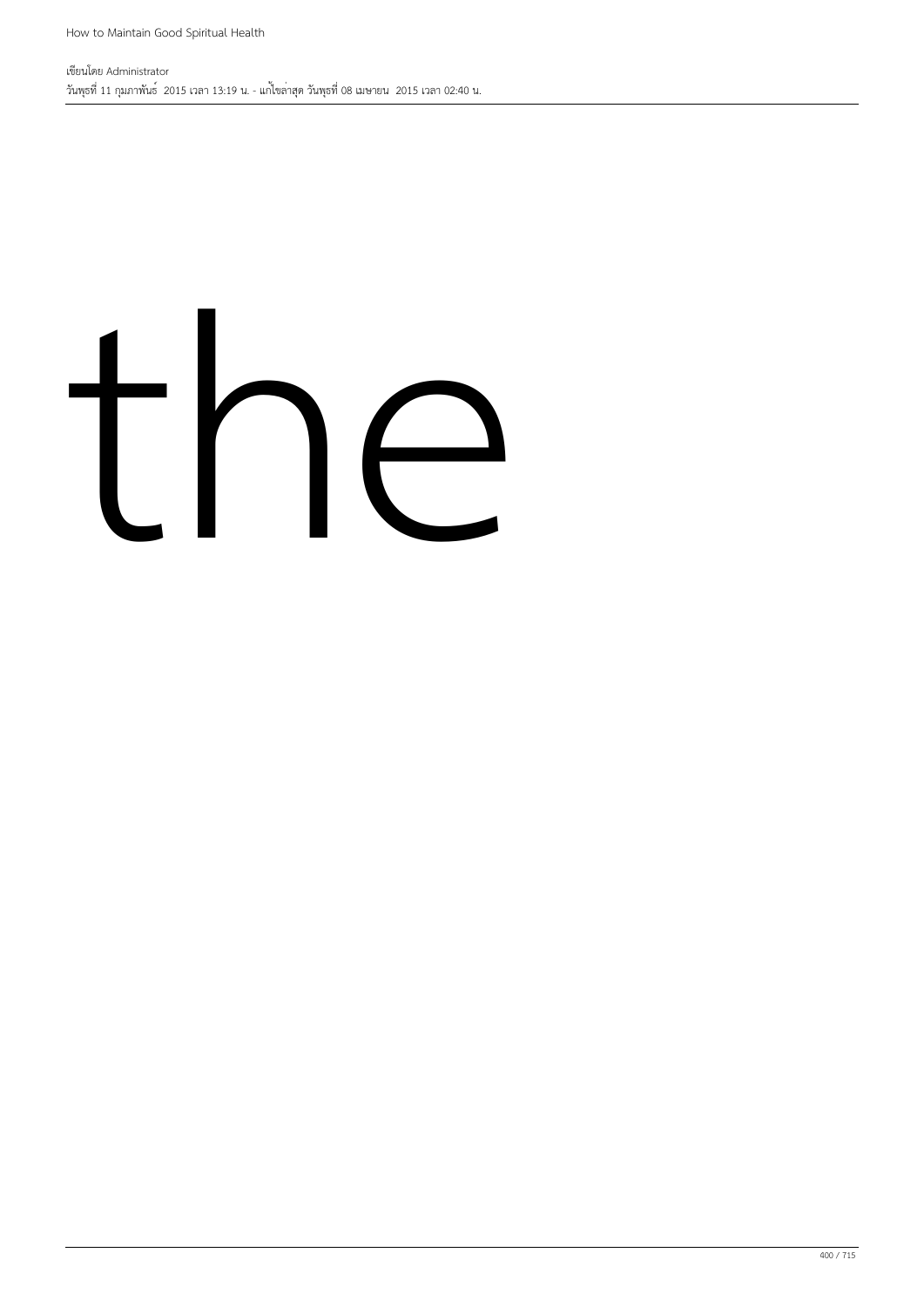# the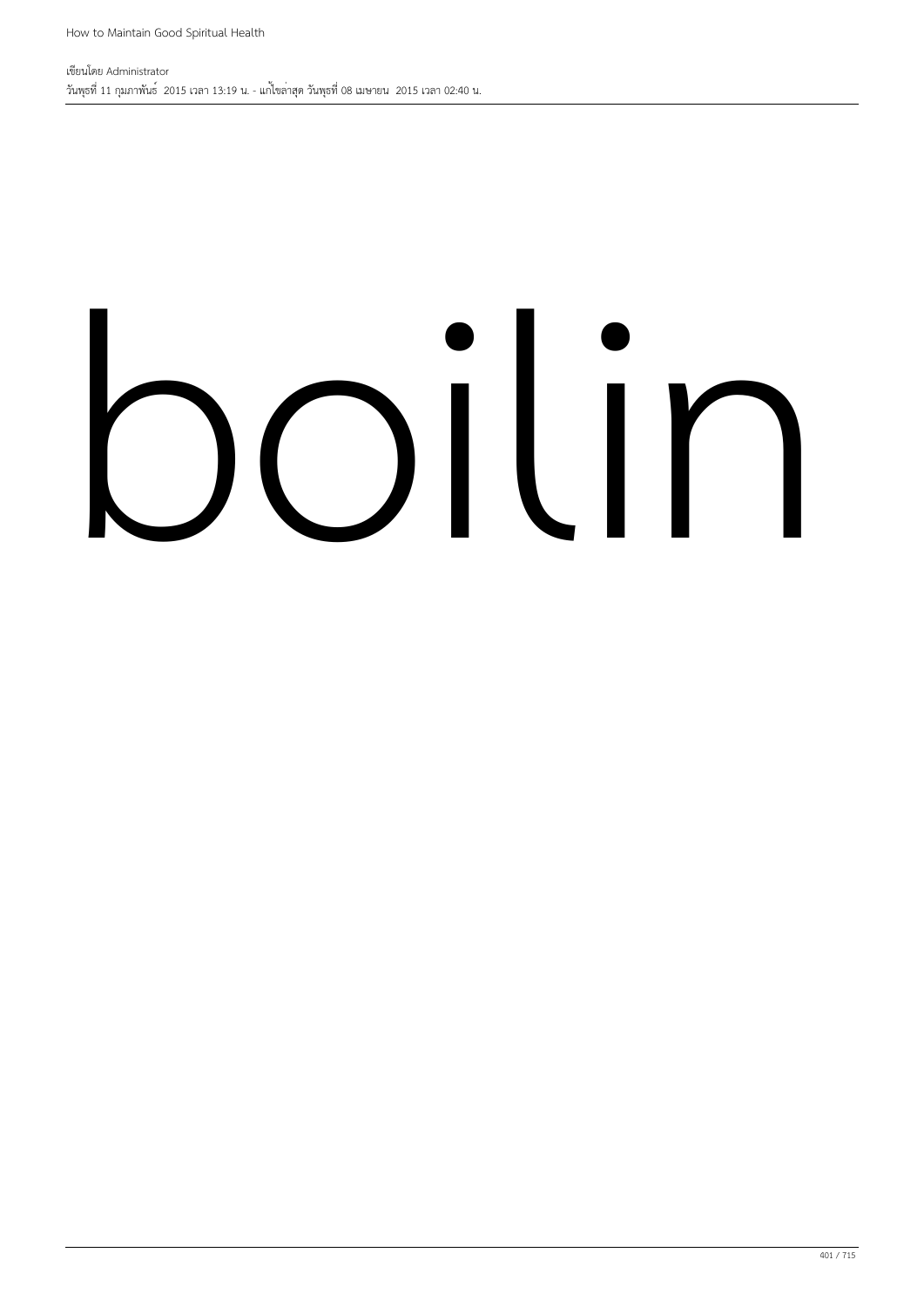# boilin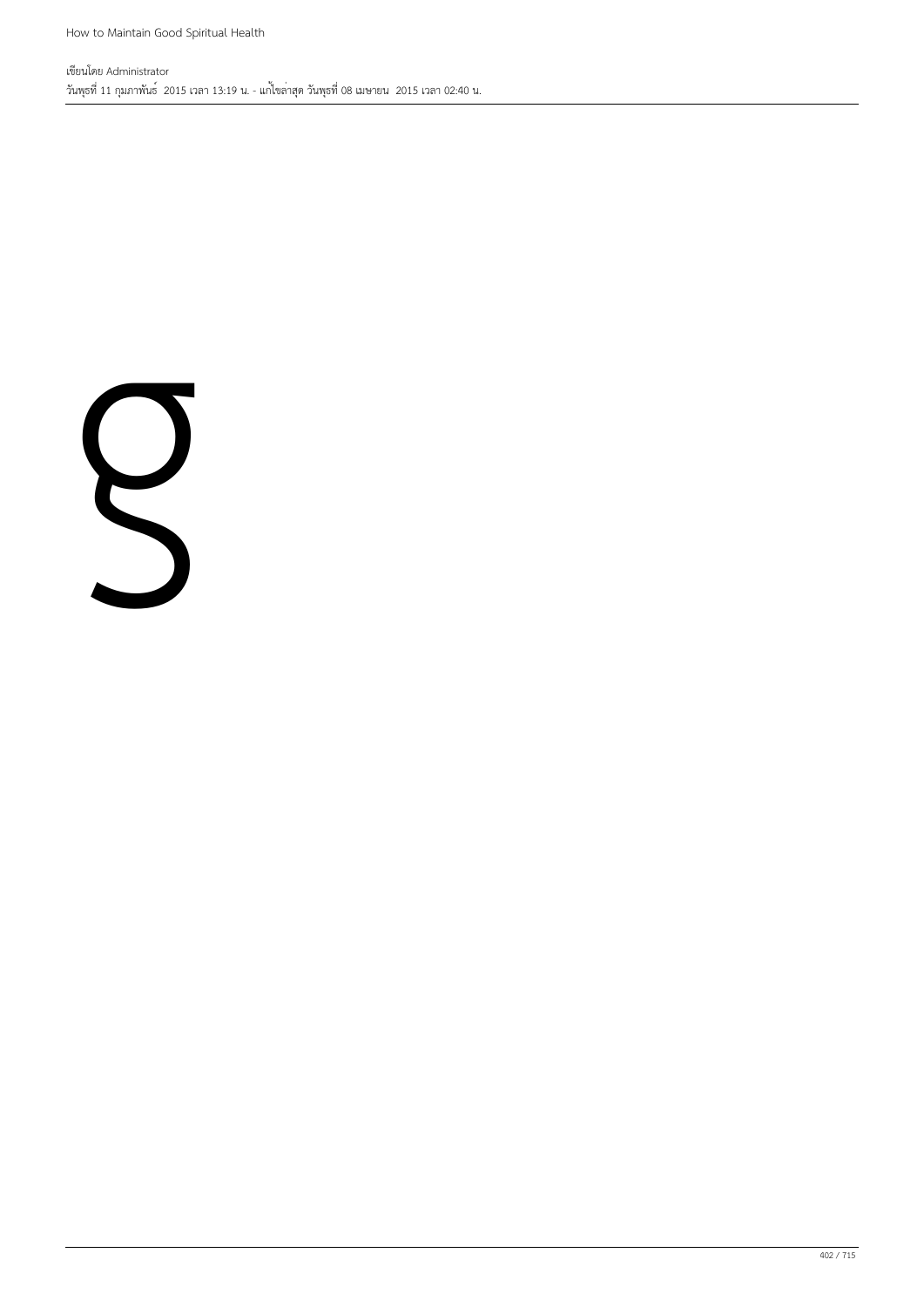## S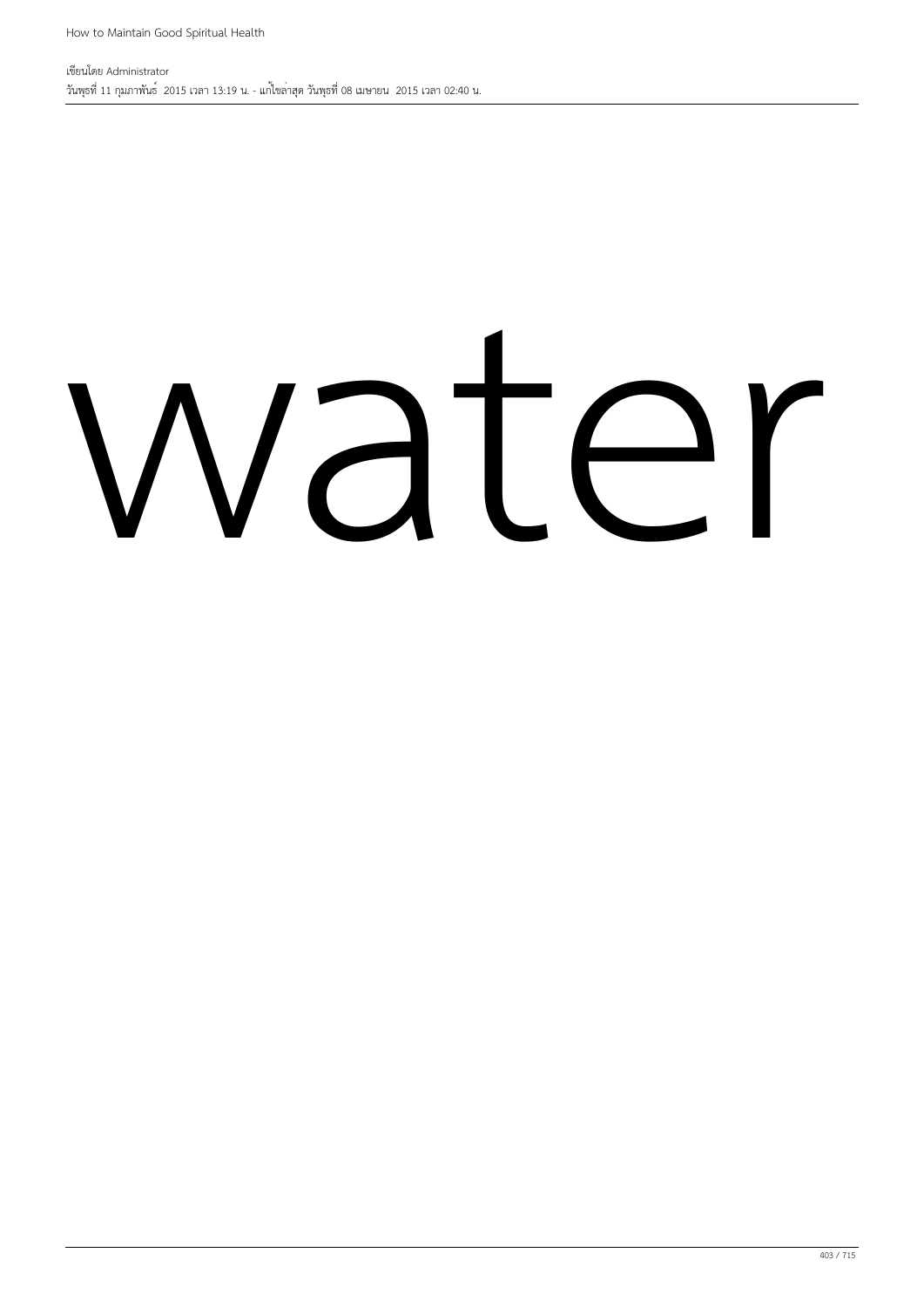## water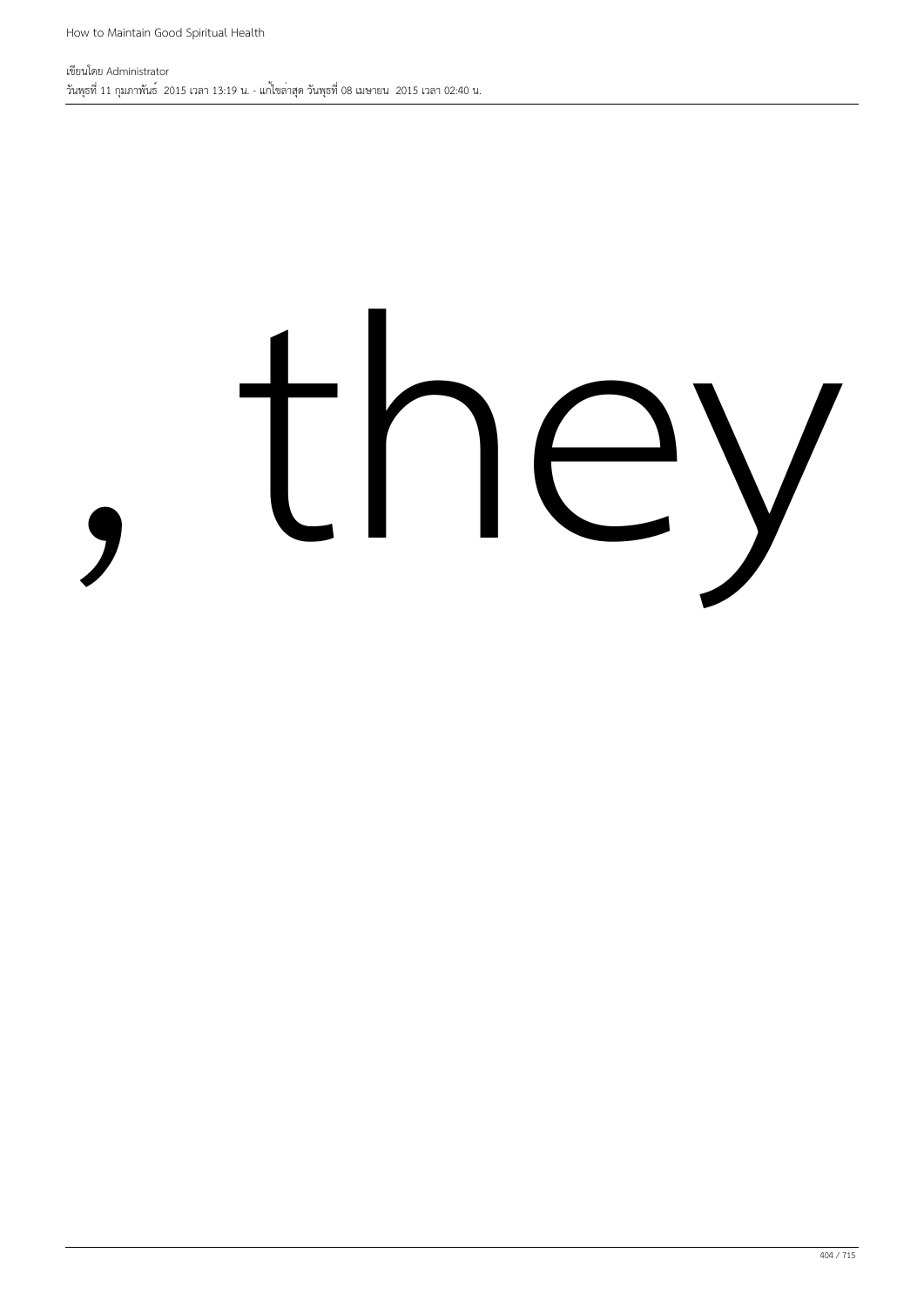# , they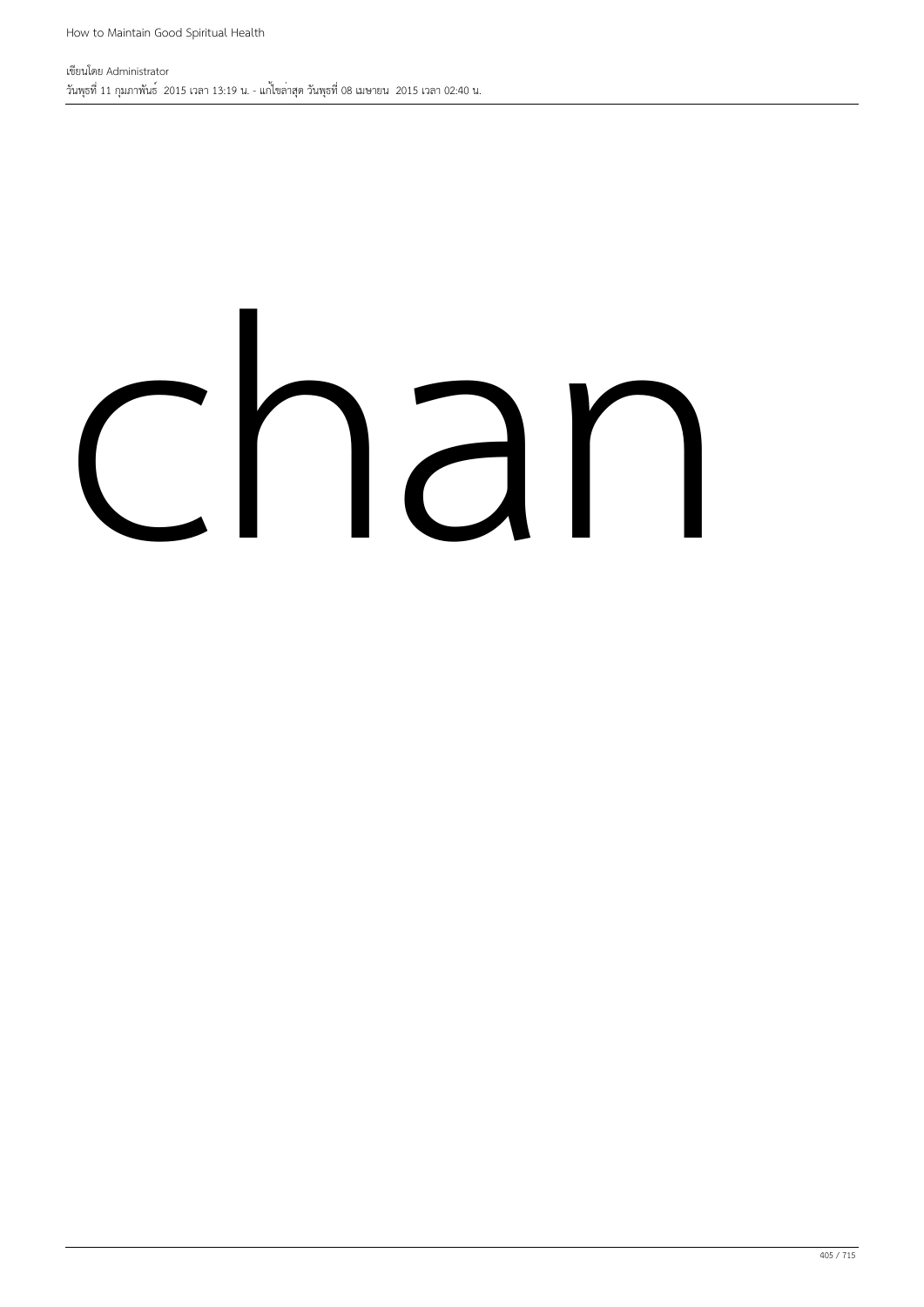# chan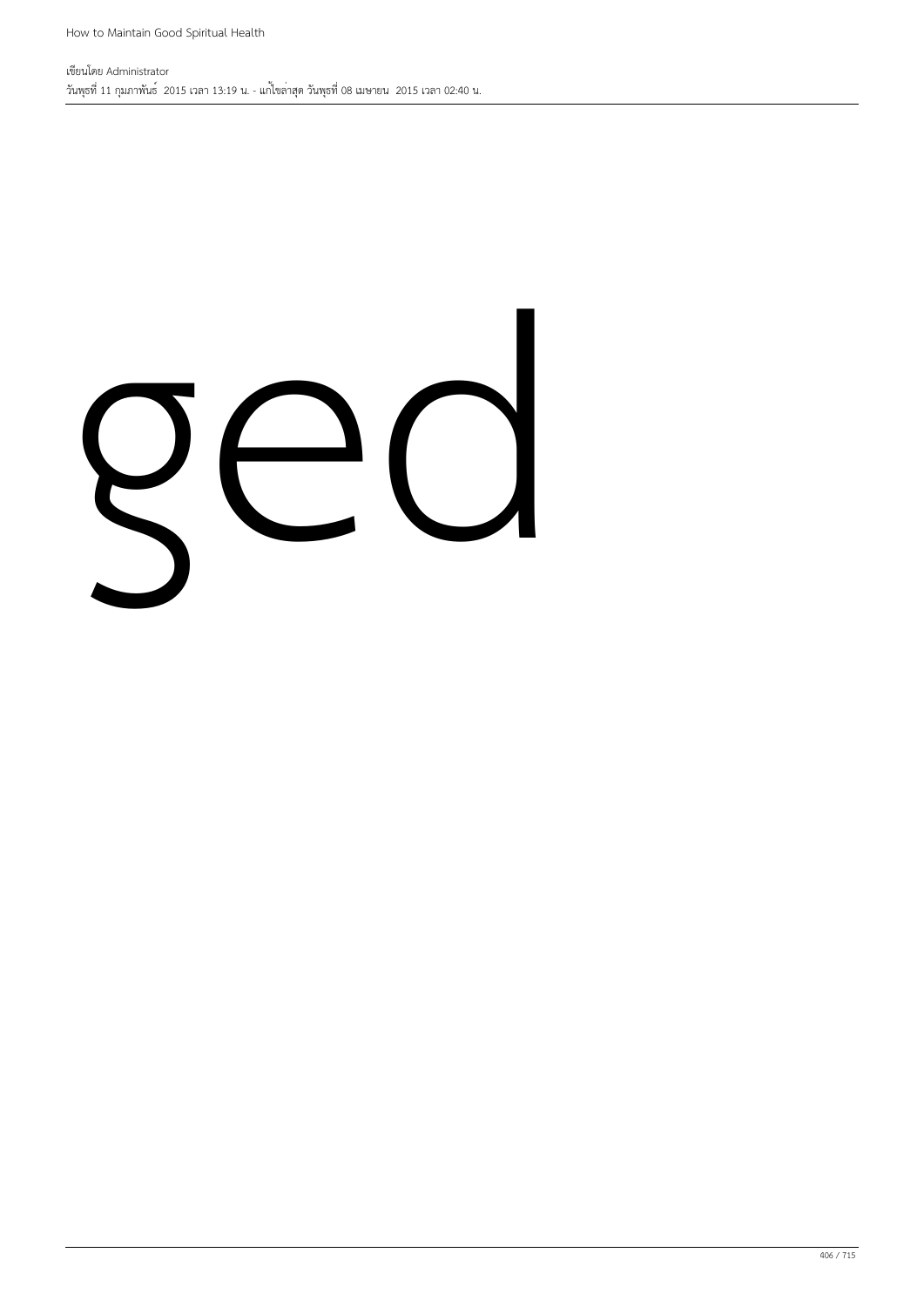# ged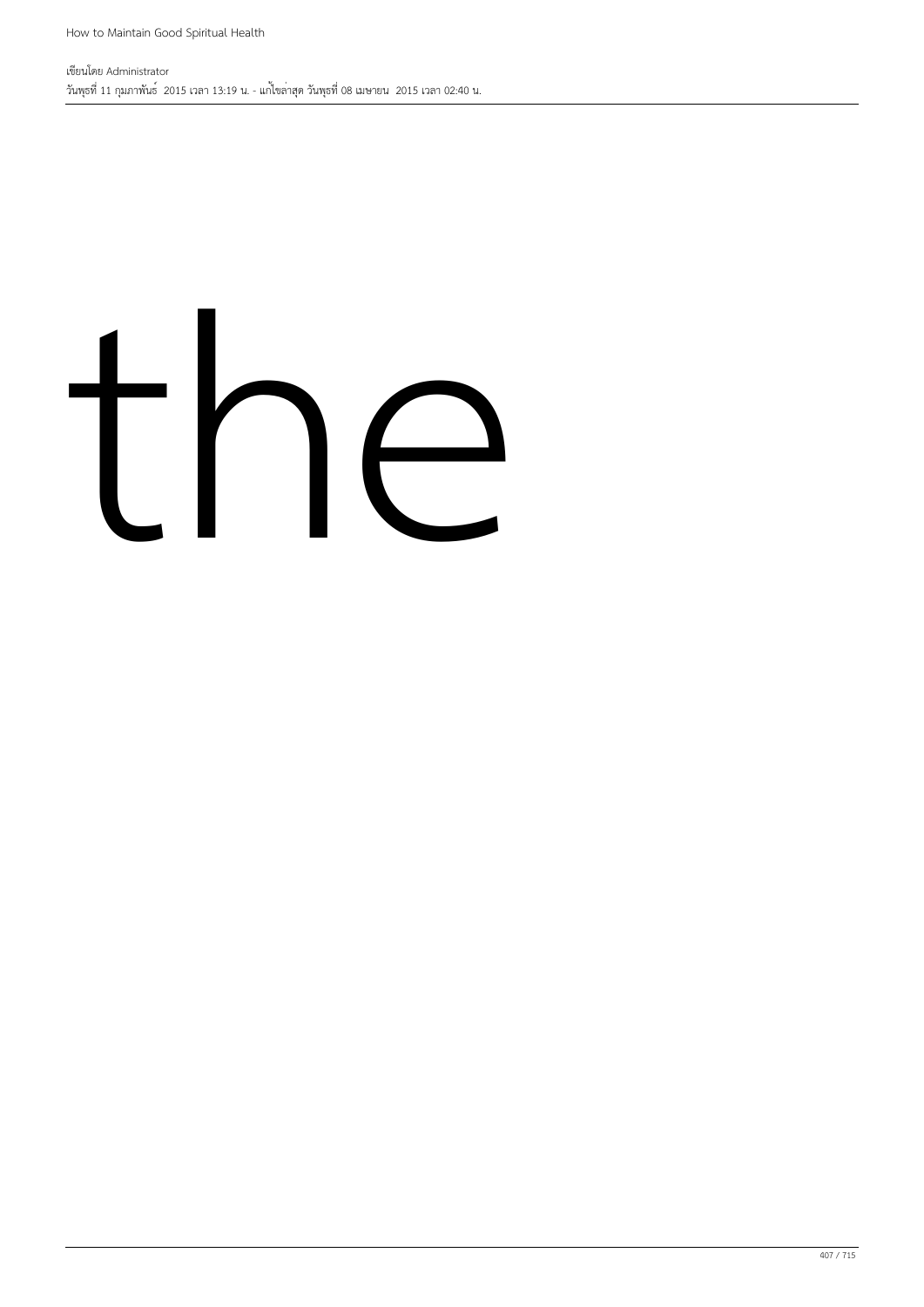# the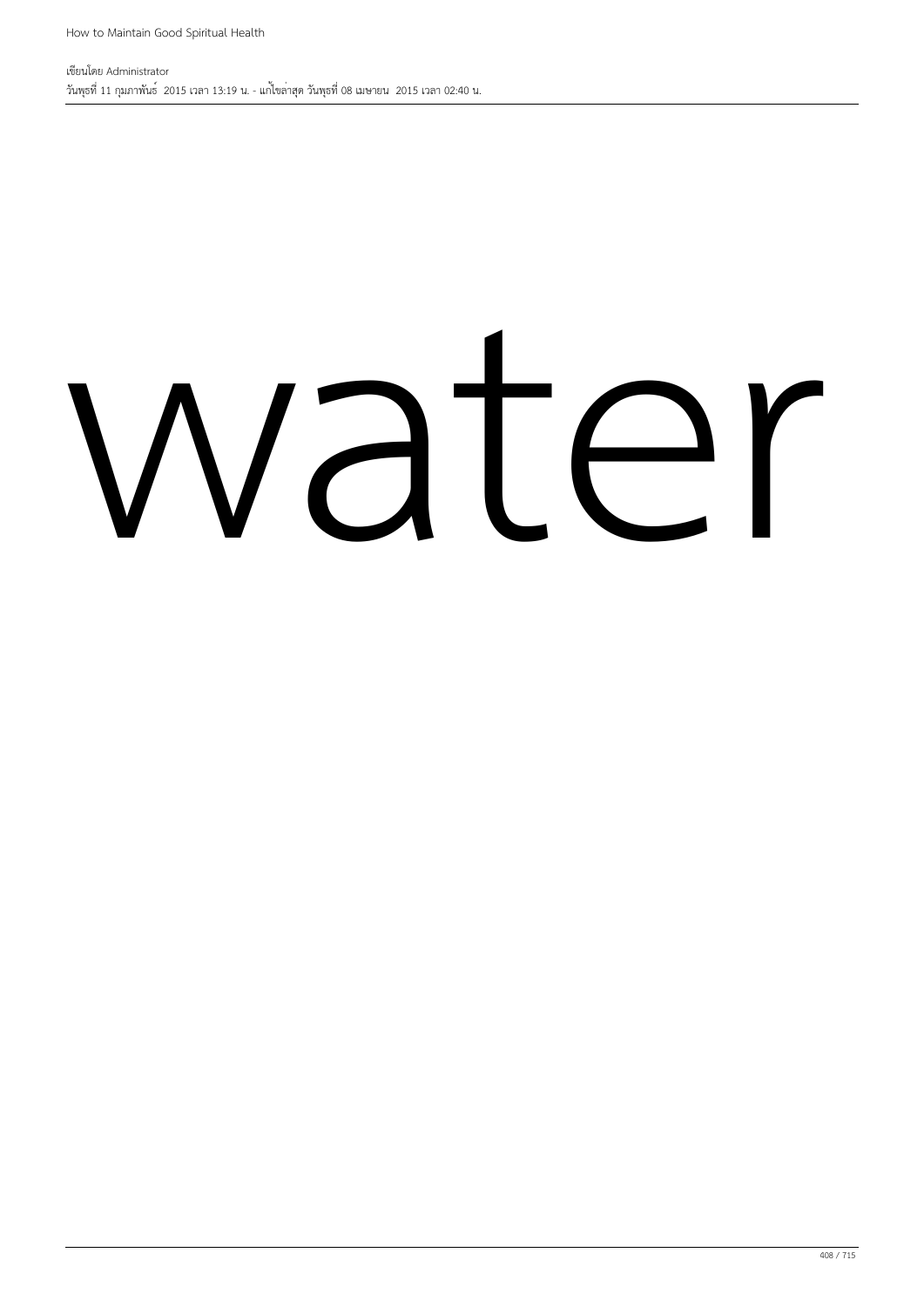## water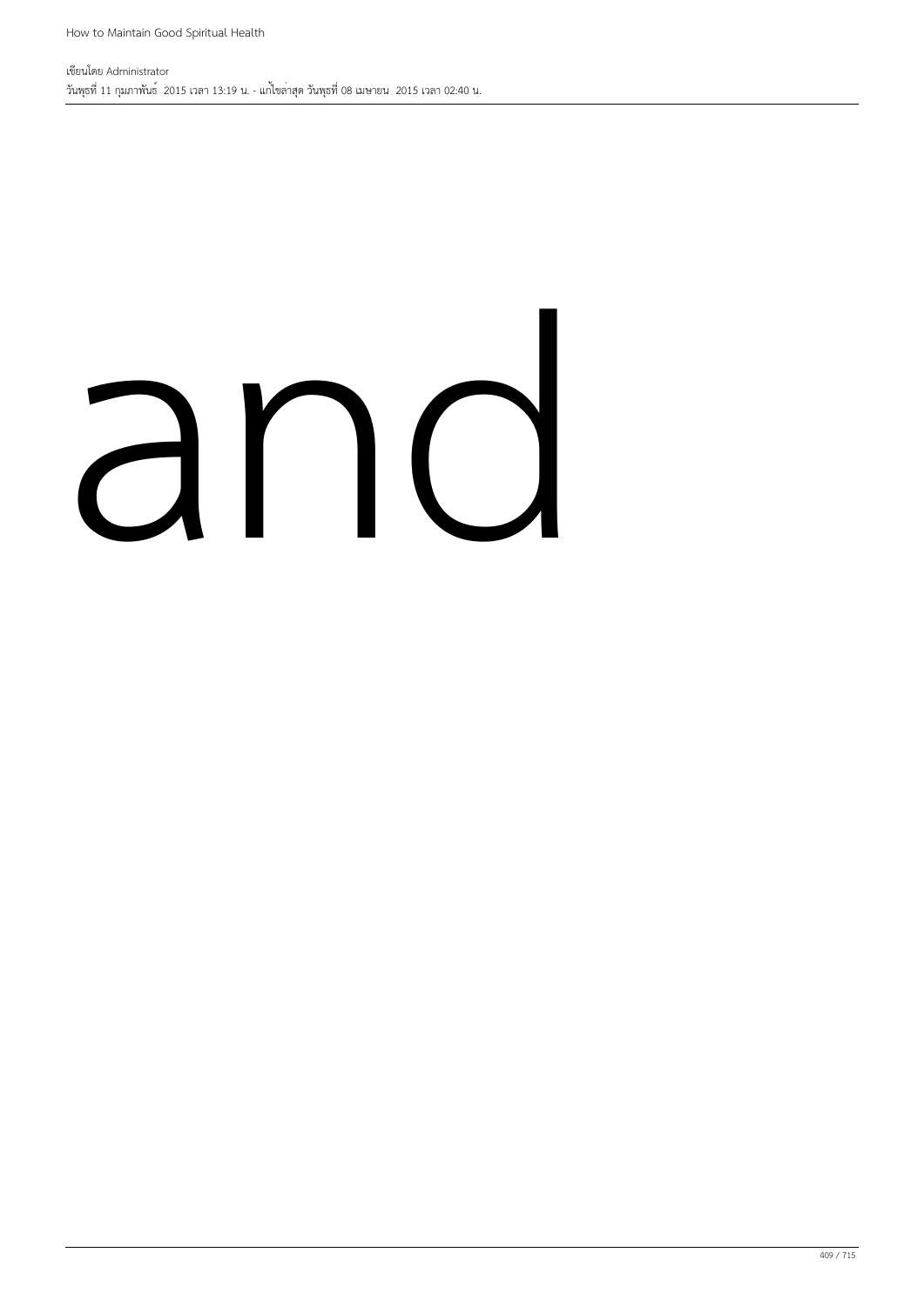## and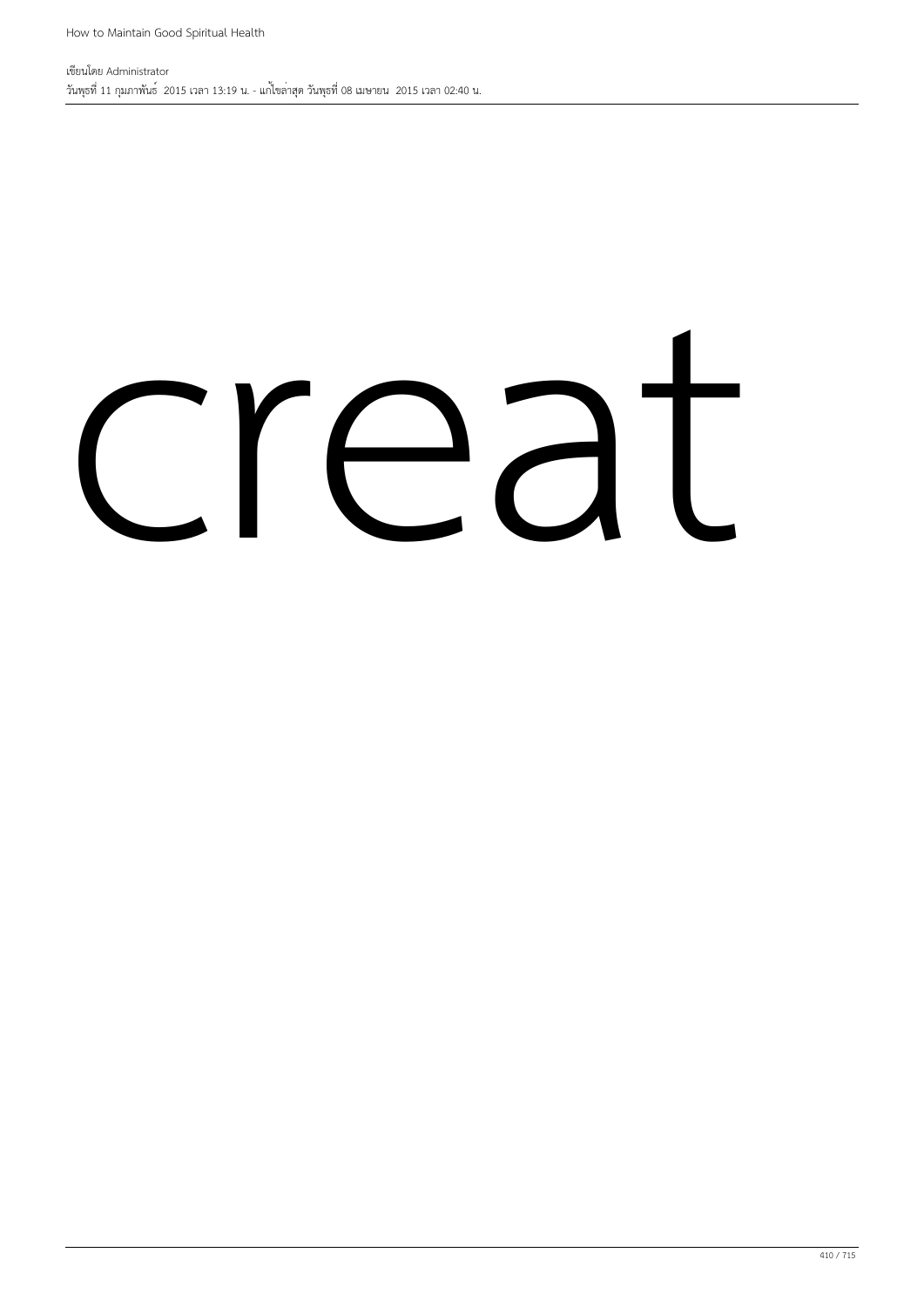### creat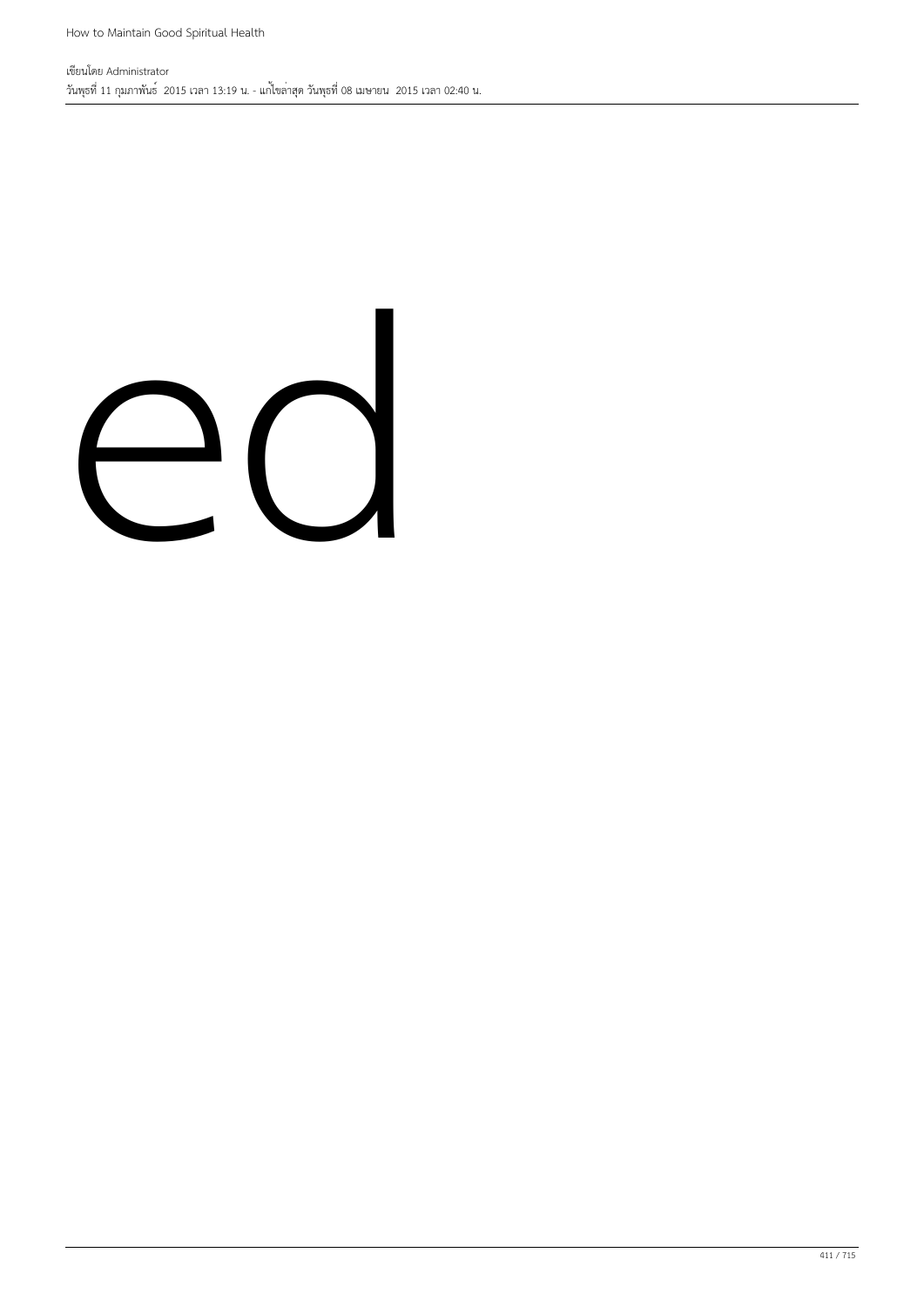### ed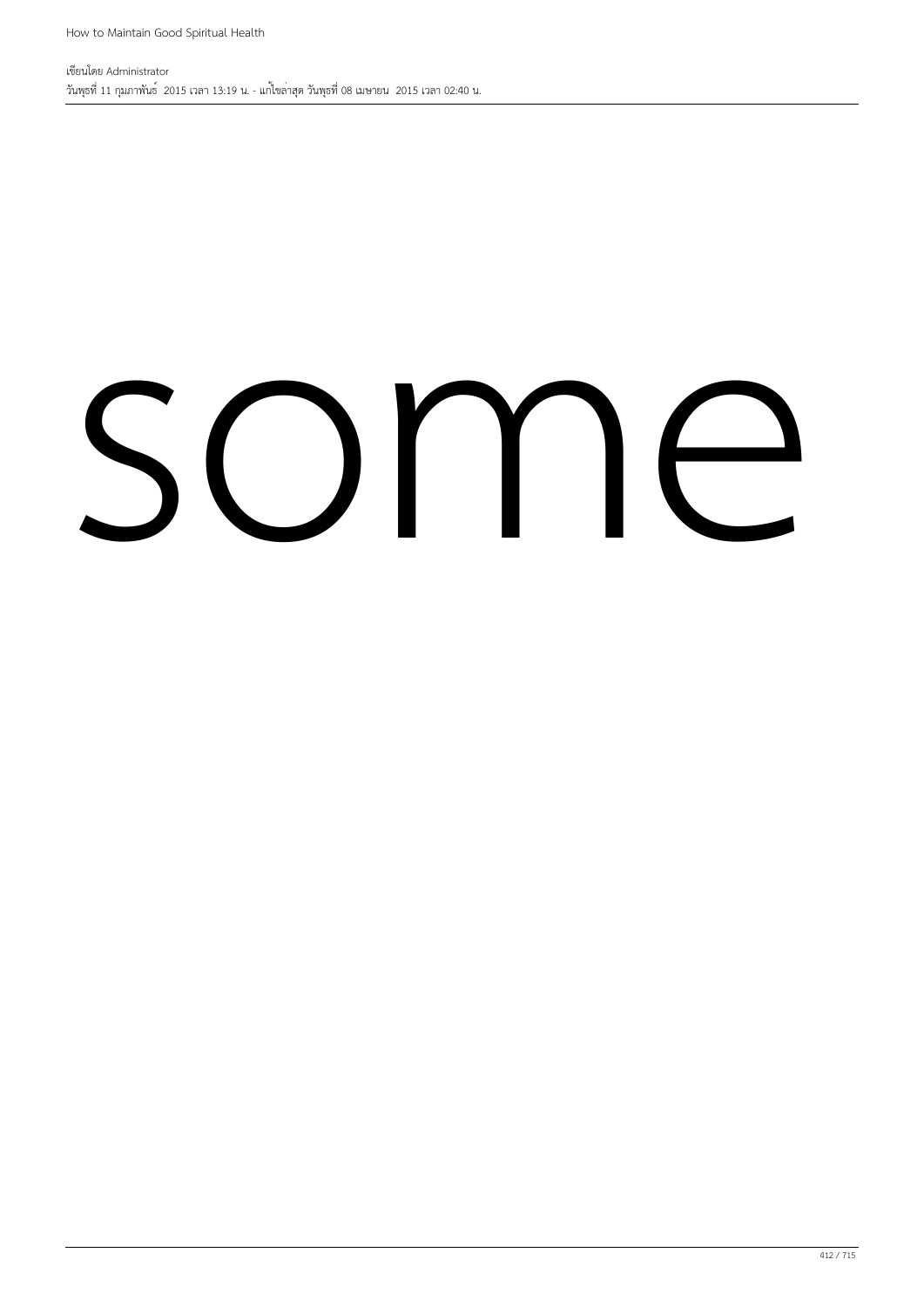#### some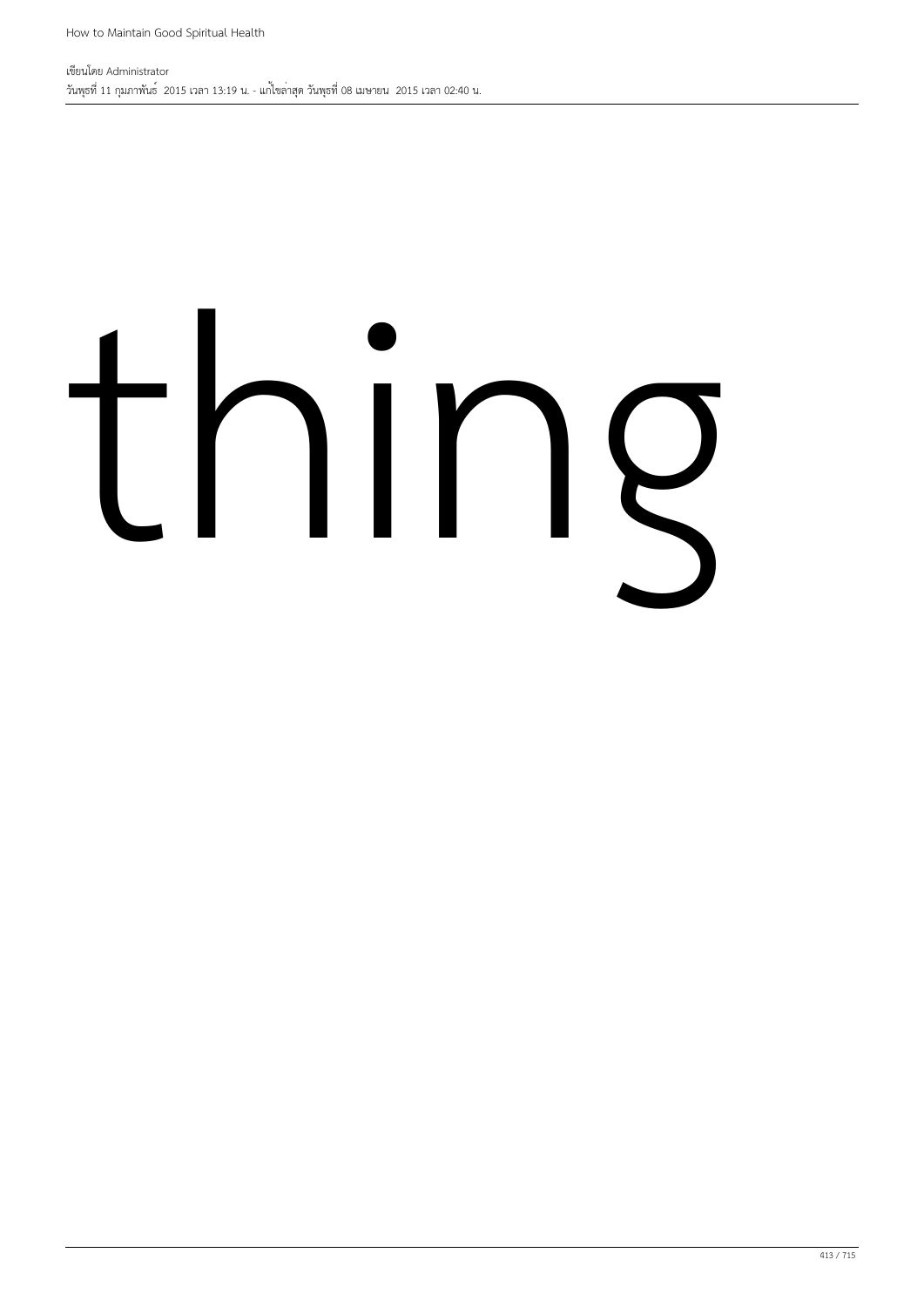# thing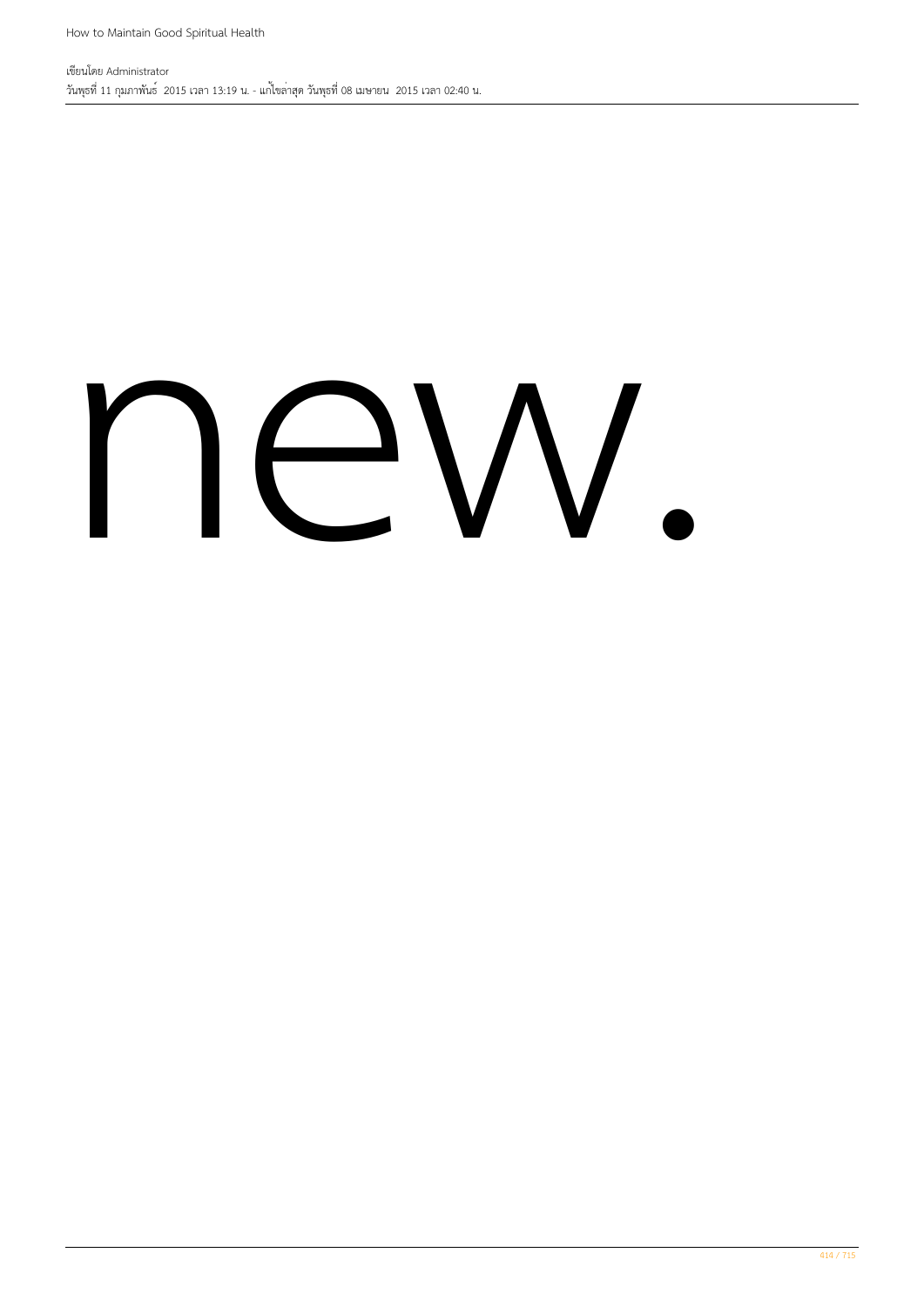#### new.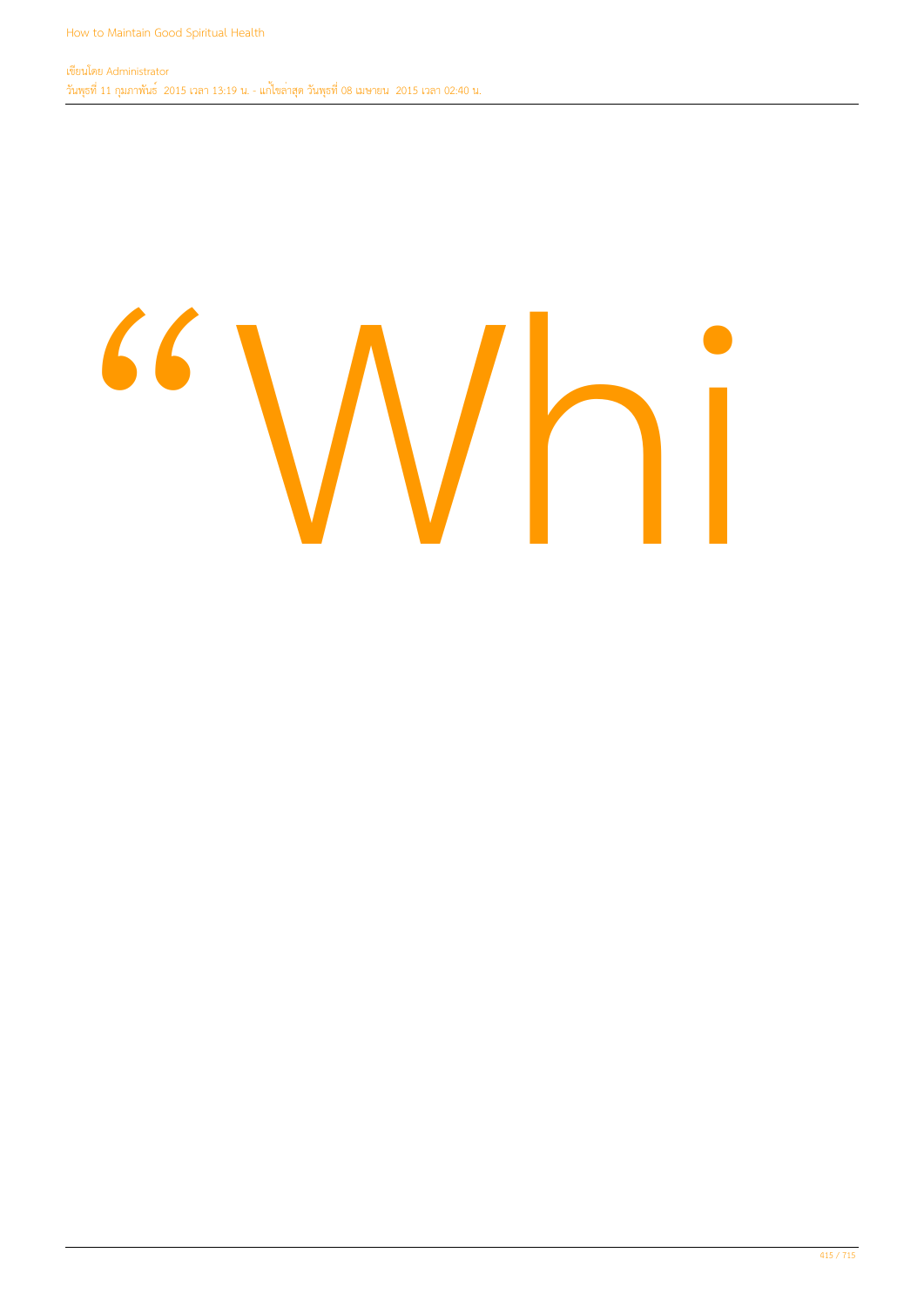# "Whi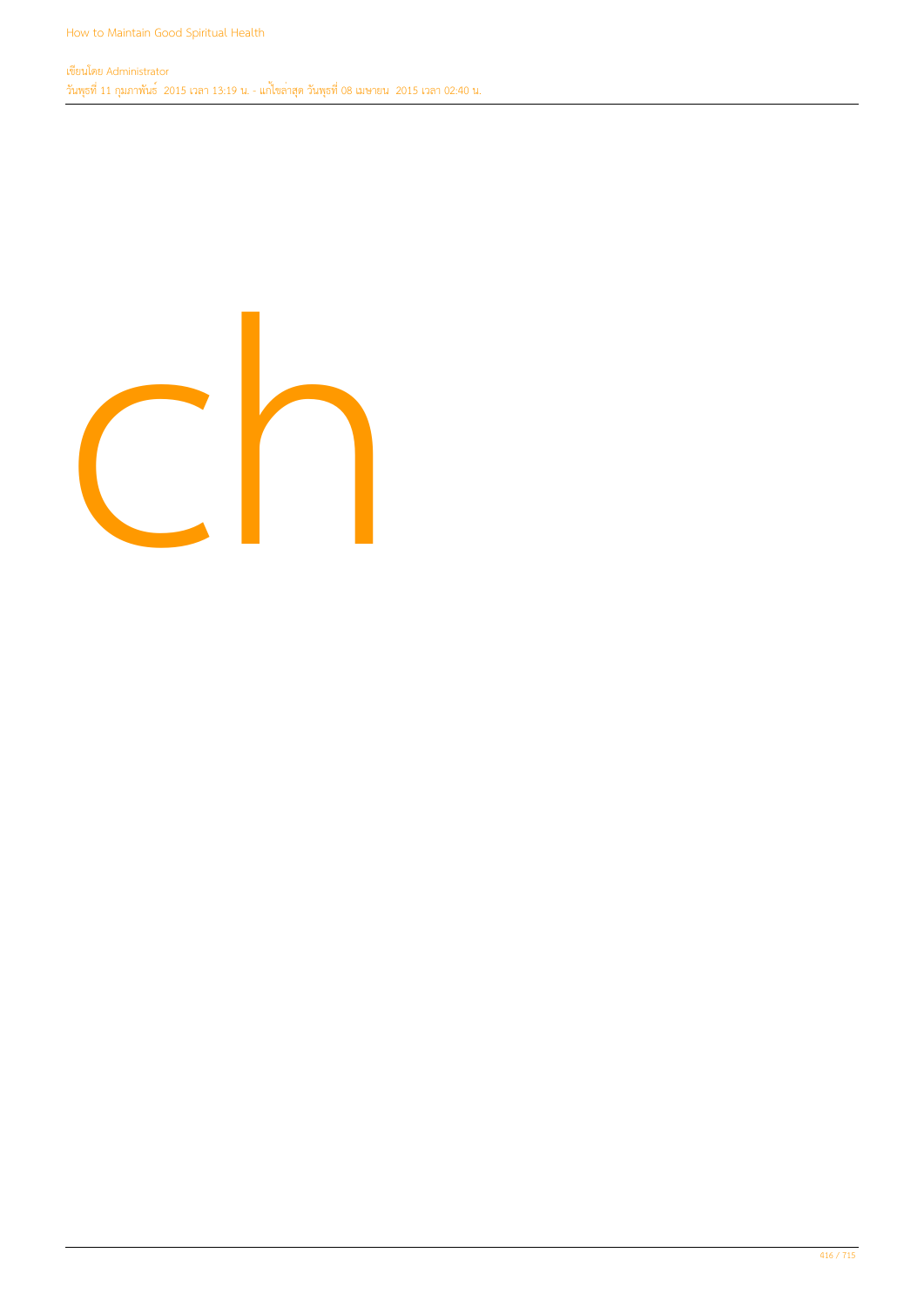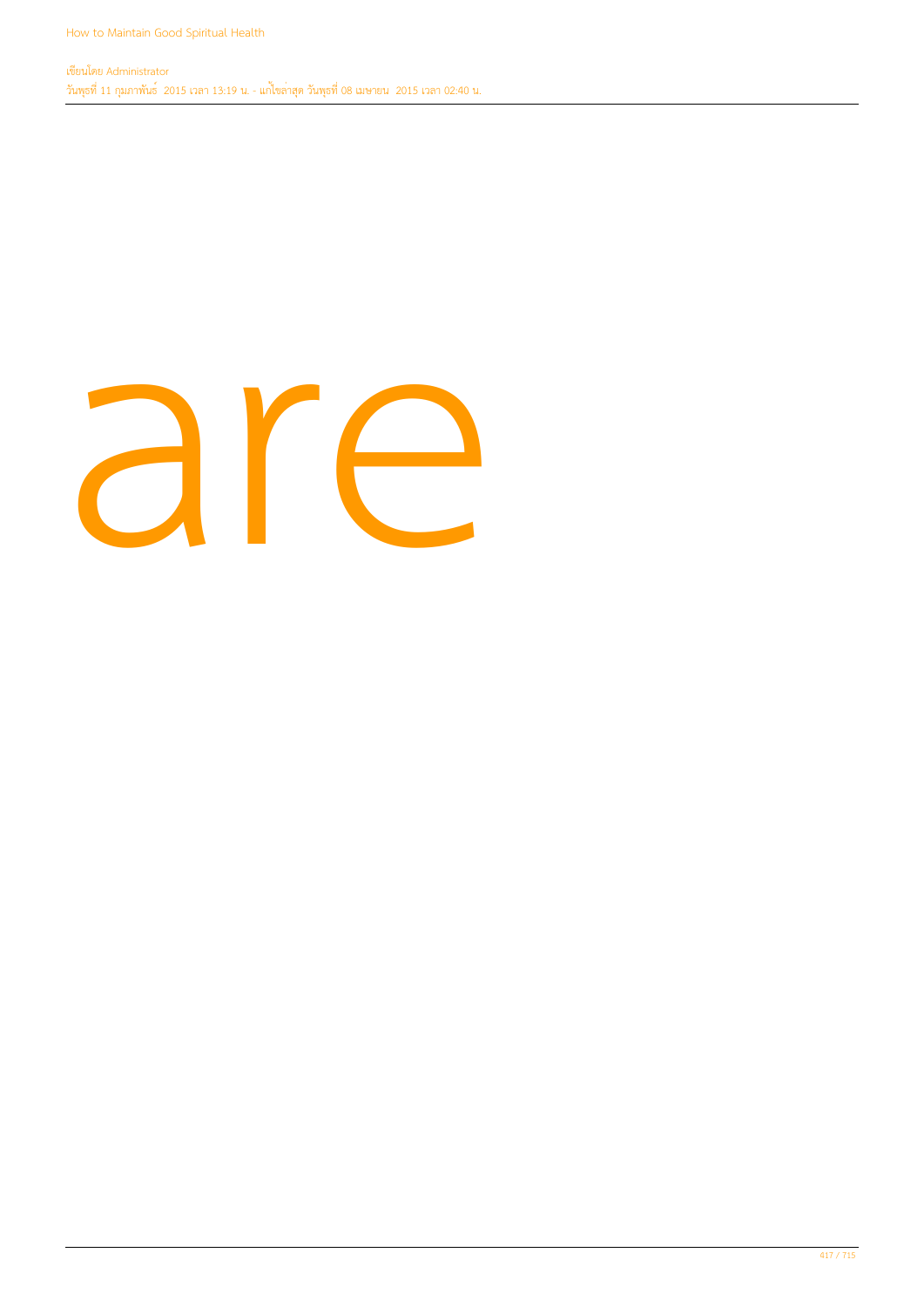#### are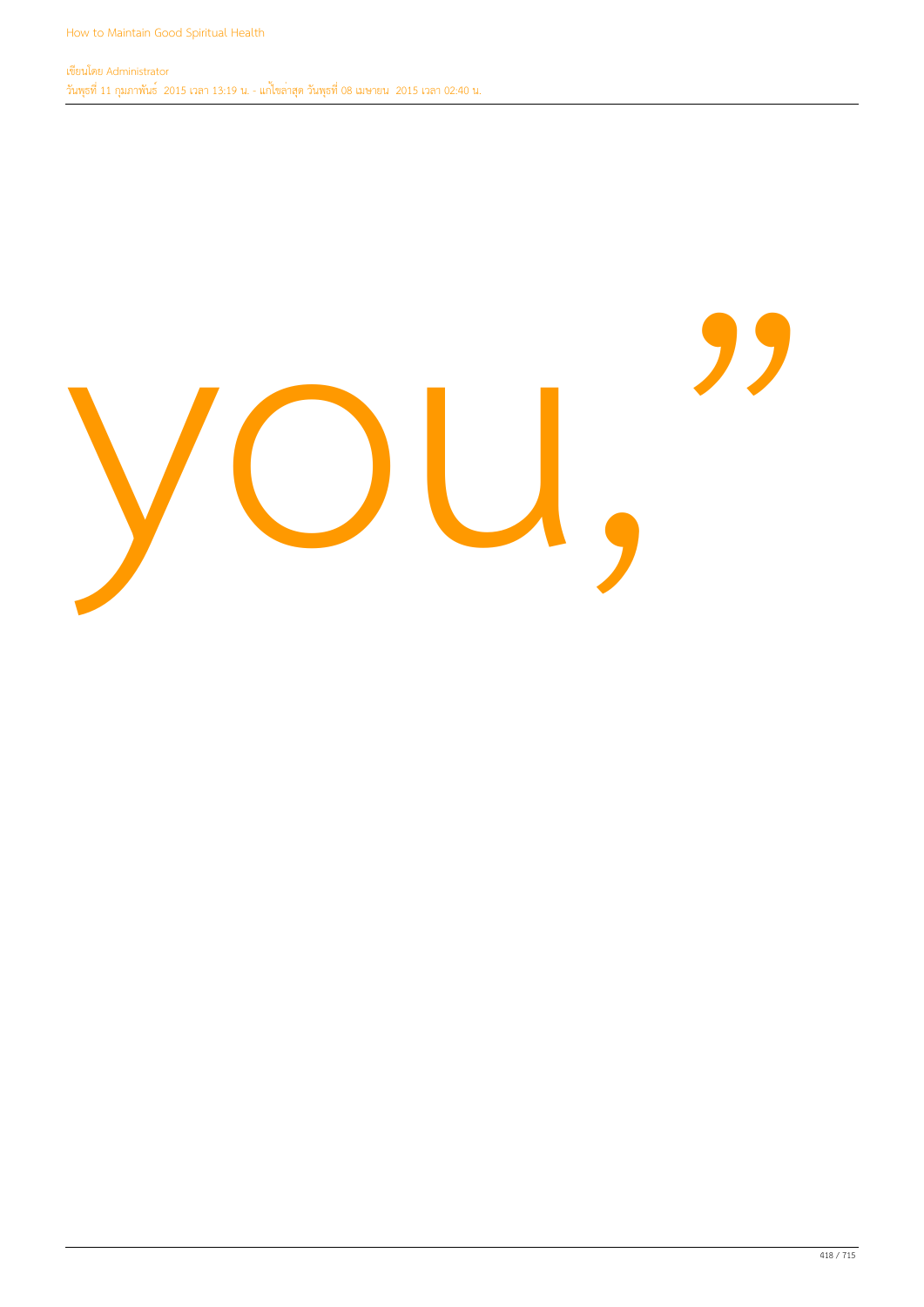# you,"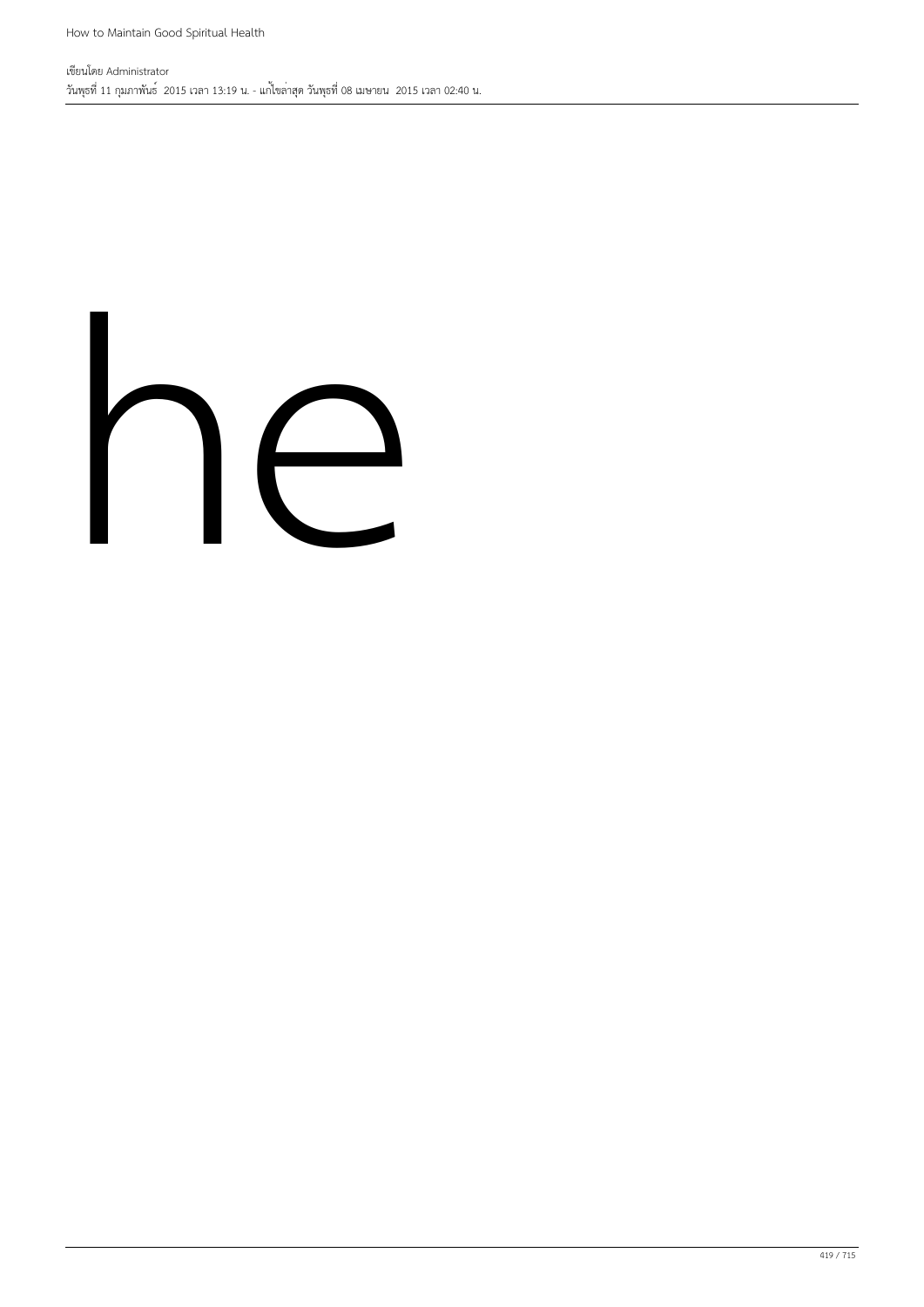# he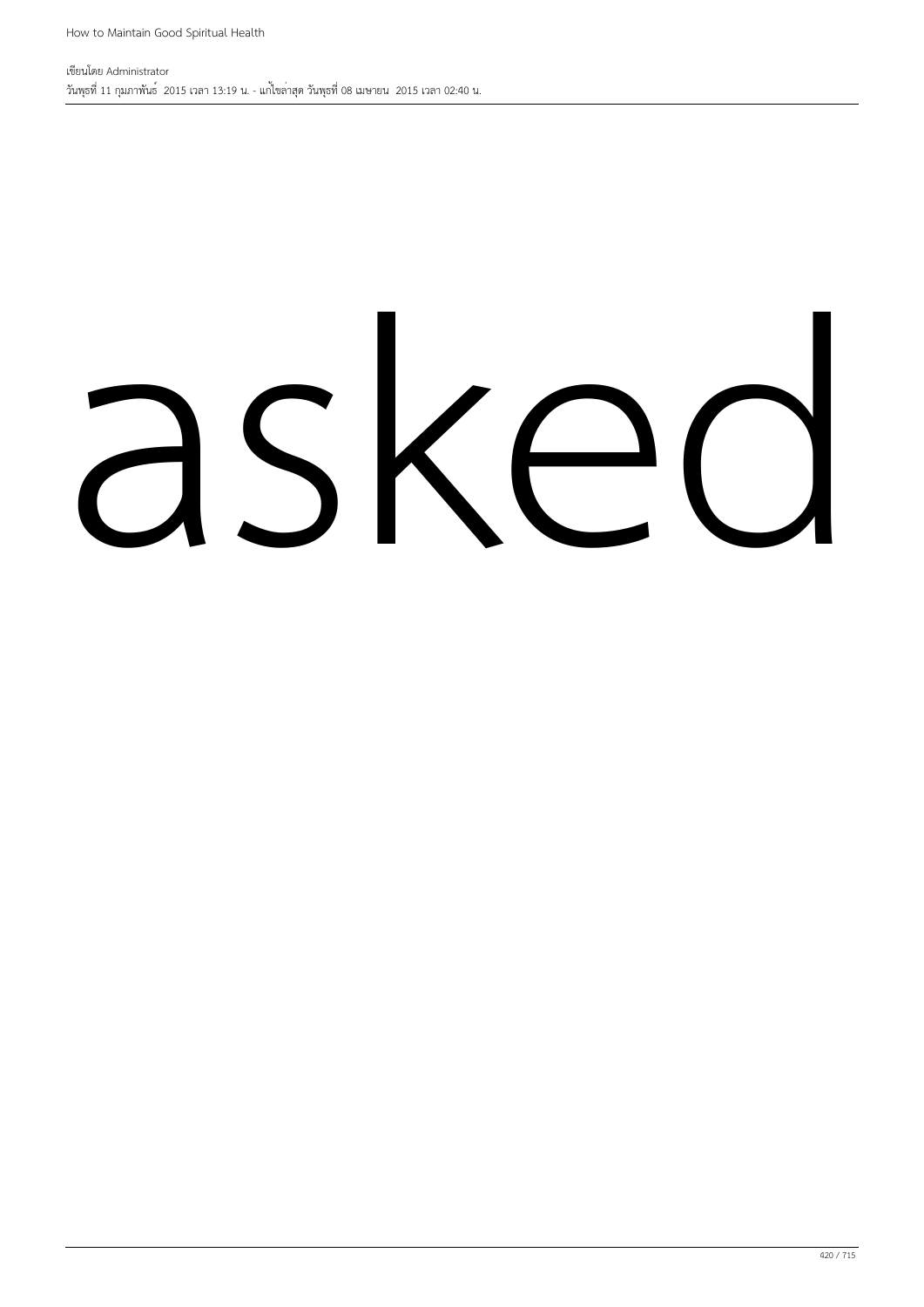# aske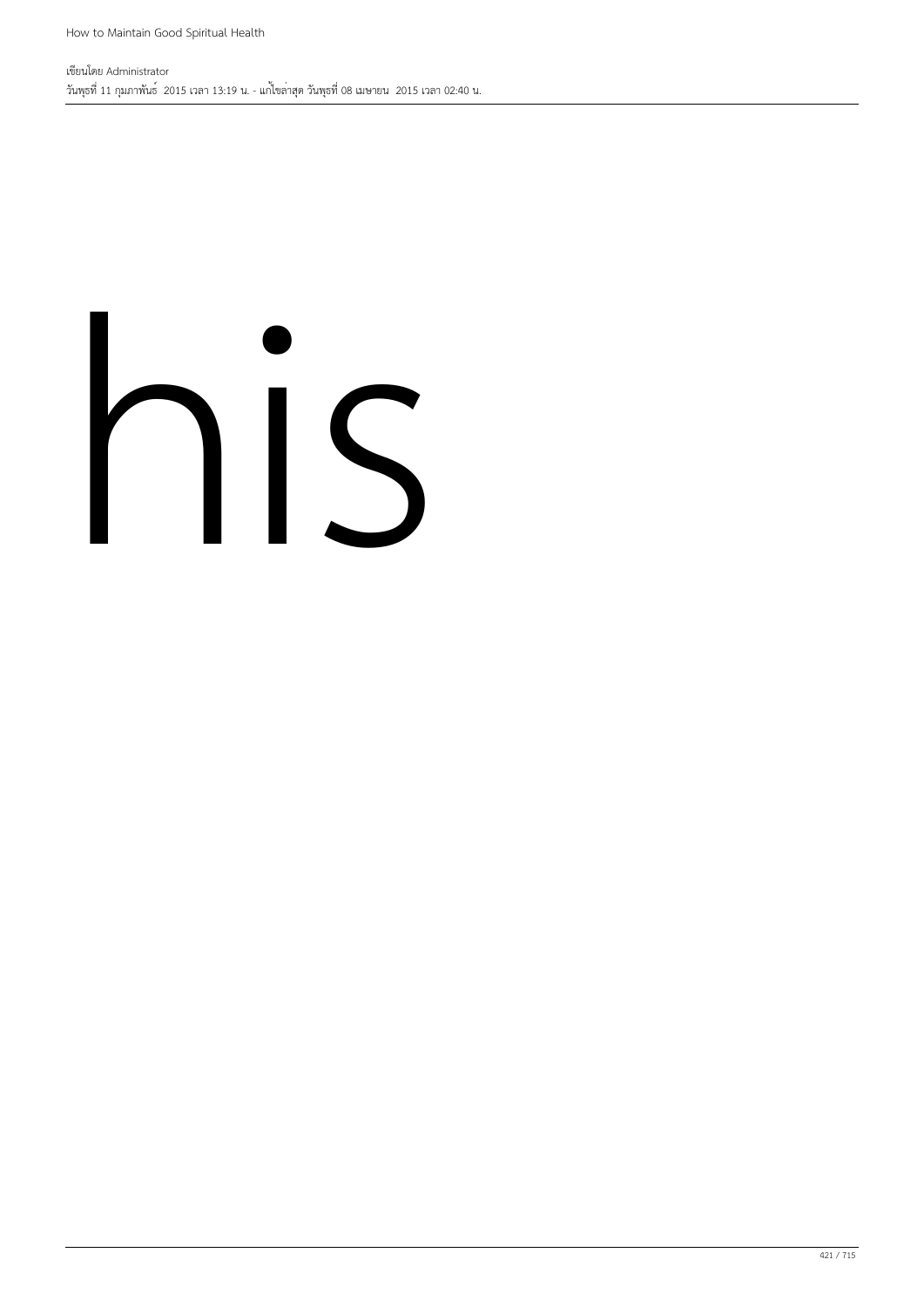# his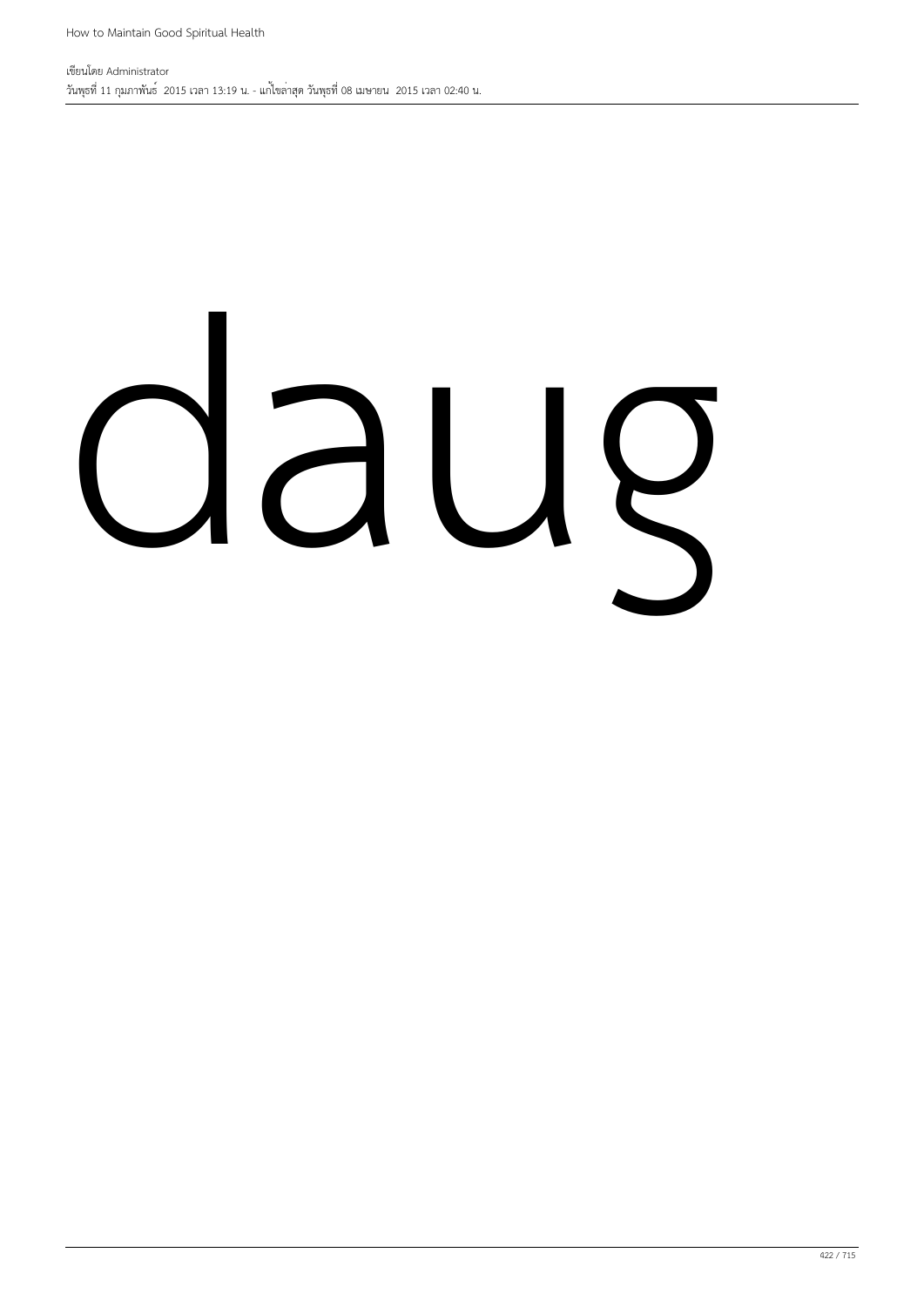# daug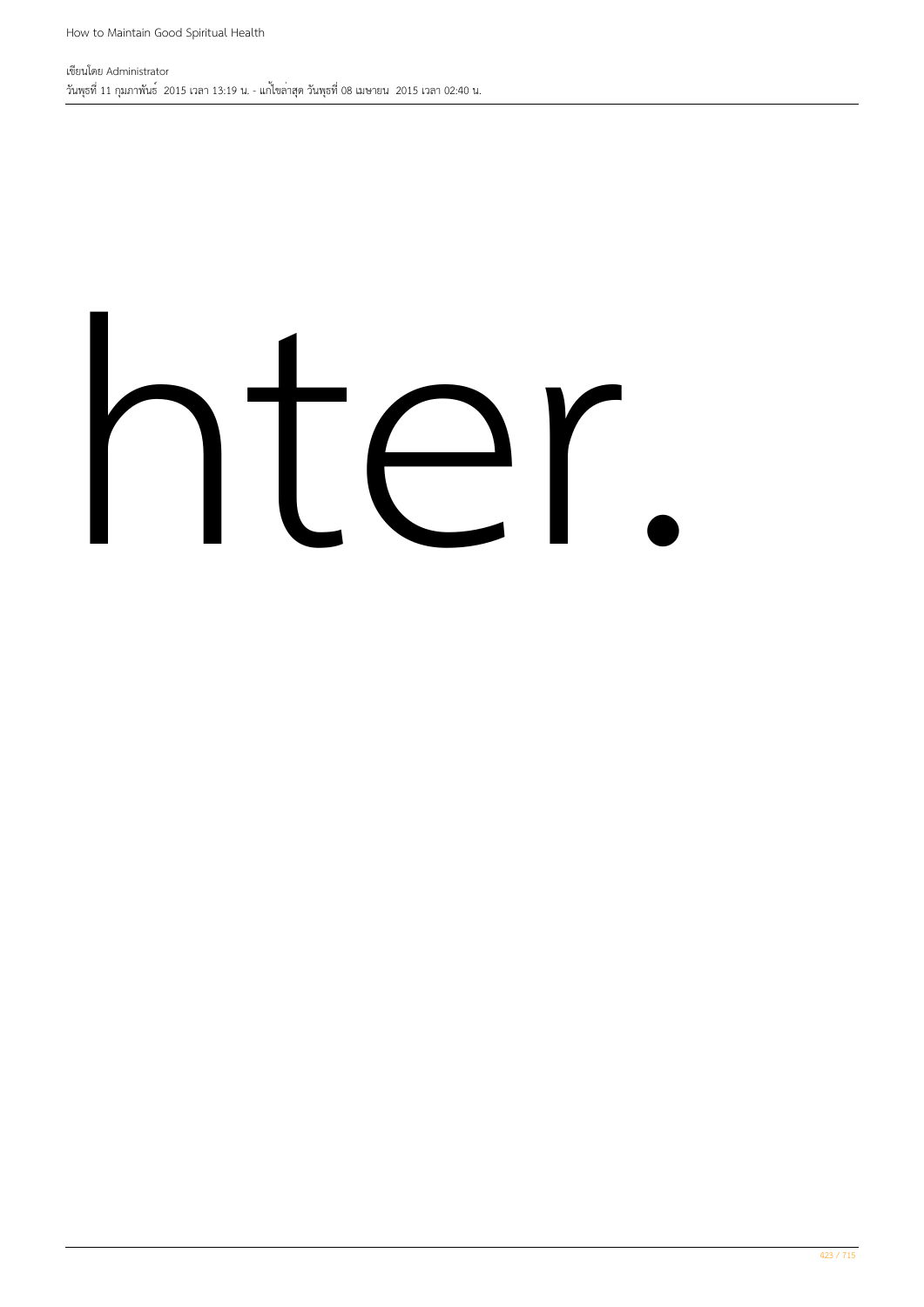# hter.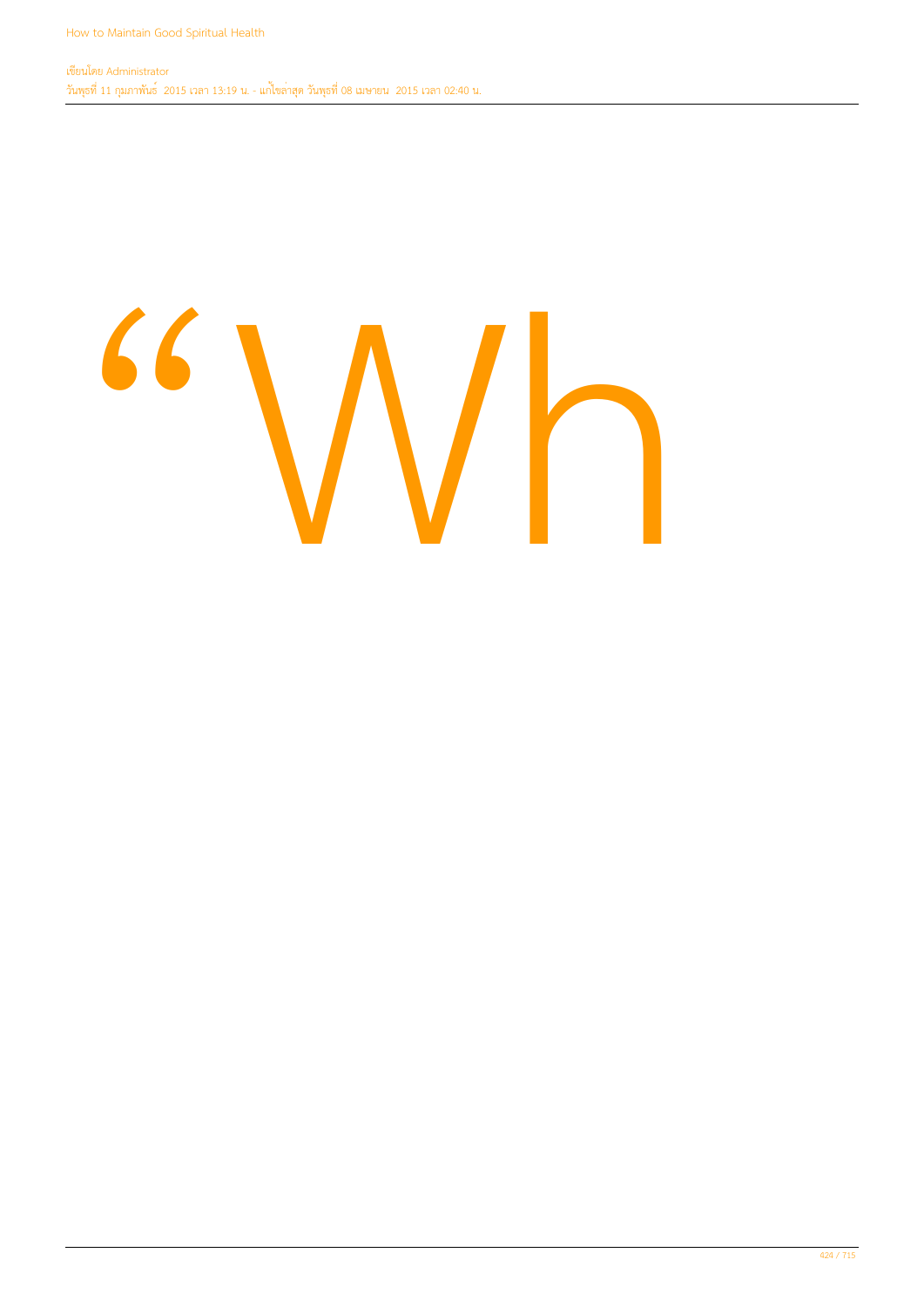"Wh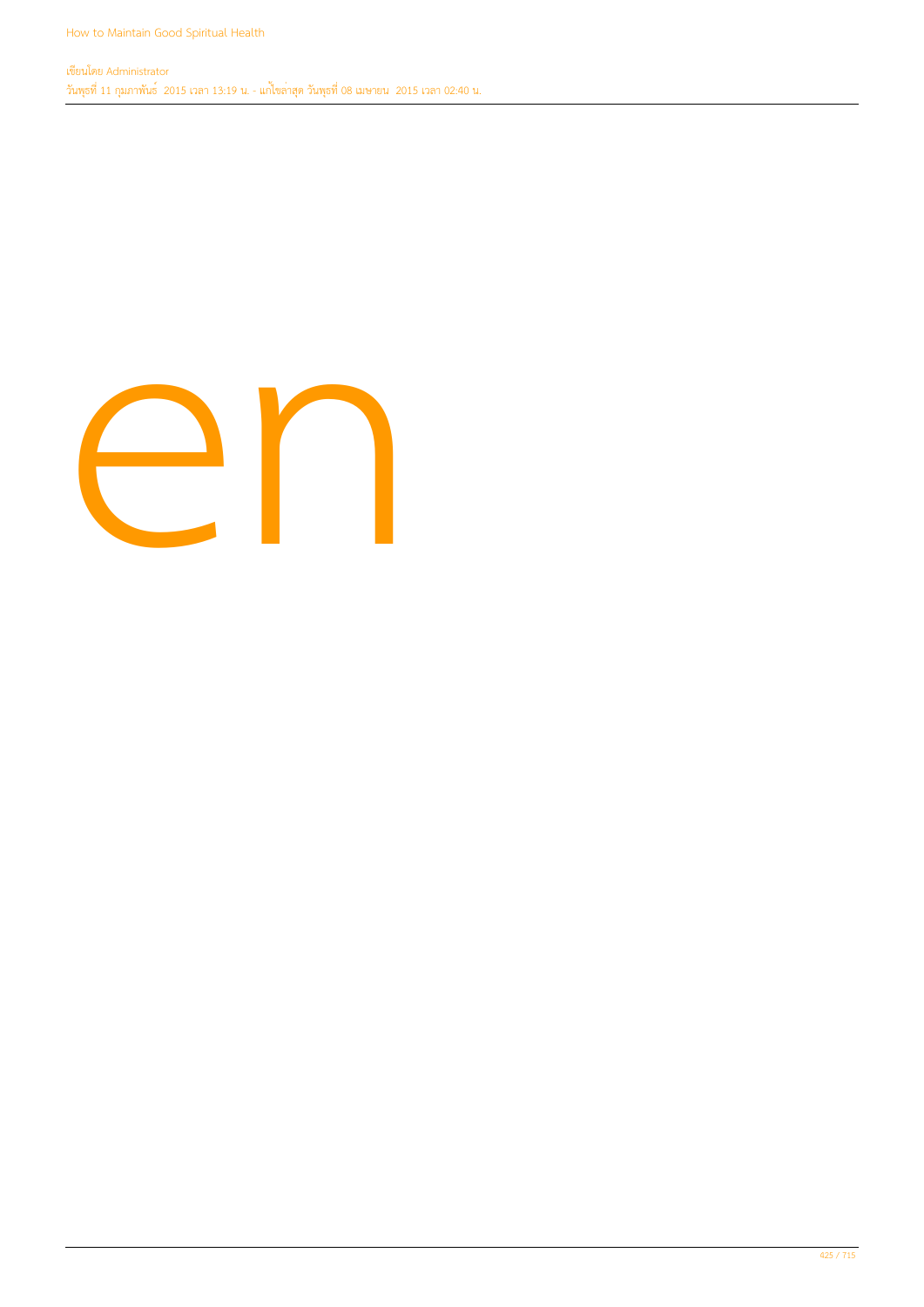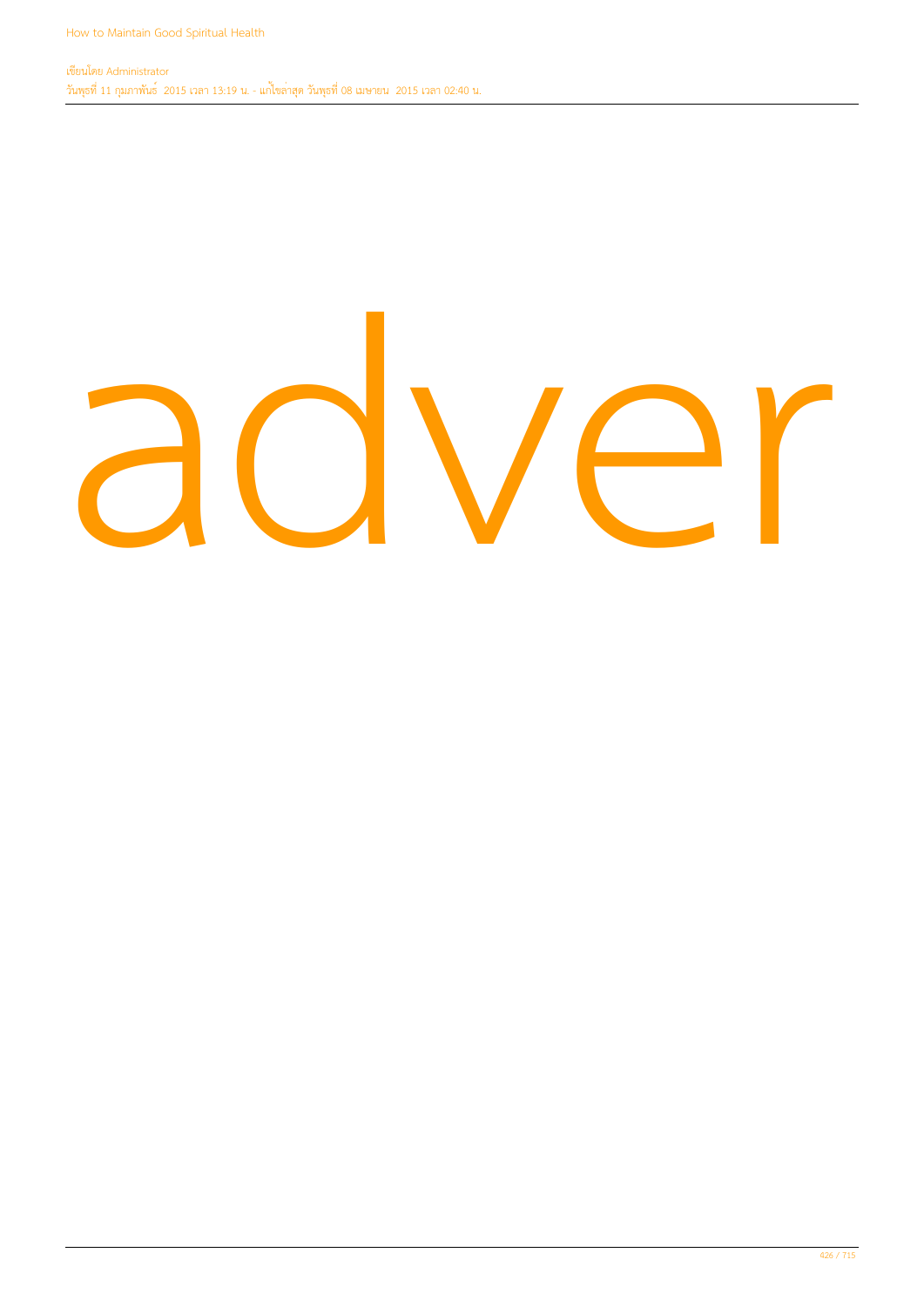# adver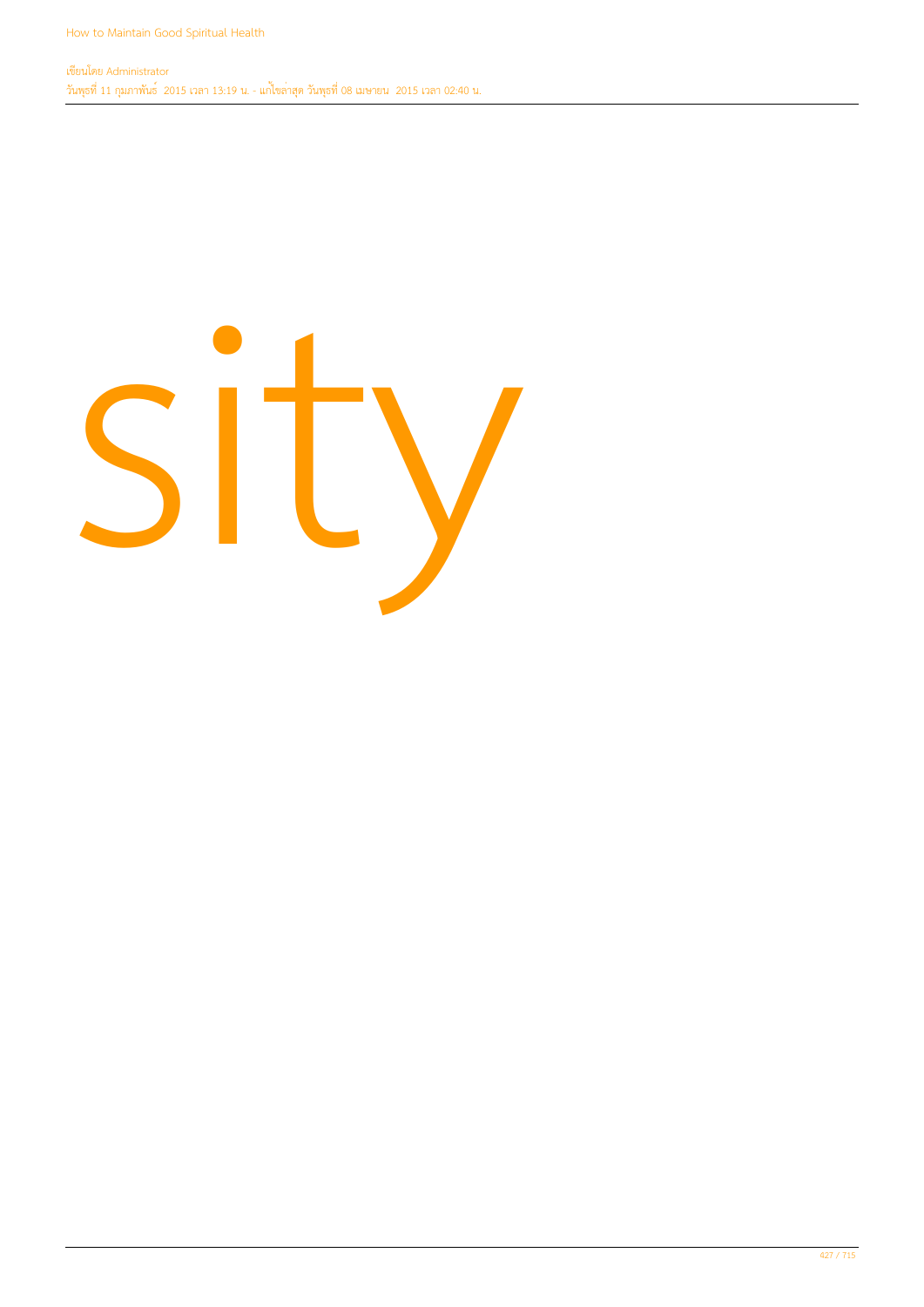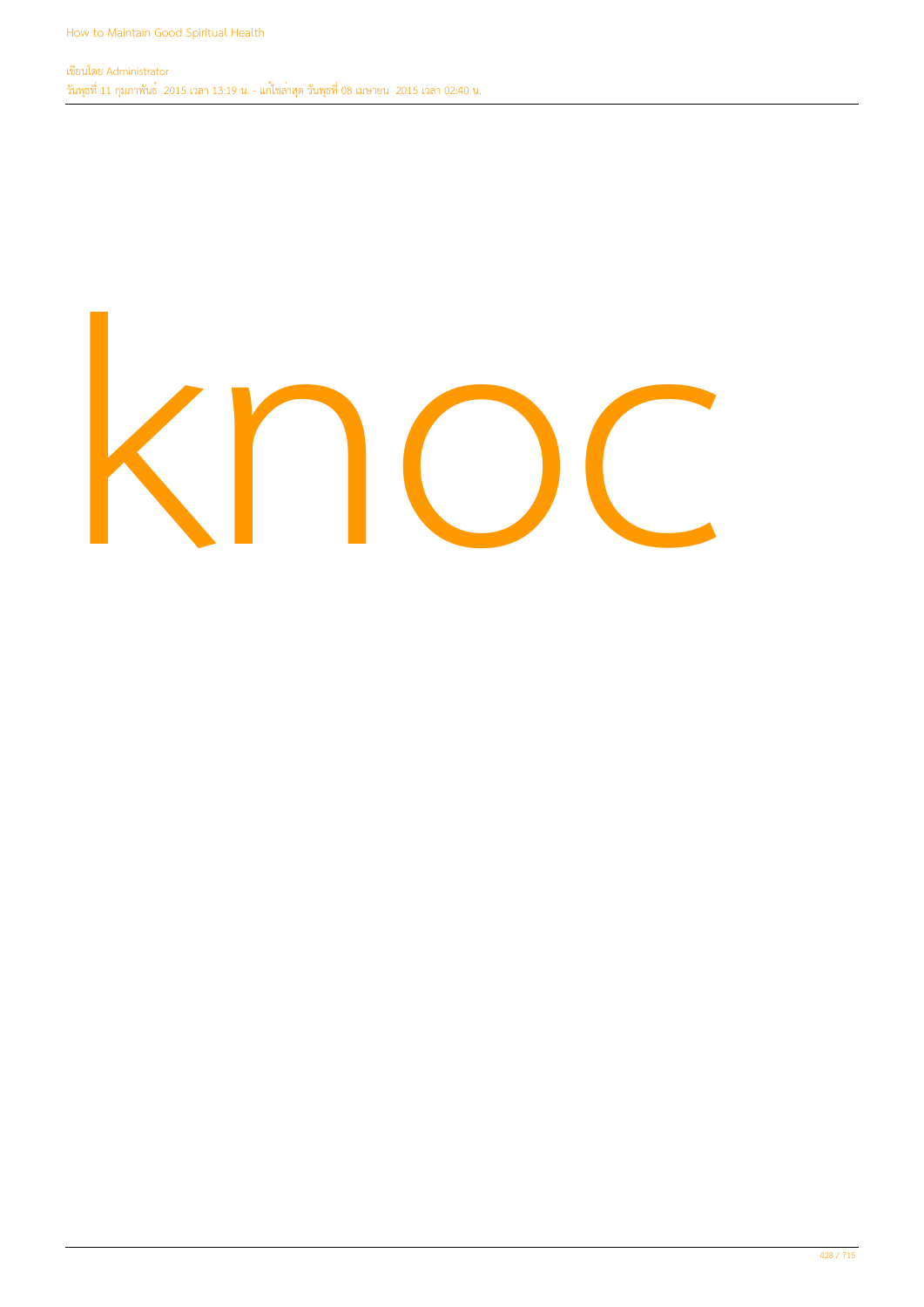# knoc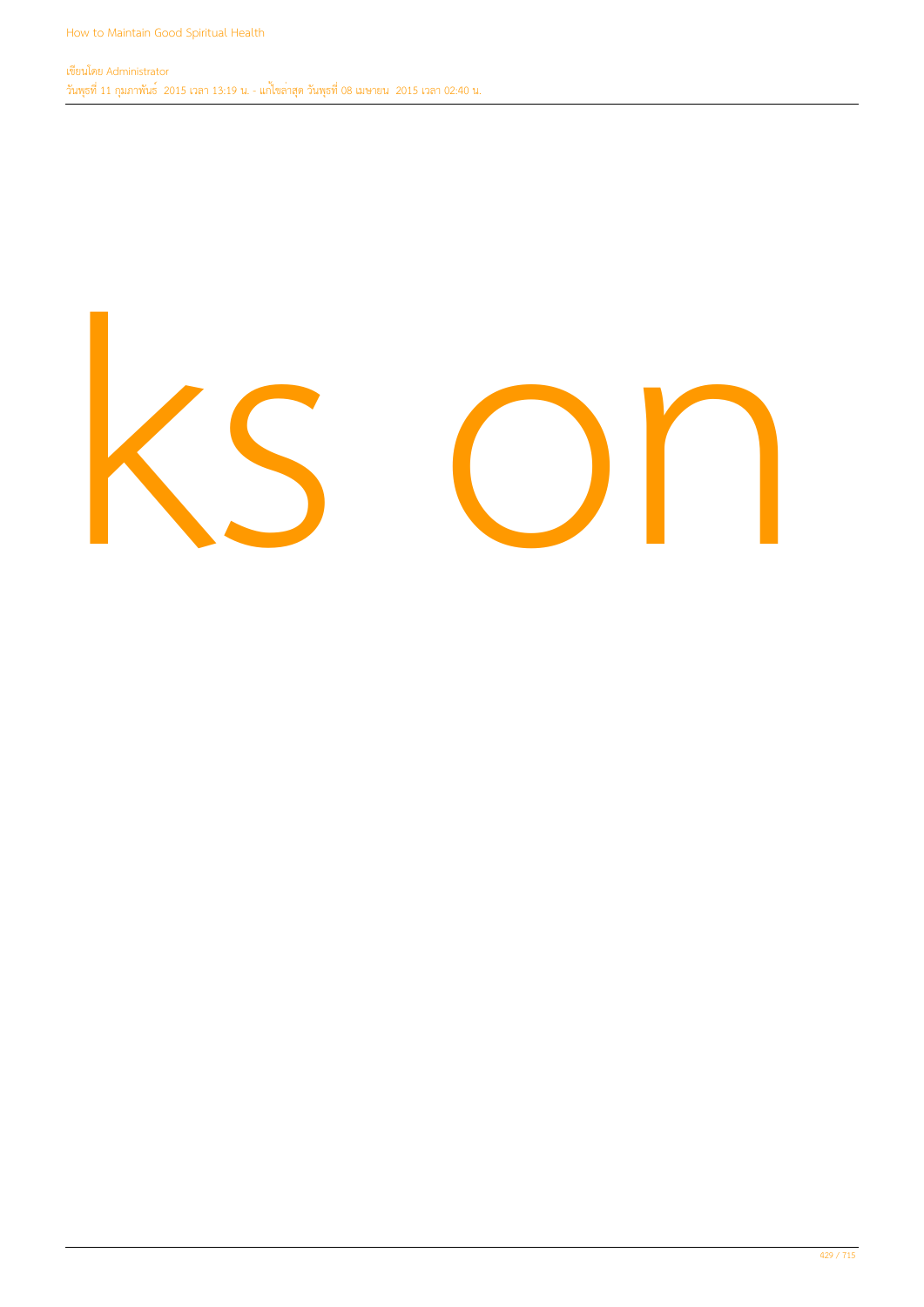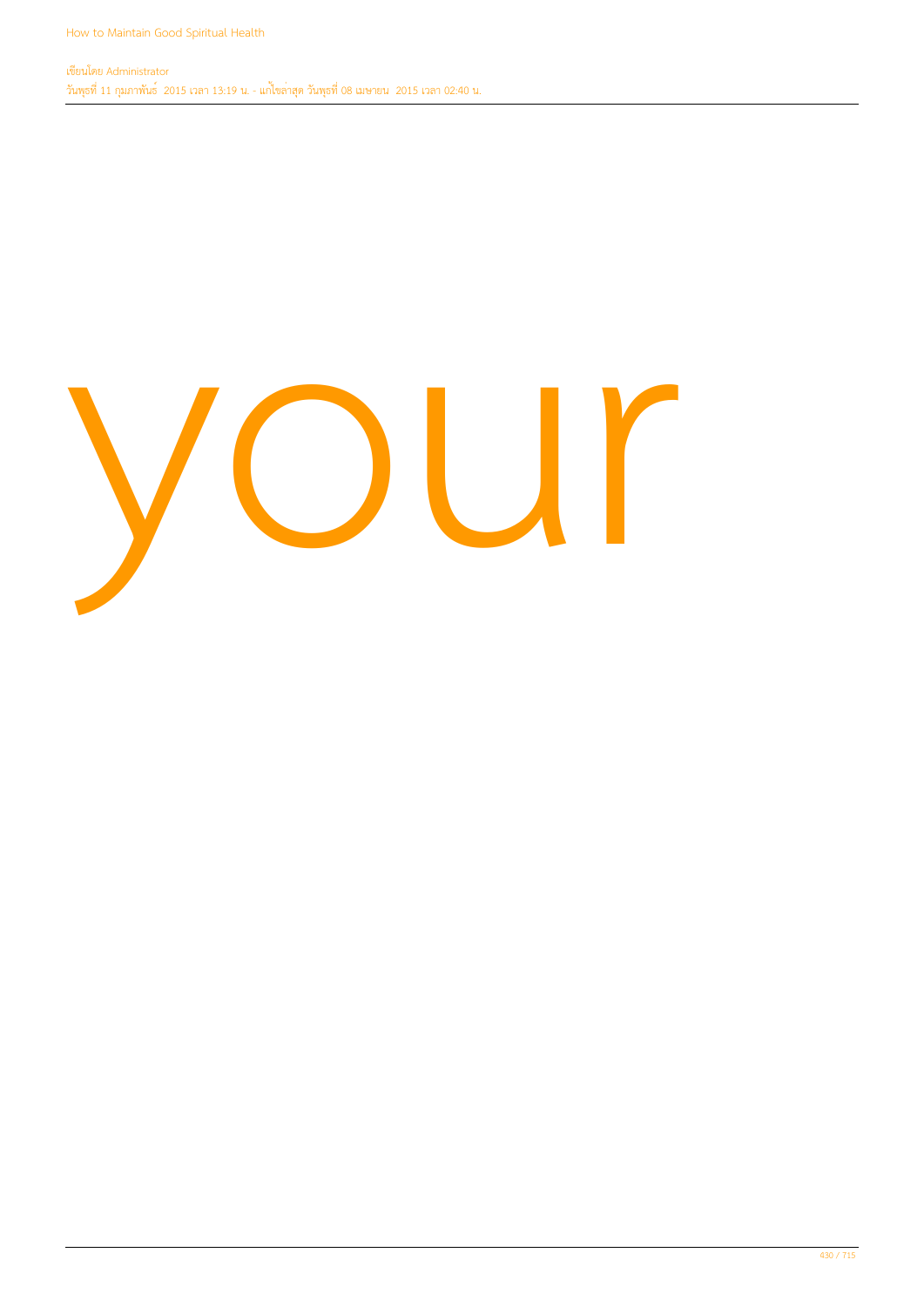### your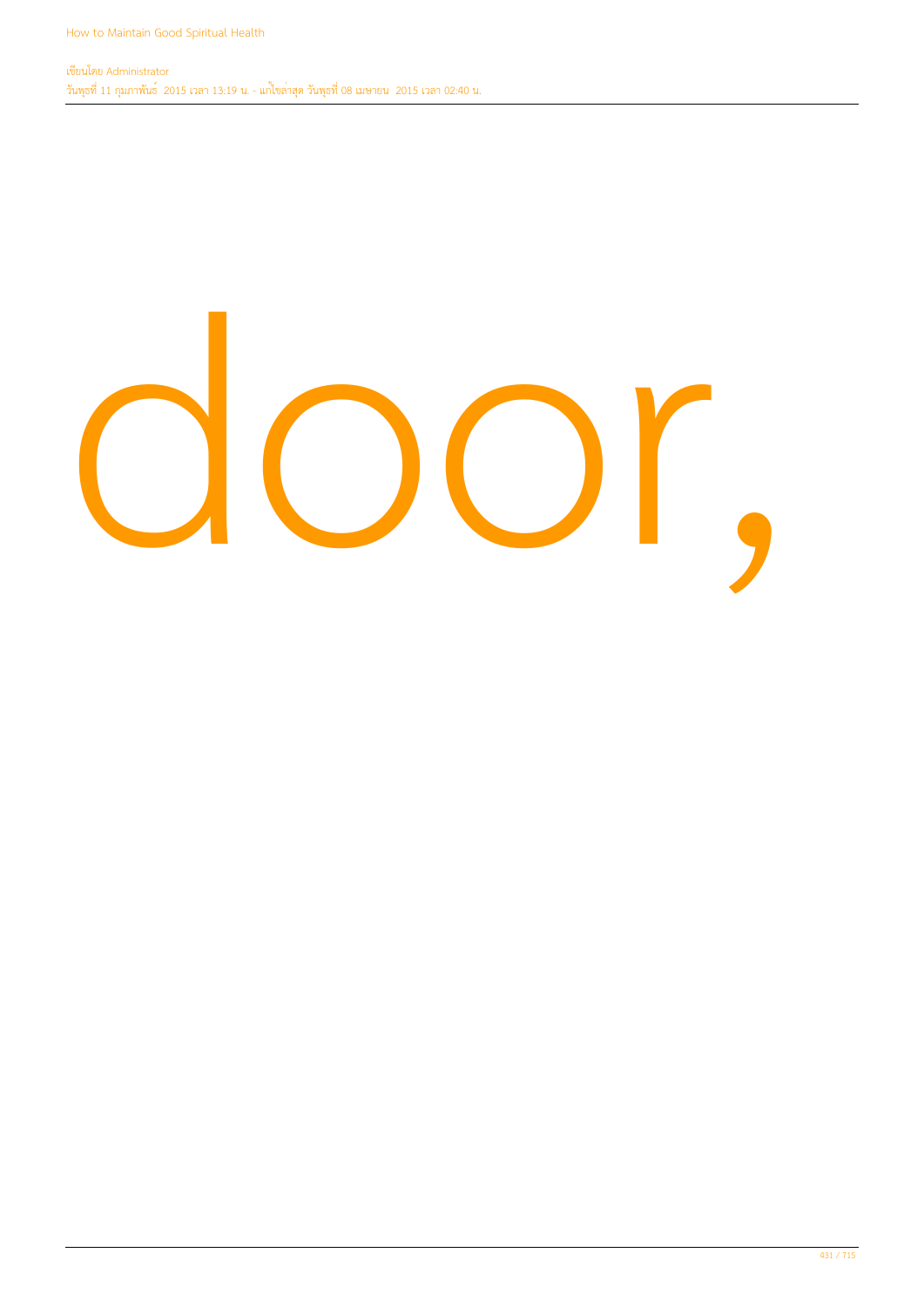# door,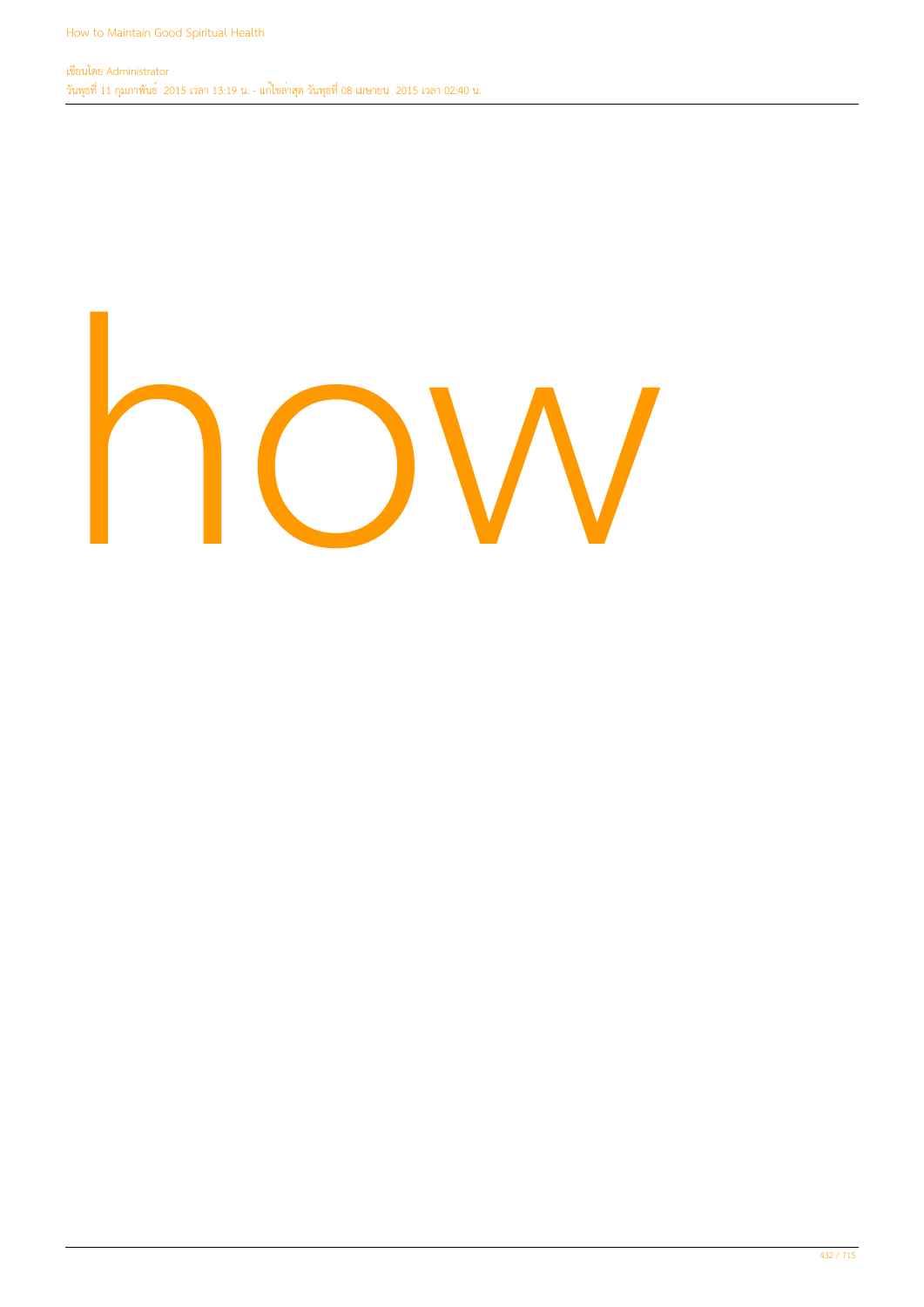# how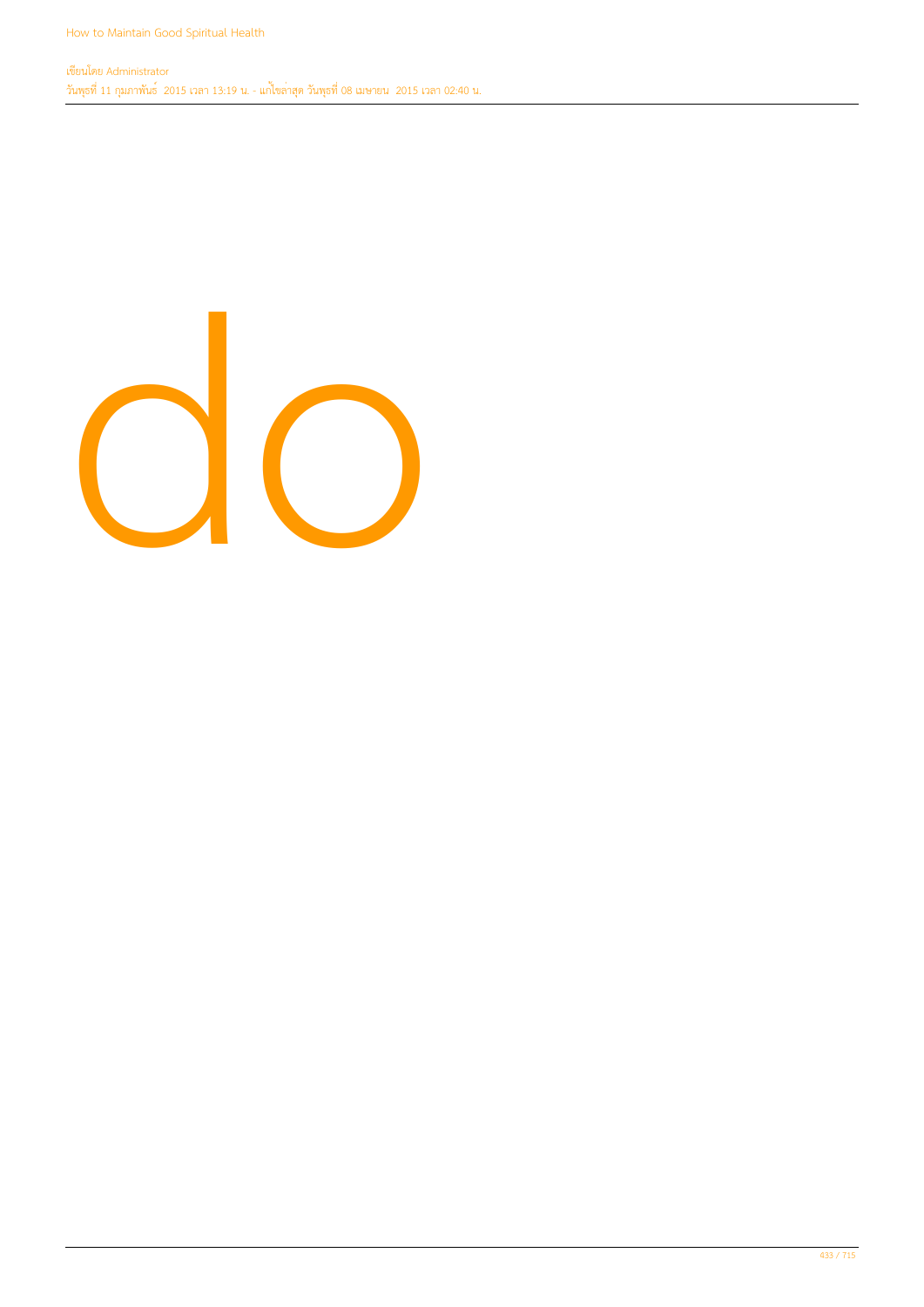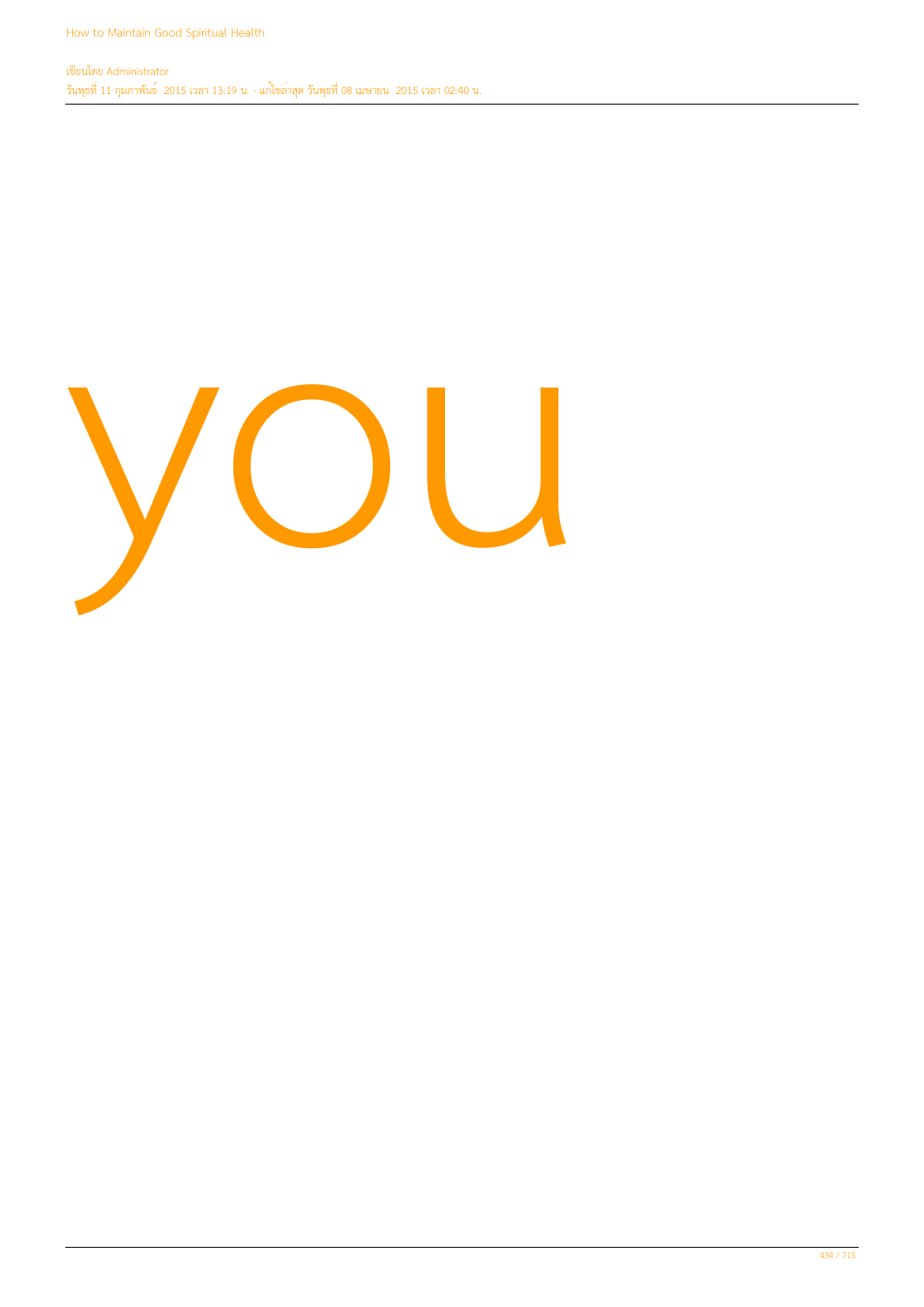you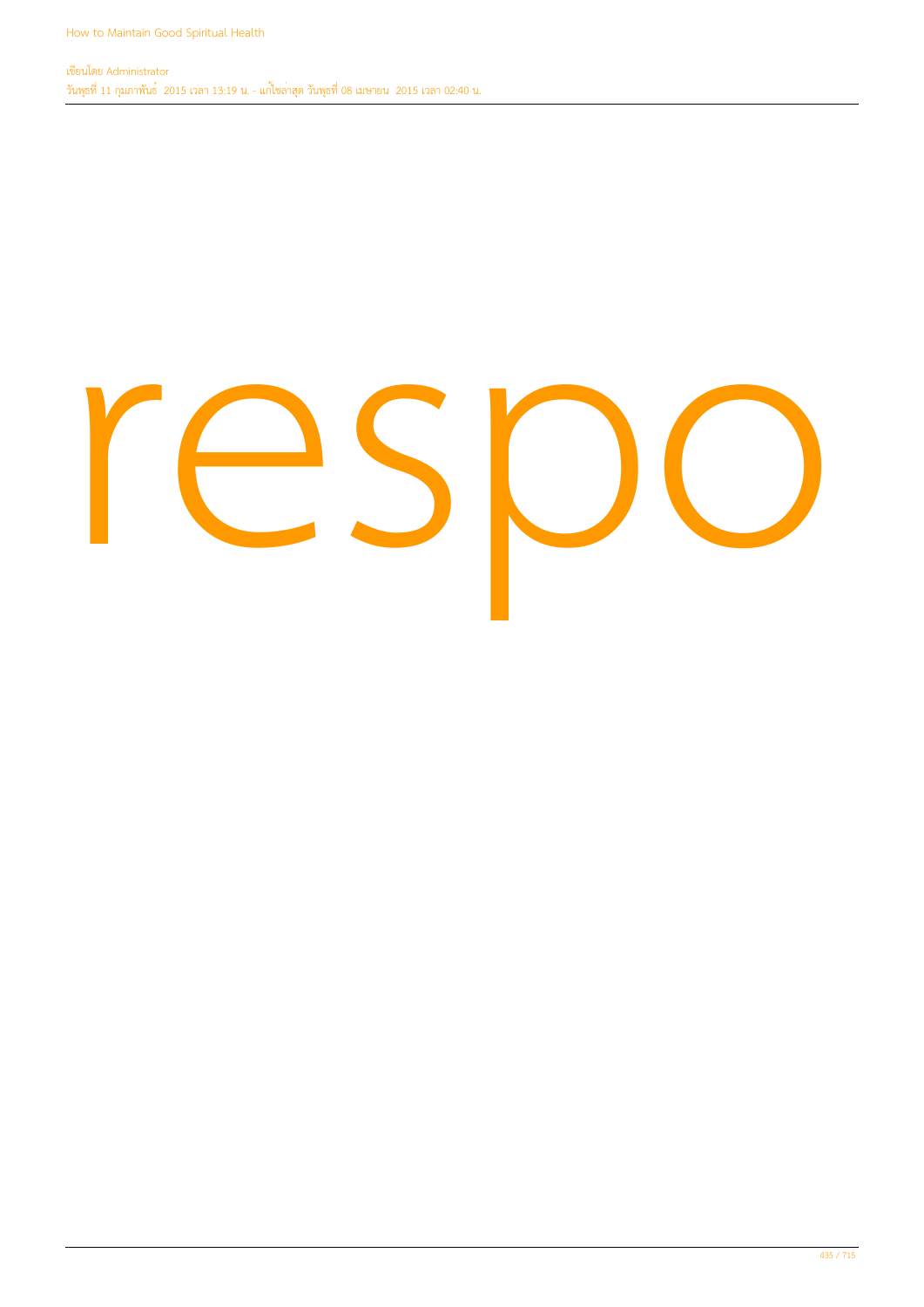# respo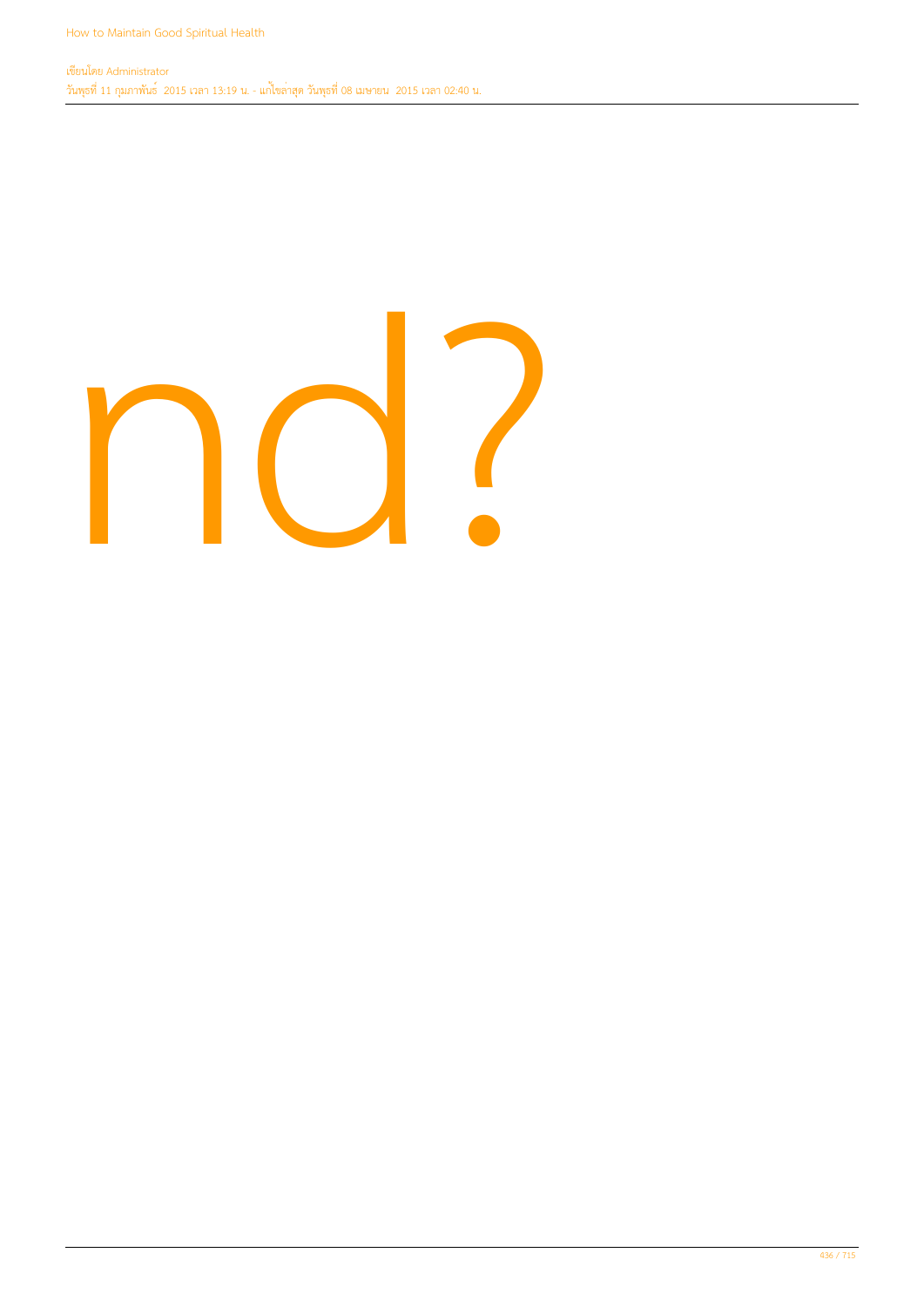# nd?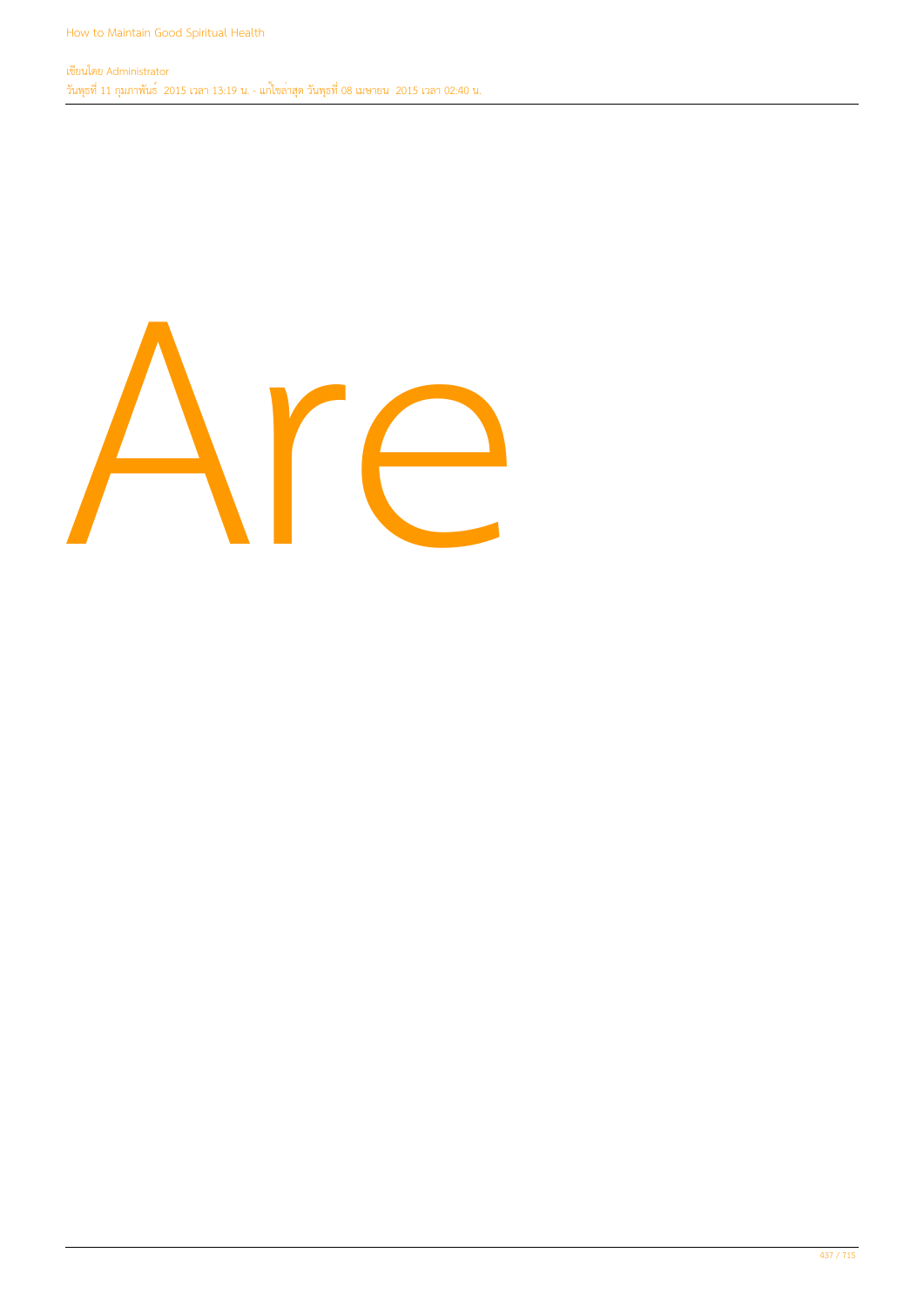# Are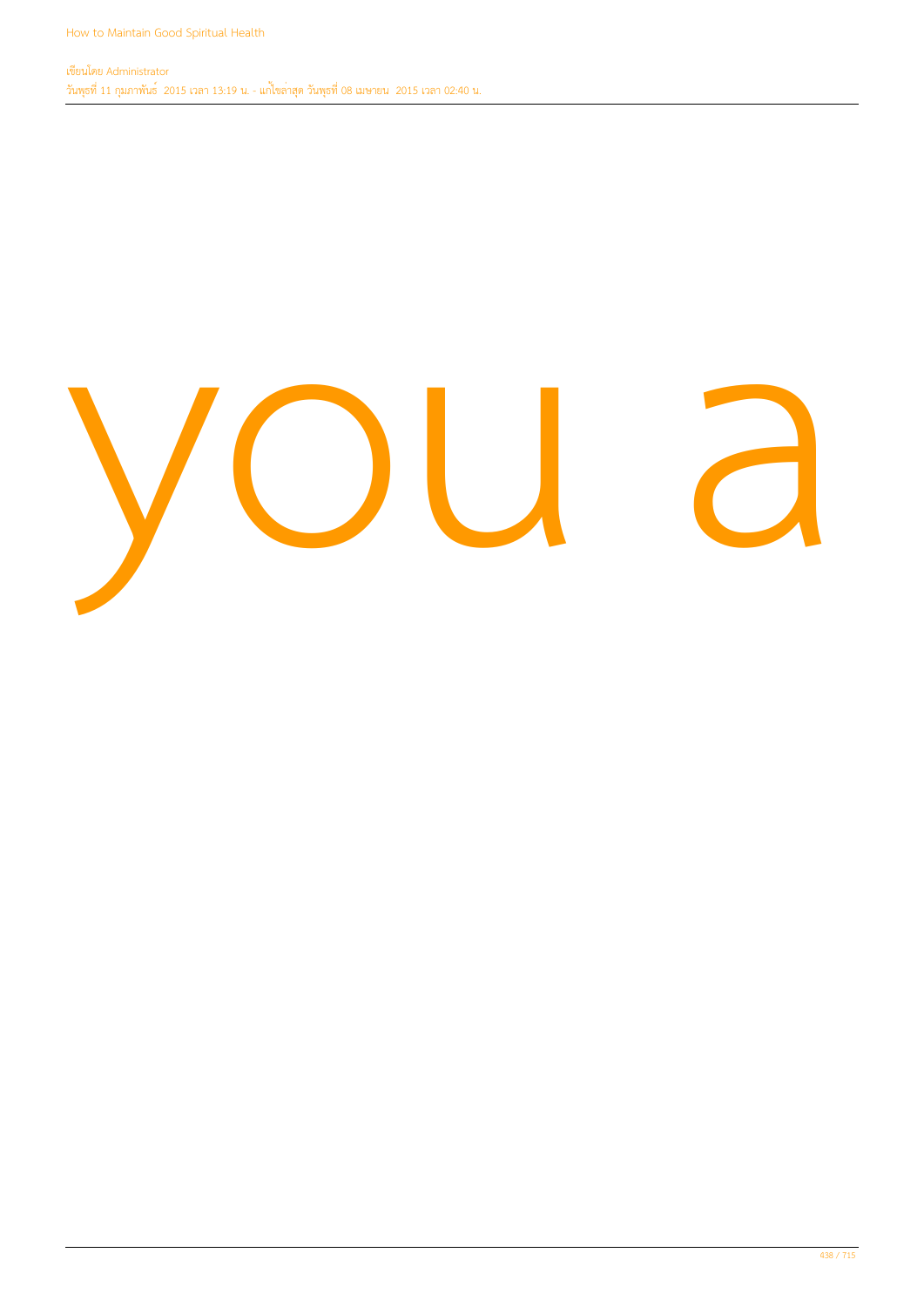# you a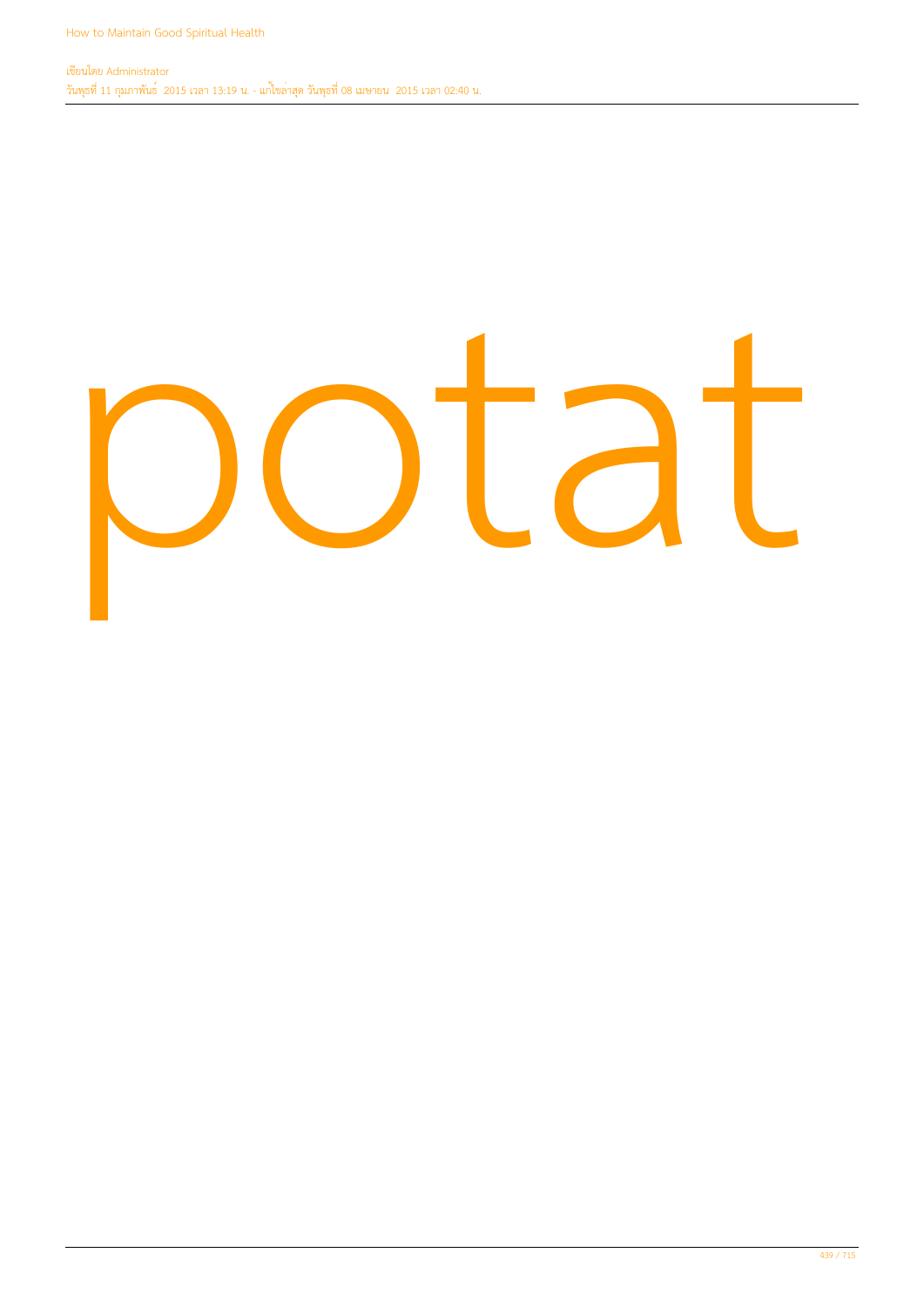# potat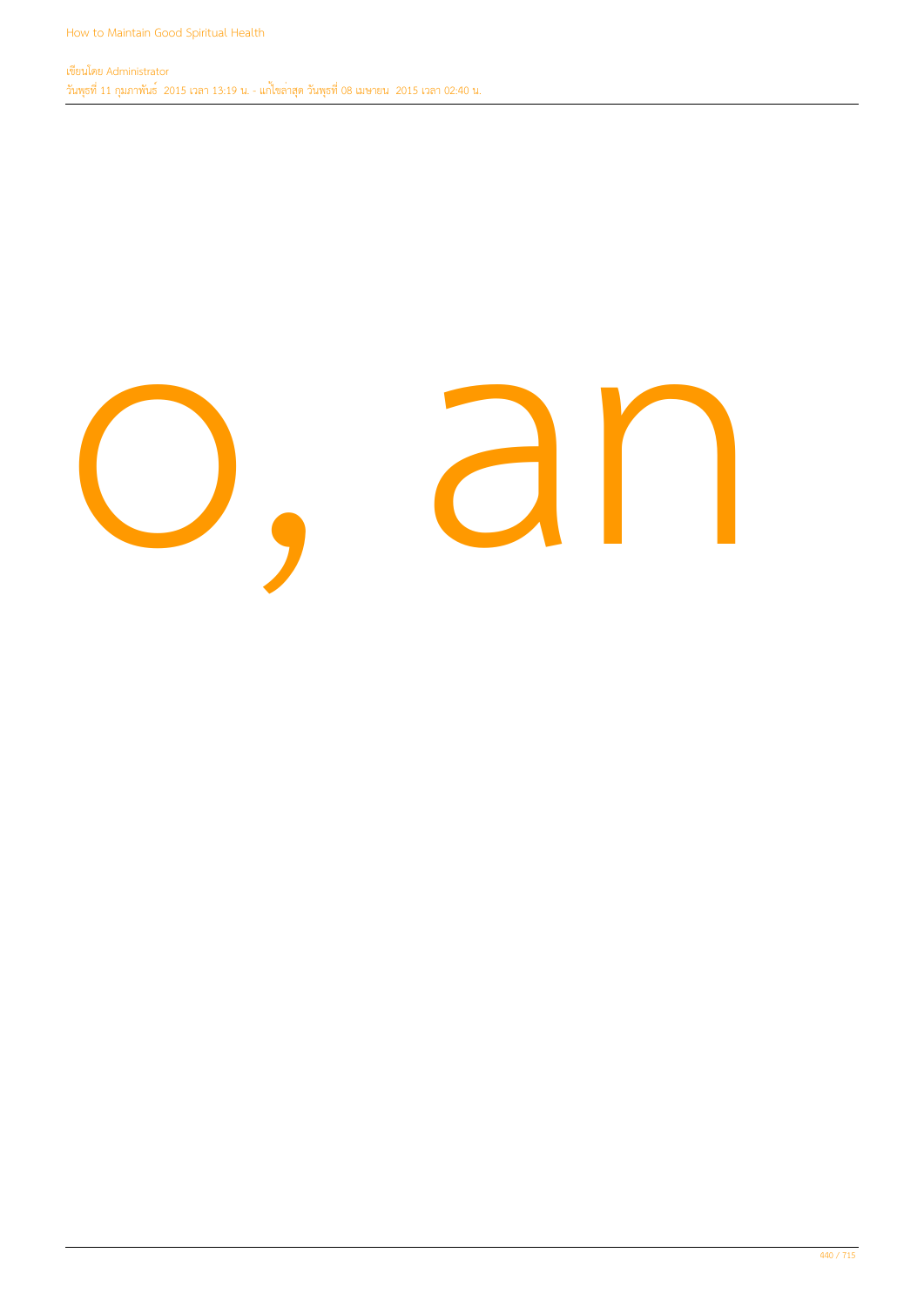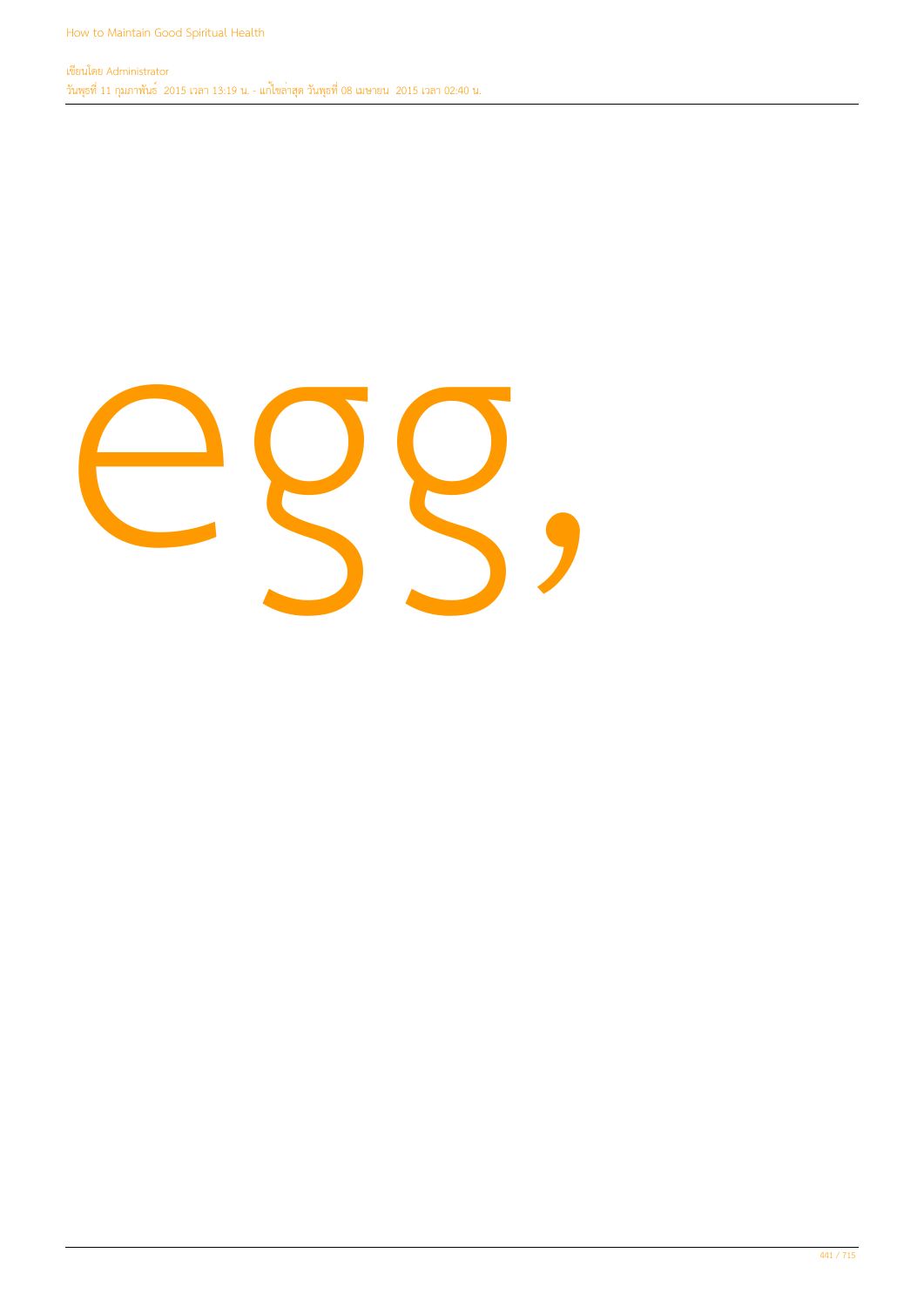# egg,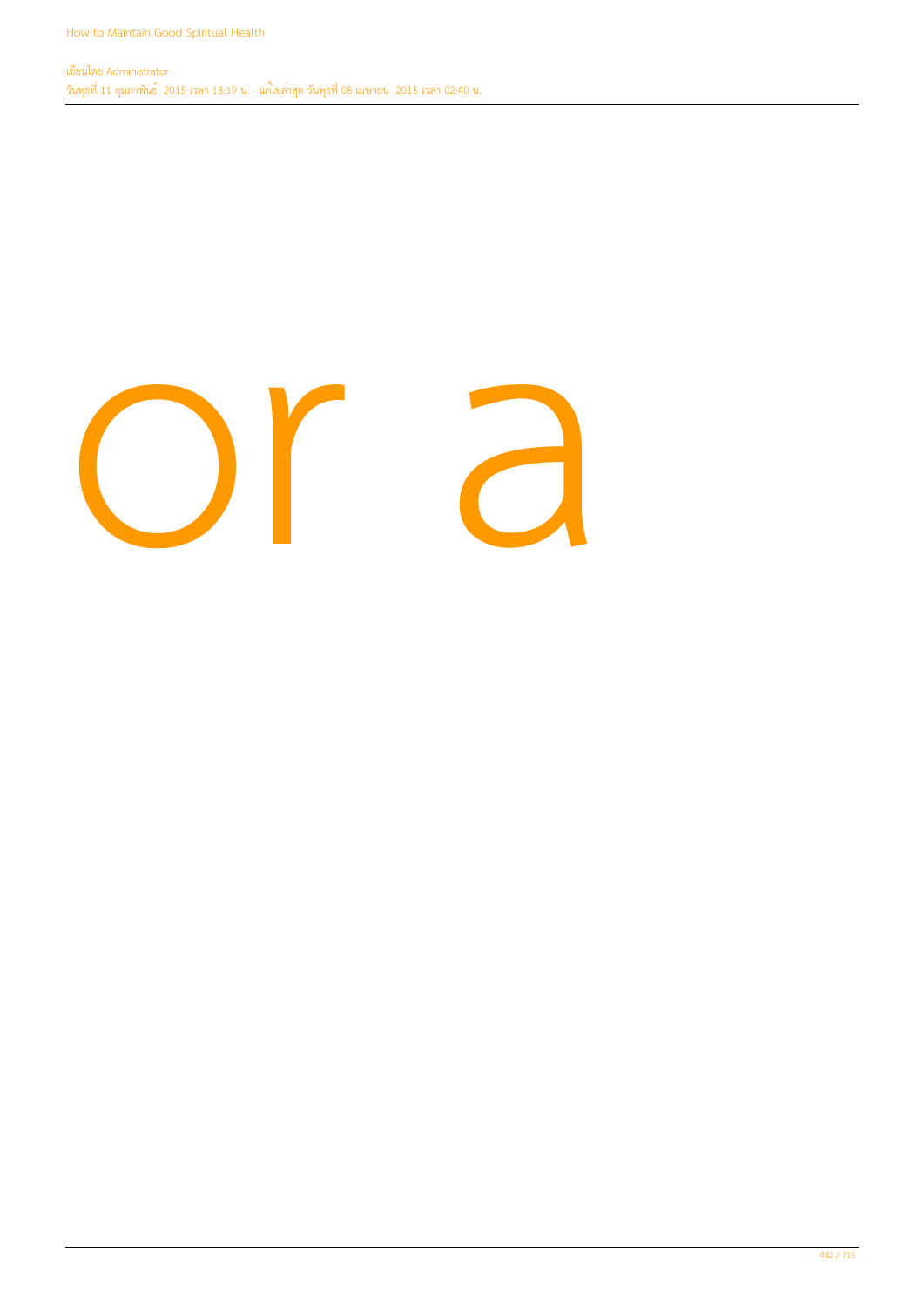#### or a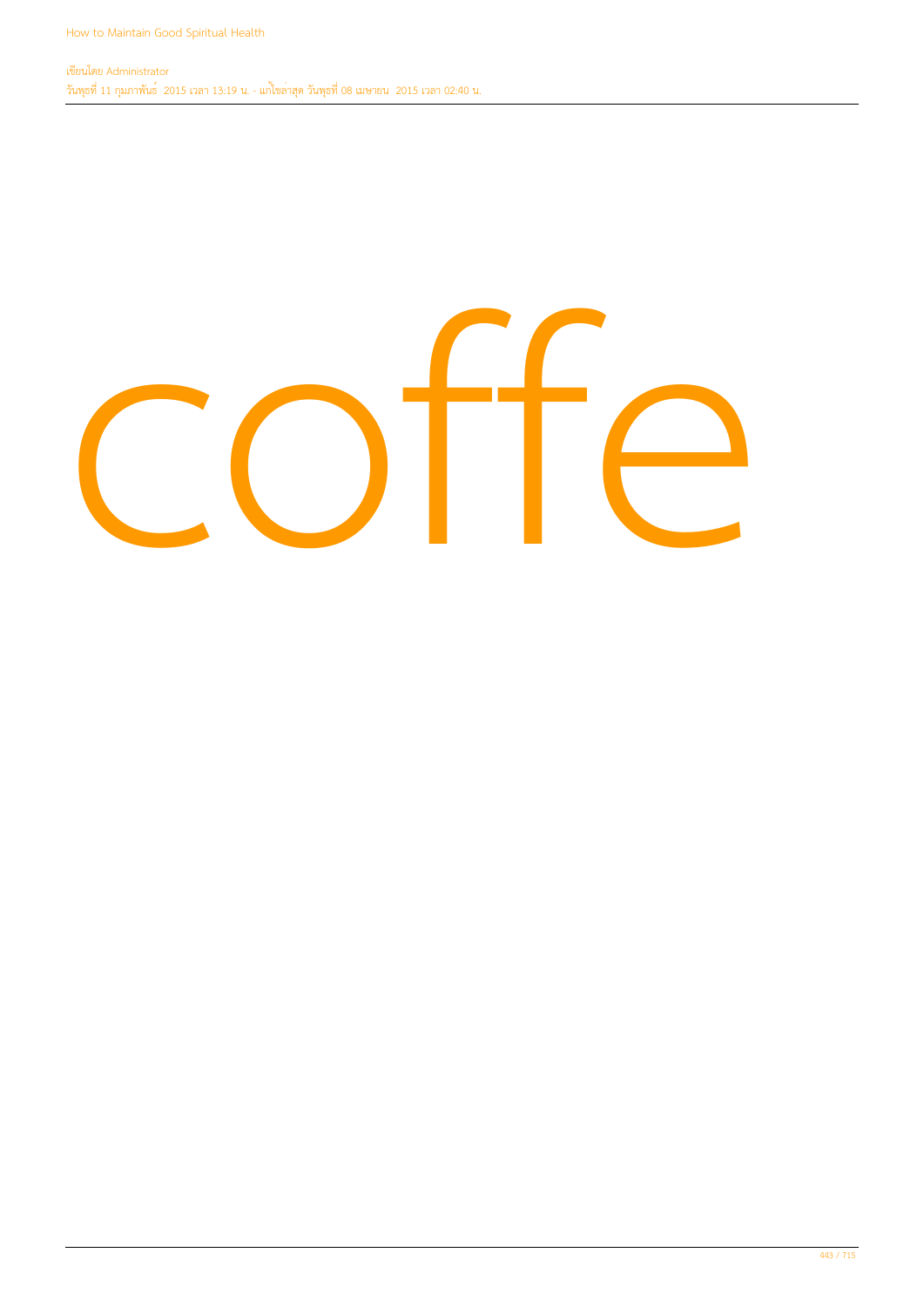# coffe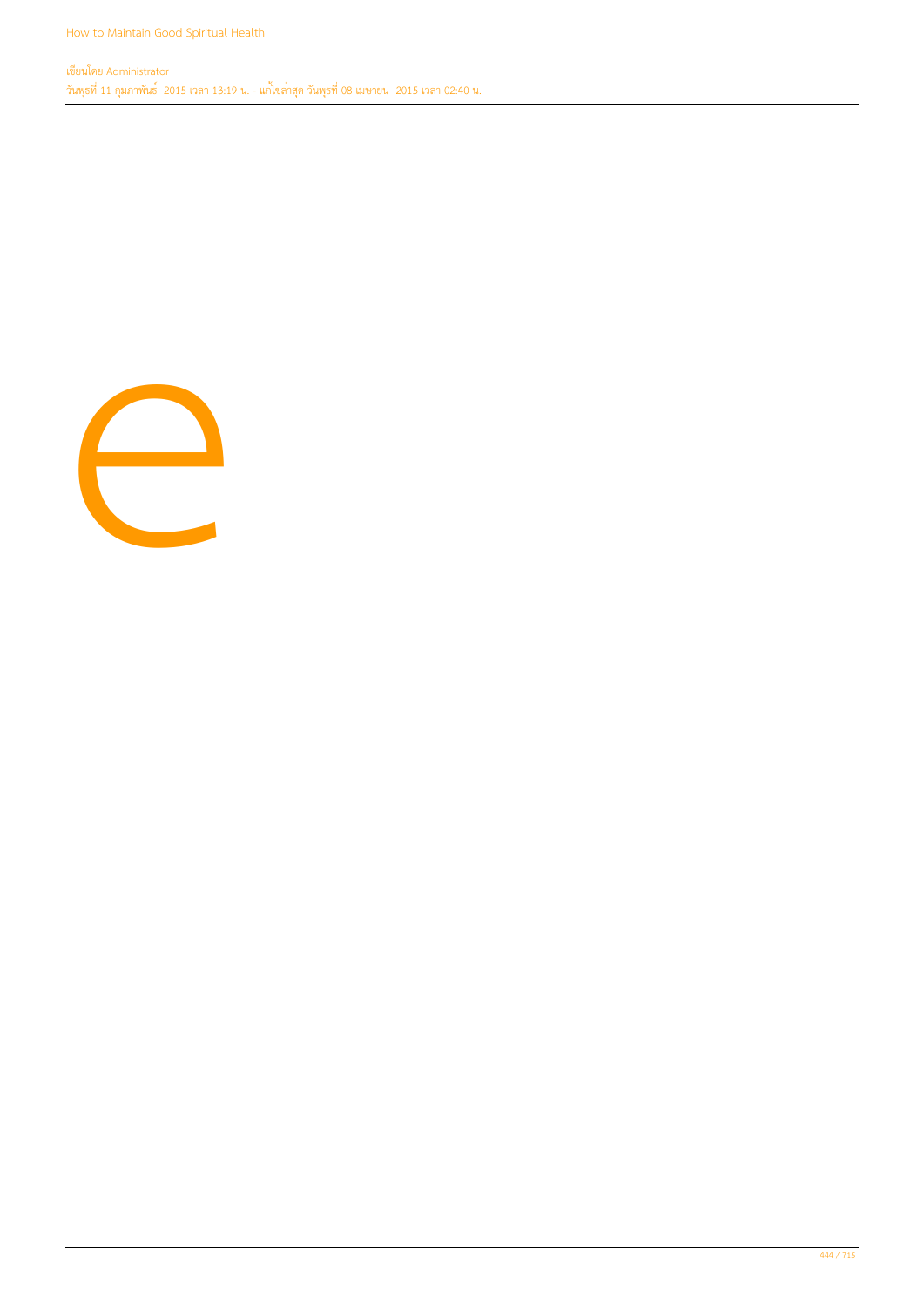#### เขียนโดย Administrator วันพุธที่ 11 กุมภาพันธ์ 2015 เวลา 13:19 น. - แก้ไขล่าสุด วันพุธที่ 08 เมษายน 2015 เวลา 02:40 น.

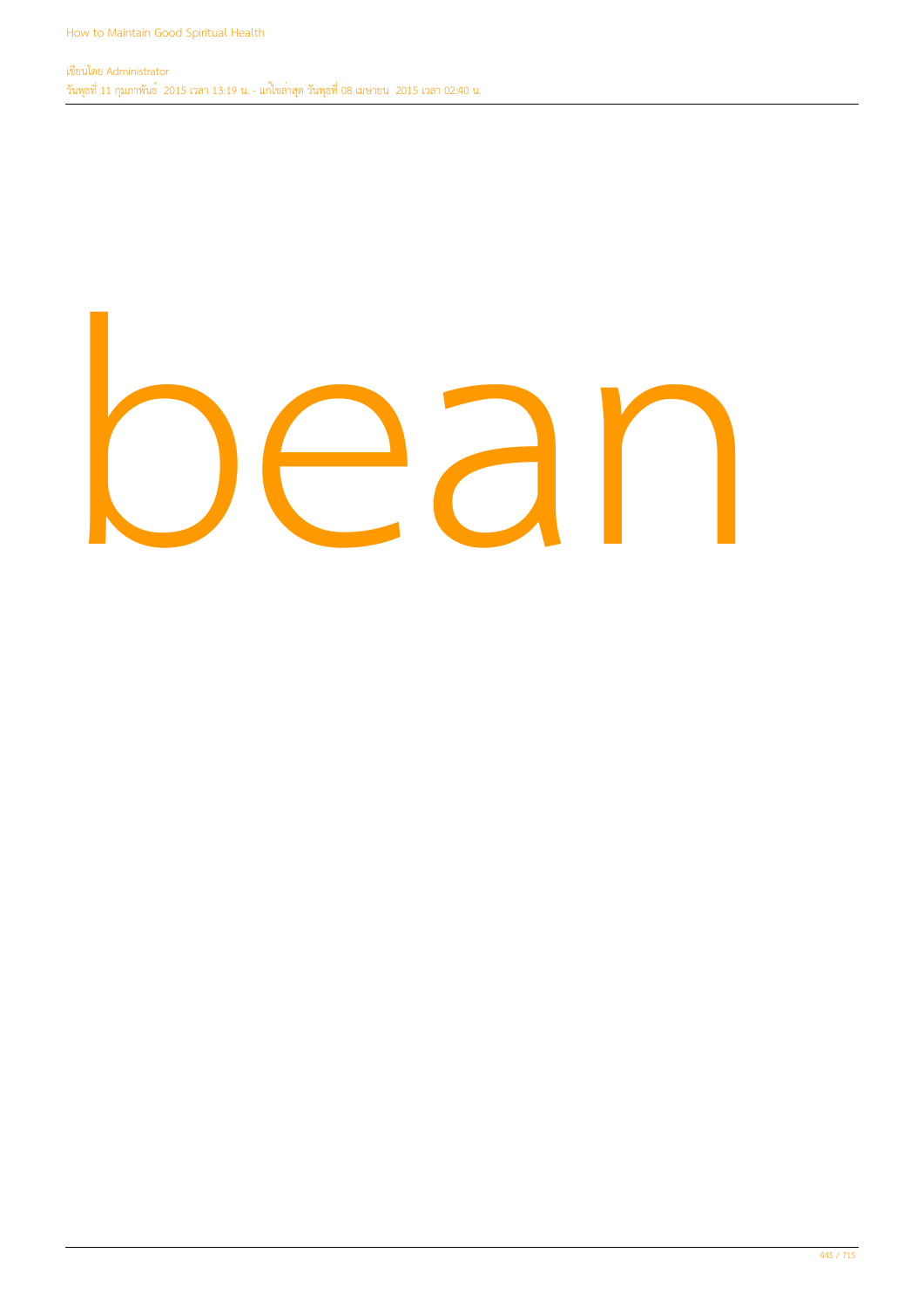#### $\Box$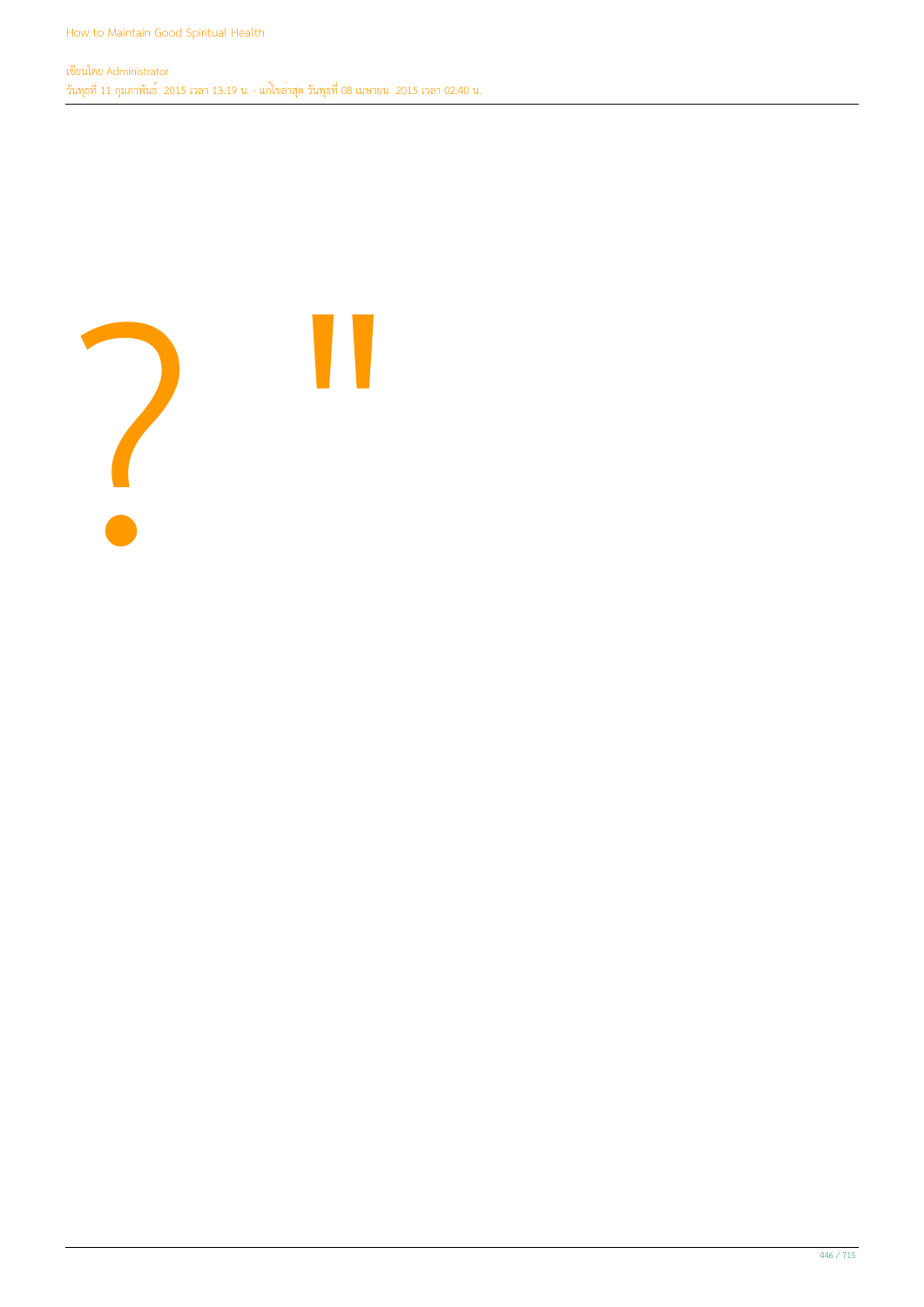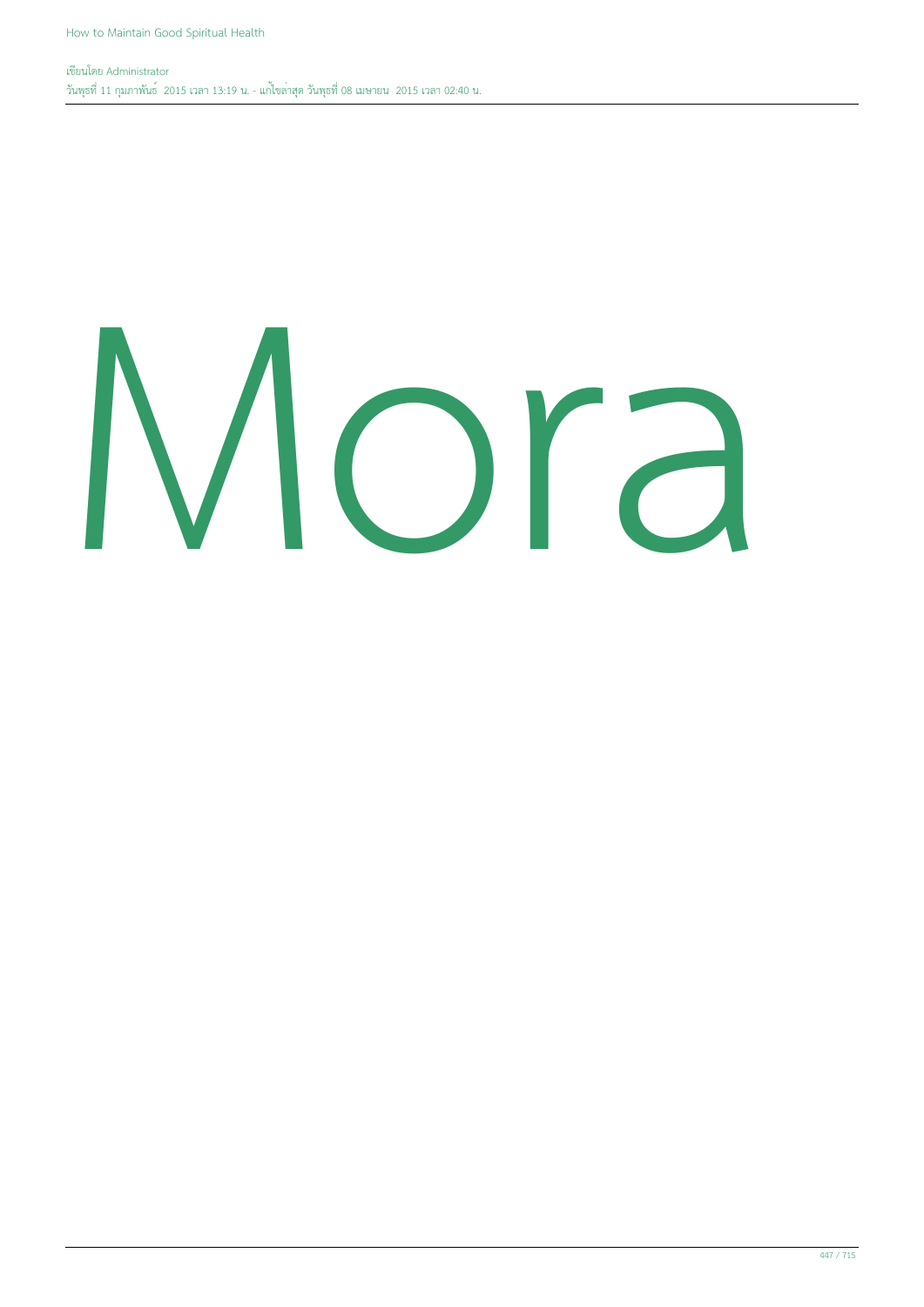### Mora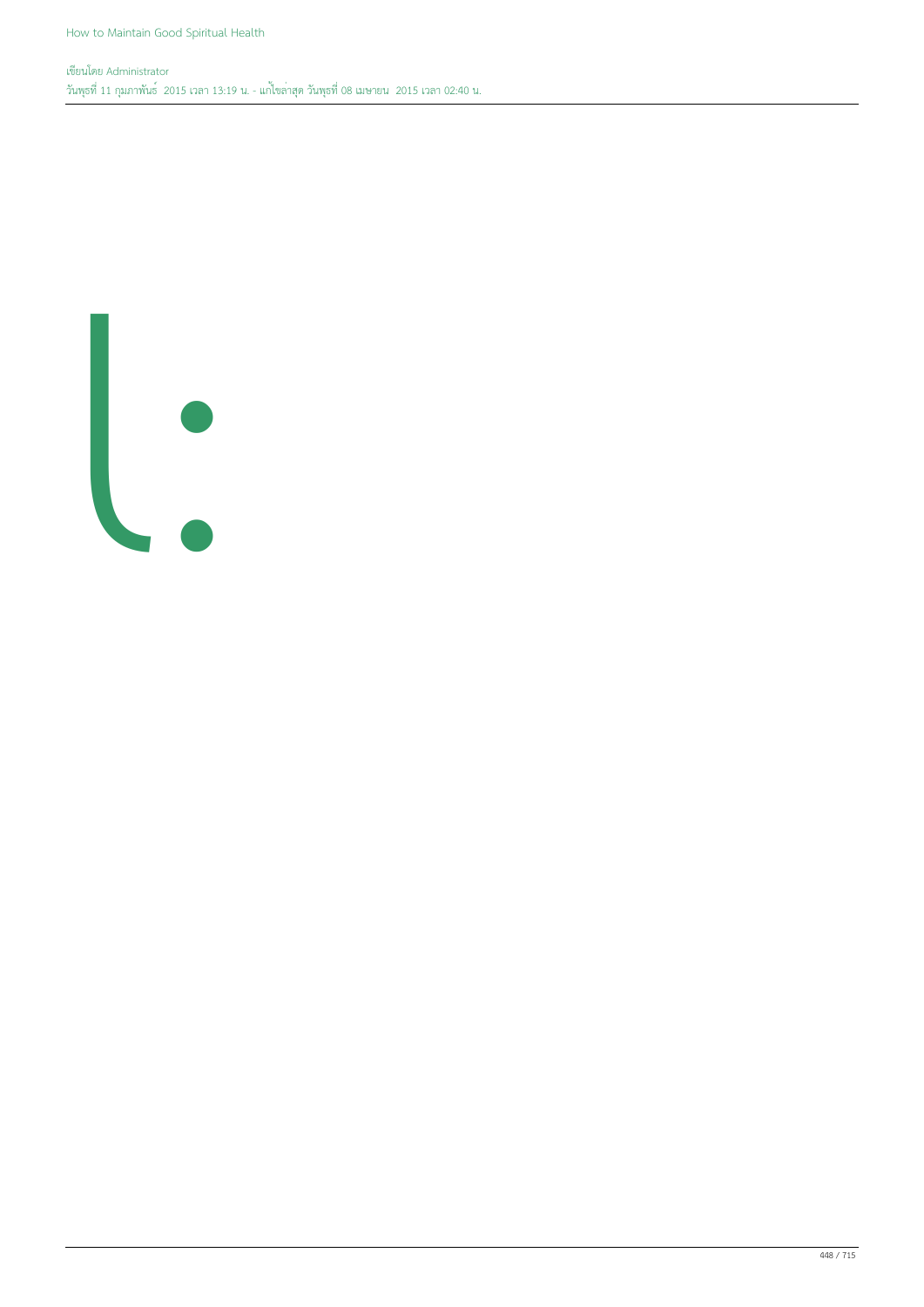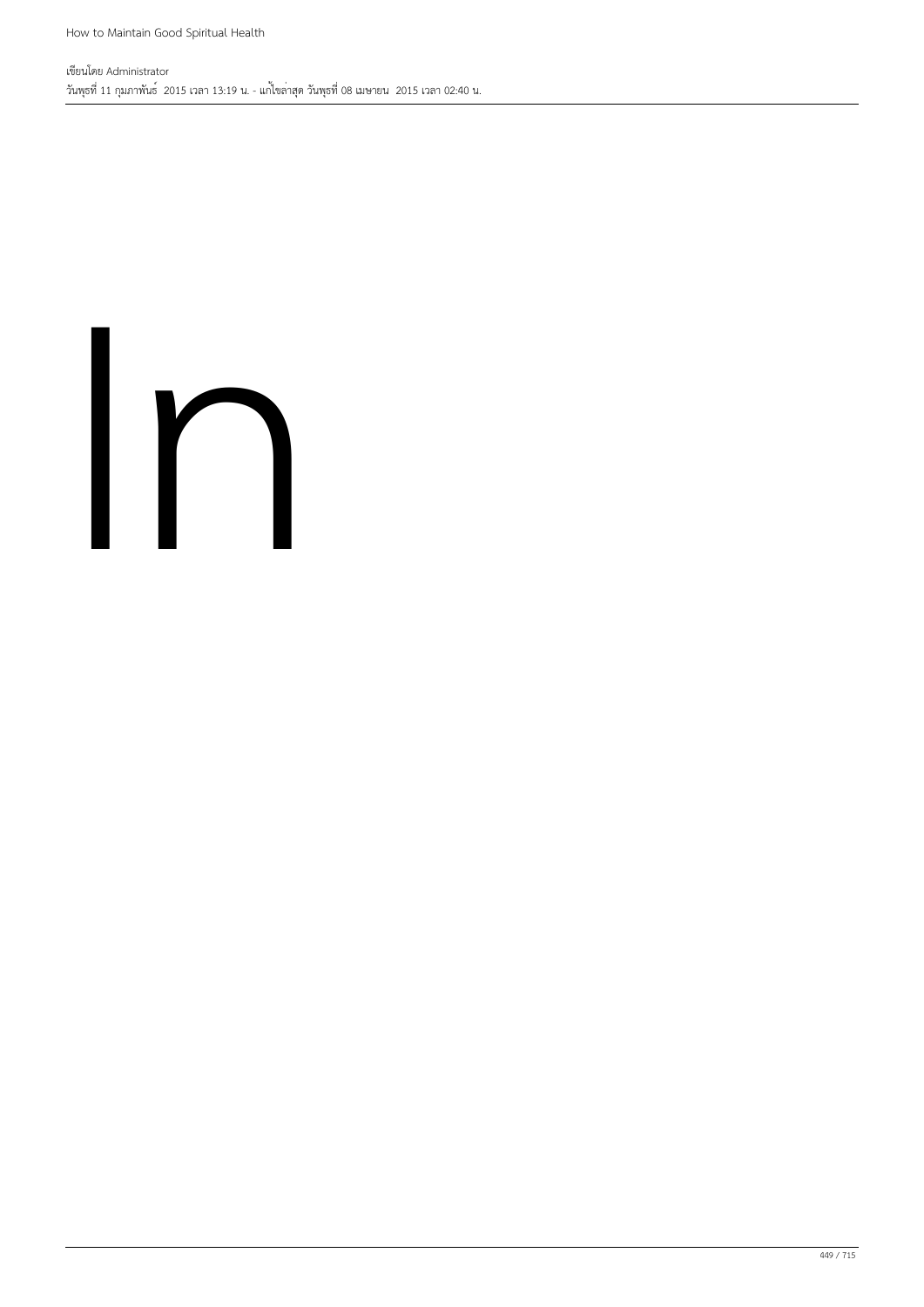#### In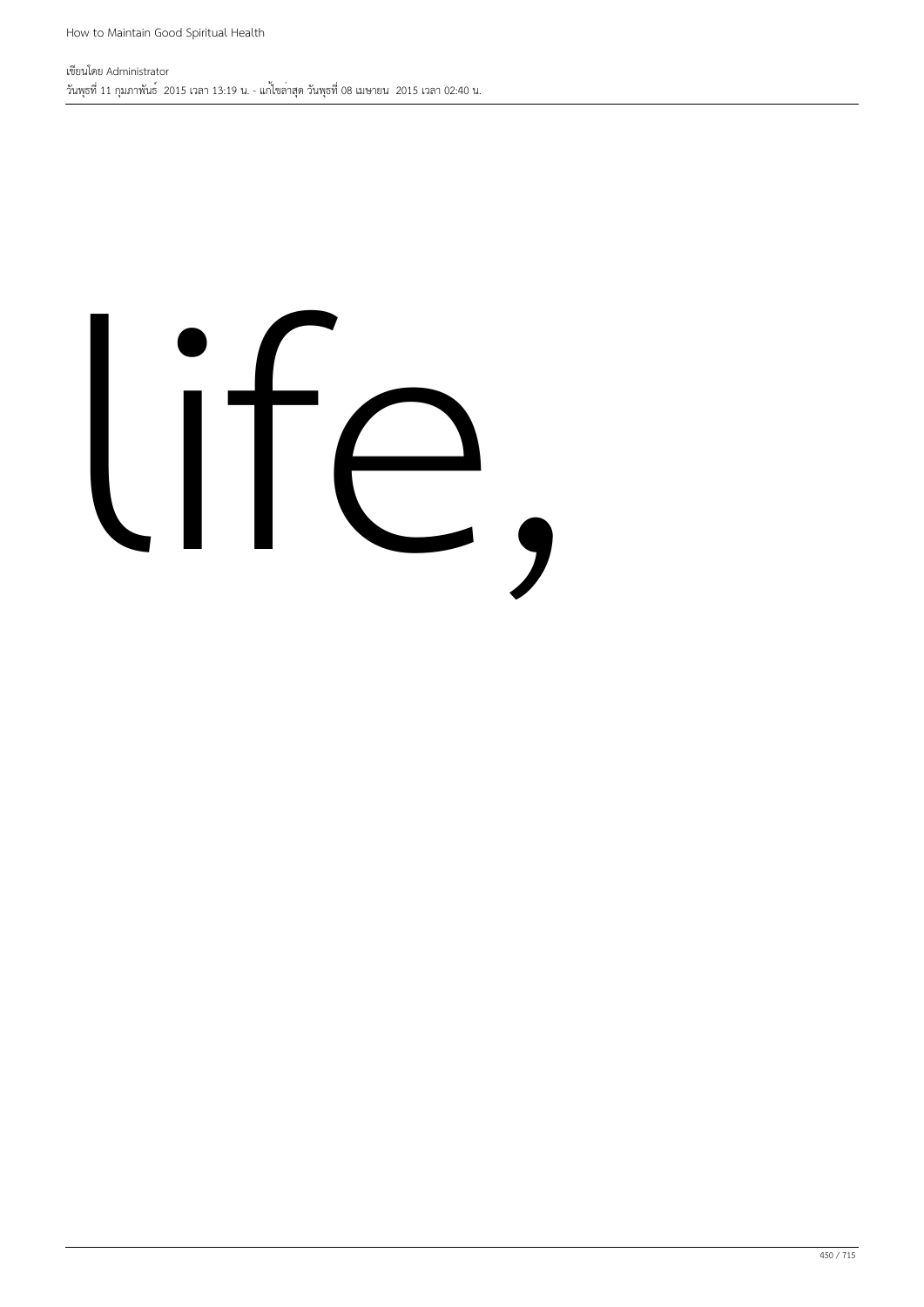## life,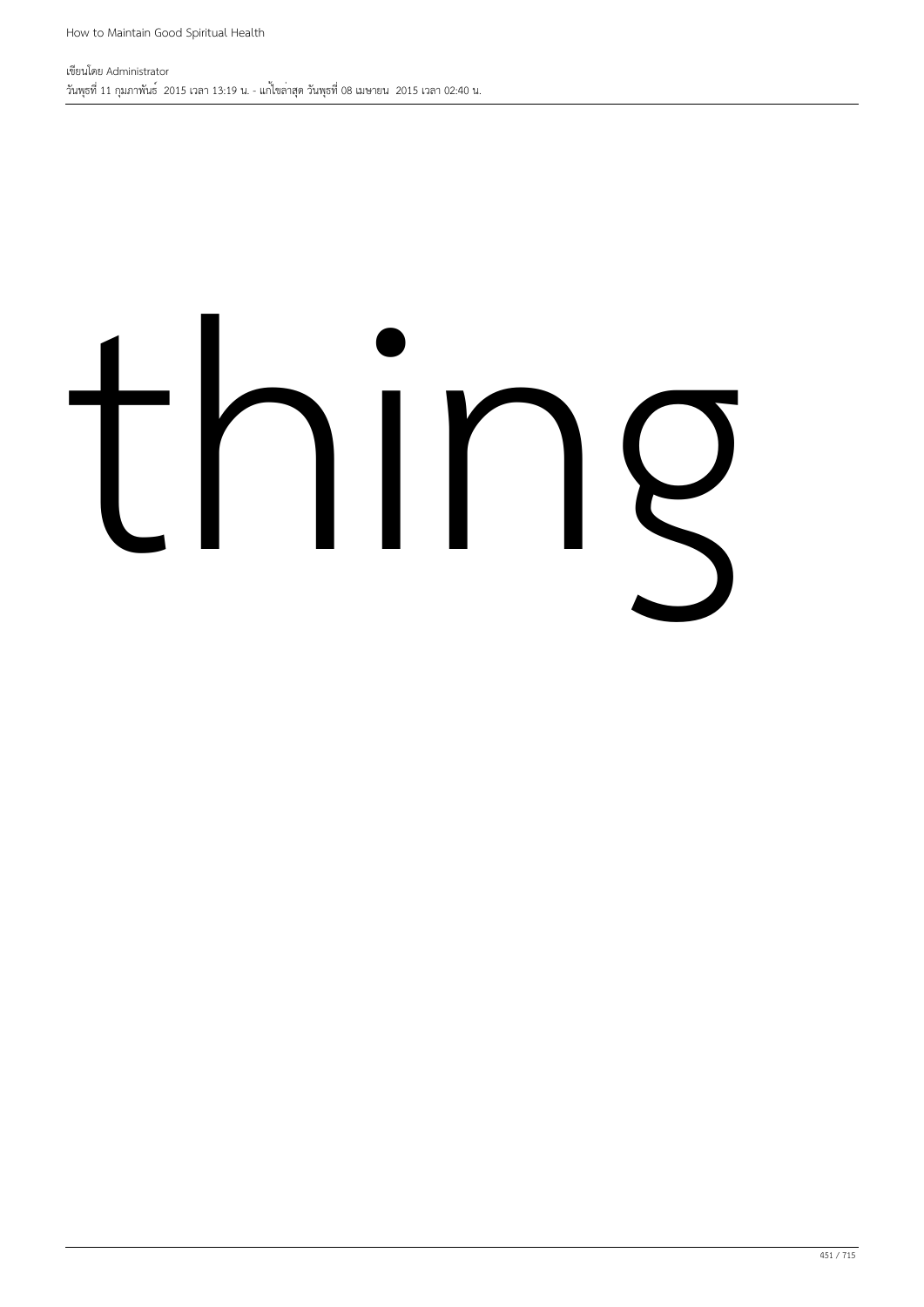## thing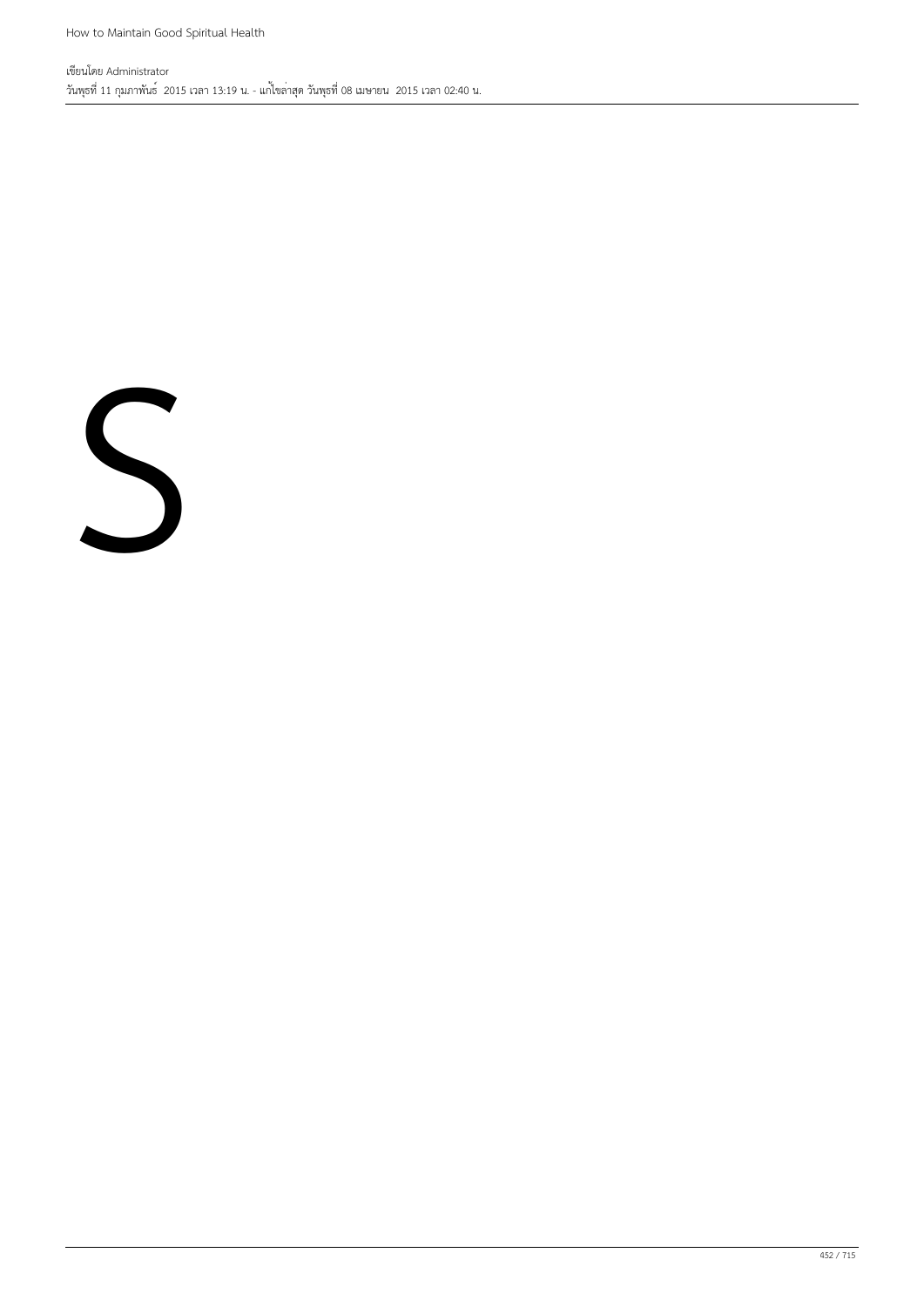#### S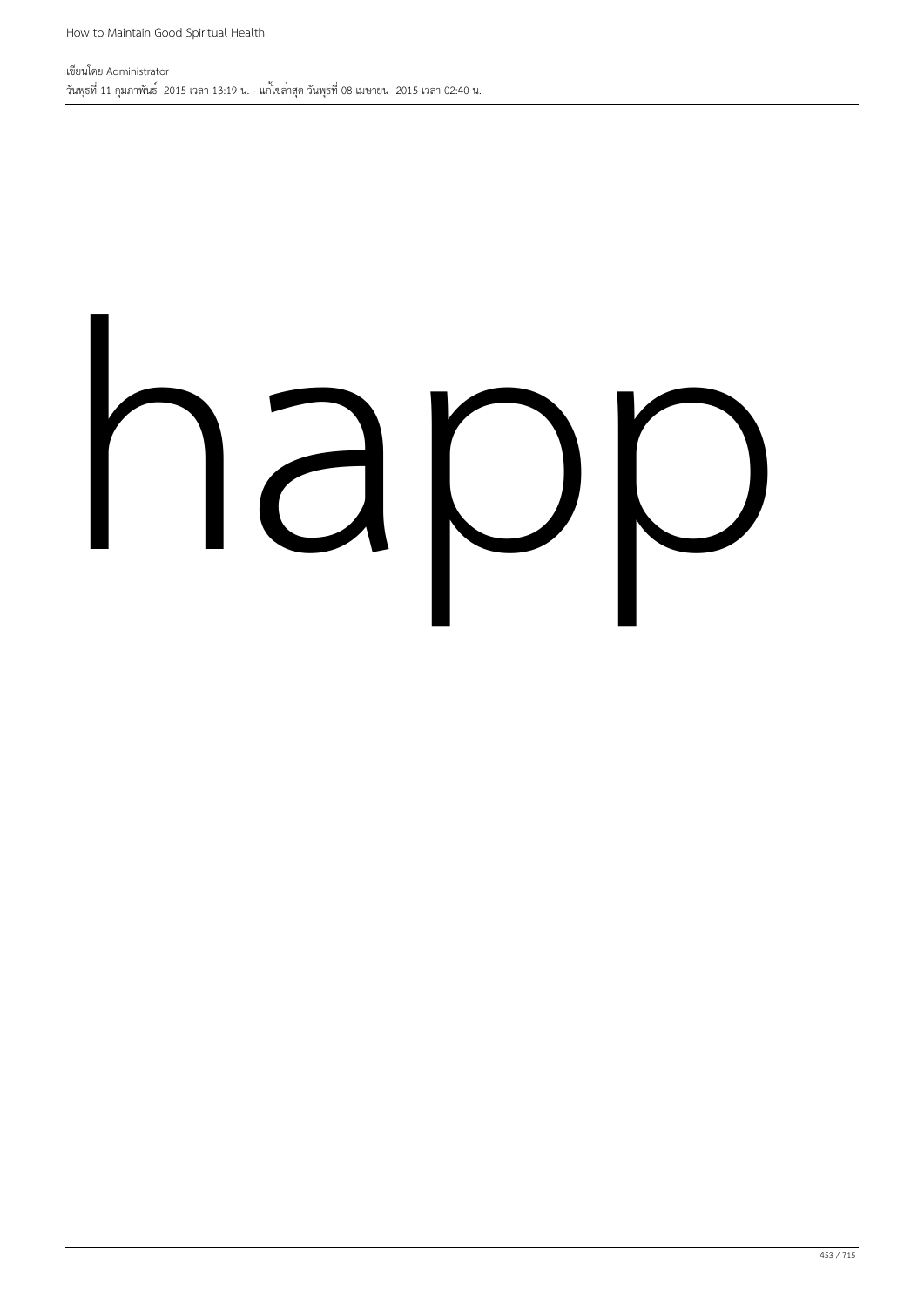## happ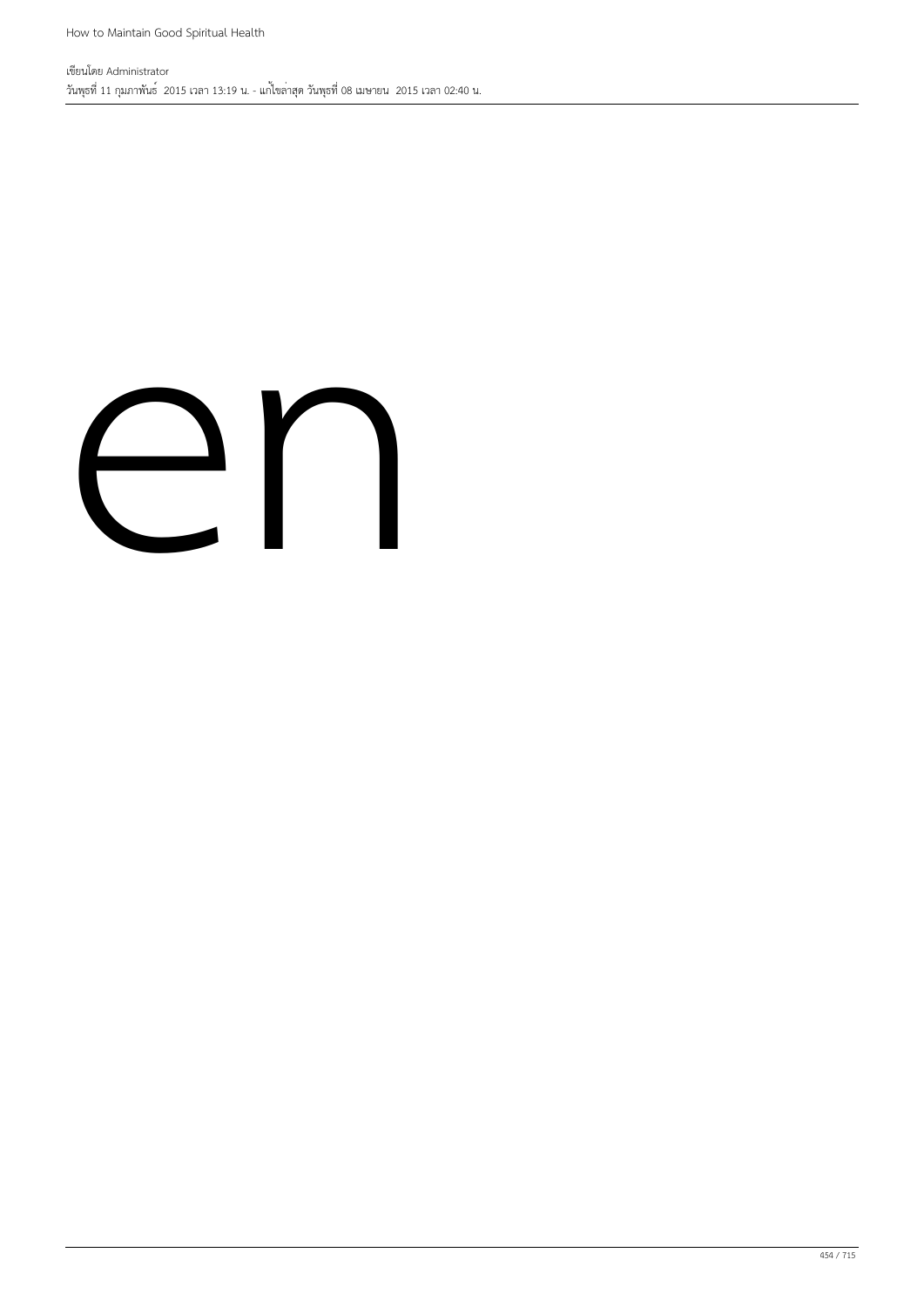#### en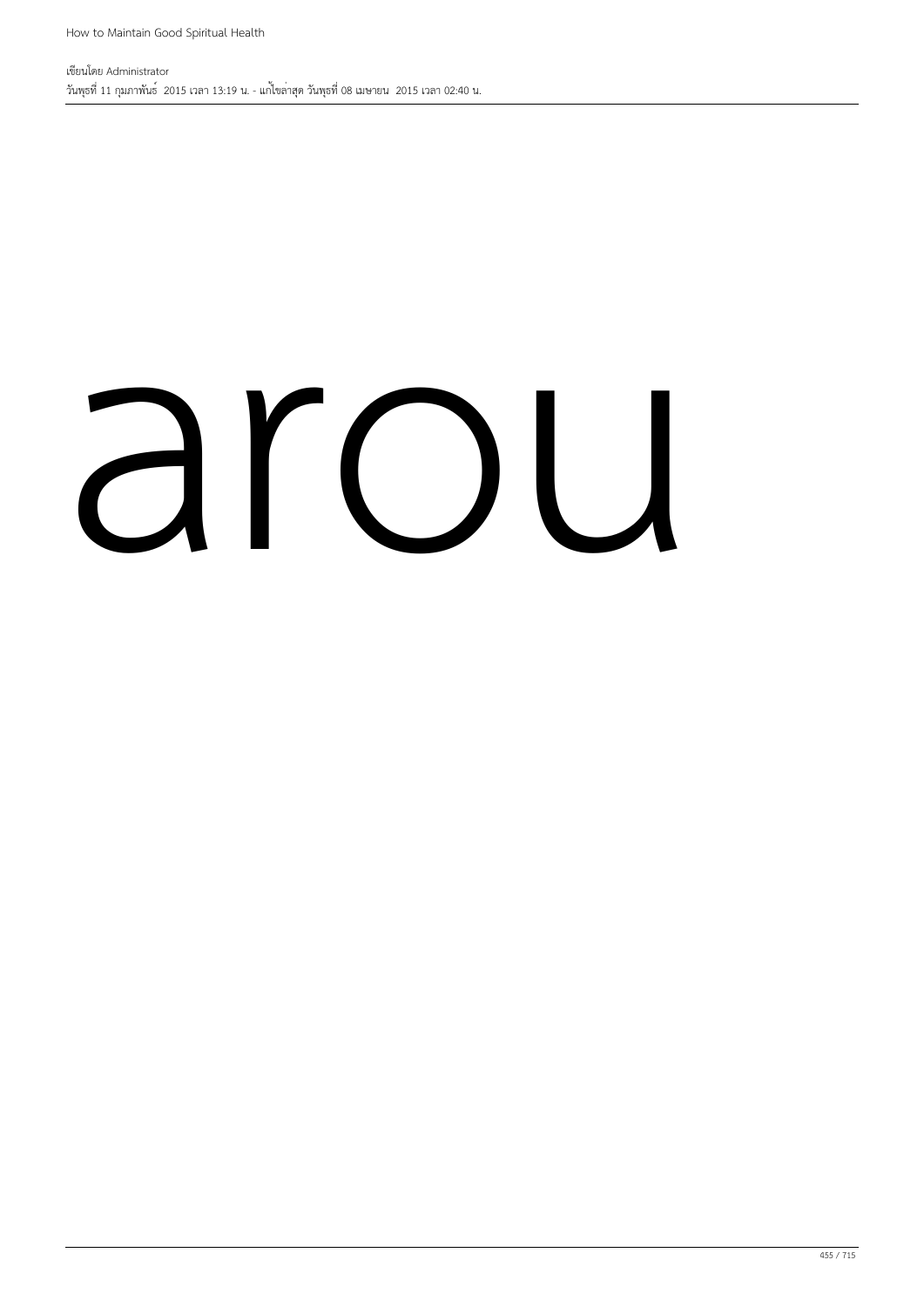#### arou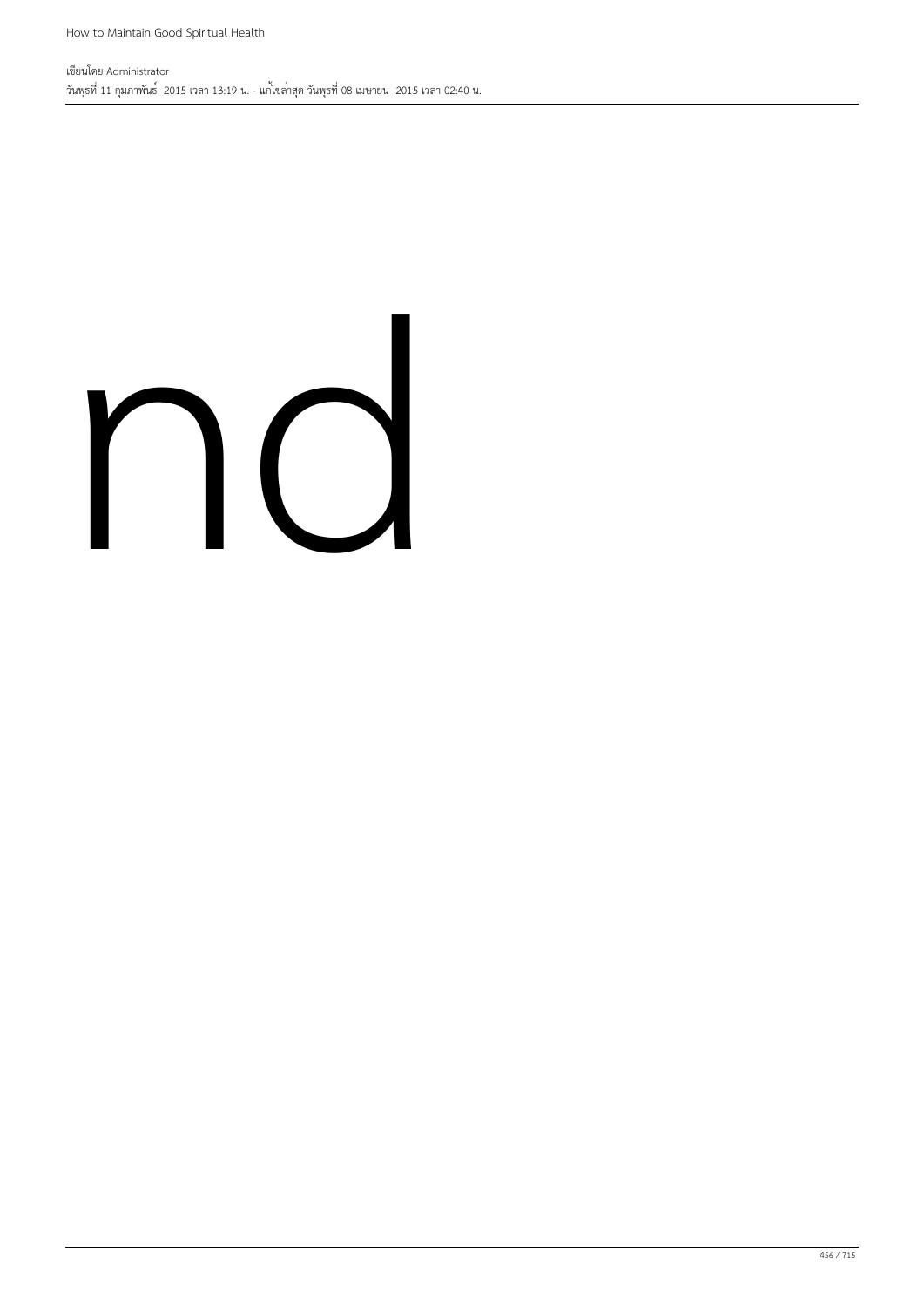### nd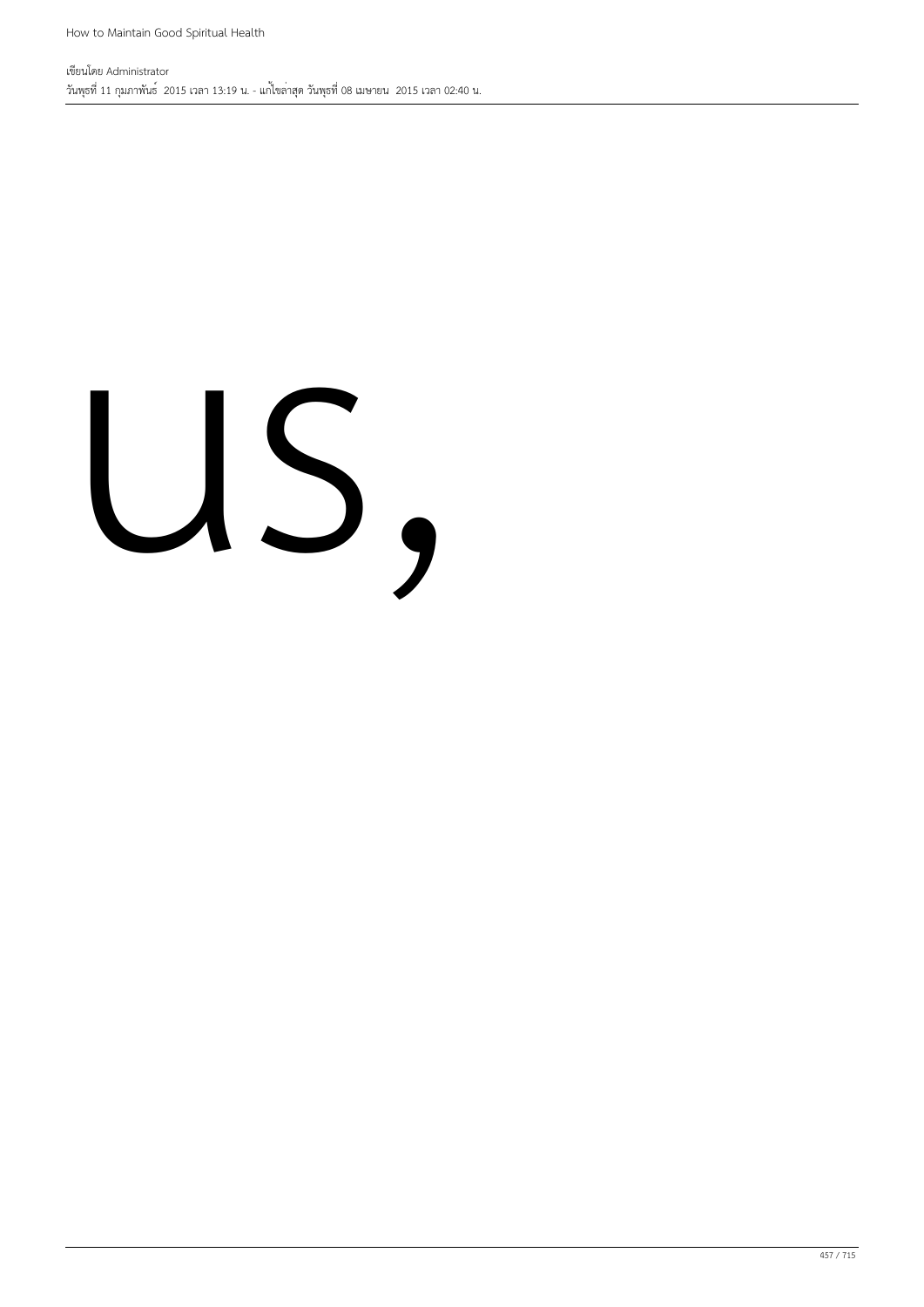### us,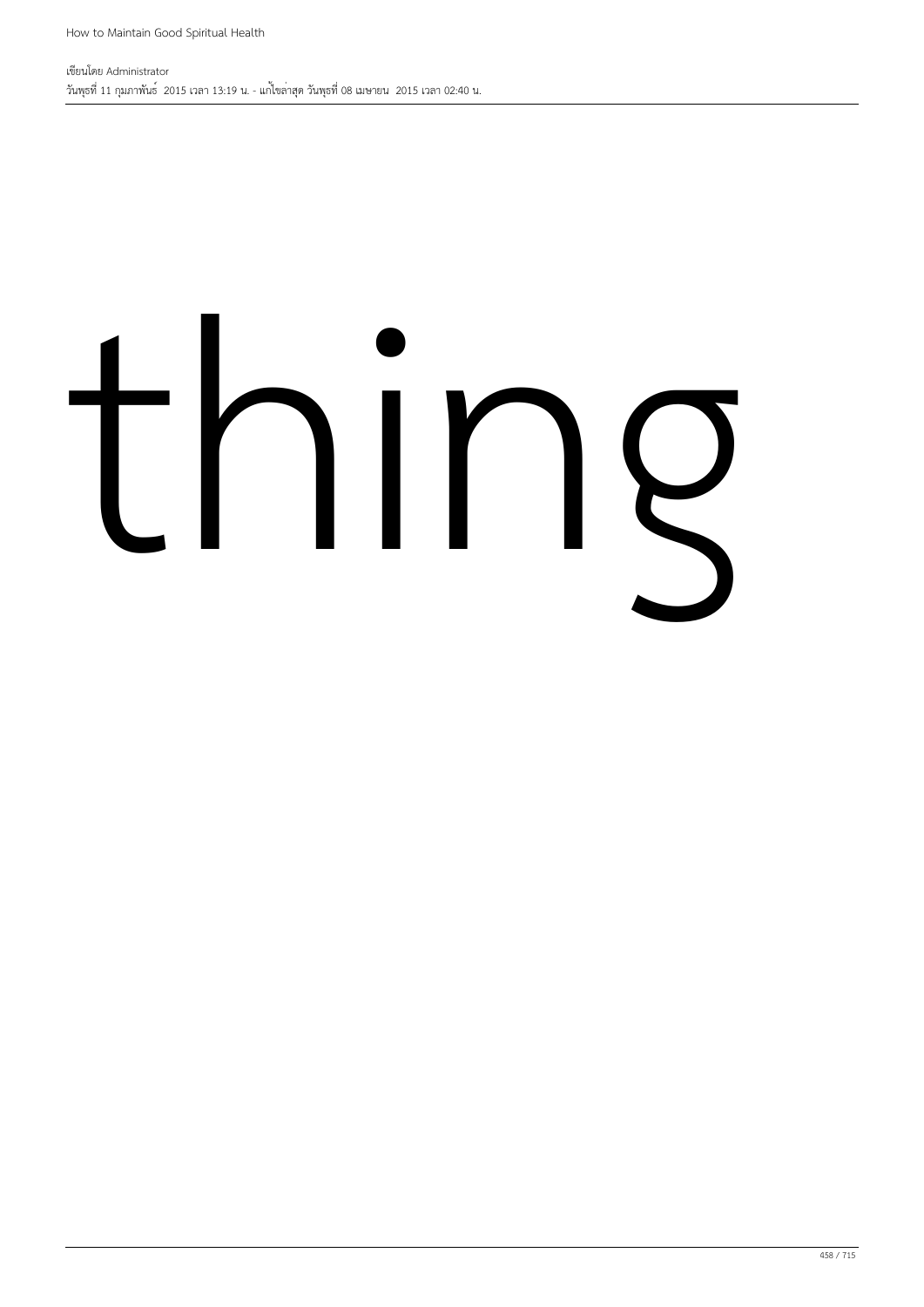## thing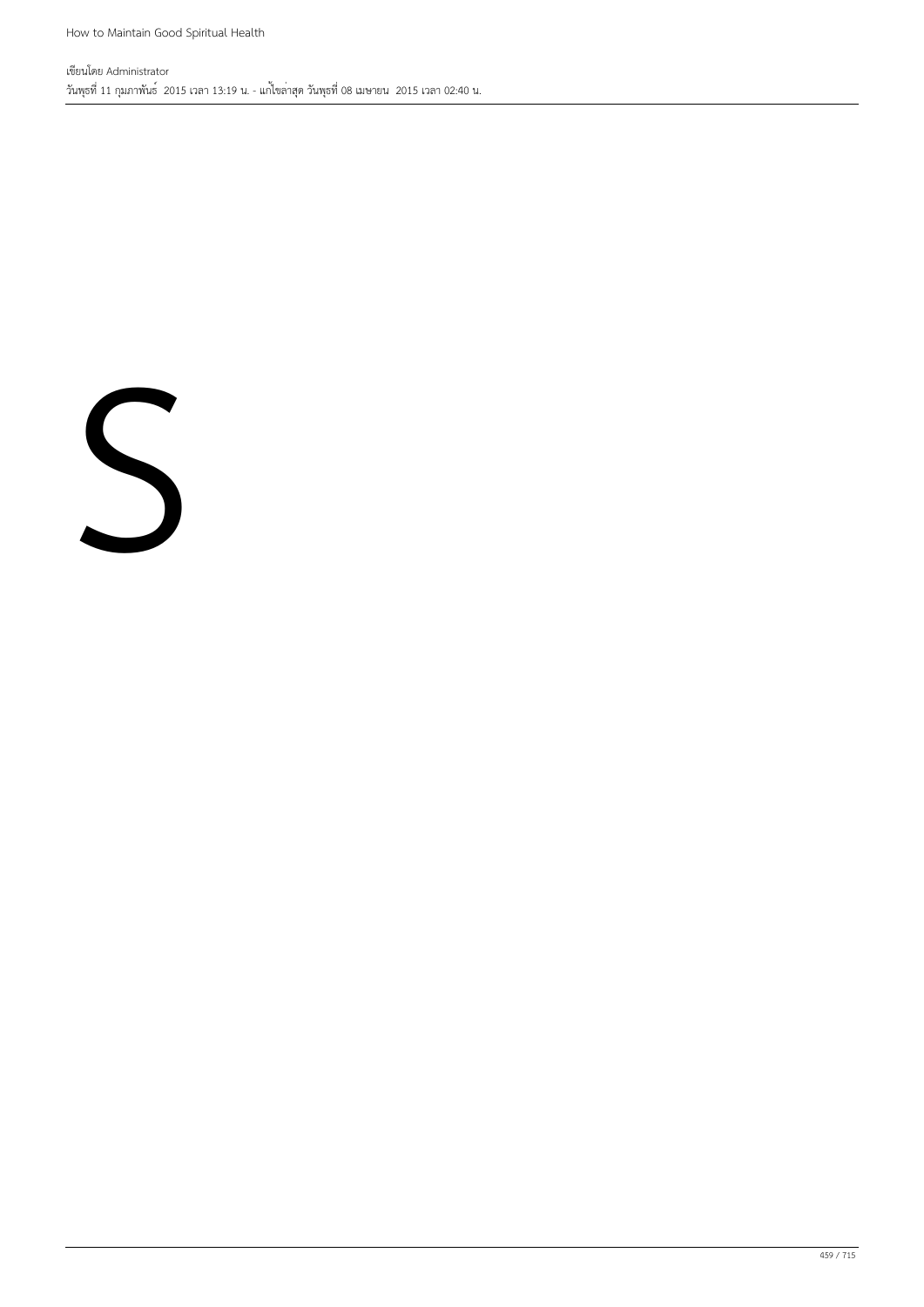#### S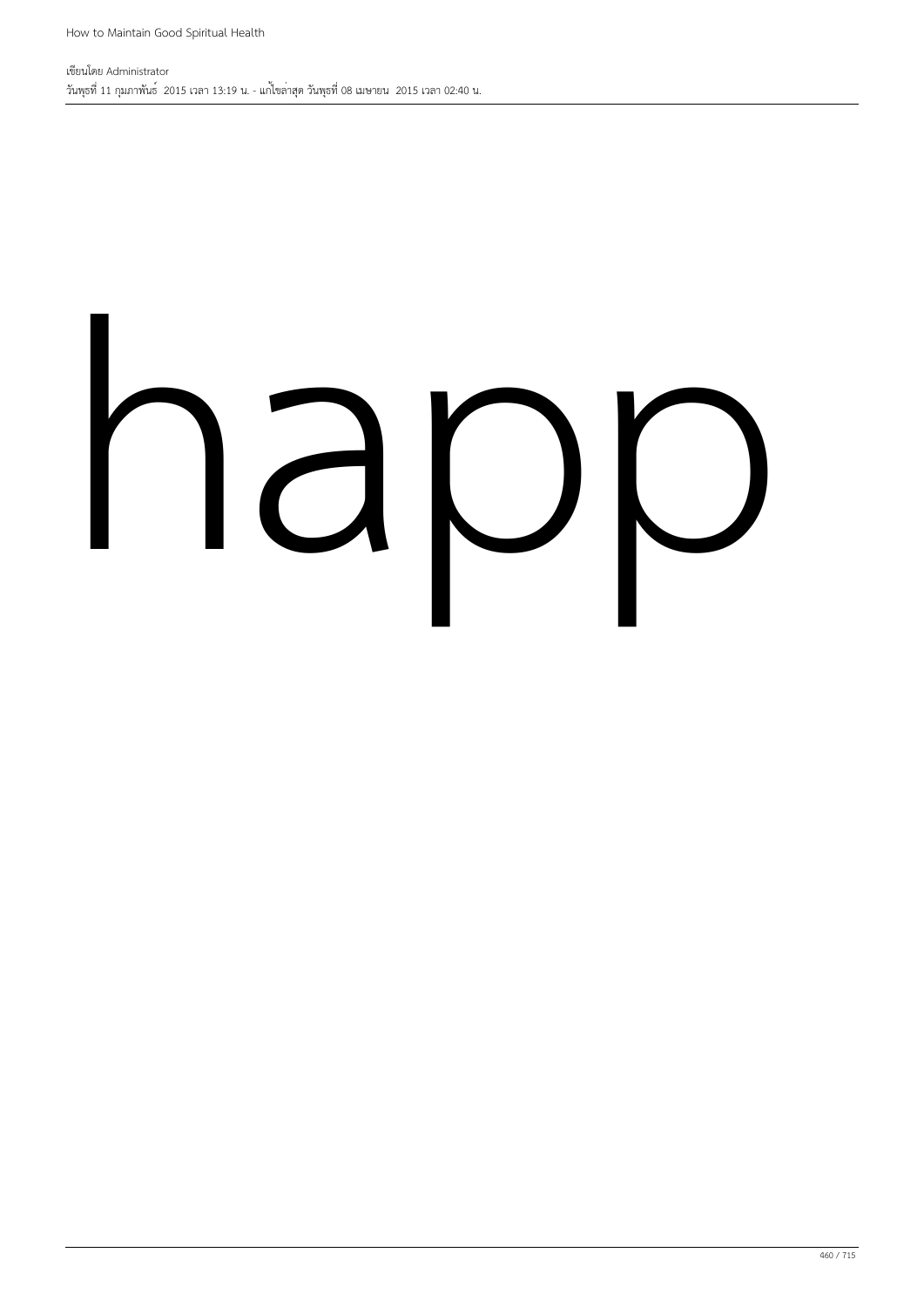## happ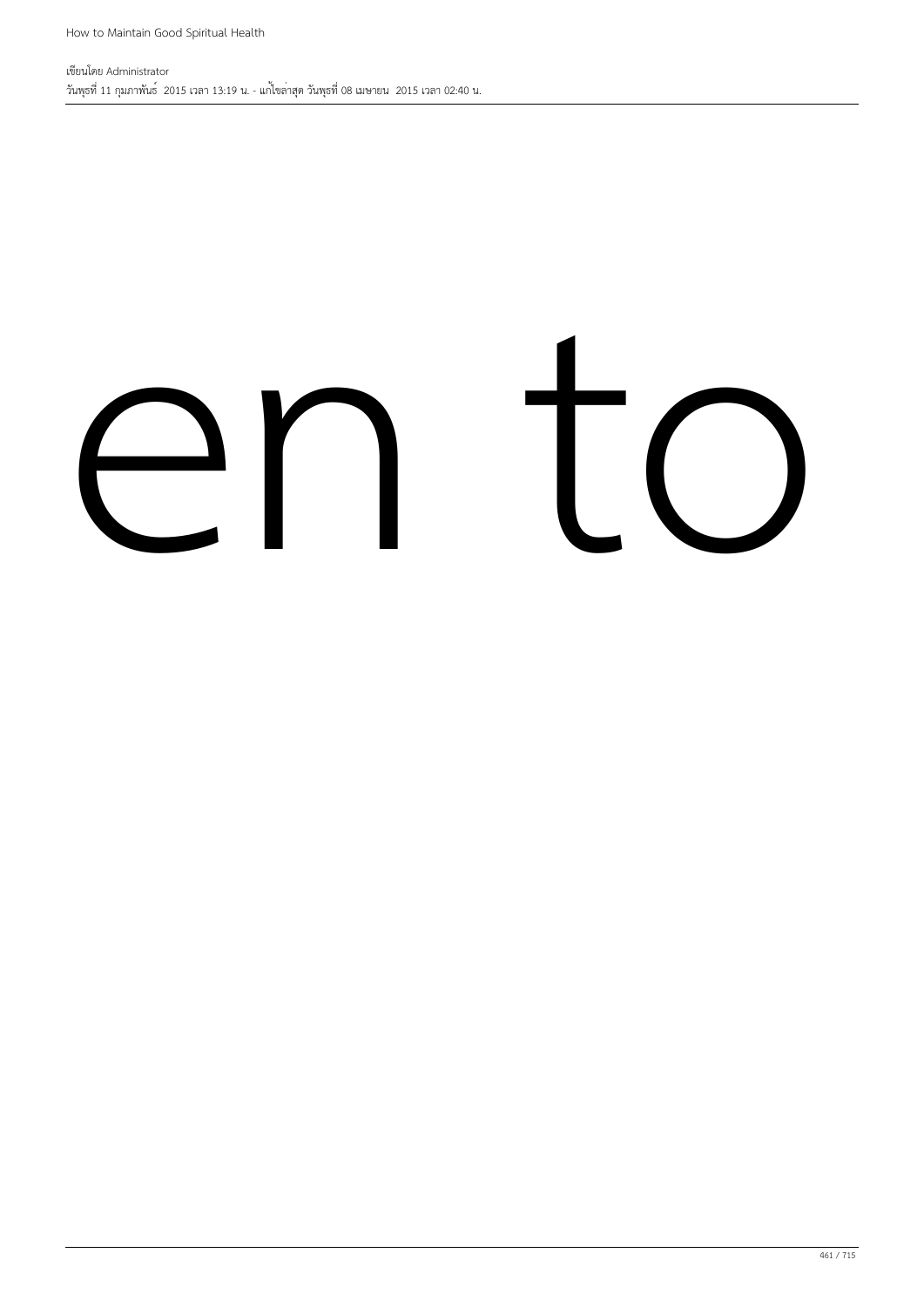#### en to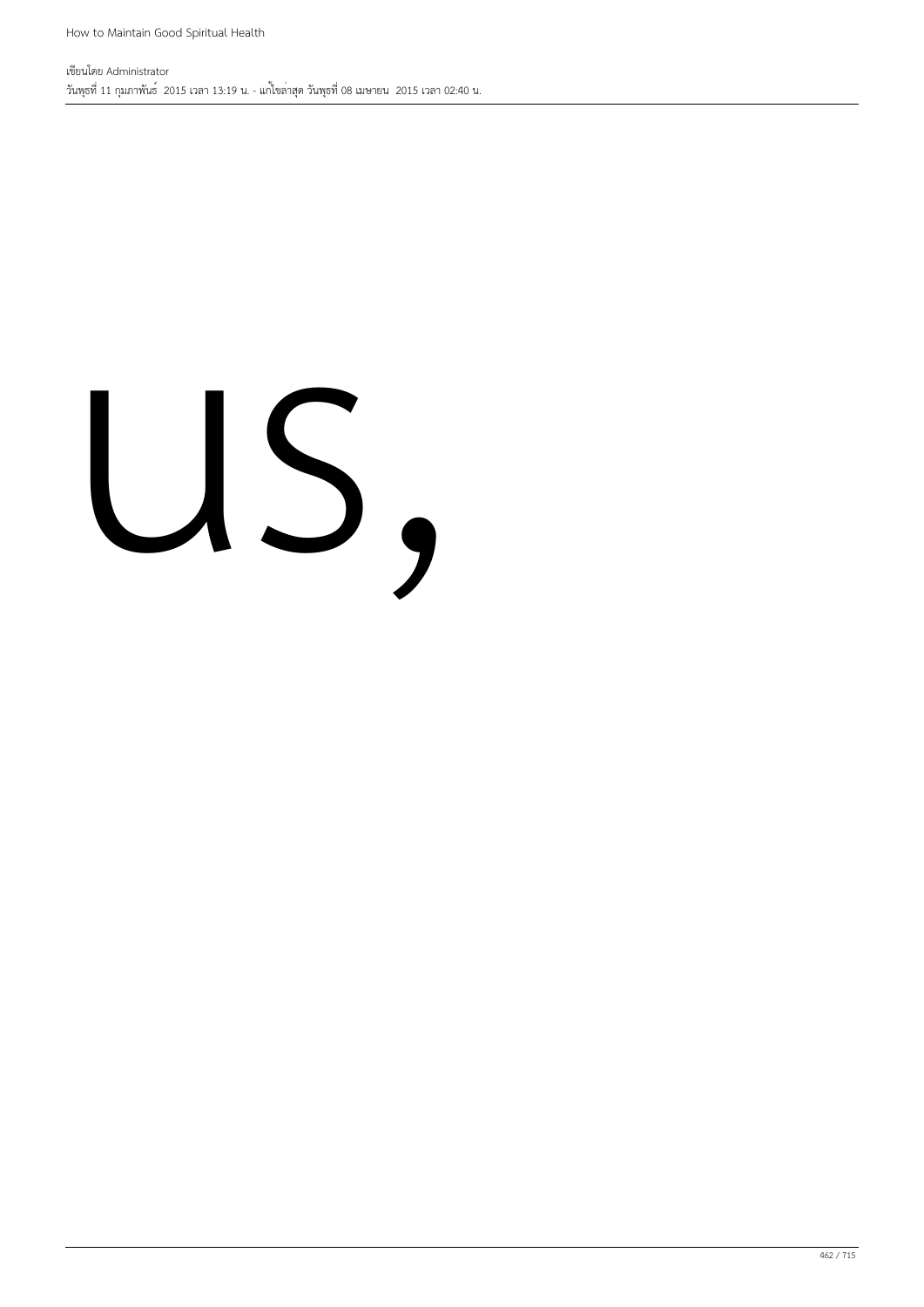### us,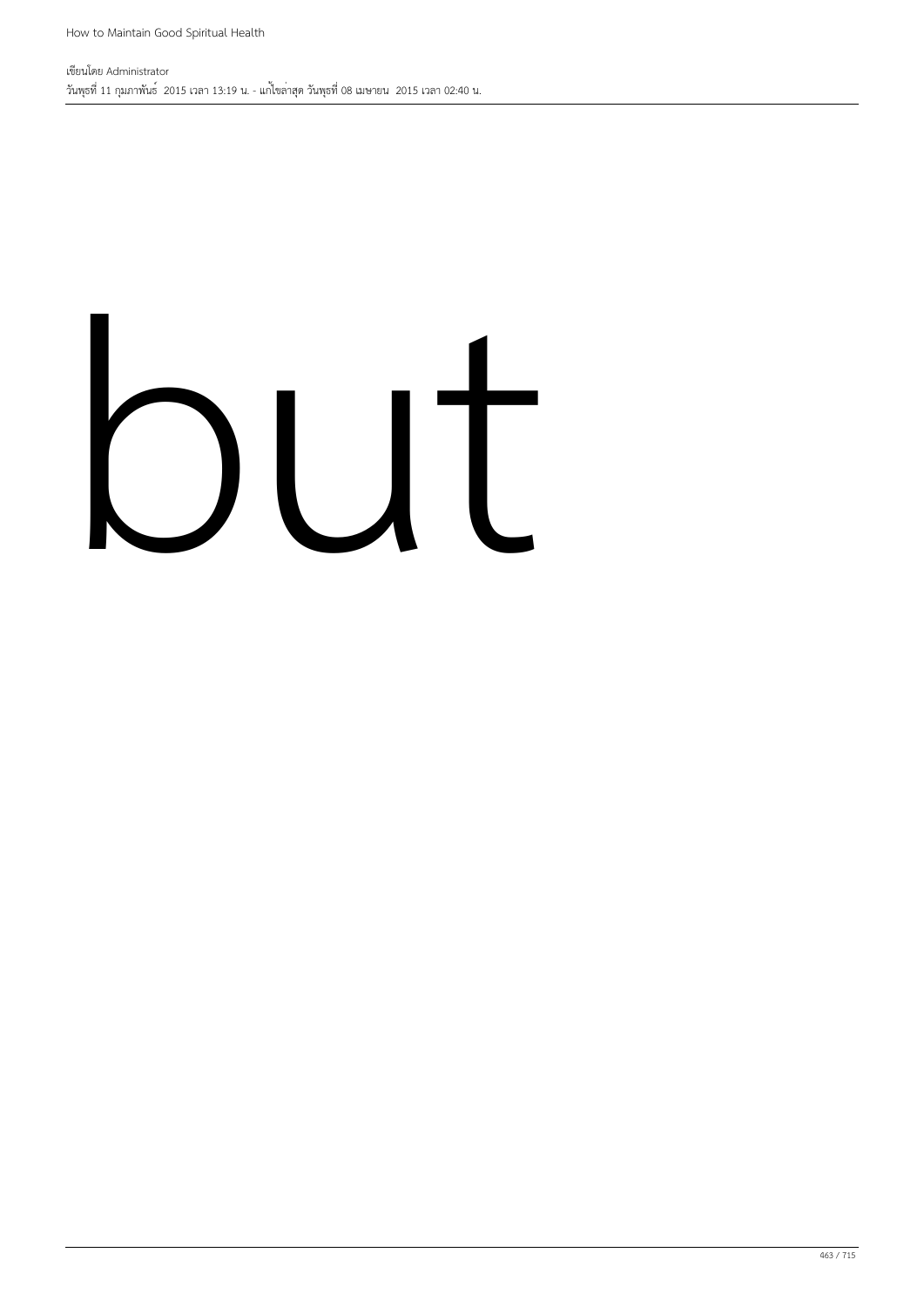### but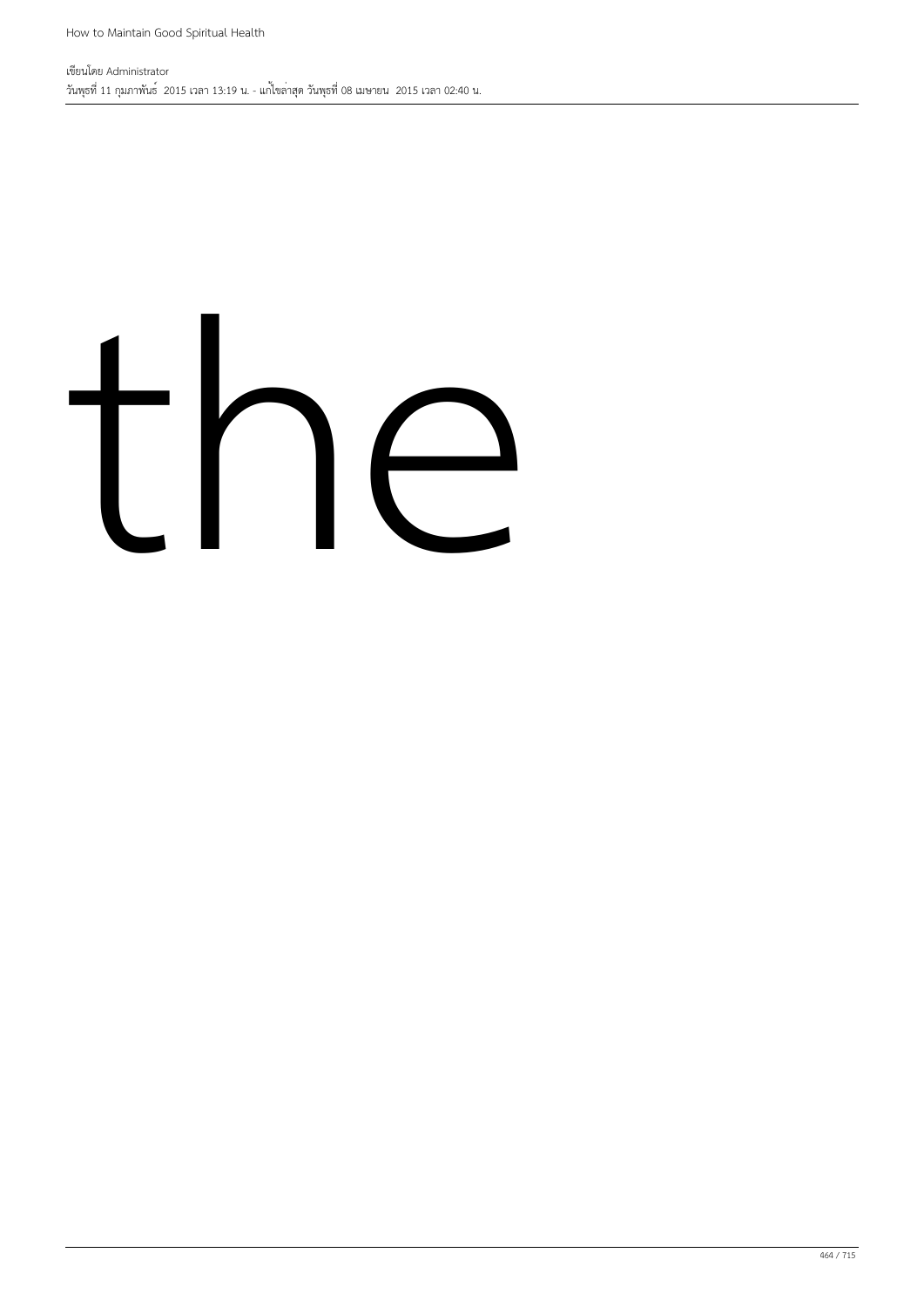### the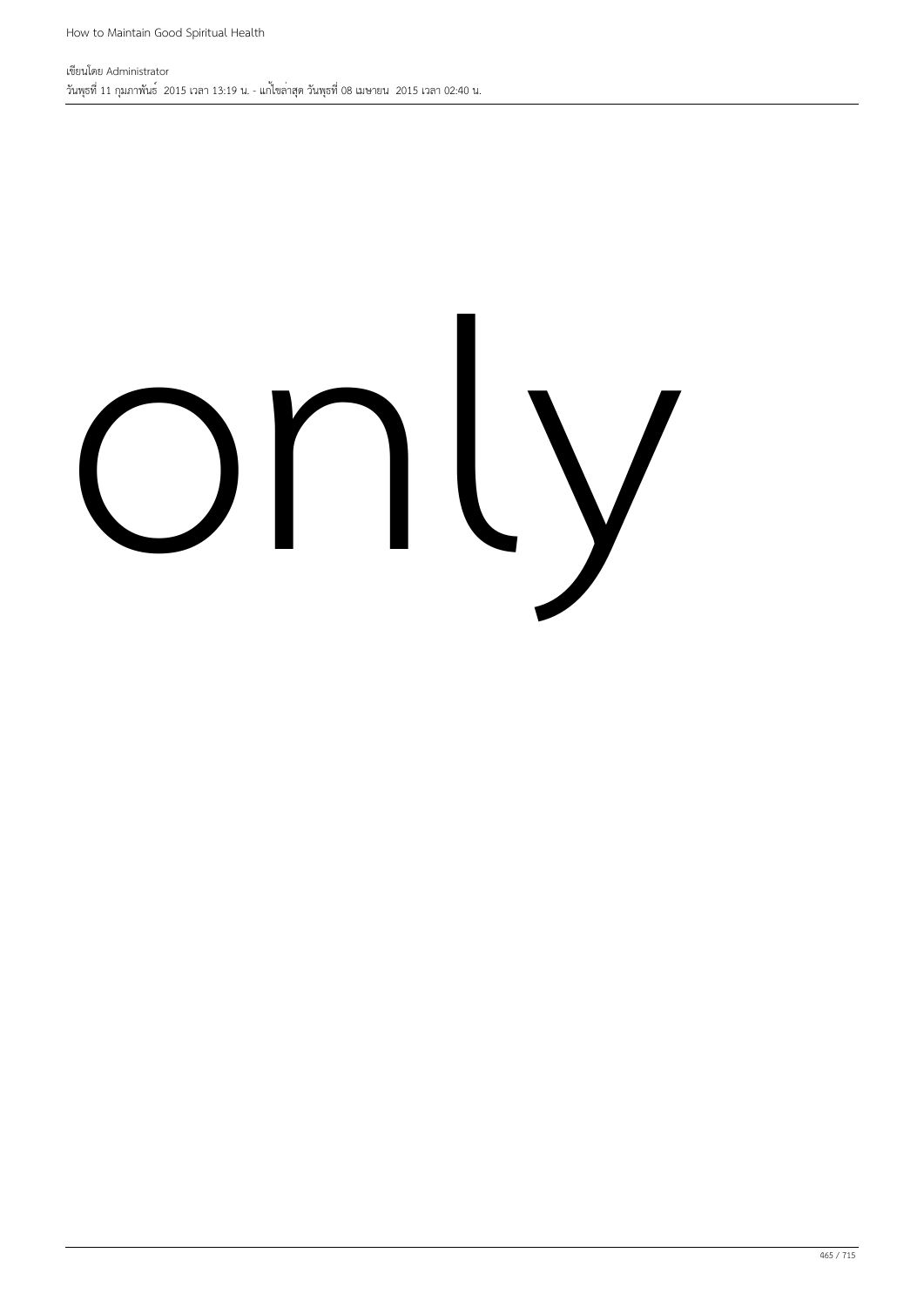### only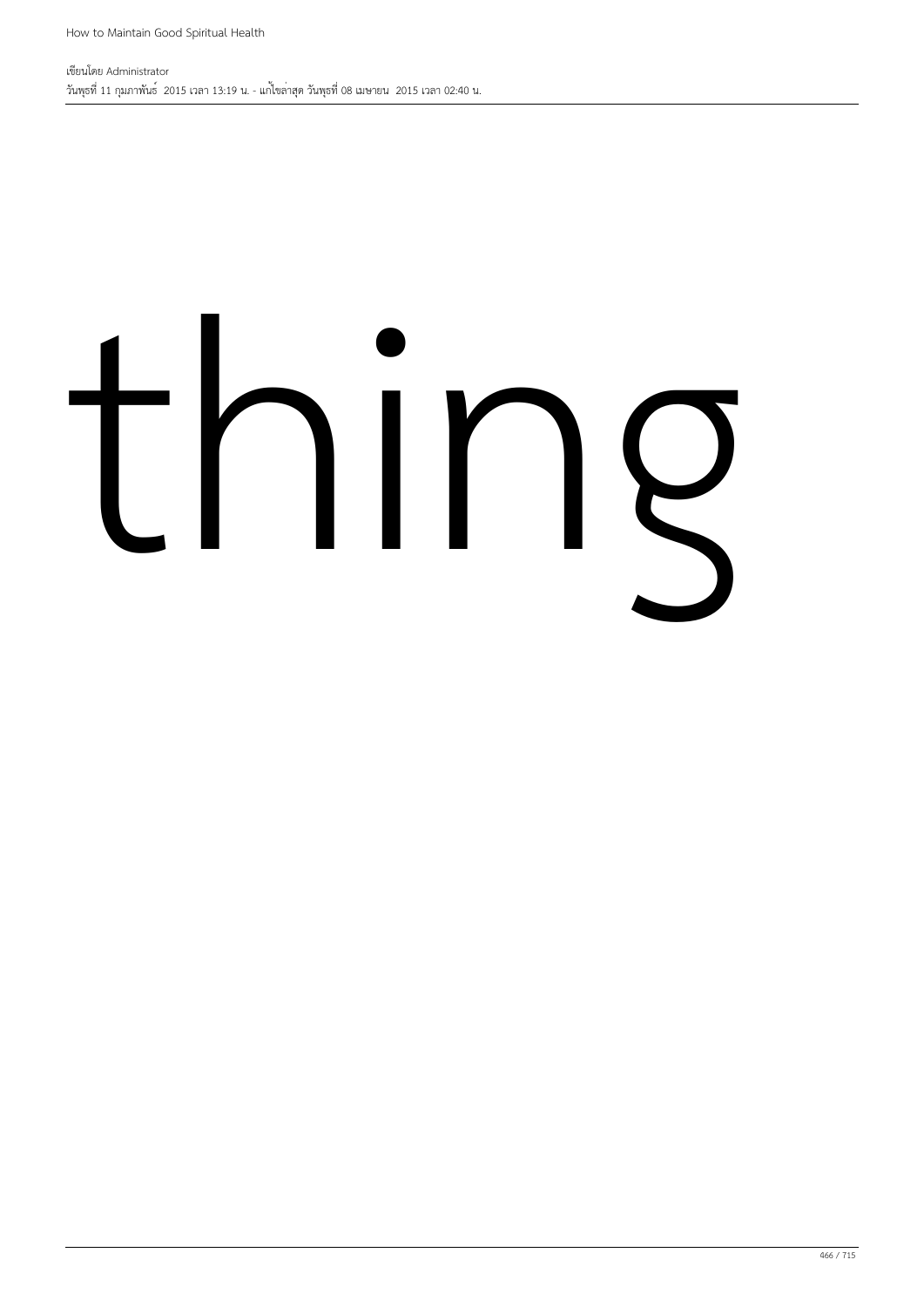## thing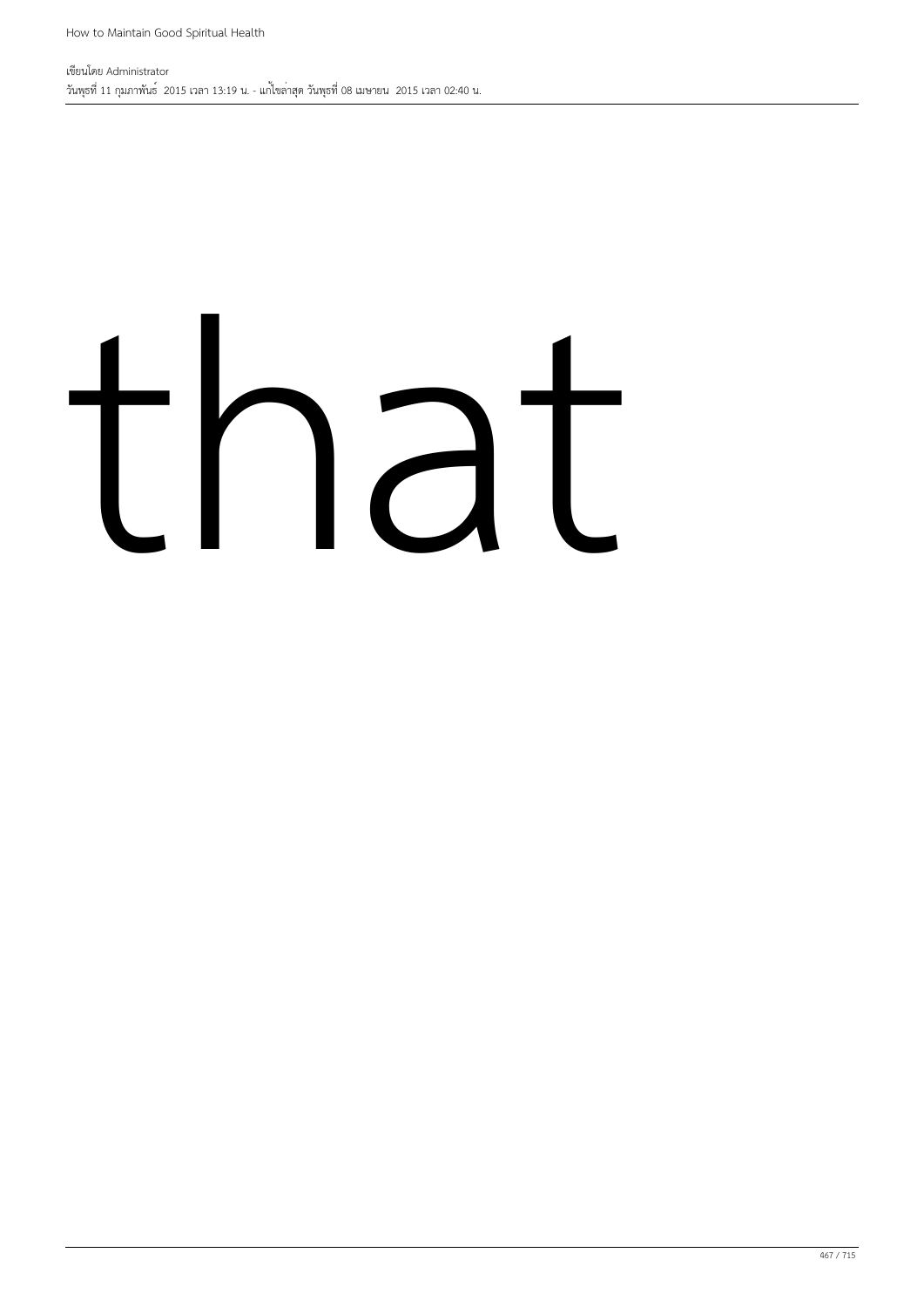### that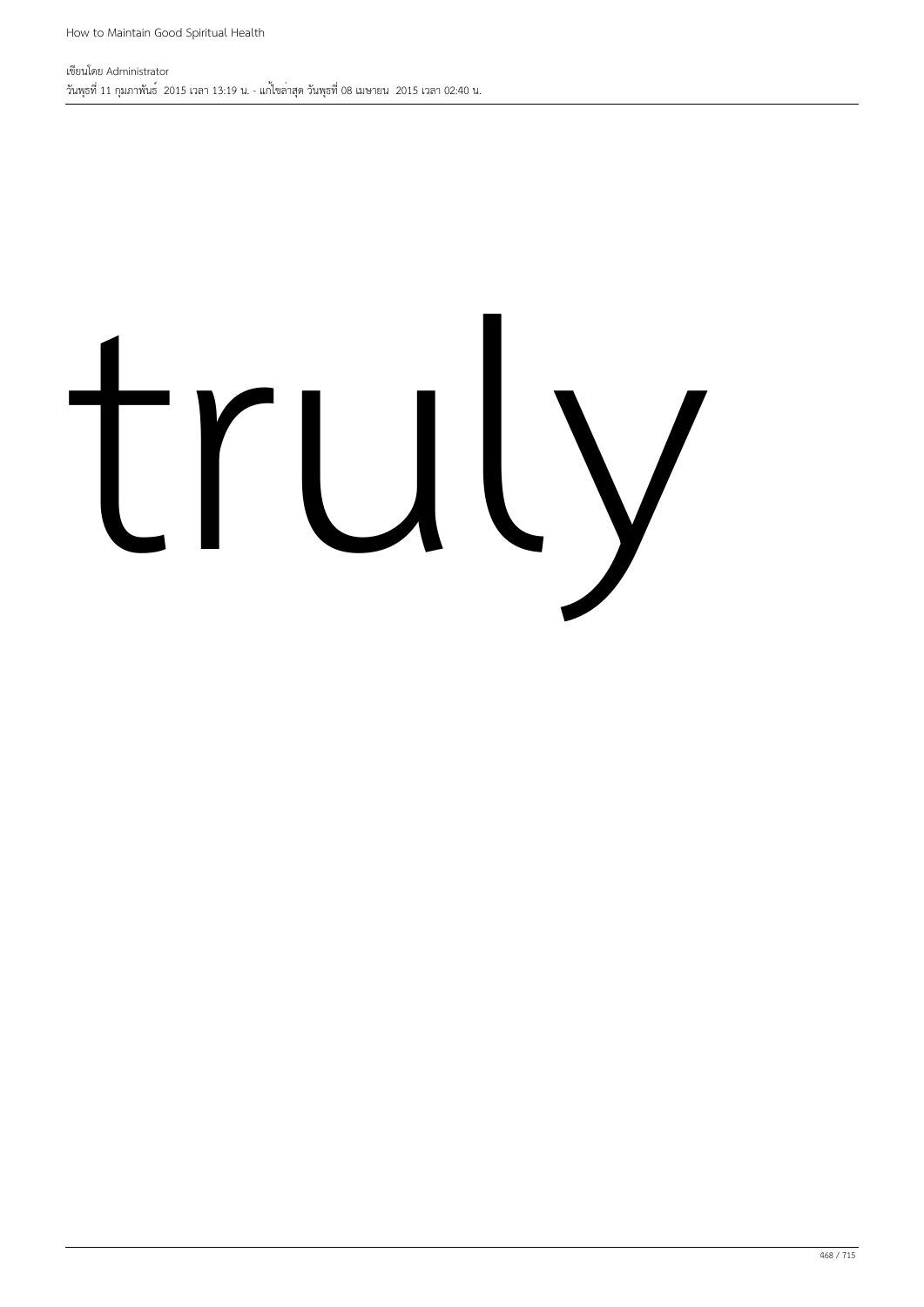## truly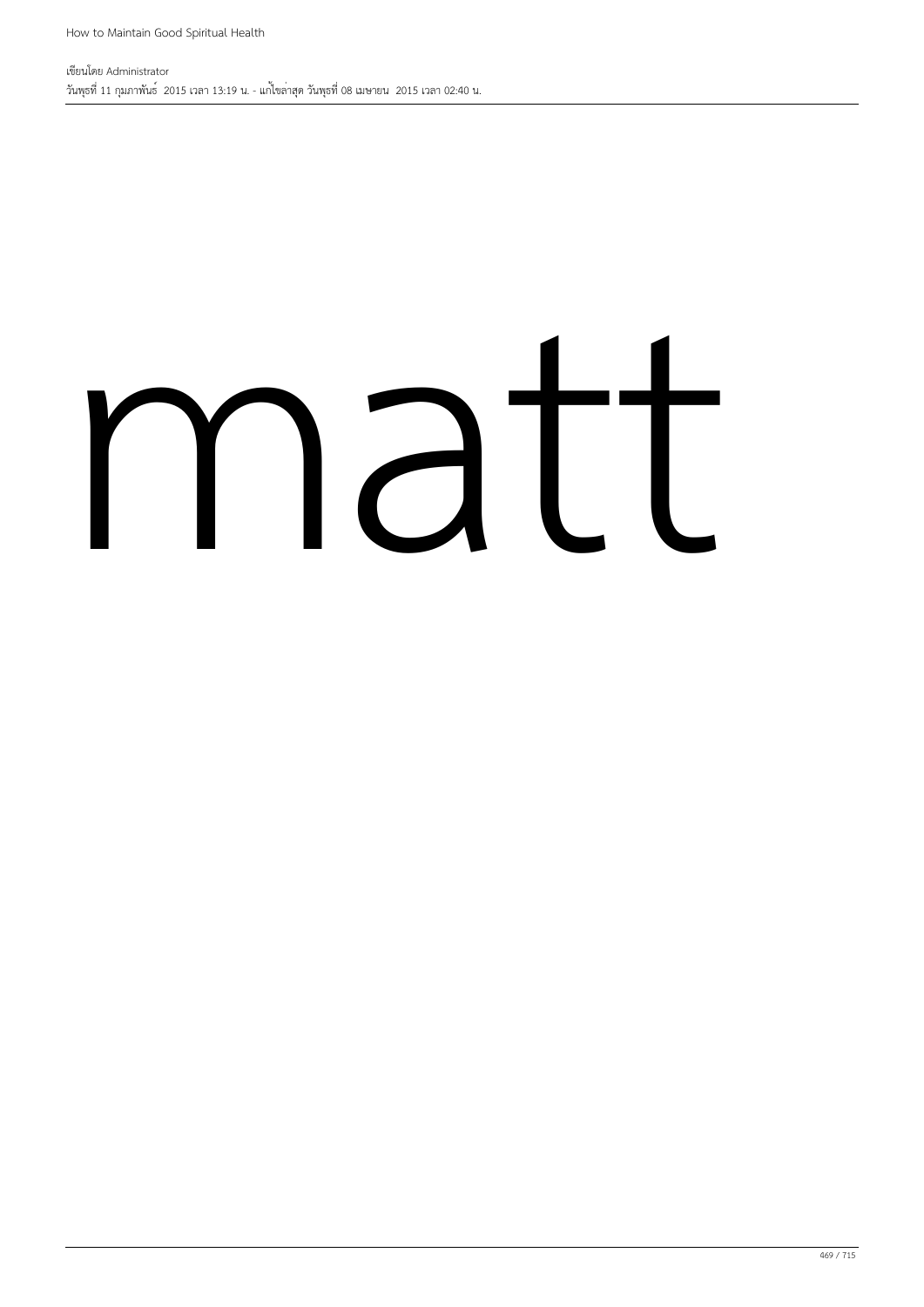#### matt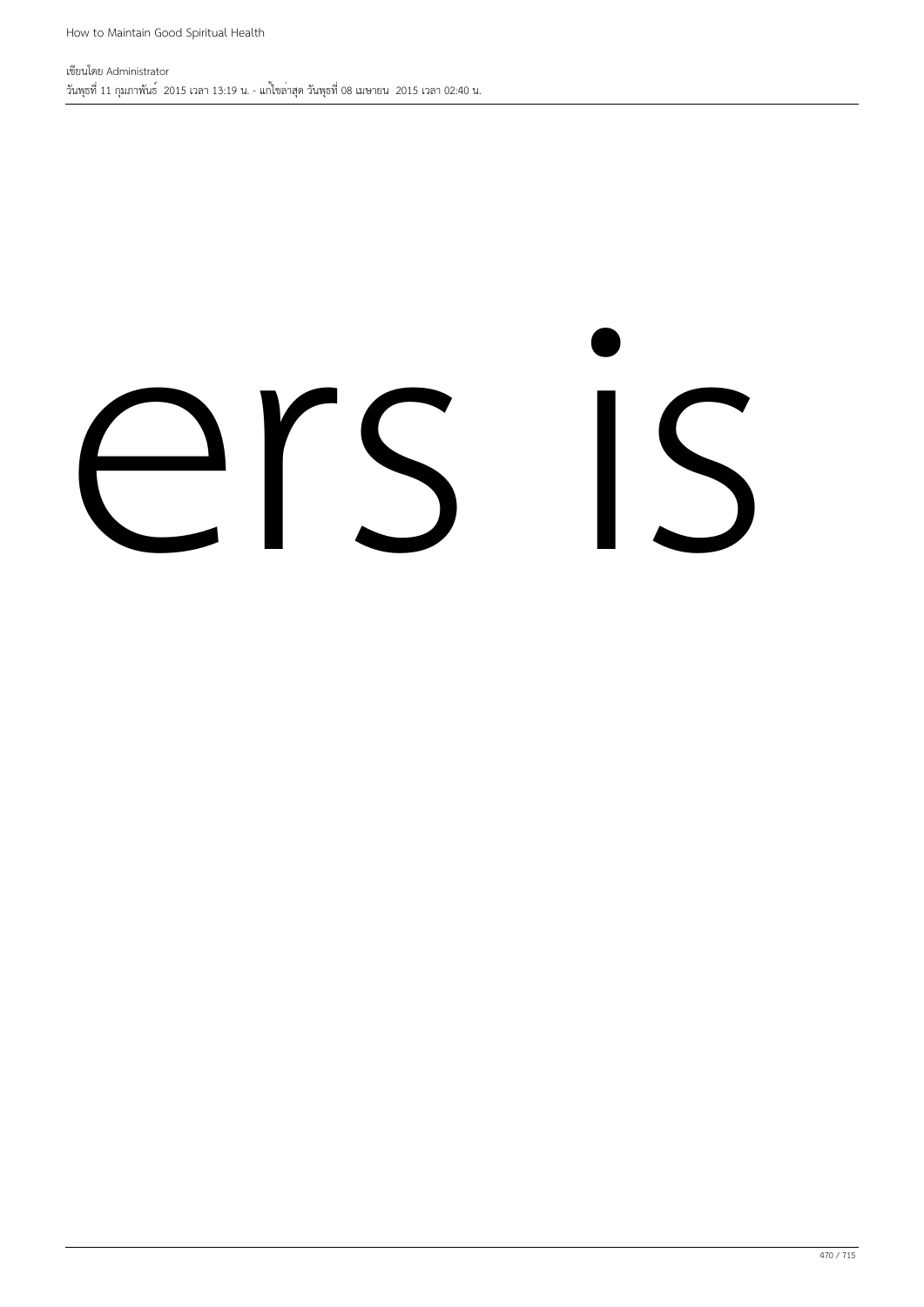#### ers is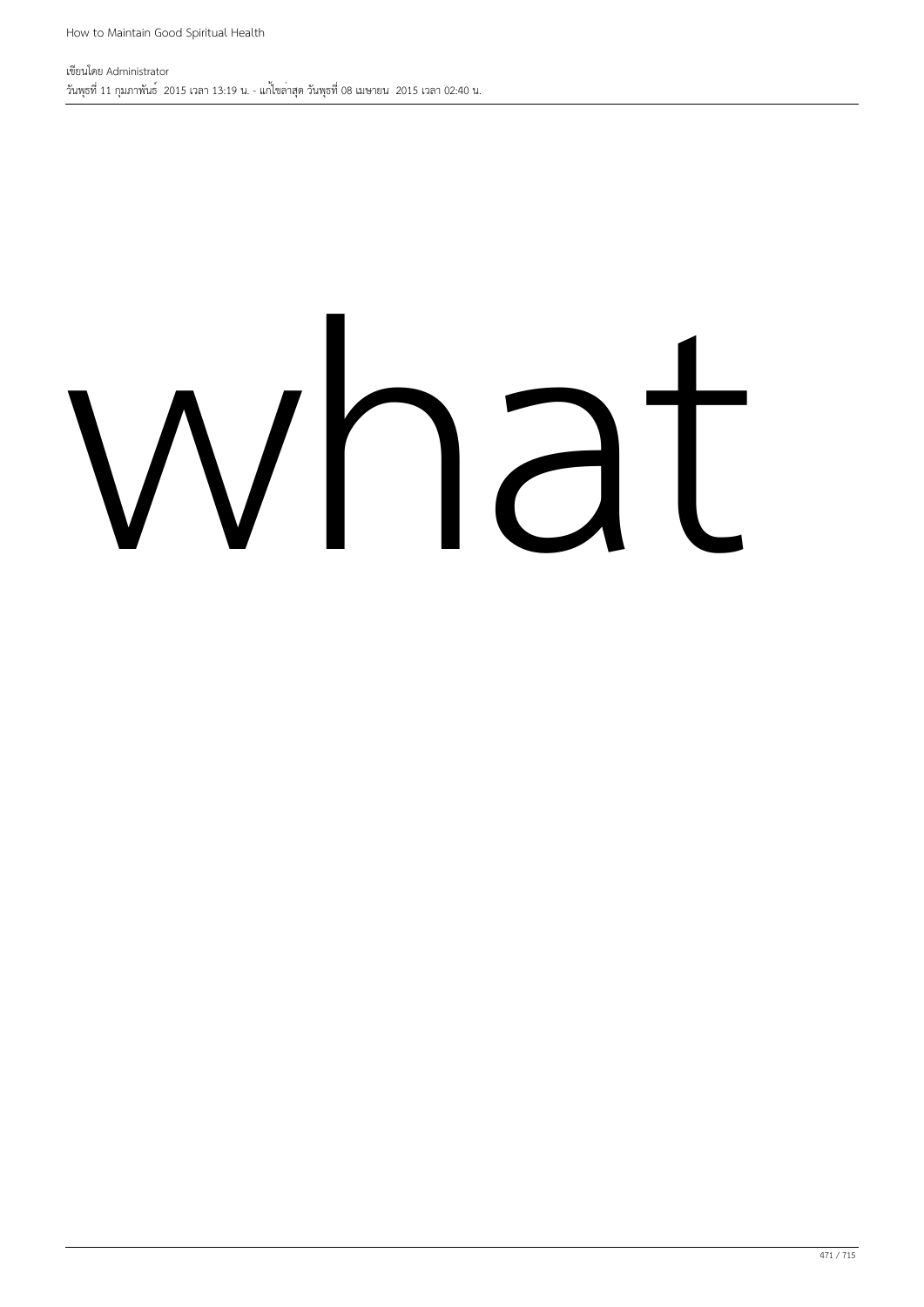## what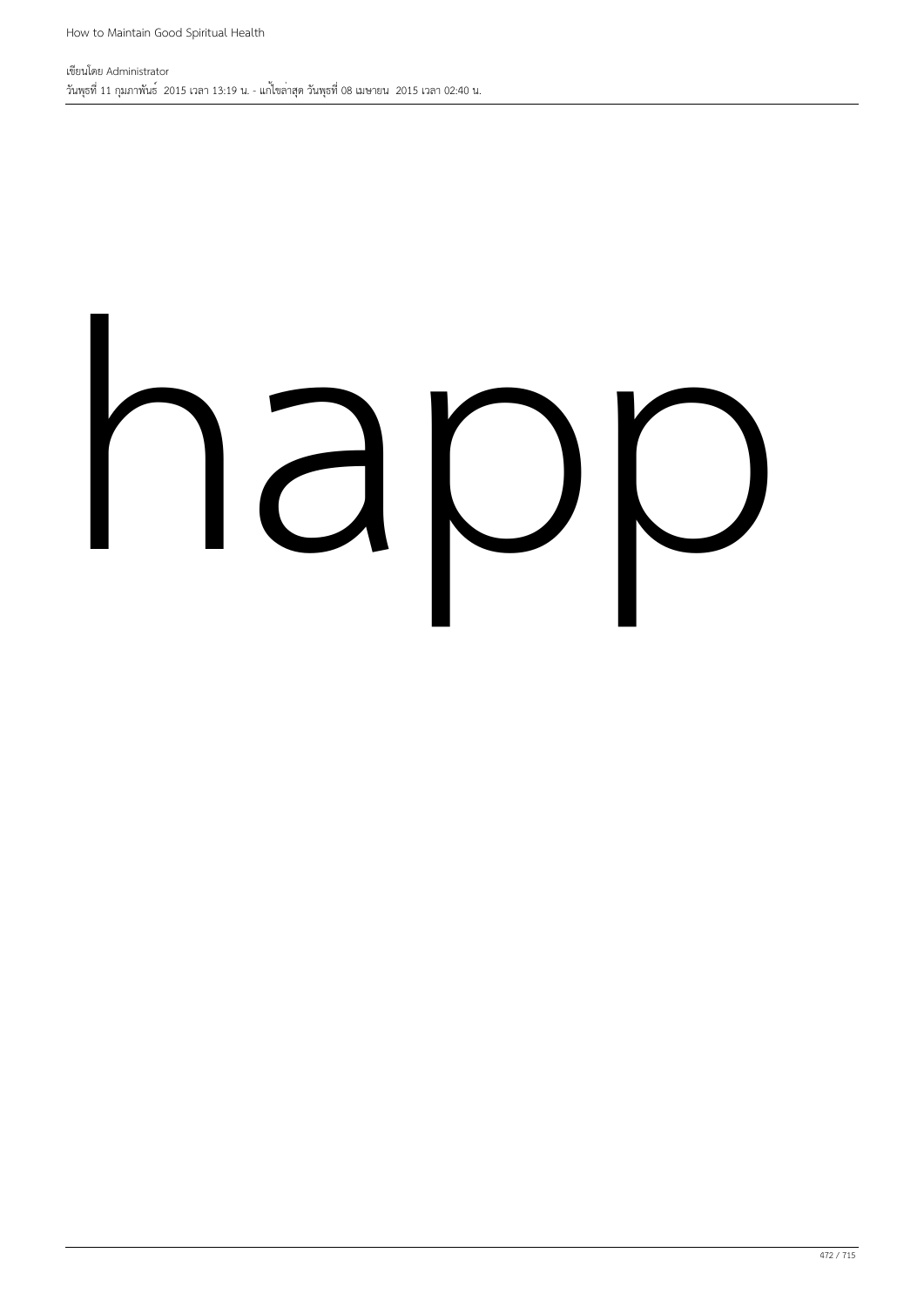# happ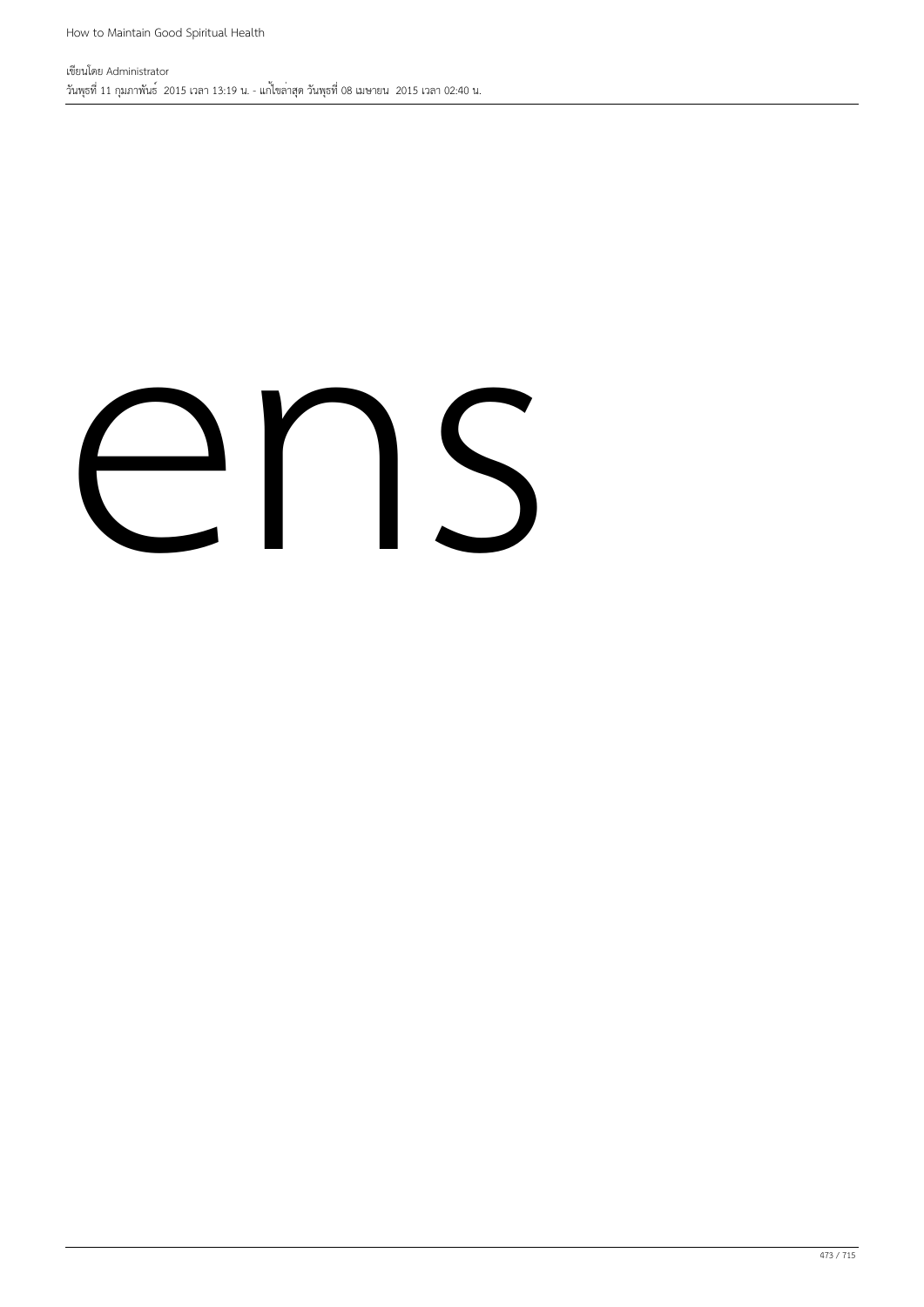#### ens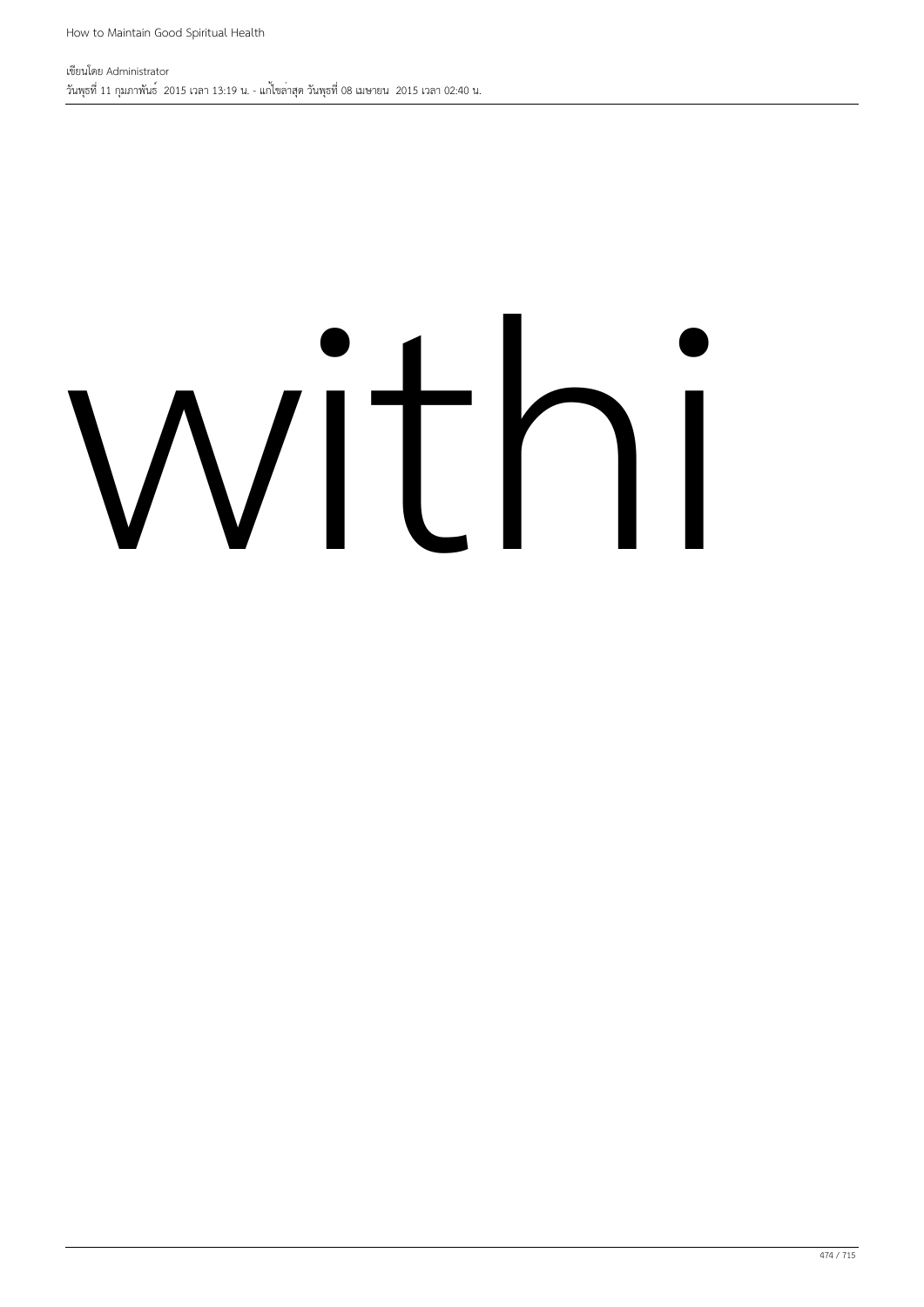## withi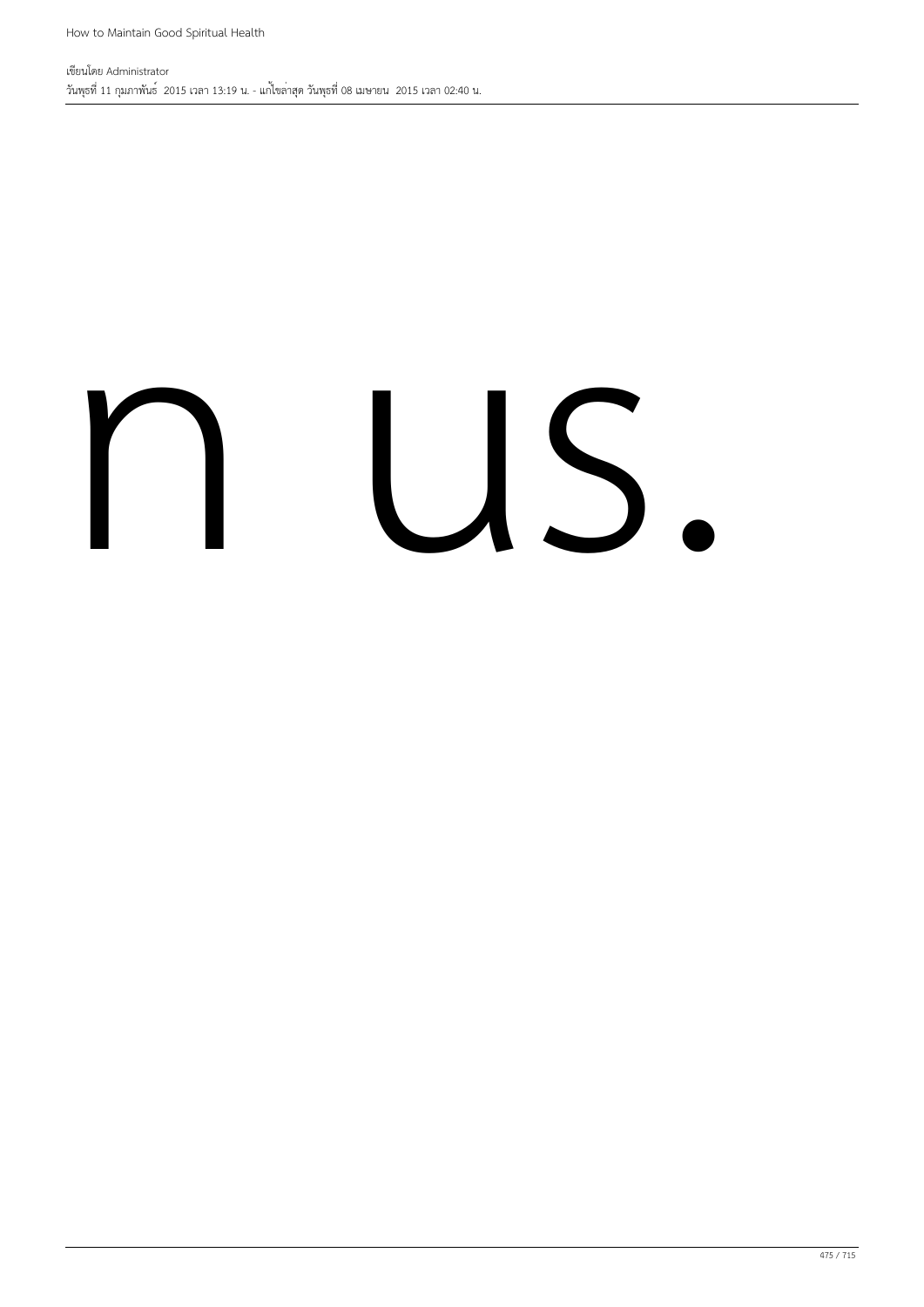#### n us.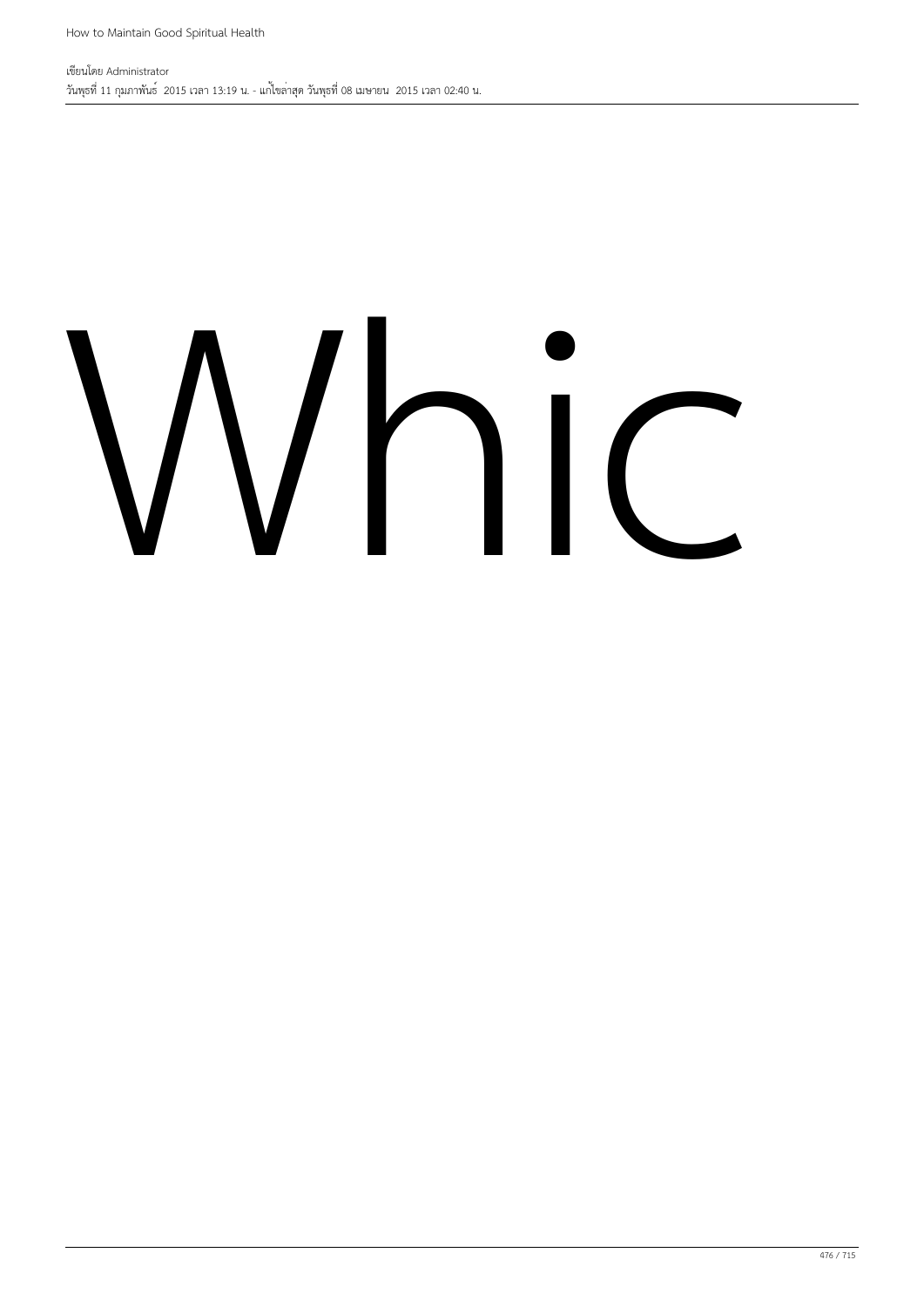## Whic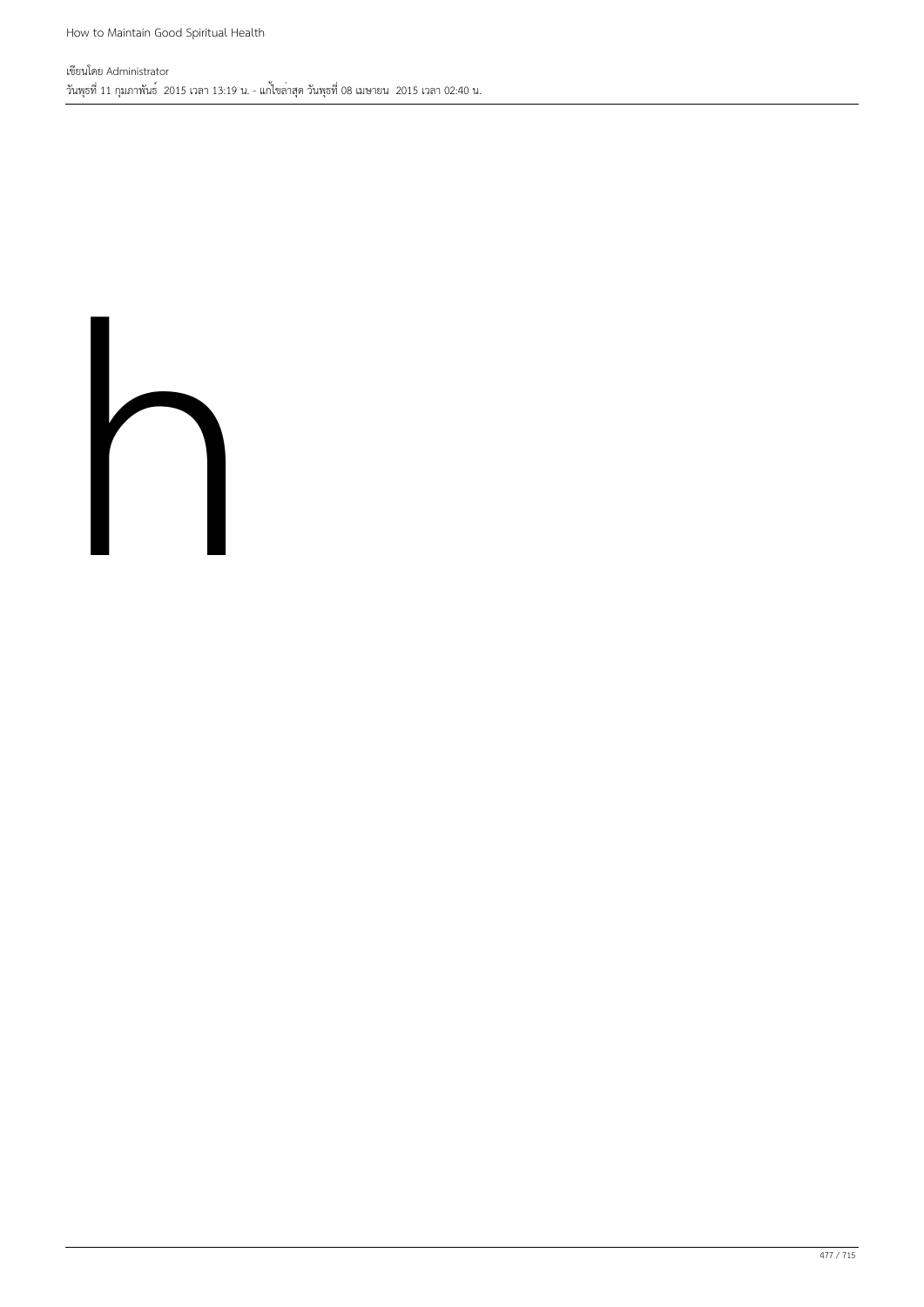#### h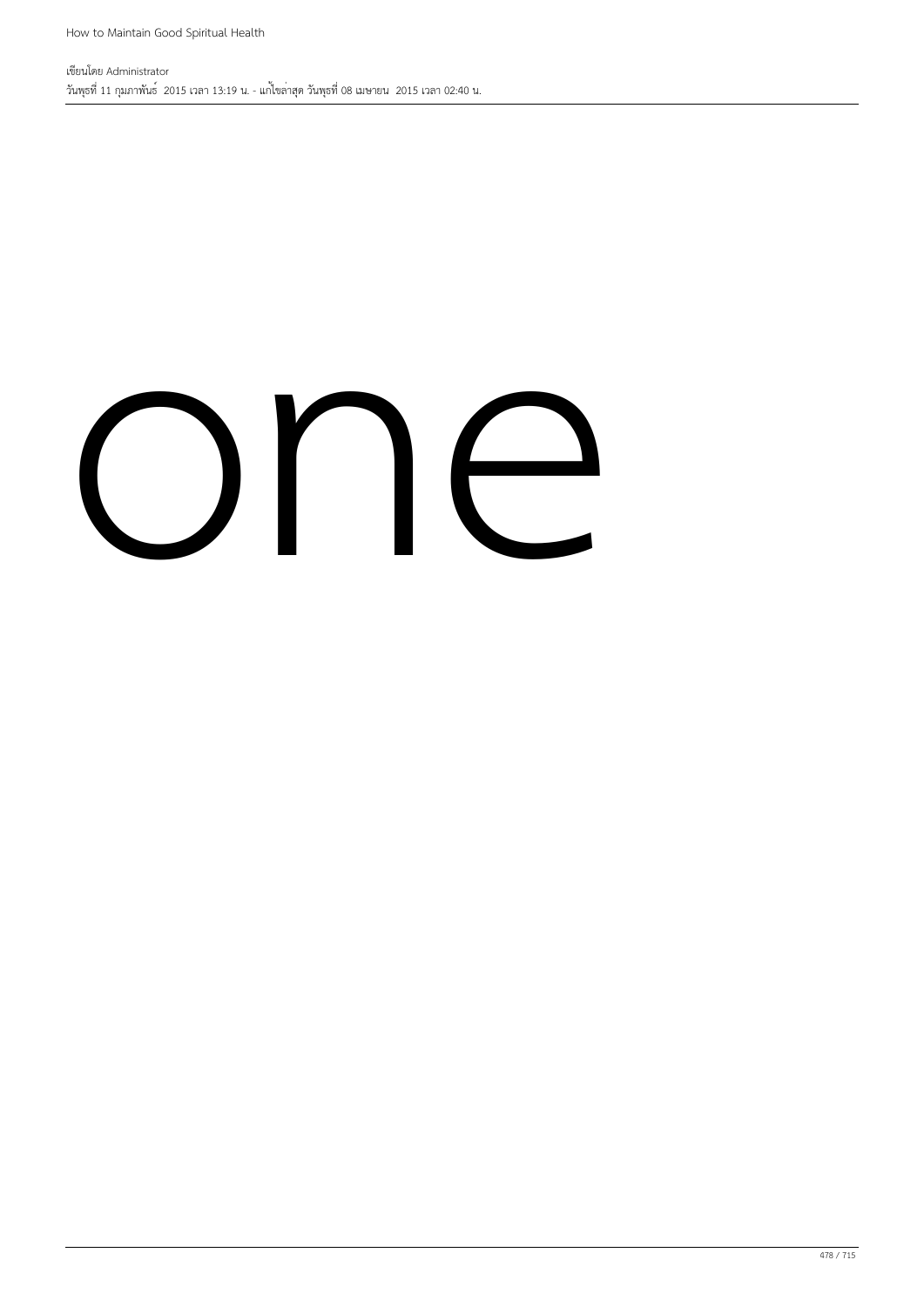#### one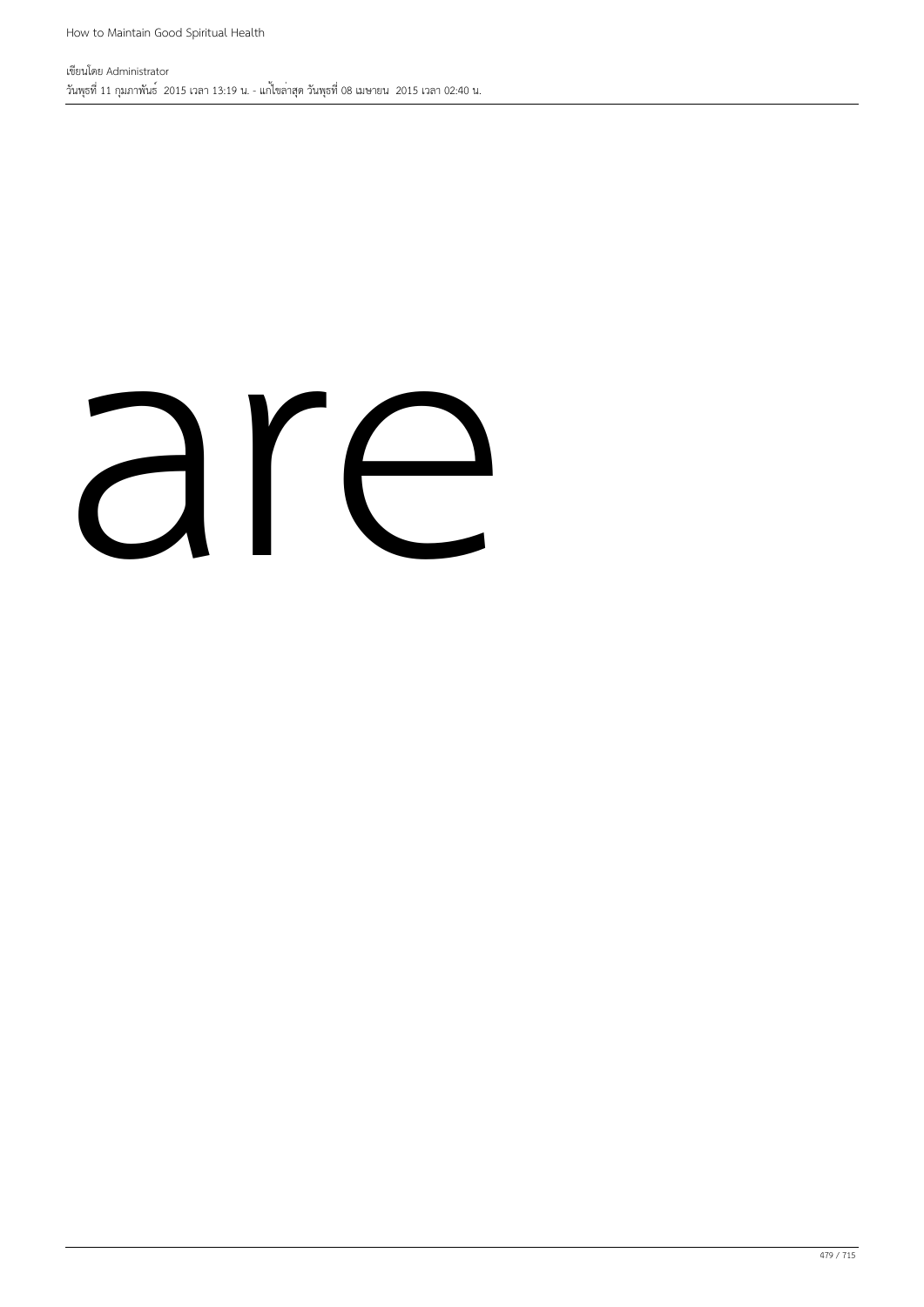#### are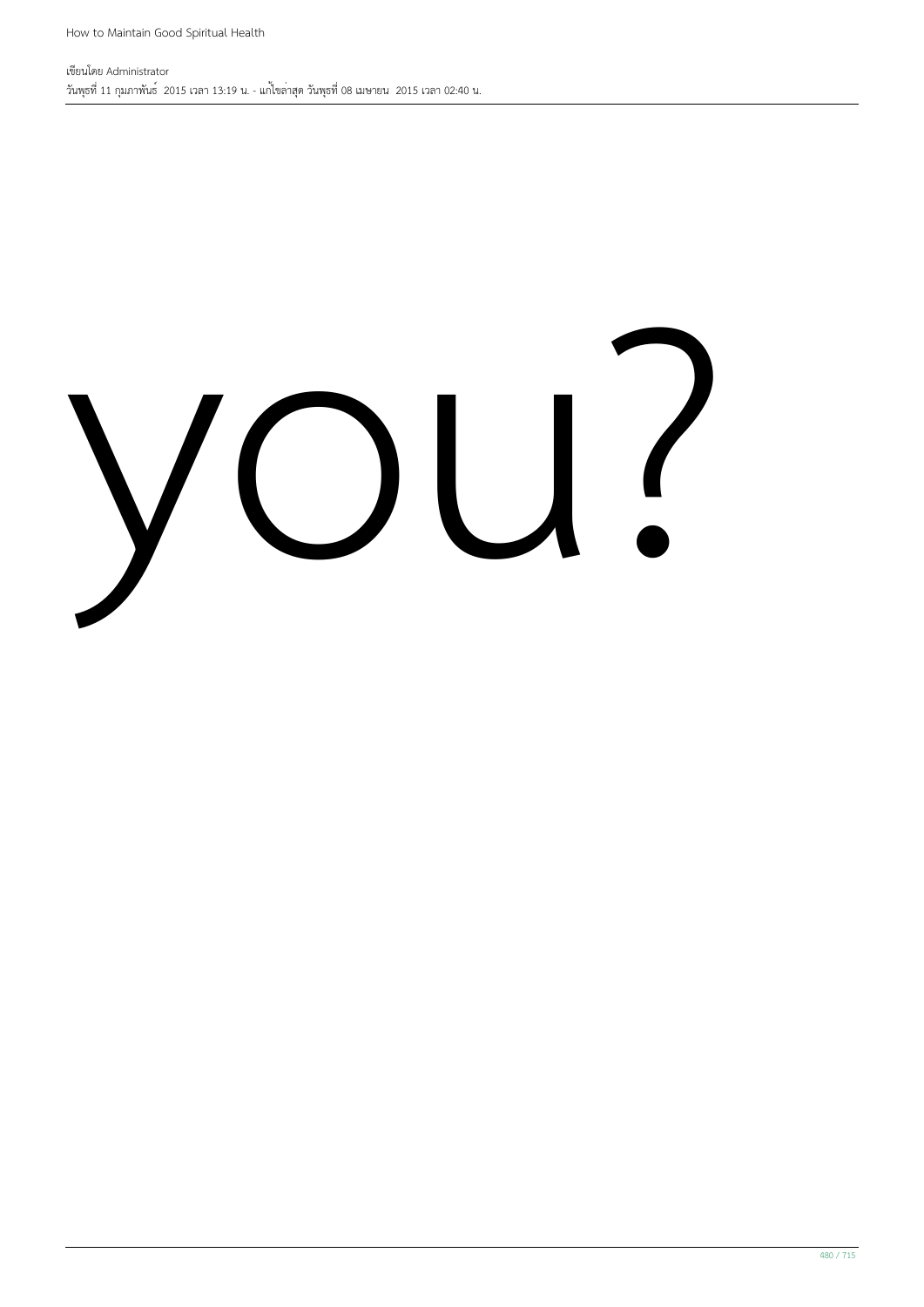## you?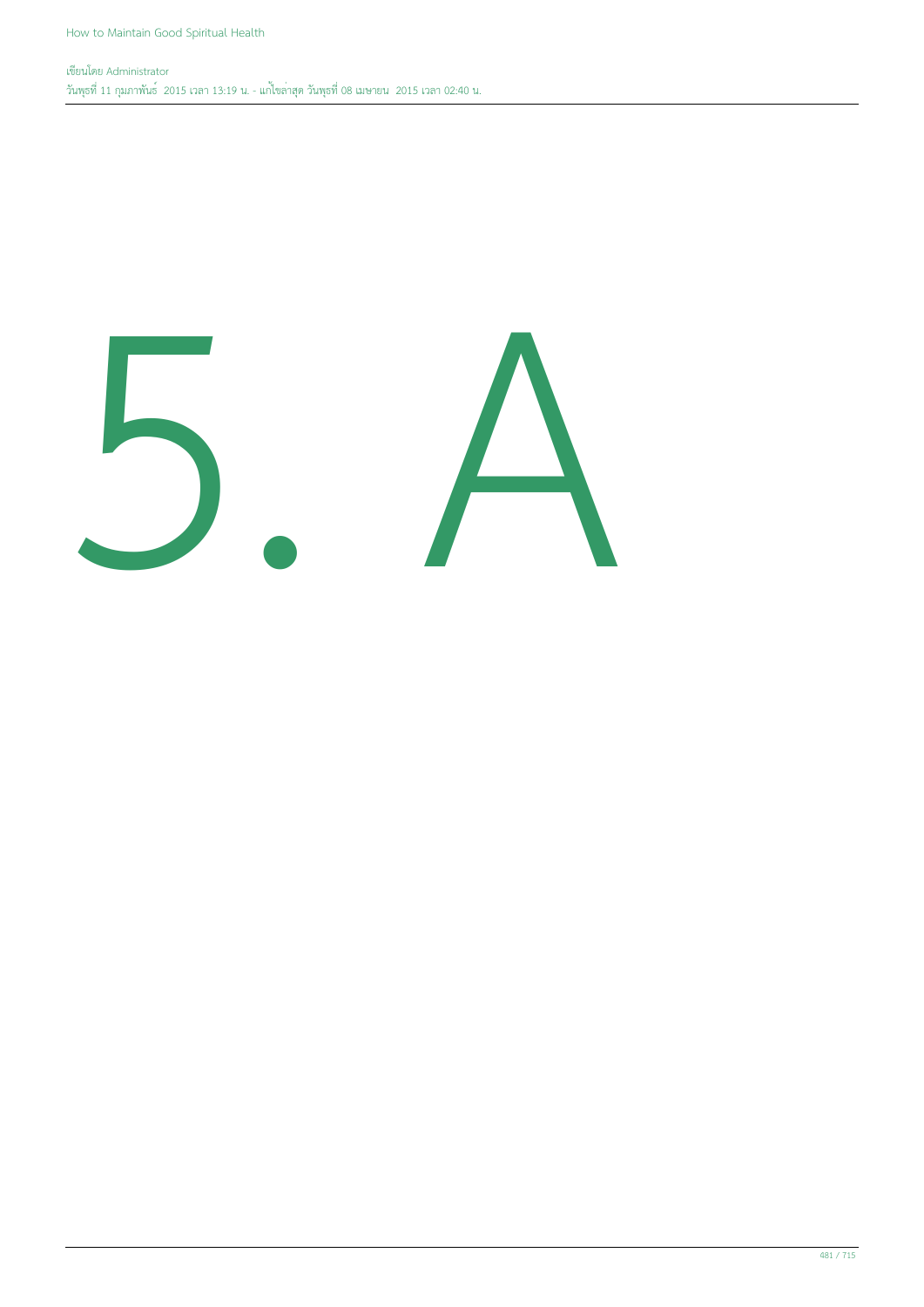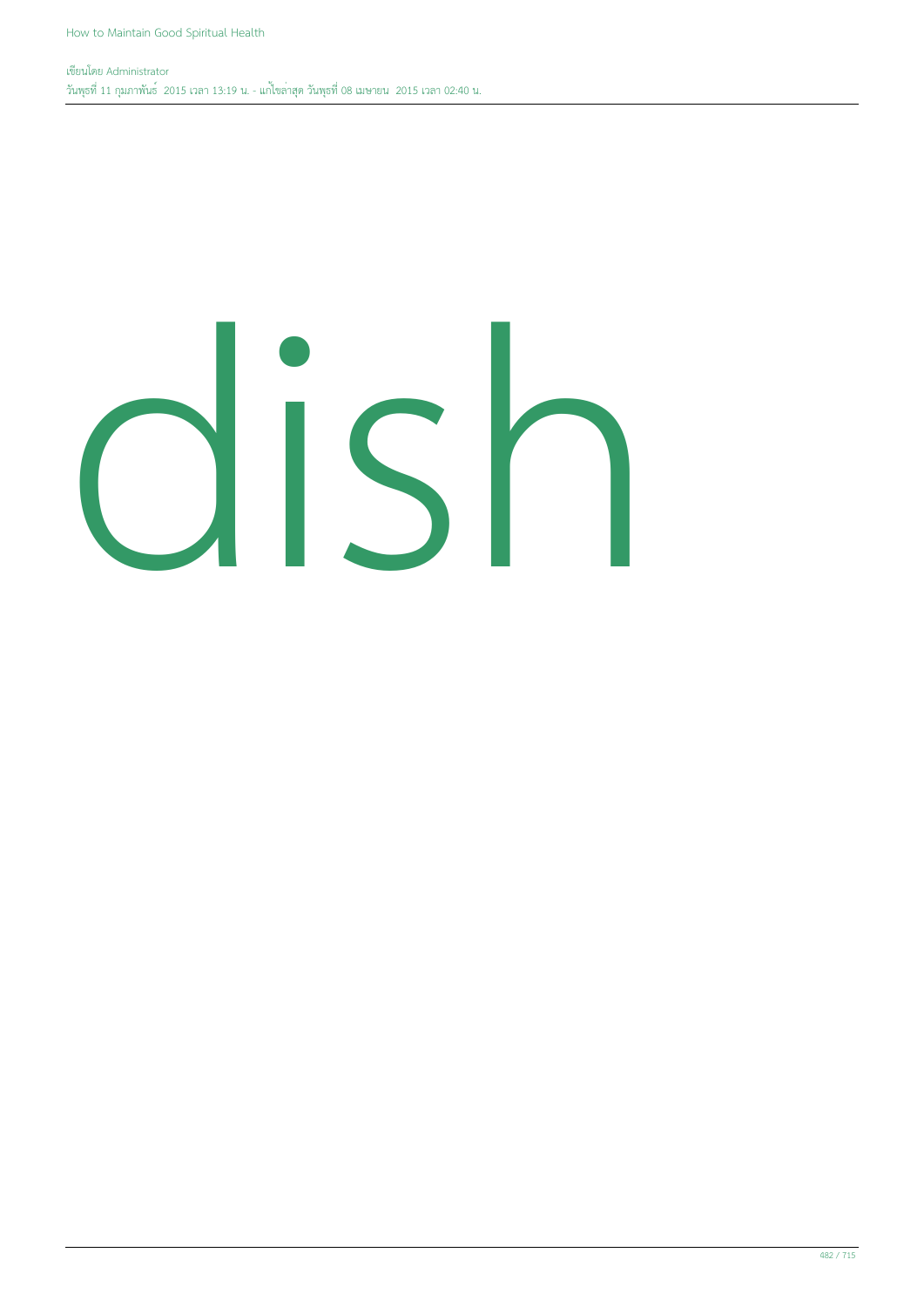## dish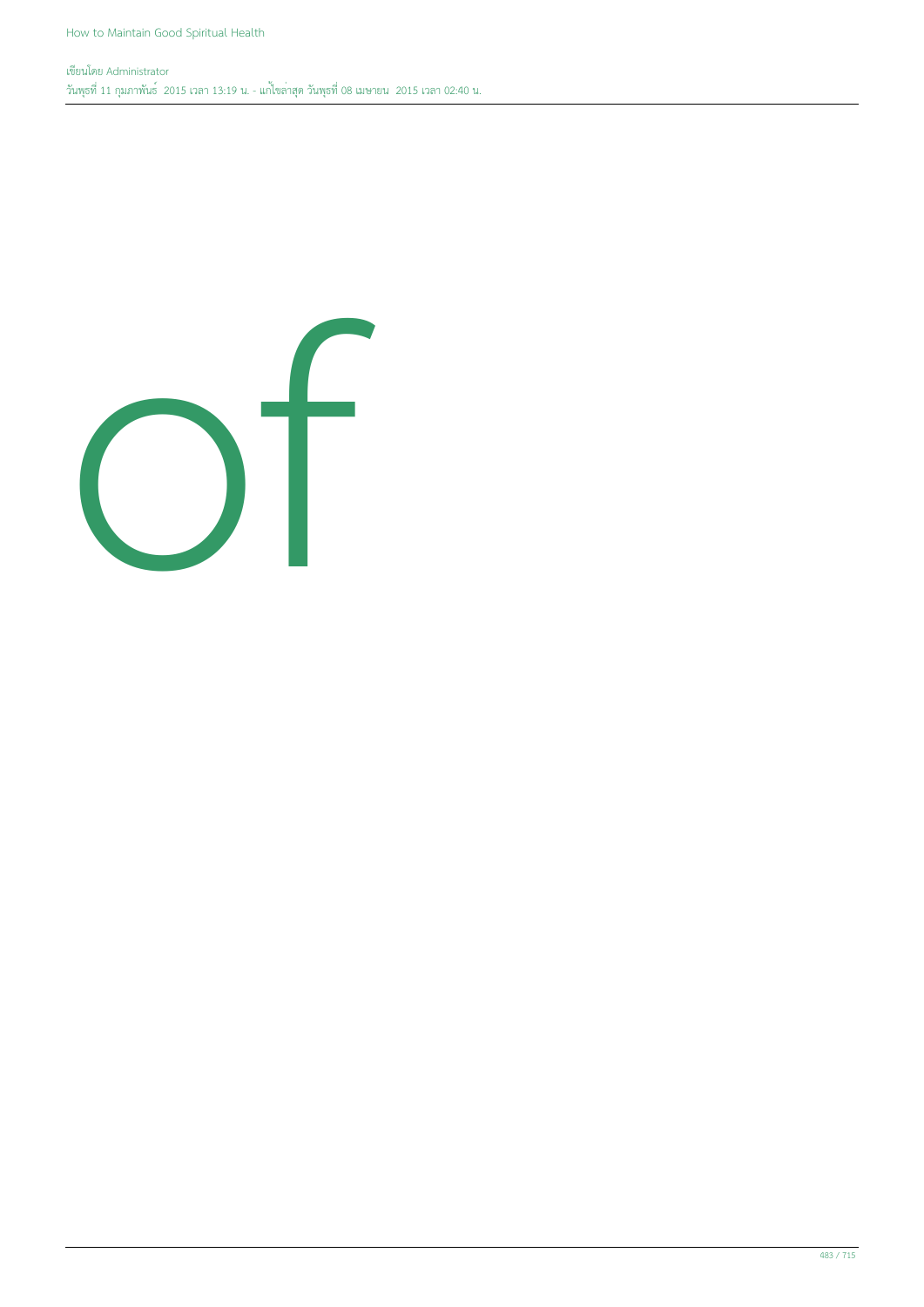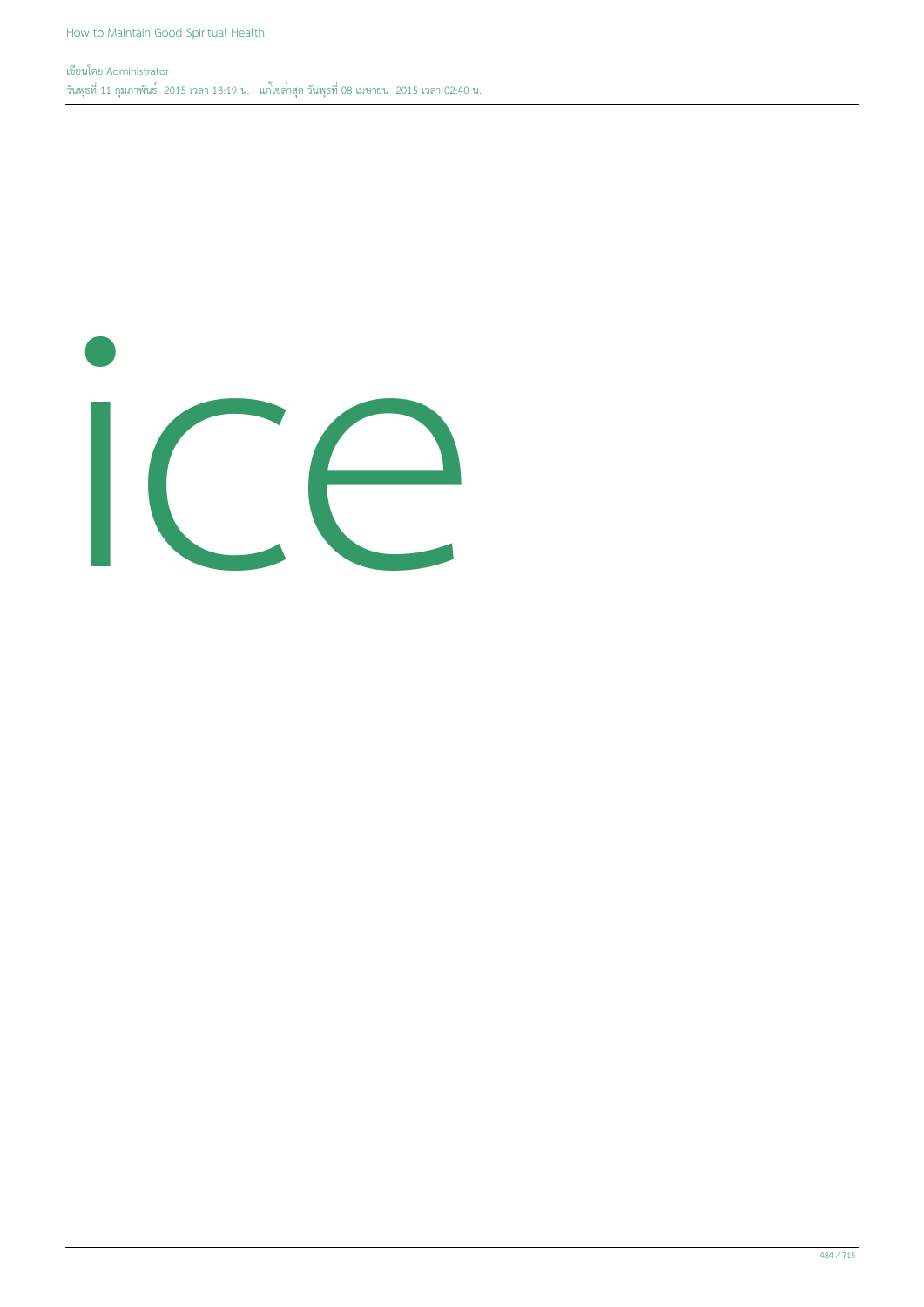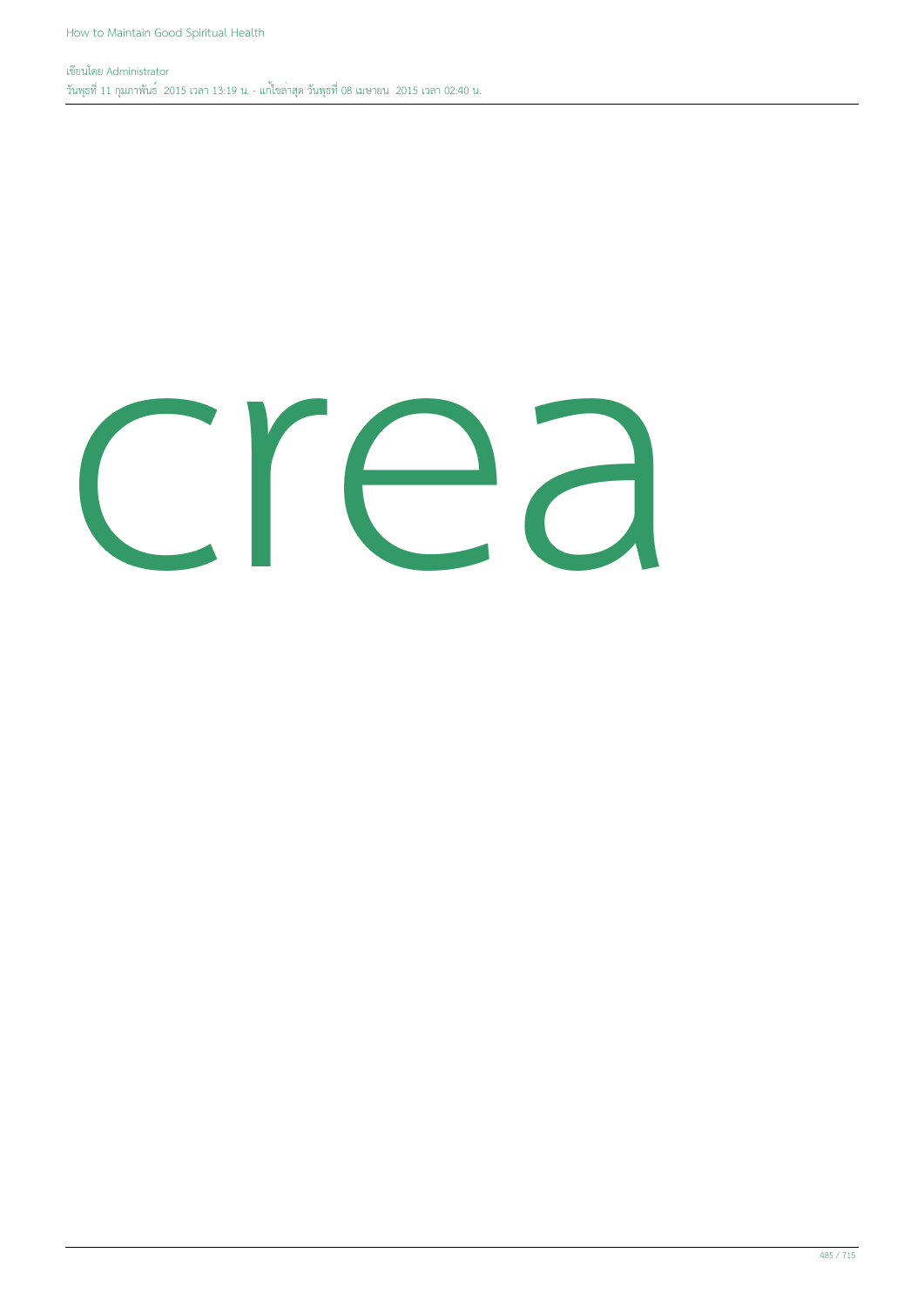#### crea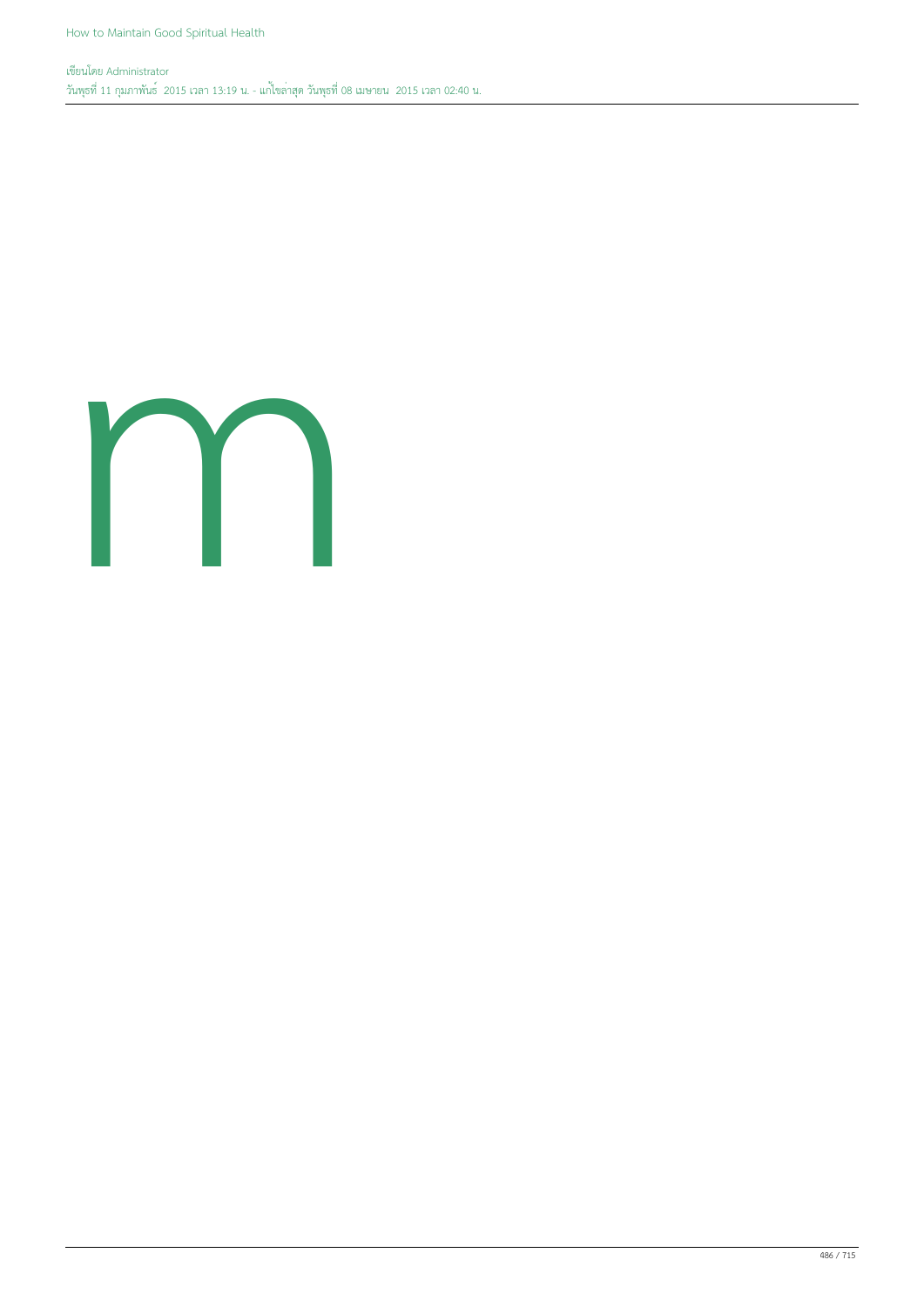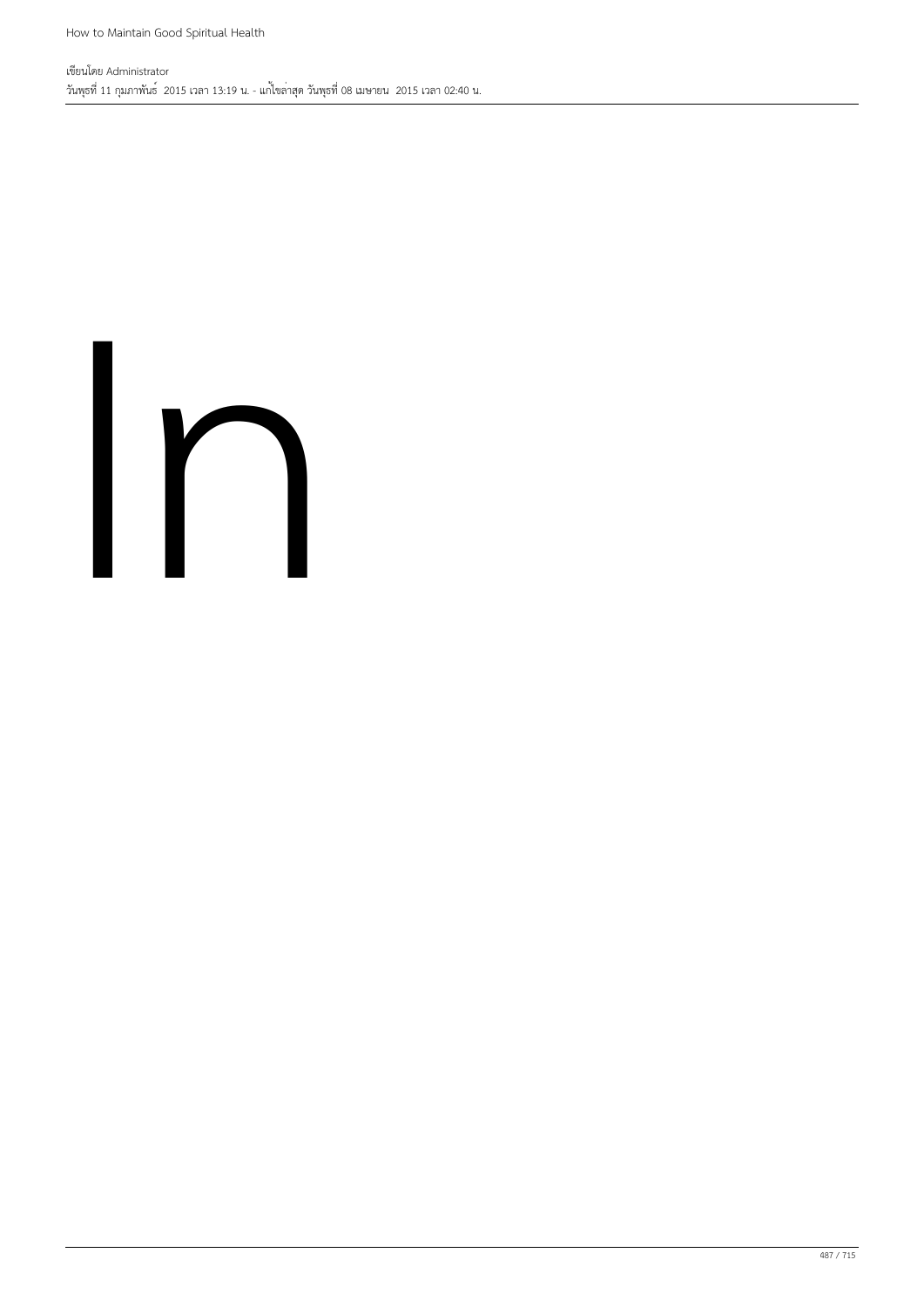#### In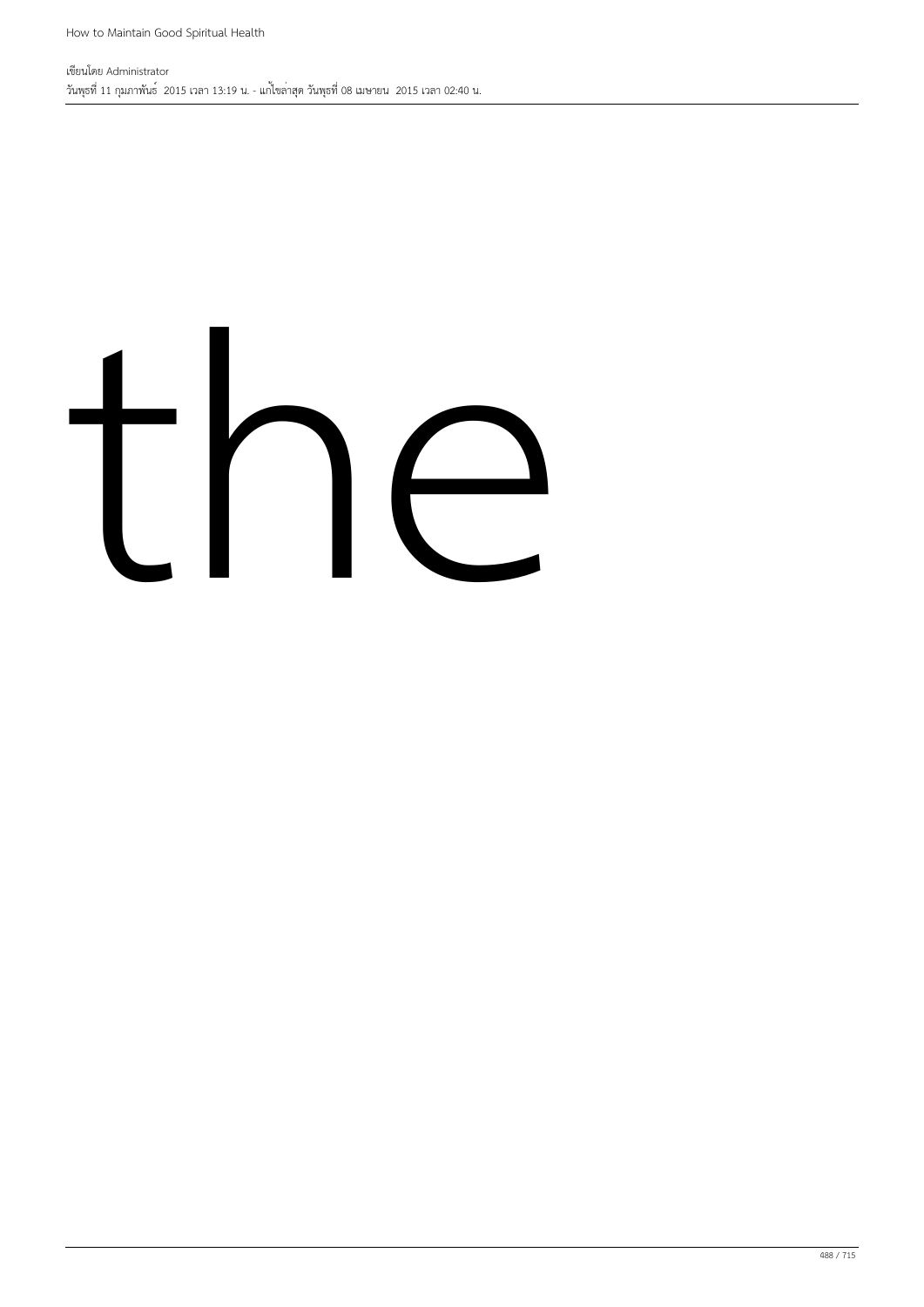## the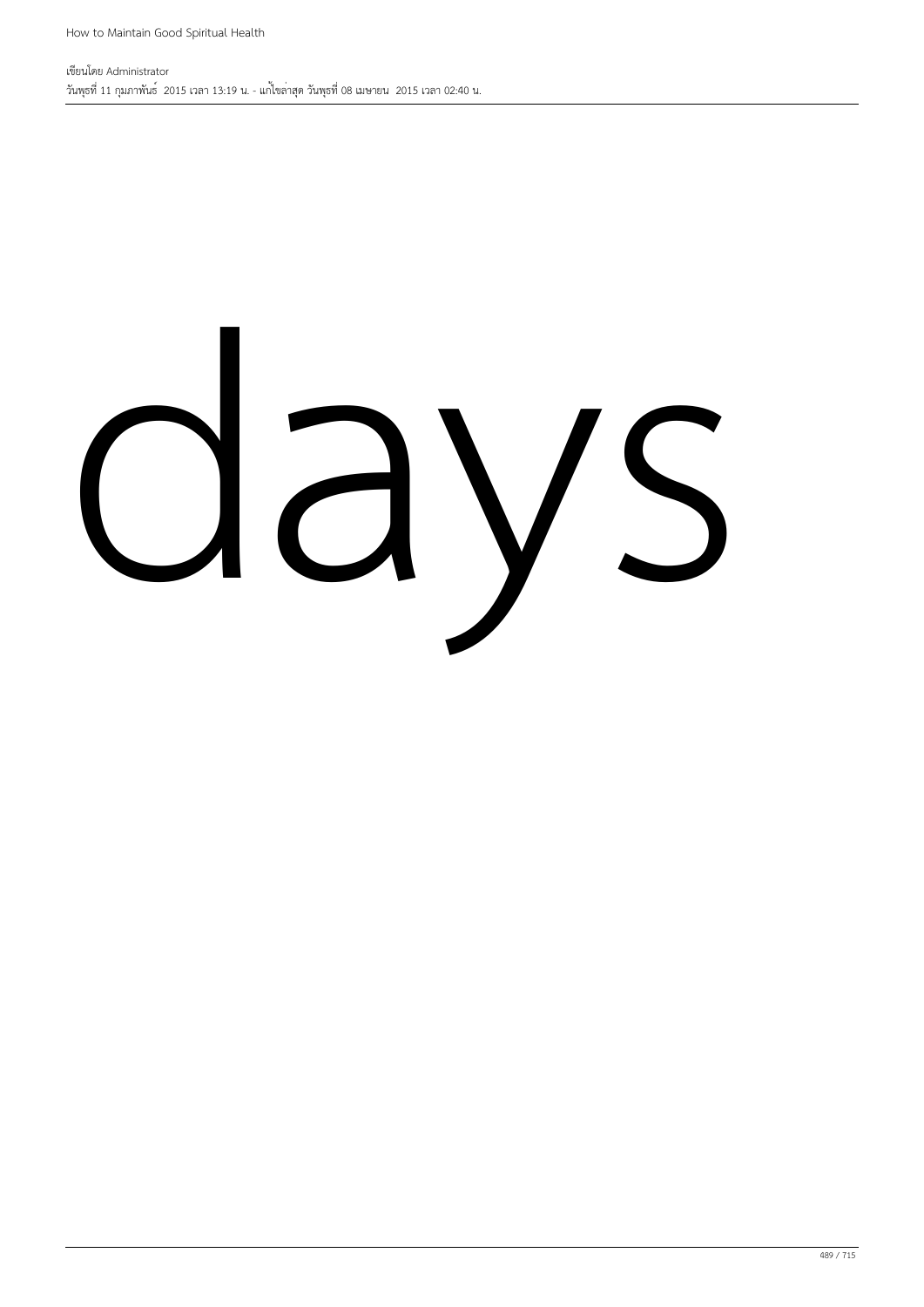# days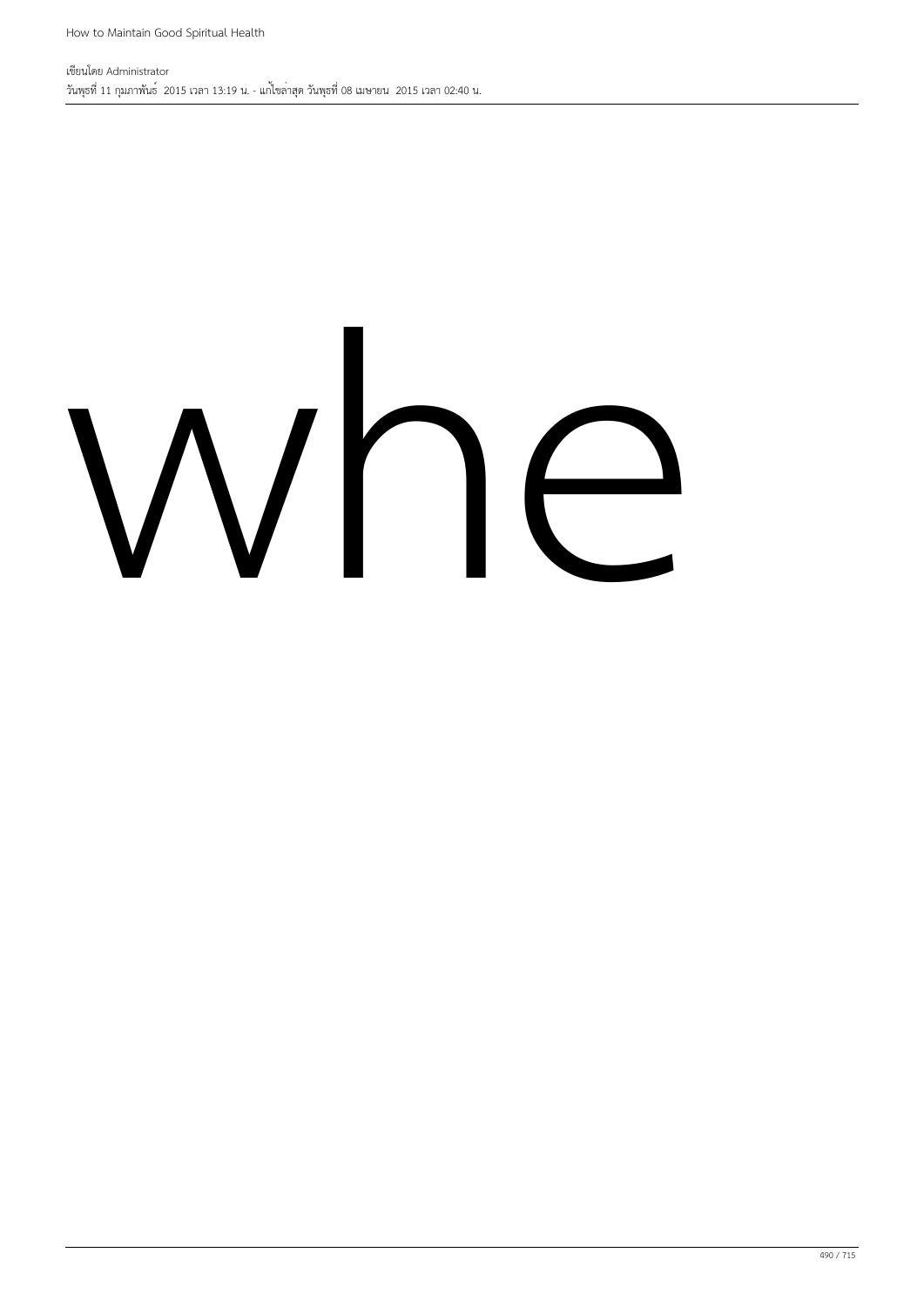## whe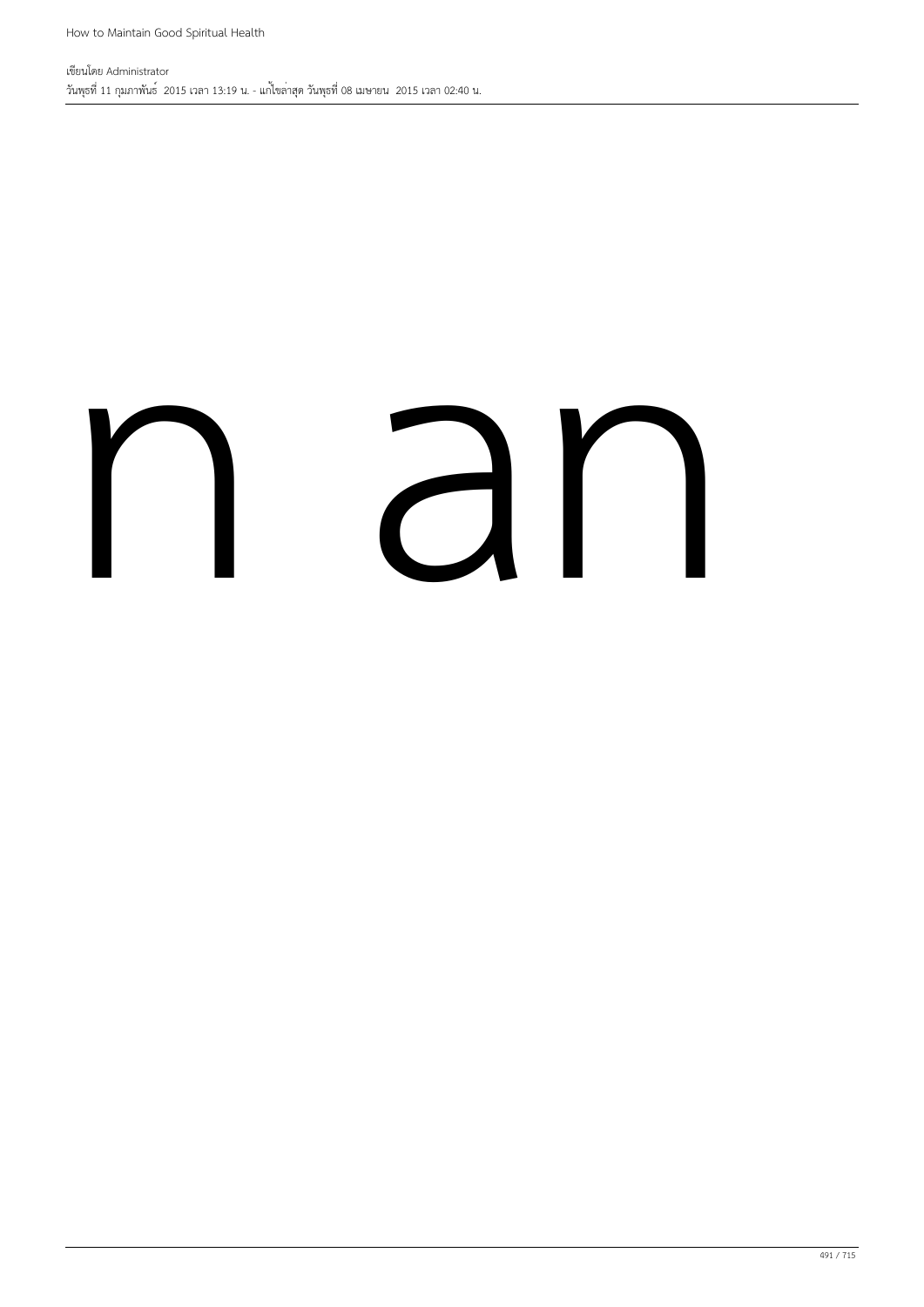#### n an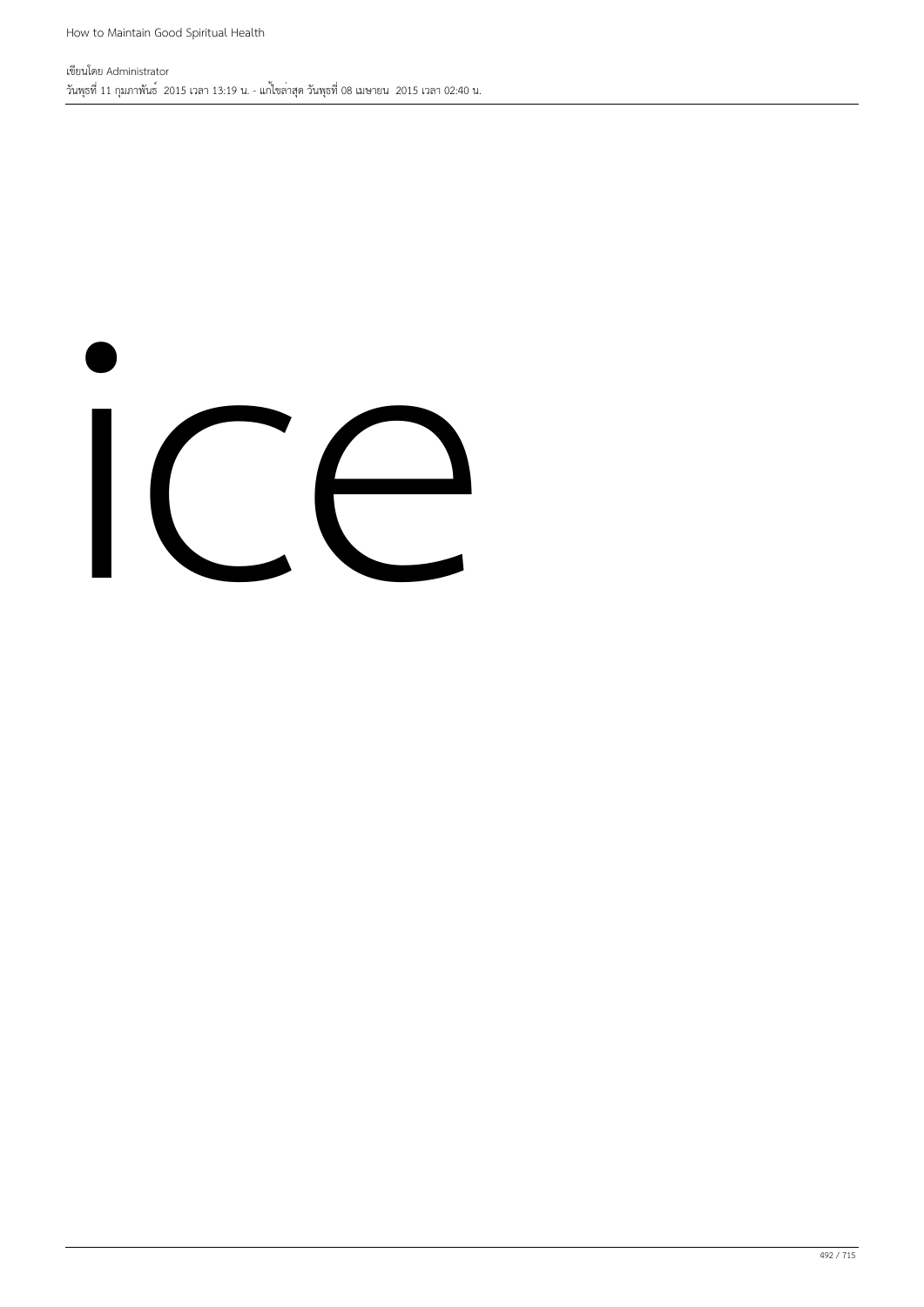## ice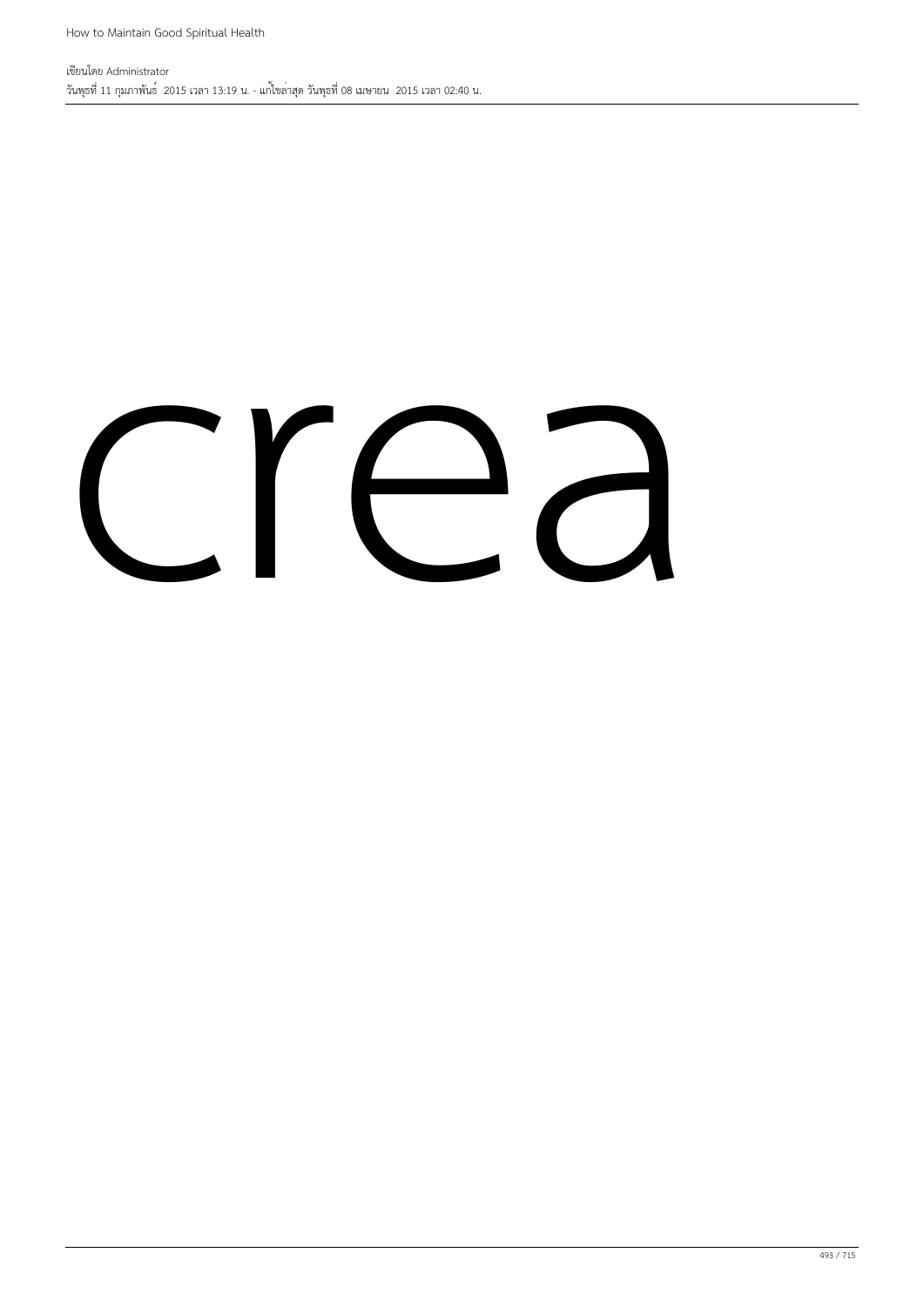#### crea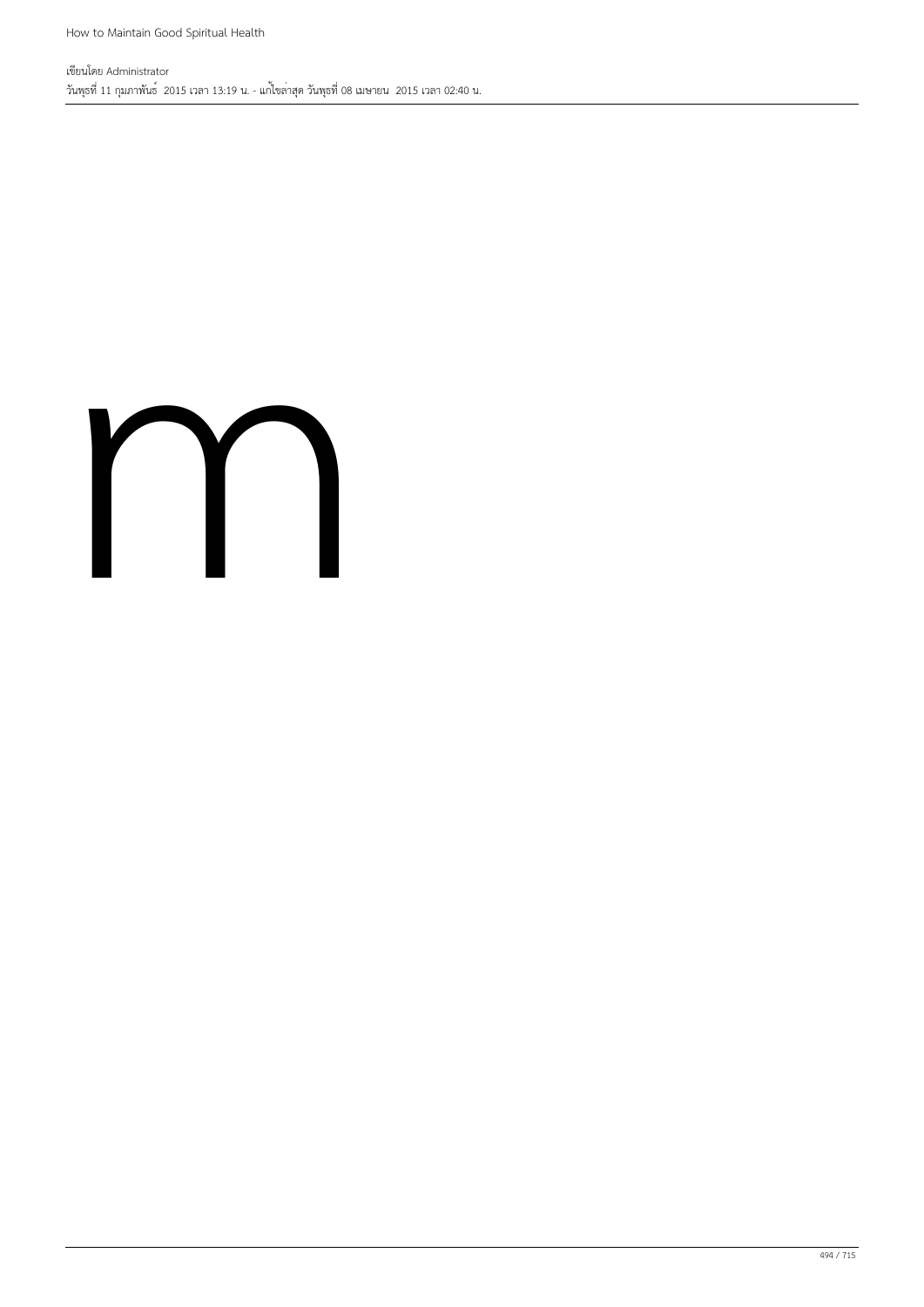#### m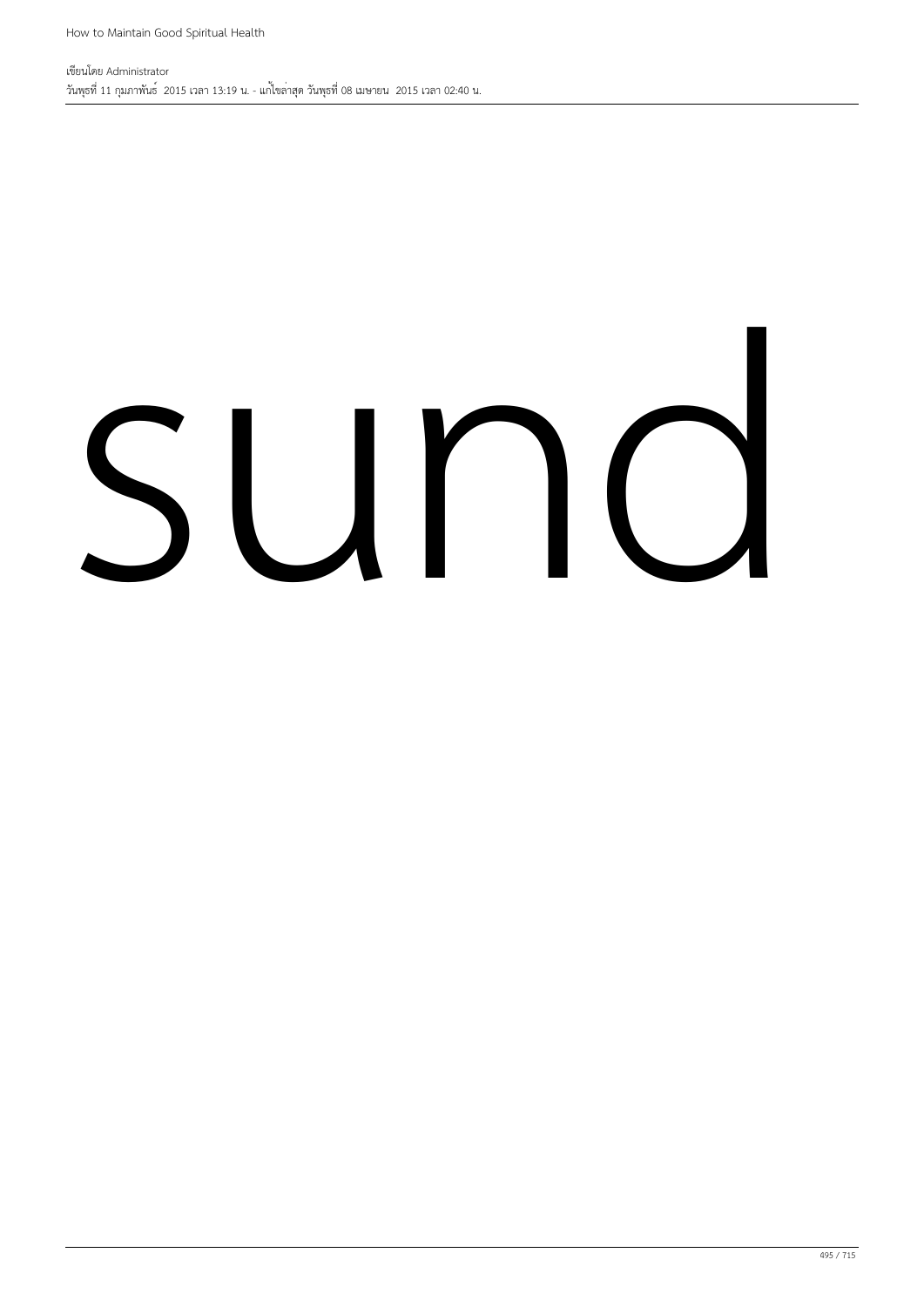### sund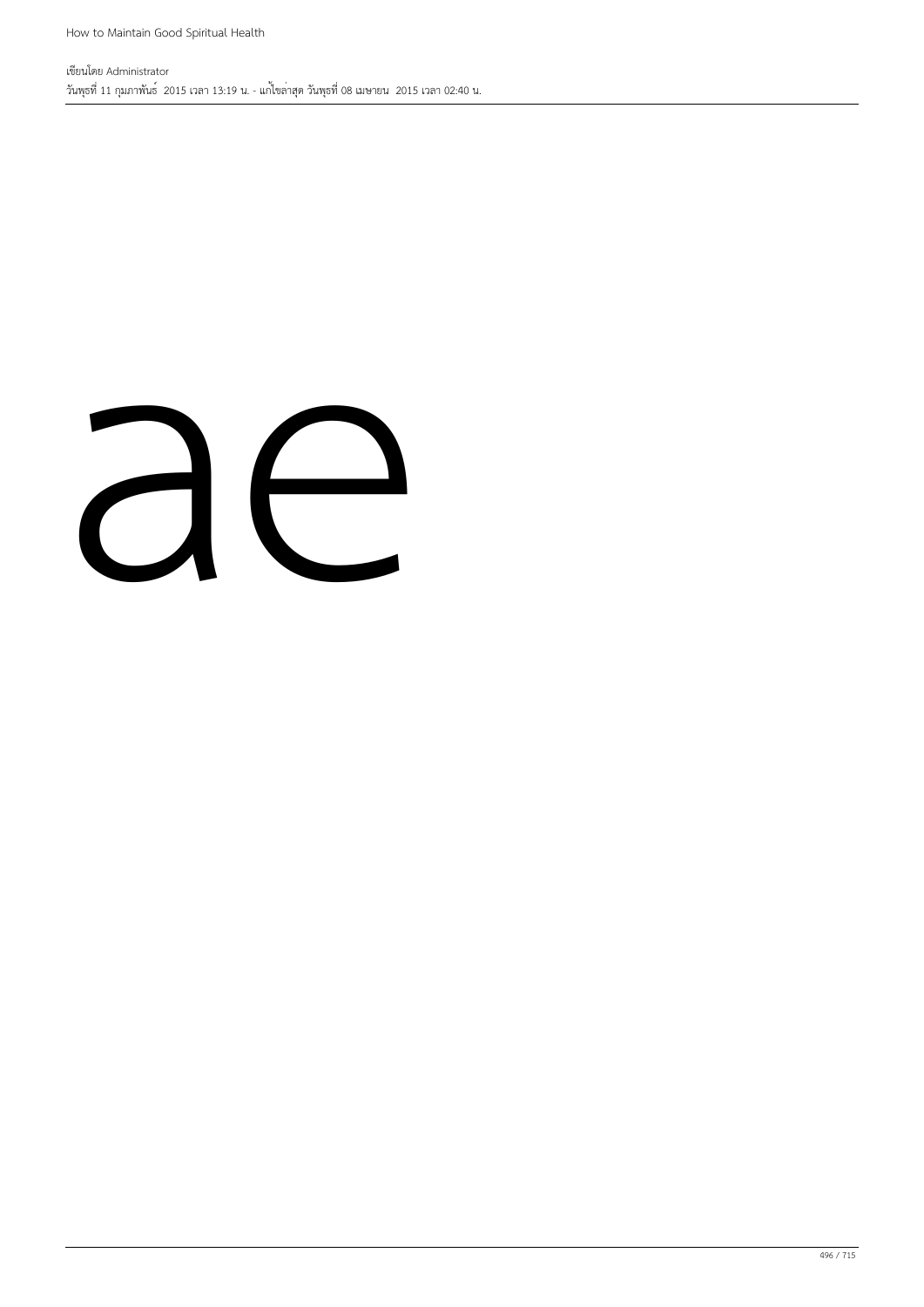#### ae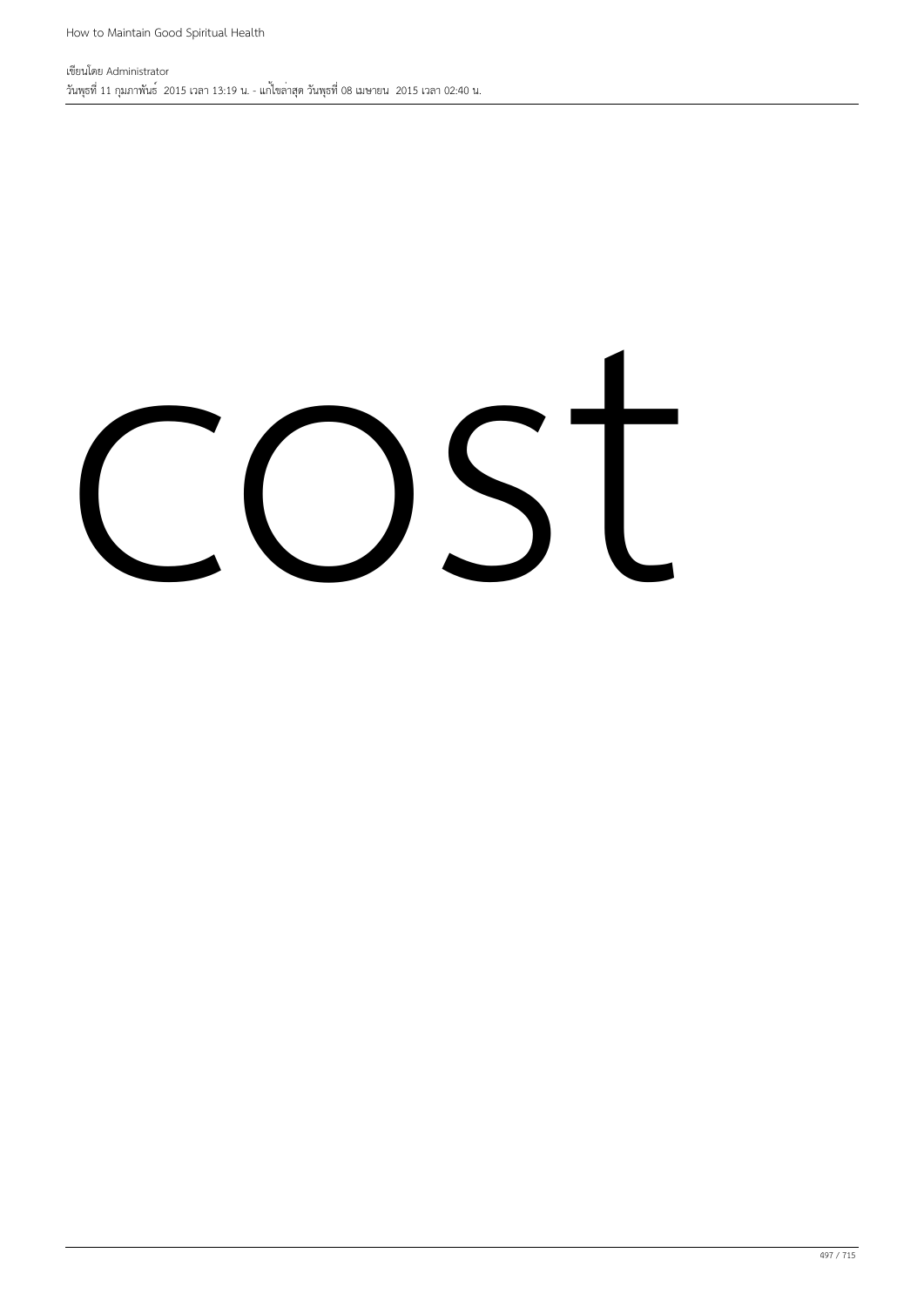### cost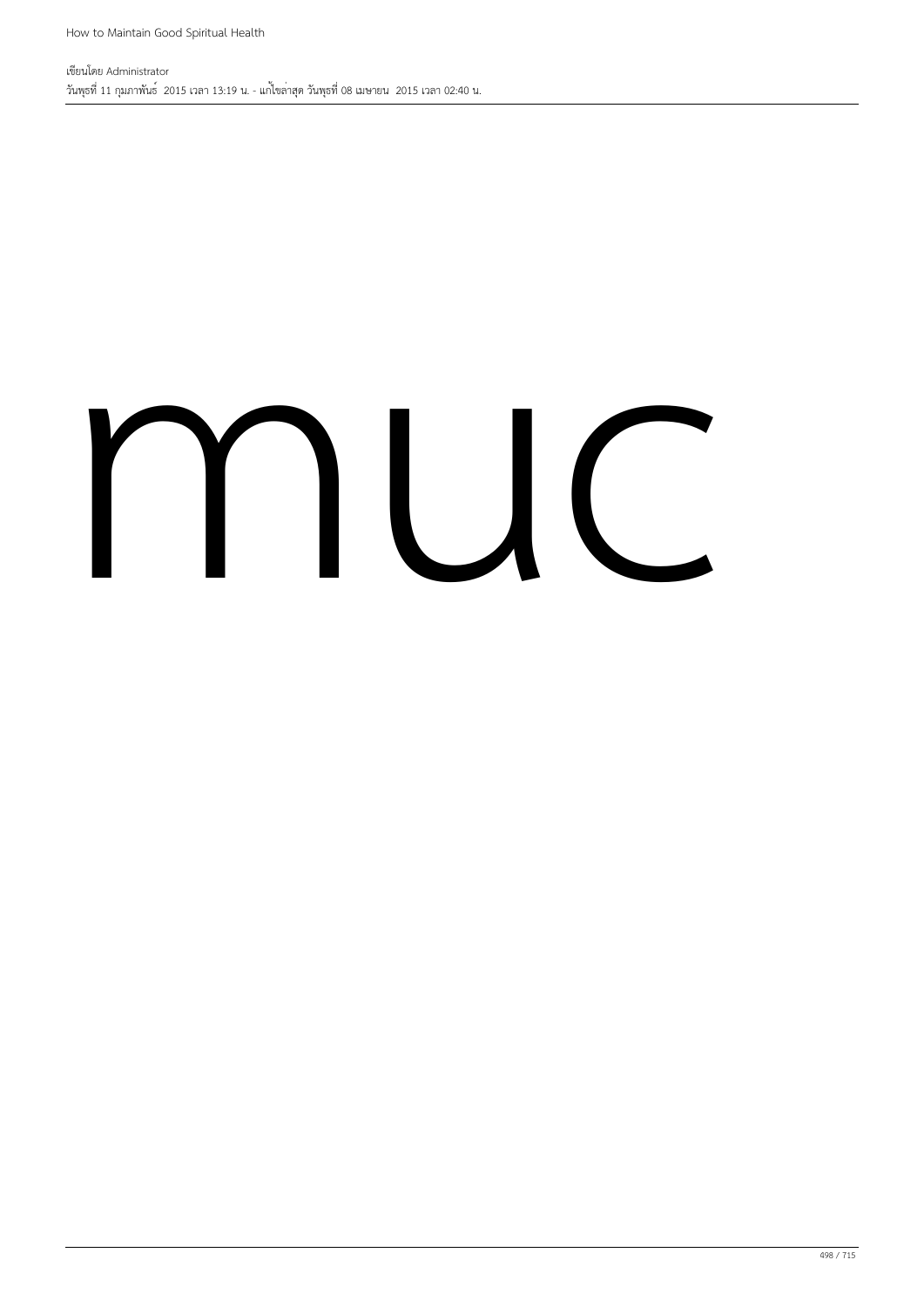#### muc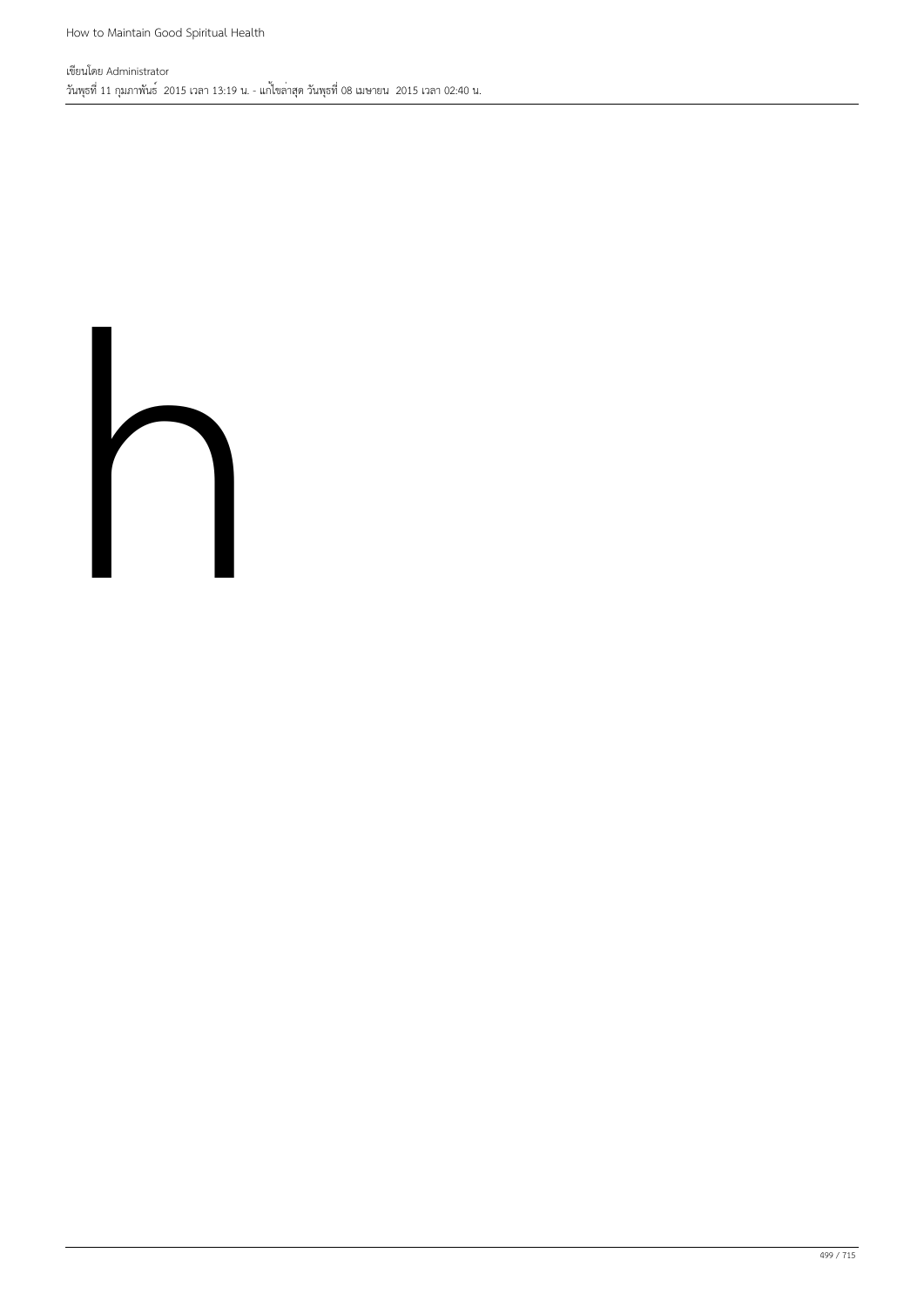#### h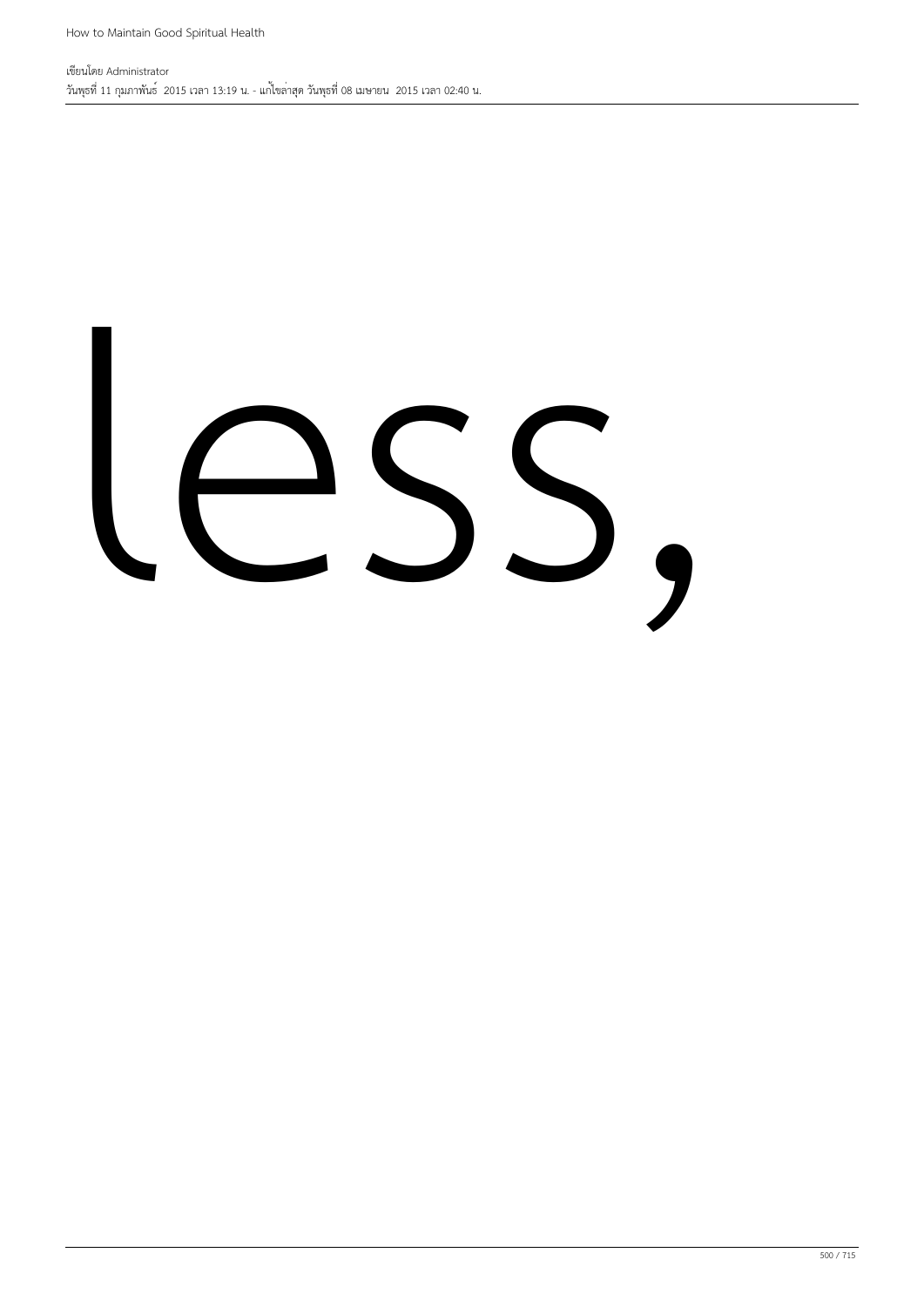## less,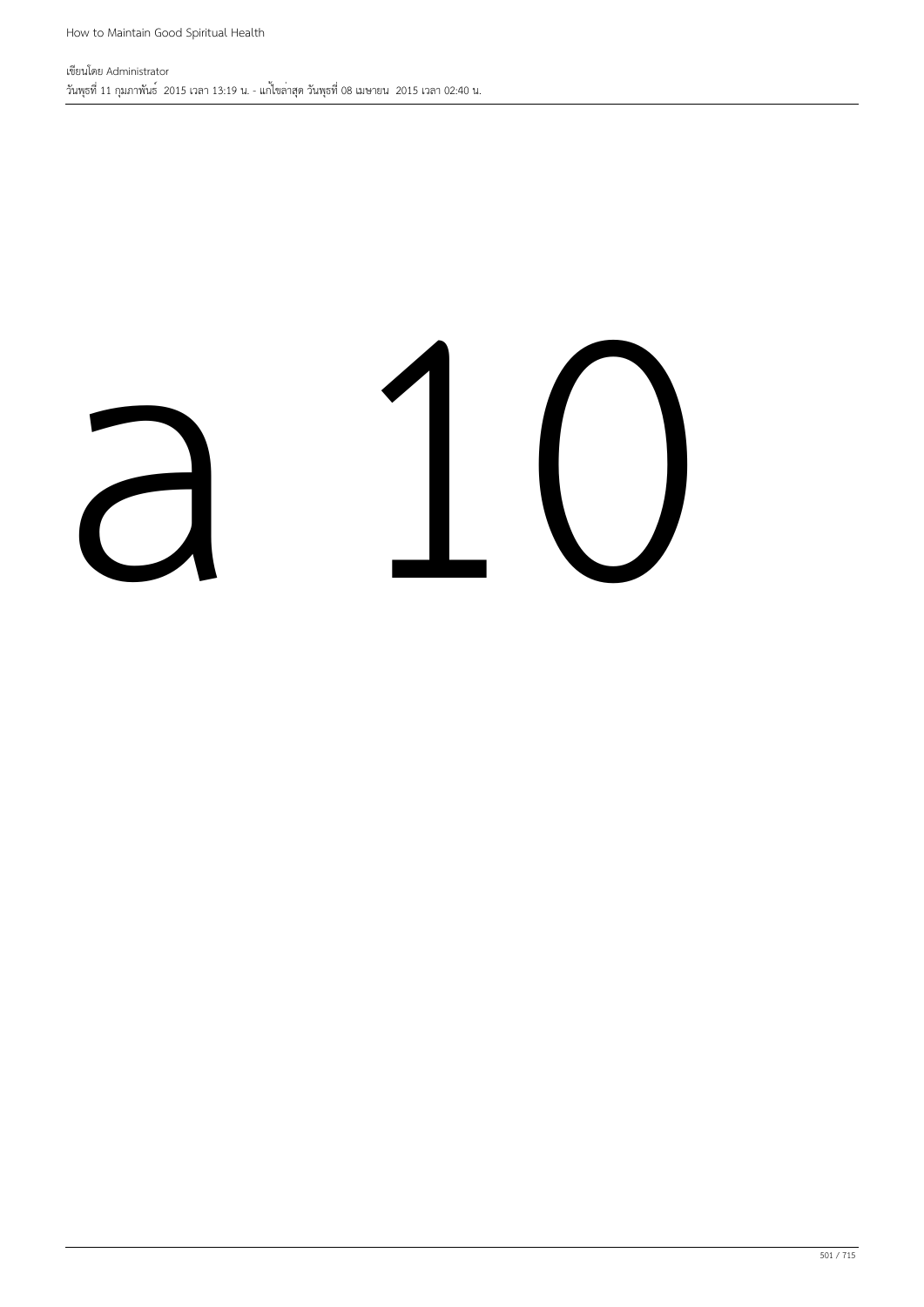# a 10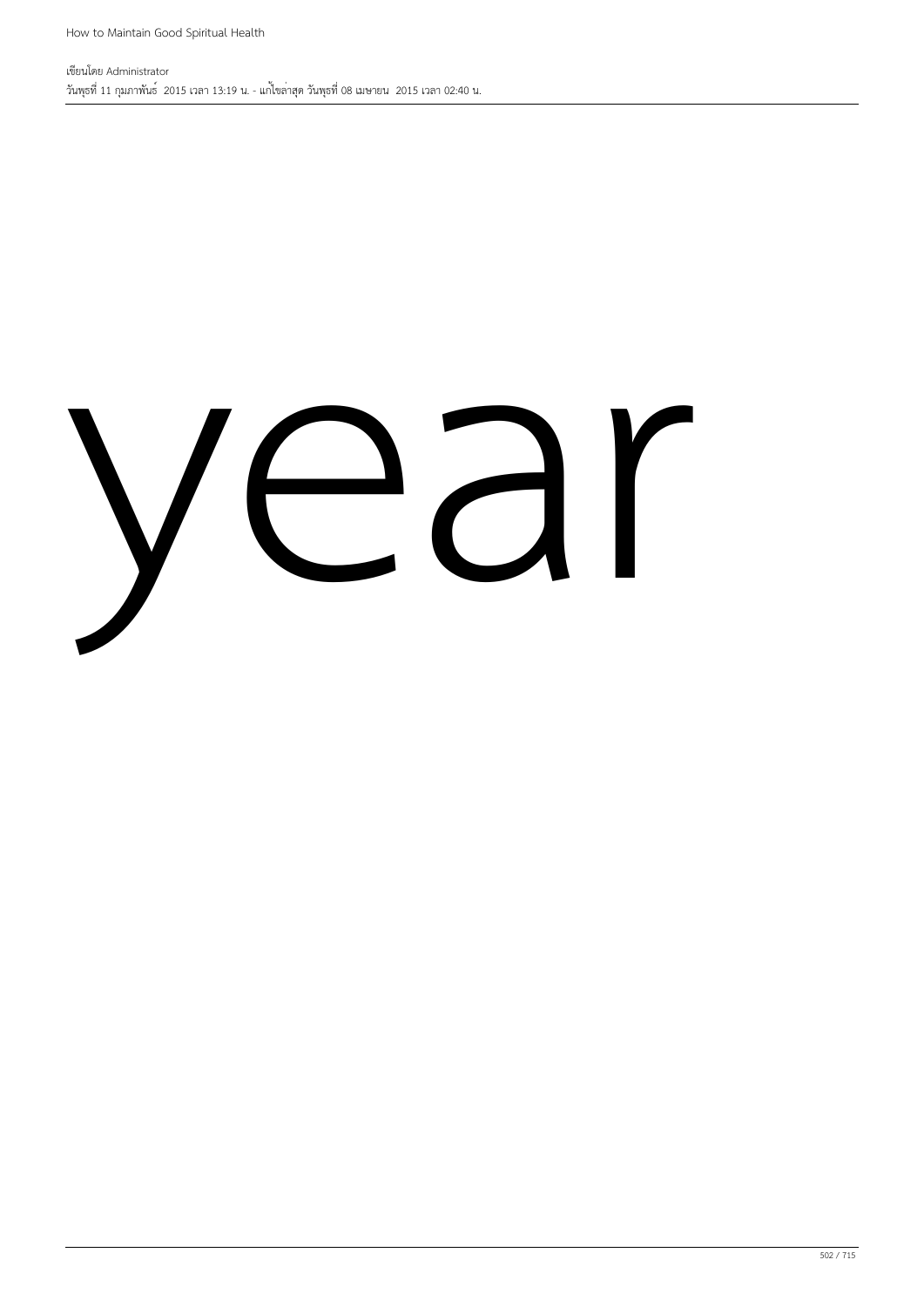## year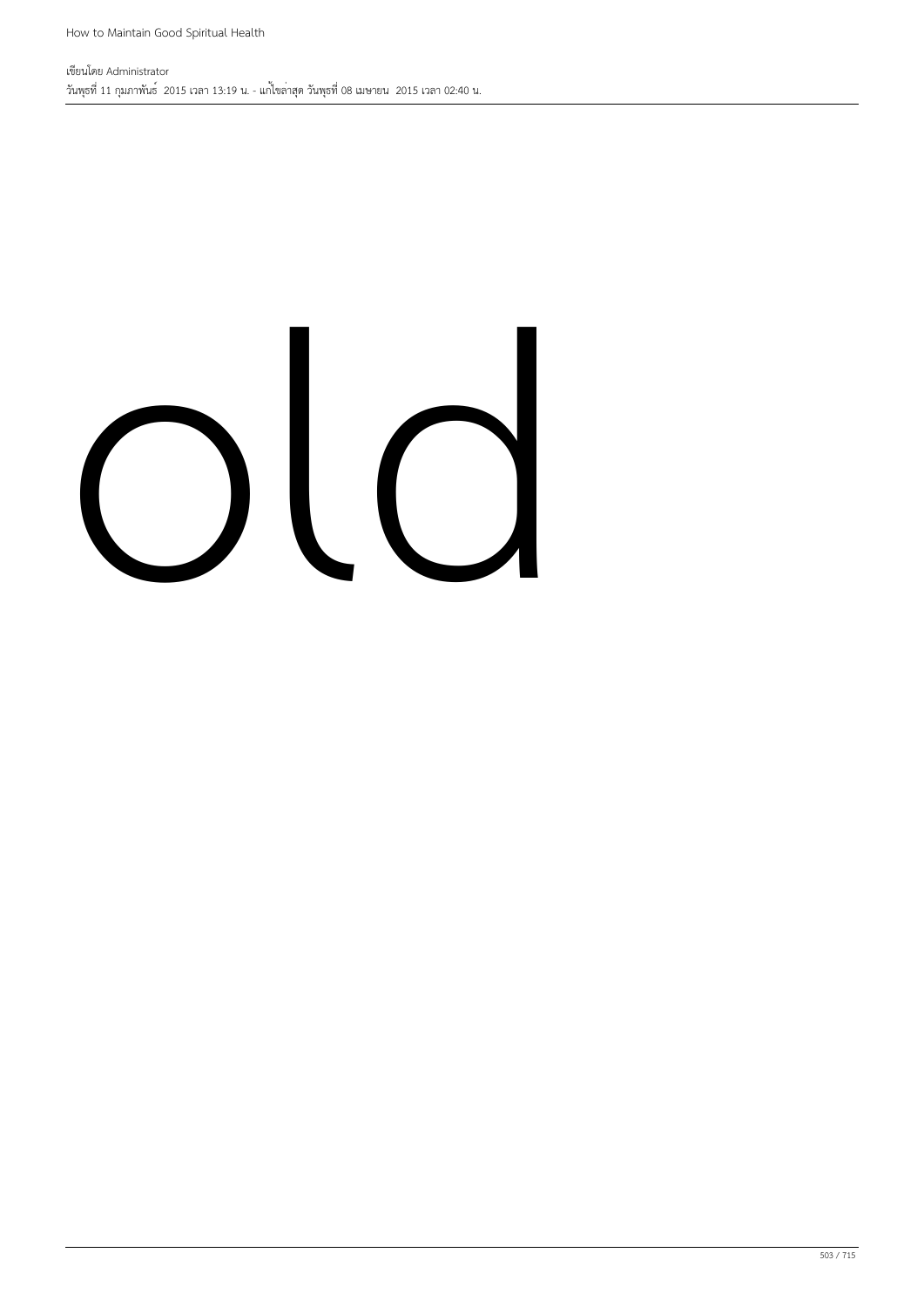# old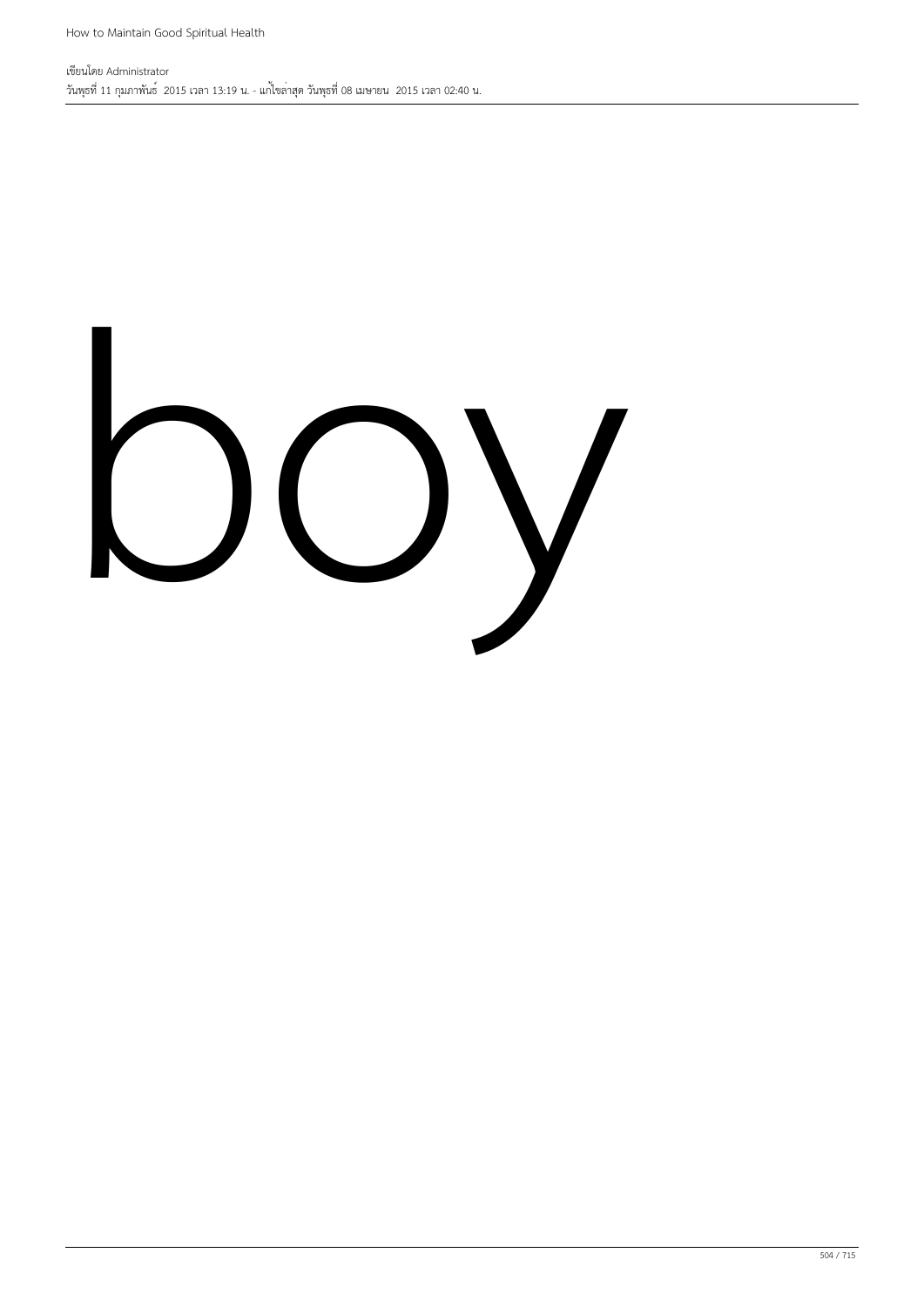# boy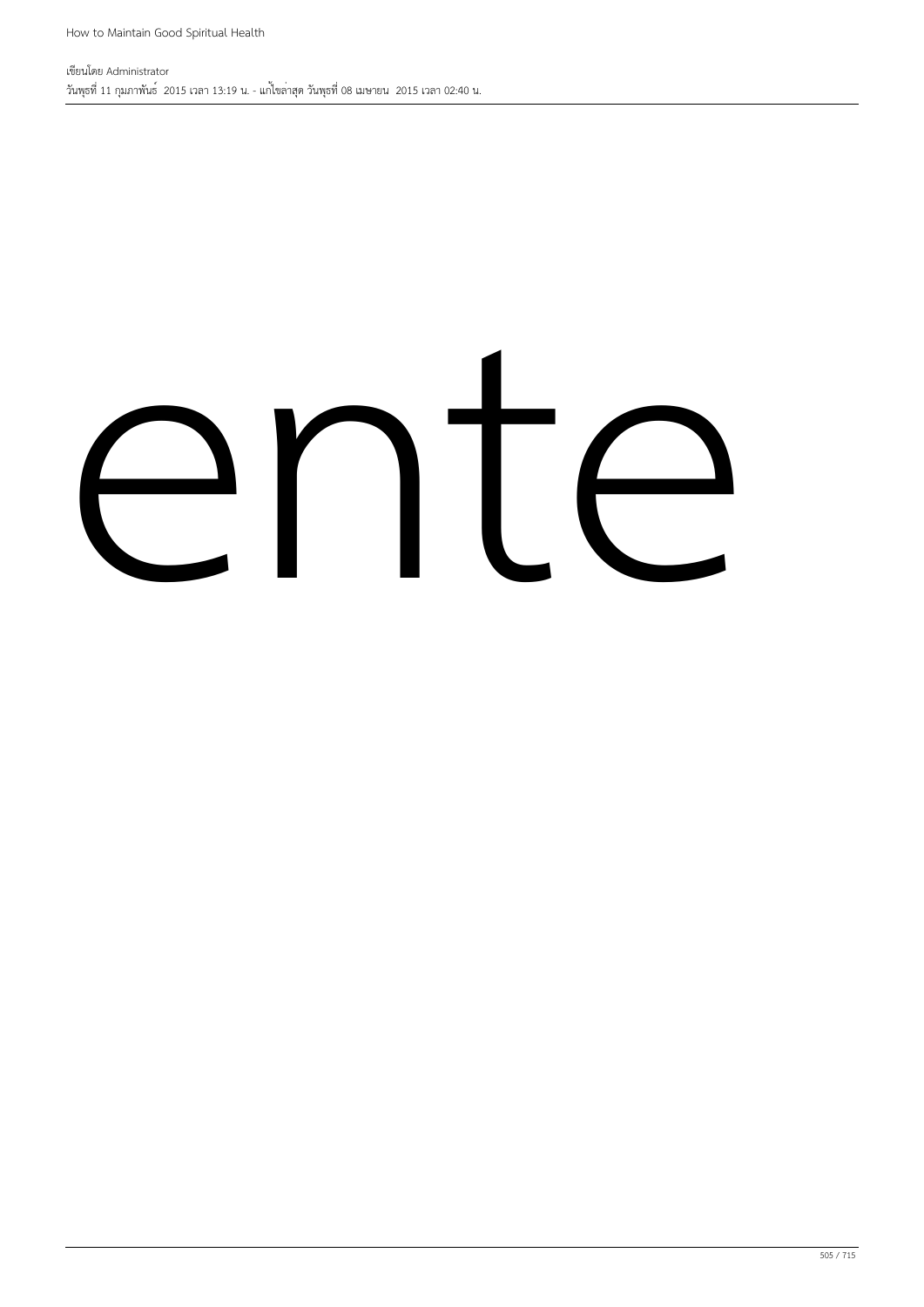#### ente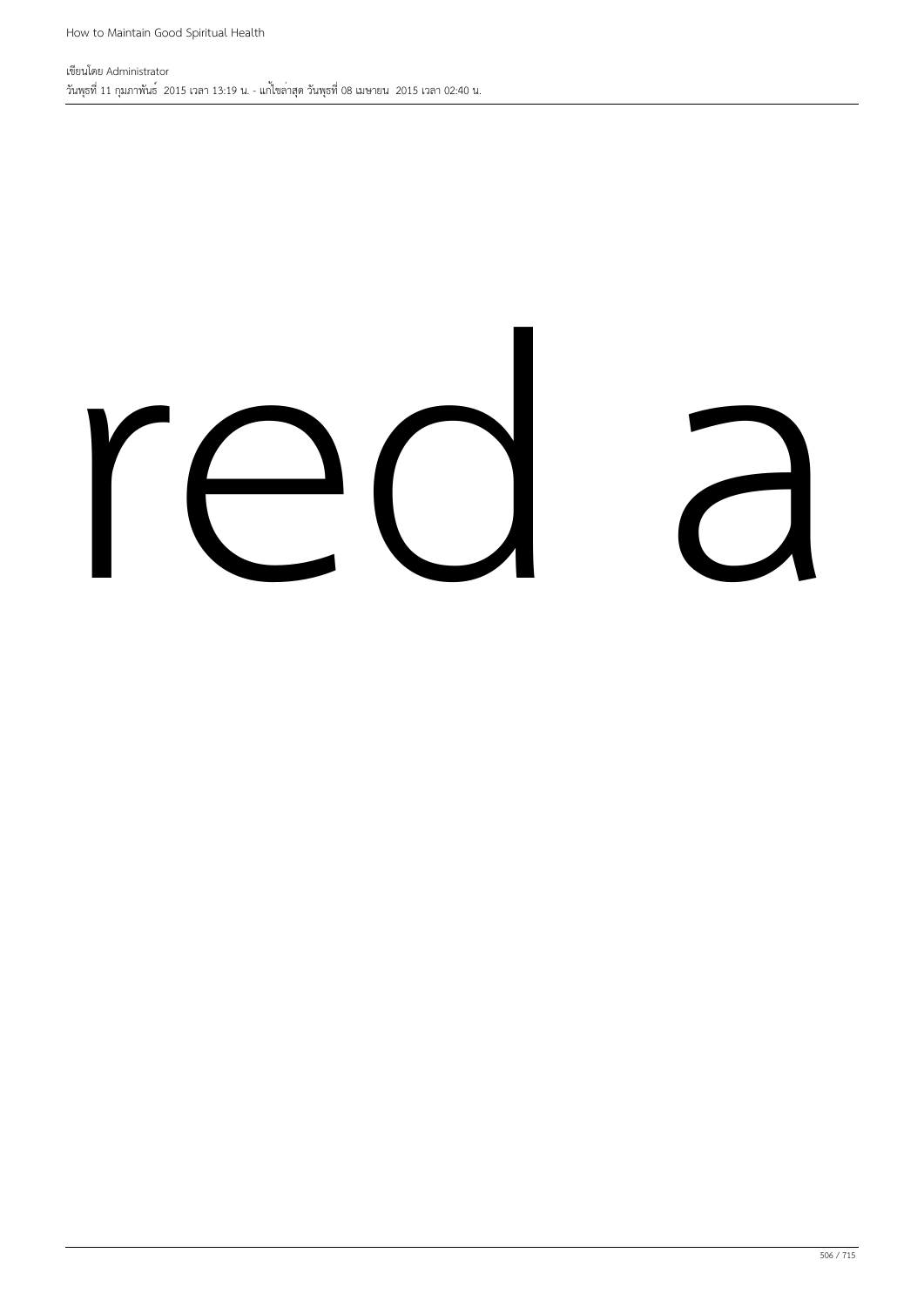#### red a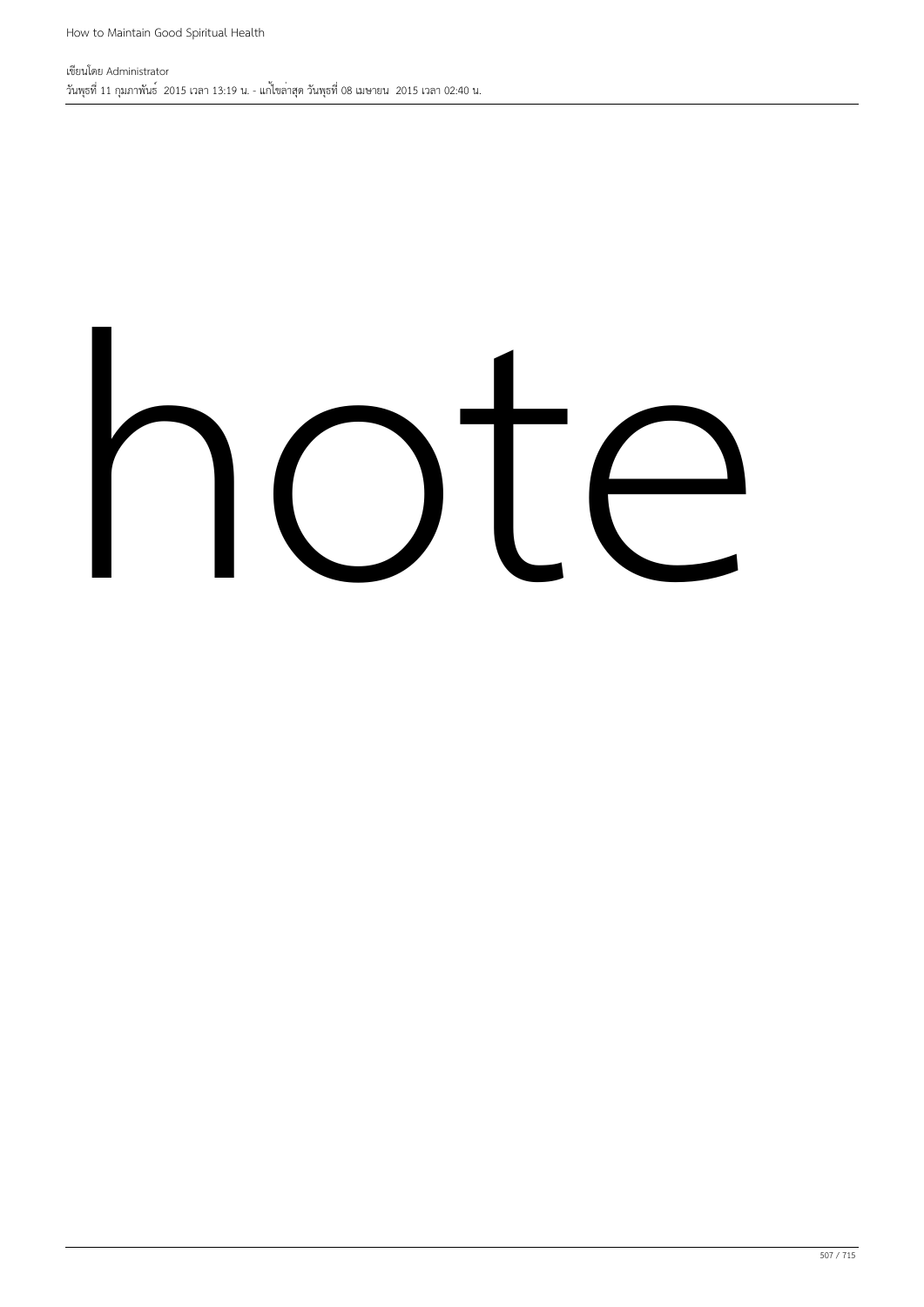#### hote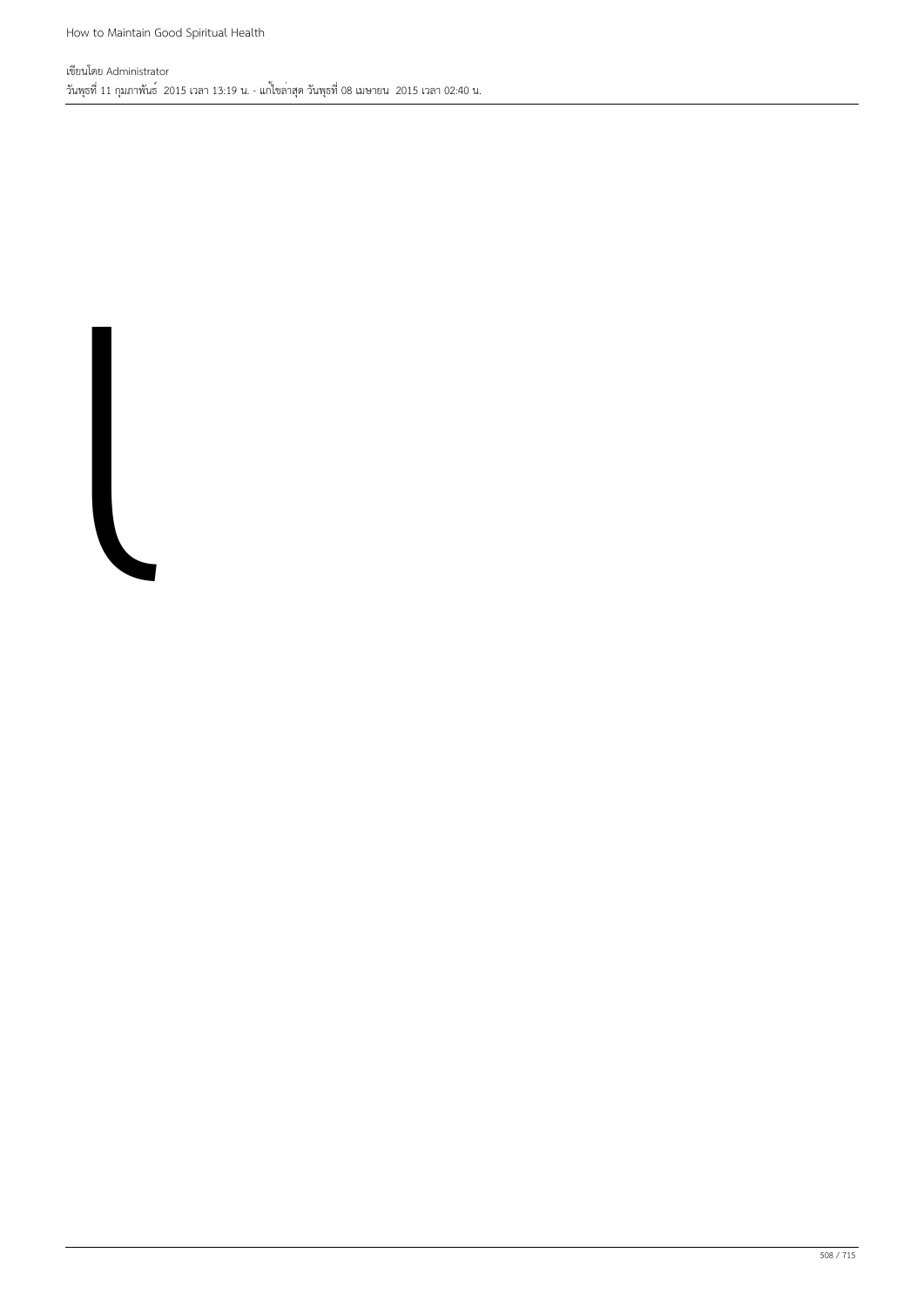$\overline{\mathcal{L}}$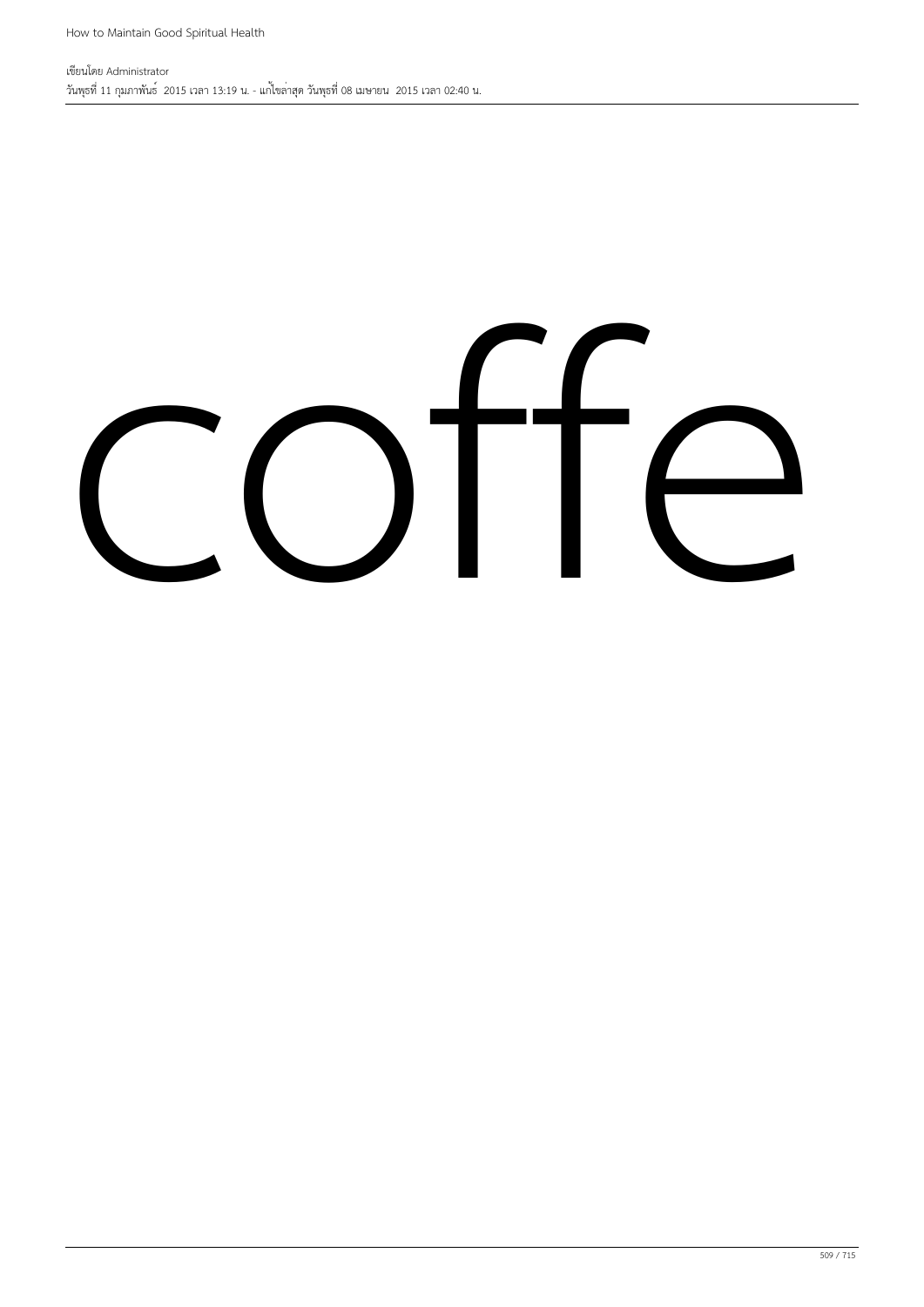#### coffe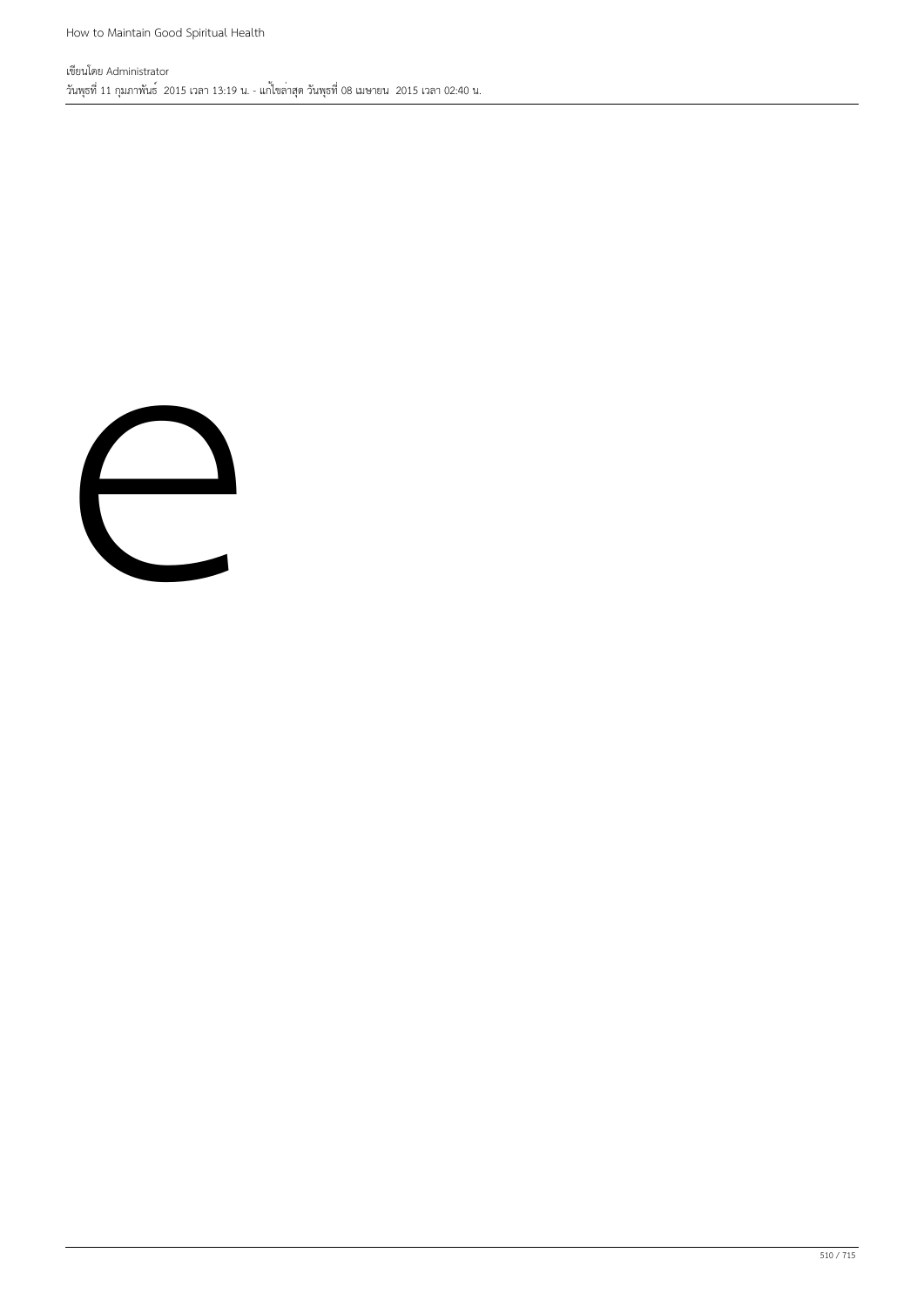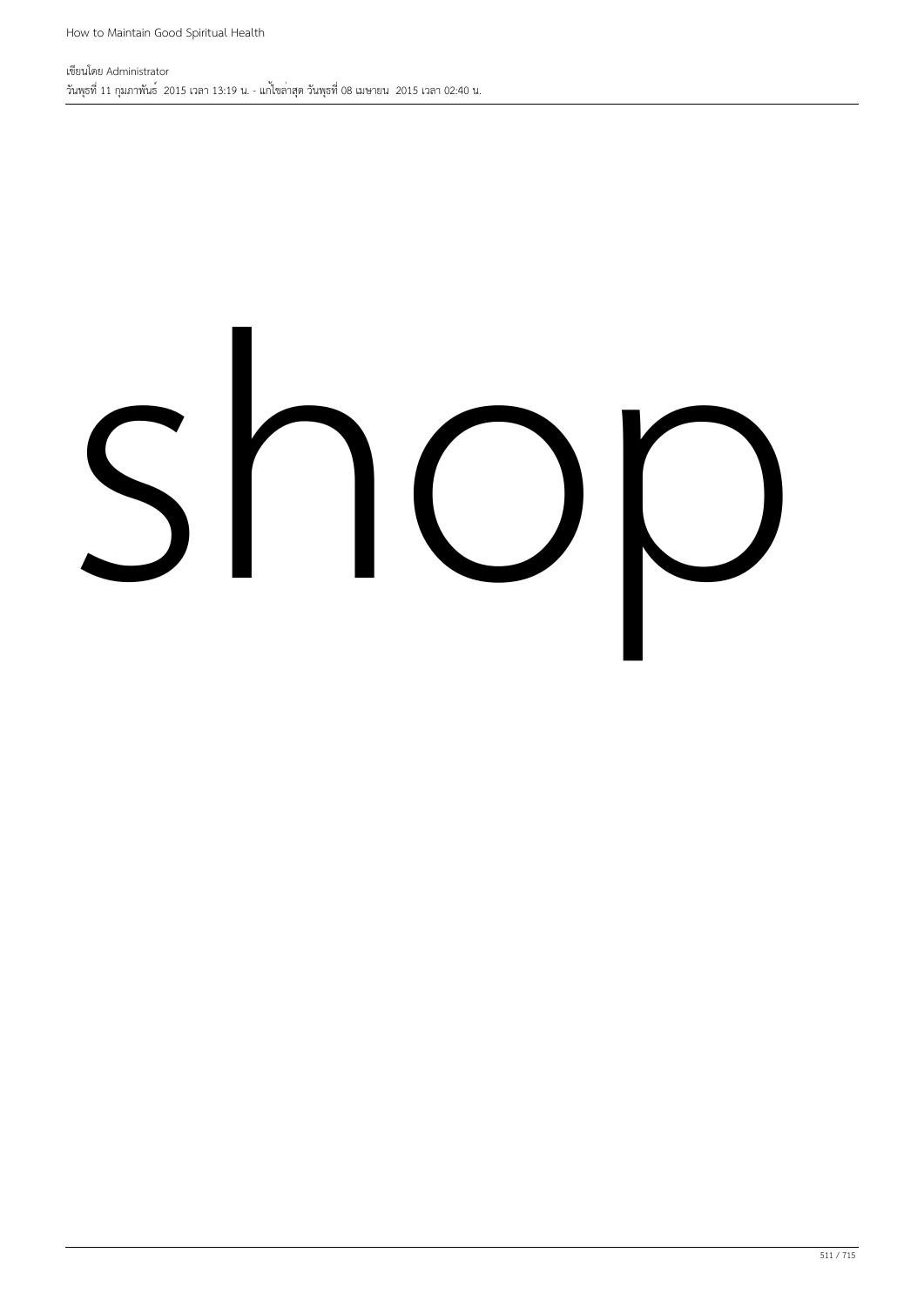### shop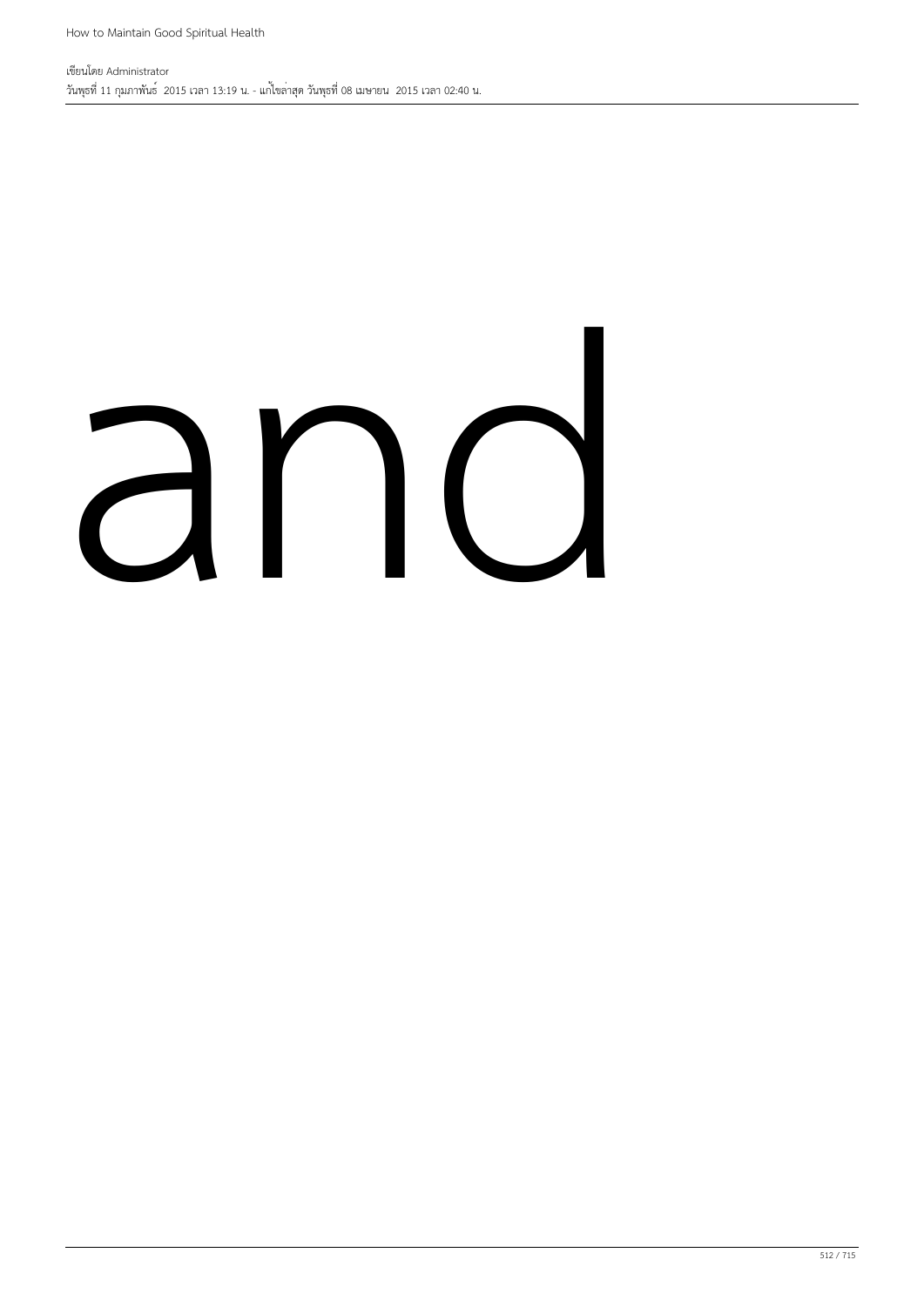#### and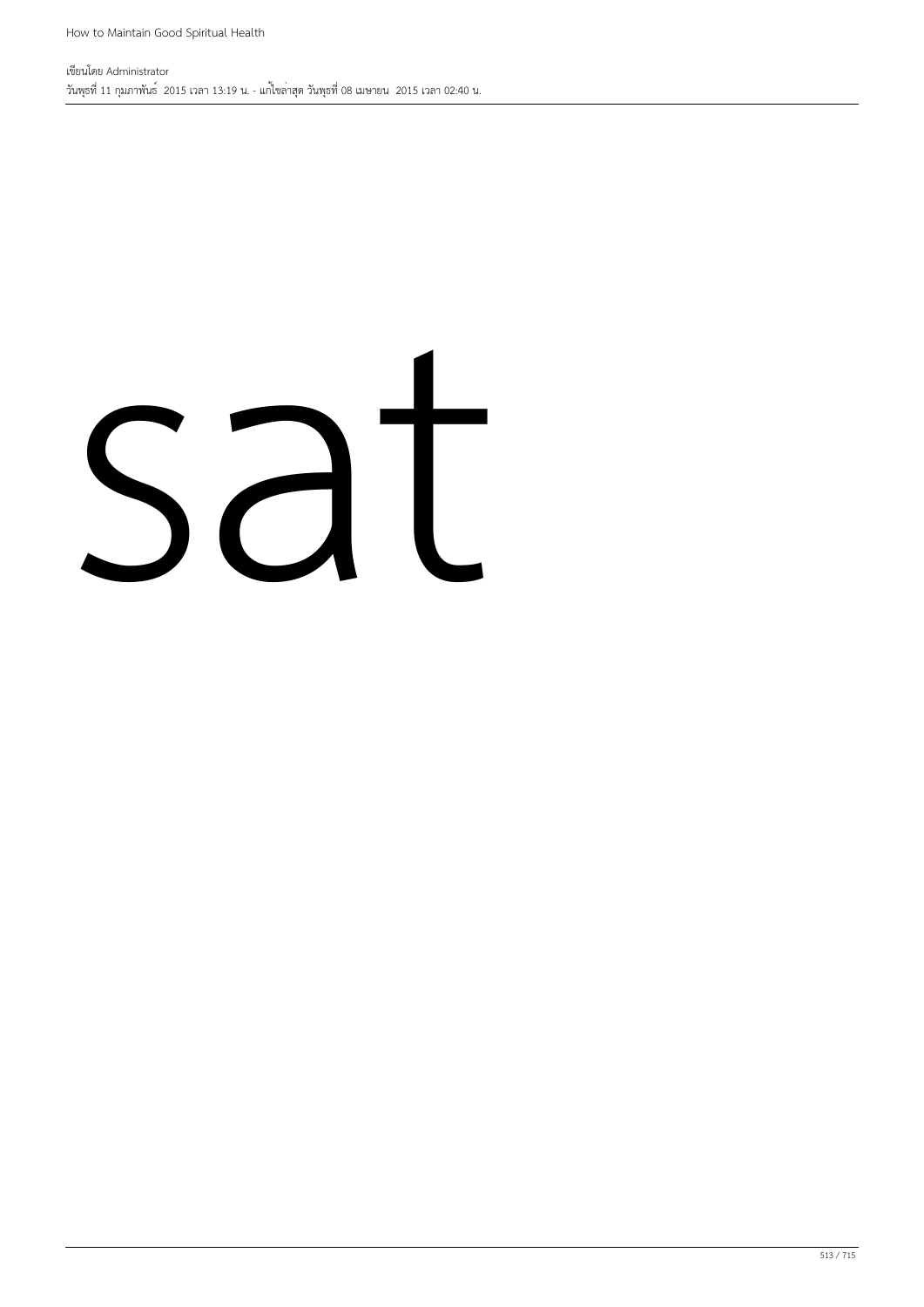#### sat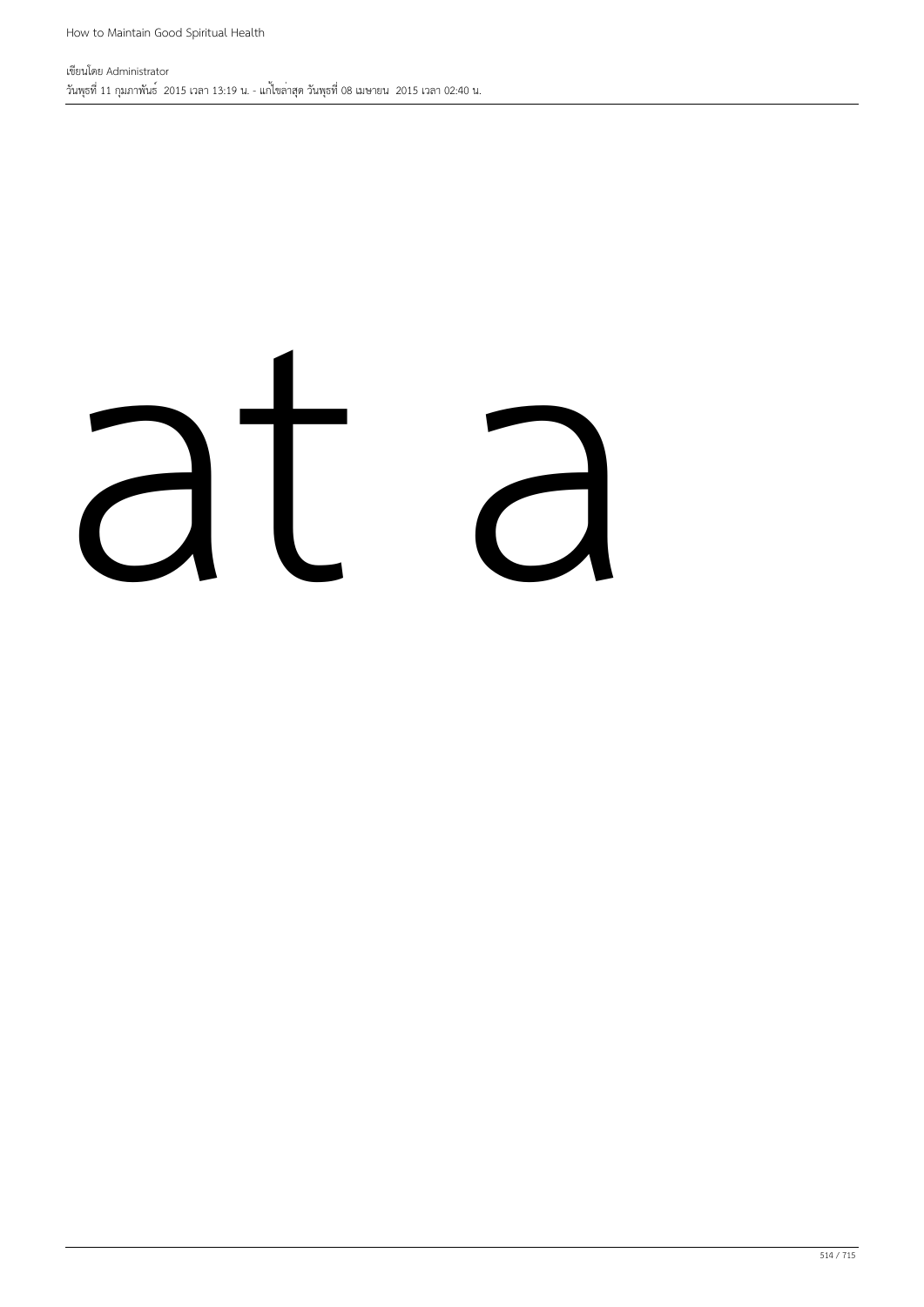#### at a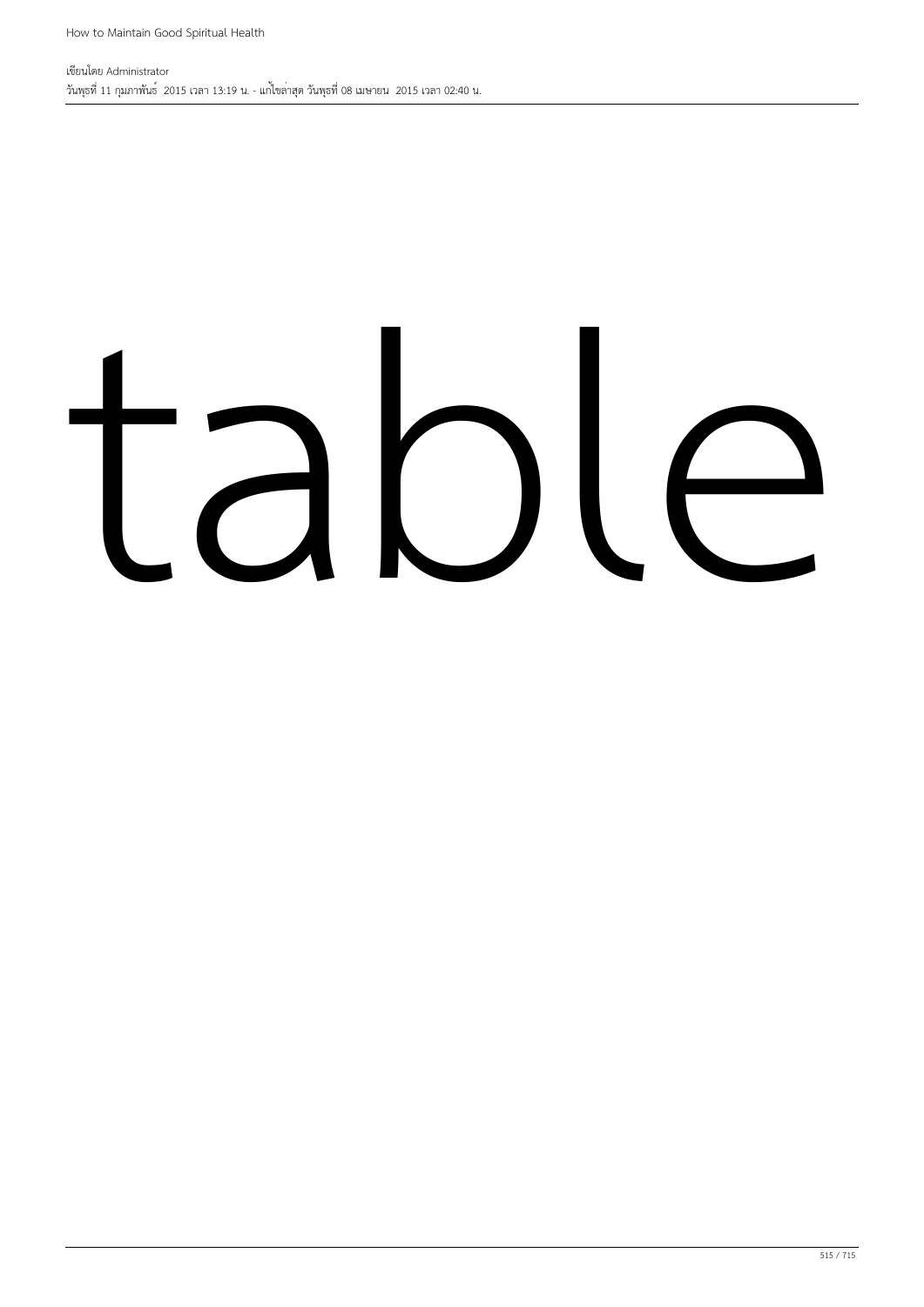# table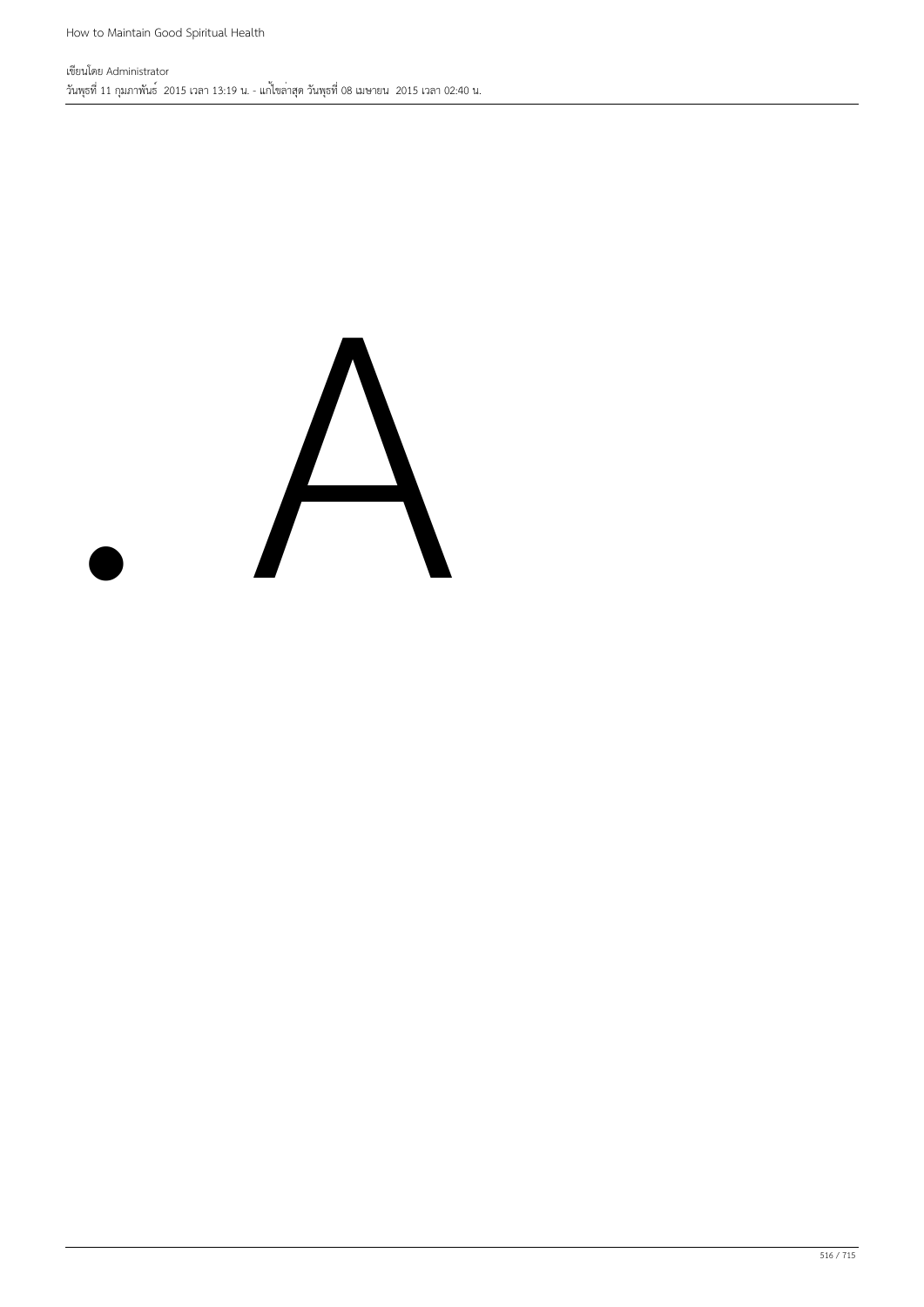#### $\bigwedge$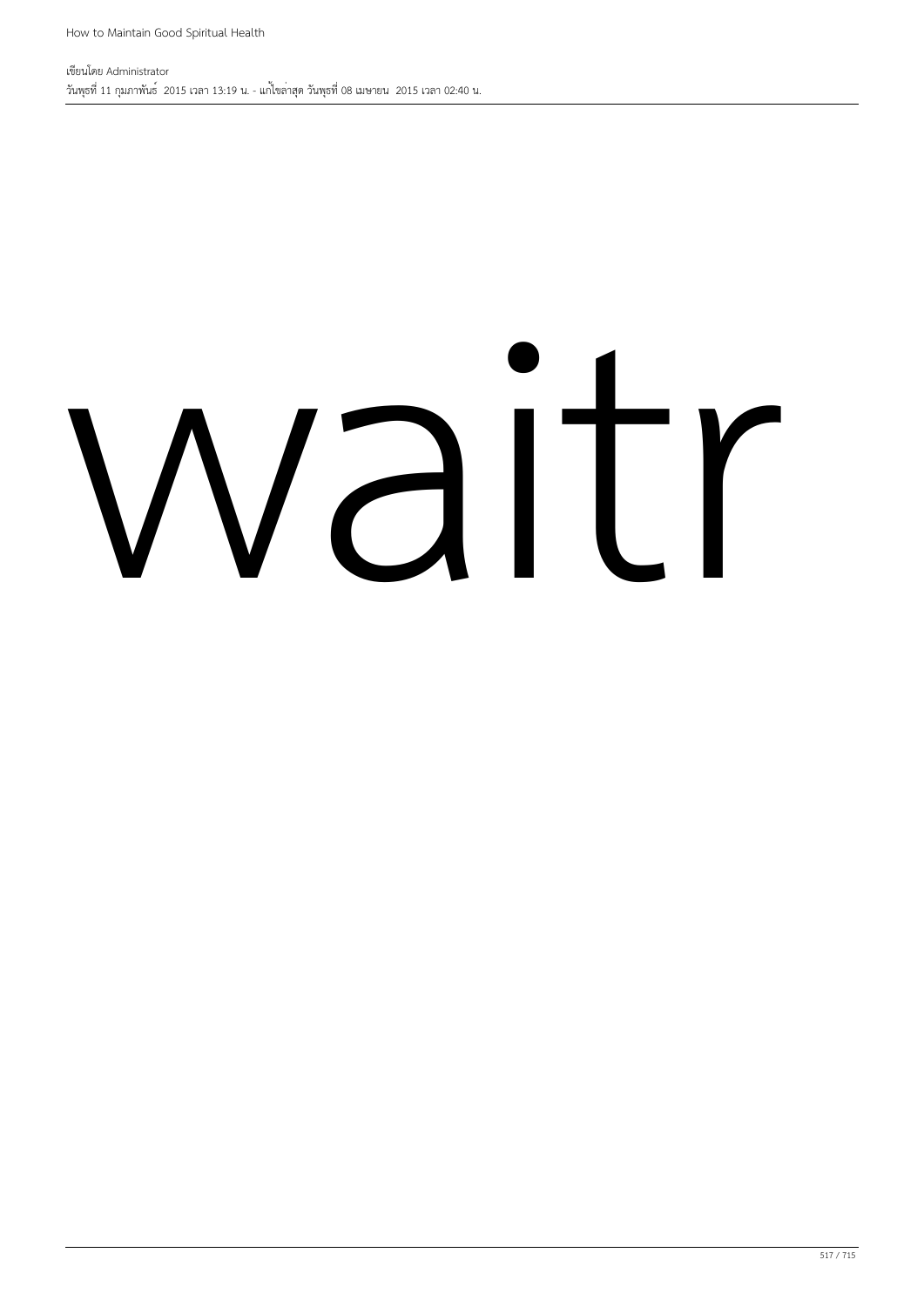#### waitr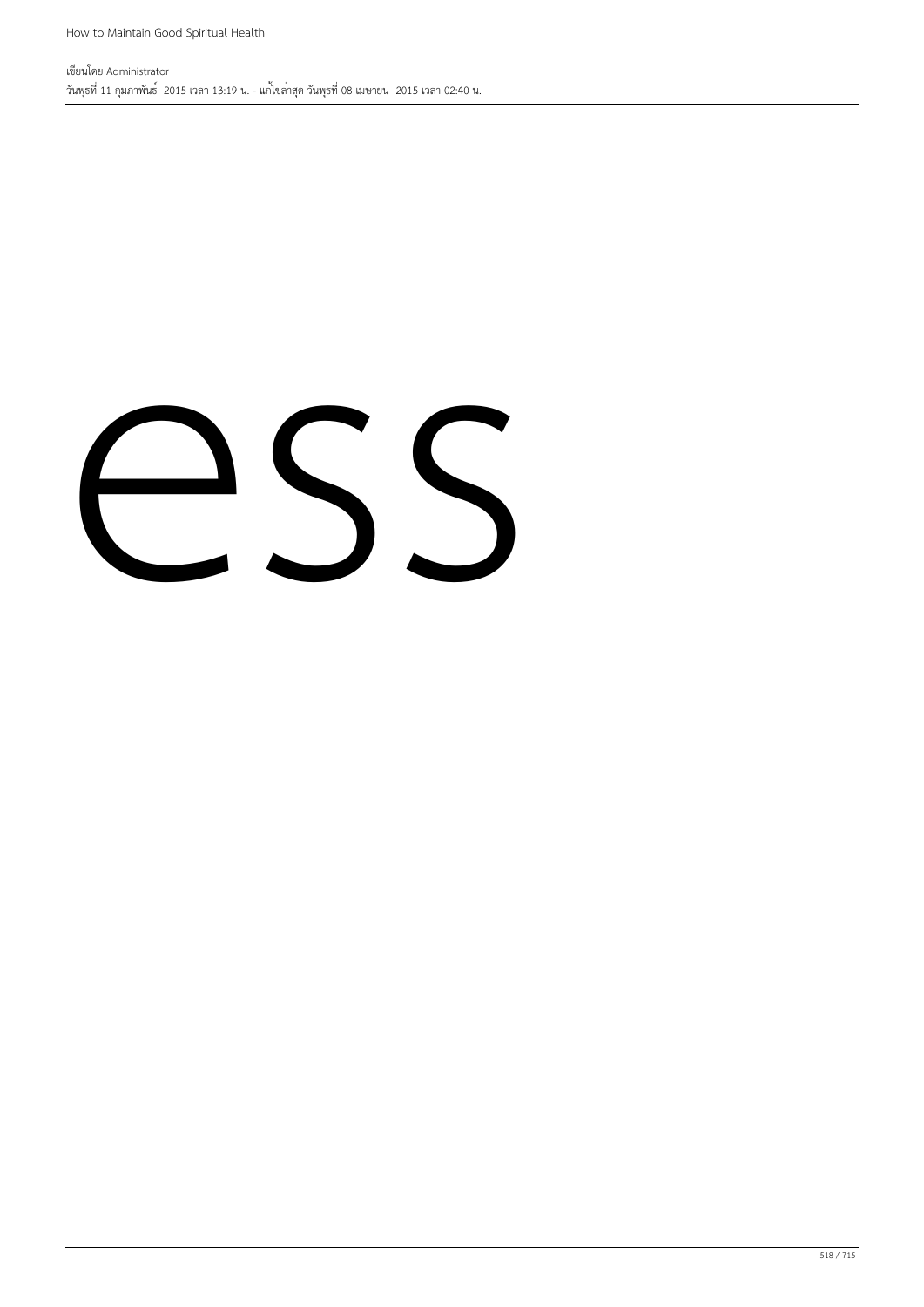#### ess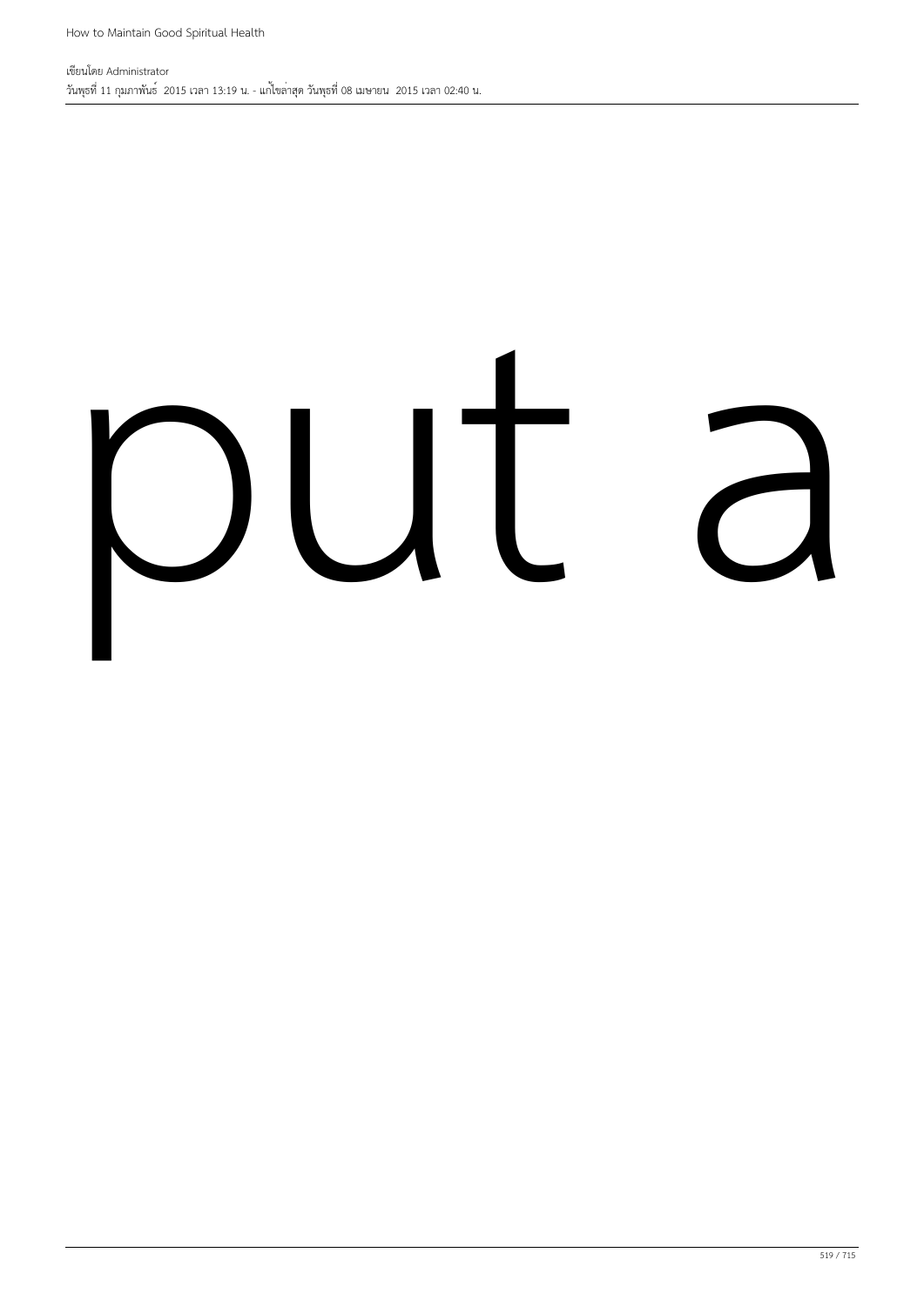### put a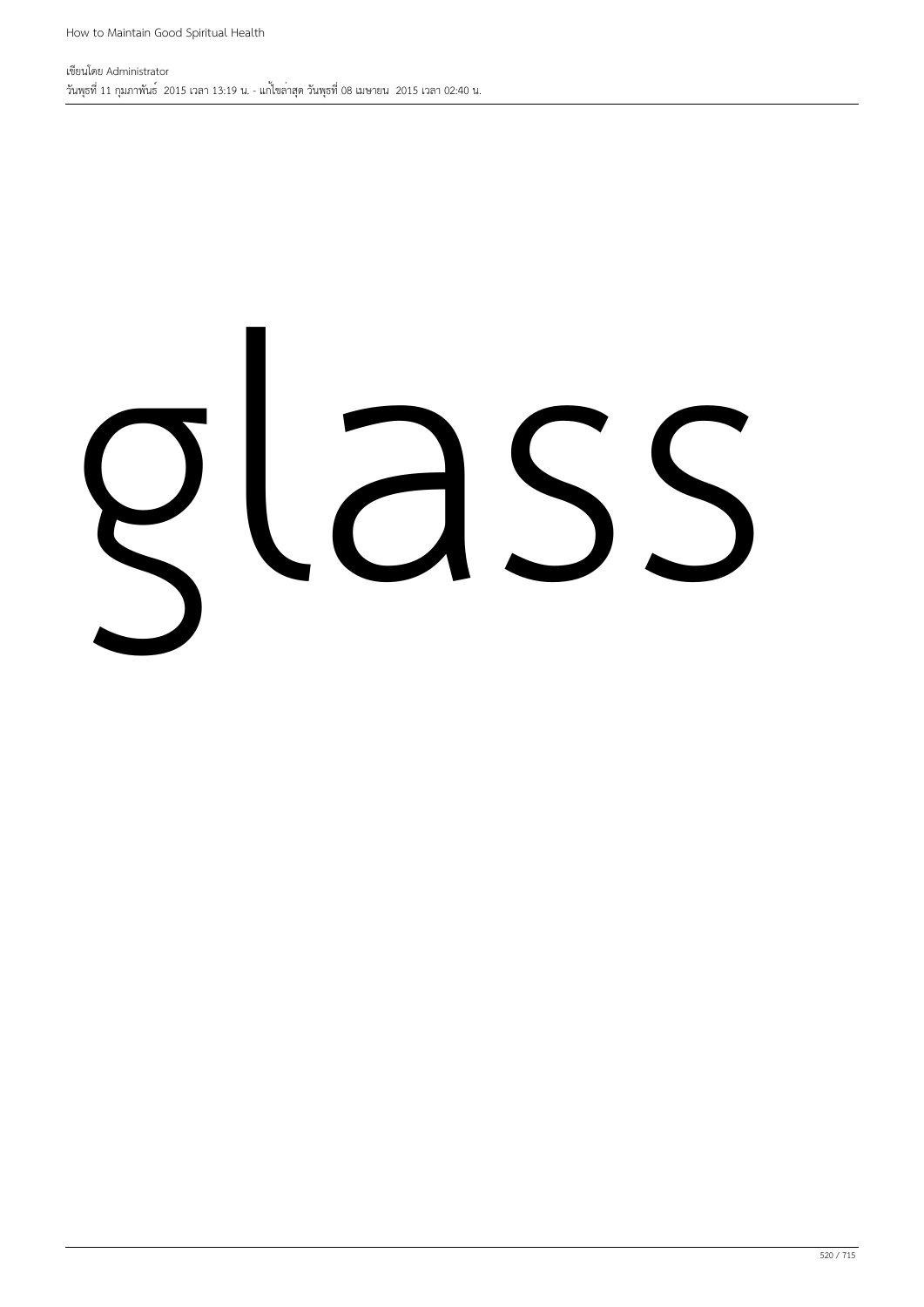## glass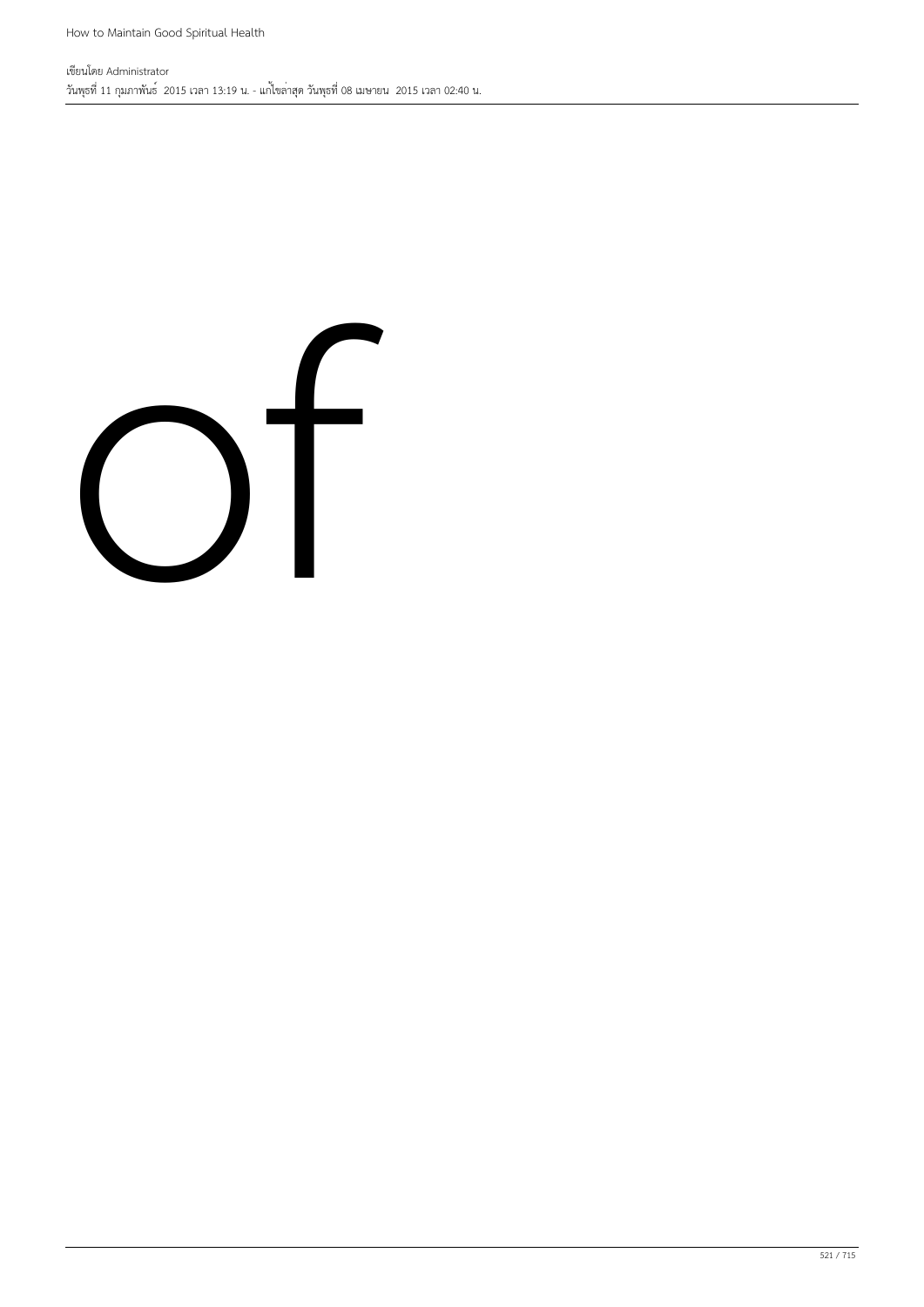# of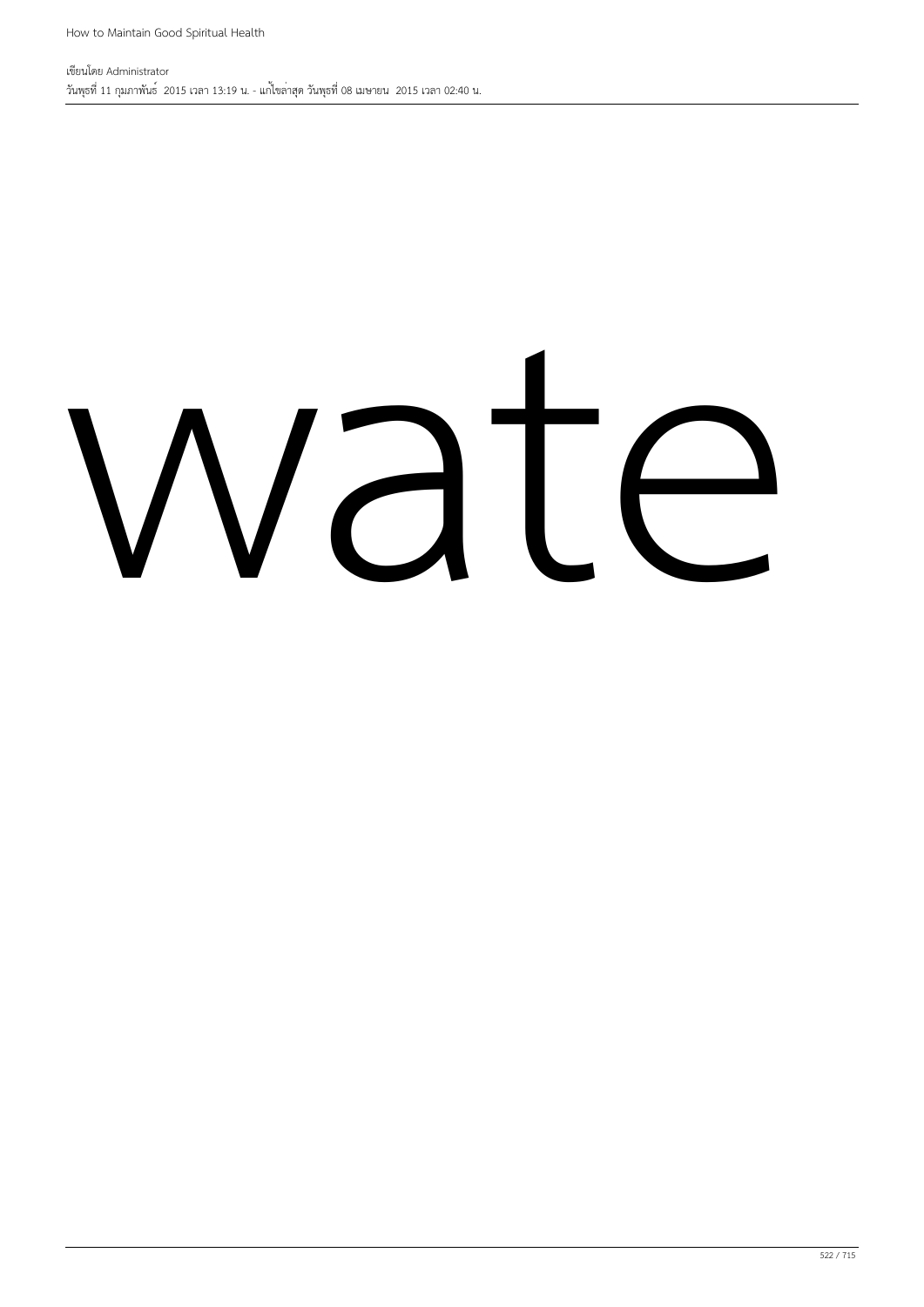#### wate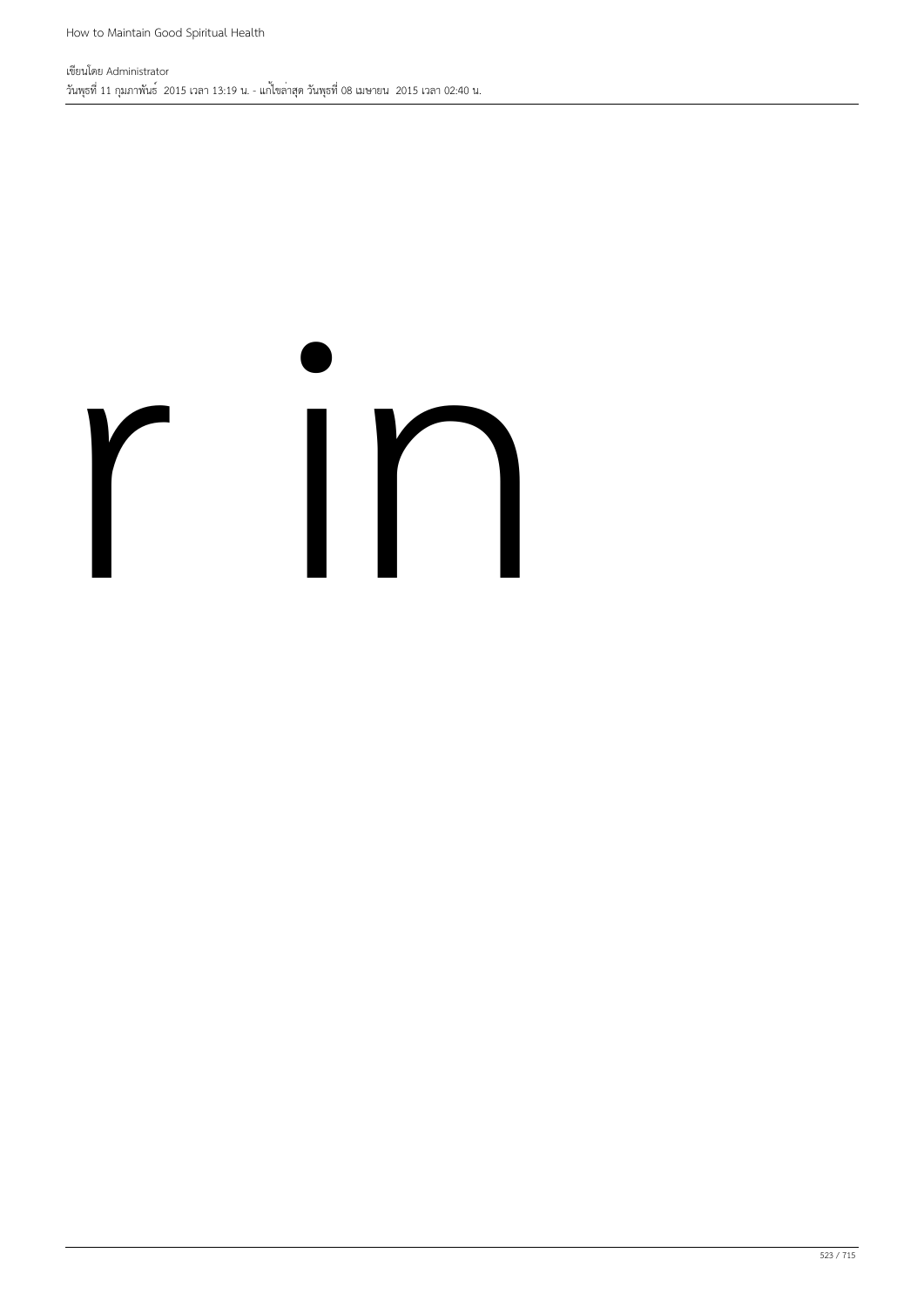#### r in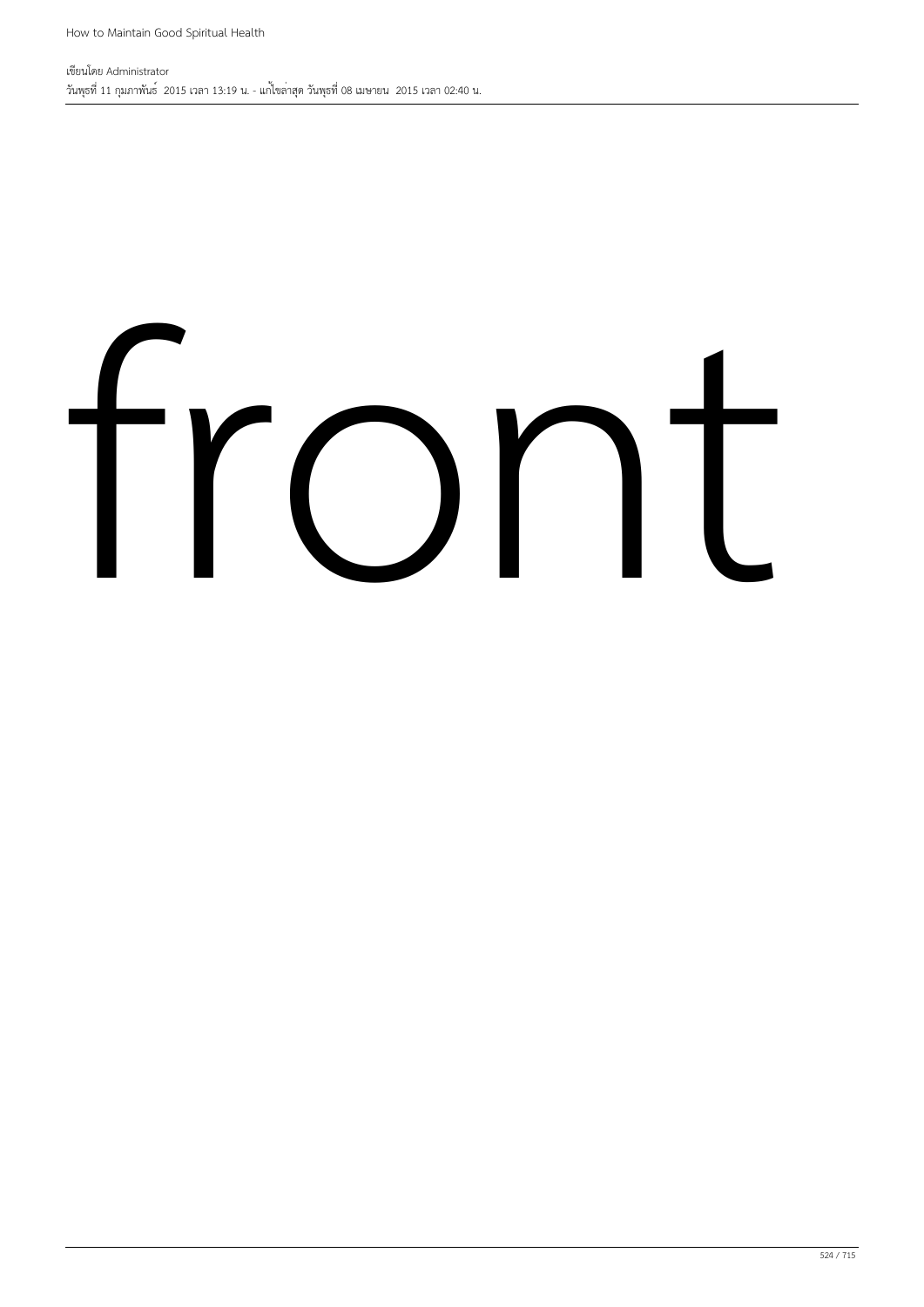## front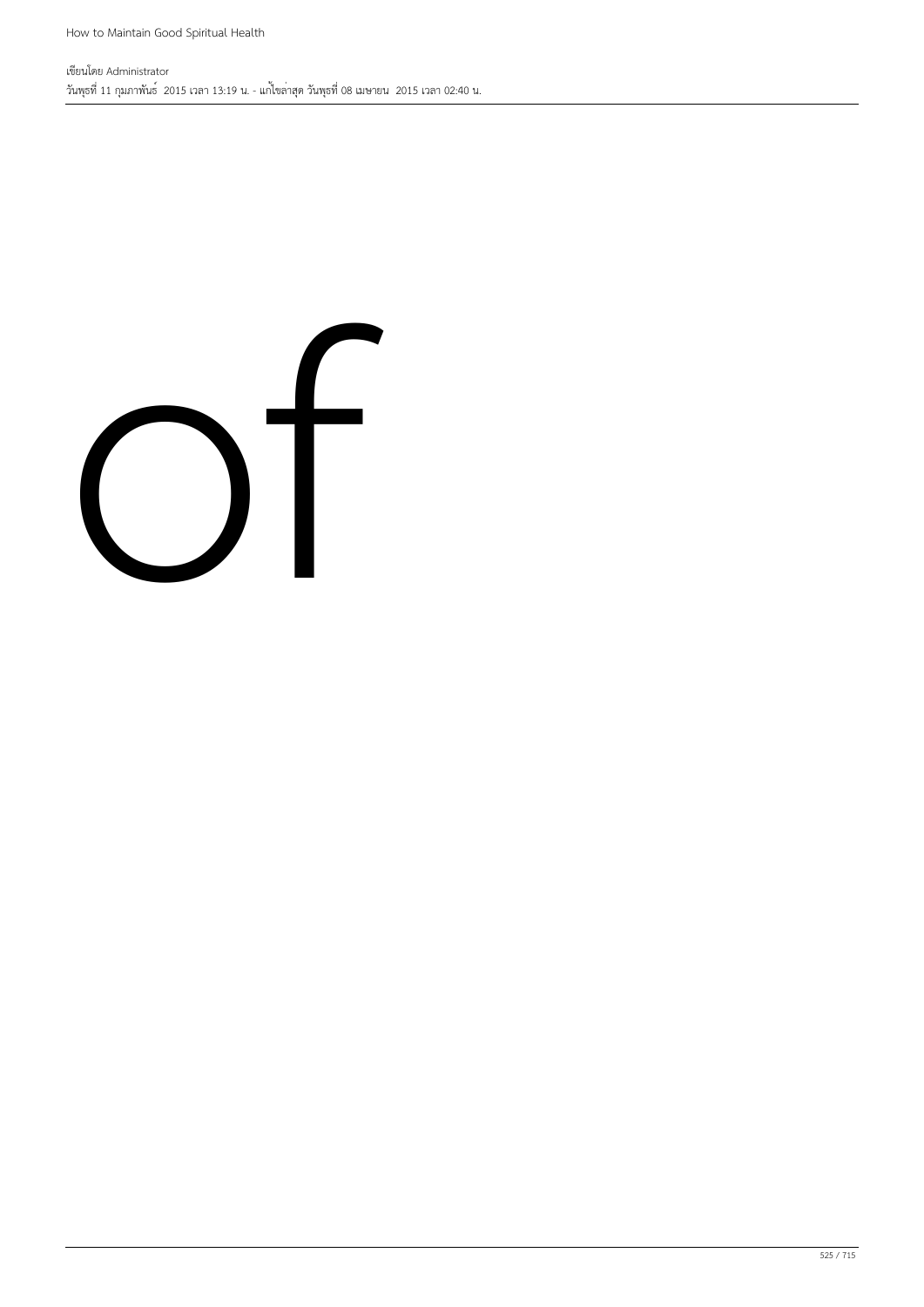# of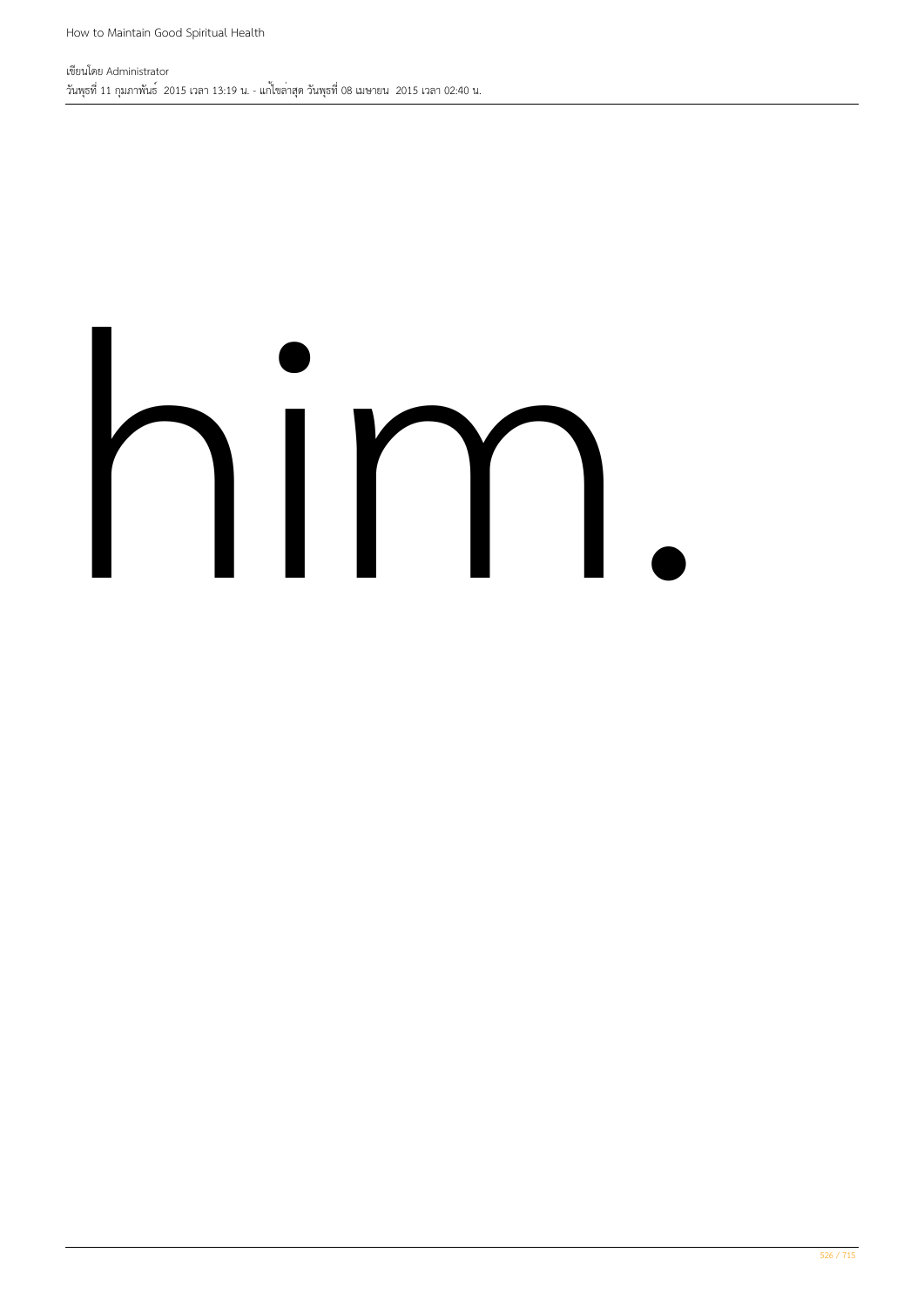#### him.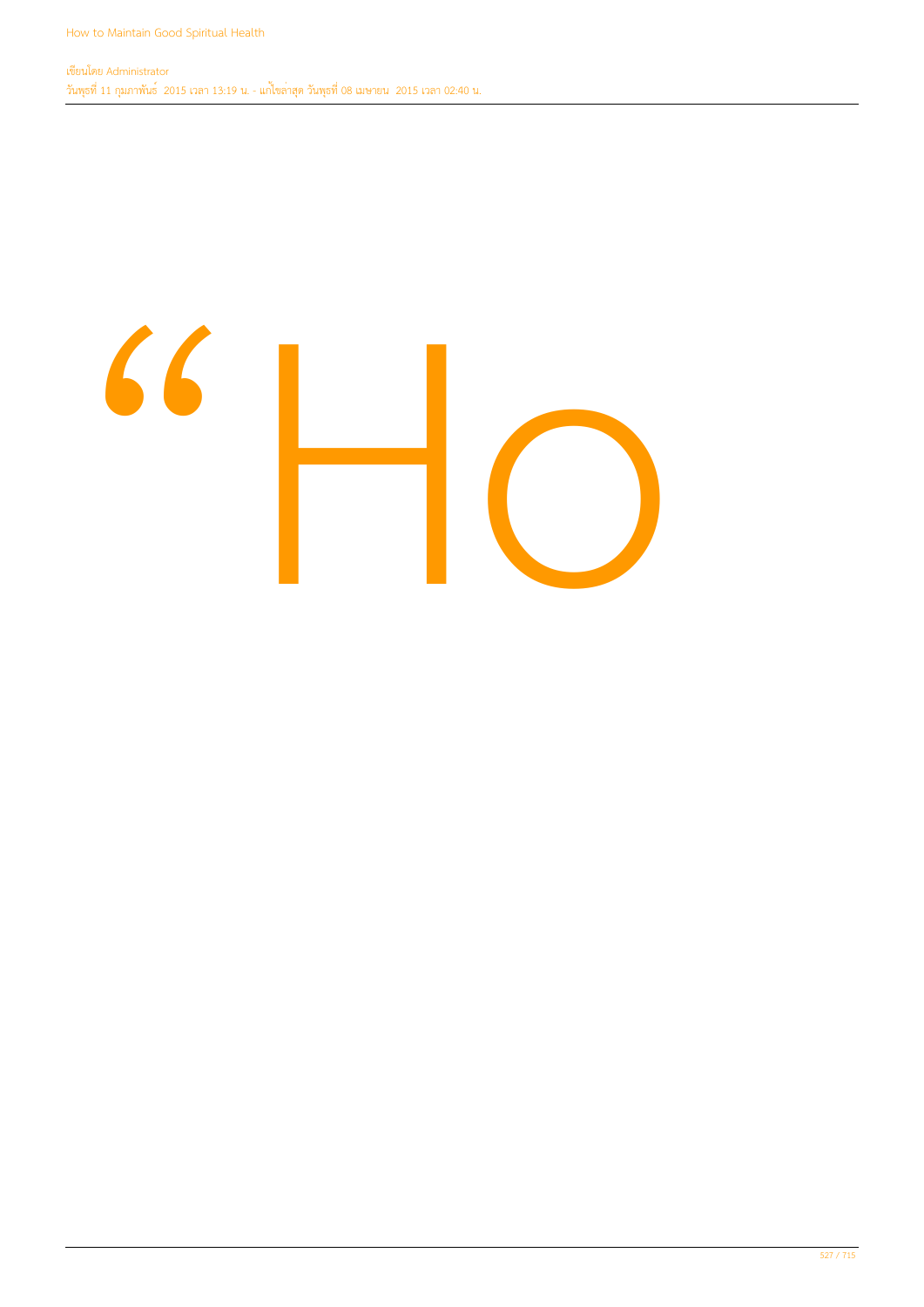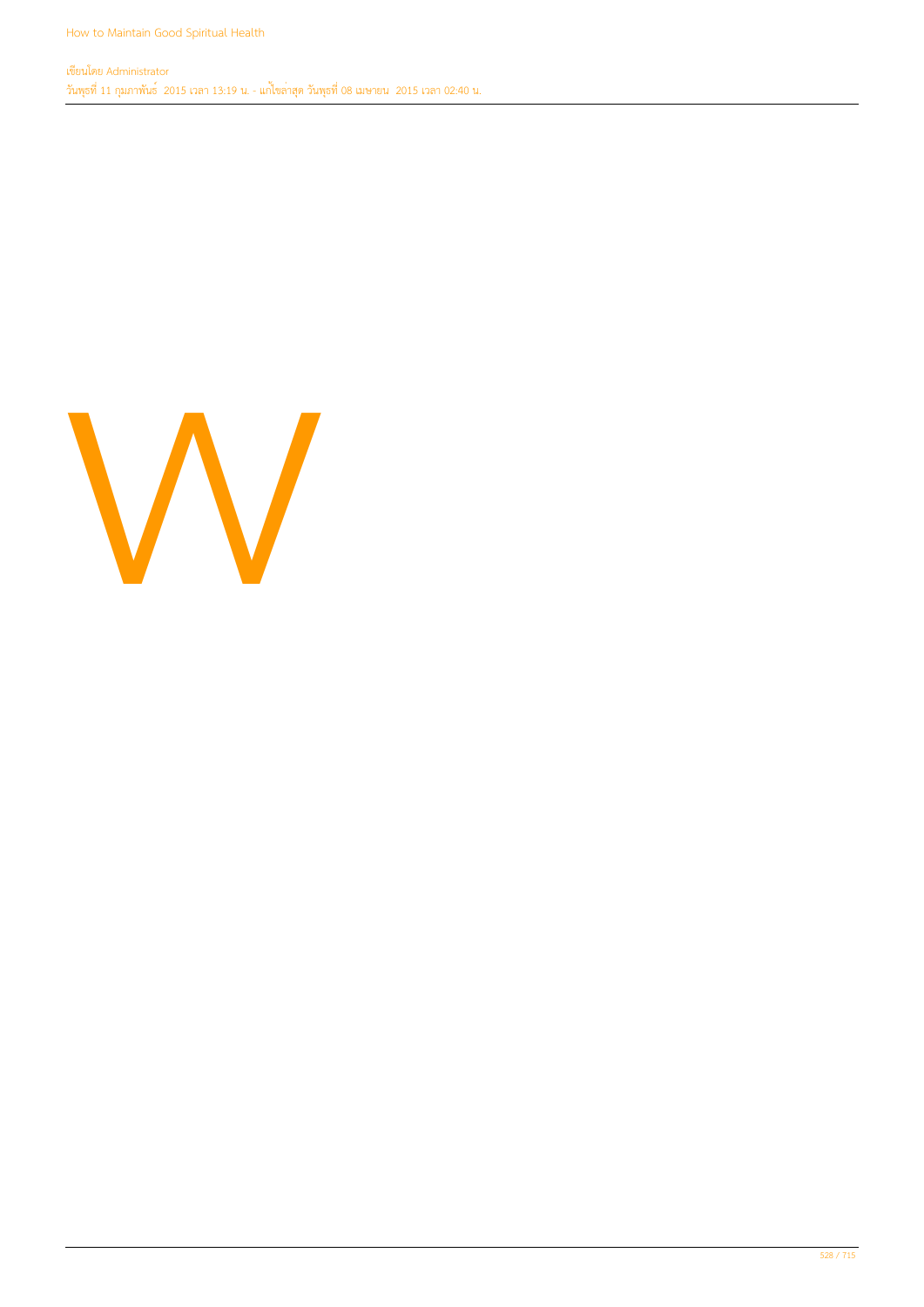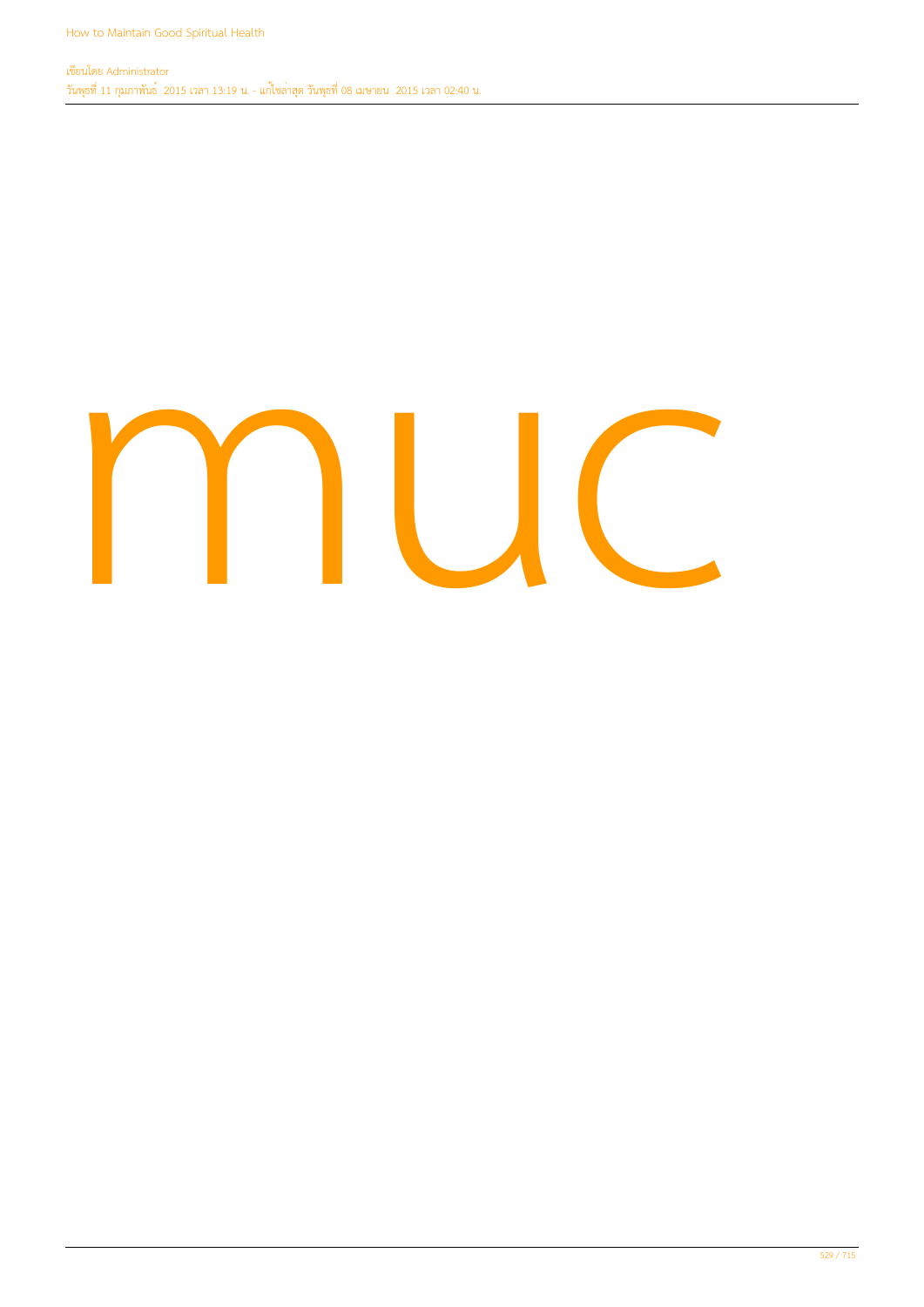#### muc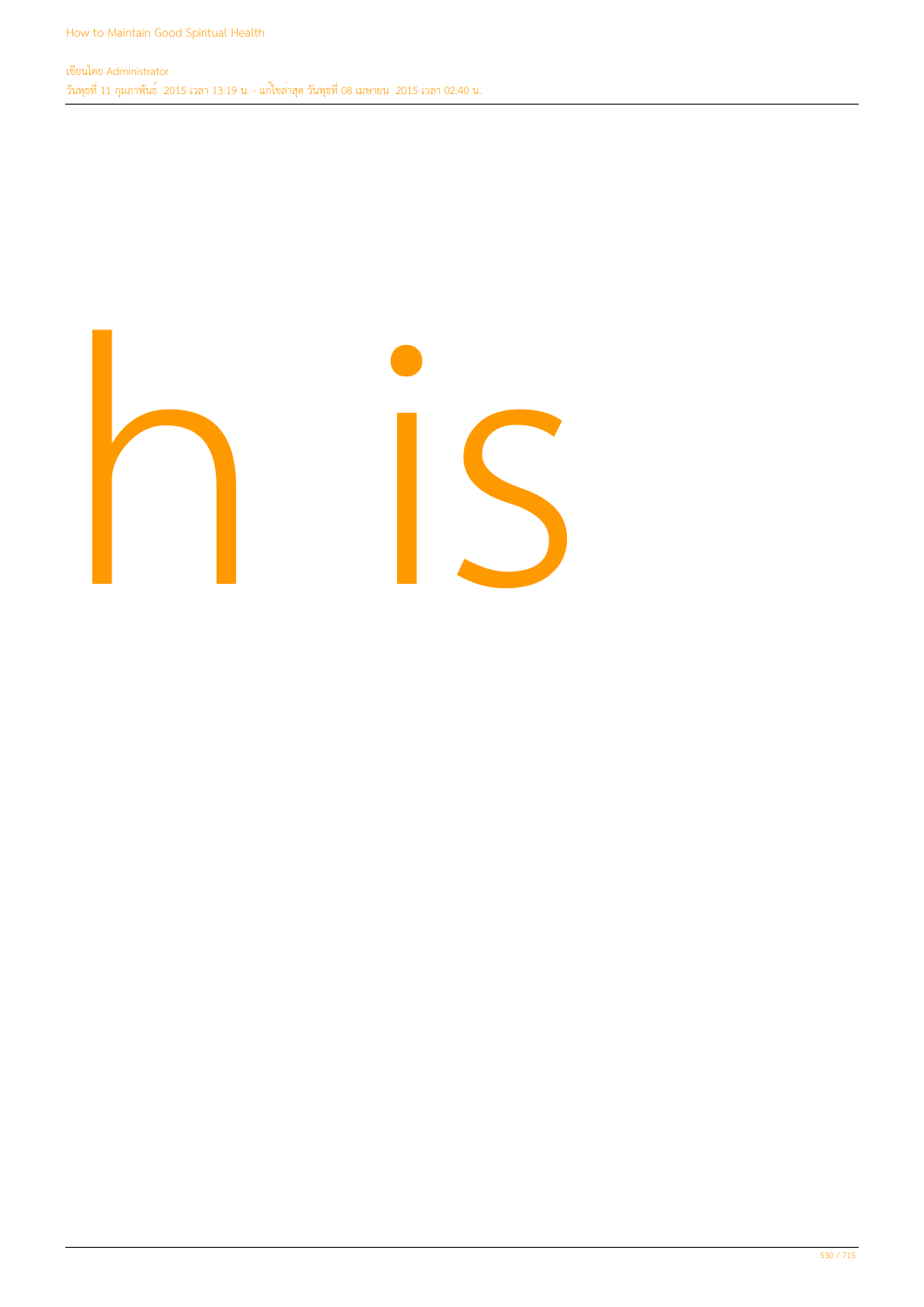#### เขียนโดย Administrator วันพุธที่ 11 กุมภาพันธ์ 2015 เวลา 13:19 น. - แก้ไขล่าสุด วันพุธที่ 08 เมษายน 2015 เวลา 02:40 น.

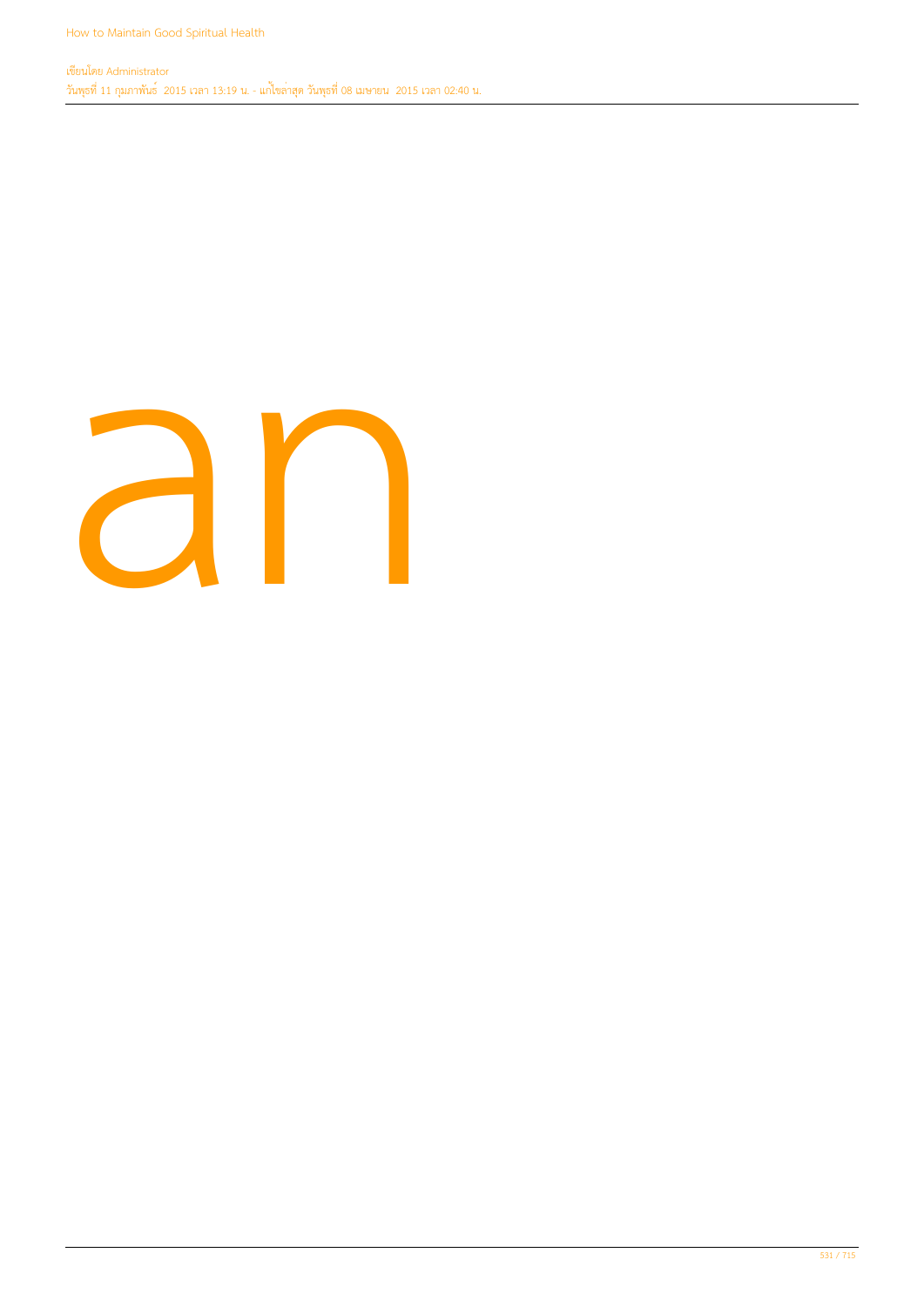#### an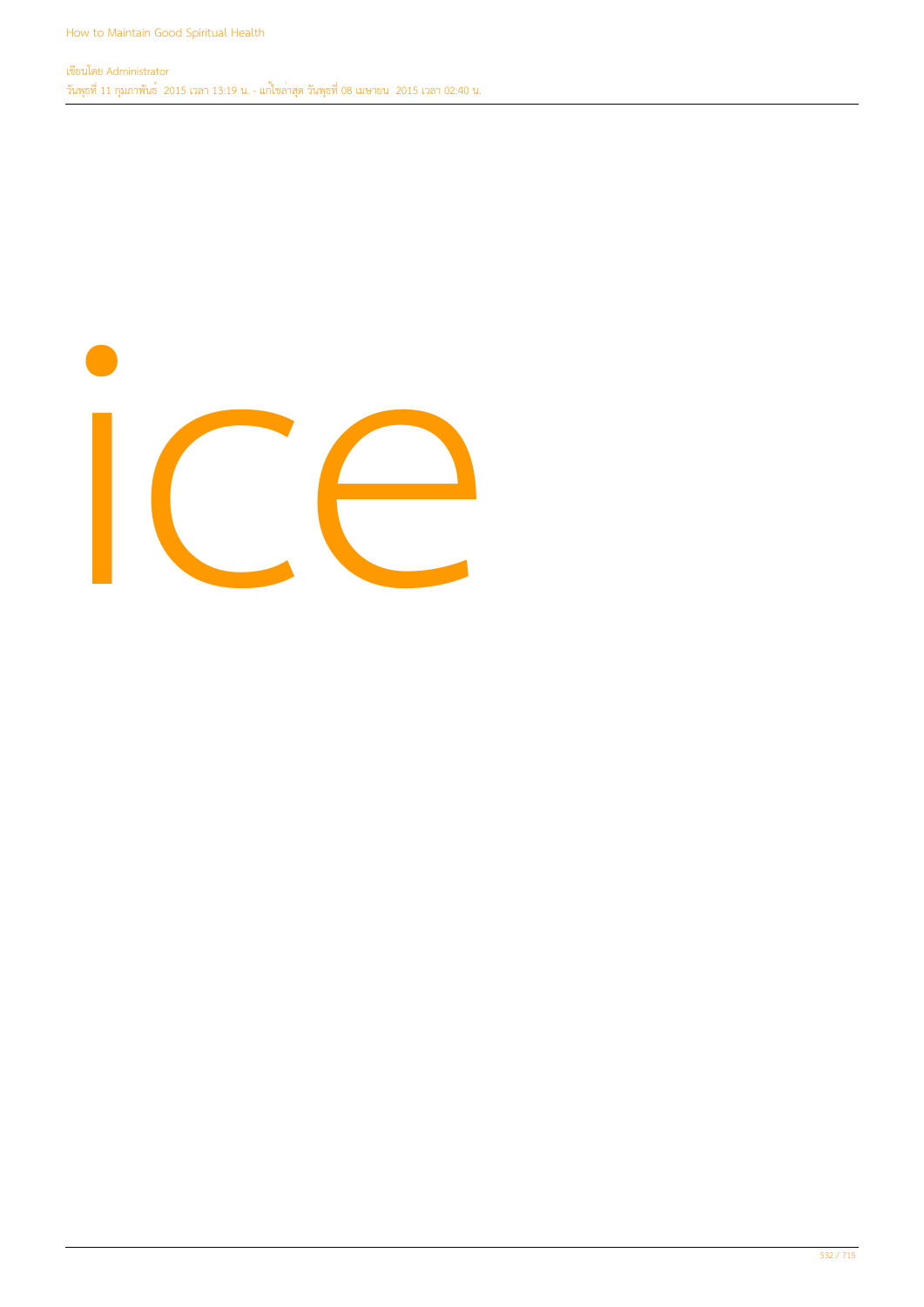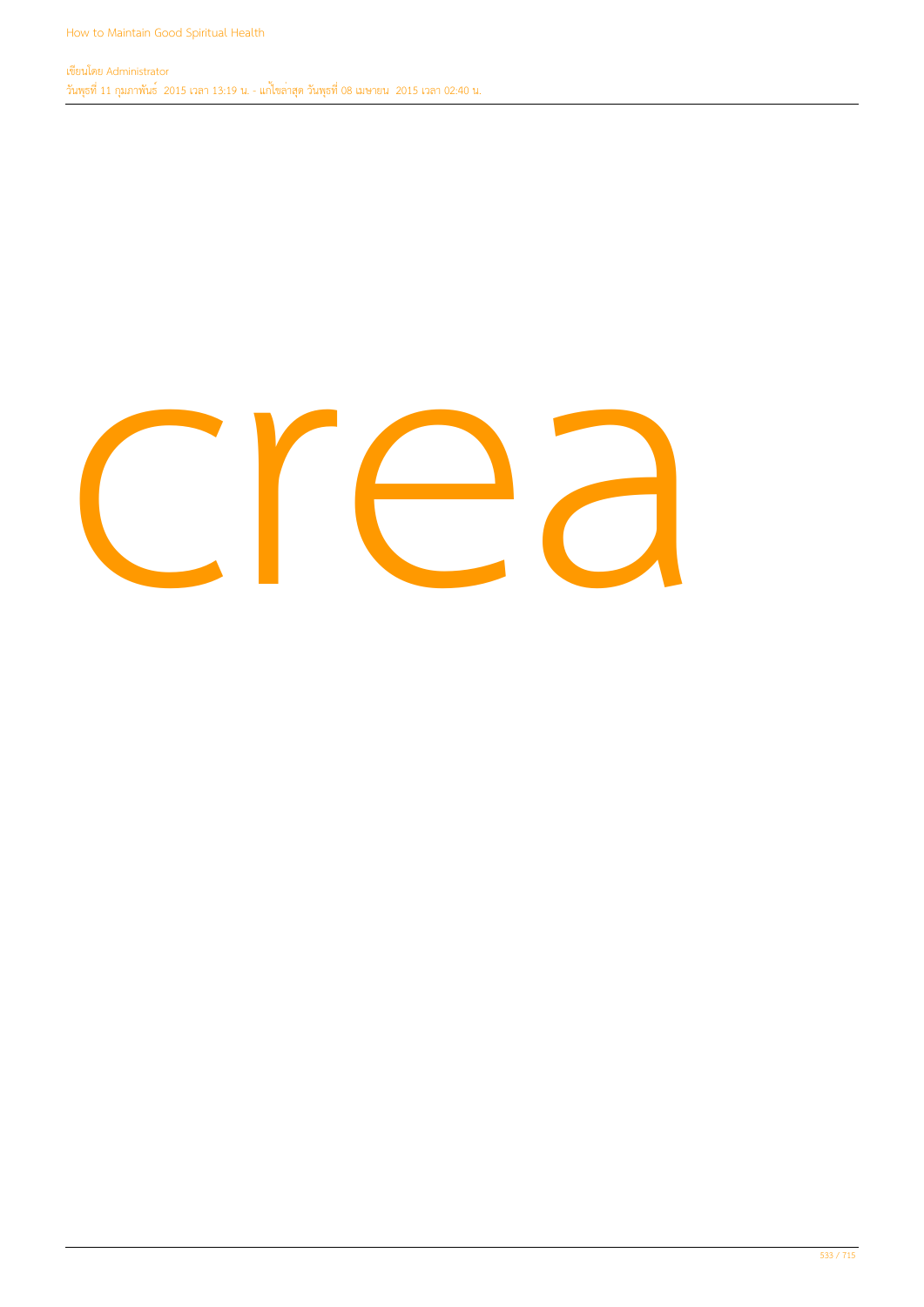#### crea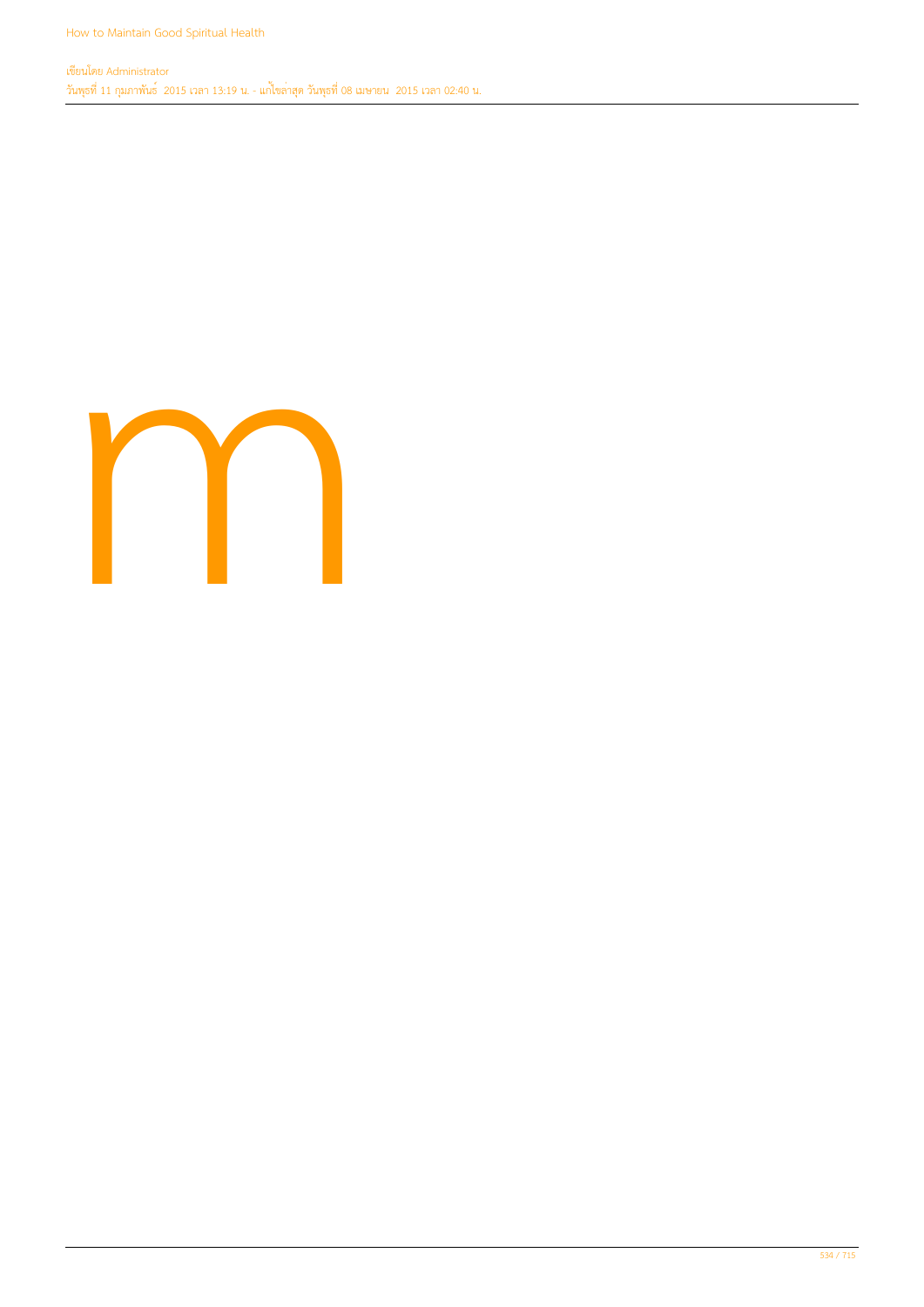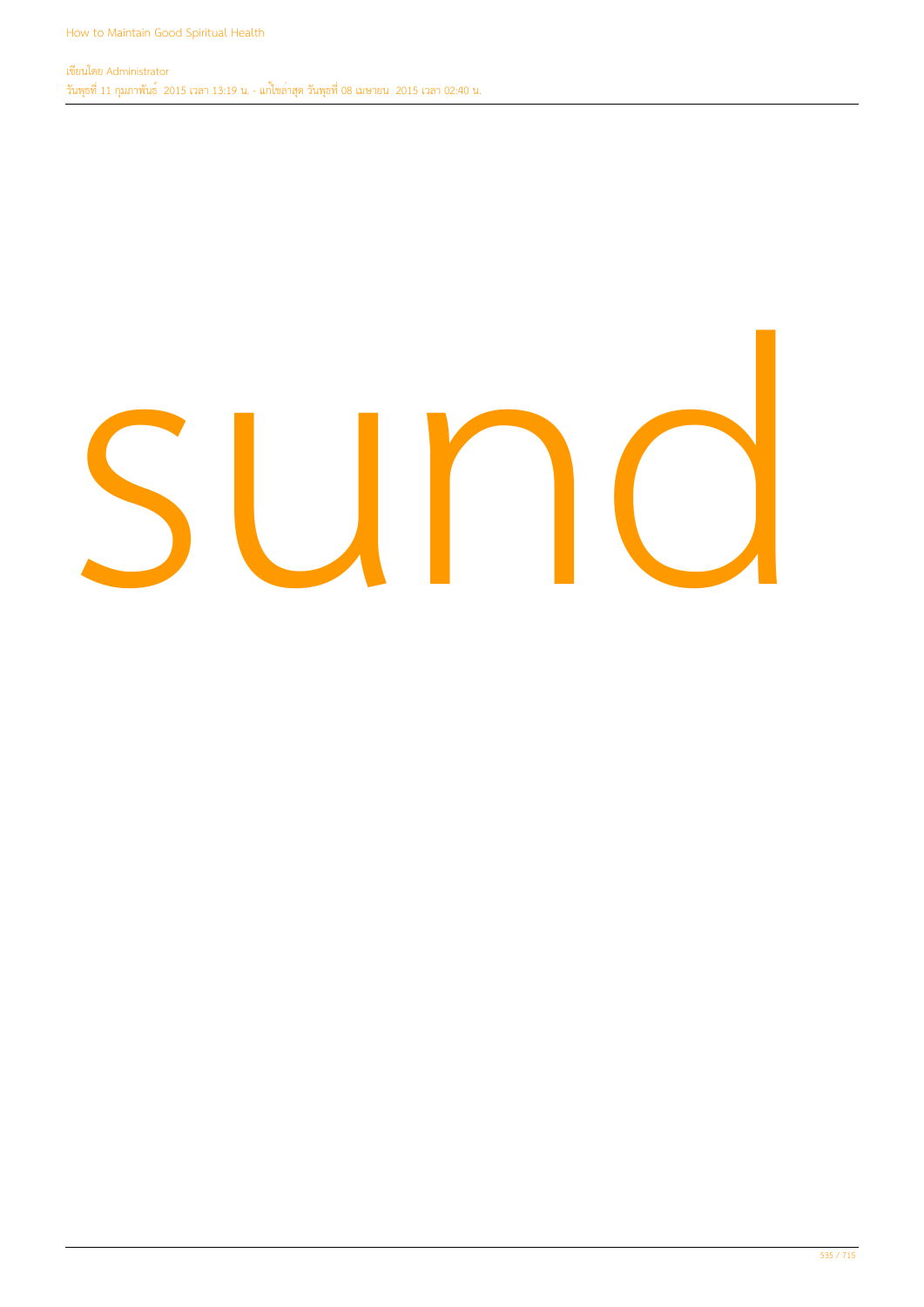#### SUIT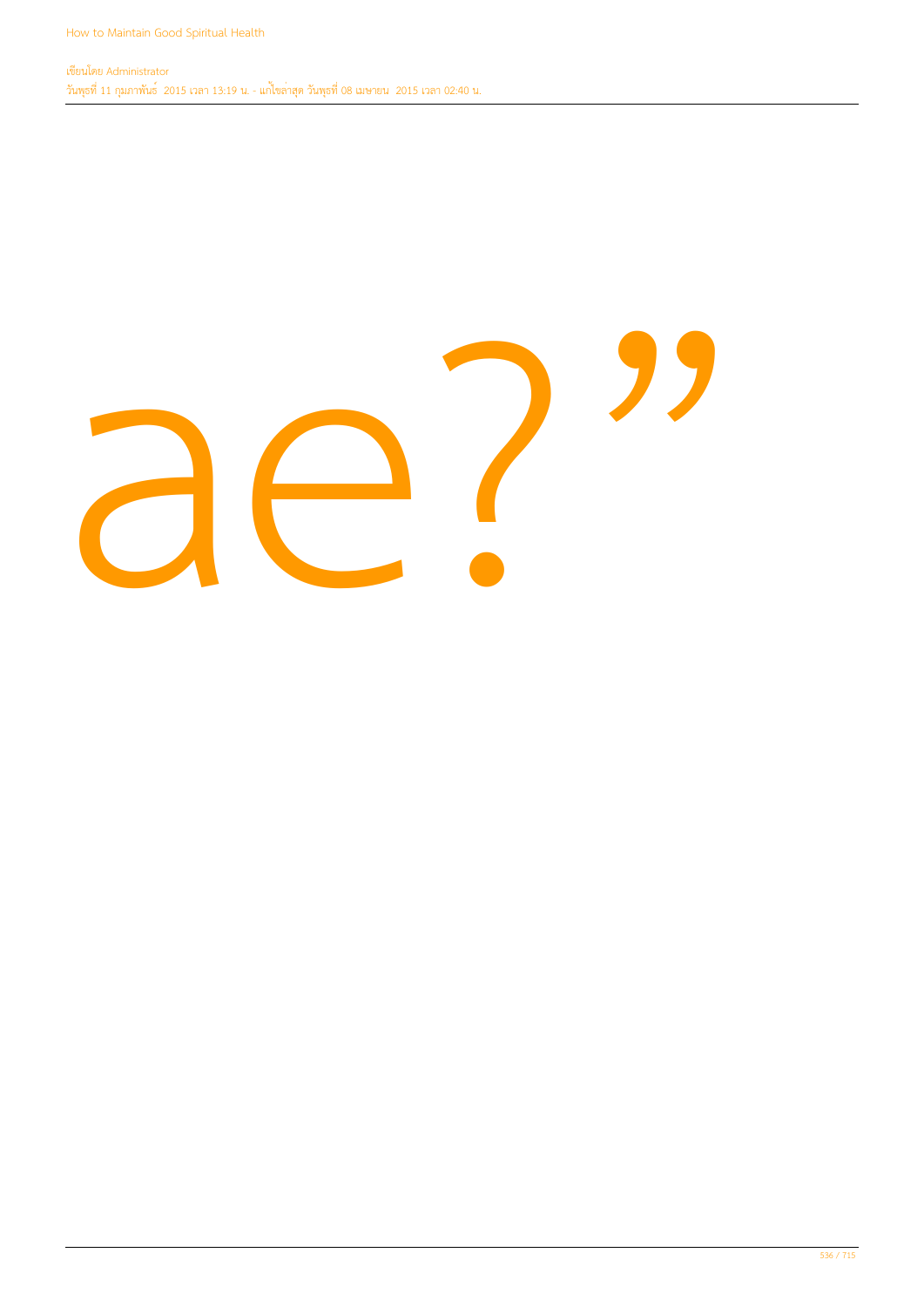# ae?"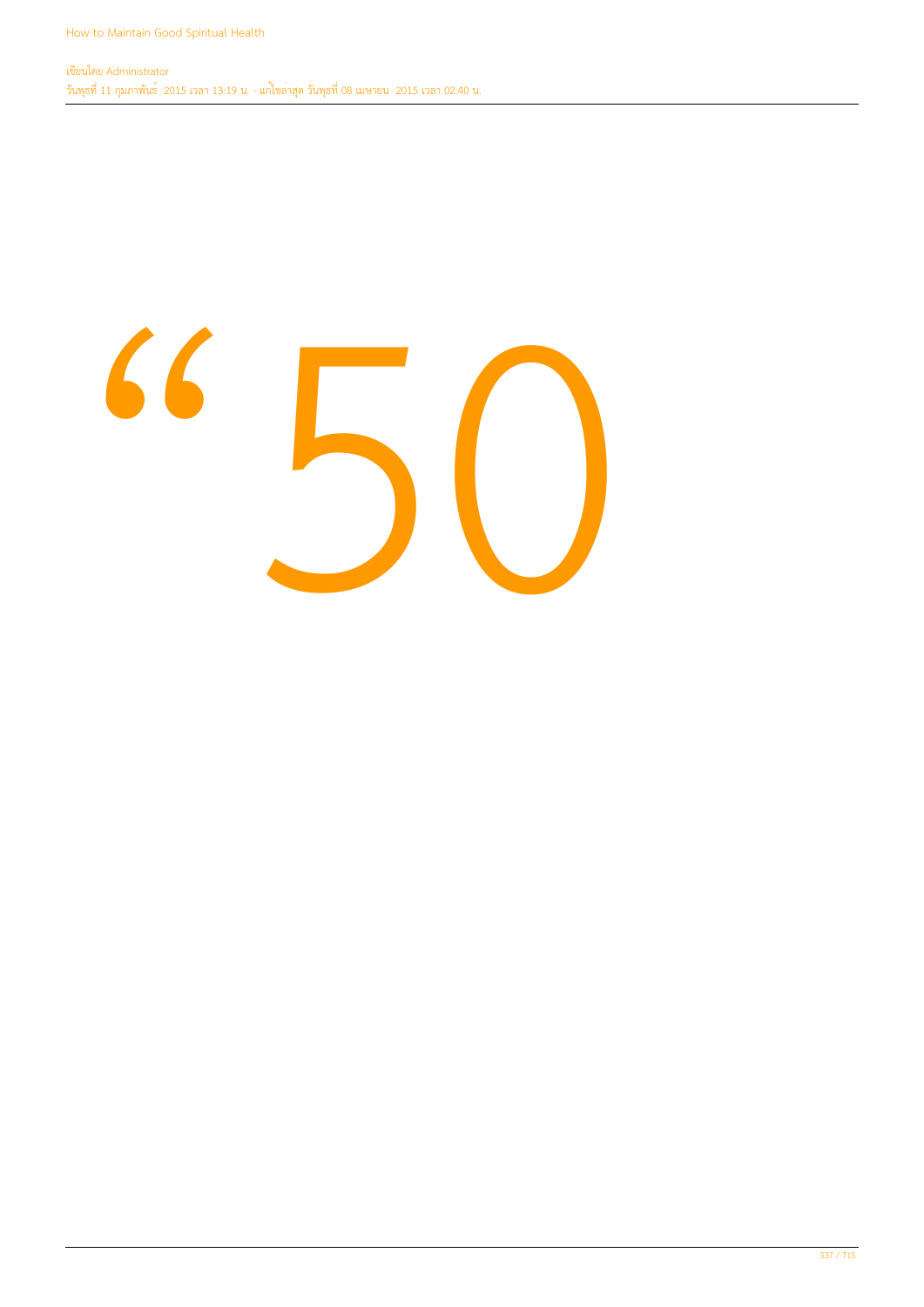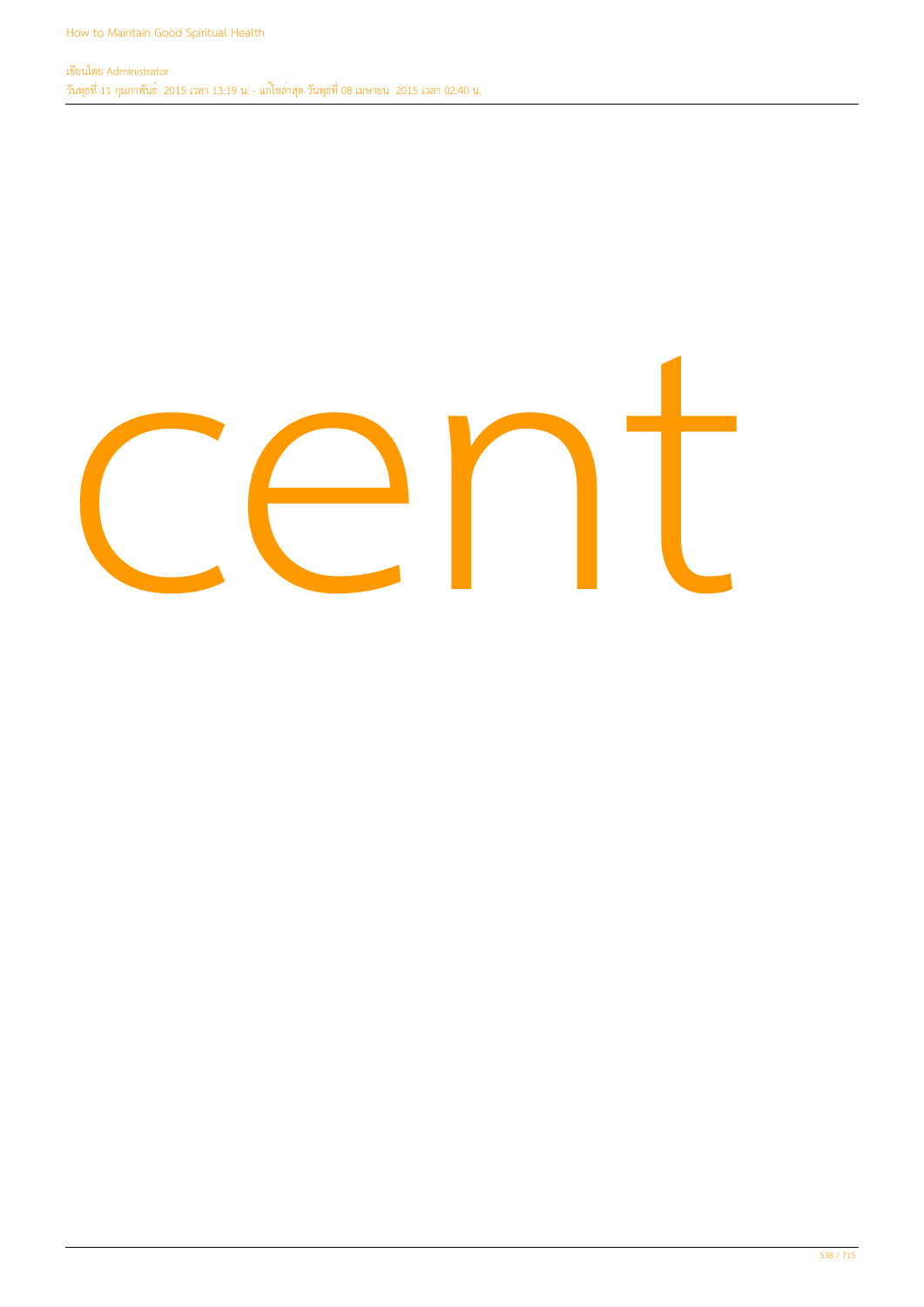# cent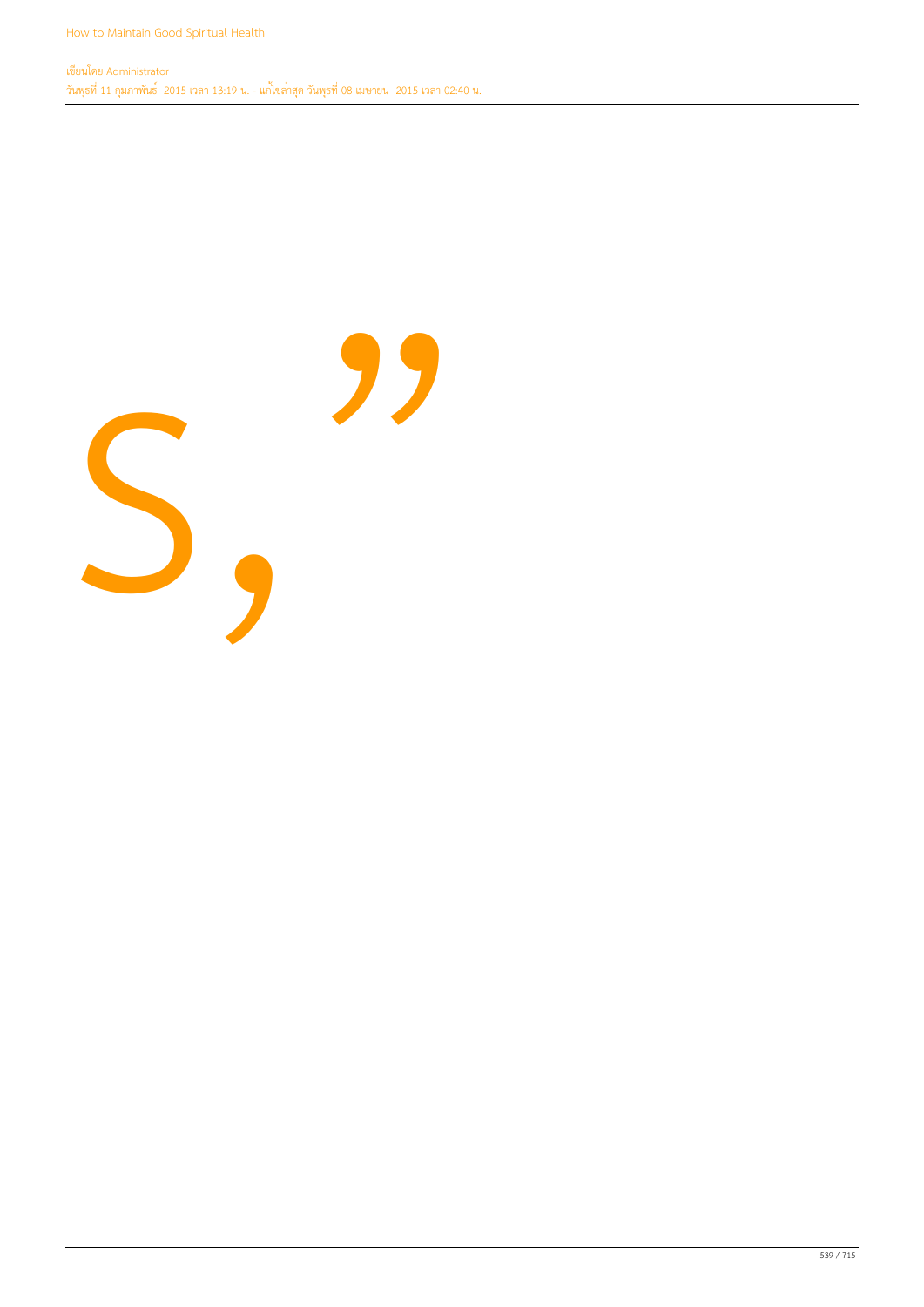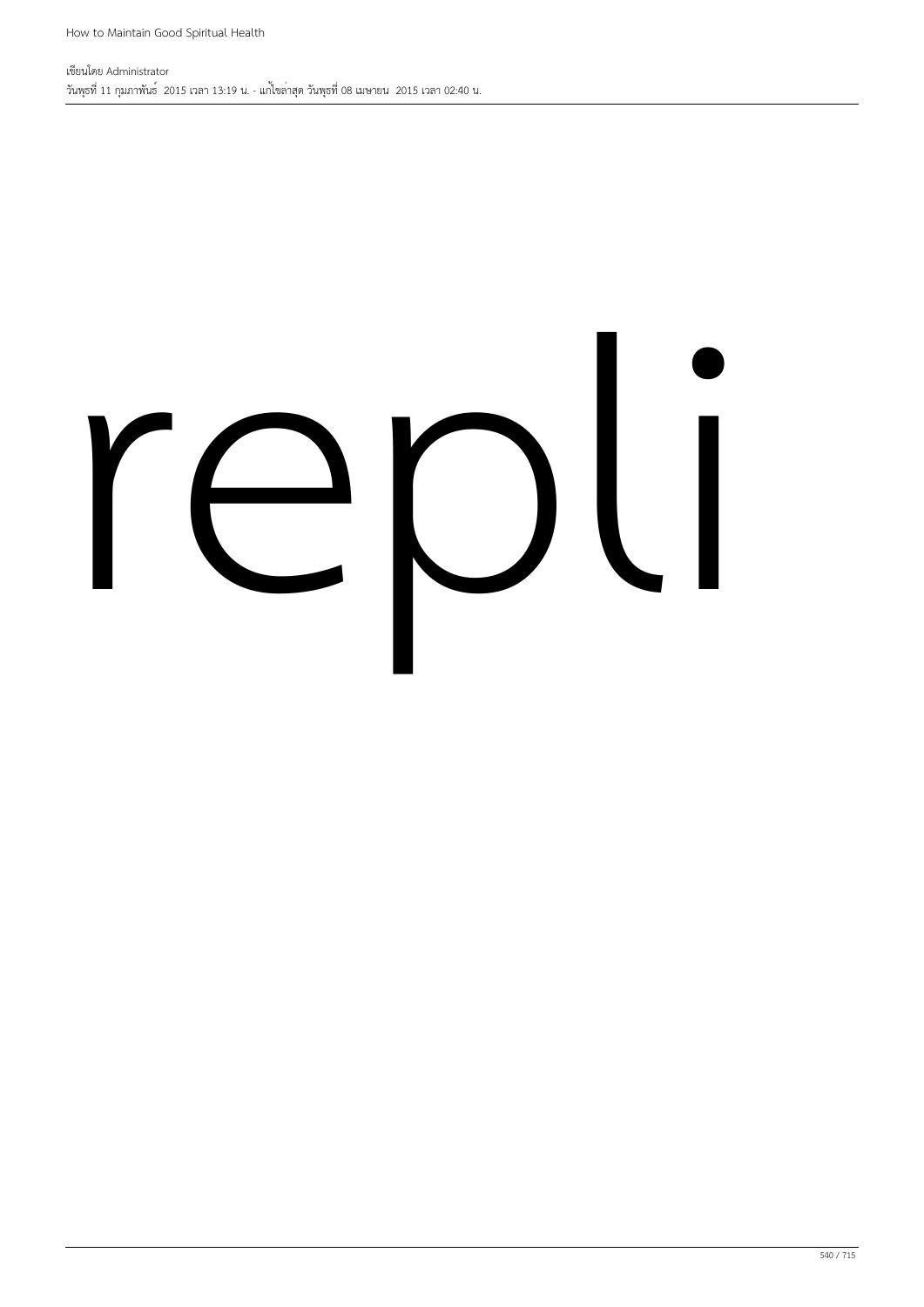# repli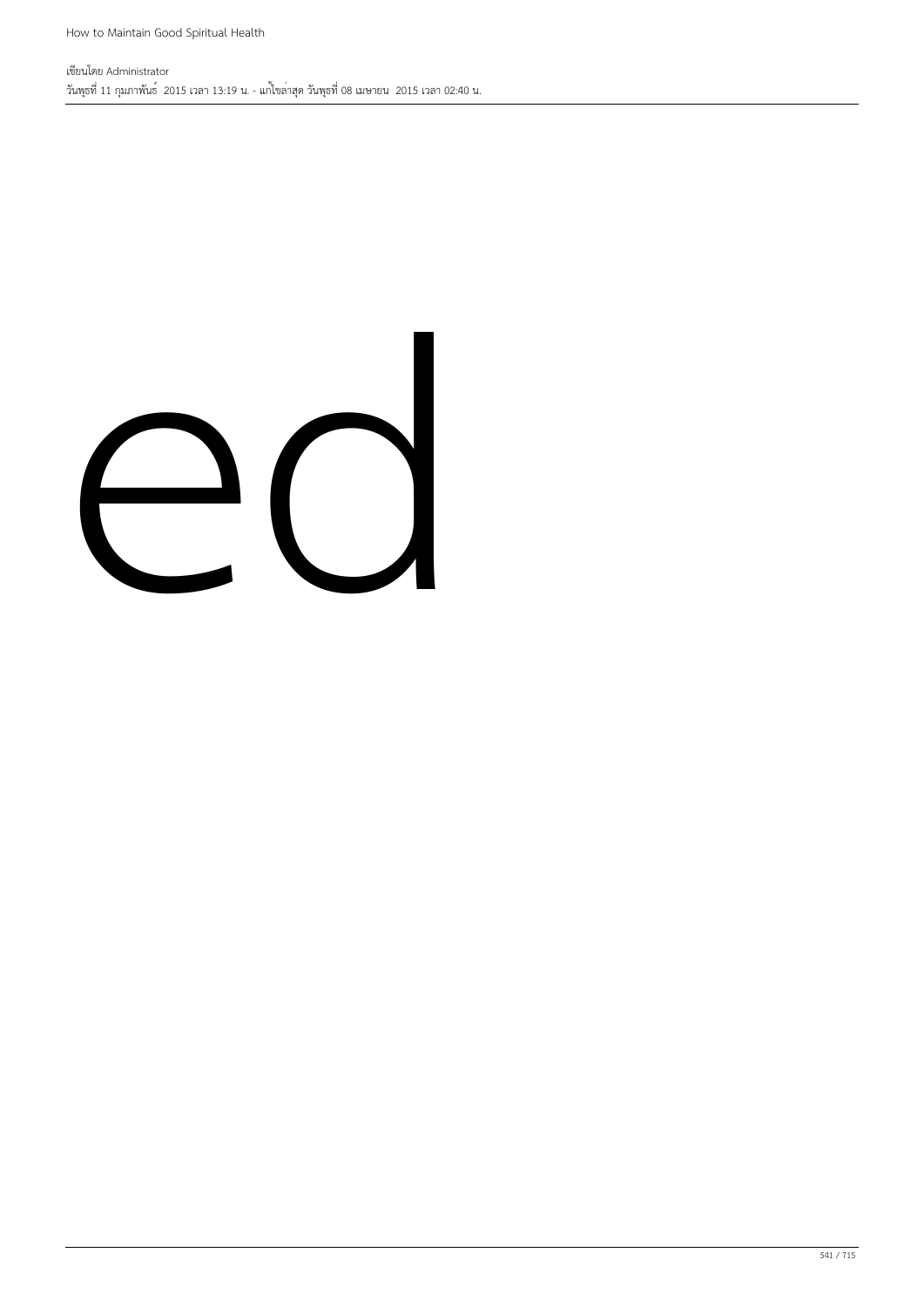#### ed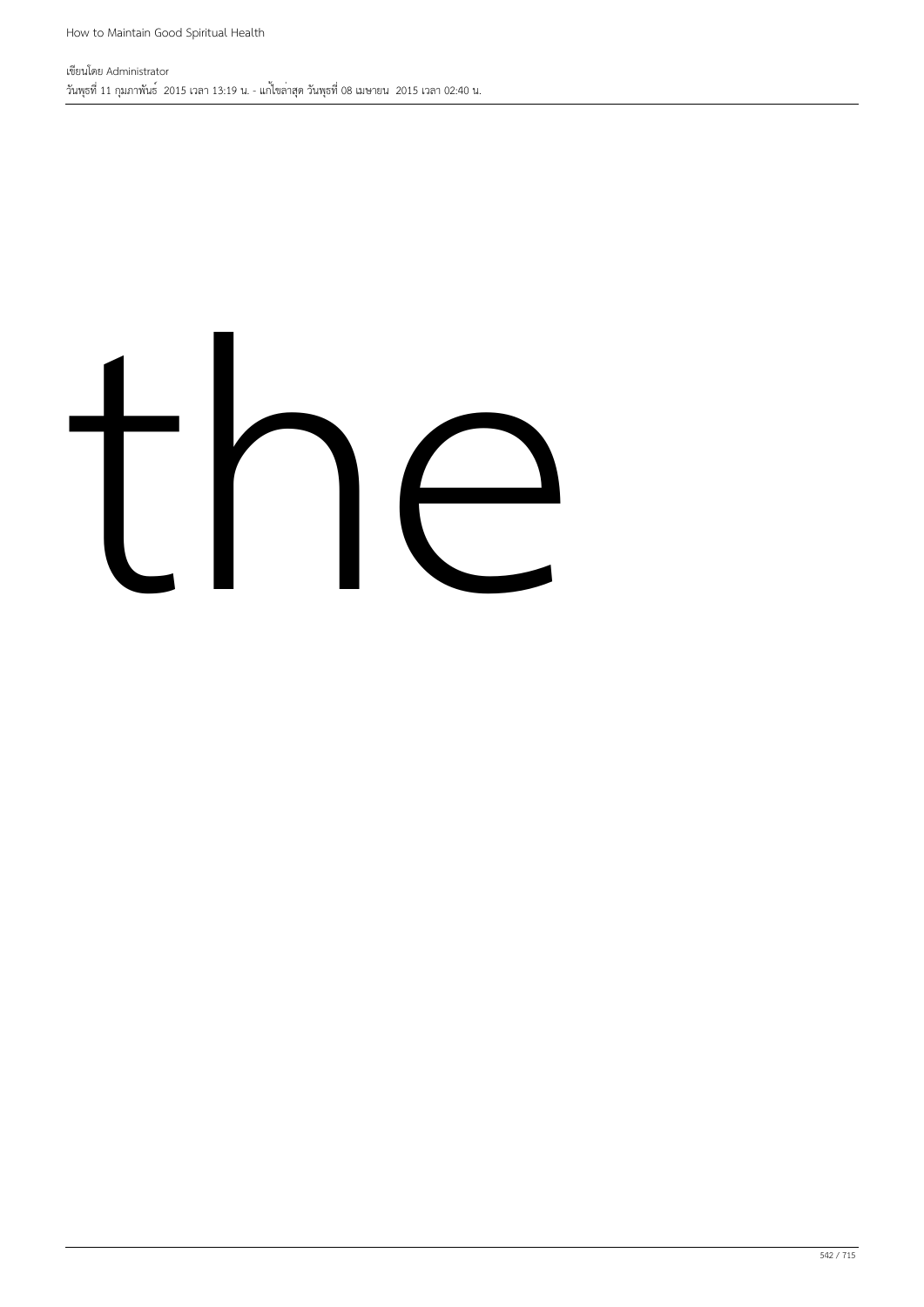#### the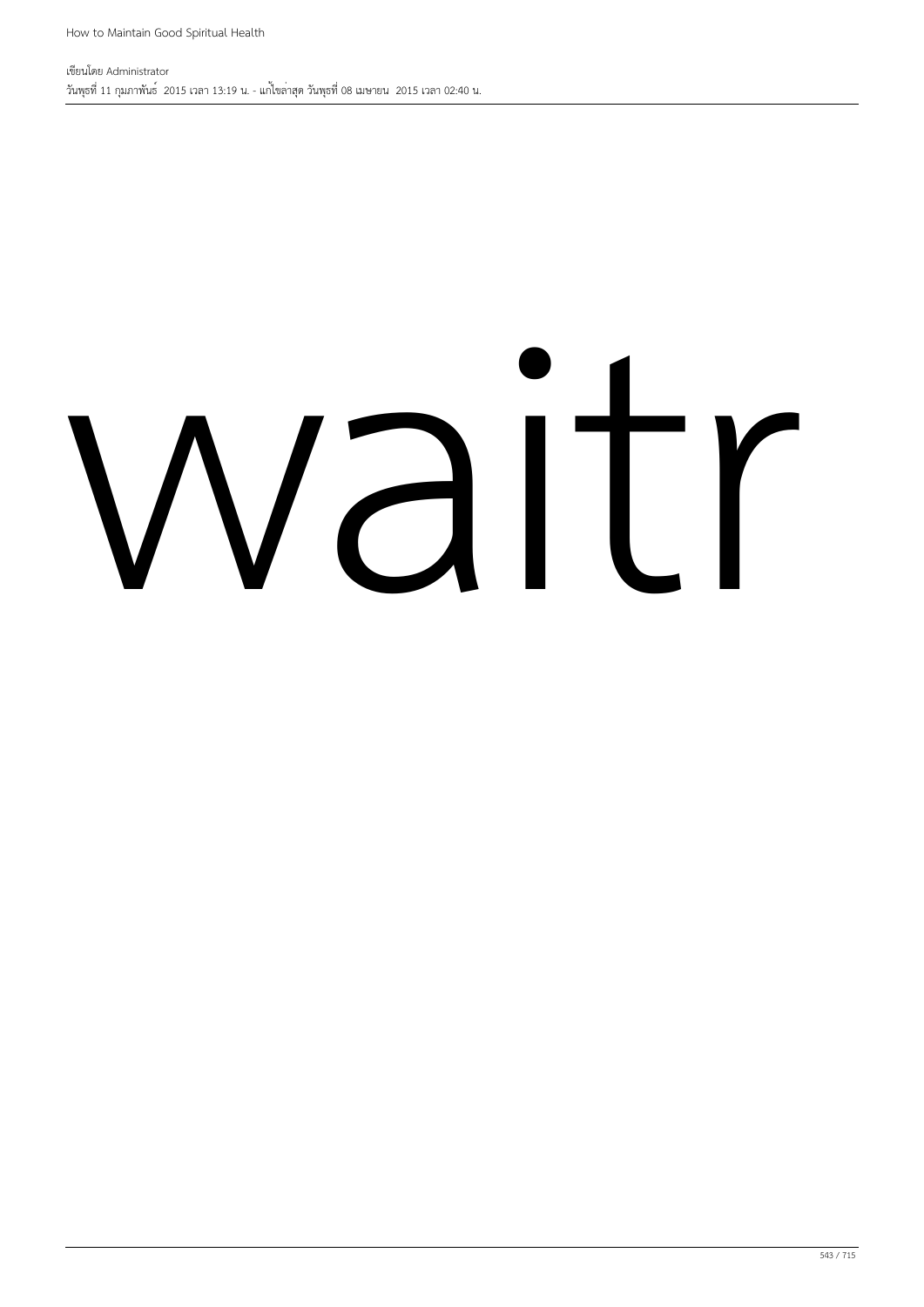#### waitr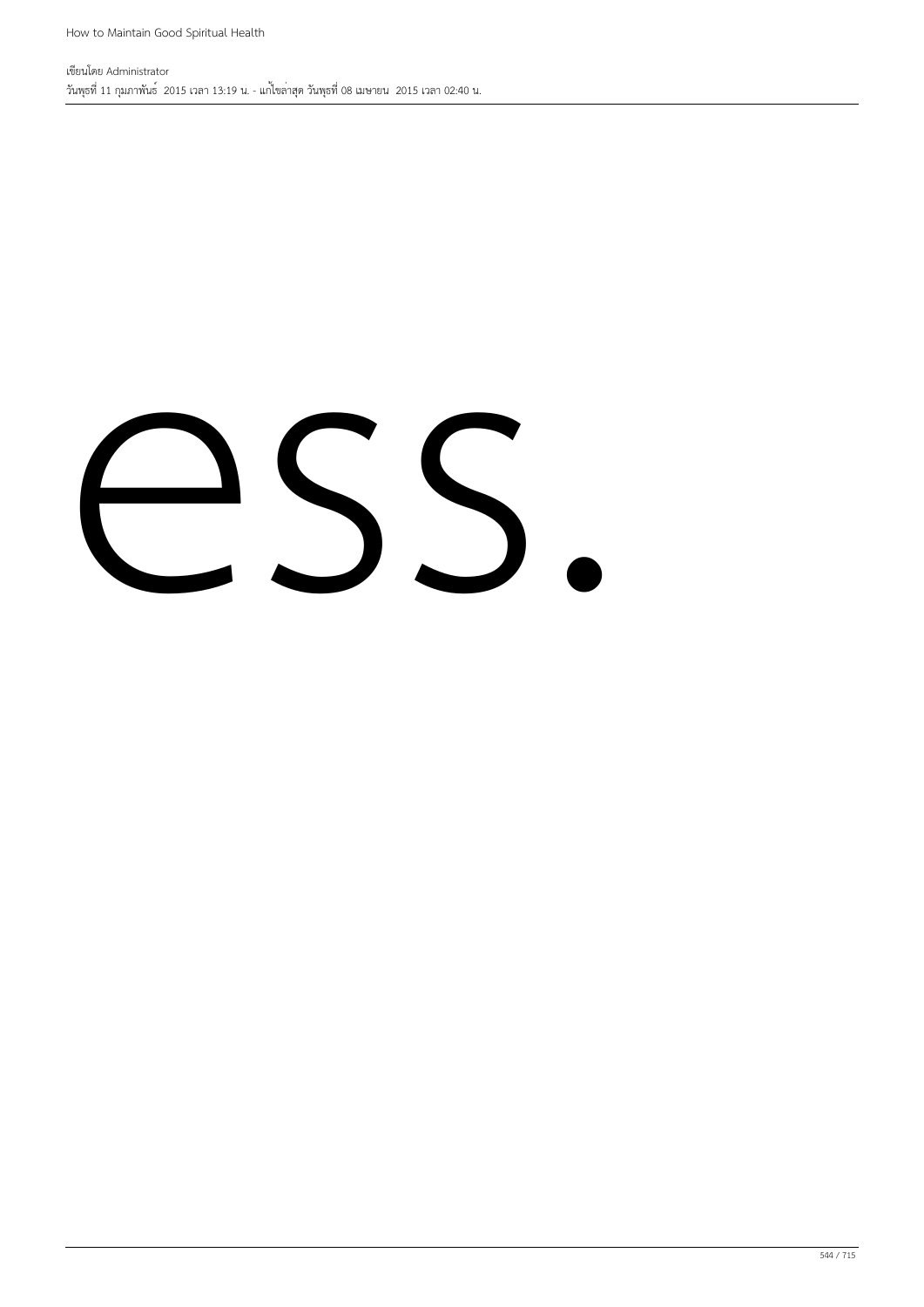#### ess.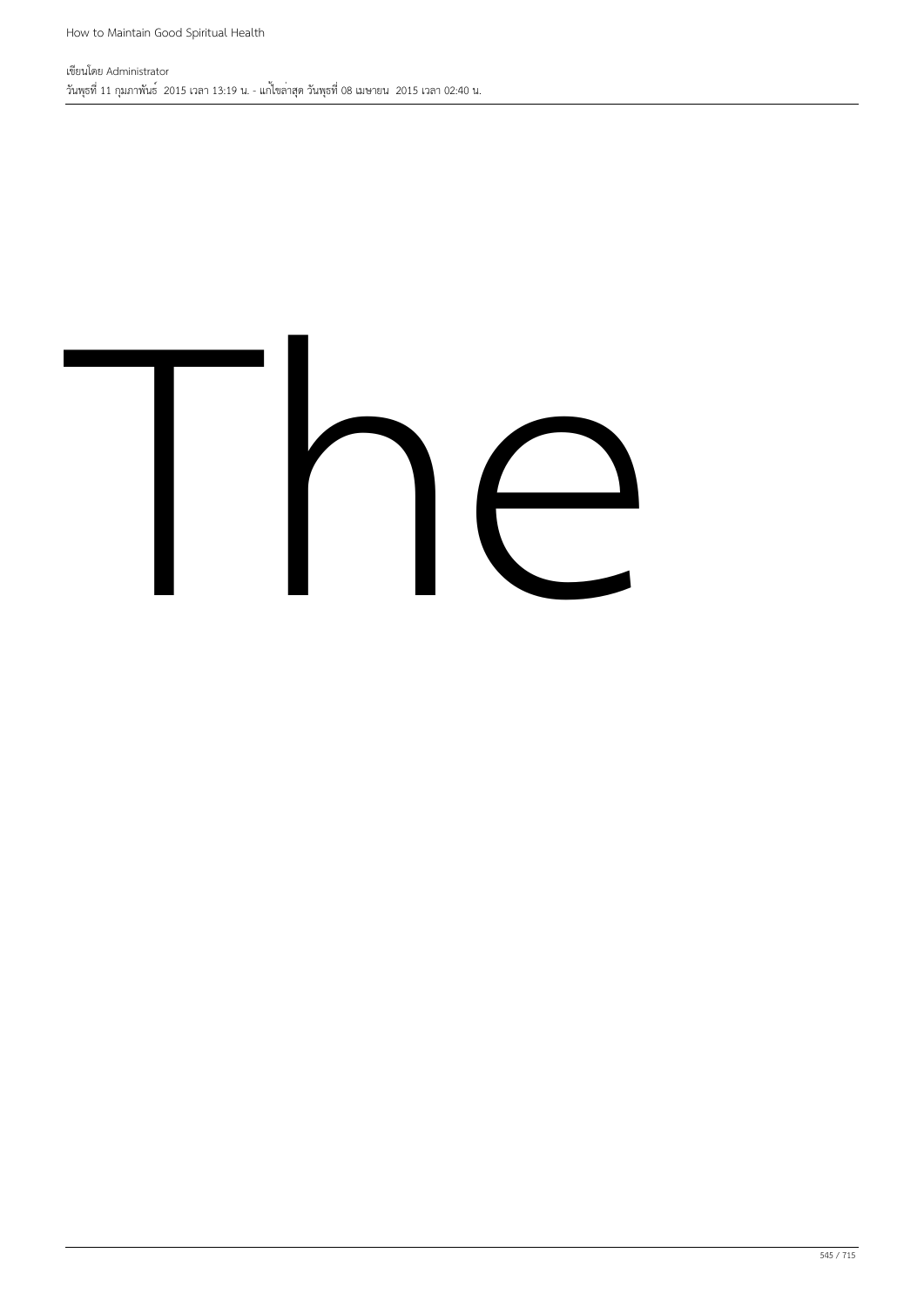#### The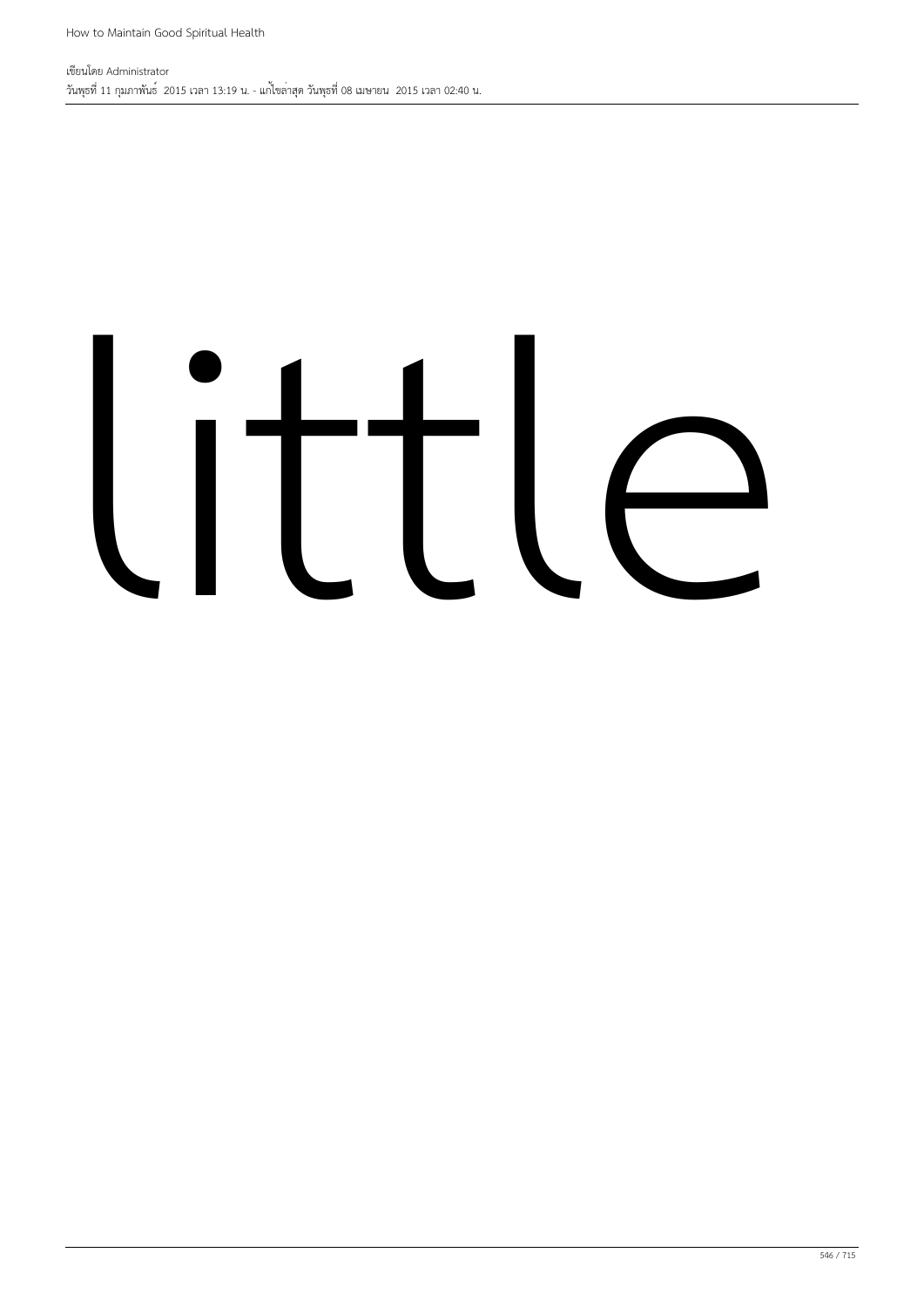#### little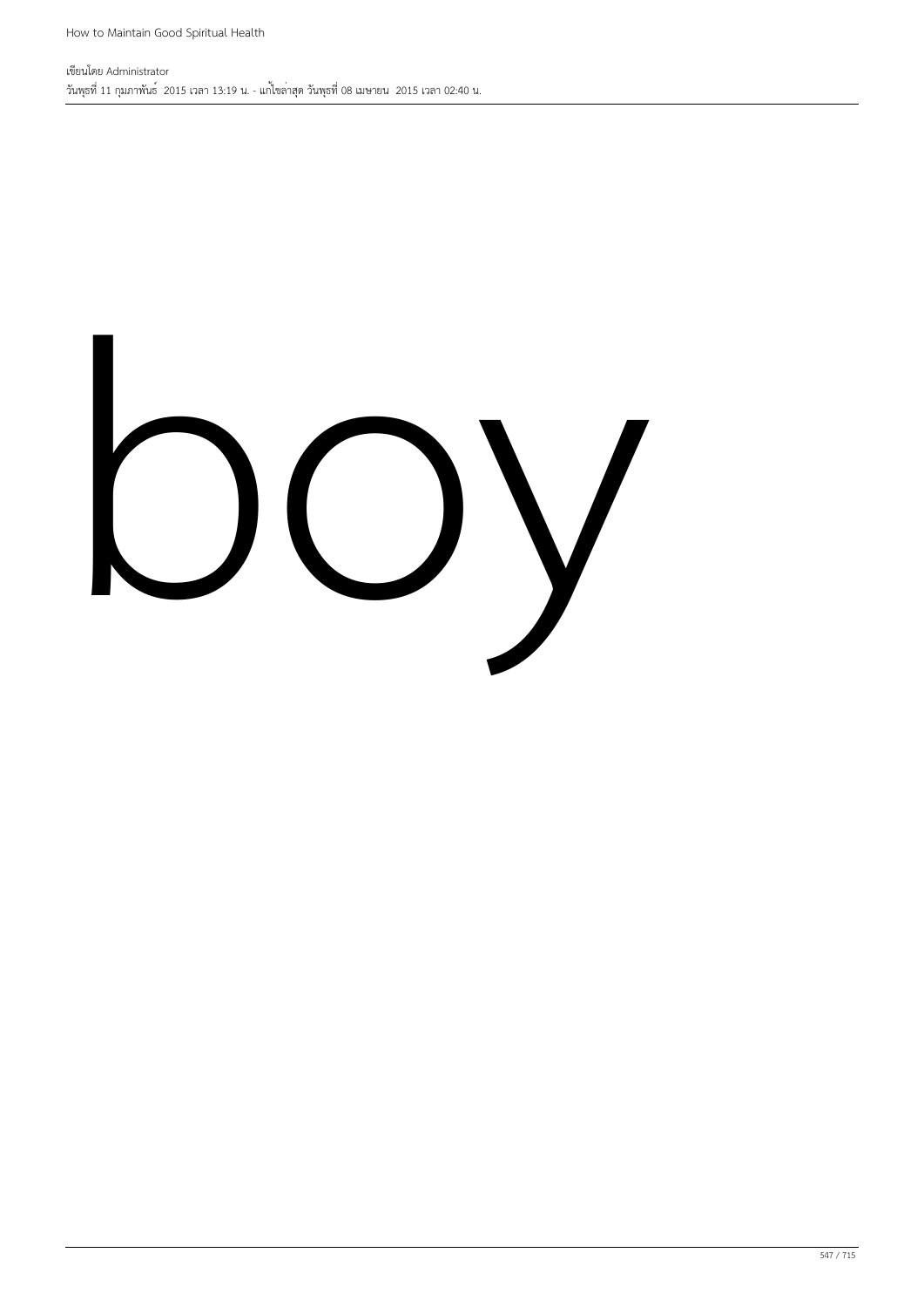### boy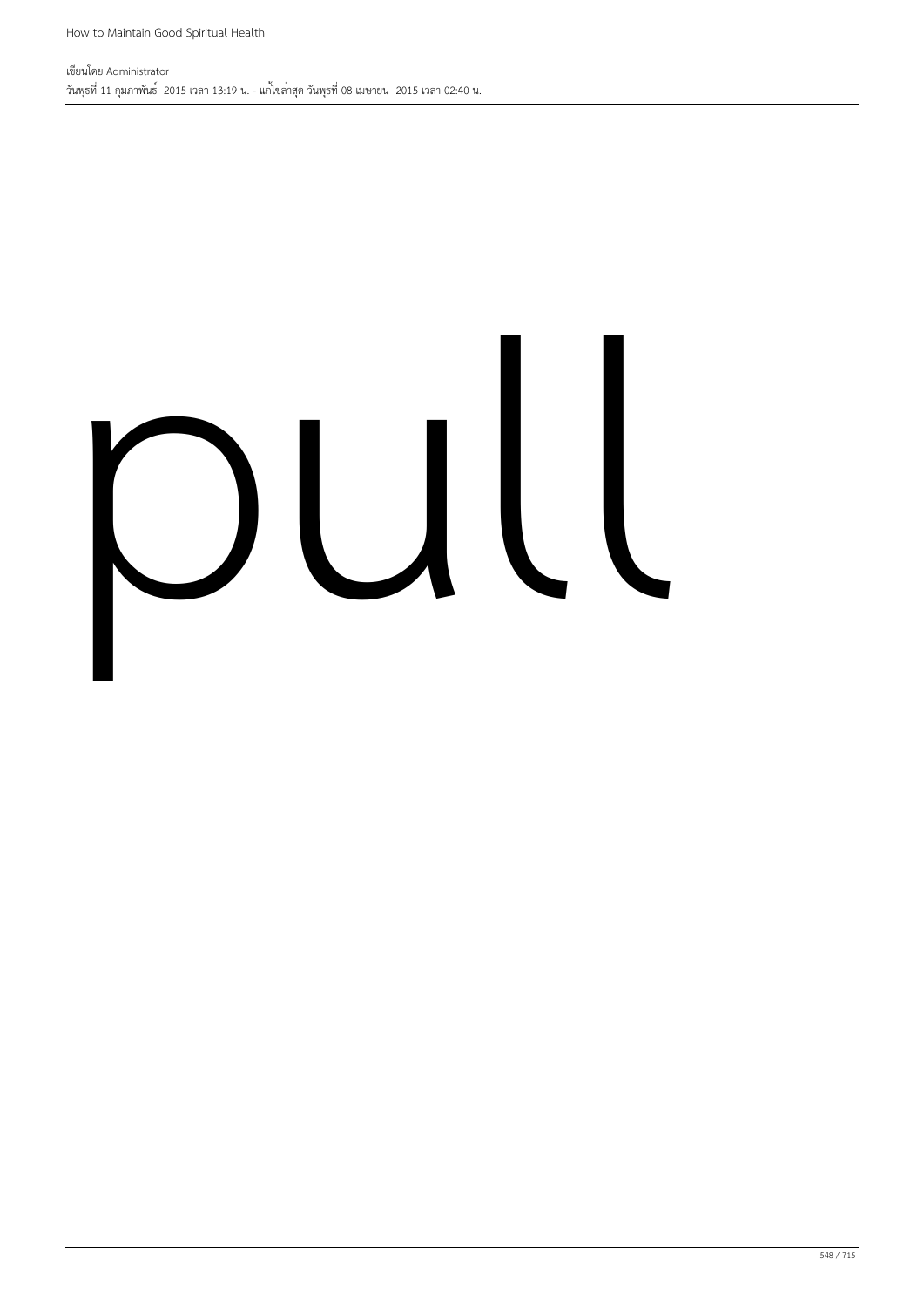### pull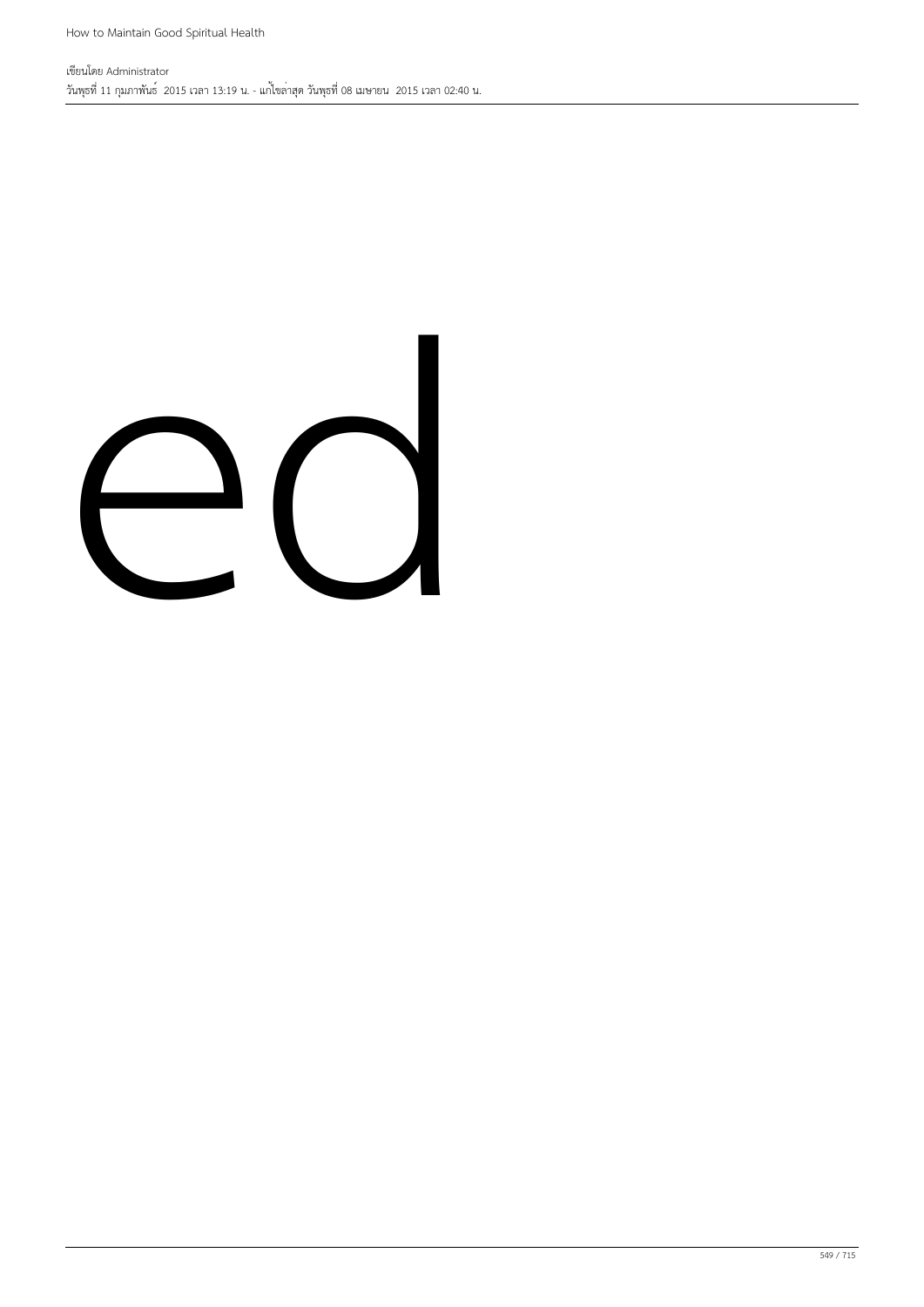#### ed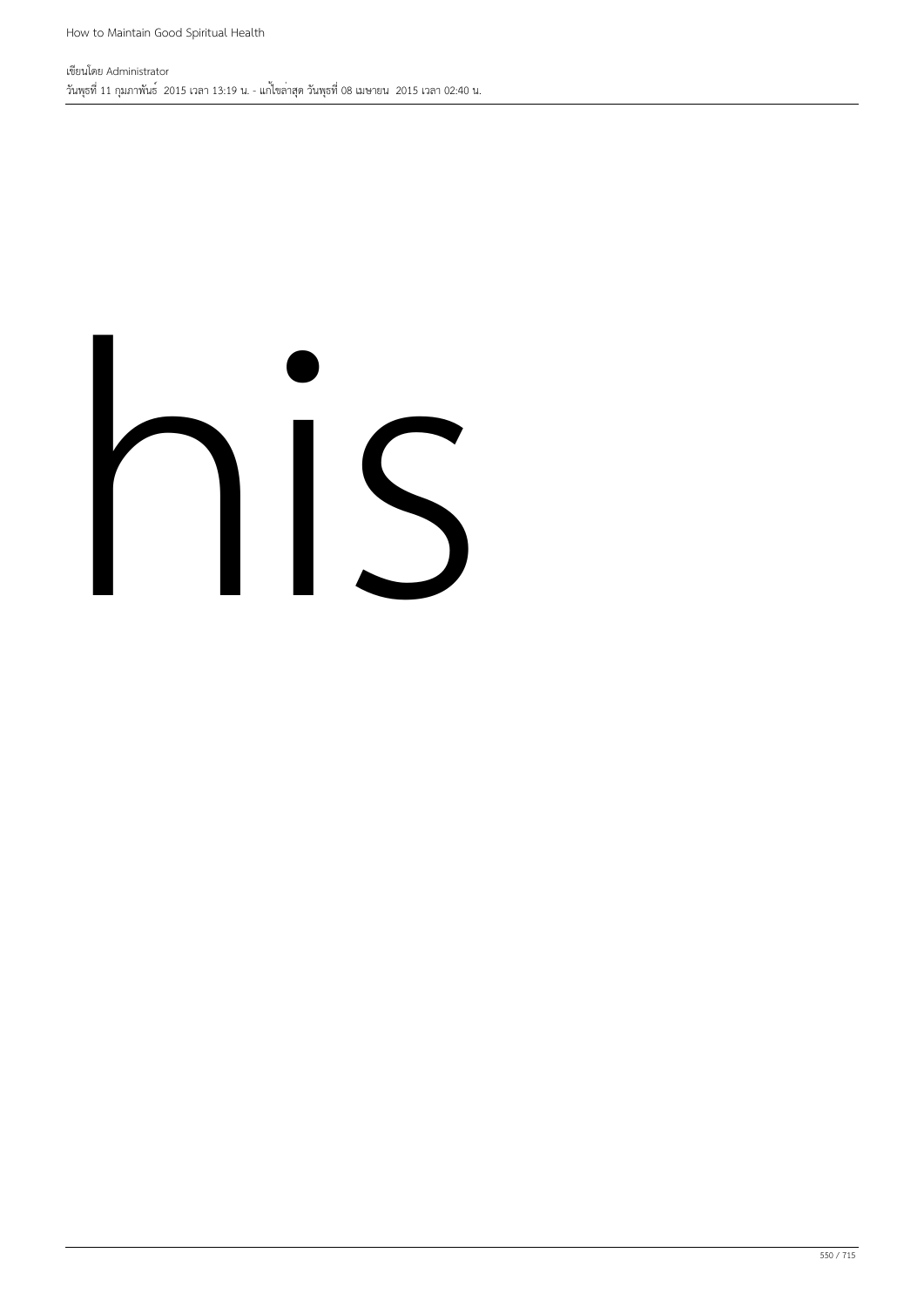#### his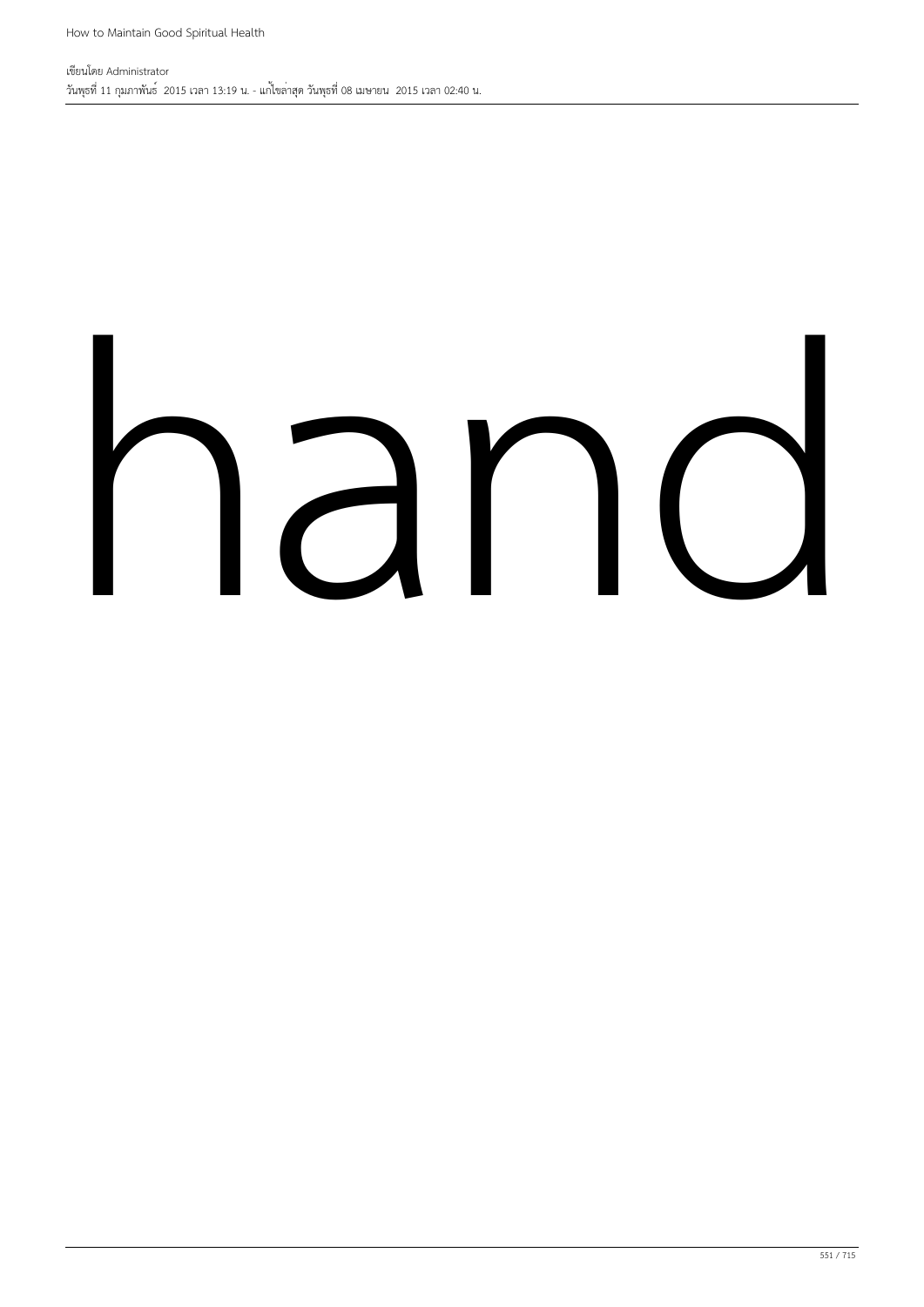### hand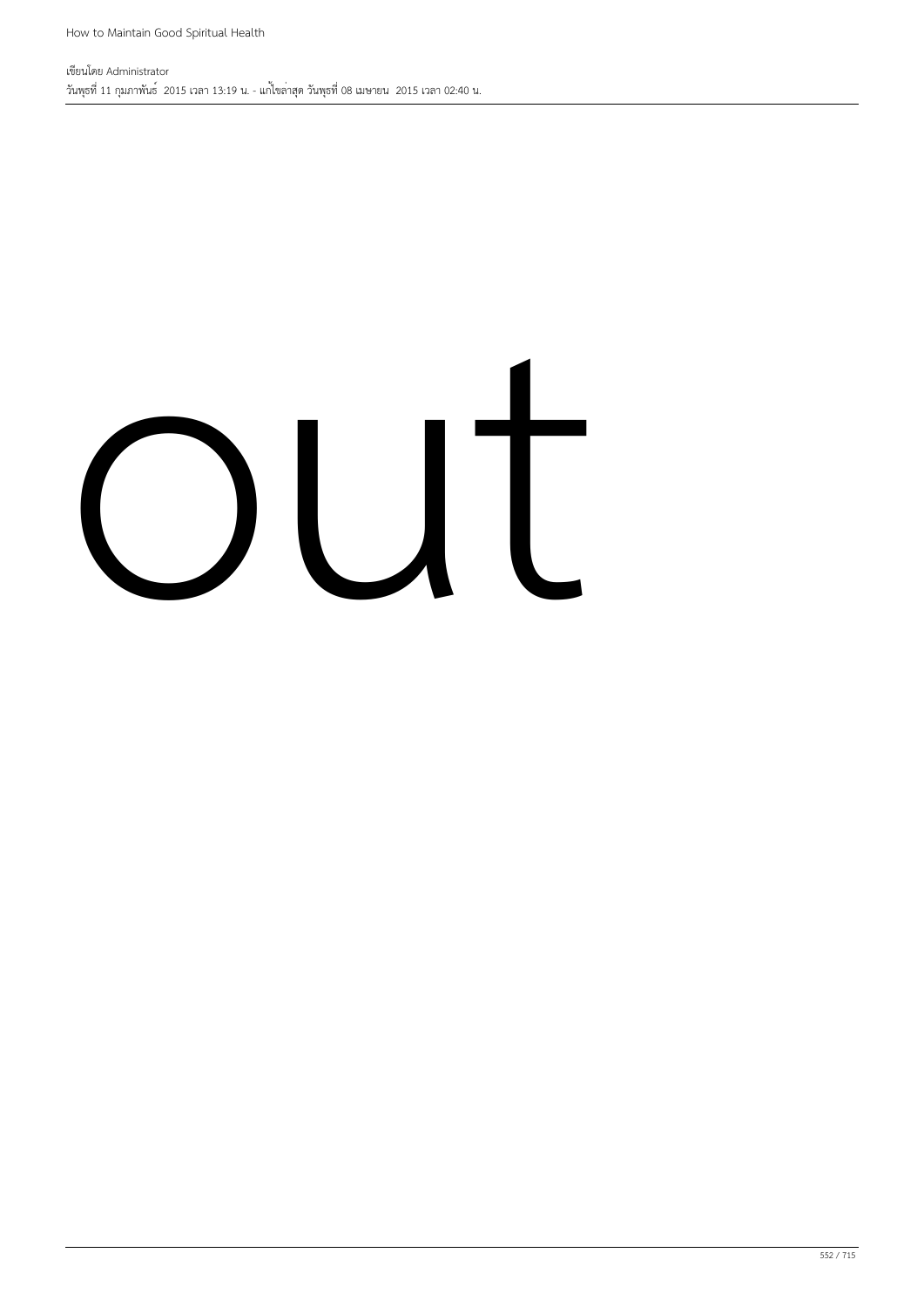#### OUT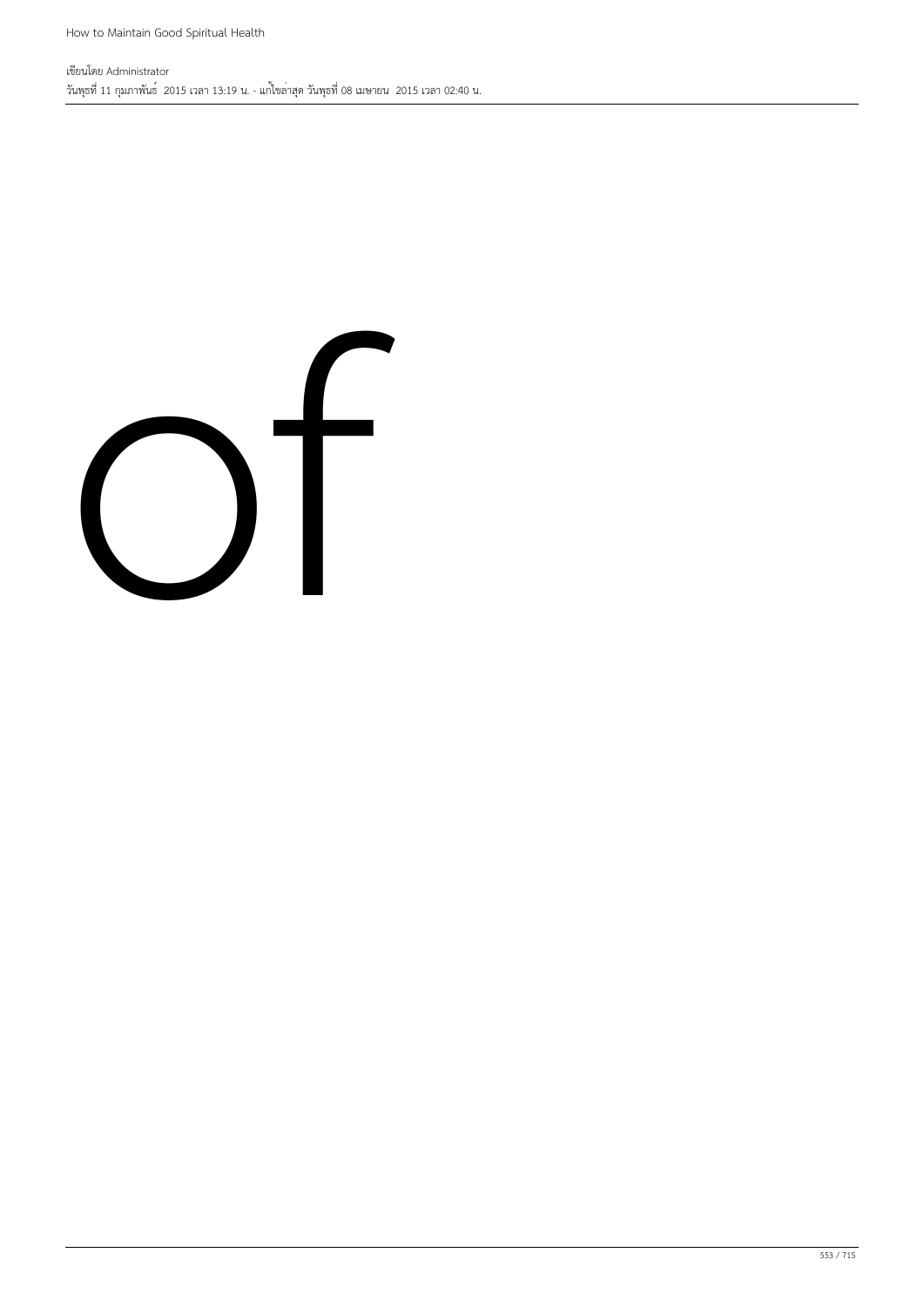### of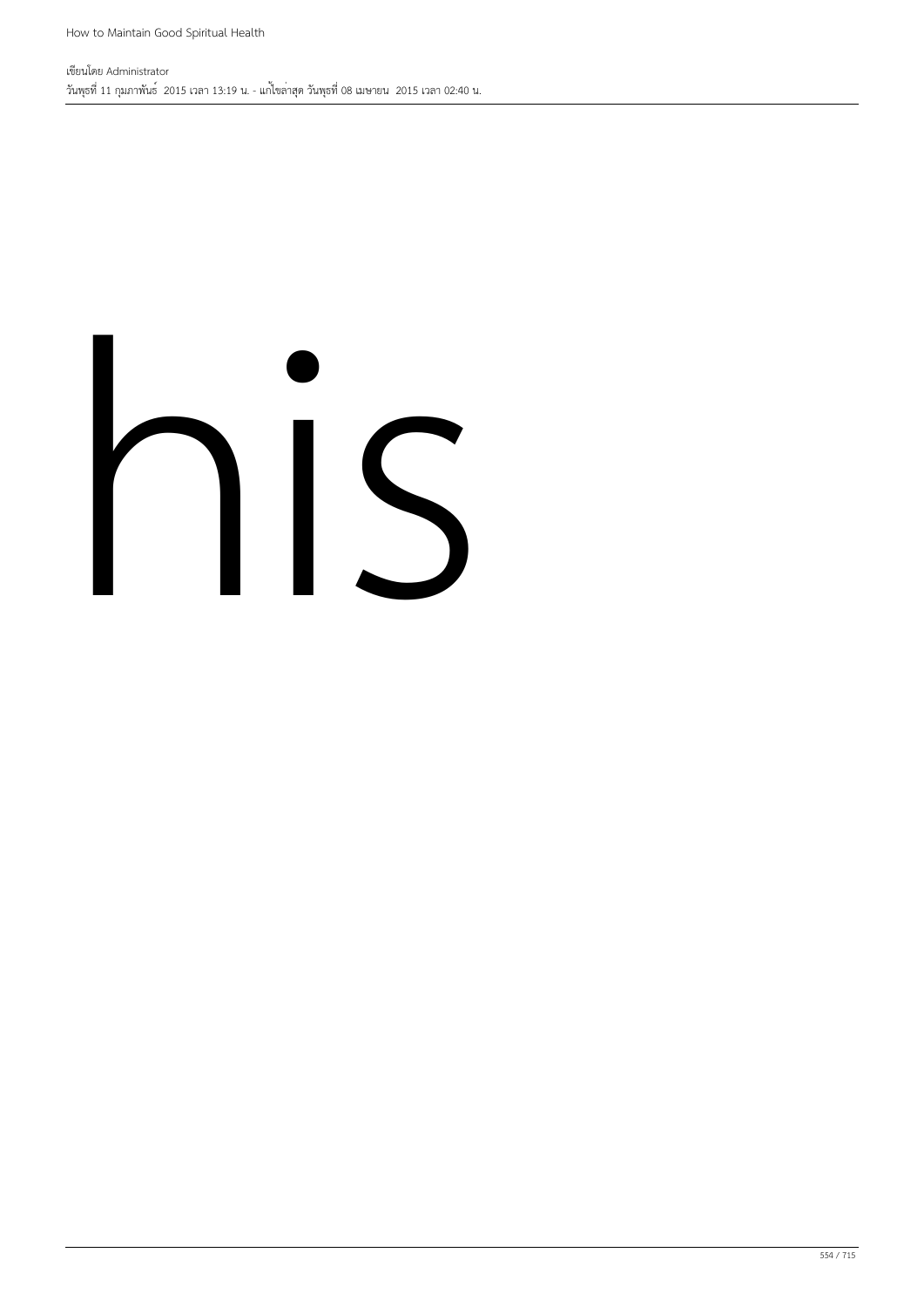#### his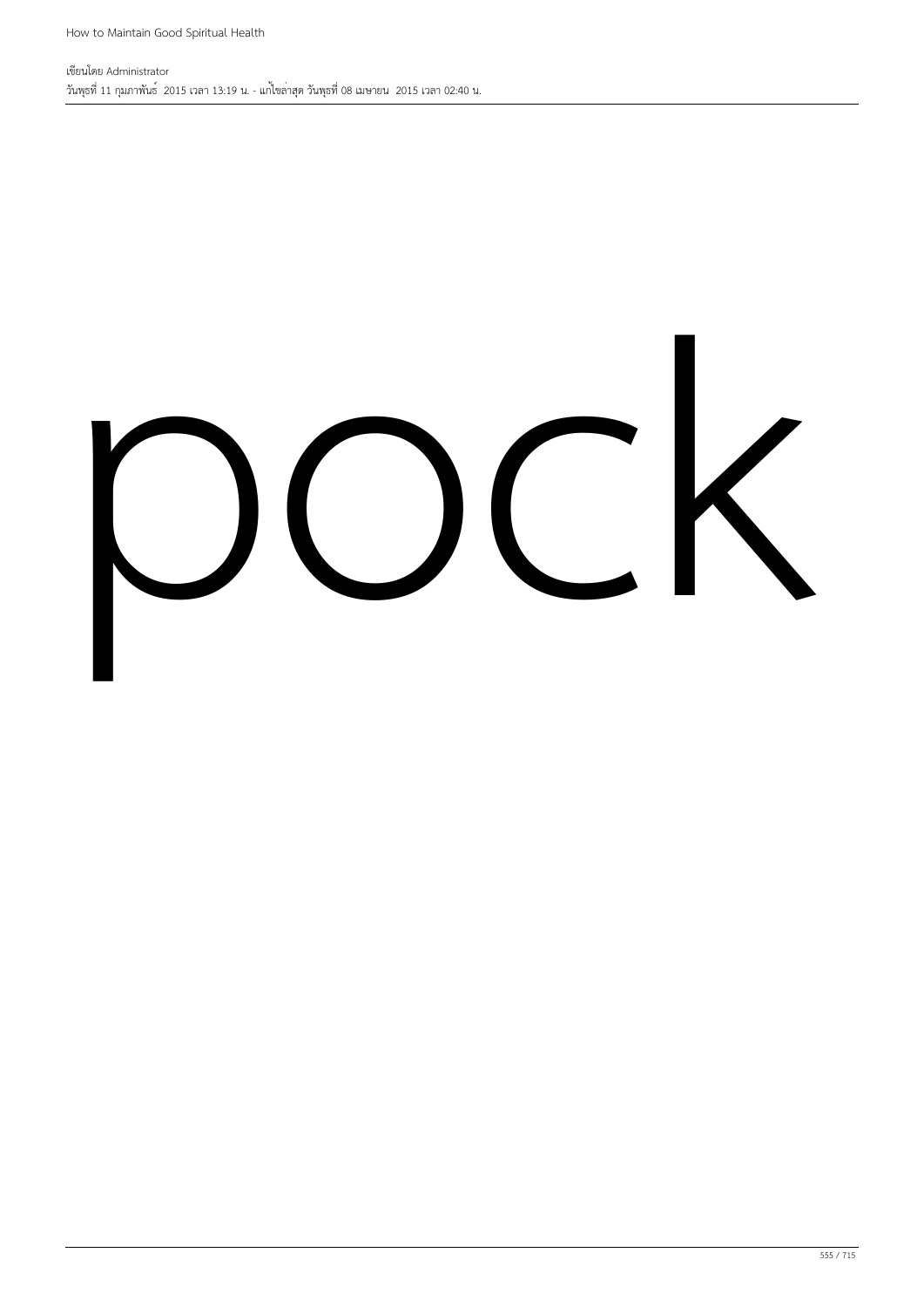### pock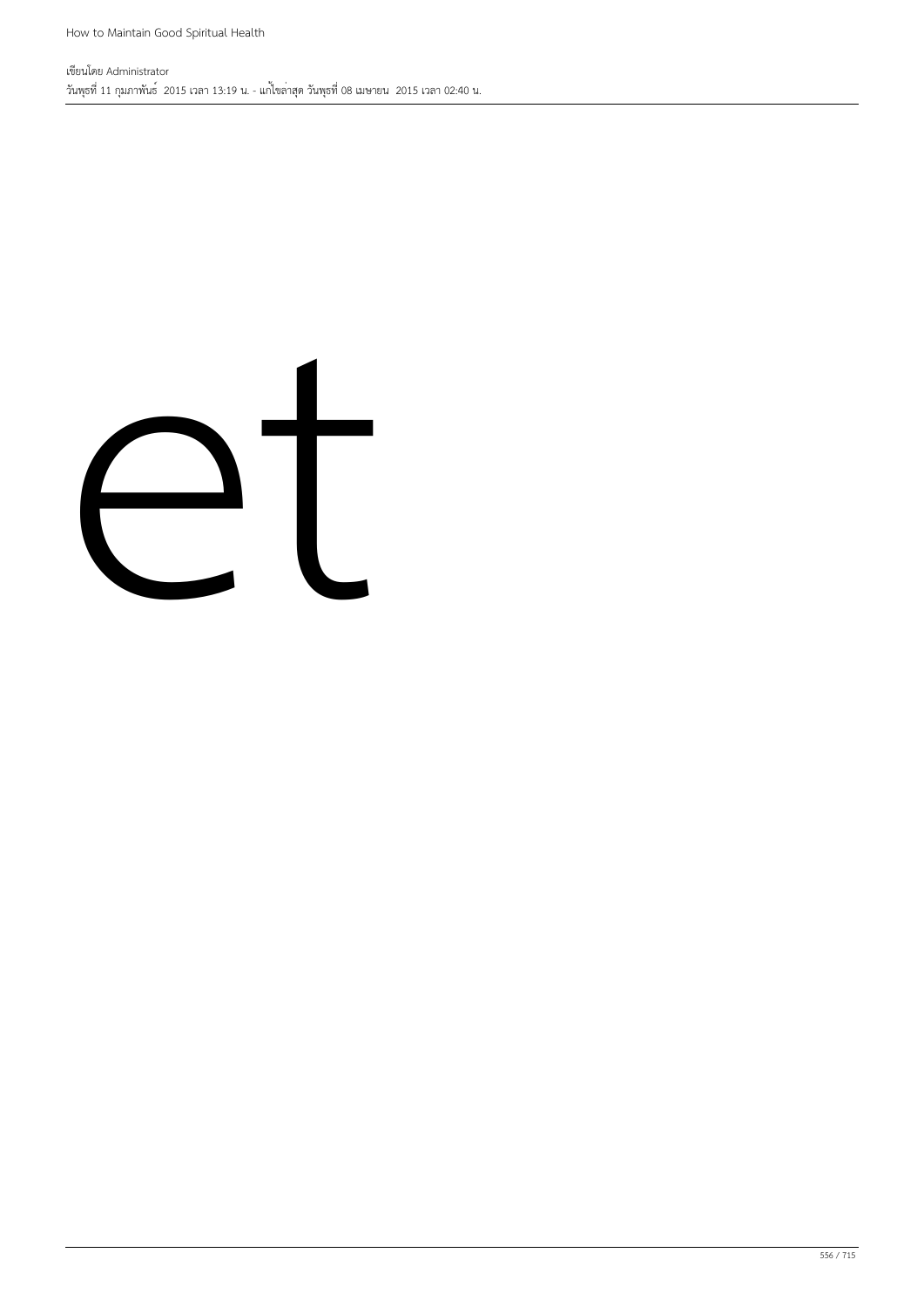#### et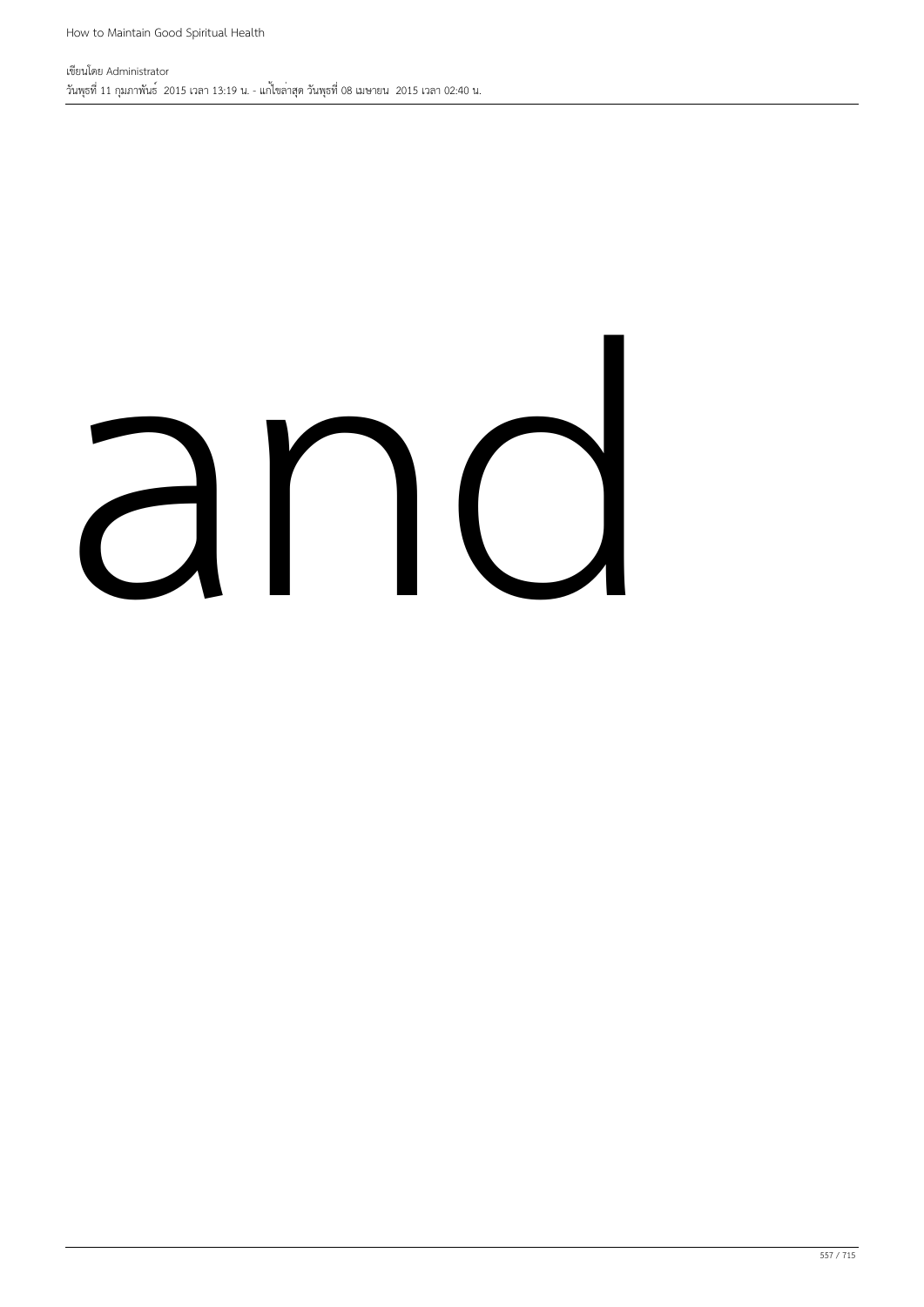#### and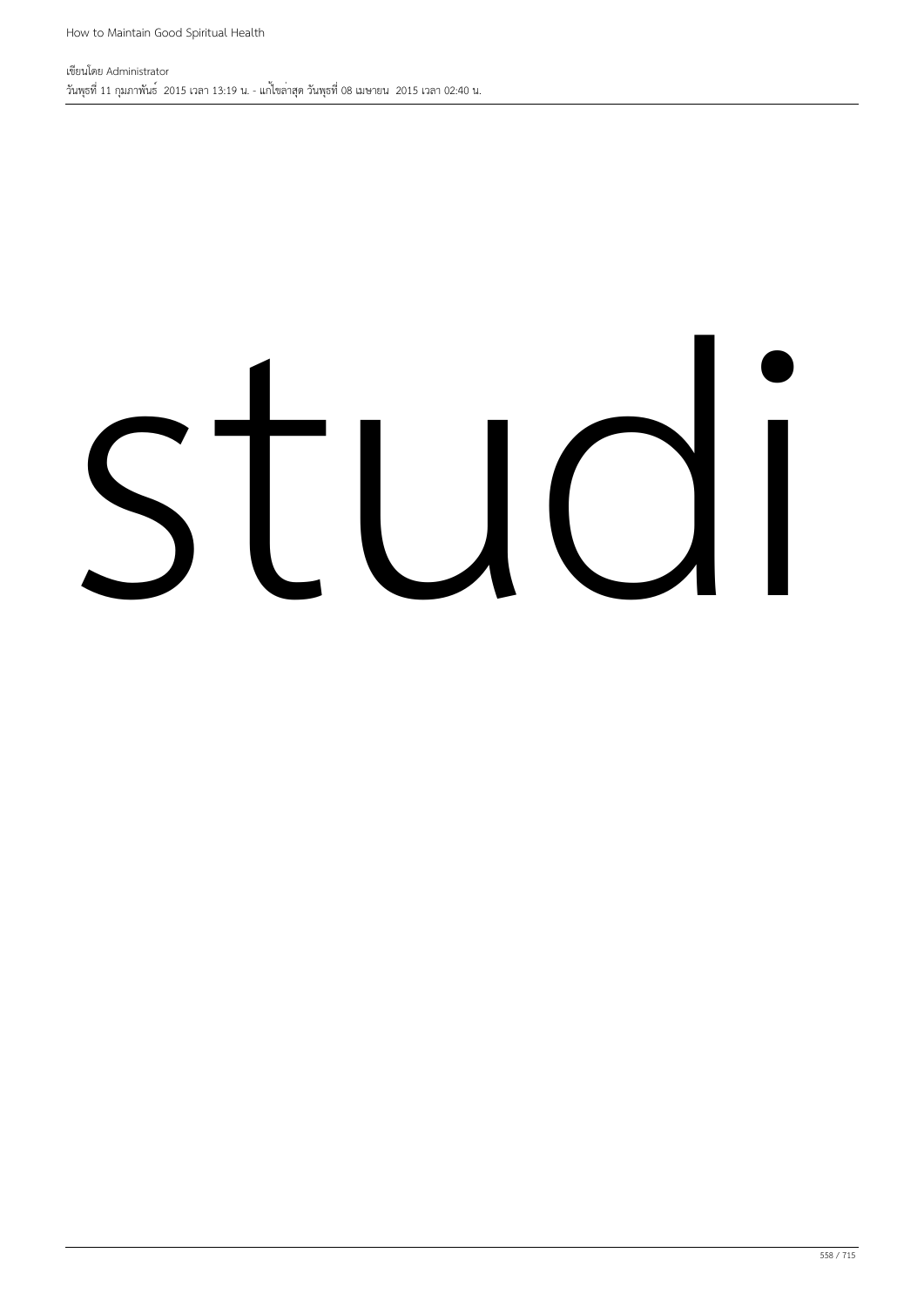#### studi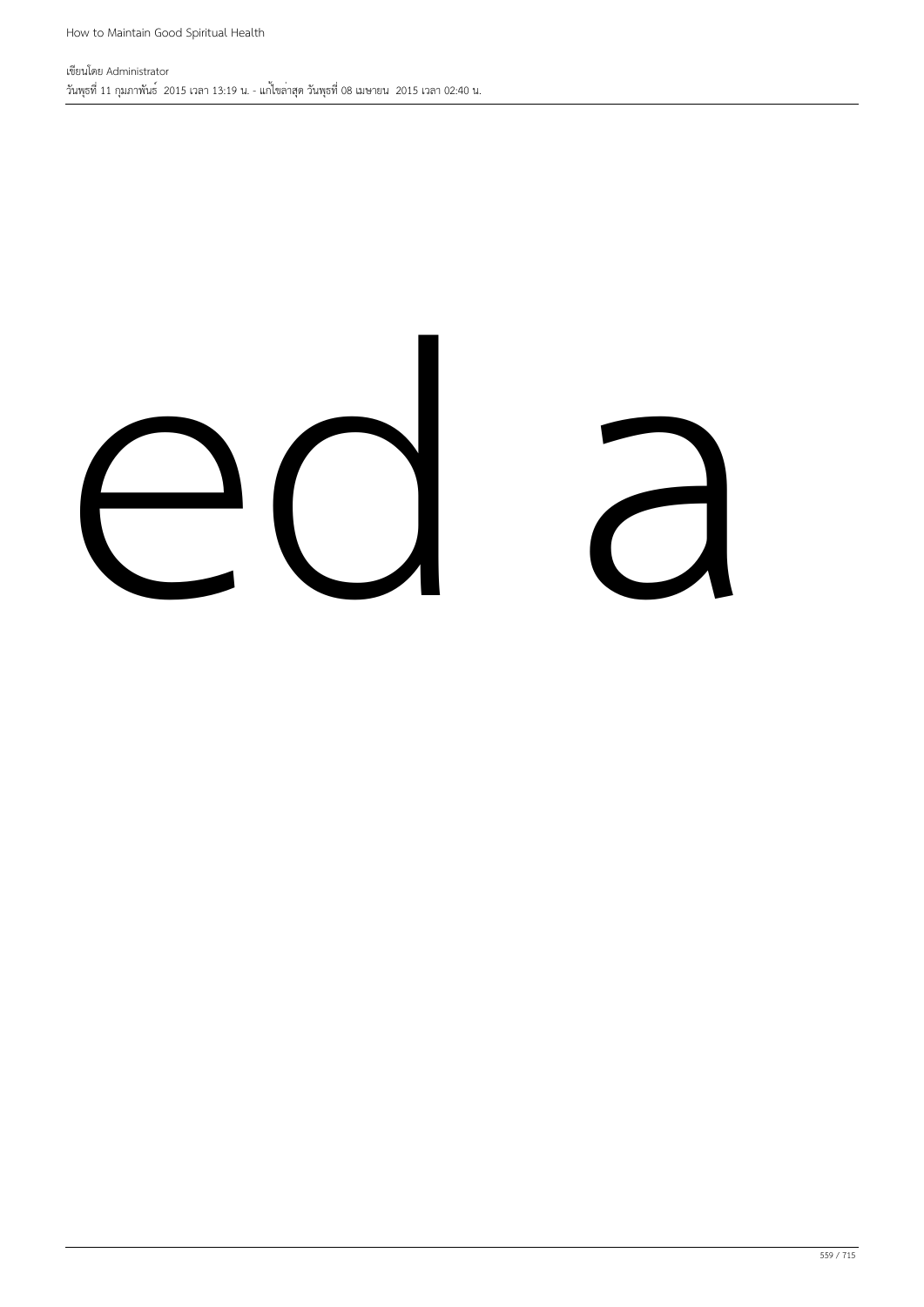### ed a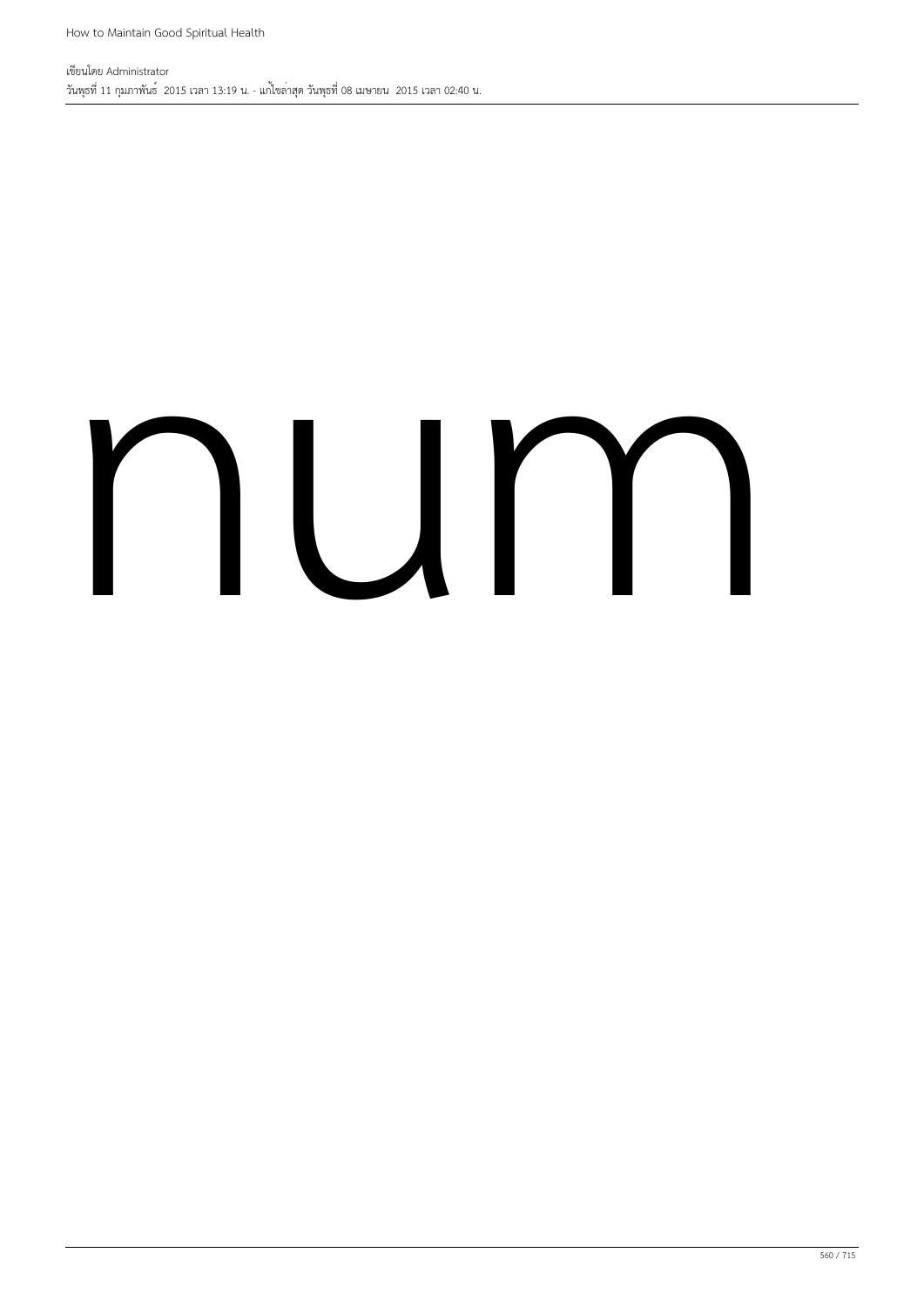#### num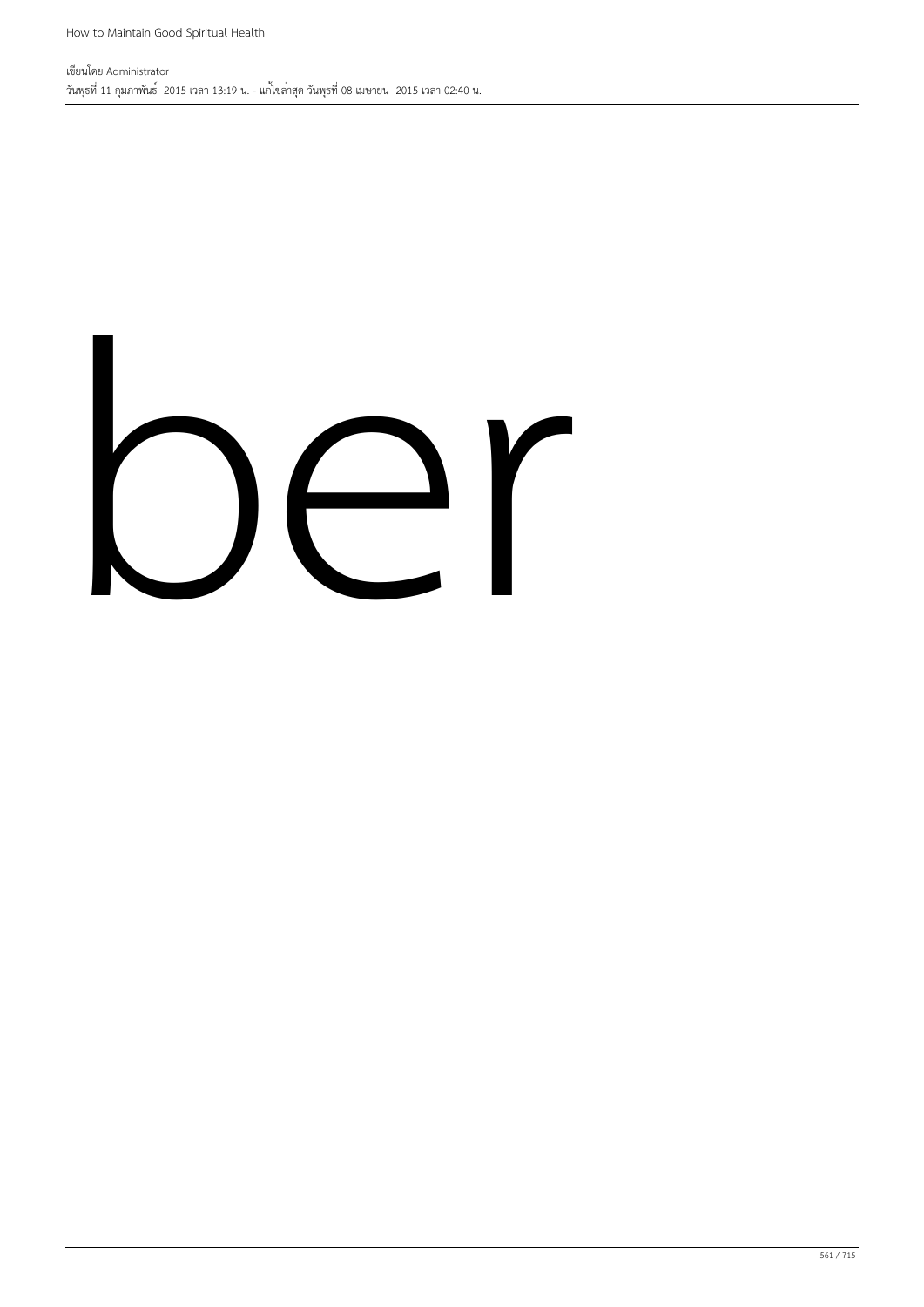#### ber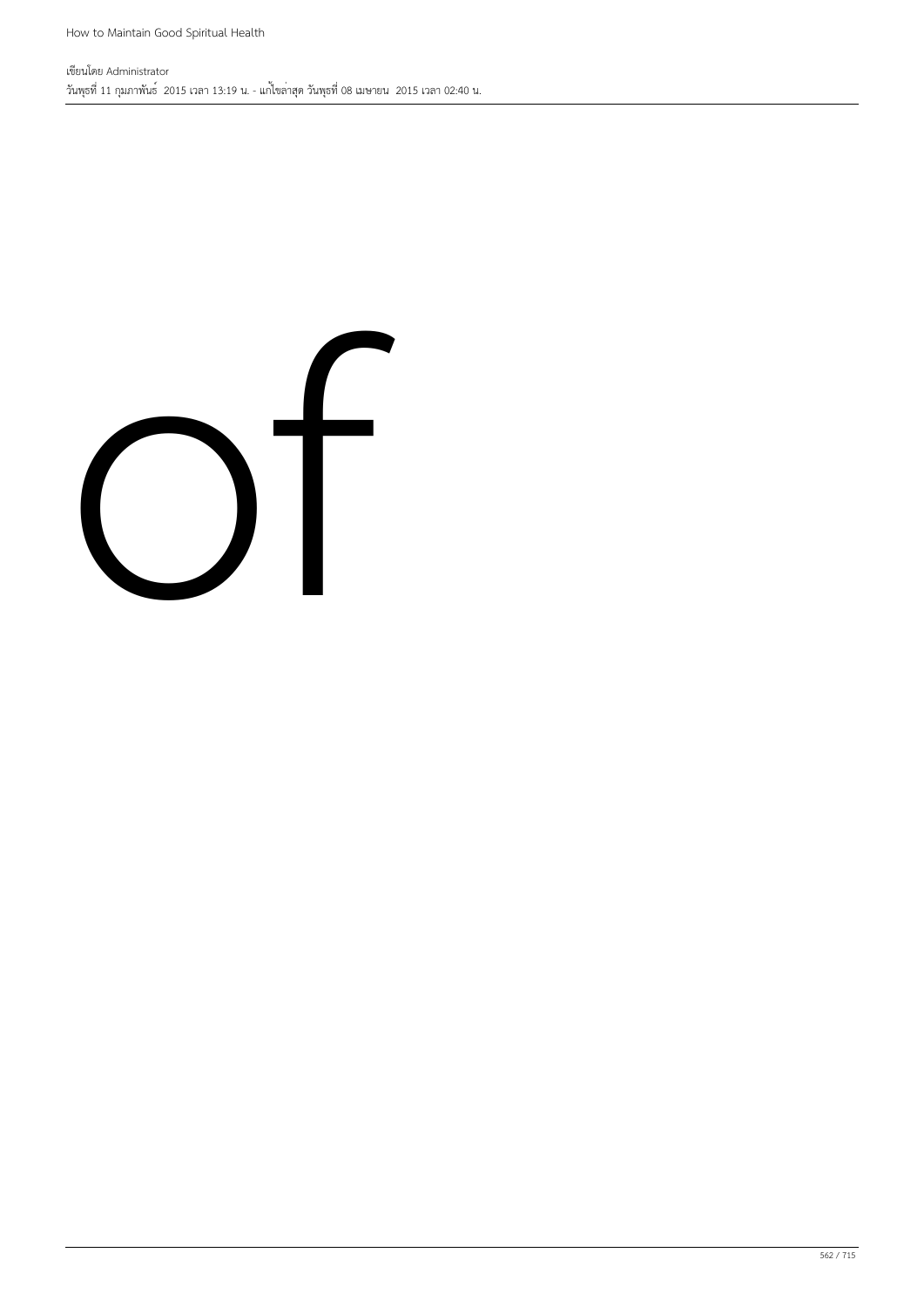### of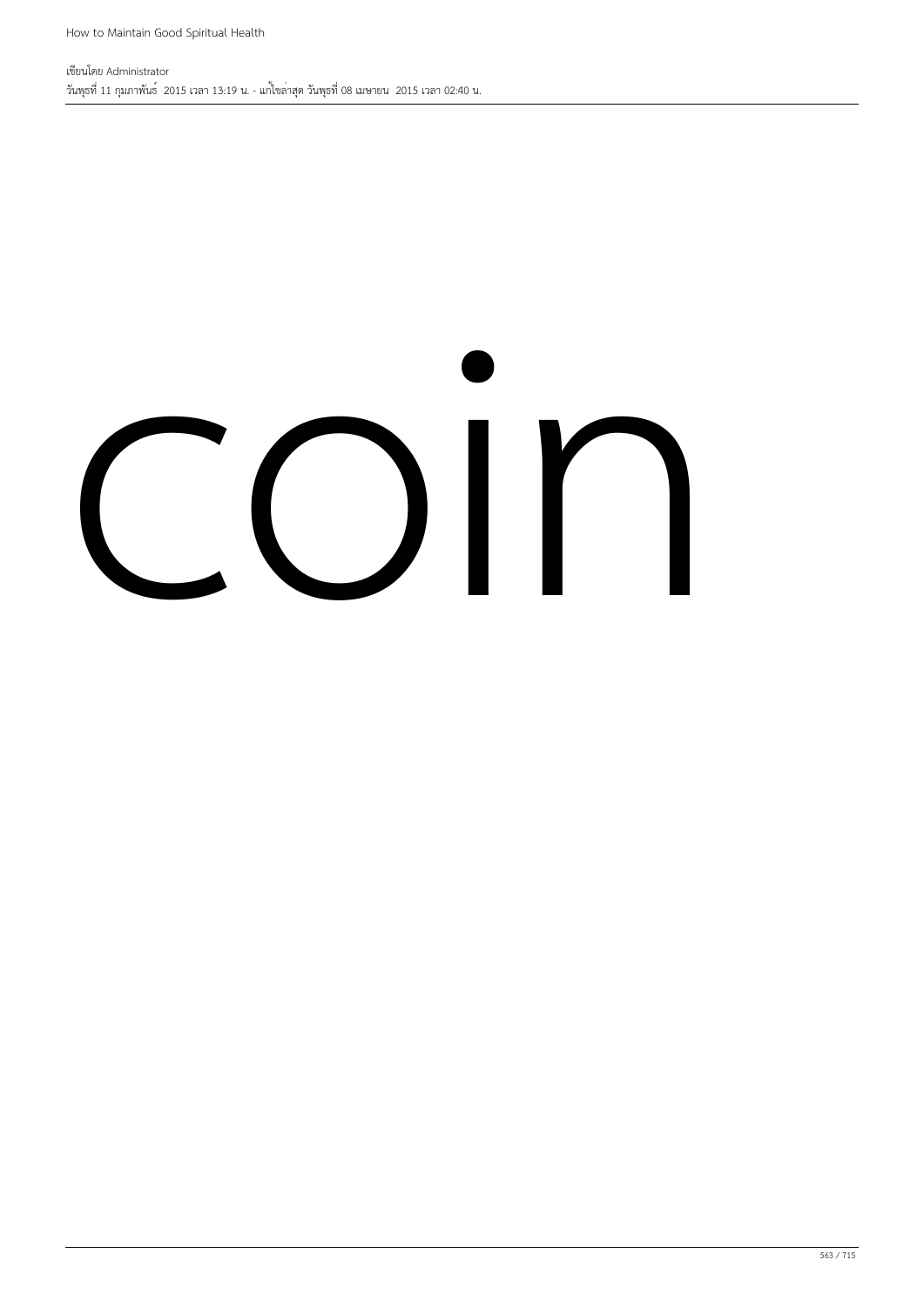#### coin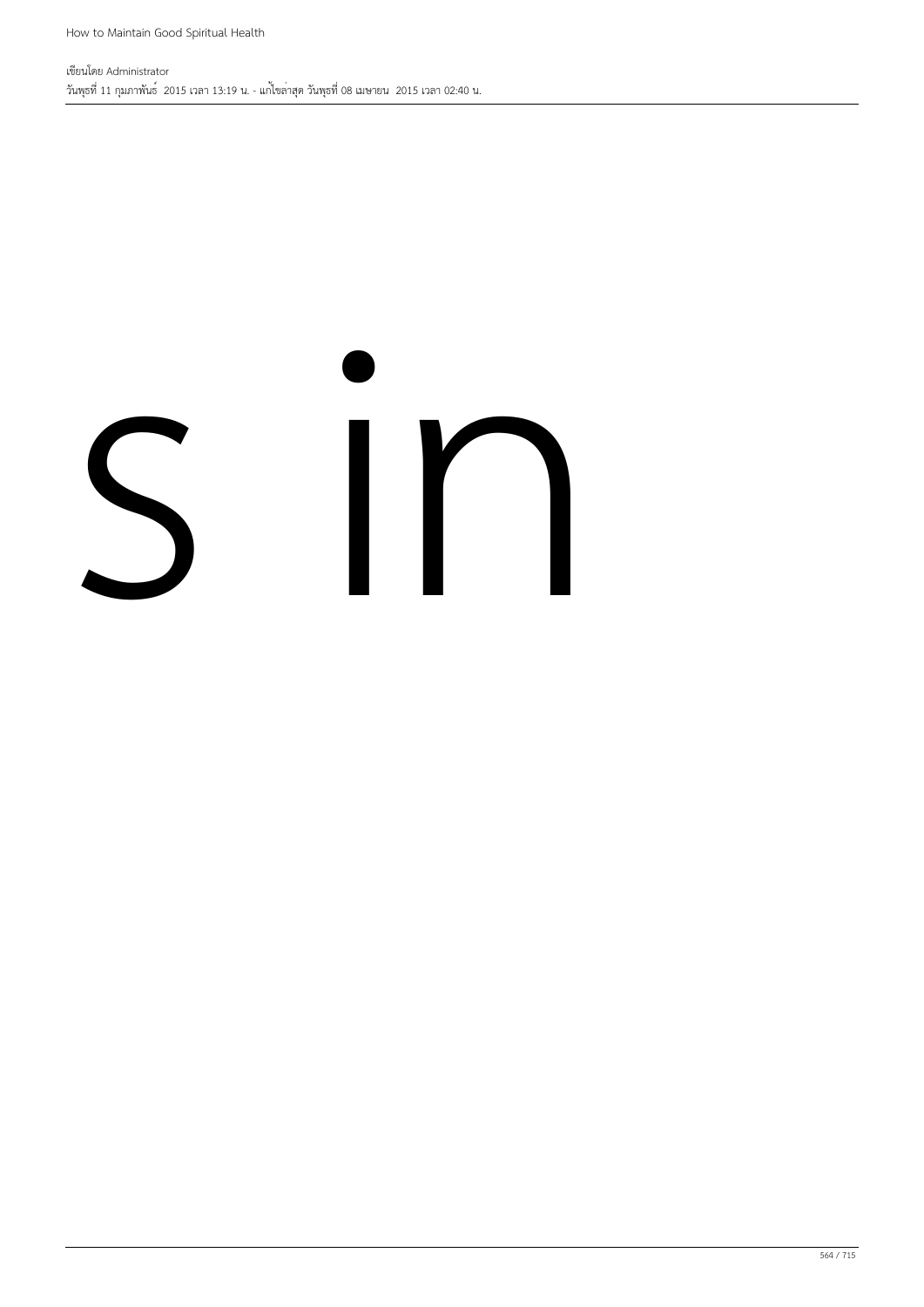#### s in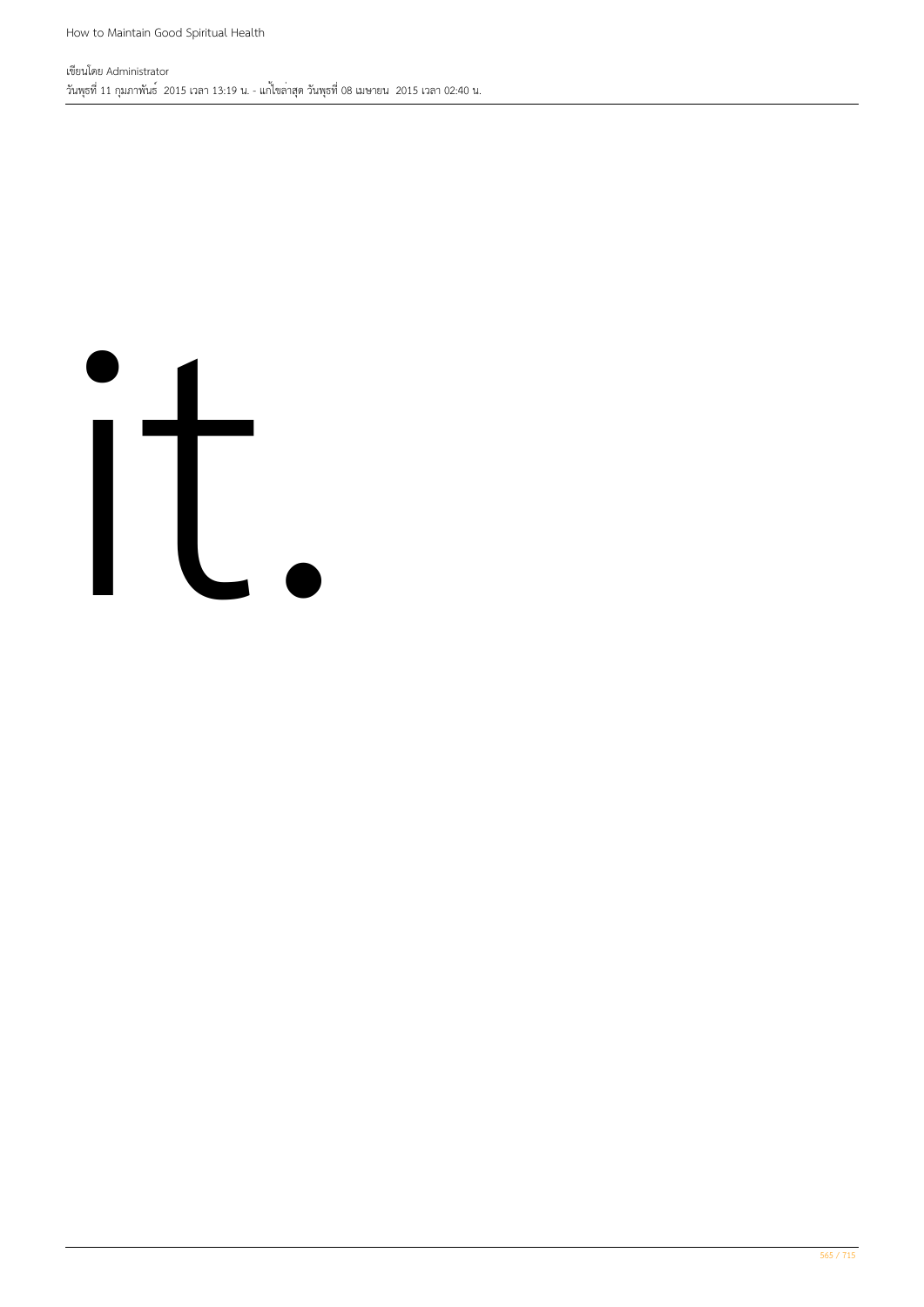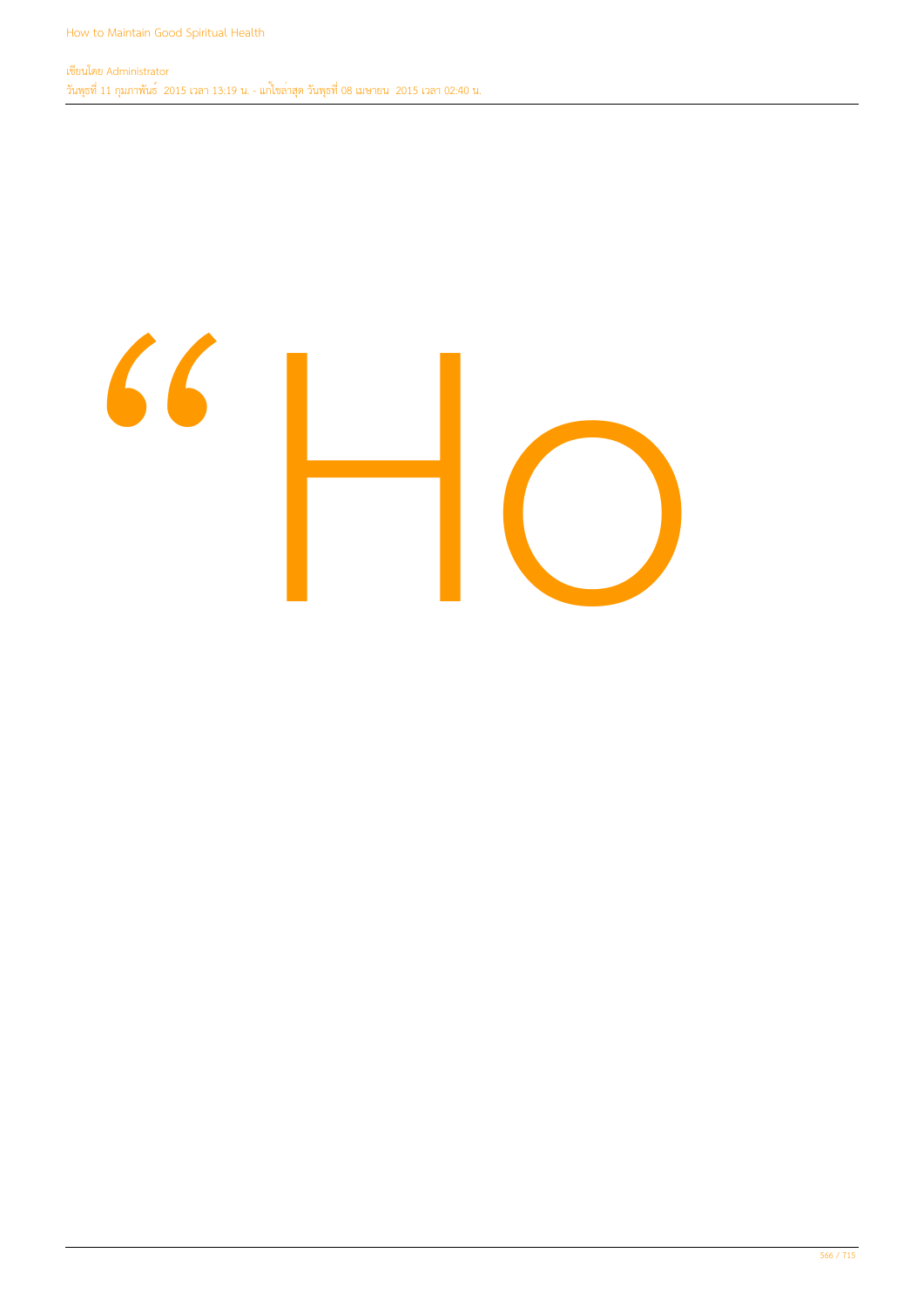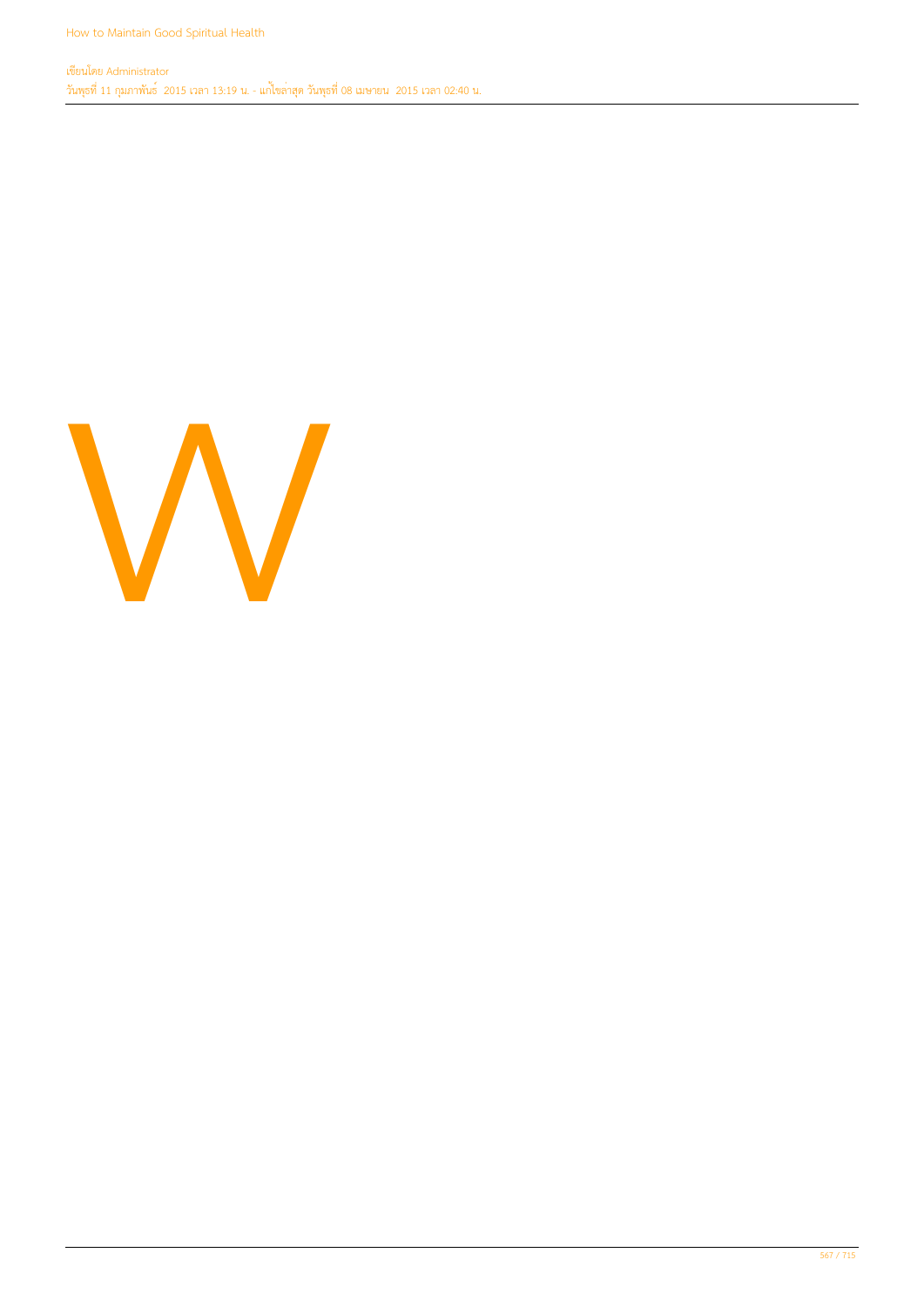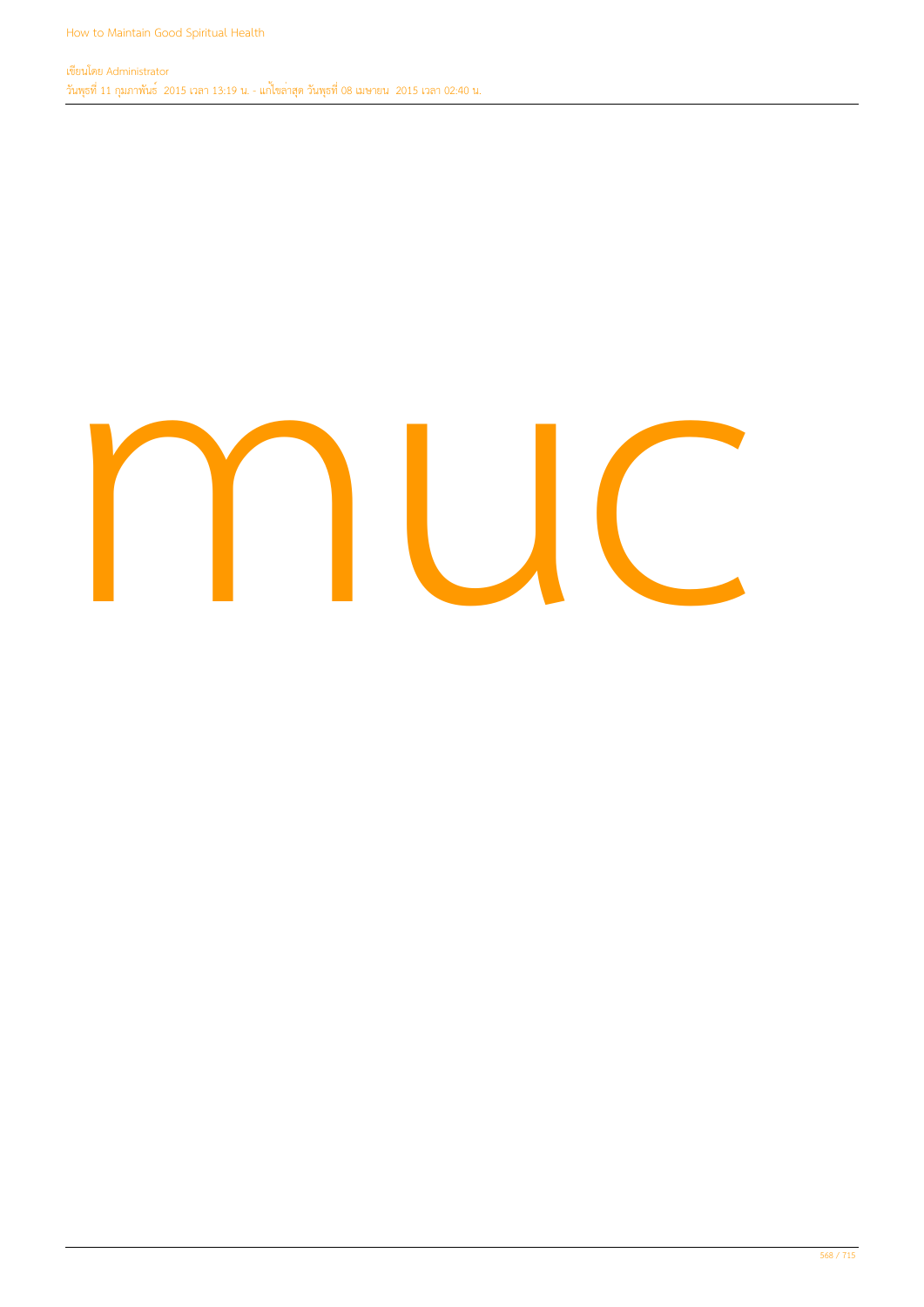# muc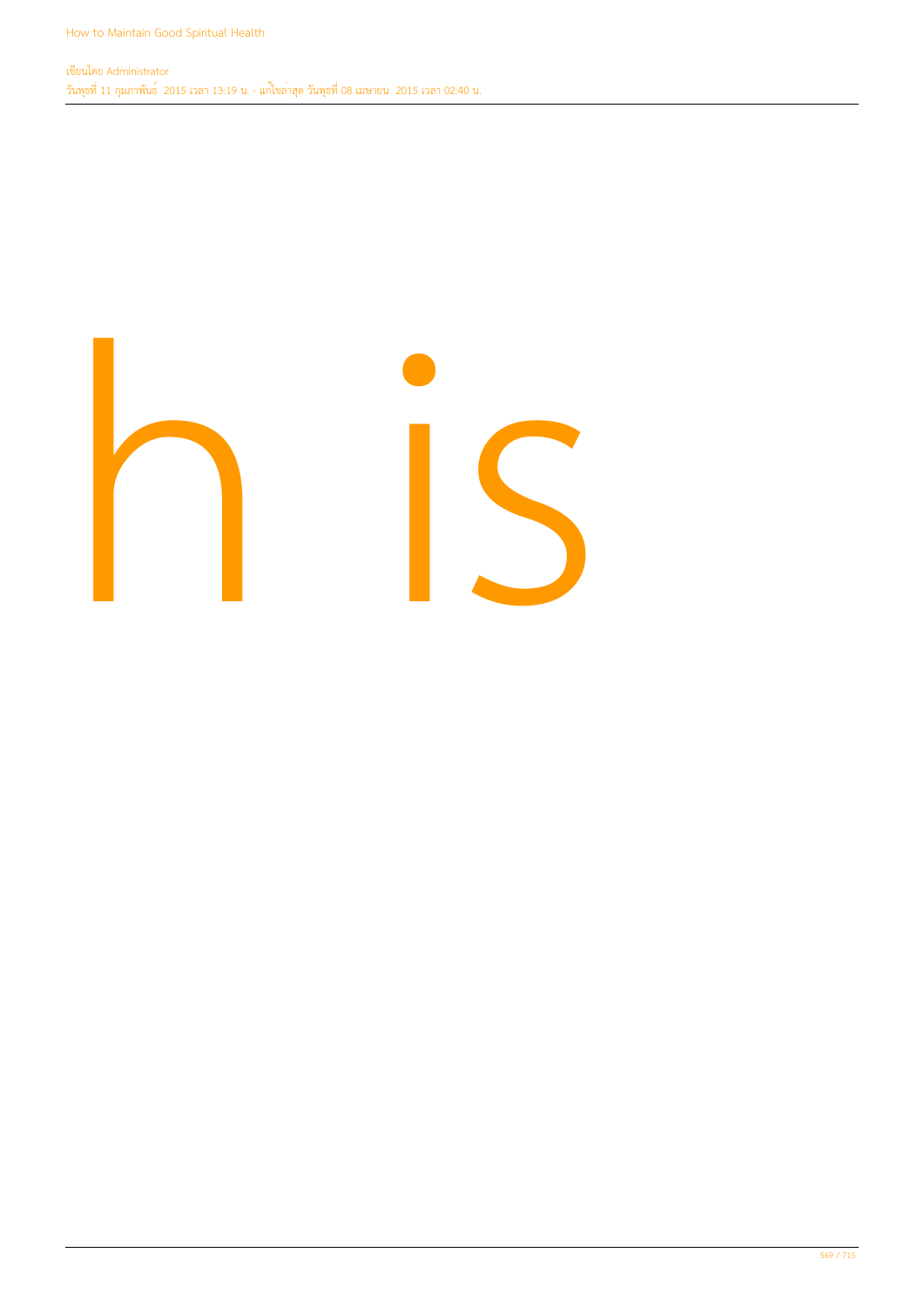#### เขียนโดย Administrator วันพุธที่ 11 กุมภาพันธ์ 2015 เวลา 13:19 น. - แก้ไขล่าสุด วันพุธที่ 08 เมษายน 2015 เวลา 02:40 น.

# h is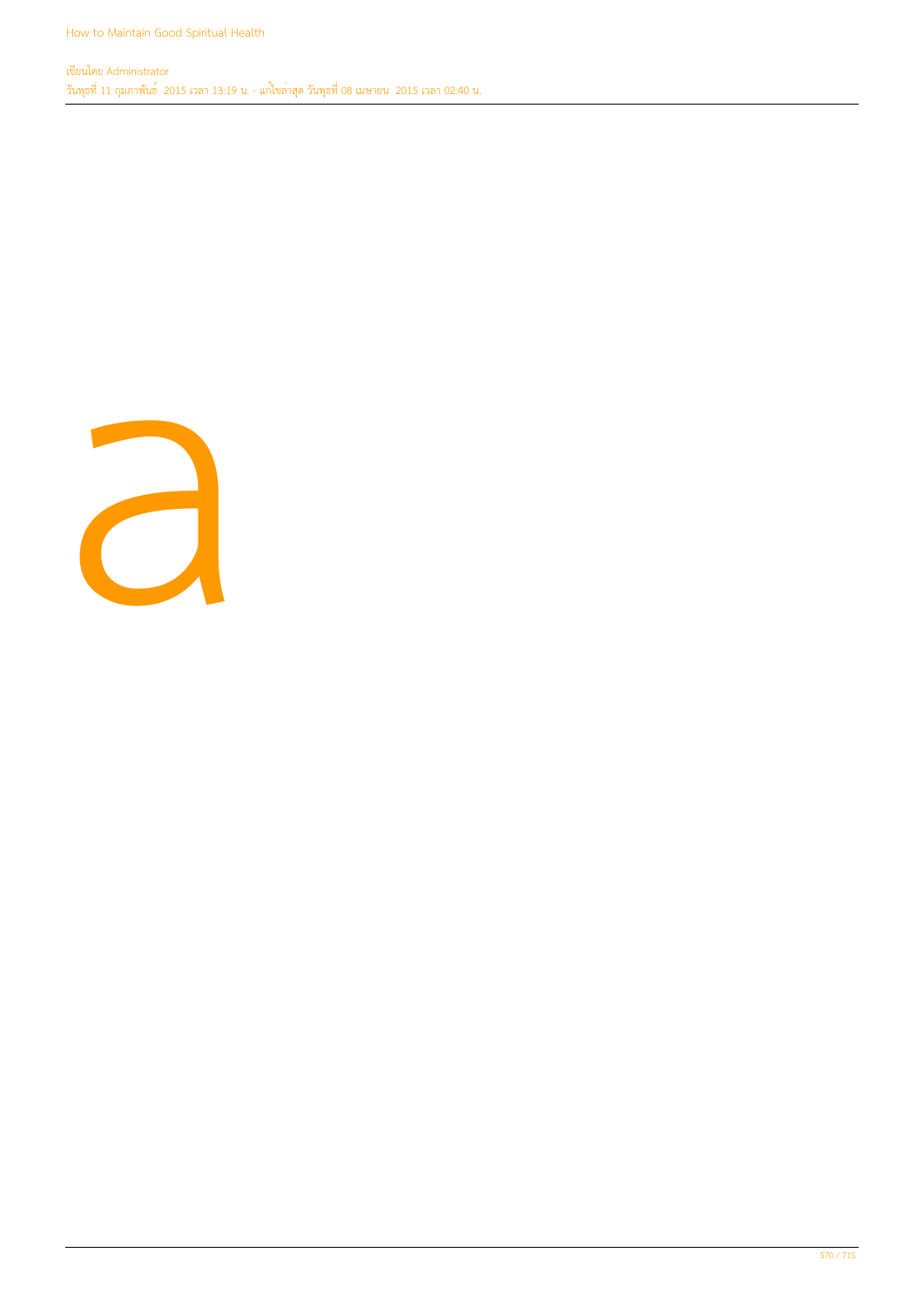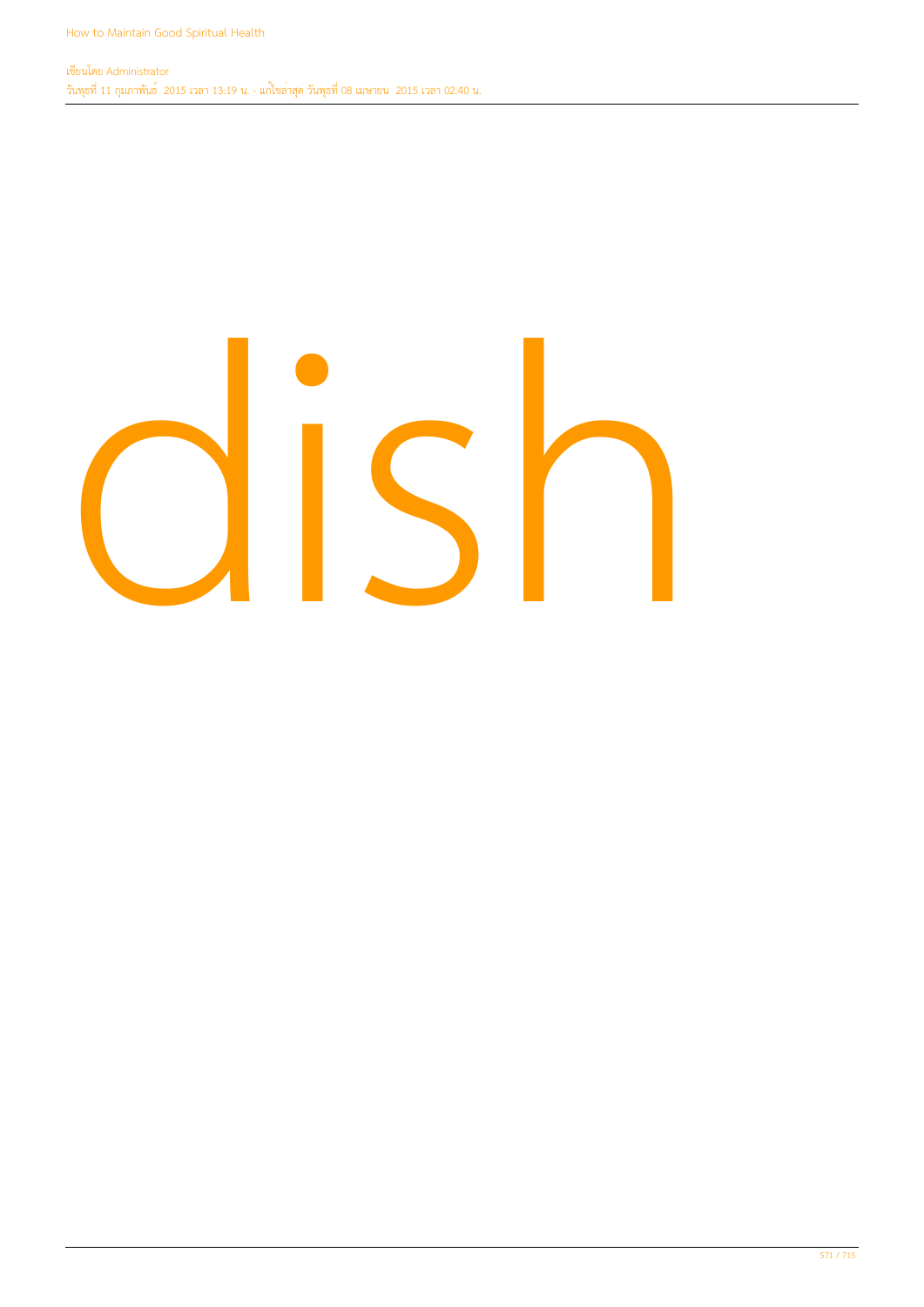# dish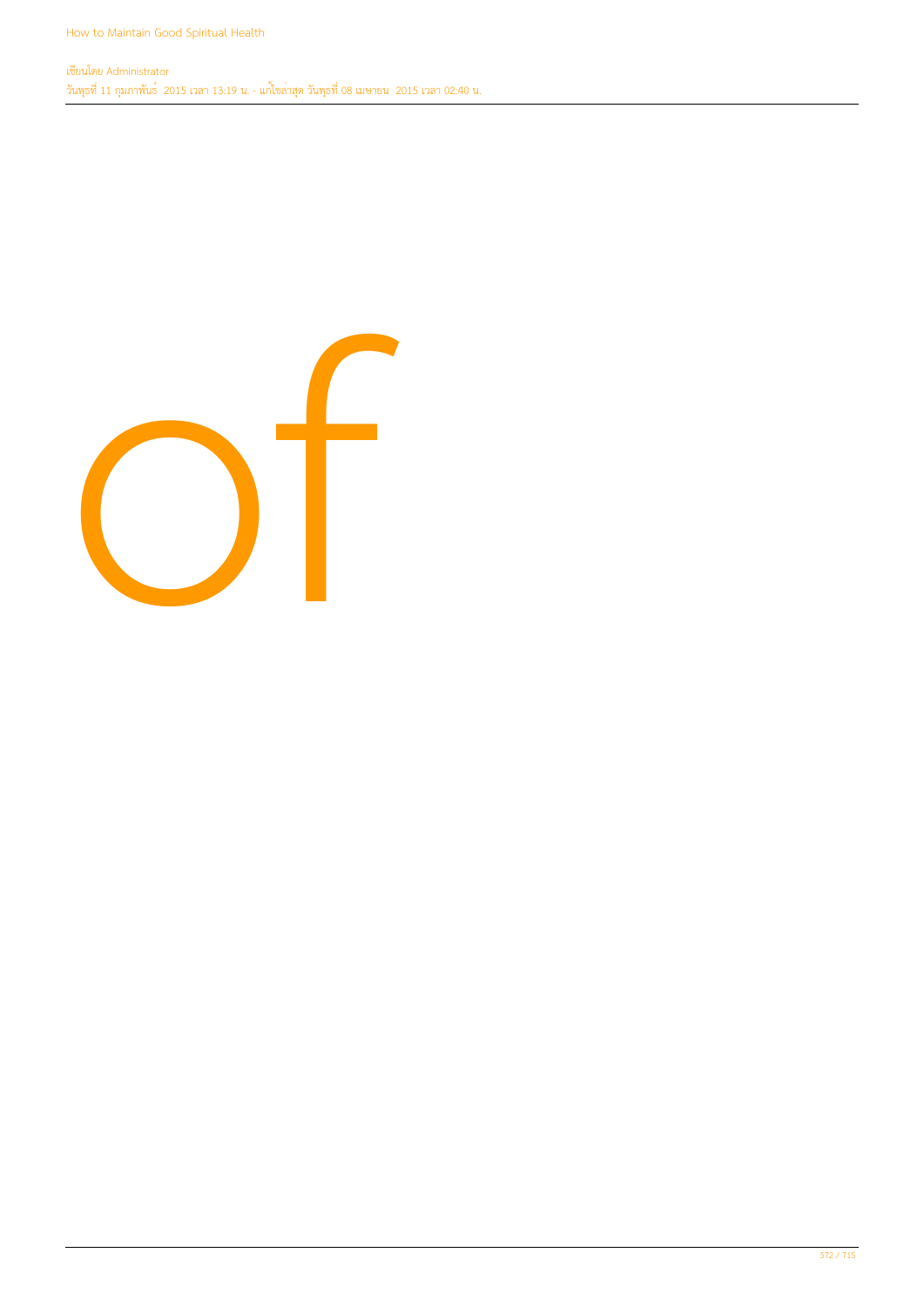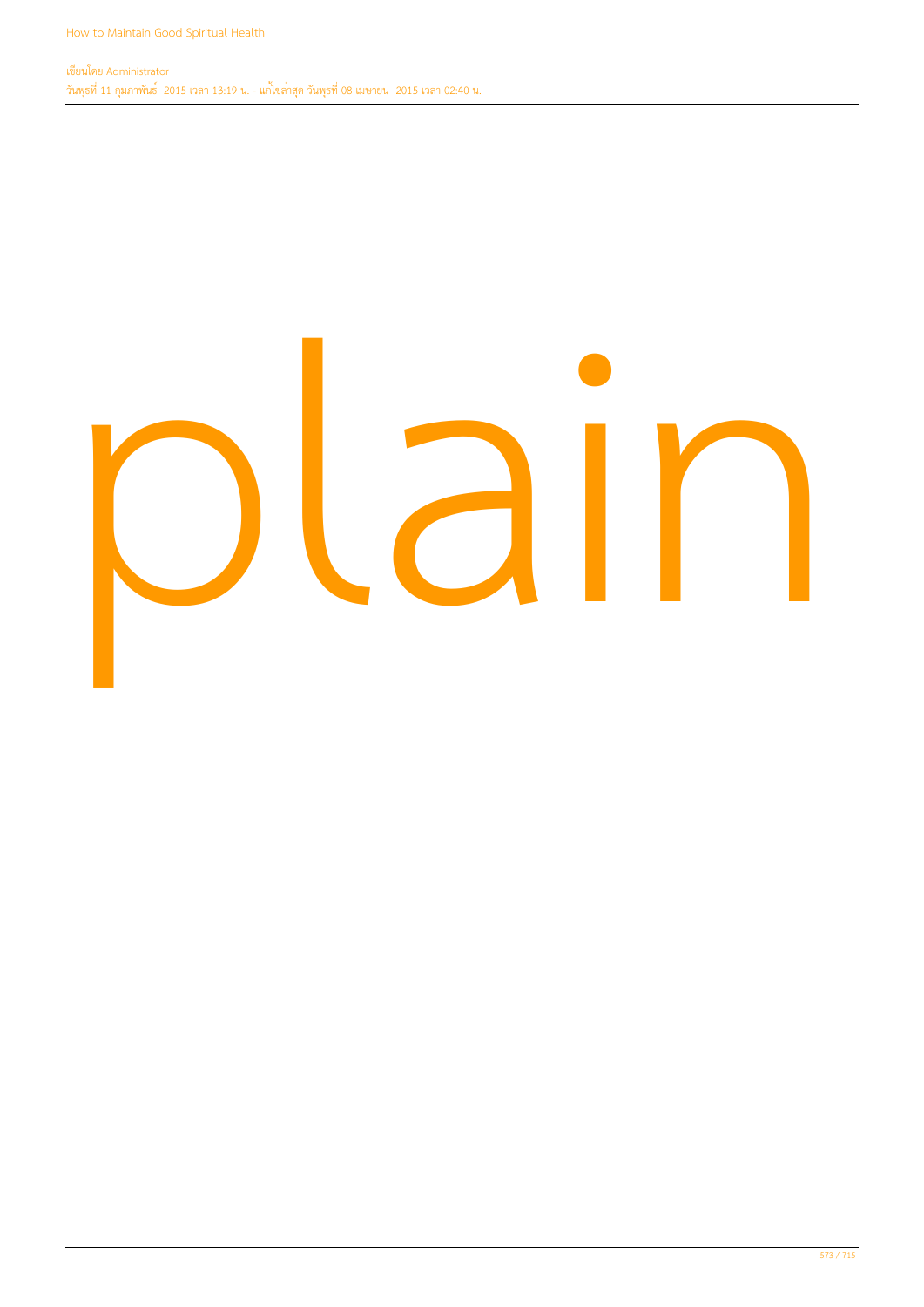# plain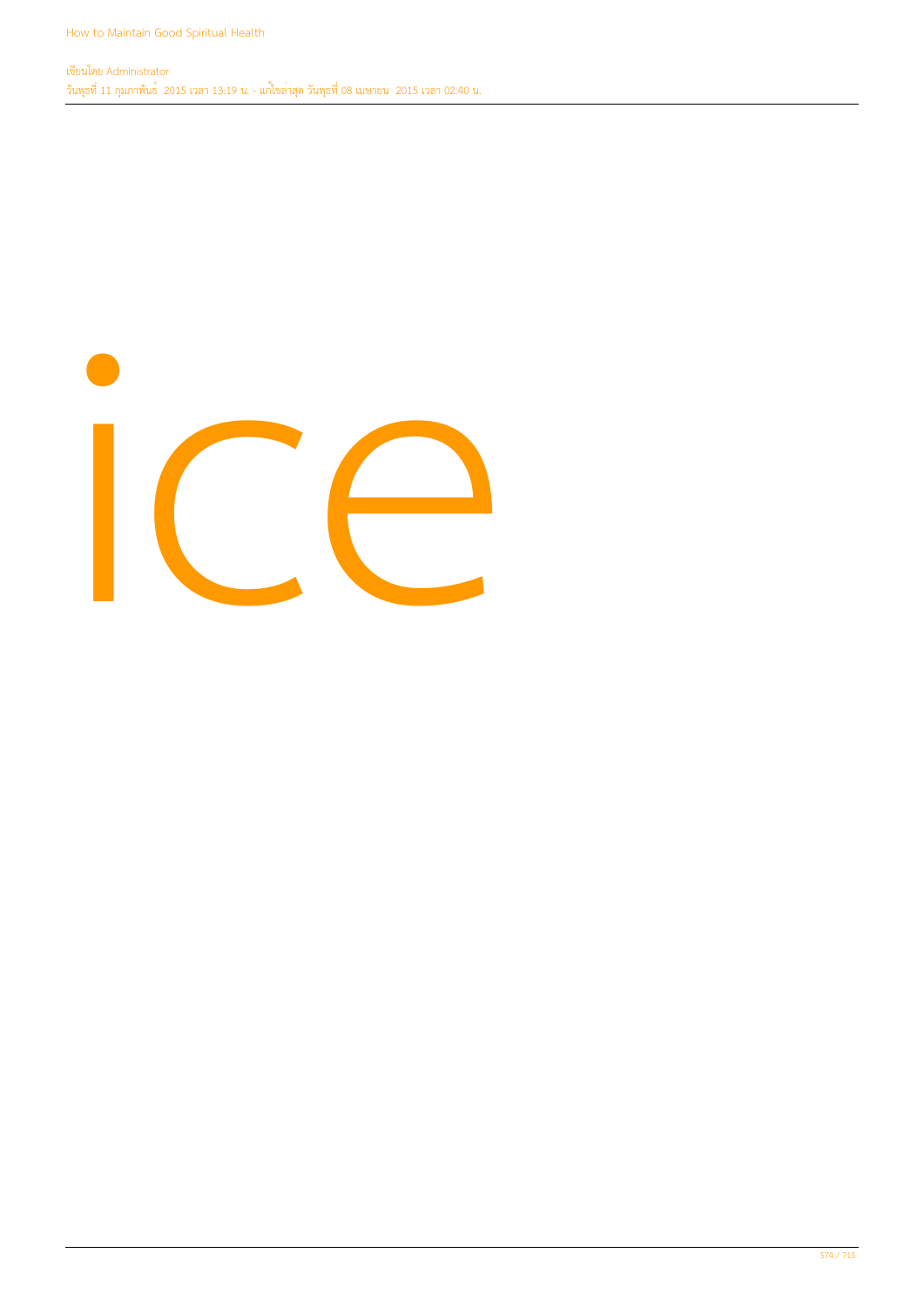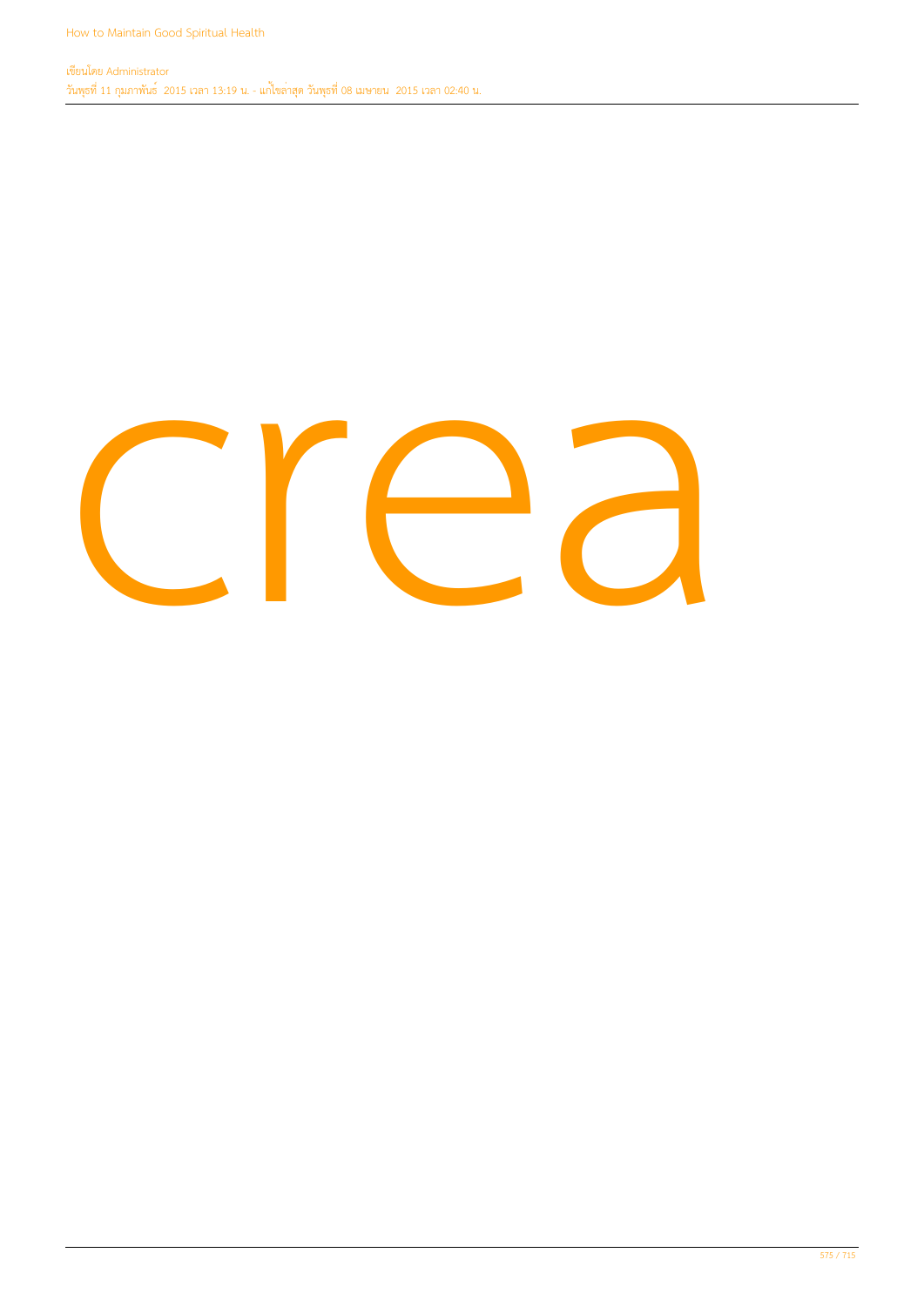# crea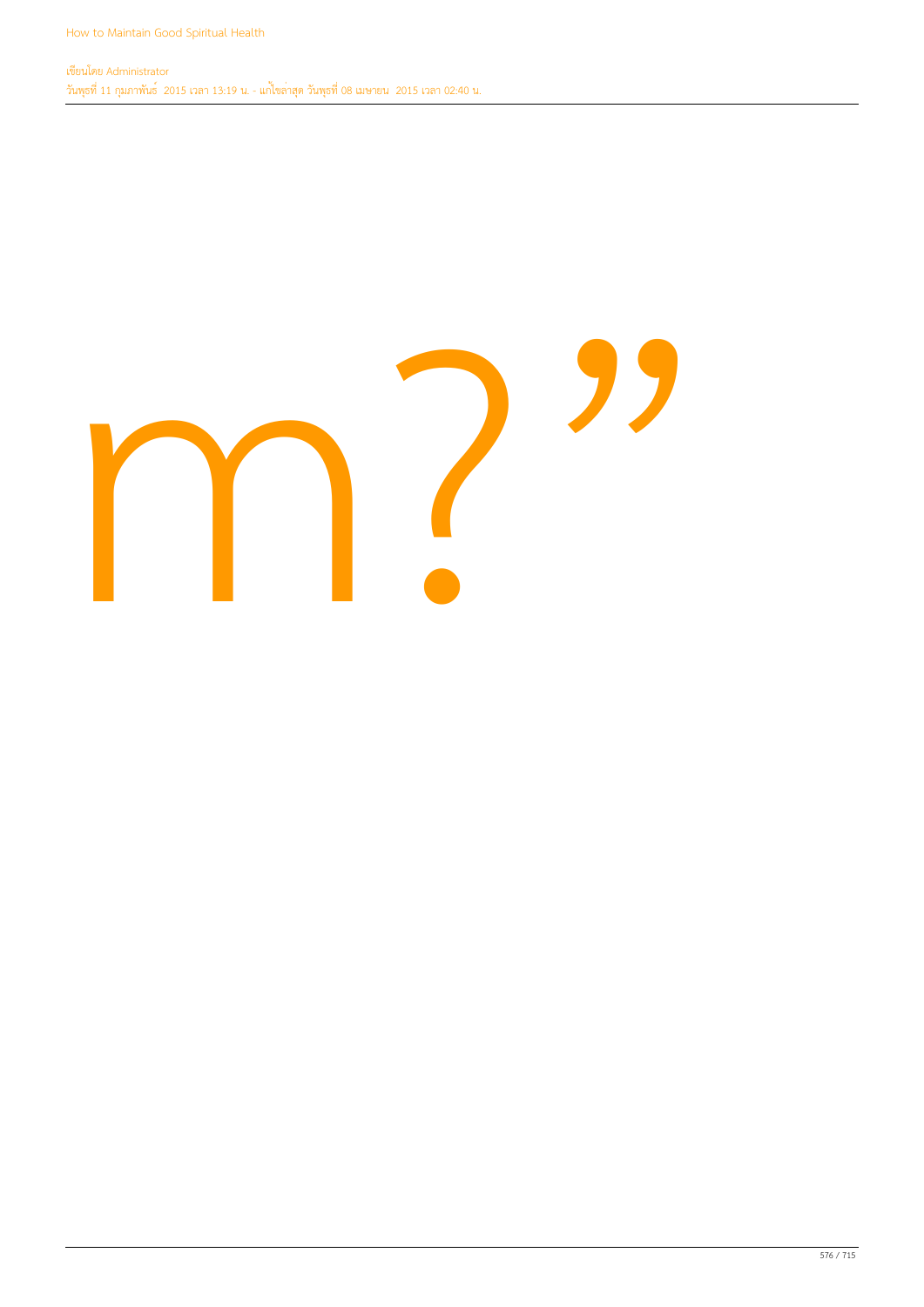# m?"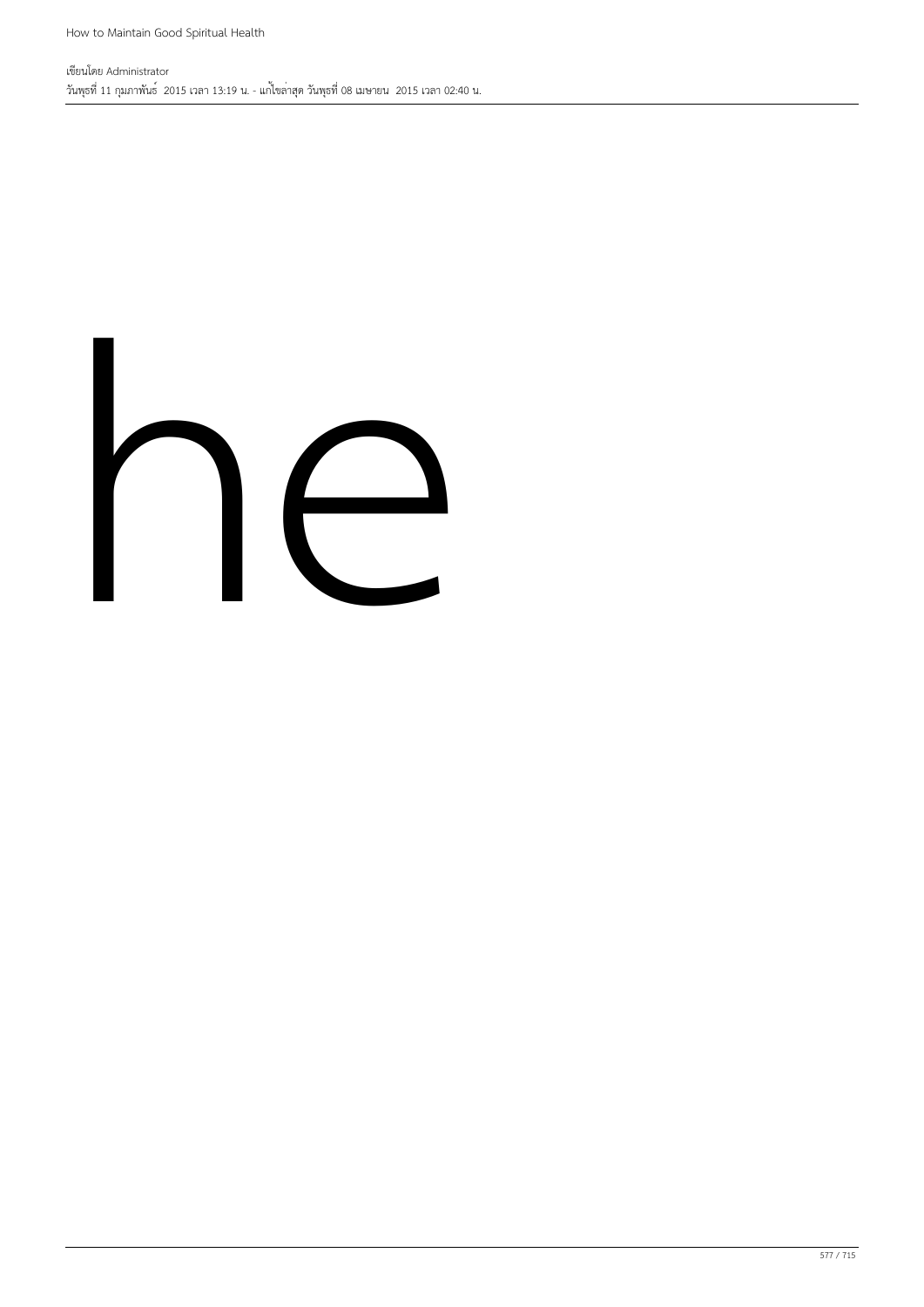## he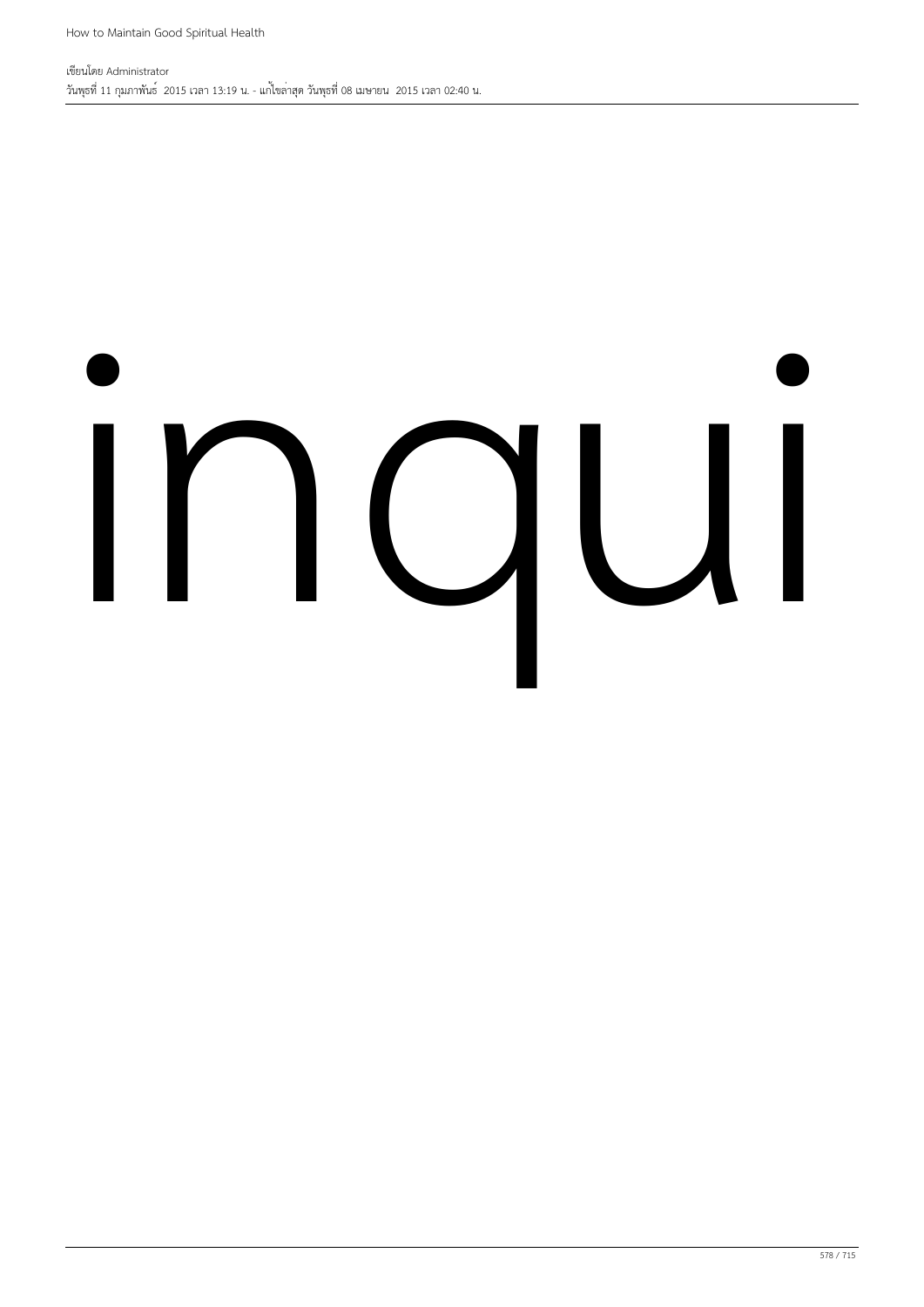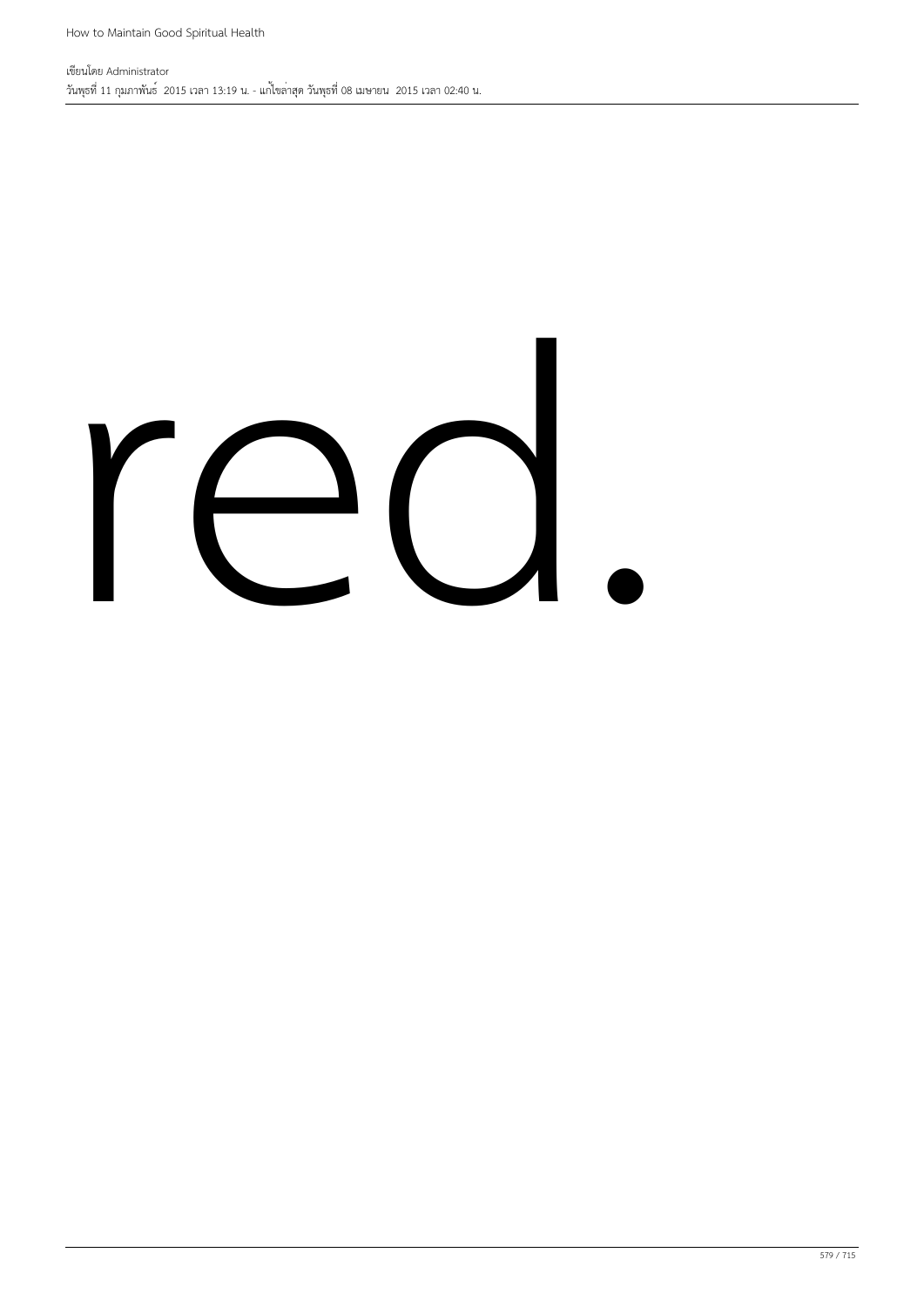## red.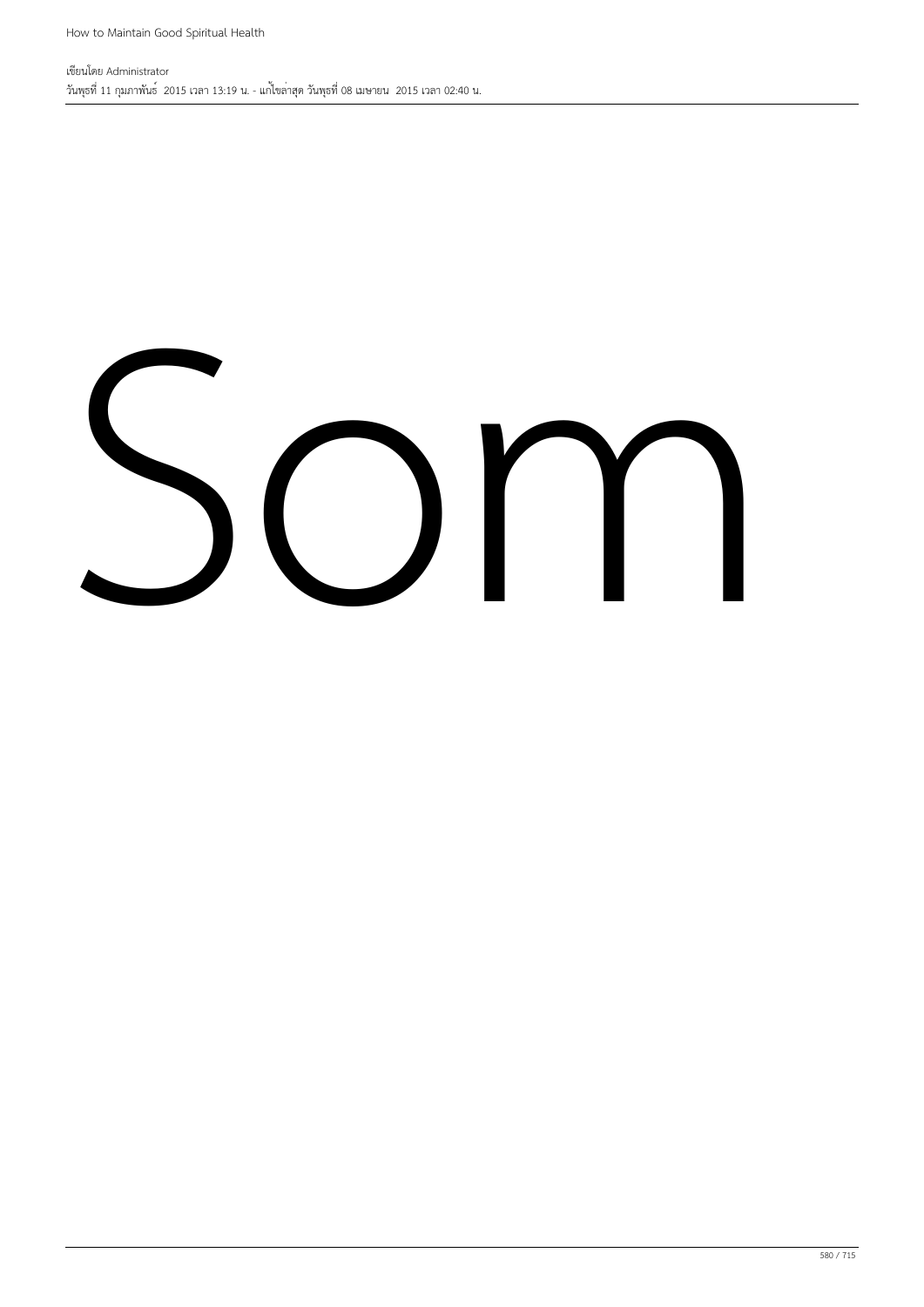### Som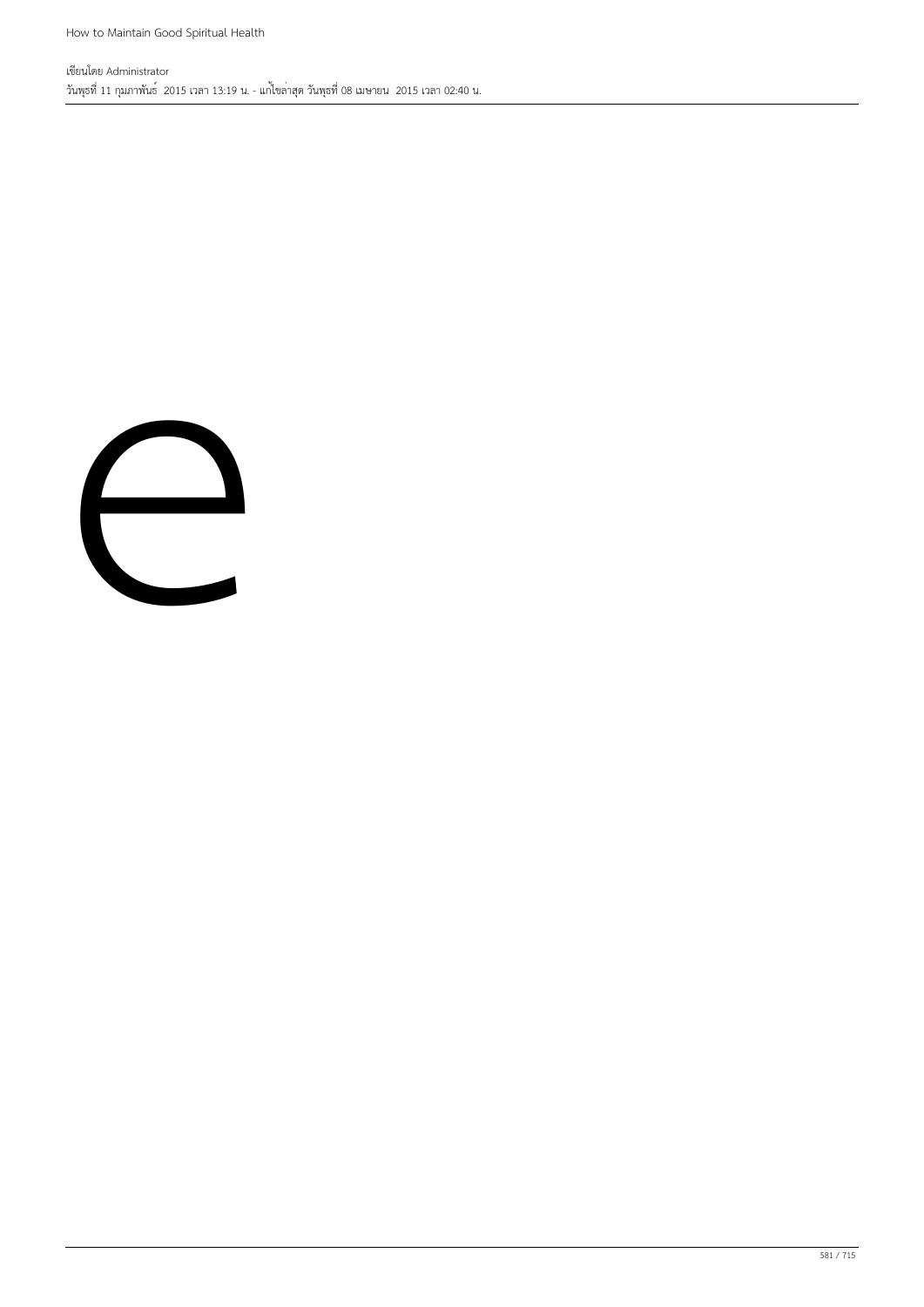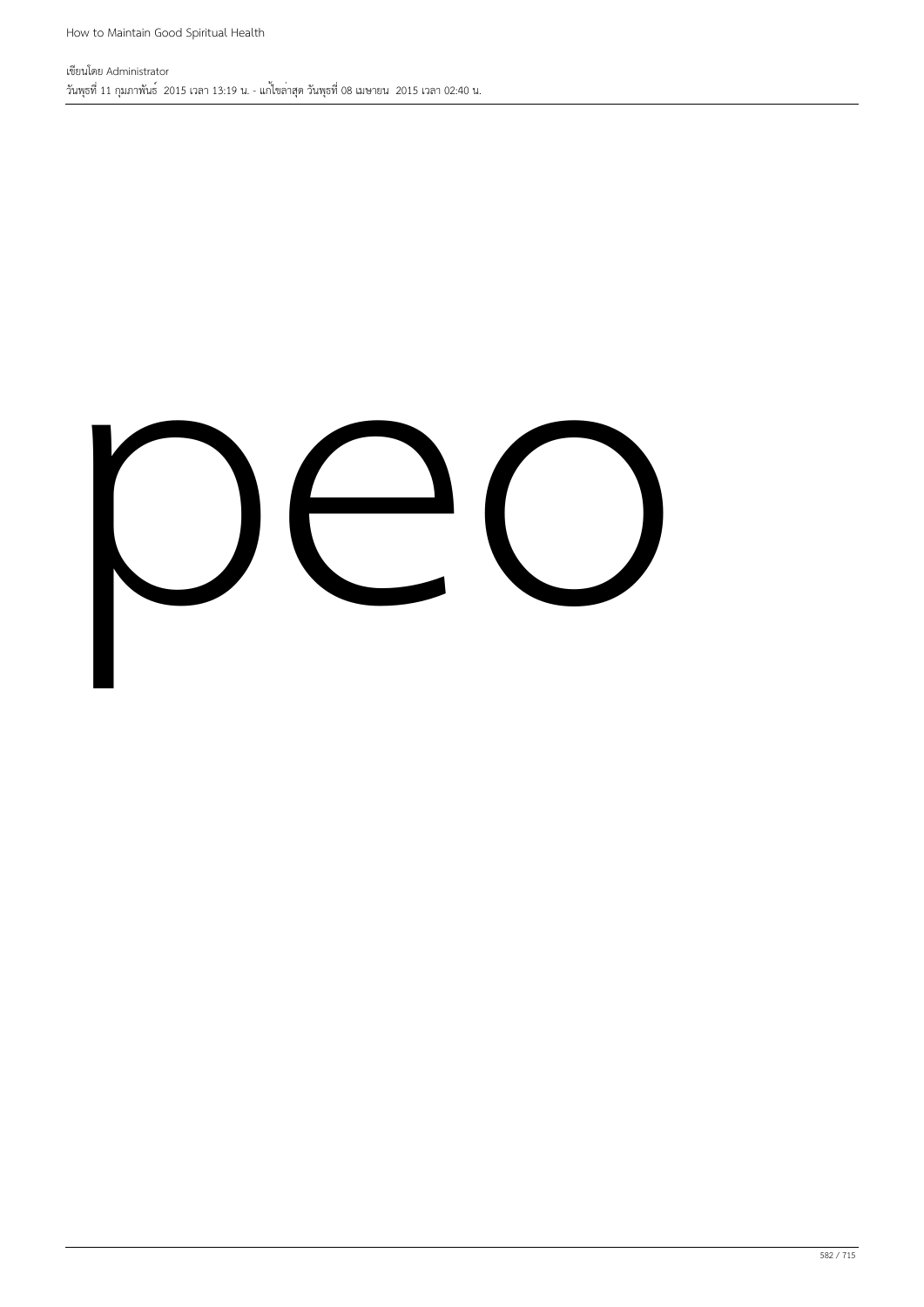## peo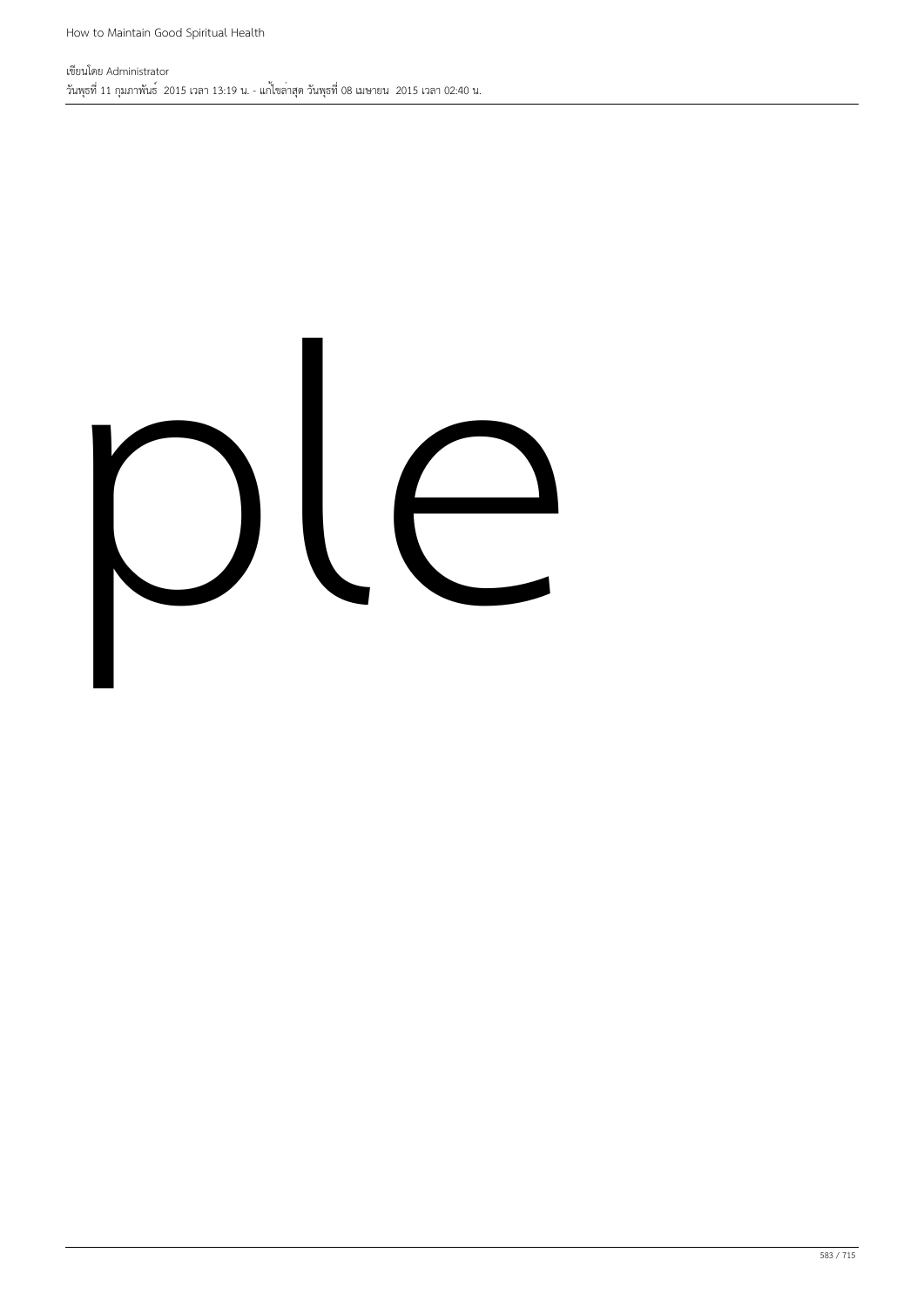## ple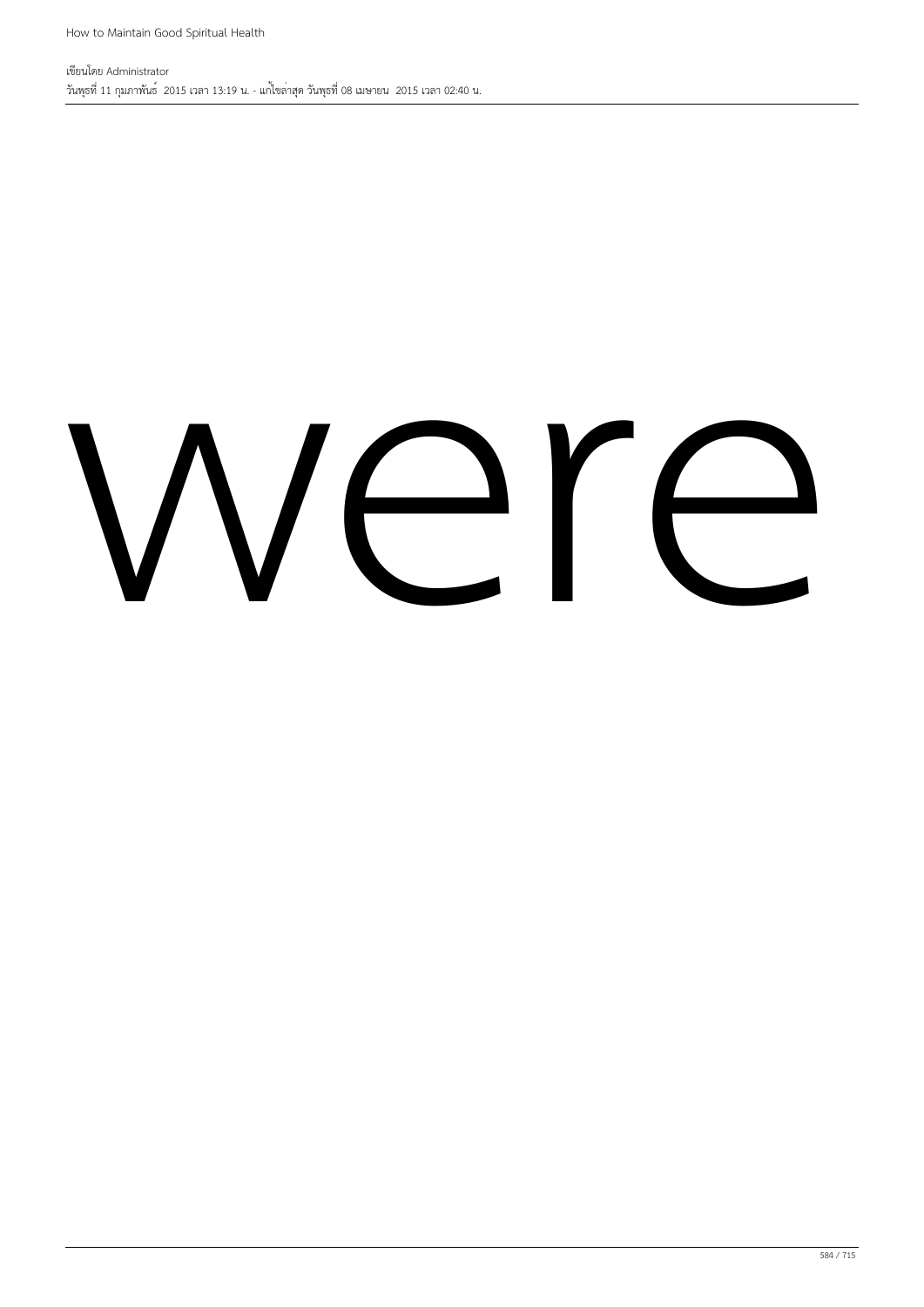#### were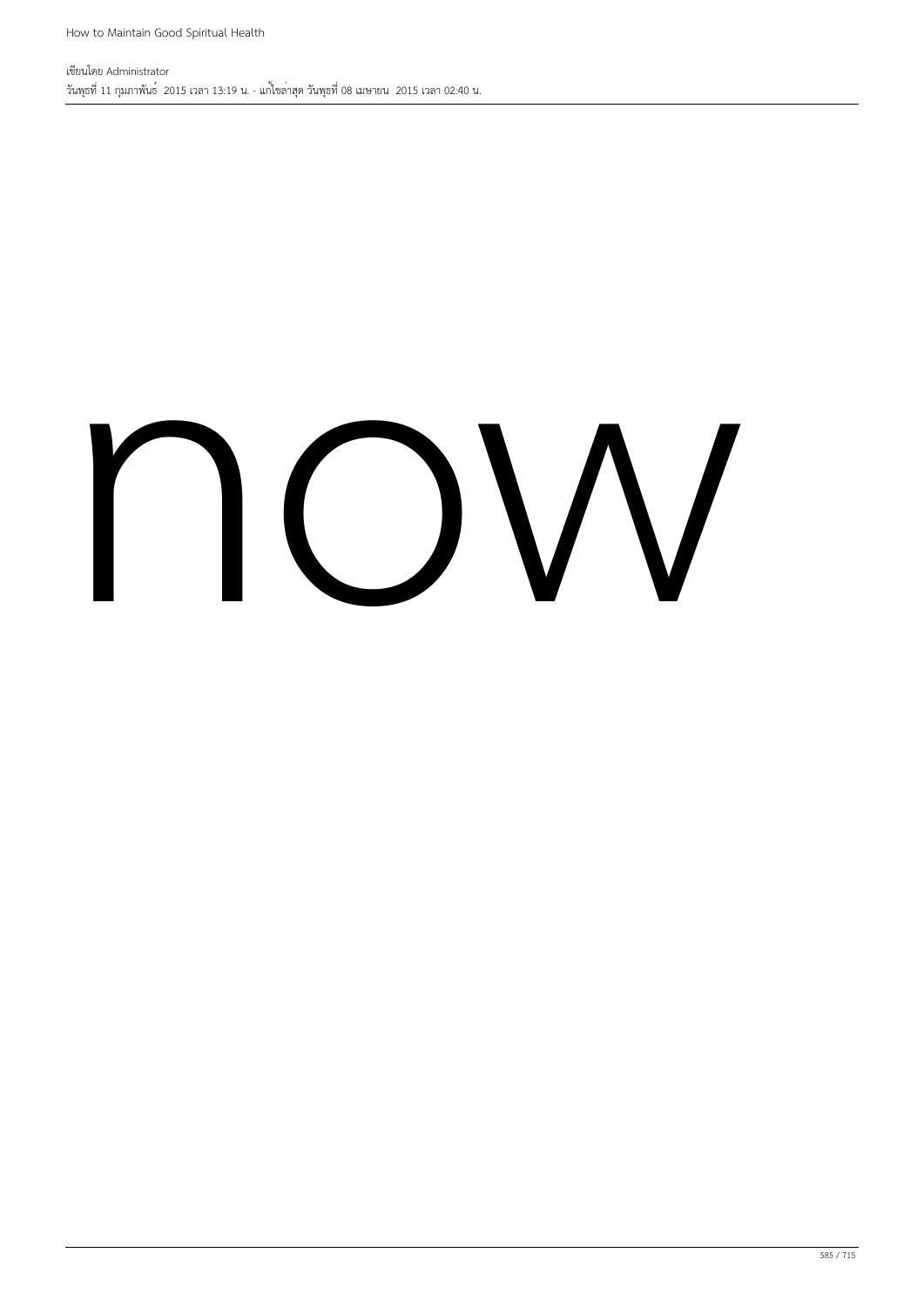#### now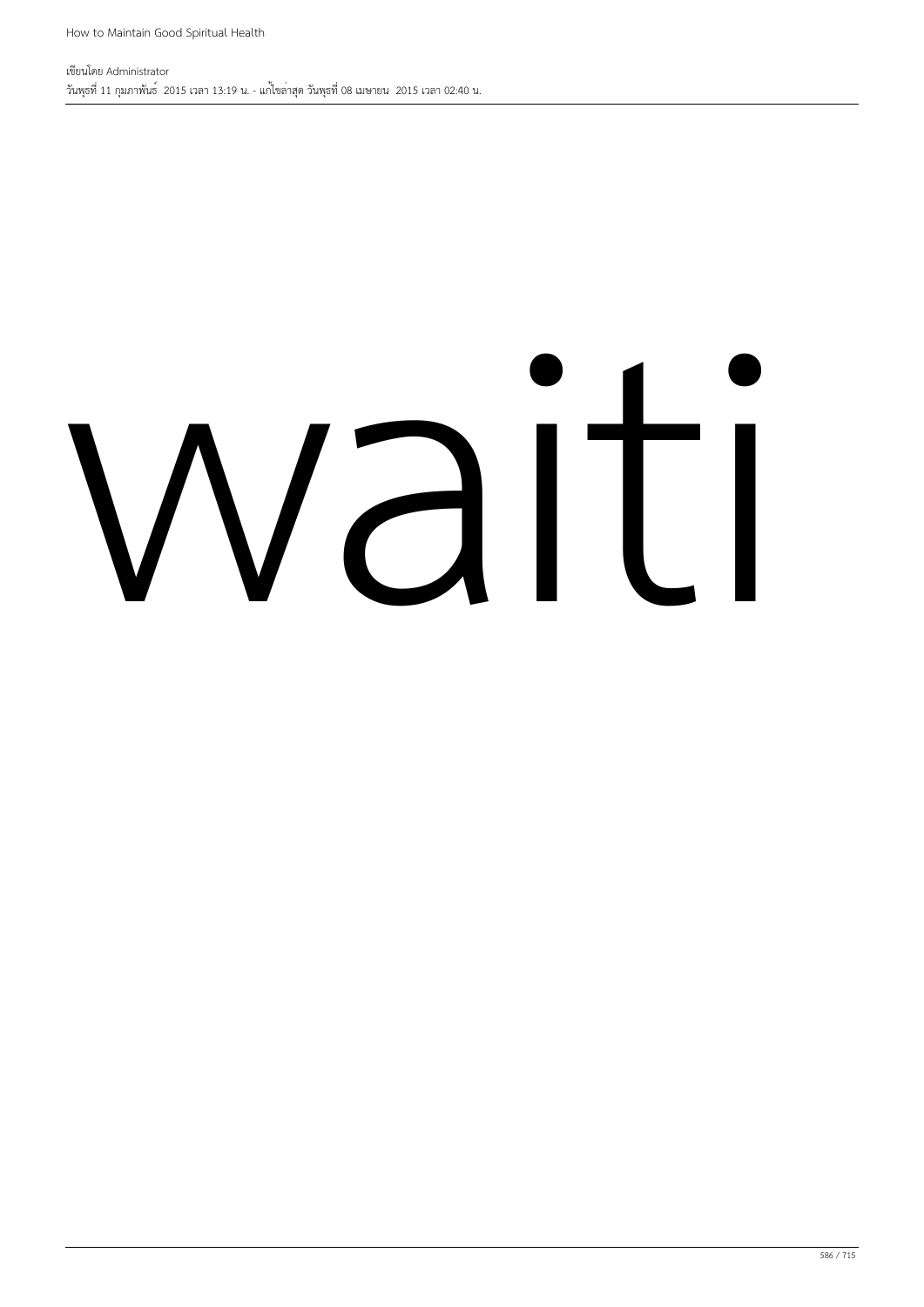## waiti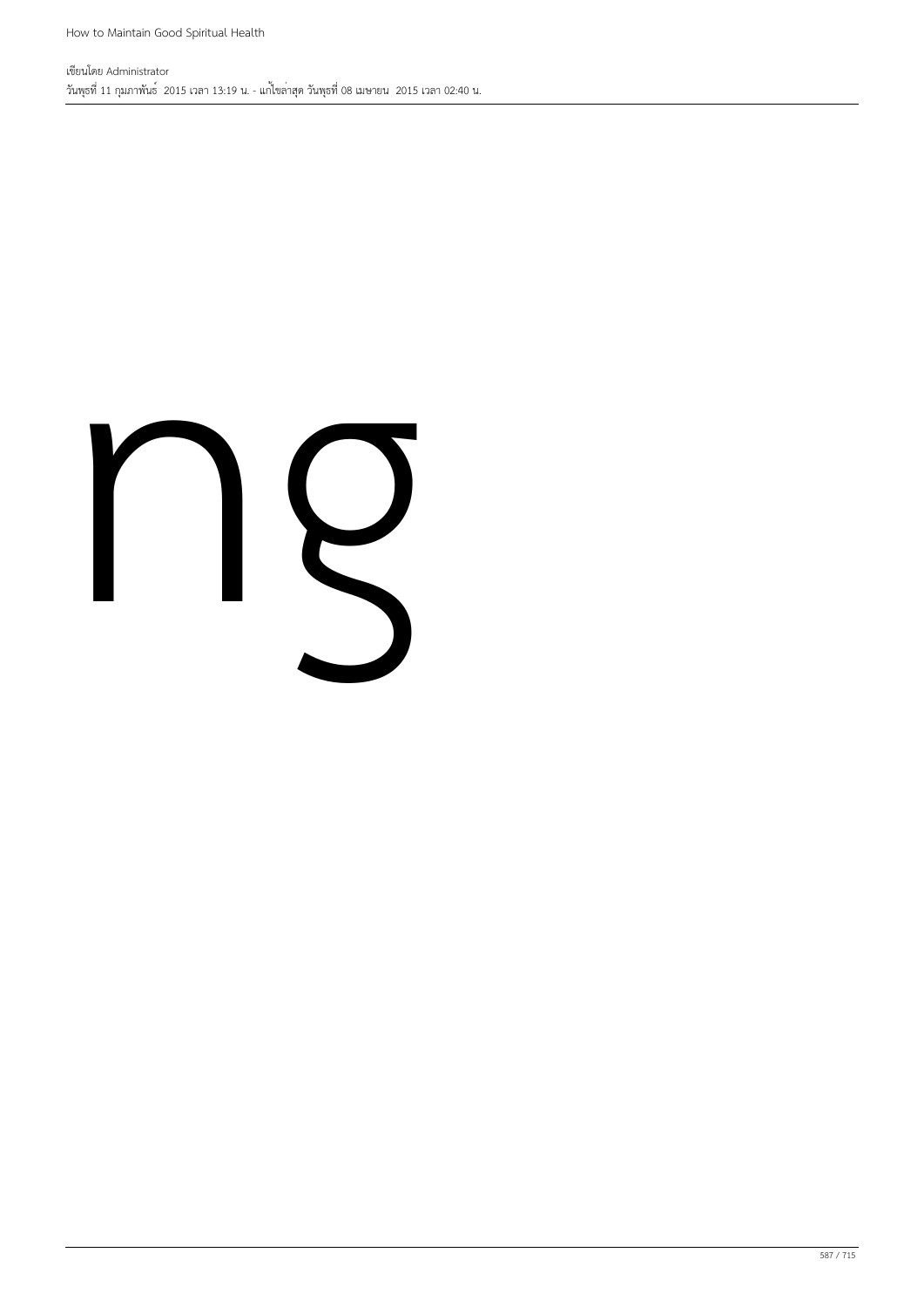## ng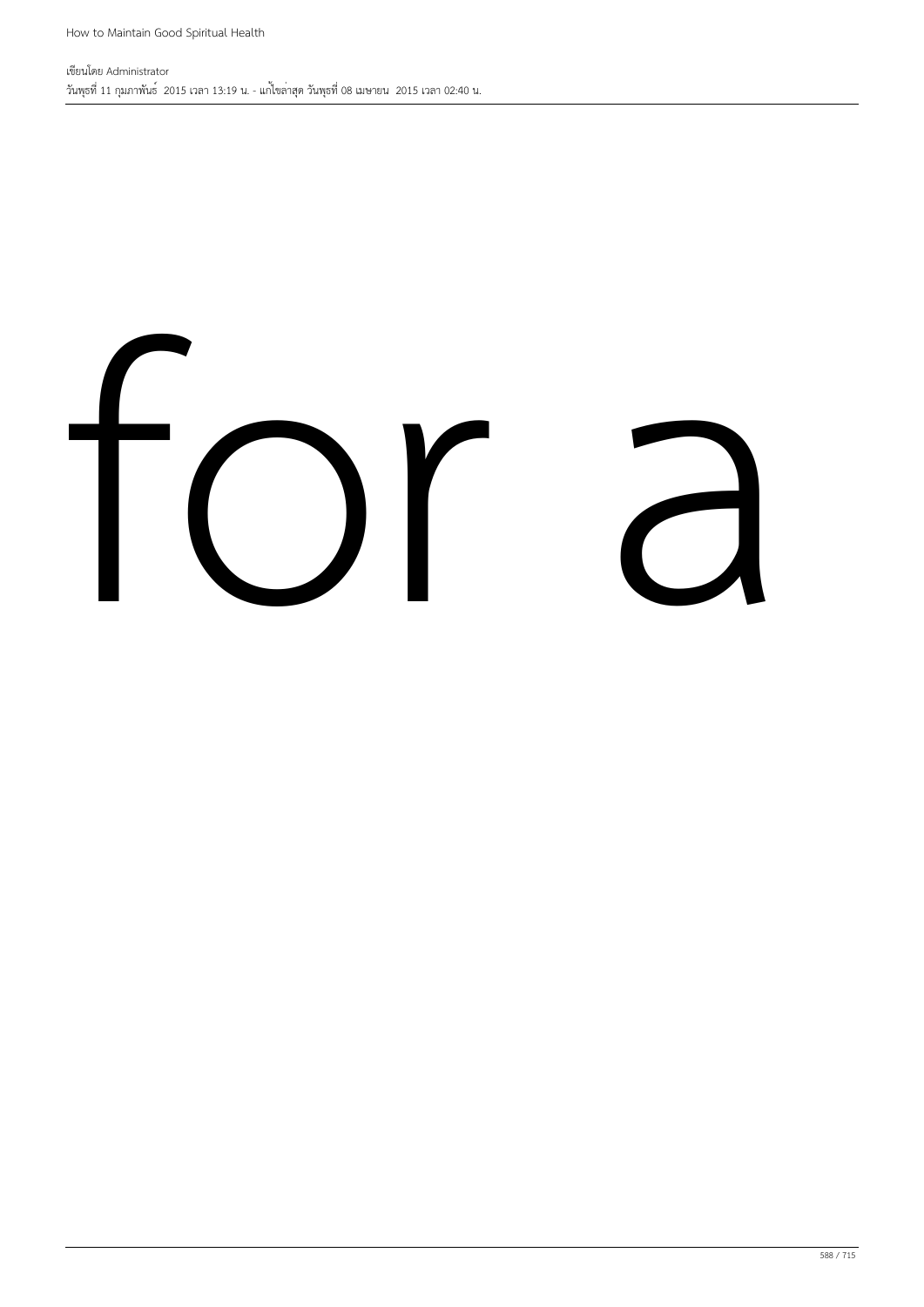## for a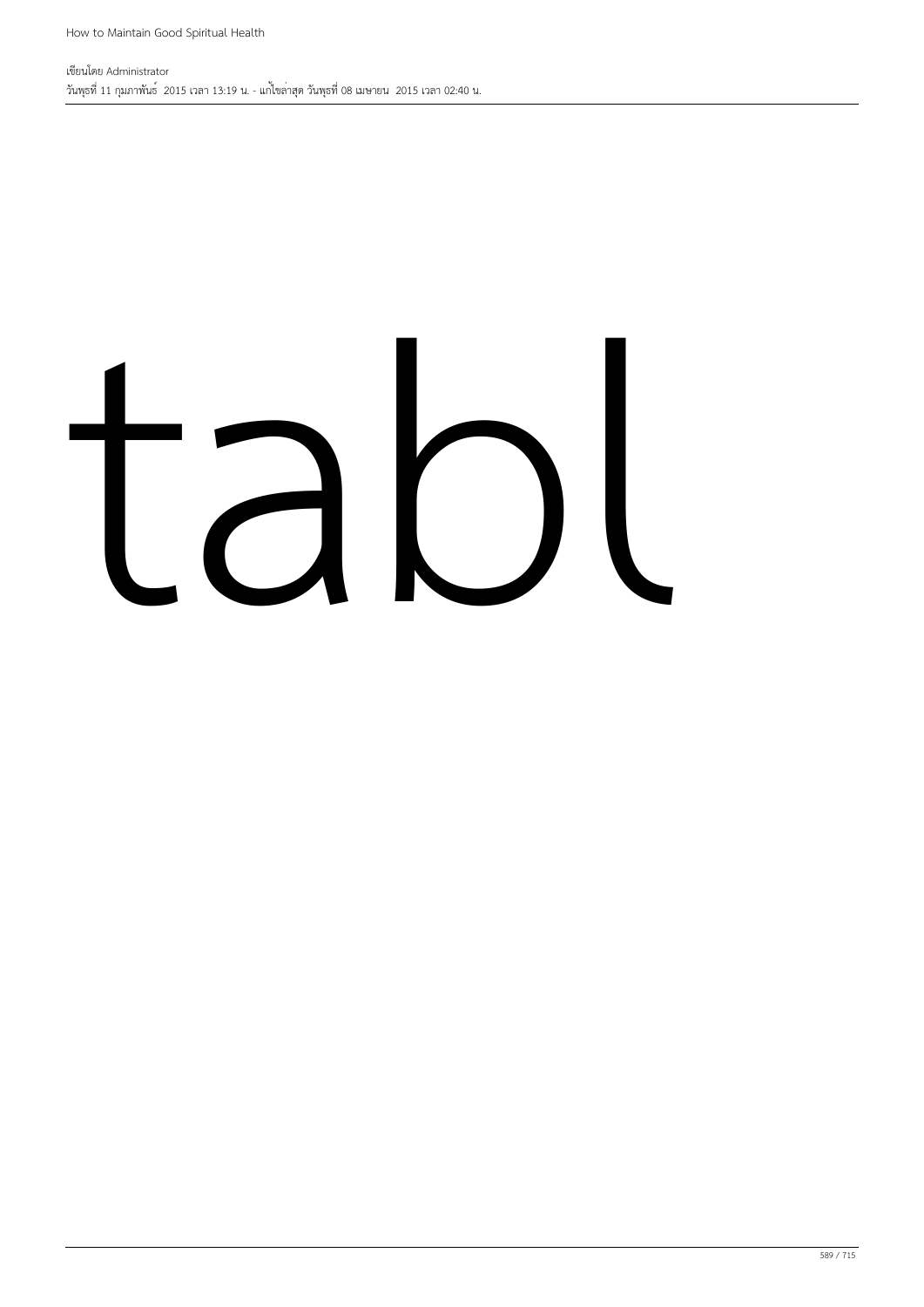## tabl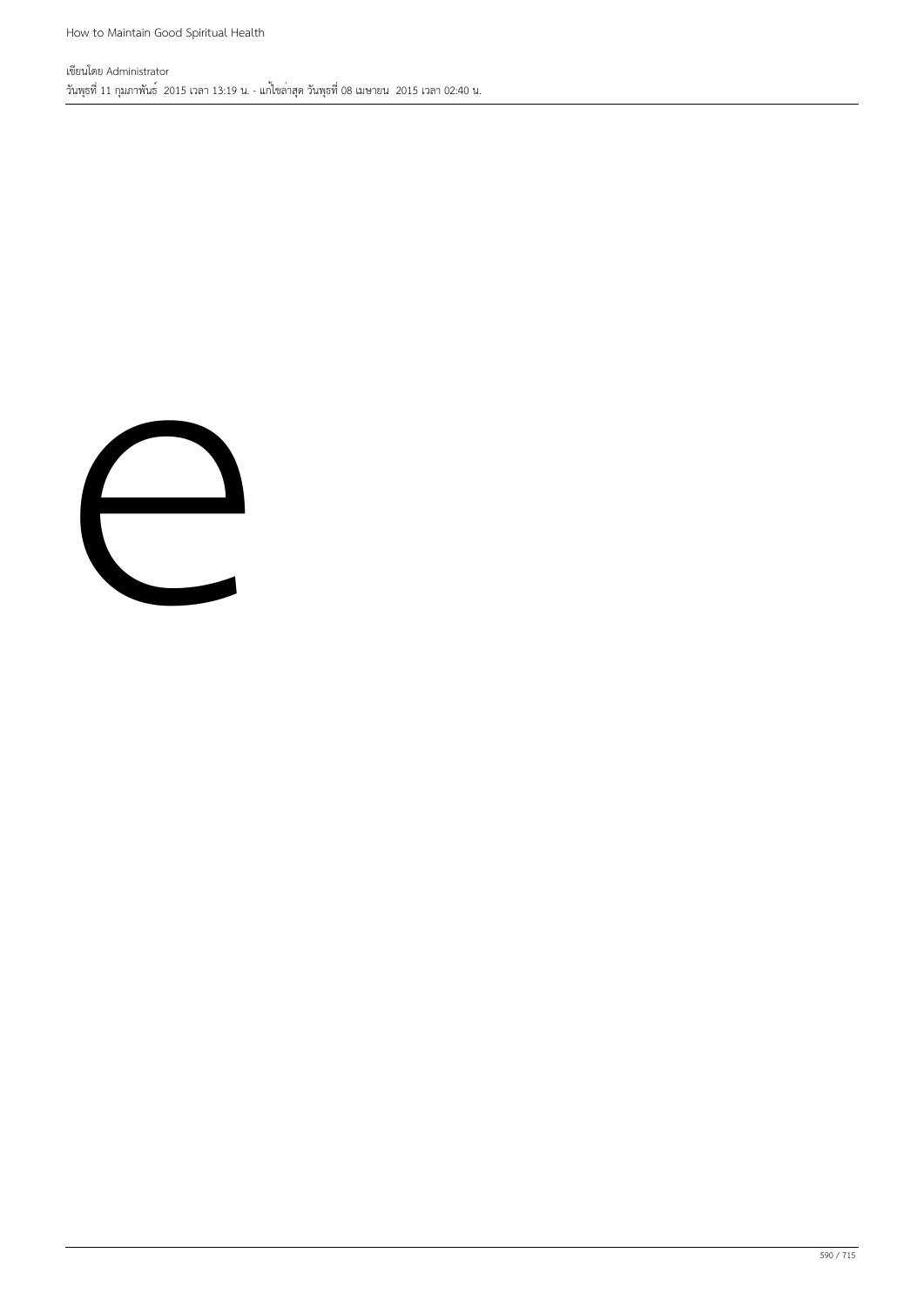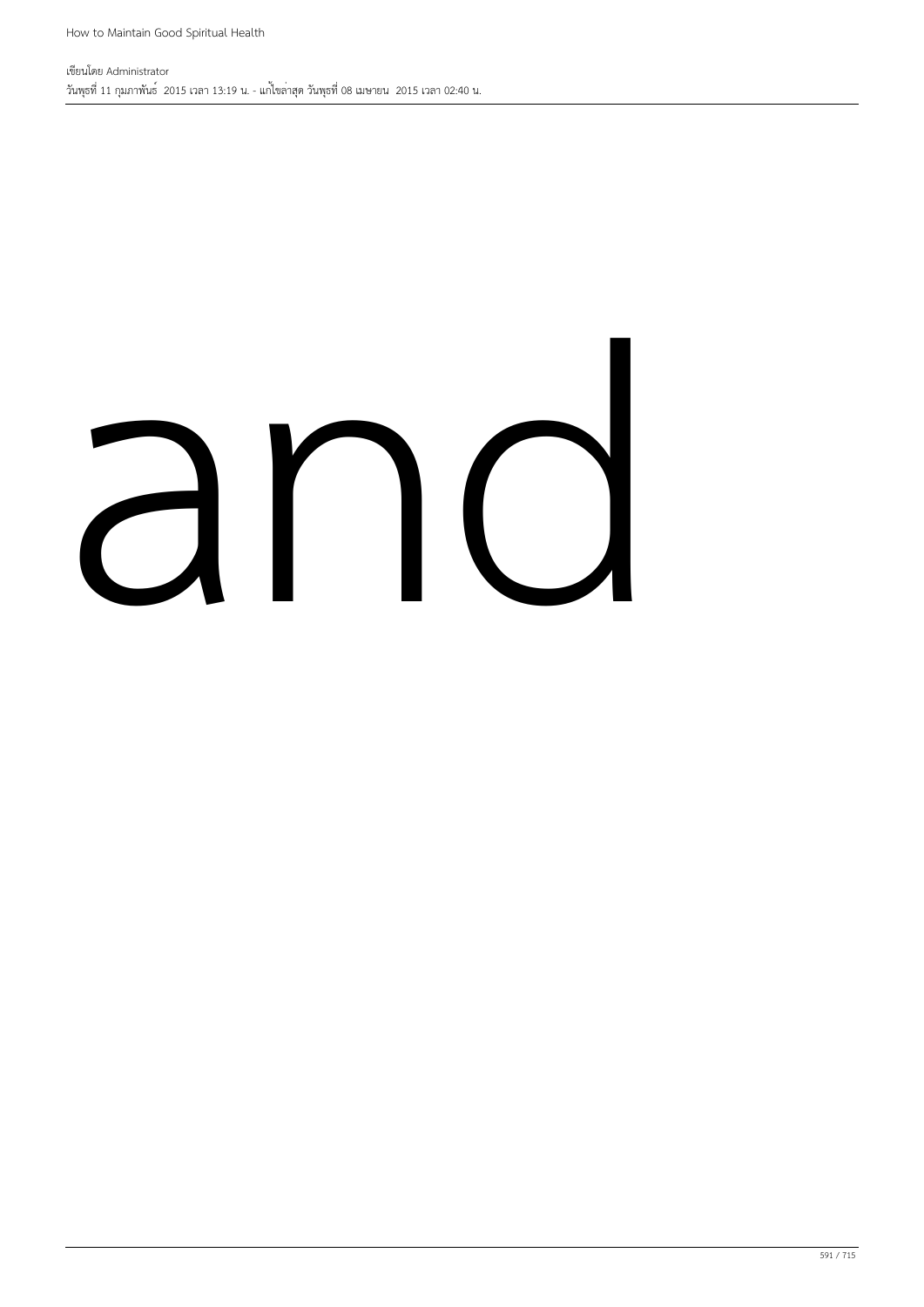## and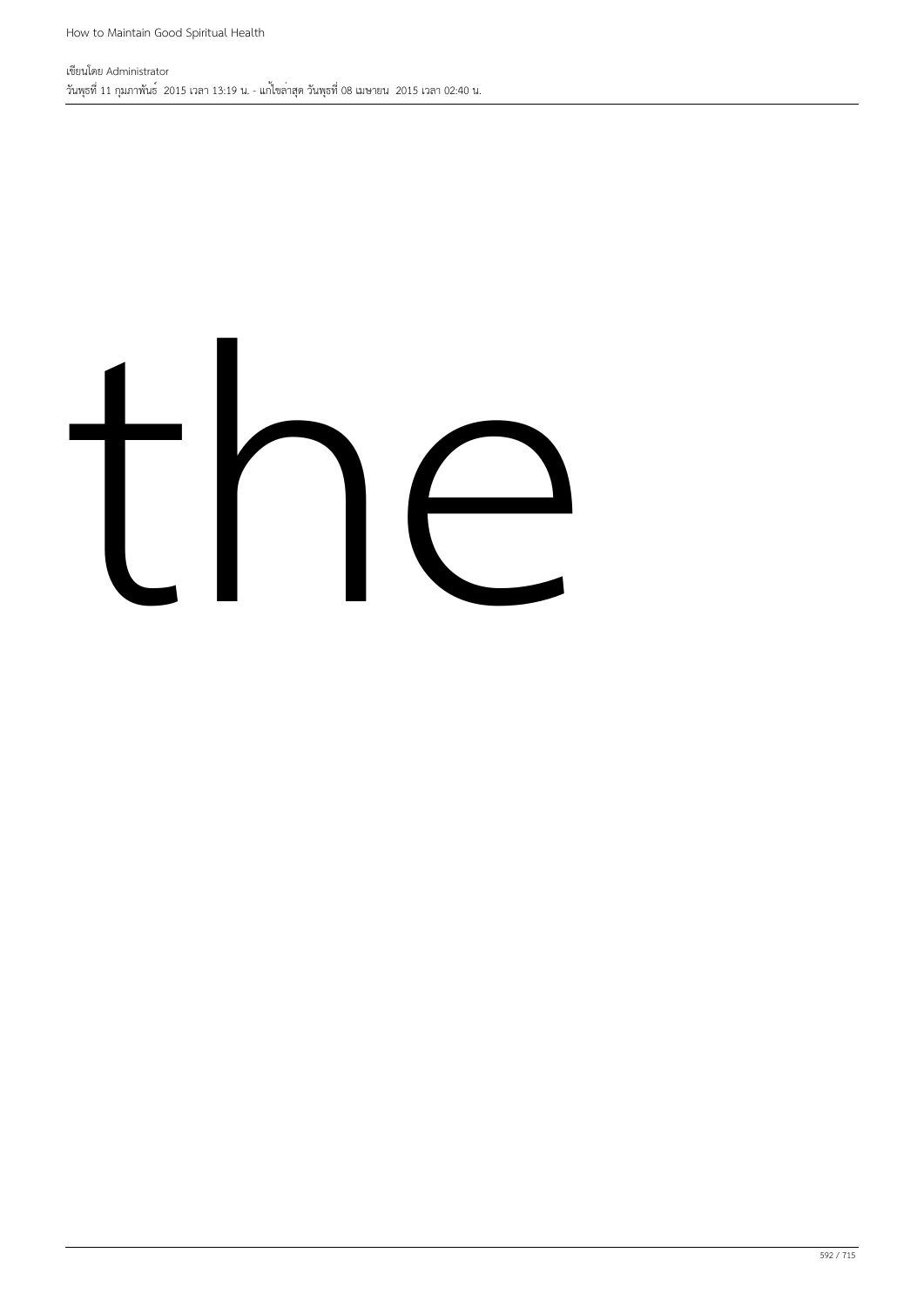## the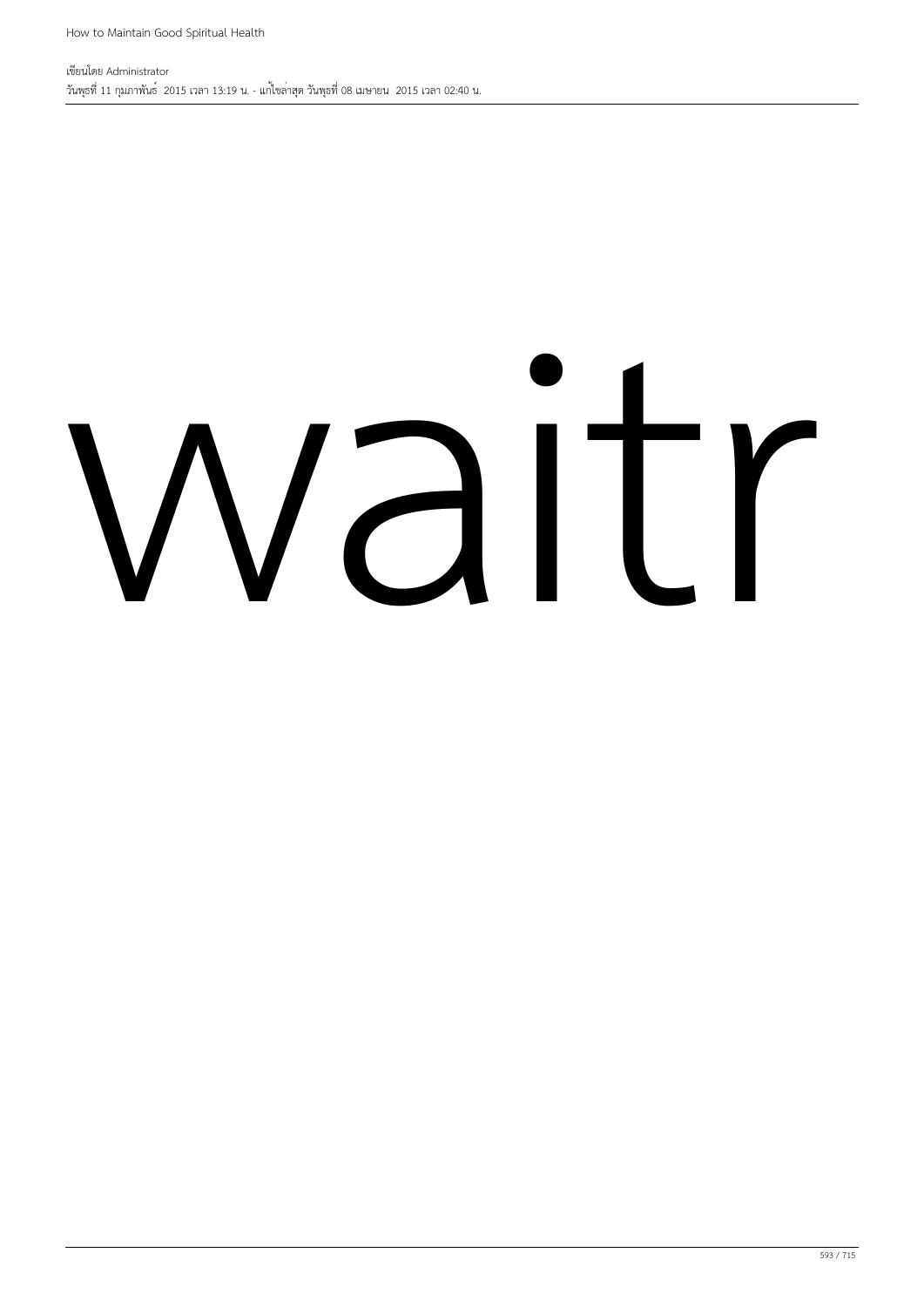## waitr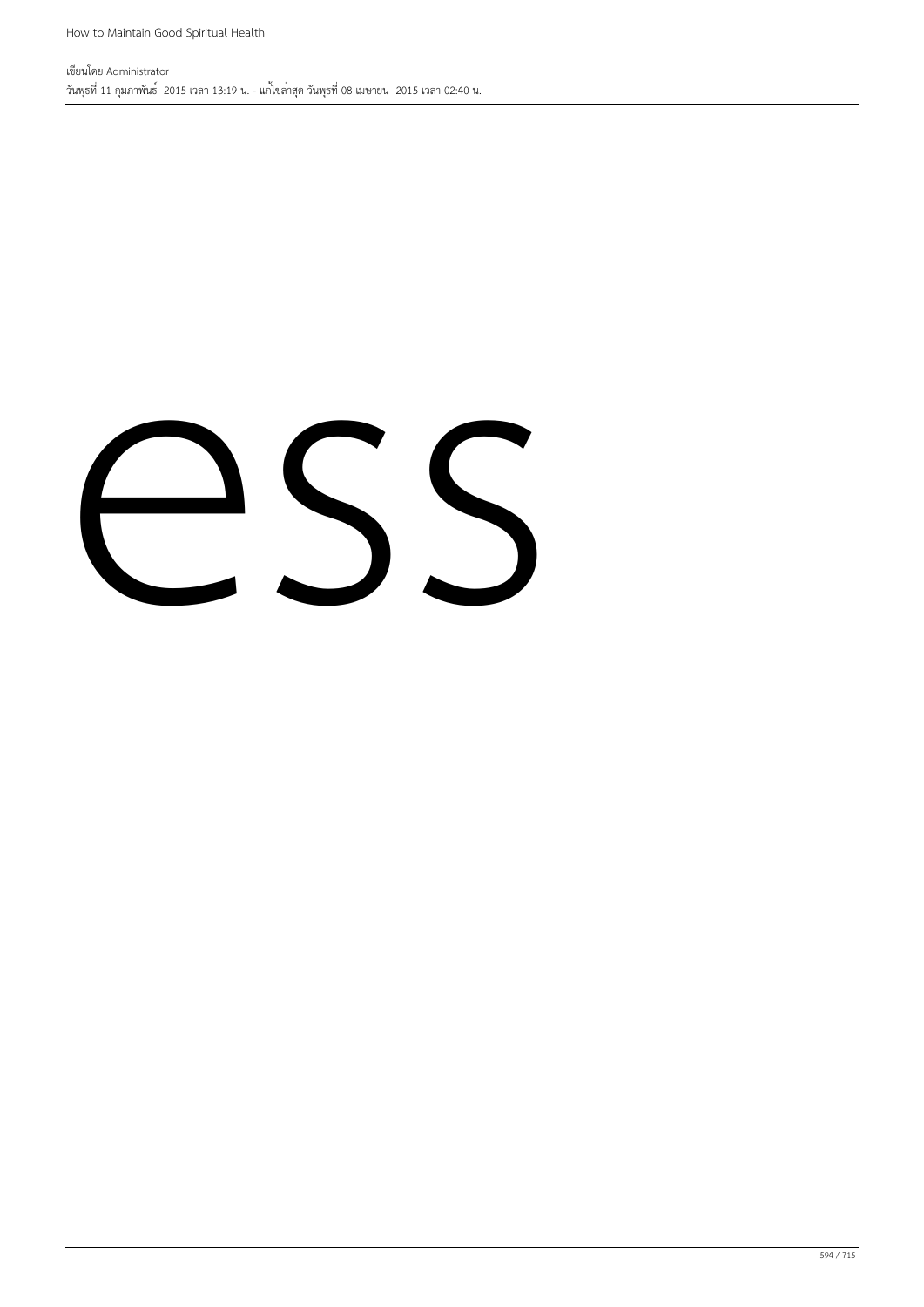#### ess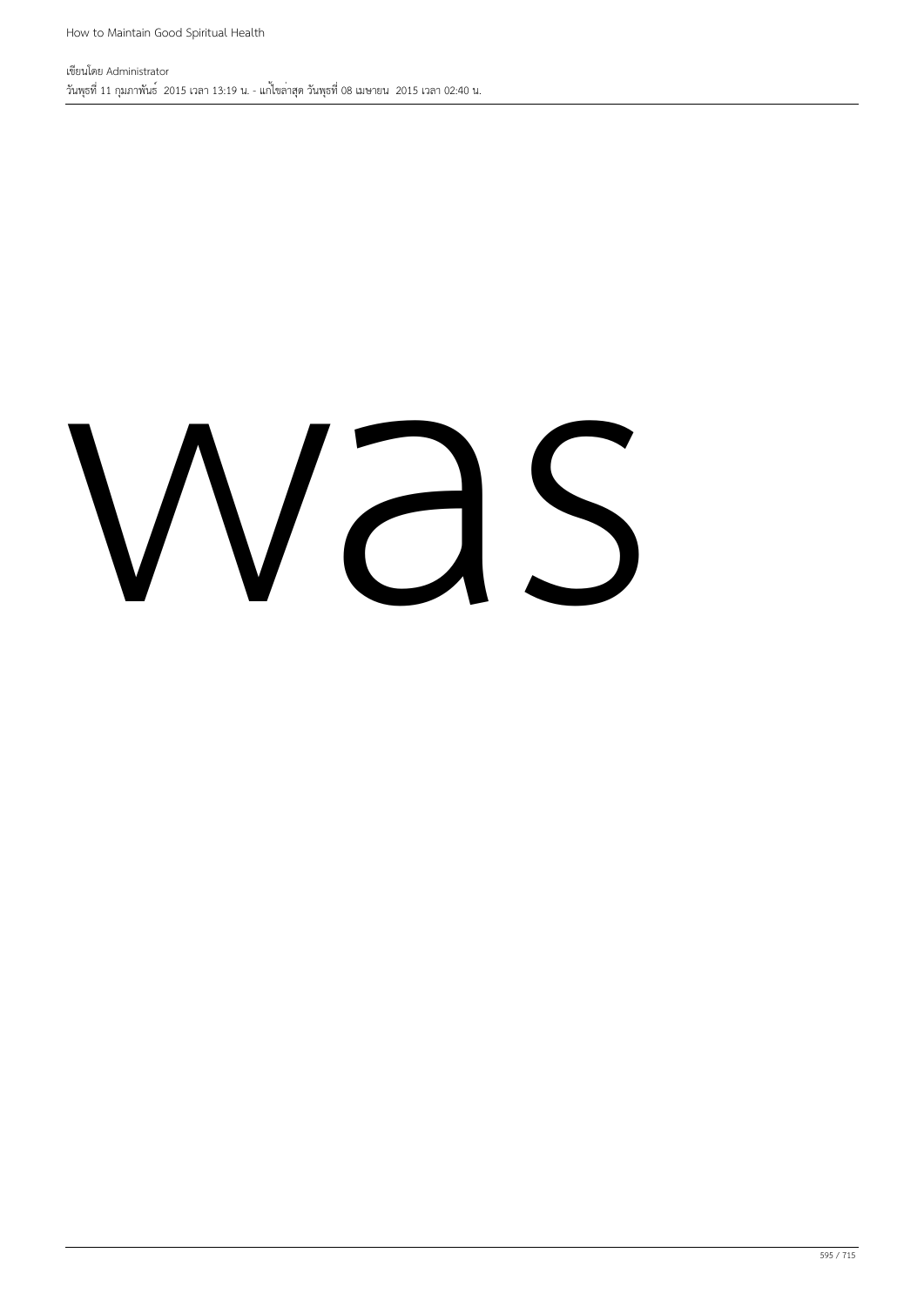#### was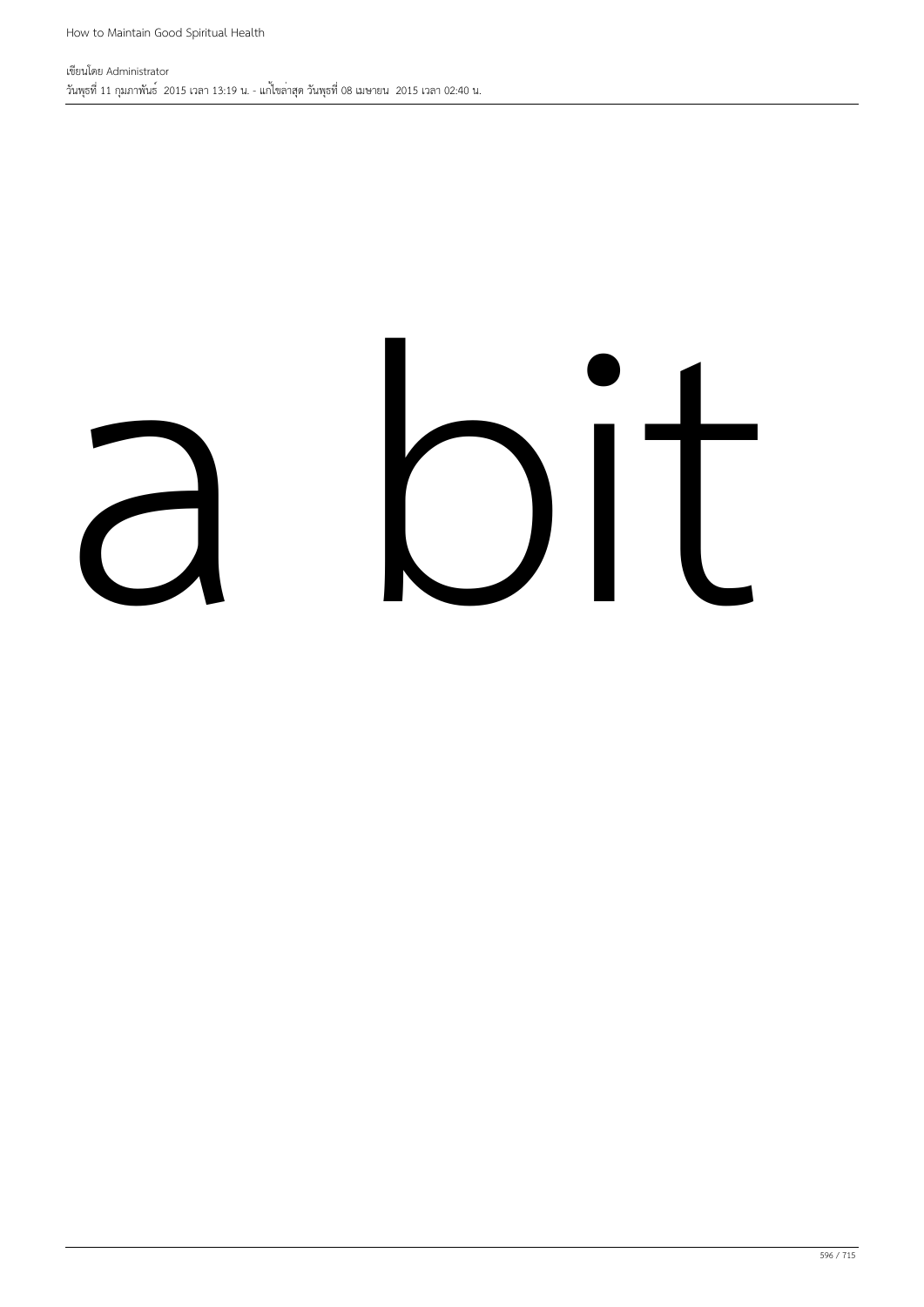## a bit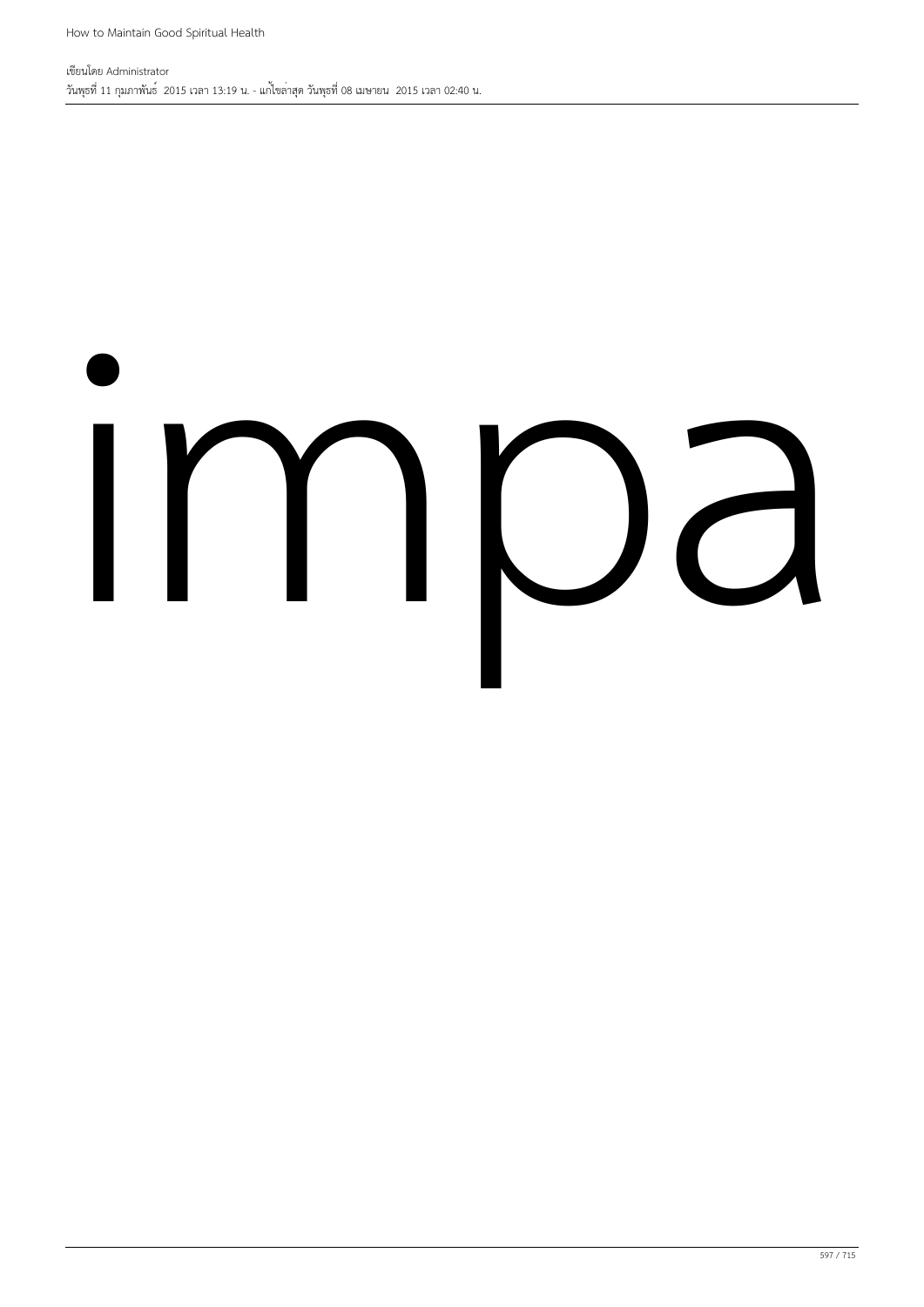## impa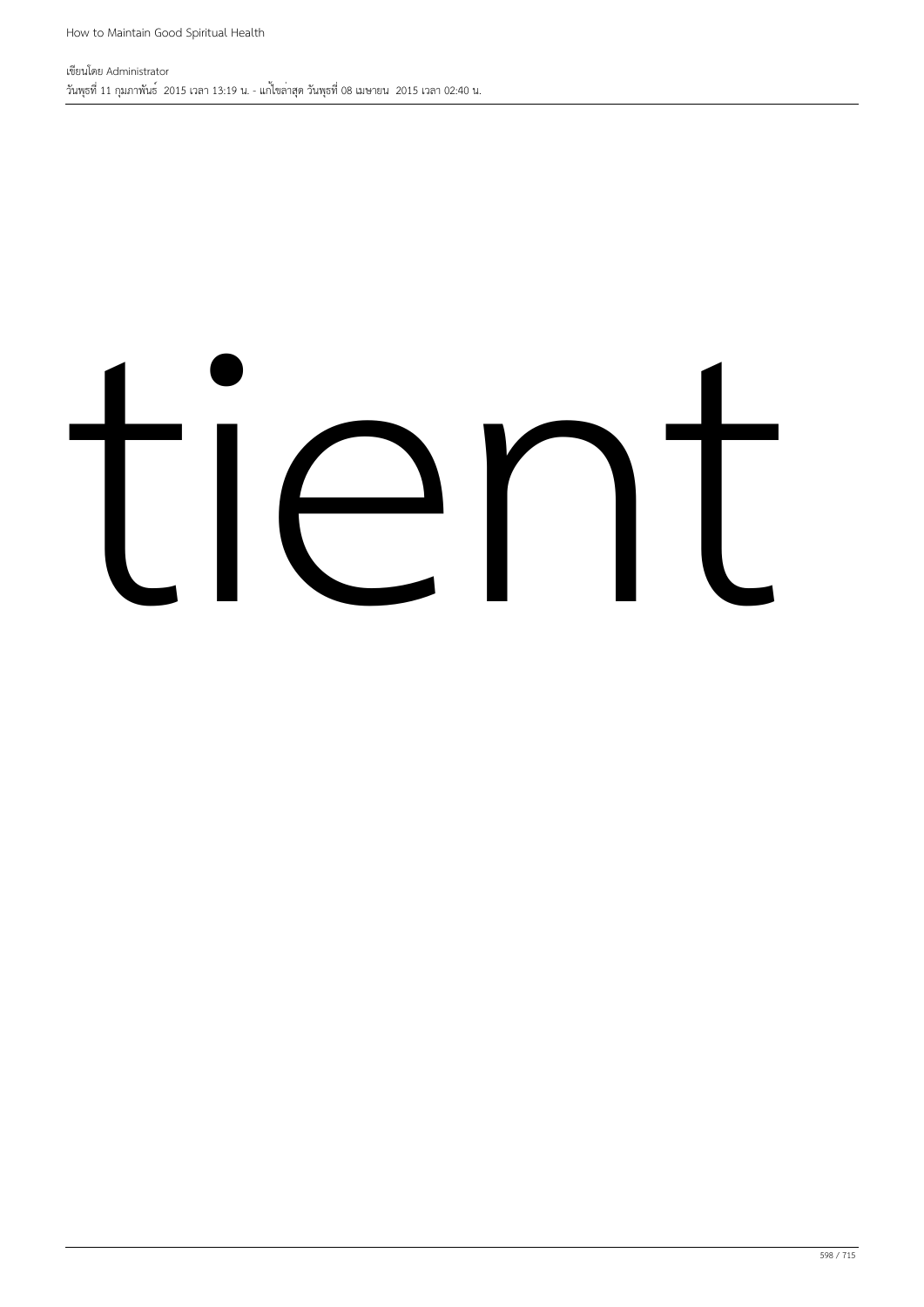## tient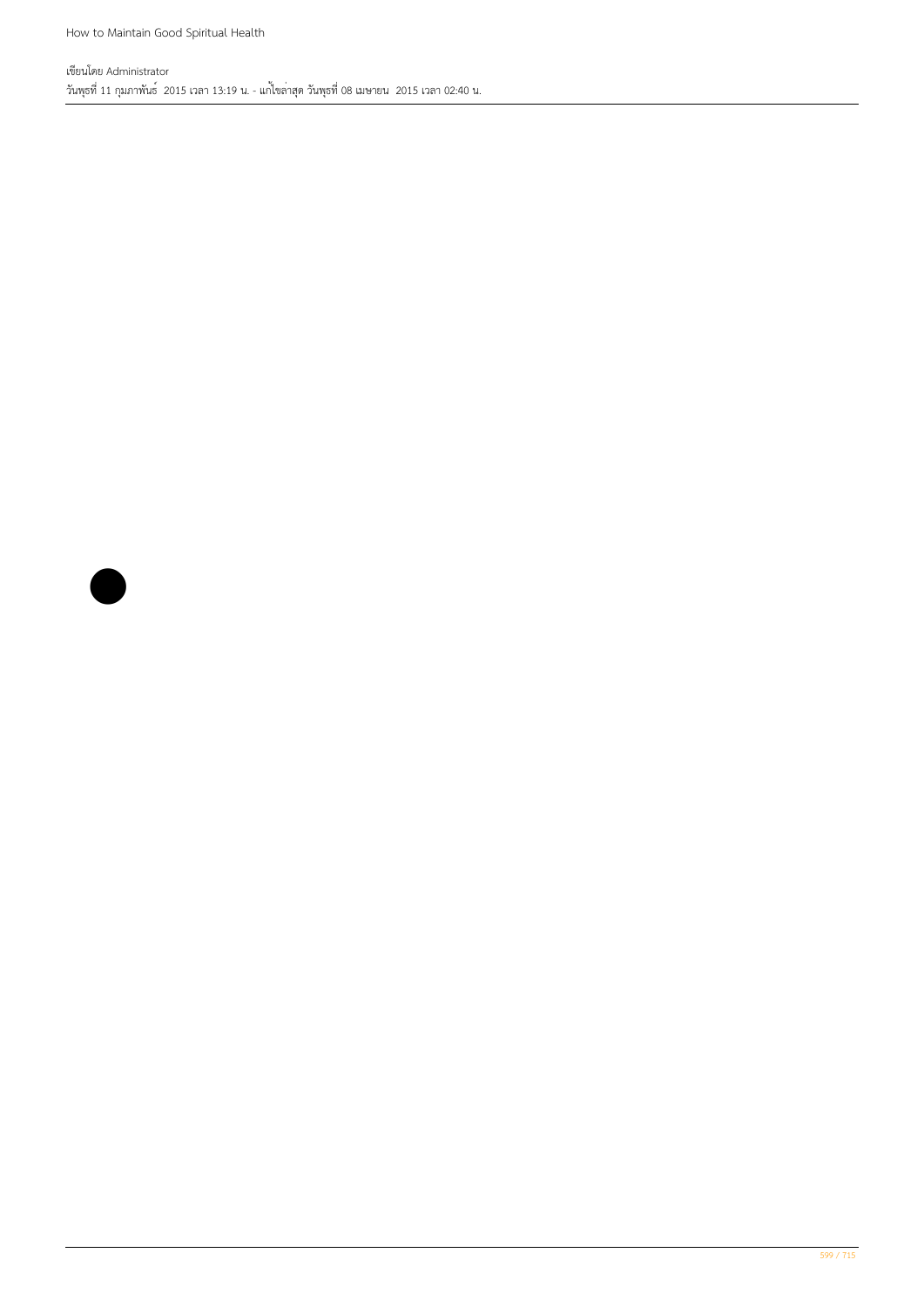.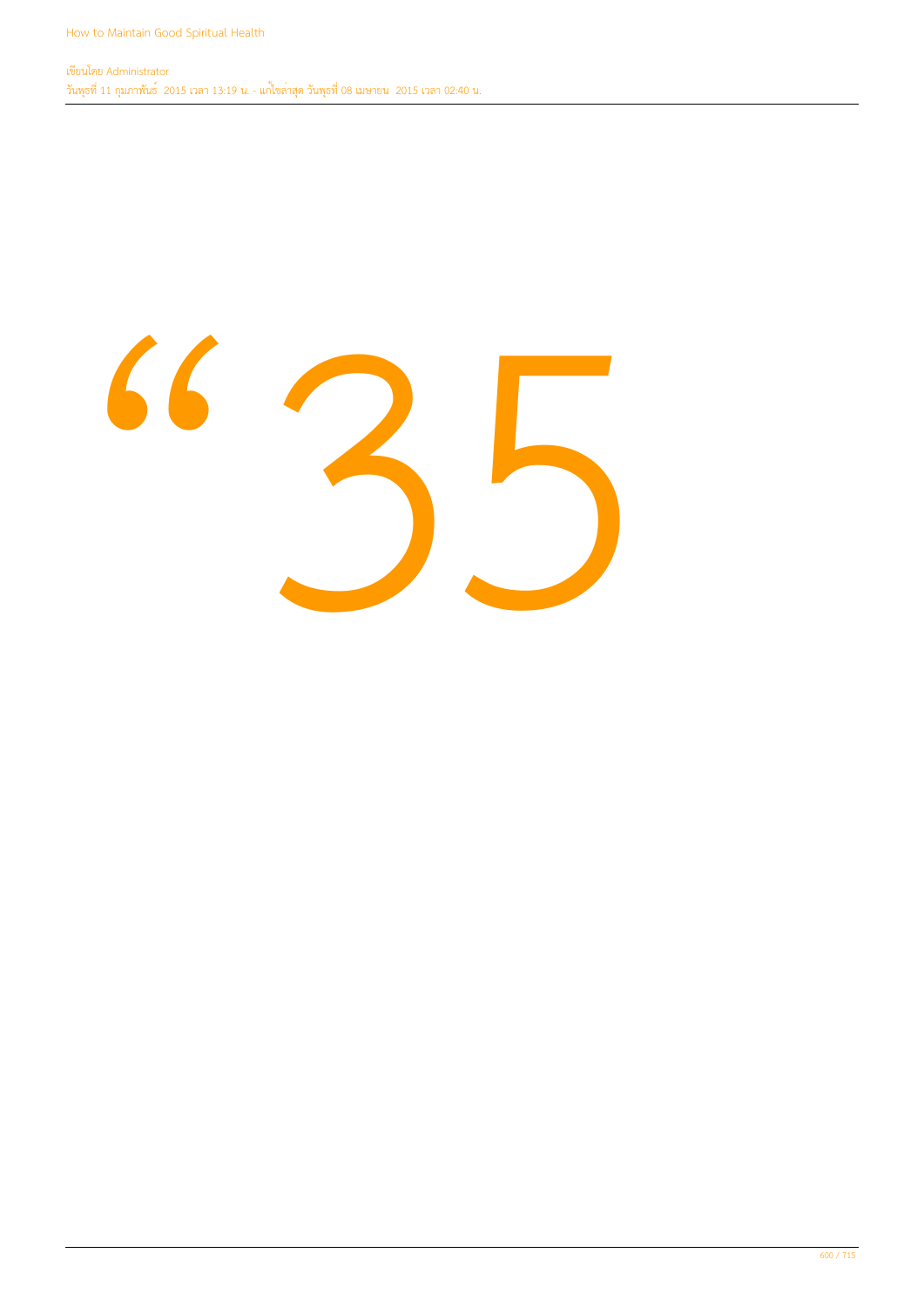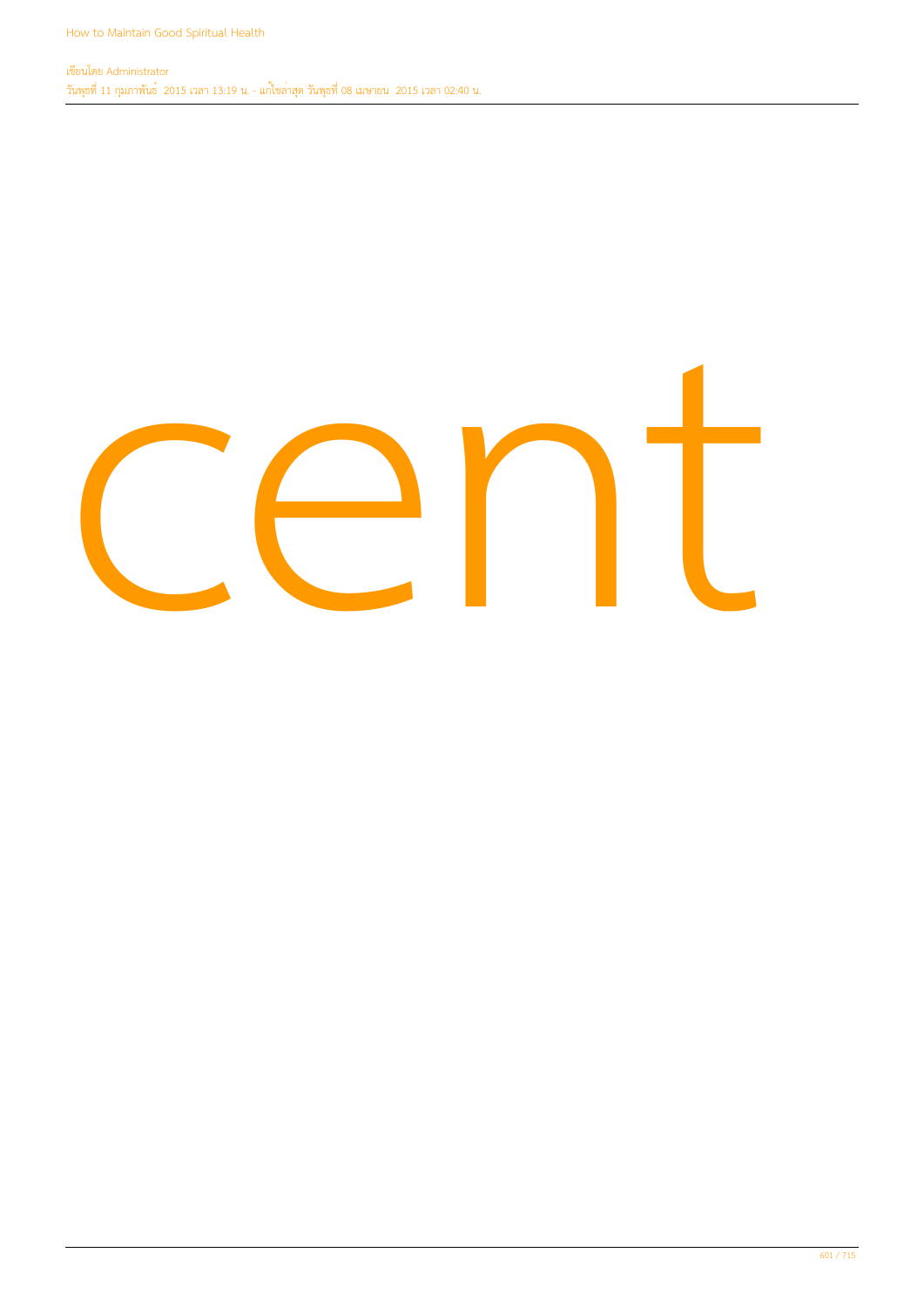# cent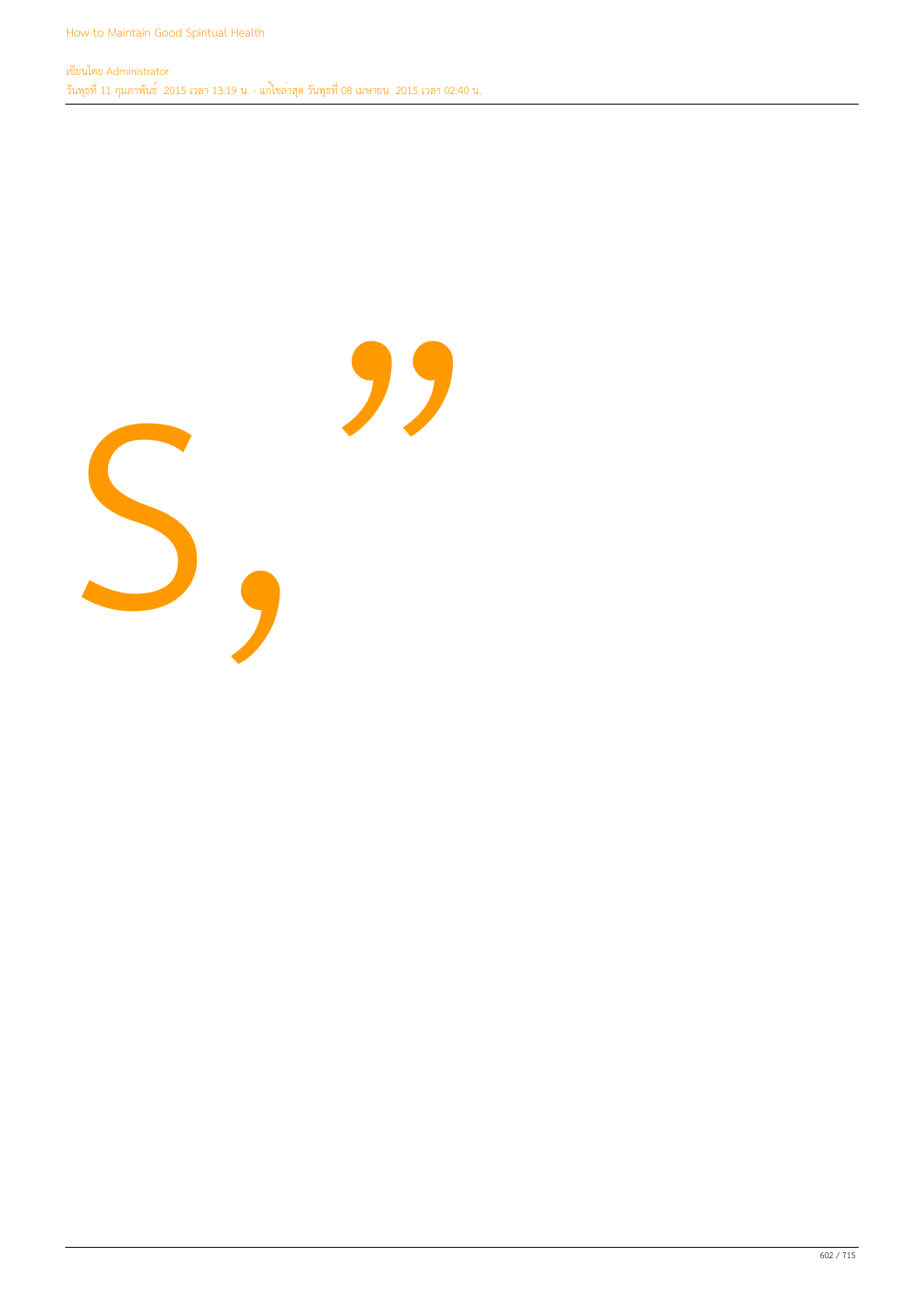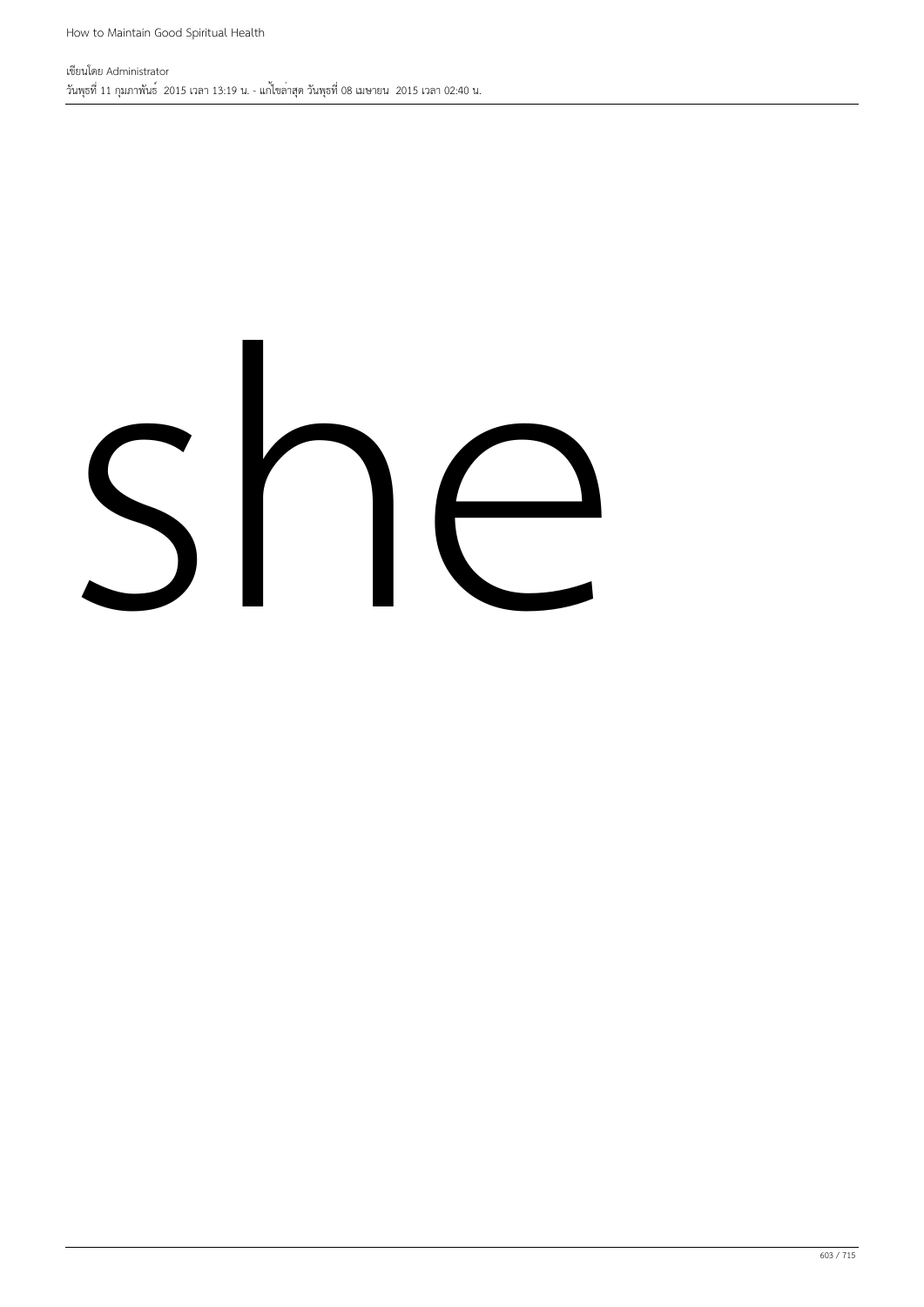## she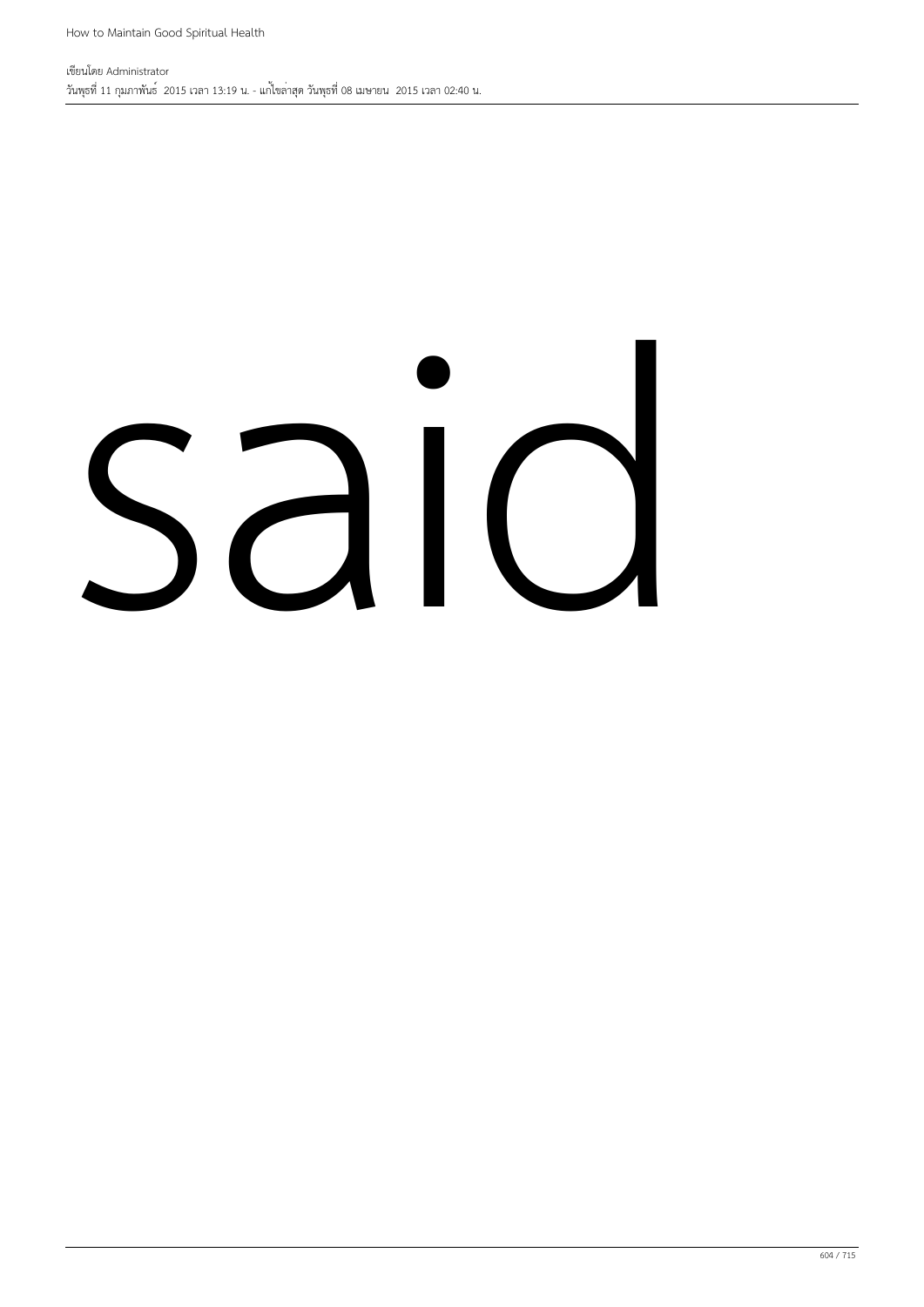## said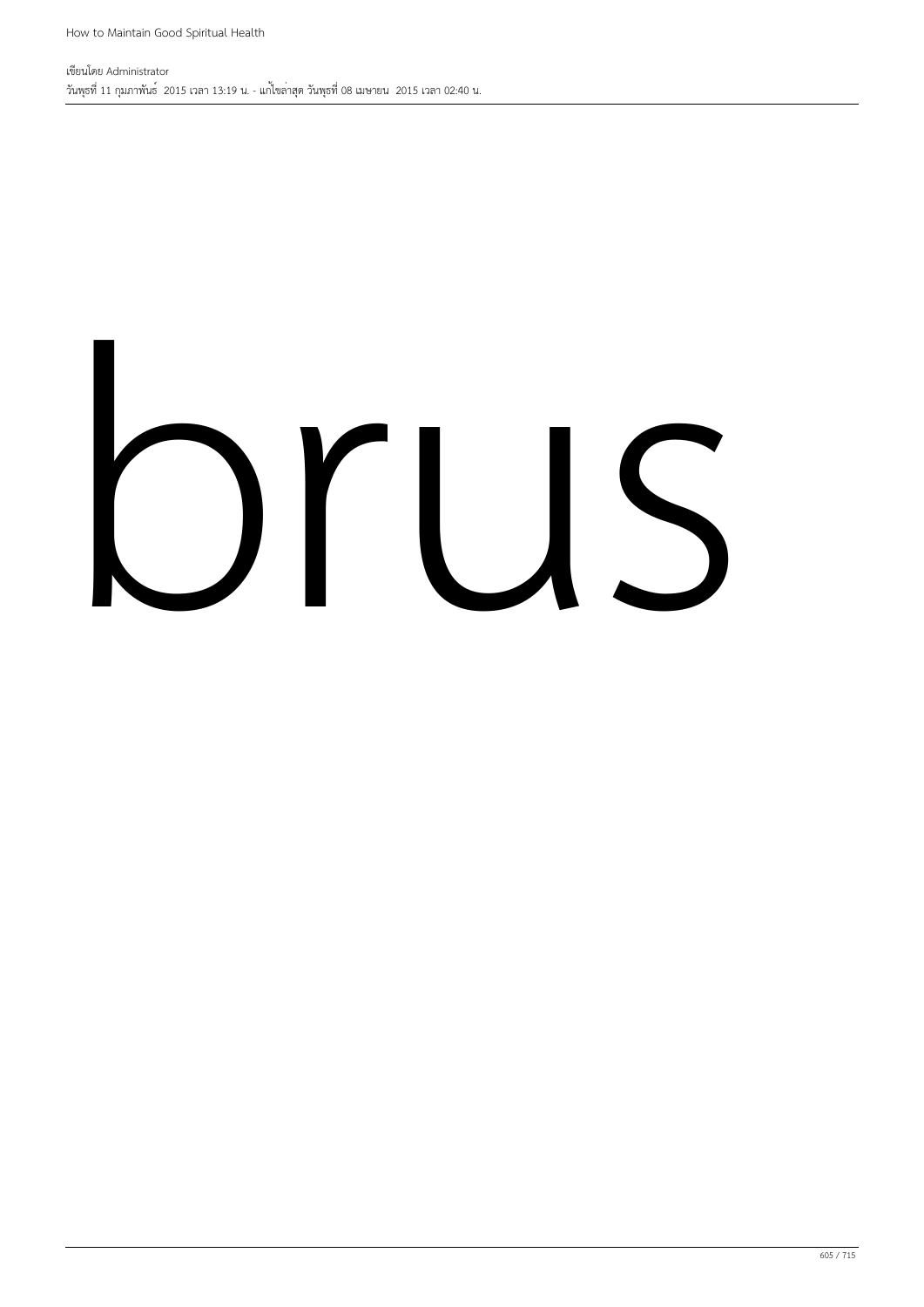## brus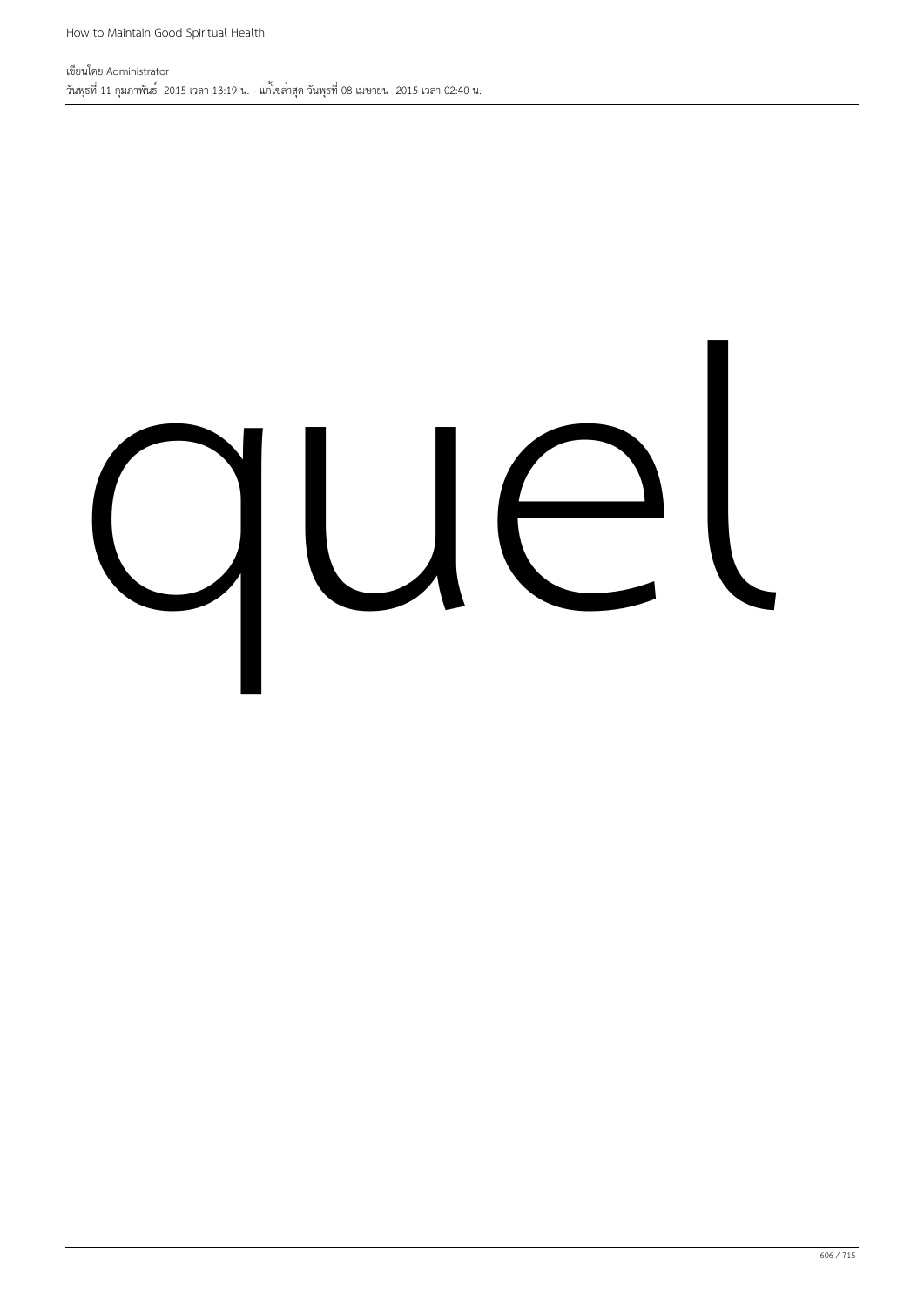## quel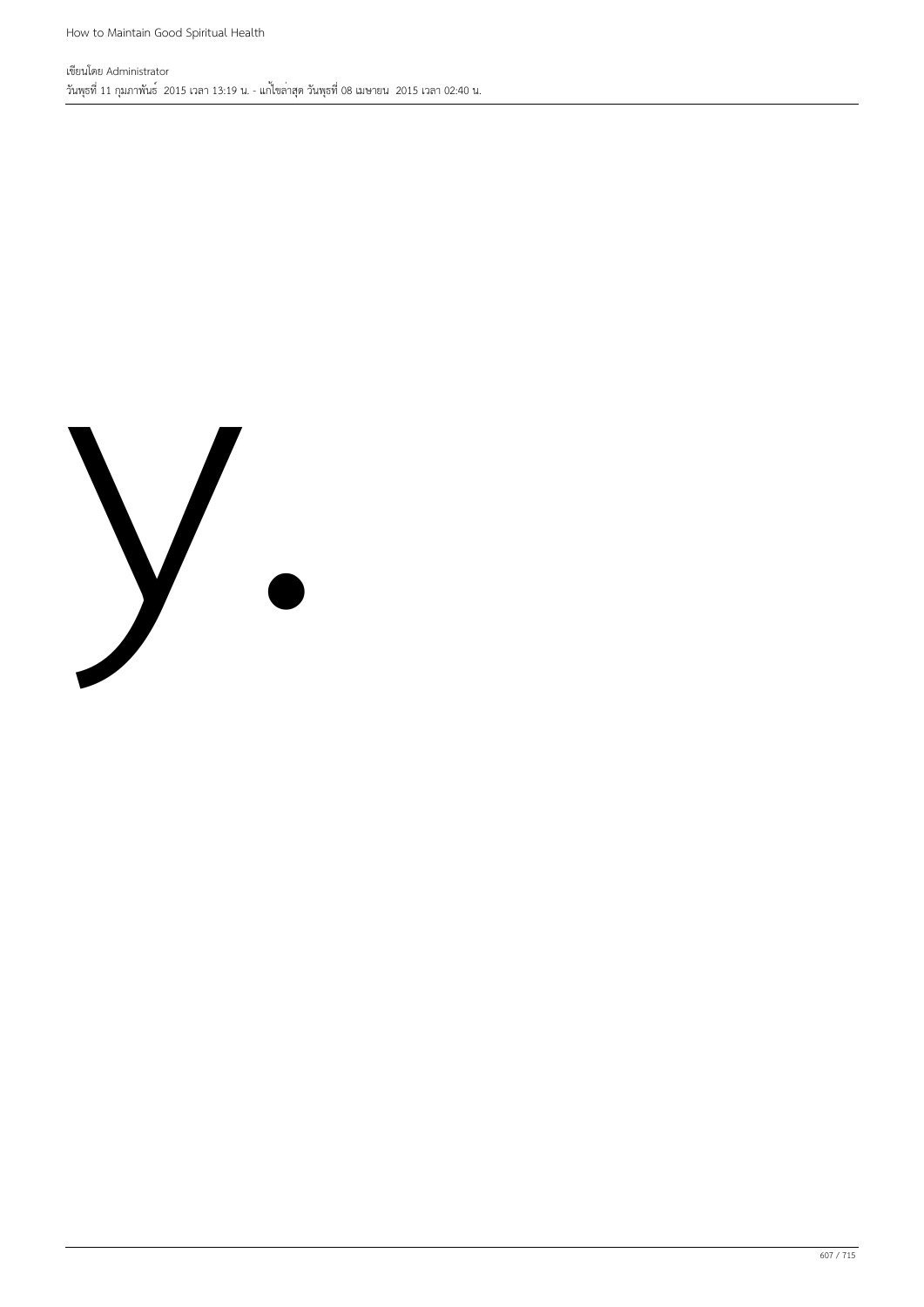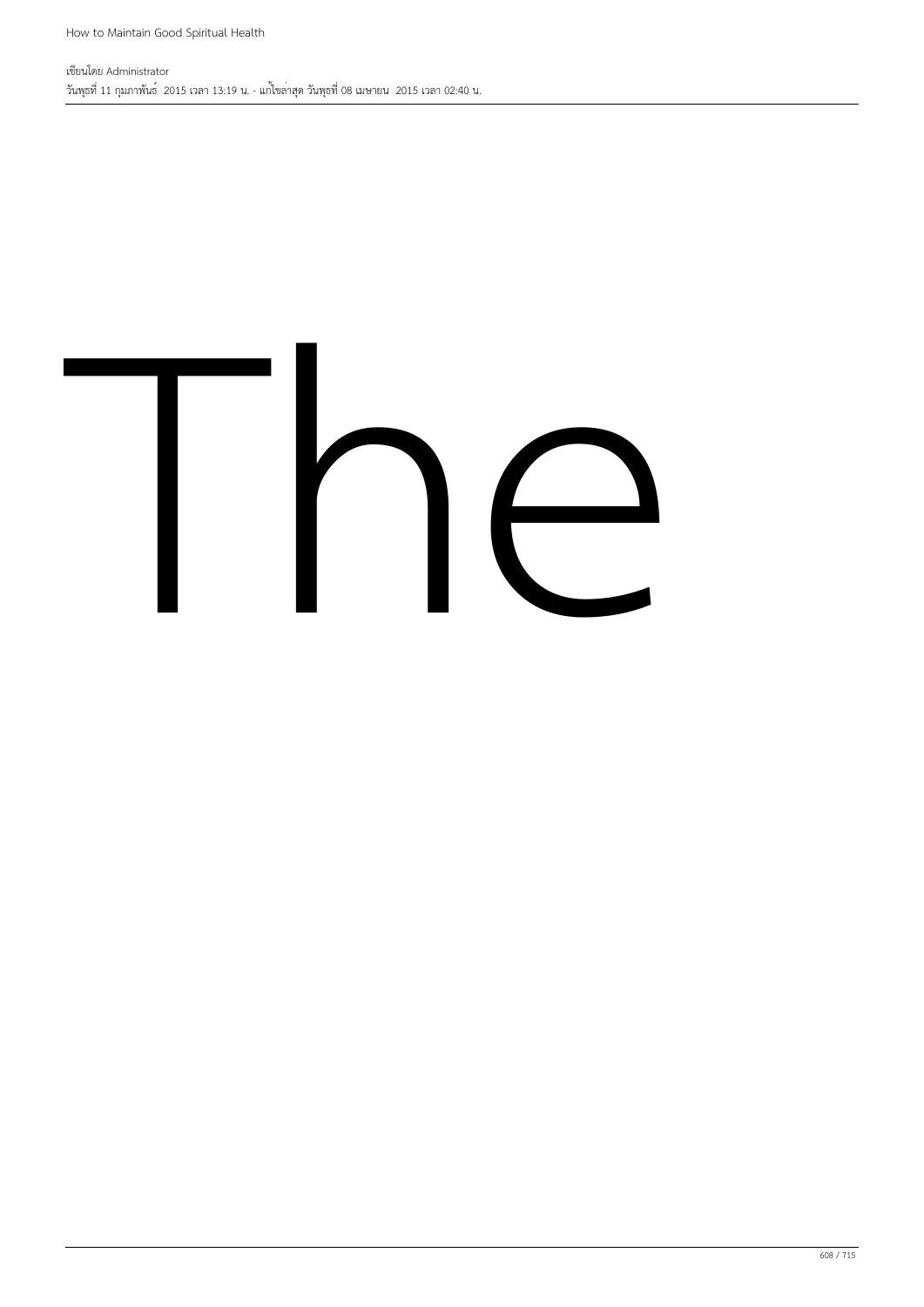## The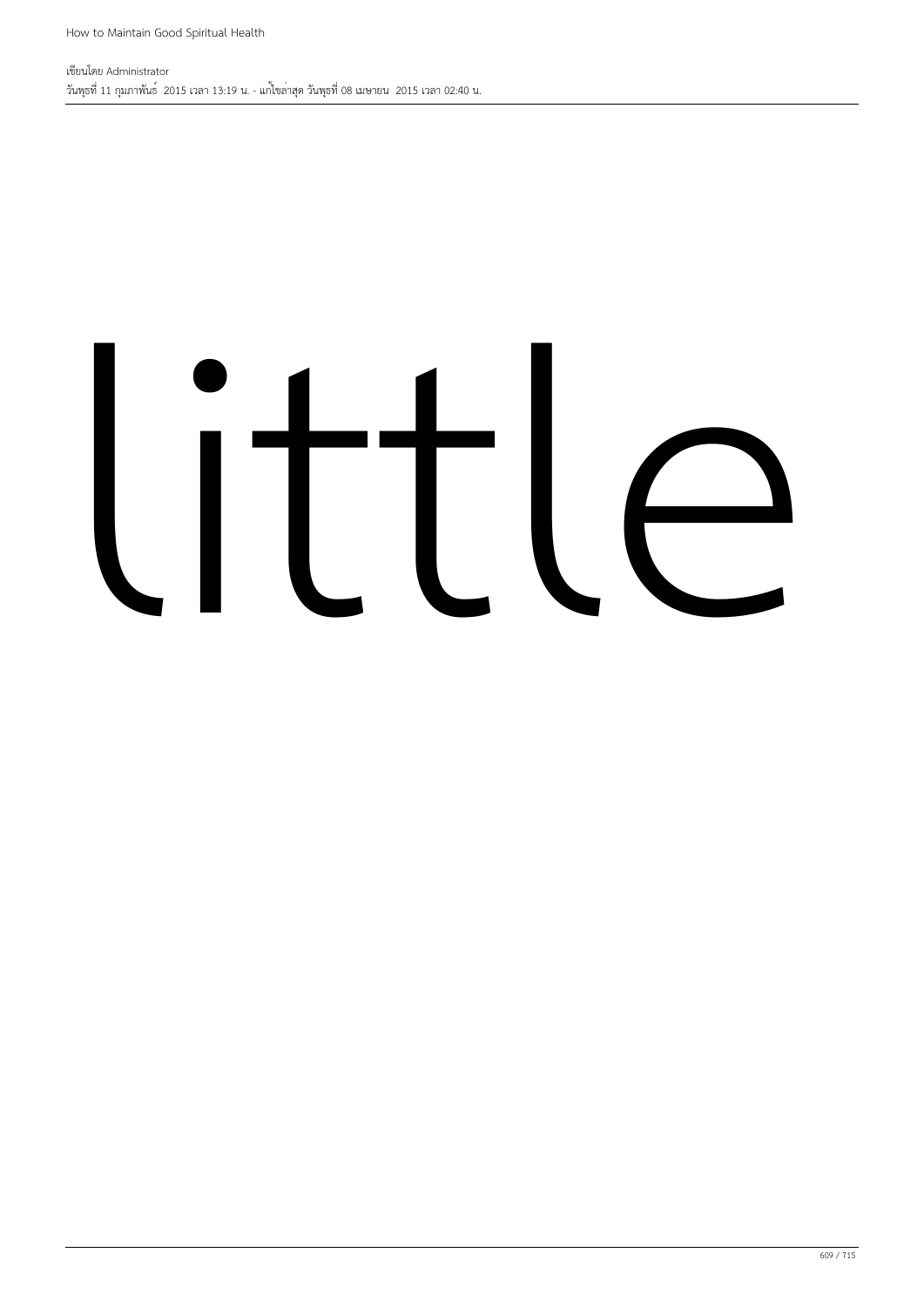## little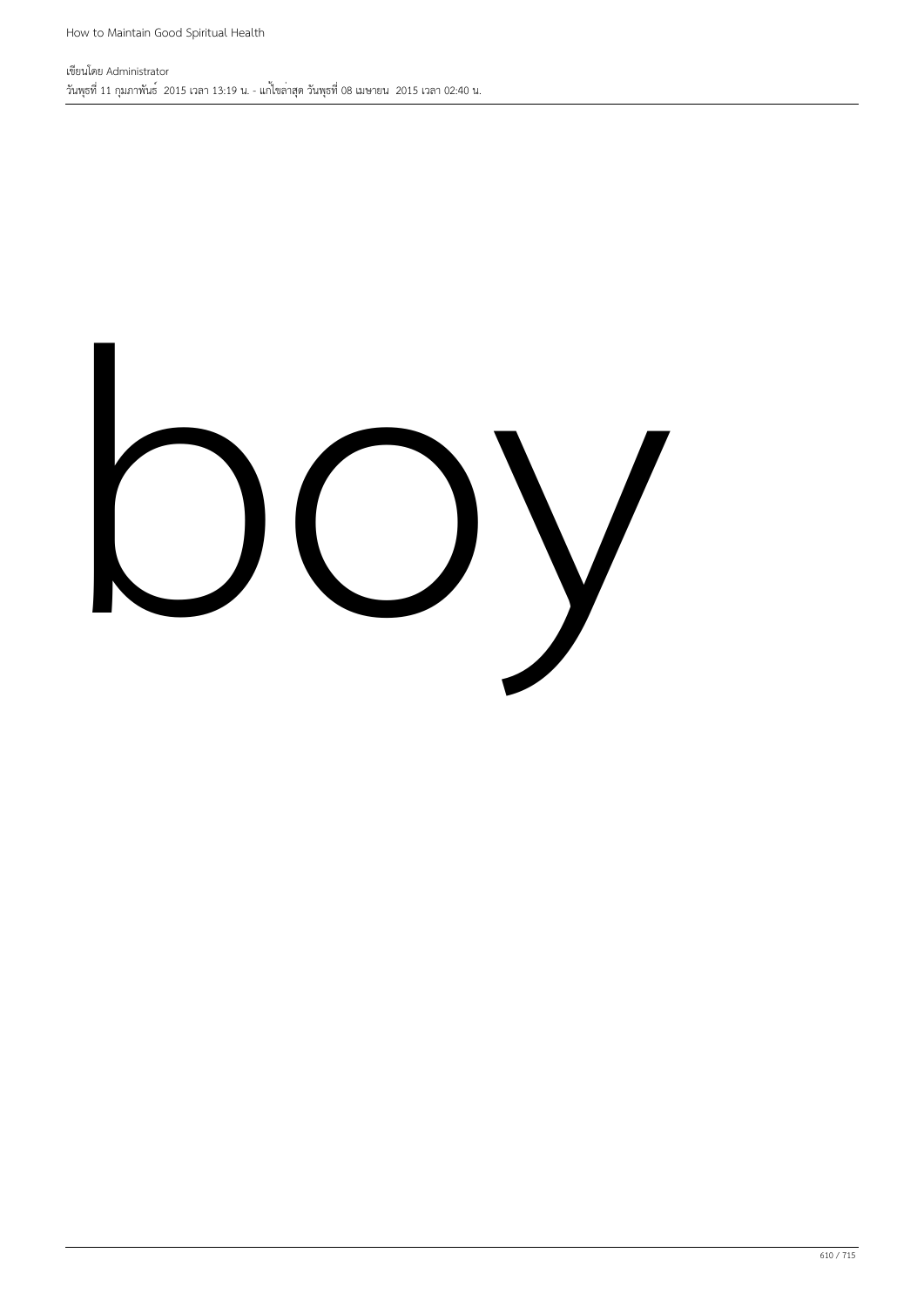## boy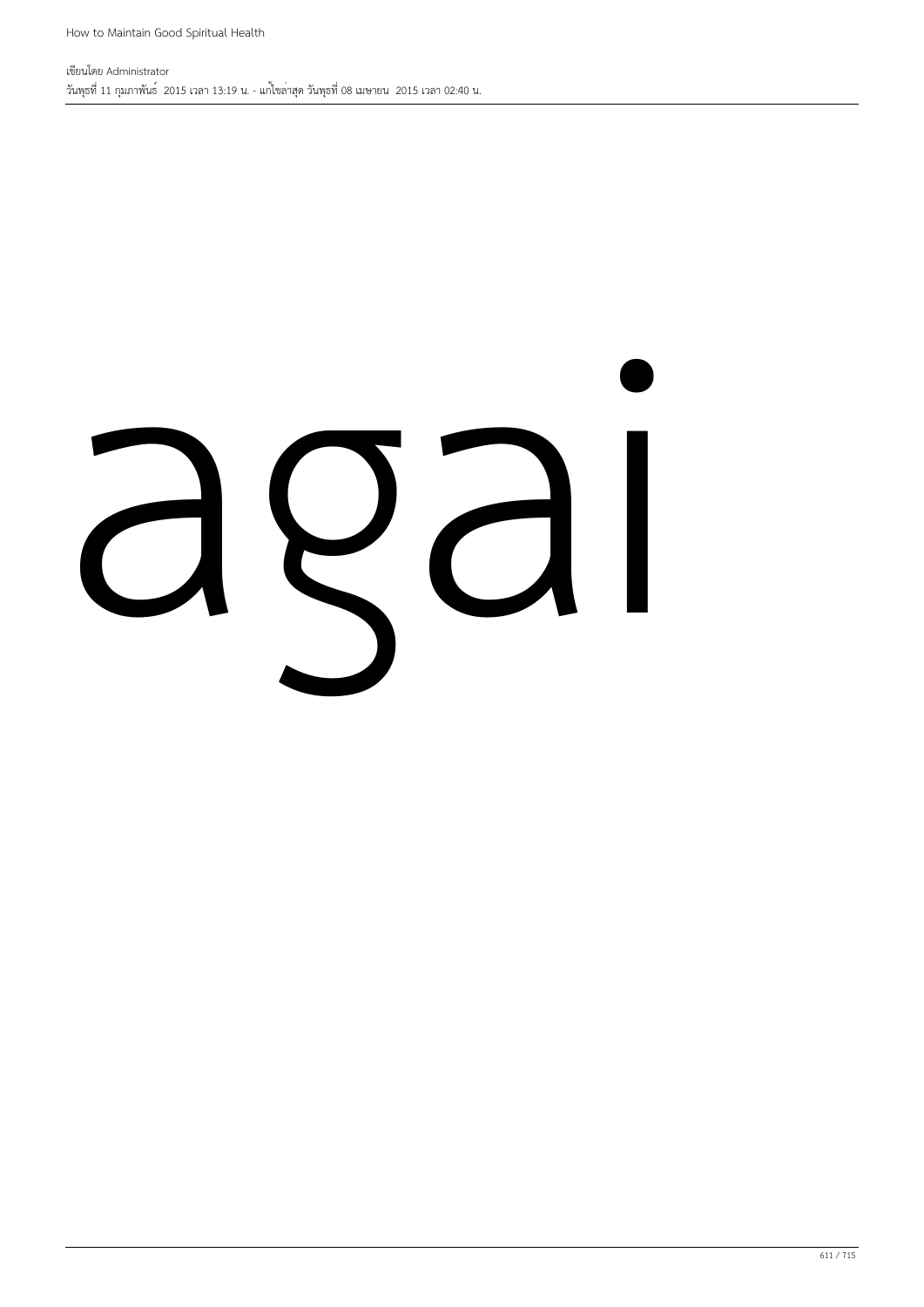## agai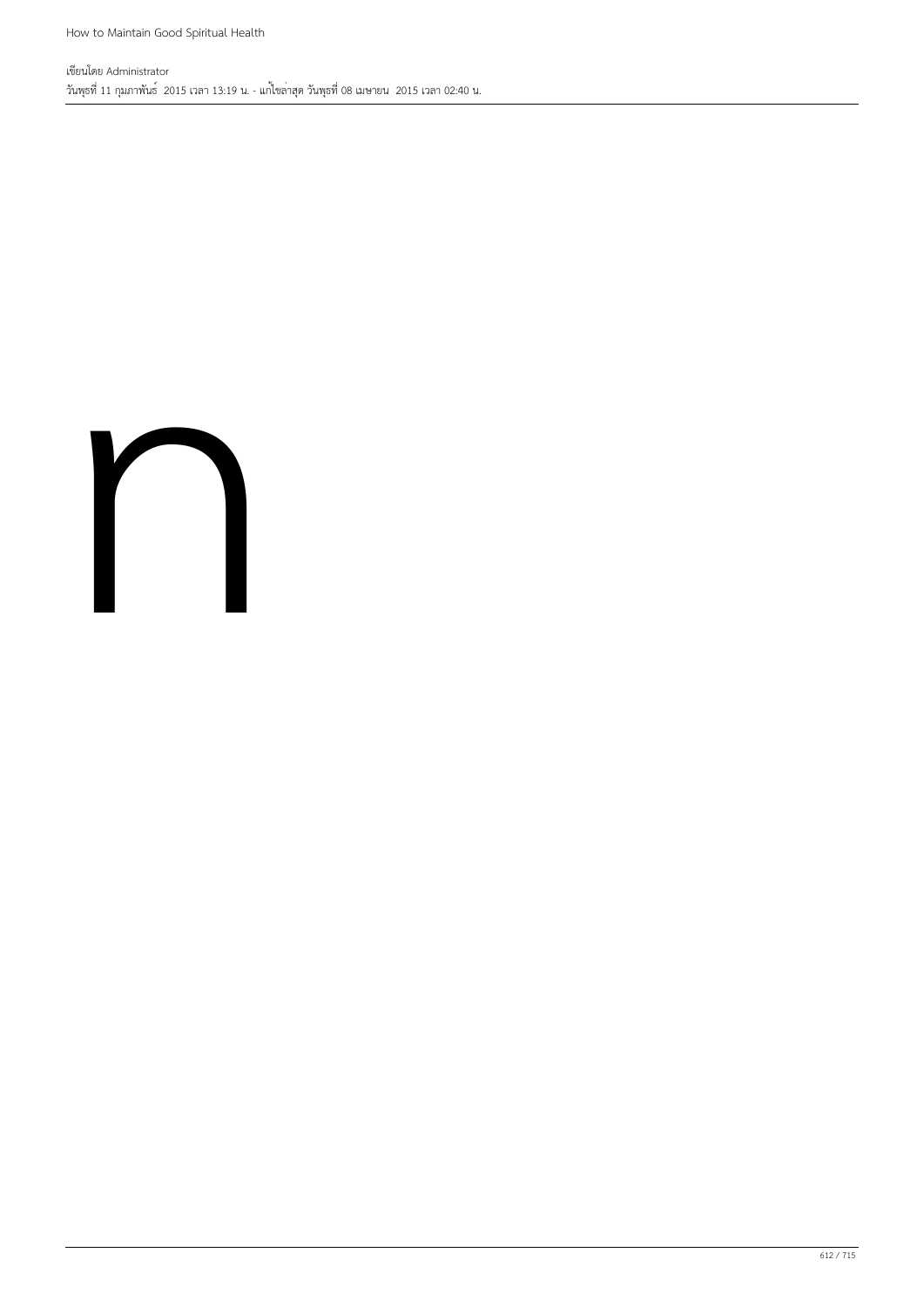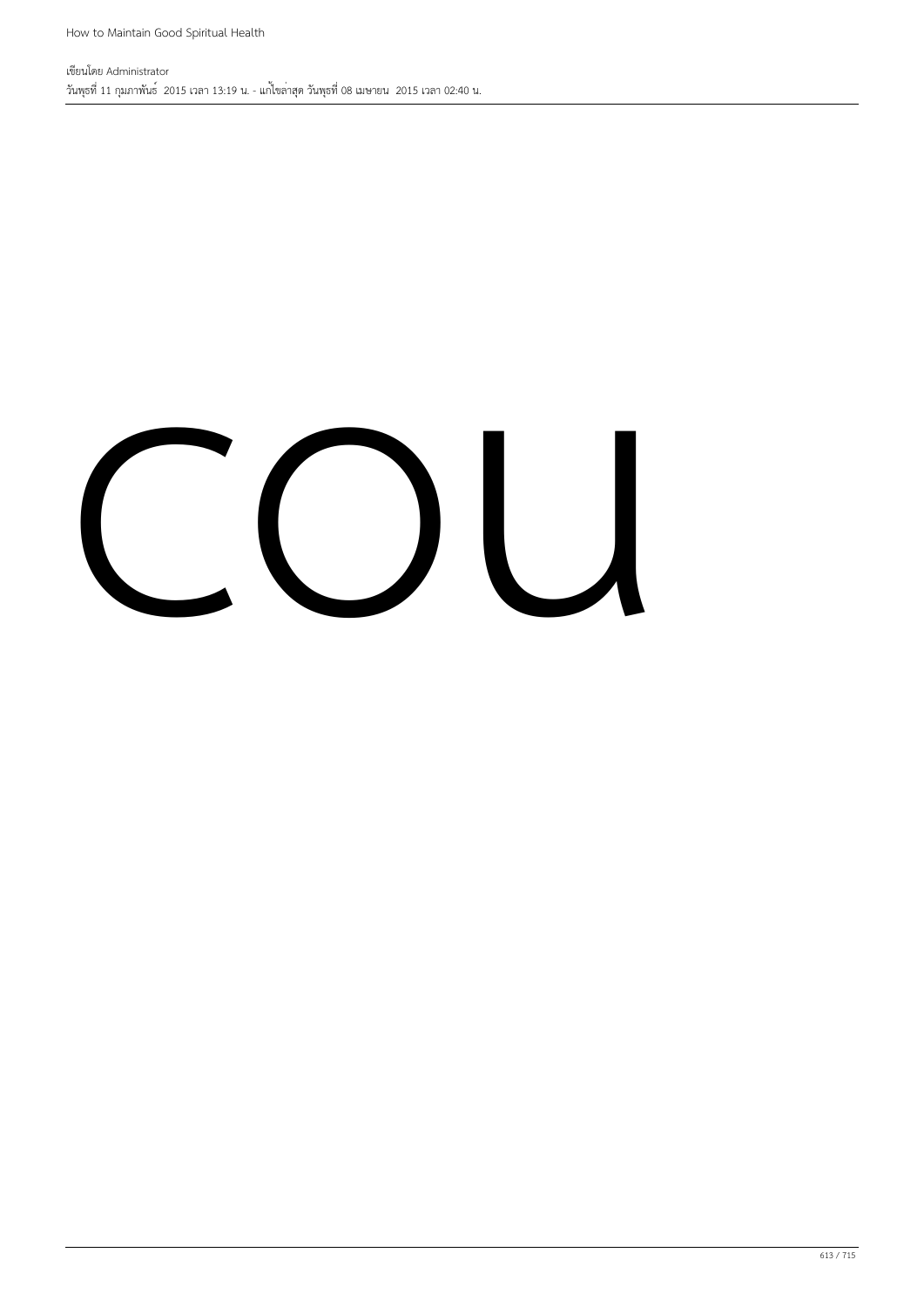#### cou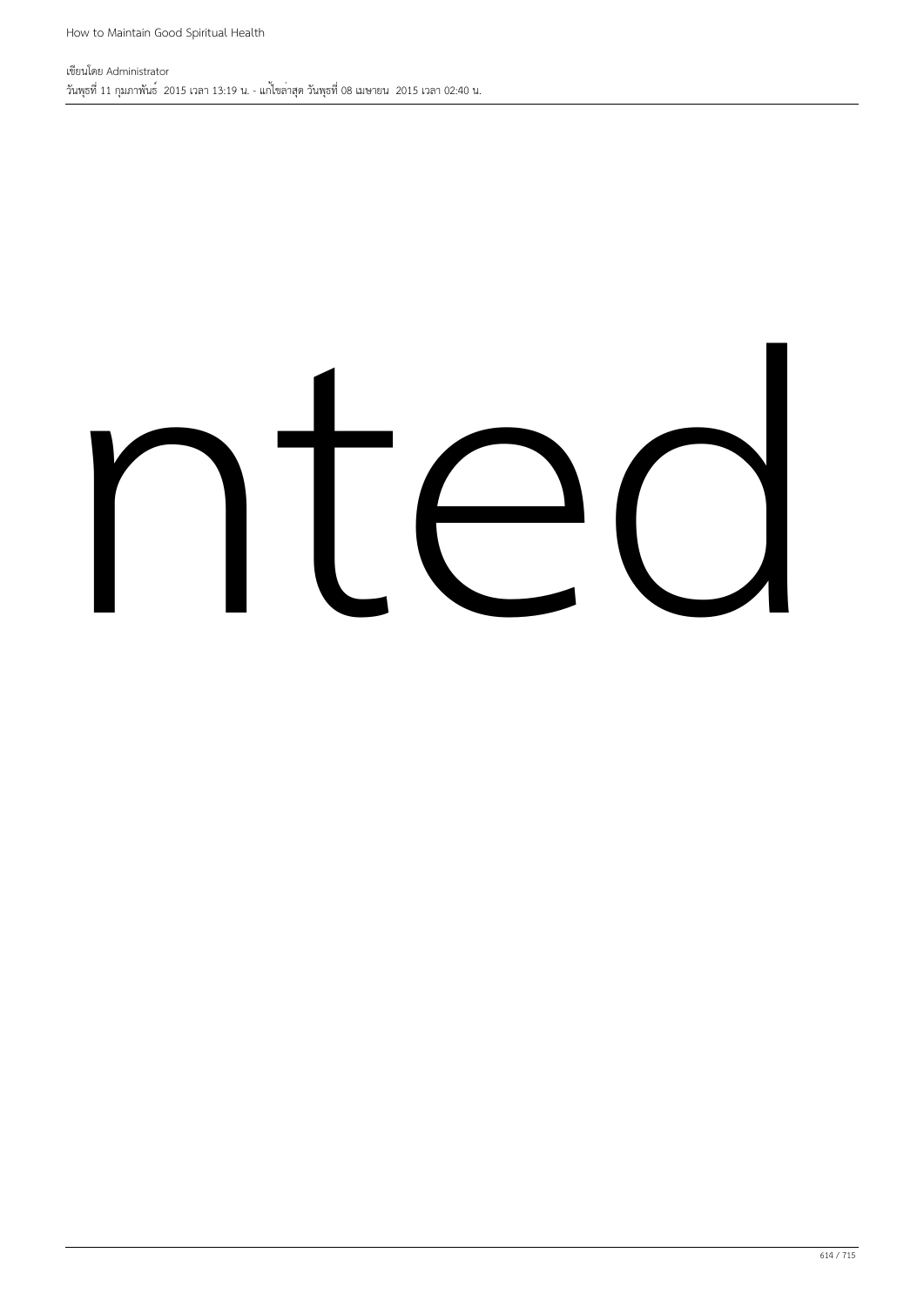### nted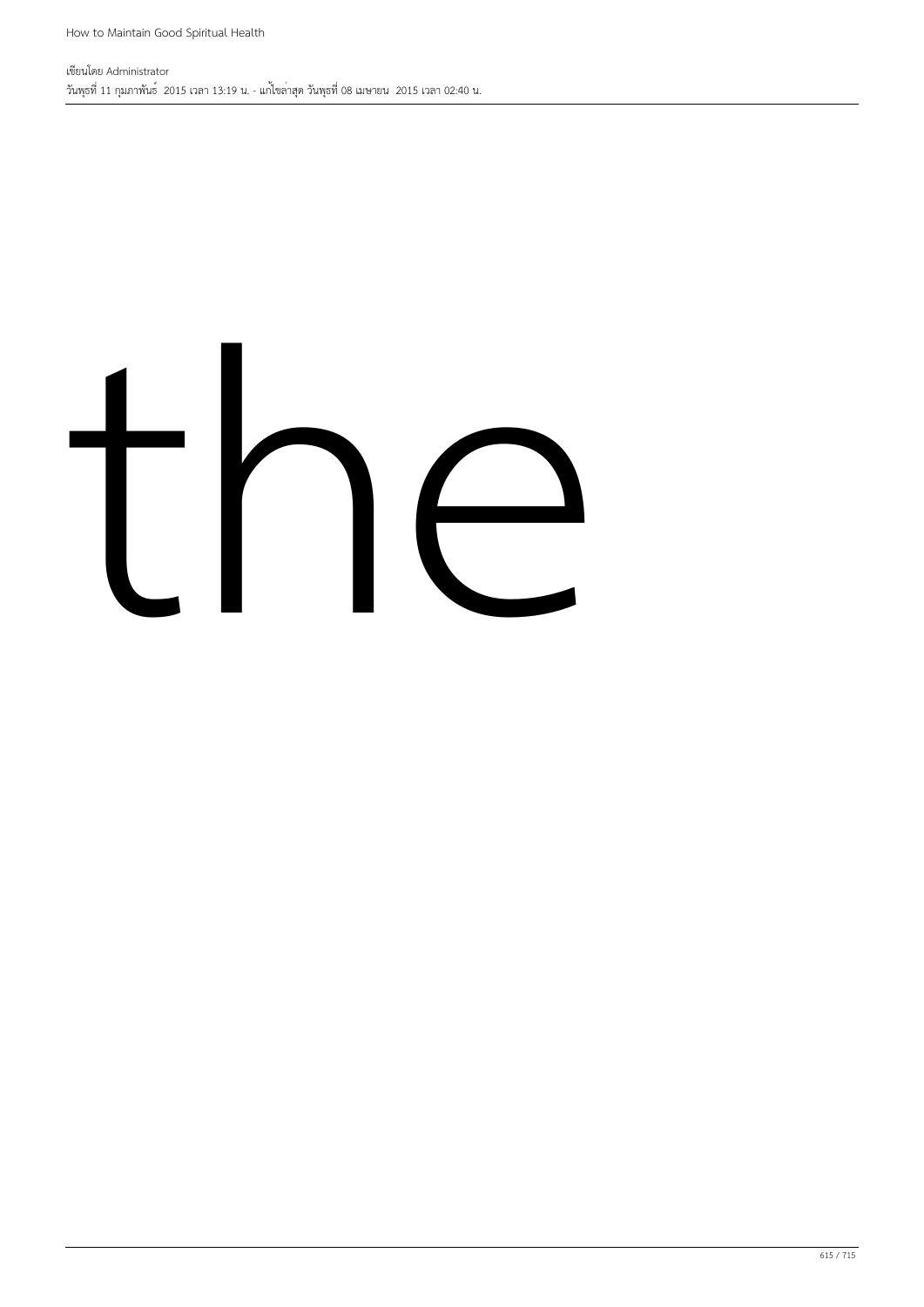### the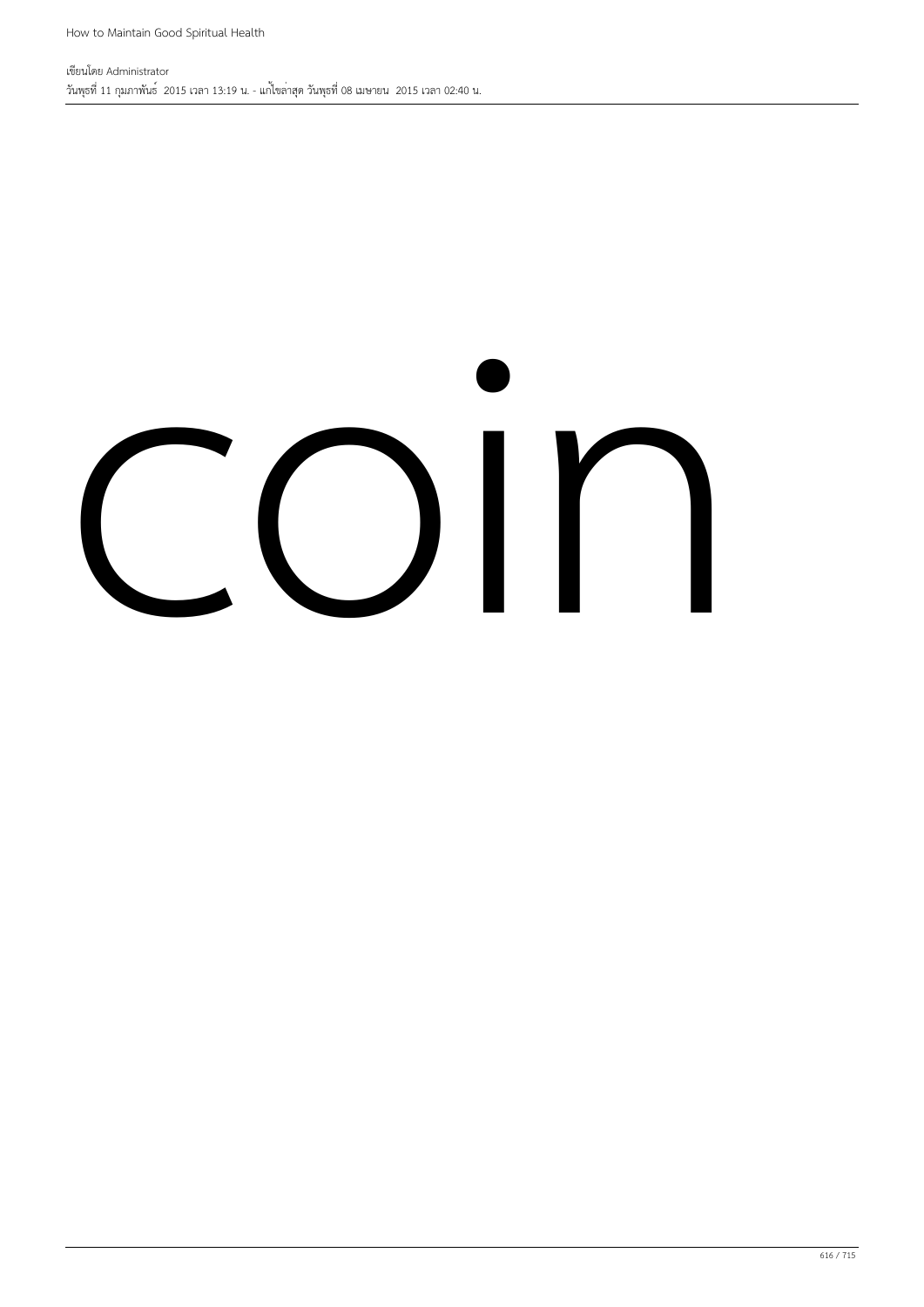### coin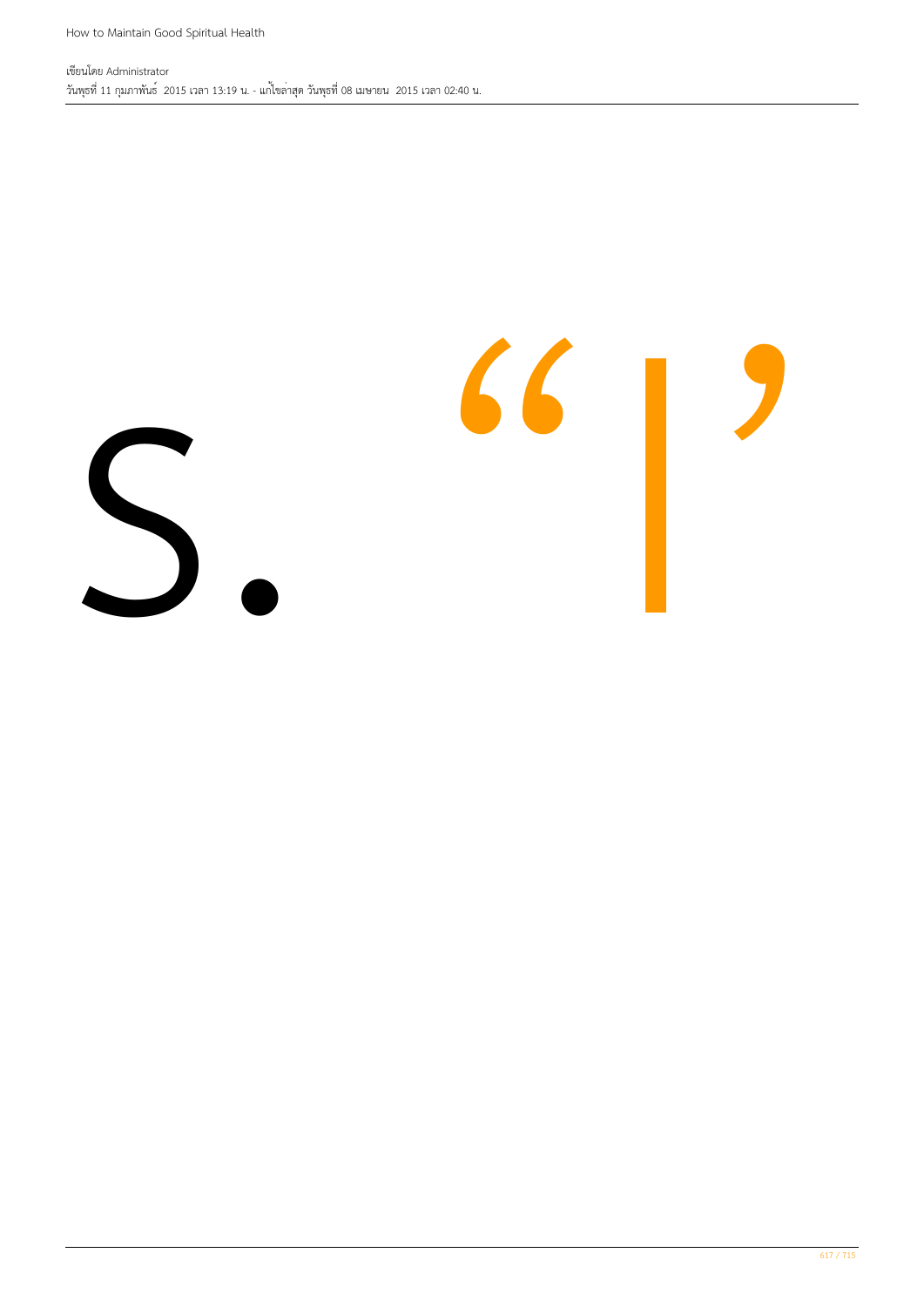## $\begin{bmatrix} 1 & 1 \\ 0 & 1 \end{bmatrix}$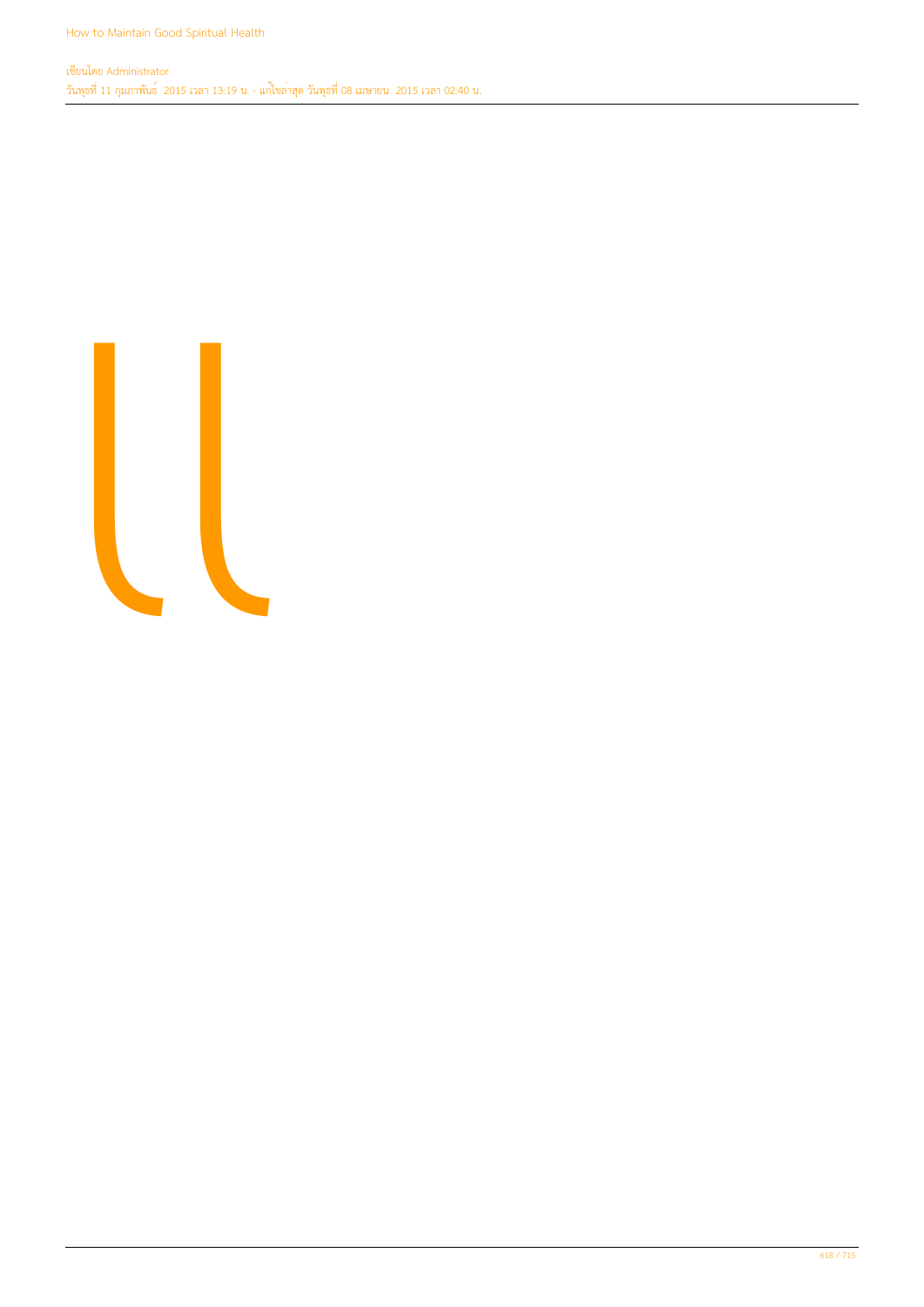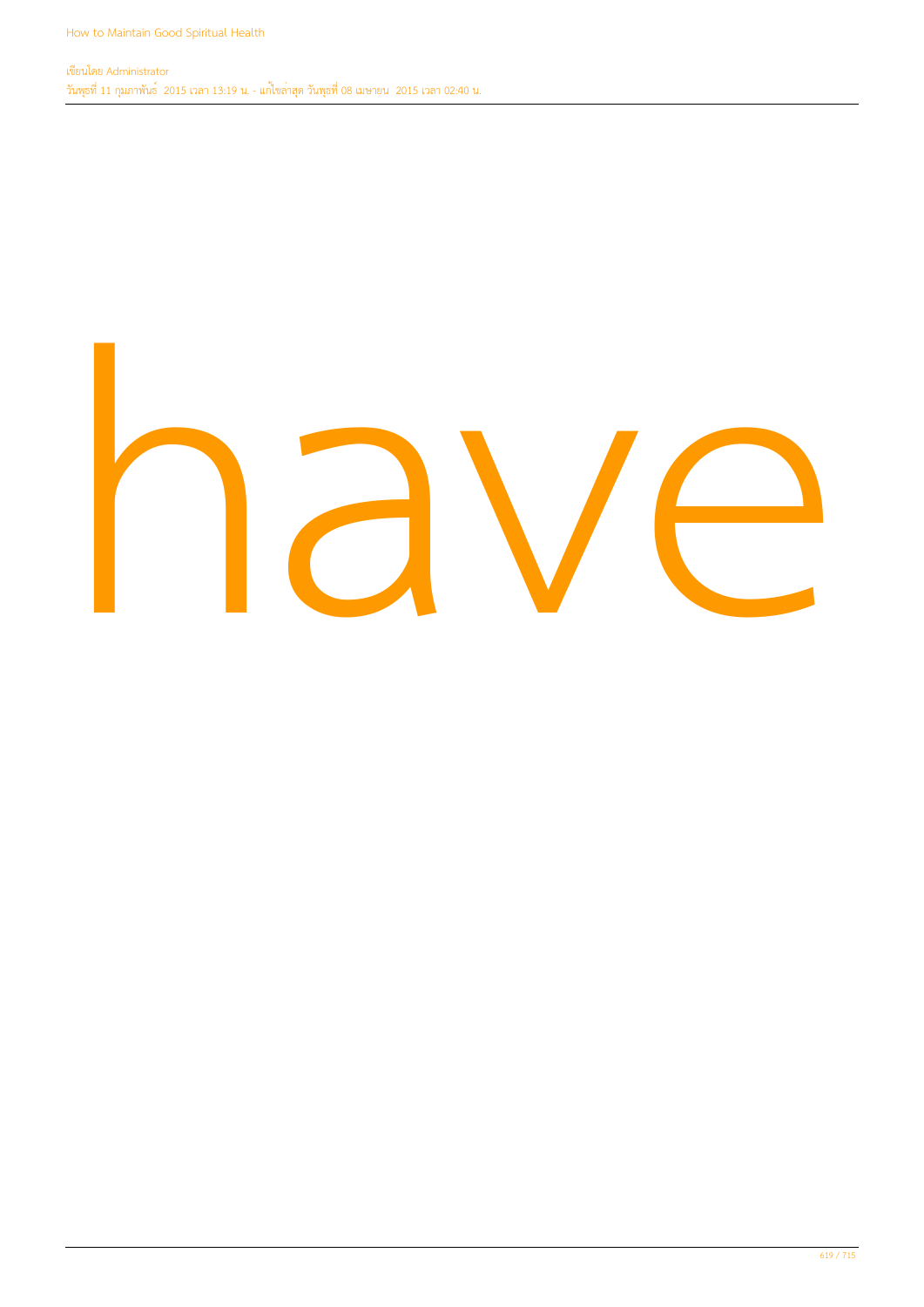# have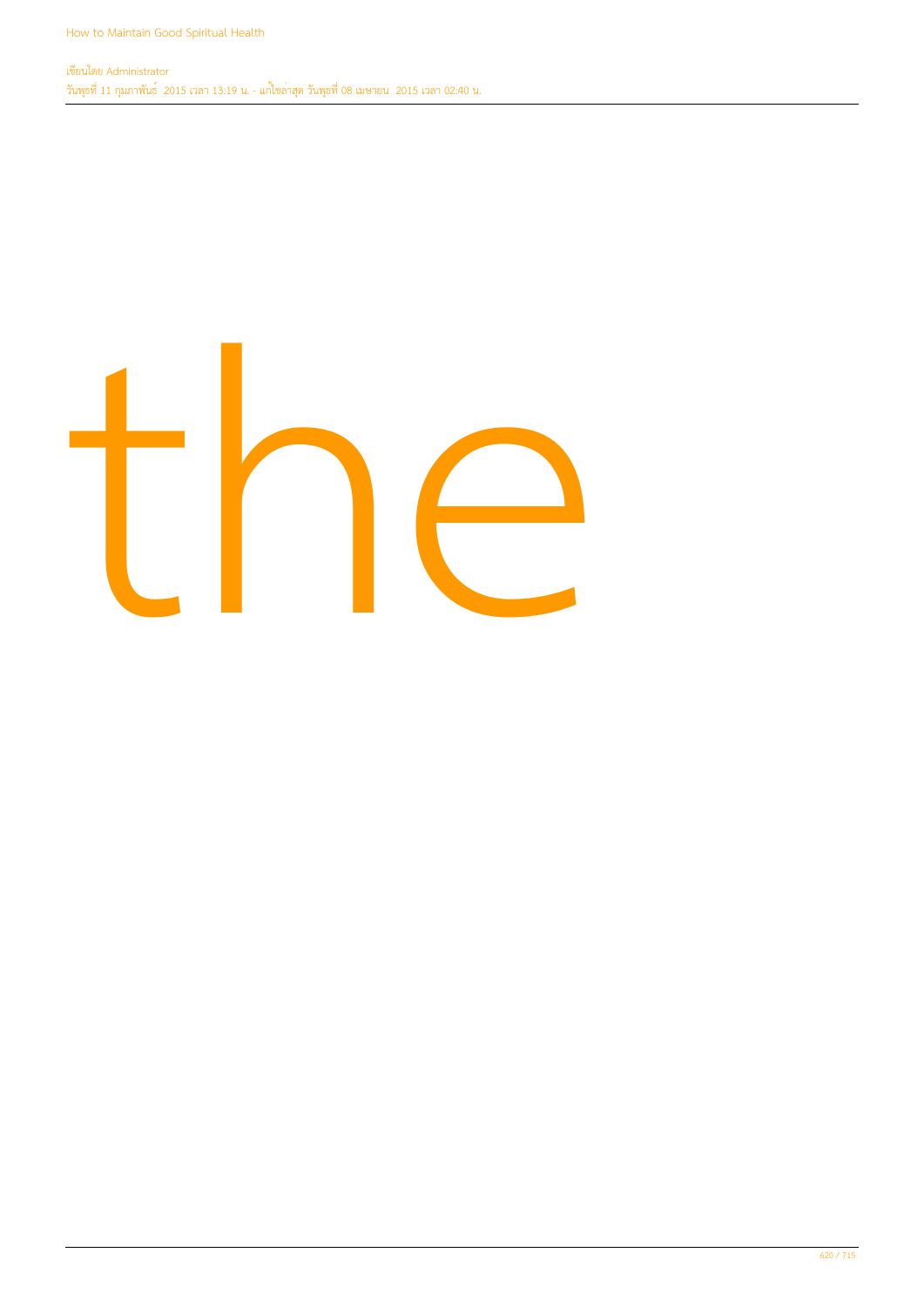# the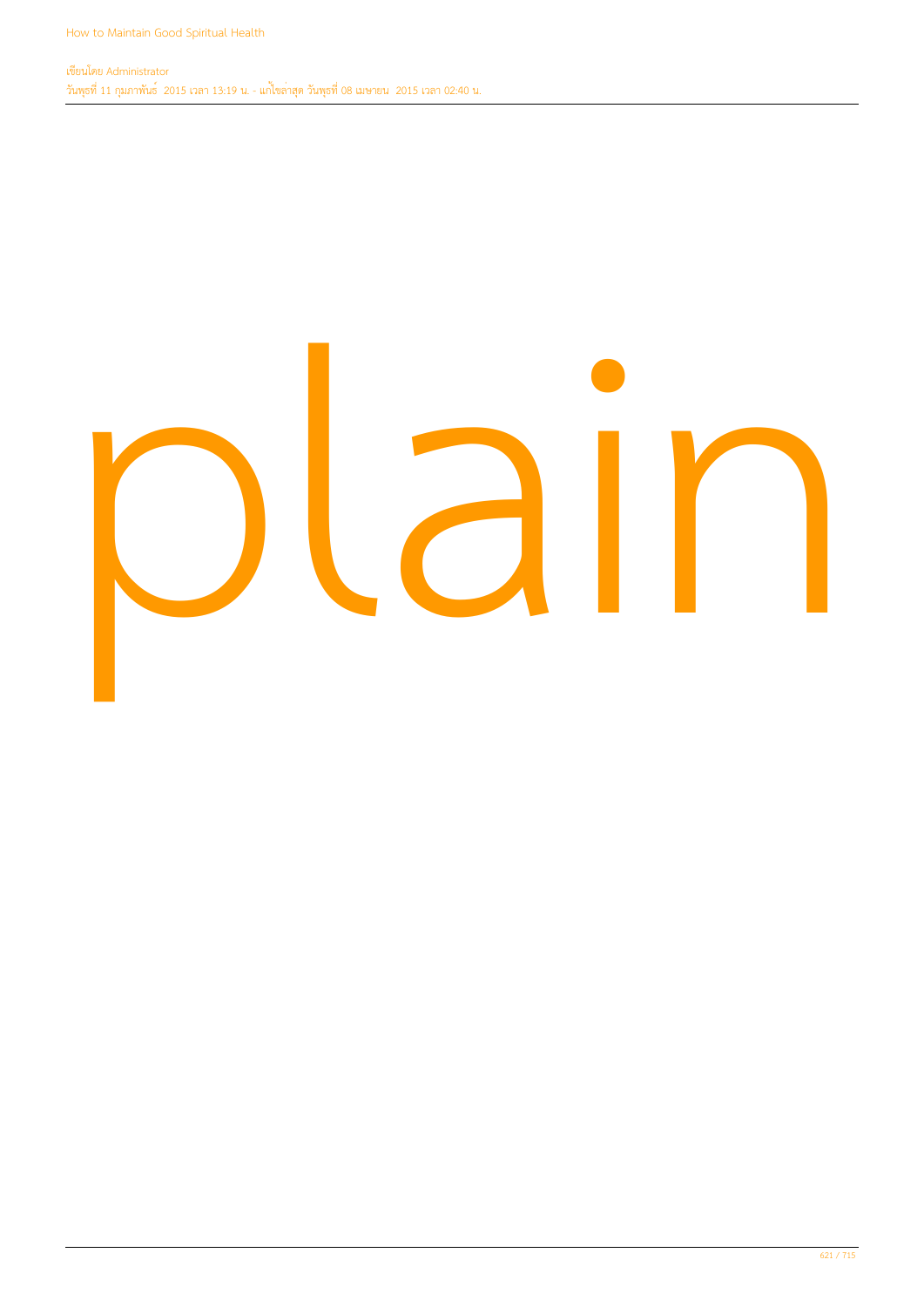# plain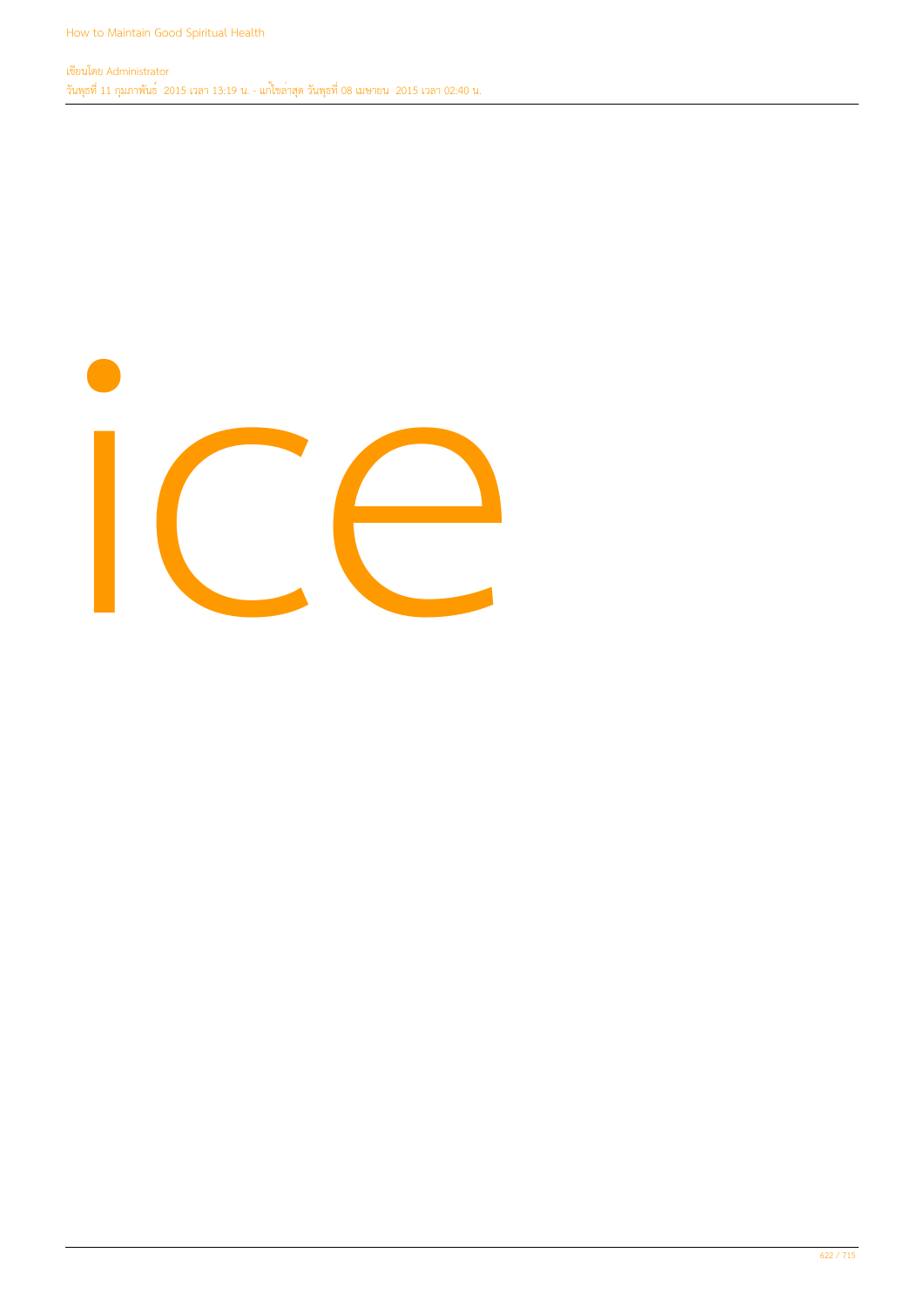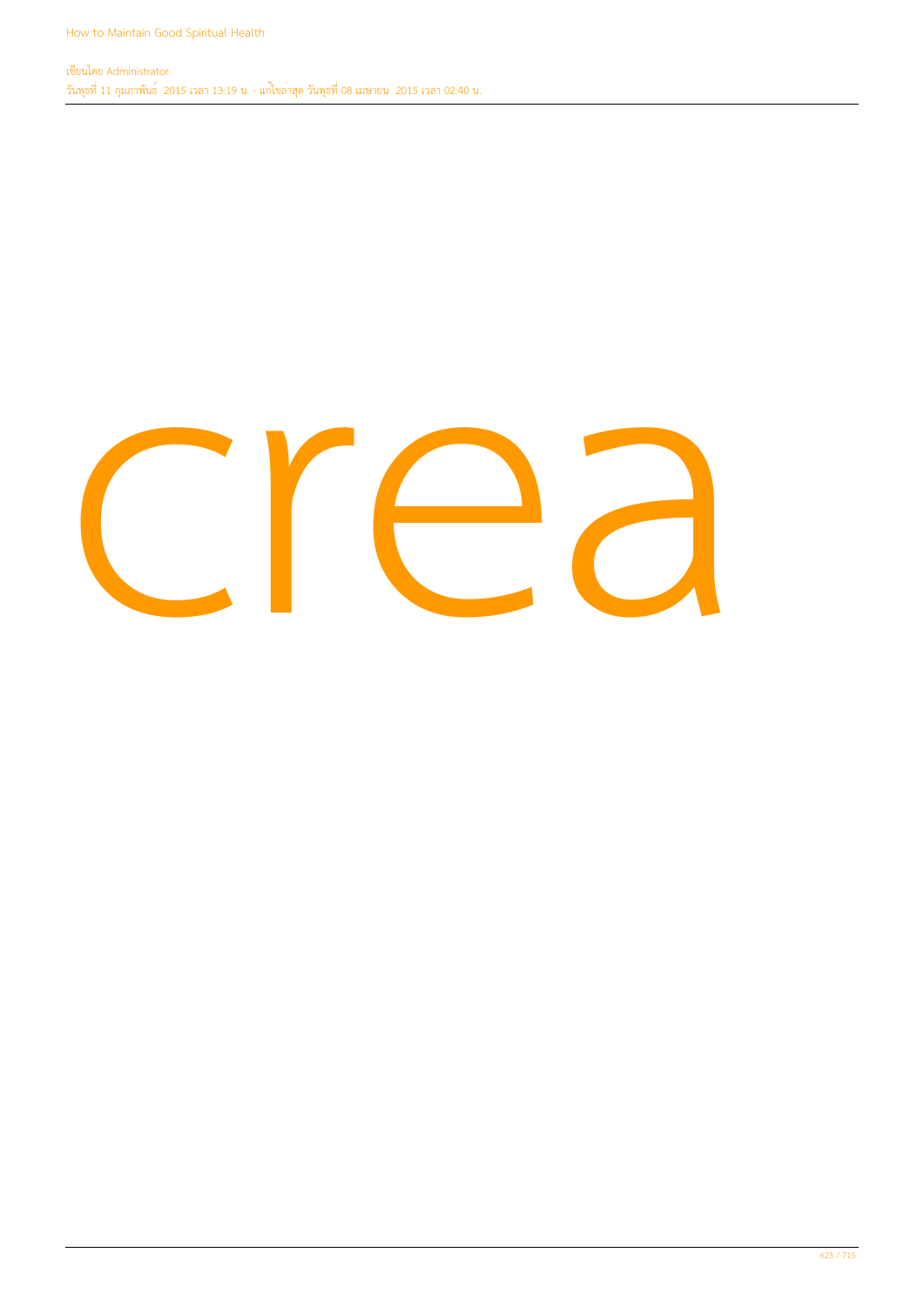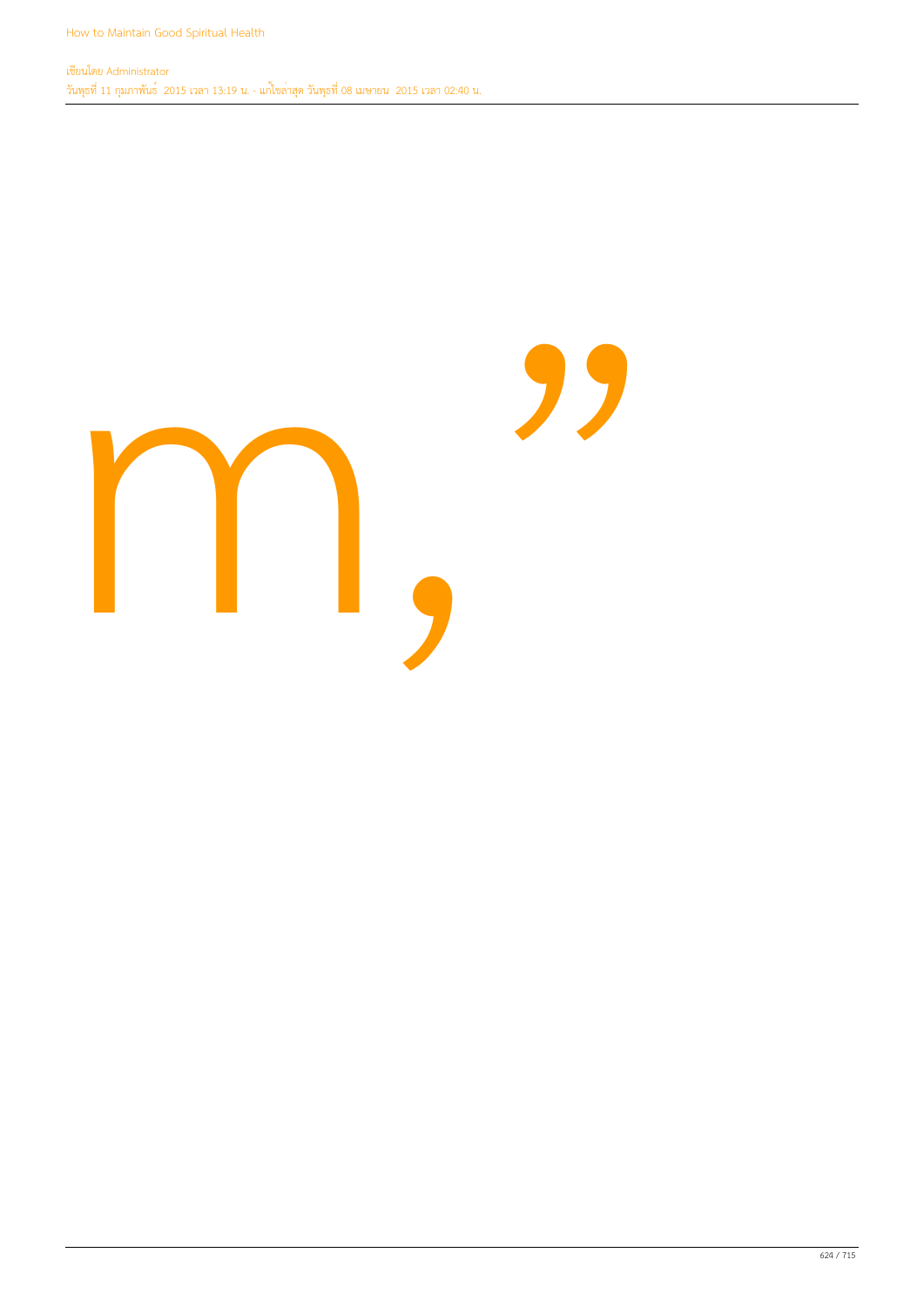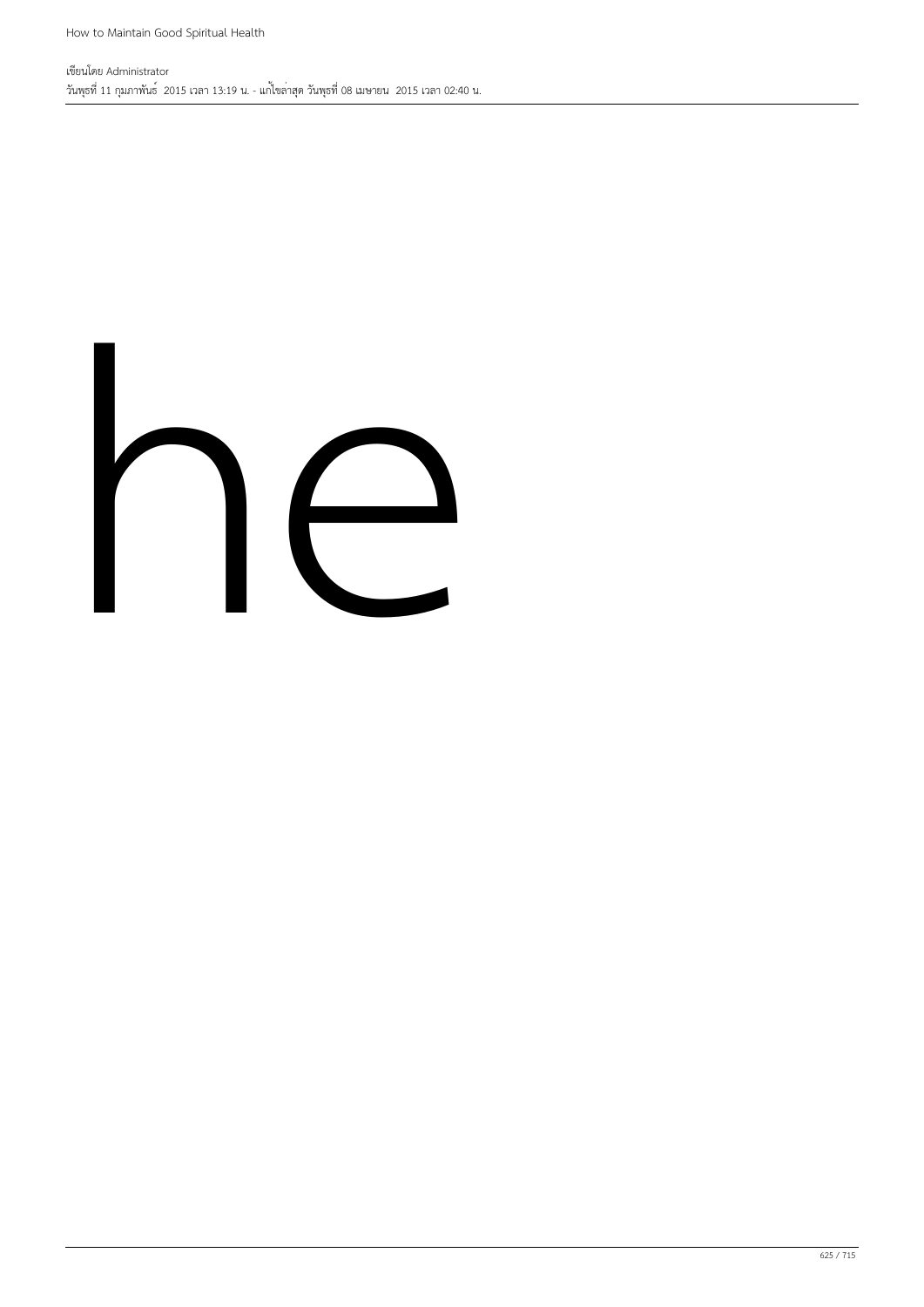### he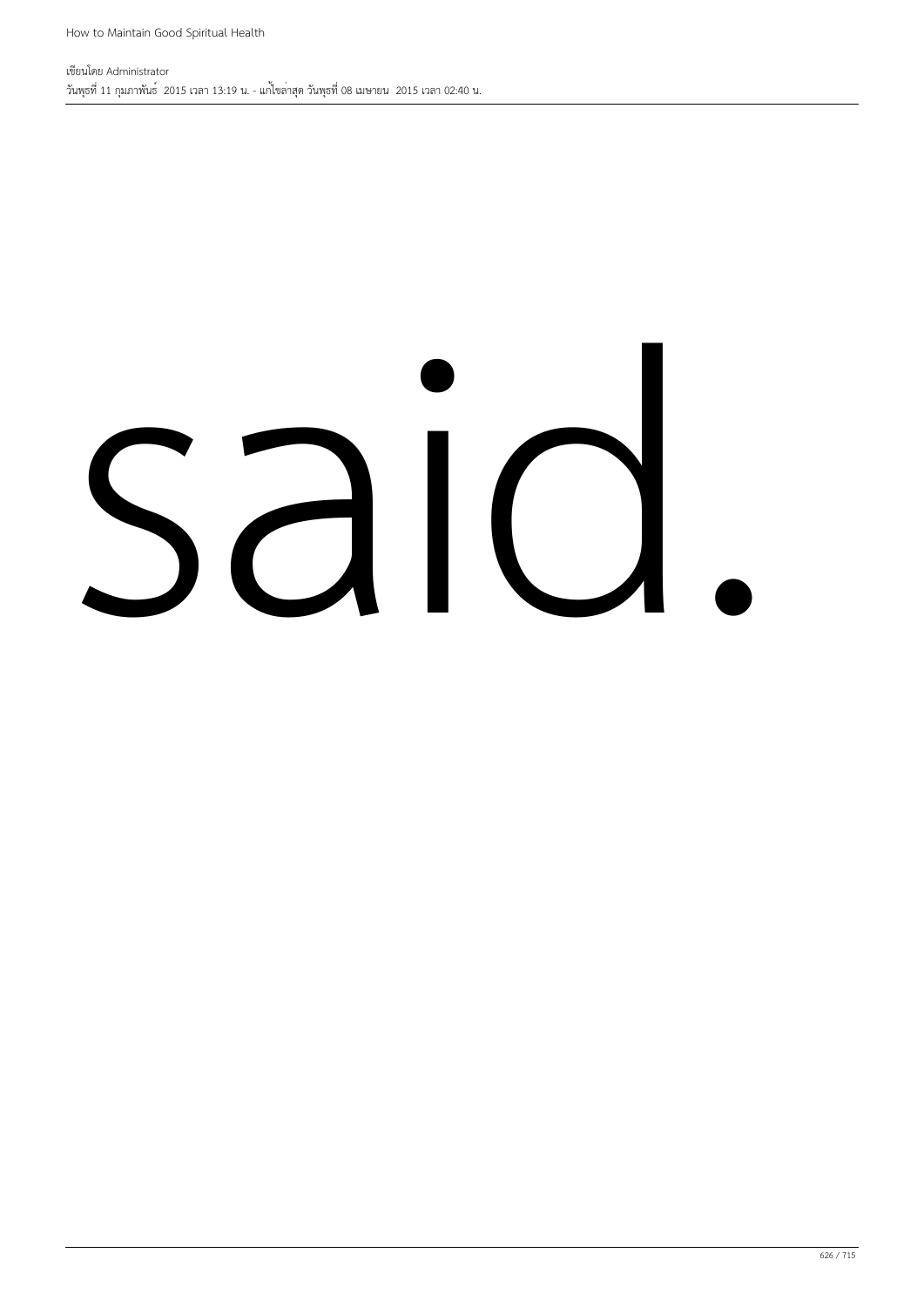## said.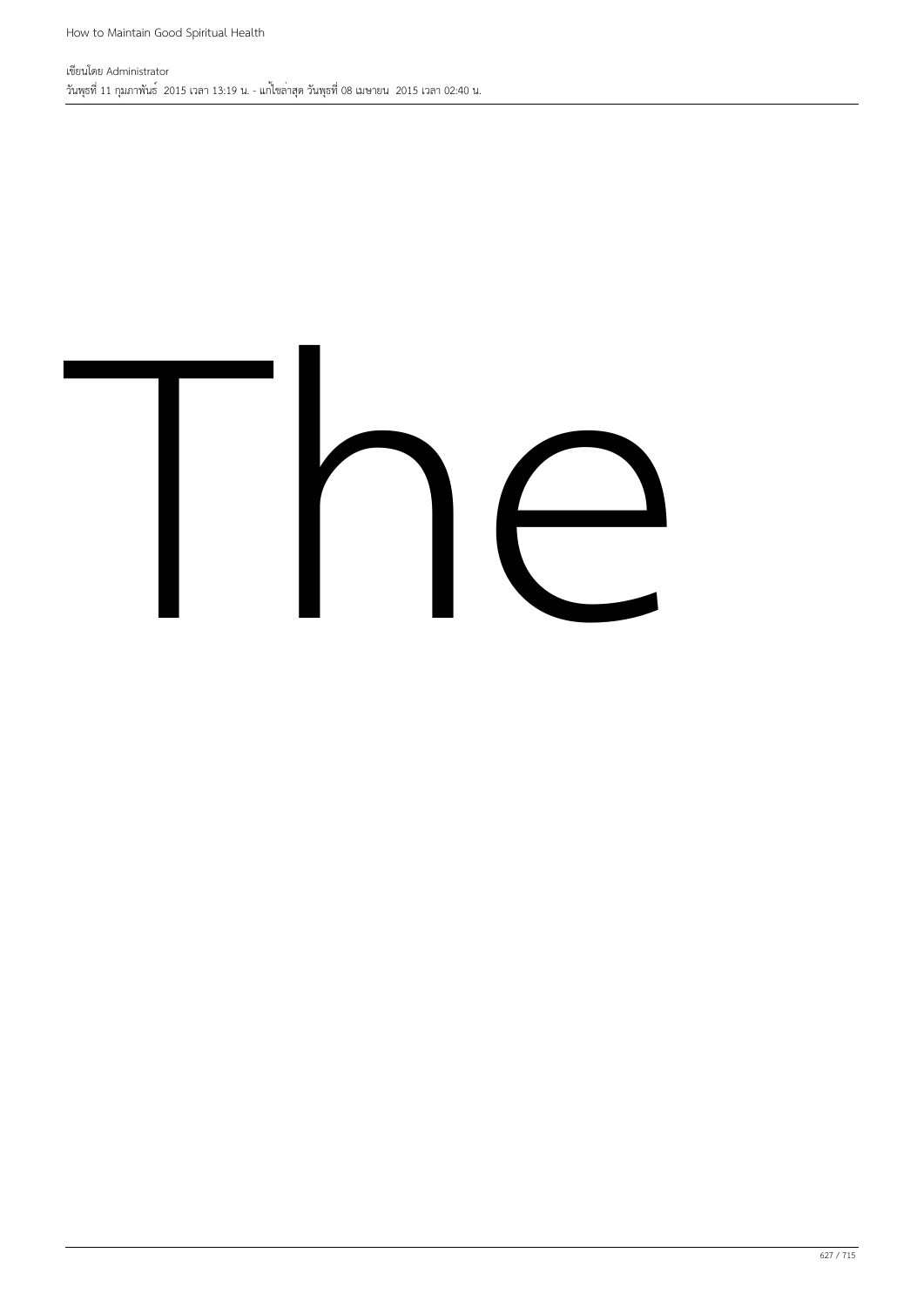### The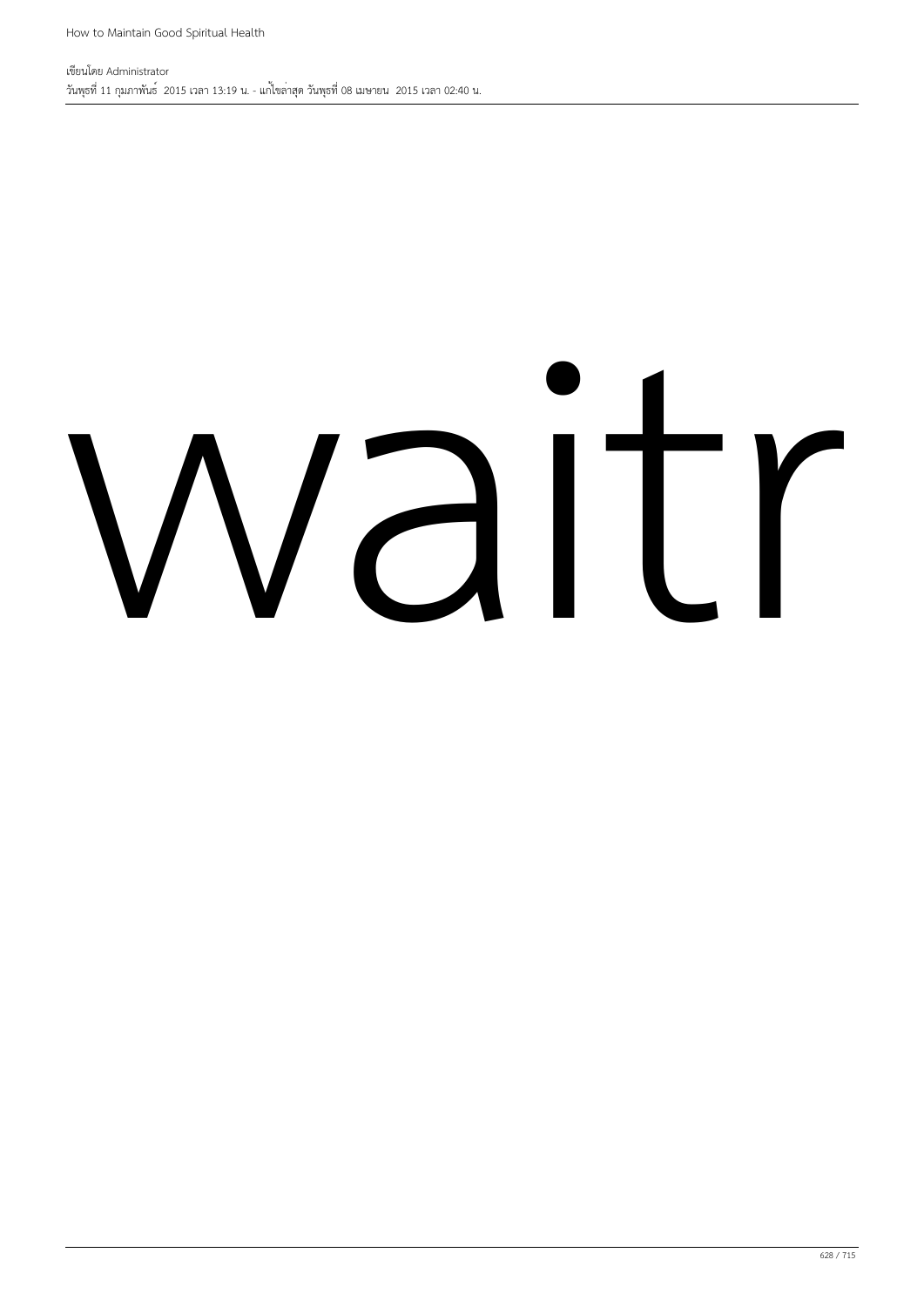### waitr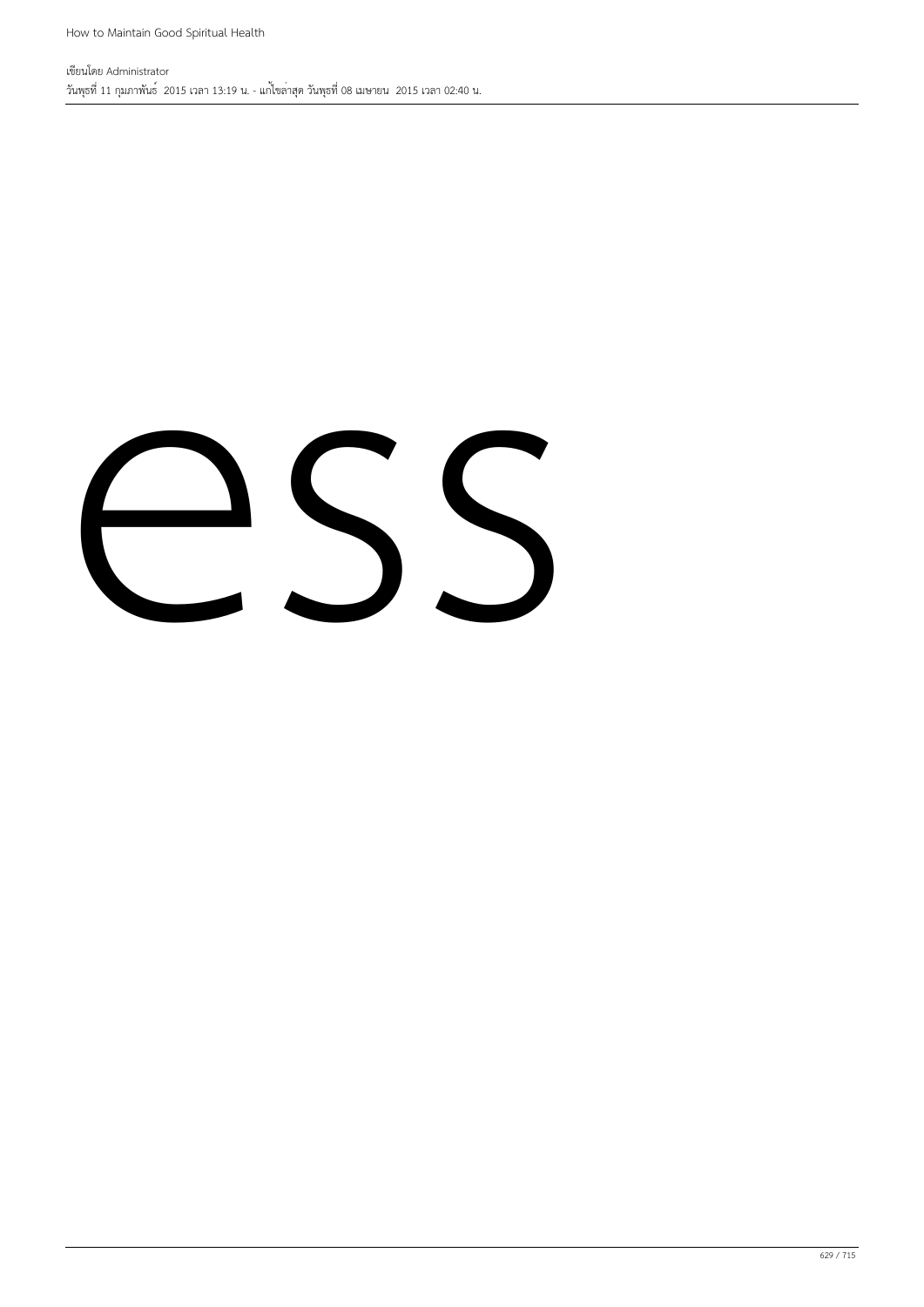### ess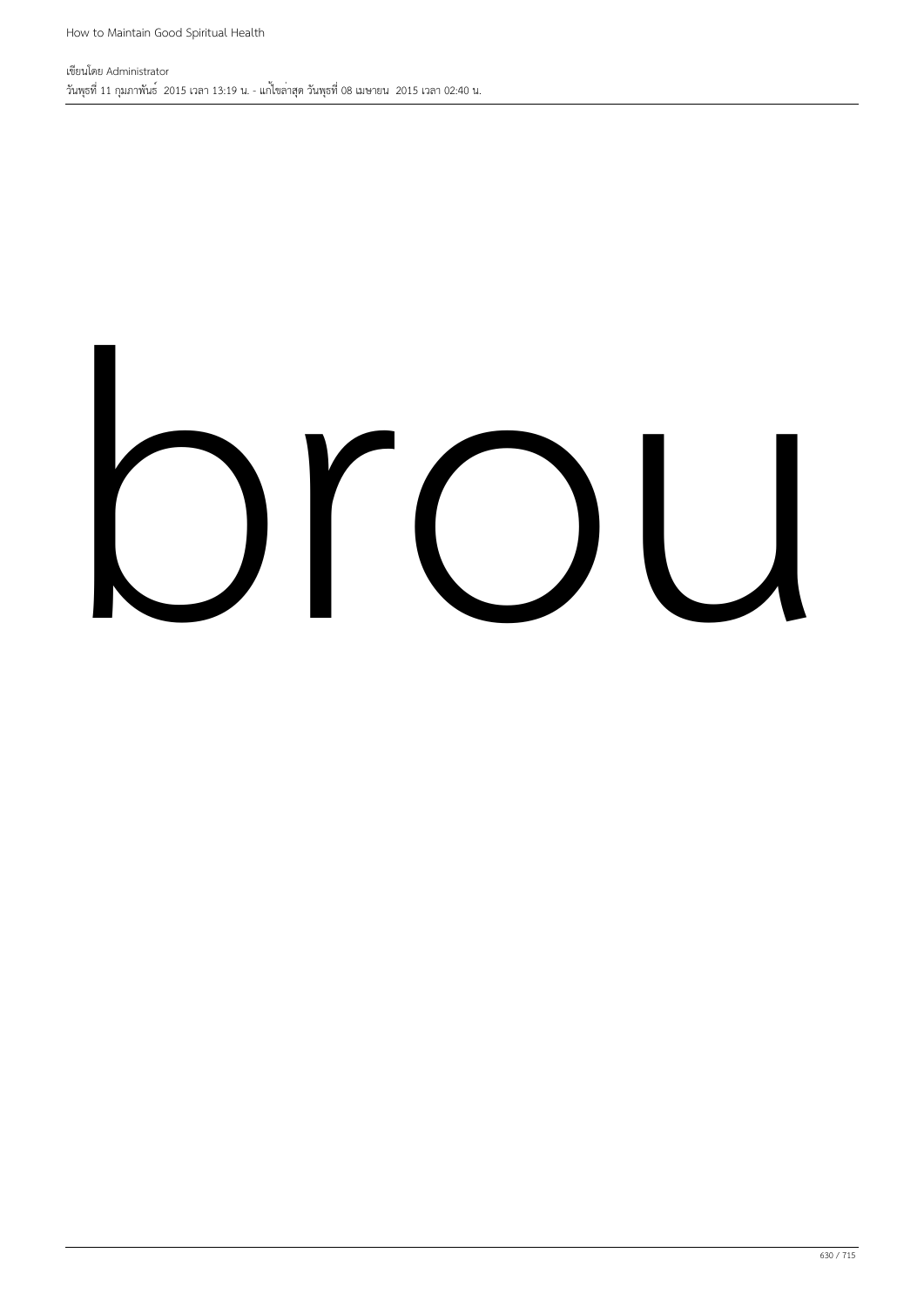### brou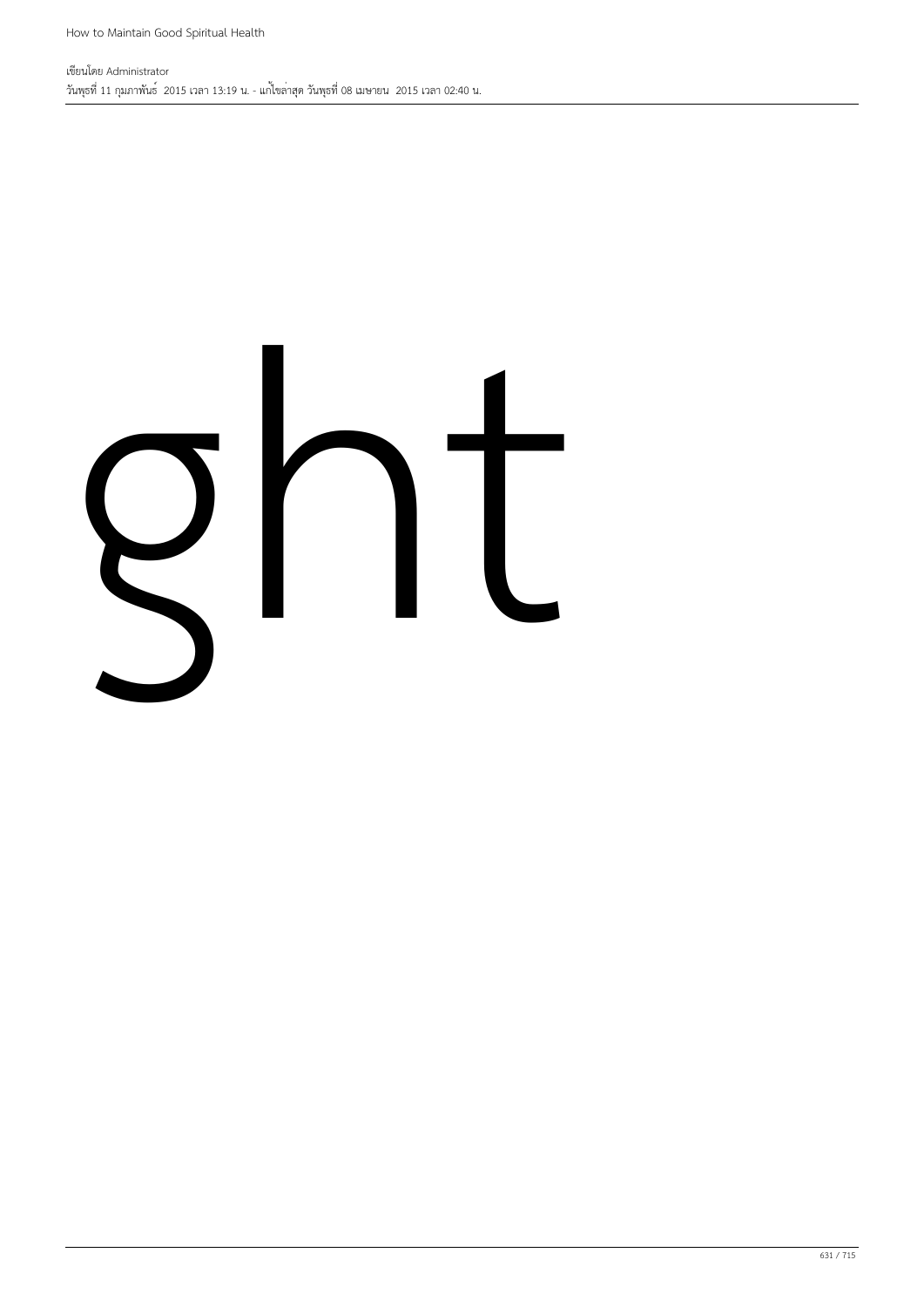# ght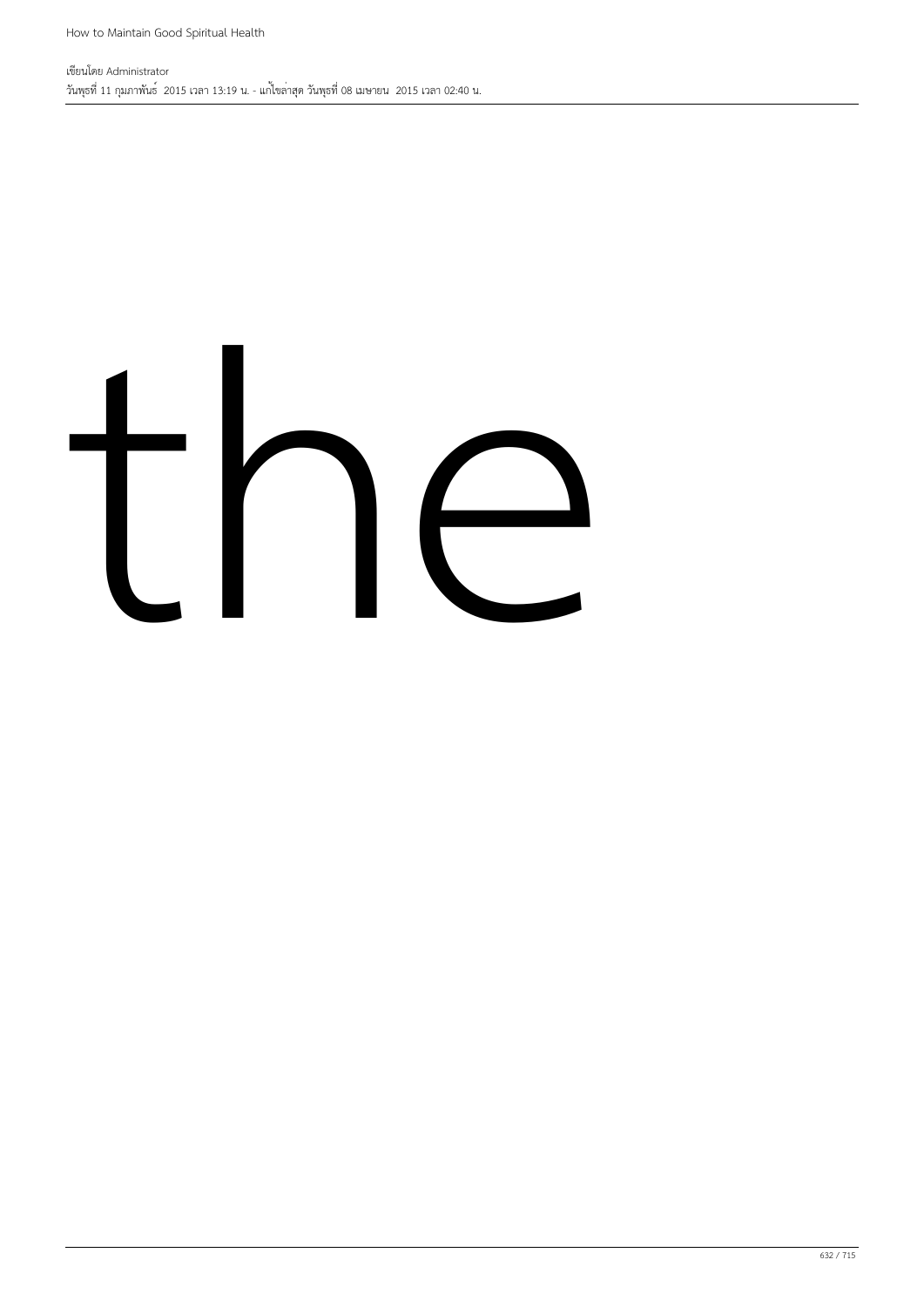### the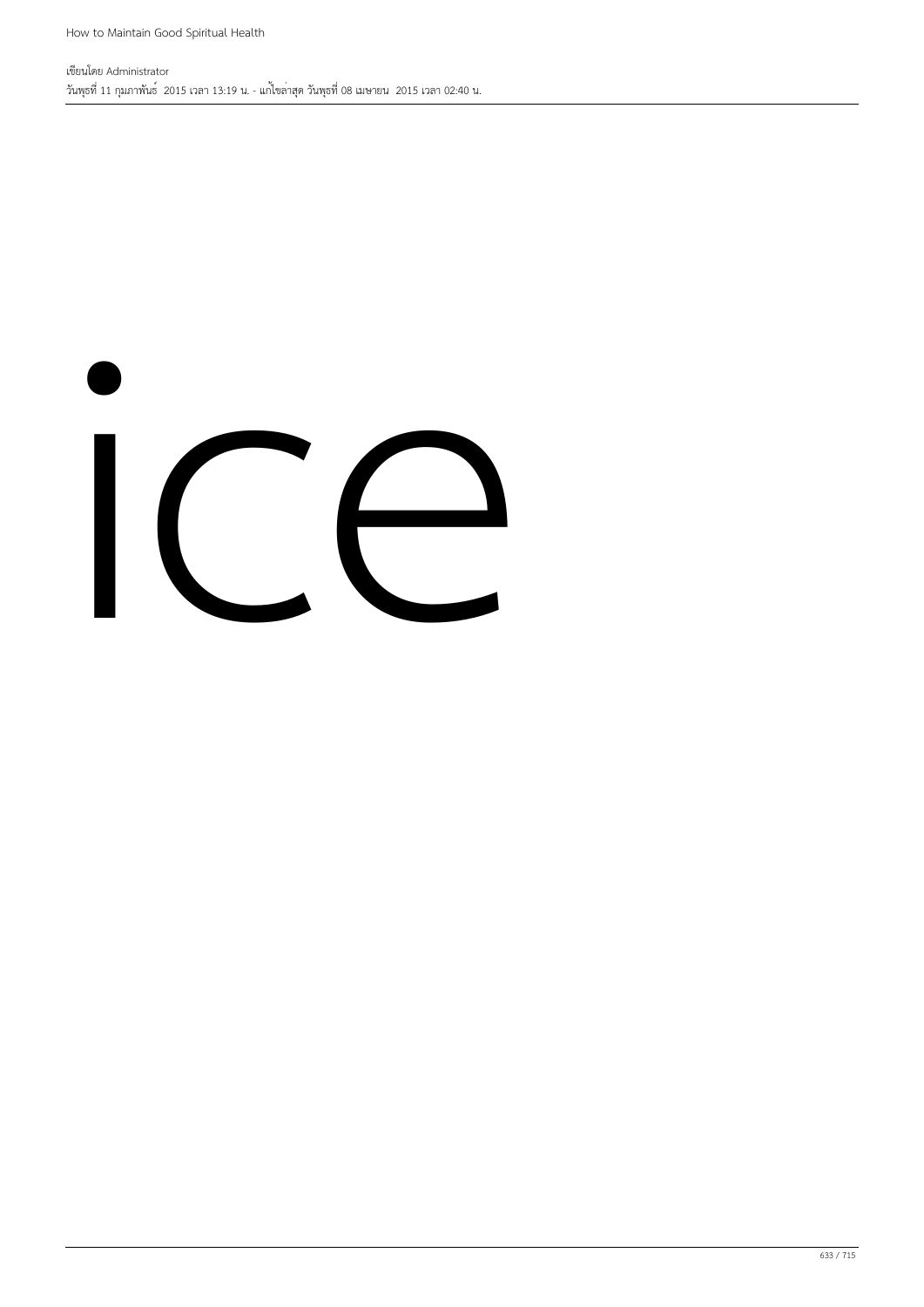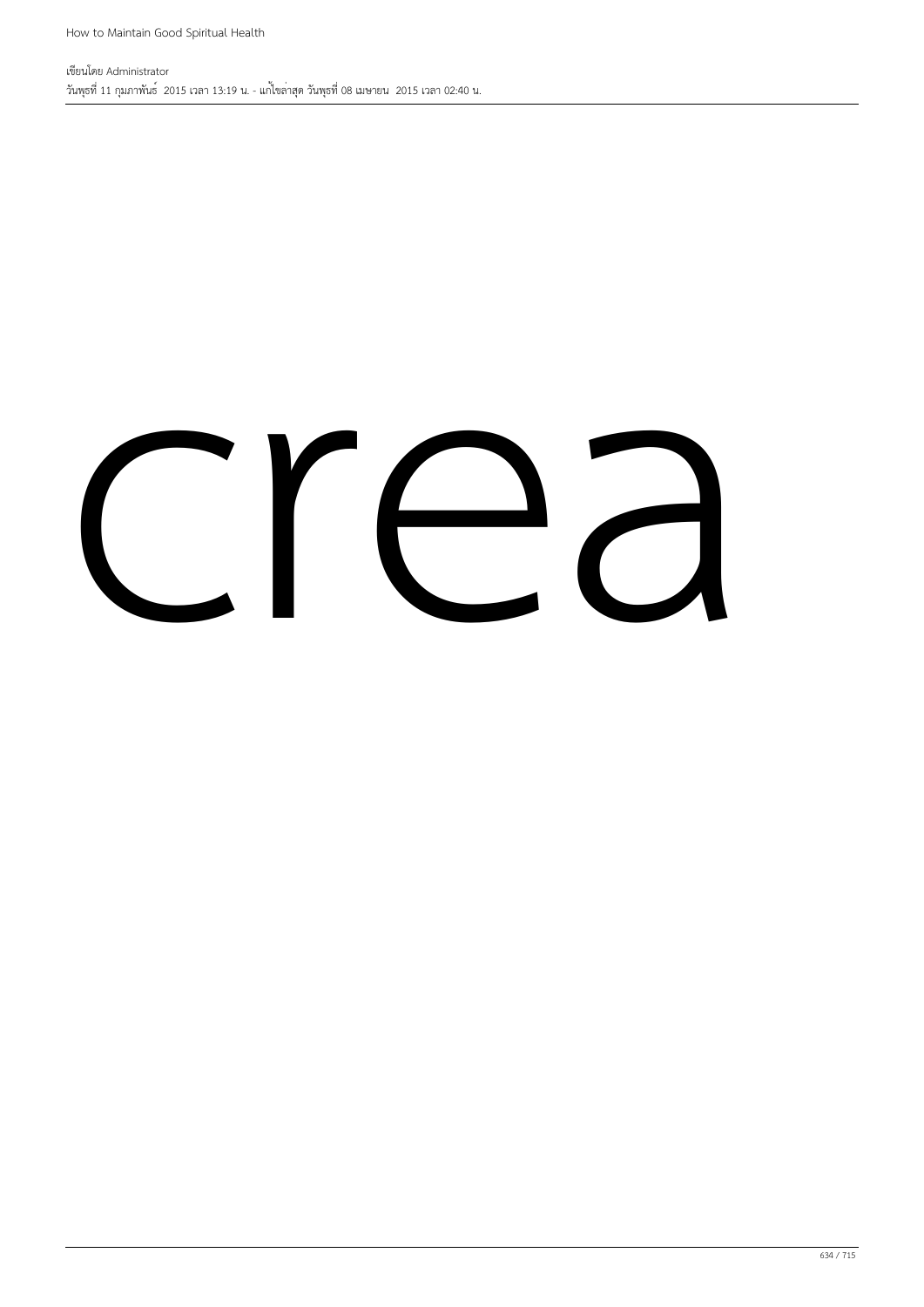### crea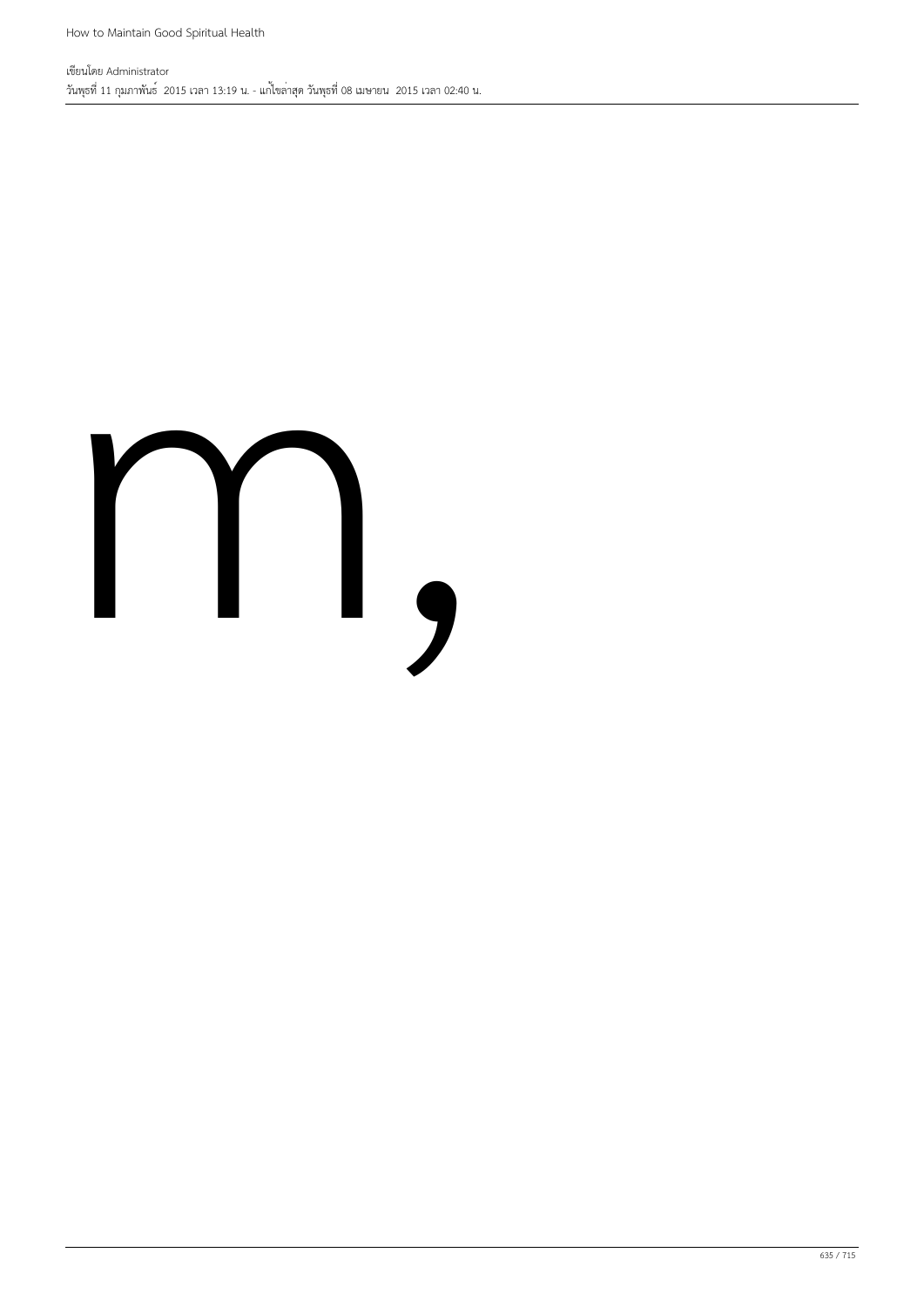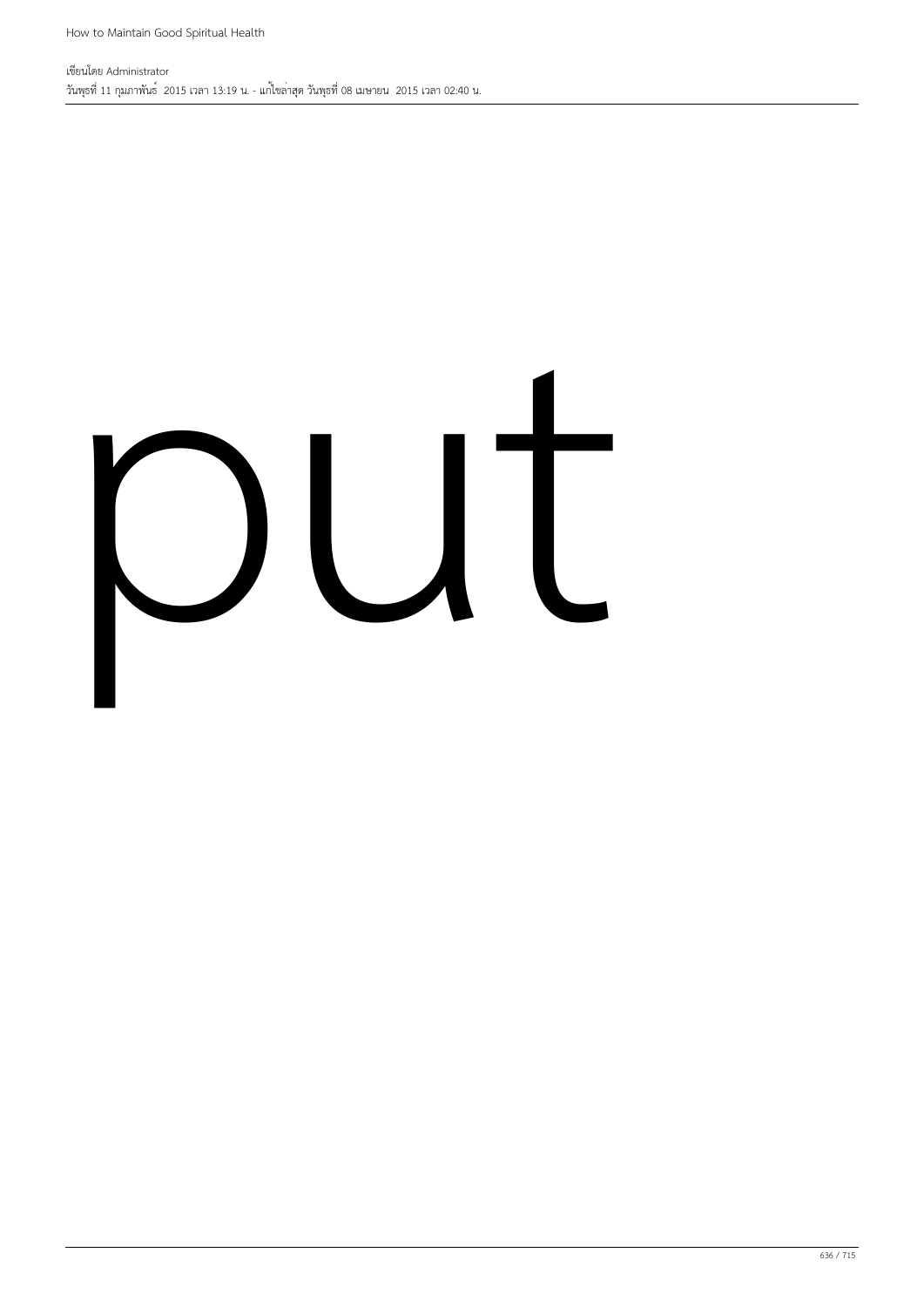## OUT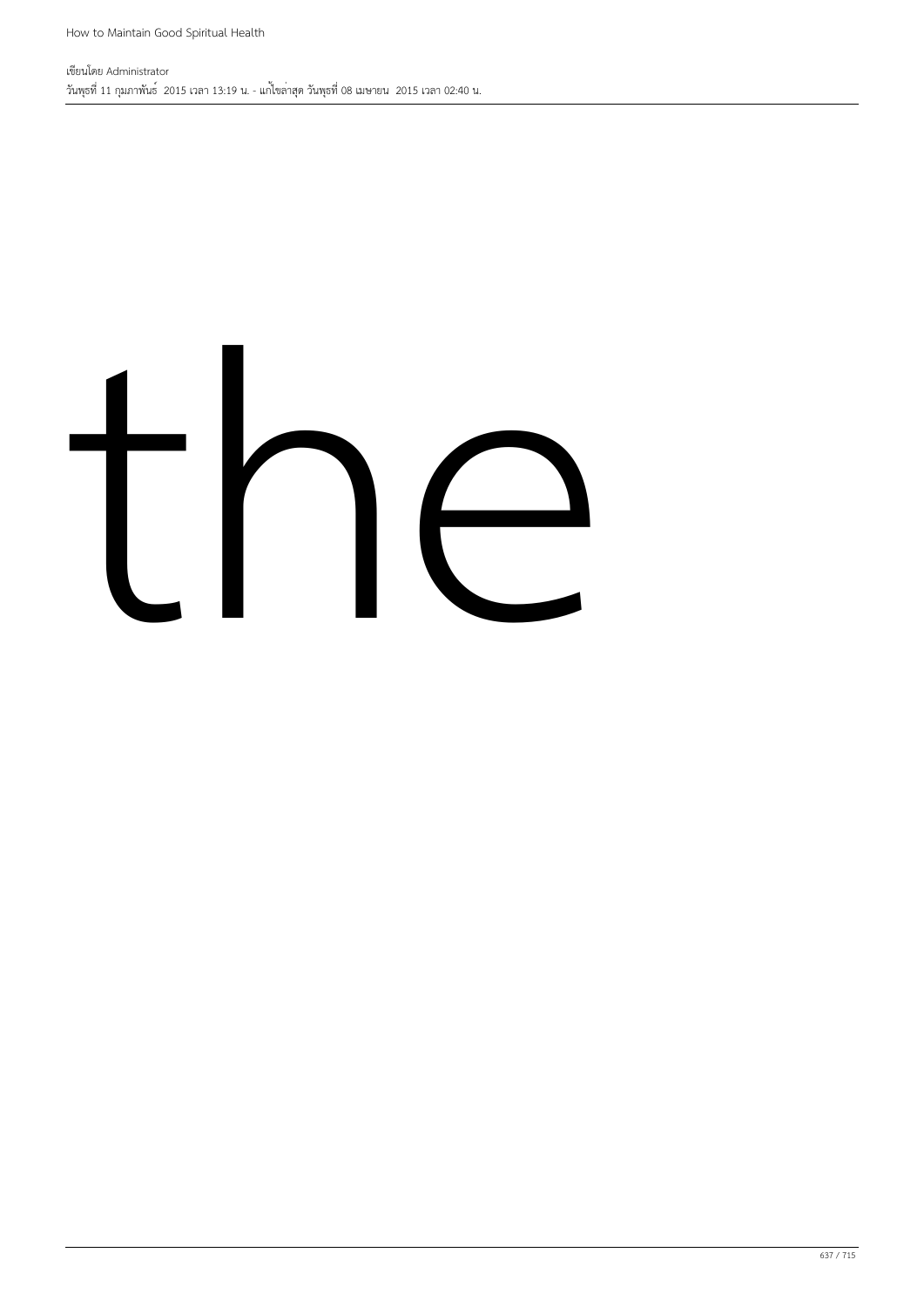### the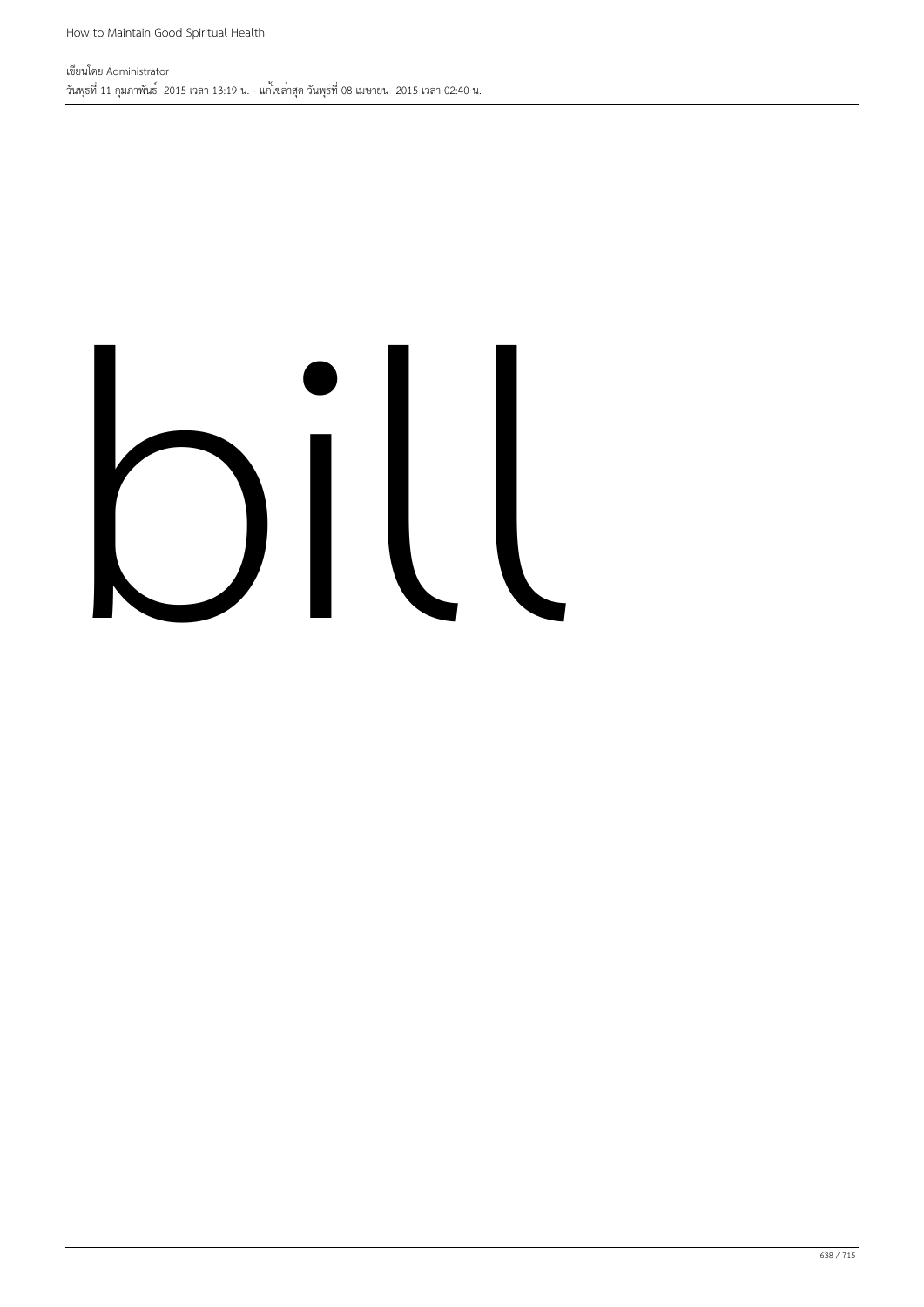## bill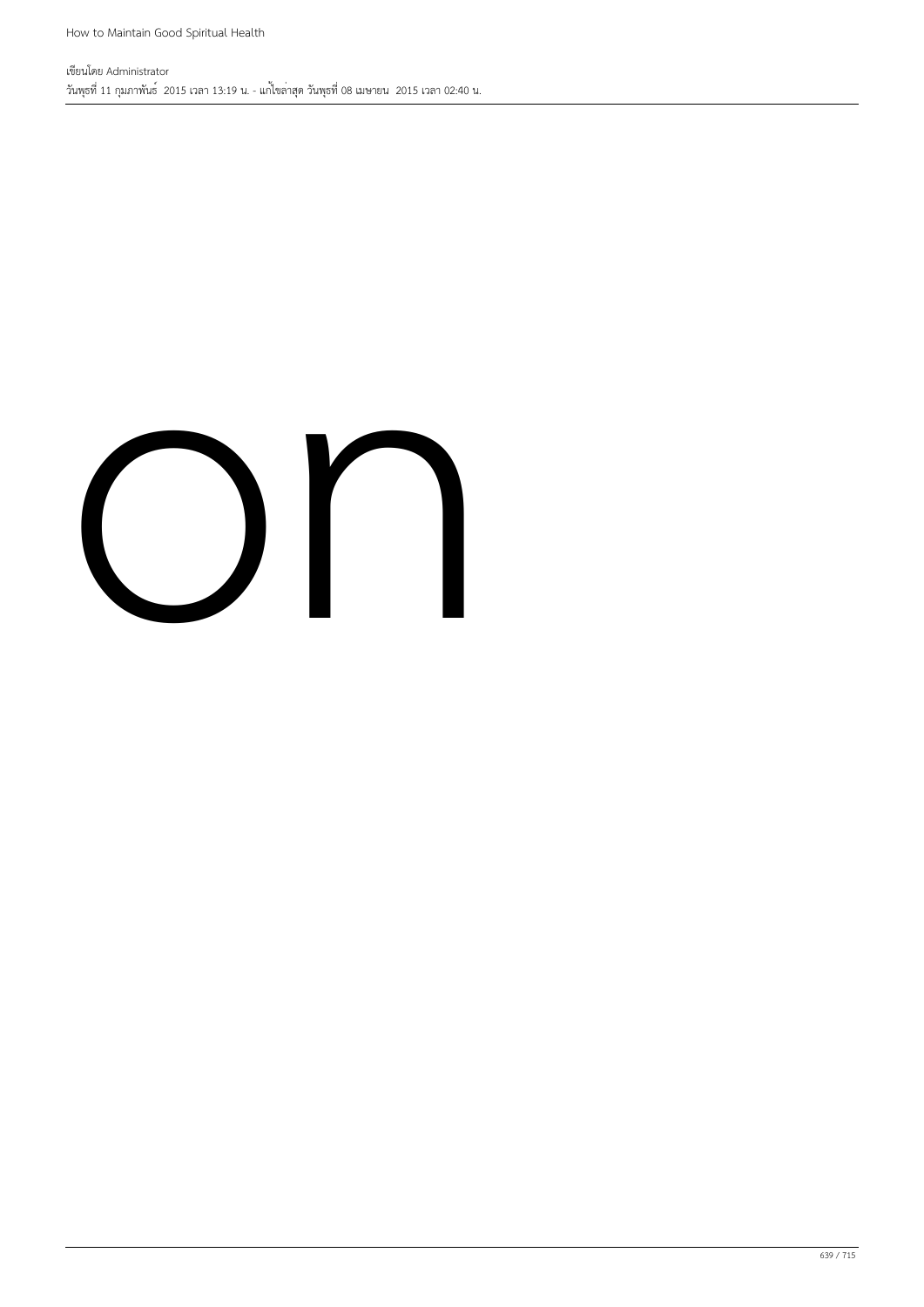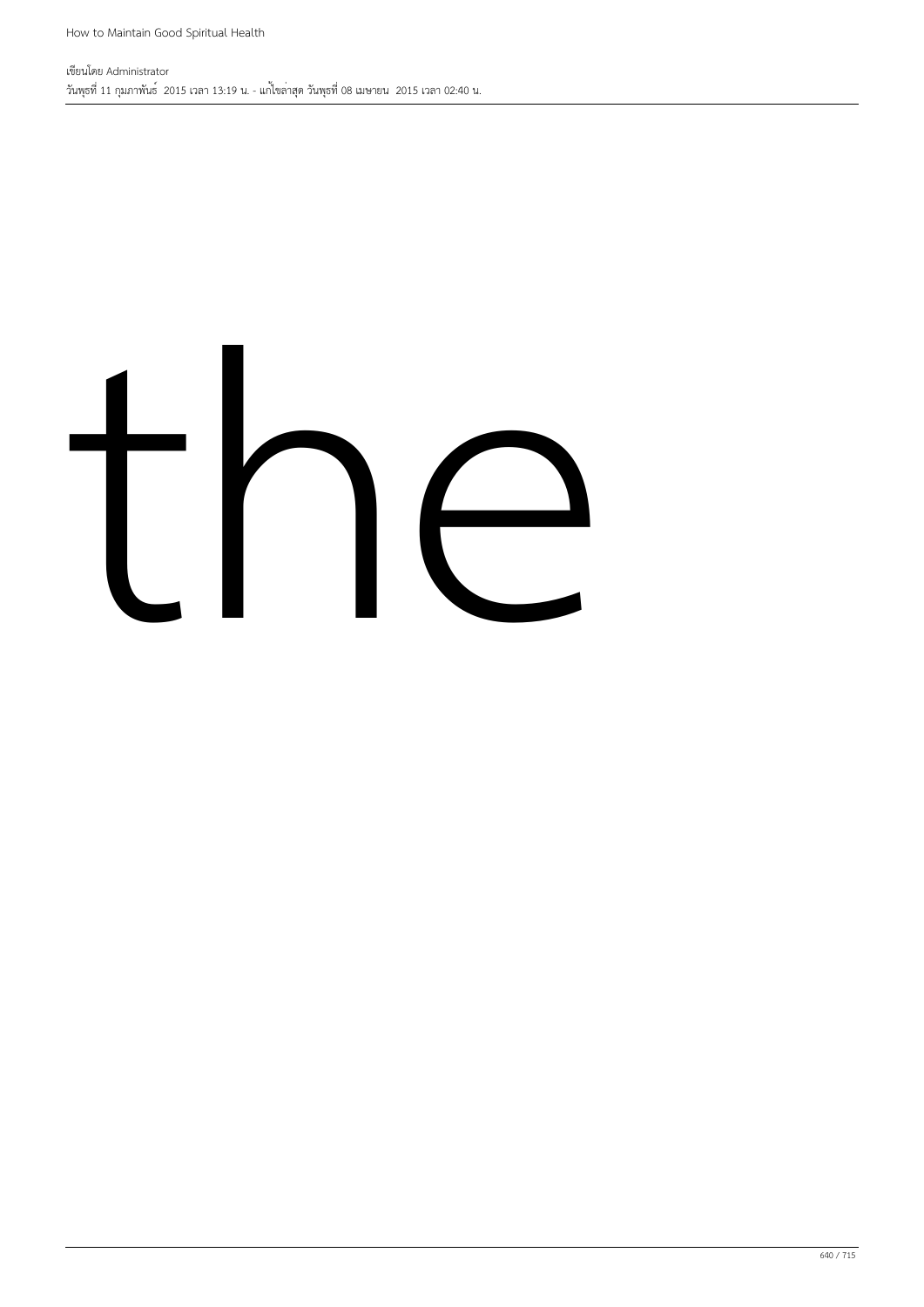### the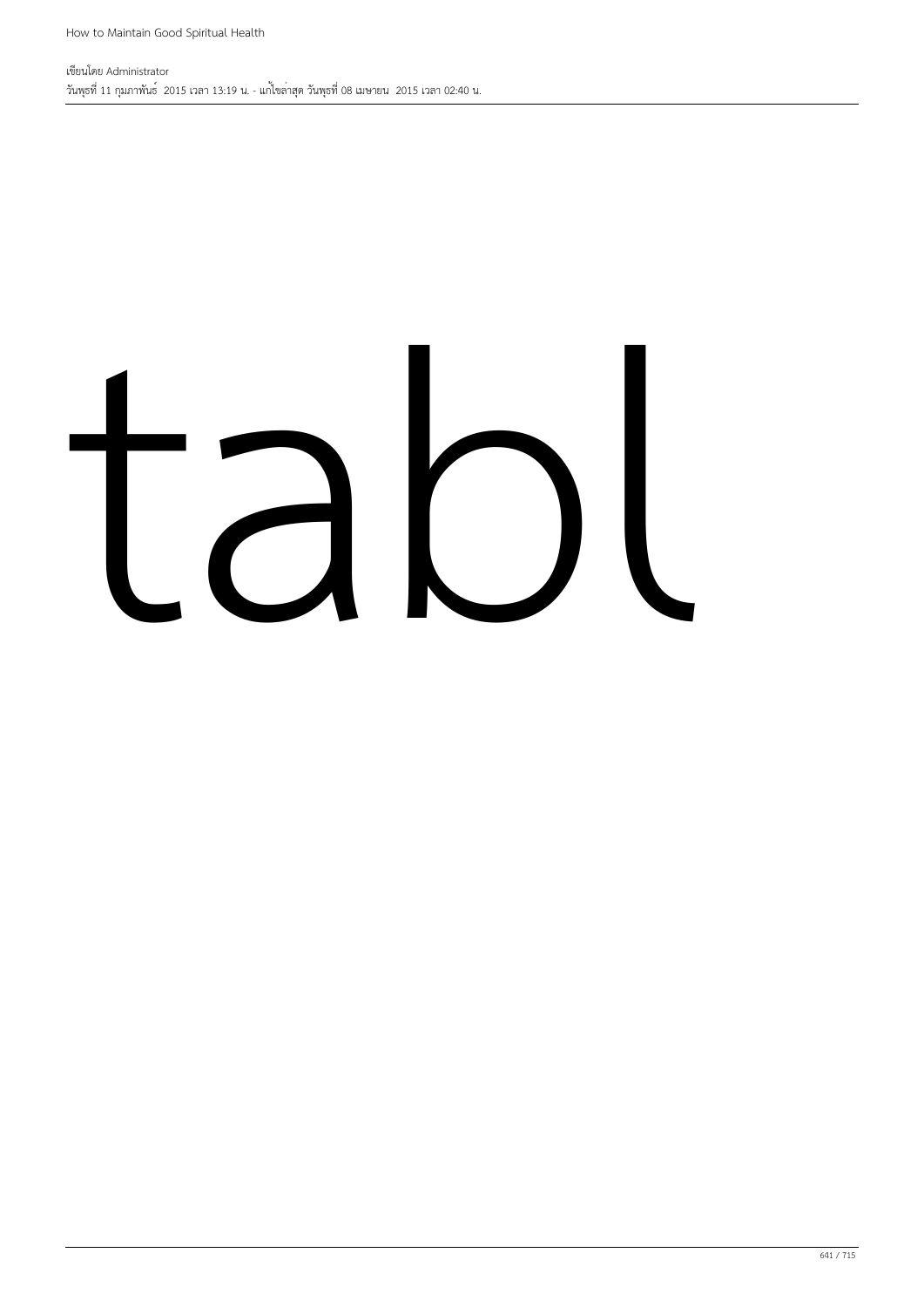## tabl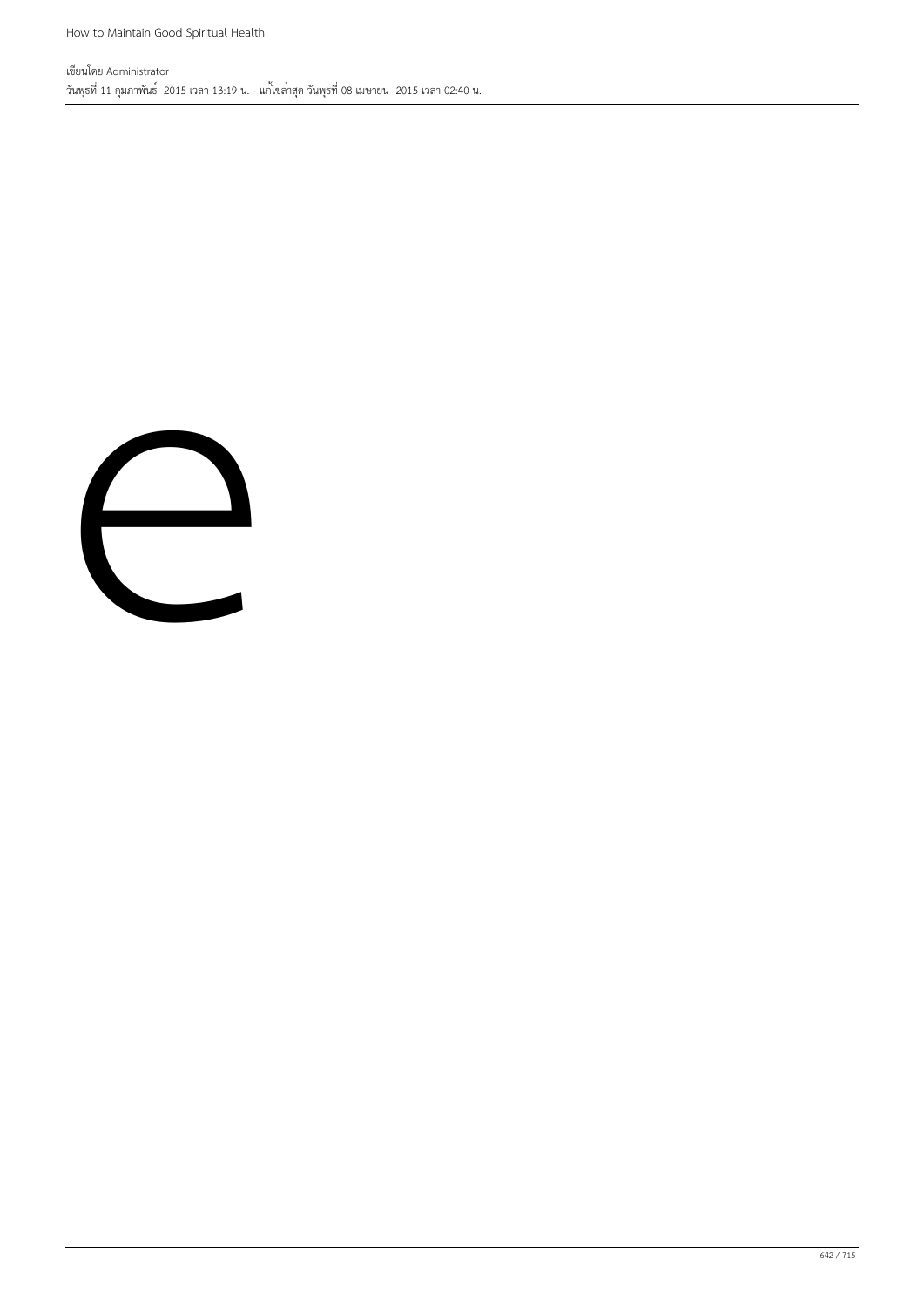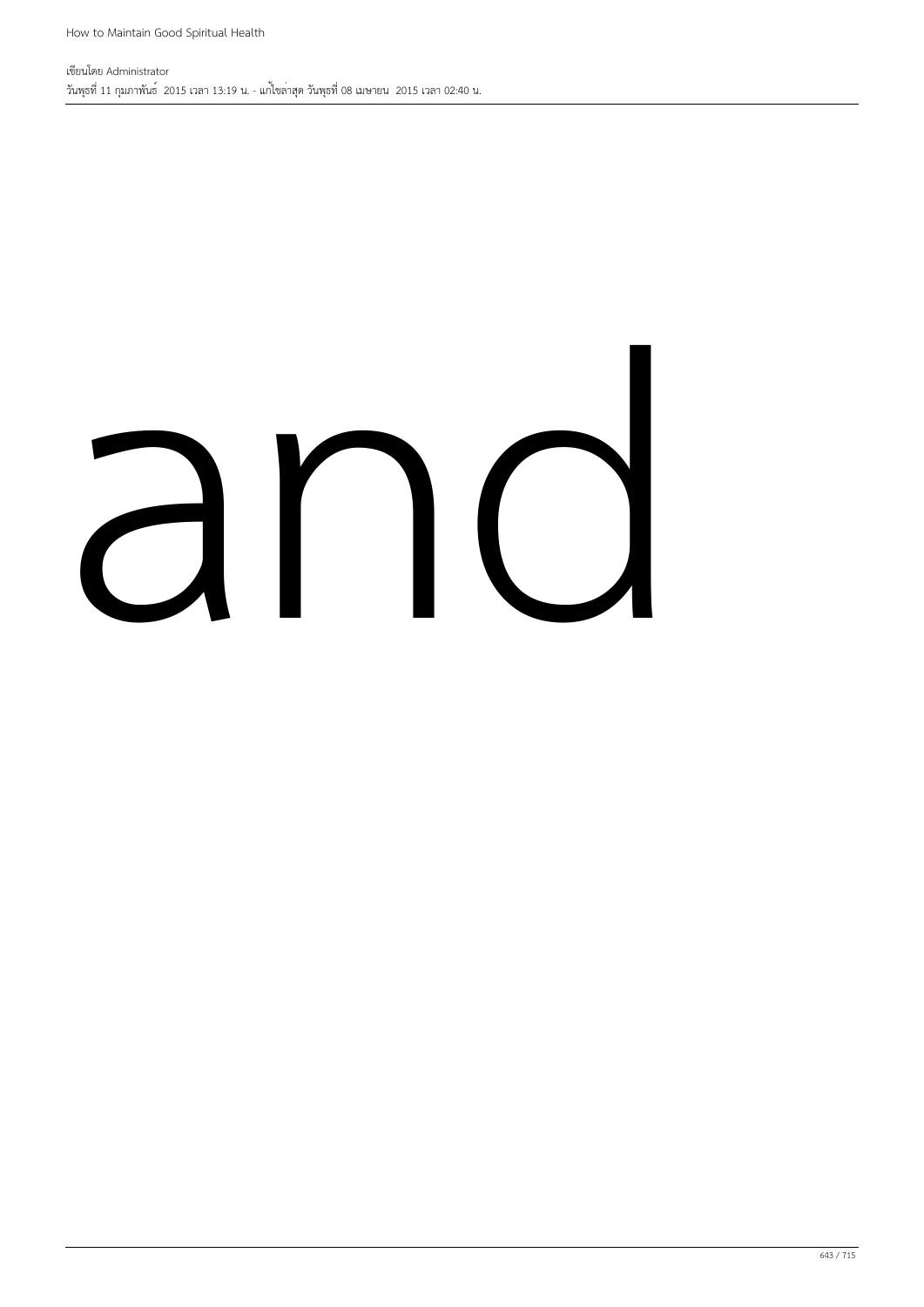### and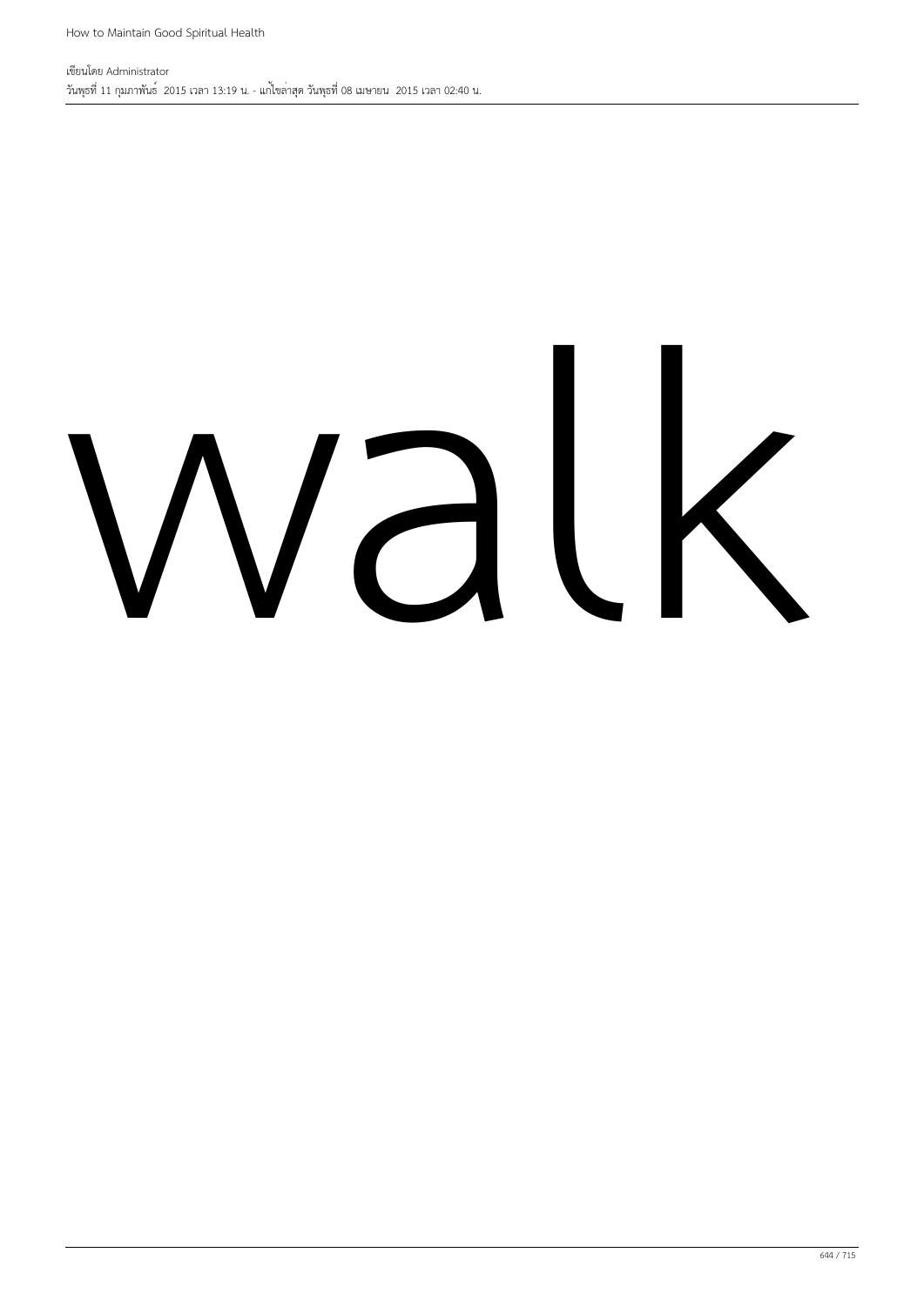### walk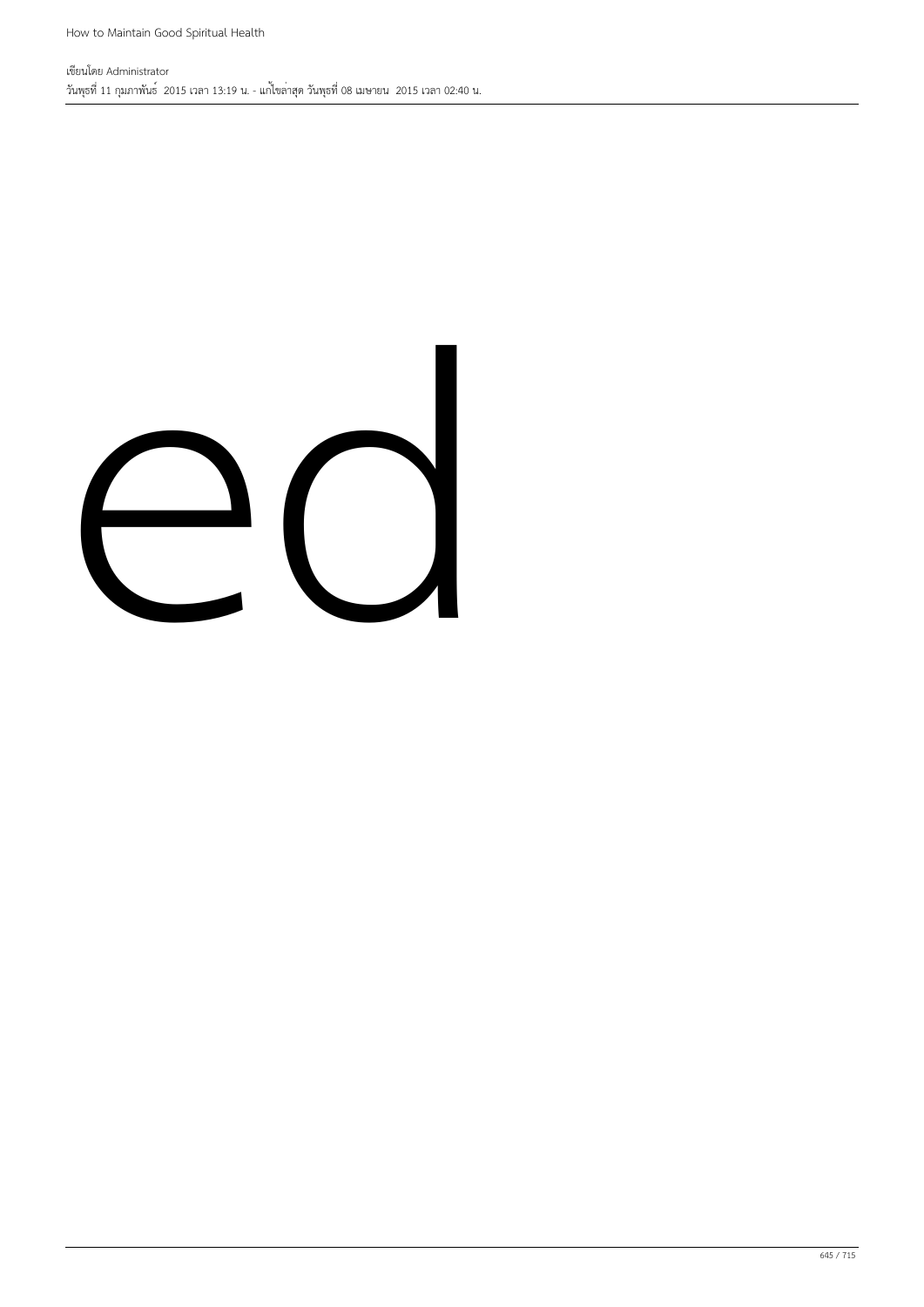### ed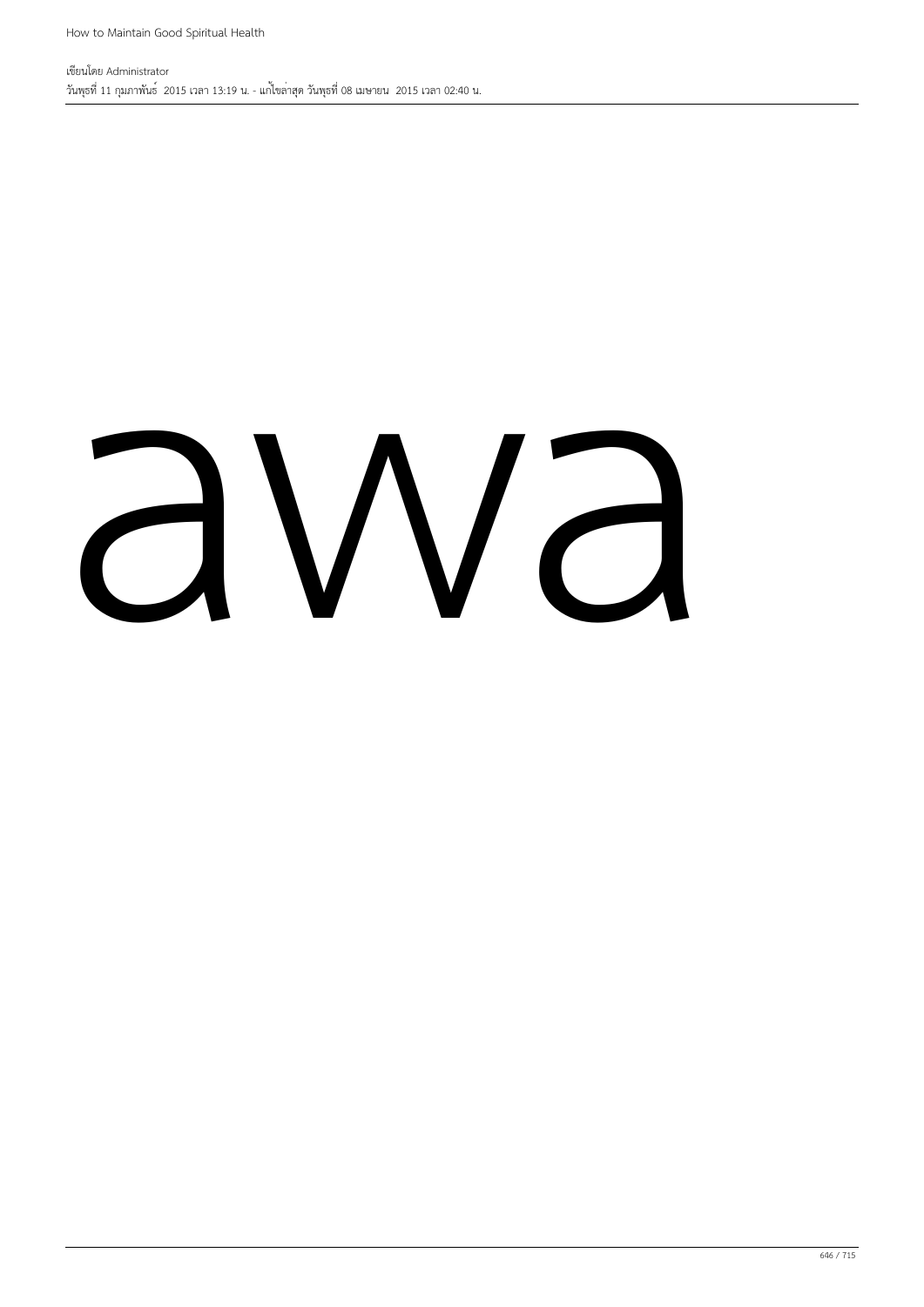### awa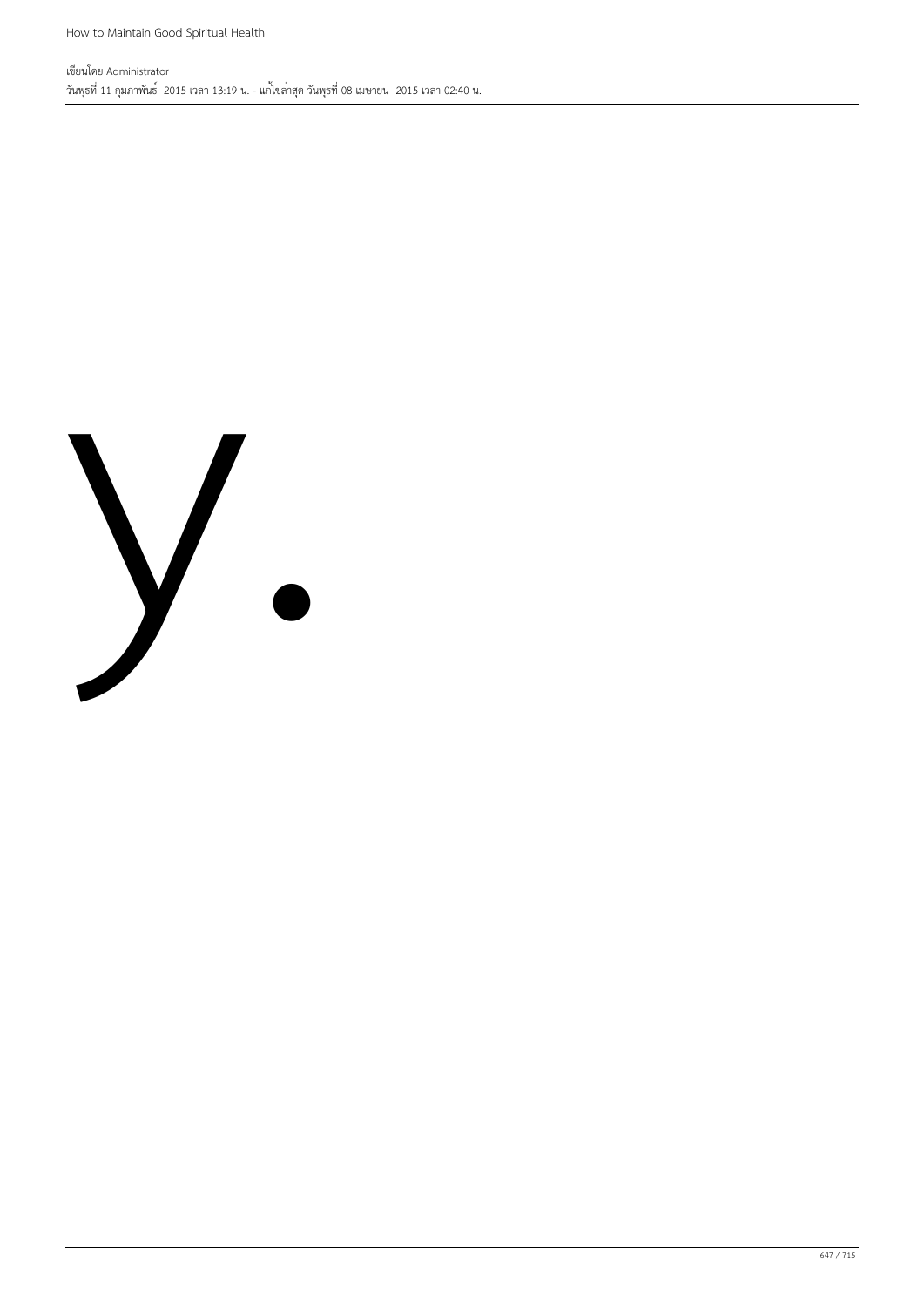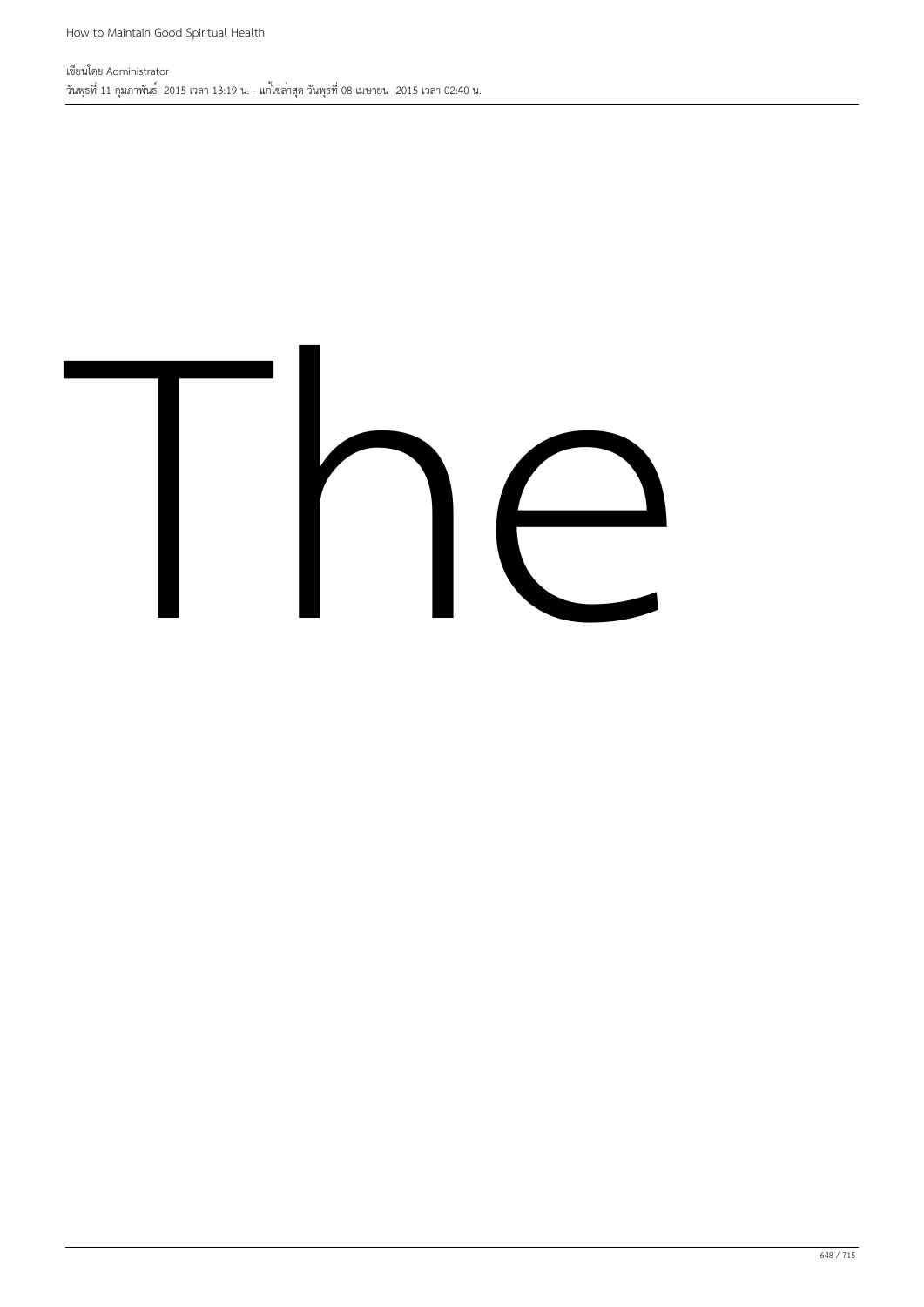### The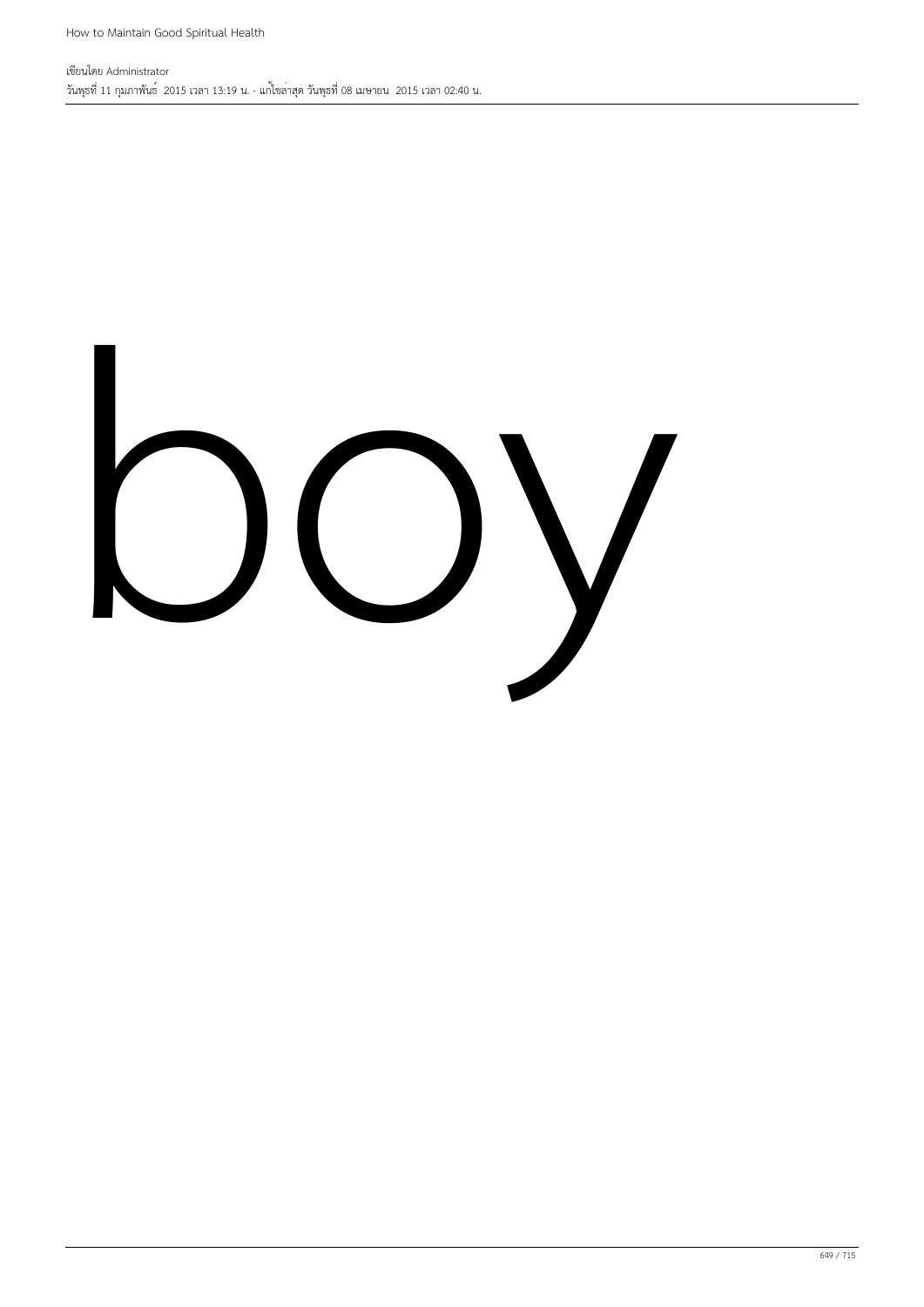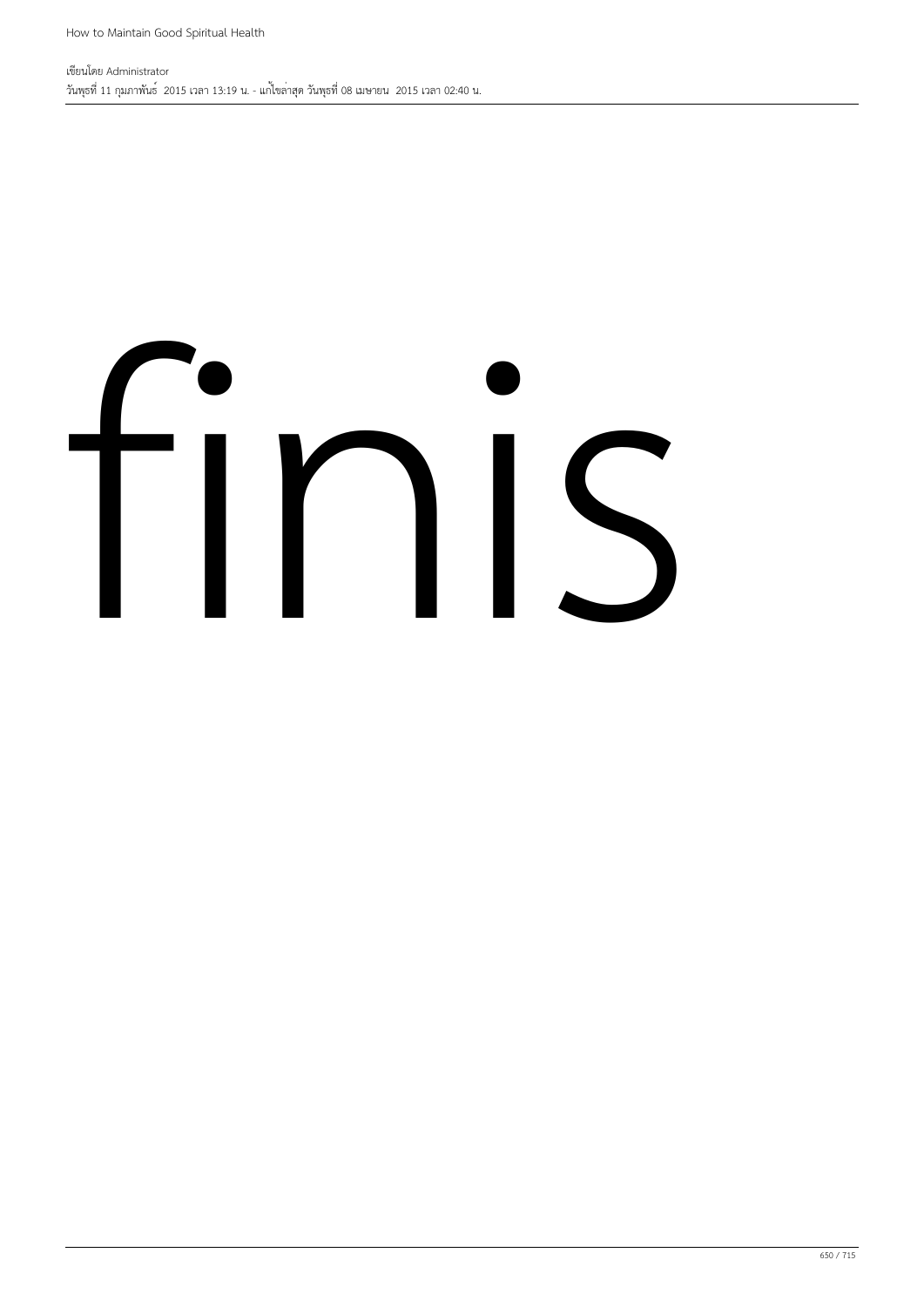# finis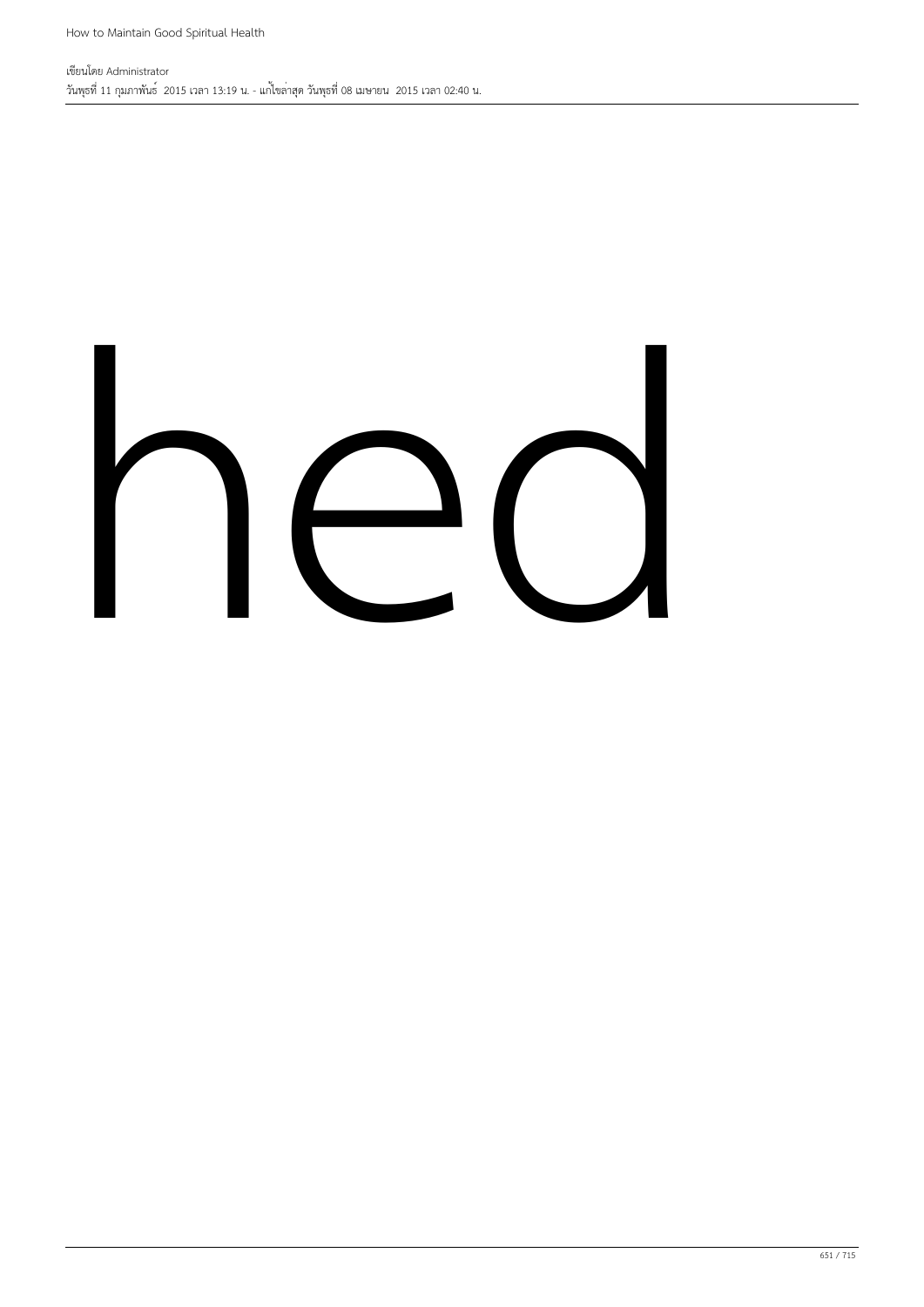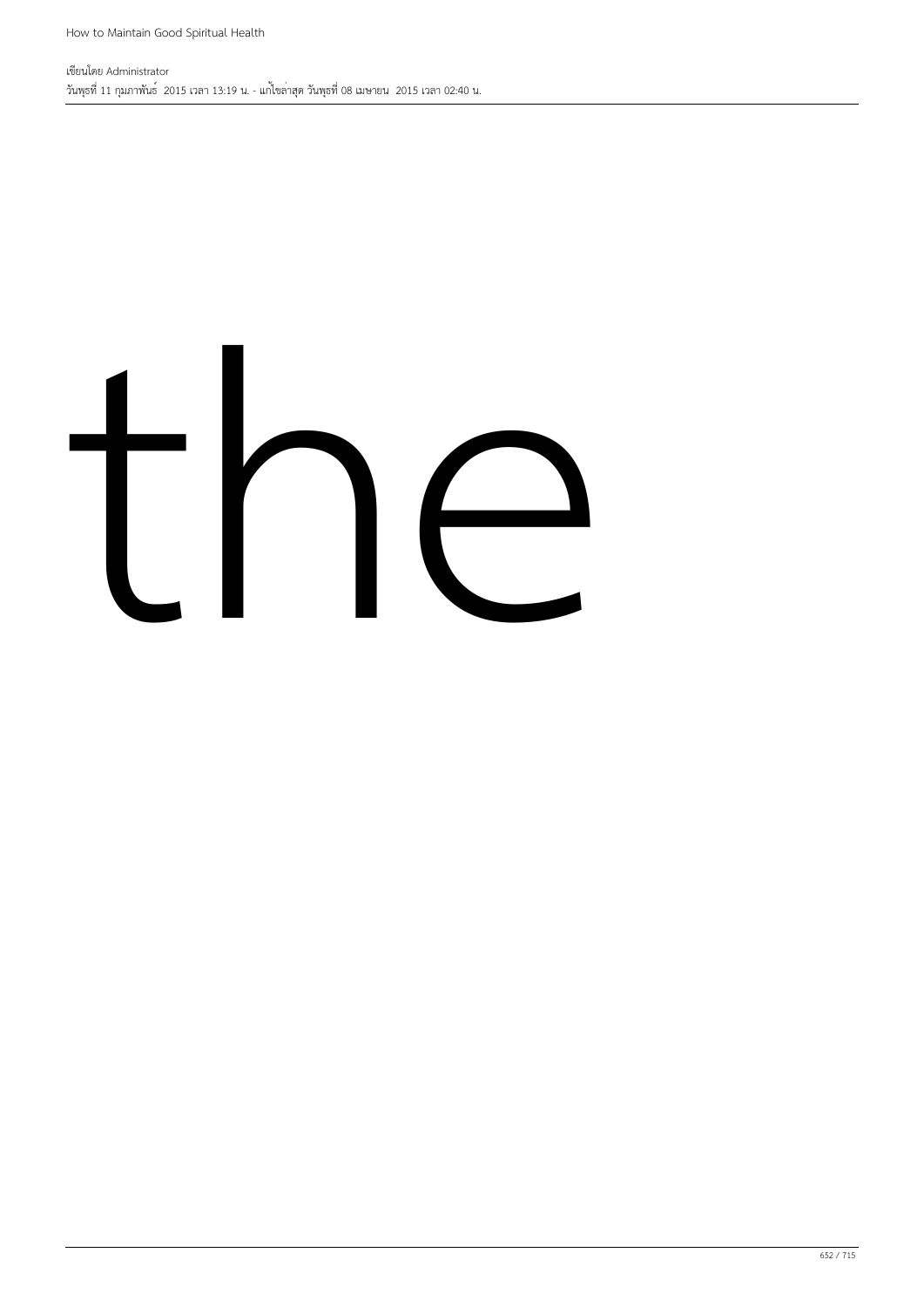# the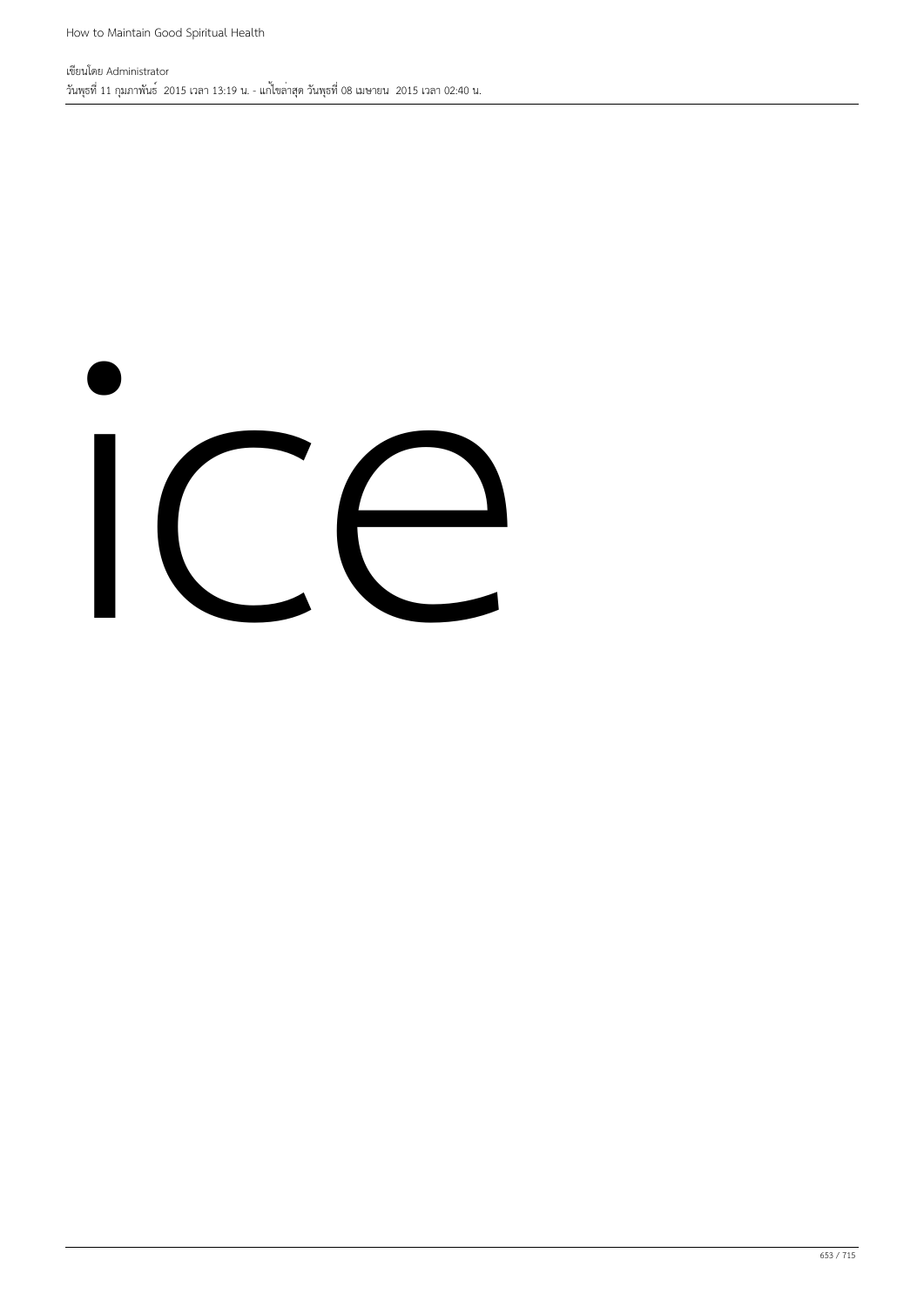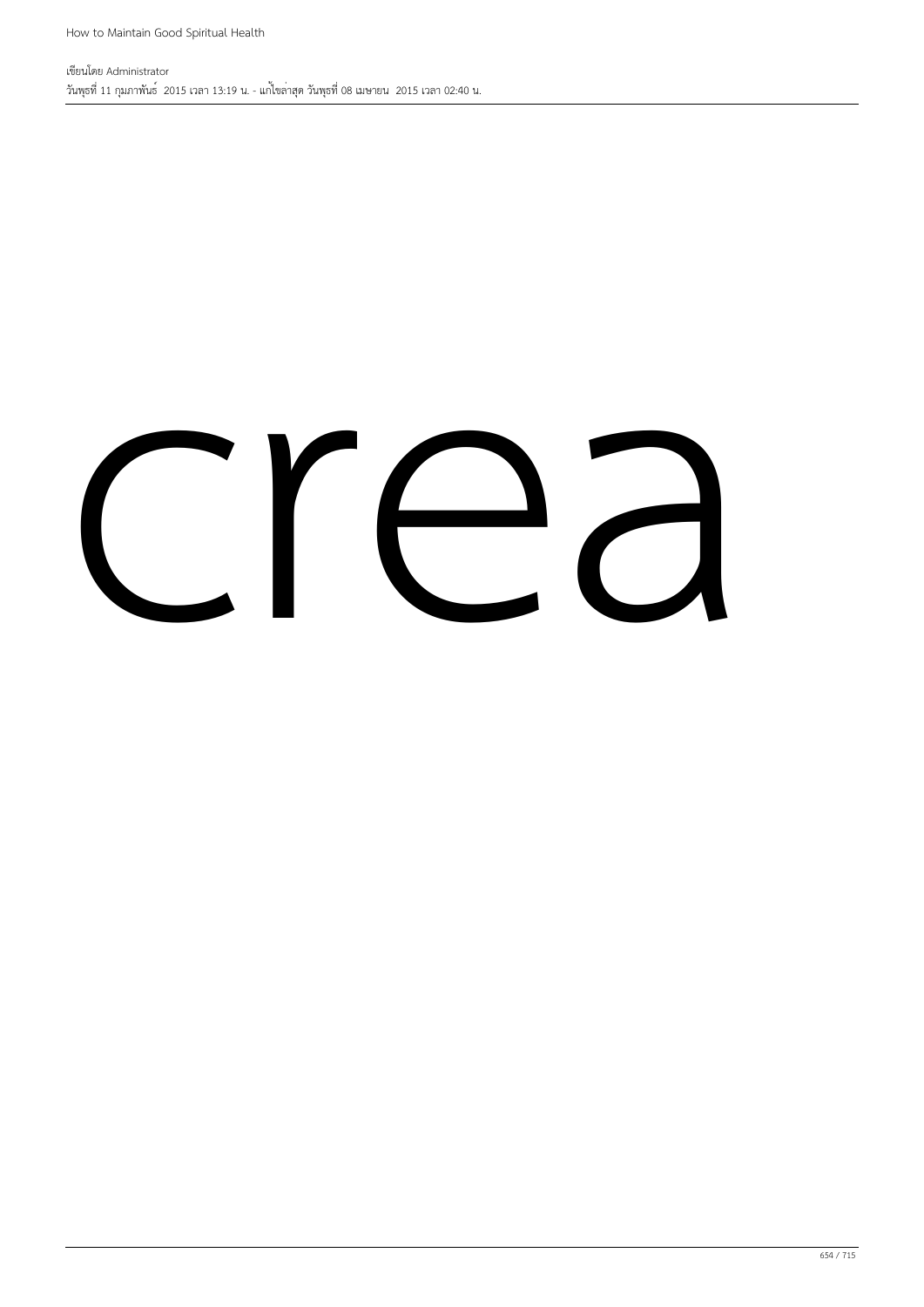#### crea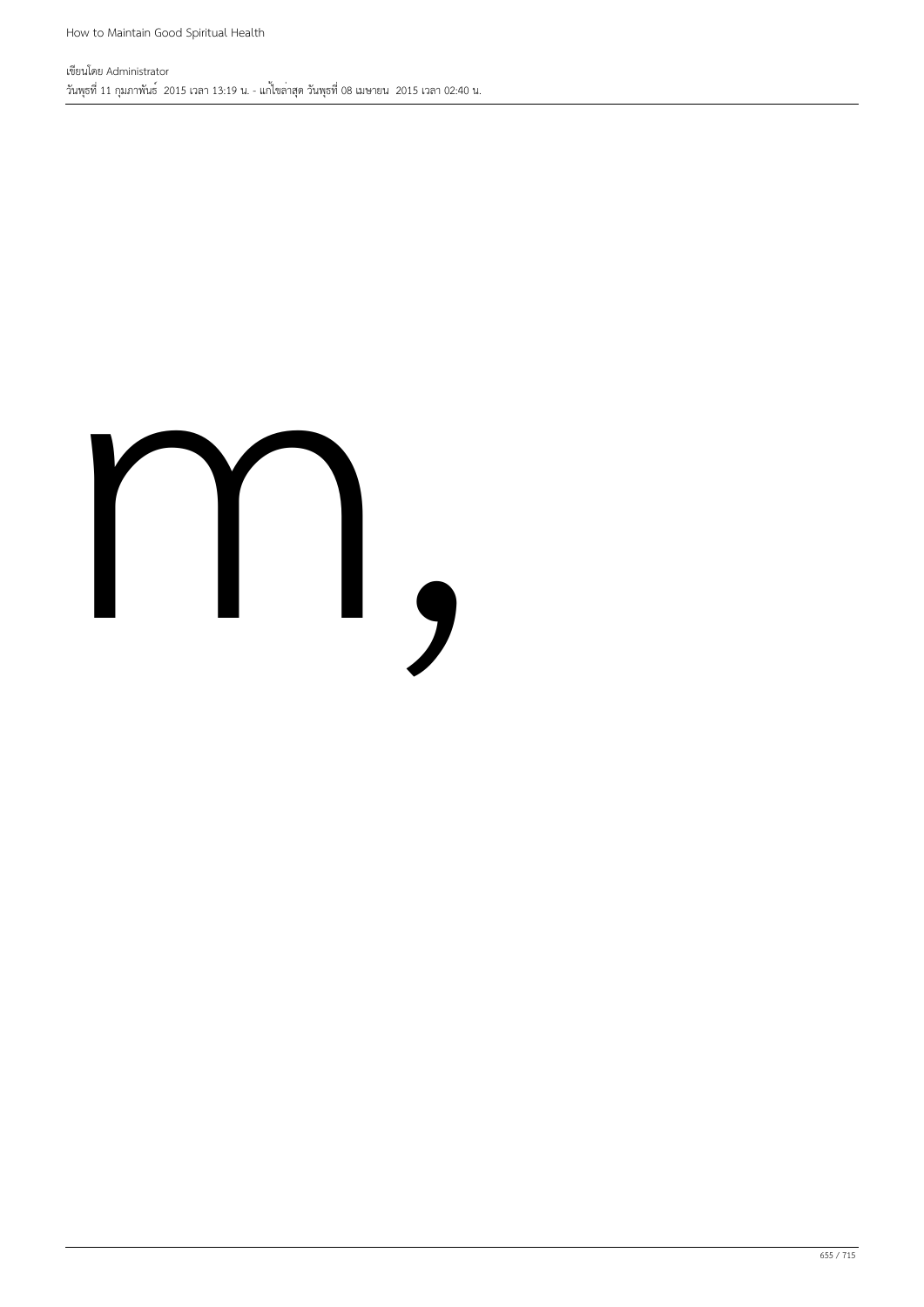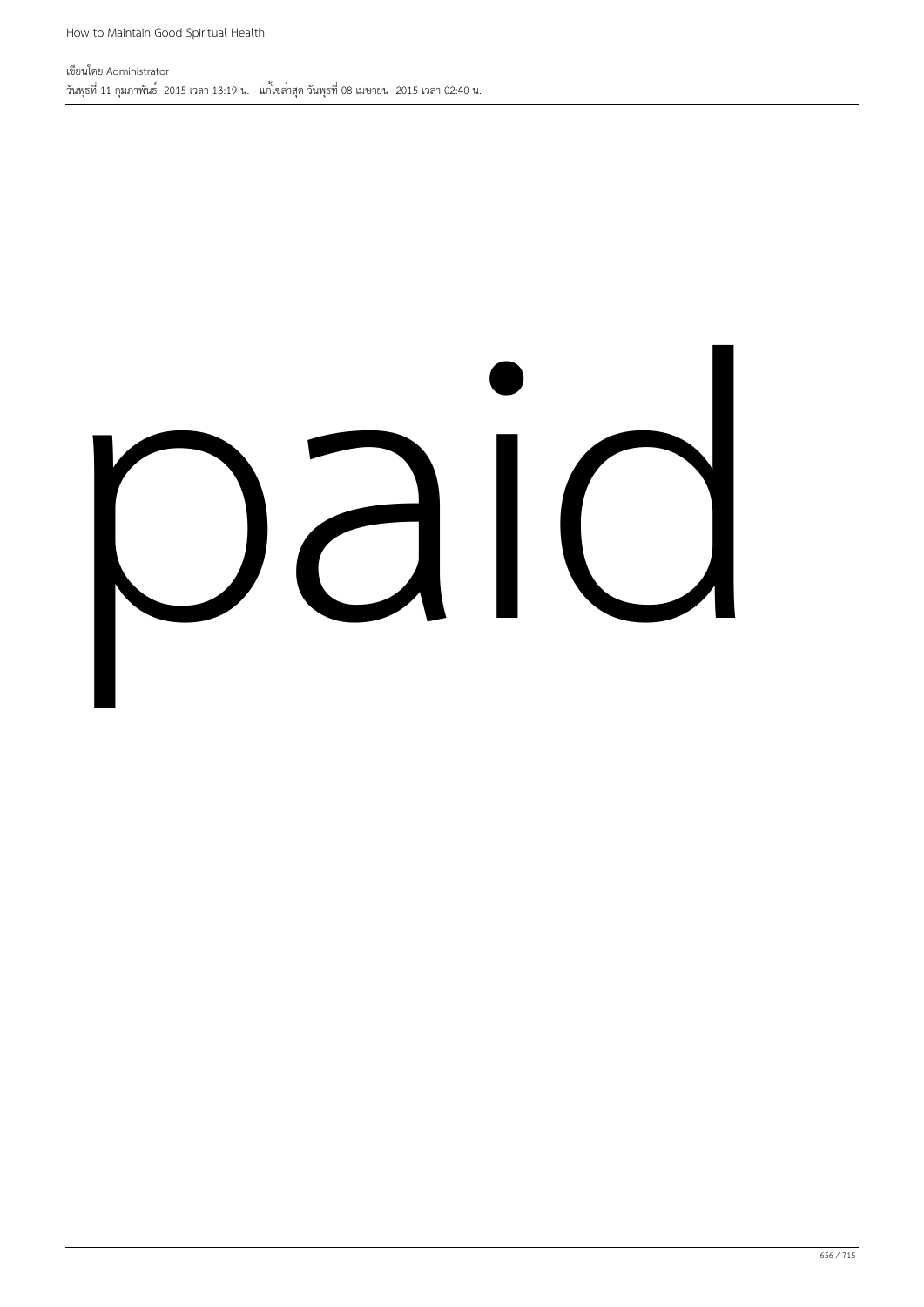# paid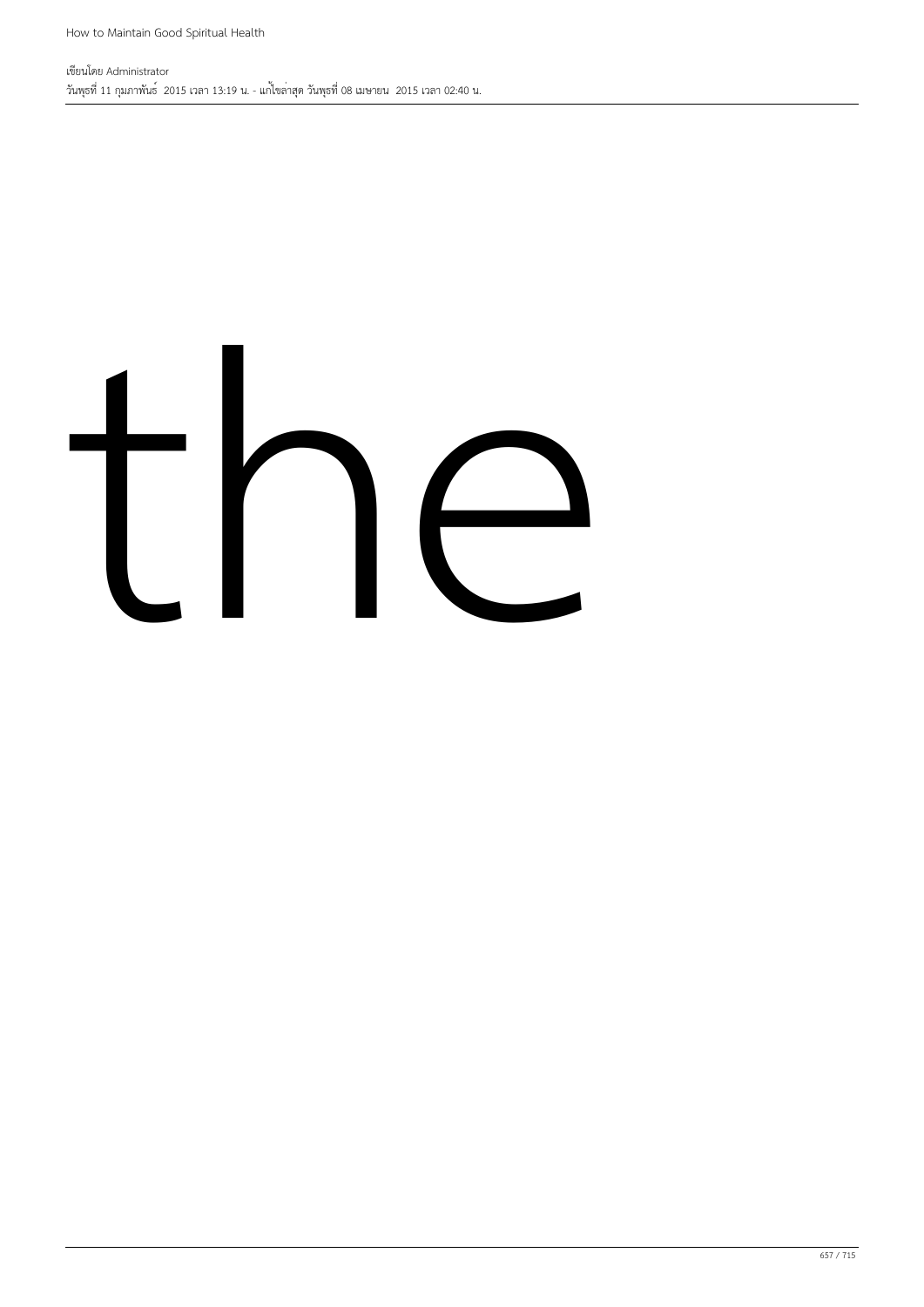# the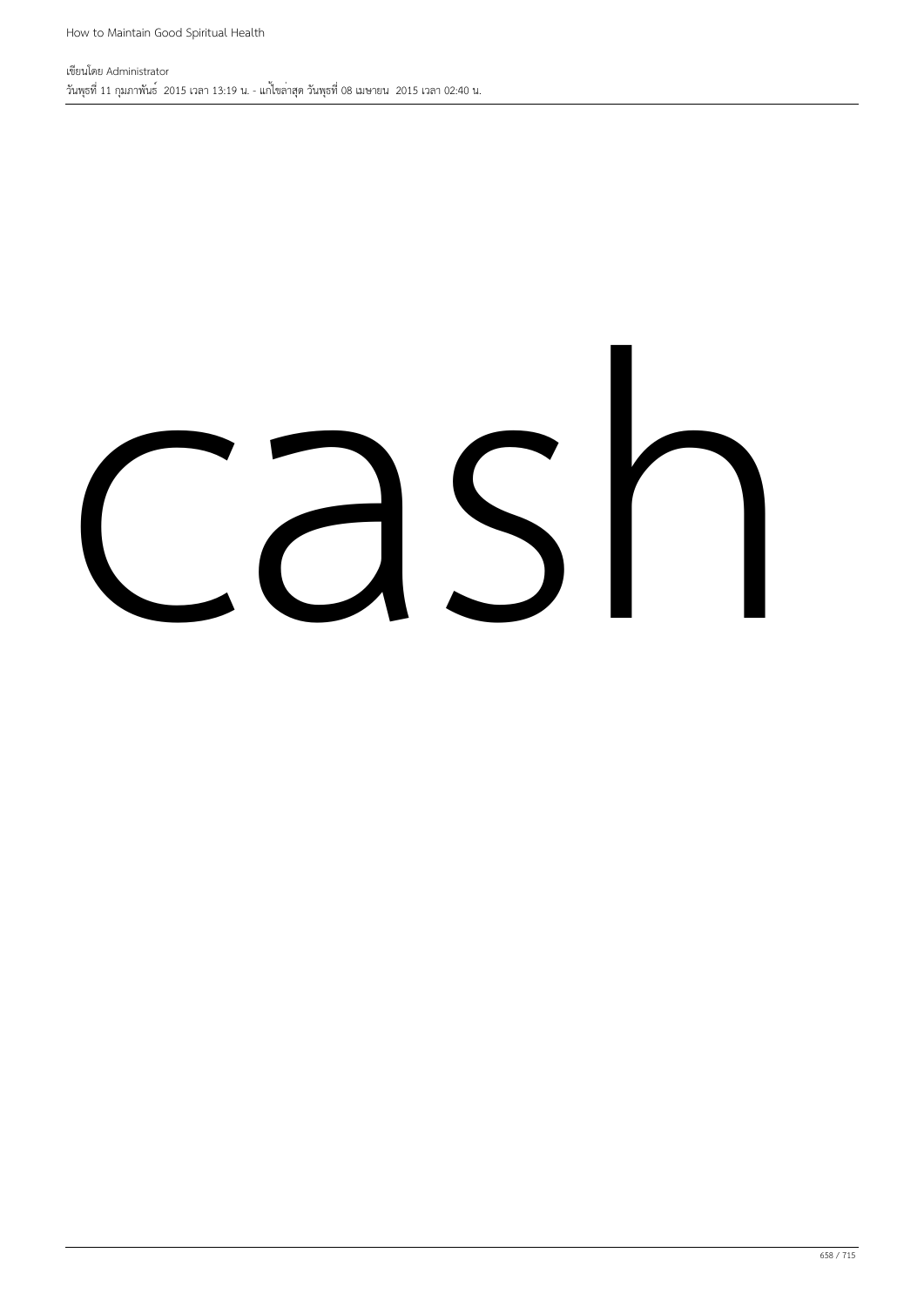## cash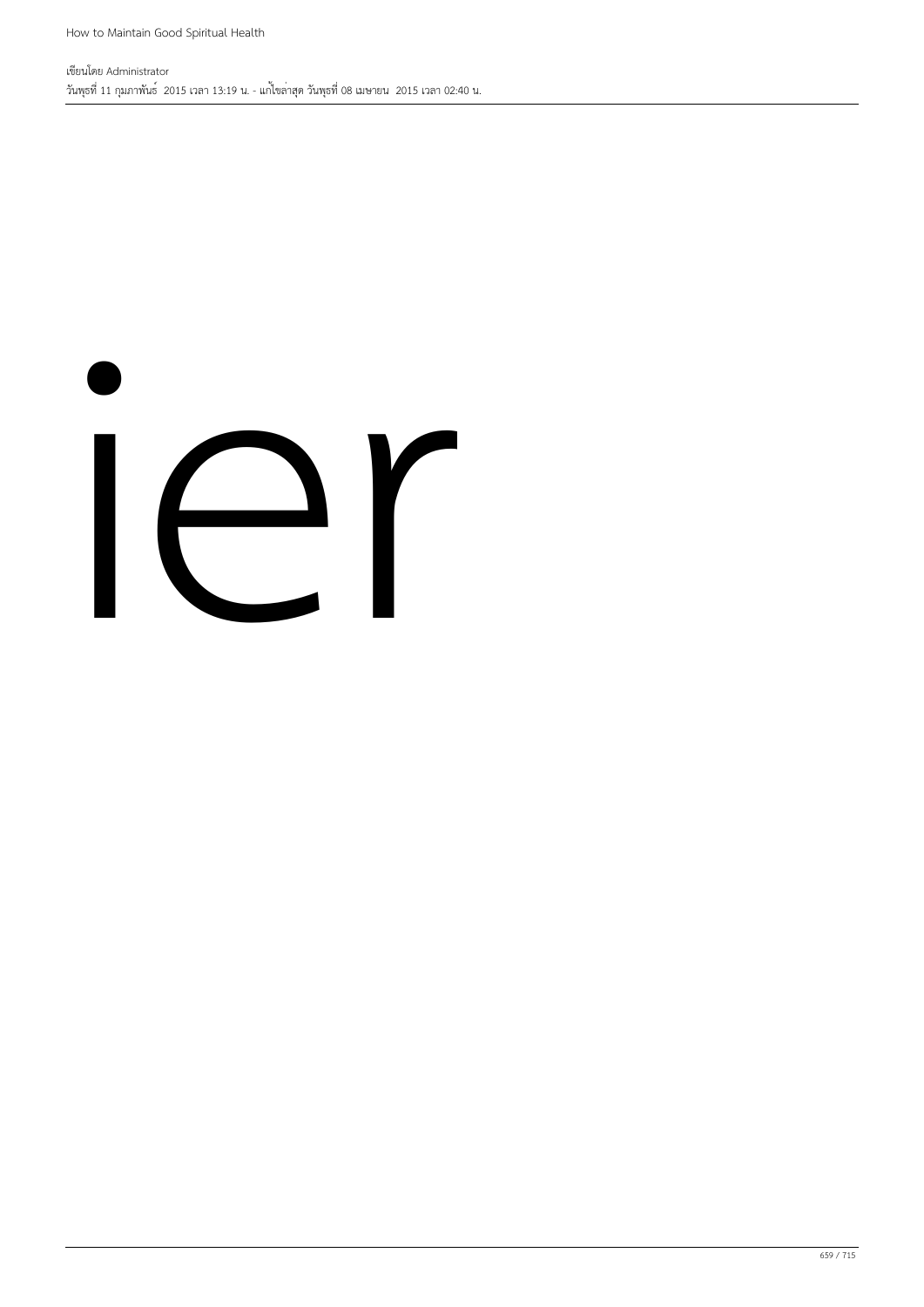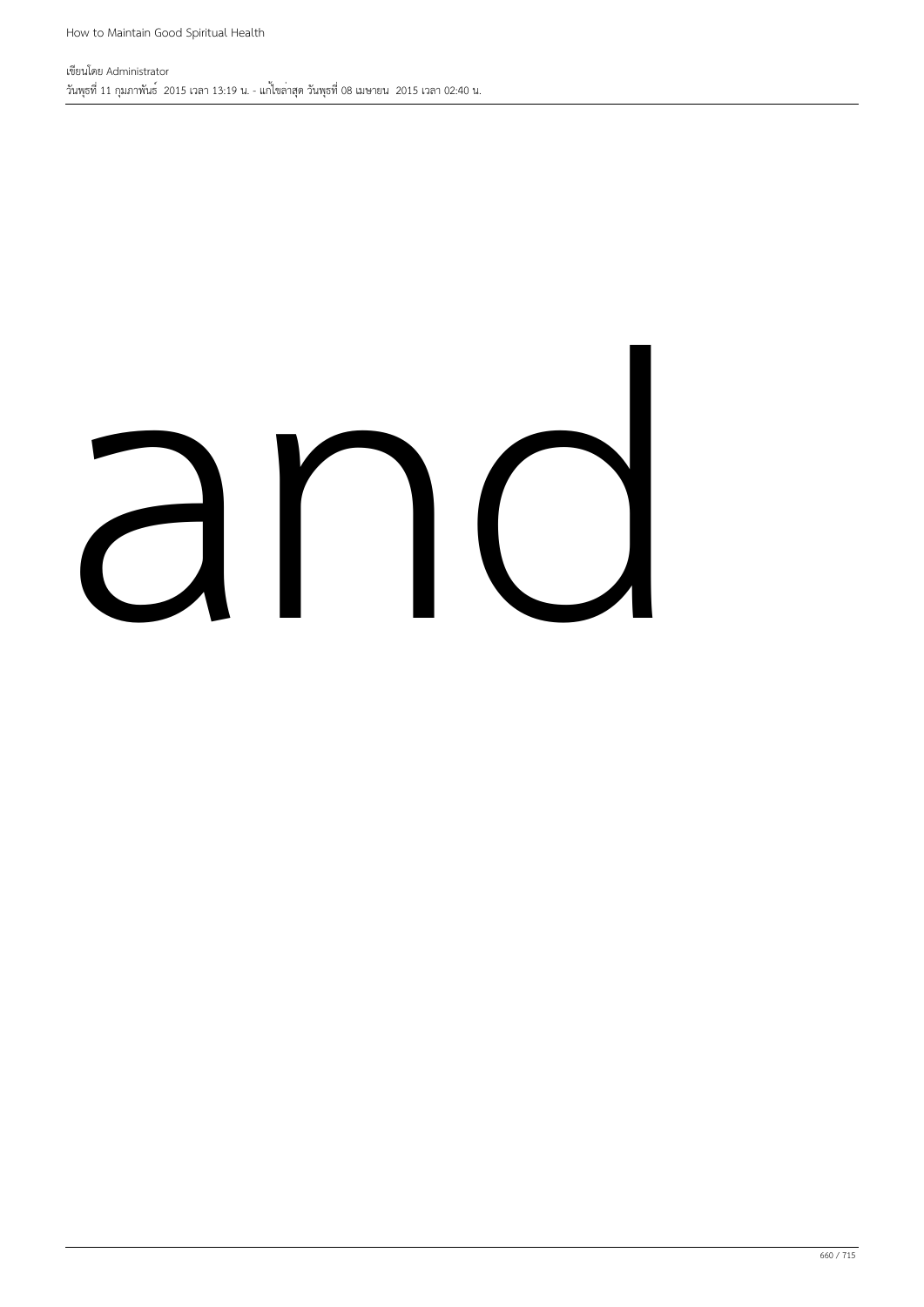# and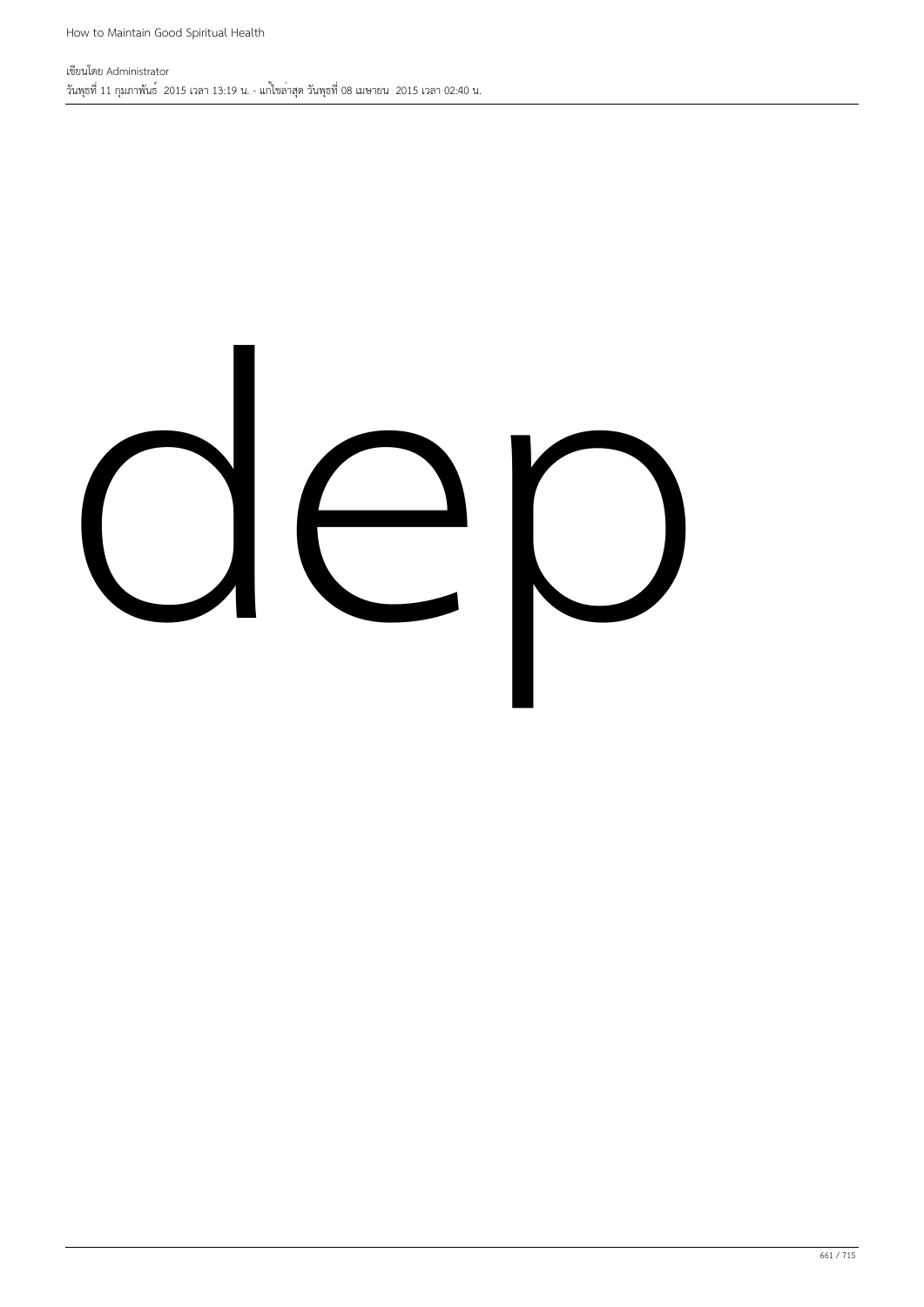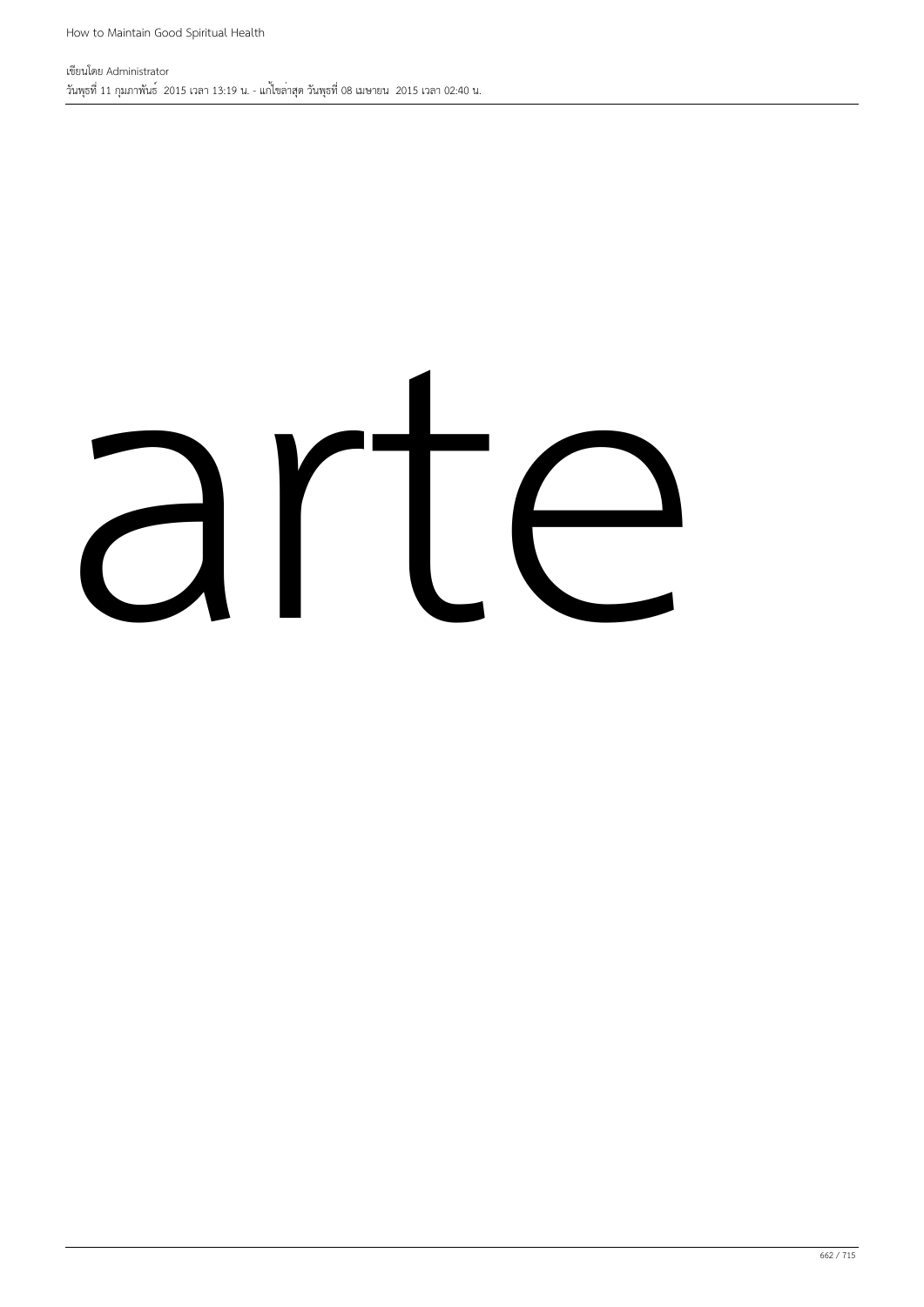## arte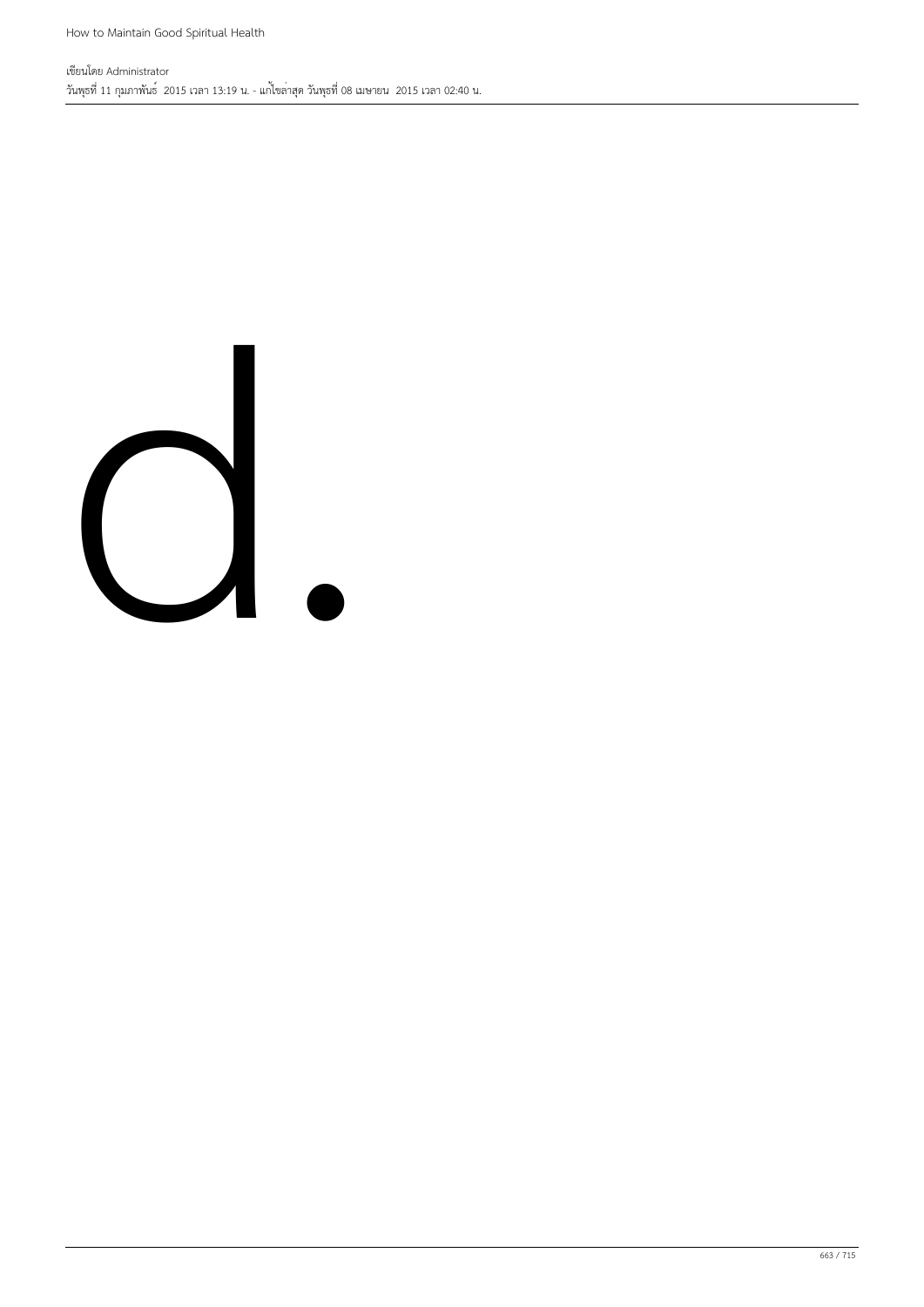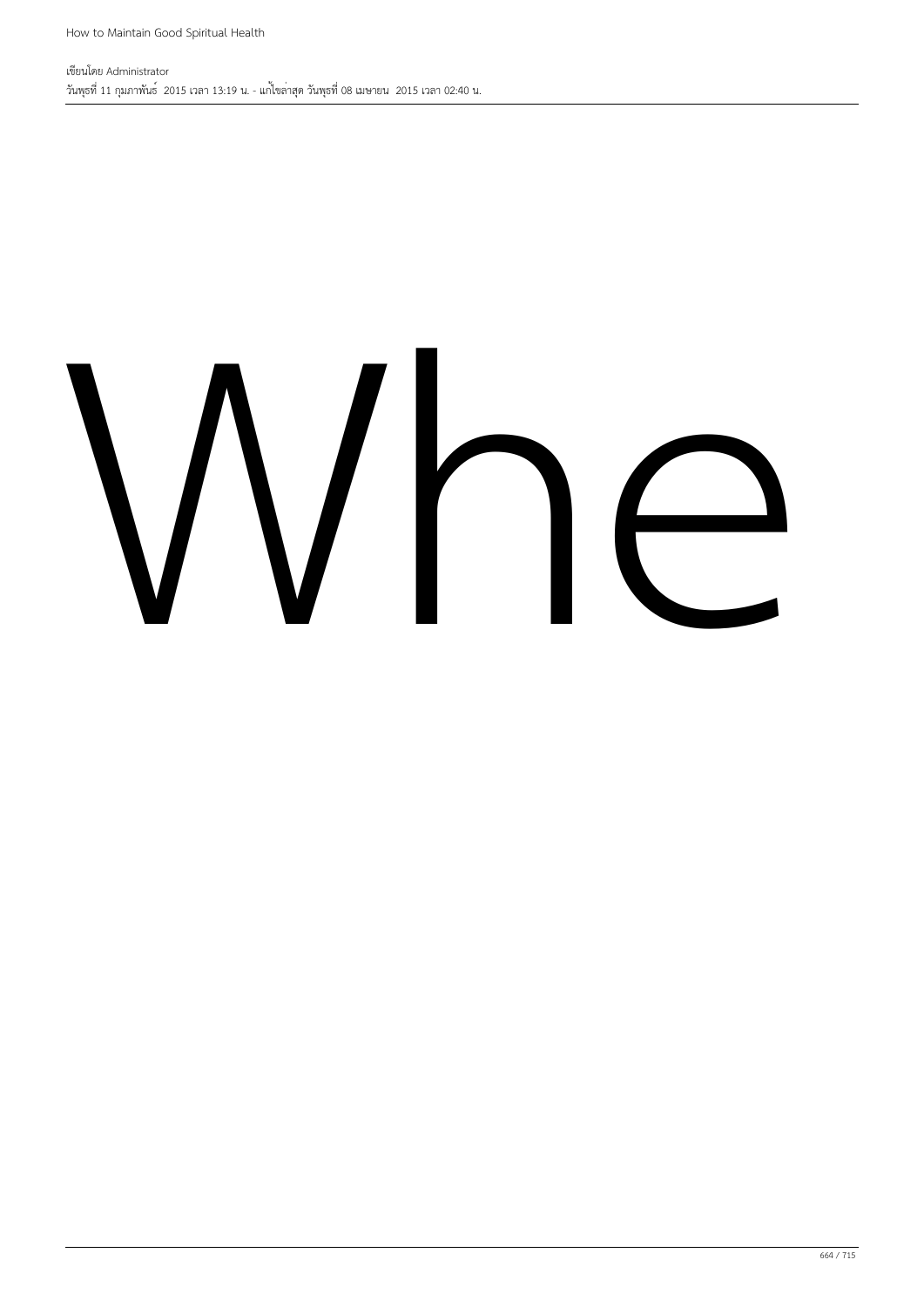# Whe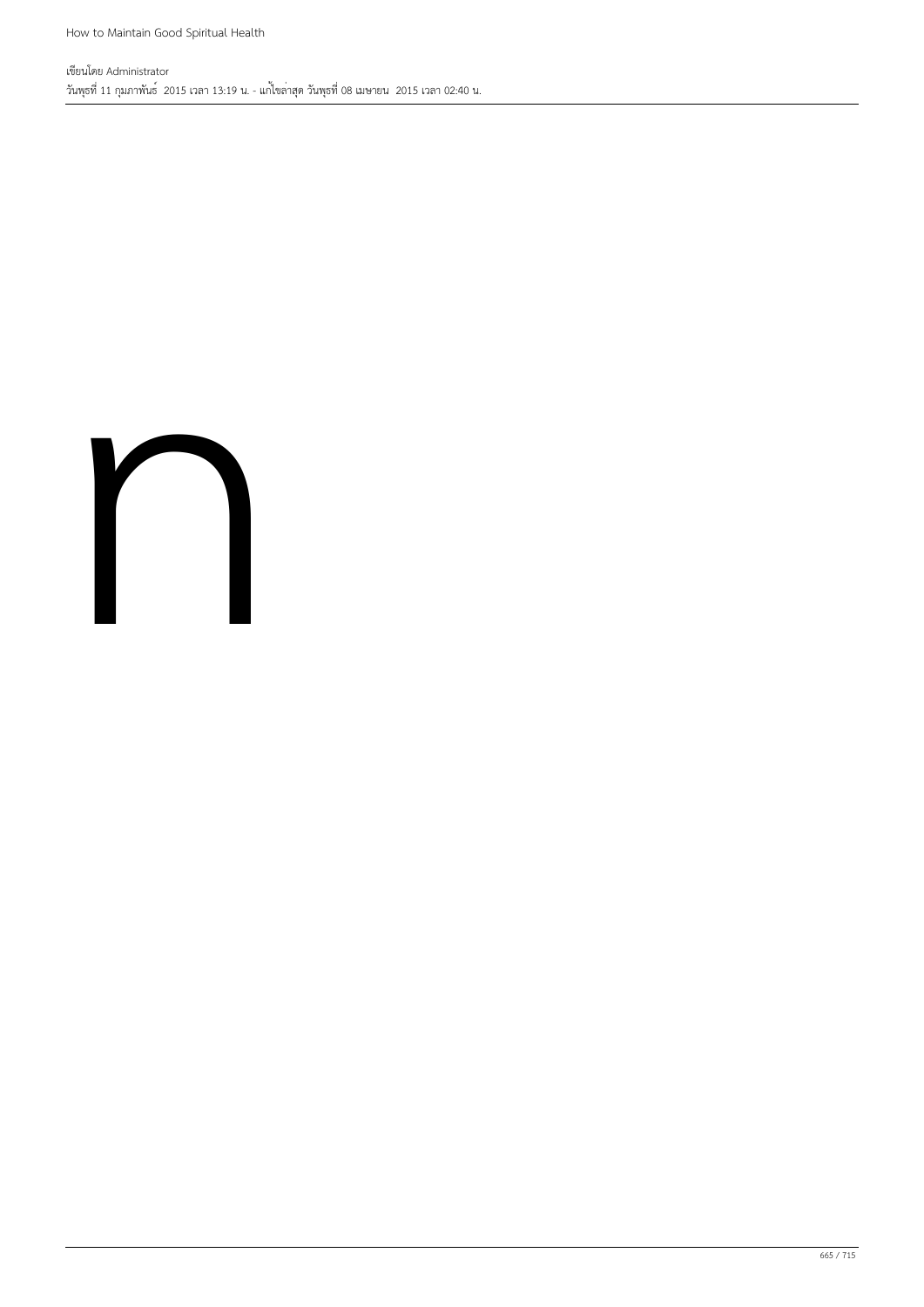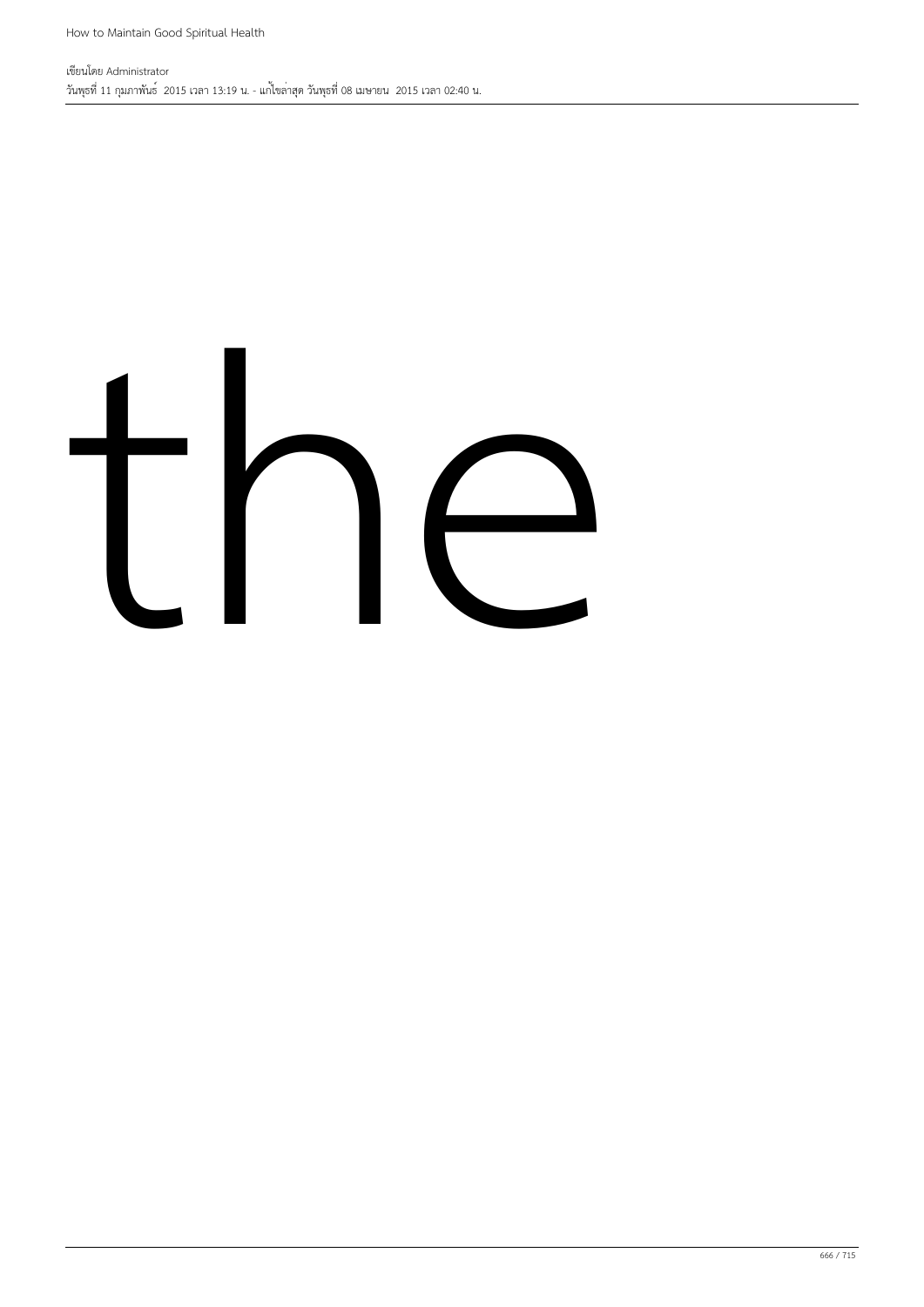# the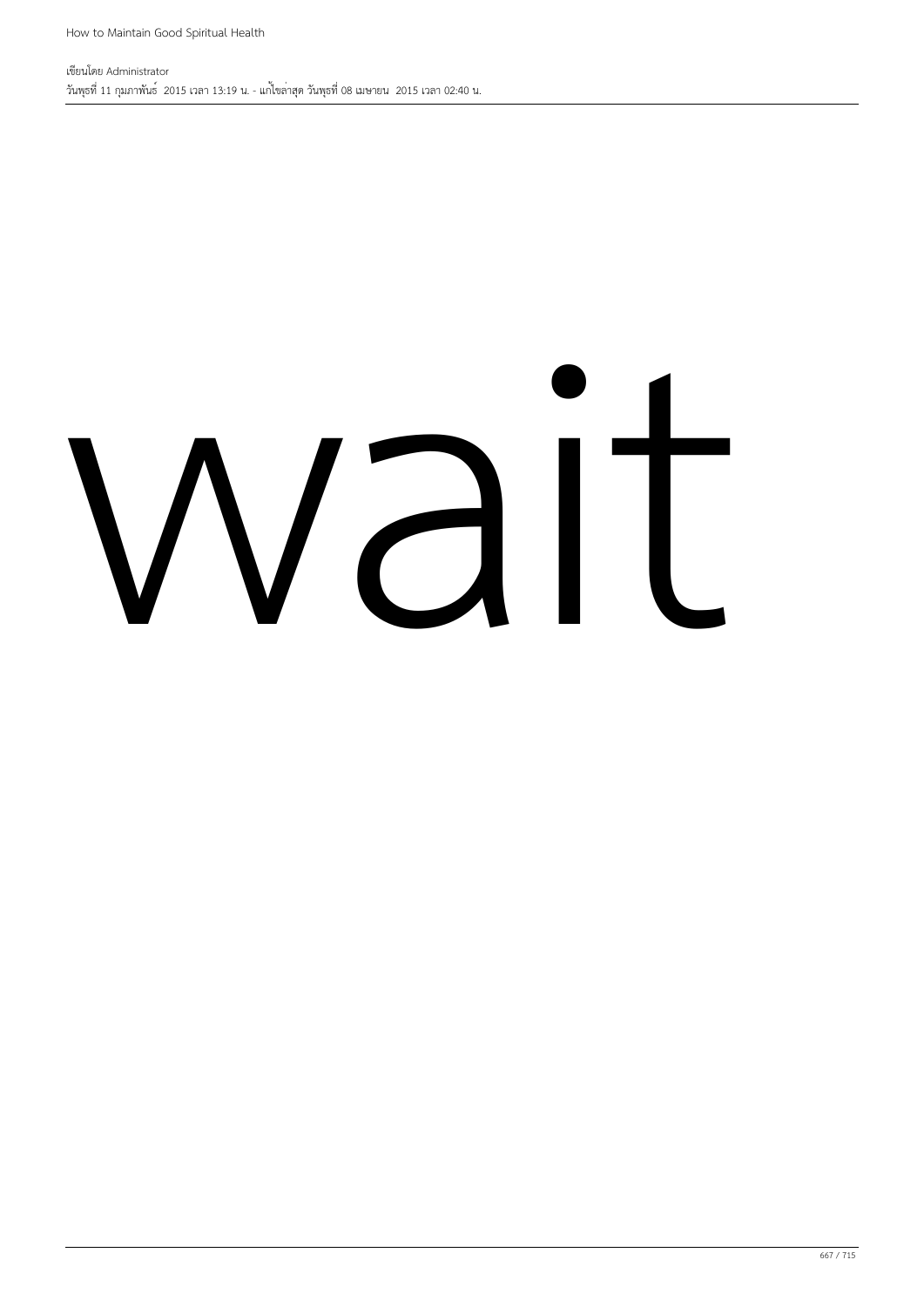# wait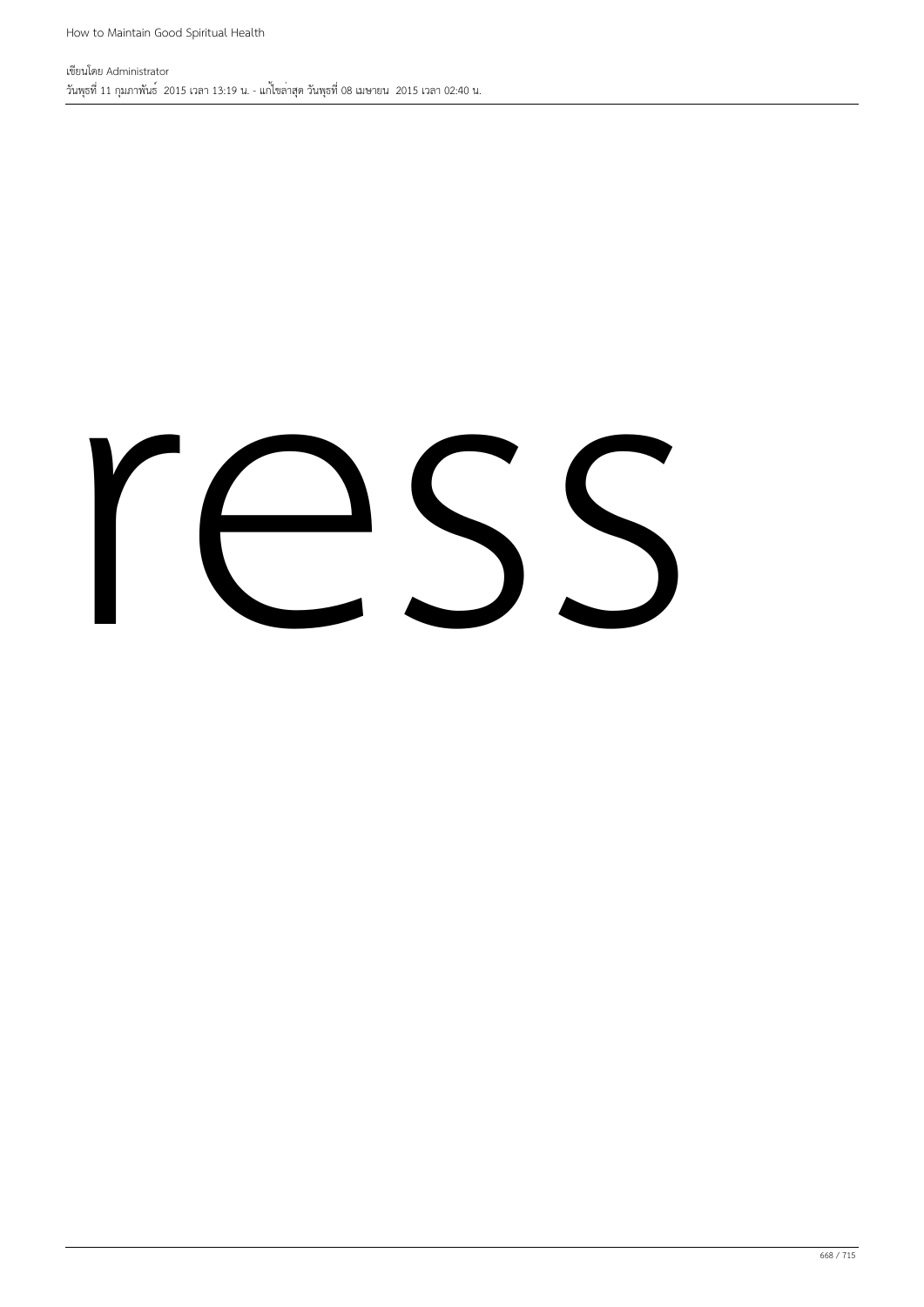#### ress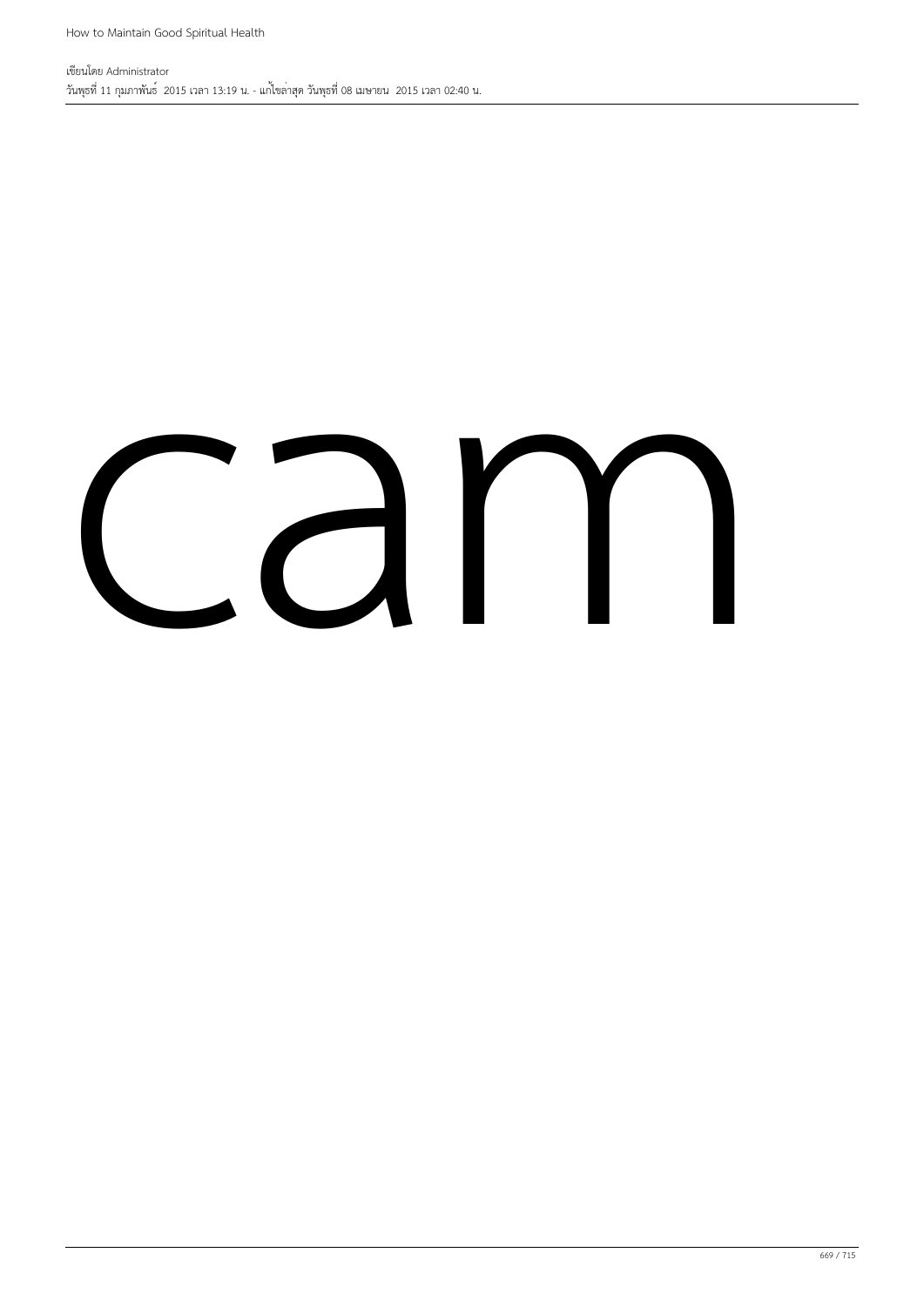### cam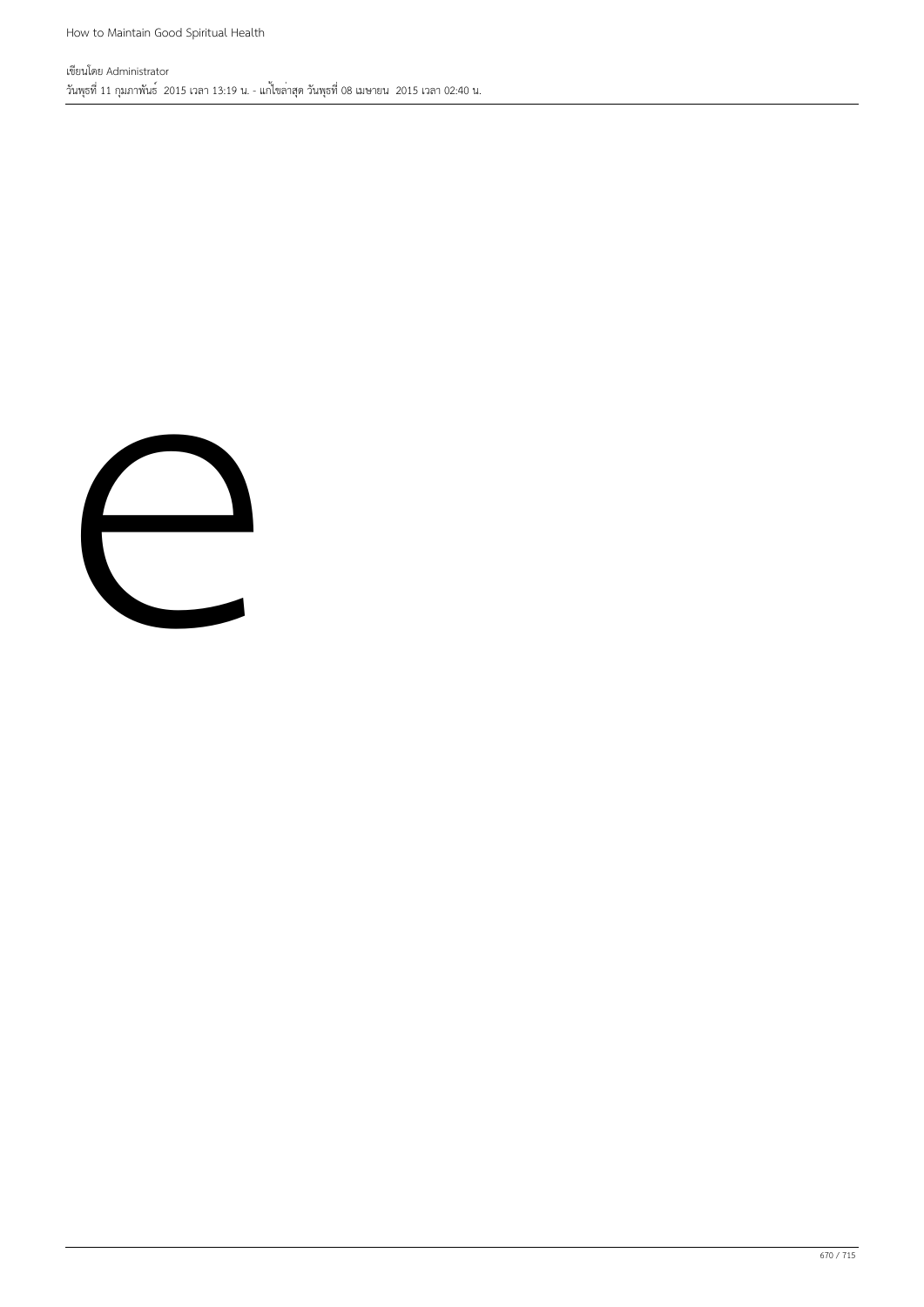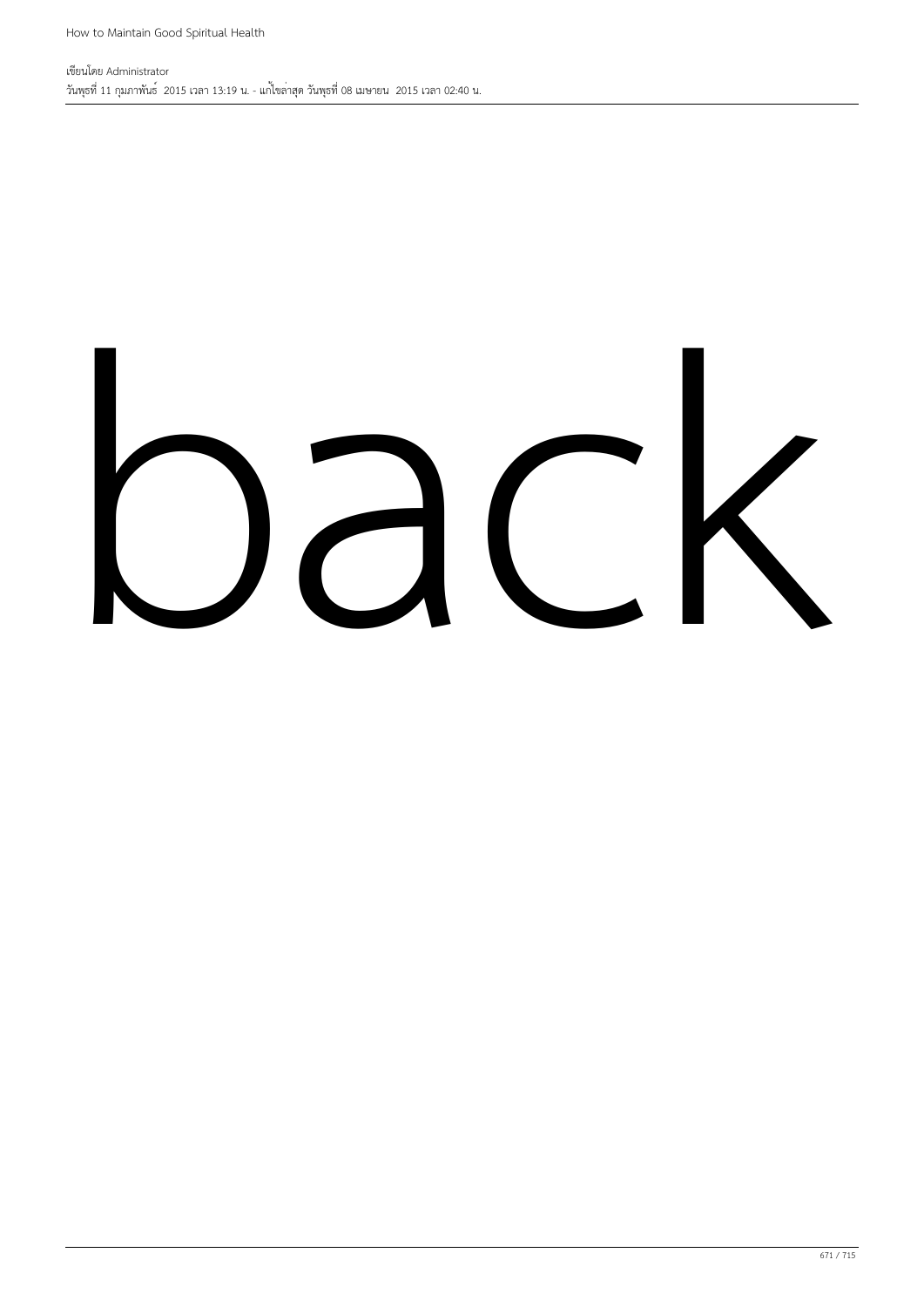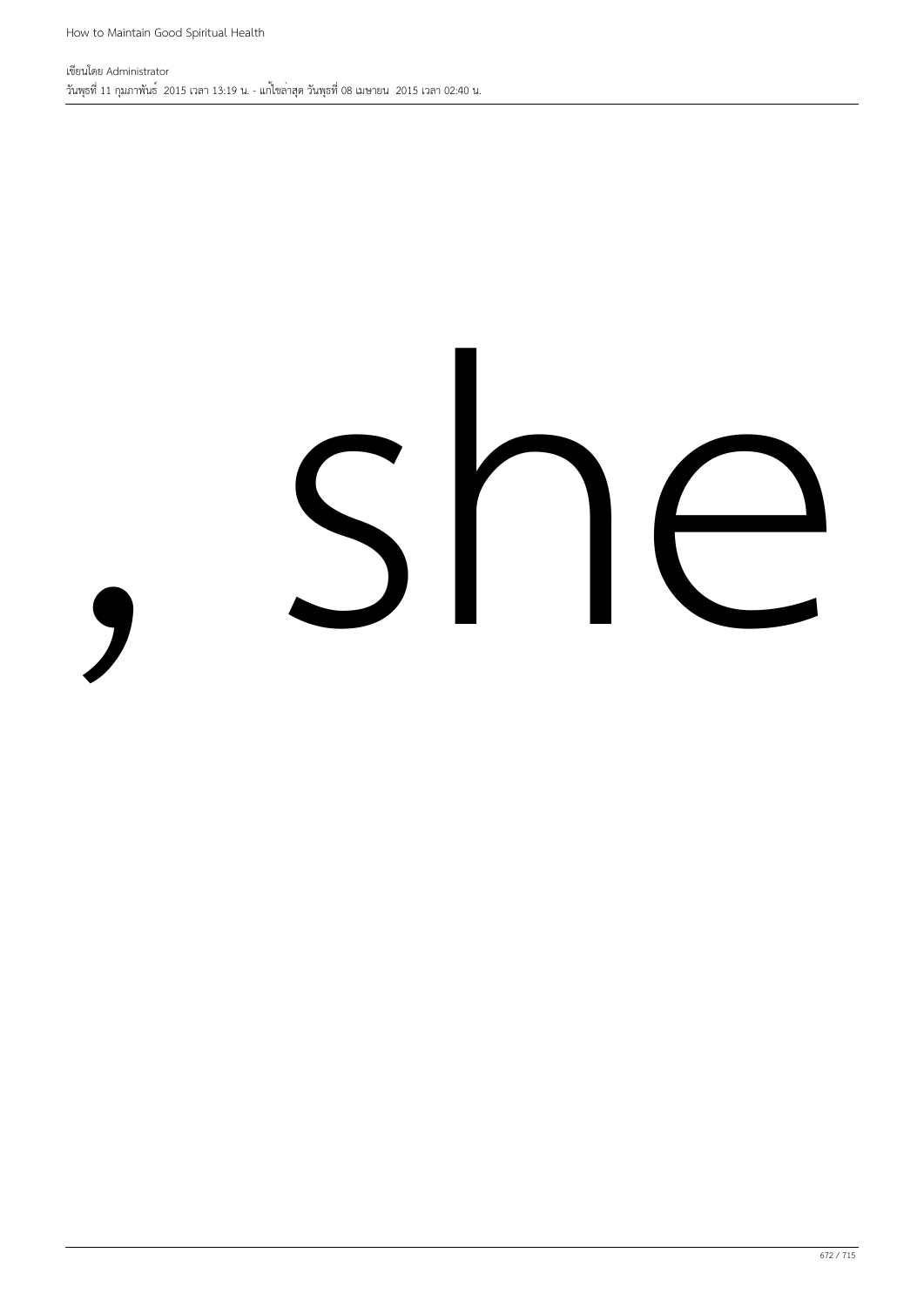# , she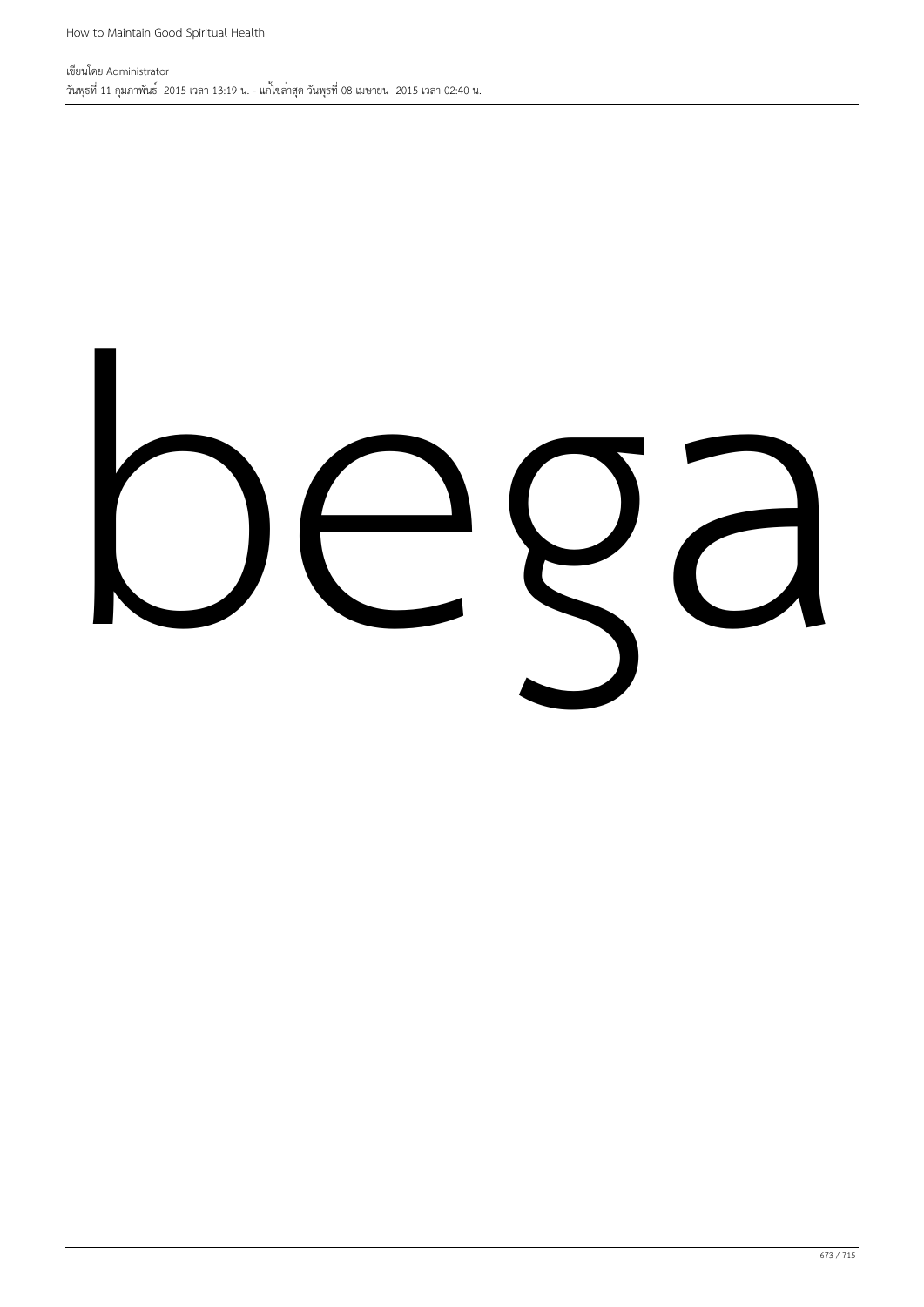# bega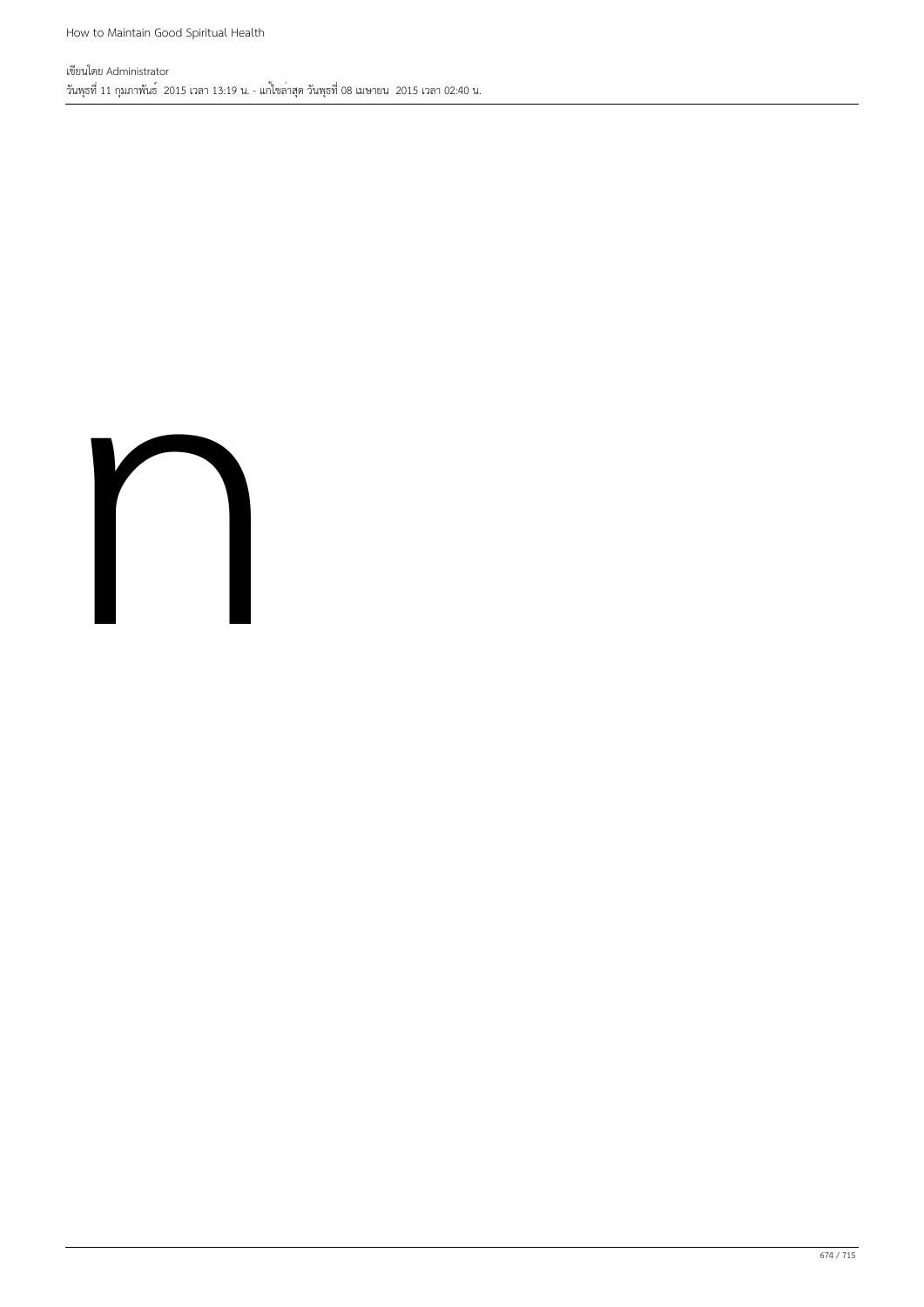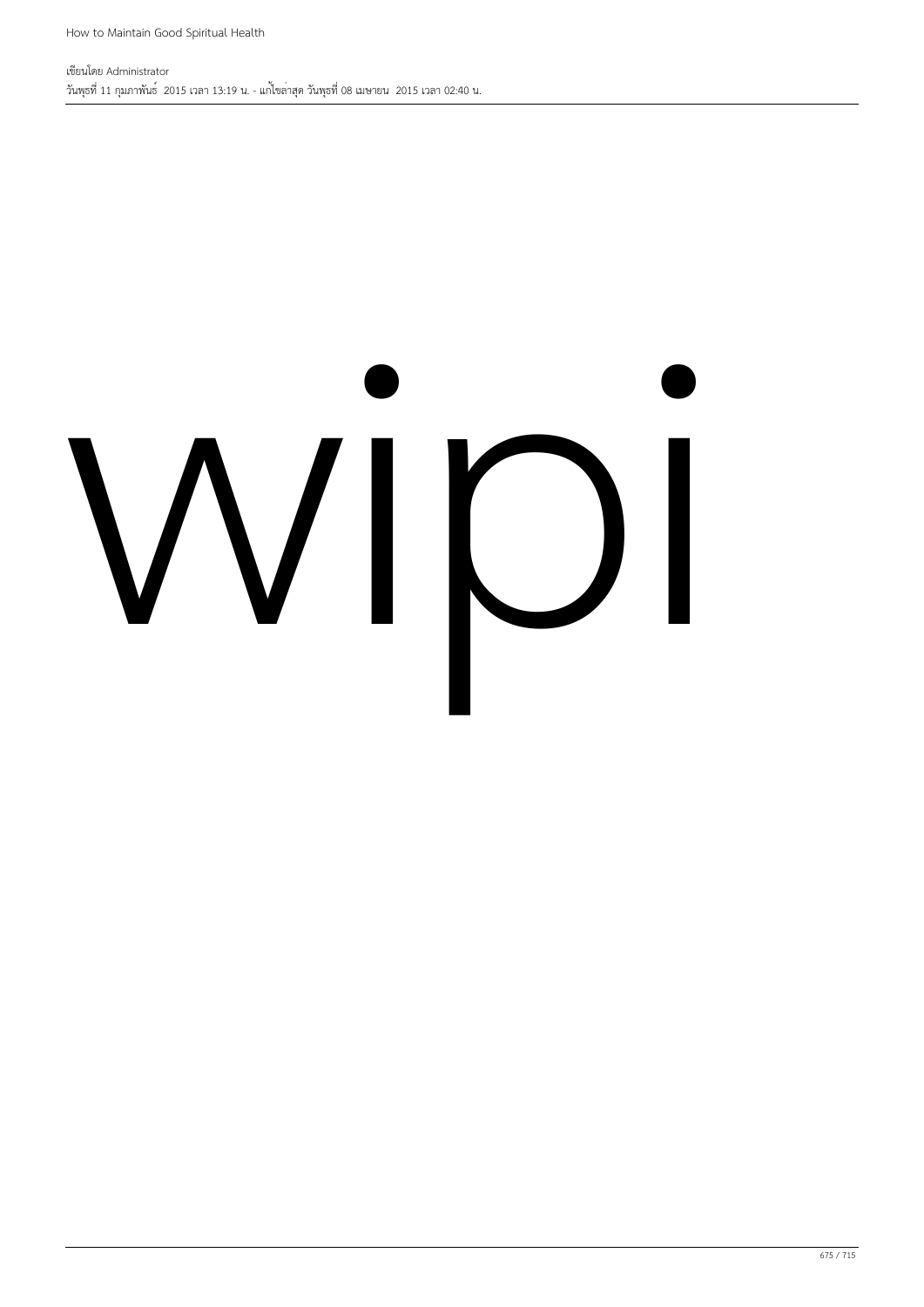# WIDI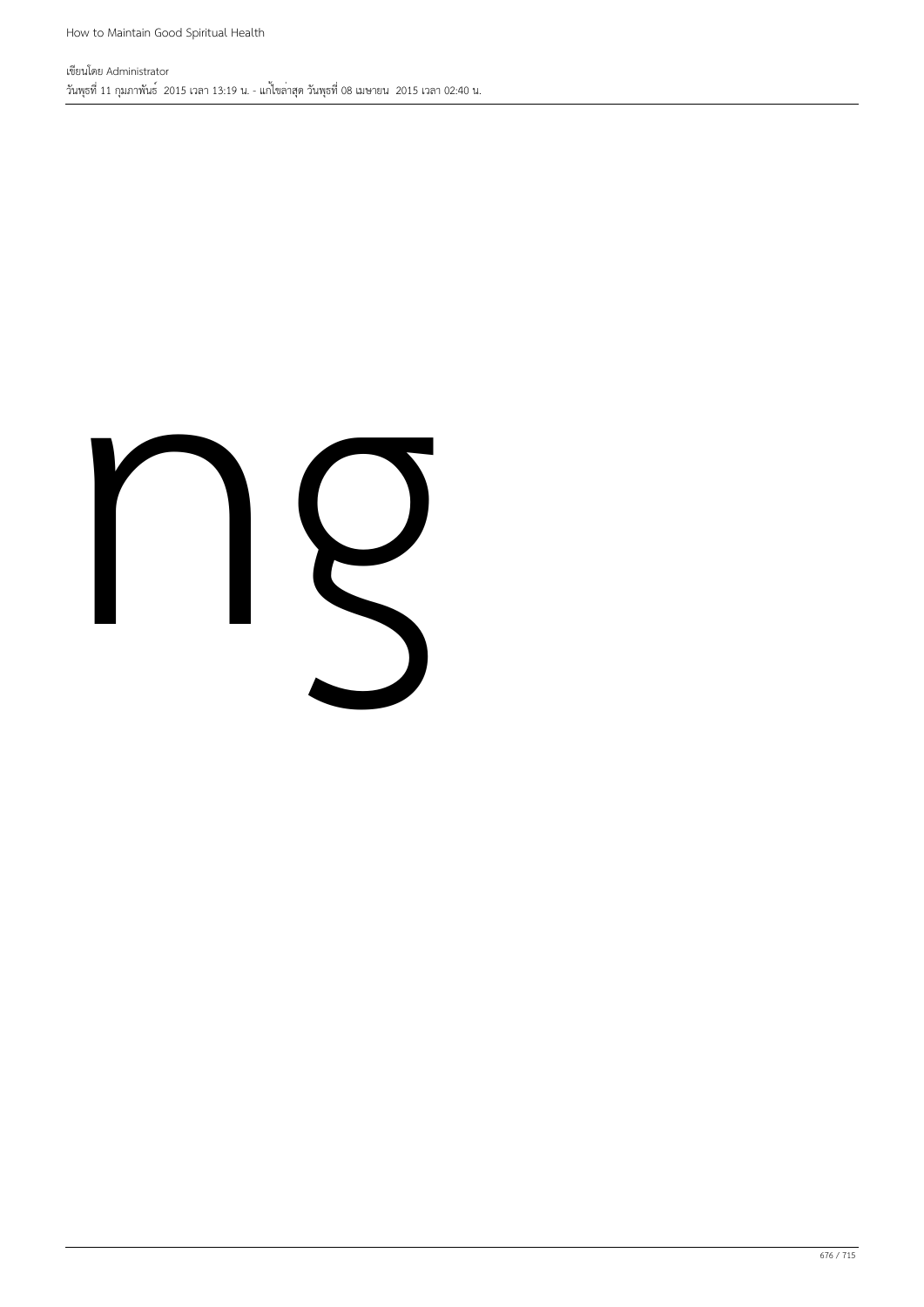# ng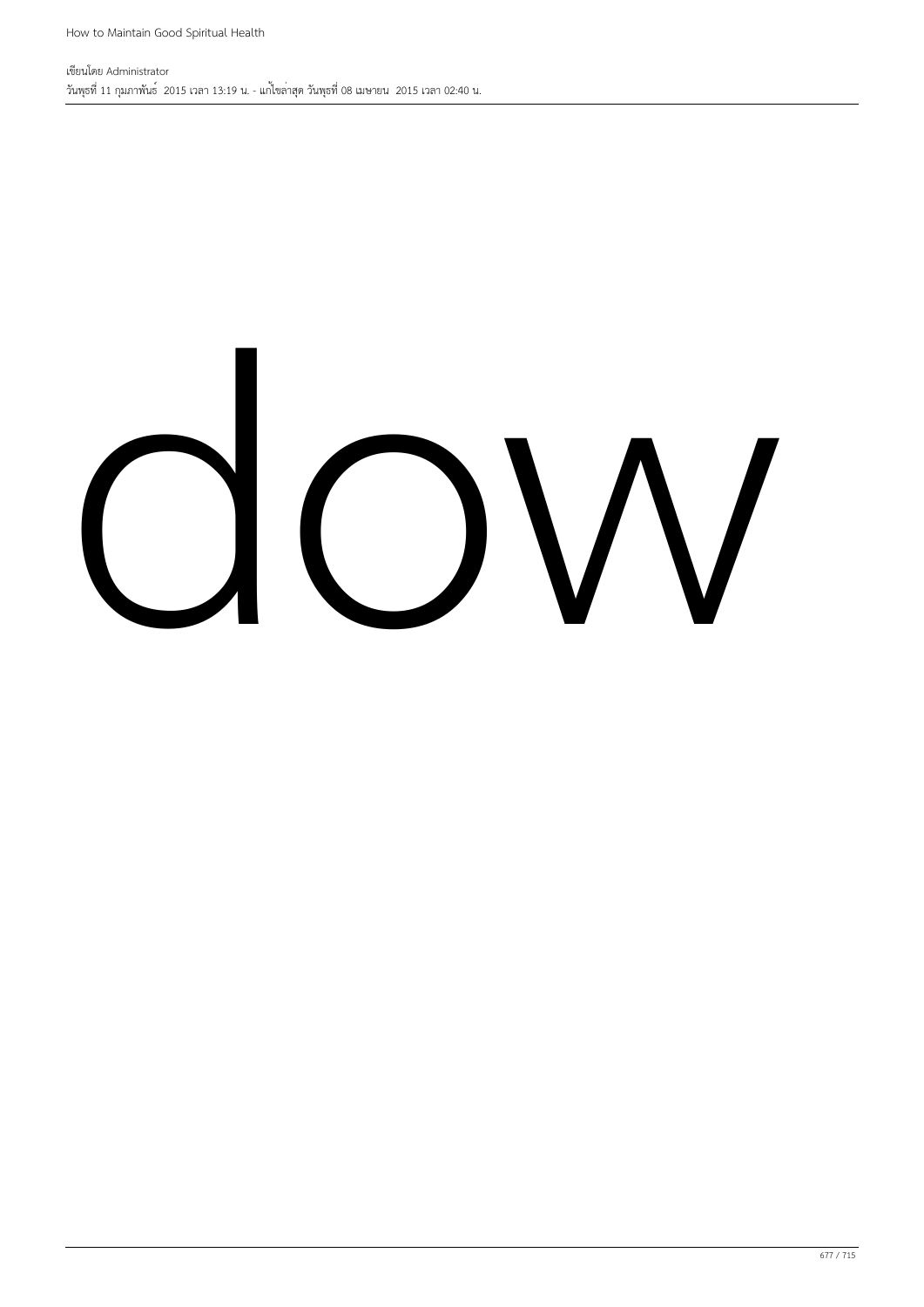# dow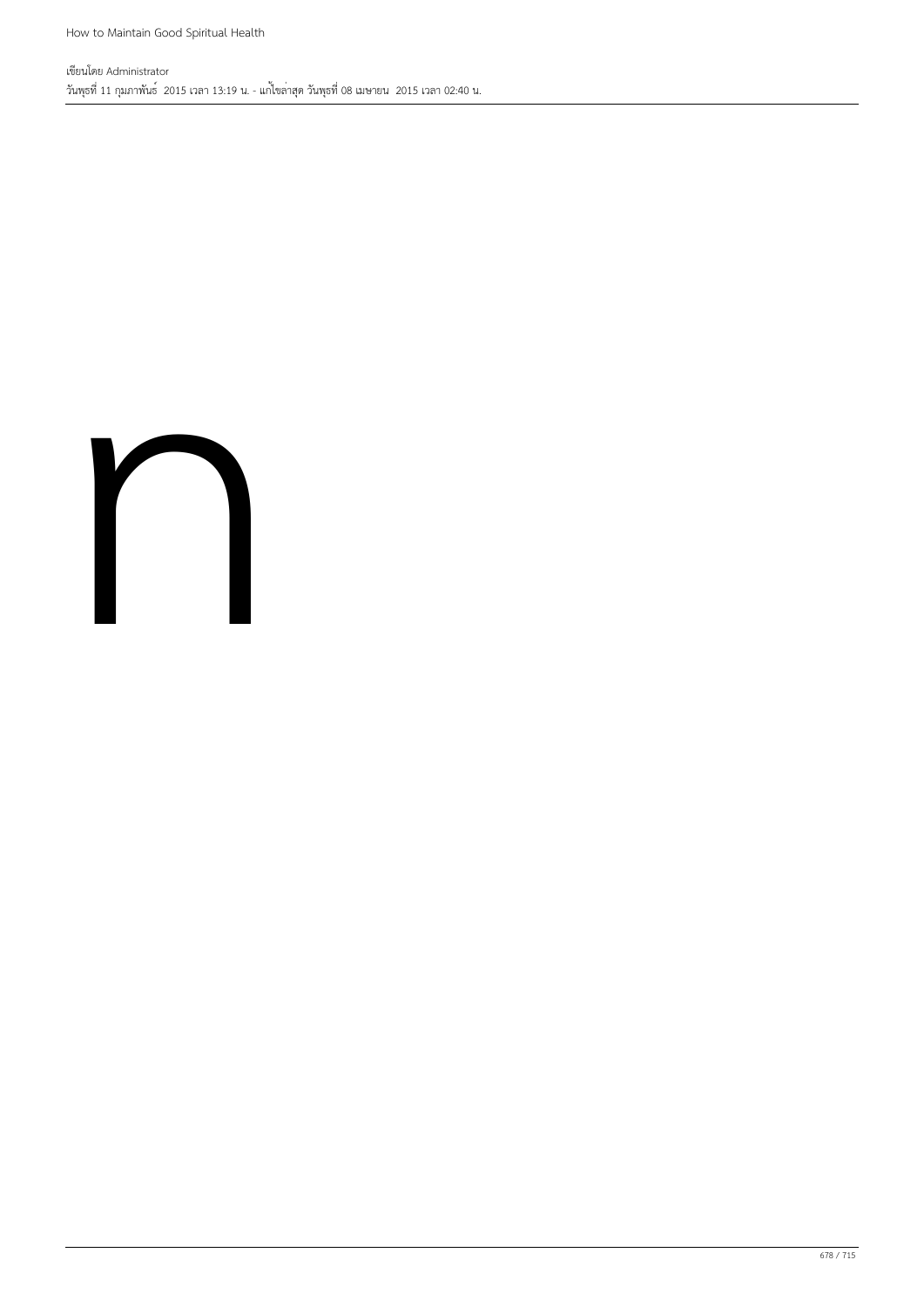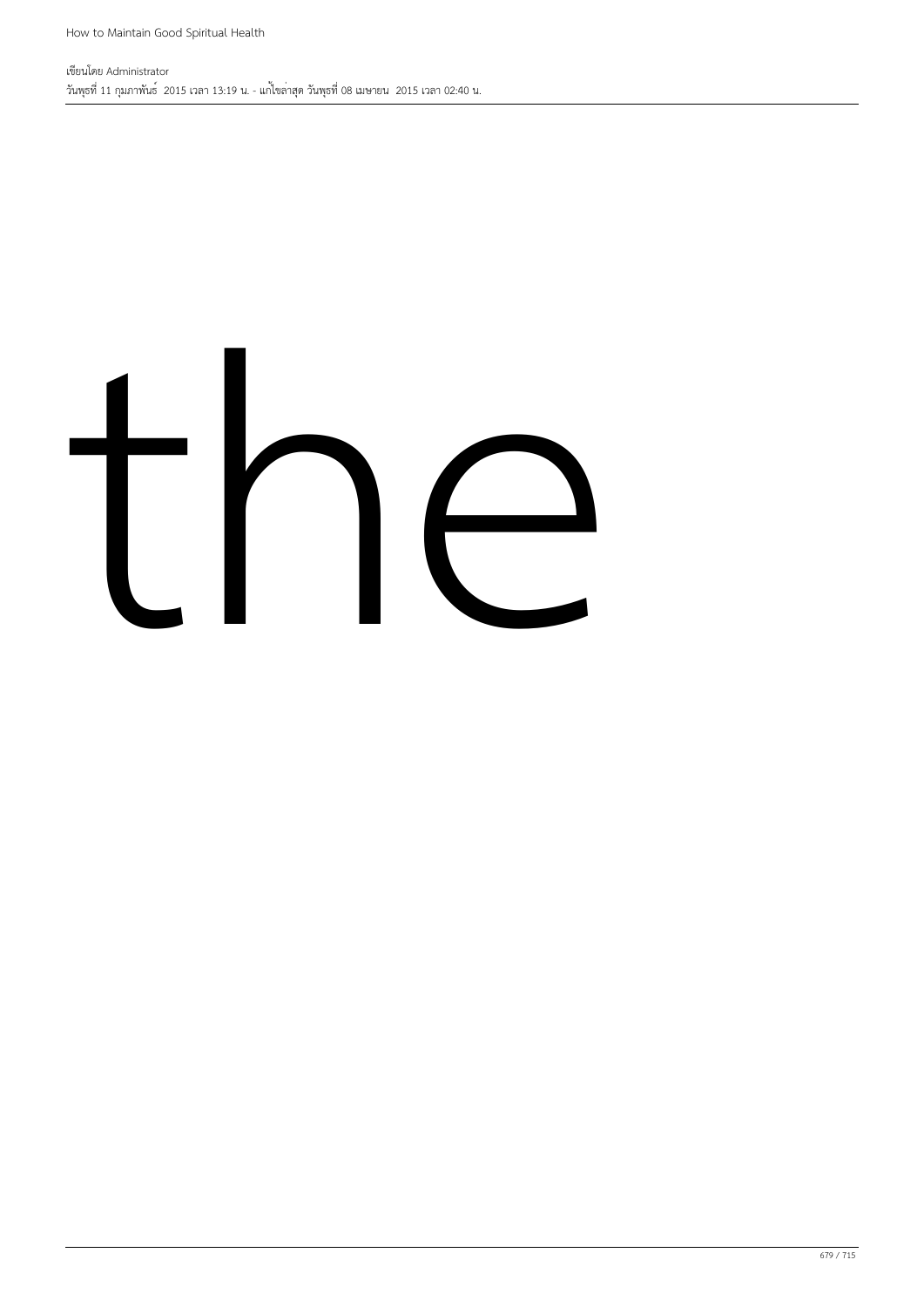# the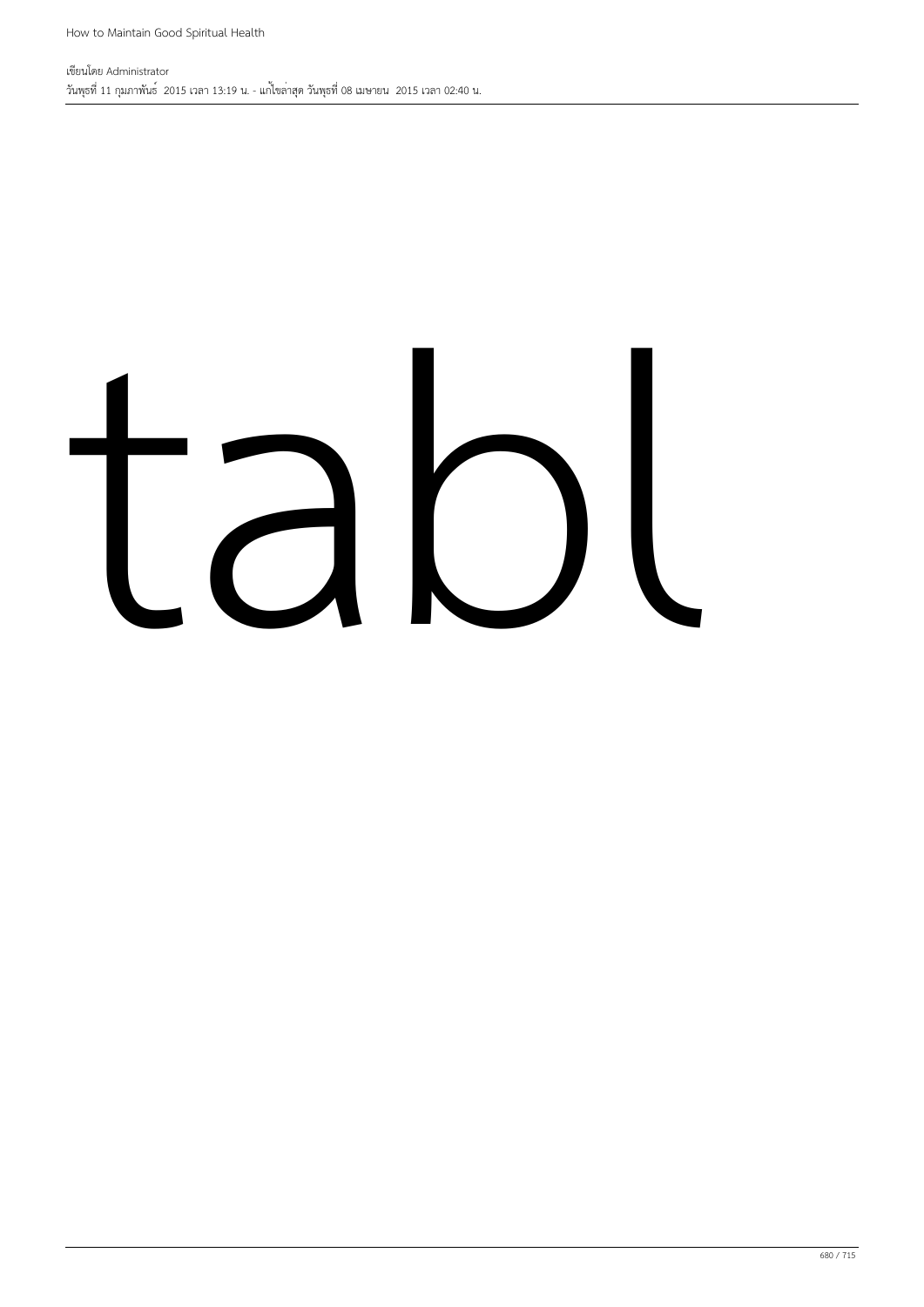# tabl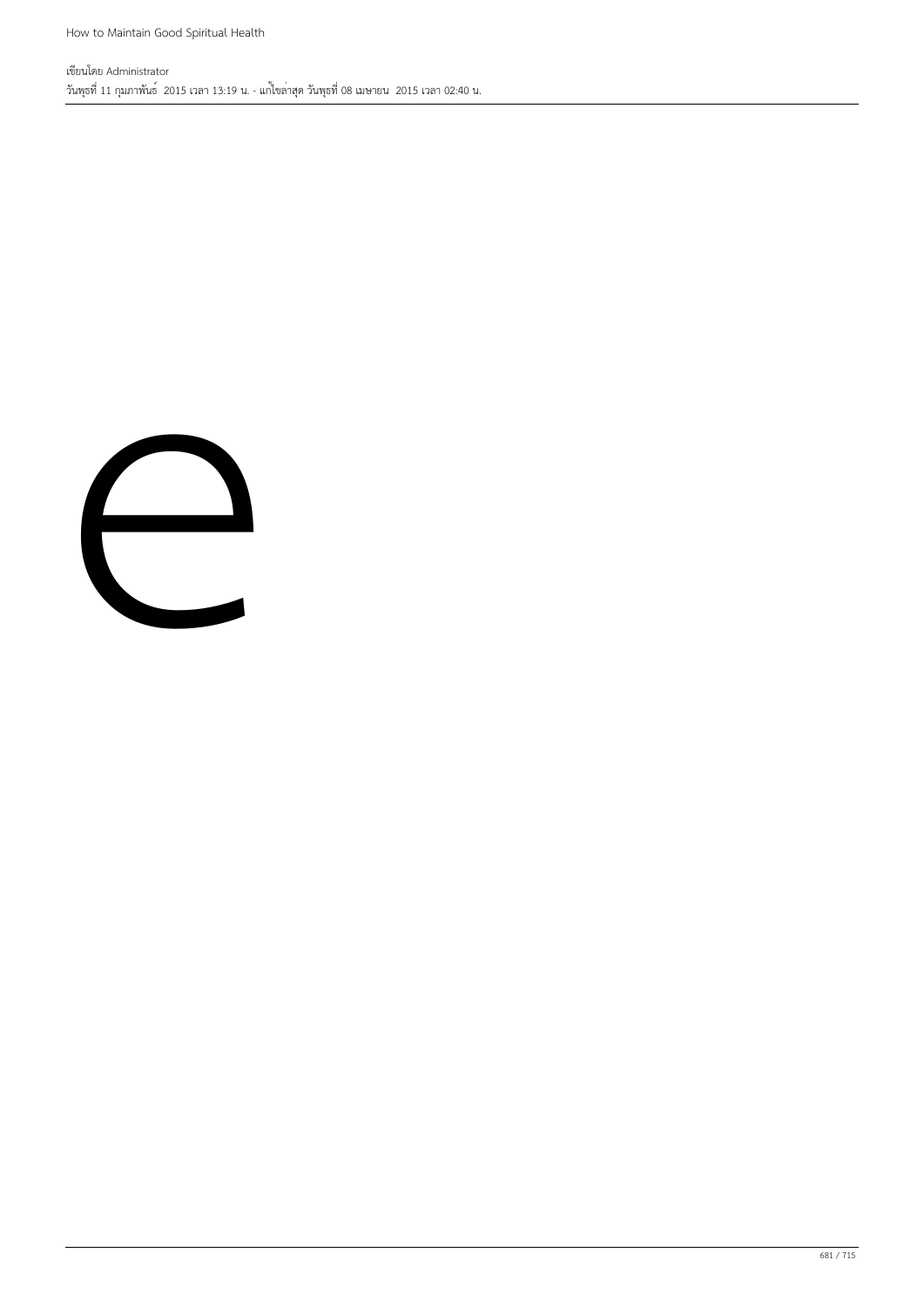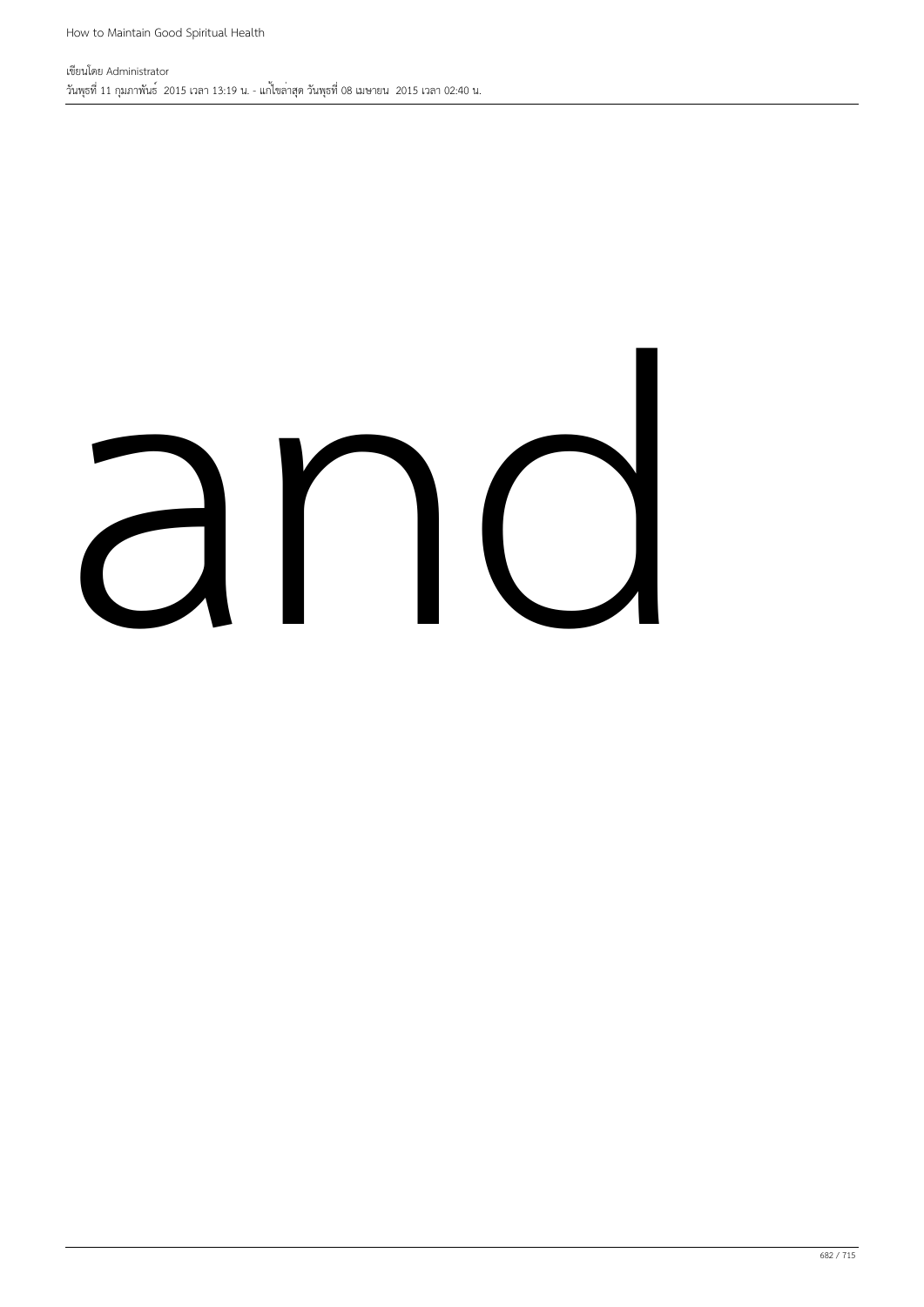# and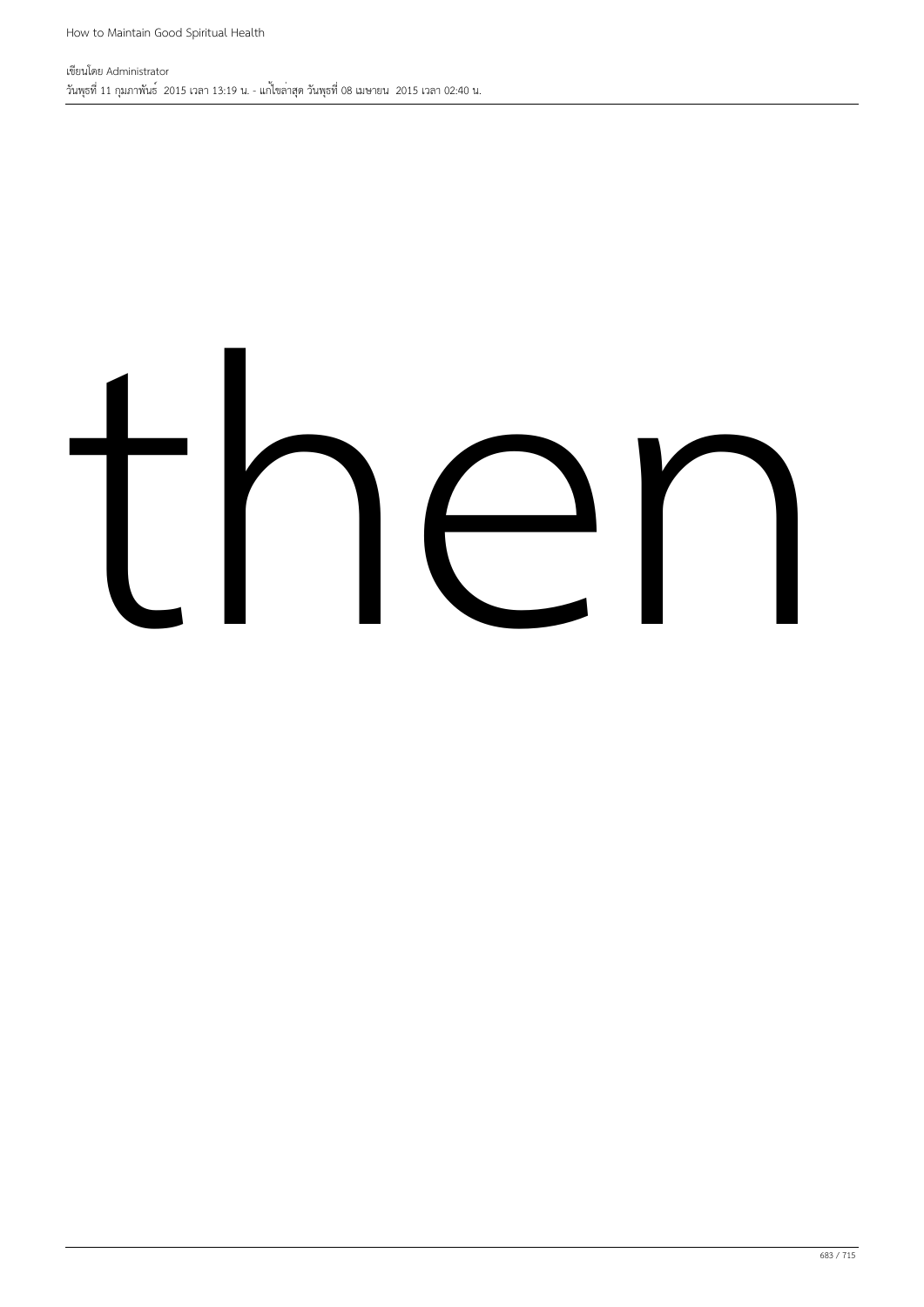## then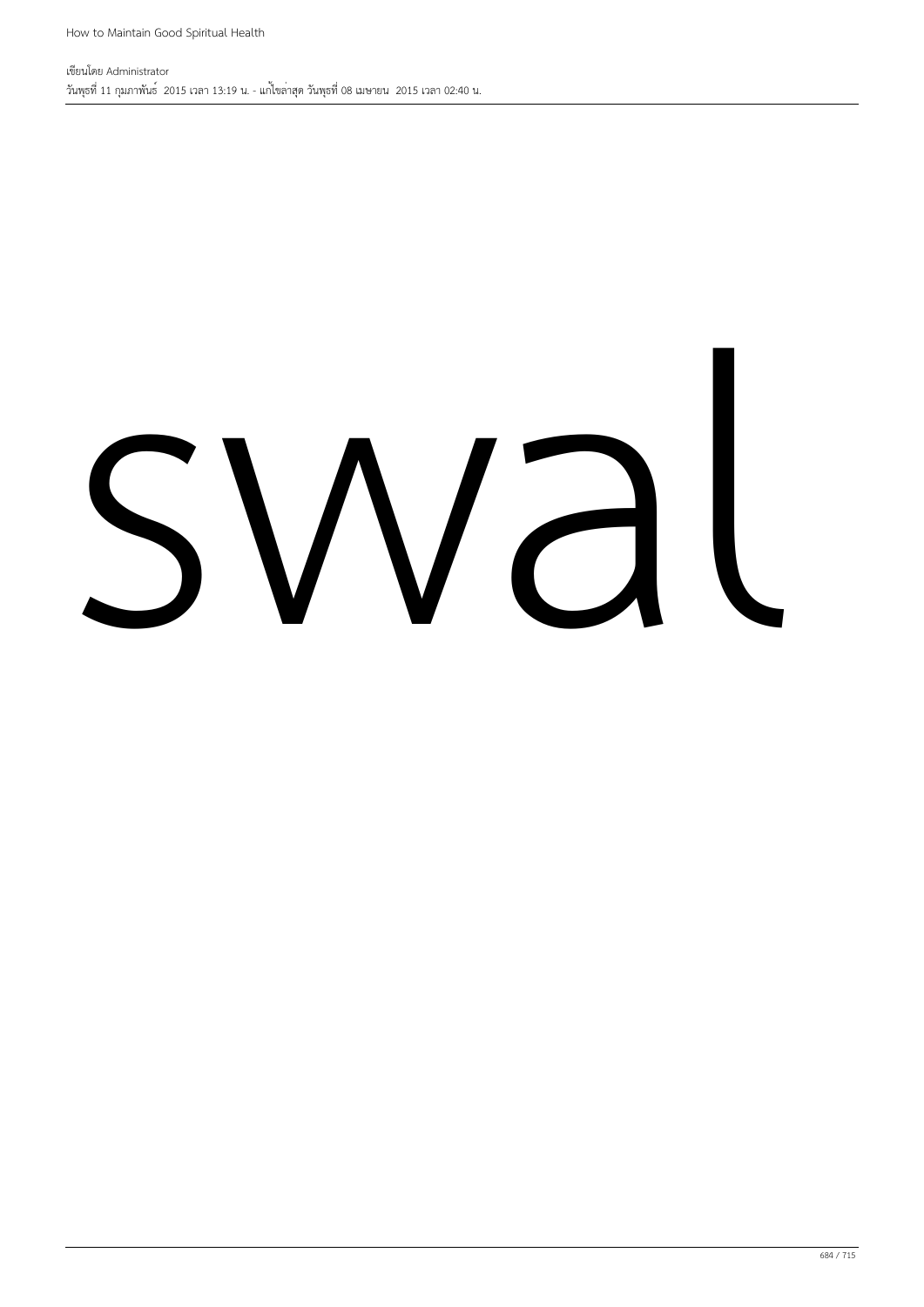# swal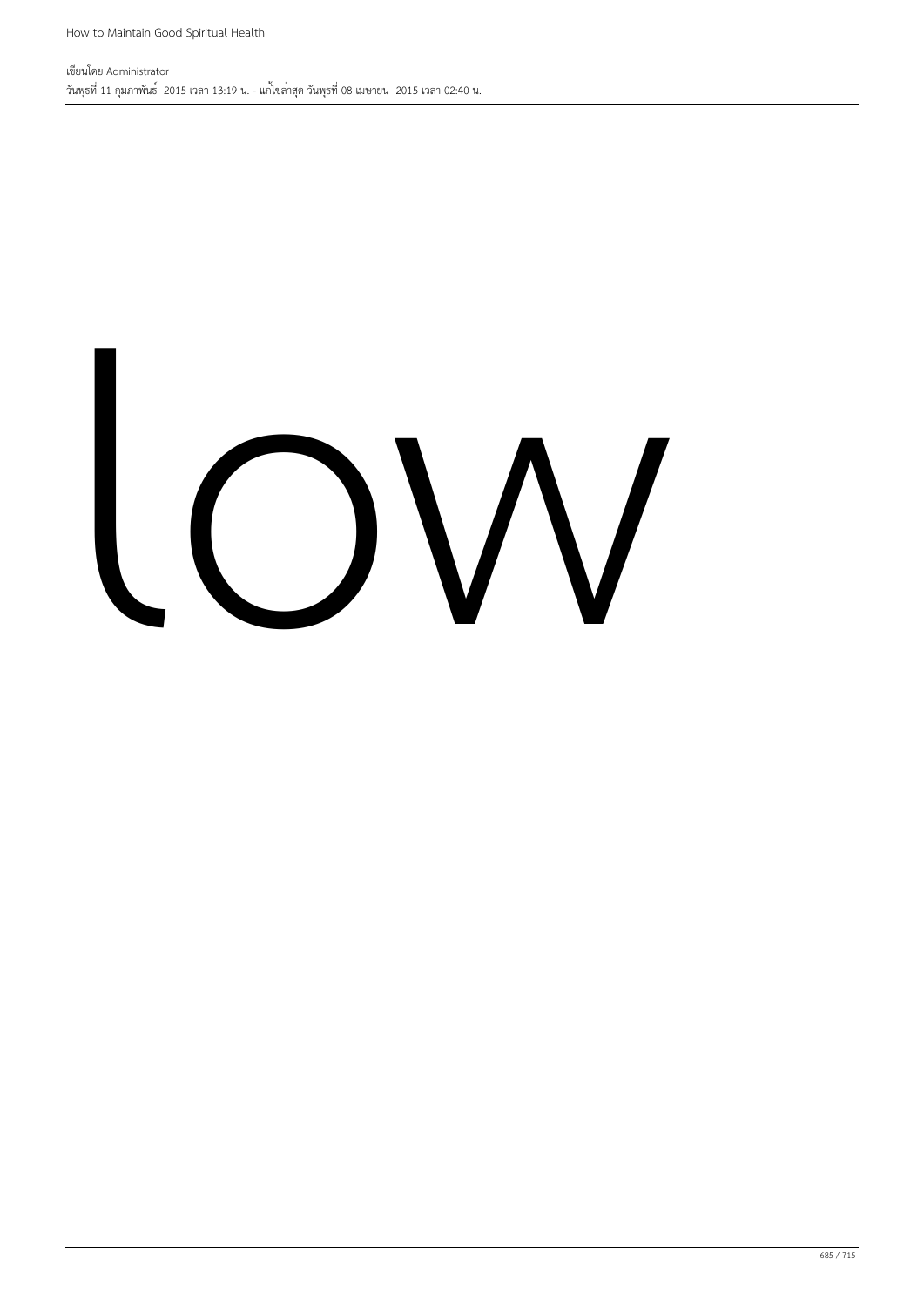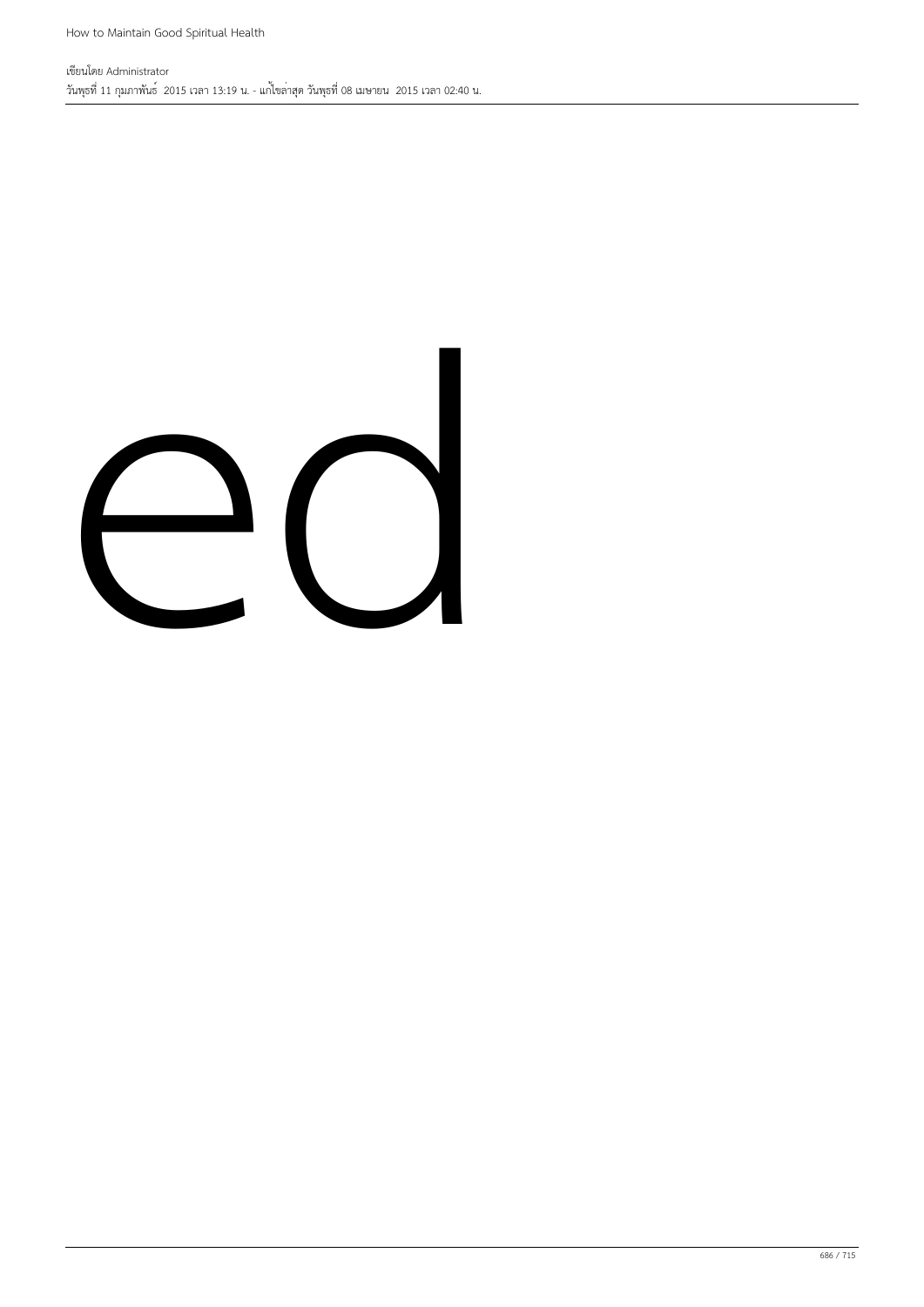#### ed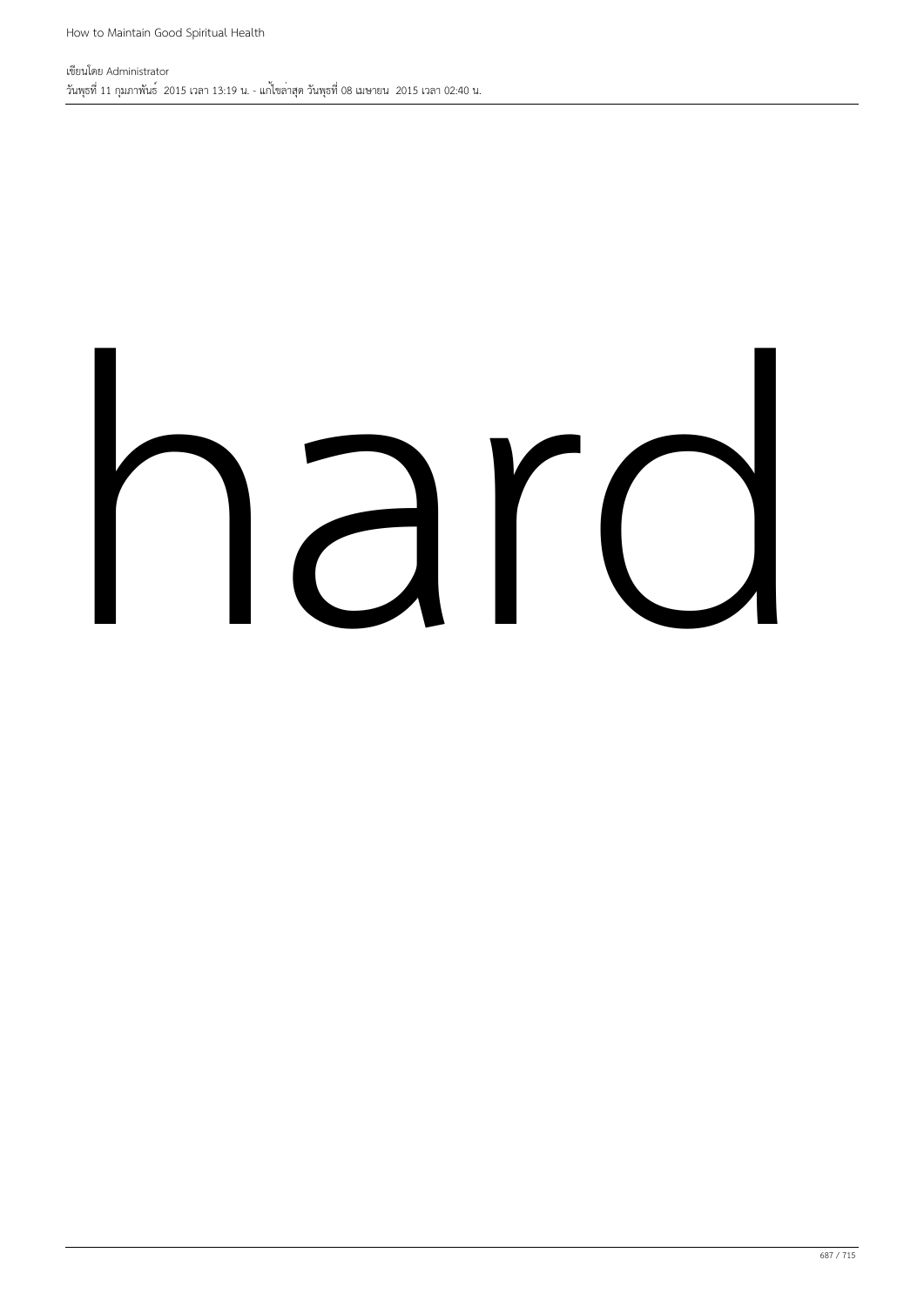## hard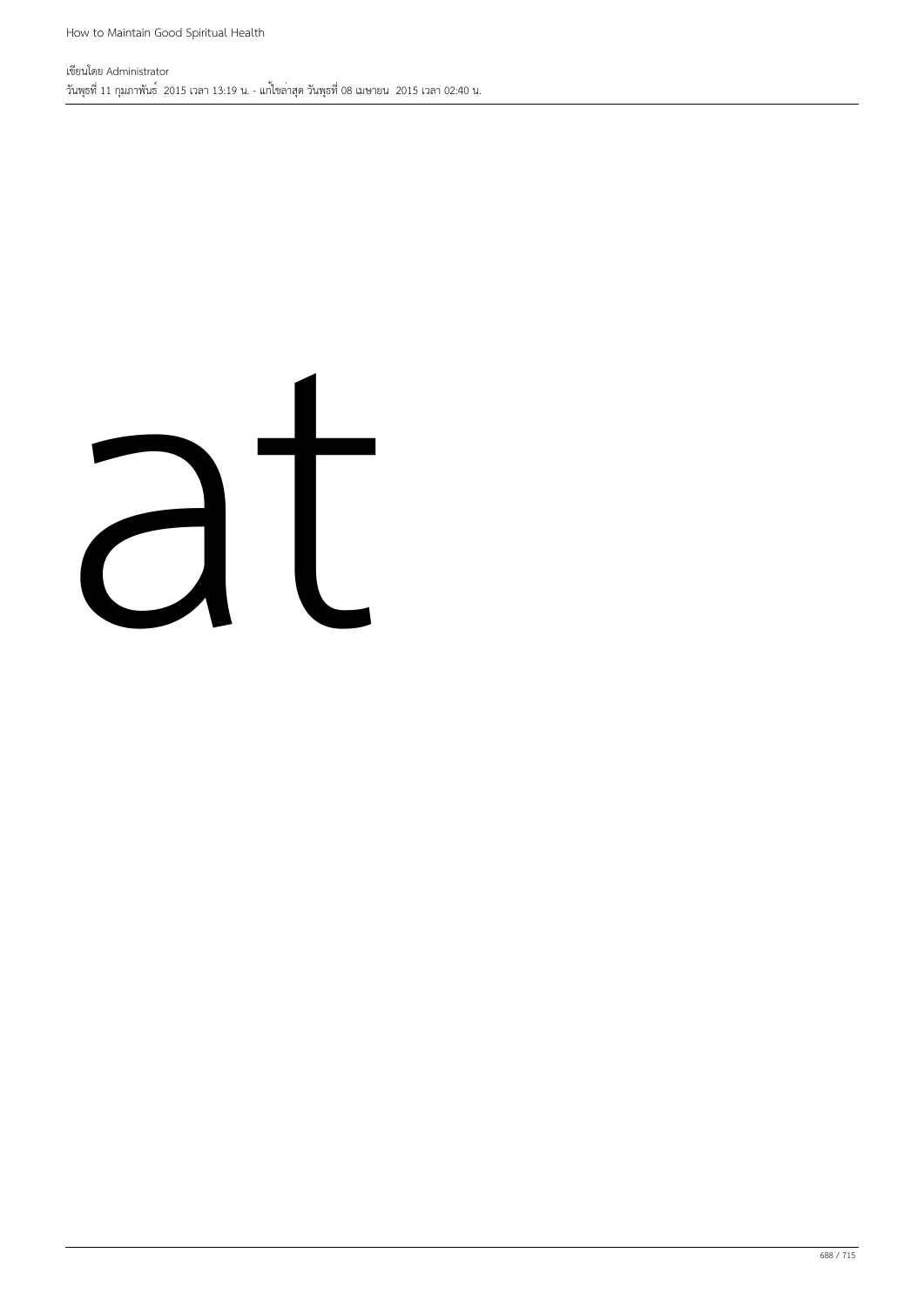#### at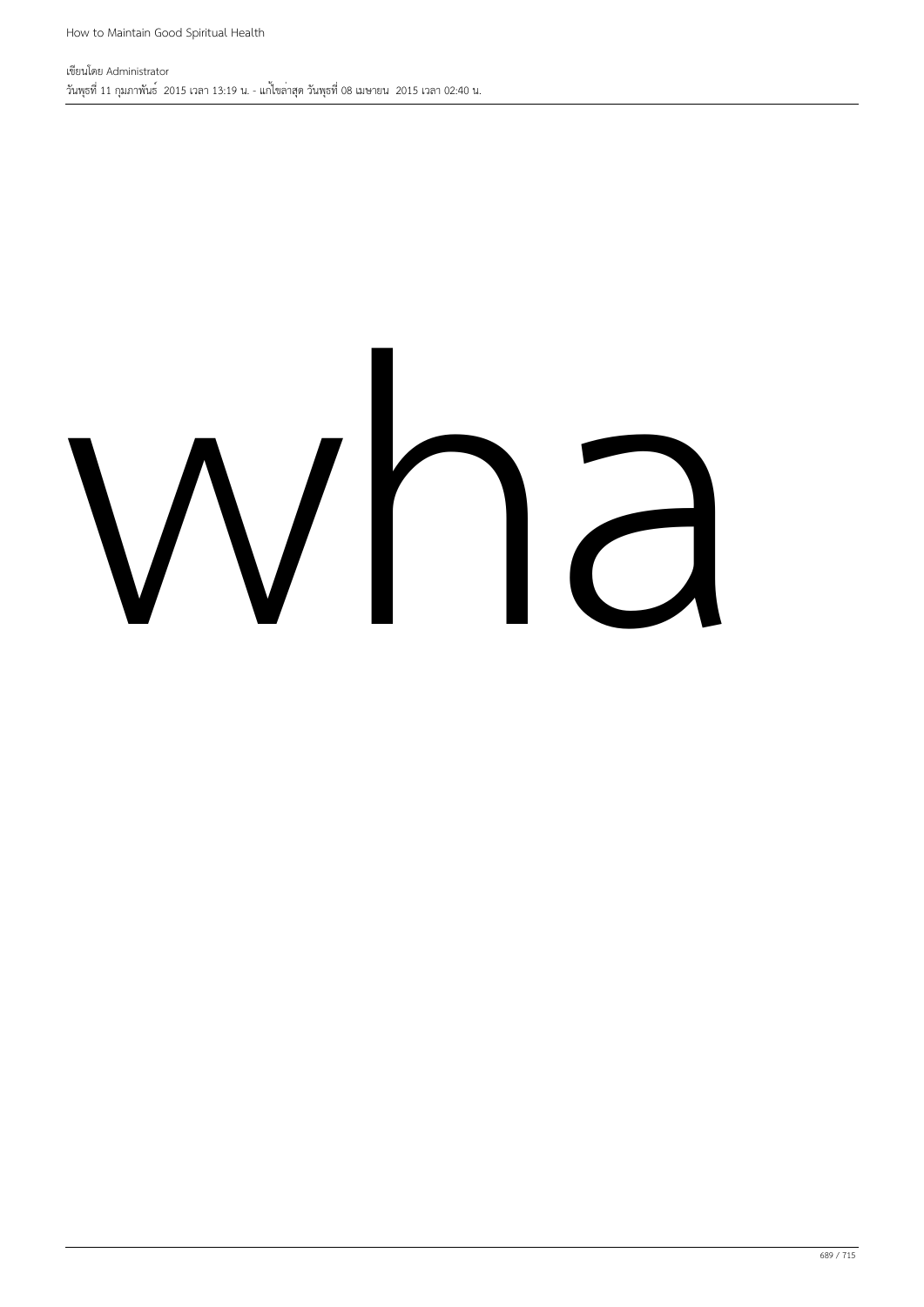## wha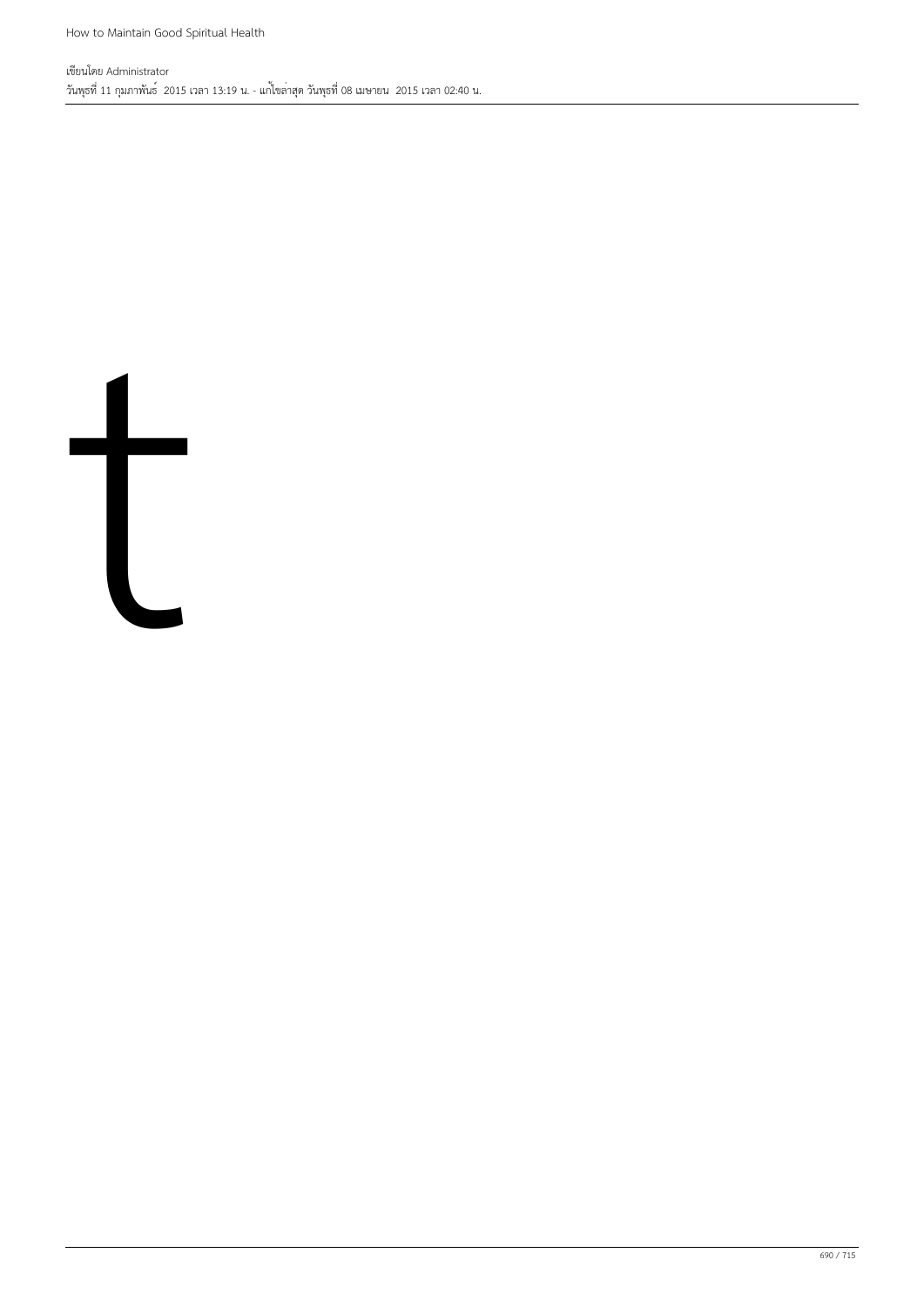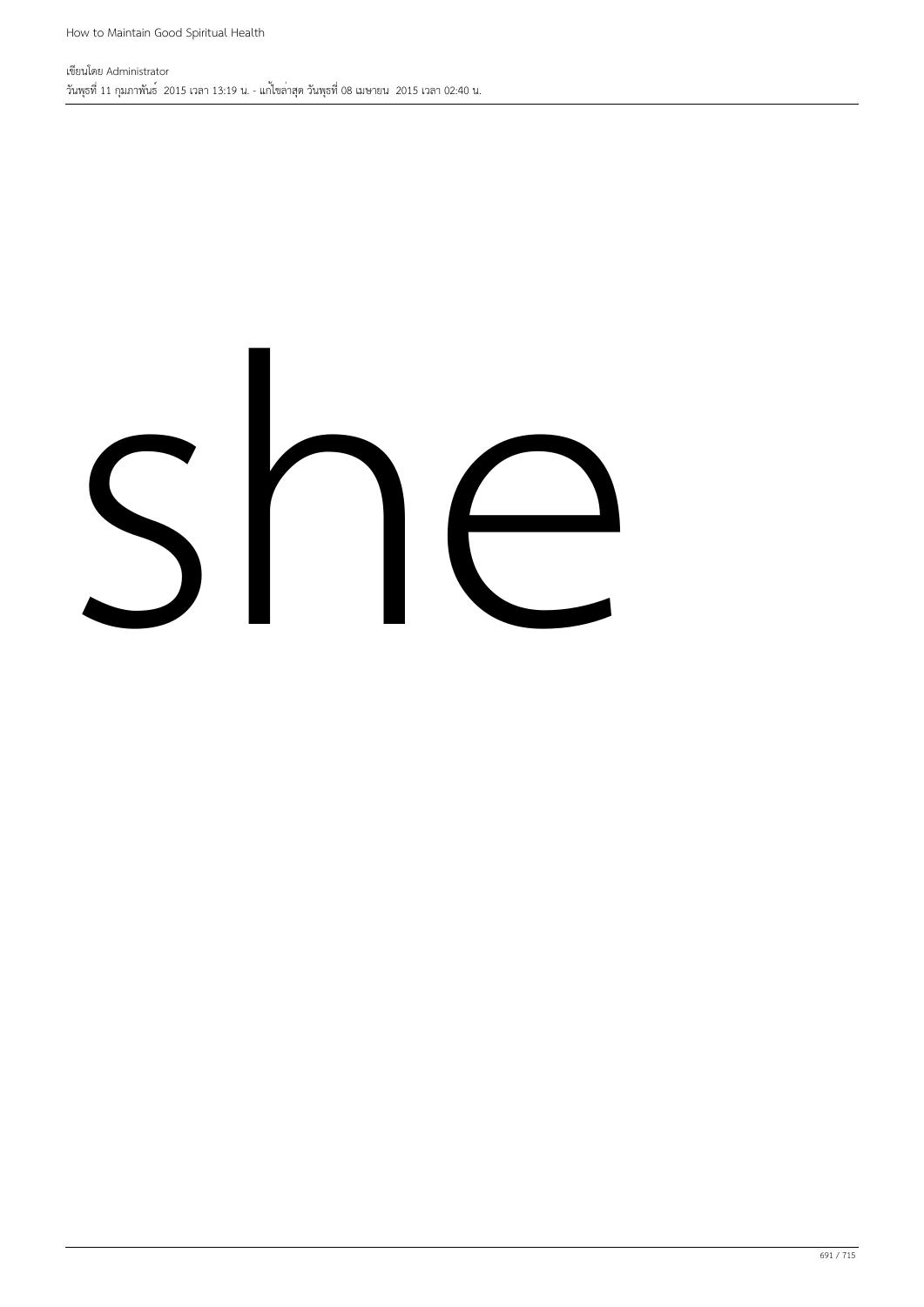#### she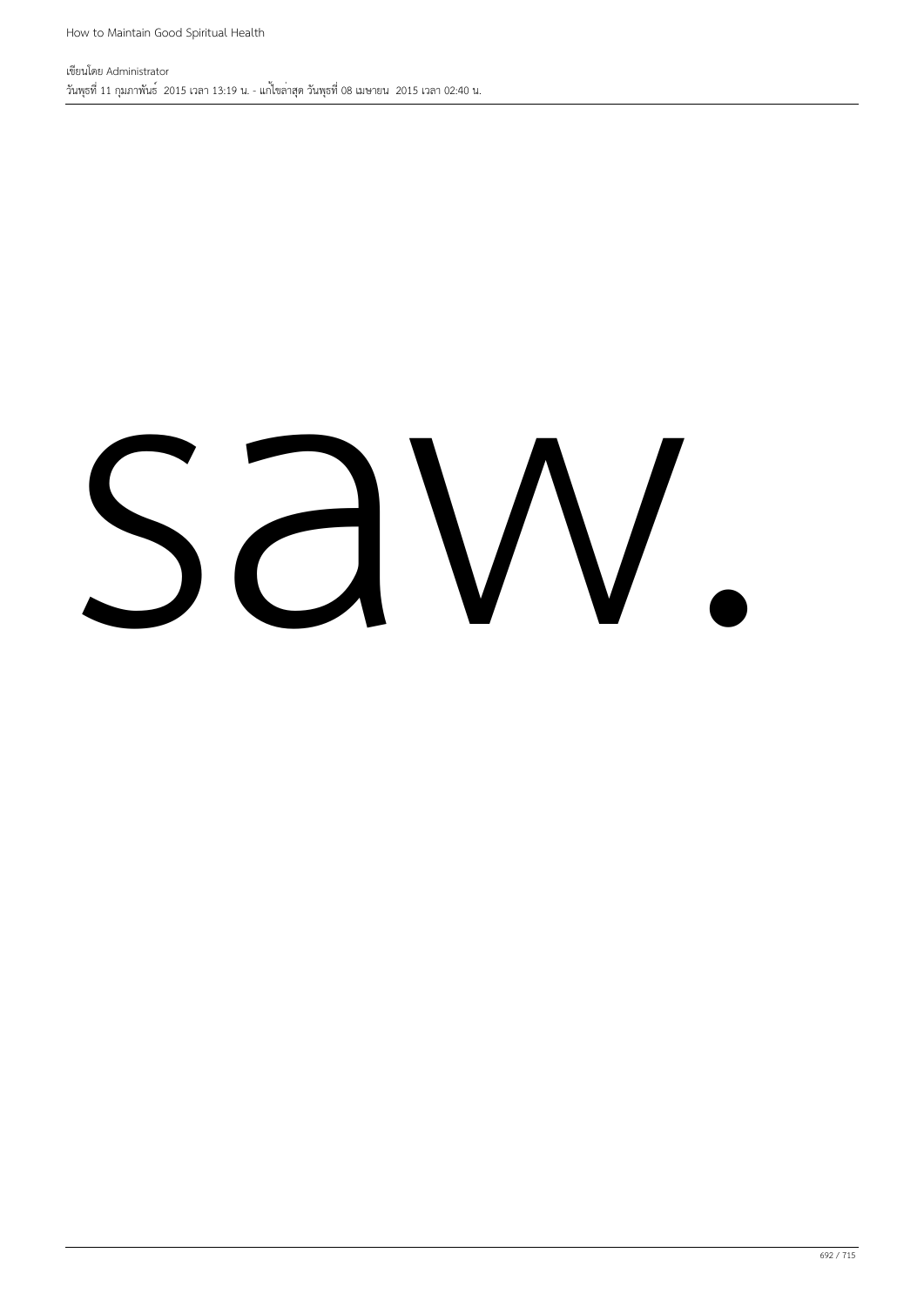#### saw.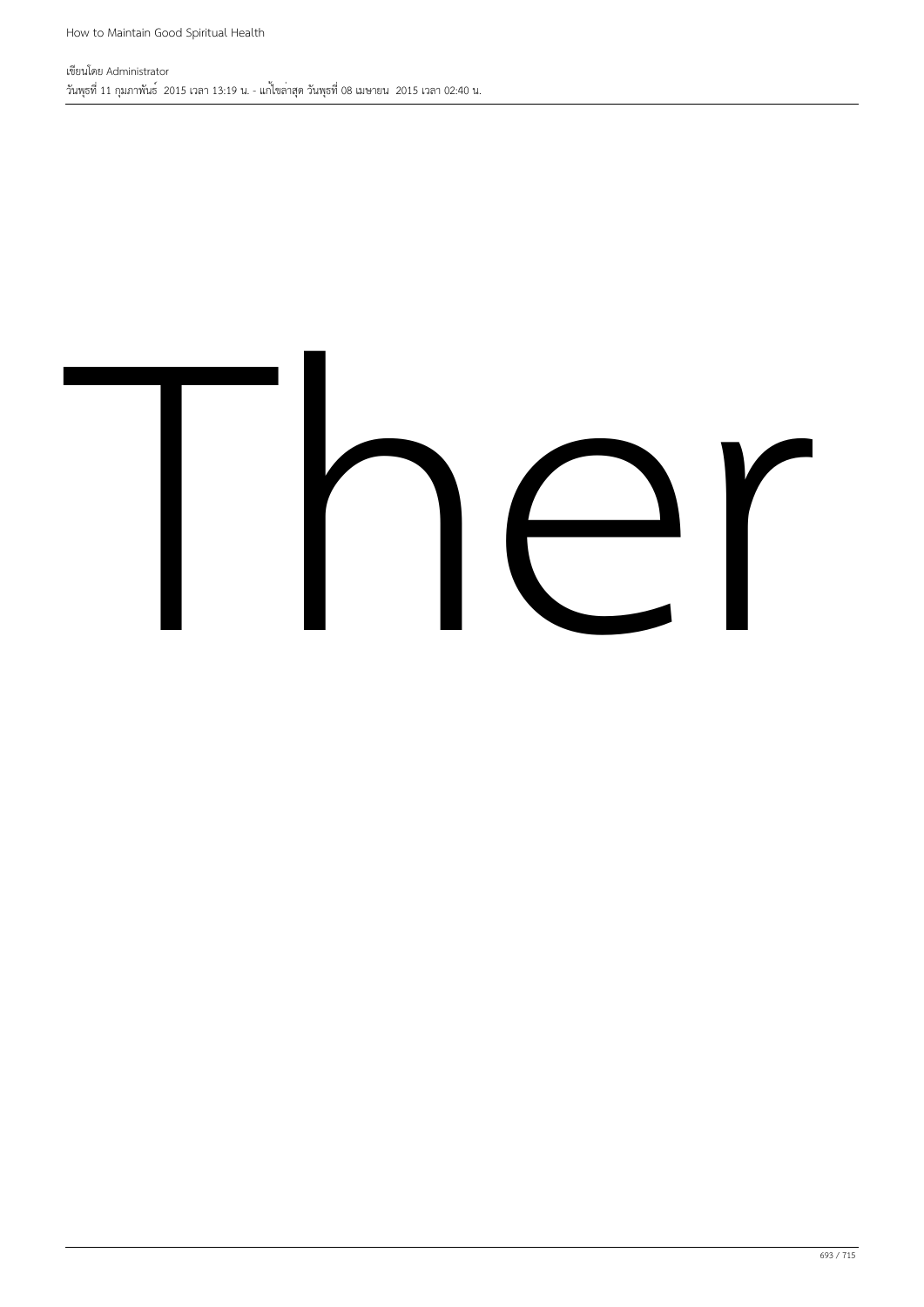#### Ther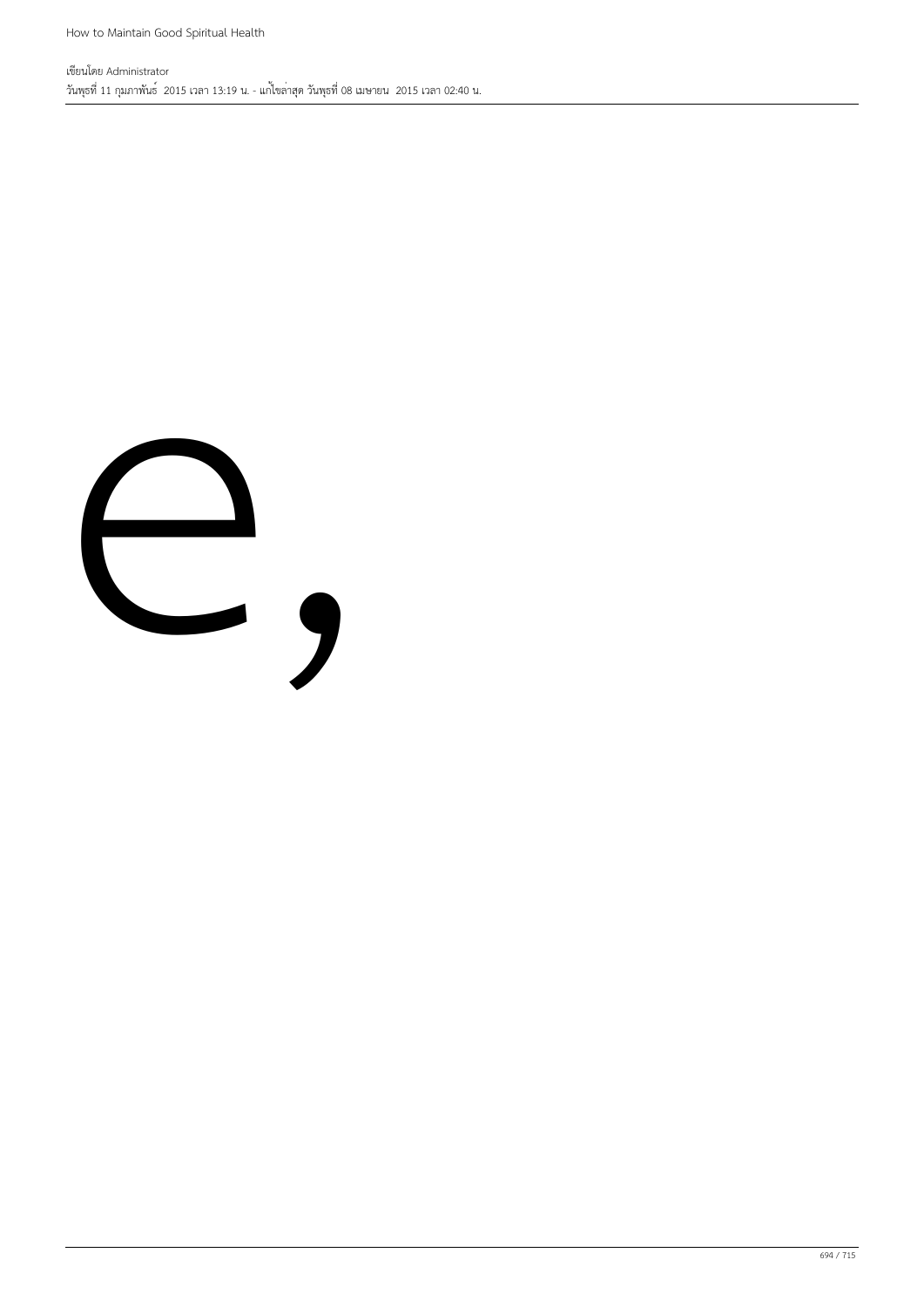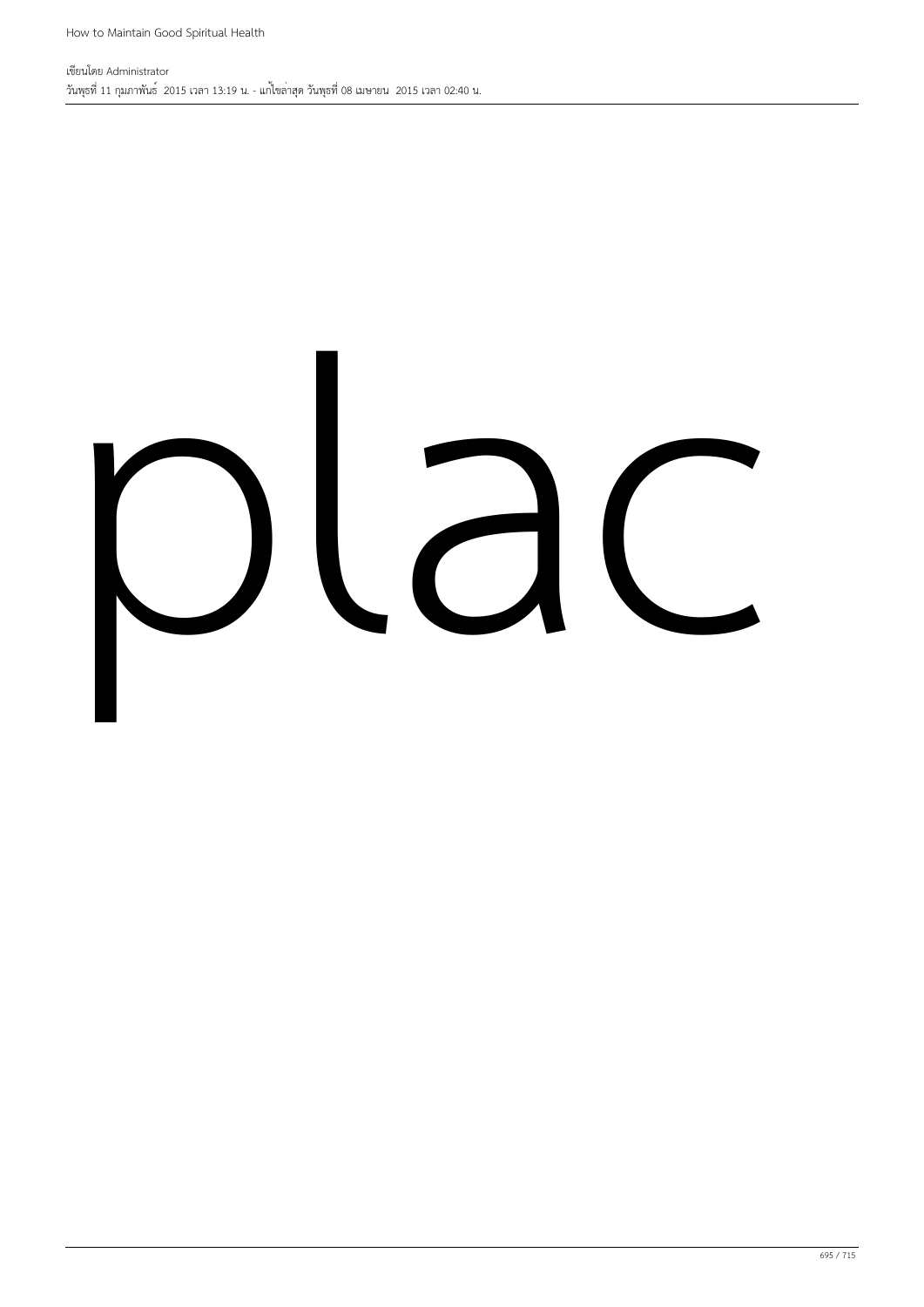## IdC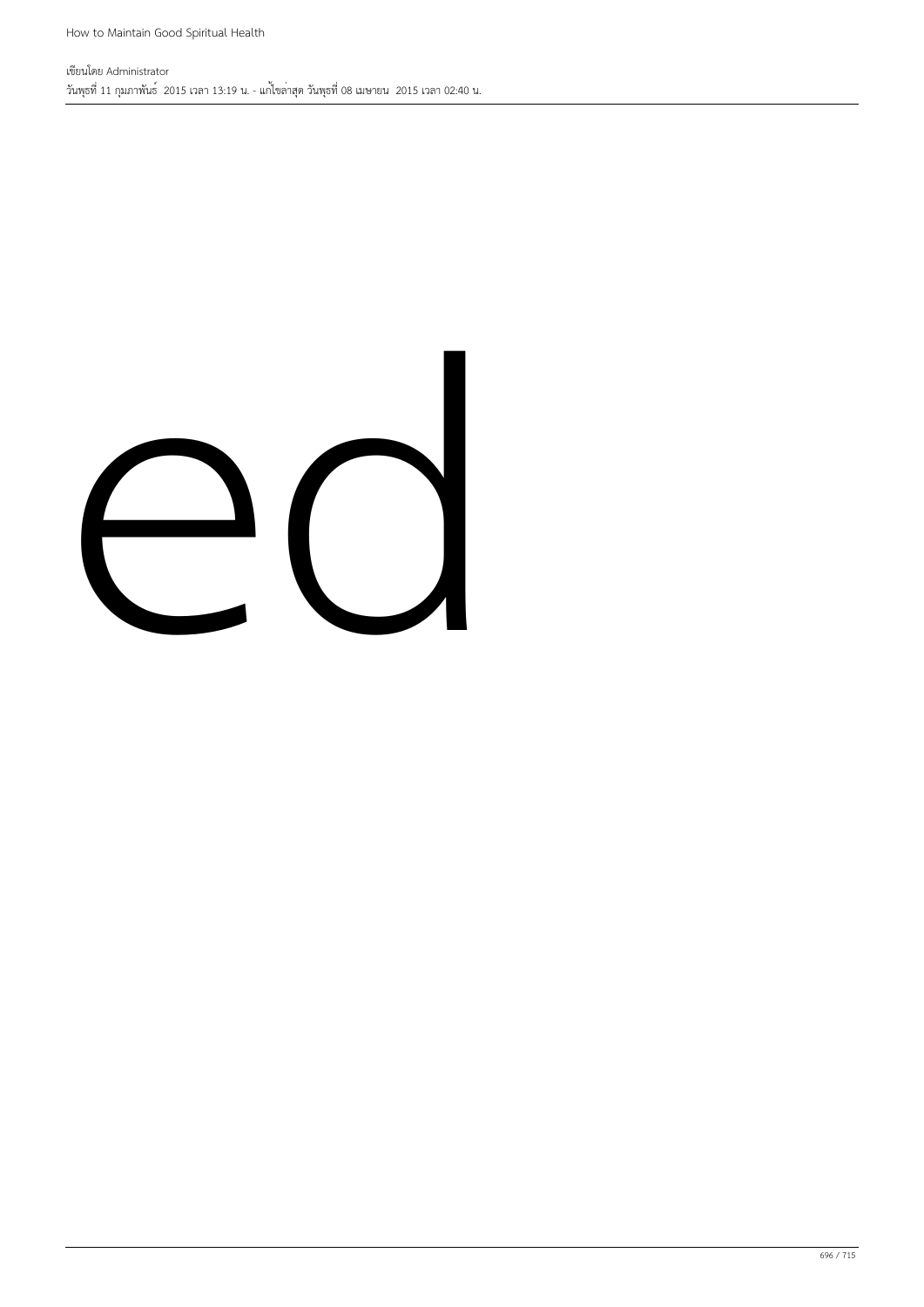#### ed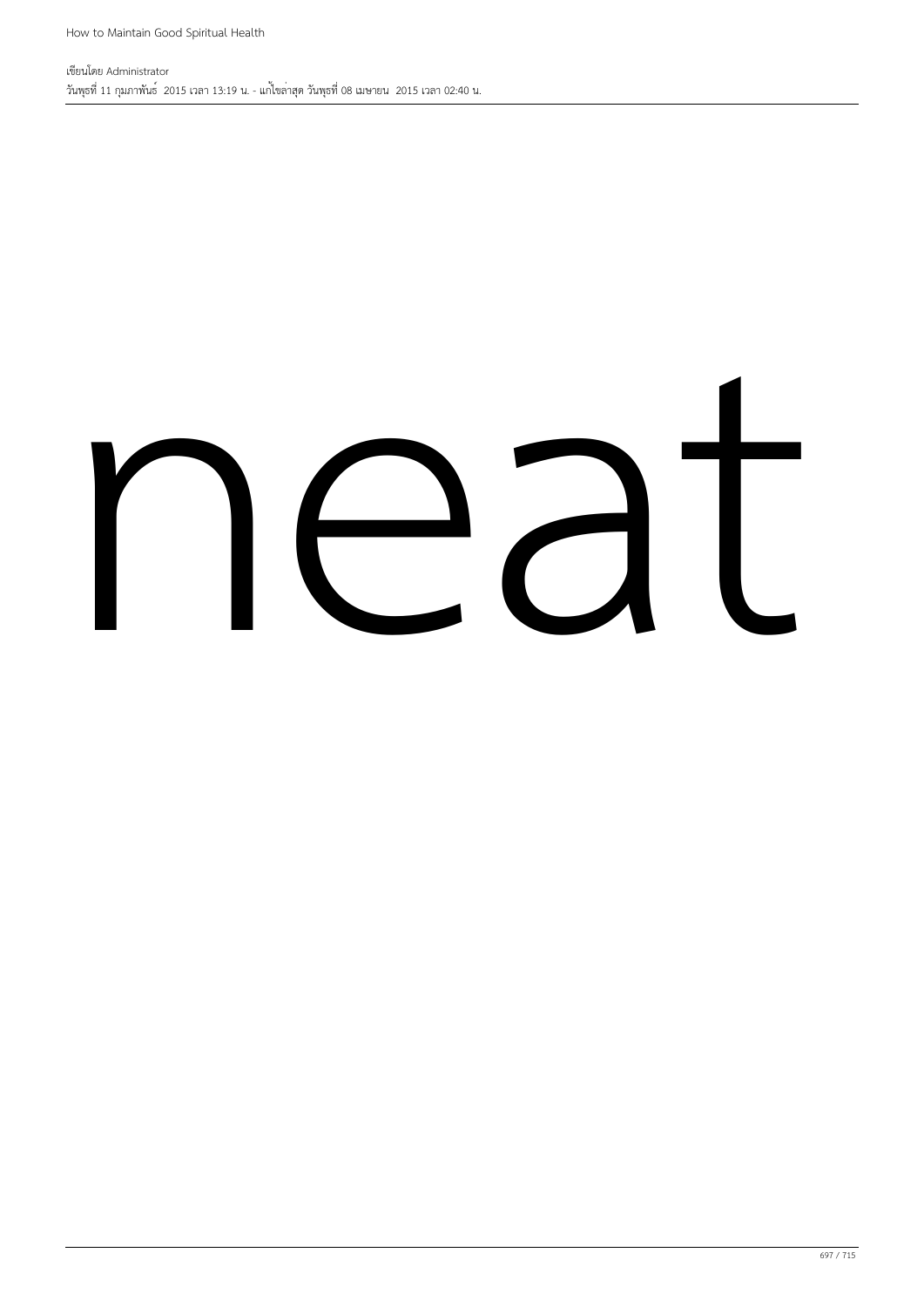#### neat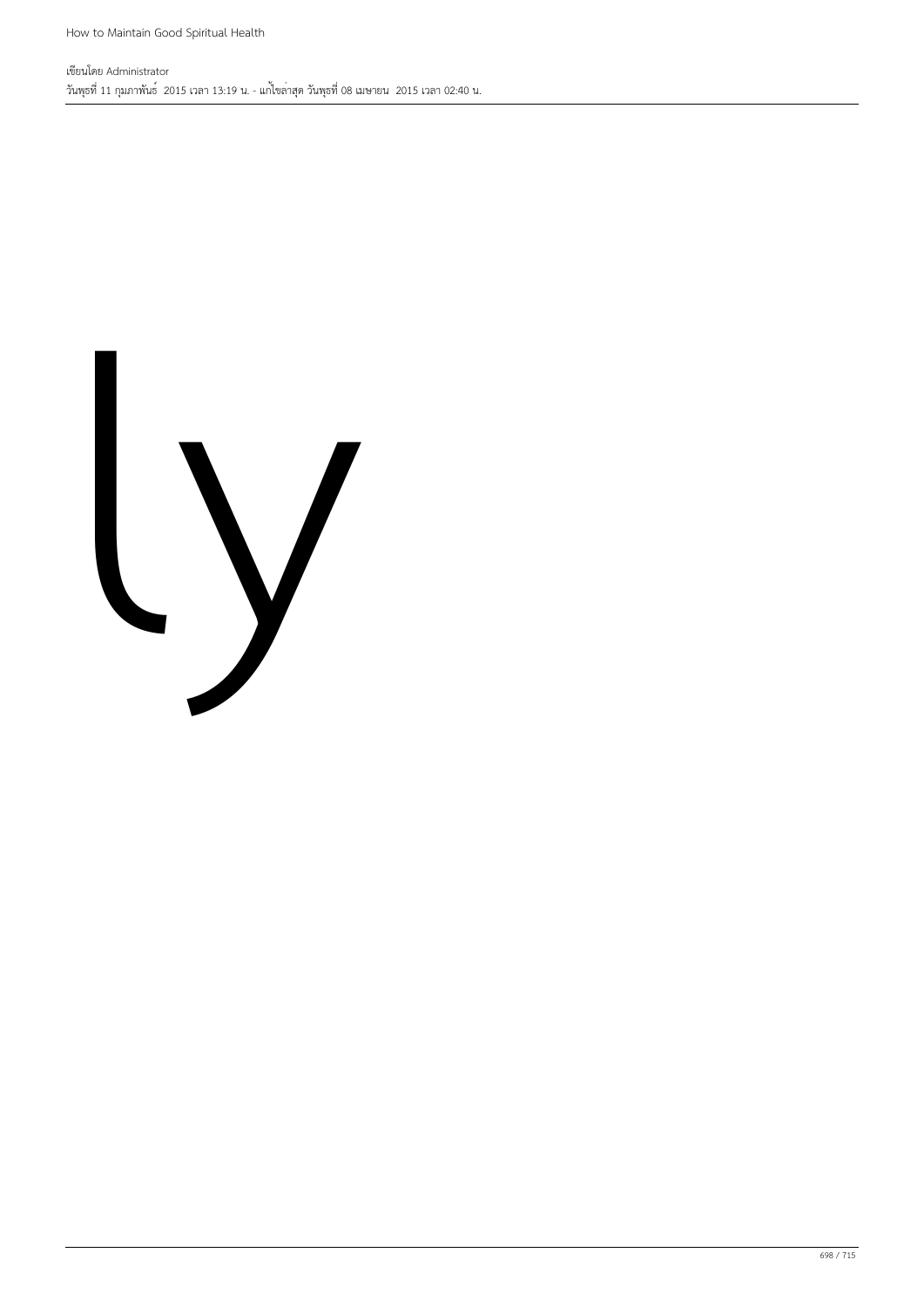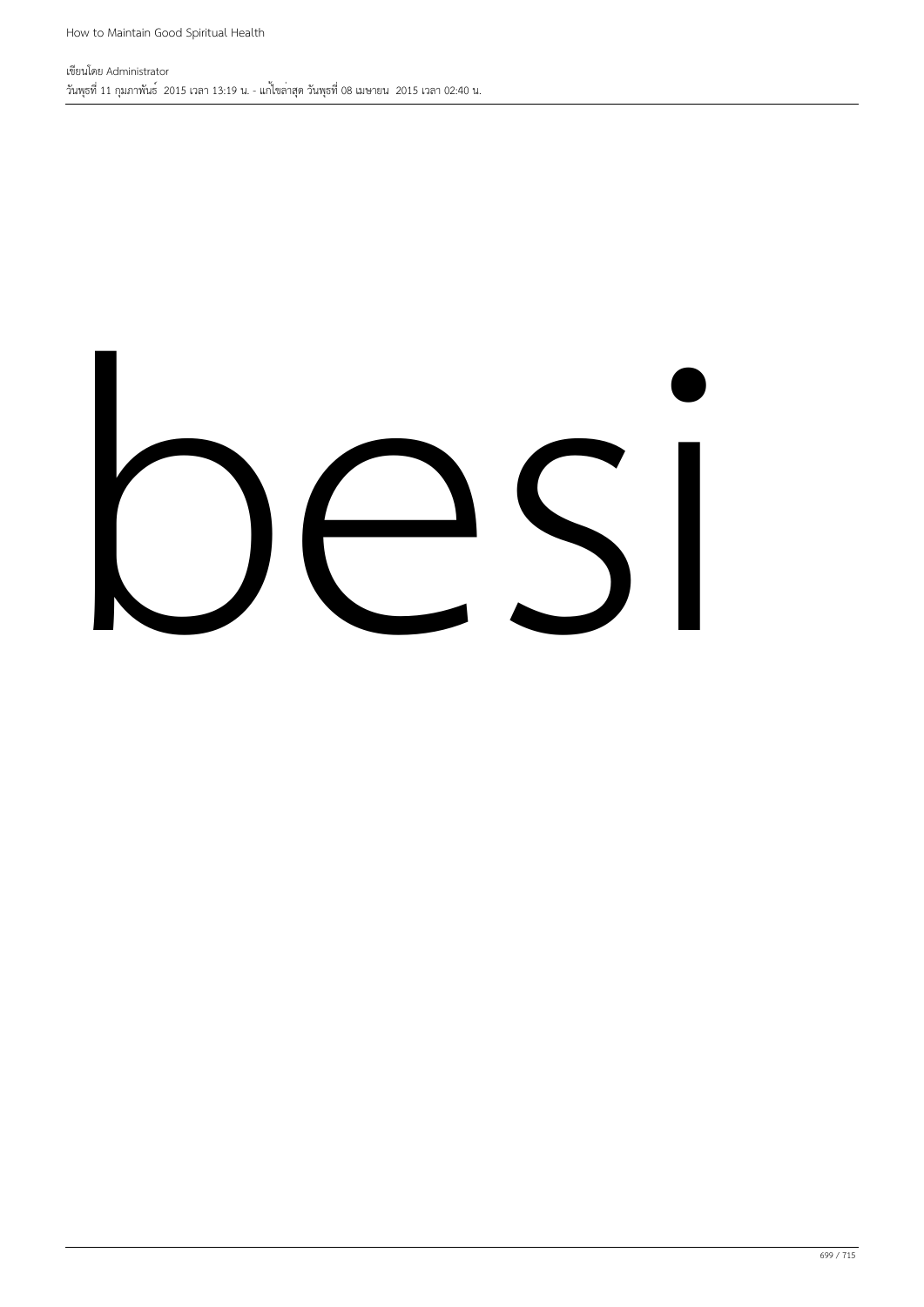## OS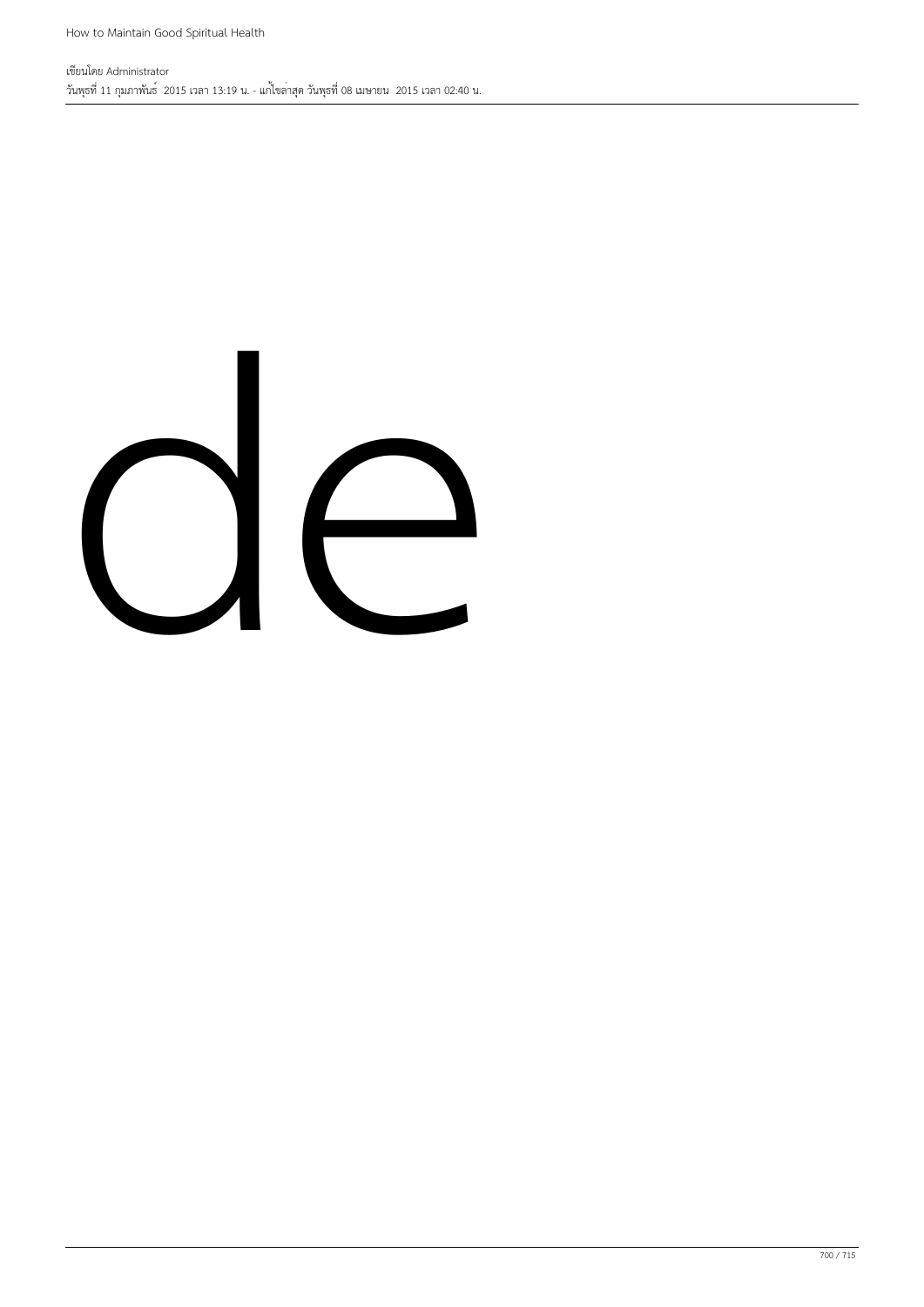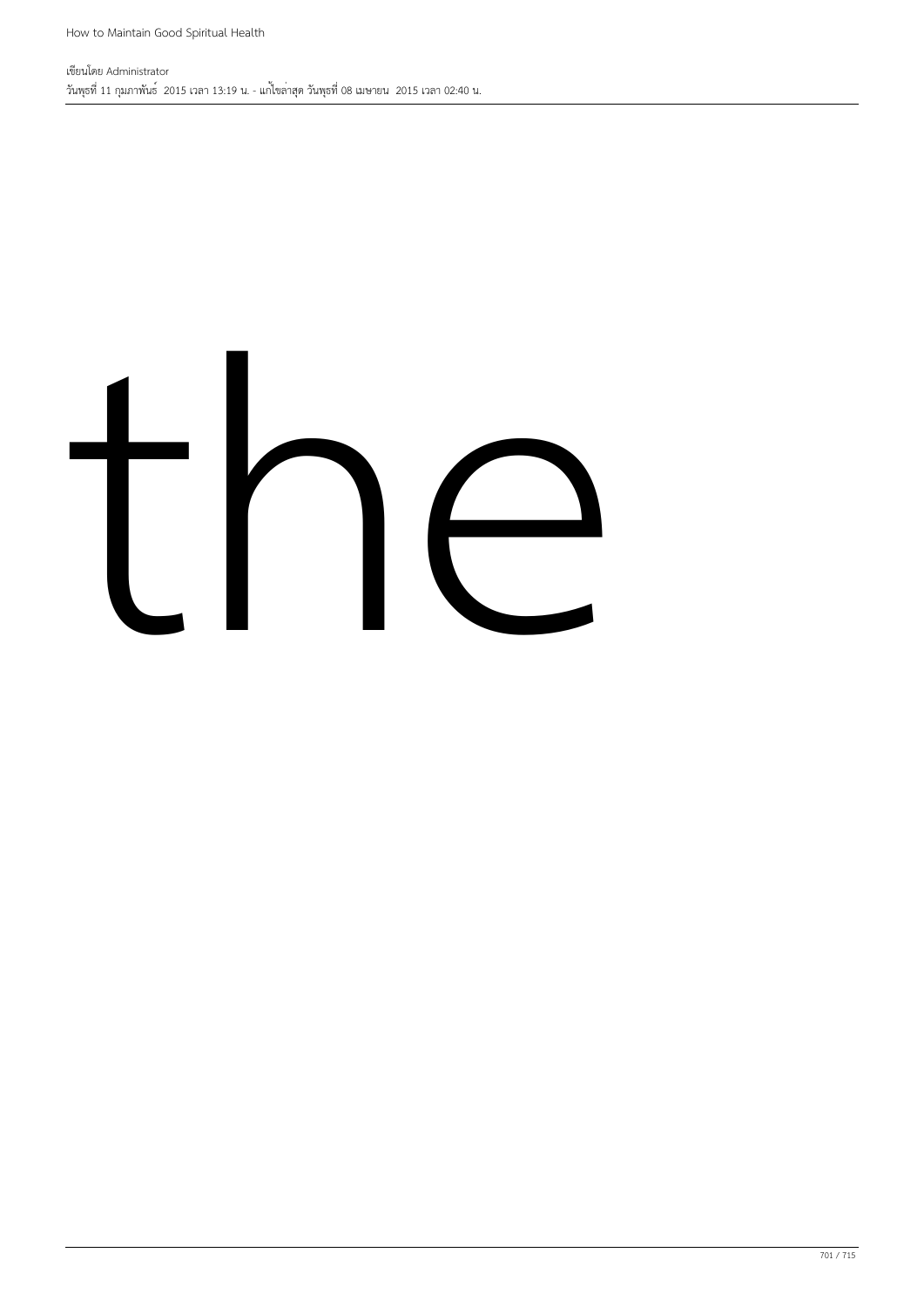## the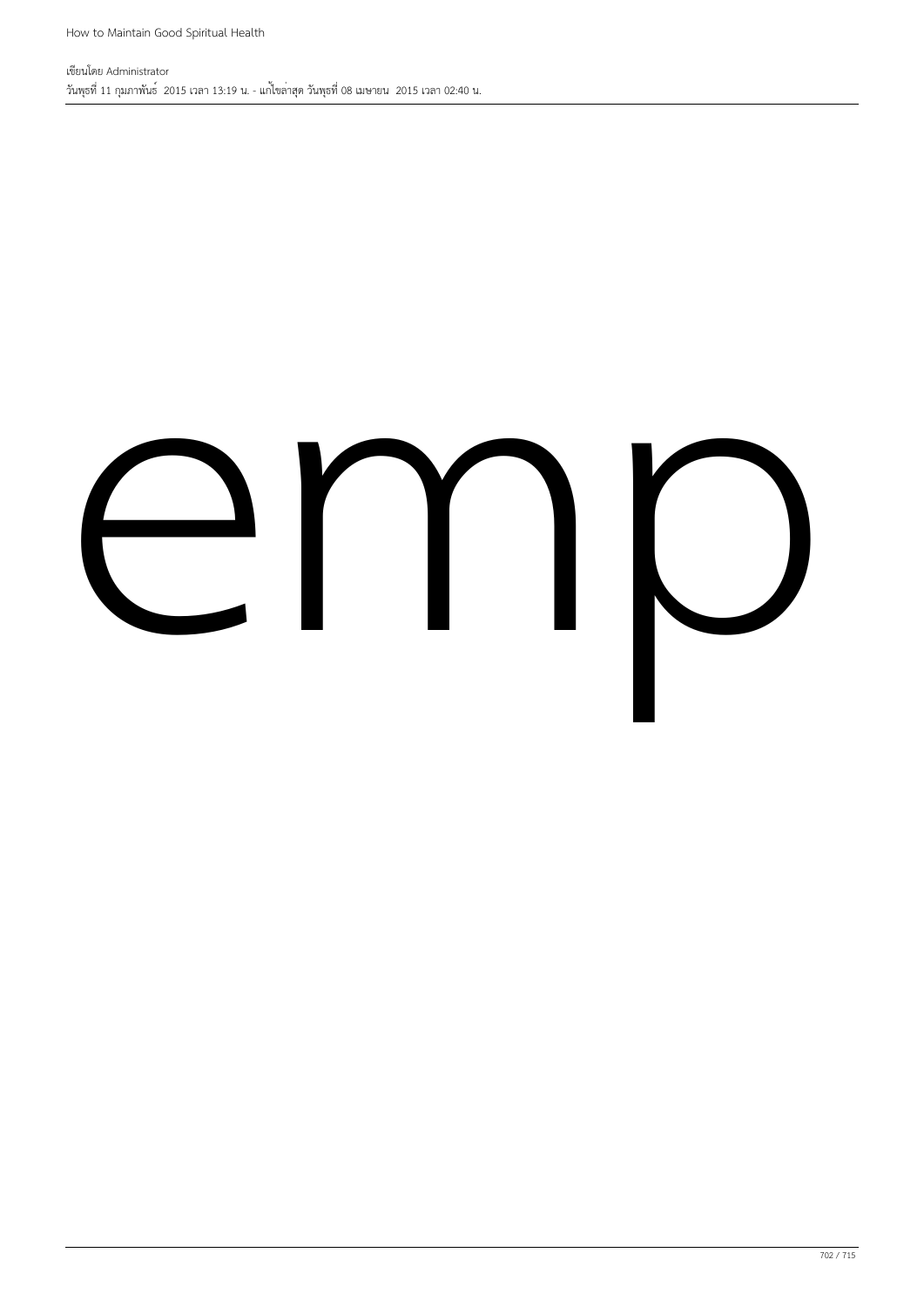#### emp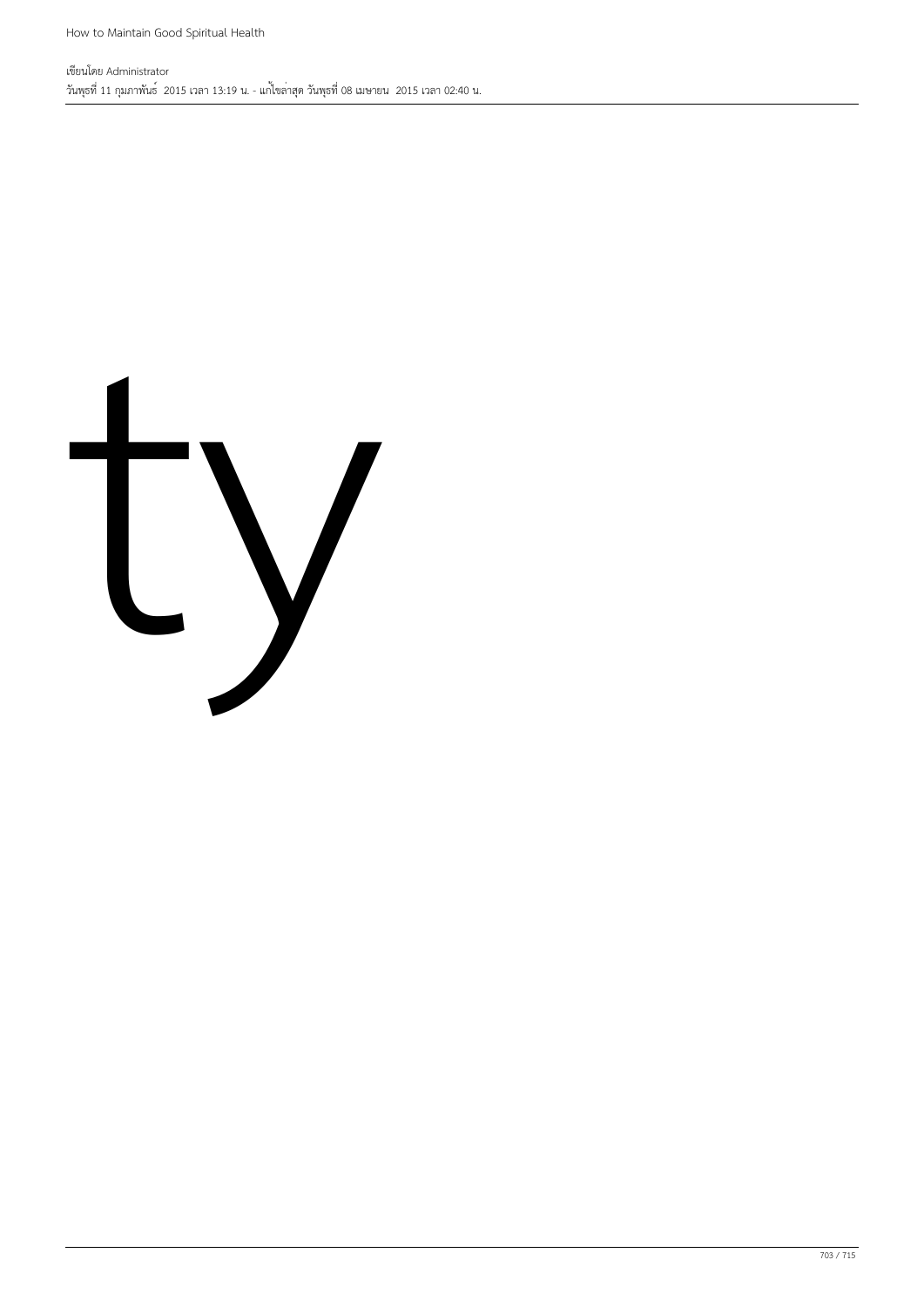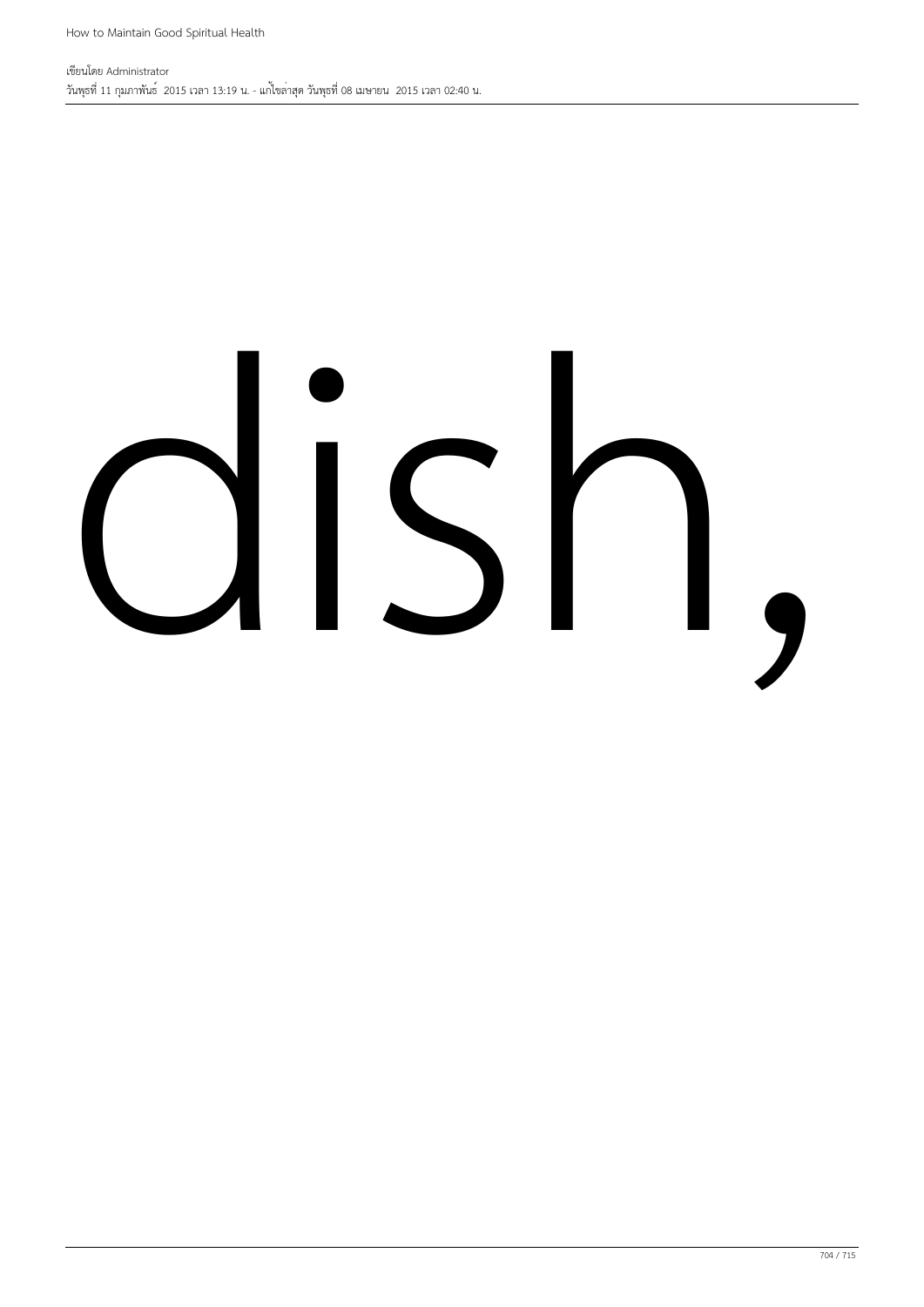# dish,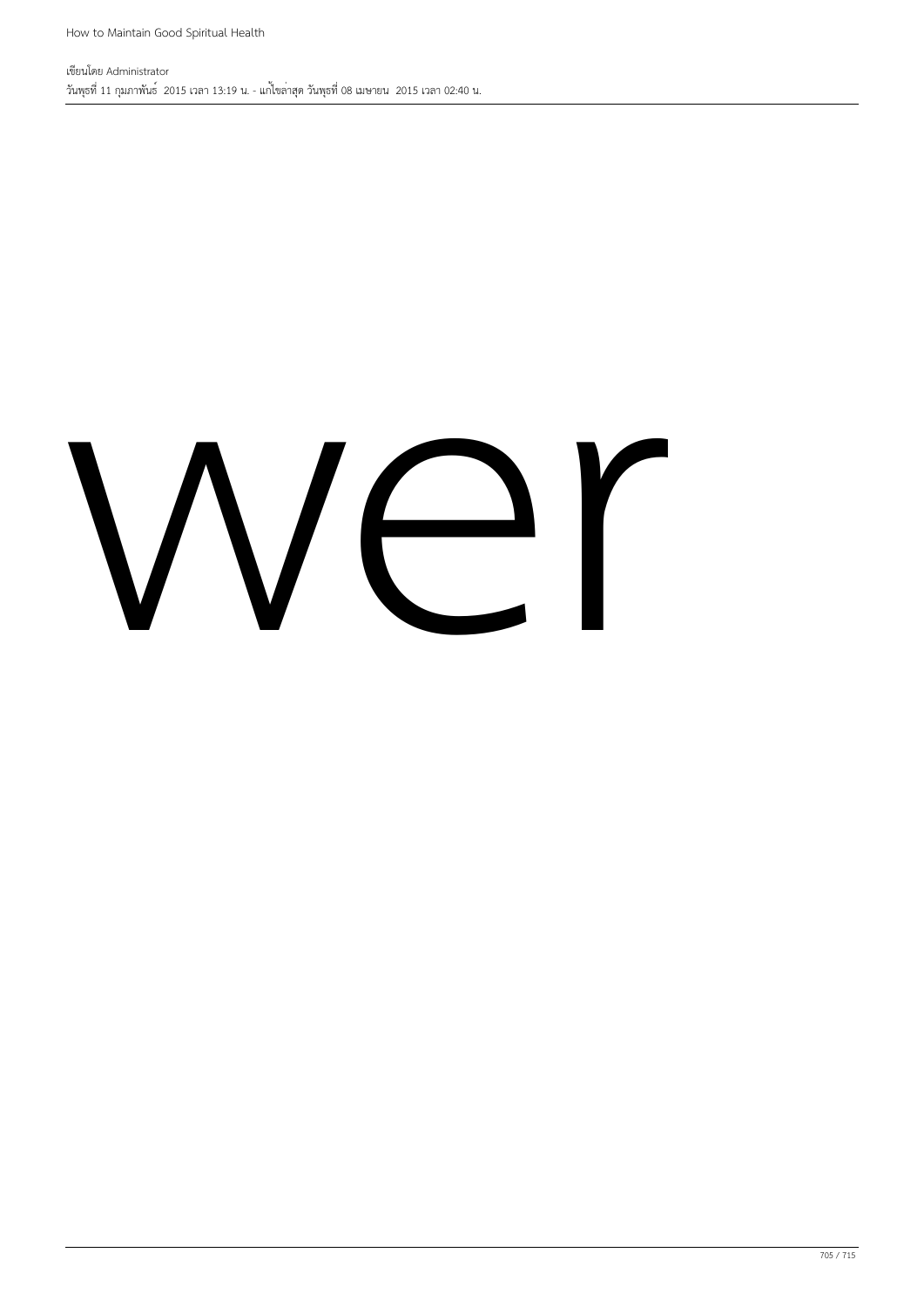#### wer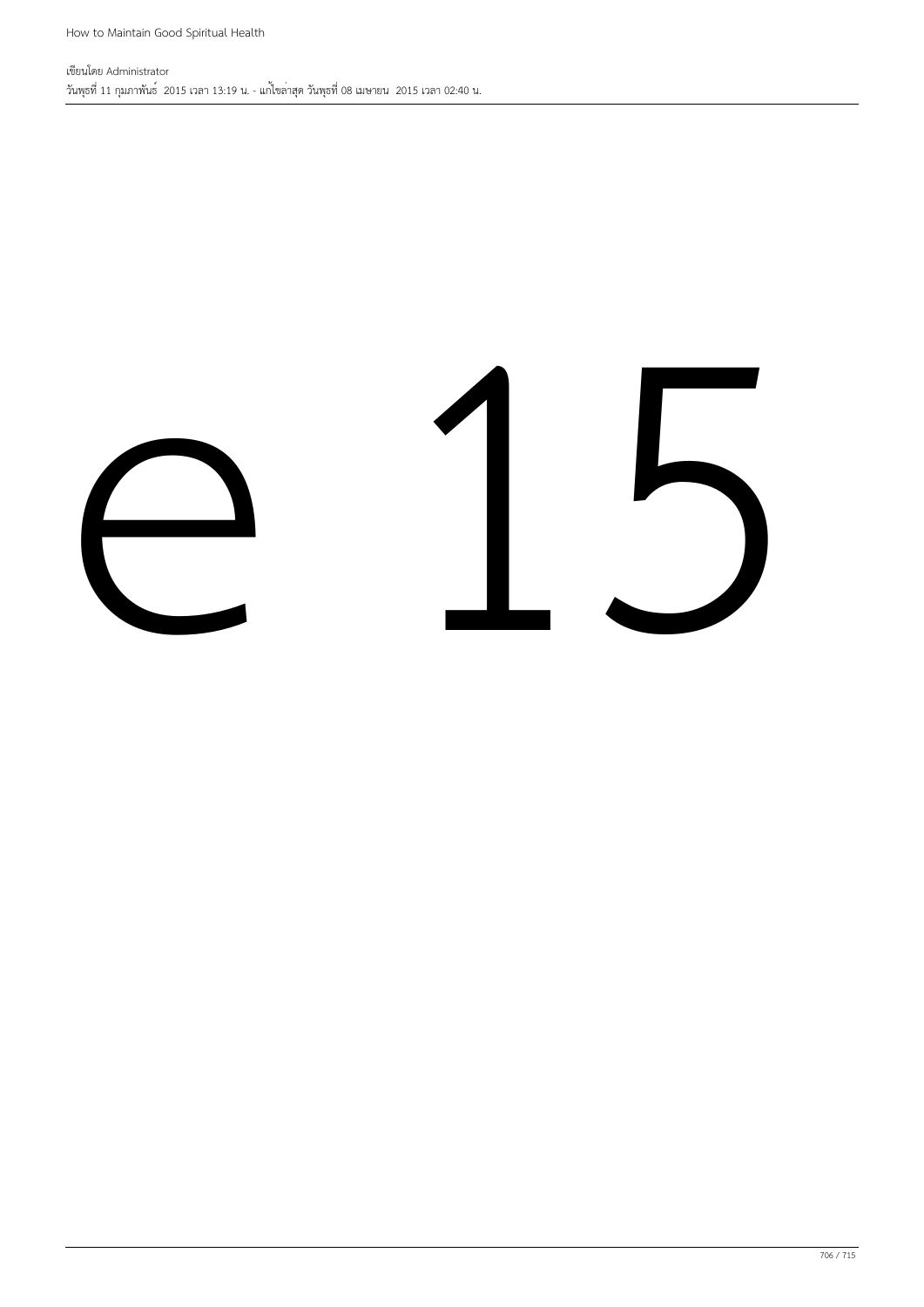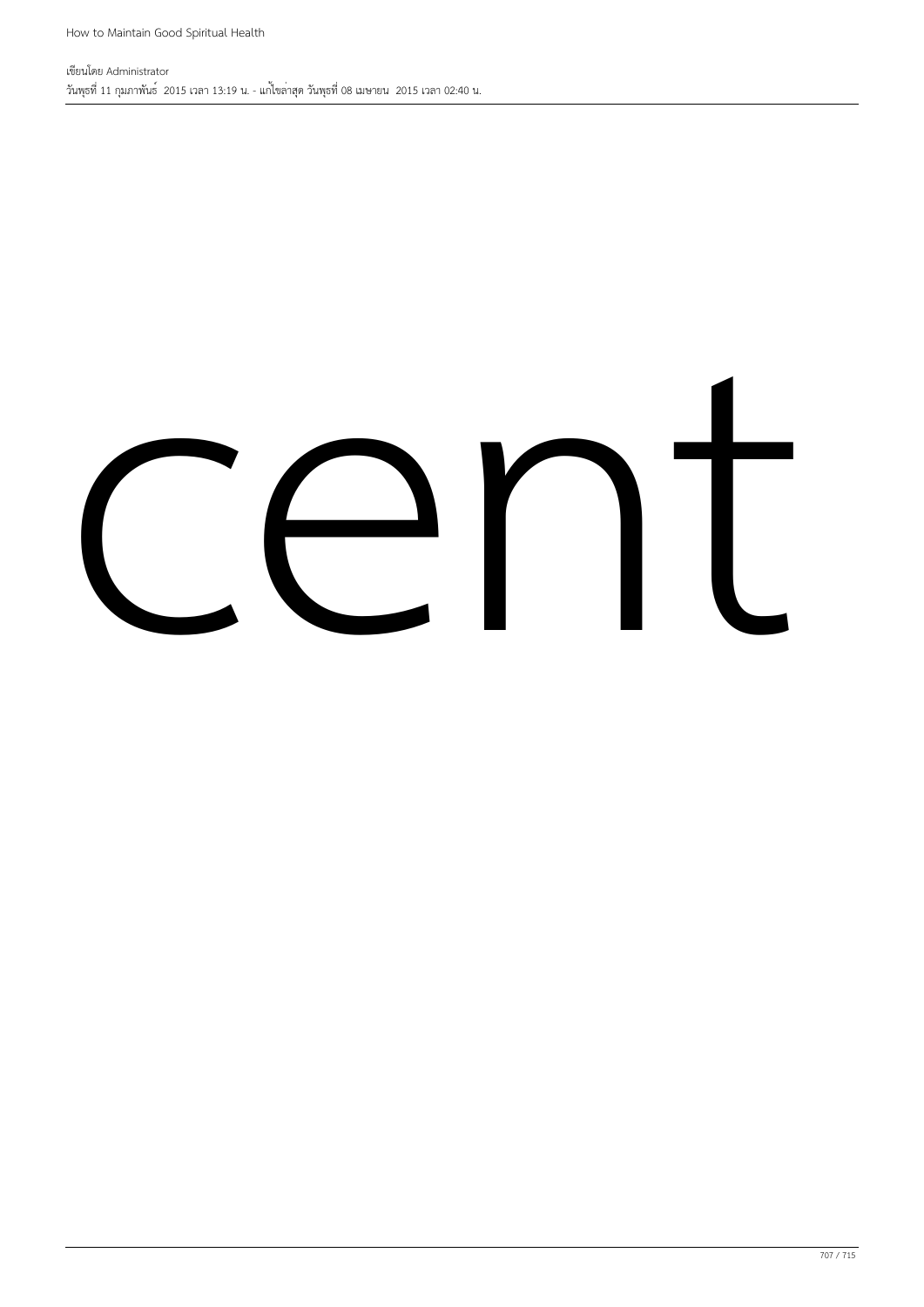#### cent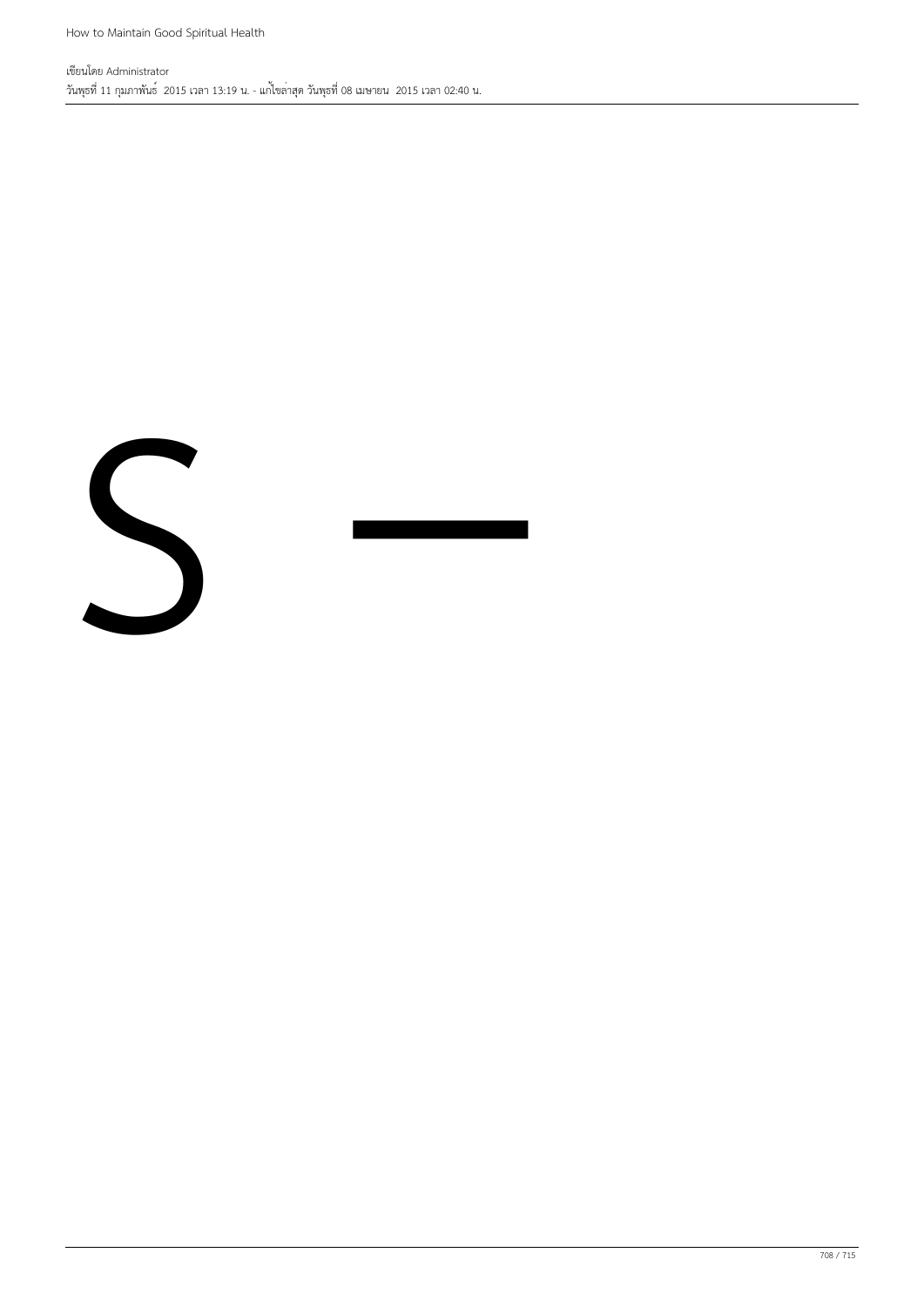#### S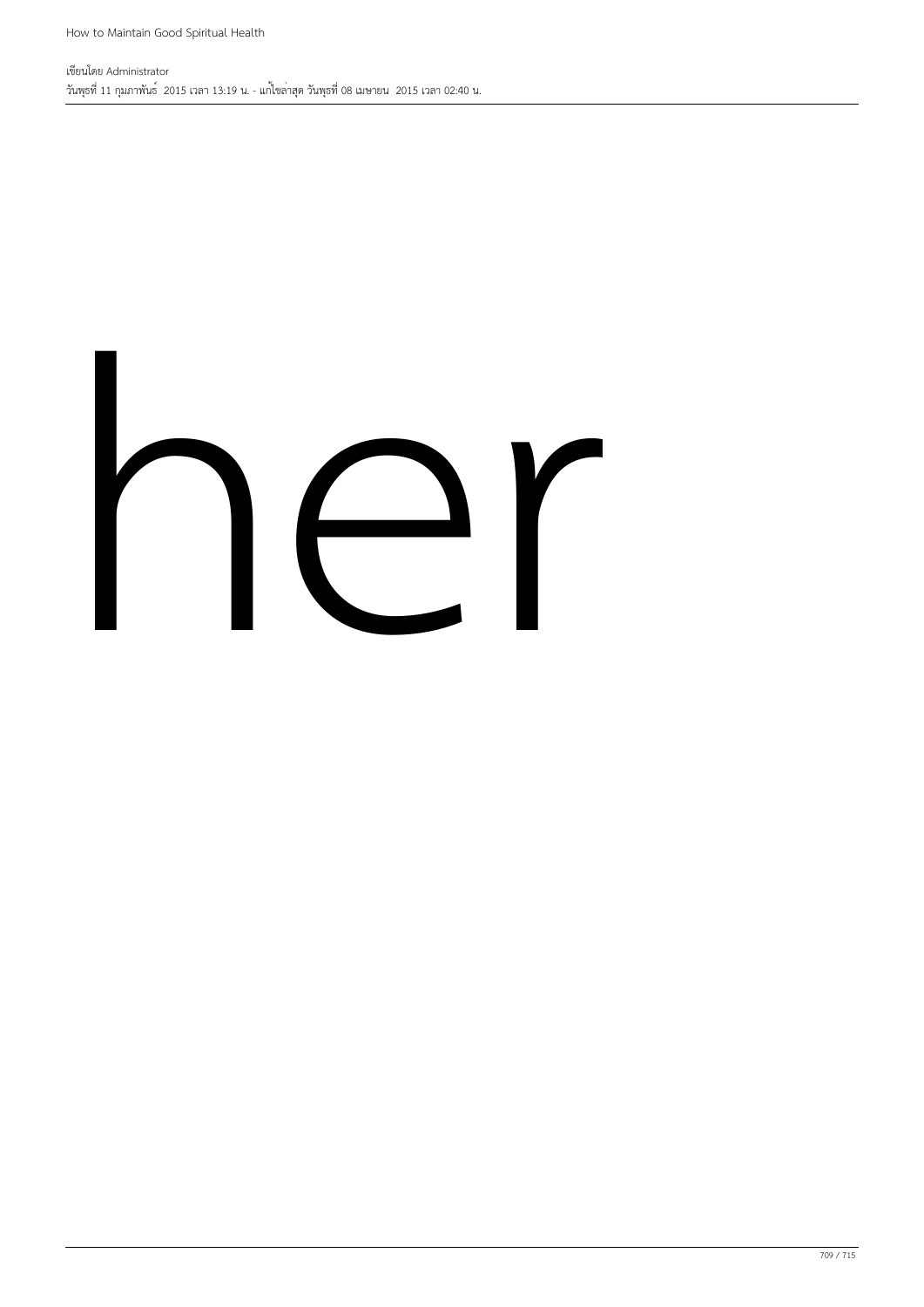#### her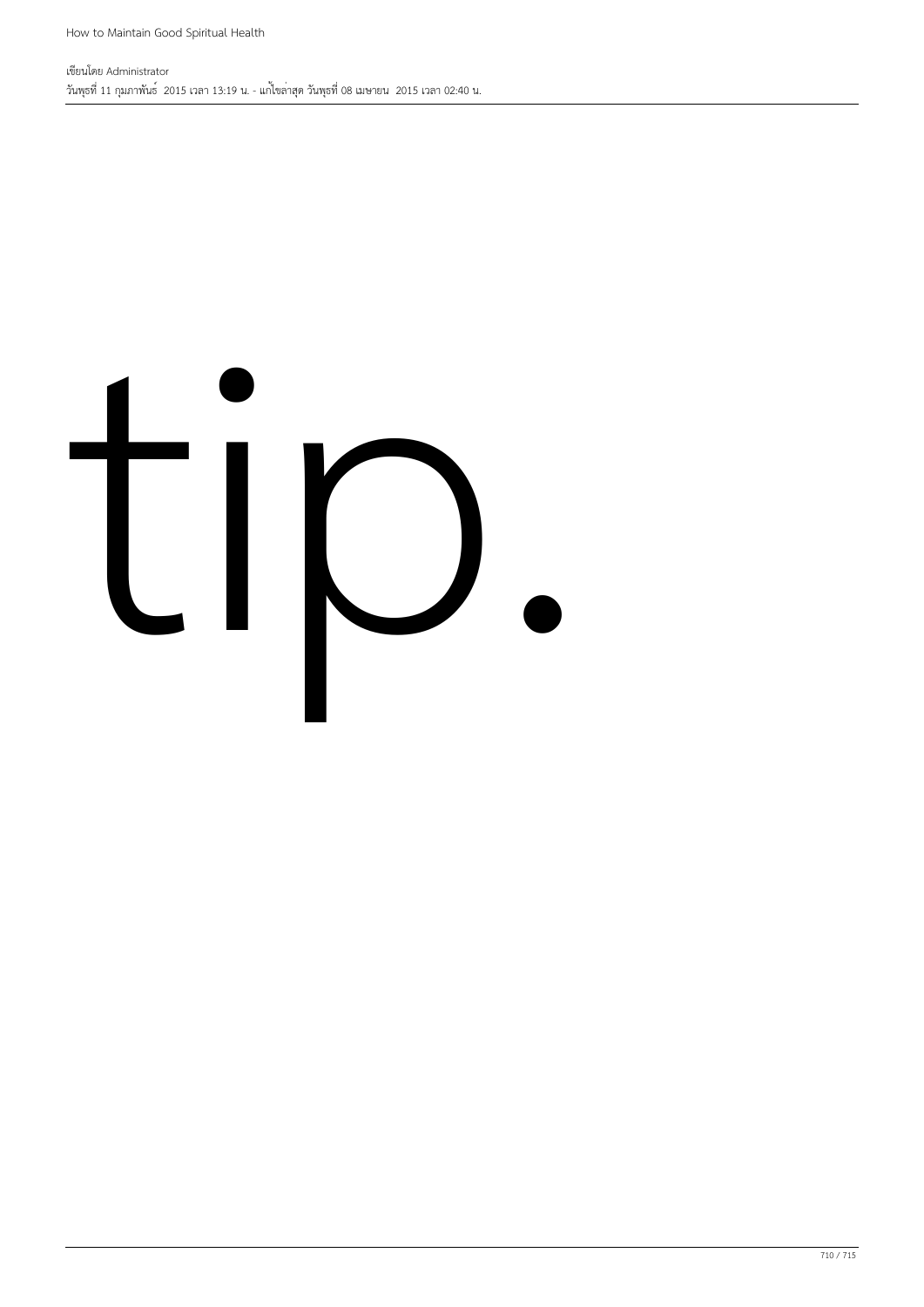# tip.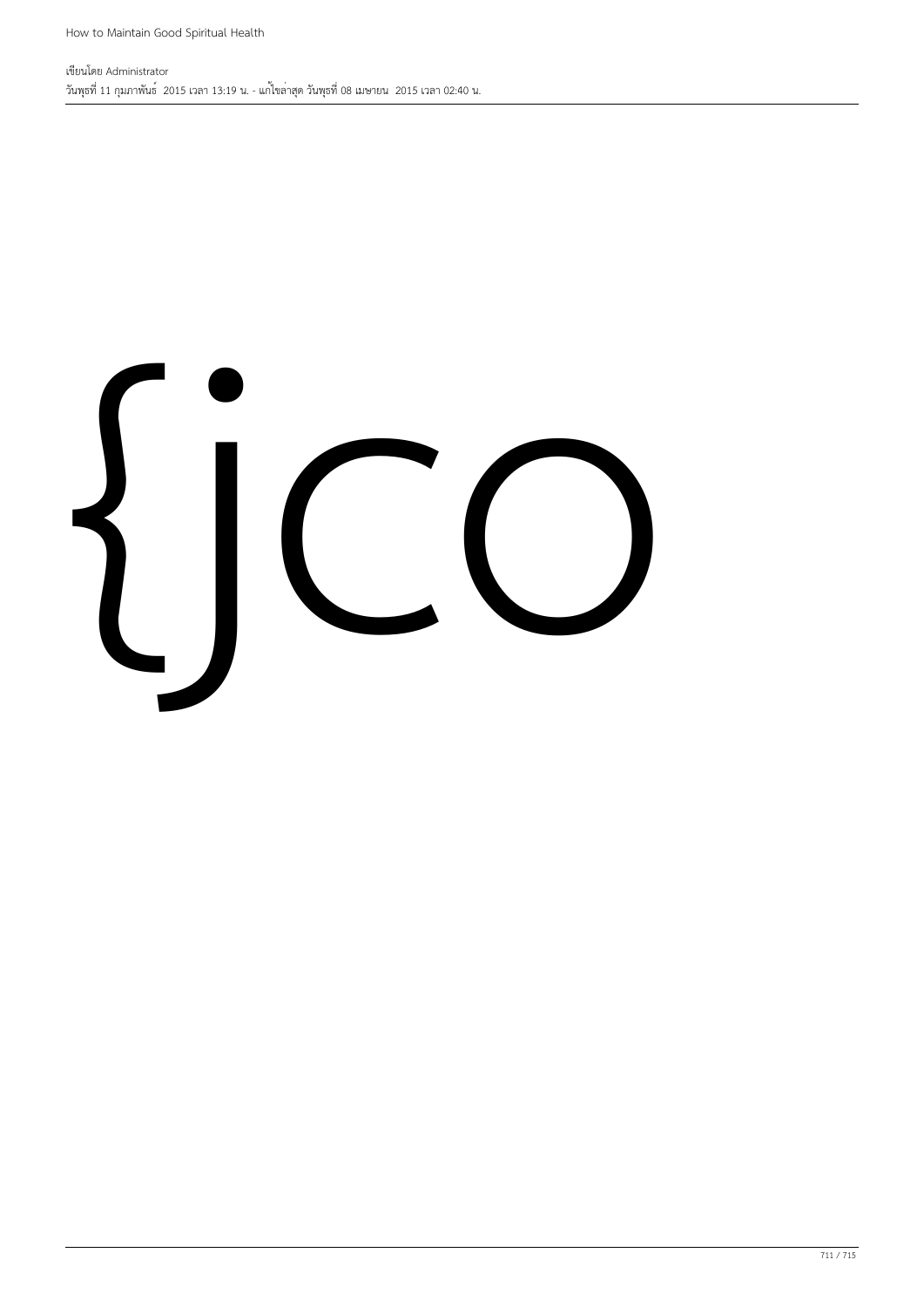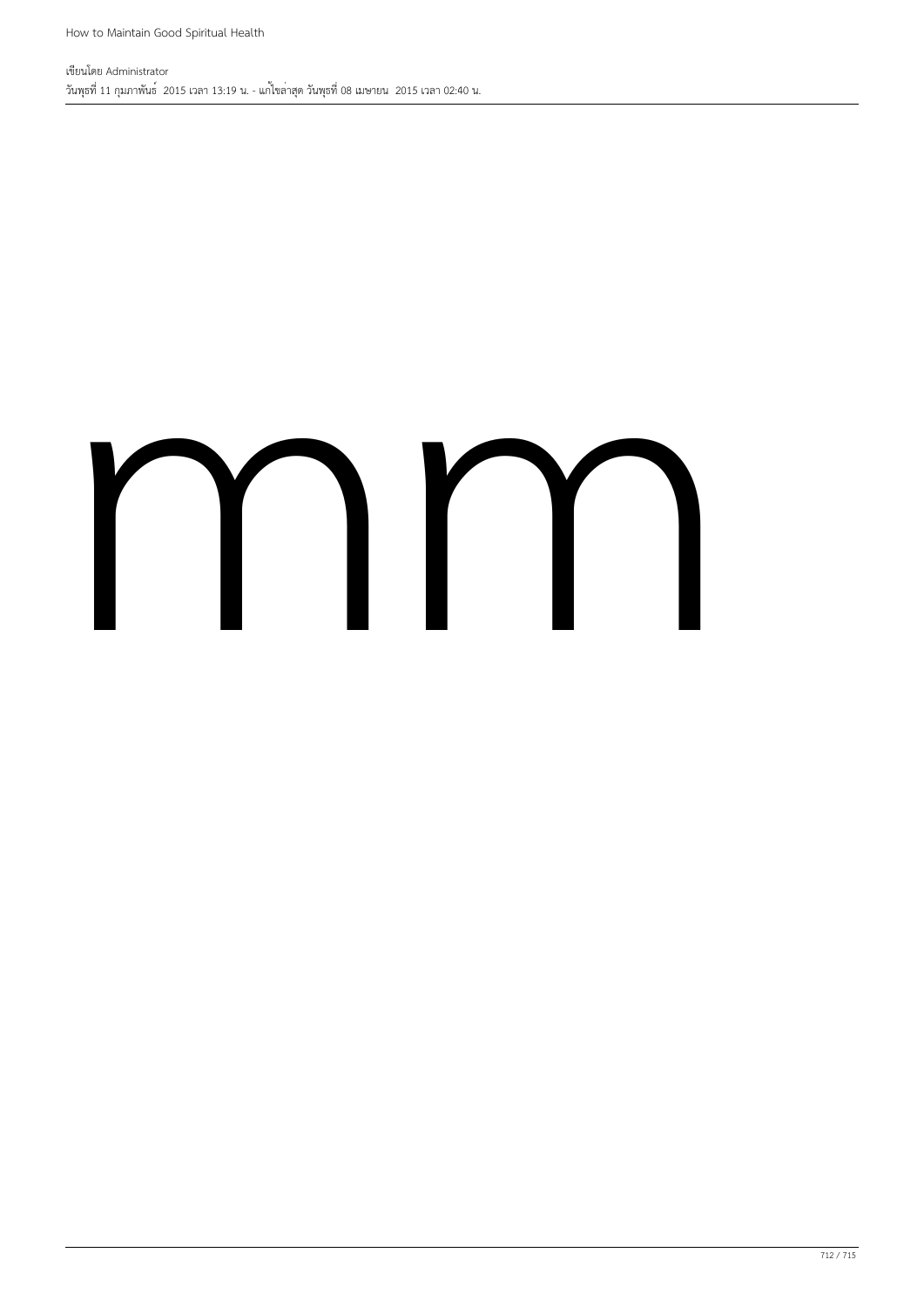#### mm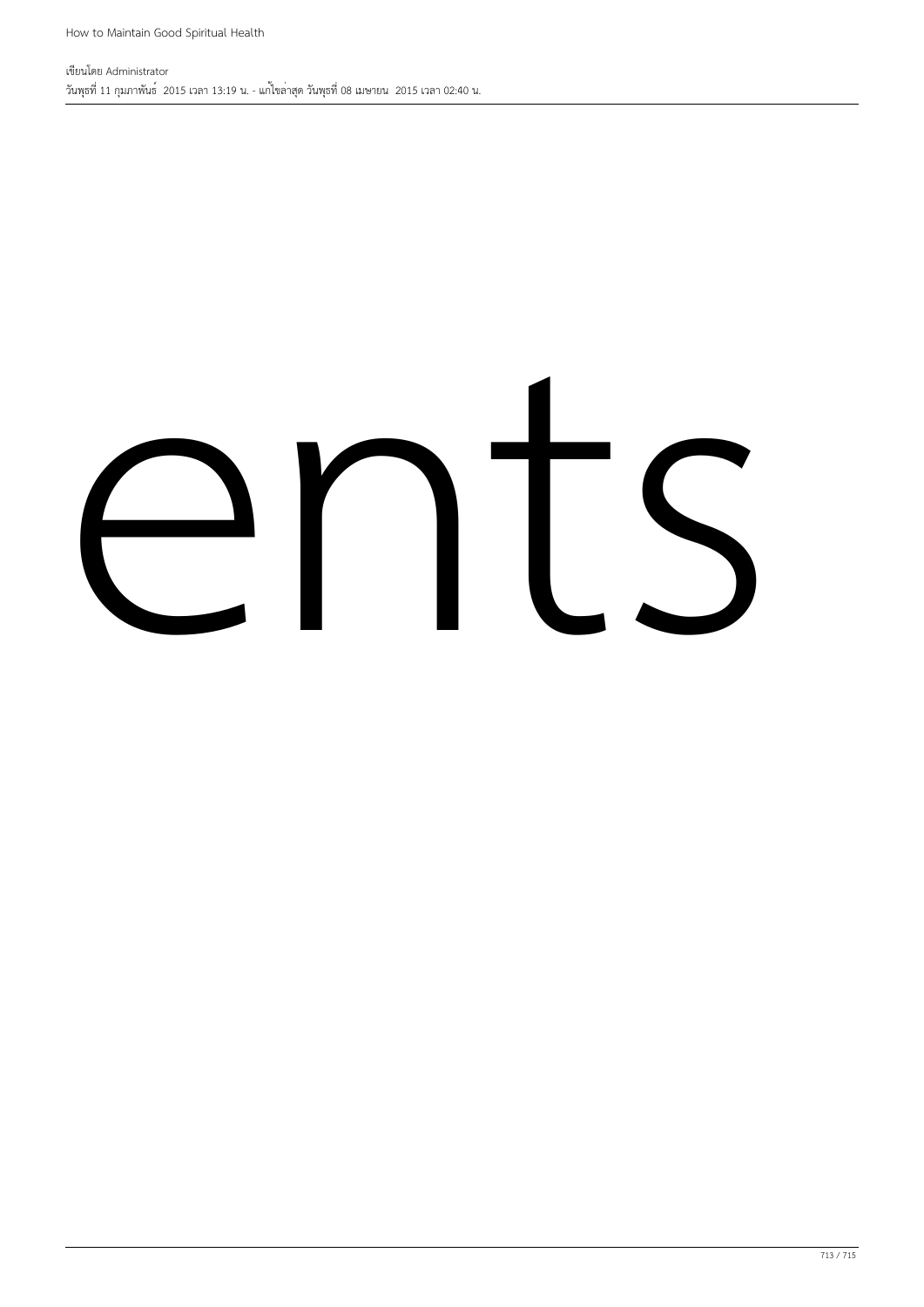#### ents